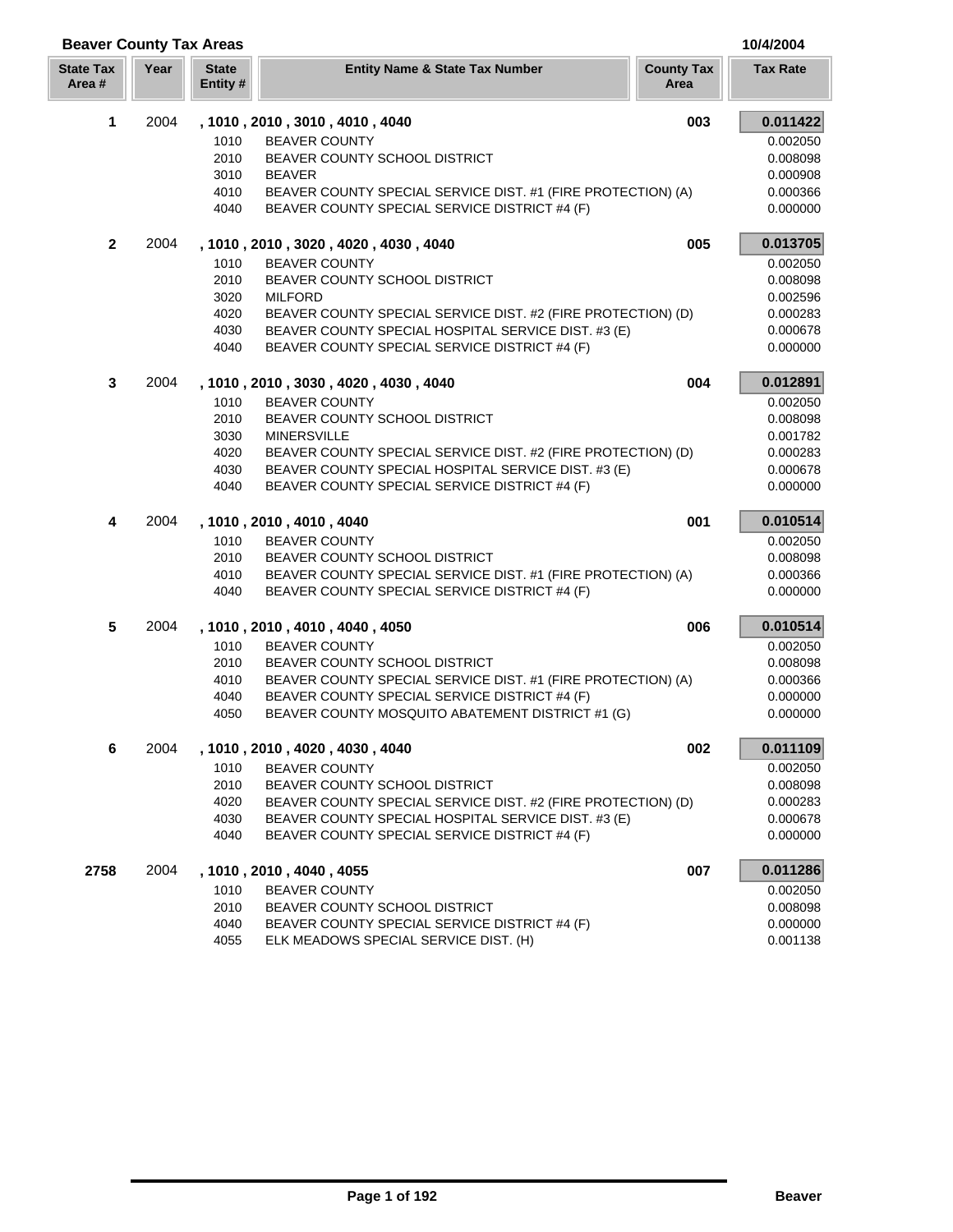| <b>Beaver County Tax Areas</b> |      |                          |                                                                                                      |                           | 10/4/2004            |
|--------------------------------|------|--------------------------|------------------------------------------------------------------------------------------------------|---------------------------|----------------------|
| <b>State Tax</b><br>Area #     | Year | <b>State</b><br>Entity # | <b>Entity Name &amp; State Tax Number</b>                                                            | <b>County Tax</b><br>Area | <b>Tax Rate</b>      |
| 1                              | 2004 |                          | , 1010, 2010, 3010, 4010, 4040                                                                       | 003                       | 0.011422             |
|                                |      | 1010                     | <b>BEAVER COUNTY</b>                                                                                 |                           | 0.002050             |
|                                |      | 2010                     | BEAVER COUNTY SCHOOL DISTRICT                                                                        |                           | 0.008098             |
|                                |      | 3010                     | <b>BEAVER</b>                                                                                        |                           | 0.000908             |
|                                |      | 4010                     | BEAVER COUNTY SPECIAL SERVICE DIST. #1 (FIRE PROTECTION) (A)                                         |                           | 0.000366             |
|                                |      | 4040                     | BEAVER COUNTY SPECIAL SERVICE DISTRICT #4 (F)                                                        |                           | 0.000000             |
| $\overline{2}$                 | 2004 |                          | , 1010, 2010, 3020, 4020, 4030, 4040                                                                 | 005                       | 0.013705             |
|                                |      | 1010                     | <b>BEAVER COUNTY</b>                                                                                 |                           | 0.002050             |
|                                |      | 2010                     | BEAVER COUNTY SCHOOL DISTRICT                                                                        |                           | 0.008098             |
|                                |      | 3020                     | <b>MILFORD</b>                                                                                       |                           | 0.002596             |
|                                |      | 4020                     | BEAVER COUNTY SPECIAL SERVICE DIST. #2 (FIRE PROTECTION) (D)                                         |                           | 0.000283             |
|                                |      | 4030                     | BEAVER COUNTY SPECIAL HOSPITAL SERVICE DIST. #3 (E)                                                  |                           | 0.000678             |
|                                |      | 4040                     | BEAVER COUNTY SPECIAL SERVICE DISTRICT #4 (F)                                                        |                           | 0.000000             |
| 3                              | 2004 |                          | , 1010, 2010, 3030, 4020, 4030, 4040                                                                 | 004                       | 0.012891             |
|                                |      | 1010                     | <b>BEAVER COUNTY</b>                                                                                 |                           | 0.002050             |
|                                |      | 2010                     | BEAVER COUNTY SCHOOL DISTRICT                                                                        |                           | 0.008098             |
|                                |      | 3030                     | <b>MINERSVILLE</b>                                                                                   |                           | 0.001782             |
|                                |      | 4020                     | BEAVER COUNTY SPECIAL SERVICE DIST. #2 (FIRE PROTECTION) (D)                                         |                           | 0.000283             |
|                                |      | 4030                     | BEAVER COUNTY SPECIAL HOSPITAL SERVICE DIST. #3 (E)                                                  |                           | 0.000678             |
|                                |      | 4040                     | BEAVER COUNTY SPECIAL SERVICE DISTRICT #4 (F)                                                        |                           | 0.000000             |
| 4                              | 2004 |                          | , 1010, 2010, 4010, 4040                                                                             | 001                       | 0.010514             |
|                                |      | 1010                     | <b>BEAVER COUNTY</b>                                                                                 |                           | 0.002050             |
|                                |      | 2010                     | BEAVER COUNTY SCHOOL DISTRICT                                                                        |                           | 0.008098             |
|                                |      | 4010                     | BEAVER COUNTY SPECIAL SERVICE DIST. #1 (FIRE PROTECTION) (A)                                         |                           | 0.000366             |
|                                |      | 4040                     | BEAVER COUNTY SPECIAL SERVICE DISTRICT #4 (F)                                                        |                           | 0.000000             |
| 5                              | 2004 |                          | , 1010, 2010, 4010, 4040, 4050                                                                       | 006                       | 0.010514             |
|                                |      | 1010                     | <b>BEAVER COUNTY</b>                                                                                 |                           | 0.002050             |
|                                |      | 2010                     | BEAVER COUNTY SCHOOL DISTRICT                                                                        |                           | 0.008098             |
|                                |      | 4010<br>4040             | BEAVER COUNTY SPECIAL SERVICE DIST. #1 (FIRE PROTECTION) (A)                                         |                           | 0.000366             |
|                                |      | 4050                     | BEAVER COUNTY SPECIAL SERVICE DISTRICT #4 (F)<br>BEAVER COUNTY MOSQUITO ABATEMENT DISTRICT #1 (G)    |                           | 0.000000<br>0.000000 |
|                                |      |                          |                                                                                                      |                           |                      |
| 6                              | 2004 |                          | , 1010, 2010, 4020, 4030, 4040                                                                       | 002                       | 0.011109             |
|                                |      | 1010                     | <b>BEAVER COUNTY</b>                                                                                 |                           | 0.002050             |
|                                |      | 2010                     | BEAVER COUNTY SCHOOL DISTRICT                                                                        |                           | 0.008098             |
|                                |      | 4020                     | BEAVER COUNTY SPECIAL SERVICE DIST. #2 (FIRE PROTECTION) (D)                                         |                           | 0.000283             |
|                                |      | 4030<br>4040             | BEAVER COUNTY SPECIAL HOSPITAL SERVICE DIST. #3 (E)<br>BEAVER COUNTY SPECIAL SERVICE DISTRICT #4 (F) |                           | 0.000678<br>0.000000 |
|                                |      |                          |                                                                                                      |                           |                      |
| 2758                           | 2004 |                          | , 1010, 2010, 4040, 4055                                                                             | 007                       | 0.011286             |
|                                |      | 1010                     | <b>BEAVER COUNTY</b>                                                                                 |                           | 0.002050             |
|                                |      | 2010                     | BEAVER COUNTY SCHOOL DISTRICT                                                                        |                           | 0.008098             |
|                                |      | 4040                     | BEAVER COUNTY SPECIAL SERVICE DISTRICT #4 (F)                                                        |                           | 0.000000             |
|                                |      | 4055                     | ELK MEADOWS SPECIAL SERVICE DIST. (H)                                                                |                           | 0.001138             |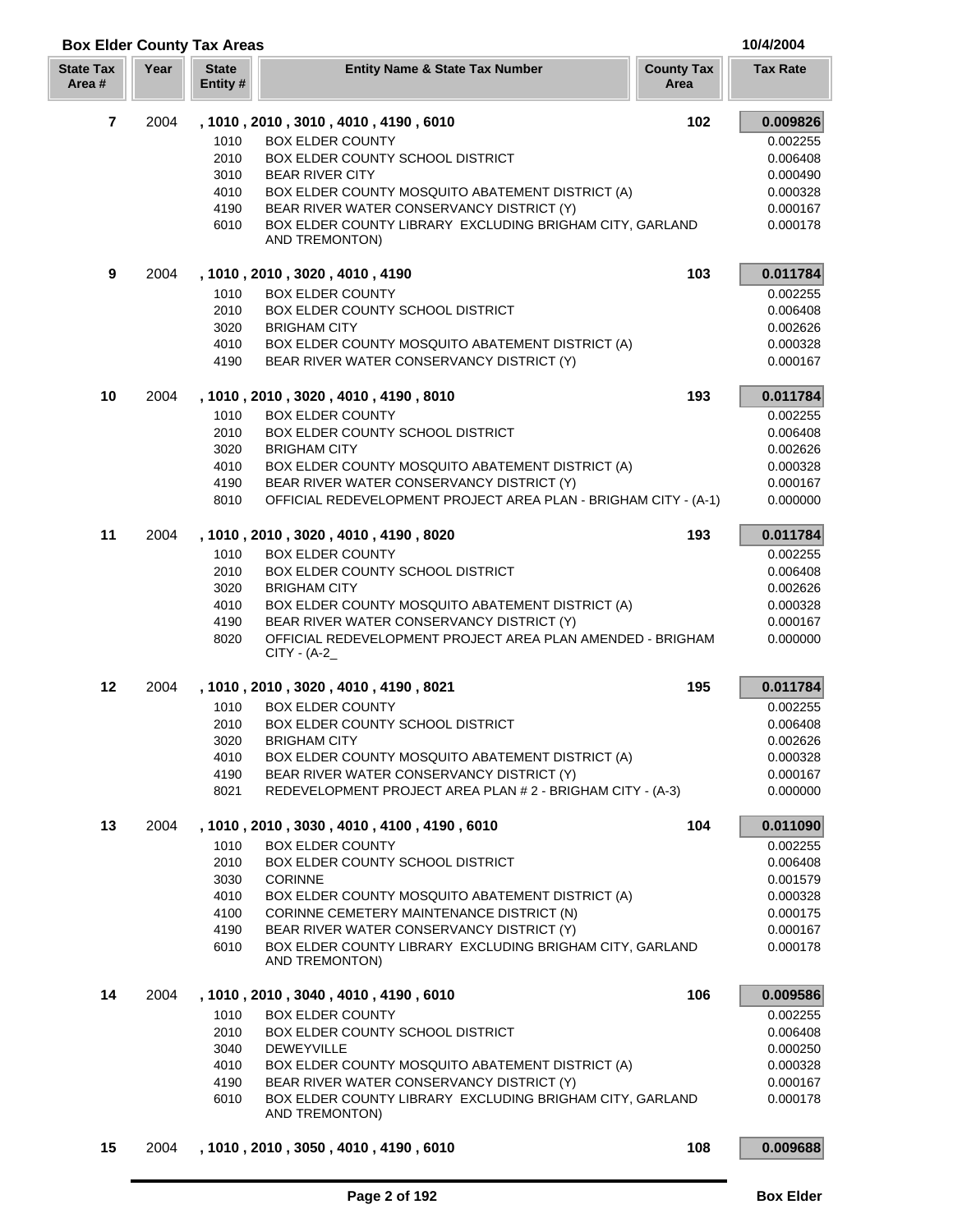| <b>Box Elder County Tax Areas</b> | 10/4/2004 |
|-----------------------------------|-----------|
|                                   |           |

| <b>State Tax</b><br>Area # | Year | <b>State</b><br>Entity # | <b>Entity Name &amp; State Tax Number</b>                                    | <b>County Tax</b><br>Area | <b>Tax Rate</b>      |
|----------------------------|------|--------------------------|------------------------------------------------------------------------------|---------------------------|----------------------|
| $\overline{\mathbf{r}}$    | 2004 |                          | , 1010, 2010, 3010, 4010, 4190, 6010                                         | 102                       | 0.009826             |
|                            |      | 1010                     | <b>BOX ELDER COUNTY</b>                                                      |                           | 0.002255             |
|                            |      | 2010                     | BOX ELDER COUNTY SCHOOL DISTRICT                                             |                           | 0.006408             |
|                            |      | 3010                     | <b>BEAR RIVER CITY</b>                                                       |                           | 0.000490             |
|                            |      | 4010                     | BOX ELDER COUNTY MOSQUITO ABATEMENT DISTRICT (A)                             |                           | 0.000328             |
|                            |      | 4190                     | BEAR RIVER WATER CONSERVANCY DISTRICT (Y)                                    |                           | 0.000167             |
|                            |      | 6010                     | BOX ELDER COUNTY LIBRARY EXCLUDING BRIGHAM CITY, GARLAND<br>AND TREMONTON)   |                           | 0.000178             |
| 9                          | 2004 |                          | , 1010, 2010, 3020, 4010, 4190                                               | 103                       | 0.011784             |
|                            |      | 1010                     | <b>BOX ELDER COUNTY</b>                                                      |                           | 0.002255             |
|                            |      | 2010                     | BOX ELDER COUNTY SCHOOL DISTRICT                                             |                           | 0.006408             |
|                            |      | 3020                     | <b>BRIGHAM CITY</b>                                                          |                           | 0.002626             |
|                            |      | 4010                     | BOX ELDER COUNTY MOSQUITO ABATEMENT DISTRICT (A)                             |                           | 0.000328             |
|                            |      | 4190                     | BEAR RIVER WATER CONSERVANCY DISTRICT (Y)                                    |                           | 0.000167             |
| 10                         | 2004 |                          | , 1010, 2010, 3020, 4010, 4190, 8010                                         | 193                       | 0.011784             |
|                            |      | 1010                     | <b>BOX ELDER COUNTY</b>                                                      |                           | 0.002255             |
|                            |      | 2010                     | BOX ELDER COUNTY SCHOOL DISTRICT                                             |                           | 0.006408             |
|                            |      | 3020                     | <b>BRIGHAM CITY</b>                                                          |                           | 0.002626             |
|                            |      | 4010                     | BOX ELDER COUNTY MOSQUITO ABATEMENT DISTRICT (A)                             |                           | 0.000328             |
|                            |      | 4190                     | BEAR RIVER WATER CONSERVANCY DISTRICT (Y)                                    |                           | 0.000167             |
|                            |      | 8010                     | OFFICIAL REDEVELOPMENT PROJECT AREA PLAN - BRIGHAM CITY - (A-1)              |                           | 0.000000             |
| 11                         | 2004 |                          | , 1010, 2010, 3020, 4010, 4190, 8020                                         | 193                       | 0.011784             |
|                            |      | 1010                     | <b>BOX ELDER COUNTY</b>                                                      |                           | 0.002255             |
|                            |      | 2010                     | BOX ELDER COUNTY SCHOOL DISTRICT                                             |                           | 0.006408             |
|                            |      | 3020<br>4010             | <b>BRIGHAM CITY</b><br>BOX ELDER COUNTY MOSQUITO ABATEMENT DISTRICT (A)      |                           | 0.002626<br>0.000328 |
|                            |      | 4190                     | BEAR RIVER WATER CONSERVANCY DISTRICT (Y)                                    |                           | 0.000167             |
|                            |      | 8020                     | OFFICIAL REDEVELOPMENT PROJECT AREA PLAN AMENDED - BRIGHAM<br>$CITY - (A-2)$ |                           | 0.000000             |
| 12                         | 2004 |                          | , 1010 , 2010 , 3020 , 4010 , 4190 , 8021                                    | 195                       | 0.011784             |
|                            |      | 1010                     | <b>BOX ELDER COUNTY</b>                                                      |                           | 0.002255             |
|                            |      | 2010                     | <b>BOX ELDER COUNTY SCHOOL DISTRICT</b>                                      |                           | 0.006408             |
|                            |      | 3020                     | <b>BRIGHAM CITY</b>                                                          |                           | 0.002626             |
|                            |      | 4010                     | BOX ELDER COUNTY MOSQUITO ABATEMENT DISTRICT (A)                             |                           | 0.000328             |
|                            |      | 4190                     | BEAR RIVER WATER CONSERVANCY DISTRICT (Y)                                    |                           | 0.000167             |
|                            |      | 8021                     | REDEVELOPMENT PROJECT AREA PLAN # 2 - BRIGHAM CITY - (A-3)                   |                           | 0.000000             |
| 13                         | 2004 |                          | , 1010, 2010, 3030, 4010, 4100, 4190, 6010                                   | 104                       | 0.011090             |
|                            |      | 1010                     | <b>BOX ELDER COUNTY</b>                                                      |                           | 0.002255             |
|                            |      | 2010                     | <b>BOX ELDER COUNTY SCHOOL DISTRICT</b>                                      |                           | 0.006408             |
|                            |      | 3030<br>4010             | <b>CORINNE</b><br>BOX ELDER COUNTY MOSQUITO ABATEMENT DISTRICT (A)           |                           | 0.001579<br>0.000328 |
|                            |      | 4100                     | CORINNE CEMETERY MAINTENANCE DISTRICT (N)                                    |                           | 0.000175             |
|                            |      | 4190                     | BEAR RIVER WATER CONSERVANCY DISTRICT (Y)                                    |                           | 0.000167             |
|                            |      | 6010                     | BOX ELDER COUNTY LIBRARY EXCLUDING BRIGHAM CITY, GARLAND<br>AND TREMONTON)   |                           | 0.000178             |
| 14                         | 2004 |                          | , 1010 , 2010 , 3040 , 4010 , 4190 , 6010                                    | 106                       | 0.009586             |
|                            |      | 1010                     | <b>BOX ELDER COUNTY</b>                                                      |                           | 0.002255             |
|                            |      | 2010                     | <b>BOX ELDER COUNTY SCHOOL DISTRICT</b>                                      |                           | 0.006408             |
|                            |      | 3040                     | <b>DEWEYVILLE</b>                                                            |                           | 0.000250             |
|                            |      | 4010                     | BOX ELDER COUNTY MOSQUITO ABATEMENT DISTRICT (A)                             |                           | 0.000328             |
|                            |      | 4190                     | BEAR RIVER WATER CONSERVANCY DISTRICT (Y)                                    |                           | 0.000167             |
|                            |      | 6010                     | BOX ELDER COUNTY LIBRARY EXCLUDING BRIGHAM CITY, GARLAND<br>AND TREMONTON)   |                           | 0.000178             |
| 15                         | 2004 |                          | , 1010, 2010, 3050, 4010, 4190, 6010                                         | 108                       | 0.009688             |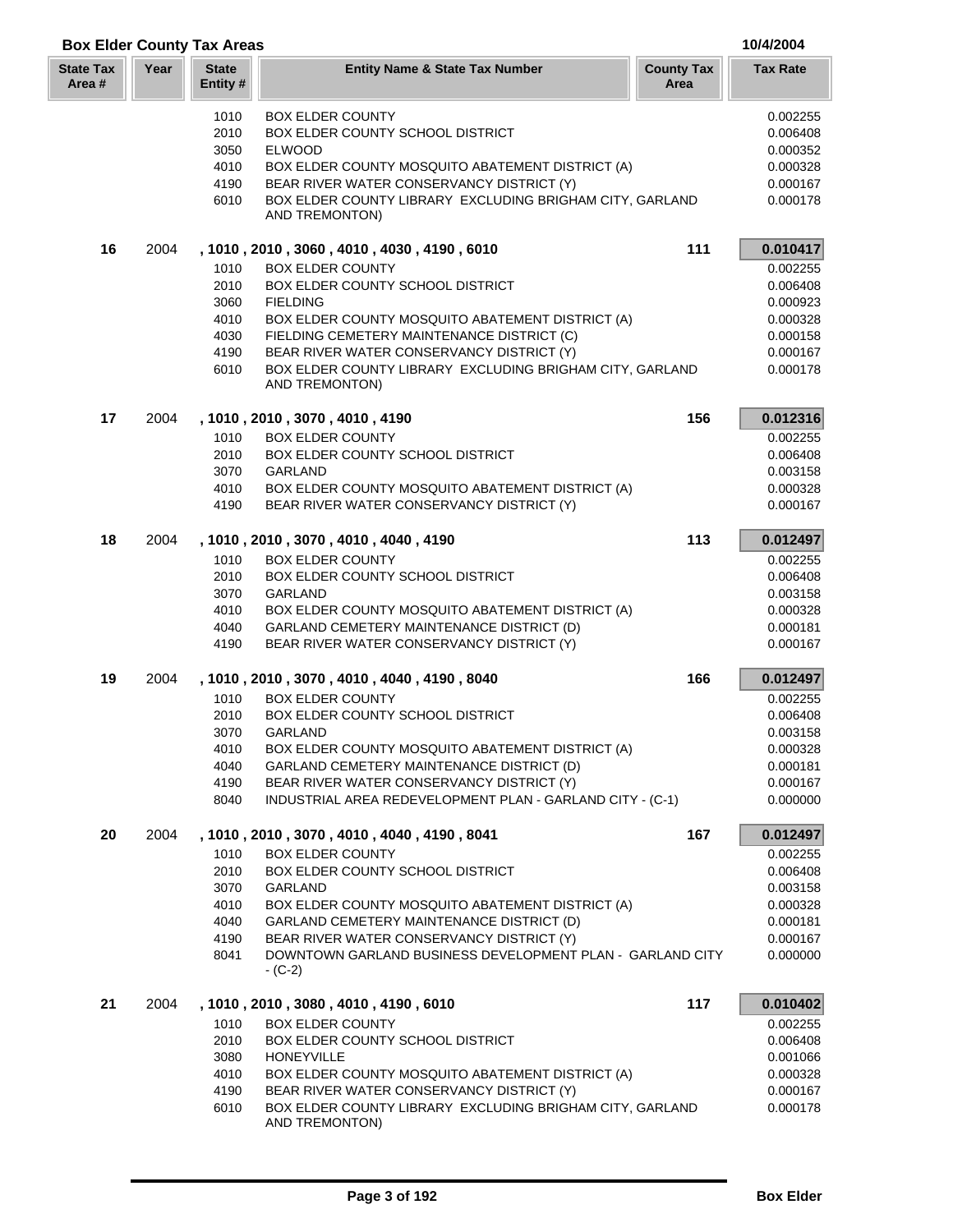| <b>Box Elder County Tax Areas</b> |      |                         |                                                                                                        |                           | 10/4/2004            |
|-----------------------------------|------|-------------------------|--------------------------------------------------------------------------------------------------------|---------------------------|----------------------|
| <b>State Tax</b><br>Area #        | Year | <b>State</b><br>Entity# | <b>Entity Name &amp; State Tax Number</b>                                                              | <b>County Tax</b><br>Area | <b>Tax Rate</b>      |
|                                   |      | 1010                    | <b>BOX ELDER COUNTY</b>                                                                                |                           | 0.002255             |
|                                   |      | 2010                    | BOX ELDER COUNTY SCHOOL DISTRICT                                                                       |                           | 0.006408             |
|                                   |      | 3050                    | <b>ELWOOD</b>                                                                                          |                           | 0.000352             |
|                                   |      | 4010                    | BOX ELDER COUNTY MOSQUITO ABATEMENT DISTRICT (A)                                                       |                           | 0.000328             |
|                                   |      | 4190                    | BEAR RIVER WATER CONSERVANCY DISTRICT (Y)                                                              |                           | 0.000167             |
|                                   |      | 6010                    | BOX ELDER COUNTY LIBRARY EXCLUDING BRIGHAM CITY, GARLAND<br>AND TREMONTON)                             |                           | 0.000178             |
| 16                                | 2004 |                         | , 1010, 2010, 3060, 4010, 4030, 4190, 6010                                                             | 111                       | 0.010417             |
|                                   |      | 1010                    | <b>BOX ELDER COUNTY</b>                                                                                |                           | 0.002255             |
|                                   |      | 2010                    | BOX ELDER COUNTY SCHOOL DISTRICT                                                                       |                           | 0.006408             |
|                                   |      | 3060                    | <b>FIELDING</b>                                                                                        |                           | 0.000923             |
|                                   |      | 4010                    | BOX ELDER COUNTY MOSQUITO ABATEMENT DISTRICT (A)                                                       |                           | 0.000328             |
|                                   |      | 4030                    | FIELDING CEMETERY MAINTENANCE DISTRICT (C)                                                             |                           | 0.000158             |
|                                   |      | 4190                    | BEAR RIVER WATER CONSERVANCY DISTRICT (Y)                                                              |                           | 0.000167             |
|                                   |      | 6010                    | BOX ELDER COUNTY LIBRARY EXCLUDING BRIGHAM CITY, GARLAND<br>AND TREMONTON)                             |                           | 0.000178             |
| 17                                | 2004 |                         | , 1010, 2010, 3070, 4010, 4190                                                                         | 156                       | 0.012316             |
|                                   |      | 1010                    | <b>BOX ELDER COUNTY</b>                                                                                |                           | 0.002255             |
|                                   |      | 2010                    | BOX ELDER COUNTY SCHOOL DISTRICT                                                                       |                           | 0.006408             |
|                                   |      | 3070                    | <b>GARLAND</b>                                                                                         |                           | 0.003158             |
|                                   |      | 4010                    | BOX ELDER COUNTY MOSQUITO ABATEMENT DISTRICT (A)                                                       |                           | 0.000328             |
|                                   |      | 4190                    | BEAR RIVER WATER CONSERVANCY DISTRICT (Y)                                                              |                           | 0.000167             |
| 18                                | 2004 |                         | , 1010, 2010, 3070, 4010, 4040, 4190                                                                   | 113                       | 0.012497             |
|                                   |      | 1010                    | <b>BOX ELDER COUNTY</b>                                                                                |                           | 0.002255             |
|                                   |      | 2010                    | BOX ELDER COUNTY SCHOOL DISTRICT                                                                       |                           | 0.006408             |
|                                   |      | 3070<br>4010            | GARLAND<br>BOX ELDER COUNTY MOSQUITO ABATEMENT DISTRICT (A)                                            |                           | 0.003158<br>0.000328 |
|                                   |      | 4040                    | GARLAND CEMETERY MAINTENANCE DISTRICT (D)                                                              |                           | 0.000181             |
|                                   |      | 4190                    | BEAR RIVER WATER CONSERVANCY DISTRICT (Y)                                                              |                           | 0.000167             |
| 19                                | 2004 |                         | , 1010, 2010, 3070, 4010, 4040, 4190, 8040                                                             | 166                       | 0.012497             |
|                                   |      | 1010                    | <b>BOX ELDER COUNTY</b>                                                                                |                           | 0.002255             |
|                                   |      | 2010                    | BOX ELDER COUNTY SCHOOL DISTRICT                                                                       |                           | 0.006408             |
|                                   |      |                         | 3070 GARLAND                                                                                           |                           | 0.003158             |
|                                   |      | 4010                    | BOX ELDER COUNTY MOSQUITO ABATEMENT DISTRICT (A)                                                       |                           | 0.000328             |
|                                   |      | 4040                    | GARLAND CEMETERY MAINTENANCE DISTRICT (D)                                                              |                           | 0.000181             |
|                                   |      | 4190<br>8040            | BEAR RIVER WATER CONSERVANCY DISTRICT (Y)<br>INDUSTRIAL AREA REDEVELOPMENT PLAN - GARLAND CITY - (C-1) |                           | 0.000167<br>0.000000 |
|                                   |      |                         |                                                                                                        |                           |                      |
| 20                                | 2004 |                         | , 1010 , 2010 , 3070 , 4010 , 4040 , 4190 , 8041                                                       | 167                       | 0.012497             |
|                                   |      | 1010<br>2010            | <b>BOX ELDER COUNTY</b><br><b>BOX ELDER COUNTY SCHOOL DISTRICT</b>                                     |                           | 0.002255<br>0.006408 |
|                                   |      | 3070                    | GARLAND                                                                                                |                           | 0.003158             |
|                                   |      | 4010                    | BOX ELDER COUNTY MOSQUITO ABATEMENT DISTRICT (A)                                                       |                           | 0.000328             |
|                                   |      | 4040                    | <b>GARLAND CEMETERY MAINTENANCE DISTRICT (D)</b>                                                       |                           | 0.000181             |
|                                   |      | 4190                    | BEAR RIVER WATER CONSERVANCY DISTRICT (Y)                                                              |                           | 0.000167             |
|                                   |      | 8041                    | DOWNTOWN GARLAND BUSINESS DEVELOPMENT PLAN - GARLAND CITY<br>- (C-2)                                   |                           | 0.000000             |
| 21                                | 2004 |                         | , 1010, 2010, 3080, 4010, 4190, 6010                                                                   | 117                       | 0.010402             |
|                                   |      | 1010                    | <b>BOX ELDER COUNTY</b>                                                                                |                           | 0.002255             |
|                                   |      | 2010                    | BOX ELDER COUNTY SCHOOL DISTRICT                                                                       |                           | 0.006408             |
|                                   |      | 3080                    | <b>HONEYVILLE</b>                                                                                      |                           | 0.001066             |
|                                   |      | 4010                    | BOX ELDER COUNTY MOSQUITO ABATEMENT DISTRICT (A)                                                       |                           | 0.000328             |
|                                   |      | 4190                    | BEAR RIVER WATER CONSERVANCY DISTRICT (Y)                                                              |                           | 0.000167             |
|                                   |      | 6010                    | BOX ELDER COUNTY LIBRARY EXCLUDING BRIGHAM CITY, GARLAND<br>AND TREMONTON)                             |                           | 0.000178             |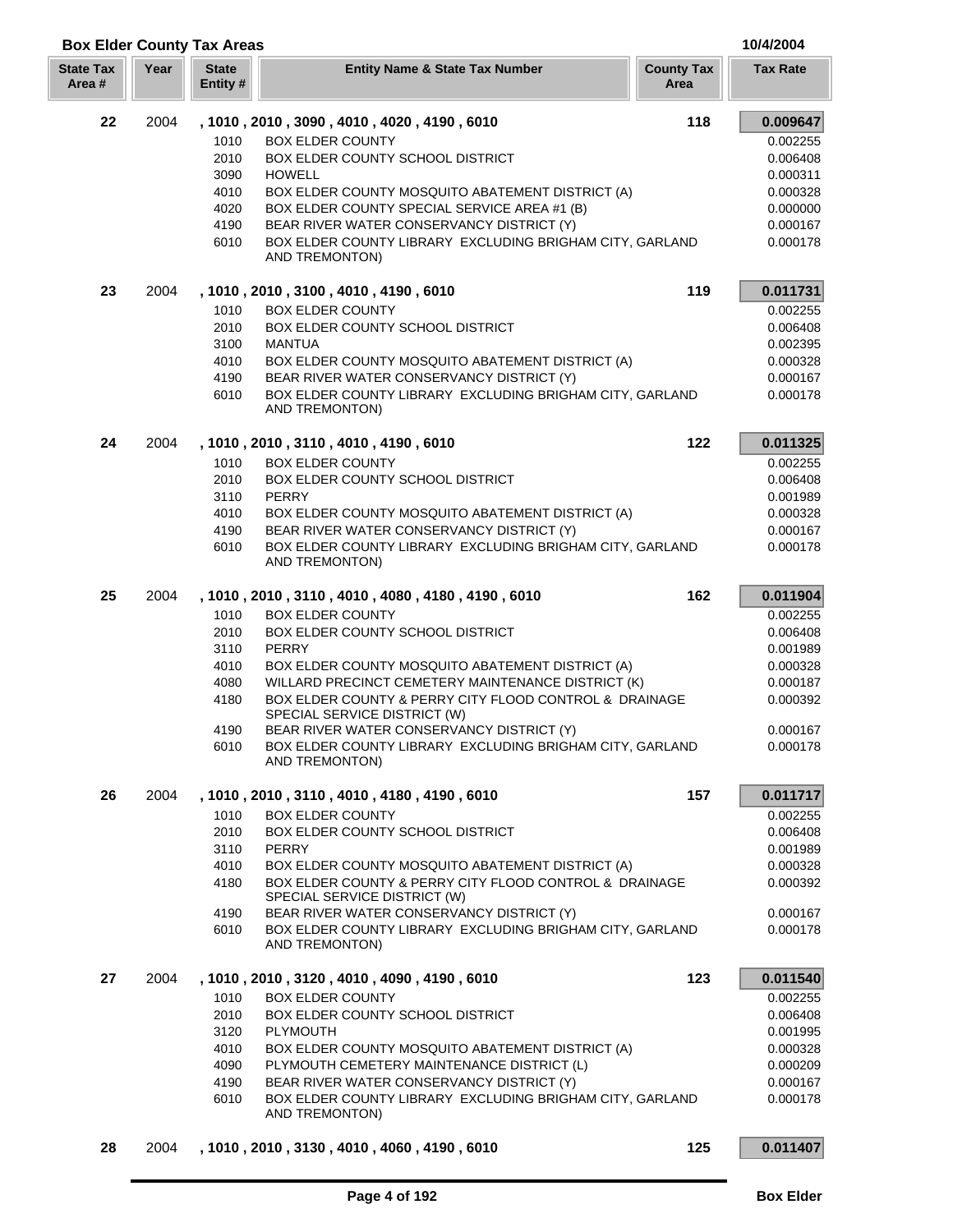| <b>State Tax</b><br>Area # | Year | <b>State</b><br>Entity # | <b>Entity Name &amp; State Tax Number</b>                                              | <b>County Tax</b><br>Area | <b>Tax Rate</b> |
|----------------------------|------|--------------------------|----------------------------------------------------------------------------------------|---------------------------|-----------------|
| 22                         | 2004 |                          | , 1010, 2010, 3090, 4010, 4020, 4190, 6010                                             | 118                       | 0.009647        |
|                            |      | 1010                     | <b>BOX ELDER COUNTY</b>                                                                |                           | 0.002255        |
|                            |      | 2010                     | BOX ELDER COUNTY SCHOOL DISTRICT                                                       |                           | 0.006408        |
|                            |      | 3090                     | <b>HOWELL</b>                                                                          |                           | 0.000311        |
|                            |      | 4010                     | BOX ELDER COUNTY MOSQUITO ABATEMENT DISTRICT (A)                                       |                           | 0.000328        |
|                            |      | 4020                     | BOX ELDER COUNTY SPECIAL SERVICE AREA #1 (B)                                           |                           | 0.000000        |
|                            |      | 4190                     | BEAR RIVER WATER CONSERVANCY DISTRICT (Y)                                              |                           | 0.000167        |
|                            |      | 6010                     | BOX ELDER COUNTY LIBRARY EXCLUDING BRIGHAM CITY, GARLAND<br>AND TREMONTON)             |                           | 0.000178        |
| 23                         | 2004 |                          | , 1010, 2010, 3100, 4010, 4190, 6010                                                   | 119                       | 0.011731        |
|                            |      | 1010                     | <b>BOX ELDER COUNTY</b>                                                                |                           | 0.002255        |
|                            |      | 2010                     | BOX ELDER COUNTY SCHOOL DISTRICT                                                       |                           | 0.006408        |
|                            |      | 3100                     | <b>MANTUA</b>                                                                          |                           | 0.002395        |
|                            |      | 4010                     | BOX ELDER COUNTY MOSQUITO ABATEMENT DISTRICT (A)                                       |                           | 0.000328        |
|                            |      | 4190                     | BEAR RIVER WATER CONSERVANCY DISTRICT (Y)                                              |                           | 0.000167        |
|                            |      | 6010                     | BOX ELDER COUNTY LIBRARY EXCLUDING BRIGHAM CITY, GARLAND<br>AND TREMONTON)             |                           | 0.000178        |
| 24                         | 2004 |                          | , 1010, 2010, 3110, 4010, 4190, 6010                                                   | 122                       | 0.011325        |
|                            |      | 1010                     | <b>BOX ELDER COUNTY</b>                                                                |                           | 0.002255        |
|                            |      | 2010                     | BOX ELDER COUNTY SCHOOL DISTRICT                                                       |                           | 0.006408        |
|                            |      | 3110                     | <b>PERRY</b>                                                                           |                           | 0.001989        |
|                            |      | 4010                     | BOX ELDER COUNTY MOSQUITO ABATEMENT DISTRICT (A)                                       |                           | 0.000328        |
|                            |      | 4190                     | BEAR RIVER WATER CONSERVANCY DISTRICT (Y)                                              |                           | 0.000167        |
|                            |      | 6010                     | BOX ELDER COUNTY LIBRARY EXCLUDING BRIGHAM CITY, GARLAND<br>AND TREMONTON)             |                           | 0.000178        |
| 25                         | 2004 |                          | , 1010, 2010, 3110, 4010, 4080, 4180, 4190, 6010                                       | 162                       | 0.011904        |
|                            |      | 1010                     | <b>BOX ELDER COUNTY</b>                                                                |                           | 0.002255        |
|                            |      | 2010                     | BOX ELDER COUNTY SCHOOL DISTRICT                                                       |                           | 0.006408        |
|                            |      | 3110                     | <b>PERRY</b>                                                                           |                           | 0.001989        |
|                            |      | 4010                     | BOX ELDER COUNTY MOSQUITO ABATEMENT DISTRICT (A)                                       |                           | 0.000328        |
|                            |      | 4080                     | WILLARD PRECINCT CEMETERY MAINTENANCE DISTRICT (K)                                     |                           | 0.000187        |
|                            |      | 4180                     | BOX ELDER COUNTY & PERRY CITY FLOOD CONTROL & DRAINAGE                                 |                           | 0.000392        |
|                            |      |                          | SPECIAL SERVICE DISTRICT (W)                                                           |                           |                 |
|                            |      | 4190                     | BEAR RIVER WATER CONSERVANCY DISTRICT (Y)                                              |                           | 0.000167        |
|                            |      | 6010                     | BOX ELDER COUNTY LIBRARY EXCLUDING BRIGHAM CITY, GARLAND<br>AND TREMONTON)             |                           | 0.000178        |
| 26                         | 2004 |                          | , 1010 , 2010 , 3110 , 4010 , 4180 , 4190 , 6010                                       | 157                       | 0.011717        |
|                            |      | 1010                     | <b>BOX ELDER COUNTY</b>                                                                |                           | 0.002255        |
|                            |      | 2010                     | <b>BOX ELDER COUNTY SCHOOL DISTRICT</b>                                                |                           | 0.006408        |
|                            |      | 3110                     | <b>PERRY</b>                                                                           |                           | 0.001989        |
|                            |      | 4010                     | BOX ELDER COUNTY MOSQUITO ABATEMENT DISTRICT (A)                                       |                           | 0.000328        |
|                            |      | 4180                     | BOX ELDER COUNTY & PERRY CITY FLOOD CONTROL & DRAINAGE<br>SPECIAL SERVICE DISTRICT (W) |                           | 0.000392        |
|                            |      | 4190                     | BEAR RIVER WATER CONSERVANCY DISTRICT (Y)                                              |                           | 0.000167        |
|                            |      | 6010                     | BOX ELDER COUNTY LIBRARY EXCLUDING BRIGHAM CITY, GARLAND<br>AND TREMONTON)             |                           | 0.000178        |
| 27                         | 2004 |                          | , 1010 , 2010 , 3120 , 4010 , 4090 , 4190 , 6010                                       | 123                       | 0.011540        |
|                            |      | 1010                     | <b>BOX ELDER COUNTY</b>                                                                |                           | 0.002255        |
|                            |      | 2010                     | <b>BOX ELDER COUNTY SCHOOL DISTRICT</b>                                                |                           | 0.006408        |
|                            |      | 3120                     | PLYMOUTH                                                                               |                           | 0.001995        |
|                            |      | 4010                     | BOX ELDER COUNTY MOSQUITO ABATEMENT DISTRICT (A)                                       |                           | 0.000328        |
|                            |      | 4090                     | PLYMOUTH CEMETERY MAINTENANCE DISTRICT (L)                                             |                           | 0.000209        |
|                            |      | 4190                     | BEAR RIVER WATER CONSERVANCY DISTRICT (Y)                                              |                           | 0.000167        |
|                            |      | 6010                     | BOX ELDER COUNTY LIBRARY EXCLUDING BRIGHAM CITY, GARLAND<br>AND TREMONTON)             |                           | 0.000178        |
| 28                         | 2004 |                          | , 1010, 2010, 3130, 4010, 4060, 4190, 6010                                             | 125                       | 0.011407        |

**Box Elder County Tax Areas 10/4/2004**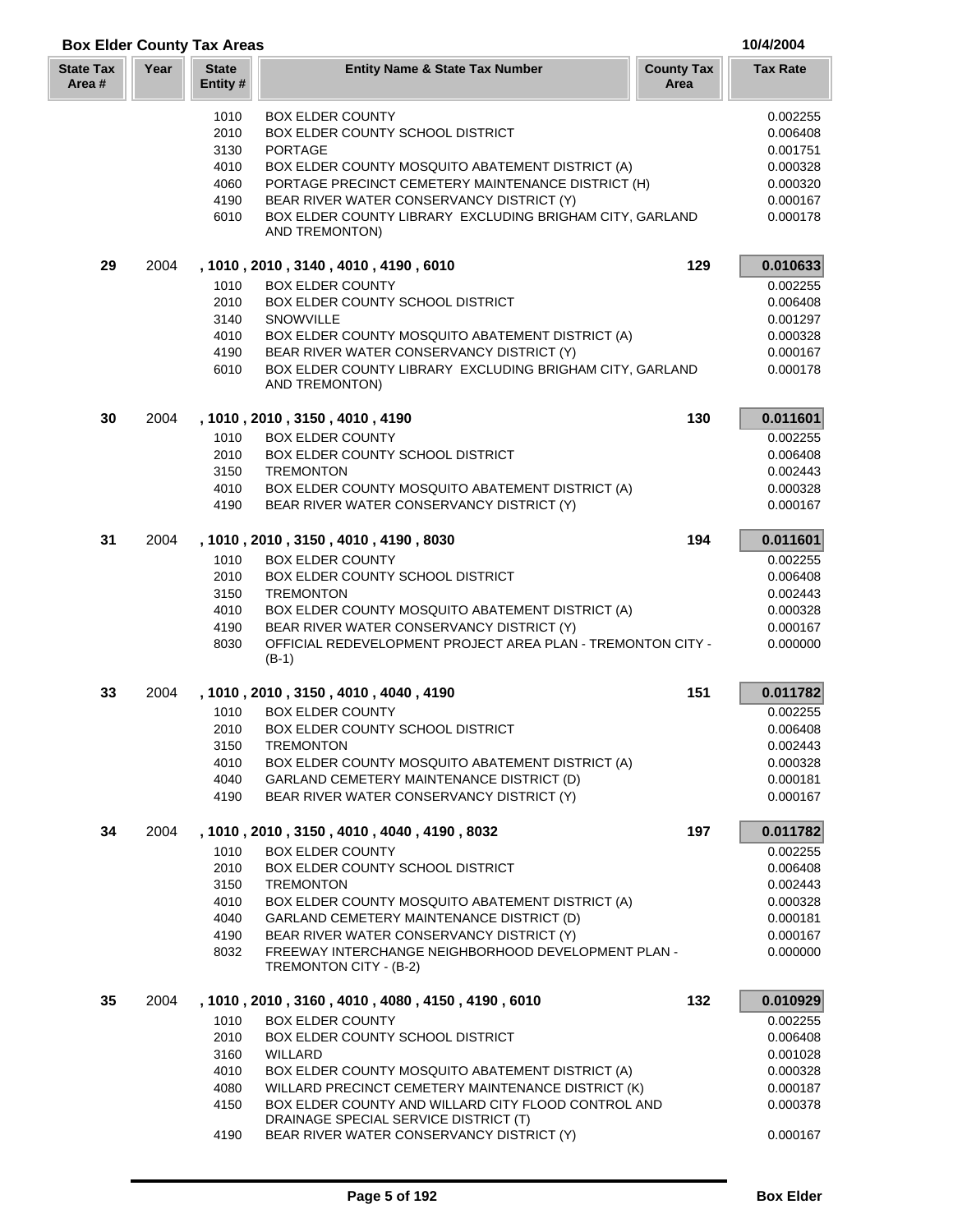| <b>Box Elder County Tax Areas</b> |      |                          |                                                                                    |                           | 10/4/2004       |
|-----------------------------------|------|--------------------------|------------------------------------------------------------------------------------|---------------------------|-----------------|
| <b>State Tax</b><br>Area #        | Year | <b>State</b><br>Entity # | <b>Entity Name &amp; State Tax Number</b>                                          | <b>County Tax</b><br>Area | <b>Tax Rate</b> |
|                                   |      | 1010                     | <b>BOX ELDER COUNTY</b>                                                            |                           | 0.002255        |
|                                   |      |                          |                                                                                    |                           |                 |
|                                   |      | 2010                     | BOX ELDER COUNTY SCHOOL DISTRICT                                                   |                           | 0.006408        |
|                                   |      | 3130                     | <b>PORTAGE</b>                                                                     |                           | 0.001751        |
|                                   |      | 4010                     | BOX ELDER COUNTY MOSQUITO ABATEMENT DISTRICT (A)                                   |                           | 0.000328        |
|                                   |      | 4060                     | PORTAGE PRECINCT CEMETERY MAINTENANCE DISTRICT (H)                                 |                           | 0.000320        |
|                                   |      | 4190                     | BEAR RIVER WATER CONSERVANCY DISTRICT (Y)                                          |                           | 0.000167        |
|                                   |      | 6010                     | BOX ELDER COUNTY LIBRARY EXCLUDING BRIGHAM CITY, GARLAND<br>AND TREMONTON)         |                           | 0.000178        |
| 29                                | 2004 |                          | , 1010, 2010, 3140, 4010, 4190, 6010                                               | 129                       | 0.010633        |
|                                   |      | 1010                     | <b>BOX ELDER COUNTY</b>                                                            |                           | 0.002255        |
|                                   |      | 2010                     | BOX ELDER COUNTY SCHOOL DISTRICT                                                   |                           | 0.006408        |
|                                   |      | 3140                     | <b>SNOWVILLE</b>                                                                   |                           | 0.001297        |
|                                   |      | 4010                     | BOX ELDER COUNTY MOSQUITO ABATEMENT DISTRICT (A)                                   |                           | 0.000328        |
|                                   |      | 4190                     | BEAR RIVER WATER CONSERVANCY DISTRICT (Y)                                          |                           | 0.000167        |
|                                   |      |                          |                                                                                    |                           |                 |
|                                   |      | 6010                     | BOX ELDER COUNTY LIBRARY EXCLUDING BRIGHAM CITY, GARLAND<br>AND TREMONTON)         |                           | 0.000178        |
| 30                                | 2004 |                          | , 1010, 2010, 3150, 4010, 4190                                                     | 130                       | 0.011601        |
|                                   |      | 1010                     | <b>BOX ELDER COUNTY</b>                                                            |                           | 0.002255        |
|                                   |      | 2010                     | BOX ELDER COUNTY SCHOOL DISTRICT                                                   |                           | 0.006408        |
|                                   |      | 3150                     | <b>TREMONTON</b>                                                                   |                           | 0.002443        |
|                                   |      | 4010                     | BOX ELDER COUNTY MOSQUITO ABATEMENT DISTRICT (A)                                   |                           | 0.000328        |
|                                   |      | 4190                     | BEAR RIVER WATER CONSERVANCY DISTRICT (Y)                                          |                           | 0.000167        |
| 31                                | 2004 |                          | , 1010, 2010, 3150, 4010, 4190, 8030                                               | 194                       | 0.011601        |
|                                   |      | 1010                     | <b>BOX ELDER COUNTY</b>                                                            |                           | 0.002255        |
|                                   |      | 2010                     | BOX ELDER COUNTY SCHOOL DISTRICT                                                   |                           | 0.006408        |
|                                   |      | 3150                     | <b>TREMONTON</b>                                                                   |                           | 0.002443        |
|                                   |      | 4010                     | BOX ELDER COUNTY MOSQUITO ABATEMENT DISTRICT (A)                                   |                           | 0.000328        |
|                                   |      | 4190                     | BEAR RIVER WATER CONSERVANCY DISTRICT (Y)                                          |                           | 0.000167        |
|                                   |      | 8030                     | OFFICIAL REDEVELOPMENT PROJECT AREA PLAN - TREMONTON CITY -<br>$(B-1)$             |                           | 0.000000        |
| 33                                | 2004 |                          | , 1010, 2010, 3150, 4010, 4040, 4190                                               | 151                       | 0.011782        |
|                                   |      | 1010                     | <b>BOX ELDER COUNTY</b>                                                            |                           | 0.002255        |
|                                   |      | 2010                     | BOX ELDER COUNTY SCHOOL DISTRICT                                                   |                           | 0.006408        |
|                                   |      | 3150                     | <b>TREMONTON</b>                                                                   |                           | 0.002443        |
|                                   |      | 4010                     |                                                                                    |                           |                 |
|                                   |      |                          | BOX ELDER COUNTY MOSQUITO ABATEMENT DISTRICT (A)                                   |                           | 0.000328        |
|                                   |      | 4040                     | GARLAND CEMETERY MAINTENANCE DISTRICT (D)                                          |                           | 0.000181        |
|                                   |      | 4190                     | BEAR RIVER WATER CONSERVANCY DISTRICT (Y)                                          |                           | 0.000167        |
| 34                                | 2004 |                          | , 1010, 2010, 3150, 4010, 4040, 4190, 8032                                         | 197                       | 0.011782        |
|                                   |      | 1010                     | <b>BOX ELDER COUNTY</b>                                                            |                           | 0.002255        |
|                                   |      | 2010                     | <b>BOX ELDER COUNTY SCHOOL DISTRICT</b>                                            |                           | 0.006408        |
|                                   |      | 3150                     | <b>TREMONTON</b>                                                                   |                           | 0.002443        |
|                                   |      | 4010                     | BOX ELDER COUNTY MOSQUITO ABATEMENT DISTRICT (A)                                   |                           | 0.000328        |
|                                   |      | 4040                     | GARLAND CEMETERY MAINTENANCE DISTRICT (D)                                          |                           | 0.000181        |
|                                   |      | 4190                     | BEAR RIVER WATER CONSERVANCY DISTRICT (Y)                                          |                           | 0.000167        |
|                                   |      | 8032                     | FREEWAY INTERCHANGE NEIGHBORHOOD DEVELOPMENT PLAN -                                |                           | 0.000000        |
|                                   |      |                          | TREMONTON CITY - (B-2)                                                             |                           |                 |
| 35                                | 2004 |                          | , 1010, 2010, 3160, 4010, 4080, 4150, 4190, 6010                                   | 132                       | 0.010929        |
|                                   |      | 1010                     | <b>BOX ELDER COUNTY</b>                                                            |                           | 0.002255        |
|                                   |      | 2010                     | <b>BOX ELDER COUNTY SCHOOL DISTRICT</b>                                            |                           | 0.006408        |
|                                   |      | 3160                     | WILLARD                                                                            |                           | 0.001028        |
|                                   |      | 4010                     | BOX ELDER COUNTY MOSQUITO ABATEMENT DISTRICT (A)                                   |                           | 0.000328        |
|                                   |      | 4080                     | WILLARD PRECINCT CEMETERY MAINTENANCE DISTRICT (K)                                 |                           | 0.000187        |
|                                   |      | 4150                     | BOX ELDER COUNTY AND WILLARD CITY FLOOD CONTROL AND                                |                           | 0.000378        |
|                                   |      | 4190                     | DRAINAGE SPECIAL SERVICE DISTRICT (T)<br>BEAR RIVER WATER CONSERVANCY DISTRICT (Y) |                           | 0.000167        |
|                                   |      |                          |                                                                                    |                           |                 |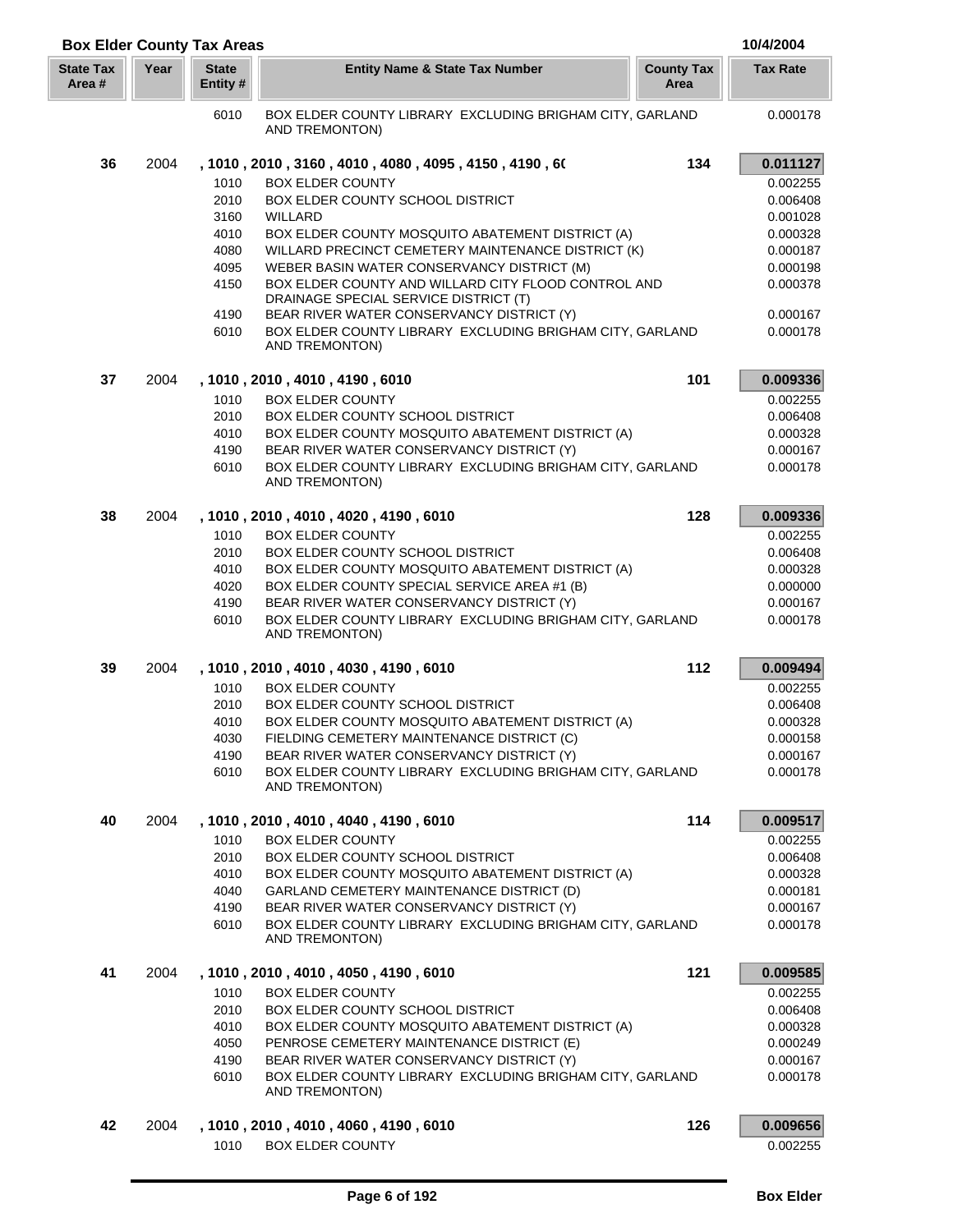| <b>Box Elder County Tax Areas</b> |      |                          |                                                                                              |                           | 10/4/2004       |
|-----------------------------------|------|--------------------------|----------------------------------------------------------------------------------------------|---------------------------|-----------------|
| <b>State Tax</b><br>Area #        | Year | <b>State</b><br>Entity # | <b>Entity Name &amp; State Tax Number</b>                                                    | <b>County Tax</b><br>Area | <b>Tax Rate</b> |
|                                   |      | 6010                     | BOX ELDER COUNTY LIBRARY EXCLUDING BRIGHAM CITY, GARLAND<br>AND TREMONTON)                   |                           | 0.000178        |
| 36                                | 2004 |                          | , 1010 , 2010 , 3160 , 4010 , 4080 , 4095 , 4150 , 4190 , 60                                 | 134                       | 0.011127        |
|                                   |      | 1010                     | <b>BOX ELDER COUNTY</b>                                                                      |                           | 0.002255        |
|                                   |      | 2010                     | BOX ELDER COUNTY SCHOOL DISTRICT                                                             |                           | 0.006408        |
|                                   |      | 3160                     | WILLARD                                                                                      |                           | 0.001028        |
|                                   |      | 4010                     | BOX ELDER COUNTY MOSQUITO ABATEMENT DISTRICT (A)                                             |                           | 0.000328        |
|                                   |      | 4080                     | WILLARD PRECINCT CEMETERY MAINTENANCE DISTRICT (K)                                           |                           | 0.000187        |
|                                   |      | 4095                     | WEBER BASIN WATER CONSERVANCY DISTRICT (M)                                                   |                           | 0.000198        |
|                                   |      | 4150                     | BOX ELDER COUNTY AND WILLARD CITY FLOOD CONTROL AND<br>DRAINAGE SPECIAL SERVICE DISTRICT (T) |                           | 0.000378        |
|                                   |      | 4190                     | BEAR RIVER WATER CONSERVANCY DISTRICT (Y)                                                    |                           | 0.000167        |
|                                   |      | 6010                     | BOX ELDER COUNTY LIBRARY EXCLUDING BRIGHAM CITY, GARLAND<br>AND TREMONTON)                   |                           | 0.000178        |
| 37                                | 2004 |                          | , 1010, 2010, 4010, 4190, 6010                                                               | 101                       | 0.009336        |
|                                   |      | 1010                     | <b>BOX ELDER COUNTY</b>                                                                      |                           | 0.002255        |
|                                   |      | 2010                     | BOX ELDER COUNTY SCHOOL DISTRICT                                                             |                           | 0.006408        |
|                                   |      | 4010                     | BOX ELDER COUNTY MOSQUITO ABATEMENT DISTRICT (A)                                             |                           | 0.000328        |
|                                   |      | 4190                     | BEAR RIVER WATER CONSERVANCY DISTRICT (Y)                                                    |                           | 0.000167        |
|                                   |      | 6010                     | BOX ELDER COUNTY LIBRARY EXCLUDING BRIGHAM CITY, GARLAND<br>AND TREMONTON)                   |                           | 0.000178        |
| 38                                | 2004 |                          | , 1010 , 2010 , 4010 , 4020 , 4190 , 6010                                                    | 128                       | 0.009336        |
|                                   |      | 1010                     | <b>BOX ELDER COUNTY</b>                                                                      |                           | 0.002255        |
|                                   |      | 2010                     | BOX ELDER COUNTY SCHOOL DISTRICT                                                             |                           | 0.006408        |
|                                   |      | 4010                     | BOX ELDER COUNTY MOSQUITO ABATEMENT DISTRICT (A)                                             |                           | 0.000328        |
|                                   |      | 4020                     | BOX ELDER COUNTY SPECIAL SERVICE AREA #1 (B)                                                 |                           | 0.000000        |
|                                   |      | 4190                     | BEAR RIVER WATER CONSERVANCY DISTRICT (Y)                                                    |                           | 0.000167        |
|                                   |      | 6010                     | BOX ELDER COUNTY LIBRARY EXCLUDING BRIGHAM CITY, GARLAND<br>AND TREMONTON)                   |                           | 0.000178        |
| 39                                | 2004 |                          | , 1010, 2010, 4010, 4030, 4190, 6010                                                         | 112                       | 0.009494        |
|                                   |      | 1010                     | <b>BOX ELDER COUNTY</b>                                                                      |                           | 0.002255        |
|                                   |      | 2010                     | BOX ELDER COUNTY SCHOOL DISTRICT                                                             |                           | 0.006408        |
|                                   |      | 4010                     | BOX ELDER COUNTY MOSQUITO ABATEMENT DISTRICT (A)                                             |                           | 0.000328        |
|                                   |      | 4030                     | FIELDING CEMETERY MAINTENANCE DISTRICT (C)                                                   |                           | 0.000158        |
|                                   |      | 4190                     | BEAR RIVER WATER CONSERVANCY DISTRICT (Y)                                                    |                           | 0.000167        |
|                                   |      | 6010                     | BOX ELDER COUNTY LIBRARY EXCLUDING BRIGHAM CITY, GARLAND<br>AND TREMONTON)                   |                           | 0.000178        |
| 40                                | 2004 |                          | , 1010, 2010, 4010, 4040, 4190, 6010                                                         | 114                       | 0.009517        |
|                                   |      | 1010                     | <b>BOX ELDER COUNTY</b>                                                                      |                           | 0.002255        |
|                                   |      | 2010                     | BOX ELDER COUNTY SCHOOL DISTRICT                                                             |                           | 0.006408        |
|                                   |      | 4010                     | BOX ELDER COUNTY MOSQUITO ABATEMENT DISTRICT (A)                                             |                           | 0.000328        |
|                                   |      | 4040                     | GARLAND CEMETERY MAINTENANCE DISTRICT (D)                                                    |                           | 0.000181        |
|                                   |      | 4190                     | BEAR RIVER WATER CONSERVANCY DISTRICT (Y)                                                    |                           | 0.000167        |
|                                   |      | 6010                     | BOX ELDER COUNTY LIBRARY EXCLUDING BRIGHAM CITY, GARLAND<br>AND TREMONTON)                   |                           | 0.000178        |
| 41                                | 2004 |                          | , 1010, 2010, 4010, 4050, 4190, 6010                                                         | 121                       | 0.009585        |
|                                   |      | 1010                     | <b>BOX ELDER COUNTY</b>                                                                      |                           | 0.002255        |
|                                   |      | 2010                     | BOX ELDER COUNTY SCHOOL DISTRICT                                                             |                           | 0.006408        |
|                                   |      | 4010                     | BOX ELDER COUNTY MOSQUITO ABATEMENT DISTRICT (A)                                             |                           | 0.000328        |
|                                   |      | 4050                     | PENROSE CEMETERY MAINTENANCE DISTRICT (E)                                                    |                           | 0.000249        |
|                                   |      | 4190                     | BEAR RIVER WATER CONSERVANCY DISTRICT (Y)                                                    |                           | 0.000167        |
|                                   |      | 6010                     | BOX ELDER COUNTY LIBRARY EXCLUDING BRIGHAM CITY, GARLAND<br>AND TREMONTON)                   |                           | 0.000178        |
| 42                                | 2004 |                          | , 1010, 2010, 4010, 4060, 4190, 6010                                                         | 126                       | 0.009656        |
|                                   |      | 1010                     | <b>BOX ELDER COUNTY</b>                                                                      |                           | 0.002255        |
|                                   |      |                          |                                                                                              |                           |                 |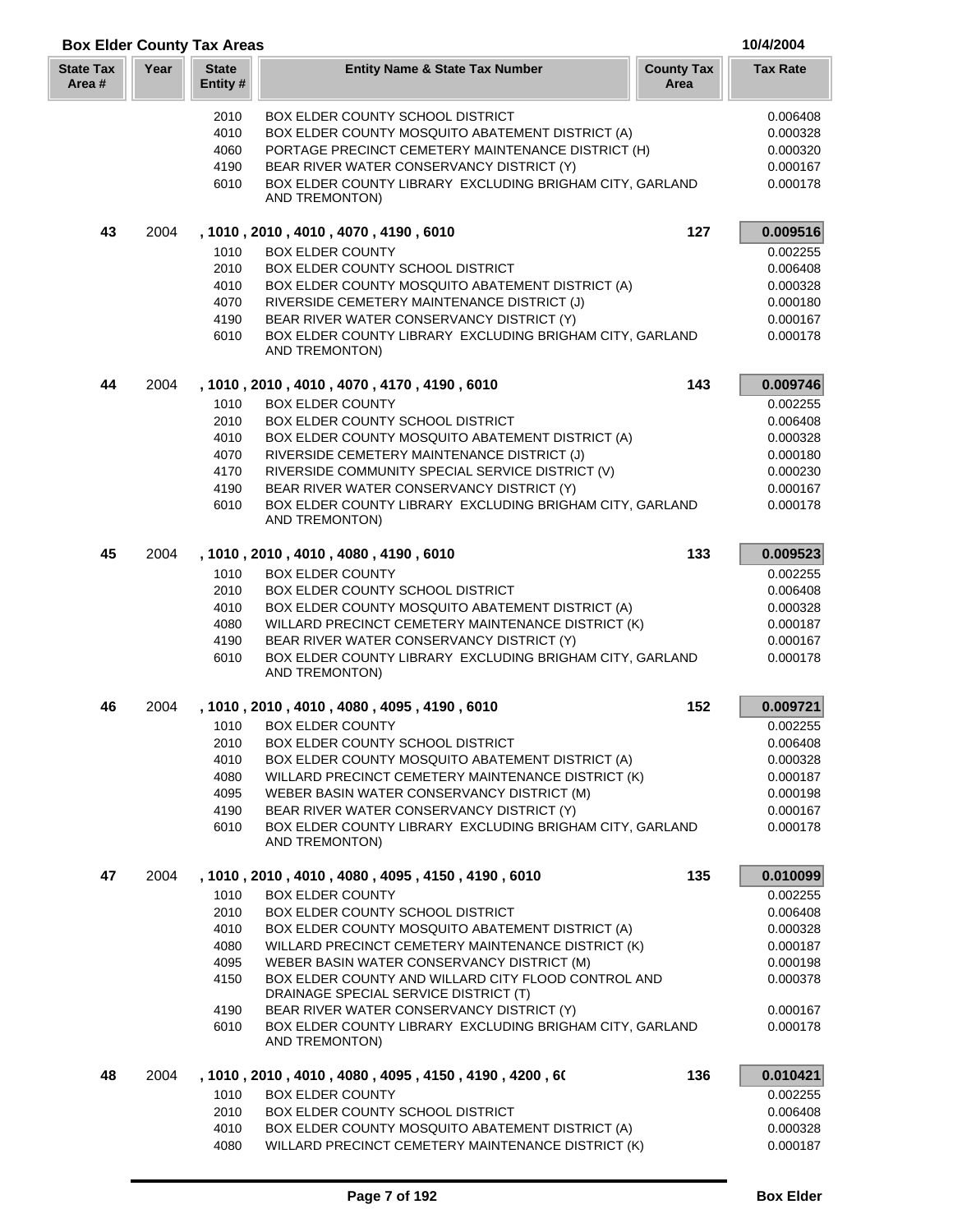| <b>Box Elder County Tax Areas</b> |      |                          |                                                                                   |                           | 10/4/2004       |
|-----------------------------------|------|--------------------------|-----------------------------------------------------------------------------------|---------------------------|-----------------|
| <b>State Tax</b><br>Area #        | Year | <b>State</b><br>Entity # | <b>Entity Name &amp; State Tax Number</b>                                         | <b>County Tax</b><br>Area | <b>Tax Rate</b> |
|                                   |      | 2010                     | <b>BOX ELDER COUNTY SCHOOL DISTRICT</b>                                           |                           | 0.006408        |
|                                   |      | 4010                     | BOX ELDER COUNTY MOSQUITO ABATEMENT DISTRICT (A)                                  |                           | 0.000328        |
|                                   |      | 4060                     | PORTAGE PRECINCT CEMETERY MAINTENANCE DISTRICT (H)                                |                           | 0.000320        |
|                                   |      | 4190                     | BEAR RIVER WATER CONSERVANCY DISTRICT (Y)                                         |                           | 0.000167        |
|                                   |      | 6010                     | BOX ELDER COUNTY LIBRARY EXCLUDING BRIGHAM CITY, GARLAND<br><b>AND TREMONTON)</b> |                           | 0.000178        |
|                                   |      |                          |                                                                                   |                           |                 |
| 43                                | 2004 |                          | , 1010 , 2010 , 4010 , 4070 , 4190 , 6010                                         | 127                       | 0.009516        |
|                                   |      | 1010                     | <b>BOX ELDER COUNTY</b>                                                           |                           | 0.002255        |
|                                   |      | 2010                     | BOX ELDER COUNTY SCHOOL DISTRICT                                                  |                           | 0.006408        |
|                                   |      | 4010                     | BOX ELDER COUNTY MOSQUITO ABATEMENT DISTRICT (A)                                  |                           | 0.000328        |
|                                   |      | 4070                     | RIVERSIDE CEMETERY MAINTENANCE DISTRICT (J)                                       |                           | 0.000180        |
|                                   |      | 4190                     | BEAR RIVER WATER CONSERVANCY DISTRICT (Y)                                         |                           | 0.000167        |
|                                   |      | 6010                     | BOX ELDER COUNTY LIBRARY EXCLUDING BRIGHAM CITY, GARLAND<br><b>AND TREMONTON)</b> |                           | 0.000178        |
| 44                                | 2004 |                          | , 1010, 2010, 4010, 4070, 4170, 4190, 6010                                        | 143                       | 0.009746        |
|                                   |      | 1010                     | <b>BOX ELDER COUNTY</b>                                                           |                           | 0.002255        |
|                                   |      | 2010                     | <b>BOX ELDER COUNTY SCHOOL DISTRICT</b>                                           |                           | 0.006408        |
|                                   |      | 4010                     | BOX ELDER COUNTY MOSQUITO ABATEMENT DISTRICT (A)                                  |                           | 0.000328        |
|                                   |      | 4070                     | RIVERSIDE CEMETERY MAINTENANCE DISTRICT (J)                                       |                           | 0.000180        |
|                                   |      | 4170                     | RIVERSIDE COMMUNITY SPECIAL SERVICE DISTRICT (V)                                  |                           | 0.000230        |
|                                   |      | 4190                     | BEAR RIVER WATER CONSERVANCY DISTRICT (Y)                                         |                           | 0.000167        |
|                                   |      | 6010                     | BOX ELDER COUNTY LIBRARY EXCLUDING BRIGHAM CITY, GARLAND<br>AND TREMONTON)        |                           | 0.000178        |
| 45                                | 2004 |                          | , 1010, 2010, 4010, 4080, 4190, 6010                                              | 133                       | 0.009523        |
|                                   |      | 1010                     | <b>BOX ELDER COUNTY</b>                                                           |                           | 0.002255        |
|                                   |      | 2010                     | BOX ELDER COUNTY SCHOOL DISTRICT                                                  |                           | 0.006408        |
|                                   |      | 4010                     | BOX ELDER COUNTY MOSQUITO ABATEMENT DISTRICT (A)                                  |                           | 0.000328        |
|                                   |      | 4080                     | WILLARD PRECINCT CEMETERY MAINTENANCE DISTRICT (K)                                |                           | 0.000187        |
|                                   |      | 4190                     | BEAR RIVER WATER CONSERVANCY DISTRICT (Y)                                         |                           | 0.000167        |
|                                   |      | 6010                     | BOX ELDER COUNTY LIBRARY EXCLUDING BRIGHAM CITY, GARLAND<br>AND TREMONTON)        |                           | 0.000178        |
| 46                                | 2004 |                          | , 1010, 2010, 4010, 4080, 4095, 4190, 6010                                        | 152                       | 0.009721        |
|                                   |      | 1010                     | BOX ELDER COUNTY                                                                  |                           | 0.002255        |
|                                   |      | 2010                     | <b>BOX ELDER COUNTY SCHOOL DISTRICT</b>                                           |                           | 0.006408        |
|                                   |      | 4010                     | BOX ELDER COUNTY MOSQUITO ABATEMENT DISTRICT (A)                                  |                           | 0.000328        |
|                                   |      | 4080                     | WILLARD PRECINCT CEMETERY MAINTENANCE DISTRICT (K)                                |                           | 0.000187        |
|                                   |      | 4095                     | WEBER BASIN WATER CONSERVANCY DISTRICT (M)                                        |                           | 0.000198        |
|                                   |      | 4190                     | BEAR RIVER WATER CONSERVANCY DISTRICT (Y)                                         |                           | 0.000167        |
|                                   |      | 6010                     | BOX ELDER COUNTY LIBRARY EXCLUDING BRIGHAM CITY, GARLAND<br>AND TREMONTON)        |                           | 0.000178        |
| 47                                | 2004 |                          | , 1010, 2010, 4010, 4080, 4095, 4150, 4190, 6010                                  | 135                       | 0.010099        |
|                                   |      | 1010                     | <b>BOX ELDER COUNTY</b>                                                           |                           | 0.002255        |
|                                   |      | 2010                     | BOX ELDER COUNTY SCHOOL DISTRICT                                                  |                           | 0.006408        |
|                                   |      | 4010                     | BOX ELDER COUNTY MOSQUITO ABATEMENT DISTRICT (A)                                  |                           | 0.000328        |
|                                   |      | 4080                     | WILLARD PRECINCT CEMETERY MAINTENANCE DISTRICT (K)                                |                           | 0.000187        |
|                                   |      | 4095                     | WEBER BASIN WATER CONSERVANCY DISTRICT (M)                                        |                           | 0.000198        |
|                                   |      | 4150                     | BOX ELDER COUNTY AND WILLARD CITY FLOOD CONTROL AND                               |                           | 0.000378        |
|                                   |      |                          | DRAINAGE SPECIAL SERVICE DISTRICT (T)                                             |                           |                 |
|                                   |      | 4190                     | BEAR RIVER WATER CONSERVANCY DISTRICT (Y)                                         |                           | 0.000167        |
|                                   |      | 6010                     | BOX ELDER COUNTY LIBRARY EXCLUDING BRIGHAM CITY, GARLAND<br>AND TREMONTON)        |                           | 0.000178        |
| 48                                | 2004 |                          | , 1010 , 2010 , 4010 , 4080 , 4095 , 4150 , 4190 , 4200 , 60                      | 136                       | 0.010421        |
|                                   |      | 1010                     | <b>BOX ELDER COUNTY</b>                                                           |                           | 0.002255        |
|                                   |      | 2010                     | <b>BOX ELDER COUNTY SCHOOL DISTRICT</b>                                           |                           | 0.006408        |
|                                   |      | 4010                     | BOX ELDER COUNTY MOSQUITO ABATEMENT DISTRICT (A)                                  |                           | 0.000328        |
|                                   |      | 4080                     | WILLARD PRECINCT CEMETERY MAINTENANCE DISTRICT (K)                                |                           | 0.000187        |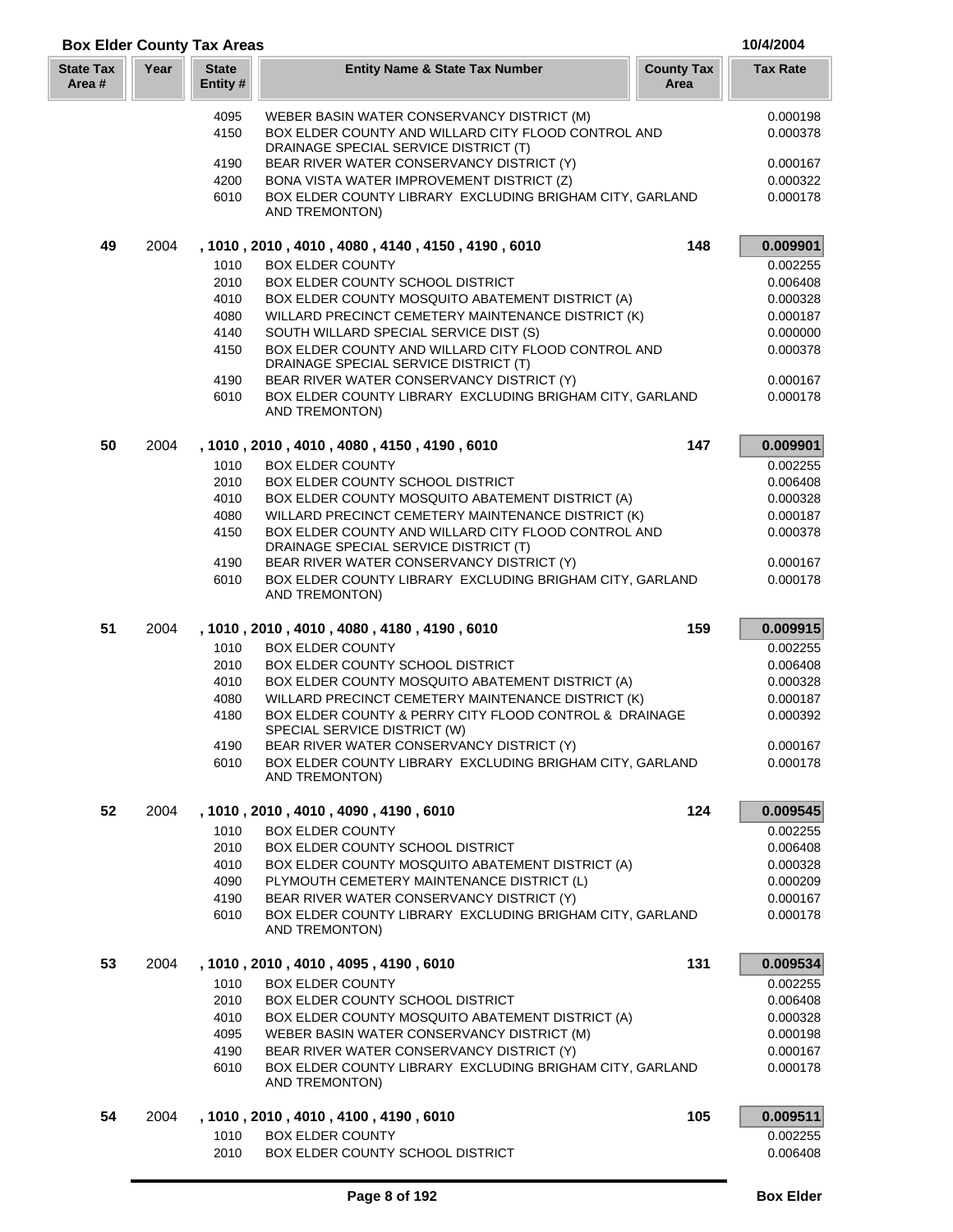| Year<br><b>State Tax</b><br><b>State</b><br><b>Entity Name &amp; State Tax Number</b><br><b>County Tax</b><br><b>Tax Rate</b><br>Area #<br>Entity #<br>Area<br>WEBER BASIN WATER CONSERVANCY DISTRICT (M)<br>0.000198<br>4095<br>BOX ELDER COUNTY AND WILLARD CITY FLOOD CONTROL AND<br>4150<br>DRAINAGE SPECIAL SERVICE DISTRICT (T)<br>4190<br>BEAR RIVER WATER CONSERVANCY DISTRICT (Y)<br>4200<br>BONA VISTA WATER IMPROVEMENT DISTRICT (Z)<br>6010<br>BOX ELDER COUNTY LIBRARY EXCLUDING BRIGHAM CITY, GARLAND<br>AND TREMONTON)<br>2004<br>148<br>49<br>, 1010, 2010, 4010, 4080, 4140, 4150, 4190, 6010<br>1010<br><b>BOX ELDER COUNTY</b><br>2010<br>BOX ELDER COUNTY SCHOOL DISTRICT<br>0.006408<br>4010<br>BOX ELDER COUNTY MOSQUITO ABATEMENT DISTRICT (A)<br>0.000328<br>WILLARD PRECINCT CEMETERY MAINTENANCE DISTRICT (K)<br>4080<br>0.000187<br>4140<br>SOUTH WILLARD SPECIAL SERVICE DIST (S)<br>0.000000<br>BOX ELDER COUNTY AND WILLARD CITY FLOOD CONTROL AND<br>4150<br>0.000378<br>DRAINAGE SPECIAL SERVICE DISTRICT (T)<br>BEAR RIVER WATER CONSERVANCY DISTRICT (Y)<br>4190<br>0.000167<br>6010<br>BOX ELDER COUNTY LIBRARY EXCLUDING BRIGHAM CITY, GARLAND<br>0.000178<br><b>AND TREMONTON)</b><br>50<br>2004<br>147<br>0.009901<br>, 1010 , 2010 , 4010 , 4080 , 4150 , 4190 , 6010<br>1010<br><b>BOX ELDER COUNTY</b><br>0.002255<br>2010<br><b>BOX ELDER COUNTY SCHOOL DISTRICT</b><br>0.006408<br>4010<br>BOX ELDER COUNTY MOSQUITO ABATEMENT DISTRICT (A)<br>0.000328<br>WILLARD PRECINCT CEMETERY MAINTENANCE DISTRICT (K)<br>4080<br>4150<br>BOX ELDER COUNTY AND WILLARD CITY FLOOD CONTROL AND<br>DRAINAGE SPECIAL SERVICE DISTRICT (T)<br>4190<br>BEAR RIVER WATER CONSERVANCY DISTRICT (Y)<br>BOX ELDER COUNTY LIBRARY EXCLUDING BRIGHAM CITY, GARLAND<br>6010<br>AND TREMONTON)<br>51<br>2004<br>159<br>, 1010, 2010, 4010, 4080, 4180, 4190, 6010<br>1010<br><b>BOX ELDER COUNTY</b><br>2010<br>0.006408<br>BOX ELDER COUNTY SCHOOL DISTRICT<br>4010<br>BOX ELDER COUNTY MOSQUITO ABATEMENT DISTRICT (A)<br>0.000328<br>WILLARD PRECINCT CEMETERY MAINTENANCE DISTRICT (K)<br>4080<br>0.000187<br>4180<br>BOX ELDER COUNTY & PERRY CITY FLOOD CONTROL & DRAINAGE<br>0.000392<br>SPECIAL SERVICE DISTRICT (W)<br>4190<br>BEAR RIVER WATER CONSERVANCY DISTRICT (Y)<br>0.000167<br>6010<br>BOX ELDER COUNTY LIBRARY EXCLUDING BRIGHAM CITY, GARLAND<br>0.000178<br>AND TREMONTON)<br>52<br>2004<br>, 1010, 2010, 4010, 4090, 4190, 6010<br>124<br>0.002255<br>1010<br><b>BOX ELDER COUNTY</b><br>2010<br>BOX ELDER COUNTY SCHOOL DISTRICT<br>0.006408<br>4010<br>BOX ELDER COUNTY MOSQUITO ABATEMENT DISTRICT (A)<br>0.000328<br>4090<br>PLYMOUTH CEMETERY MAINTENANCE DISTRICT (L)<br>0.000209<br>4190<br>BEAR RIVER WATER CONSERVANCY DISTRICT (Y)<br>0.000167<br>6010<br>BOX ELDER COUNTY LIBRARY EXCLUDING BRIGHAM CITY, GARLAND<br>0.000178<br>AND TREMONTON)<br>53<br>131<br>2004<br>, 1010, 2010, 4010, 4095, 4190, 6010<br>1010<br><b>BOX ELDER COUNTY</b><br>0.002255<br>2010<br>BOX ELDER COUNTY SCHOOL DISTRICT<br>0.006408<br>BOX ELDER COUNTY MOSQUITO ABATEMENT DISTRICT (A)<br>4010<br>0.000328<br>4095<br>WEBER BASIN WATER CONSERVANCY DISTRICT (M)<br>0.000198<br>4190<br>BEAR RIVER WATER CONSERVANCY DISTRICT (Y)<br>0.000167<br>BOX ELDER COUNTY LIBRARY EXCLUDING BRIGHAM CITY, GARLAND<br>6010<br>0.000178<br>AND TREMONTON)<br>54<br>2004<br>, 1010, 2010, 4010, 4100, 4190, 6010<br>105<br>1010<br><b>BOX ELDER COUNTY</b><br>0.002255<br>2010<br>BOX ELDER COUNTY SCHOOL DISTRICT<br>0.006408 | <b>Box Elder County Tax Areas</b> |  |  | 10/4/2004 |
|------------------------------------------------------------------------------------------------------------------------------------------------------------------------------------------------------------------------------------------------------------------------------------------------------------------------------------------------------------------------------------------------------------------------------------------------------------------------------------------------------------------------------------------------------------------------------------------------------------------------------------------------------------------------------------------------------------------------------------------------------------------------------------------------------------------------------------------------------------------------------------------------------------------------------------------------------------------------------------------------------------------------------------------------------------------------------------------------------------------------------------------------------------------------------------------------------------------------------------------------------------------------------------------------------------------------------------------------------------------------------------------------------------------------------------------------------------------------------------------------------------------------------------------------------------------------------------------------------------------------------------------------------------------------------------------------------------------------------------------------------------------------------------------------------------------------------------------------------------------------------------------------------------------------------------------------------------------------------------------------------------------------------------------------------------------------------------------------------------------------------------------------------------------------------------------------------------------------------------------------------------------------------------------------------------------------------------------------------------------------------------------------------------------------------------------------------------------------------------------------------------------------------------------------------------------------------------------------------------------------------------------------------------------------------------------------------------------------------------------------------------------------------------------------------------------------------------------------------------------------------------------------------------------------------------------------------------------------------------------------------------------------------------------------------------------------------------------------------------------------------------------------------------------------------------------------------------------------------------------------------------------------------------------------------------------------------------------------------------------------------------------------------------------------------------------------------------------------------------------------------------------------------------------------------------|-----------------------------------|--|--|-----------|
|                                                                                                                                                                                                                                                                                                                                                                                                                                                                                                                                                                                                                                                                                                                                                                                                                                                                                                                                                                                                                                                                                                                                                                                                                                                                                                                                                                                                                                                                                                                                                                                                                                                                                                                                                                                                                                                                                                                                                                                                                                                                                                                                                                                                                                                                                                                                                                                                                                                                                                                                                                                                                                                                                                                                                                                                                                                                                                                                                                                                                                                                                                                                                                                                                                                                                                                                                                                                                                                                                                                                                            |                                   |  |  |           |
|                                                                                                                                                                                                                                                                                                                                                                                                                                                                                                                                                                                                                                                                                                                                                                                                                                                                                                                                                                                                                                                                                                                                                                                                                                                                                                                                                                                                                                                                                                                                                                                                                                                                                                                                                                                                                                                                                                                                                                                                                                                                                                                                                                                                                                                                                                                                                                                                                                                                                                                                                                                                                                                                                                                                                                                                                                                                                                                                                                                                                                                                                                                                                                                                                                                                                                                                                                                                                                                                                                                                                            |                                   |  |  |           |
|                                                                                                                                                                                                                                                                                                                                                                                                                                                                                                                                                                                                                                                                                                                                                                                                                                                                                                                                                                                                                                                                                                                                                                                                                                                                                                                                                                                                                                                                                                                                                                                                                                                                                                                                                                                                                                                                                                                                                                                                                                                                                                                                                                                                                                                                                                                                                                                                                                                                                                                                                                                                                                                                                                                                                                                                                                                                                                                                                                                                                                                                                                                                                                                                                                                                                                                                                                                                                                                                                                                                                            |                                   |  |  | 0.000378  |
|                                                                                                                                                                                                                                                                                                                                                                                                                                                                                                                                                                                                                                                                                                                                                                                                                                                                                                                                                                                                                                                                                                                                                                                                                                                                                                                                                                                                                                                                                                                                                                                                                                                                                                                                                                                                                                                                                                                                                                                                                                                                                                                                                                                                                                                                                                                                                                                                                                                                                                                                                                                                                                                                                                                                                                                                                                                                                                                                                                                                                                                                                                                                                                                                                                                                                                                                                                                                                                                                                                                                                            |                                   |  |  | 0.000167  |
|                                                                                                                                                                                                                                                                                                                                                                                                                                                                                                                                                                                                                                                                                                                                                                                                                                                                                                                                                                                                                                                                                                                                                                                                                                                                                                                                                                                                                                                                                                                                                                                                                                                                                                                                                                                                                                                                                                                                                                                                                                                                                                                                                                                                                                                                                                                                                                                                                                                                                                                                                                                                                                                                                                                                                                                                                                                                                                                                                                                                                                                                                                                                                                                                                                                                                                                                                                                                                                                                                                                                                            |                                   |  |  | 0.000322  |
|                                                                                                                                                                                                                                                                                                                                                                                                                                                                                                                                                                                                                                                                                                                                                                                                                                                                                                                                                                                                                                                                                                                                                                                                                                                                                                                                                                                                                                                                                                                                                                                                                                                                                                                                                                                                                                                                                                                                                                                                                                                                                                                                                                                                                                                                                                                                                                                                                                                                                                                                                                                                                                                                                                                                                                                                                                                                                                                                                                                                                                                                                                                                                                                                                                                                                                                                                                                                                                                                                                                                                            |                                   |  |  | 0.000178  |
|                                                                                                                                                                                                                                                                                                                                                                                                                                                                                                                                                                                                                                                                                                                                                                                                                                                                                                                                                                                                                                                                                                                                                                                                                                                                                                                                                                                                                                                                                                                                                                                                                                                                                                                                                                                                                                                                                                                                                                                                                                                                                                                                                                                                                                                                                                                                                                                                                                                                                                                                                                                                                                                                                                                                                                                                                                                                                                                                                                                                                                                                                                                                                                                                                                                                                                                                                                                                                                                                                                                                                            |                                   |  |  | 0.009901  |
|                                                                                                                                                                                                                                                                                                                                                                                                                                                                                                                                                                                                                                                                                                                                                                                                                                                                                                                                                                                                                                                                                                                                                                                                                                                                                                                                                                                                                                                                                                                                                                                                                                                                                                                                                                                                                                                                                                                                                                                                                                                                                                                                                                                                                                                                                                                                                                                                                                                                                                                                                                                                                                                                                                                                                                                                                                                                                                                                                                                                                                                                                                                                                                                                                                                                                                                                                                                                                                                                                                                                                            |                                   |  |  | 0.002255  |
|                                                                                                                                                                                                                                                                                                                                                                                                                                                                                                                                                                                                                                                                                                                                                                                                                                                                                                                                                                                                                                                                                                                                                                                                                                                                                                                                                                                                                                                                                                                                                                                                                                                                                                                                                                                                                                                                                                                                                                                                                                                                                                                                                                                                                                                                                                                                                                                                                                                                                                                                                                                                                                                                                                                                                                                                                                                                                                                                                                                                                                                                                                                                                                                                                                                                                                                                                                                                                                                                                                                                                            |                                   |  |  |           |
|                                                                                                                                                                                                                                                                                                                                                                                                                                                                                                                                                                                                                                                                                                                                                                                                                                                                                                                                                                                                                                                                                                                                                                                                                                                                                                                                                                                                                                                                                                                                                                                                                                                                                                                                                                                                                                                                                                                                                                                                                                                                                                                                                                                                                                                                                                                                                                                                                                                                                                                                                                                                                                                                                                                                                                                                                                                                                                                                                                                                                                                                                                                                                                                                                                                                                                                                                                                                                                                                                                                                                            |                                   |  |  |           |
|                                                                                                                                                                                                                                                                                                                                                                                                                                                                                                                                                                                                                                                                                                                                                                                                                                                                                                                                                                                                                                                                                                                                                                                                                                                                                                                                                                                                                                                                                                                                                                                                                                                                                                                                                                                                                                                                                                                                                                                                                                                                                                                                                                                                                                                                                                                                                                                                                                                                                                                                                                                                                                                                                                                                                                                                                                                                                                                                                                                                                                                                                                                                                                                                                                                                                                                                                                                                                                                                                                                                                            |                                   |  |  |           |
|                                                                                                                                                                                                                                                                                                                                                                                                                                                                                                                                                                                                                                                                                                                                                                                                                                                                                                                                                                                                                                                                                                                                                                                                                                                                                                                                                                                                                                                                                                                                                                                                                                                                                                                                                                                                                                                                                                                                                                                                                                                                                                                                                                                                                                                                                                                                                                                                                                                                                                                                                                                                                                                                                                                                                                                                                                                                                                                                                                                                                                                                                                                                                                                                                                                                                                                                                                                                                                                                                                                                                            |                                   |  |  |           |
|                                                                                                                                                                                                                                                                                                                                                                                                                                                                                                                                                                                                                                                                                                                                                                                                                                                                                                                                                                                                                                                                                                                                                                                                                                                                                                                                                                                                                                                                                                                                                                                                                                                                                                                                                                                                                                                                                                                                                                                                                                                                                                                                                                                                                                                                                                                                                                                                                                                                                                                                                                                                                                                                                                                                                                                                                                                                                                                                                                                                                                                                                                                                                                                                                                                                                                                                                                                                                                                                                                                                                            |                                   |  |  |           |
|                                                                                                                                                                                                                                                                                                                                                                                                                                                                                                                                                                                                                                                                                                                                                                                                                                                                                                                                                                                                                                                                                                                                                                                                                                                                                                                                                                                                                                                                                                                                                                                                                                                                                                                                                                                                                                                                                                                                                                                                                                                                                                                                                                                                                                                                                                                                                                                                                                                                                                                                                                                                                                                                                                                                                                                                                                                                                                                                                                                                                                                                                                                                                                                                                                                                                                                                                                                                                                                                                                                                                            |                                   |  |  |           |
|                                                                                                                                                                                                                                                                                                                                                                                                                                                                                                                                                                                                                                                                                                                                                                                                                                                                                                                                                                                                                                                                                                                                                                                                                                                                                                                                                                                                                                                                                                                                                                                                                                                                                                                                                                                                                                                                                                                                                                                                                                                                                                                                                                                                                                                                                                                                                                                                                                                                                                                                                                                                                                                                                                                                                                                                                                                                                                                                                                                                                                                                                                                                                                                                                                                                                                                                                                                                                                                                                                                                                            |                                   |  |  |           |
|                                                                                                                                                                                                                                                                                                                                                                                                                                                                                                                                                                                                                                                                                                                                                                                                                                                                                                                                                                                                                                                                                                                                                                                                                                                                                                                                                                                                                                                                                                                                                                                                                                                                                                                                                                                                                                                                                                                                                                                                                                                                                                                                                                                                                                                                                                                                                                                                                                                                                                                                                                                                                                                                                                                                                                                                                                                                                                                                                                                                                                                                                                                                                                                                                                                                                                                                                                                                                                                                                                                                                            |                                   |  |  |           |
|                                                                                                                                                                                                                                                                                                                                                                                                                                                                                                                                                                                                                                                                                                                                                                                                                                                                                                                                                                                                                                                                                                                                                                                                                                                                                                                                                                                                                                                                                                                                                                                                                                                                                                                                                                                                                                                                                                                                                                                                                                                                                                                                                                                                                                                                                                                                                                                                                                                                                                                                                                                                                                                                                                                                                                                                                                                                                                                                                                                                                                                                                                                                                                                                                                                                                                                                                                                                                                                                                                                                                            |                                   |  |  |           |
|                                                                                                                                                                                                                                                                                                                                                                                                                                                                                                                                                                                                                                                                                                                                                                                                                                                                                                                                                                                                                                                                                                                                                                                                                                                                                                                                                                                                                                                                                                                                                                                                                                                                                                                                                                                                                                                                                                                                                                                                                                                                                                                                                                                                                                                                                                                                                                                                                                                                                                                                                                                                                                                                                                                                                                                                                                                                                                                                                                                                                                                                                                                                                                                                                                                                                                                                                                                                                                                                                                                                                            |                                   |  |  |           |
|                                                                                                                                                                                                                                                                                                                                                                                                                                                                                                                                                                                                                                                                                                                                                                                                                                                                                                                                                                                                                                                                                                                                                                                                                                                                                                                                                                                                                                                                                                                                                                                                                                                                                                                                                                                                                                                                                                                                                                                                                                                                                                                                                                                                                                                                                                                                                                                                                                                                                                                                                                                                                                                                                                                                                                                                                                                                                                                                                                                                                                                                                                                                                                                                                                                                                                                                                                                                                                                                                                                                                            |                                   |  |  |           |
|                                                                                                                                                                                                                                                                                                                                                                                                                                                                                                                                                                                                                                                                                                                                                                                                                                                                                                                                                                                                                                                                                                                                                                                                                                                                                                                                                                                                                                                                                                                                                                                                                                                                                                                                                                                                                                                                                                                                                                                                                                                                                                                                                                                                                                                                                                                                                                                                                                                                                                                                                                                                                                                                                                                                                                                                                                                                                                                                                                                                                                                                                                                                                                                                                                                                                                                                                                                                                                                                                                                                                            |                                   |  |  | 0.000187  |
|                                                                                                                                                                                                                                                                                                                                                                                                                                                                                                                                                                                                                                                                                                                                                                                                                                                                                                                                                                                                                                                                                                                                                                                                                                                                                                                                                                                                                                                                                                                                                                                                                                                                                                                                                                                                                                                                                                                                                                                                                                                                                                                                                                                                                                                                                                                                                                                                                                                                                                                                                                                                                                                                                                                                                                                                                                                                                                                                                                                                                                                                                                                                                                                                                                                                                                                                                                                                                                                                                                                                                            |                                   |  |  | 0.000378  |
|                                                                                                                                                                                                                                                                                                                                                                                                                                                                                                                                                                                                                                                                                                                                                                                                                                                                                                                                                                                                                                                                                                                                                                                                                                                                                                                                                                                                                                                                                                                                                                                                                                                                                                                                                                                                                                                                                                                                                                                                                                                                                                                                                                                                                                                                                                                                                                                                                                                                                                                                                                                                                                                                                                                                                                                                                                                                                                                                                                                                                                                                                                                                                                                                                                                                                                                                                                                                                                                                                                                                                            |                                   |  |  |           |
|                                                                                                                                                                                                                                                                                                                                                                                                                                                                                                                                                                                                                                                                                                                                                                                                                                                                                                                                                                                                                                                                                                                                                                                                                                                                                                                                                                                                                                                                                                                                                                                                                                                                                                                                                                                                                                                                                                                                                                                                                                                                                                                                                                                                                                                                                                                                                                                                                                                                                                                                                                                                                                                                                                                                                                                                                                                                                                                                                                                                                                                                                                                                                                                                                                                                                                                                                                                                                                                                                                                                                            |                                   |  |  | 0.000167  |
|                                                                                                                                                                                                                                                                                                                                                                                                                                                                                                                                                                                                                                                                                                                                                                                                                                                                                                                                                                                                                                                                                                                                                                                                                                                                                                                                                                                                                                                                                                                                                                                                                                                                                                                                                                                                                                                                                                                                                                                                                                                                                                                                                                                                                                                                                                                                                                                                                                                                                                                                                                                                                                                                                                                                                                                                                                                                                                                                                                                                                                                                                                                                                                                                                                                                                                                                                                                                                                                                                                                                                            |                                   |  |  | 0.000178  |
|                                                                                                                                                                                                                                                                                                                                                                                                                                                                                                                                                                                                                                                                                                                                                                                                                                                                                                                                                                                                                                                                                                                                                                                                                                                                                                                                                                                                                                                                                                                                                                                                                                                                                                                                                                                                                                                                                                                                                                                                                                                                                                                                                                                                                                                                                                                                                                                                                                                                                                                                                                                                                                                                                                                                                                                                                                                                                                                                                                                                                                                                                                                                                                                                                                                                                                                                                                                                                                                                                                                                                            |                                   |  |  | 0.009915  |
|                                                                                                                                                                                                                                                                                                                                                                                                                                                                                                                                                                                                                                                                                                                                                                                                                                                                                                                                                                                                                                                                                                                                                                                                                                                                                                                                                                                                                                                                                                                                                                                                                                                                                                                                                                                                                                                                                                                                                                                                                                                                                                                                                                                                                                                                                                                                                                                                                                                                                                                                                                                                                                                                                                                                                                                                                                                                                                                                                                                                                                                                                                                                                                                                                                                                                                                                                                                                                                                                                                                                                            |                                   |  |  | 0.002255  |
|                                                                                                                                                                                                                                                                                                                                                                                                                                                                                                                                                                                                                                                                                                                                                                                                                                                                                                                                                                                                                                                                                                                                                                                                                                                                                                                                                                                                                                                                                                                                                                                                                                                                                                                                                                                                                                                                                                                                                                                                                                                                                                                                                                                                                                                                                                                                                                                                                                                                                                                                                                                                                                                                                                                                                                                                                                                                                                                                                                                                                                                                                                                                                                                                                                                                                                                                                                                                                                                                                                                                                            |                                   |  |  |           |
|                                                                                                                                                                                                                                                                                                                                                                                                                                                                                                                                                                                                                                                                                                                                                                                                                                                                                                                                                                                                                                                                                                                                                                                                                                                                                                                                                                                                                                                                                                                                                                                                                                                                                                                                                                                                                                                                                                                                                                                                                                                                                                                                                                                                                                                                                                                                                                                                                                                                                                                                                                                                                                                                                                                                                                                                                                                                                                                                                                                                                                                                                                                                                                                                                                                                                                                                                                                                                                                                                                                                                            |                                   |  |  |           |
|                                                                                                                                                                                                                                                                                                                                                                                                                                                                                                                                                                                                                                                                                                                                                                                                                                                                                                                                                                                                                                                                                                                                                                                                                                                                                                                                                                                                                                                                                                                                                                                                                                                                                                                                                                                                                                                                                                                                                                                                                                                                                                                                                                                                                                                                                                                                                                                                                                                                                                                                                                                                                                                                                                                                                                                                                                                                                                                                                                                                                                                                                                                                                                                                                                                                                                                                                                                                                                                                                                                                                            |                                   |  |  |           |
|                                                                                                                                                                                                                                                                                                                                                                                                                                                                                                                                                                                                                                                                                                                                                                                                                                                                                                                                                                                                                                                                                                                                                                                                                                                                                                                                                                                                                                                                                                                                                                                                                                                                                                                                                                                                                                                                                                                                                                                                                                                                                                                                                                                                                                                                                                                                                                                                                                                                                                                                                                                                                                                                                                                                                                                                                                                                                                                                                                                                                                                                                                                                                                                                                                                                                                                                                                                                                                                                                                                                                            |                                   |  |  |           |
|                                                                                                                                                                                                                                                                                                                                                                                                                                                                                                                                                                                                                                                                                                                                                                                                                                                                                                                                                                                                                                                                                                                                                                                                                                                                                                                                                                                                                                                                                                                                                                                                                                                                                                                                                                                                                                                                                                                                                                                                                                                                                                                                                                                                                                                                                                                                                                                                                                                                                                                                                                                                                                                                                                                                                                                                                                                                                                                                                                                                                                                                                                                                                                                                                                                                                                                                                                                                                                                                                                                                                            |                                   |  |  |           |
|                                                                                                                                                                                                                                                                                                                                                                                                                                                                                                                                                                                                                                                                                                                                                                                                                                                                                                                                                                                                                                                                                                                                                                                                                                                                                                                                                                                                                                                                                                                                                                                                                                                                                                                                                                                                                                                                                                                                                                                                                                                                                                                                                                                                                                                                                                                                                                                                                                                                                                                                                                                                                                                                                                                                                                                                                                                                                                                                                                                                                                                                                                                                                                                                                                                                                                                                                                                                                                                                                                                                                            |                                   |  |  |           |
|                                                                                                                                                                                                                                                                                                                                                                                                                                                                                                                                                                                                                                                                                                                                                                                                                                                                                                                                                                                                                                                                                                                                                                                                                                                                                                                                                                                                                                                                                                                                                                                                                                                                                                                                                                                                                                                                                                                                                                                                                                                                                                                                                                                                                                                                                                                                                                                                                                                                                                                                                                                                                                                                                                                                                                                                                                                                                                                                                                                                                                                                                                                                                                                                                                                                                                                                                                                                                                                                                                                                                            |                                   |  |  |           |
|                                                                                                                                                                                                                                                                                                                                                                                                                                                                                                                                                                                                                                                                                                                                                                                                                                                                                                                                                                                                                                                                                                                                                                                                                                                                                                                                                                                                                                                                                                                                                                                                                                                                                                                                                                                                                                                                                                                                                                                                                                                                                                                                                                                                                                                                                                                                                                                                                                                                                                                                                                                                                                                                                                                                                                                                                                                                                                                                                                                                                                                                                                                                                                                                                                                                                                                                                                                                                                                                                                                                                            |                                   |  |  | 0.009545  |
|                                                                                                                                                                                                                                                                                                                                                                                                                                                                                                                                                                                                                                                                                                                                                                                                                                                                                                                                                                                                                                                                                                                                                                                                                                                                                                                                                                                                                                                                                                                                                                                                                                                                                                                                                                                                                                                                                                                                                                                                                                                                                                                                                                                                                                                                                                                                                                                                                                                                                                                                                                                                                                                                                                                                                                                                                                                                                                                                                                                                                                                                                                                                                                                                                                                                                                                                                                                                                                                                                                                                                            |                                   |  |  |           |
|                                                                                                                                                                                                                                                                                                                                                                                                                                                                                                                                                                                                                                                                                                                                                                                                                                                                                                                                                                                                                                                                                                                                                                                                                                                                                                                                                                                                                                                                                                                                                                                                                                                                                                                                                                                                                                                                                                                                                                                                                                                                                                                                                                                                                                                                                                                                                                                                                                                                                                                                                                                                                                                                                                                                                                                                                                                                                                                                                                                                                                                                                                                                                                                                                                                                                                                                                                                                                                                                                                                                                            |                                   |  |  |           |
|                                                                                                                                                                                                                                                                                                                                                                                                                                                                                                                                                                                                                                                                                                                                                                                                                                                                                                                                                                                                                                                                                                                                                                                                                                                                                                                                                                                                                                                                                                                                                                                                                                                                                                                                                                                                                                                                                                                                                                                                                                                                                                                                                                                                                                                                                                                                                                                                                                                                                                                                                                                                                                                                                                                                                                                                                                                                                                                                                                                                                                                                                                                                                                                                                                                                                                                                                                                                                                                                                                                                                            |                                   |  |  |           |
|                                                                                                                                                                                                                                                                                                                                                                                                                                                                                                                                                                                                                                                                                                                                                                                                                                                                                                                                                                                                                                                                                                                                                                                                                                                                                                                                                                                                                                                                                                                                                                                                                                                                                                                                                                                                                                                                                                                                                                                                                                                                                                                                                                                                                                                                                                                                                                                                                                                                                                                                                                                                                                                                                                                                                                                                                                                                                                                                                                                                                                                                                                                                                                                                                                                                                                                                                                                                                                                                                                                                                            |                                   |  |  |           |
|                                                                                                                                                                                                                                                                                                                                                                                                                                                                                                                                                                                                                                                                                                                                                                                                                                                                                                                                                                                                                                                                                                                                                                                                                                                                                                                                                                                                                                                                                                                                                                                                                                                                                                                                                                                                                                                                                                                                                                                                                                                                                                                                                                                                                                                                                                                                                                                                                                                                                                                                                                                                                                                                                                                                                                                                                                                                                                                                                                                                                                                                                                                                                                                                                                                                                                                                                                                                                                                                                                                                                            |                                   |  |  |           |
|                                                                                                                                                                                                                                                                                                                                                                                                                                                                                                                                                                                                                                                                                                                                                                                                                                                                                                                                                                                                                                                                                                                                                                                                                                                                                                                                                                                                                                                                                                                                                                                                                                                                                                                                                                                                                                                                                                                                                                                                                                                                                                                                                                                                                                                                                                                                                                                                                                                                                                                                                                                                                                                                                                                                                                                                                                                                                                                                                                                                                                                                                                                                                                                                                                                                                                                                                                                                                                                                                                                                                            |                                   |  |  |           |
|                                                                                                                                                                                                                                                                                                                                                                                                                                                                                                                                                                                                                                                                                                                                                                                                                                                                                                                                                                                                                                                                                                                                                                                                                                                                                                                                                                                                                                                                                                                                                                                                                                                                                                                                                                                                                                                                                                                                                                                                                                                                                                                                                                                                                                                                                                                                                                                                                                                                                                                                                                                                                                                                                                                                                                                                                                                                                                                                                                                                                                                                                                                                                                                                                                                                                                                                                                                                                                                                                                                                                            |                                   |  |  | 0.009534  |
|                                                                                                                                                                                                                                                                                                                                                                                                                                                                                                                                                                                                                                                                                                                                                                                                                                                                                                                                                                                                                                                                                                                                                                                                                                                                                                                                                                                                                                                                                                                                                                                                                                                                                                                                                                                                                                                                                                                                                                                                                                                                                                                                                                                                                                                                                                                                                                                                                                                                                                                                                                                                                                                                                                                                                                                                                                                                                                                                                                                                                                                                                                                                                                                                                                                                                                                                                                                                                                                                                                                                                            |                                   |  |  |           |
|                                                                                                                                                                                                                                                                                                                                                                                                                                                                                                                                                                                                                                                                                                                                                                                                                                                                                                                                                                                                                                                                                                                                                                                                                                                                                                                                                                                                                                                                                                                                                                                                                                                                                                                                                                                                                                                                                                                                                                                                                                                                                                                                                                                                                                                                                                                                                                                                                                                                                                                                                                                                                                                                                                                                                                                                                                                                                                                                                                                                                                                                                                                                                                                                                                                                                                                                                                                                                                                                                                                                                            |                                   |  |  |           |
|                                                                                                                                                                                                                                                                                                                                                                                                                                                                                                                                                                                                                                                                                                                                                                                                                                                                                                                                                                                                                                                                                                                                                                                                                                                                                                                                                                                                                                                                                                                                                                                                                                                                                                                                                                                                                                                                                                                                                                                                                                                                                                                                                                                                                                                                                                                                                                                                                                                                                                                                                                                                                                                                                                                                                                                                                                                                                                                                                                                                                                                                                                                                                                                                                                                                                                                                                                                                                                                                                                                                                            |                                   |  |  |           |
|                                                                                                                                                                                                                                                                                                                                                                                                                                                                                                                                                                                                                                                                                                                                                                                                                                                                                                                                                                                                                                                                                                                                                                                                                                                                                                                                                                                                                                                                                                                                                                                                                                                                                                                                                                                                                                                                                                                                                                                                                                                                                                                                                                                                                                                                                                                                                                                                                                                                                                                                                                                                                                                                                                                                                                                                                                                                                                                                                                                                                                                                                                                                                                                                                                                                                                                                                                                                                                                                                                                                                            |                                   |  |  |           |
|                                                                                                                                                                                                                                                                                                                                                                                                                                                                                                                                                                                                                                                                                                                                                                                                                                                                                                                                                                                                                                                                                                                                                                                                                                                                                                                                                                                                                                                                                                                                                                                                                                                                                                                                                                                                                                                                                                                                                                                                                                                                                                                                                                                                                                                                                                                                                                                                                                                                                                                                                                                                                                                                                                                                                                                                                                                                                                                                                                                                                                                                                                                                                                                                                                                                                                                                                                                                                                                                                                                                                            |                                   |  |  |           |
|                                                                                                                                                                                                                                                                                                                                                                                                                                                                                                                                                                                                                                                                                                                                                                                                                                                                                                                                                                                                                                                                                                                                                                                                                                                                                                                                                                                                                                                                                                                                                                                                                                                                                                                                                                                                                                                                                                                                                                                                                                                                                                                                                                                                                                                                                                                                                                                                                                                                                                                                                                                                                                                                                                                                                                                                                                                                                                                                                                                                                                                                                                                                                                                                                                                                                                                                                                                                                                                                                                                                                            |                                   |  |  |           |
|                                                                                                                                                                                                                                                                                                                                                                                                                                                                                                                                                                                                                                                                                                                                                                                                                                                                                                                                                                                                                                                                                                                                                                                                                                                                                                                                                                                                                                                                                                                                                                                                                                                                                                                                                                                                                                                                                                                                                                                                                                                                                                                                                                                                                                                                                                                                                                                                                                                                                                                                                                                                                                                                                                                                                                                                                                                                                                                                                                                                                                                                                                                                                                                                                                                                                                                                                                                                                                                                                                                                                            |                                   |  |  | 0.009511  |
|                                                                                                                                                                                                                                                                                                                                                                                                                                                                                                                                                                                                                                                                                                                                                                                                                                                                                                                                                                                                                                                                                                                                                                                                                                                                                                                                                                                                                                                                                                                                                                                                                                                                                                                                                                                                                                                                                                                                                                                                                                                                                                                                                                                                                                                                                                                                                                                                                                                                                                                                                                                                                                                                                                                                                                                                                                                                                                                                                                                                                                                                                                                                                                                                                                                                                                                                                                                                                                                                                                                                                            |                                   |  |  |           |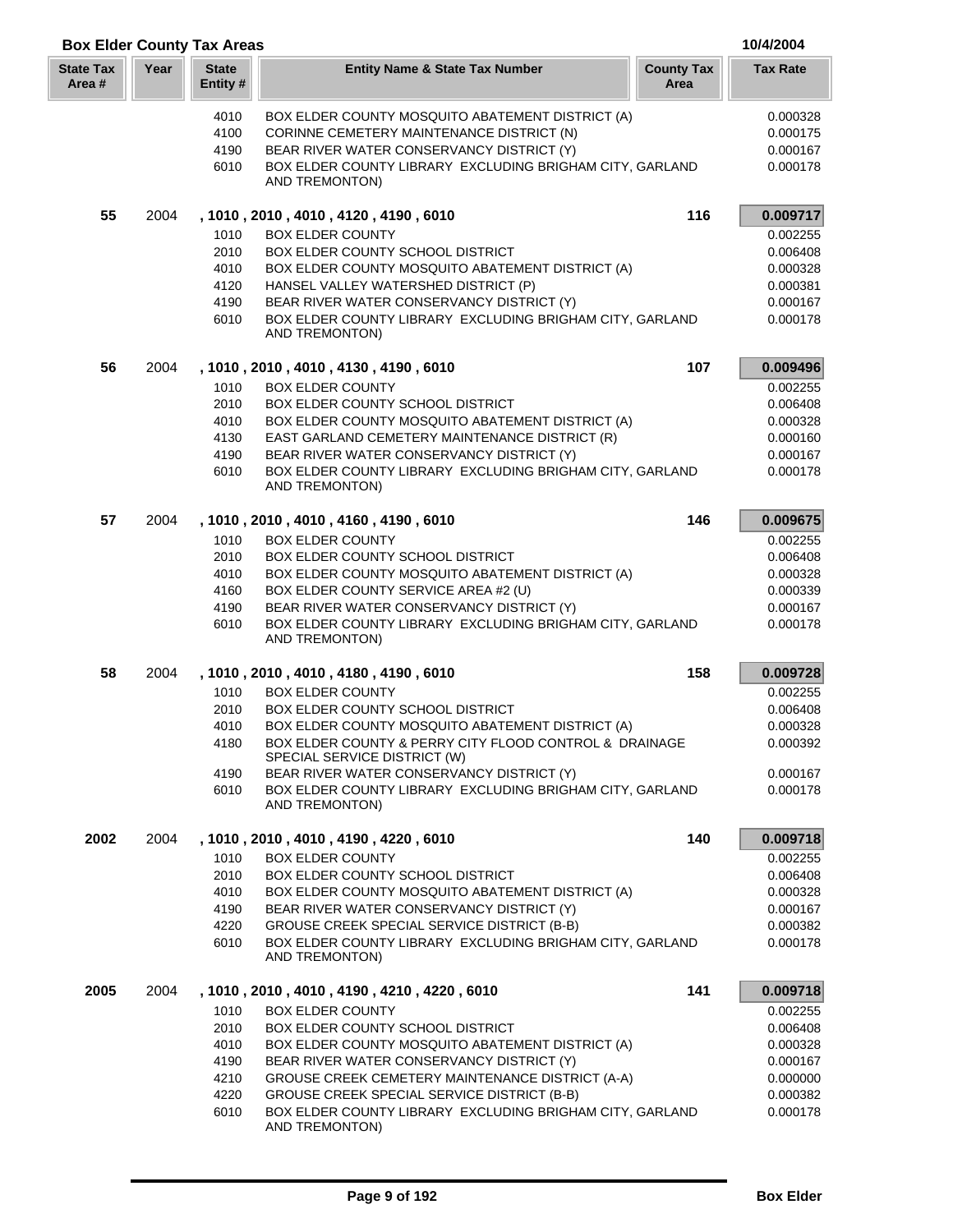|                            |      | <b>Box Elder County Tax Areas</b> |                                                                                        |                           | 10/4/2004       |
|----------------------------|------|-----------------------------------|----------------------------------------------------------------------------------------|---------------------------|-----------------|
| <b>State Tax</b><br>Area # | Year | <b>State</b><br>Entity #          | <b>Entity Name &amp; State Tax Number</b>                                              | <b>County Tax</b><br>Area | <b>Tax Rate</b> |
|                            |      | 4010                              | BOX ELDER COUNTY MOSQUITO ABATEMENT DISTRICT (A)                                       |                           | 0.000328        |
|                            |      | 4100                              | CORINNE CEMETERY MAINTENANCE DISTRICT (N)                                              |                           | 0.000175        |
|                            |      | 4190                              | BEAR RIVER WATER CONSERVANCY DISTRICT (Y)                                              |                           | 0.000167        |
|                            |      | 6010                              | BOX ELDER COUNTY LIBRARY EXCLUDING BRIGHAM CITY, GARLAND                               |                           | 0.000178        |
|                            |      |                                   | AND TREMONTON)                                                                         |                           |                 |
| 55                         | 2004 |                                   | , 1010 , 2010 , 4010 , 4120 , 4190 , 6010                                              | 116                       | 0.009717        |
|                            |      | 1010                              | <b>BOX ELDER COUNTY</b>                                                                |                           | 0.002255        |
|                            |      | 2010                              | BOX ELDER COUNTY SCHOOL DISTRICT                                                       |                           | 0.006408        |
|                            |      | 4010                              | BOX ELDER COUNTY MOSQUITO ABATEMENT DISTRICT (A)                                       |                           | 0.000328        |
|                            |      | 4120                              | HANSEL VALLEY WATERSHED DISTRICT (P)                                                   |                           | 0.000381        |
|                            |      | 4190                              | BEAR RIVER WATER CONSERVANCY DISTRICT (Y)                                              |                           | 0.000167        |
|                            |      | 6010                              | BOX ELDER COUNTY LIBRARY EXCLUDING BRIGHAM CITY, GARLAND<br>AND TREMONTON)             |                           | 0.000178        |
| 56                         | 2004 |                                   | , 1010, 2010, 4010, 4130, 4190, 6010                                                   | 107                       | 0.009496        |
|                            |      | 1010                              | <b>BOX ELDER COUNTY</b>                                                                |                           | 0.002255        |
|                            |      | 2010                              | BOX ELDER COUNTY SCHOOL DISTRICT                                                       |                           | 0.006408        |
|                            |      | 4010                              | BOX ELDER COUNTY MOSQUITO ABATEMENT DISTRICT (A)                                       |                           | 0.000328        |
|                            |      | 4130                              | EAST GARLAND CEMETERY MAINTENANCE DISTRICT (R)                                         |                           | 0.000160        |
|                            |      | 4190                              | BEAR RIVER WATER CONSERVANCY DISTRICT (Y)                                              |                           | 0.000167        |
|                            |      | 6010                              | BOX ELDER COUNTY LIBRARY EXCLUDING BRIGHAM CITY, GARLAND<br>AND TREMONTON)             |                           | 0.000178        |
| 57                         | 2004 |                                   | , 1010, 2010, 4010, 4160, 4190, 6010                                                   | 146                       | 0.009675        |
|                            |      | 1010                              | <b>BOX ELDER COUNTY</b>                                                                |                           | 0.002255        |
|                            |      | 2010                              | <b>BOX ELDER COUNTY SCHOOL DISTRICT</b>                                                |                           | 0.006408        |
|                            |      | 4010                              | BOX ELDER COUNTY MOSQUITO ABATEMENT DISTRICT (A)                                       |                           | 0.000328        |
|                            |      | 4160                              | BOX ELDER COUNTY SERVICE AREA #2 (U)                                                   |                           | 0.000339        |
|                            |      | 4190                              | BEAR RIVER WATER CONSERVANCY DISTRICT (Y)                                              |                           | 0.000167        |
|                            |      | 6010                              | BOX ELDER COUNTY LIBRARY EXCLUDING BRIGHAM CITY, GARLAND<br>AND TREMONTON)             |                           | 0.000178        |
| 58                         | 2004 |                                   | , 1010 , 2010 , 4010 , 4180 , 4190 , 6010                                              | 158                       | 0.009728        |
|                            |      | 1010                              | <b>BOX ELDER COUNTY</b>                                                                |                           | 0.002255        |
|                            |      | 2010                              | <b>BOX ELDER COUNTY SCHOOL DISTRICT</b>                                                |                           | 0.006408        |
|                            |      | 4010                              | BOX ELDER COUNTY MOSQUITO ABATEMENT DISTRICT (A)                                       |                           | 0.000328        |
|                            |      | 4180                              | BOX ELDER COUNTY & PERRY CITY FLOOD CONTROL & DRAINAGE<br>SPECIAL SERVICE DISTRICT (W) |                           | 0.000392        |
|                            |      | 4190                              | BEAR RIVER WATER CONSERVANCY DISTRICT (Y)                                              |                           | 0.000167        |
|                            |      | 6010                              | BOX ELDER COUNTY LIBRARY EXCLUDING BRIGHAM CITY, GARLAND<br>AND TREMONTON)             |                           | 0.000178        |
| 2002                       | 2004 |                                   | , 1010, 2010, 4010, 4190, 4220, 6010                                                   | 140                       | 0.009718        |
|                            |      | 1010                              | <b>BOX ELDER COUNTY</b>                                                                |                           | 0.002255        |
|                            |      | 2010                              | <b>BOX ELDER COUNTY SCHOOL DISTRICT</b>                                                |                           | 0.006408        |
|                            |      | 4010                              | BOX ELDER COUNTY MOSQUITO ABATEMENT DISTRICT (A)                                       |                           | 0.000328        |
|                            |      | 4190                              | BEAR RIVER WATER CONSERVANCY DISTRICT (Y)                                              |                           | 0.000167        |
|                            |      | 4220                              | GROUSE CREEK SPECIAL SERVICE DISTRICT (B-B)                                            |                           | 0.000382        |
|                            |      | 6010                              | BOX ELDER COUNTY LIBRARY EXCLUDING BRIGHAM CITY, GARLAND<br>AND TREMONTON)             |                           | 0.000178        |
| 2005                       | 2004 |                                   | , 1010 , 2010 , 4010 , 4190 , 4210 , 4220 , 6010                                       | 141                       | 0.009718        |
|                            |      | 1010                              | <b>BOX ELDER COUNTY</b>                                                                |                           | 0.002255        |
|                            |      | 2010                              | BOX ELDER COUNTY SCHOOL DISTRICT                                                       |                           | 0.006408        |
|                            |      | 4010                              | BOX ELDER COUNTY MOSQUITO ABATEMENT DISTRICT (A)                                       |                           | 0.000328        |
|                            |      | 4190                              | BEAR RIVER WATER CONSERVANCY DISTRICT (Y)                                              |                           | 0.000167        |
|                            |      | 4210                              | GROUSE CREEK CEMETERY MAINTENANCE DISTRICT (A-A)                                       |                           | 0.000000        |
|                            |      | 4220                              | GROUSE CREEK SPECIAL SERVICE DISTRICT (B-B)                                            |                           | 0.000382        |
|                            |      | 6010                              | BOX ELDER COUNTY LIBRARY EXCLUDING BRIGHAM CITY, GARLAND<br>AND TREMONTON)             |                           | 0.000178        |

I L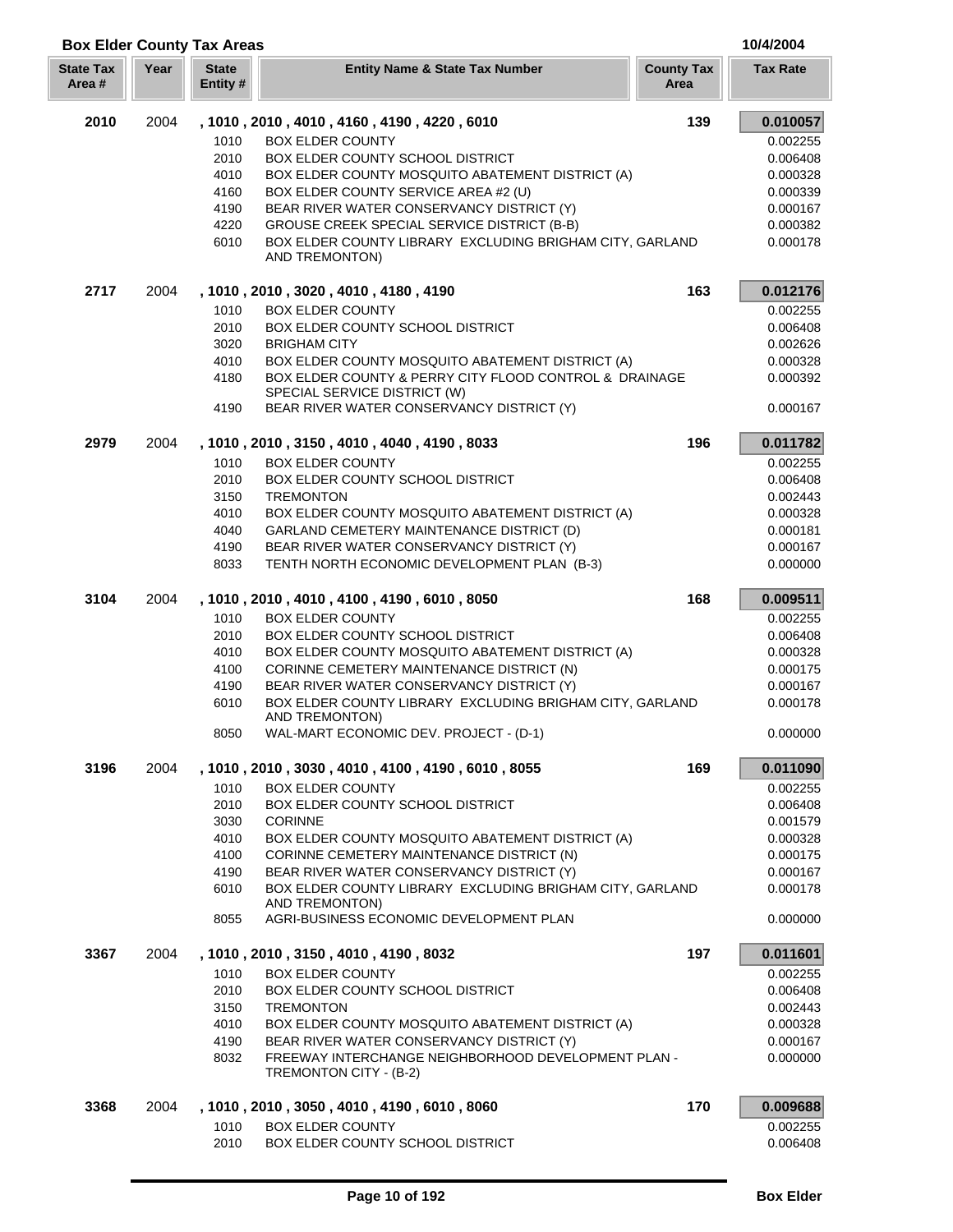| <b>Box Elder County Tax Areas</b> |      |                         |                                                                                                       |                           | 10/4/2004            |
|-----------------------------------|------|-------------------------|-------------------------------------------------------------------------------------------------------|---------------------------|----------------------|
| <b>State Tax</b><br>Area#         | Year | <b>State</b><br>Entity# | <b>Entity Name &amp; State Tax Number</b>                                                             | <b>County Tax</b><br>Area | <b>Tax Rate</b>      |
| 2010                              | 2004 |                         | , 1010 , 2010 , 4010 , 4160 , 4190 , 4220 , 6010                                                      | 139                       | 0.010057             |
|                                   |      | 1010                    | <b>BOX ELDER COUNTY</b>                                                                               |                           | 0.002255             |
|                                   |      | 2010                    | BOX ELDER COUNTY SCHOOL DISTRICT                                                                      |                           | 0.006408             |
|                                   |      | 4010                    | BOX ELDER COUNTY MOSQUITO ABATEMENT DISTRICT (A)                                                      |                           | 0.000328             |
|                                   |      | 4160                    | BOX ELDER COUNTY SERVICE AREA #2 (U)                                                                  |                           | 0.000339             |
|                                   |      | 4190                    | BEAR RIVER WATER CONSERVANCY DISTRICT (Y)                                                             |                           | 0.000167             |
|                                   |      | 4220                    | GROUSE CREEK SPECIAL SERVICE DISTRICT (B-B)                                                           |                           | 0.000382             |
|                                   |      | 6010                    | BOX ELDER COUNTY LIBRARY EXCLUDING BRIGHAM CITY, GARLAND<br>AND TREMONTON)                            |                           | 0.000178             |
| 2717                              | 2004 |                         | , 1010, 2010, 3020, 4010, 4180, 4190                                                                  | 163                       | 0.012176             |
|                                   |      | 1010                    | <b>BOX ELDER COUNTY</b>                                                                               |                           | 0.002255             |
|                                   |      | 2010                    | <b>BOX ELDER COUNTY SCHOOL DISTRICT</b>                                                               |                           | 0.006408             |
|                                   |      | 3020                    | <b>BRIGHAM CITY</b>                                                                                   |                           | 0.002626             |
|                                   |      | 4010                    | BOX ELDER COUNTY MOSQUITO ABATEMENT DISTRICT (A)                                                      |                           | 0.000328             |
|                                   |      | 4180                    | BOX ELDER COUNTY & PERRY CITY FLOOD CONTROL & DRAINAGE                                                |                           | 0.000392             |
|                                   |      | 4190                    | SPECIAL SERVICE DISTRICT (W)<br>BEAR RIVER WATER CONSERVANCY DISTRICT (Y)                             |                           | 0.000167             |
| 2979                              | 2004 |                         | , 1010, 2010, 3150, 4010, 4040, 4190, 8033                                                            | 196                       | 0.011782             |
|                                   |      | 1010                    | <b>BOX ELDER COUNTY</b>                                                                               |                           | 0.002255             |
|                                   |      | 2010                    | <b>BOX ELDER COUNTY SCHOOL DISTRICT</b>                                                               |                           | 0.006408             |
|                                   |      | 3150                    | <b>TREMONTON</b>                                                                                      |                           | 0.002443             |
|                                   |      | 4010                    | BOX ELDER COUNTY MOSQUITO ABATEMENT DISTRICT (A)                                                      |                           | 0.000328             |
|                                   |      | 4040                    | GARLAND CEMETERY MAINTENANCE DISTRICT (D)                                                             |                           | 0.000181             |
|                                   |      | 4190                    | BEAR RIVER WATER CONSERVANCY DISTRICT (Y)                                                             |                           | 0.000167             |
|                                   |      | 8033                    | TENTH NORTH ECONOMIC DEVELOPMENT PLAN (B-3)                                                           |                           | 0.000000             |
| 3104                              | 2004 |                         | , 1010, 2010, 4010, 4100, 4190, 6010, 8050                                                            | 168                       | 0.009511             |
|                                   |      | 1010                    | <b>BOX ELDER COUNTY</b>                                                                               |                           | 0.002255             |
|                                   |      | 2010                    | BOX ELDER COUNTY SCHOOL DISTRICT                                                                      |                           | 0.006408             |
|                                   |      | 4010                    | BOX ELDER COUNTY MOSQUITO ABATEMENT DISTRICT (A)                                                      |                           | 0.000328             |
|                                   |      | 4100                    | CORINNE CEMETERY MAINTENANCE DISTRICT (N)                                                             |                           | 0.000175             |
|                                   |      | 4190<br>6010            | BEAR RIVER WATER CONSERVANCY DISTRICT (Y)<br>BOX ELDER COUNTY LIBRARY EXCLUDING BRIGHAM CITY, GARLAND |                           | 0.000167<br>0.000178 |
|                                   |      |                         | AND TREMONTON)                                                                                        |                           |                      |
|                                   |      | 8050                    | WAL-MART ECONOMIC DEV. PROJECT - (D-1)                                                                |                           | 0.000000             |
| 3196                              | 2004 |                         | , 1010, 2010, 3030, 4010, 4100, 4190, 6010, 8055                                                      | 169                       | 0.011090             |
|                                   |      | 1010                    | <b>BOX ELDER COUNTY</b>                                                                               |                           | 0.002255             |
|                                   |      | 2010                    | <b>BOX ELDER COUNTY SCHOOL DISTRICT</b>                                                               |                           | 0.006408             |
|                                   |      | 3030                    | <b>CORINNE</b>                                                                                        |                           | 0.001579             |
|                                   |      | 4010                    | BOX ELDER COUNTY MOSQUITO ABATEMENT DISTRICT (A)                                                      |                           | 0.000328             |
|                                   |      | 4100                    | CORINNE CEMETERY MAINTENANCE DISTRICT (N)                                                             |                           | 0.000175             |
|                                   |      | 4190                    | BEAR RIVER WATER CONSERVANCY DISTRICT (Y)                                                             |                           | 0.000167             |
|                                   |      | 6010                    | BOX ELDER COUNTY LIBRARY EXCLUDING BRIGHAM CITY, GARLAND<br>AND TREMONTON)                            |                           | 0.000178             |
|                                   |      | 8055                    | AGRI-BUSINESS ECONOMIC DEVELOPMENT PLAN                                                               |                           | 0.000000             |
| 3367                              | 2004 |                         | , 1010, 2010, 3150, 4010, 4190, 8032                                                                  | 197                       | 0.011601             |
|                                   |      | 1010                    | <b>BOX ELDER COUNTY</b>                                                                               |                           | 0.002255             |
|                                   |      | 2010                    | <b>BOX ELDER COUNTY SCHOOL DISTRICT</b>                                                               |                           | 0.006408             |
|                                   |      | 3150                    | <b>TREMONTON</b>                                                                                      |                           | 0.002443             |
|                                   |      | 4010                    | BOX ELDER COUNTY MOSQUITO ABATEMENT DISTRICT (A)                                                      |                           | 0.000328             |
|                                   |      | 4190                    | BEAR RIVER WATER CONSERVANCY DISTRICT (Y)                                                             |                           | 0.000167             |
|                                   |      | 8032                    | FREEWAY INTERCHANGE NEIGHBORHOOD DEVELOPMENT PLAN -<br>TREMONTON CITY - (B-2)                         |                           | 0.000000             |
| 3368                              | 2004 |                         | , 1010, 2010, 3050, 4010, 4190, 6010, 8060                                                            | 170                       | 0.009688             |
|                                   |      | 1010                    | <b>BOX ELDER COUNTY</b>                                                                               |                           | 0.002255             |
|                                   |      | 2010                    | BOX ELDER COUNTY SCHOOL DISTRICT                                                                      |                           | 0.006408             |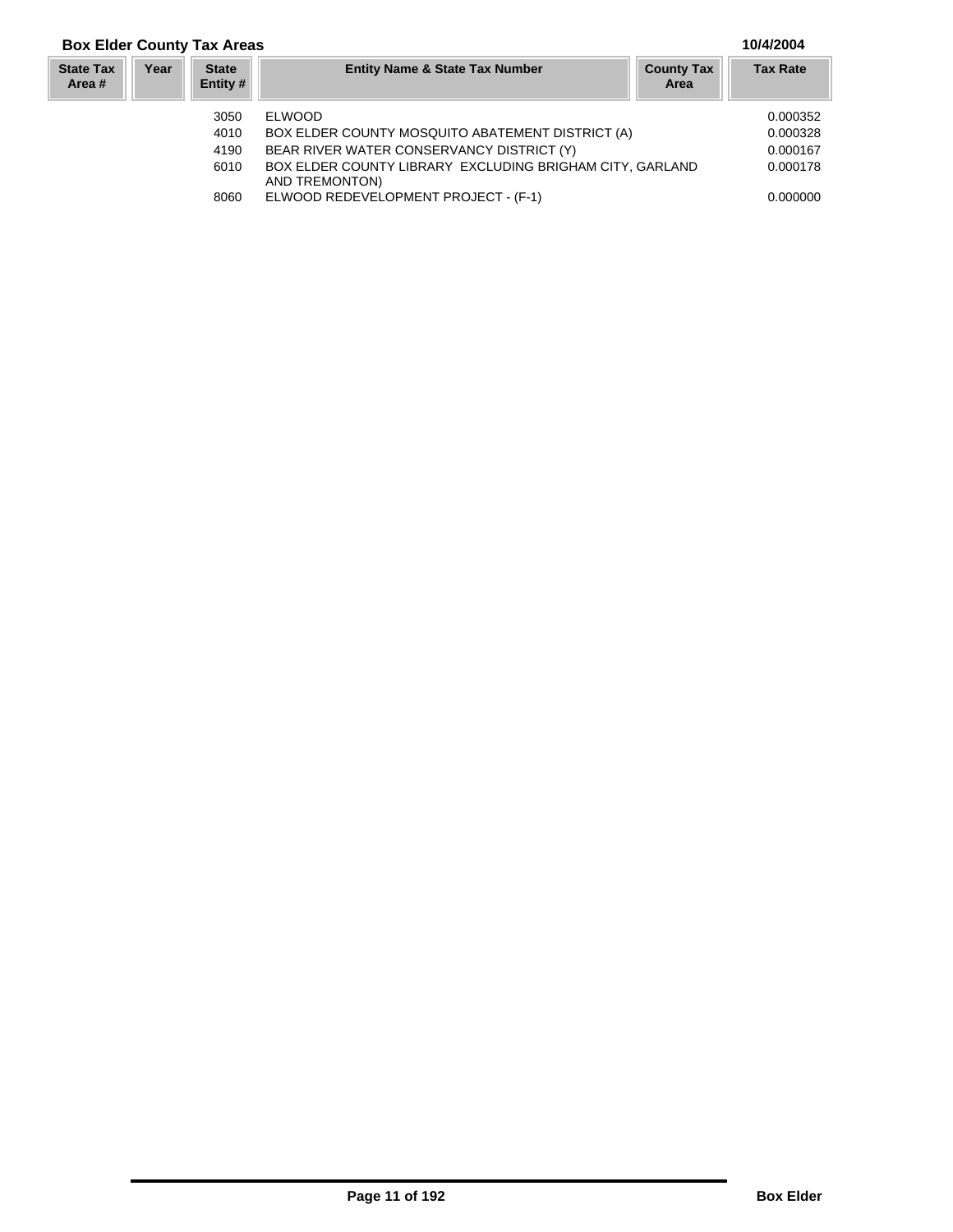## **Box Elder County Tax Areas 10/4/2004**

## **Year Entity Name & State Tax Number County Tax Tax Rate Area State Tax Area # State Entity #** 3050 ELWOOD 0.000352 4010 BOX ELDER COUNTY MOSQUITO ABATEMENT DISTRICT (A)  $0.000328$ <br>4190 BEAR RIVER WATER CONSERVANCY DISTRICT (Y) 0.000167 BEAR RIVER WATER CONSERVANCY DISTRICT (Y)

6010 BOX ELDER COUNTY LIBRARY EXCLUDING BRIGHAM CITY, GARLAND 0.000178 AND TREMONTON) 8060 ELWOOD REDEVELOPMENT PROJECT - (F-1) 0.000000 0.000000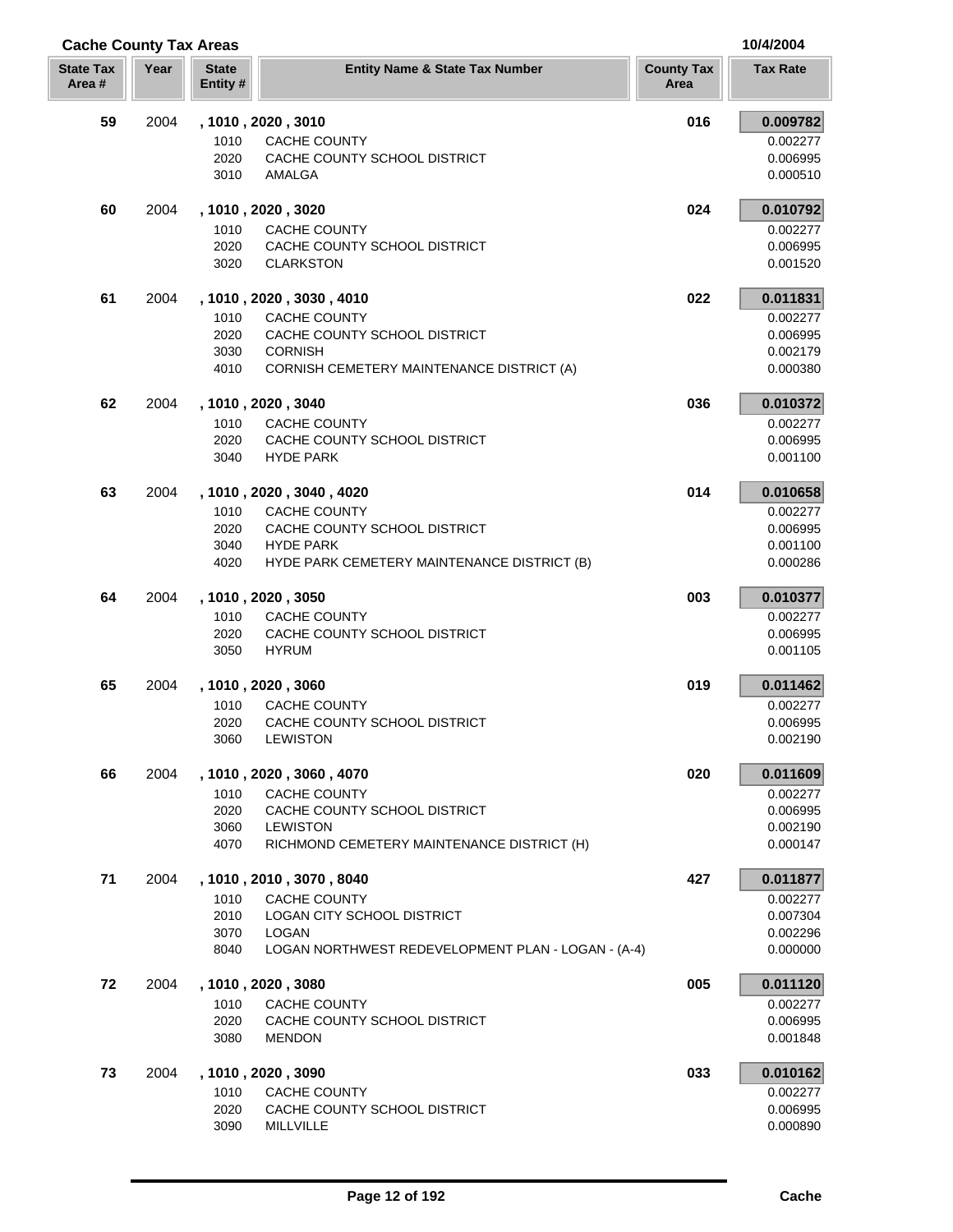| <b>Cache County Tax Areas</b> |      |                          |                                                                    | 10/4/2004                 |                      |  |
|-------------------------------|------|--------------------------|--------------------------------------------------------------------|---------------------------|----------------------|--|
| <b>State Tax</b><br>Area #    | Year | <b>State</b><br>Entity # | <b>Entity Name &amp; State Tax Number</b>                          | <b>County Tax</b><br>Area | <b>Tax Rate</b>      |  |
| 59                            | 2004 |                          | , 1010, 2020, 3010                                                 | 016                       | 0.009782             |  |
|                               |      | 1010                     | CACHE COUNTY                                                       |                           | 0.002277             |  |
|                               |      | 2020                     | CACHE COUNTY SCHOOL DISTRICT                                       |                           | 0.006995             |  |
|                               |      | 3010                     | AMALGA                                                             |                           | 0.000510             |  |
| 60                            | 2004 |                          | , 1010, 2020, 3020                                                 | 024                       | 0.010792             |  |
|                               |      | 1010                     | CACHE COUNTY                                                       |                           | 0.002277             |  |
|                               |      | 2020<br>3020             | CACHE COUNTY SCHOOL DISTRICT<br><b>CLARKSTON</b>                   |                           | 0.006995<br>0.001520 |  |
| 61                            | 2004 |                          | , 1010, 2020, 3030, 4010                                           | 022                       | 0.011831             |  |
|                               |      | 1010                     | <b>CACHE COUNTY</b>                                                |                           | 0.002277             |  |
|                               |      | 2020                     | CACHE COUNTY SCHOOL DISTRICT                                       |                           | 0.006995             |  |
|                               |      | 3030                     | <b>CORNISH</b>                                                     |                           | 0.002179             |  |
|                               |      | 4010                     | CORNISH CEMETERY MAINTENANCE DISTRICT (A)                          |                           | 0.000380             |  |
| 62                            | 2004 |                          | , 1010, 2020, 3040                                                 | 036                       | 0.010372             |  |
|                               |      | 1010<br>2020             | CACHE COUNTY<br>CACHE COUNTY SCHOOL DISTRICT                       |                           | 0.002277<br>0.006995 |  |
|                               |      | 3040                     | <b>HYDE PARK</b>                                                   |                           | 0.001100             |  |
| 63                            | 2004 |                          | , 1010, 2020, 3040, 4020                                           | 014                       | 0.010658             |  |
|                               |      | 1010                     | CACHE COUNTY                                                       |                           | 0.002277             |  |
|                               |      | 2020                     | CACHE COUNTY SCHOOL DISTRICT                                       |                           | 0.006995             |  |
|                               |      | 3040                     | <b>HYDE PARK</b>                                                   |                           | 0.001100             |  |
|                               |      | 4020                     | HYDE PARK CEMETERY MAINTENANCE DISTRICT (B)                        |                           | 0.000286             |  |
| 64                            | 2004 |                          | , 1010, 2020, 3050                                                 | 003                       | 0.010377             |  |
|                               |      | 1010<br>2020             | <b>CACHE COUNTY</b><br>CACHE COUNTY SCHOOL DISTRICT                |                           | 0.002277<br>0.006995 |  |
|                               |      | 3050                     | <b>HYRUM</b>                                                       |                           | 0.001105             |  |
| 65                            | 2004 |                          | , 1010, 2020, 3060                                                 | 019                       | 0.011462             |  |
|                               |      | 1010                     | <b>CACHE COUNTY</b>                                                |                           | 0.002277             |  |
|                               |      | 2020                     | CACHE COUNTY SCHOOL DISTRICT                                       |                           | 0.006995             |  |
|                               |      | 3060                     | LEWISTON                                                           |                           | 0.002190             |  |
| 66                            | 2004 |                          | , 1010, 2020, 3060, 4070                                           | 020                       | 0.011609             |  |
|                               |      | 1010<br>2020             | CACHE COUNTY<br>CACHE COUNTY SCHOOL DISTRICT                       |                           | 0.002277<br>0.006995 |  |
|                               |      | 3060                     | <b>LEWISTON</b>                                                    |                           | 0.002190             |  |
|                               |      | 4070                     | RICHMOND CEMETERY MAINTENANCE DISTRICT (H)                         |                           | 0.000147             |  |
| 71                            | 2004 |                          | , 1010, 2010, 3070, 8040                                           | 427                       | 0.011877             |  |
|                               |      | 1010                     | <b>CACHE COUNTY</b>                                                |                           | 0.002277             |  |
|                               |      | 2010                     | LOGAN CITY SCHOOL DISTRICT                                         |                           | 0.007304             |  |
|                               |      | 3070<br>8040             | <b>LOGAN</b><br>LOGAN NORTHWEST REDEVELOPMENT PLAN - LOGAN - (A-4) |                           | 0.002296<br>0.000000 |  |
| 72                            | 2004 |                          | , 1010, 2020, 3080                                                 | 005                       | 0.011120             |  |
|                               |      | 1010                     | CACHE COUNTY                                                       |                           | 0.002277             |  |
|                               |      | 2020                     | CACHE COUNTY SCHOOL DISTRICT                                       |                           | 0.006995             |  |
|                               |      | 3080                     | <b>MENDON</b>                                                      |                           | 0.001848             |  |
| 73                            | 2004 |                          | , 1010, 2020, 3090                                                 | 033                       | 0.010162             |  |
|                               |      | 1010                     | CACHE COUNTY                                                       |                           | 0.002277             |  |
|                               |      | 2020                     | CACHE COUNTY SCHOOL DISTRICT                                       |                           | 0.006995             |  |
|                               |      | 3090                     | MILLVILLE                                                          |                           | 0.000890             |  |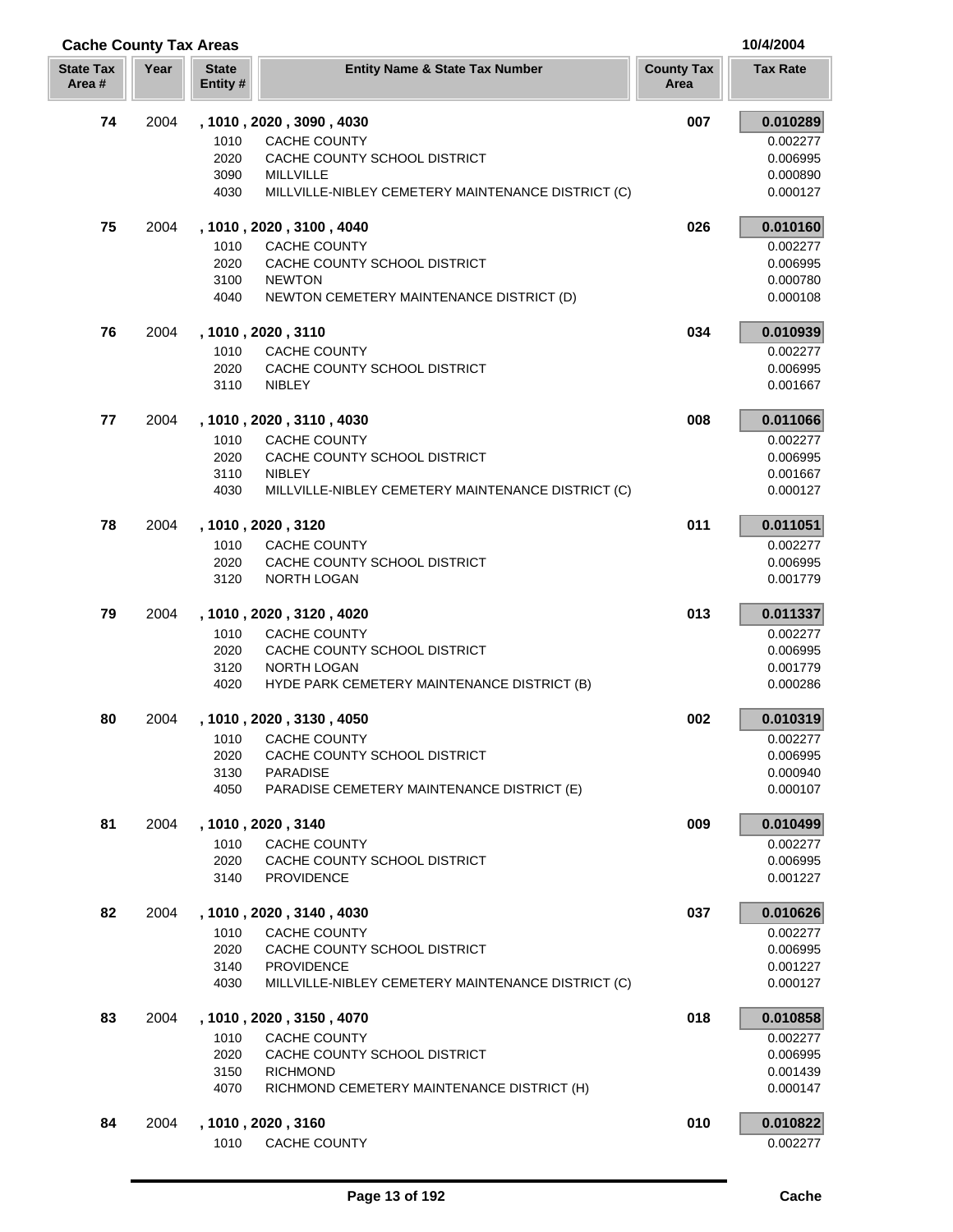| <b>Cache County Tax Areas</b> |      |                          |                                                                   |                           | 10/4/2004            |  |
|-------------------------------|------|--------------------------|-------------------------------------------------------------------|---------------------------|----------------------|--|
| <b>State Tax</b><br>Area#     | Year | <b>State</b><br>Entity # | <b>Entity Name &amp; State Tax Number</b>                         | <b>County Tax</b><br>Area | <b>Tax Rate</b>      |  |
| 74                            | 2004 |                          | , 1010, 2020, 3090, 4030                                          | 007                       | 0.010289             |  |
|                               |      | 1010                     | <b>CACHE COUNTY</b>                                               |                           | 0.002277             |  |
|                               |      | 2020                     | CACHE COUNTY SCHOOL DISTRICT                                      |                           | 0.006995             |  |
|                               |      | 3090                     | <b>MILLVILLE</b>                                                  |                           | 0.000890             |  |
|                               |      | 4030                     | MILLVILLE-NIBLEY CEMETERY MAINTENANCE DISTRICT (C)                |                           | 0.000127             |  |
| 75                            | 2004 |                          | , 1010, 2020, 3100, 4040                                          | 026                       | 0.010160             |  |
|                               |      | 1010                     | <b>CACHE COUNTY</b>                                               |                           | 0.002277             |  |
|                               |      | 2020                     | CACHE COUNTY SCHOOL DISTRICT                                      |                           | 0.006995             |  |
|                               |      | 3100                     | <b>NEWTON</b>                                                     |                           | 0.000780             |  |
|                               |      | 4040                     | NEWTON CEMETERY MAINTENANCE DISTRICT (D)                          |                           | 0.000108             |  |
| 76                            | 2004 |                          | , 1010, 2020, 3110                                                | 034                       | 0.010939             |  |
|                               |      | 1010                     | <b>CACHE COUNTY</b>                                               |                           | 0.002277             |  |
|                               |      | 2020                     | CACHE COUNTY SCHOOL DISTRICT                                      |                           | 0.006995             |  |
|                               |      | 3110                     | NIBLEY                                                            |                           | 0.001667             |  |
| 77                            | 2004 |                          | , 1010, 2020, 3110, 4030                                          | 008                       | 0.011066             |  |
|                               |      | 1010                     | <b>CACHE COUNTY</b>                                               |                           | 0.002277             |  |
|                               |      | 2020                     | CACHE COUNTY SCHOOL DISTRICT                                      |                           | 0.006995             |  |
|                               |      | 3110                     | <b>NIBLEY</b>                                                     |                           | 0.001667             |  |
|                               |      | 4030                     | MILLVILLE-NIBLEY CEMETERY MAINTENANCE DISTRICT (C)                |                           | 0.000127             |  |
| 78                            | 2004 |                          | , 1010, 2020, 3120                                                | 011                       | 0.011051             |  |
|                               |      | 1010                     | <b>CACHE COUNTY</b>                                               |                           | 0.002277             |  |
|                               |      | 2020                     | CACHE COUNTY SCHOOL DISTRICT                                      |                           | 0.006995             |  |
|                               |      | 3120                     | NORTH LOGAN                                                       |                           | 0.001779             |  |
| 79                            | 2004 |                          | , 1010 , 2020 , 3120 , 4020                                       | 013                       | 0.011337             |  |
|                               |      | 1010                     | <b>CACHE COUNTY</b>                                               |                           | 0.002277             |  |
|                               |      | 2020<br>3120             | CACHE COUNTY SCHOOL DISTRICT                                      |                           | 0.006995             |  |
|                               |      | 4020                     | <b>NORTH LOGAN</b><br>HYDE PARK CEMETERY MAINTENANCE DISTRICT (B) |                           | 0.001779<br>0.000286 |  |
|                               |      |                          |                                                                   | 002                       |                      |  |
| 80                            | 2004 |                          | , 1010, 2020, 3130, 4050                                          |                           | 0.010319             |  |
|                               |      | 1010<br>2020             | CACHE COUNTY<br>CACHE COUNTY SCHOOL DISTRICT                      |                           | 0.002277<br>0.006995 |  |
|                               |      | 3130                     | <b>PARADISE</b>                                                   |                           | 0.000940             |  |
|                               |      | 4050                     | PARADISE CEMETERY MAINTENANCE DISTRICT (E)                        |                           | 0.000107             |  |
| 81                            | 2004 |                          | , 1010 , 2020 , 3140                                              | 009                       | 0.010499             |  |
|                               |      | 1010                     | CACHE COUNTY                                                      |                           | 0.002277             |  |
|                               |      | 2020                     | CACHE COUNTY SCHOOL DISTRICT                                      |                           | 0.006995             |  |
|                               |      | 3140                     | <b>PROVIDENCE</b>                                                 |                           | 0.001227             |  |
| 82                            | 2004 |                          | , 1010, 2020, 3140, 4030                                          | 037                       | 0.010626             |  |
|                               |      | 1010                     | CACHE COUNTY                                                      |                           | 0.002277             |  |
|                               |      | 2020                     | CACHE COUNTY SCHOOL DISTRICT                                      |                           | 0.006995             |  |
|                               |      | 3140                     | <b>PROVIDENCE</b>                                                 |                           | 0.001227             |  |
|                               |      | 4030                     | MILLVILLE-NIBLEY CEMETERY MAINTENANCE DISTRICT (C)                |                           | 0.000127             |  |
| 83                            | 2004 |                          | , 1010, 2020, 3150, 4070                                          | 018                       | 0.010858             |  |
|                               |      | 1010                     | <b>CACHE COUNTY</b>                                               |                           | 0.002277             |  |
|                               |      | 2020                     | CACHE COUNTY SCHOOL DISTRICT                                      |                           | 0.006995             |  |
|                               |      | 3150                     | <b>RICHMOND</b>                                                   |                           | 0.001439             |  |
|                               |      | 4070                     | RICHMOND CEMETERY MAINTENANCE DISTRICT (H)                        |                           | 0.000147             |  |
| 84                            | 2004 |                          | , 1010, 2020, 3160                                                | 010                       | 0.010822             |  |
|                               |      | 1010                     | CACHE COUNTY                                                      |                           | 0.002277             |  |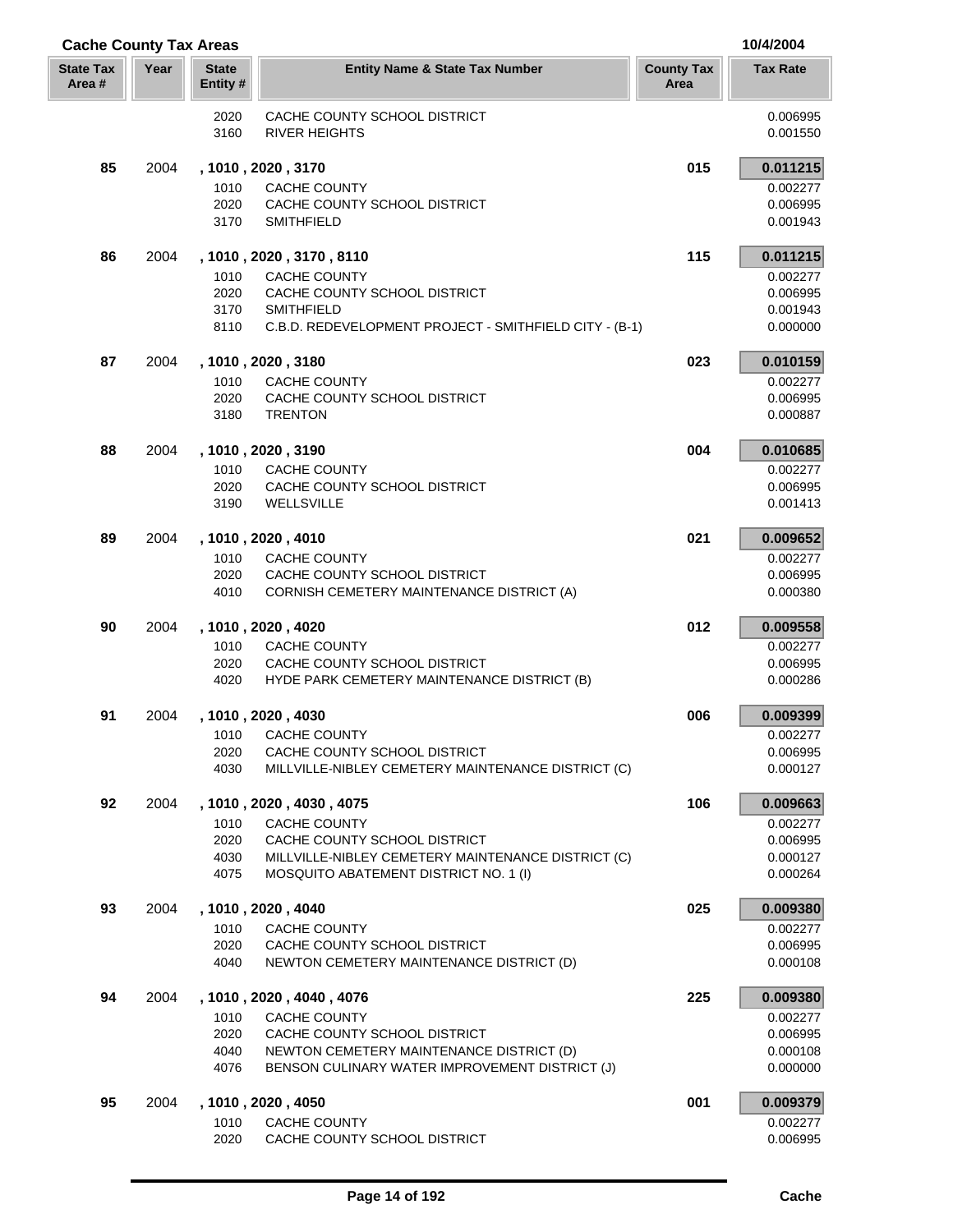| <b>Cache County Tax Areas</b> |      |                         |                                                                                            |                           | 10/4/2004            |
|-------------------------------|------|-------------------------|--------------------------------------------------------------------------------------------|---------------------------|----------------------|
| <b>State Tax</b><br>Area#     | Year | <b>State</b><br>Entity# | <b>Entity Name &amp; State Tax Number</b>                                                  | <b>County Tax</b><br>Area | <b>Tax Rate</b>      |
|                               |      | 2020                    | CACHE COUNTY SCHOOL DISTRICT                                                               |                           | 0.006995             |
|                               |      | 3160                    | <b>RIVER HEIGHTS</b>                                                                       |                           | 0.001550             |
| 85                            | 2004 |                         | , 1010 , 2020 , 3170                                                                       | 015                       | 0.011215             |
|                               |      | 1010                    | CACHE COUNTY                                                                               |                           | 0.002277             |
|                               |      | 2020                    | CACHE COUNTY SCHOOL DISTRICT                                                               |                           | 0.006995             |
|                               |      | 3170                    | <b>SMITHFIELD</b>                                                                          |                           | 0.001943             |
| 86                            | 2004 |                         | , 1010 , 2020 , 3170 , 8110                                                                | 115                       | 0.011215             |
|                               |      | 1010                    | CACHE COUNTY                                                                               |                           | 0.002277             |
|                               |      | 2020<br>3170            | CACHE COUNTY SCHOOL DISTRICT                                                               |                           | 0.006995             |
|                               |      | 8110                    | <b>SMITHFIELD</b><br>C.B.D. REDEVELOPMENT PROJECT - SMITHFIELD CITY - (B-1)                |                           | 0.001943<br>0.000000 |
| 87                            | 2004 |                         | , 1010 , 2020 , 3180                                                                       | 023                       | 0.010159             |
|                               |      | 1010                    | CACHE COUNTY                                                                               |                           | 0.002277             |
|                               |      | 2020                    | CACHE COUNTY SCHOOL DISTRICT                                                               |                           | 0.006995             |
|                               |      | 3180                    | <b>TRENTON</b>                                                                             |                           | 0.000887             |
| 88                            | 2004 |                         | , 1010, 2020, 3190                                                                         | 004                       | 0.010685             |
|                               |      | 1010                    | <b>CACHE COUNTY</b>                                                                        |                           | 0.002277             |
|                               |      | 2020                    | CACHE COUNTY SCHOOL DISTRICT                                                               |                           | 0.006995             |
|                               |      | 3190                    | WELLSVILLE                                                                                 |                           | 0.001413             |
| 89                            | 2004 |                         | , 1010, 2020, 4010                                                                         | 021                       | 0.009652             |
|                               |      | 1010                    | CACHE COUNTY                                                                               |                           | 0.002277             |
|                               |      | 2020                    | CACHE COUNTY SCHOOL DISTRICT                                                               |                           | 0.006995             |
|                               |      | 4010                    | CORNISH CEMETERY MAINTENANCE DISTRICT (A)                                                  |                           | 0.000380             |
| 90                            | 2004 |                         | , 1010, 2020, 4020                                                                         | 012                       | 0.009558             |
|                               |      | 1010                    | <b>CACHE COUNTY</b>                                                                        |                           | 0.002277             |
|                               |      | 2020                    | CACHE COUNTY SCHOOL DISTRICT                                                               |                           | 0.006995             |
|                               |      | 4020                    | HYDE PARK CEMETERY MAINTENANCE DISTRICT (B)                                                |                           | 0.000286             |
| 91                            | 2004 |                         | , 1010, 2020, 4030                                                                         | 006                       | 0.009399             |
|                               |      | 1010                    | CACHE COUNTY                                                                               |                           | 0.002277             |
|                               |      | 2020<br>4030            | CACHE COUNTY SCHOOL DISTRICT<br>MILLVILLE-NIBLEY CEMETERY MAINTENANCE DISTRICT (C)         |                           | 0.006995<br>0.000127 |
|                               |      |                         |                                                                                            |                           |                      |
| 92                            | 2004 | 1010                    | , 1010, 2020, 4030, 4075<br><b>CACHE COUNTY</b>                                            | 106                       | 0.009663<br>0.002277 |
|                               |      | 2020                    | CACHE COUNTY SCHOOL DISTRICT                                                               |                           | 0.006995             |
|                               |      | 4030                    | MILLVILLE-NIBLEY CEMETERY MAINTENANCE DISTRICT (C)                                         |                           | 0.000127             |
|                               |      | 4075                    | MOSQUITO ABATEMENT DISTRICT NO. 1 (I)                                                      |                           | 0.000264             |
| 93                            | 2004 |                         | , 1010, 2020, 4040                                                                         | 025                       | 0.009380             |
|                               |      | 1010                    | <b>CACHE COUNTY</b>                                                                        |                           | 0.002277             |
|                               |      | 2020                    | CACHE COUNTY SCHOOL DISTRICT                                                               |                           | 0.006995             |
|                               |      | 4040                    | NEWTON CEMETERY MAINTENANCE DISTRICT (D)                                                   |                           | 0.000108             |
| 94                            | 2004 |                         | , 1010, 2020, 4040, 4076                                                                   | 225                       | 0.009380             |
|                               |      | 1010                    | <b>CACHE COUNTY</b>                                                                        |                           | 0.002277             |
|                               |      | 2020                    | CACHE COUNTY SCHOOL DISTRICT                                                               |                           | 0.006995             |
|                               |      | 4040<br>4076            | NEWTON CEMETERY MAINTENANCE DISTRICT (D)<br>BENSON CULINARY WATER IMPROVEMENT DISTRICT (J) |                           | 0.000108<br>0.000000 |
|                               |      |                         |                                                                                            |                           |                      |
| 95                            | 2004 | 1010                    | , 1010, 2020, 4050<br><b>CACHE COUNTY</b>                                                  | 001                       | 0.009379<br>0.002277 |
|                               |      | 2020                    | CACHE COUNTY SCHOOL DISTRICT                                                               |                           | 0.006995             |

Į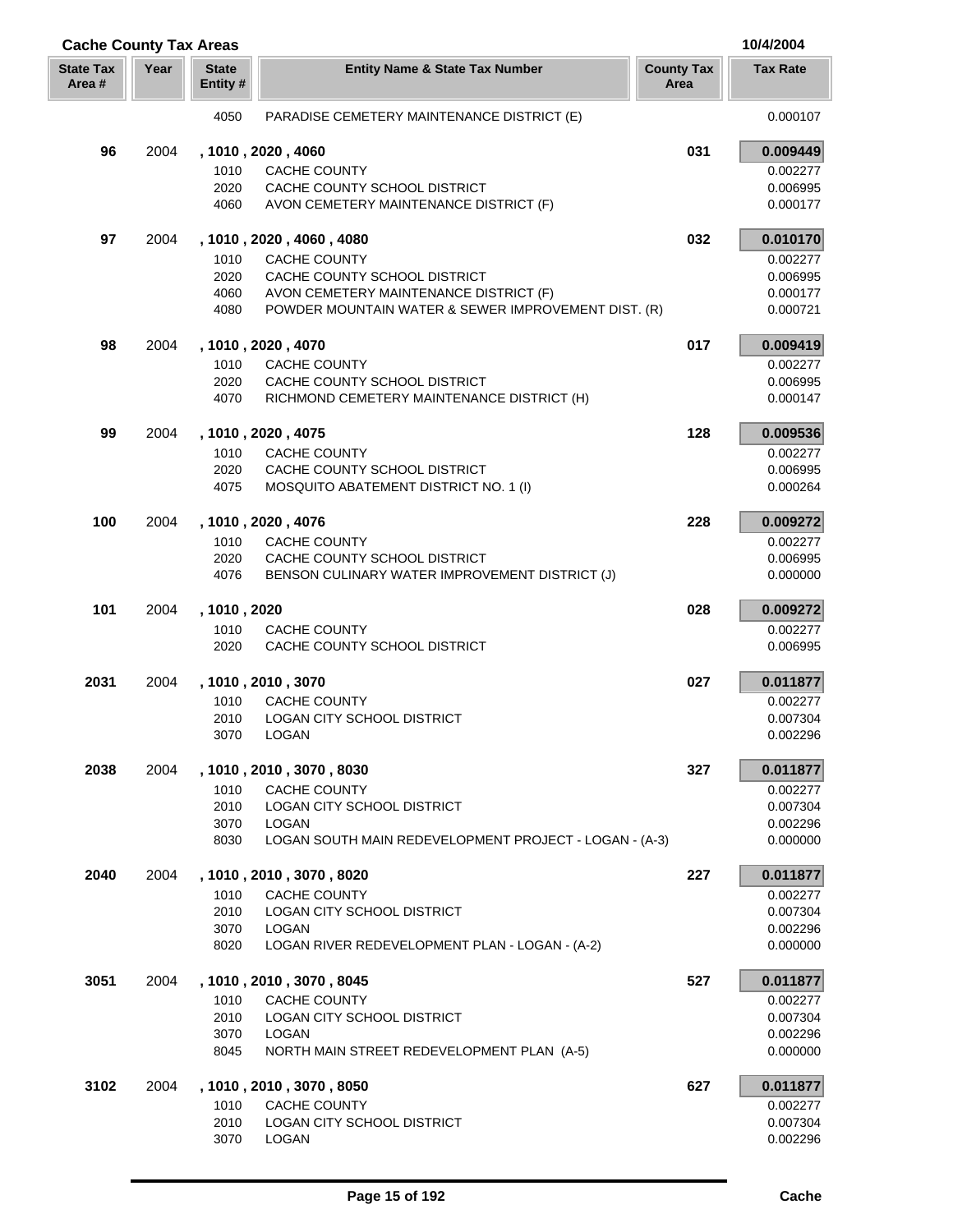| <b>Cache County Tax Areas</b> |      |                          |                                                                            |                           | 10/4/2004            |
|-------------------------------|------|--------------------------|----------------------------------------------------------------------------|---------------------------|----------------------|
| <b>State Tax</b><br>Area #    | Year | <b>State</b><br>Entity # | <b>Entity Name &amp; State Tax Number</b>                                  | <b>County Tax</b><br>Area | <b>Tax Rate</b>      |
|                               |      | 4050                     | PARADISE CEMETERY MAINTENANCE DISTRICT (E)                                 |                           | 0.000107             |
| 96                            | 2004 |                          | , 1010, 2020, 4060                                                         | 031                       | 0.009449             |
|                               |      | 1010                     | <b>CACHE COUNTY</b>                                                        |                           | 0.002277             |
|                               |      | 2020                     | CACHE COUNTY SCHOOL DISTRICT                                               |                           | 0.006995             |
|                               |      | 4060                     | AVON CEMETERY MAINTENANCE DISTRICT (F)                                     |                           | 0.000177             |
| 97                            | 2004 |                          | , 1010, 2020, 4060, 4080                                                   | 032                       | 0.010170             |
|                               |      | 1010                     | <b>CACHE COUNTY</b>                                                        |                           | 0.002277             |
|                               |      | 2020                     | CACHE COUNTY SCHOOL DISTRICT                                               |                           | 0.006995             |
|                               |      | 4060                     | AVON CEMETERY MAINTENANCE DISTRICT (F)                                     |                           | 0.000177             |
|                               |      | 4080                     | POWDER MOUNTAIN WATER & SEWER IMPROVEMENT DIST. (R)                        |                           | 0.000721             |
| 98                            | 2004 |                          | , 1010, 2020, 4070                                                         | 017                       | 0.009419             |
|                               |      | 1010                     | <b>CACHE COUNTY</b>                                                        |                           | 0.002277             |
|                               |      | 2020<br>4070             | CACHE COUNTY SCHOOL DISTRICT<br>RICHMOND CEMETERY MAINTENANCE DISTRICT (H) |                           | 0.006995<br>0.000147 |
|                               |      |                          |                                                                            |                           |                      |
| 99                            | 2004 |                          | , 1010, 2020, 4075                                                         | 128                       | 0.009536             |
|                               |      | 1010<br>2020             | <b>CACHE COUNTY</b><br>CACHE COUNTY SCHOOL DISTRICT                        |                           | 0.002277<br>0.006995 |
|                               |      | 4075                     | MOSQUITO ABATEMENT DISTRICT NO. 1 (I)                                      |                           | 0.000264             |
|                               |      |                          |                                                                            |                           |                      |
| 100                           | 2004 | 1010                     | , 1010, 2020, 4076<br>CACHE COUNTY                                         | 228                       | 0.009272<br>0.002277 |
|                               |      | 2020                     | CACHE COUNTY SCHOOL DISTRICT                                               |                           | 0.006995             |
|                               |      | 4076                     | BENSON CULINARY WATER IMPROVEMENT DISTRICT (J)                             |                           | 0.000000             |
|                               |      |                          |                                                                            |                           |                      |
| 101                           | 2004 | , 1010, 2020<br>1010     |                                                                            | 028                       | 0.009272<br>0.002277 |
|                               |      | 2020                     | CACHE COUNTY<br>CACHE COUNTY SCHOOL DISTRICT                               |                           | 0.006995             |
| 2031                          | 2004 |                          | , 1010, 2010, 3070                                                         | 027                       | 0.011877             |
|                               |      | 1010                     | CACHE COUNTY                                                               |                           | 0.002277             |
|                               |      | 2010                     | <b>LOGAN CITY SCHOOL DISTRICT</b>                                          |                           | 0.007304             |
|                               |      | 3070                     | LOGAN                                                                      |                           | 0.002296             |
| 2038                          | 2004 |                          | , 1010, 2010, 3070, 8030                                                   | 327                       | 0.011877             |
|                               |      | 1010                     | <b>CACHE COUNTY</b>                                                        |                           | 0.002277             |
|                               |      | 2010                     | LOGAN CITY SCHOOL DISTRICT                                                 |                           | 0.007304             |
|                               |      | 3070                     | <b>LOGAN</b>                                                               |                           | 0.002296             |
|                               |      | 8030                     | LOGAN SOUTH MAIN REDEVELOPMENT PROJECT - LOGAN - (A-3)                     |                           | 0.000000             |
| 2040                          | 2004 |                          | , 1010, 2010, 3070, 8020                                                   | 227                       | 0.011877             |
|                               |      | 1010                     | <b>CACHE COUNTY</b>                                                        |                           | 0.002277             |
|                               |      | 2010                     | <b>LOGAN CITY SCHOOL DISTRICT</b>                                          |                           | 0.007304             |
|                               |      | 3070                     | <b>LOGAN</b>                                                               |                           | 0.002296             |
|                               |      | 8020                     | LOGAN RIVER REDEVELOPMENT PLAN - LOGAN - (A-2)                             |                           | 0.000000             |
| 3051                          | 2004 |                          | , 1010, 2010, 3070, 8045                                                   | 527                       | 0.011877             |
|                               |      | 1010                     | <b>CACHE COUNTY</b>                                                        |                           | 0.002277             |
|                               |      | 2010                     | <b>LOGAN CITY SCHOOL DISTRICT</b>                                          |                           | 0.007304             |
|                               |      | 3070<br>8045             | LOGAN<br>NORTH MAIN STREET REDEVELOPMENT PLAN (A-5)                        |                           | 0.002296<br>0.000000 |
|                               |      |                          |                                                                            |                           |                      |
| 3102                          | 2004 | 1010                     | , 1010 , 2010 , 3070 , 8050<br><b>CACHE COUNTY</b>                         | 627                       | 0.011877<br>0.002277 |
|                               |      | 2010                     | LOGAN CITY SCHOOL DISTRICT                                                 |                           | 0.007304             |
|                               |      | 3070                     | LOGAN                                                                      |                           | 0.002296             |

ſ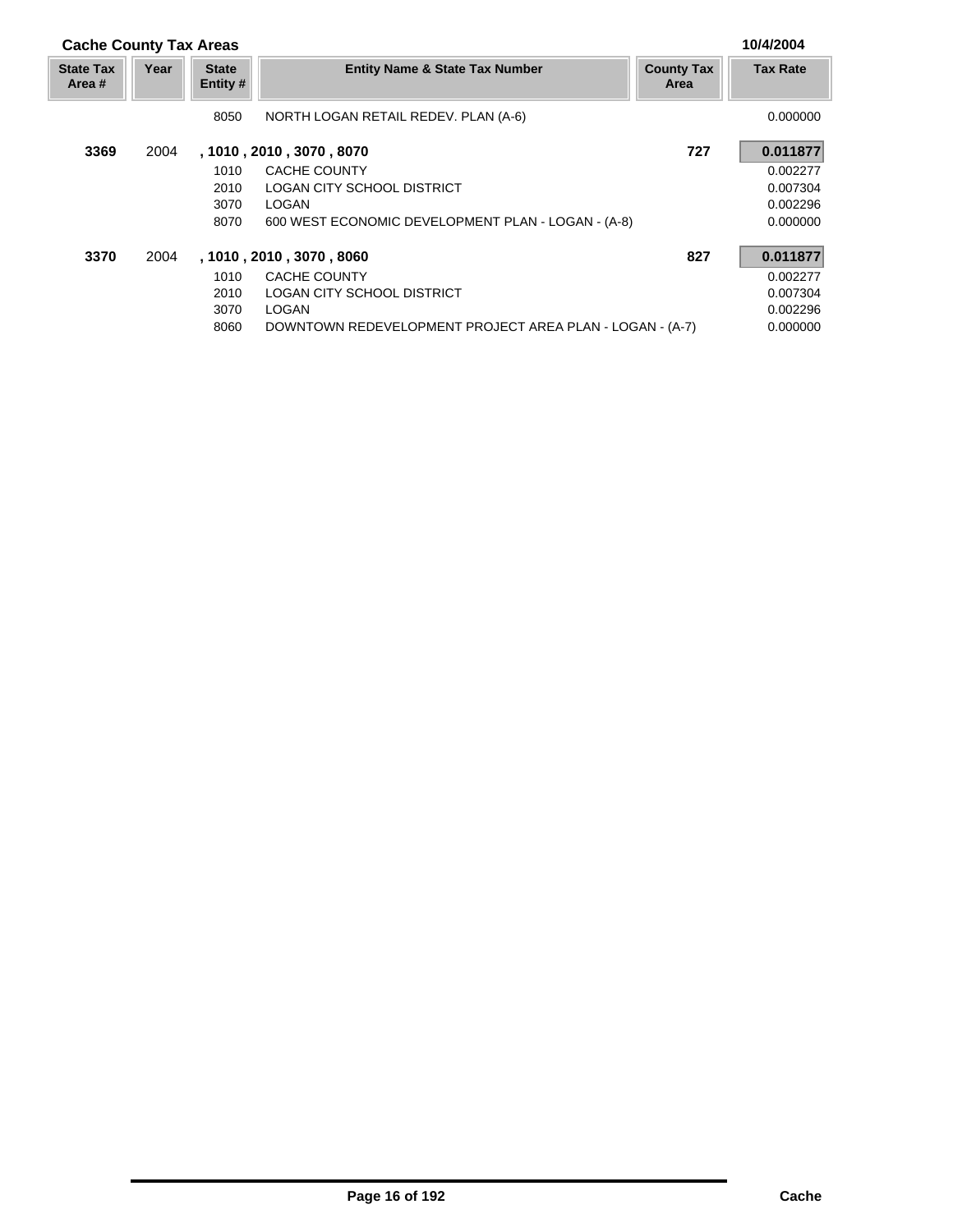| <b>Cache County Tax Areas</b> |      |                          |                                                          |                           | 10/4/2004       |
|-------------------------------|------|--------------------------|----------------------------------------------------------|---------------------------|-----------------|
| <b>State Tax</b><br>Area #    | Year | <b>State</b><br>Entity # | <b>Entity Name &amp; State Tax Number</b>                | <b>County Tax</b><br>Area | <b>Tax Rate</b> |
|                               |      | 8050                     | NORTH LOGAN RETAIL REDEV. PLAN (A-6)                     |                           | 0.000000        |
| 3369                          | 2004 |                          | , 1010, 2010, 3070, 8070                                 |                           | 0.011877        |
|                               |      | 1010                     | CACHE COUNTY                                             |                           | 0.002277        |
|                               |      | 2010                     | LOGAN CITY SCHOOL DISTRICT                               |                           | 0.007304        |
|                               |      | 3070                     | <b>LOGAN</b>                                             |                           | 0.002296        |
|                               |      | 8070                     | 600 WEST ECONOMIC DEVELOPMENT PLAN - LOGAN - (A-8)       |                           | 0.000000        |
| 3370                          | 2004 |                          | , 1010, 2010, 3070, 8060                                 | 827                       | 0.011877        |
|                               |      | 1010                     | CACHE COUNTY                                             |                           | 0.002277        |
|                               |      | 2010                     | LOGAN CITY SCHOOL DISTRICT                               |                           | 0.007304        |
|                               |      | 3070                     | <b>LOGAN</b>                                             |                           | 0.002296        |
|                               |      | 8060                     | DOWNTOWN REDEVELOPMENT PROJECT AREA PLAN - LOGAN - (A-7) |                           | 0.000000        |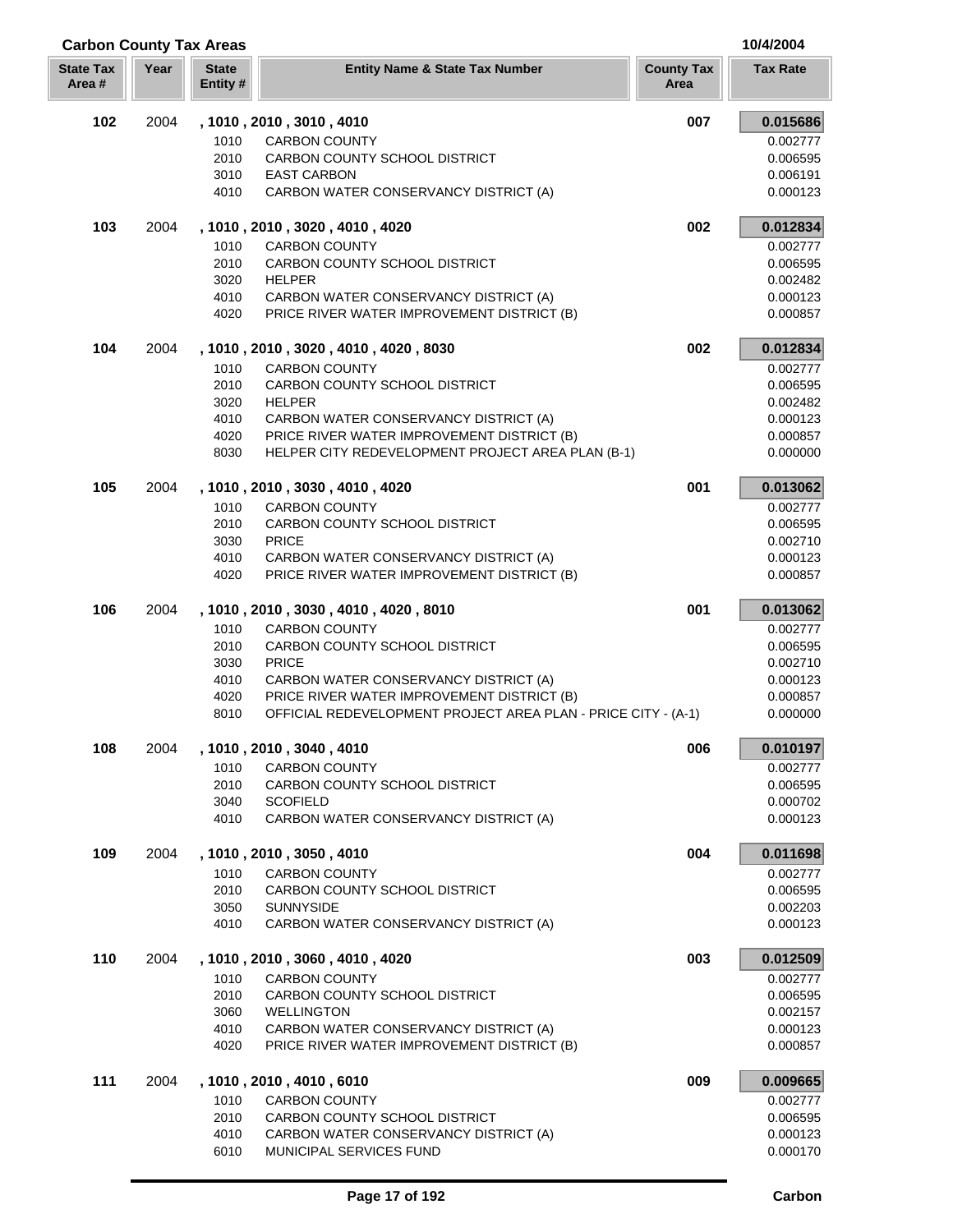| <b>Carbon County Tax Areas</b> |      |                          |                                                               |                           | 10/4/2004       |
|--------------------------------|------|--------------------------|---------------------------------------------------------------|---------------------------|-----------------|
| <b>State Tax</b><br>Area#      | Year | <b>State</b><br>Entity # | <b>Entity Name &amp; State Tax Number</b>                     | <b>County Tax</b><br>Area | <b>Tax Rate</b> |
| 102                            | 2004 |                          | , 1010, 2010, 3010, 4010                                      | 007                       | 0.015686        |
|                                |      | 1010                     | <b>CARBON COUNTY</b>                                          |                           | 0.002777        |
|                                |      | 2010                     | CARBON COUNTY SCHOOL DISTRICT                                 |                           | 0.006595        |
|                                |      | 3010                     | <b>EAST CARBON</b>                                            |                           | 0.006191        |
|                                |      | 4010                     | CARBON WATER CONSERVANCY DISTRICT (A)                         |                           | 0.000123        |
| 103                            | 2004 |                          | , 1010, 2010, 3020, 4010, 4020                                | 002                       | 0.012834        |
|                                |      | 1010                     | <b>CARBON COUNTY</b>                                          |                           | 0.002777        |
|                                |      | 2010                     | CARBON COUNTY SCHOOL DISTRICT                                 |                           | 0.006595        |
|                                |      | 3020                     | <b>HELPER</b>                                                 |                           | 0.002482        |
|                                |      | 4010                     | CARBON WATER CONSERVANCY DISTRICT (A)                         |                           | 0.000123        |
|                                |      | 4020                     | PRICE RIVER WATER IMPROVEMENT DISTRICT (B)                    |                           | 0.000857        |
| 104                            | 2004 |                          | , 1010 , 2010 , 3020 , 4010 , 4020 , 8030                     | 002                       | 0.012834        |
|                                |      | 1010                     | <b>CARBON COUNTY</b>                                          |                           | 0.002777        |
|                                |      | 2010                     | CARBON COUNTY SCHOOL DISTRICT                                 |                           | 0.006595        |
|                                |      | 3020                     | <b>HELPER</b>                                                 |                           | 0.002482        |
|                                |      | 4010                     | CARBON WATER CONSERVANCY DISTRICT (A)                         |                           | 0.000123        |
|                                |      | 4020                     | PRICE RIVER WATER IMPROVEMENT DISTRICT (B)                    |                           | 0.000857        |
|                                |      | 8030                     | HELPER CITY REDEVELOPMENT PROJECT AREA PLAN (B-1)             |                           | 0.000000        |
| 105                            | 2004 |                          | , 1010, 2010, 3030, 4010, 4020                                | 001                       | 0.013062        |
|                                |      | 1010                     | <b>CARBON COUNTY</b>                                          |                           | 0.002777        |
|                                |      | 2010                     | CARBON COUNTY SCHOOL DISTRICT                                 |                           | 0.006595        |
|                                |      | 3030                     | <b>PRICE</b>                                                  |                           | 0.002710        |
|                                |      | 4010                     | CARBON WATER CONSERVANCY DISTRICT (A)                         |                           | 0.000123        |
|                                |      | 4020                     | PRICE RIVER WATER IMPROVEMENT DISTRICT (B)                    |                           | 0.000857        |
| 106                            | 2004 |                          | , 1010, 2010, 3030, 4010, 4020, 8010                          | 001                       | 0.013062        |
|                                |      | 1010                     | <b>CARBON COUNTY</b>                                          |                           | 0.002777        |
|                                |      | 2010                     | CARBON COUNTY SCHOOL DISTRICT                                 |                           | 0.006595        |
|                                |      | 3030                     | <b>PRICE</b>                                                  |                           | 0.002710        |
|                                |      | 4010                     | CARBON WATER CONSERVANCY DISTRICT (A)                         |                           | 0.000123        |
|                                |      | 4020                     | PRICE RIVER WATER IMPROVEMENT DISTRICT (B)                    |                           | 0.000857        |
|                                |      | 8010                     | OFFICIAL REDEVELOPMENT PROJECT AREA PLAN - PRICE CITY - (A-1) |                           | 0.000000        |
| 108                            | 2004 |                          | , 1010, 2010, 3040, 4010                                      | 006                       | 0.010197        |
|                                |      | 1010                     | <b>CARBON COUNTY</b>                                          |                           | 0.002777        |
|                                |      | 2010                     | CARBON COUNTY SCHOOL DISTRICT                                 |                           | 0.006595        |
|                                |      | 3040                     | <b>SCOFIELD</b>                                               |                           | 0.000702        |
|                                |      | 4010                     | CARBON WATER CONSERVANCY DISTRICT (A)                         |                           | 0.000123        |
| 109                            | 2004 |                          | , 1010, 2010, 3050, 4010                                      | 004                       | 0.011698        |
|                                |      | 1010                     | <b>CARBON COUNTY</b>                                          |                           | 0.002777        |
|                                |      | 2010                     | CARBON COUNTY SCHOOL DISTRICT                                 |                           | 0.006595        |
|                                |      | 3050                     | <b>SUNNYSIDE</b>                                              |                           | 0.002203        |
|                                |      | 4010                     | CARBON WATER CONSERVANCY DISTRICT (A)                         |                           | 0.000123        |
| 110                            | 2004 |                          | , 1010, 2010, 3060, 4010, 4020                                | 003                       | 0.012509        |
|                                |      | 1010                     | <b>CARBON COUNTY</b>                                          |                           | 0.002777        |
|                                |      | 2010                     | CARBON COUNTY SCHOOL DISTRICT                                 |                           | 0.006595        |
|                                |      | 3060                     | <b>WELLINGTON</b>                                             |                           | 0.002157        |
|                                |      | 4010                     | CARBON WATER CONSERVANCY DISTRICT (A)                         |                           | 0.000123        |
|                                |      | 4020                     | PRICE RIVER WATER IMPROVEMENT DISTRICT (B)                    |                           | 0.000857        |
| 111                            | 2004 |                          | , 1010 , 2010 , 4010 , 6010                                   | 009                       | 0.009665        |
|                                |      | 1010                     | <b>CARBON COUNTY</b>                                          |                           | 0.002777        |
|                                |      | 2010                     | CARBON COUNTY SCHOOL DISTRICT                                 |                           | 0.006595        |
|                                |      | 4010                     | CARBON WATER CONSERVANCY DISTRICT (A)                         |                           | 0.000123        |

6010 MUNICIPAL SERVICES FUND 6010 0.000170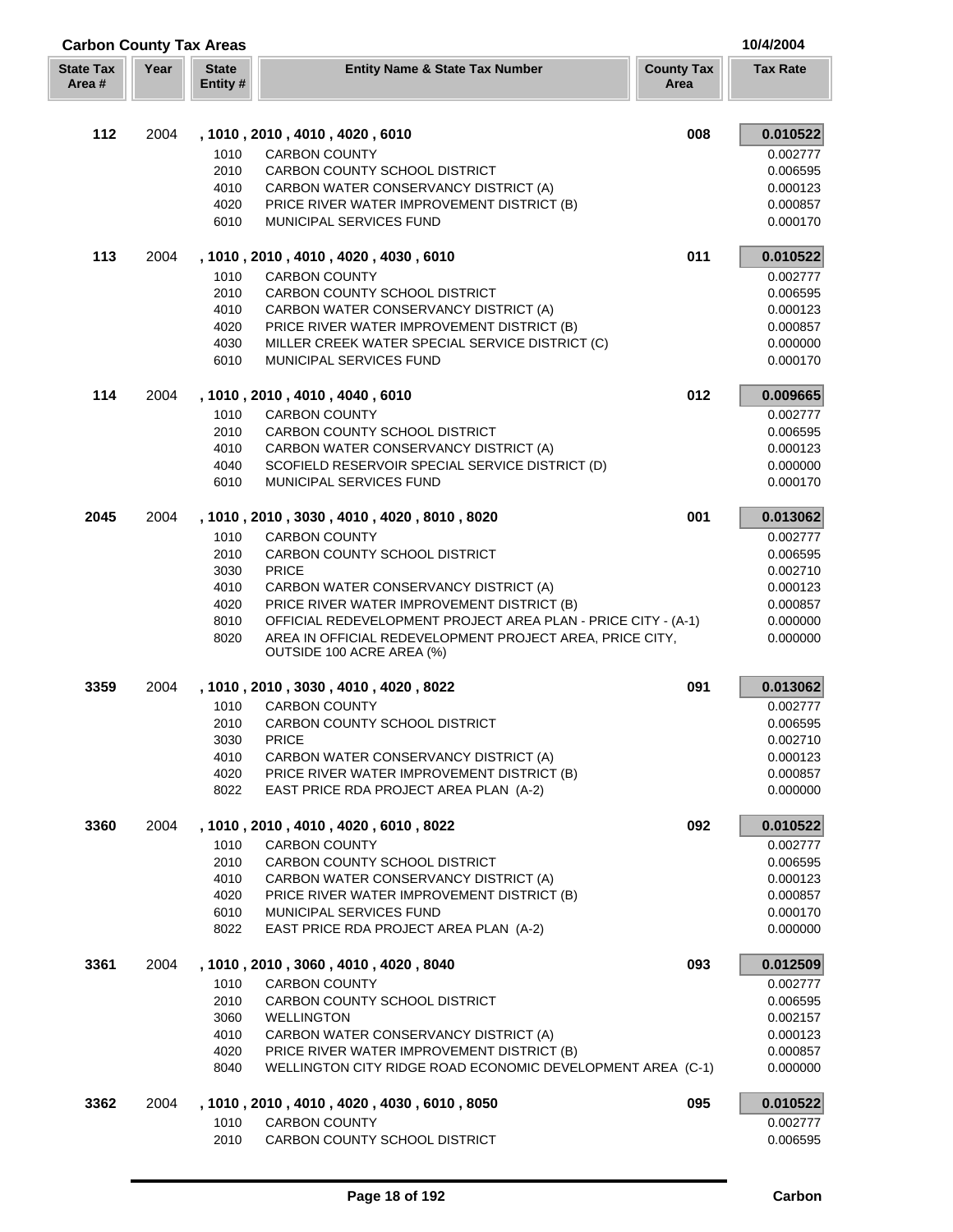| <b>Carbon County Tax Areas</b> |      |                          |                                                                                       | 10/4/2004                 |                      |
|--------------------------------|------|--------------------------|---------------------------------------------------------------------------------------|---------------------------|----------------------|
| <b>State Tax</b><br>Area #     | Year | <b>State</b><br>Entity # | <b>Entity Name &amp; State Tax Number</b>                                             | <b>County Tax</b><br>Area | <b>Tax Rate</b>      |
| 112                            | 2004 |                          | , 1010, 2010, 4010, 4020, 6010                                                        | 008                       | 0.010522             |
|                                |      | 1010                     | <b>CARBON COUNTY</b>                                                                  |                           | 0.002777             |
|                                |      | 2010                     | CARBON COUNTY SCHOOL DISTRICT                                                         |                           | 0.006595             |
|                                |      | 4010                     | CARBON WATER CONSERVANCY DISTRICT (A)                                                 |                           | 0.000123             |
|                                |      | 4020                     | PRICE RIVER WATER IMPROVEMENT DISTRICT (B)                                            |                           | 0.000857             |
|                                |      | 6010                     | <b>MUNICIPAL SERVICES FUND</b>                                                        |                           | 0.000170             |
| 113                            | 2004 |                          | , 1010 , 2010 , 4010 , 4020 , 4030 , 6010                                             | 011                       | 0.010522             |
|                                |      | 1010                     | <b>CARBON COUNTY</b>                                                                  |                           | 0.002777             |
|                                |      | 2010                     | CARBON COUNTY SCHOOL DISTRICT                                                         |                           | 0.006595             |
|                                |      | 4010                     | CARBON WATER CONSERVANCY DISTRICT (A)                                                 |                           | 0.000123             |
|                                |      | 4020                     | PRICE RIVER WATER IMPROVEMENT DISTRICT (B)                                            |                           | 0.000857             |
|                                |      | 4030                     | MILLER CREEK WATER SPECIAL SERVICE DISTRICT (C)                                       |                           | 0.000000             |
|                                |      | 6010                     | MUNICIPAL SERVICES FUND                                                               |                           | 0.000170             |
| 114                            | 2004 |                          | , 1010, 2010, 4010, 4040, 6010                                                        | 012                       | 0.009665             |
|                                |      | 1010                     | <b>CARBON COUNTY</b>                                                                  |                           | 0.002777             |
|                                |      | 2010                     | CARBON COUNTY SCHOOL DISTRICT                                                         |                           | 0.006595             |
|                                |      | 4010                     | CARBON WATER CONSERVANCY DISTRICT (A)                                                 |                           | 0.000123             |
|                                |      | 4040                     | SCOFIELD RESERVOIR SPECIAL SERVICE DISTRICT (D)                                       |                           | 0.000000             |
|                                |      | 6010                     | MUNICIPAL SERVICES FUND                                                               |                           | 0.000170             |
| 2045                           | 2004 |                          | , 1010, 2010, 3030, 4010, 4020, 8010, 8020                                            | 001                       | 0.013062             |
|                                |      | 1010                     | <b>CARBON COUNTY</b>                                                                  |                           | 0.002777             |
|                                |      | 2010<br>3030             | CARBON COUNTY SCHOOL DISTRICT<br><b>PRICE</b>                                         |                           | 0.006595<br>0.002710 |
|                                |      | 4010                     | CARBON WATER CONSERVANCY DISTRICT (A)                                                 |                           | 0.000123             |
|                                |      | 4020                     | PRICE RIVER WATER IMPROVEMENT DISTRICT (B)                                            |                           | 0.000857             |
|                                |      | 8010                     | OFFICIAL REDEVELOPMENT PROJECT AREA PLAN - PRICE CITY - (A-1)                         |                           | 0.000000             |
|                                |      | 8020                     | AREA IN OFFICIAL REDEVELOPMENT PROJECT AREA, PRICE CITY,<br>OUTSIDE 100 ACRE AREA (%) |                           | 0.000000             |
| 3359                           | 2004 |                          | , 1010, 2010, 3030, 4010, 4020, 8022                                                  | 091                       | 0.013062             |
|                                |      | 1010                     | <b>CARBON COUNTY</b>                                                                  |                           | 0.002777             |
|                                |      | 2010                     | <b>CARBON COUNTY SCHOOL DISTRICT</b>                                                  |                           | 0.006595             |
|                                |      | 3030                     | <b>PRICE</b>                                                                          |                           | 0.002710             |
|                                |      | 4010                     | CARBON WATER CONSERVANCY DISTRICT (A)                                                 |                           | 0.000123             |
|                                |      | 4020                     | PRICE RIVER WATER IMPROVEMENT DISTRICT (B)                                            |                           | 0.000857             |
|                                |      | 8022                     | EAST PRICE RDA PROJECT AREA PLAN (A-2)                                                |                           | 0.000000             |
| 3360                           | 2004 |                          | , 1010, 2010, 4010, 4020, 6010, 8022                                                  | 092                       | 0.010522             |
|                                |      | 1010                     | <b>CARBON COUNTY</b>                                                                  |                           | 0.002777             |
|                                |      | 2010                     | CARBON COUNTY SCHOOL DISTRICT                                                         |                           | 0.006595             |
|                                |      | 4010<br>4020             | CARBON WATER CONSERVANCY DISTRICT (A)<br>PRICE RIVER WATER IMPROVEMENT DISTRICT (B)   |                           | 0.000123<br>0.000857 |
|                                |      | 6010                     | <b>MUNICIPAL SERVICES FUND</b>                                                        |                           | 0.000170             |
|                                |      | 8022                     | EAST PRICE RDA PROJECT AREA PLAN (A-2)                                                |                           | 0.000000             |
| 3361                           | 2004 |                          | , 1010, 2010, 3060, 4010, 4020, 8040                                                  | 093                       | 0.012509             |
|                                |      | 1010                     | <b>CARBON COUNTY</b>                                                                  |                           | 0.002777             |
|                                |      | 2010                     | CARBON COUNTY SCHOOL DISTRICT                                                         |                           | 0.006595             |
|                                |      | 3060                     | <b>WELLINGTON</b>                                                                     |                           | 0.002157             |
|                                |      | 4010                     | CARBON WATER CONSERVANCY DISTRICT (A)                                                 |                           | 0.000123             |
|                                |      | 4020                     | PRICE RIVER WATER IMPROVEMENT DISTRICT (B)                                            |                           | 0.000857             |
|                                |      | 8040                     | WELLINGTON CITY RIDGE ROAD ECONOMIC DEVELOPMENT AREA (C-1)                            |                           | 0.000000             |
| 3362                           | 2004 |                          | , 1010, 2010, 4010, 4020, 4030, 6010, 8050                                            | 095                       | 0.010522             |
|                                |      | 1010                     | <b>CARBON COUNTY</b>                                                                  |                           | 0.002777             |
|                                |      | 2010                     | CARBON COUNTY SCHOOL DISTRICT                                                         |                           | 0.006595             |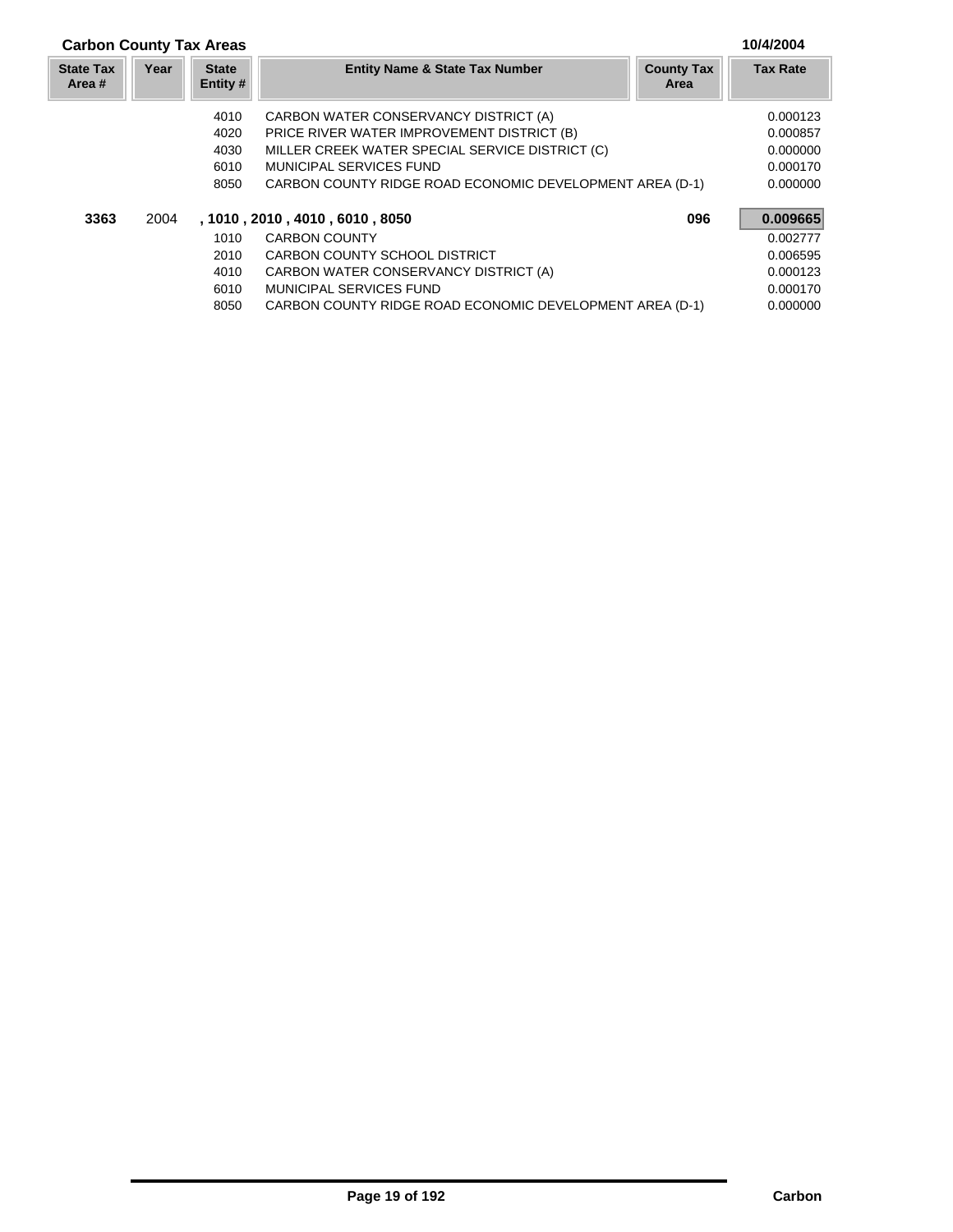## **Carbon County Tax Areas 10/4/2004**

| <b>State Tax</b><br>Area # | Year | <b>State</b><br>Entity # | <b>Entity Name &amp; State Tax Number</b>                | <b>County Tax</b><br>Area | <b>Tax Rate</b> |
|----------------------------|------|--------------------------|----------------------------------------------------------|---------------------------|-----------------|
|                            |      | 4010                     | CARBON WATER CONSERVANCY DISTRICT (A)                    |                           | 0.000123        |
|                            |      | 4020                     | PRICE RIVER WATER IMPROVEMENT DISTRICT (B)               |                           | 0.000857        |
|                            |      | 4030                     | MILLER CREEK WATER SPECIAL SERVICE DISTRICT (C)          |                           | 0.000000        |
|                            |      | 6010                     | MUNICIPAL SERVICES FUND                                  |                           | 0.000170        |
|                            |      | 8050                     | CARBON COUNTY RIDGE ROAD ECONOMIC DEVELOPMENT AREA (D-1) |                           | 0.000000        |
| 3363                       | 2004 |                          | , 1010, 2010, 4010, 6010, 8050                           | 096                       | 0.009665        |
|                            |      | 1010                     | <b>CARBON COUNTY</b>                                     |                           | 0.002777        |
|                            |      | 2010                     | CARBON COUNTY SCHOOL DISTRICT                            |                           | 0.006595        |
|                            |      | 4010                     | CARBON WATER CONSERVANCY DISTRICT (A)                    |                           | 0.000123        |
|                            |      | 6010                     | MUNICIPAL SERVICES FUND                                  |                           | 0.000170        |
|                            |      | 8050                     | CARBON COUNTY RIDGE ROAD ECONOMIC DEVELOPMENT AREA (D-1) |                           | 0.000000        |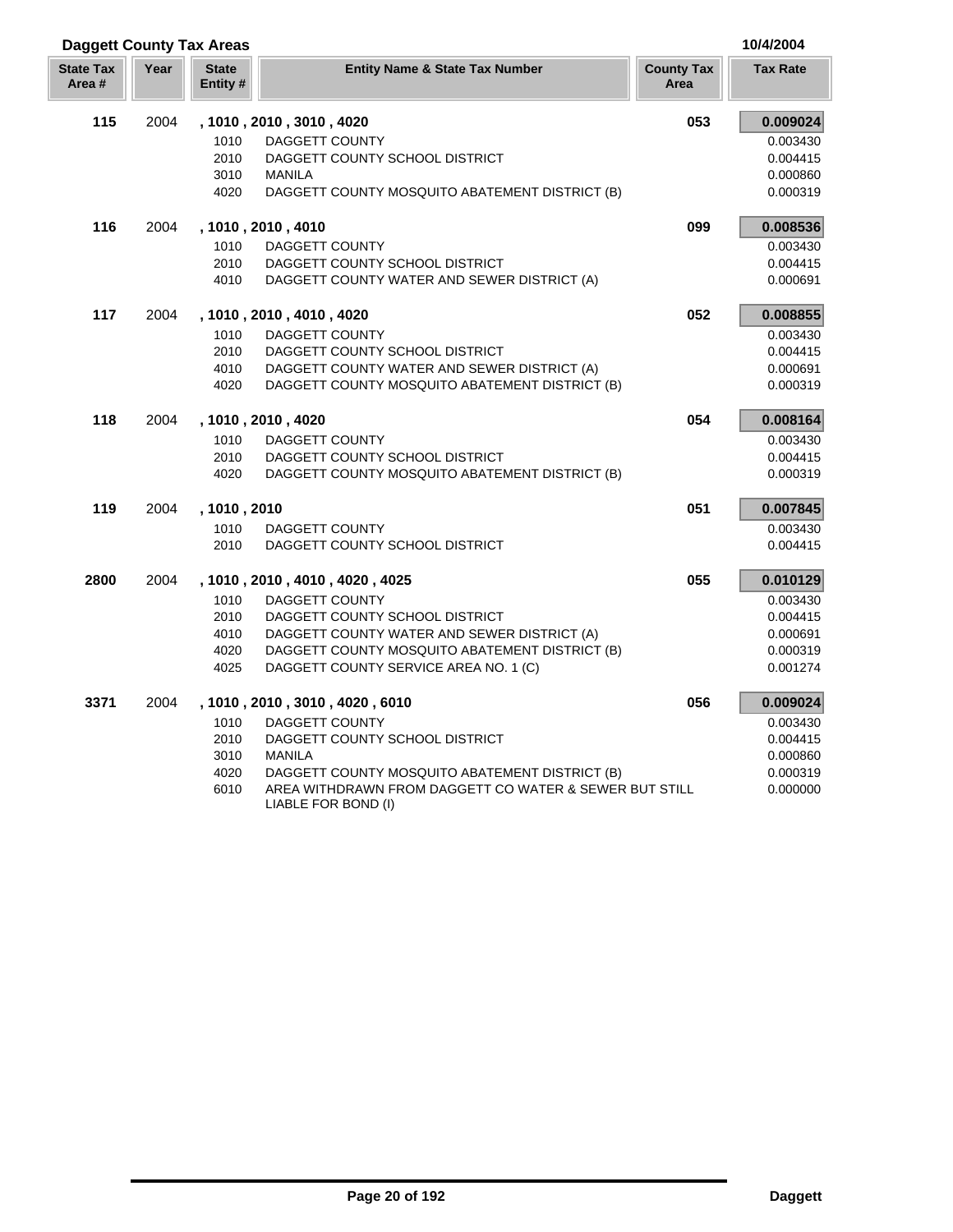| <b>Daggett County Tax Areas</b> |      |                          |                                                        |                           | 10/4/2004       |
|---------------------------------|------|--------------------------|--------------------------------------------------------|---------------------------|-----------------|
| <b>State Tax</b><br>Area #      | Year | <b>State</b><br>Entity # | <b>Entity Name &amp; State Tax Number</b>              | <b>County Tax</b><br>Area | <b>Tax Rate</b> |
| 115                             | 2004 |                          | , 1010, 2010, 3010, 4020                               | 053                       | 0.009024        |
|                                 |      | 1010                     | <b>DAGGETT COUNTY</b>                                  |                           | 0.003430        |
|                                 |      | 2010                     | DAGGETT COUNTY SCHOOL DISTRICT                         |                           | 0.004415        |
|                                 |      | 3010                     | <b>MANILA</b>                                          |                           | 0.000860        |
|                                 |      | 4020                     | DAGGETT COUNTY MOSQUITO ABATEMENT DISTRICT (B)         |                           | 0.000319        |
| 116                             | 2004 |                          | , 1010, 2010, 4010                                     | 099                       | 0.008536        |
|                                 |      | 1010                     | DAGGETT COUNTY                                         |                           | 0.003430        |
|                                 |      | 2010                     | DAGGETT COUNTY SCHOOL DISTRICT                         |                           | 0.004415        |
|                                 |      | 4010                     | DAGGETT COUNTY WATER AND SEWER DISTRICT (A)            |                           | 0.000691        |
| 117                             | 2004 |                          | , 1010, 2010, 4010, 4020                               | 052                       | 0.008855        |
|                                 |      | 1010                     | <b>DAGGETT COUNTY</b>                                  |                           | 0.003430        |
|                                 |      | 2010                     | DAGGETT COUNTY SCHOOL DISTRICT                         |                           | 0.004415        |
|                                 |      | 4010                     | DAGGETT COUNTY WATER AND SEWER DISTRICT (A)            |                           | 0.000691        |
|                                 |      | 4020                     | DAGGETT COUNTY MOSQUITO ABATEMENT DISTRICT (B)         |                           | 0.000319        |
| 118                             | 2004 |                          | , 1010, 2010, 4020                                     | 054                       | 0.008164        |
|                                 |      | 1010                     | <b>DAGGETT COUNTY</b>                                  |                           | 0.003430        |
|                                 |      | 2010                     | DAGGETT COUNTY SCHOOL DISTRICT                         |                           | 0.004415        |
|                                 |      | 4020                     | DAGGETT COUNTY MOSQUITO ABATEMENT DISTRICT (B)         |                           | 0.000319        |
| 119                             | 2004 | , 1010, 2010             |                                                        | 051                       | 0.007845        |
|                                 |      | 1010                     | DAGGETT COUNTY                                         |                           | 0.003430        |
|                                 |      | 2010                     | DAGGETT COUNTY SCHOOL DISTRICT                         |                           | 0.004415        |
| 2800                            | 2004 |                          | , 1010, 2010, 4010, 4020, 4025                         | 055                       | 0.010129        |
|                                 |      | 1010                     | <b>DAGGETT COUNTY</b>                                  |                           | 0.003430        |
|                                 |      | 2010                     | DAGGETT COUNTY SCHOOL DISTRICT                         |                           | 0.004415        |
|                                 |      | 4010                     | DAGGETT COUNTY WATER AND SEWER DISTRICT (A)            |                           | 0.000691        |
|                                 |      | 4020                     | DAGGETT COUNTY MOSQUITO ABATEMENT DISTRICT (B)         |                           | 0.000319        |
|                                 |      | 4025                     | DAGGETT COUNTY SERVICE AREA NO. 1 (C)                  |                           | 0.001274        |
| 3371                            | 2004 |                          | , 1010, 2010, 3010, 4020, 6010                         | 056                       | 0.009024        |
|                                 |      | 1010                     | <b>DAGGETT COUNTY</b>                                  |                           | 0.003430        |
|                                 |      | 2010                     | DAGGETT COUNTY SCHOOL DISTRICT                         |                           | 0.004415        |
|                                 |      | 3010                     | <b>MANILA</b>                                          |                           | 0.000860        |
|                                 |      | 4020                     | DAGGETT COUNTY MOSQUITO ABATEMENT DISTRICT (B)         |                           | 0.000319        |
|                                 |      | 6010                     | AREA WITHDRAWN FROM DAGGETT CO WATER & SEWER BUT STILL |                           | 0.000000        |

**Page 20 of 192 Daggett**

LIABLE FOR BOND (I)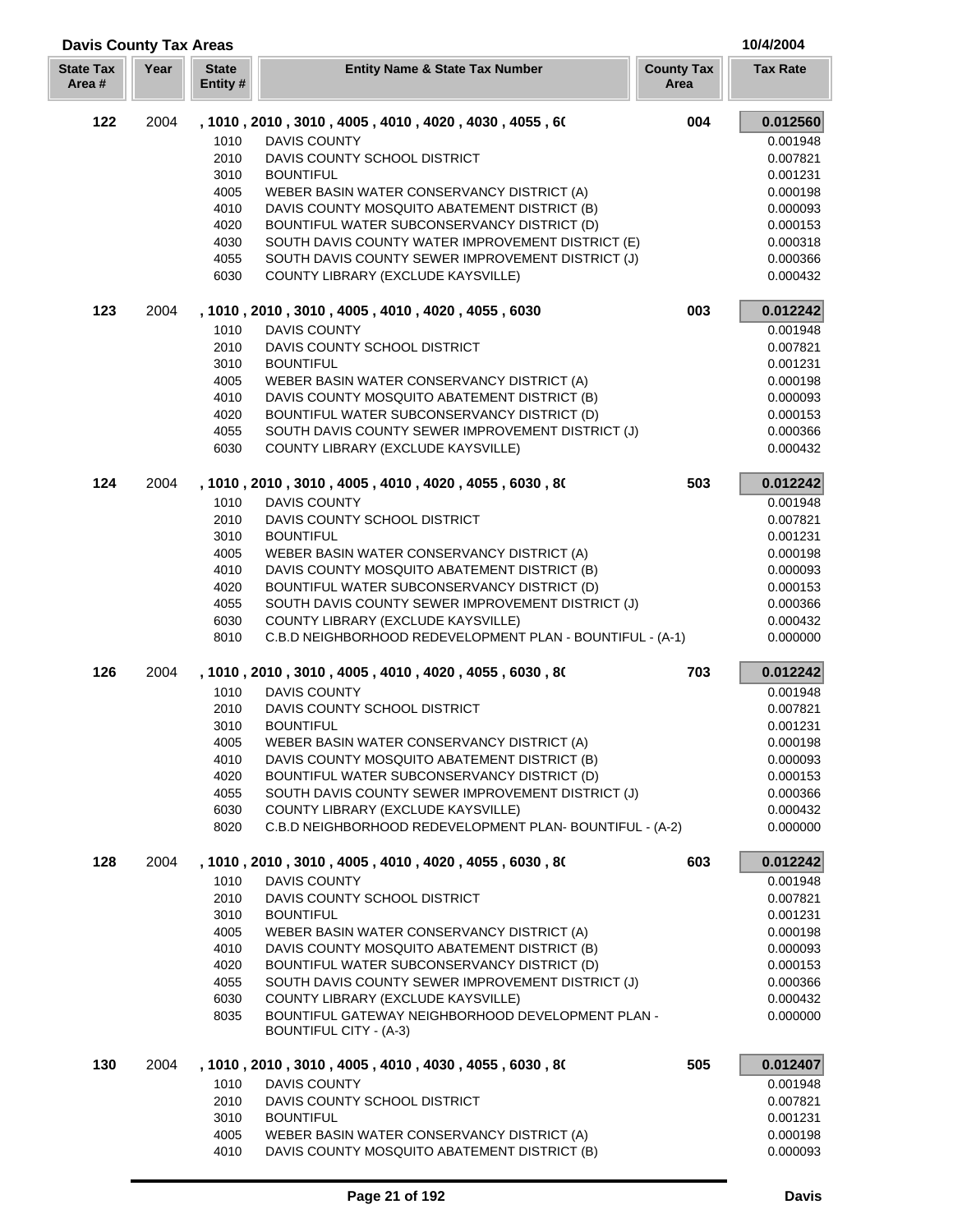| <b>Davis County Tax Areas</b> |      |                          |                                                                                             |                           | 10/4/2004            |
|-------------------------------|------|--------------------------|---------------------------------------------------------------------------------------------|---------------------------|----------------------|
| <b>State Tax</b><br>Area#     | Year | <b>State</b><br>Entity # | <b>Entity Name &amp; State Tax Number</b>                                                   | <b>County Tax</b><br>Area | <b>Tax Rate</b>      |
| 122                           | 2004 |                          | , 1010 , 2010 , 3010 , 4005 , 4010 , 4020 , 4030 , 4055 , 60                                | 004                       | 0.012560             |
|                               |      | 1010                     | <b>DAVIS COUNTY</b>                                                                         |                           | 0.001948             |
|                               |      | 2010                     | DAVIS COUNTY SCHOOL DISTRICT                                                                |                           | 0.007821             |
|                               |      | 3010                     | <b>BOUNTIFUL</b>                                                                            |                           | 0.001231             |
|                               |      | 4005                     | WEBER BASIN WATER CONSERVANCY DISTRICT (A)                                                  |                           | 0.000198             |
|                               |      | 4010                     | DAVIS COUNTY MOSQUITO ABATEMENT DISTRICT (B)                                                |                           | 0.000093             |
|                               |      | 4020                     | BOUNTIFUL WATER SUBCONSERVANCY DISTRICT (D)                                                 |                           | 0.000153             |
|                               |      | 4030                     | SOUTH DAVIS COUNTY WATER IMPROVEMENT DISTRICT (E)                                           |                           | 0.000318             |
|                               |      | 4055                     | SOUTH DAVIS COUNTY SEWER IMPROVEMENT DISTRICT (J)                                           |                           | 0.000366             |
|                               |      | 6030                     | COUNTY LIBRARY (EXCLUDE KAYSVILLE)                                                          |                           | 0.000432             |
| 123                           | 2004 |                          | , 1010, 2010, 3010, 4005, 4010, 4020, 4055, 6030                                            | 003                       | 0.012242             |
|                               |      | 1010                     | <b>DAVIS COUNTY</b>                                                                         |                           | 0.001948             |
|                               |      | 2010                     | DAVIS COUNTY SCHOOL DISTRICT                                                                |                           | 0.007821             |
|                               |      | 3010                     | <b>BOUNTIFUL</b>                                                                            |                           | 0.001231             |
|                               |      | 4005                     | WEBER BASIN WATER CONSERVANCY DISTRICT (A)                                                  |                           | 0.000198             |
|                               |      | 4010<br>4020             | DAVIS COUNTY MOSQUITO ABATEMENT DISTRICT (B)<br>BOUNTIFUL WATER SUBCONSERVANCY DISTRICT (D) |                           | 0.000093<br>0.000153 |
|                               |      | 4055                     | SOUTH DAVIS COUNTY SEWER IMPROVEMENT DISTRICT (J)                                           |                           | 0.000366             |
|                               |      | 6030                     | COUNTY LIBRARY (EXCLUDE KAYSVILLE)                                                          |                           | 0.000432             |
|                               |      |                          |                                                                                             |                           |                      |
| 124                           | 2004 |                          | , 1010 , 2010 , 3010 , 4005 , 4010 , 4020 , 4055 , 6030 , 80                                | 503                       | 0.012242             |
|                               |      | 1010<br>2010             | <b>DAVIS COUNTY</b><br>DAVIS COUNTY SCHOOL DISTRICT                                         |                           | 0.001948<br>0.007821 |
|                               |      | 3010                     | <b>BOUNTIFUL</b>                                                                            |                           | 0.001231             |
|                               |      | 4005                     | WEBER BASIN WATER CONSERVANCY DISTRICT (A)                                                  |                           | 0.000198             |
|                               |      | 4010                     | DAVIS COUNTY MOSQUITO ABATEMENT DISTRICT (B)                                                |                           | 0.000093             |
|                               |      | 4020                     | BOUNTIFUL WATER SUBCONSERVANCY DISTRICT (D)                                                 |                           | 0.000153             |
|                               |      | 4055                     | SOUTH DAVIS COUNTY SEWER IMPROVEMENT DISTRICT (J)                                           |                           | 0.000366             |
|                               |      | 6030                     | COUNTY LIBRARY (EXCLUDE KAYSVILLE)                                                          |                           | 0.000432             |
|                               |      | 8010                     | C.B.D NEIGHBORHOOD REDEVELOPMENT PLAN - BOUNTIFUL - (A-1)                                   |                           | 0.000000             |
| 126                           | 2004 |                          | , 1010 , 2010 , 3010 , 4005 , 4010 , 4020 , 4055 , 6030 , 80                                | 703                       | 0.012242             |
|                               |      | 1010                     | <b>DAVIS COUNTY</b>                                                                         |                           | 0.001948             |
|                               |      | 2010                     | DAVIS COUNTY SCHOOL DISTRICT                                                                |                           | 0.007821             |
|                               |      | 3010                     | <b>BOUNTIFUL</b>                                                                            |                           | 0.001231             |
|                               |      | 4005                     | WEBER BASIN WATER CONSERVANCY DISTRICT (A)                                                  |                           | 0.000198             |
|                               |      | 4010                     | DAVIS COUNTY MOSQUITO ABATEMENT DISTRICT (B)                                                |                           | 0.000093             |
|                               |      | 4020                     | BOUNTIFUL WATER SUBCONSERVANCY DISTRICT (D)                                                 |                           | 0.000153             |
|                               |      | 4055                     | SOUTH DAVIS COUNTY SEWER IMPROVEMENT DISTRICT (J)                                           |                           | 0.000366             |
|                               |      | 6030                     | COUNTY LIBRARY (EXCLUDE KAYSVILLE)                                                          |                           | 0.000432             |
|                               |      | 8020                     | C.B.D NEIGHBORHOOD REDEVELOPMENT PLAN-BOUNTIFUL - (A-2)                                     |                           | 0.000000             |
| 128                           | 2004 |                          | , 1010 , 2010 , 3010 , 4005 , 4010 , 4020 , 4055 , 6030 , 80                                | 603                       | 0.012242             |
|                               |      | 1010                     | <b>DAVIS COUNTY</b>                                                                         |                           | 0.001948             |
|                               |      | 2010                     | DAVIS COUNTY SCHOOL DISTRICT                                                                |                           | 0.007821             |
|                               |      | 3010                     | <b>BOUNTIFUL</b>                                                                            |                           | 0.001231             |
|                               |      | 4005                     | WEBER BASIN WATER CONSERVANCY DISTRICT (A)<br>DAVIS COUNTY MOSQUITO ABATEMENT DISTRICT (B)  |                           | 0.000198             |
|                               |      | 4010<br>4020             | BOUNTIFUL WATER SUBCONSERVANCY DISTRICT (D)                                                 |                           | 0.000093<br>0.000153 |
|                               |      | 4055                     | SOUTH DAVIS COUNTY SEWER IMPROVEMENT DISTRICT (J)                                           |                           | 0.000366             |
|                               |      | 6030                     | COUNTY LIBRARY (EXCLUDE KAYSVILLE)                                                          |                           | 0.000432             |
|                               |      | 8035                     | BOUNTIFUL GATEWAY NEIGHBORHOOD DEVELOPMENT PLAN -<br>BOUNTIFUL CITY - (A-3)                 |                           | 0.000000             |
|                               |      |                          |                                                                                             |                           |                      |
| 130                           | 2004 |                          | , 1010 , 2010 , 3010 , 4005 , 4010 , 4030 , 4055 , 6030 , 80                                | 505                       | 0.012407             |
|                               |      | 1010                     | <b>DAVIS COUNTY</b>                                                                         |                           | 0.001948             |
|                               |      | 2010                     | DAVIS COUNTY SCHOOL DISTRICT                                                                |                           | 0.007821             |
|                               |      | 3010<br>4005             | <b>BOUNTIFUL</b><br>WEBER BASIN WATER CONSERVANCY DISTRICT (A)                              |                           | 0.001231<br>0.000198 |
|                               |      | 4010                     | DAVIS COUNTY MOSQUITO ABATEMENT DISTRICT (B)                                                |                           | 0.000093             |
|                               |      |                          |                                                                                             |                           |                      |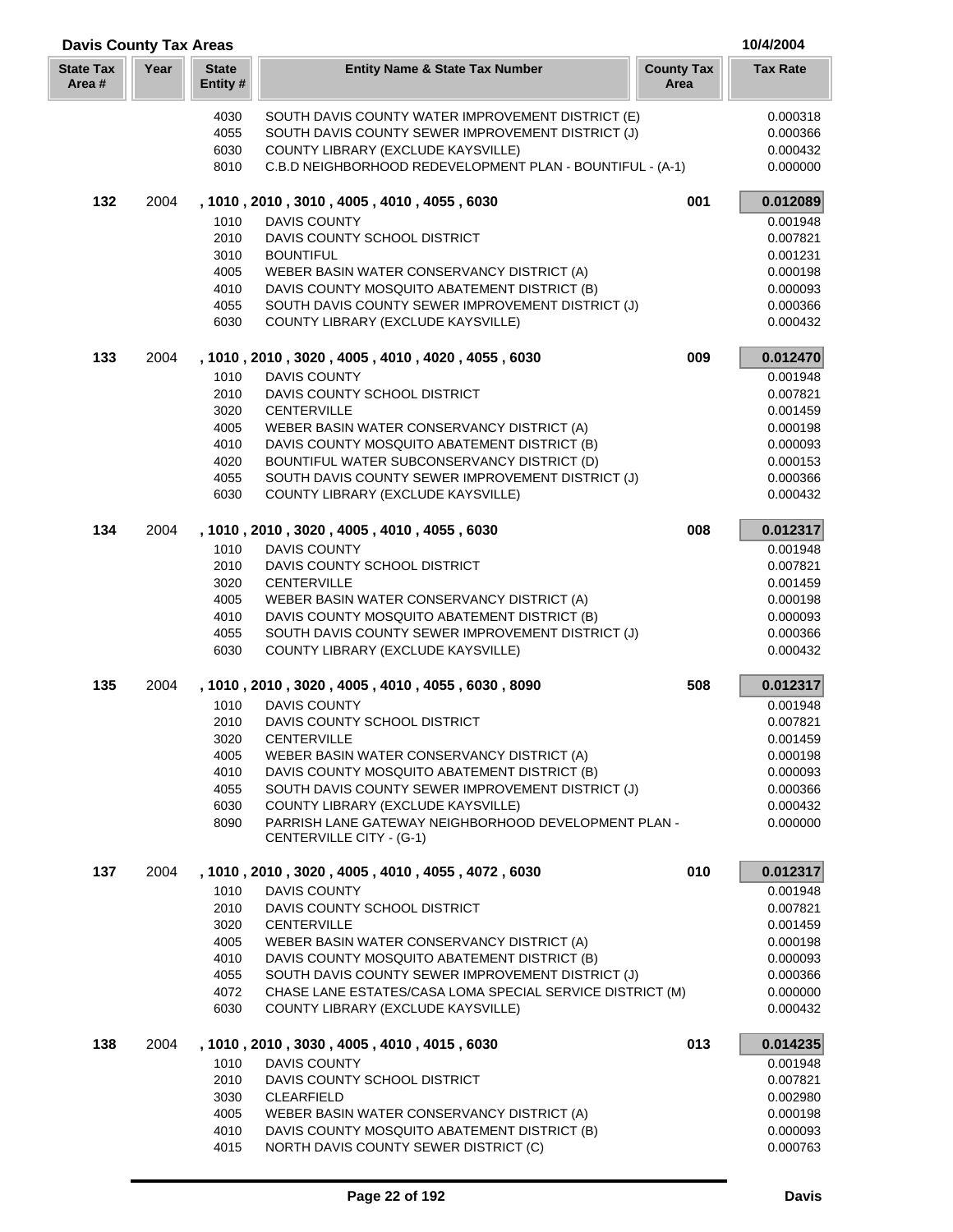| <b>Davis County Tax Areas</b> |      |                          |                                                                                            |                           | 10/4/2004            |
|-------------------------------|------|--------------------------|--------------------------------------------------------------------------------------------|---------------------------|----------------------|
| <b>State Tax</b><br>Area#     | Year | <b>State</b><br>Entity # | <b>Entity Name &amp; State Tax Number</b>                                                  | <b>County Tax</b><br>Area | <b>Tax Rate</b>      |
|                               |      | 4030                     | SOUTH DAVIS COUNTY WATER IMPROVEMENT DISTRICT (E)                                          |                           | 0.000318             |
|                               |      | 4055                     | SOUTH DAVIS COUNTY SEWER IMPROVEMENT DISTRICT (J)                                          |                           | 0.000366             |
|                               |      | 6030                     | COUNTY LIBRARY (EXCLUDE KAYSVILLE)                                                         |                           | 0.000432             |
|                               |      | 8010                     | C.B.D NEIGHBORHOOD REDEVELOPMENT PLAN - BOUNTIFUL - (A-1)                                  |                           | 0.000000             |
| 132                           | 2004 |                          | , 1010, 2010, 3010, 4005, 4010, 4055, 6030                                                 | 001                       | 0.012089             |
|                               |      | 1010                     | <b>DAVIS COUNTY</b>                                                                        |                           | 0.001948             |
|                               |      | 2010                     | DAVIS COUNTY SCHOOL DISTRICT                                                               |                           | 0.007821             |
|                               |      | 3010                     | <b>BOUNTIFUL</b>                                                                           |                           | 0.001231             |
|                               |      | 4005                     | WEBER BASIN WATER CONSERVANCY DISTRICT (A)                                                 |                           | 0.000198             |
|                               |      | 4010                     | DAVIS COUNTY MOSQUITO ABATEMENT DISTRICT (B)                                               |                           | 0.000093             |
|                               |      | 4055<br>6030             | SOUTH DAVIS COUNTY SEWER IMPROVEMENT DISTRICT (J)<br>COUNTY LIBRARY (EXCLUDE KAYSVILLE)    |                           | 0.000366<br>0.000432 |
| 133                           | 2004 |                          | , 1010, 2010, 3020, 4005, 4010, 4020, 4055, 6030                                           | 009                       | 0.012470             |
|                               |      | 1010                     | <b>DAVIS COUNTY</b>                                                                        |                           | 0.001948             |
|                               |      | 2010                     | DAVIS COUNTY SCHOOL DISTRICT                                                               |                           | 0.007821             |
|                               |      | 3020                     | <b>CENTERVILLE</b>                                                                         |                           | 0.001459             |
|                               |      | 4005                     | WEBER BASIN WATER CONSERVANCY DISTRICT (A)                                                 |                           | 0.000198             |
|                               |      | 4010                     | DAVIS COUNTY MOSQUITO ABATEMENT DISTRICT (B)                                               |                           | 0.000093             |
|                               |      | 4020                     | BOUNTIFUL WATER SUBCONSERVANCY DISTRICT (D)                                                |                           | 0.000153             |
|                               |      | 4055                     | SOUTH DAVIS COUNTY SEWER IMPROVEMENT DISTRICT (J)                                          |                           | 0.000366             |
|                               |      | 6030                     | COUNTY LIBRARY (EXCLUDE KAYSVILLE)                                                         |                           | 0.000432             |
| 134                           | 2004 | 1010                     | , 1010, 2010, 3020, 4005, 4010, 4055, 6030<br><b>DAVIS COUNTY</b>                          | 008                       | 0.012317<br>0.001948 |
|                               |      | 2010                     | DAVIS COUNTY SCHOOL DISTRICT                                                               |                           | 0.007821             |
|                               |      | 3020                     | <b>CENTERVILLE</b>                                                                         |                           | 0.001459             |
|                               |      | 4005                     | WEBER BASIN WATER CONSERVANCY DISTRICT (A)                                                 |                           | 0.000198             |
|                               |      | 4010                     | DAVIS COUNTY MOSQUITO ABATEMENT DISTRICT (B)                                               |                           | 0.000093             |
|                               |      | 4055                     | SOUTH DAVIS COUNTY SEWER IMPROVEMENT DISTRICT (J)                                          |                           | 0.000366             |
|                               |      | 6030                     | COUNTY LIBRARY (EXCLUDE KAYSVILLE)                                                         |                           | 0.000432             |
| 135                           | 2004 |                          | , 1010, 2010, 3020, 4005, 4010, 4055, 6030, 8090                                           | 508                       | 0.012317             |
|                               |      | 1010                     | <b>DAVIS COUNTY</b>                                                                        |                           | 0.001948             |
|                               |      | 2010                     | DAVIS COUNTY SCHOOL DISTRICT                                                               |                           | 0.007821             |
|                               |      | 3020                     | <b>CENTERVILLE</b>                                                                         |                           | 0.001459             |
|                               |      | 4005<br>4010             | WEBER BASIN WATER CONSERVANCY DISTRICT (A)<br>DAVIS COUNTY MOSQUITO ABATEMENT DISTRICT (B) |                           | 0.000198<br>0.000093 |
|                               |      | 4055                     | SOUTH DAVIS COUNTY SEWER IMPROVEMENT DISTRICT (J)                                          |                           | 0.000366             |
|                               |      | 6030                     | COUNTY LIBRARY (EXCLUDE KAYSVILLE)                                                         |                           | 0.000432             |
|                               |      | 8090                     | PARRISH LANE GATEWAY NEIGHBORHOOD DEVELOPMENT PLAN -                                       |                           | 0.000000             |
|                               |      |                          | CENTERVILLE CITY - (G-1)                                                                   |                           |                      |
| 137                           | 2004 |                          | , 1010, 2010, 3020, 4005, 4010, 4055, 4072, 6030                                           | 010                       | 0.012317             |
|                               |      | 1010                     | <b>DAVIS COUNTY</b>                                                                        |                           | 0.001948             |
|                               |      | 2010<br>3020             | DAVIS COUNTY SCHOOL DISTRICT<br><b>CENTERVILLE</b>                                         |                           | 0.007821<br>0.001459 |
|                               |      | 4005                     | WEBER BASIN WATER CONSERVANCY DISTRICT (A)                                                 |                           | 0.000198             |
|                               |      | 4010                     | DAVIS COUNTY MOSQUITO ABATEMENT DISTRICT (B)                                               |                           | 0.000093             |
|                               |      | 4055                     | SOUTH DAVIS COUNTY SEWER IMPROVEMENT DISTRICT (J)                                          |                           | 0.000366             |
|                               |      | 4072                     | CHASE LANE ESTATES/CASA LOMA SPECIAL SERVICE DISTRICT (M)                                  |                           | 0.000000             |
|                               |      | 6030                     | COUNTY LIBRARY (EXCLUDE KAYSVILLE)                                                         |                           | 0.000432             |
| 138                           | 2004 |                          | , 1010, 2010, 3030, 4005, 4010, 4015, 6030                                                 | 013                       | 0.014235             |
|                               |      | 1010                     | <b>DAVIS COUNTY</b>                                                                        |                           | 0.001948             |
|                               |      | 2010                     | DAVIS COUNTY SCHOOL DISTRICT                                                               |                           | 0.007821             |
|                               |      | 3030<br>4005             | <b>CLEARFIELD</b><br>WEBER BASIN WATER CONSERVANCY DISTRICT (A)                            |                           | 0.002980<br>0.000198 |
|                               |      | 4010                     | DAVIS COUNTY MOSQUITO ABATEMENT DISTRICT (B)                                               |                           | 0.000093             |
|                               |      | 4015                     | NORTH DAVIS COUNTY SEWER DISTRICT (C)                                                      |                           | 0.000763             |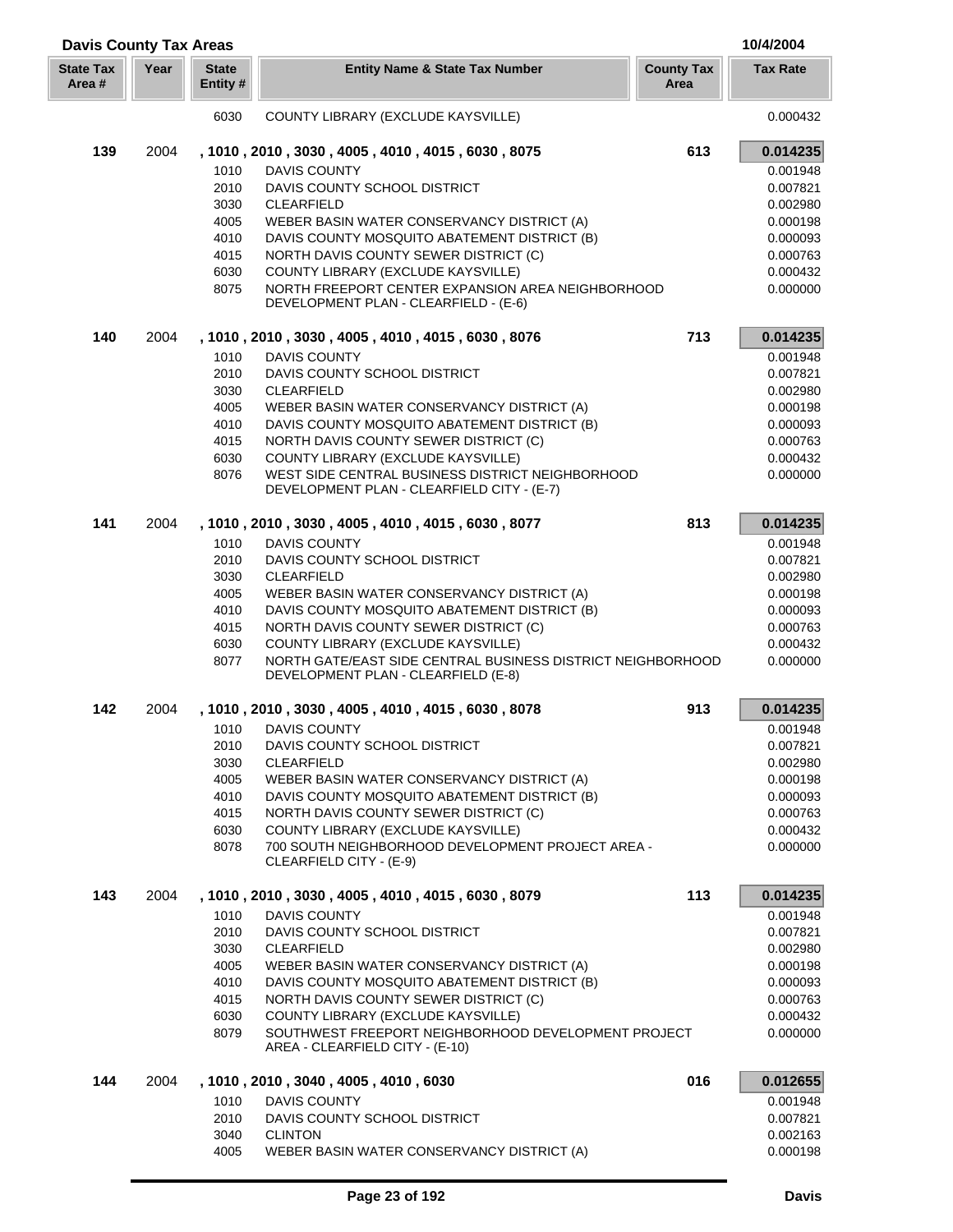| <b>Davis County Tax Areas</b> |      |                          |                                                                                                   |                           | 10/4/2004            |
|-------------------------------|------|--------------------------|---------------------------------------------------------------------------------------------------|---------------------------|----------------------|
| <b>State Tax</b><br>Area #    | Year | <b>State</b><br>Entity # | <b>Entity Name &amp; State Tax Number</b>                                                         | <b>County Tax</b><br>Area | <b>Tax Rate</b>      |
|                               |      | 6030                     | COUNTY LIBRARY (EXCLUDE KAYSVILLE)                                                                |                           | 0.000432             |
| 139                           | 2004 |                          | , 1010, 2010, 3030, 4005, 4010, 4015, 6030, 8075                                                  | 613                       | 0.014235             |
|                               |      | 1010                     | DAVIS COUNTY                                                                                      |                           | 0.001948             |
|                               |      | 2010                     | DAVIS COUNTY SCHOOL DISTRICT                                                                      |                           | 0.007821             |
|                               |      | 3030                     | CLEARFIELD                                                                                        |                           | 0.002980             |
|                               |      | 4005                     | WEBER BASIN WATER CONSERVANCY DISTRICT (A)                                                        |                           | 0.000198             |
|                               |      | 4010                     | DAVIS COUNTY MOSQUITO ABATEMENT DISTRICT (B)                                                      |                           | 0.000093             |
|                               |      | 4015                     | NORTH DAVIS COUNTY SEWER DISTRICT (C)                                                             |                           | 0.000763             |
|                               |      | 6030<br>8075             | COUNTY LIBRARY (EXCLUDE KAYSVILLE)<br>NORTH FREEPORT CENTER EXPANSION AREA NEIGHBORHOOD           |                           | 0.000432<br>0.000000 |
|                               |      |                          | DEVELOPMENT PLAN - CLEARFIELD - (E-6)                                                             |                           |                      |
| 140                           | 2004 |                          | , 1010, 2010, 3030, 4005, 4010, 4015, 6030, 8076                                                  | 713                       | 0.014235             |
|                               |      | 1010                     | <b>DAVIS COUNTY</b>                                                                               |                           | 0.001948             |
|                               |      | 2010                     | DAVIS COUNTY SCHOOL DISTRICT                                                                      |                           | 0.007821             |
|                               |      | 3030                     | <b>CLEARFIELD</b>                                                                                 |                           | 0.002980             |
|                               |      | 4005                     | WEBER BASIN WATER CONSERVANCY DISTRICT (A)                                                        |                           | 0.000198             |
|                               |      | 4010                     | DAVIS COUNTY MOSQUITO ABATEMENT DISTRICT (B)                                                      |                           | 0.000093             |
|                               |      | 4015                     | NORTH DAVIS COUNTY SEWER DISTRICT (C)                                                             |                           | 0.000763             |
|                               |      | 6030<br>8076             | COUNTY LIBRARY (EXCLUDE KAYSVILLE)<br>WEST SIDE CENTRAL BUSINESS DISTRICT NEIGHBORHOOD            |                           | 0.000432<br>0.000000 |
|                               |      |                          | DEVELOPMENT PLAN - CLEARFIELD CITY - (E-7)                                                        |                           |                      |
| 141                           | 2004 |                          | , 1010, 2010, 3030, 4005, 4010, 4015, 6030, 8077                                                  | 813                       | 0.014235             |
|                               |      | 1010                     | DAVIS COUNTY                                                                                      |                           | 0.001948             |
|                               |      | 2010                     | DAVIS COUNTY SCHOOL DISTRICT                                                                      |                           | 0.007821             |
|                               |      | 3030                     | <b>CLEARFIELD</b>                                                                                 |                           | 0.002980             |
|                               |      | 4005                     | WEBER BASIN WATER CONSERVANCY DISTRICT (A)                                                        |                           | 0.000198             |
|                               |      | 4010                     | DAVIS COUNTY MOSQUITO ABATEMENT DISTRICT (B)                                                      |                           | 0.000093             |
|                               |      | 4015                     | NORTH DAVIS COUNTY SEWER DISTRICT (C)                                                             |                           | 0.000763             |
|                               |      | 6030<br>8077             | COUNTY LIBRARY (EXCLUDE KAYSVILLE)<br>NORTH GATE/EAST SIDE CENTRAL BUSINESS DISTRICT NEIGHBORHOOD |                           | 0.000432             |
|                               |      |                          | DEVELOPMENT PLAN - CLEARFIELD (E-8)                                                               |                           | 0.000000             |
| 142                           | 2004 |                          | , 1010, 2010, 3030, 4005, 4010, 4015, 6030, 8078                                                  | 913                       | 0.014235             |
|                               |      | 1010                     | <b>DAVIS COUNTY</b>                                                                               |                           | 0.001948             |
|                               |      | 2010                     | DAVIS COUNTY SCHOOL DISTRICT                                                                      |                           | 0.007821             |
|                               |      | 3030                     | <b>CLEARFIELD</b>                                                                                 |                           | 0.002980             |
|                               |      | 4005                     | WEBER BASIN WATER CONSERVANCY DISTRICT (A)                                                        |                           | 0.000198             |
|                               |      | 4010                     | DAVIS COUNTY MOSQUITO ABATEMENT DISTRICT (B)                                                      |                           | 0.000093             |
|                               |      | 4015                     | NORTH DAVIS COUNTY SEWER DISTRICT (C)<br>COUNTY LIBRARY (EXCLUDE KAYSVILLE)                       |                           | 0.000763             |
|                               |      | 6030<br>8078             | 700 SOUTH NEIGHBORHOOD DEVELOPMENT PROJECT AREA -                                                 |                           | 0.000432<br>0.000000 |
|                               |      |                          | CLEARFIELD CITY - (E-9)                                                                           |                           |                      |
| 143                           | 2004 |                          | , 1010, 2010, 3030, 4005, 4010, 4015, 6030, 8079                                                  | 113                       | 0.014235             |
|                               |      | 1010                     | <b>DAVIS COUNTY</b>                                                                               |                           | 0.001948             |
|                               |      | 2010                     | DAVIS COUNTY SCHOOL DISTRICT                                                                      |                           | 0.007821             |
|                               |      | 3030                     | <b>CLEARFIELD</b>                                                                                 |                           | 0.002980             |
|                               |      | 4005                     | WEBER BASIN WATER CONSERVANCY DISTRICT (A)                                                        |                           | 0.000198             |
|                               |      | 4010<br>4015             | DAVIS COUNTY MOSQUITO ABATEMENT DISTRICT (B)<br>NORTH DAVIS COUNTY SEWER DISTRICT (C)             |                           | 0.000093<br>0.000763 |
|                               |      | 6030                     | COUNTY LIBRARY (EXCLUDE KAYSVILLE)                                                                |                           | 0.000432             |
|                               |      | 8079                     | SOUTHWEST FREEPORT NEIGHBORHOOD DEVELOPMENT PROJECT<br>AREA - CLEARFIELD CITY - (E-10)            |                           | 0.000000             |
| 144                           | 2004 |                          | , 1010, 2010, 3040, 4005, 4010, 6030                                                              | 016                       | 0.012655             |
|                               |      | 1010                     | <b>DAVIS COUNTY</b>                                                                               |                           |                      |
|                               |      | 2010                     | DAVIS COUNTY SCHOOL DISTRICT                                                                      |                           | 0.001948<br>0.007821 |
|                               |      | 3040                     | <b>CLINTON</b>                                                                                    |                           | 0.002163             |
|                               |      | 4005                     | WEBER BASIN WATER CONSERVANCY DISTRICT (A)                                                        |                           | 0.000198             |

ſ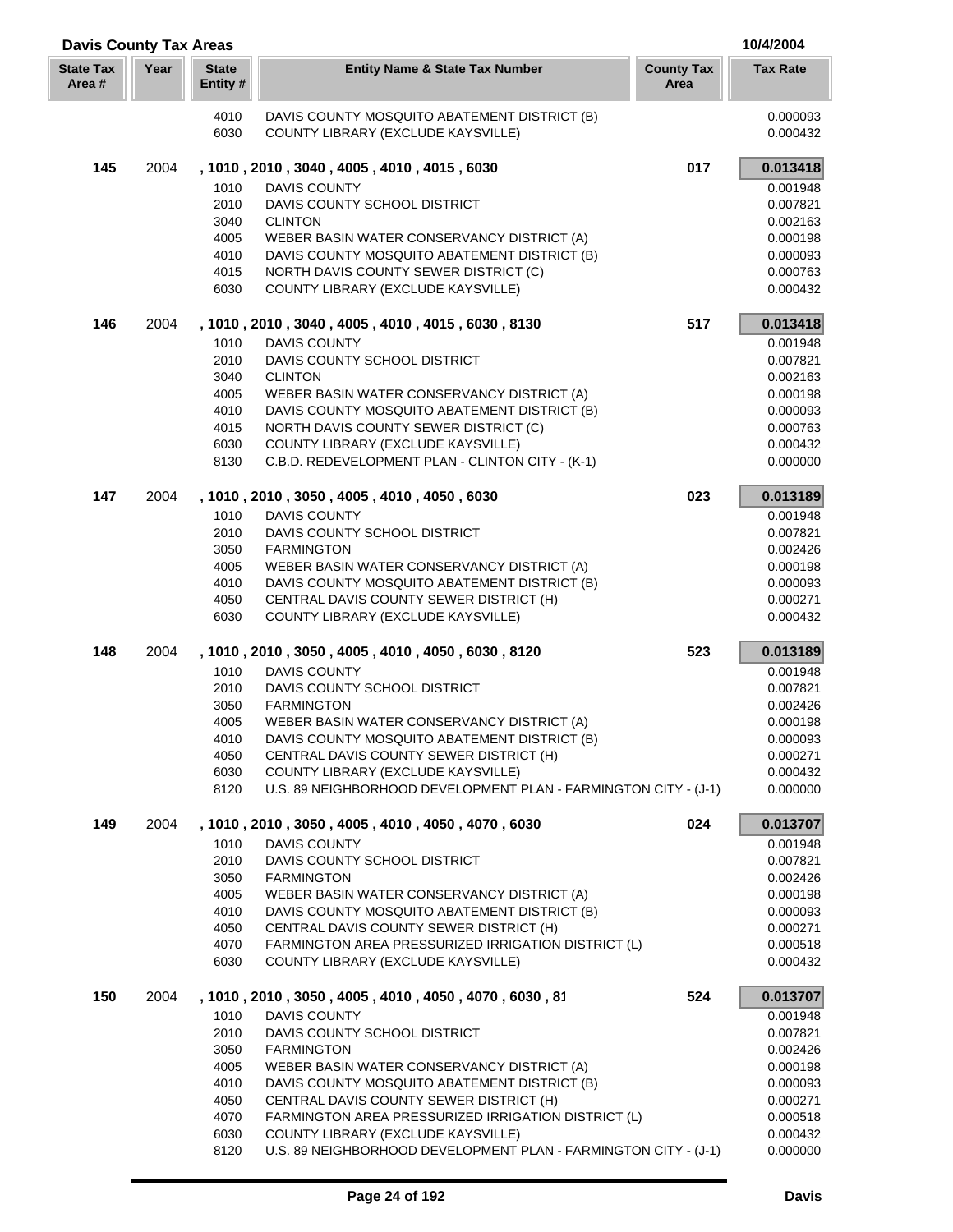| <b>Davis County Tax Areas</b> |      |                          |                                                                                           |                           | 10/4/2004            |
|-------------------------------|------|--------------------------|-------------------------------------------------------------------------------------------|---------------------------|----------------------|
| <b>State Tax</b><br>Area #    | Year | <b>State</b><br>Entity # | <b>Entity Name &amp; State Tax Number</b>                                                 | <b>County Tax</b><br>Area | <b>Tax Rate</b>      |
|                               |      | 4010<br>6030             | DAVIS COUNTY MOSQUITO ABATEMENT DISTRICT (B)<br>COUNTY LIBRARY (EXCLUDE KAYSVILLE)        |                           | 0.000093<br>0.000432 |
| 145                           | 2004 |                          | , 1010, 2010, 3040, 4005, 4010, 4015, 6030                                                | 017                       | 0.013418             |
|                               |      | 1010                     | DAVIS COUNTY                                                                              |                           | 0.001948             |
|                               |      | 2010                     | DAVIS COUNTY SCHOOL DISTRICT                                                              |                           | 0.007821             |
|                               |      | 3040                     | <b>CLINTON</b>                                                                            |                           | 0.002163             |
|                               |      | 4005                     | WEBER BASIN WATER CONSERVANCY DISTRICT (A)                                                |                           | 0.000198             |
|                               |      | 4010                     | DAVIS COUNTY MOSQUITO ABATEMENT DISTRICT (B)                                              |                           | 0.000093             |
|                               |      | 4015                     | NORTH DAVIS COUNTY SEWER DISTRICT (C)                                                     |                           | 0.000763             |
|                               |      | 6030                     | COUNTY LIBRARY (EXCLUDE KAYSVILLE)                                                        |                           | 0.000432             |
| 146                           | 2004 |                          | , 1010, 2010, 3040, 4005, 4010, 4015, 6030, 8130                                          | 517                       | 0.013418             |
|                               |      | 1010                     | <b>DAVIS COUNTY</b>                                                                       |                           | 0.001948             |
|                               |      | 2010<br>3040             | DAVIS COUNTY SCHOOL DISTRICT<br><b>CLINTON</b>                                            |                           | 0.007821<br>0.002163 |
|                               |      | 4005                     | WEBER BASIN WATER CONSERVANCY DISTRICT (A)                                                |                           | 0.000198             |
|                               |      | 4010                     | DAVIS COUNTY MOSQUITO ABATEMENT DISTRICT (B)                                              |                           | 0.000093             |
|                               |      | 4015                     | NORTH DAVIS COUNTY SEWER DISTRICT (C)                                                     |                           | 0.000763             |
|                               |      | 6030                     | COUNTY LIBRARY (EXCLUDE KAYSVILLE)                                                        |                           | 0.000432             |
|                               |      | 8130                     | C.B.D. REDEVELOPMENT PLAN - CLINTON CITY - (K-1)                                          |                           | 0.000000             |
| 147                           | 2004 |                          | , 1010, 2010, 3050, 4005, 4010, 4050, 6030                                                | 023                       | 0.013189             |
|                               |      | 1010                     | <b>DAVIS COUNTY</b>                                                                       |                           | 0.001948             |
|                               |      | 2010                     | DAVIS COUNTY SCHOOL DISTRICT                                                              |                           | 0.007821             |
|                               |      | 3050                     | <b>FARMINGTON</b>                                                                         |                           | 0.002426             |
|                               |      | 4005                     | WEBER BASIN WATER CONSERVANCY DISTRICT (A)                                                |                           | 0.000198             |
|                               |      | 4010                     | DAVIS COUNTY MOSQUITO ABATEMENT DISTRICT (B)                                              |                           | 0.000093             |
|                               |      | 4050<br>6030             | CENTRAL DAVIS COUNTY SEWER DISTRICT (H)<br>COUNTY LIBRARY (EXCLUDE KAYSVILLE)             |                           | 0.000271<br>0.000432 |
|                               |      |                          |                                                                                           |                           |                      |
| 148                           | 2004 |                          | , 1010, 2010, 3050, 4005, 4010, 4050, 6030, 8120                                          | 523                       | 0.013189             |
|                               |      | 1010                     | <b>DAVIS COUNTY</b>                                                                       |                           | 0.001948             |
|                               |      | 2010<br>3050             | DAVIS COUNTY SCHOOL DISTRICT                                                              |                           | 0.007821             |
|                               |      | 4005                     | <b>FARMINGTON</b><br>WEBER BASIN WATER CONSERVANCY DISTRICT (A)                           |                           | 0.002426<br>0.000198 |
|                               |      | 4010                     | DAVIS COUNTY MOSQUITO ABATEMENT DISTRICT (B)                                              |                           | 0.000093             |
|                               |      | 4050                     | CENTRAL DAVIS COUNTY SEWER DISTRICT (H)                                                   |                           | 0.000271             |
|                               |      | 6030                     | COUNTY LIBRARY (EXCLUDE KAYSVILLE)                                                        |                           | 0.000432             |
|                               |      | 8120                     | U.S. 89 NEIGHBORHOOD DEVELOPMENT PLAN - FARMINGTON CITY - (J-1)                           |                           | 0.000000             |
| 149                           | 2004 |                          | , 1010, 2010, 3050, 4005, 4010, 4050, 4070, 6030                                          | 024                       | 0.013707             |
|                               |      | 1010                     | <b>DAVIS COUNTY</b>                                                                       |                           | 0.001948             |
|                               |      | 2010                     | DAVIS COUNTY SCHOOL DISTRICT                                                              |                           | 0.007821             |
|                               |      | 3050                     | <b>FARMINGTON</b>                                                                         |                           | 0.002426             |
|                               |      | 4005                     | WEBER BASIN WATER CONSERVANCY DISTRICT (A)                                                |                           | 0.000198             |
|                               |      | 4010                     | DAVIS COUNTY MOSQUITO ABATEMENT DISTRICT (B)                                              |                           | 0.000093             |
|                               |      | 4050                     | CENTRAL DAVIS COUNTY SEWER DISTRICT (H)                                                   |                           | 0.000271             |
|                               |      | 4070<br>6030             | FARMINGTON AREA PRESSURIZED IRRIGATION DISTRICT (L)<br>COUNTY LIBRARY (EXCLUDE KAYSVILLE) |                           | 0.000518<br>0.000432 |
| 150                           | 2004 |                          | , 1010, 2010, 3050, 4005, 4010, 4050, 4070, 6030, 81                                      | 524                       | 0.013707             |
|                               |      | 1010                     | DAVIS COUNTY                                                                              |                           | 0.001948             |
|                               |      | 2010                     | DAVIS COUNTY SCHOOL DISTRICT                                                              |                           | 0.007821             |
|                               |      | 3050                     | <b>FARMINGTON</b>                                                                         |                           | 0.002426             |
|                               |      | 4005                     | WEBER BASIN WATER CONSERVANCY DISTRICT (A)                                                |                           | 0.000198             |
|                               |      | 4010                     | DAVIS COUNTY MOSQUITO ABATEMENT DISTRICT (B)                                              |                           | 0.000093             |
|                               |      | 4050                     | CENTRAL DAVIS COUNTY SEWER DISTRICT (H)                                                   |                           | 0.000271             |
|                               |      | 4070                     | FARMINGTON AREA PRESSURIZED IRRIGATION DISTRICT (L)                                       |                           | 0.000518             |
|                               |      | 6030                     | COUNTY LIBRARY (EXCLUDE KAYSVILLE)                                                        |                           | 0.000432             |
|                               |      | 8120                     | U.S. 89 NEIGHBORHOOD DEVELOPMENT PLAN - FARMINGTON CITY - (J-1)                           |                           | 0.000000             |

Г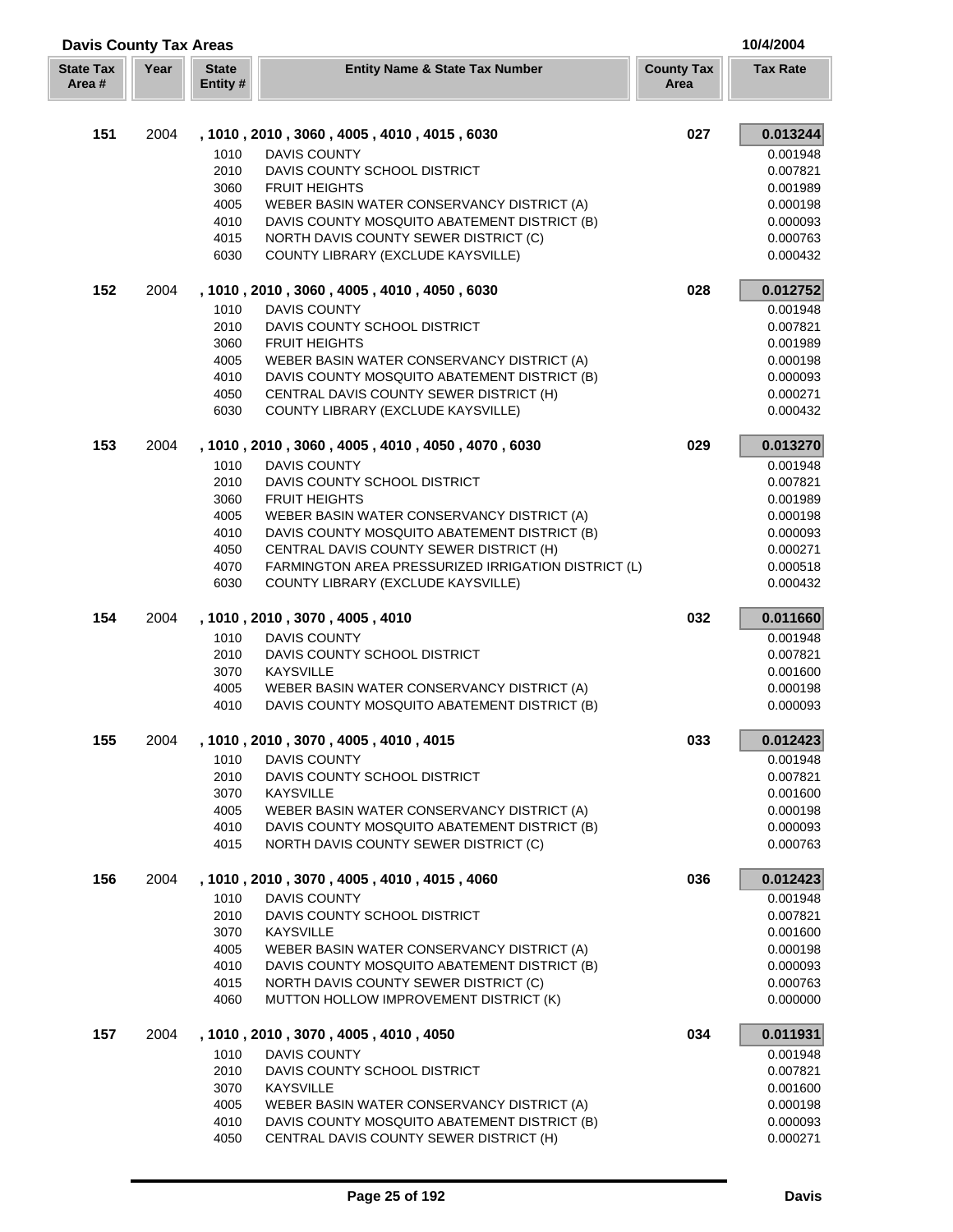| <b>Davis County Tax Areas</b> |      |                          |                                                                                         |                           | 10/4/2004            |
|-------------------------------|------|--------------------------|-----------------------------------------------------------------------------------------|---------------------------|----------------------|
| <b>State Tax</b><br>Area #    | Year | <b>State</b><br>Entity # | <b>Entity Name &amp; State Tax Number</b>                                               | <b>County Tax</b><br>Area | <b>Tax Rate</b>      |
| 151                           | 2004 |                          | , 1010, 2010, 3060, 4005, 4010, 4015, 6030                                              | 027                       | 0.013244             |
|                               |      | 1010                     | <b>DAVIS COUNTY</b>                                                                     |                           | 0.001948             |
|                               |      | 2010                     | DAVIS COUNTY SCHOOL DISTRICT                                                            |                           | 0.007821             |
|                               |      | 3060                     | <b>FRUIT HEIGHTS</b>                                                                    |                           | 0.001989             |
|                               |      | 4005                     | WEBER BASIN WATER CONSERVANCY DISTRICT (A)                                              |                           | 0.000198             |
|                               |      | 4010                     | DAVIS COUNTY MOSQUITO ABATEMENT DISTRICT (B)                                            |                           | 0.000093             |
|                               |      | 4015                     | NORTH DAVIS COUNTY SEWER DISTRICT (C)                                                   |                           | 0.000763             |
|                               |      | 6030                     | COUNTY LIBRARY (EXCLUDE KAYSVILLE)                                                      |                           | 0.000432             |
| 152                           | 2004 |                          | , 1010, 2010, 3060, 4005, 4010, 4050, 6030                                              | 028                       | 0.012752             |
|                               |      | 1010                     | <b>DAVIS COUNTY</b>                                                                     |                           | 0.001948             |
|                               |      | 2010                     | DAVIS COUNTY SCHOOL DISTRICT                                                            |                           | 0.007821             |
|                               |      | 3060                     | <b>FRUIT HEIGHTS</b>                                                                    |                           | 0.001989             |
|                               |      | 4005                     | WEBER BASIN WATER CONSERVANCY DISTRICT (A)                                              |                           | 0.000198             |
|                               |      | 4010                     | DAVIS COUNTY MOSQUITO ABATEMENT DISTRICT (B)                                            |                           | 0.000093             |
|                               |      | 4050                     | CENTRAL DAVIS COUNTY SEWER DISTRICT (H)                                                 |                           | 0.000271             |
|                               |      | 6030                     | COUNTY LIBRARY (EXCLUDE KAYSVILLE)                                                      |                           | 0.000432             |
| 153                           | 2004 |                          | , 1010, 2010, 3060, 4005, 4010, 4050, 4070, 6030                                        | 029                       | 0.013270             |
|                               |      | 1010                     | <b>DAVIS COUNTY</b>                                                                     |                           | 0.001948             |
|                               |      | 2010                     | DAVIS COUNTY SCHOOL DISTRICT                                                            |                           | 0.007821             |
|                               |      | 3060                     | <b>FRUIT HEIGHTS</b>                                                                    |                           | 0.001989             |
|                               |      | 4005                     | WEBER BASIN WATER CONSERVANCY DISTRICT (A)                                              |                           | 0.000198             |
|                               |      | 4010                     | DAVIS COUNTY MOSQUITO ABATEMENT DISTRICT (B)                                            |                           | 0.000093             |
|                               |      | 4050                     | CENTRAL DAVIS COUNTY SEWER DISTRICT (H)                                                 |                           | 0.000271             |
|                               |      | 4070                     | FARMINGTON AREA PRESSURIZED IRRIGATION DISTRICT (L)                                     |                           | 0.000518             |
|                               |      | 6030                     | COUNTY LIBRARY (EXCLUDE KAYSVILLE)                                                      |                           | 0.000432             |
| 154                           | 2004 |                          | , 1010, 2010, 3070, 4005, 4010                                                          | 032                       | 0.011660             |
|                               |      | 1010                     | <b>DAVIS COUNTY</b>                                                                     |                           | 0.001948             |
|                               |      | 2010<br>3070             | DAVIS COUNTY SCHOOL DISTRICT<br><b>KAYSVILLE</b>                                        |                           | 0.007821<br>0.001600 |
|                               |      | 4005                     | WEBER BASIN WATER CONSERVANCY DISTRICT (A)                                              |                           | 0.000198             |
|                               |      | 4010                     | DAVIS COUNTY MOSQUITO ABATEMENT DISTRICT (B)                                            |                           | 0.000093             |
| 155                           | 2004 |                          | , 1010, 2010, 3070, 4005, 4010, 4015                                                    | 033                       | 0.012423             |
|                               |      | 1010                     | <b>DAVIS COUNTY</b>                                                                     |                           | 0.001948             |
|                               |      | 2010                     | DAVIS COUNTY SCHOOL DISTRICT                                                            |                           | 0.007821             |
|                               |      | 3070                     | <b>KAYSVILLE</b>                                                                        |                           | 0.001600             |
|                               |      | 4005                     | WEBER BASIN WATER CONSERVANCY DISTRICT (A)                                              |                           | 0.000198             |
|                               |      | 4010                     | DAVIS COUNTY MOSQUITO ABATEMENT DISTRICT (B)                                            |                           | 0.000093             |
|                               |      | 4015                     | NORTH DAVIS COUNTY SEWER DISTRICT (C)                                                   |                           | 0.000763             |
| 156                           | 2004 |                          | , 1010, 2010, 3070, 4005, 4010, 4015, 4060                                              | 036                       | 0.012423             |
|                               |      | 1010                     | <b>DAVIS COUNTY</b>                                                                     |                           | 0.001948             |
|                               |      | 2010                     | DAVIS COUNTY SCHOOL DISTRICT                                                            |                           | 0.007821             |
|                               |      | 3070                     | <b>KAYSVILLE</b>                                                                        |                           | 0.001600             |
|                               |      | 4005                     | WEBER BASIN WATER CONSERVANCY DISTRICT (A)                                              |                           | 0.000198             |
|                               |      | 4010                     | DAVIS COUNTY MOSQUITO ABATEMENT DISTRICT (B)                                            |                           | 0.000093             |
|                               |      | 4015                     | NORTH DAVIS COUNTY SEWER DISTRICT (C)                                                   |                           | 0.000763             |
|                               |      | 4060                     | MUTTON HOLLOW IMPROVEMENT DISTRICT (K)                                                  |                           | 0.000000             |
| 157                           | 2004 |                          | , 1010, 2010, 3070, 4005, 4010, 4050                                                    | 034                       | 0.011931             |
|                               |      | 1010                     | DAVIS COUNTY                                                                            |                           | 0.001948             |
|                               |      | 2010                     | DAVIS COUNTY SCHOOL DISTRICT                                                            |                           | 0.007821             |
|                               |      | 3070                     | <b>KAYSVILLE</b>                                                                        |                           | 0.001600             |
|                               |      | 4005                     | WEBER BASIN WATER CONSERVANCY DISTRICT (A)                                              |                           | 0.000198             |
|                               |      | 4010<br>4050             | DAVIS COUNTY MOSQUITO ABATEMENT DISTRICT (B)<br>CENTRAL DAVIS COUNTY SEWER DISTRICT (H) |                           | 0.000093<br>0.000271 |
|                               |      |                          |                                                                                         |                           |                      |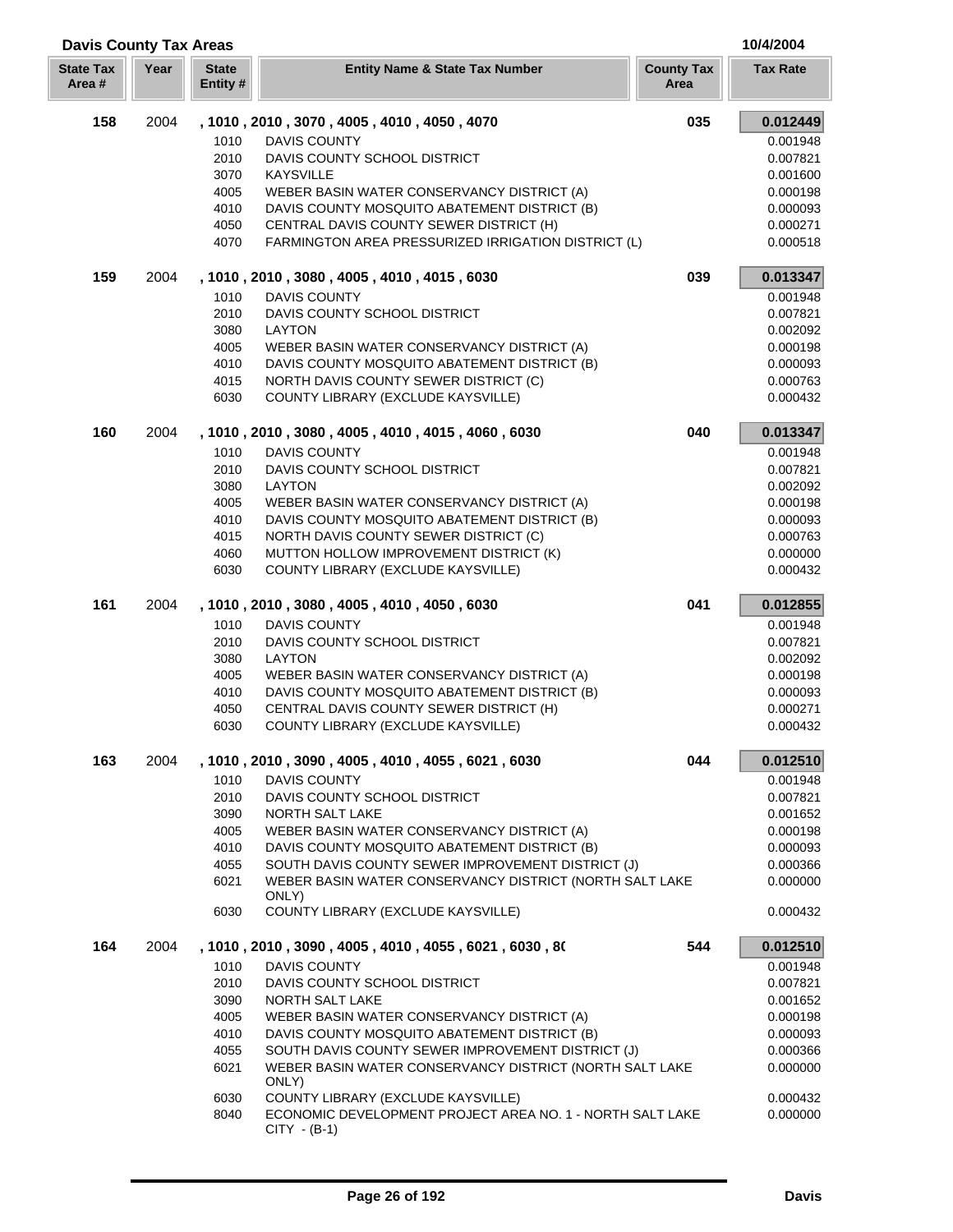| <b>Davis County Tax Areas</b> |      |                          |                                                                             |                           | 10/4/2004       |
|-------------------------------|------|--------------------------|-----------------------------------------------------------------------------|---------------------------|-----------------|
| <b>State Tax</b><br>Area#     | Year | <b>State</b><br>Entity # | <b>Entity Name &amp; State Tax Number</b>                                   | <b>County Tax</b><br>Area | <b>Tax Rate</b> |
| 158                           | 2004 |                          | , 1010, 2010, 3070, 4005, 4010, 4050, 4070                                  | 035                       | 0.012449        |
|                               |      | 1010                     | <b>DAVIS COUNTY</b>                                                         |                           | 0.001948        |
|                               |      | 2010                     | DAVIS COUNTY SCHOOL DISTRICT                                                |                           | 0.007821        |
|                               |      | 3070                     | <b>KAYSVILLE</b>                                                            |                           | 0.001600        |
|                               |      | 4005                     | WEBER BASIN WATER CONSERVANCY DISTRICT (A)                                  |                           | 0.000198        |
|                               |      | 4010                     | DAVIS COUNTY MOSQUITO ABATEMENT DISTRICT (B)                                |                           | 0.000093        |
|                               |      | 4050                     | CENTRAL DAVIS COUNTY SEWER DISTRICT (H)                                     |                           | 0.000271        |
|                               |      | 4070                     | FARMINGTON AREA PRESSURIZED IRRIGATION DISTRICT (L)                         |                           | 0.000518        |
| 159                           | 2004 |                          | , 1010, 2010, 3080, 4005, 4010, 4015, 6030                                  | 039                       | 0.013347        |
|                               |      | 1010                     | DAVIS COUNTY                                                                |                           | 0.001948        |
|                               |      | 2010                     | DAVIS COUNTY SCHOOL DISTRICT                                                |                           | 0.007821        |
|                               |      | 3080                     | LAYTON                                                                      |                           | 0.002092        |
|                               |      | 4005                     | WEBER BASIN WATER CONSERVANCY DISTRICT (A)                                  |                           | 0.000198        |
|                               |      | 4010                     | DAVIS COUNTY MOSQUITO ABATEMENT DISTRICT (B)                                |                           | 0.000093        |
|                               |      | 4015                     | NORTH DAVIS COUNTY SEWER DISTRICT (C)                                       |                           | 0.000763        |
|                               |      | 6030                     | COUNTY LIBRARY (EXCLUDE KAYSVILLE)                                          |                           | 0.000432        |
| 160                           | 2004 |                          | , 1010, 2010, 3080, 4005, 4010, 4015, 4060, 6030                            | 040                       | 0.013347        |
|                               |      | 1010                     | <b>DAVIS COUNTY</b>                                                         |                           | 0.001948        |
|                               |      | 2010                     | DAVIS COUNTY SCHOOL DISTRICT                                                |                           | 0.007821        |
|                               |      | 3080                     | <b>LAYTON</b>                                                               |                           | 0.002092        |
|                               |      | 4005                     | WEBER BASIN WATER CONSERVANCY DISTRICT (A)                                  |                           | 0.000198        |
|                               |      | 4010                     | DAVIS COUNTY MOSQUITO ABATEMENT DISTRICT (B)                                |                           | 0.000093        |
|                               |      | 4015                     | NORTH DAVIS COUNTY SEWER DISTRICT (C)                                       |                           | 0.000763        |
|                               |      | 4060                     | MUTTON HOLLOW IMPROVEMENT DISTRICT (K)                                      |                           | 0.000000        |
|                               |      | 6030                     | COUNTY LIBRARY (EXCLUDE KAYSVILLE)                                          |                           | 0.000432        |
| 161                           | 2004 |                          | , 1010, 2010, 3080, 4005, 4010, 4050, 6030                                  | 041                       | 0.012855        |
|                               |      | 1010                     | <b>DAVIS COUNTY</b>                                                         |                           | 0.001948        |
|                               |      | 2010                     | DAVIS COUNTY SCHOOL DISTRICT                                                |                           | 0.007821        |
|                               |      | 3080                     | <b>LAYTON</b>                                                               |                           | 0.002092        |
|                               |      | 4005                     | WEBER BASIN WATER CONSERVANCY DISTRICT (A)                                  |                           | 0.000198        |
|                               |      | 4010                     | DAVIS COUNTY MOSQUITO ABATEMENT DISTRICT (B)                                |                           | 0.000093        |
|                               |      | 4050                     | CENTRAL DAVIS COUNTY SEWER DISTRICT (H)                                     |                           | 0.000271        |
|                               |      | 6030                     | COUNTY LIBRARY (EXCLUDE KAYSVILLE)                                          |                           | 0.000432        |
| 163                           | 2004 |                          | , 1010, 2010, 3090, 4005, 4010, 4055, 6021, 6030                            | 044                       | 0.012510        |
|                               |      | 1010                     | <b>DAVIS COUNTY</b>                                                         |                           | 0.001948        |
|                               |      | 2010                     | DAVIS COUNTY SCHOOL DISTRICT                                                |                           | 0.007821        |
|                               |      | 3090                     | <b>NORTH SALT LAKE</b>                                                      |                           | 0.001652        |
|                               |      | 4005                     | WEBER BASIN WATER CONSERVANCY DISTRICT (A)                                  |                           | 0.000198        |
|                               |      | 4010                     | DAVIS COUNTY MOSQUITO ABATEMENT DISTRICT (B)                                |                           | 0.000093        |
|                               |      | 4055                     | SOUTH DAVIS COUNTY SEWER IMPROVEMENT DISTRICT (J)                           |                           | 0.000366        |
|                               |      | 6021                     | WEBER BASIN WATER CONSERVANCY DISTRICT (NORTH SALT LAKE<br>ONLY)            |                           | 0.000000        |
|                               |      | 6030                     | COUNTY LIBRARY (EXCLUDE KAYSVILLE)                                          |                           | 0.000432        |
| 164                           | 2004 |                          | , 1010, 2010, 3090, 4005, 4010, 4055, 6021, 6030, 80                        | 544                       | 0.012510        |
|                               |      | 1010                     | DAVIS COUNTY                                                                |                           | 0.001948        |
|                               |      | 2010                     | DAVIS COUNTY SCHOOL DISTRICT                                                |                           | 0.007821        |
|                               |      | 3090                     | <b>NORTH SALT LAKE</b>                                                      |                           | 0.001652        |
|                               |      | 4005                     | WEBER BASIN WATER CONSERVANCY DISTRICT (A)                                  |                           | 0.000198        |
|                               |      | 4010                     | DAVIS COUNTY MOSQUITO ABATEMENT DISTRICT (B)                                |                           | 0.000093        |
|                               |      | 4055                     | SOUTH DAVIS COUNTY SEWER IMPROVEMENT DISTRICT (J)                           |                           | 0.000366        |
|                               |      | 6021                     | WEBER BASIN WATER CONSERVANCY DISTRICT (NORTH SALT LAKE<br>ONLY)            |                           | 0.000000        |
|                               |      | 6030                     | COUNTY LIBRARY (EXCLUDE KAYSVILLE)                                          |                           | 0.000432        |
|                               |      | 8040                     | ECONOMIC DEVELOPMENT PROJECT AREA NO. 1 - NORTH SALT LAKE<br>$CITY - (B-1)$ |                           | 0.000000        |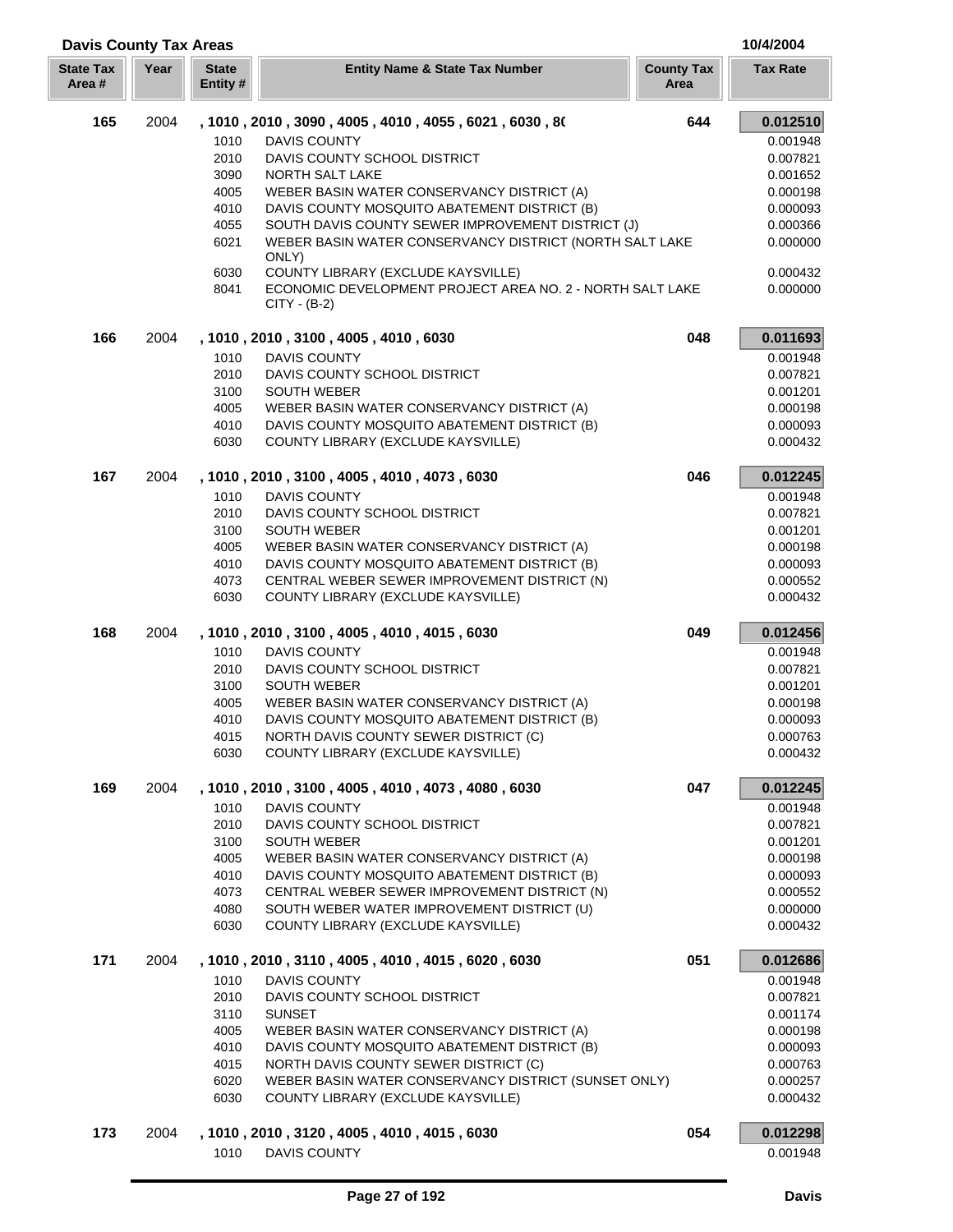| <b>Davis County Tax Areas</b> |      |                         |                                                                                                                   |                           | 10/4/2004            |
|-------------------------------|------|-------------------------|-------------------------------------------------------------------------------------------------------------------|---------------------------|----------------------|
| <b>State Tax</b><br>Area#     | Year | <b>State</b><br>Entity# | <b>Entity Name &amp; State Tax Number</b>                                                                         | <b>County Tax</b><br>Area | <b>Tax Rate</b>      |
| 165                           | 2004 |                         | , 1010 , 2010 , 3090 , 4005 , 4010 , 4055 , 6021 , 6030 , 80                                                      | 644                       | 0.012510             |
|                               |      | 1010                    | <b>DAVIS COUNTY</b>                                                                                               |                           | 0.001948             |
|                               |      | 2010                    | DAVIS COUNTY SCHOOL DISTRICT                                                                                      |                           | 0.007821             |
|                               |      | 3090                    | NORTH SALT LAKE                                                                                                   |                           | 0.001652             |
|                               |      | 4005                    | WEBER BASIN WATER CONSERVANCY DISTRICT (A)                                                                        |                           | 0.000198             |
|                               |      | 4010                    | DAVIS COUNTY MOSQUITO ABATEMENT DISTRICT (B)                                                                      |                           | 0.000093             |
|                               |      | 4055                    | SOUTH DAVIS COUNTY SEWER IMPROVEMENT DISTRICT (J)                                                                 |                           | 0.000366             |
|                               |      | 6021                    | WEBER BASIN WATER CONSERVANCY DISTRICT (NORTH SALT LAKE<br>ONLY)                                                  |                           | 0.000000             |
|                               |      | 6030<br>8041            | COUNTY LIBRARY (EXCLUDE KAYSVILLE)<br>ECONOMIC DEVELOPMENT PROJECT AREA NO. 2 - NORTH SALT LAKE<br>$CITY - (B-2)$ |                           | 0.000432<br>0.000000 |
| 166                           | 2004 |                         | , 1010, 2010, 3100, 4005, 4010, 6030                                                                              | 048                       | 0.011693             |
|                               |      | 1010                    | <b>DAVIS COUNTY</b>                                                                                               |                           | 0.001948             |
|                               |      | 2010                    | DAVIS COUNTY SCHOOL DISTRICT                                                                                      |                           | 0.007821             |
|                               |      | 3100                    | <b>SOUTH WEBER</b>                                                                                                |                           | 0.001201             |
|                               |      | 4005                    | WEBER BASIN WATER CONSERVANCY DISTRICT (A)                                                                        |                           | 0.000198             |
|                               |      | 4010                    | DAVIS COUNTY MOSQUITO ABATEMENT DISTRICT (B)                                                                      |                           | 0.000093             |
|                               |      | 6030                    | COUNTY LIBRARY (EXCLUDE KAYSVILLE)                                                                                |                           | 0.000432             |
| 167                           | 2004 |                         | , 1010, 2010, 3100, 4005, 4010, 4073, 6030                                                                        | 046                       | 0.012245             |
|                               |      | 1010                    | <b>DAVIS COUNTY</b>                                                                                               |                           | 0.001948             |
|                               |      | 2010                    | DAVIS COUNTY SCHOOL DISTRICT                                                                                      |                           | 0.007821             |
|                               |      | 3100                    | <b>SOUTH WEBER</b>                                                                                                |                           | 0.001201             |
|                               |      | 4005                    | WEBER BASIN WATER CONSERVANCY DISTRICT (A)                                                                        |                           | 0.000198             |
|                               |      | 4010                    | DAVIS COUNTY MOSQUITO ABATEMENT DISTRICT (B)                                                                      |                           | 0.000093             |
|                               |      | 4073<br>6030            | CENTRAL WEBER SEWER IMPROVEMENT DISTRICT (N)<br>COUNTY LIBRARY (EXCLUDE KAYSVILLE)                                |                           | 0.000552<br>0.000432 |
|                               |      |                         |                                                                                                                   |                           |                      |
| 168                           | 2004 |                         | , 1010, 2010, 3100, 4005, 4010, 4015, 6030                                                                        | 049                       | 0.012456             |
|                               |      | 1010                    | <b>DAVIS COUNTY</b>                                                                                               |                           | 0.001948             |
|                               |      | 2010                    | DAVIS COUNTY SCHOOL DISTRICT                                                                                      |                           | 0.007821             |
|                               |      | 3100                    | <b>SOUTH WEBER</b>                                                                                                |                           | 0.001201             |
|                               |      | 4005                    | WEBER BASIN WATER CONSERVANCY DISTRICT (A)                                                                        |                           | 0.000198             |
|                               |      | 4010                    | DAVIS COUNTY MOSQUITO ABATEMENT DISTRICT (B)                                                                      |                           | 0.000093             |
|                               |      | 4015<br>6030            | NORTH DAVIS COUNTY SEWER DISTRICT (C)<br>COUNTY LIBRARY (EXCLUDE KAYSVILLE)                                       |                           | 0.000763<br>0.000432 |
| 169                           | 2004 |                         | , 1010, 2010, 3100, 4005, 4010, 4073, 4080, 6030                                                                  | 047                       | 0.012245             |
|                               |      | 1010                    | <b>DAVIS COUNTY</b>                                                                                               |                           | 0.001948             |
|                               |      | 2010                    | DAVIS COUNTY SCHOOL DISTRICT                                                                                      |                           | 0.007821             |
|                               |      | 3100                    | <b>SOUTH WEBER</b>                                                                                                |                           | 0.001201             |
|                               |      | 4005                    | WEBER BASIN WATER CONSERVANCY DISTRICT (A)                                                                        |                           | 0.000198             |
|                               |      | 4010                    | DAVIS COUNTY MOSQUITO ABATEMENT DISTRICT (B)                                                                      |                           | 0.000093             |
|                               |      | 4073                    | CENTRAL WEBER SEWER IMPROVEMENT DISTRICT (N)                                                                      |                           | 0.000552             |
|                               |      | 4080                    | SOUTH WEBER WATER IMPROVEMENT DISTRICT (U)                                                                        |                           | 0.000000             |
|                               |      | 6030                    | COUNTY LIBRARY (EXCLUDE KAYSVILLE)                                                                                |                           | 0.000432             |
| 171                           | 2004 |                         | , 1010, 2010, 3110, 4005, 4010, 4015, 6020, 6030                                                                  | 051                       | 0.012686             |
|                               |      | 1010                    | <b>DAVIS COUNTY</b>                                                                                               |                           | 0.001948             |
|                               |      | 2010                    | DAVIS COUNTY SCHOOL DISTRICT                                                                                      |                           | 0.007821             |
|                               |      | 3110                    | <b>SUNSET</b>                                                                                                     |                           | 0.001174             |
|                               |      | 4005                    | WEBER BASIN WATER CONSERVANCY DISTRICT (A)                                                                        |                           | 0.000198             |
|                               |      | 4010                    | DAVIS COUNTY MOSQUITO ABATEMENT DISTRICT (B)                                                                      |                           | 0.000093             |
|                               |      | 4015                    | NORTH DAVIS COUNTY SEWER DISTRICT (C)                                                                             |                           | 0.000763             |
|                               |      | 6020<br>6030            | WEBER BASIN WATER CONSERVANCY DISTRICT (SUNSET ONLY)<br>COUNTY LIBRARY (EXCLUDE KAYSVILLE)                        |                           | 0.000257<br>0.000432 |
|                               |      |                         |                                                                                                                   |                           |                      |
| 173                           | 2004 |                         | , 1010, 2010, 3120, 4005, 4010, 4015, 6030                                                                        | 054                       | 0.012298             |
|                               |      | 1010                    | DAVIS COUNTY                                                                                                      |                           | 0.001948             |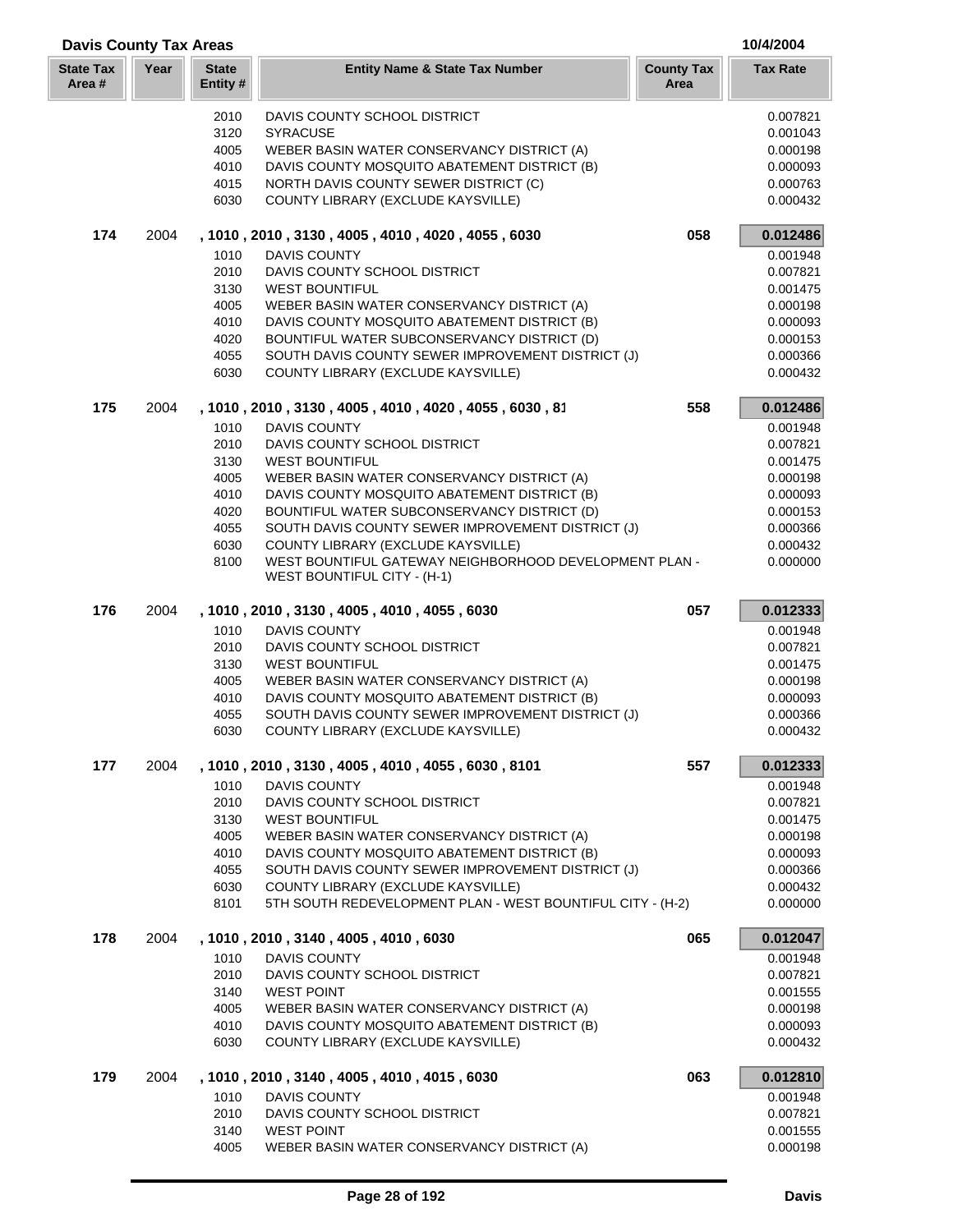| <b>Davis County Tax Areas</b> |      |                          |                                                                                              |                           | 10/4/2004            |  |
|-------------------------------|------|--------------------------|----------------------------------------------------------------------------------------------|---------------------------|----------------------|--|
| <b>State Tax</b><br>Area#     | Year | <b>State</b><br>Entity # | <b>Entity Name &amp; State Tax Number</b>                                                    | <b>County Tax</b><br>Area | <b>Tax Rate</b>      |  |
|                               |      | 2010                     | DAVIS COUNTY SCHOOL DISTRICT                                                                 |                           | 0.007821             |  |
|                               |      | 3120                     | <b>SYRACUSE</b>                                                                              |                           | 0.001043             |  |
|                               |      | 4005                     | WEBER BASIN WATER CONSERVANCY DISTRICT (A)                                                   |                           | 0.000198             |  |
|                               |      | 4010                     | DAVIS COUNTY MOSQUITO ABATEMENT DISTRICT (B)                                                 |                           | 0.000093             |  |
|                               |      | 4015                     | NORTH DAVIS COUNTY SEWER DISTRICT (C)                                                        |                           | 0.000763             |  |
|                               |      | 6030                     | COUNTY LIBRARY (EXCLUDE KAYSVILLE)                                                           |                           | 0.000432             |  |
| 174                           | 2004 |                          | , 1010, 2010, 3130, 4005, 4010, 4020, 4055, 6030                                             | 058                       | 0.012486             |  |
|                               |      | 1010                     | <b>DAVIS COUNTY</b>                                                                          |                           | 0.001948             |  |
|                               |      | 2010                     | DAVIS COUNTY SCHOOL DISTRICT                                                                 |                           | 0.007821             |  |
|                               |      | 3130                     | <b>WEST BOUNTIFUL</b>                                                                        |                           | 0.001475             |  |
|                               |      | 4005                     | WEBER BASIN WATER CONSERVANCY DISTRICT (A)                                                   |                           | 0.000198             |  |
|                               |      | 4010<br>4020             | DAVIS COUNTY MOSQUITO ABATEMENT DISTRICT (B)<br>BOUNTIFUL WATER SUBCONSERVANCY DISTRICT (D)  |                           | 0.000093<br>0.000153 |  |
|                               |      | 4055                     | SOUTH DAVIS COUNTY SEWER IMPROVEMENT DISTRICT (J)                                            |                           | 0.000366             |  |
|                               |      | 6030                     | COUNTY LIBRARY (EXCLUDE KAYSVILLE)                                                           |                           | 0.000432             |  |
| 175                           | 2004 |                          | , 1010, 2010, 3130, 4005, 4010, 4020, 4055, 6030, 81                                         | 558                       | 0.012486             |  |
|                               |      | 1010                     | <b>DAVIS COUNTY</b>                                                                          |                           | 0.001948             |  |
|                               |      | 2010                     | DAVIS COUNTY SCHOOL DISTRICT                                                                 |                           | 0.007821             |  |
|                               |      | 3130                     | <b>WEST BOUNTIFUL</b>                                                                        |                           | 0.001475             |  |
|                               |      | 4005                     | WEBER BASIN WATER CONSERVANCY DISTRICT (A)                                                   |                           | 0.000198             |  |
|                               |      | 4010                     | DAVIS COUNTY MOSQUITO ABATEMENT DISTRICT (B)                                                 |                           | 0.000093             |  |
|                               |      | 4020                     | BOUNTIFUL WATER SUBCONSERVANCY DISTRICT (D)                                                  |                           | 0.000153             |  |
|                               |      | 4055                     | SOUTH DAVIS COUNTY SEWER IMPROVEMENT DISTRICT (J)                                            |                           | 0.000366             |  |
|                               |      | 6030                     | COUNTY LIBRARY (EXCLUDE KAYSVILLE)                                                           |                           | 0.000432             |  |
|                               |      | 8100                     | WEST BOUNTIFUL GATEWAY NEIGHBORHOOD DEVELOPMENT PLAN -<br><b>WEST BOUNTIFUL CITY - (H-1)</b> |                           | 0.000000             |  |
| 176                           | 2004 |                          | , 1010, 2010, 3130, 4005, 4010, 4055, 6030                                                   | 057                       | 0.012333             |  |
|                               |      | 1010                     | <b>DAVIS COUNTY</b>                                                                          |                           | 0.001948             |  |
|                               |      | 2010                     | DAVIS COUNTY SCHOOL DISTRICT                                                                 |                           | 0.007821             |  |
|                               |      | 3130                     | <b>WEST BOUNTIFUL</b>                                                                        |                           | 0.001475             |  |
|                               |      | 4005                     | WEBER BASIN WATER CONSERVANCY DISTRICT (A)                                                   |                           | 0.000198             |  |
|                               |      | 4010                     | DAVIS COUNTY MOSQUITO ABATEMENT DISTRICT (B)                                                 |                           | 0.000093             |  |
|                               |      | 4055<br>6030             | SOUTH DAVIS COUNTY SEWER IMPROVEMENT DISTRICT (J)                                            |                           | 0.000366<br>0.000432 |  |
|                               |      |                          | COUNTY LIBRARY (EXCLUDE KAYSVILLE)                                                           |                           |                      |  |
| 177                           | 2004 | 1010                     | , 1010, 2010, 3130, 4005, 4010, 4055, 6030, 8101<br><b>DAVIS COUNTY</b>                      | 557                       | 0.012333<br>0.001948 |  |
|                               |      | 2010                     | DAVIS COUNTY SCHOOL DISTRICT                                                                 |                           | 0.007821             |  |
|                               |      | 3130                     | <b>WEST BOUNTIFUL</b>                                                                        |                           | 0.001475             |  |
|                               |      | 4005                     | WEBER BASIN WATER CONSERVANCY DISTRICT (A)                                                   |                           | 0.000198             |  |
|                               |      | 4010                     | DAVIS COUNTY MOSQUITO ABATEMENT DISTRICT (B)                                                 |                           | 0.000093             |  |
|                               |      | 4055                     | SOUTH DAVIS COUNTY SEWER IMPROVEMENT DISTRICT (J)                                            |                           | 0.000366             |  |
|                               |      | 6030                     | COUNTY LIBRARY (EXCLUDE KAYSVILLE)                                                           |                           | 0.000432             |  |
|                               |      | 8101                     | 5TH SOUTH REDEVELOPMENT PLAN - WEST BOUNTIFUL CITY - (H-2)                                   |                           | 0.000000             |  |
| 178                           | 2004 |                          | , 1010, 2010, 3140, 4005, 4010, 6030                                                         | 065                       | 0.012047             |  |
|                               |      | 1010                     | <b>DAVIS COUNTY</b>                                                                          |                           | 0.001948             |  |
|                               |      | 2010                     | DAVIS COUNTY SCHOOL DISTRICT                                                                 |                           | 0.007821             |  |
|                               |      | 3140                     | <b>WEST POINT</b>                                                                            |                           | 0.001555             |  |
|                               |      | 4005                     | WEBER BASIN WATER CONSERVANCY DISTRICT (A)                                                   |                           | 0.000198             |  |
|                               |      | 4010<br>6030             | DAVIS COUNTY MOSQUITO ABATEMENT DISTRICT (B)<br>COUNTY LIBRARY (EXCLUDE KAYSVILLE)           |                           | 0.000093<br>0.000432 |  |
| 179                           | 2004 |                          | , 1010, 2010, 3140, 4005, 4010, 4015, 6030                                                   | 063                       | 0.012810             |  |
|                               |      | 1010                     | <b>DAVIS COUNTY</b>                                                                          |                           | 0.001948             |  |
|                               |      | 2010                     | DAVIS COUNTY SCHOOL DISTRICT                                                                 |                           | 0.007821             |  |
|                               |      | 3140                     | <b>WEST POINT</b>                                                                            |                           | 0.001555             |  |
|                               |      | 4005                     | WEBER BASIN WATER CONSERVANCY DISTRICT (A)                                                   |                           | 0.000198             |  |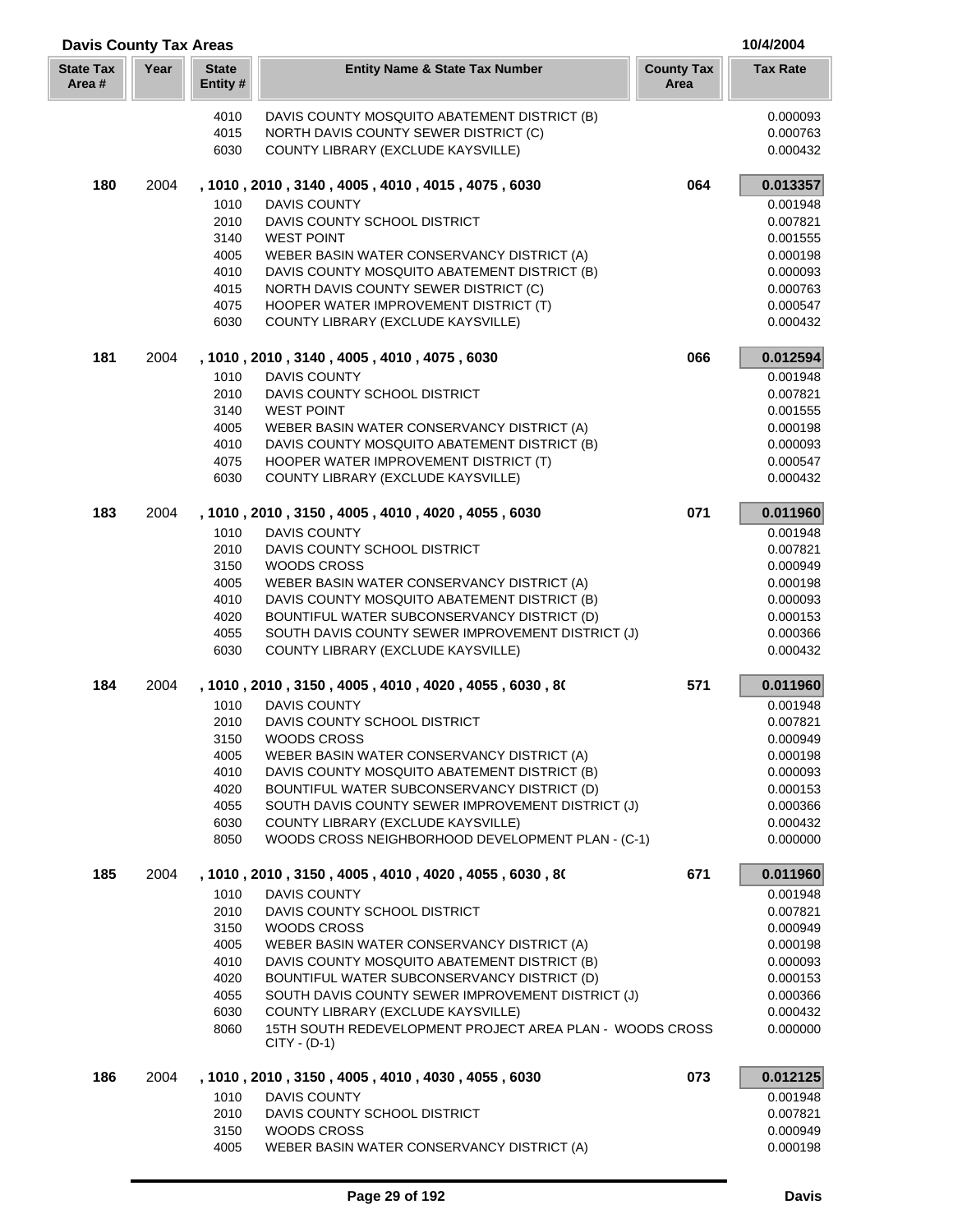| <b>Davis County Tax Areas</b> |      |                          |                                                                                         |                           | 10/4/2004            |
|-------------------------------|------|--------------------------|-----------------------------------------------------------------------------------------|---------------------------|----------------------|
| <b>State Tax</b><br>Area #    | Year | <b>State</b><br>Entity # | <b>Entity Name &amp; State Tax Number</b>                                               | <b>County Tax</b><br>Area | <b>Tax Rate</b>      |
|                               |      | 4010                     | DAVIS COUNTY MOSQUITO ABATEMENT DISTRICT (B)                                            |                           | 0.000093             |
|                               |      | 4015                     | NORTH DAVIS COUNTY SEWER DISTRICT (C)                                                   |                           | 0.000763             |
|                               |      | 6030                     | COUNTY LIBRARY (EXCLUDE KAYSVILLE)                                                      |                           | 0.000432             |
| 180                           | 2004 |                          | , 1010, 2010, 3140, 4005, 4010, 4015, 4075, 6030                                        | 064                       | 0.013357             |
|                               |      | 1010                     | <b>DAVIS COUNTY</b>                                                                     |                           | 0.001948             |
|                               |      | 2010                     | DAVIS COUNTY SCHOOL DISTRICT                                                            |                           | 0.007821             |
|                               |      | 3140                     | <b>WEST POINT</b><br>WEBER BASIN WATER CONSERVANCY DISTRICT (A)                         |                           | 0.001555             |
|                               |      | 4005<br>4010             | DAVIS COUNTY MOSQUITO ABATEMENT DISTRICT (B)                                            |                           | 0.000198<br>0.000093 |
|                               |      | 4015                     | NORTH DAVIS COUNTY SEWER DISTRICT (C)                                                   |                           | 0.000763             |
|                               |      | 4075                     | HOOPER WATER IMPROVEMENT DISTRICT (T)                                                   |                           | 0.000547             |
|                               |      | 6030                     | COUNTY LIBRARY (EXCLUDE KAYSVILLE)                                                      |                           | 0.000432             |
| 181                           | 2004 |                          | , 1010, 2010, 3140, 4005, 4010, 4075, 6030                                              | 066                       | 0.012594             |
|                               |      | 1010                     | <b>DAVIS COUNTY</b>                                                                     |                           | 0.001948             |
|                               |      | 2010                     | DAVIS COUNTY SCHOOL DISTRICT                                                            |                           | 0.007821             |
|                               |      | 3140                     | <b>WEST POINT</b>                                                                       |                           | 0.001555             |
|                               |      | 4005                     | WEBER BASIN WATER CONSERVANCY DISTRICT (A)                                              |                           | 0.000198             |
|                               |      | 4010<br>4075             | DAVIS COUNTY MOSQUITO ABATEMENT DISTRICT (B)<br>HOOPER WATER IMPROVEMENT DISTRICT (T)   |                           | 0.000093<br>0.000547 |
|                               |      | 6030                     | COUNTY LIBRARY (EXCLUDE KAYSVILLE)                                                      |                           | 0.000432             |
| 183                           | 2004 |                          | , 1010, 2010, 3150, 4005, 4010, 4020, 4055, 6030                                        | 071                       | 0.011960             |
|                               |      | 1010                     | <b>DAVIS COUNTY</b>                                                                     |                           | 0.001948             |
|                               |      | 2010                     | DAVIS COUNTY SCHOOL DISTRICT                                                            |                           | 0.007821             |
|                               |      | 3150                     | <b>WOODS CROSS</b>                                                                      |                           | 0.000949             |
|                               |      | 4005                     | WEBER BASIN WATER CONSERVANCY DISTRICT (A)                                              |                           | 0.000198             |
|                               |      | 4010                     | DAVIS COUNTY MOSQUITO ABATEMENT DISTRICT (B)                                            |                           | 0.000093             |
|                               |      | 4020                     | BOUNTIFUL WATER SUBCONSERVANCY DISTRICT (D)                                             |                           | 0.000153             |
|                               |      | 4055<br>6030             | SOUTH DAVIS COUNTY SEWER IMPROVEMENT DISTRICT (J)<br>COUNTY LIBRARY (EXCLUDE KAYSVILLE) |                           | 0.000366<br>0.000432 |
| 184                           | 2004 |                          | , 1010, 2010, 3150, 4005, 4010, 4020, 4055, 6030, 80                                    | 571                       | 0.011960             |
|                               |      | 1010                     | <b>DAVIS COUNTY</b>                                                                     |                           | 0.001948             |
|                               |      | 2010                     | DAVIS COUNTY SCHOOL DISTRICT                                                            |                           | 0.007821             |
|                               |      | 3150                     | WOODS CROSS                                                                             |                           | 0.000949             |
|                               |      | 4005                     | WEBER BASIN WATER CONSERVANCY DISTRICT (A)                                              |                           | 0.000198             |
|                               |      | 4010                     | DAVIS COUNTY MOSQUITO ABATEMENT DISTRICT (B)                                            |                           | 0.000093             |
|                               |      | 4020                     | BOUNTIFUL WATER SUBCONSERVANCY DISTRICT (D)                                             |                           | 0.000153             |
|                               |      | 4055                     | SOUTH DAVIS COUNTY SEWER IMPROVEMENT DISTRICT (J)                                       |                           | 0.000366             |
|                               |      | 6030                     | COUNTY LIBRARY (EXCLUDE KAYSVILLE)                                                      |                           | 0.000432             |
|                               |      | 8050                     | WOODS CROSS NEIGHBORHOOD DEVELOPMENT PLAN - (C-1)                                       |                           | 0.000000             |
| 185                           | 2004 |                          | , 1010 , 2010 , 3150 , 4005 , 4010 , 4020 , 4055 , 6030 , 80                            | 671                       | 0.011960             |
|                               |      | 1010                     | <b>DAVIS COUNTY</b>                                                                     |                           | 0.001948             |
|                               |      | 2010                     | DAVIS COUNTY SCHOOL DISTRICT                                                            |                           | 0.007821             |
|                               |      | 3150<br>4005             | <b>WOODS CROSS</b><br>WEBER BASIN WATER CONSERVANCY DISTRICT (A)                        |                           | 0.000949<br>0.000198 |
|                               |      | 4010                     | DAVIS COUNTY MOSQUITO ABATEMENT DISTRICT (B)                                            |                           | 0.000093             |
|                               |      | 4020                     | BOUNTIFUL WATER SUBCONSERVANCY DISTRICT (D)                                             |                           | 0.000153             |
|                               |      | 4055                     | SOUTH DAVIS COUNTY SEWER IMPROVEMENT DISTRICT (J)                                       |                           | 0.000366             |
|                               |      | 6030                     | COUNTY LIBRARY (EXCLUDE KAYSVILLE)                                                      |                           | 0.000432             |
|                               |      | 8060                     | 15TH SOUTH REDEVELOPMENT PROJECT AREA PLAN - WOODS CROSS<br>$CITY - (D-1)$              |                           | 0.000000             |
| 186                           | 2004 |                          | , 1010, 2010, 3150, 4005, 4010, 4030, 4055, 6030                                        | 073                       | 0.012125             |
|                               |      | 1010                     | <b>DAVIS COUNTY</b>                                                                     |                           | 0.001948             |
|                               |      | 2010                     | DAVIS COUNTY SCHOOL DISTRICT                                                            |                           | 0.007821             |
|                               |      | 3150                     | WOODS CROSS                                                                             |                           | 0.000949             |
|                               |      | 4005                     | WEBER BASIN WATER CONSERVANCY DISTRICT (A)                                              |                           | 0.000198             |

ſ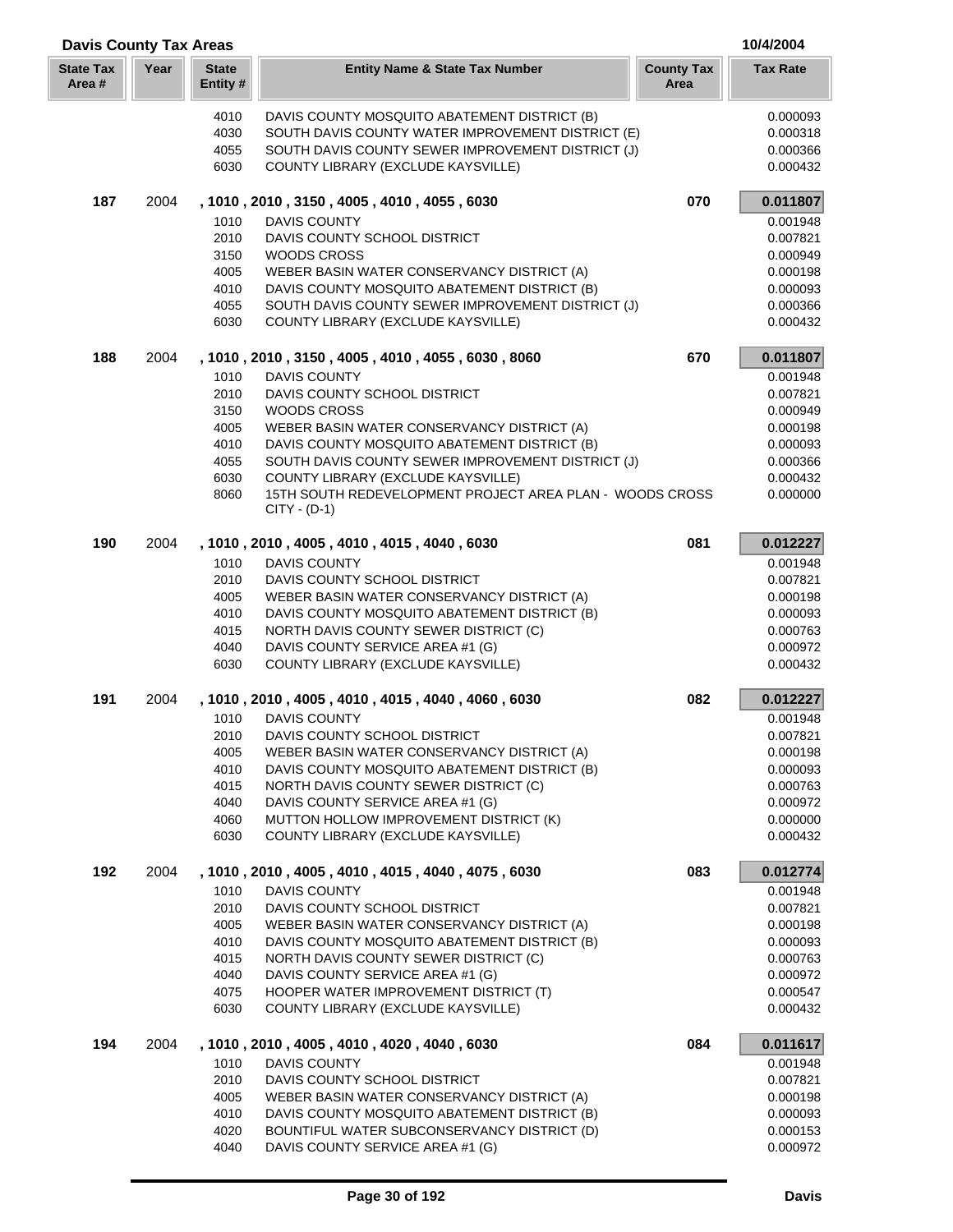| <b>Davis County Tax Areas</b> |      |                         |                                                                                                |                           | 10/4/2004            |
|-------------------------------|------|-------------------------|------------------------------------------------------------------------------------------------|---------------------------|----------------------|
| <b>State Tax</b><br>Area #    | Year | <b>State</b><br>Entity# | <b>Entity Name &amp; State Tax Number</b>                                                      | <b>County Tax</b><br>Area | <b>Tax Rate</b>      |
|                               |      | 4010                    | DAVIS COUNTY MOSQUITO ABATEMENT DISTRICT (B)                                                   |                           | 0.000093             |
|                               |      | 4030                    | SOUTH DAVIS COUNTY WATER IMPROVEMENT DISTRICT (E)                                              |                           | 0.000318             |
|                               |      | 4055                    | SOUTH DAVIS COUNTY SEWER IMPROVEMENT DISTRICT (J)                                              |                           | 0.000366             |
|                               |      | 6030                    | COUNTY LIBRARY (EXCLUDE KAYSVILLE)                                                             |                           | 0.000432             |
| 187                           | 2004 |                         | , 1010, 2010, 3150, 4005, 4010, 4055, 6030                                                     | 070                       | 0.011807             |
|                               |      | 1010                    | DAVIS COUNTY                                                                                   |                           | 0.001948             |
|                               |      | 2010                    | DAVIS COUNTY SCHOOL DISTRICT                                                                   |                           | 0.007821             |
|                               |      | 3150<br>4005            | WOODS CROSS<br>WEBER BASIN WATER CONSERVANCY DISTRICT (A)                                      |                           | 0.000949<br>0.000198 |
|                               |      | 4010                    | DAVIS COUNTY MOSQUITO ABATEMENT DISTRICT (B)                                                   |                           | 0.000093             |
|                               |      | 4055                    | SOUTH DAVIS COUNTY SEWER IMPROVEMENT DISTRICT (J)                                              |                           | 0.000366             |
|                               |      | 6030                    | COUNTY LIBRARY (EXCLUDE KAYSVILLE)                                                             |                           | 0.000432             |
| 188                           | 2004 |                         | , 1010, 2010, 3150, 4005, 4010, 4055, 6030, 8060                                               | 670                       | 0.011807             |
|                               |      | 1010                    | <b>DAVIS COUNTY</b>                                                                            |                           | 0.001948             |
|                               |      | 2010                    | DAVIS COUNTY SCHOOL DISTRICT                                                                   |                           | 0.007821             |
|                               |      | 3150                    | <b>WOODS CROSS</b>                                                                             |                           | 0.000949             |
|                               |      | 4005                    | WEBER BASIN WATER CONSERVANCY DISTRICT (A)                                                     |                           | 0.000198             |
|                               |      | 4010                    | DAVIS COUNTY MOSQUITO ABATEMENT DISTRICT (B)                                                   |                           | 0.000093             |
|                               |      | 4055<br>6030            | SOUTH DAVIS COUNTY SEWER IMPROVEMENT DISTRICT (J)                                              |                           | 0.000366             |
|                               |      | 8060                    | COUNTY LIBRARY (EXCLUDE KAYSVILLE)<br>15TH SOUTH REDEVELOPMENT PROJECT AREA PLAN - WOODS CROSS |                           | 0.000432<br>0.000000 |
|                               |      |                         | $CITY - (D-1)$                                                                                 |                           |                      |
| 190                           | 2004 |                         | , 1010, 2010, 4005, 4010, 4015, 4040, 6030                                                     | 081                       | 0.012227             |
|                               |      | 1010                    | <b>DAVIS COUNTY</b>                                                                            |                           | 0.001948             |
|                               |      | 2010                    | DAVIS COUNTY SCHOOL DISTRICT                                                                   |                           | 0.007821             |
|                               |      | 4005                    | WEBER BASIN WATER CONSERVANCY DISTRICT (A)                                                     |                           | 0.000198             |
|                               |      | 4010<br>4015            | DAVIS COUNTY MOSQUITO ABATEMENT DISTRICT (B)<br>NORTH DAVIS COUNTY SEWER DISTRICT (C)          |                           | 0.000093<br>0.000763 |
|                               |      | 4040                    | DAVIS COUNTY SERVICE AREA #1 (G)                                                               |                           | 0.000972             |
|                               |      | 6030                    | COUNTY LIBRARY (EXCLUDE KAYSVILLE)                                                             |                           | 0.000432             |
| 191                           | 2004 |                         | , 1010, 2010, 4005, 4010, 4015, 4040, 4060, 6030                                               | 082                       | 0.012227             |
|                               |      | 1010                    | <b>DAVIS COUNTY</b>                                                                            |                           | 0.001948             |
|                               |      | 2010                    | DAVIS COUNTY SCHOOL DISTRICT                                                                   |                           | 0.007821             |
|                               |      | 4005                    | WEBER BASIN WATER CONSERVANCY DISTRICT (A)                                                     |                           | 0.000198             |
|                               |      | 4010                    | DAVIS COUNTY MOSQUITO ABATEMENT DISTRICT (B)                                                   |                           | 0.000093             |
|                               |      | 4015                    | NORTH DAVIS COUNTY SEWER DISTRICT (C)                                                          |                           | 0.000763             |
|                               |      | 4040<br>4060            | DAVIS COUNTY SERVICE AREA #1 (G)<br>MUTTON HOLLOW IMPROVEMENT DISTRICT (K)                     |                           | 0.000972<br>0.000000 |
|                               |      | 6030                    | COUNTY LIBRARY (EXCLUDE KAYSVILLE)                                                             |                           | 0.000432             |
| 192                           | 2004 |                         | , 1010, 2010, 4005, 4010, 4015, 4040, 4075, 6030                                               | 083                       | 0.012774             |
|                               |      | 1010                    | <b>DAVIS COUNTY</b>                                                                            |                           | 0.001948             |
|                               |      | 2010                    | DAVIS COUNTY SCHOOL DISTRICT                                                                   |                           | 0.007821             |
|                               |      | 4005                    | WEBER BASIN WATER CONSERVANCY DISTRICT (A)                                                     |                           | 0.000198             |
|                               |      | 4010                    | DAVIS COUNTY MOSQUITO ABATEMENT DISTRICT (B)                                                   |                           | 0.000093             |
|                               |      | 4015                    | NORTH DAVIS COUNTY SEWER DISTRICT (C)                                                          |                           | 0.000763             |
|                               |      | 4040<br>4075            | DAVIS COUNTY SERVICE AREA #1 (G)                                                               |                           | 0.000972             |
|                               |      | 6030                    | HOOPER WATER IMPROVEMENT DISTRICT (T)<br>COUNTY LIBRARY (EXCLUDE KAYSVILLE)                    |                           | 0.000547<br>0.000432 |
| 194                           | 2004 |                         | , 1010, 2010, 4005, 4010, 4020, 4040, 6030                                                     | 084                       | 0.011617             |
|                               |      | 1010                    | DAVIS COUNTY                                                                                   |                           | 0.001948             |
|                               |      | 2010                    | DAVIS COUNTY SCHOOL DISTRICT                                                                   |                           | 0.007821             |
|                               |      | 4005                    | WEBER BASIN WATER CONSERVANCY DISTRICT (A)                                                     |                           | 0.000198             |
|                               |      | 4010                    | DAVIS COUNTY MOSQUITO ABATEMENT DISTRICT (B)                                                   |                           | 0.000093             |
|                               |      | 4020                    | BOUNTIFUL WATER SUBCONSERVANCY DISTRICT (D)                                                    |                           | 0.000153             |
|                               |      | 4040                    | DAVIS COUNTY SERVICE AREA #1 (G)                                                               |                           | 0.000972             |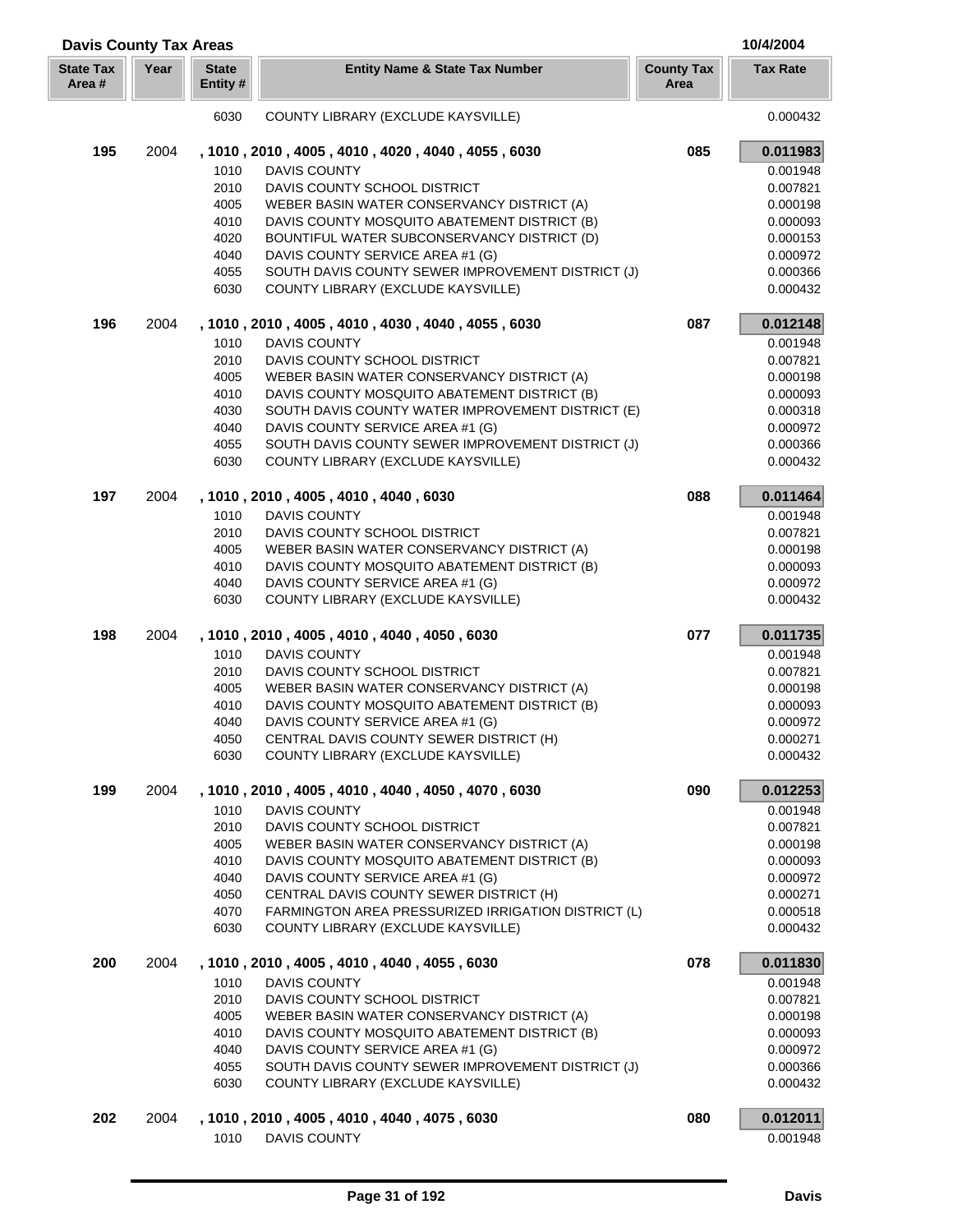| <b>Davis County Tax Areas</b> |      |                         |                                                                                            |                           | 10/4/2004            |
|-------------------------------|------|-------------------------|--------------------------------------------------------------------------------------------|---------------------------|----------------------|
| <b>State Tax</b><br>Area #    | Year | <b>State</b><br>Entity# | <b>Entity Name &amp; State Tax Number</b>                                                  | <b>County Tax</b><br>Area | <b>Tax Rate</b>      |
|                               |      | 6030                    | COUNTY LIBRARY (EXCLUDE KAYSVILLE)                                                         |                           | 0.000432             |
| 195                           | 2004 |                         | , 1010, 2010, 4005, 4010, 4020, 4040, 4055, 6030                                           | 085                       | 0.011983             |
|                               |      | 1010                    | <b>DAVIS COUNTY</b>                                                                        |                           | 0.001948             |
|                               |      | 2010                    | DAVIS COUNTY SCHOOL DISTRICT                                                               |                           | 0.007821             |
|                               |      | 4005                    | WEBER BASIN WATER CONSERVANCY DISTRICT (A)                                                 |                           | 0.000198             |
|                               |      | 4010                    | DAVIS COUNTY MOSQUITO ABATEMENT DISTRICT (B)                                               |                           | 0.000093             |
|                               |      | 4020                    | BOUNTIFUL WATER SUBCONSERVANCY DISTRICT (D)                                                |                           | 0.000153             |
|                               |      | 4040                    | DAVIS COUNTY SERVICE AREA #1 (G)                                                           |                           | 0.000972             |
|                               |      | 4055                    | SOUTH DAVIS COUNTY SEWER IMPROVEMENT DISTRICT (J)                                          |                           | 0.000366             |
|                               |      | 6030                    | COUNTY LIBRARY (EXCLUDE KAYSVILLE)                                                         |                           | 0.000432             |
| 196                           | 2004 |                         | , 1010, 2010, 4005, 4010, 4030, 4040, 4055, 6030                                           | 087                       | 0.012148             |
|                               |      | 1010                    | <b>DAVIS COUNTY</b>                                                                        |                           | 0.001948             |
|                               |      | 2010                    | DAVIS COUNTY SCHOOL DISTRICT                                                               |                           | 0.007821             |
|                               |      | 4005                    | WEBER BASIN WATER CONSERVANCY DISTRICT (A)                                                 |                           | 0.000198             |
|                               |      | 4010                    | DAVIS COUNTY MOSQUITO ABATEMENT DISTRICT (B)                                               |                           | 0.000093             |
|                               |      | 4030                    | SOUTH DAVIS COUNTY WATER IMPROVEMENT DISTRICT (E)                                          |                           | 0.000318             |
|                               |      | 4040                    | DAVIS COUNTY SERVICE AREA #1 (G)                                                           |                           | 0.000972             |
|                               |      | 4055<br>6030            | SOUTH DAVIS COUNTY SEWER IMPROVEMENT DISTRICT (J)<br>COUNTY LIBRARY (EXCLUDE KAYSVILLE)    |                           | 0.000366<br>0.000432 |
|                               |      |                         |                                                                                            | 088                       |                      |
| 197                           | 2004 |                         | , 1010, 2010, 4005, 4010, 4040, 6030                                                       |                           | 0.011464             |
|                               |      | 1010                    | <b>DAVIS COUNTY</b>                                                                        |                           | 0.001948             |
|                               |      | 2010                    | DAVIS COUNTY SCHOOL DISTRICT                                                               |                           | 0.007821<br>0.000198 |
|                               |      | 4005<br>4010            | WEBER BASIN WATER CONSERVANCY DISTRICT (A)<br>DAVIS COUNTY MOSQUITO ABATEMENT DISTRICT (B) |                           | 0.000093             |
|                               |      | 4040                    | DAVIS COUNTY SERVICE AREA #1 (G)                                                           |                           | 0.000972             |
|                               |      | 6030                    | COUNTY LIBRARY (EXCLUDE KAYSVILLE)                                                         |                           | 0.000432             |
| 198                           | 2004 |                         | , 1010, 2010, 4005, 4010, 4040, 4050, 6030                                                 | 077                       | 0.011735             |
|                               |      | 1010                    | <b>DAVIS COUNTY</b>                                                                        |                           | 0.001948             |
|                               |      | 2010                    | DAVIS COUNTY SCHOOL DISTRICT                                                               |                           | 0.007821             |
|                               |      | 4005                    | WEBER BASIN WATER CONSERVANCY DISTRICT (A)                                                 |                           | 0.000198             |
|                               |      | 4010                    | DAVIS COUNTY MOSQUITO ABATEMENT DISTRICT (B)                                               |                           | 0.000093             |
|                               |      | 4040                    | DAVIS COUNTY SERVICE AREA #1 (G)                                                           |                           | 0.000972             |
|                               |      | 4050                    | CENTRAL DAVIS COUNTY SEWER DISTRICT (H)                                                    |                           | 0.000271             |
|                               |      | 6030                    | COUNTY LIBRARY (EXCLUDE KAYSVILLE)                                                         |                           | 0.000432             |
| 199                           | 2004 |                         | , 1010, 2010, 4005, 4010, 4040, 4050, 4070, 6030                                           | 090                       | 0.012253             |
|                               |      | 1010                    | DAVIS COUNTY                                                                               |                           | 0.001948             |
|                               |      | 2010                    | DAVIS COUNTY SCHOOL DISTRICT                                                               |                           | 0.007821             |
|                               |      | 4005                    | WEBER BASIN WATER CONSERVANCY DISTRICT (A)                                                 |                           | 0.000198             |
|                               |      | 4010                    | DAVIS COUNTY MOSQUITO ABATEMENT DISTRICT (B)                                               |                           | 0.000093             |
|                               |      | 4040                    | DAVIS COUNTY SERVICE AREA #1 (G)                                                           |                           | 0.000972             |
|                               |      | 4050                    | CENTRAL DAVIS COUNTY SEWER DISTRICT (H)                                                    |                           | 0.000271             |
|                               |      | 4070                    | FARMINGTON AREA PRESSURIZED IRRIGATION DISTRICT (L)                                        |                           | 0.000518             |
|                               |      | 6030                    | COUNTY LIBRARY (EXCLUDE KAYSVILLE)                                                         |                           | 0.000432             |
| 200                           | 2004 |                         | , 1010, 2010, 4005, 4010, 4040, 4055, 6030                                                 | 078                       | 0.011830             |
|                               |      | 1010                    | <b>DAVIS COUNTY</b>                                                                        |                           | 0.001948             |
|                               |      | 2010                    | DAVIS COUNTY SCHOOL DISTRICT                                                               |                           | 0.007821             |
|                               |      | 4005                    | WEBER BASIN WATER CONSERVANCY DISTRICT (A)                                                 |                           | 0.000198             |
|                               |      | 4010                    | DAVIS COUNTY MOSQUITO ABATEMENT DISTRICT (B)                                               |                           | 0.000093             |
|                               |      | 4040                    | DAVIS COUNTY SERVICE AREA #1 (G)                                                           |                           | 0.000972             |
|                               |      | 4055                    | SOUTH DAVIS COUNTY SEWER IMPROVEMENT DISTRICT (J)                                          |                           | 0.000366             |
|                               |      | 6030                    | COUNTY LIBRARY (EXCLUDE KAYSVILLE)                                                         |                           | 0.000432             |
| 202                           | 2004 |                         | , 1010, 2010, 4005, 4010, 4040, 4075, 6030                                                 | 080                       | 0.012011             |
|                               |      | 1010                    | <b>DAVIS COUNTY</b>                                                                        |                           | 0.001948             |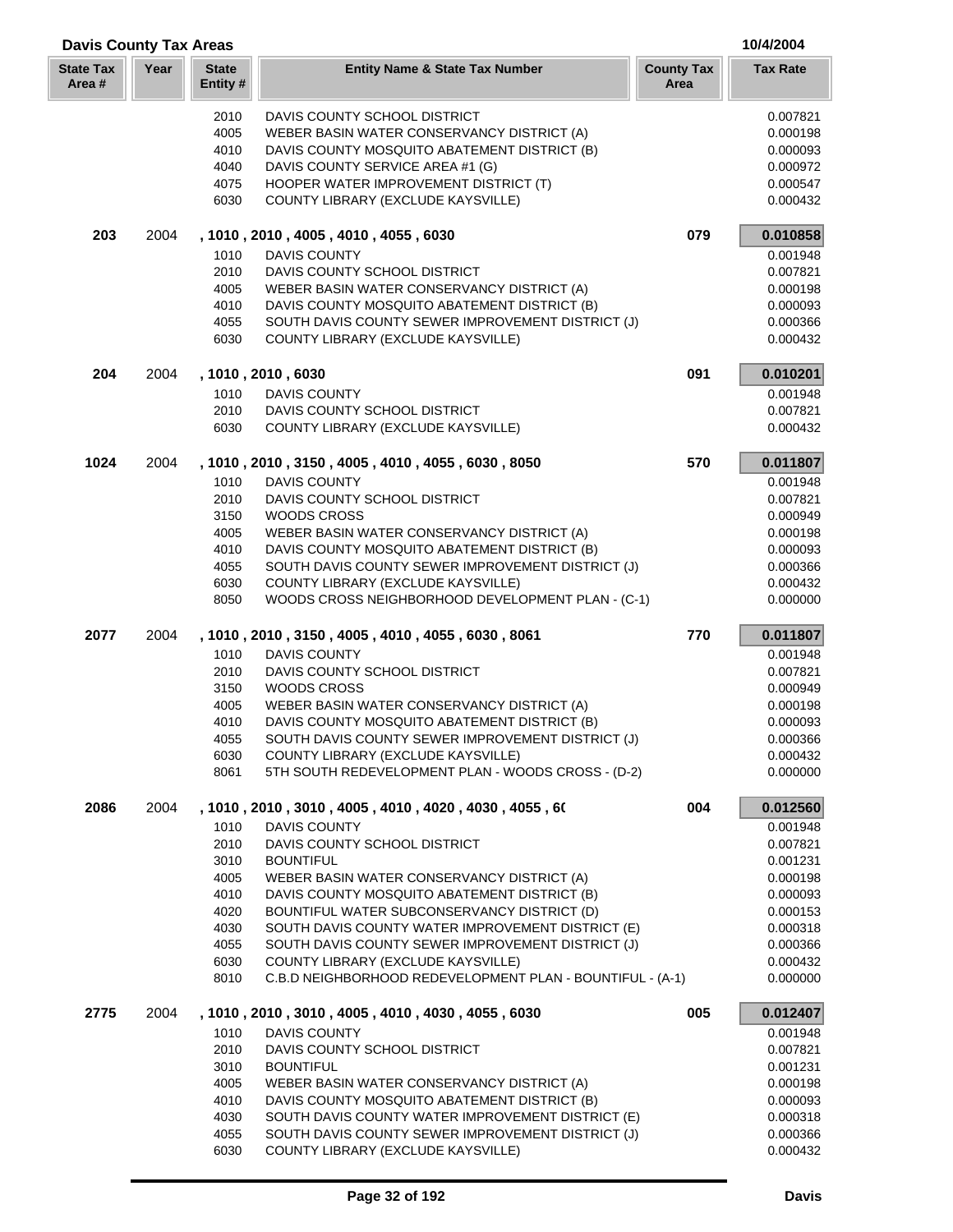| <b>Davis County Tax Areas</b> |      |                         |                                                                                                   |                           | 10/4/2004            |
|-------------------------------|------|-------------------------|---------------------------------------------------------------------------------------------------|---------------------------|----------------------|
| <b>State Tax</b><br>Area #    | Year | <b>State</b><br>Entity# | <b>Entity Name &amp; State Tax Number</b>                                                         | <b>County Tax</b><br>Area | <b>Tax Rate</b>      |
|                               |      | 2010                    | DAVIS COUNTY SCHOOL DISTRICT                                                                      |                           | 0.007821             |
|                               |      | 4005                    | WEBER BASIN WATER CONSERVANCY DISTRICT (A)                                                        |                           | 0.000198             |
|                               |      | 4010                    | DAVIS COUNTY MOSQUITO ABATEMENT DISTRICT (B)                                                      |                           | 0.000093             |
|                               |      | 4040                    | DAVIS COUNTY SERVICE AREA #1 (G)                                                                  |                           | 0.000972             |
|                               |      | 4075                    | HOOPER WATER IMPROVEMENT DISTRICT (T)                                                             |                           | 0.000547             |
|                               |      | 6030                    | COUNTY LIBRARY (EXCLUDE KAYSVILLE)                                                                |                           | 0.000432             |
| 203                           | 2004 |                         | , 1010, 2010, 4005, 4010, 4055, 6030                                                              | 079                       | 0.010858             |
|                               |      | 1010                    | <b>DAVIS COUNTY</b>                                                                               |                           | 0.001948             |
|                               |      | 2010                    | DAVIS COUNTY SCHOOL DISTRICT                                                                      |                           | 0.007821             |
|                               |      | 4005                    | WEBER BASIN WATER CONSERVANCY DISTRICT (A)                                                        |                           | 0.000198             |
|                               |      | 4010                    | DAVIS COUNTY MOSQUITO ABATEMENT DISTRICT (B)                                                      |                           | 0.000093             |
|                               |      | 4055                    | SOUTH DAVIS COUNTY SEWER IMPROVEMENT DISTRICT (J)                                                 |                           | 0.000366             |
|                               |      | 6030                    | COUNTY LIBRARY (EXCLUDE KAYSVILLE)                                                                |                           | 0.000432             |
| 204                           | 2004 |                         | , 1010, 2010, 6030                                                                                | 091                       | 0.010201             |
|                               |      | 1010                    | <b>DAVIS COUNTY</b>                                                                               |                           | 0.001948             |
|                               |      | 2010                    | DAVIS COUNTY SCHOOL DISTRICT                                                                      |                           | 0.007821             |
|                               |      | 6030                    | COUNTY LIBRARY (EXCLUDE KAYSVILLE)                                                                |                           | 0.000432             |
| 1024                          | 2004 |                         | , 1010, 2010, 3150, 4005, 4010, 4055, 6030, 8050                                                  | 570                       | 0.011807             |
|                               |      | 1010                    | <b>DAVIS COUNTY</b>                                                                               |                           | 0.001948             |
|                               |      | 2010                    | DAVIS COUNTY SCHOOL DISTRICT                                                                      |                           | 0.007821             |
|                               |      | 3150                    | <b>WOODS CROSS</b>                                                                                |                           | 0.000949             |
|                               |      | 4005<br>4010            | WEBER BASIN WATER CONSERVANCY DISTRICT (A)                                                        |                           | 0.000198             |
|                               |      | 4055                    | DAVIS COUNTY MOSQUITO ABATEMENT DISTRICT (B)<br>SOUTH DAVIS COUNTY SEWER IMPROVEMENT DISTRICT (J) |                           | 0.000093<br>0.000366 |
|                               |      | 6030                    | COUNTY LIBRARY (EXCLUDE KAYSVILLE)                                                                |                           | 0.000432             |
|                               |      | 8050                    | WOODS CROSS NEIGHBORHOOD DEVELOPMENT PLAN - (C-1)                                                 |                           | 0.000000             |
| 2077                          | 2004 |                         | , 1010, 2010, 3150, 4005, 4010, 4055, 6030, 8061                                                  | 770                       | 0.011807             |
|                               |      | 1010                    | <b>DAVIS COUNTY</b>                                                                               |                           | 0.001948             |
|                               |      | 2010                    | DAVIS COUNTY SCHOOL DISTRICT                                                                      |                           | 0.007821             |
|                               |      | 3150                    | WOODS CROSS                                                                                       |                           | 0.000949             |
|                               |      | 4005                    | WEBER BASIN WATER CONSERVANCY DISTRICT (A)                                                        |                           | 0.000198             |
|                               |      | 4010                    | DAVIS COUNTY MOSQUITO ABATEMENT DISTRICT (B)                                                      |                           | 0.000093             |
|                               |      | 4055                    | SOUTH DAVIS COUNTY SEWER IMPROVEMENT DISTRICT (J)                                                 |                           | 0.000366             |
|                               |      | 6030                    | COUNTY LIBRARY (EXCLUDE KAYSVILLE)                                                                |                           | 0.000432             |
|                               |      | 8061                    | 5TH SOUTH REDEVELOPMENT PLAN - WOODS CROSS - (D-2)                                                |                           | 0.000000             |
| 2086                          | 2004 |                         | , 1010 , 2010 , 3010 , 4005 , 4010 , 4020 , 4030 , 4055 , 60                                      | 004                       | 0.012560             |
|                               |      | 1010                    | DAVIS COUNTY                                                                                      |                           | 0.001948             |
|                               |      | 2010                    | DAVIS COUNTY SCHOOL DISTRICT                                                                      |                           | 0.007821             |
|                               |      | 3010                    | <b>BOUNTIFUL</b>                                                                                  |                           | 0.001231             |
|                               |      | 4005                    | WEBER BASIN WATER CONSERVANCY DISTRICT (A)                                                        |                           | 0.000198             |
|                               |      | 4010                    | DAVIS COUNTY MOSQUITO ABATEMENT DISTRICT (B)                                                      |                           | 0.000093             |
|                               |      | 4020                    | BOUNTIFUL WATER SUBCONSERVANCY DISTRICT (D)                                                       |                           | 0.000153             |
|                               |      | 4030                    | SOUTH DAVIS COUNTY WATER IMPROVEMENT DISTRICT (E)                                                 |                           | 0.000318             |
|                               |      | 4055                    | SOUTH DAVIS COUNTY SEWER IMPROVEMENT DISTRICT (J)                                                 |                           | 0.000366             |
|                               |      | 6030<br>8010            | COUNTY LIBRARY (EXCLUDE KAYSVILLE)<br>C.B.D NEIGHBORHOOD REDEVELOPMENT PLAN - BOUNTIFUL - (A-1)   |                           | 0.000432<br>0.000000 |
| 2775                          | 2004 |                         | , 1010, 2010, 3010, 4005, 4010, 4030, 4055, 6030                                                  | 005                       | 0.012407             |
|                               |      | 1010                    | DAVIS COUNTY                                                                                      |                           | 0.001948             |
|                               |      | 2010                    | DAVIS COUNTY SCHOOL DISTRICT                                                                      |                           | 0.007821             |
|                               |      | 3010                    | <b>BOUNTIFUL</b>                                                                                  |                           | 0.001231             |
|                               |      | 4005                    | WEBER BASIN WATER CONSERVANCY DISTRICT (A)                                                        |                           | 0.000198             |
|                               |      | 4010                    | DAVIS COUNTY MOSQUITO ABATEMENT DISTRICT (B)                                                      |                           | 0.000093             |
|                               |      | 4030                    | SOUTH DAVIS COUNTY WATER IMPROVEMENT DISTRICT (E)                                                 |                           | 0.000318             |
|                               |      | 4055                    | SOUTH DAVIS COUNTY SEWER IMPROVEMENT DISTRICT (J)                                                 |                           | 0.000366             |
|                               |      | 6030                    | COUNTY LIBRARY (EXCLUDE KAYSVILLE)                                                                |                           | 0.000432             |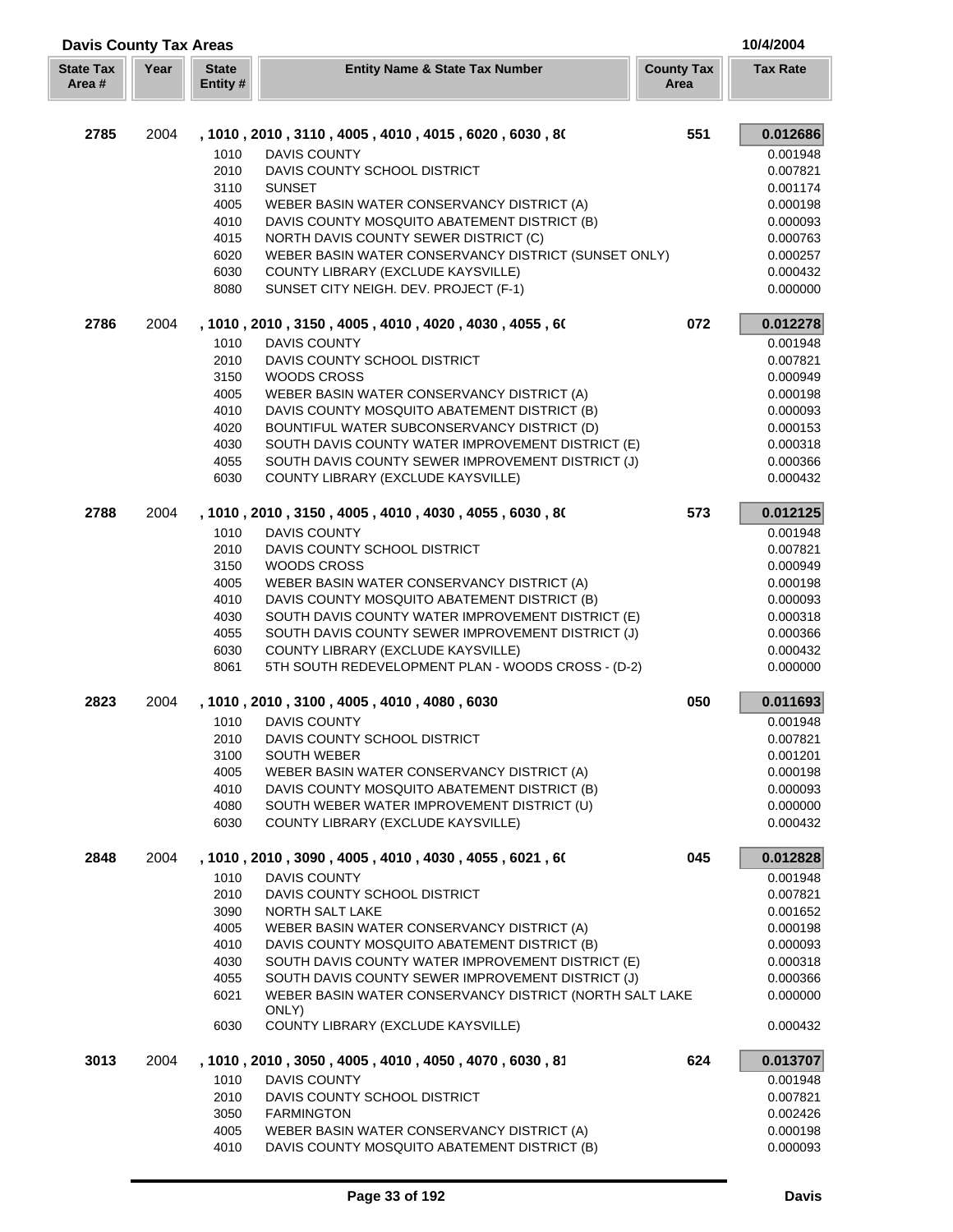| <b>Davis County Tax Areas</b> |      |                          |                                                                                         |                           | 10/4/2004            |
|-------------------------------|------|--------------------------|-----------------------------------------------------------------------------------------|---------------------------|----------------------|
| <b>State Tax</b><br>Area#     | Year | <b>State</b><br>Entity # | <b>Entity Name &amp; State Tax Number</b>                                               | <b>County Tax</b><br>Area | <b>Tax Rate</b>      |
| 2785                          |      |                          |                                                                                         |                           |                      |
|                               | 2004 |                          | , 1010 , 2010 , 3110 , 4005 , 4010 , 4015 , 6020 , 6030 , 80                            | 551                       | 0.012686             |
|                               |      | 1010                     | <b>DAVIS COUNTY</b>                                                                     |                           | 0.001948             |
|                               |      | 2010                     | DAVIS COUNTY SCHOOL DISTRICT                                                            |                           | 0.007821             |
|                               |      | 3110                     | <b>SUNSET</b>                                                                           |                           | 0.001174             |
|                               |      | 4005                     | WEBER BASIN WATER CONSERVANCY DISTRICT (A)                                              |                           | 0.000198             |
|                               |      | 4010                     | DAVIS COUNTY MOSQUITO ABATEMENT DISTRICT (B)                                            |                           | 0.000093             |
|                               |      | 4015                     | NORTH DAVIS COUNTY SEWER DISTRICT (C)                                                   |                           | 0.000763             |
|                               |      | 6020                     | WEBER BASIN WATER CONSERVANCY DISTRICT (SUNSET ONLY)                                    |                           | 0.000257             |
|                               |      | 6030<br>8080             | COUNTY LIBRARY (EXCLUDE KAYSVILLE)<br>SUNSET CITY NEIGH. DEV. PROJECT (F-1)             |                           | 0.000432<br>0.000000 |
| 2786                          | 2004 |                          | , 1010, 2010, 3150, 4005, 4010, 4020, 4030, 4055, 60                                    | 072                       | 0.012278             |
|                               |      | 1010                     | <b>DAVIS COUNTY</b>                                                                     |                           | 0.001948             |
|                               |      |                          |                                                                                         |                           |                      |
|                               |      | 2010                     | DAVIS COUNTY SCHOOL DISTRICT                                                            |                           | 0.007821             |
|                               |      | 3150                     | WOODS CROSS                                                                             |                           | 0.000949             |
|                               |      | 4005                     | WEBER BASIN WATER CONSERVANCY DISTRICT (A)                                              |                           | 0.000198             |
|                               |      | 4010                     | DAVIS COUNTY MOSQUITO ABATEMENT DISTRICT (B)                                            |                           | 0.000093             |
|                               |      | 4020                     | BOUNTIFUL WATER SUBCONSERVANCY DISTRICT (D)                                             |                           | 0.000153             |
|                               |      | 4030                     | SOUTH DAVIS COUNTY WATER IMPROVEMENT DISTRICT (E)                                       |                           | 0.000318             |
|                               |      | 4055<br>6030             | SOUTH DAVIS COUNTY SEWER IMPROVEMENT DISTRICT (J)<br>COUNTY LIBRARY (EXCLUDE KAYSVILLE) |                           | 0.000366<br>0.000432 |
|                               |      |                          |                                                                                         |                           |                      |
| 2788                          | 2004 |                          | , 1010, 2010, 3150, 4005, 4010, 4030, 4055, 6030, 80                                    | 573                       | 0.012125             |
|                               |      | 1010                     | <b>DAVIS COUNTY</b>                                                                     |                           | 0.001948             |
|                               |      | 2010                     | DAVIS COUNTY SCHOOL DISTRICT                                                            |                           | 0.007821             |
|                               |      | 3150                     | <b>WOODS CROSS</b>                                                                      |                           | 0.000949             |
|                               |      | 4005                     | WEBER BASIN WATER CONSERVANCY DISTRICT (A)                                              |                           | 0.000198             |
|                               |      | 4010                     | DAVIS COUNTY MOSQUITO ABATEMENT DISTRICT (B)                                            |                           | 0.000093             |
|                               |      | 4030                     | SOUTH DAVIS COUNTY WATER IMPROVEMENT DISTRICT (E)                                       |                           | 0.000318             |
|                               |      | 4055                     | SOUTH DAVIS COUNTY SEWER IMPROVEMENT DISTRICT (J)                                       |                           | 0.000366             |
|                               |      | 6030                     | COUNTY LIBRARY (EXCLUDE KAYSVILLE)                                                      |                           | 0.000432             |
|                               |      | 8061                     | 5TH SOUTH REDEVELOPMENT PLAN - WOODS CROSS - (D-2)                                      |                           | 0.000000             |
| 2823                          | 2004 |                          | , 1010, 2010, 3100, 4005, 4010, 4080, 6030                                              | 050                       | 0.011693             |
|                               |      | 1010                     | DAVIS COUNTY                                                                            |                           | 0.001948             |
|                               |      | 2010                     | DAVIS COUNTY SCHOOL DISTRICT                                                            |                           | 0.007821             |
|                               |      | 3100                     | <b>SOUTH WEBER</b>                                                                      |                           | 0.001201             |
|                               |      | 4005                     | WEBER BASIN WATER CONSERVANCY DISTRICT (A)                                              |                           | 0.000198             |
|                               |      | 4010                     | DAVIS COUNTY MOSQUITO ABATEMENT DISTRICT (B)                                            |                           | 0.000093             |
|                               |      | 4080                     | SOUTH WEBER WATER IMPROVEMENT DISTRICT (U)                                              |                           | 0.000000             |
|                               |      | 6030                     | COUNTY LIBRARY (EXCLUDE KAYSVILLE)                                                      |                           | 0.000432             |
| 2848                          | 2004 |                          | , 1010 , 2010 , 3090 , 4005 , 4010 , 4030 , 4055 , 6021 , 60                            | 045                       | 0.012828             |
|                               |      | 1010                     | <b>DAVIS COUNTY</b>                                                                     |                           | 0.001948             |
|                               |      | 2010                     | DAVIS COUNTY SCHOOL DISTRICT                                                            |                           | 0.007821             |
|                               |      | 3090                     | NORTH SALT LAKE                                                                         |                           | 0.001652             |
|                               |      | 4005                     | WEBER BASIN WATER CONSERVANCY DISTRICT (A)                                              |                           | 0.000198             |
|                               |      | 4010                     | DAVIS COUNTY MOSQUITO ABATEMENT DISTRICT (B)                                            |                           | 0.000093             |
|                               |      | 4030                     | SOUTH DAVIS COUNTY WATER IMPROVEMENT DISTRICT (E)                                       |                           | 0.000318             |
|                               |      | 4055                     | SOUTH DAVIS COUNTY SEWER IMPROVEMENT DISTRICT (J)                                       |                           | 0.000366             |
|                               |      | 6021                     | WEBER BASIN WATER CONSERVANCY DISTRICT (NORTH SALT LAKE                                 |                           | 0.000000             |
|                               |      | 6030                     | ONLY)<br>COUNTY LIBRARY (EXCLUDE KAYSVILLE)                                             |                           | 0.000432             |
| 3013                          | 2004 |                          | , 1010 , 2010 , 3050 , 4005 , 4010 , 4050 , 4070 , 6030 , 81                            | 624                       | 0.013707             |
|                               |      | 1010                     | <b>DAVIS COUNTY</b>                                                                     |                           | 0.001948             |
|                               |      | 2010                     | DAVIS COUNTY SCHOOL DISTRICT                                                            |                           | 0.007821             |
|                               |      | 3050                     | <b>FARMINGTON</b>                                                                       |                           | 0.002426             |
|                               |      | 4005                     | WEBER BASIN WATER CONSERVANCY DISTRICT (A)                                              |                           | 0.000198             |
|                               |      | 4010                     | DAVIS COUNTY MOSQUITO ABATEMENT DISTRICT (B)                                            |                           | 0.000093             |
|                               |      |                          |                                                                                         |                           |                      |

Г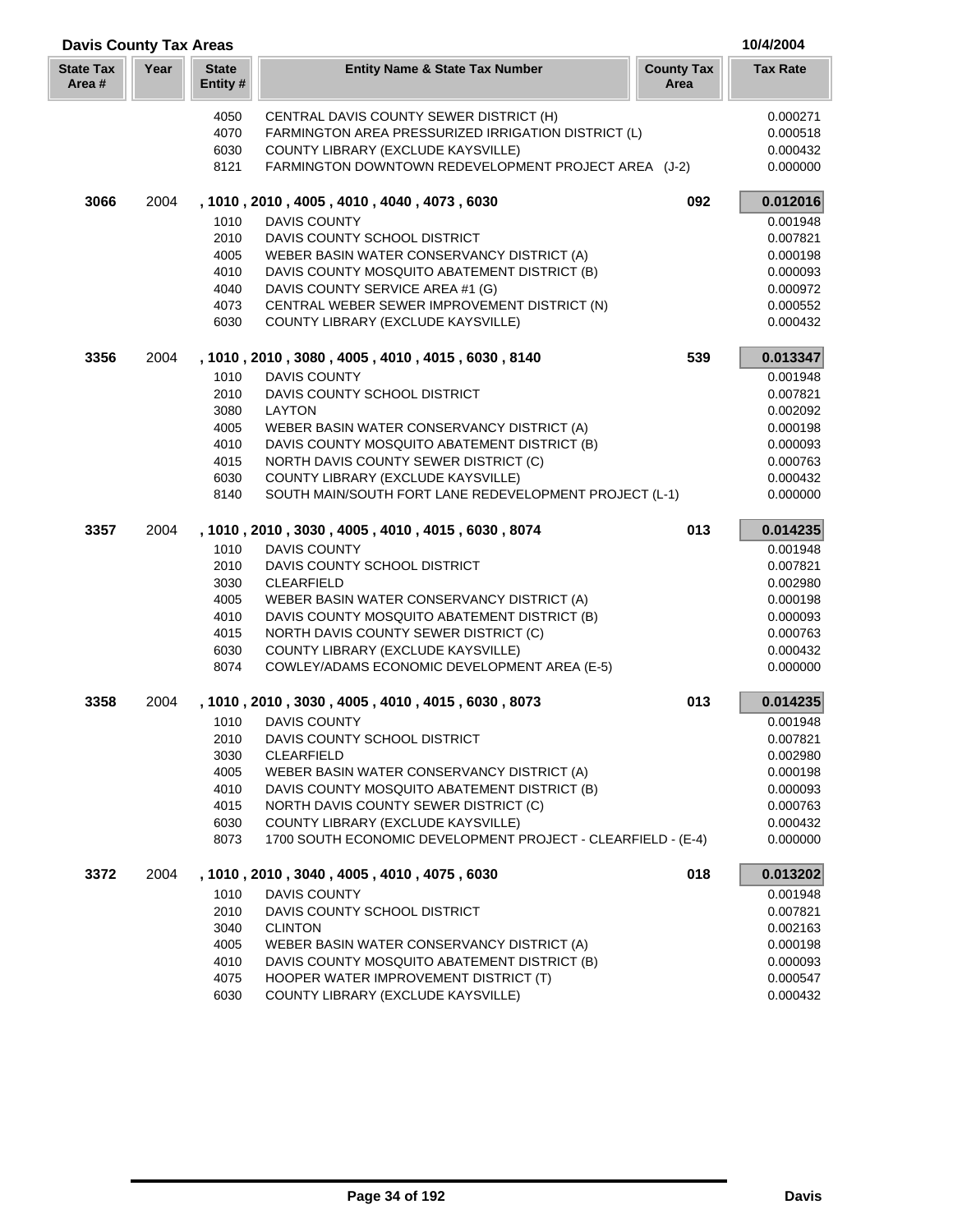| <b>Davis County Tax Areas</b> |      |                         |                                                                                            |                           | 10/4/2004            |
|-------------------------------|------|-------------------------|--------------------------------------------------------------------------------------------|---------------------------|----------------------|
| <b>State Tax</b><br>Area #    | Year | <b>State</b><br>Entity# | <b>Entity Name &amp; State Tax Number</b>                                                  | <b>County Tax</b><br>Area | <b>Tax Rate</b>      |
|                               |      | 4050                    | CENTRAL DAVIS COUNTY SEWER DISTRICT (H)                                                    |                           | 0.000271             |
|                               |      | 4070                    | FARMINGTON AREA PRESSURIZED IRRIGATION DISTRICT (L)                                        |                           | 0.000518             |
|                               |      | 6030                    | COUNTY LIBRARY (EXCLUDE KAYSVILLE)                                                         |                           | 0.000432             |
|                               |      | 8121                    | FARMINGTON DOWNTOWN REDEVELOPMENT PROJECT AREA (J-2)                                       |                           | 0.000000             |
| 3066                          | 2004 |                         | , 1010, 2010, 4005, 4010, 4040, 4073, 6030                                                 | 092                       | 0.012016             |
|                               |      | 1010                    | <b>DAVIS COUNTY</b>                                                                        |                           | 0.001948             |
|                               |      | 2010                    | DAVIS COUNTY SCHOOL DISTRICT                                                               |                           | 0.007821             |
|                               |      | 4005                    | WEBER BASIN WATER CONSERVANCY DISTRICT (A)                                                 |                           | 0.000198             |
|                               |      | 4010                    | DAVIS COUNTY MOSQUITO ABATEMENT DISTRICT (B)                                               |                           | 0.000093             |
|                               |      | 4040                    | DAVIS COUNTY SERVICE AREA #1 (G)                                                           |                           | 0.000972             |
|                               |      | 4073<br>6030            | CENTRAL WEBER SEWER IMPROVEMENT DISTRICT (N)<br>COUNTY LIBRARY (EXCLUDE KAYSVILLE)         |                           | 0.000552<br>0.000432 |
| 3356                          | 2004 |                         | , 1010, 2010, 3080, 4005, 4010, 4015, 6030, 8140                                           | 539                       | 0.013347             |
|                               |      | 1010                    | <b>DAVIS COUNTY</b>                                                                        |                           | 0.001948             |
|                               |      | 2010                    | DAVIS COUNTY SCHOOL DISTRICT                                                               |                           | 0.007821             |
|                               |      | 3080                    | LAYTON                                                                                     |                           | 0.002092             |
|                               |      | 4005                    | WEBER BASIN WATER CONSERVANCY DISTRICT (A)                                                 |                           | 0.000198             |
|                               |      | 4010                    | DAVIS COUNTY MOSQUITO ABATEMENT DISTRICT (B)                                               |                           | 0.000093             |
|                               |      | 4015                    | NORTH DAVIS COUNTY SEWER DISTRICT (C)                                                      |                           | 0.000763             |
|                               |      | 6030                    | COUNTY LIBRARY (EXCLUDE KAYSVILLE)                                                         |                           | 0.000432             |
|                               |      | 8140                    | SOUTH MAIN/SOUTH FORT LANE REDEVELOPMENT PROJECT (L-1)                                     |                           | 0.000000             |
| 3357                          | 2004 |                         | , 1010, 2010, 3030, 4005, 4010, 4015, 6030, 8074                                           | 013                       | 0.014235             |
|                               |      | 1010                    | <b>DAVIS COUNTY</b>                                                                        |                           | 0.001948             |
|                               |      | 2010                    | DAVIS COUNTY SCHOOL DISTRICT                                                               |                           | 0.007821             |
|                               |      | 3030                    | <b>CLEARFIELD</b>                                                                          |                           | 0.002980             |
|                               |      | 4005<br>4010            | WEBER BASIN WATER CONSERVANCY DISTRICT (A)<br>DAVIS COUNTY MOSQUITO ABATEMENT DISTRICT (B) |                           | 0.000198<br>0.000093 |
|                               |      | 4015                    | NORTH DAVIS COUNTY SEWER DISTRICT (C)                                                      |                           | 0.000763             |
|                               |      | 6030                    | COUNTY LIBRARY (EXCLUDE KAYSVILLE)                                                         |                           | 0.000432             |
|                               |      | 8074                    | COWLEY/ADAMS ECONOMIC DEVELOPMENT AREA (E-5)                                               |                           | 0.000000             |
| 3358                          | 2004 |                         | , 1010, 2010, 3030, 4005, 4010, 4015, 6030, 8073                                           | 013                       | 0.014235             |
|                               |      | 1010                    | <b>DAVIS COUNTY</b>                                                                        |                           | 0.001948             |
|                               |      | 2010                    | DAVIS COUNTY SCHOOL DISTRICT                                                               |                           | 0.007821             |
|                               |      | 3030                    | <b>CLEARFIELD</b>                                                                          |                           | 0.002980             |
|                               |      | 4005                    | WEBER BASIN WATER CONSERVANCY DISTRICT (A)                                                 |                           | 0.000198             |
|                               |      | 4010                    | DAVIS COUNTY MOSQUITO ABATEMENT DISTRICT (B)                                               |                           | 0.000093             |
|                               |      | 4015                    | NORTH DAVIS COUNTY SEWER DISTRICT (C)                                                      |                           | 0.000763             |
|                               |      | 6030                    | COUNTY LIBRARY (EXCLUDE KAYSVILLE)                                                         |                           | 0.000432             |
|                               |      | 8073                    | 1700 SOUTH ECONOMIC DEVELOPMENT PROJECT - CLEARFIELD - (E-4)                               |                           | 0.000000             |
| 3372                          | 2004 |                         | , 1010, 2010, 3040, 4005, 4010, 4075, 6030                                                 | 018                       | 0.013202             |
|                               |      | 1010                    | <b>DAVIS COUNTY</b>                                                                        |                           | 0.001948             |
|                               |      | 2010                    | DAVIS COUNTY SCHOOL DISTRICT                                                               |                           | 0.007821             |
|                               |      | 3040<br>4005            | <b>CLINTON</b><br>WEBER BASIN WATER CONSERVANCY DISTRICT (A)                               |                           | 0.002163<br>0.000198 |
|                               |      | 4010                    | DAVIS COUNTY MOSQUITO ABATEMENT DISTRICT (B)                                               |                           | 0.000093             |
|                               |      | 4075                    | HOOPER WATER IMPROVEMENT DISTRICT (T)                                                      |                           | 0.000547             |
|                               |      | 6030                    | COUNTY LIBRARY (EXCLUDE KAYSVILLE)                                                         |                           | 0.000432             |
|                               |      |                         |                                                                                            |                           |                      |

Г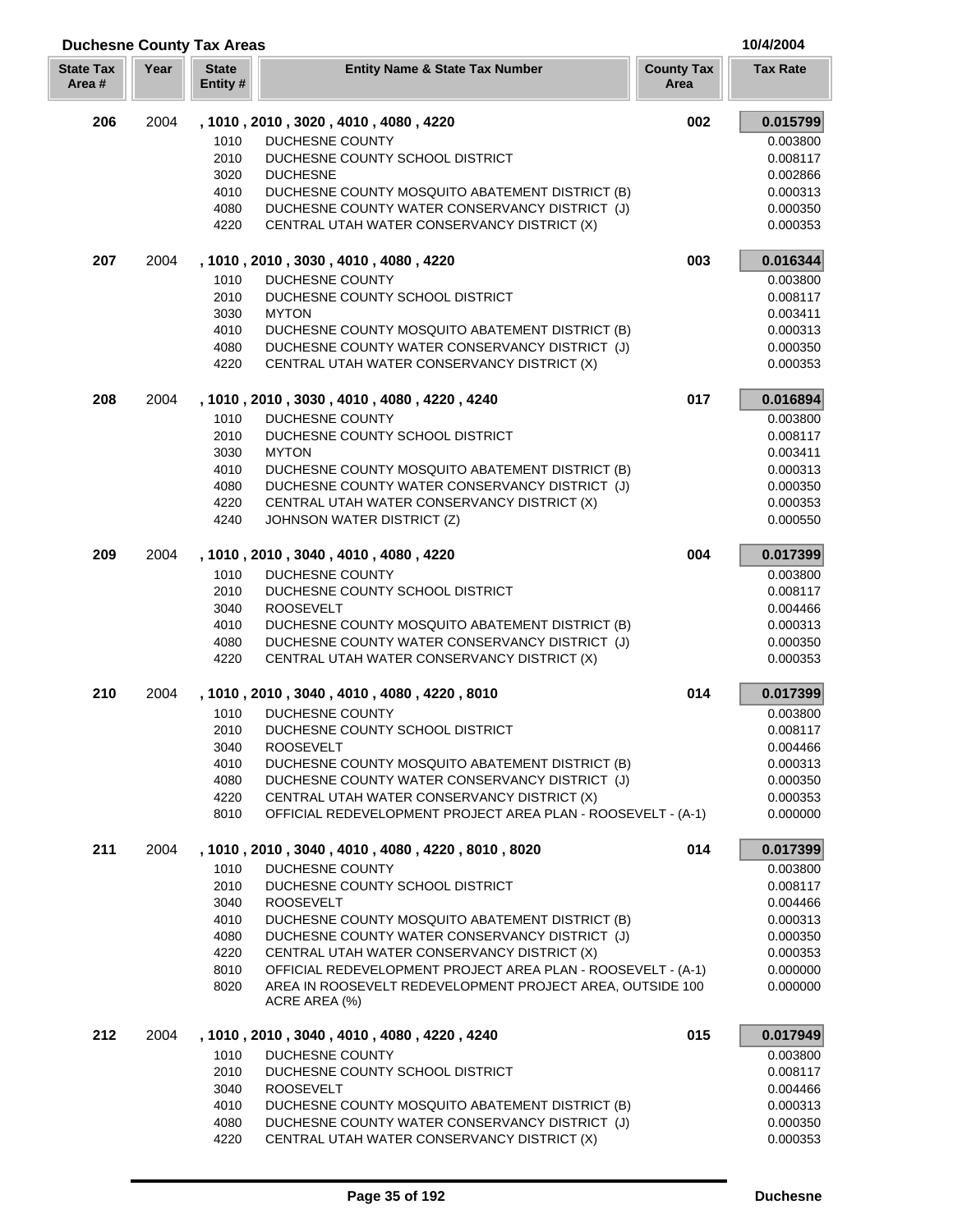| Area# |      | Entity#      |                                                                            | Area |                      |
|-------|------|--------------|----------------------------------------------------------------------------|------|----------------------|
| 206   | 2004 |              | , 1010, 2010, 3020, 4010, 4080, 4220                                       | 002  | 0.015799             |
|       |      | 1010         | <b>DUCHESNE COUNTY</b>                                                     |      | 0.003800             |
|       |      | 2010         | DUCHESNE COUNTY SCHOOL DISTRICT                                            |      | 0.008117             |
|       |      | 3020         | <b>DUCHESNE</b>                                                            |      | 0.002866             |
|       |      | 4010         | DUCHESNE COUNTY MOSQUITO ABATEMENT DISTRICT (B)                            |      | 0.000313             |
|       |      | 4080         | DUCHESNE COUNTY WATER CONSERVANCY DISTRICT (J)                             |      | 0.000350             |
|       |      | 4220         | CENTRAL UTAH WATER CONSERVANCY DISTRICT (X)                                |      | 0.000353             |
| 207   | 2004 |              | , 1010, 2010, 3030, 4010, 4080, 4220                                       | 003  | 0.016344             |
|       |      |              |                                                                            |      |                      |
|       |      | 1010<br>2010 | <b>DUCHESNE COUNTY</b><br>DUCHESNE COUNTY SCHOOL DISTRICT                  |      | 0.003800             |
|       |      |              | <b>MYTON</b>                                                               |      | 0.008117             |
|       |      | 3030<br>4010 | DUCHESNE COUNTY MOSQUITO ABATEMENT DISTRICT (B)                            |      | 0.003411<br>0.000313 |
|       |      | 4080         | DUCHESNE COUNTY WATER CONSERVANCY DISTRICT (J)                             |      | 0.000350             |
|       |      | 4220         | CENTRAL UTAH WATER CONSERVANCY DISTRICT (X)                                |      | 0.000353             |
|       |      |              |                                                                            |      |                      |
| 208   | 2004 |              | , 1010, 2010, 3030, 4010, 4080, 4220, 4240                                 | 017  | 0.016894             |
|       |      | 1010         | <b>DUCHESNE COUNTY</b>                                                     |      | 0.003800             |
|       |      | 2010         | DUCHESNE COUNTY SCHOOL DISTRICT                                            |      | 0.008117             |
|       |      | 3030         | <b>MYTON</b>                                                               |      | 0.003411             |
|       |      | 4010         | DUCHESNE COUNTY MOSQUITO ABATEMENT DISTRICT (B)                            |      | 0.000313             |
|       |      | 4080         | DUCHESNE COUNTY WATER CONSERVANCY DISTRICT (J)                             |      | 0.000350             |
|       |      | 4220         | CENTRAL UTAH WATER CONSERVANCY DISTRICT (X)                                |      | 0.000353             |
|       |      | 4240         | JOHNSON WATER DISTRICT (Z)                                                 |      | 0.000550             |
| 209   | 2004 |              | , 1010, 2010, 3040, 4010, 4080, 4220                                       | 004  | 0.017399             |
|       |      | 1010         | <b>DUCHESNE COUNTY</b>                                                     |      | 0.003800             |
|       |      | 2010         | DUCHESNE COUNTY SCHOOL DISTRICT                                            |      | 0.008117             |
|       |      | 3040         | <b>ROOSEVELT</b>                                                           |      | 0.004466             |
|       |      | 4010         | DUCHESNE COUNTY MOSQUITO ABATEMENT DISTRICT (B)                            |      | 0.000313             |
|       |      | 4080         | DUCHESNE COUNTY WATER CONSERVANCY DISTRICT (J)                             |      | 0.000350             |
|       |      | 4220         | CENTRAL UTAH WATER CONSERVANCY DISTRICT (X)                                |      | 0.000353             |
| 210   | 2004 |              | , 1010 , 2010 , 3040 , 4010 , 4080 , 4220 , 8010                           | 014  | 0.017399             |
|       |      | 1010         | <b>DUCHESNE COUNTY</b>                                                     |      | 0.003800             |
|       |      | 2010         | DUCHESNE COUNTY SCHOOL DISTRICT                                            |      | 0.008117             |
|       |      | 3040         | <b>ROOSEVELT</b>                                                           |      | 0.004466             |
|       |      | 4010         | DUCHESNE COUNTY MOSQUITO ABATEMENT DISTRICT (B)                            |      | 0.000313             |
|       |      | 4080         | DUCHESNE COUNTY WATER CONSERVANCY DISTRICT (J)                             |      | 0.000350             |
|       |      | 4220         | CENTRAL UTAH WATER CONSERVANCY DISTRICT (X)                                |      | 0.000353             |
|       |      | 8010         | OFFICIAL REDEVELOPMENT PROJECT AREA PLAN - ROOSEVELT - (A-1)               |      | 0.000000             |
| 211   | 2004 |              | , 1010, 2010, 3040, 4010, 4080, 4220, 8010, 8020                           | 014  | 0.017399             |
|       |      |              |                                                                            |      |                      |
|       |      | 1010         | <b>DUCHESNE COUNTY</b>                                                     |      | 0.003800             |
|       |      | 2010         | DUCHESNE COUNTY SCHOOL DISTRICT                                            |      | 0.008117             |
|       |      | 3040         | <b>ROOSEVELT</b>                                                           |      | 0.004466             |
|       |      | 4010         | DUCHESNE COUNTY MOSQUITO ABATEMENT DISTRICT (B)                            |      | 0.000313             |
|       |      | 4080         | DUCHESNE COUNTY WATER CONSERVANCY DISTRICT (J)                             |      | 0.000350             |
|       |      | 4220         | CENTRAL UTAH WATER CONSERVANCY DISTRICT (X)                                |      | 0.000353             |
|       |      | 8010         | OFFICIAL REDEVELOPMENT PROJECT AREA PLAN - ROOSEVELT - (A-1)               |      | 0.000000             |
|       |      | 8020         | AREA IN ROOSEVELT REDEVELOPMENT PROJECT AREA, OUTSIDE 100<br>ACRE AREA (%) |      | 0.000000             |
| 212   | 2004 |              | , 1010, 2010, 3040, 4010, 4080, 4220, 4240                                 | 015  | 0.017949             |
|       |      |              |                                                                            |      |                      |
|       |      | 1010<br>2010 | DUCHESNE COUNTY                                                            |      | 0.003800             |
|       |      | 3040         | DUCHESNE COUNTY SCHOOL DISTRICT<br><b>ROOSEVELT</b>                        |      | 0.008117<br>0.004466 |
|       |      | 4010         | DUCHESNE COUNTY MOSQUITO ABATEMENT DISTRICT (B)                            |      | 0.000313             |
|       |      | 4080         | DUCHESNE COUNTY WATER CONSERVANCY DISTRICT (J)                             |      | 0.000350             |
|       |      |              |                                                                            |      |                      |

**Year Entity Name & State Tax Number County Tax Tax Rate**

**Duchesne County Tax Areas 10/4/2004**

**State Tax** 

**State**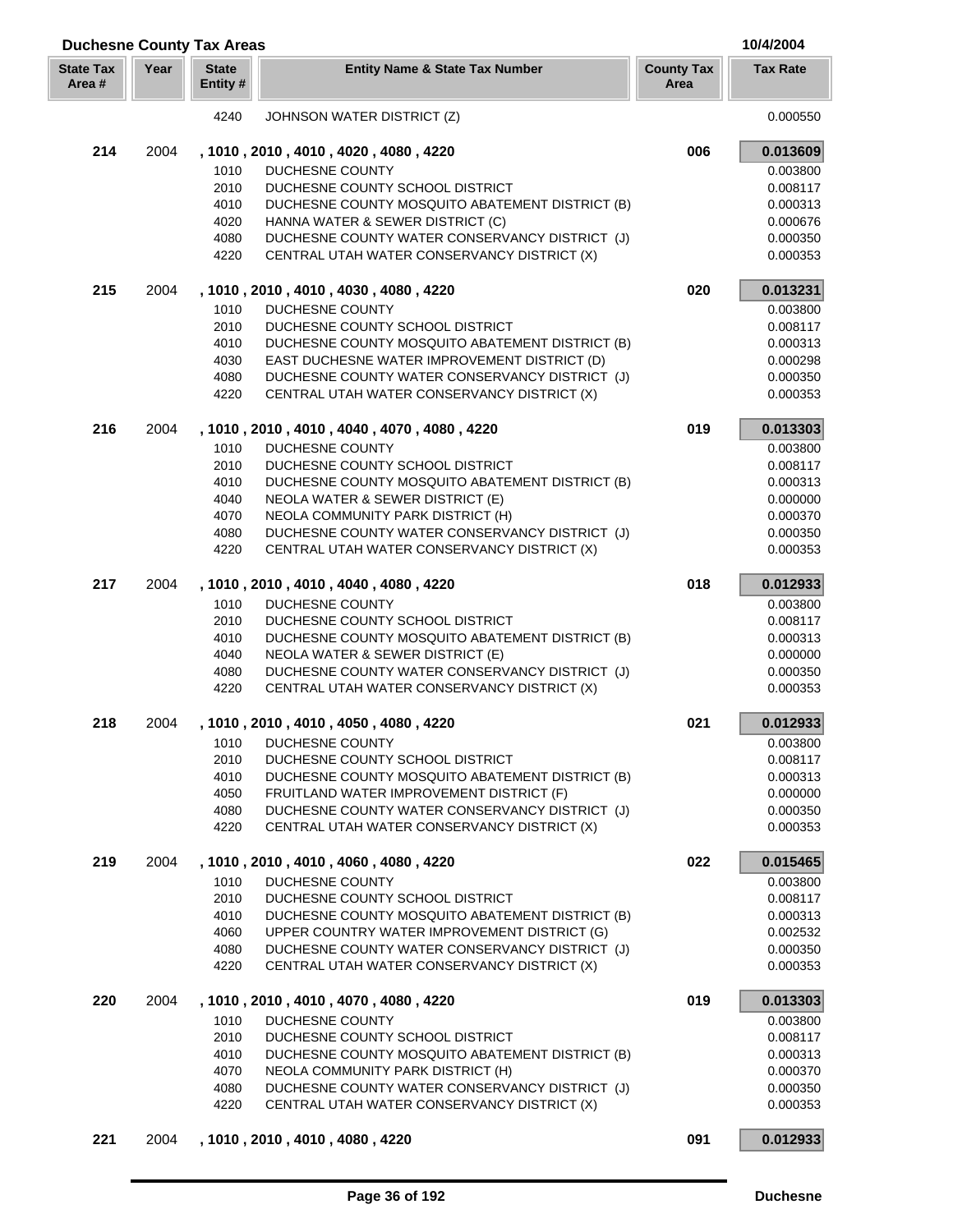| <b>Duchesne County Tax Areas</b> |      | 10/4/2004                |                                                                                               |                           |                      |
|----------------------------------|------|--------------------------|-----------------------------------------------------------------------------------------------|---------------------------|----------------------|
| <b>State Tax</b><br>Area#        | Year | <b>State</b><br>Entity # | <b>Entity Name &amp; State Tax Number</b>                                                     | <b>County Tax</b><br>Area | <b>Tax Rate</b>      |
|                                  |      | 4240                     | JOHNSON WATER DISTRICT (Z)                                                                    |                           | 0.000550             |
| 214                              | 2004 |                          | , 1010, 2010, 4010, 4020, 4080, 4220                                                          | 006                       | 0.013609             |
|                                  |      | 1010                     | DUCHESNE COUNTY                                                                               |                           | 0.003800             |
|                                  |      | 2010                     | DUCHESNE COUNTY SCHOOL DISTRICT                                                               |                           | 0.008117             |
|                                  |      | 4010                     | DUCHESNE COUNTY MOSQUITO ABATEMENT DISTRICT (B)                                               |                           | 0.000313             |
|                                  |      | 4020                     | HANNA WATER & SEWER DISTRICT (C)                                                              |                           | 0.000676             |
|                                  |      | 4080                     | DUCHESNE COUNTY WATER CONSERVANCY DISTRICT (J)                                                |                           | 0.000350             |
|                                  |      | 4220                     | CENTRAL UTAH WATER CONSERVANCY DISTRICT (X)                                                   |                           | 0.000353             |
| 215                              | 2004 |                          | , 1010, 2010, 4010, 4030, 4080, 4220                                                          | 020                       | 0.013231             |
|                                  |      | 1010                     | DUCHESNE COUNTY                                                                               |                           | 0.003800             |
|                                  |      | 2010                     | DUCHESNE COUNTY SCHOOL DISTRICT                                                               |                           | 0.008117             |
|                                  |      | 4010                     | DUCHESNE COUNTY MOSQUITO ABATEMENT DISTRICT (B)                                               |                           | 0.000313             |
|                                  |      | 4030                     | EAST DUCHESNE WATER IMPROVEMENT DISTRICT (D)                                                  |                           | 0.000298             |
|                                  |      | 4080                     | DUCHESNE COUNTY WATER CONSERVANCY DISTRICT (J)                                                |                           | 0.000350             |
|                                  |      | 4220                     | CENTRAL UTAH WATER CONSERVANCY DISTRICT (X)                                                   |                           | 0.000353             |
| 216                              | 2004 |                          | , 1010, 2010, 4010, 4040, 4070, 4080, 4220                                                    | 019                       | 0.013303             |
|                                  |      | 1010                     | DUCHESNE COUNTY                                                                               |                           | 0.003800             |
|                                  |      | 2010                     | DUCHESNE COUNTY SCHOOL DISTRICT                                                               |                           | 0.008117             |
|                                  |      | 4010                     | DUCHESNE COUNTY MOSQUITO ABATEMENT DISTRICT (B)                                               |                           | 0.000313             |
|                                  |      | 4040                     | NEOLA WATER & SEWER DISTRICT (E)                                                              |                           | 0.000000             |
|                                  |      | 4070                     | NEOLA COMMUNITY PARK DISTRICT (H)                                                             |                           | 0.000370             |
|                                  |      | 4080                     | DUCHESNE COUNTY WATER CONSERVANCY DISTRICT (J)                                                |                           | 0.000350             |
|                                  |      | 4220                     | CENTRAL UTAH WATER CONSERVANCY DISTRICT (X)                                                   |                           | 0.000353             |
| 217                              | 2004 |                          | , 1010, 2010, 4010, 4040, 4080, 4220                                                          | 018                       | 0.012933             |
|                                  |      | 1010                     | DUCHESNE COUNTY                                                                               |                           | 0.003800             |
|                                  |      | 2010                     | DUCHESNE COUNTY SCHOOL DISTRICT                                                               |                           | 0.008117             |
|                                  |      | 4010                     | DUCHESNE COUNTY MOSQUITO ABATEMENT DISTRICT (B)                                               |                           | 0.000313             |
|                                  |      | 4040                     | NEOLA WATER & SEWER DISTRICT (E)                                                              |                           | 0.000000             |
|                                  |      | 4080<br>4220             | DUCHESNE COUNTY WATER CONSERVANCY DISTRICT (J)<br>CENTRAL UTAH WATER CONSERVANCY DISTRICT (X) |                           | 0.000350<br>0.000353 |
| 218                              | 2004 |                          | , 1010, 2010, 4010, 4050, 4080, 4220                                                          | 021                       | 0.012933             |
|                                  |      | 1010                     | DUCHESNE COUNTY                                                                               |                           | 0.003800             |
|                                  |      | 2010                     | DUCHESNE COUNTY SCHOOL DISTRICT                                                               |                           | 0.008117             |
|                                  |      | 4010                     | DUCHESNE COUNTY MOSQUITO ABATEMENT DISTRICT (B)                                               |                           | 0.000313             |
|                                  |      | 4050                     | FRUITLAND WATER IMPROVEMENT DISTRICT (F)                                                      |                           | 0.000000             |
|                                  |      | 4080                     | DUCHESNE COUNTY WATER CONSERVANCY DISTRICT (J)                                                |                           | 0.000350             |
|                                  |      | 4220                     | CENTRAL UTAH WATER CONSERVANCY DISTRICT (X)                                                   |                           | 0.000353             |
| 219                              | 2004 |                          | , 1010, 2010, 4010, 4060, 4080, 4220                                                          | 022                       | 0.015465             |
|                                  |      | 1010                     | <b>DUCHESNE COUNTY</b>                                                                        |                           | 0.003800             |
|                                  |      | 2010                     | DUCHESNE COUNTY SCHOOL DISTRICT                                                               |                           | 0.008117             |
|                                  |      | 4010                     | DUCHESNE COUNTY MOSQUITO ABATEMENT DISTRICT (B)                                               |                           | 0.000313             |
|                                  |      | 4060                     | UPPER COUNTRY WATER IMPROVEMENT DISTRICT (G)                                                  |                           | 0.002532             |
|                                  |      | 4080                     | DUCHESNE COUNTY WATER CONSERVANCY DISTRICT (J)                                                |                           | 0.000350             |
|                                  |      | 4220                     | CENTRAL UTAH WATER CONSERVANCY DISTRICT (X)                                                   |                           | 0.000353             |
| 220                              | 2004 |                          | , 1010, 2010, 4010, 4070, 4080, 4220                                                          | 019                       | 0.013303             |
|                                  |      | 1010                     | DUCHESNE COUNTY                                                                               |                           | 0.003800             |
|                                  |      | 2010                     | DUCHESNE COUNTY SCHOOL DISTRICT                                                               |                           | 0.008117             |
|                                  |      | 4010                     | DUCHESNE COUNTY MOSQUITO ABATEMENT DISTRICT (B)                                               |                           | 0.000313             |
|                                  |      | 4070                     | NEOLA COMMUNITY PARK DISTRICT (H)                                                             |                           | 0.000370             |
|                                  |      | 4080                     | DUCHESNE COUNTY WATER CONSERVANCY DISTRICT (J)                                                |                           | 0.000350             |
|                                  |      | 4220                     | CENTRAL UTAH WATER CONSERVANCY DISTRICT (X)                                                   |                           | 0.000353             |
| 221                              | 2004 |                          | , 1010, 2010, 4010, 4080, 4220                                                                | 091                       | 0.012933             |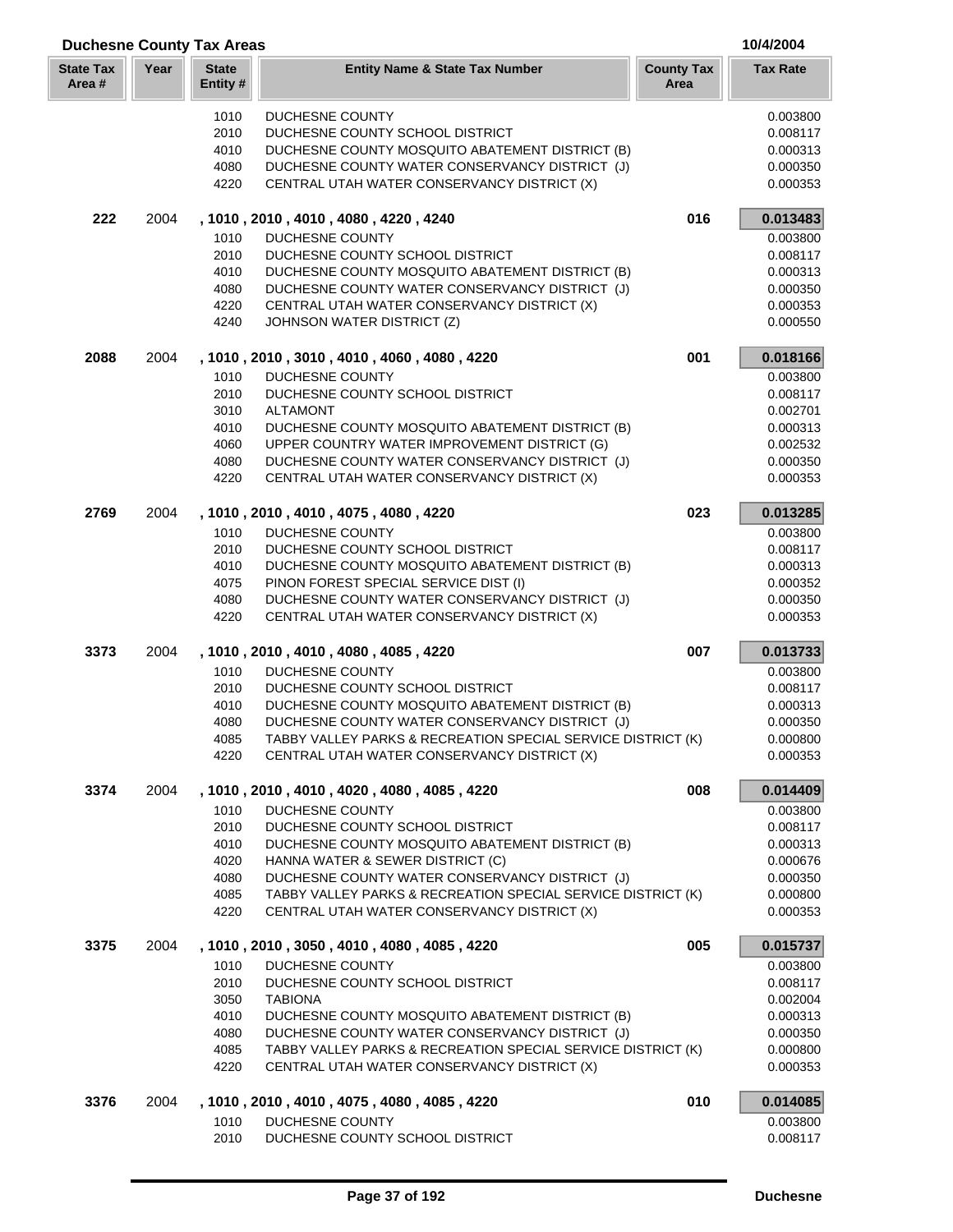| <b>Duchesne County Tax Areas</b> |      |                          |                                                                                                             |                           | 10/4/2004            |
|----------------------------------|------|--------------------------|-------------------------------------------------------------------------------------------------------------|---------------------------|----------------------|
| <b>State Tax</b><br>Area #       | Year | <b>State</b><br>Entity # | <b>Entity Name &amp; State Tax Number</b>                                                                   | <b>County Tax</b><br>Area | <b>Tax Rate</b>      |
|                                  |      | 1010                     | DUCHESNE COUNTY                                                                                             |                           | 0.003800             |
|                                  |      | 2010                     | DUCHESNE COUNTY SCHOOL DISTRICT                                                                             |                           | 0.008117             |
|                                  |      | 4010                     | DUCHESNE COUNTY MOSQUITO ABATEMENT DISTRICT (B)                                                             |                           | 0.000313             |
|                                  |      | 4080                     | DUCHESNE COUNTY WATER CONSERVANCY DISTRICT (J)                                                              |                           | 0.000350             |
|                                  |      | 4220                     | CENTRAL UTAH WATER CONSERVANCY DISTRICT (X)                                                                 |                           | 0.000353             |
| 222                              | 2004 |                          | , 1010 , 2010 , 4010 , 4080 , 4220 , 4240                                                                   | 016                       | 0.013483             |
|                                  |      | 1010                     | DUCHESNE COUNTY                                                                                             |                           | 0.003800             |
|                                  |      | 2010                     | DUCHESNE COUNTY SCHOOL DISTRICT                                                                             |                           | 0.008117             |
|                                  |      | 4010                     | DUCHESNE COUNTY MOSQUITO ABATEMENT DISTRICT (B)                                                             |                           | 0.000313             |
|                                  |      | 4080                     | DUCHESNE COUNTY WATER CONSERVANCY DISTRICT (J)                                                              |                           | 0.000350             |
|                                  |      | 4220<br>4240             | CENTRAL UTAH WATER CONSERVANCY DISTRICT (X)<br>JOHNSON WATER DISTRICT (Z)                                   |                           | 0.000353<br>0.000550 |
|                                  |      |                          |                                                                                                             |                           |                      |
| 2088                             | 2004 |                          | , 1010, 2010, 3010, 4010, 4060, 4080, 4220                                                                  | 001                       | 0.018166             |
|                                  |      | 1010                     | <b>DUCHESNE COUNTY</b>                                                                                      |                           | 0.003800             |
|                                  |      | 2010                     | DUCHESNE COUNTY SCHOOL DISTRICT                                                                             |                           | 0.008117             |
|                                  |      | 3010                     | <b>ALTAMONT</b>                                                                                             |                           | 0.002701             |
|                                  |      | 4010<br>4060             | DUCHESNE COUNTY MOSQUITO ABATEMENT DISTRICT (B)                                                             |                           | 0.000313             |
|                                  |      | 4080                     | UPPER COUNTRY WATER IMPROVEMENT DISTRICT (G)<br>DUCHESNE COUNTY WATER CONSERVANCY DISTRICT (J)              |                           | 0.002532<br>0.000350 |
|                                  |      | 4220                     | CENTRAL UTAH WATER CONSERVANCY DISTRICT (X)                                                                 |                           | 0.000353             |
| 2769                             | 2004 |                          | , 1010 , 2010 , 4010 , 4075 , 4080 , 4220                                                                   | 023                       | 0.013285             |
|                                  |      | 1010                     | <b>DUCHESNE COUNTY</b>                                                                                      |                           | 0.003800             |
|                                  |      | 2010                     | DUCHESNE COUNTY SCHOOL DISTRICT                                                                             |                           | 0.008117             |
|                                  |      | 4010                     | DUCHESNE COUNTY MOSQUITO ABATEMENT DISTRICT (B)                                                             |                           | 0.000313             |
|                                  |      | 4075                     | PINON FOREST SPECIAL SERVICE DIST (I)                                                                       |                           | 0.000352             |
|                                  |      | 4080                     | DUCHESNE COUNTY WATER CONSERVANCY DISTRICT (J)                                                              |                           | 0.000350             |
|                                  |      | 4220                     | CENTRAL UTAH WATER CONSERVANCY DISTRICT (X)                                                                 |                           | 0.000353             |
| 3373                             | 2004 |                          | , 1010, 2010, 4010, 4080, 4085, 4220                                                                        | 007                       | 0.013733             |
|                                  |      | 1010                     | DUCHESNE COUNTY                                                                                             |                           | 0.003800             |
|                                  |      | 2010                     | DUCHESNE COUNTY SCHOOL DISTRICT                                                                             |                           | 0.008117             |
|                                  |      | 4010                     | DUCHESNE COUNTY MOSQUITO ABATEMENT DISTRICT (B)                                                             |                           | 0.000313             |
|                                  |      | 4080                     | DUCHESNE COUNTY WATER CONSERVANCY DISTRICT (J)                                                              |                           | 0.000350             |
|                                  |      | 4085                     | TABBY VALLEY PARKS & RECREATION SPECIAL SERVICE DISTRICT (K)                                                |                           | 0.000800             |
|                                  |      | 4220                     | CENTRAL UTAH WATER CONSERVANCY DISTRICT (X)                                                                 |                           | 0.000353             |
| 3374                             | 2004 |                          | , 1010, 2010, 4010, 4020, 4080, 4085, 4220                                                                  | 008                       | 0.014409             |
|                                  |      | 1010                     | DUCHESNE COUNTY                                                                                             |                           | 0.003800             |
|                                  |      | 2010                     | DUCHESNE COUNTY SCHOOL DISTRICT                                                                             |                           | 0.008117             |
|                                  |      | 4010                     | DUCHESNE COUNTY MOSQUITO ABATEMENT DISTRICT (B)                                                             |                           | 0.000313             |
|                                  |      | 4020                     | HANNA WATER & SEWER DISTRICT (C)                                                                            |                           | 0.000676             |
|                                  |      | 4080                     | DUCHESNE COUNTY WATER CONSERVANCY DISTRICT (J)                                                              |                           | 0.000350             |
|                                  |      | 4085<br>4220             | TABBY VALLEY PARKS & RECREATION SPECIAL SERVICE DISTRICT (K)<br>CENTRAL UTAH WATER CONSERVANCY DISTRICT (X) |                           | 0.000800<br>0.000353 |
| 3375                             | 2004 |                          | , 1010, 2010, 3050, 4010, 4080, 4085, 4220                                                                  | 005                       | 0.015737             |
|                                  |      | 1010                     | DUCHESNE COUNTY                                                                                             |                           | 0.003800             |
|                                  |      | 2010                     | DUCHESNE COUNTY SCHOOL DISTRICT                                                                             |                           | 0.008117             |
|                                  |      | 3050                     | <b>TABIONA</b>                                                                                              |                           | 0.002004             |
|                                  |      | 4010                     | DUCHESNE COUNTY MOSQUITO ABATEMENT DISTRICT (B)                                                             |                           | 0.000313             |
|                                  |      | 4080                     | DUCHESNE COUNTY WATER CONSERVANCY DISTRICT (J)                                                              |                           | 0.000350             |
|                                  |      | 4085                     | TABBY VALLEY PARKS & RECREATION SPECIAL SERVICE DISTRICT (K)                                                |                           | 0.000800             |
|                                  |      | 4220                     | CENTRAL UTAH WATER CONSERVANCY DISTRICT (X)                                                                 |                           | 0.000353             |
| 3376                             | 2004 |                          | , 1010 , 2010 , 4010 , 4075 , 4080 , 4085 , 4220                                                            | 010                       | 0.014085             |
|                                  |      | 1010                     | DUCHESNE COUNTY                                                                                             |                           | 0.003800             |
|                                  |      | 2010                     | DUCHESNE COUNTY SCHOOL DISTRICT                                                                             |                           | 0.008117             |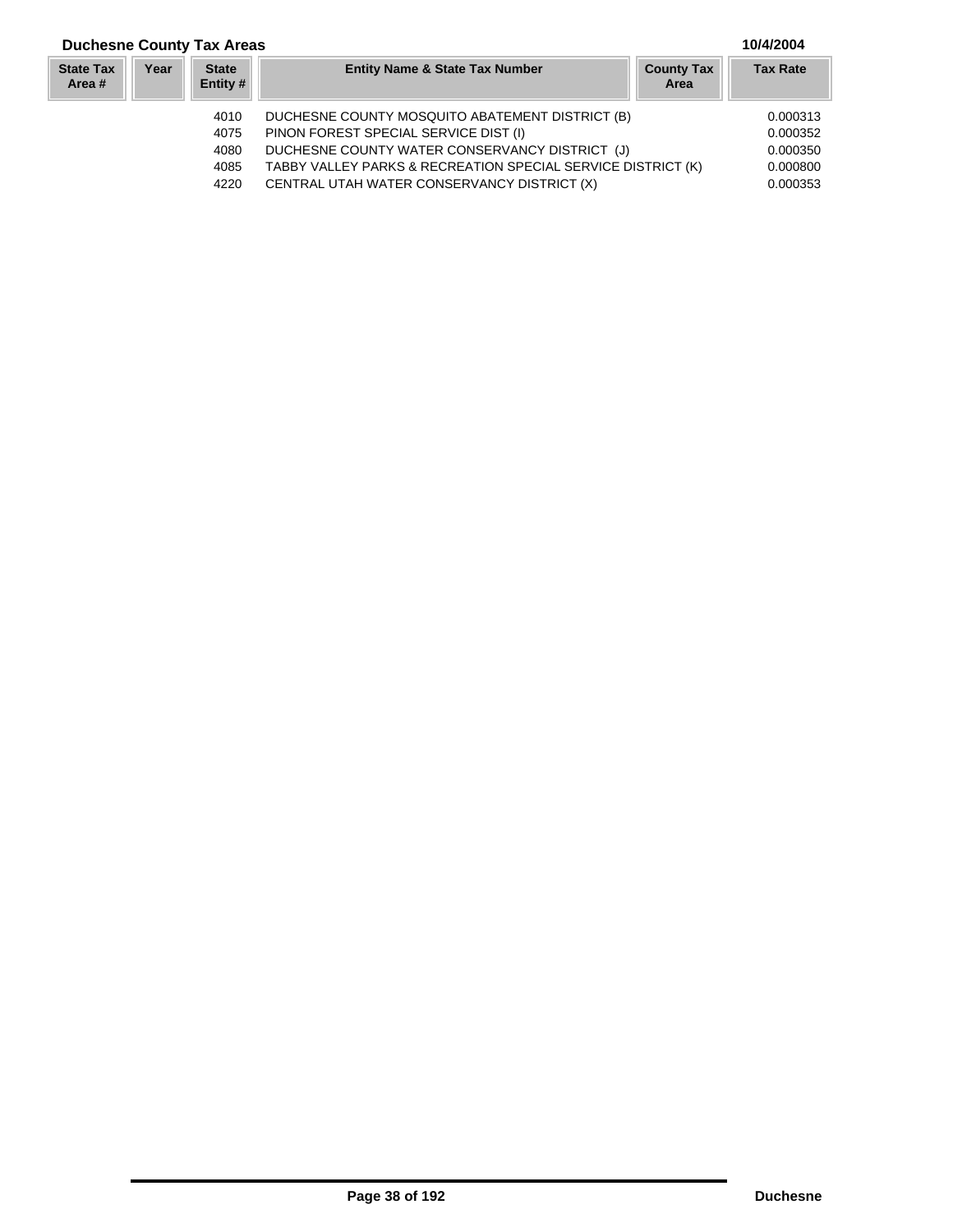### **Duchesne County Tax Areas 10/4/2004**

| <b>State Tax</b><br>Area # | Year | <b>State</b><br>Entity # | <b>Entity Name &amp; State Tax Number</b>                    | <b>County Tax</b><br>Area | <b>Tax Rate</b> |
|----------------------------|------|--------------------------|--------------------------------------------------------------|---------------------------|-----------------|
|                            |      | 4010                     | DUCHESNE COUNTY MOSQUITO ABATEMENT DISTRICT (B)              |                           | 0.000313        |
|                            |      | 4075                     | PINON FOREST SPECIAL SERVICE DIST (I)                        |                           | 0.000352        |
|                            |      | 4080                     | DUCHESNE COUNTY WATER CONSERVANCY DISTRICT (J)               |                           | 0.000350        |
|                            |      | 4085                     | TABBY VALLEY PARKS & RECREATION SPECIAL SERVICE DISTRICT (K) |                           | 0.000800        |
|                            |      | 4220                     | CENTRAL UTAH WATER CONSERVANCY DISTRICT (X)                  |                           | 0.000353        |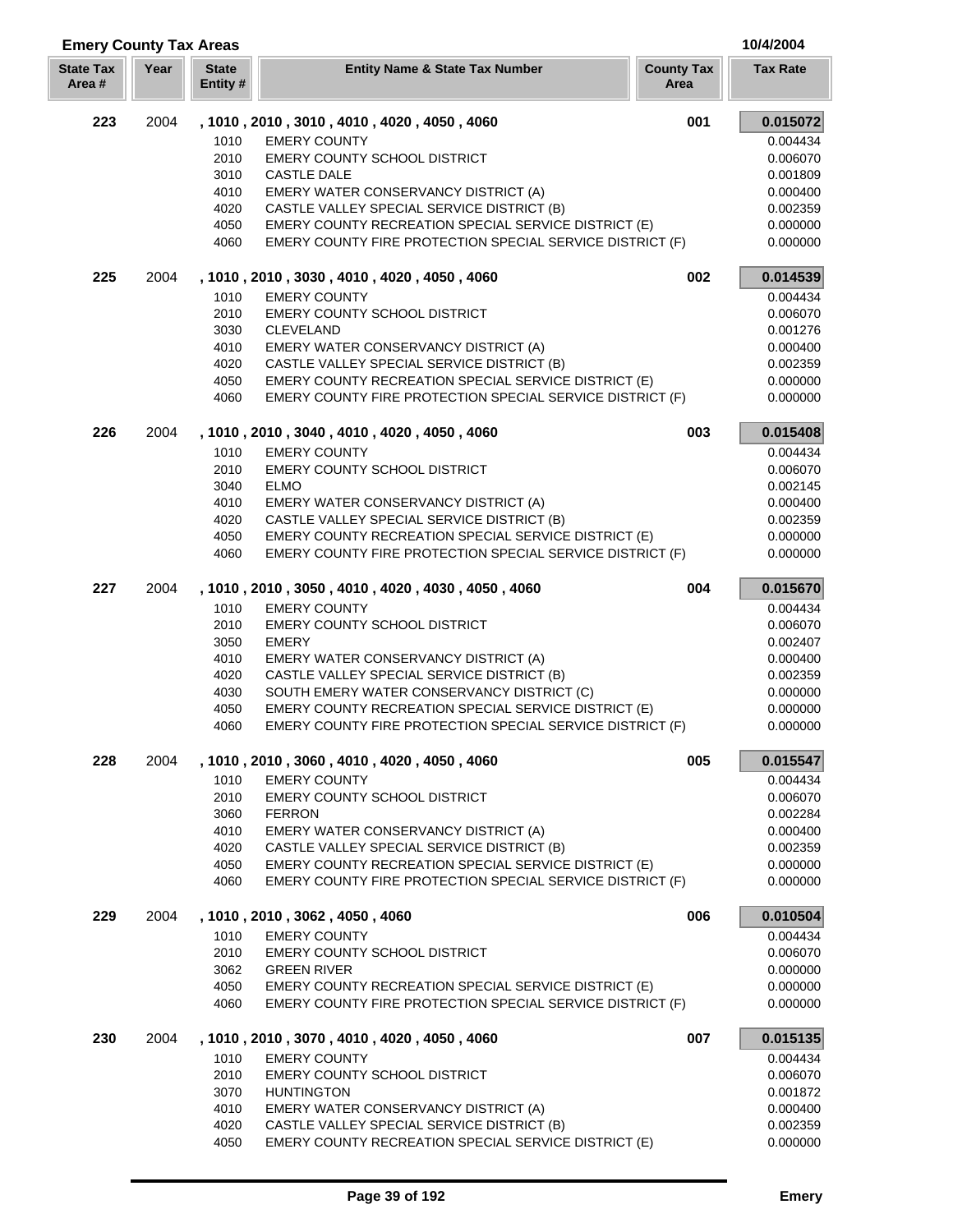| <b>Emery County Tax Areas</b> |      |                          |                                                           |                           | 10/4/2004       |
|-------------------------------|------|--------------------------|-----------------------------------------------------------|---------------------------|-----------------|
| <b>State Tax</b><br>Area#     | Year | <b>State</b><br>Entity # | <b>Entity Name &amp; State Tax Number</b>                 | <b>County Tax</b><br>Area | <b>Tax Rate</b> |
| 223                           | 2004 |                          | , 1010, 2010, 3010, 4010, 4020, 4050, 4060                | 001                       | 0.015072        |
|                               |      | 1010                     | <b>EMERY COUNTY</b>                                       |                           | 0.004434        |
|                               |      | 2010                     | <b>EMERY COUNTY SCHOOL DISTRICT</b>                       |                           | 0.006070        |
|                               |      | 3010                     | <b>CASTLE DALE</b>                                        |                           | 0.001809        |
|                               |      | 4010                     | EMERY WATER CONSERVANCY DISTRICT (A)                      |                           | 0.000400        |
|                               |      | 4020                     | CASTLE VALLEY SPECIAL SERVICE DISTRICT (B)                |                           | 0.002359        |
|                               |      | 4050                     | EMERY COUNTY RECREATION SPECIAL SERVICE DISTRICT (E)      |                           | 0.000000        |
|                               |      | 4060                     | EMERY COUNTY FIRE PROTECTION SPECIAL SERVICE DISTRICT (F) |                           | 0.000000        |
| 225                           | 2004 |                          | , 1010, 2010, 3030, 4010, 4020, 4050, 4060                | 002                       | 0.014539        |
|                               |      | 1010                     | <b>EMERY COUNTY</b>                                       |                           | 0.004434        |
|                               |      | 2010                     | EMERY COUNTY SCHOOL DISTRICT                              |                           | 0.006070        |
|                               |      | 3030                     | <b>CLEVELAND</b>                                          |                           | 0.001276        |
|                               |      | 4010                     | EMERY WATER CONSERVANCY DISTRICT (A)                      |                           | 0.000400        |
|                               |      | 4020                     | CASTLE VALLEY SPECIAL SERVICE DISTRICT (B)                |                           | 0.002359        |
|                               |      | 4050                     | EMERY COUNTY RECREATION SPECIAL SERVICE DISTRICT (E)      |                           | 0.000000        |
|                               |      | 4060                     | EMERY COUNTY FIRE PROTECTION SPECIAL SERVICE DISTRICT (F) |                           | 0.000000        |
| 226                           | 2004 |                          | , 1010, 2010, 3040, 4010, 4020, 4050, 4060                | 003                       | 0.015408        |
|                               |      | 1010                     | <b>EMERY COUNTY</b>                                       |                           | 0.004434        |
|                               |      | 2010                     | EMERY COUNTY SCHOOL DISTRICT                              |                           | 0.006070        |
|                               |      | 3040                     | <b>ELMO</b>                                               |                           | 0.002145        |
|                               |      | 4010                     | EMERY WATER CONSERVANCY DISTRICT (A)                      |                           | 0.000400        |
|                               |      | 4020                     | CASTLE VALLEY SPECIAL SERVICE DISTRICT (B)                |                           | 0.002359        |
|                               |      | 4050                     | EMERY COUNTY RECREATION SPECIAL SERVICE DISTRICT (E)      |                           | 0.000000        |
|                               |      | 4060                     | EMERY COUNTY FIRE PROTECTION SPECIAL SERVICE DISTRICT (F) |                           | 0.000000        |
| 227<br>2004                   |      |                          | , 1010, 2010, 3050, 4010, 4020, 4030, 4050, 4060          | 004                       | 0.015670        |
|                               |      | 1010                     | <b>EMERY COUNTY</b>                                       |                           | 0.004434        |
|                               |      | 2010                     | <b>EMERY COUNTY SCHOOL DISTRICT</b>                       |                           | 0.006070        |
|                               |      | 3050                     | <b>EMERY</b>                                              |                           | 0.002407        |
|                               |      | 4010                     | EMERY WATER CONSERVANCY DISTRICT (A)                      |                           | 0.000400        |
|                               |      | 4020                     | CASTLE VALLEY SPECIAL SERVICE DISTRICT (B)                |                           | 0.002359        |
|                               |      | 4030                     | SOUTH EMERY WATER CONSERVANCY DISTRICT (C)                |                           | 0.000000        |
|                               |      | 4050                     | EMERY COUNTY RECREATION SPECIAL SERVICE DISTRICT (E)      |                           | 0.000000        |
|                               |      | 4060                     | EMERY COUNTY FIRE PROTECTION SPECIAL SERVICE DISTRICT (F) |                           | 0.000000        |
| 228                           | 2004 |                          | , 1010, 2010, 3060, 4010, 4020, 4050, 4060                | 005                       | 0.015547        |
|                               |      | 1010                     | <b>EMERY COUNTY</b>                                       |                           | 0.004434        |
|                               |      | 2010                     | EMERY COUNTY SCHOOL DISTRICT                              |                           | 0.006070        |
|                               |      | 3060                     | <b>FERRON</b>                                             |                           | 0.002284        |
|                               |      | 4010                     | EMERY WATER CONSERVANCY DISTRICT (A)                      |                           | 0.000400        |
|                               |      | 4020                     | CASTLE VALLEY SPECIAL SERVICE DISTRICT (B)                |                           | 0.002359        |
|                               |      | 4050                     | EMERY COUNTY RECREATION SPECIAL SERVICE DISTRICT (E)      |                           | 0.000000        |
|                               |      | 4060                     | EMERY COUNTY FIRE PROTECTION SPECIAL SERVICE DISTRICT (F) |                           | 0.000000        |
| 229                           | 2004 |                          | , 1010, 2010, 3062, 4050, 4060                            | 006                       | 0.010504        |
|                               |      | 1010                     | <b>EMERY COUNTY</b>                                       |                           | 0.004434        |
|                               |      | 2010                     | <b>EMERY COUNTY SCHOOL DISTRICT</b>                       |                           | 0.006070        |
|                               |      | 3062                     | <b>GREEN RIVER</b>                                        |                           | 0.000000        |
|                               |      | 4050                     | EMERY COUNTY RECREATION SPECIAL SERVICE DISTRICT (E)      |                           | 0.000000        |
|                               |      | 4060                     | EMERY COUNTY FIRE PROTECTION SPECIAL SERVICE DISTRICT (F) |                           | 0.000000        |
| 230                           | 2004 |                          | , 1010, 2010, 3070, 4010, 4020, 4050, 4060                | 007                       | 0.015135        |
|                               |      | 1010                     | <b>EMERY COUNTY</b>                                       |                           | 0.004434        |
|                               |      | 2010                     | <b>EMERY COUNTY SCHOOL DISTRICT</b>                       |                           | 0.006070        |
|                               |      | 3070                     | <b>HUNTINGTON</b>                                         |                           | 0.001872        |
|                               |      | 4010                     | EMERY WATER CONSERVANCY DISTRICT (A)                      |                           | 0.000400        |
|                               |      | 4020                     | CASTLE VALLEY SPECIAL SERVICE DISTRICT (B)                |                           | 0.002359        |
|                               |      | 4050                     | EMERY COUNTY RECREATION SPECIAL SERVICE DISTRICT (E)      |                           | 0.000000        |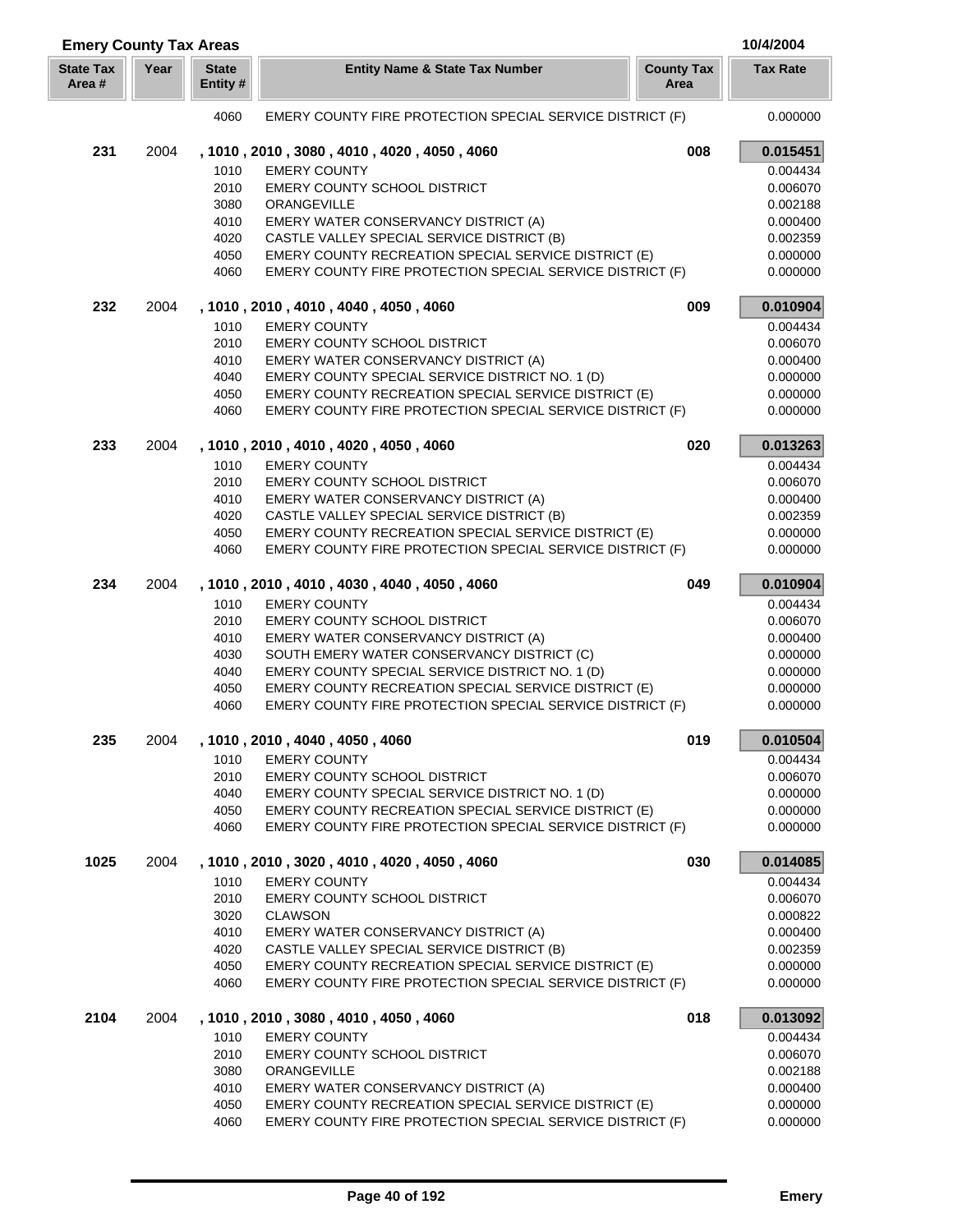| <b>Emery County Tax Areas</b> |      |                          |                                                                                                                   |                           | 10/4/2004            |
|-------------------------------|------|--------------------------|-------------------------------------------------------------------------------------------------------------------|---------------------------|----------------------|
| <b>State Tax</b><br>Area #    | Year | <b>State</b><br>Entity # | <b>Entity Name &amp; State Tax Number</b>                                                                         | <b>County Tax</b><br>Area | <b>Tax Rate</b>      |
|                               |      | 4060                     | EMERY COUNTY FIRE PROTECTION SPECIAL SERVICE DISTRICT (F)                                                         |                           | 0.000000             |
| 231                           | 2004 |                          | , 1010, 2010, 3080, 4010, 4020, 4050, 4060                                                                        | 008                       | 0.015451             |
|                               |      | 1010                     | <b>EMERY COUNTY</b>                                                                                               |                           | 0.004434             |
|                               |      | 2010                     | <b>EMERY COUNTY SCHOOL DISTRICT</b>                                                                               |                           | 0.006070             |
|                               |      | 3080                     | ORANGEVILLE                                                                                                       |                           | 0.002188             |
|                               |      | 4010                     | EMERY WATER CONSERVANCY DISTRICT (A)                                                                              |                           | 0.000400             |
|                               |      | 4020                     | CASTLE VALLEY SPECIAL SERVICE DISTRICT (B)                                                                        |                           | 0.002359             |
|                               |      | 4050<br>4060             | EMERY COUNTY RECREATION SPECIAL SERVICE DISTRICT (E)<br>EMERY COUNTY FIRE PROTECTION SPECIAL SERVICE DISTRICT (F) |                           | 0.000000<br>0.000000 |
|                               |      |                          |                                                                                                                   |                           |                      |
| 232                           | 2004 |                          | , 1010, 2010, 4010, 4040, 4050, 4060                                                                              | 009                       | 0.010904             |
|                               |      | 1010                     | <b>EMERY COUNTY</b>                                                                                               |                           | 0.004434             |
|                               |      | 2010                     | <b>EMERY COUNTY SCHOOL DISTRICT</b>                                                                               |                           | 0.006070             |
|                               |      | 4010                     | EMERY WATER CONSERVANCY DISTRICT (A)                                                                              |                           | 0.000400             |
|                               |      | 4040<br>4050             | EMERY COUNTY SPECIAL SERVICE DISTRICT NO. 1 (D)<br>EMERY COUNTY RECREATION SPECIAL SERVICE DISTRICT (E)           |                           | 0.000000<br>0.000000 |
|                               |      | 4060                     | EMERY COUNTY FIRE PROTECTION SPECIAL SERVICE DISTRICT (F)                                                         |                           | 0.000000             |
| 233                           | 2004 |                          | , 1010, 2010, 4010, 4020, 4050, 4060                                                                              | 020                       | 0.013263             |
|                               |      | 1010                     | <b>EMERY COUNTY</b>                                                                                               |                           | 0.004434             |
|                               |      | 2010                     | <b>EMERY COUNTY SCHOOL DISTRICT</b>                                                                               |                           | 0.006070             |
|                               |      | 4010                     | EMERY WATER CONSERVANCY DISTRICT (A)                                                                              |                           | 0.000400             |
|                               |      | 4020                     | CASTLE VALLEY SPECIAL SERVICE DISTRICT (B)                                                                        |                           | 0.002359             |
|                               |      | 4050                     | EMERY COUNTY RECREATION SPECIAL SERVICE DISTRICT (E)                                                              |                           | 0.000000             |
|                               |      | 4060                     | EMERY COUNTY FIRE PROTECTION SPECIAL SERVICE DISTRICT (F)                                                         |                           | 0.000000             |
| 234<br>2004                   |      |                          | , 1010, 2010, 4010, 4030, 4040, 4050, 4060                                                                        | 049                       | 0.010904             |
|                               |      | 1010                     | <b>EMERY COUNTY</b>                                                                                               |                           | 0.004434             |
|                               |      | 2010                     | <b>EMERY COUNTY SCHOOL DISTRICT</b>                                                                               |                           | 0.006070             |
|                               |      | 4010                     | EMERY WATER CONSERVANCY DISTRICT (A)                                                                              |                           | 0.000400             |
|                               |      | 4030                     | SOUTH EMERY WATER CONSERVANCY DISTRICT (C)                                                                        |                           | 0.000000             |
|                               |      | 4040                     | EMERY COUNTY SPECIAL SERVICE DISTRICT NO. 1 (D)                                                                   |                           | 0.000000             |
|                               |      | 4050                     | EMERY COUNTY RECREATION SPECIAL SERVICE DISTRICT (E)                                                              |                           | 0.000000             |
|                               |      | 4060                     | EMERY COUNTY FIRE PROTECTION SPECIAL SERVICE DISTRICT (F)                                                         |                           | 0.000000             |
| 235                           | 2004 |                          | , 1010, 2010, 4040, 4050, 4060                                                                                    | 019                       | 0.010504             |
|                               |      | 1010                     | <b>EMERY COUNTY</b>                                                                                               |                           | 0.004434             |
|                               |      | 2010                     | EMERY COUNTY SCHOOL DISTRICT                                                                                      |                           | 0.006070             |
|                               |      | 4040<br>4050             | EMERY COUNTY SPECIAL SERVICE DISTRICT NO. 1 (D)<br>EMERY COUNTY RECREATION SPECIAL SERVICE DISTRICT (E)           |                           | 0.000000<br>0.000000 |
|                               |      | 4060                     | EMERY COUNTY FIRE PROTECTION SPECIAL SERVICE DISTRICT (F)                                                         |                           | 0.000000             |
| 1025                          | 2004 |                          | , 1010, 2010, 3020, 4010, 4020, 4050, 4060                                                                        | 030                       | 0.014085             |
|                               |      | 1010                     | <b>EMERY COUNTY</b>                                                                                               |                           | 0.004434             |
|                               |      | 2010                     | <b>EMERY COUNTY SCHOOL DISTRICT</b>                                                                               |                           | 0.006070             |
|                               |      | 3020                     | <b>CLAWSON</b>                                                                                                    |                           | 0.000822             |
|                               |      | 4010                     | EMERY WATER CONSERVANCY DISTRICT (A)                                                                              |                           | 0.000400             |
|                               |      | 4020                     | CASTLE VALLEY SPECIAL SERVICE DISTRICT (B)                                                                        |                           | 0.002359             |
|                               |      | 4050                     | EMERY COUNTY RECREATION SPECIAL SERVICE DISTRICT (E)                                                              |                           | 0.000000             |
|                               |      | 4060                     | EMERY COUNTY FIRE PROTECTION SPECIAL SERVICE DISTRICT (F)                                                         |                           | 0.000000             |
| 2104                          | 2004 |                          | , 1010, 2010, 3080, 4010, 4050, 4060                                                                              | 018                       | 0.013092             |
|                               |      | 1010                     | <b>EMERY COUNTY</b>                                                                                               |                           | 0.004434             |
|                               |      | 2010                     | EMERY COUNTY SCHOOL DISTRICT                                                                                      |                           | 0.006070             |
|                               |      | 3080                     | ORANGEVILLE                                                                                                       |                           | 0.002188             |
|                               |      | 4010                     | EMERY WATER CONSERVANCY DISTRICT (A)                                                                              |                           | 0.000400             |
|                               |      | 4050                     | EMERY COUNTY RECREATION SPECIAL SERVICE DISTRICT (E)                                                              |                           | 0.000000             |
|                               |      | 4060                     | EMERY COUNTY FIRE PROTECTION SPECIAL SERVICE DISTRICT (F)                                                         |                           | 0.000000             |

Γ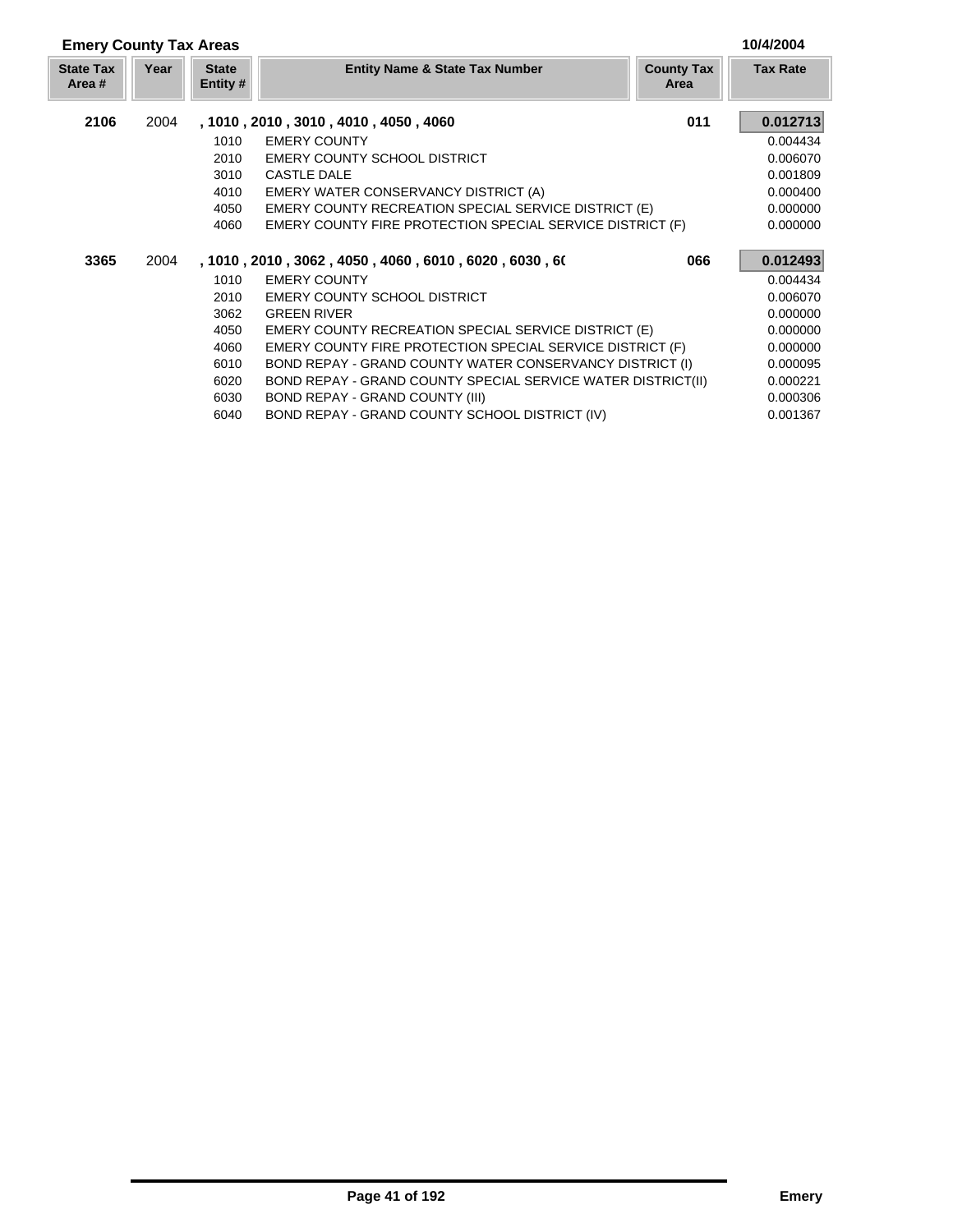| <b>Emery County Tax Areas</b> |      |                          |                                                              |                           |                 |
|-------------------------------|------|--------------------------|--------------------------------------------------------------|---------------------------|-----------------|
| <b>State Tax</b><br>Area #    | Year | <b>State</b><br>Entity # | <b>Entity Name &amp; State Tax Number</b>                    | <b>County Tax</b><br>Area | <b>Tax Rate</b> |
| 2106                          | 2004 |                          | , 1010, 2010, 3010, 4010, 4050, 4060                         | 011                       | 0.012713        |
|                               |      | 1010                     | <b>EMERY COUNTY</b>                                          |                           | 0.004434        |
|                               |      | 2010                     | <b>EMERY COUNTY SCHOOL DISTRICT</b>                          |                           | 0.006070        |
|                               |      | 3010                     | <b>CASTLE DALE</b>                                           |                           | 0.001809        |
|                               |      | 4010                     | EMERY WATER CONSERVANCY DISTRICT (A)                         |                           | 0.000400        |
|                               |      | 4050                     | EMERY COUNTY RECREATION SPECIAL SERVICE DISTRICT (E)         |                           | 0.000000        |
|                               |      | 4060                     | EMERY COUNTY FIRE PROTECTION SPECIAL SERVICE DISTRICT (F)    |                           | 0.000000        |
| 3365                          | 2004 |                          | , 1010 , 2010 , 3062 , 4050 , 4060 , 6010 , 6020 , 6030 , 60 | 066                       | 0.012493        |
|                               |      | 1010                     | <b>EMERY COUNTY</b>                                          |                           | 0.004434        |
|                               |      | 2010                     | <b>EMERY COUNTY SCHOOL DISTRICT</b>                          |                           | 0.006070        |
|                               |      | 3062                     | <b>GREEN RIVER</b>                                           |                           | 0.000000        |
|                               |      | 4050                     | <b>EMERY COUNTY RECREATION SPECIAL SERVICE DISTRICT (E)</b>  |                           | 0.000000        |
|                               |      | 4060                     | EMERY COUNTY FIRE PROTECTION SPECIAL SERVICE DISTRICT (F)    |                           | 0.000000        |
|                               |      | 6010                     | BOND REPAY - GRAND COUNTY WATER CONSERVANCY DISTRICT (I)     |                           | 0.000095        |
|                               |      | 6020                     | BOND REPAY - GRAND COUNTY SPECIAL SERVICE WATER DISTRICT(II) |                           | 0.000221        |
|                               |      | 6030                     | BOND REPAY - GRAND COUNTY (III)                              |                           | 0.000306        |
|                               |      | 6040                     | BOND REPAY - GRAND COUNTY SCHOOL DISTRICT (IV)               |                           | 0.001367        |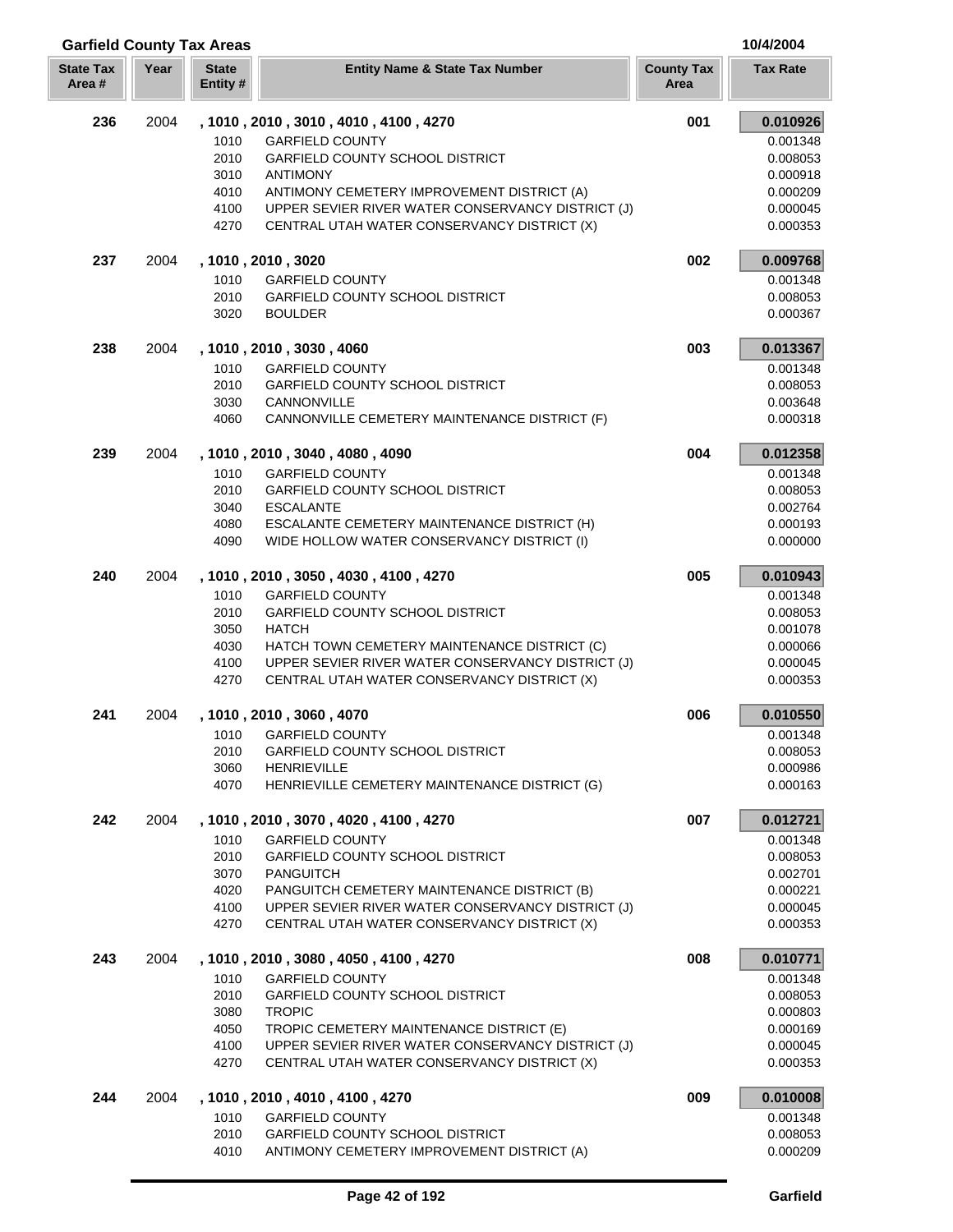| <b>Garfield County Tax Areas</b> |      |                          |                                                   |                           | 10/4/2004       |
|----------------------------------|------|--------------------------|---------------------------------------------------|---------------------------|-----------------|
| <b>State Tax</b><br>Area#        | Year | <b>State</b><br>Entity # | <b>Entity Name &amp; State Tax Number</b>         | <b>County Tax</b><br>Area | <b>Tax Rate</b> |
| 236                              | 2004 |                          | , 1010, 2010, 3010, 4010, 4100, 4270              | 001                       | 0.010926        |
|                                  |      | 1010                     | <b>GARFIELD COUNTY</b>                            |                           | 0.001348        |
|                                  |      | 2010                     | <b>GARFIELD COUNTY SCHOOL DISTRICT</b>            |                           | 0.008053        |
|                                  |      | 3010                     | <b>ANTIMONY</b>                                   |                           | 0.000918        |
|                                  |      | 4010                     | ANTIMONY CEMETERY IMPROVEMENT DISTRICT (A)        |                           | 0.000209        |
|                                  |      | 4100                     | UPPER SEVIER RIVER WATER CONSERVANCY DISTRICT (J) |                           | 0.000045        |
|                                  |      | 4270                     | CENTRAL UTAH WATER CONSERVANCY DISTRICT (X)       |                           | 0.000353        |
| 237                              | 2004 |                          | , 1010, 2010, 3020                                | 002                       | 0.009768        |
|                                  |      | 1010                     | <b>GARFIELD COUNTY</b>                            |                           | 0.001348        |
|                                  |      | 2010                     | <b>GARFIELD COUNTY SCHOOL DISTRICT</b>            |                           | 0.008053        |
|                                  |      | 3020                     | <b>BOULDER</b>                                    |                           | 0.000367        |
| 238                              | 2004 |                          | , 1010, 2010, 3030, 4060                          | 003                       | 0.013367        |
|                                  |      | 1010                     | <b>GARFIELD COUNTY</b>                            |                           | 0.001348        |
|                                  |      | 2010                     | <b>GARFIELD COUNTY SCHOOL DISTRICT</b>            |                           | 0.008053        |
|                                  |      | 3030                     | CANNONVILLE                                       |                           | 0.003648        |
|                                  |      | 4060                     | CANNONVILLE CEMETERY MAINTENANCE DISTRICT (F)     |                           | 0.000318        |
| 239                              | 2004 |                          | , 1010, 2010, 3040, 4080, 4090                    | 004                       | 0.012358        |
|                                  |      | 1010                     | <b>GARFIELD COUNTY</b>                            |                           | 0.001348        |
|                                  |      | 2010                     | GARFIELD COUNTY SCHOOL DISTRICT                   |                           | 0.008053        |
|                                  |      | 3040                     | <b>ESCALANTE</b>                                  |                           | 0.002764        |
|                                  |      | 4080                     | ESCALANTE CEMETERY MAINTENANCE DISTRICT (H)       |                           | 0.000193        |
|                                  |      | 4090                     | WIDE HOLLOW WATER CONSERVANCY DISTRICT (I)        |                           | 0.000000        |
| 240                              | 2004 |                          | , 1010, 2010, 3050, 4030, 4100, 4270              | 005                       | 0.010943        |
|                                  |      | 1010                     | <b>GARFIELD COUNTY</b>                            |                           | 0.001348        |
|                                  |      | 2010                     | <b>GARFIELD COUNTY SCHOOL DISTRICT</b>            |                           | 0.008053        |
|                                  |      | 3050                     | <b>HATCH</b>                                      |                           | 0.001078        |
|                                  |      | 4030                     | HATCH TOWN CEMETERY MAINTENANCE DISTRICT (C)      |                           | 0.000066        |
|                                  |      | 4100                     | UPPER SEVIER RIVER WATER CONSERVANCY DISTRICT (J) |                           | 0.000045        |
|                                  |      | 4270                     | CENTRAL UTAH WATER CONSERVANCY DISTRICT (X)       |                           | 0.000353        |
| 241                              | 2004 |                          | , 1010, 2010, 3060, 4070                          | 006                       | 0.010550        |
|                                  |      | 1010                     | <b>GARFIELD COUNTY</b>                            |                           | 0.001348        |
|                                  |      | 2010                     | GARFIELD COUNTY SCHOOL DISTRICT                   |                           | 0.008053        |
|                                  |      | 3060                     | <b>HENRIEVILLE</b>                                |                           | 0.000986        |
|                                  |      | 4070                     | HENRIEVILLE CEMETERY MAINTENANCE DISTRICT (G)     |                           | 0.000163        |
| 242                              | 2004 |                          | , 1010, 2010, 3070, 4020, 4100, 4270              | 007                       | 0.012721        |
|                                  |      | 1010                     | <b>GARFIELD COUNTY</b>                            |                           | 0.001348        |
|                                  |      | 2010                     | GARFIELD COUNTY SCHOOL DISTRICT                   |                           | 0.008053        |
|                                  |      | 3070                     | <b>PANGUITCH</b>                                  |                           | 0.002701        |
|                                  |      | 4020                     | PANGUITCH CEMETERY MAINTENANCE DISTRICT (B)       |                           | 0.000221        |
|                                  |      | 4100                     | UPPER SEVIER RIVER WATER CONSERVANCY DISTRICT (J) |                           | 0.000045        |
|                                  |      | 4270                     | CENTRAL UTAH WATER CONSERVANCY DISTRICT (X)       |                           | 0.000353        |
| 243                              | 2004 |                          | , 1010, 2010, 3080, 4050, 4100, 4270              | 008                       | 0.010771        |
|                                  |      | 1010                     | <b>GARFIELD COUNTY</b>                            |                           | 0.001348        |
|                                  |      | 2010                     | <b>GARFIELD COUNTY SCHOOL DISTRICT</b>            |                           | 0.008053        |
|                                  |      | 3080                     | <b>TROPIC</b>                                     |                           | 0.000803        |
|                                  |      | 4050                     | TROPIC CEMETERY MAINTENANCE DISTRICT (E)          |                           | 0.000169        |
|                                  |      | 4100                     | UPPER SEVIER RIVER WATER CONSERVANCY DISTRICT (J) |                           | 0.000045        |
|                                  |      | 4270                     | CENTRAL UTAH WATER CONSERVANCY DISTRICT (X)       |                           | 0.000353        |
| 244                              | 2004 |                          | , 1010, 2010, 4010, 4100, 4270                    | 009                       | 0.010008        |
|                                  |      | 1010                     | <b>GARFIELD COUNTY</b>                            |                           | 0.001348        |
|                                  |      | 2010                     | GARFIELD COUNTY SCHOOL DISTRICT                   |                           | 0.008053        |
|                                  |      | 4010                     | ANTIMONY CEMETERY IMPROVEMENT DISTRICT (A)        |                           | 0.000209        |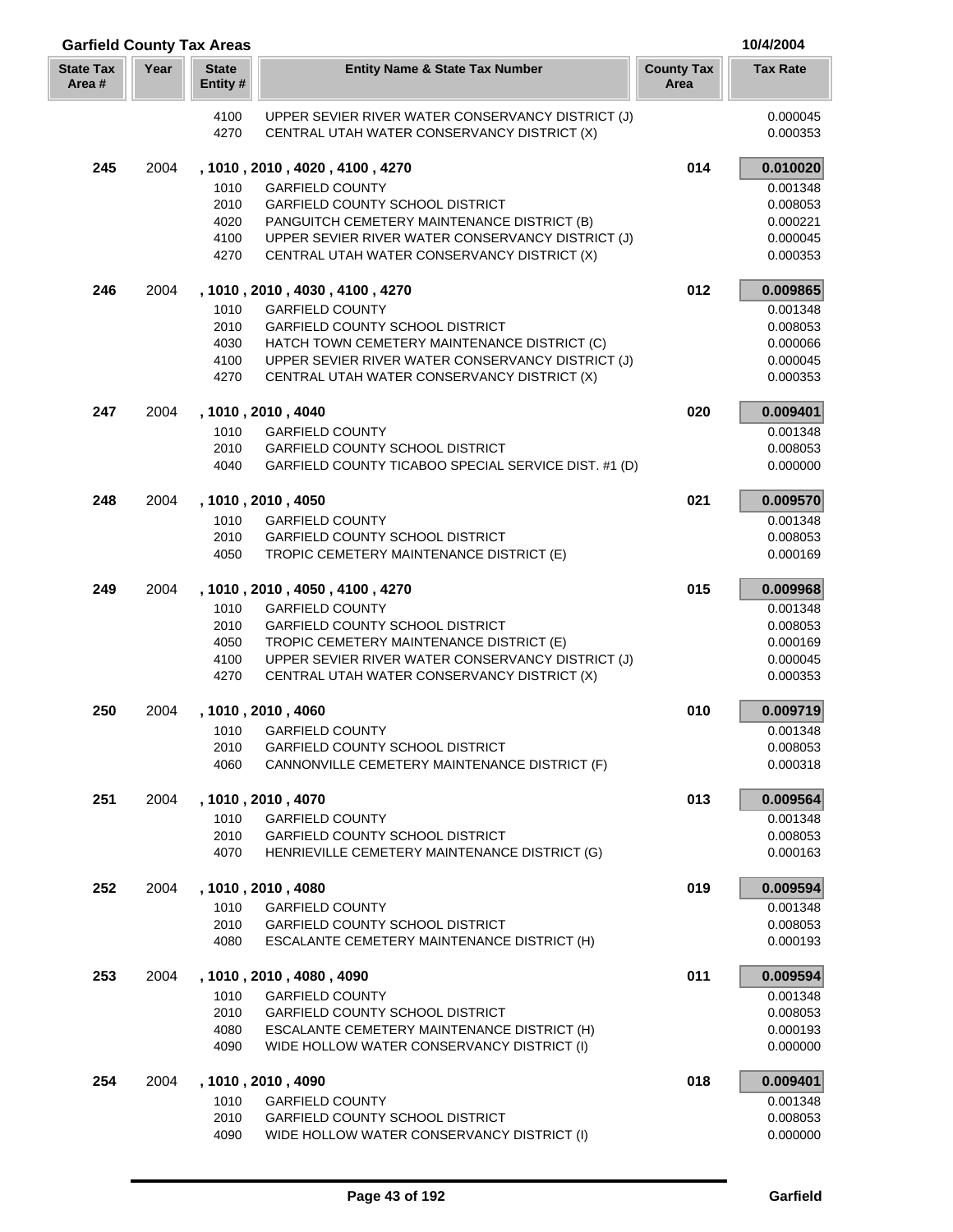| <b>Garfield County Tax Areas</b> |      |                         |                                                                                                  |                           | 10/4/2004            |
|----------------------------------|------|-------------------------|--------------------------------------------------------------------------------------------------|---------------------------|----------------------|
| <b>State Tax</b><br>Area #       | Year | <b>State</b><br>Entity# | <b>Entity Name &amp; State Tax Number</b>                                                        | <b>County Tax</b><br>Area | <b>Tax Rate</b>      |
|                                  |      | 4100<br>4270            | UPPER SEVIER RIVER WATER CONSERVANCY DISTRICT (J)<br>CENTRAL UTAH WATER CONSERVANCY DISTRICT (X) |                           | 0.000045<br>0.000353 |
| 245                              | 2004 |                         | , 1010, 2010, 4020, 4100, 4270                                                                   | 014                       | 0.010020             |
|                                  |      | 1010                    | <b>GARFIELD COUNTY</b>                                                                           |                           | 0.001348             |
|                                  |      | 2010                    | <b>GARFIELD COUNTY SCHOOL DISTRICT</b>                                                           |                           | 0.008053             |
|                                  |      | 4020                    | PANGUITCH CEMETERY MAINTENANCE DISTRICT (B)                                                      |                           | 0.000221             |
|                                  |      | 4100<br>4270            | UPPER SEVIER RIVER WATER CONSERVANCY DISTRICT (J)                                                |                           | 0.000045             |
|                                  |      |                         | CENTRAL UTAH WATER CONSERVANCY DISTRICT (X)                                                      |                           | 0.000353             |
| 246                              | 2004 | 1010                    | , 1010 , 2010 , 4030 , 4100 , 4270<br><b>GARFIELD COUNTY</b>                                     | 012                       | 0.009865<br>0.001348 |
|                                  |      | 2010                    | <b>GARFIELD COUNTY SCHOOL DISTRICT</b>                                                           |                           | 0.008053             |
|                                  |      | 4030                    | HATCH TOWN CEMETERY MAINTENANCE DISTRICT (C)                                                     |                           | 0.000066             |
|                                  |      | 4100                    | UPPER SEVIER RIVER WATER CONSERVANCY DISTRICT (J)                                                |                           | 0.000045             |
|                                  |      | 4270                    | CENTRAL UTAH WATER CONSERVANCY DISTRICT (X)                                                      |                           | 0.000353             |
| 247                              | 2004 |                         | , 1010, 2010, 4040                                                                               | 020                       | 0.009401             |
|                                  |      | 1010                    | <b>GARFIELD COUNTY</b>                                                                           |                           | 0.001348             |
|                                  |      | 2010<br>4040            | <b>GARFIELD COUNTY SCHOOL DISTRICT</b><br>GARFIELD COUNTY TICABOO SPECIAL SERVICE DIST. #1 (D)   |                           | 0.008053<br>0.000000 |
| 248                              | 2004 |                         | , 1010, 2010, 4050                                                                               | 021                       | 0.009570             |
|                                  |      | 1010                    | <b>GARFIELD COUNTY</b>                                                                           |                           | 0.001348             |
|                                  |      | 2010                    | <b>GARFIELD COUNTY SCHOOL DISTRICT</b>                                                           |                           | 0.008053             |
|                                  |      | 4050                    | TROPIC CEMETERY MAINTENANCE DISTRICT (E)                                                         |                           | 0.000169             |
| 249                              | 2004 |                         | , 1010, 2010, 4050, 4100, 4270                                                                   | 015                       | 0.009968             |
|                                  |      | 1010                    | <b>GARFIELD COUNTY</b>                                                                           |                           | 0.001348             |
|                                  |      | 2010<br>4050            | GARFIELD COUNTY SCHOOL DISTRICT<br>TROPIC CEMETERY MAINTENANCE DISTRICT (E)                      |                           | 0.008053<br>0.000169 |
|                                  |      | 4100                    | UPPER SEVIER RIVER WATER CONSERVANCY DISTRICT (J)                                                |                           | 0.000045             |
|                                  |      | 4270                    | CENTRAL UTAH WATER CONSERVANCY DISTRICT (X)                                                      |                           | 0.000353             |
| 250                              | 2004 |                         | , 1010, 2010, 4060                                                                               | 010                       | 0.009719             |
|                                  |      | 1010                    | <b>GARFIELD COUNTY</b>                                                                           |                           | 0.001348             |
|                                  |      | 2010                    | GARFIELD COUNTY SCHOOL DISTRICT                                                                  |                           | 0.008053             |
|                                  |      | 4060                    | CANNONVILLE CEMETERY MAINTENANCE DISTRICT (F)                                                    |                           | 0.000318             |
| 251                              | 2004 | 1010                    | , 1010, 2010, 4070<br><b>GARFIELD COUNTY</b>                                                     | 013                       | 0.009564<br>0.001348 |
|                                  |      | 2010                    | <b>GARFIELD COUNTY SCHOOL DISTRICT</b>                                                           |                           | 0.008053             |
|                                  |      | 4070                    | HENRIEVILLE CEMETERY MAINTENANCE DISTRICT (G)                                                    |                           | 0.000163             |
| 252                              | 2004 |                         | , 1010, 2010, 4080                                                                               | 019                       | 0.009594             |
|                                  |      | 1010                    | <b>GARFIELD COUNTY</b>                                                                           |                           | 0.001348             |
|                                  |      | 2010                    | <b>GARFIELD COUNTY SCHOOL DISTRICT</b>                                                           |                           | 0.008053             |
|                                  |      | 4080                    | ESCALANTE CEMETERY MAINTENANCE DISTRICT (H)                                                      |                           | 0.000193             |
| 253                              | 2004 | 1010                    | , 1010, 2010, 4080, 4090<br><b>GARFIELD COUNTY</b>                                               | 011                       | 0.009594<br>0.001348 |
|                                  |      | 2010                    | GARFIELD COUNTY SCHOOL DISTRICT                                                                  |                           | 0.008053             |
|                                  |      | 4080                    | ESCALANTE CEMETERY MAINTENANCE DISTRICT (H)                                                      |                           | 0.000193             |
|                                  |      | 4090                    | WIDE HOLLOW WATER CONSERVANCY DISTRICT (I)                                                       |                           | 0.000000             |
| 254                              | 2004 |                         | , 1010, 2010, 4090                                                                               | 018                       | 0.009401             |
|                                  |      | 1010                    | <b>GARFIELD COUNTY</b>                                                                           |                           | 0.001348             |
|                                  |      | 2010<br>4090            | <b>GARFIELD COUNTY SCHOOL DISTRICT</b><br>WIDE HOLLOW WATER CONSERVANCY DISTRICT (I)             |                           | 0.008053<br>0.000000 |
|                                  |      |                         |                                                                                                  |                           |                      |

Ī Į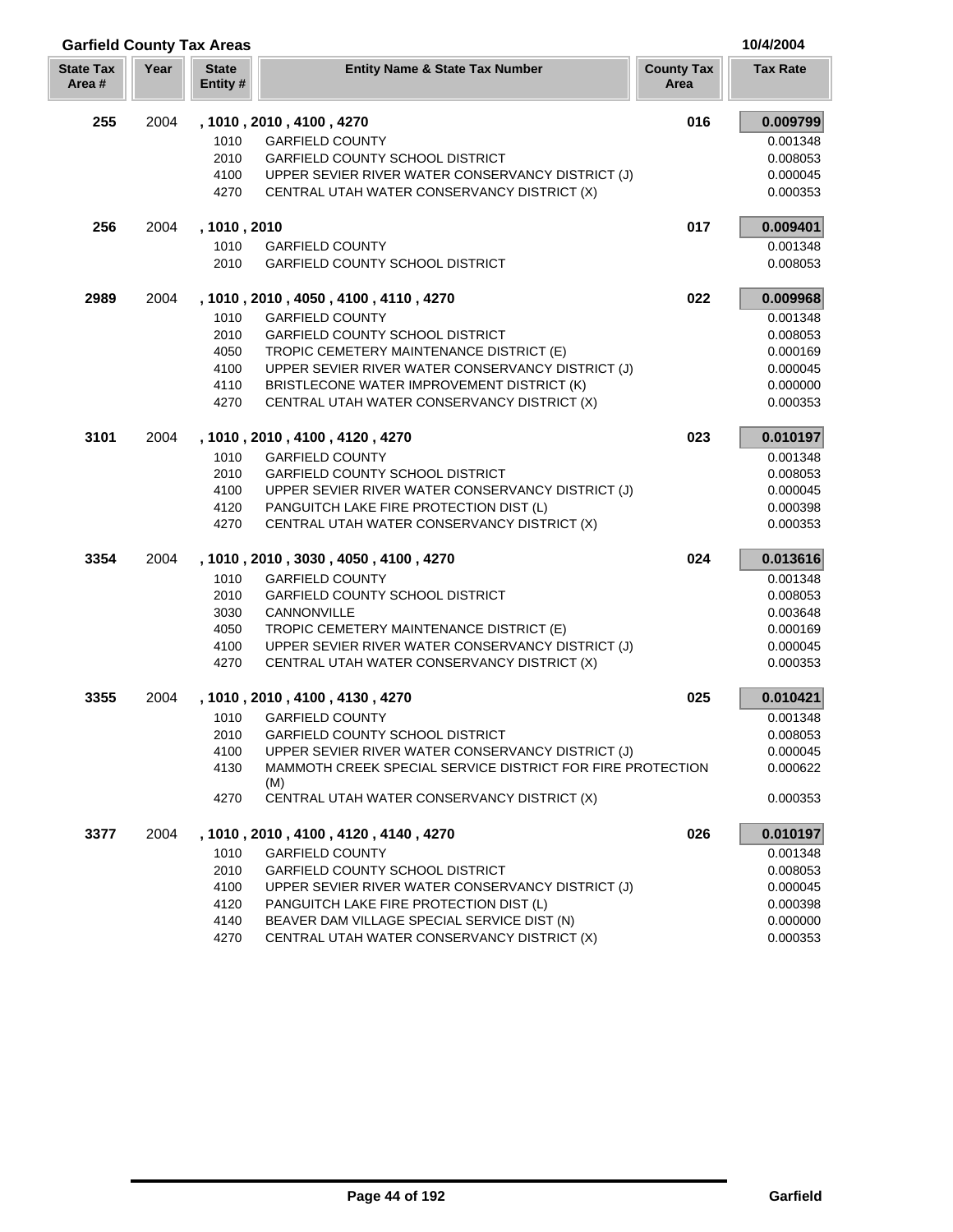| <b>Garfield County Tax Areas</b> |      |                         |                                                                   |                           | 10/4/2004       |
|----------------------------------|------|-------------------------|-------------------------------------------------------------------|---------------------------|-----------------|
| <b>State Tax</b><br>Area #       | Year | <b>State</b><br>Entity# | <b>Entity Name &amp; State Tax Number</b>                         | <b>County Tax</b><br>Area | <b>Tax Rate</b> |
| 255                              | 2004 |                         | , 1010, 2010, 4100, 4270                                          | 016                       | 0.009799        |
|                                  |      | 1010                    | <b>GARFIELD COUNTY</b>                                            |                           | 0.001348        |
|                                  |      | 2010                    | <b>GARFIELD COUNTY SCHOOL DISTRICT</b>                            |                           | 0.008053        |
|                                  |      | 4100                    | UPPER SEVIER RIVER WATER CONSERVANCY DISTRICT (J)                 |                           | 0.000045        |
|                                  |      | 4270                    | CENTRAL UTAH WATER CONSERVANCY DISTRICT (X)                       |                           | 0.000353        |
| 256                              | 2004 | , 1010, 2010            |                                                                   | 017                       | 0.009401        |
|                                  |      | 1010                    | <b>GARFIELD COUNTY</b>                                            |                           | 0.001348        |
|                                  |      | 2010                    | <b>GARFIELD COUNTY SCHOOL DISTRICT</b>                            |                           | 0.008053        |
| 2989                             | 2004 |                         | , 1010, 2010, 4050, 4100, 4110, 4270                              | 022                       | 0.009968        |
|                                  |      | 1010                    | <b>GARFIELD COUNTY</b>                                            |                           | 0.001348        |
|                                  |      | 2010                    | <b>GARFIELD COUNTY SCHOOL DISTRICT</b>                            |                           | 0.008053        |
|                                  |      | 4050                    | TROPIC CEMETERY MAINTENANCE DISTRICT (E)                          |                           | 0.000169        |
|                                  |      | 4100                    | UPPER SEVIER RIVER WATER CONSERVANCY DISTRICT (J)                 |                           | 0.000045        |
|                                  |      | 4110                    | BRISTLECONE WATER IMPROVEMENT DISTRICT (K)                        |                           | 0.000000        |
|                                  |      | 4270                    | CENTRAL UTAH WATER CONSERVANCY DISTRICT (X)                       |                           | 0.000353        |
| 3101                             | 2004 |                         | , 1010, 2010, 4100, 4120, 4270                                    | 023                       | 0.010197        |
|                                  |      | 1010                    | <b>GARFIELD COUNTY</b>                                            |                           | 0.001348        |
|                                  |      | 2010                    | <b>GARFIELD COUNTY SCHOOL DISTRICT</b>                            |                           | 0.008053        |
|                                  |      | 4100                    | UPPER SEVIER RIVER WATER CONSERVANCY DISTRICT (J)                 |                           | 0.000045        |
|                                  |      | 4120                    | PANGUITCH LAKE FIRE PROTECTION DIST (L)                           |                           | 0.000398        |
|                                  |      | 4270                    | CENTRAL UTAH WATER CONSERVANCY DISTRICT (X)                       |                           | 0.000353        |
| 3354                             | 2004 |                         | , 1010, 2010, 3030, 4050, 4100, 4270                              | 024                       | 0.013616        |
|                                  |      | 1010                    | <b>GARFIELD COUNTY</b>                                            |                           | 0.001348        |
|                                  |      | 2010                    | GARFIELD COUNTY SCHOOL DISTRICT                                   |                           | 0.008053        |
|                                  |      | 3030                    | CANNONVILLE                                                       |                           | 0.003648        |
|                                  |      | 4050                    | TROPIC CEMETERY MAINTENANCE DISTRICT (E)                          |                           | 0.000169        |
|                                  |      | 4100                    | UPPER SEVIER RIVER WATER CONSERVANCY DISTRICT (J)                 |                           | 0.000045        |
|                                  |      | 4270                    | CENTRAL UTAH WATER CONSERVANCY DISTRICT (X)                       |                           | 0.000353        |
| 3355                             | 2004 |                         | , 1010, 2010, 4100, 4130, 4270                                    | 025                       | 0.010421        |
|                                  |      | 1010                    | <b>GARFIELD COUNTY</b>                                            |                           | 0.001348        |
|                                  |      | 2010                    | <b>GARFIELD COUNTY SCHOOL DISTRICT</b>                            |                           | 0.008053        |
|                                  |      | 4100                    | UPPER SEVIER RIVER WATER CONSERVANCY DISTRICT (J)                 |                           | 0.000045        |
|                                  |      | 4130                    | MAMMOTH CREEK SPECIAL SERVICE DISTRICT FOR FIRE PROTECTION<br>(M) |                           | 0.000622        |
|                                  |      | 4270                    | CENTRAL UTAH WATER CONSERVANCY DISTRICT (X)                       |                           | 0.000353        |
| 3377                             | 2004 |                         | , 1010, 2010, 4100, 4120, 4140, 4270                              | 026                       | 0.010197        |
|                                  |      | 1010                    | <b>GARFIELD COUNTY</b>                                            |                           | 0.001348        |
|                                  |      | 2010                    | GARFIELD COUNTY SCHOOL DISTRICT                                   |                           | 0.008053        |
|                                  |      | 4100                    | UPPER SEVIER RIVER WATER CONSERVANCY DISTRICT (J)                 |                           | 0.000045        |
|                                  |      | 4120                    | PANGUITCH LAKE FIRE PROTECTION DIST (L)                           |                           | 0.000398        |
|                                  |      | 4140                    | BEAVER DAM VILLAGE SPECIAL SERVICE DIST (N)                       |                           | 0.000000        |

4270 CENTRAL UTAH WATER CONSERVANCY DISTRICT (X) 0.000353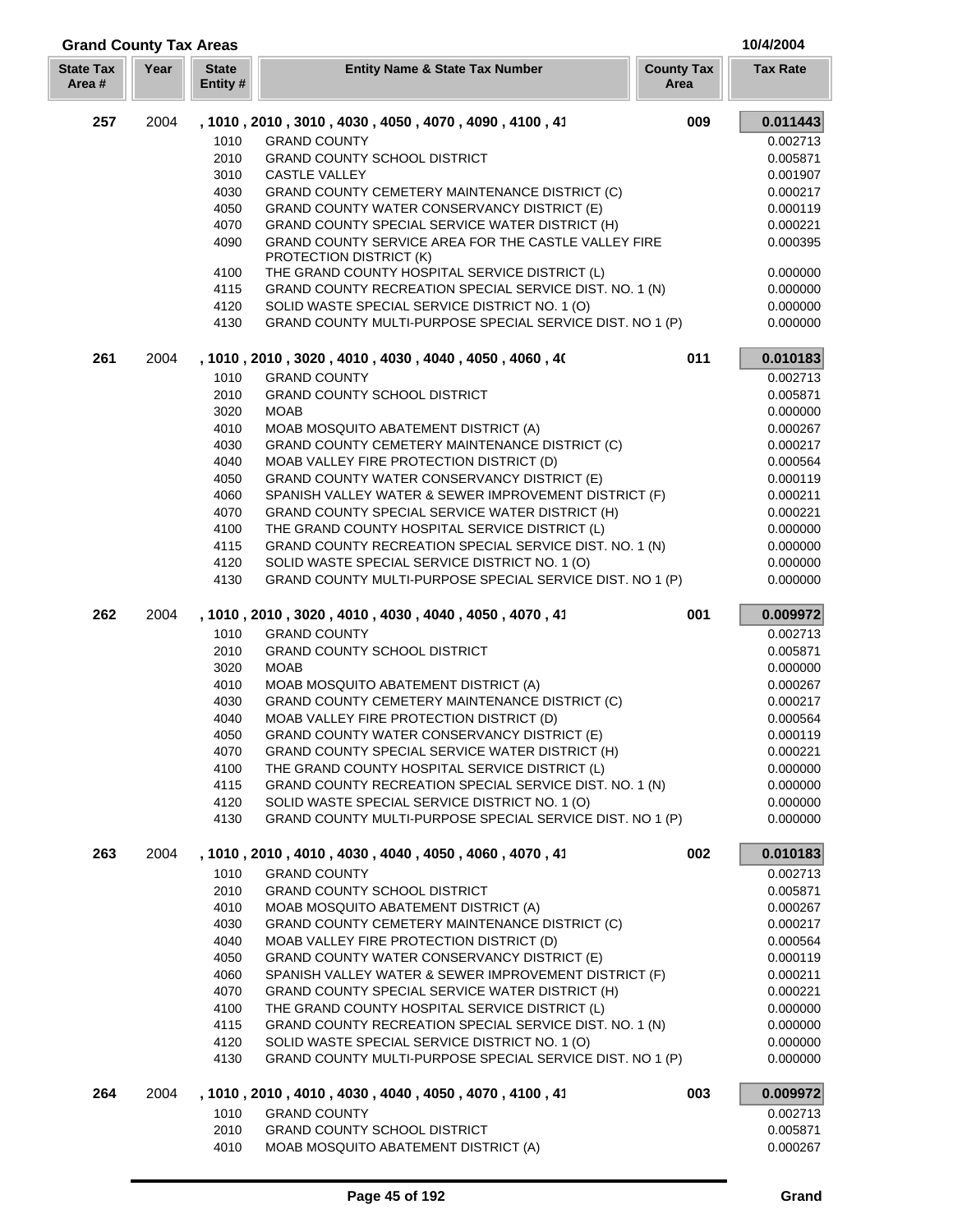| <b>Grand County Tax Areas</b> |      |                                                           |                                                                                                             |                           | 10/4/2004            |
|-------------------------------|------|-----------------------------------------------------------|-------------------------------------------------------------------------------------------------------------|---------------------------|----------------------|
| <b>State Tax</b><br>Area#     | Year | <b>State</b><br>Entity #                                  | <b>Entity Name &amp; State Tax Number</b>                                                                   | <b>County Tax</b><br>Area | <b>Tax Rate</b>      |
| 257                           | 2004 |                                                           | , 1010, 2010, 3010, 4030, 4050, 4070, 4090, 4100, 41                                                        | 009                       | 0.011443             |
|                               |      | 1010                                                      | <b>GRAND COUNTY</b>                                                                                         |                           | 0.002713             |
|                               |      | 2010                                                      | <b>GRAND COUNTY SCHOOL DISTRICT</b>                                                                         |                           | 0.005871             |
|                               |      | 3010                                                      | <b>CASTLE VALLEY</b>                                                                                        |                           | 0.001907             |
|                               |      | 4030                                                      | GRAND COUNTY CEMETERY MAINTENANCE DISTRICT (C)                                                              |                           | 0.000217             |
|                               |      | 4050                                                      | GRAND COUNTY WATER CONSERVANCY DISTRICT (E)                                                                 |                           | 0.000119             |
|                               |      | 4070                                                      | <b>GRAND COUNTY SPECIAL SERVICE WATER DISTRICT (H)</b>                                                      |                           | 0.000221             |
|                               |      | 4090                                                      | GRAND COUNTY SERVICE AREA FOR THE CASTLE VALLEY FIRE<br>PROTECTION DISTRICT (K)                             |                           | 0.000395             |
|                               |      | 4100                                                      | THE GRAND COUNTY HOSPITAL SERVICE DISTRICT (L)                                                              |                           | 0.000000             |
|                               |      | 4115                                                      | GRAND COUNTY RECREATION SPECIAL SERVICE DIST. NO. 1 (N)                                                     |                           | 0.000000             |
|                               |      | 4120<br>4130                                              | SOLID WASTE SPECIAL SERVICE DISTRICT NO. 1 (O)<br>GRAND COUNTY MULTI-PURPOSE SPECIAL SERVICE DIST. NO 1 (P) |                           | 0.000000<br>0.000000 |
| 261                           | 2004 |                                                           | , 1010, 2010, 3020, 4010, 4030, 4040, 4050, 4060, 40                                                        | 011                       | 0.010183             |
|                               |      | 1010                                                      | <b>GRAND COUNTY</b>                                                                                         |                           | 0.002713             |
|                               |      | 2010                                                      | <b>GRAND COUNTY SCHOOL DISTRICT</b>                                                                         |                           | 0.005871             |
|                               |      | 3020                                                      | <b>MOAB</b>                                                                                                 |                           | 0.000000             |
|                               |      | 4010                                                      | MOAB MOSQUITO ABATEMENT DISTRICT (A)                                                                        |                           | 0.000267             |
|                               |      | 4030                                                      | GRAND COUNTY CEMETERY MAINTENANCE DISTRICT (C)                                                              |                           | 0.000217             |
|                               |      | 4040                                                      | MOAB VALLEY FIRE PROTECTION DISTRICT (D)                                                                    |                           | 0.000564             |
|                               |      | 4050                                                      | GRAND COUNTY WATER CONSERVANCY DISTRICT (E)                                                                 |                           | 0.000119             |
|                               |      | 4060                                                      | SPANISH VALLEY WATER & SEWER IMPROVEMENT DISTRICT (F)                                                       |                           | 0.000211             |
|                               |      | 4070                                                      | GRAND COUNTY SPECIAL SERVICE WATER DISTRICT (H)                                                             |                           | 0.000221             |
|                               |      | 4100                                                      | THE GRAND COUNTY HOSPITAL SERVICE DISTRICT (L)                                                              |                           | 0.000000             |
|                               |      | 4115                                                      | GRAND COUNTY RECREATION SPECIAL SERVICE DIST. NO. 1 (N)                                                     |                           | 0.000000             |
|                               |      | 4120                                                      | SOLID WASTE SPECIAL SERVICE DISTRICT NO. 1 (O)                                                              |                           | 0.000000             |
|                               | 4130 | GRAND COUNTY MULTI-PURPOSE SPECIAL SERVICE DIST. NO 1 (P) |                                                                                                             | 0.000000                  |                      |
| 262                           | 2004 |                                                           | , 1010, 2010, 3020, 4010, 4030, 4040, 4050, 4070, 41                                                        | 001                       | 0.009972             |
|                               |      | 1010                                                      | <b>GRAND COUNTY</b>                                                                                         |                           | 0.002713             |
|                               |      | 2010                                                      | <b>GRAND COUNTY SCHOOL DISTRICT</b>                                                                         |                           | 0.005871             |
|                               |      | 3020                                                      | <b>MOAB</b>                                                                                                 |                           | 0.000000             |
|                               |      | 4010                                                      | MOAB MOSQUITO ABATEMENT DISTRICT (A)                                                                        |                           | 0.000267             |
|                               |      | 4030<br>4040                                              | <b>GRAND COUNTY CEMETERY MAINTENANCE DISTRICT (C)</b><br>MOAB VALLEY FIRE PROTECTION DISTRICT (D)           |                           | 0.000217<br>0.000564 |
|                               |      |                                                           |                                                                                                             |                           |                      |
|                               |      | 4050<br>4070                                              | GRAND COUNTY WATER CONSERVANCY DISTRICT (E)<br>GRAND COUNTY SPECIAL SERVICE WATER DISTRICT (H)              |                           | 0.000119<br>0.000221 |
|                               |      | 4100                                                      | THE GRAND COUNTY HOSPITAL SERVICE DISTRICT (L)                                                              |                           | 0.000000             |
|                               |      | 4115                                                      | GRAND COUNTY RECREATION SPECIAL SERVICE DIST. NO. 1 (N)                                                     |                           | 0.000000             |
|                               |      | 4120                                                      | SOLID WASTE SPECIAL SERVICE DISTRICT NO. 1 (O)                                                              |                           | 0.000000             |
|                               |      | 4130                                                      | GRAND COUNTY MULTI-PURPOSE SPECIAL SERVICE DIST. NO 1 (P)                                                   |                           | 0.000000             |
| 263                           | 2004 |                                                           | , 1010 , 2010 , 4010 , 4030 , 4040 , 4050 , 4060 , 4070 , 41                                                | 002                       | 0.010183             |
|                               |      | 1010                                                      | <b>GRAND COUNTY</b>                                                                                         |                           | 0.002713             |
|                               |      | 2010                                                      | GRAND COUNTY SCHOOL DISTRICT                                                                                |                           | 0.005871             |
|                               |      | 4010                                                      | MOAB MOSQUITO ABATEMENT DISTRICT (A)                                                                        |                           | 0.000267             |
|                               |      | 4030                                                      | GRAND COUNTY CEMETERY MAINTENANCE DISTRICT (C)                                                              |                           | 0.000217             |
|                               |      | 4040                                                      | MOAB VALLEY FIRE PROTECTION DISTRICT (D)                                                                    |                           | 0.000564             |
|                               |      | 4050                                                      | GRAND COUNTY WATER CONSERVANCY DISTRICT (E)                                                                 |                           | 0.000119             |
|                               |      | 4060                                                      | SPANISH VALLEY WATER & SEWER IMPROVEMENT DISTRICT (F)                                                       |                           | 0.000211             |
|                               |      | 4070                                                      | GRAND COUNTY SPECIAL SERVICE WATER DISTRICT (H)                                                             |                           | 0.000221             |
|                               |      | 4100                                                      | THE GRAND COUNTY HOSPITAL SERVICE DISTRICT (L)                                                              |                           | 0.000000             |
|                               |      | 4115                                                      | GRAND COUNTY RECREATION SPECIAL SERVICE DIST. NO. 1 (N)                                                     |                           | 0.000000             |
|                               |      | 4120<br>4130                                              | SOLID WASTE SPECIAL SERVICE DISTRICT NO. 1 (O)<br>GRAND COUNTY MULTI-PURPOSE SPECIAL SERVICE DIST. NO 1 (P) |                           | 0.000000<br>0.000000 |
| 264                           | 2004 |                                                           | , 1010, 2010, 4010, 4030, 4040, 4050, 4070, 4100, 41                                                        | 003                       | 0.009972             |
|                               |      | 1010                                                      | <b>GRAND COUNTY</b>                                                                                         |                           | 0.002713             |
|                               |      | 2010                                                      | <b>GRAND COUNTY SCHOOL DISTRICT</b>                                                                         |                           | 0.005871             |
|                               |      | 4010                                                      | MOAB MOSQUITO ABATEMENT DISTRICT (A)                                                                        |                           | 0.000267             |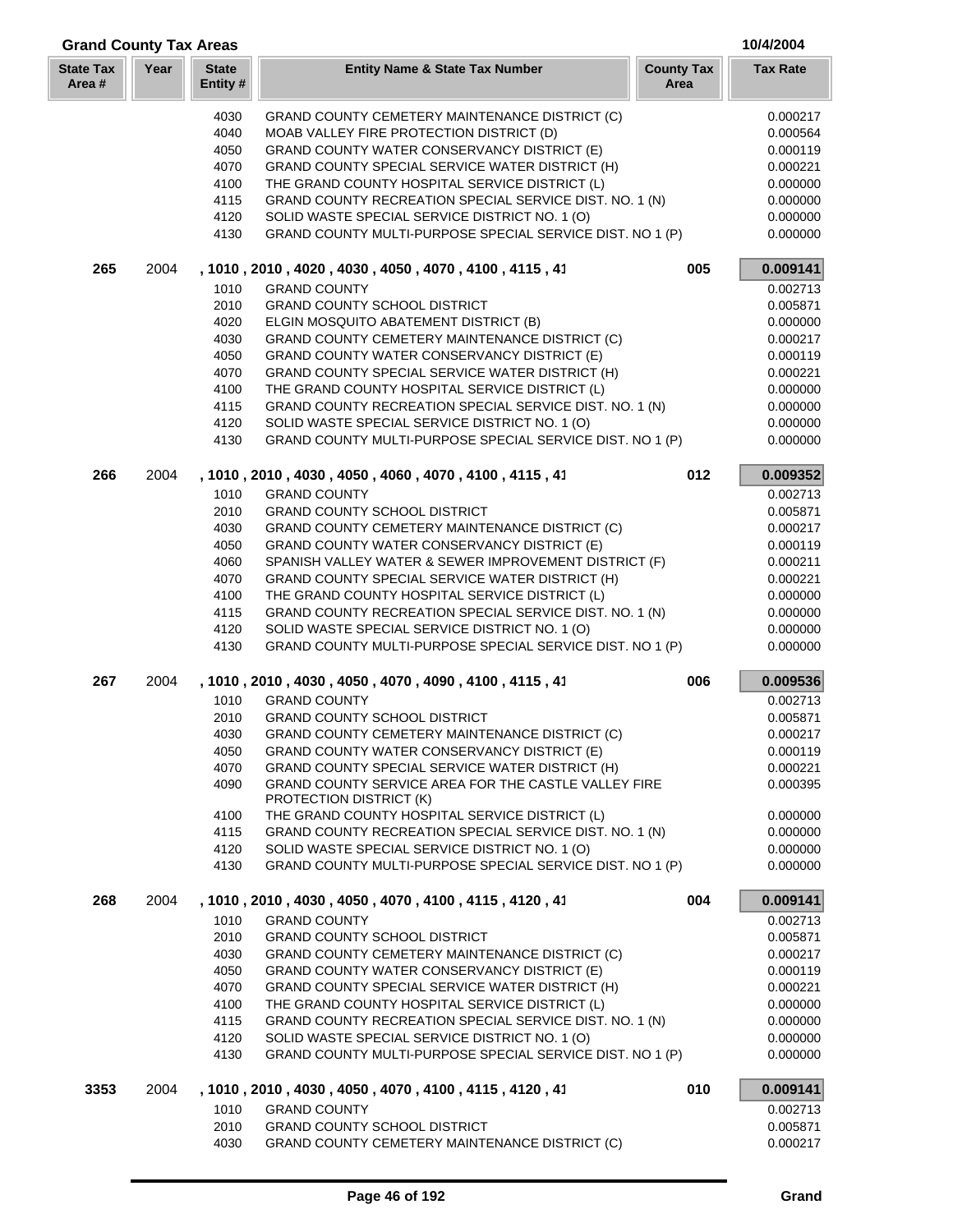| <b>Grand County Tax Areas</b> |      |                         |                                                                                                             |                           | 10/4/2004            |
|-------------------------------|------|-------------------------|-------------------------------------------------------------------------------------------------------------|---------------------------|----------------------|
| <b>State Tax</b><br>Area#     | Year | <b>State</b><br>Entity# | <b>Entity Name &amp; State Tax Number</b>                                                                   | <b>County Tax</b><br>Area | <b>Tax Rate</b>      |
|                               |      | 4030                    | GRAND COUNTY CEMETERY MAINTENANCE DISTRICT (C)                                                              |                           | 0.000217             |
|                               |      | 4040                    | MOAB VALLEY FIRE PROTECTION DISTRICT (D)                                                                    |                           | 0.000564             |
|                               |      | 4050                    | GRAND COUNTY WATER CONSERVANCY DISTRICT (E)                                                                 |                           | 0.000119             |
|                               |      | 4070                    | GRAND COUNTY SPECIAL SERVICE WATER DISTRICT (H)                                                             |                           | 0.000221             |
|                               |      | 4100                    | THE GRAND COUNTY HOSPITAL SERVICE DISTRICT (L)                                                              |                           | 0.000000             |
|                               |      | 4115                    | GRAND COUNTY RECREATION SPECIAL SERVICE DIST. NO. 1 (N)                                                     |                           | 0.000000             |
|                               |      | 4120                    | SOLID WASTE SPECIAL SERVICE DISTRICT NO. 1 (O)                                                              |                           | 0.000000             |
|                               |      | 4130                    | GRAND COUNTY MULTI-PURPOSE SPECIAL SERVICE DIST. NO 1 (P)                                                   |                           | 0.000000             |
| 265                           | 2004 |                         | , 1010, 2010, 4020, 4030, 4050, 4070, 4100, 4115, 41                                                        | 005                       | 0.009141             |
|                               |      | 1010                    | <b>GRAND COUNTY</b>                                                                                         |                           | 0.002713             |
|                               |      | 2010                    | <b>GRAND COUNTY SCHOOL DISTRICT</b>                                                                         |                           | 0.005871             |
|                               |      | 4020                    | ELGIN MOSQUITO ABATEMENT DISTRICT (B)                                                                       |                           | 0.000000             |
|                               |      | 4030                    | GRAND COUNTY CEMETERY MAINTENANCE DISTRICT (C)                                                              |                           | 0.000217             |
|                               |      | 4050                    | <b>GRAND COUNTY WATER CONSERVANCY DISTRICT (E)</b>                                                          |                           | 0.000119             |
|                               |      | 4070<br>4100            | GRAND COUNTY SPECIAL SERVICE WATER DISTRICT (H)<br>THE GRAND COUNTY HOSPITAL SERVICE DISTRICT (L)           |                           | 0.000221<br>0.000000 |
|                               |      | 4115                    | GRAND COUNTY RECREATION SPECIAL SERVICE DIST. NO. 1 (N)                                                     |                           | 0.000000             |
|                               |      | 4120                    | SOLID WASTE SPECIAL SERVICE DISTRICT NO. 1 (O)                                                              |                           | 0.000000             |
|                               |      | 4130                    | GRAND COUNTY MULTI-PURPOSE SPECIAL SERVICE DIST. NO 1 (P)                                                   |                           | 0.000000             |
| 266                           | 2004 |                         | , 1010, 2010, 4030, 4050, 4060, 4070, 4100, 4115, 41                                                        | 012                       | 0.009352             |
|                               |      | 1010                    | <b>GRAND COUNTY</b>                                                                                         |                           | 0.002713             |
|                               |      | 2010                    | GRAND COUNTY SCHOOL DISTRICT                                                                                |                           | 0.005871             |
|                               |      | 4030                    | GRAND COUNTY CEMETERY MAINTENANCE DISTRICT (C)                                                              |                           | 0.000217             |
|                               |      | 4050                    | GRAND COUNTY WATER CONSERVANCY DISTRICT (E)                                                                 |                           | 0.000119             |
|                               |      | 4060                    | SPANISH VALLEY WATER & SEWER IMPROVEMENT DISTRICT (F)                                                       |                           | 0.000211             |
|                               |      | 4070                    | GRAND COUNTY SPECIAL SERVICE WATER DISTRICT (H)                                                             |                           | 0.000221             |
|                               |      | 4100                    | THE GRAND COUNTY HOSPITAL SERVICE DISTRICT (L)                                                              |                           | 0.000000             |
|                               |      | 4115                    | GRAND COUNTY RECREATION SPECIAL SERVICE DIST. NO. 1 (N)                                                     |                           | 0.000000             |
|                               |      | 4120<br>4130            | SOLID WASTE SPECIAL SERVICE DISTRICT NO. 1 (O)<br>GRAND COUNTY MULTI-PURPOSE SPECIAL SERVICE DIST. NO 1 (P) |                           | 0.000000<br>0.000000 |
| 267                           | 2004 |                         | , 1010, 2010, 4030, 4050, 4070, 4090, 4100, 4115, 41                                                        | 006                       | 0.009536             |
|                               |      | 1010                    | <b>GRAND COUNTY</b>                                                                                         |                           | 0.002713             |
|                               |      | 2010                    | <b>GRAND COUNTY SCHOOL DISTRICT</b>                                                                         |                           | 0.005871             |
|                               |      | 4030                    | GRAND COUNTY CEMETERY MAINTENANCE DISTRICT (C)                                                              |                           | 0.000217             |
|                               |      | 4050                    | GRAND COUNTY WATER CONSERVANCY DISTRICT (E)                                                                 |                           | 0.000119             |
|                               |      | 4070                    | GRAND COUNTY SPECIAL SERVICE WATER DISTRICT (H)                                                             |                           | 0.000221             |
|                               |      | 4090                    | GRAND COUNTY SERVICE AREA FOR THE CASTLE VALLEY FIRE                                                        |                           | 0.000395             |
|                               |      |                         | PROTECTION DISTRICT (K)                                                                                     |                           |                      |
|                               |      | 4100                    | THE GRAND COUNTY HOSPITAL SERVICE DISTRICT (L)                                                              |                           | 0.000000             |
|                               |      | 4115                    | GRAND COUNTY RECREATION SPECIAL SERVICE DIST. NO. 1 (N)                                                     |                           | 0.000000             |
|                               |      | 4120<br>4130            | SOLID WASTE SPECIAL SERVICE DISTRICT NO. 1 (O)<br>GRAND COUNTY MULTI-PURPOSE SPECIAL SERVICE DIST. NO 1 (P) |                           | 0.000000<br>0.000000 |
| 268                           | 2004 |                         | , 1010 , 2010 , 4030 , 4050 , 4070 , 4100 , 4115 , 4120 , 41                                                | 004                       | 0.009141             |
|                               |      | 1010                    | <b>GRAND COUNTY</b>                                                                                         |                           | 0.002713             |
|                               |      | 2010                    | <b>GRAND COUNTY SCHOOL DISTRICT</b>                                                                         |                           | 0.005871             |
|                               |      | 4030                    | GRAND COUNTY CEMETERY MAINTENANCE DISTRICT (C)                                                              |                           | 0.000217             |
|                               |      | 4050                    | GRAND COUNTY WATER CONSERVANCY DISTRICT (E)                                                                 |                           | 0.000119             |
|                               |      | 4070                    | GRAND COUNTY SPECIAL SERVICE WATER DISTRICT (H)                                                             |                           | 0.000221             |
|                               |      | 4100                    | THE GRAND COUNTY HOSPITAL SERVICE DISTRICT (L)                                                              |                           | 0.000000             |
|                               |      | 4115                    | GRAND COUNTY RECREATION SPECIAL SERVICE DIST. NO. 1 (N)                                                     |                           | 0.000000             |
|                               |      | 4120                    | SOLID WASTE SPECIAL SERVICE DISTRICT NO. 1 (O)                                                              |                           | 0.000000             |
|                               |      | 4130                    | GRAND COUNTY MULTI-PURPOSE SPECIAL SERVICE DIST. NO 1 (P)                                                   |                           | 0.000000             |
| 3353                          | 2004 |                         | , 1010 , 2010 , 4030 , 4050 , 4070 , 4100 , 4115 , 4120 , 41                                                | 010                       | 0.009141             |
|                               |      | 1010                    | <b>GRAND COUNTY</b>                                                                                         |                           | 0.002713             |
|                               |      | 2010<br>4030            | <b>GRAND COUNTY SCHOOL DISTRICT</b><br>GRAND COUNTY CEMETERY MAINTENANCE DISTRICT (C)                       |                           | 0.005871<br>0.000217 |
|                               |      |                         |                                                                                                             |                           |                      |

L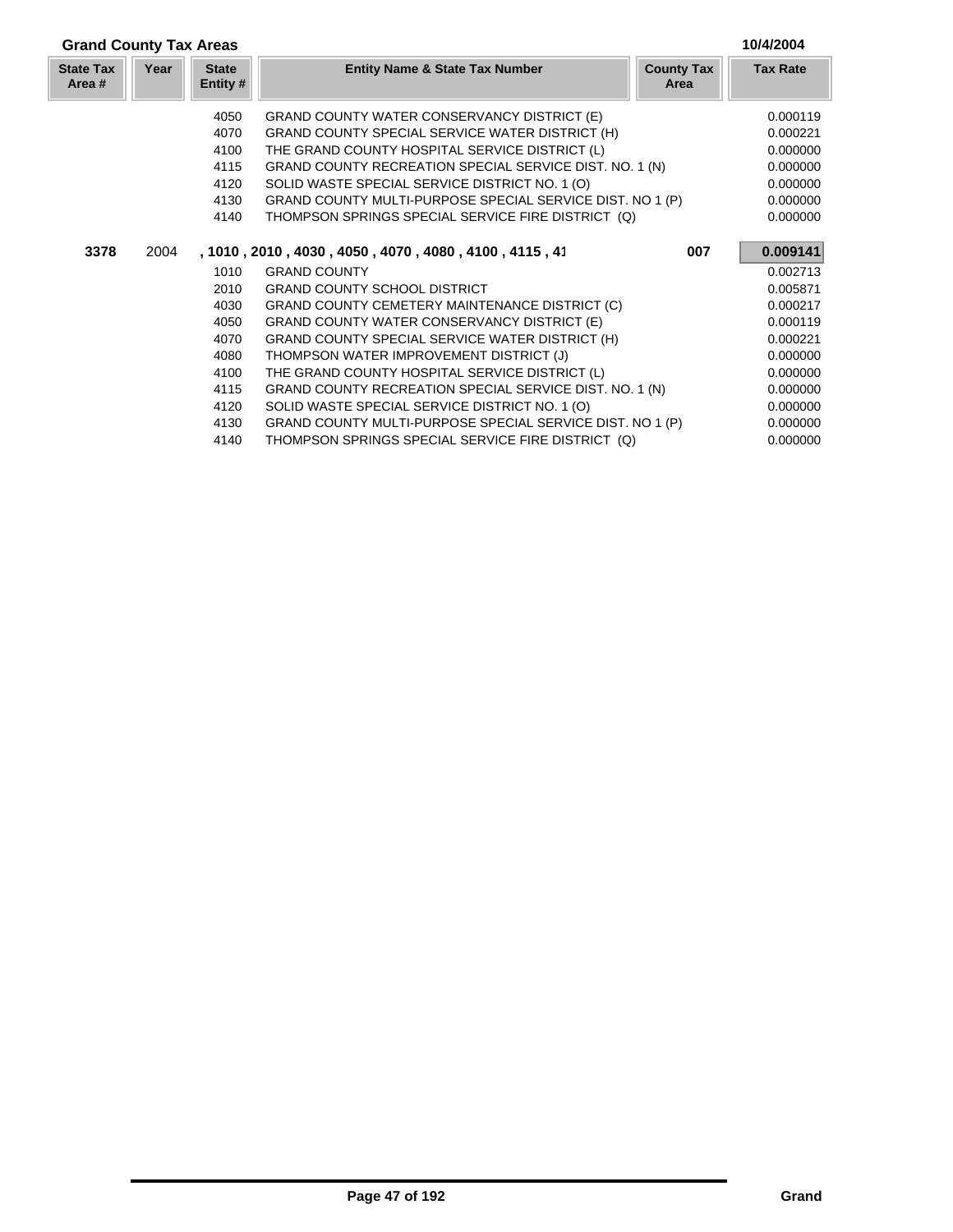| 10/4/2004<br><b>Grand County Tax Areas</b> |      |                          |                                                           |                           |                 |
|--------------------------------------------|------|--------------------------|-----------------------------------------------------------|---------------------------|-----------------|
| <b>State Tax</b><br>Area #                 | Year | <b>State</b><br>Entity # | <b>Entity Name &amp; State Tax Number</b>                 | <b>County Tax</b><br>Area | <b>Tax Rate</b> |
|                                            |      | 4050                     | GRAND COUNTY WATER CONSERVANCY DISTRICT (E)               |                           | 0.000119        |
|                                            |      | 4070                     | GRAND COUNTY SPECIAL SERVICE WATER DISTRICT (H)           |                           | 0.000221        |
|                                            |      | 4100                     | THE GRAND COUNTY HOSPITAL SERVICE DISTRICT (L)            |                           | 0.000000        |
|                                            |      | 4115                     | GRAND COUNTY RECREATION SPECIAL SERVICE DIST. NO. 1 (N)   |                           | 0.000000        |
|                                            |      | 4120                     | SOLID WASTE SPECIAL SERVICE DISTRICT NO. 1 (O)            |                           | 0.000000        |
|                                            |      | 4130                     | GRAND COUNTY MULTI-PURPOSE SPECIAL SERVICE DIST. NO 1 (P) |                           | 0.000000        |
|                                            |      | 4140                     | THOMPSON SPRINGS SPECIAL SERVICE FIRE DISTRICT (Q)        |                           | 0.000000        |
| 3378                                       | 2004 |                          | , 1010, 2010, 4030, 4050, 4070, 4080, 4100, 4115, 41      | 007                       | 0.009141        |
|                                            |      | 1010                     | <b>GRAND COUNTY</b>                                       |                           | 0.002713        |
|                                            |      | 2010                     | <b>GRAND COUNTY SCHOOL DISTRICT</b>                       |                           | 0.005871        |
|                                            |      | 4030                     | GRAND COUNTY CEMETERY MAINTENANCE DISTRICT (C)            |                           | 0.000217        |
|                                            |      | 4050                     | GRAND COUNTY WATER CONSERVANCY DISTRICT (E)               |                           | 0.000119        |
|                                            |      | 4070                     | GRAND COUNTY SPECIAL SERVICE WATER DISTRICT (H)           |                           | 0.000221        |
|                                            |      | 4080                     | THOMPSON WATER IMPROVEMENT DISTRICT (J)                   |                           | 0.000000        |
|                                            |      | 4100                     | THE GRAND COUNTY HOSPITAL SERVICE DISTRICT (L)            |                           | 0.000000        |
|                                            |      | 4115                     | GRAND COUNTY RECREATION SPECIAL SERVICE DIST. NO. 1 (N)   |                           | 0.000000        |
|                                            |      | 4120                     | SOLID WASTE SPECIAL SERVICE DISTRICT NO. 1 (O)            |                           | 0.000000        |
|                                            |      | 4130                     | GRAND COUNTY MULTI-PURPOSE SPECIAL SERVICE DIST. NO 1 (P) |                           | 0.000000        |
|                                            |      | 4140                     | THOMPSON SPRINGS SPECIAL SERVICE FIRE DISTRICT (Q)        |                           | 0.000000        |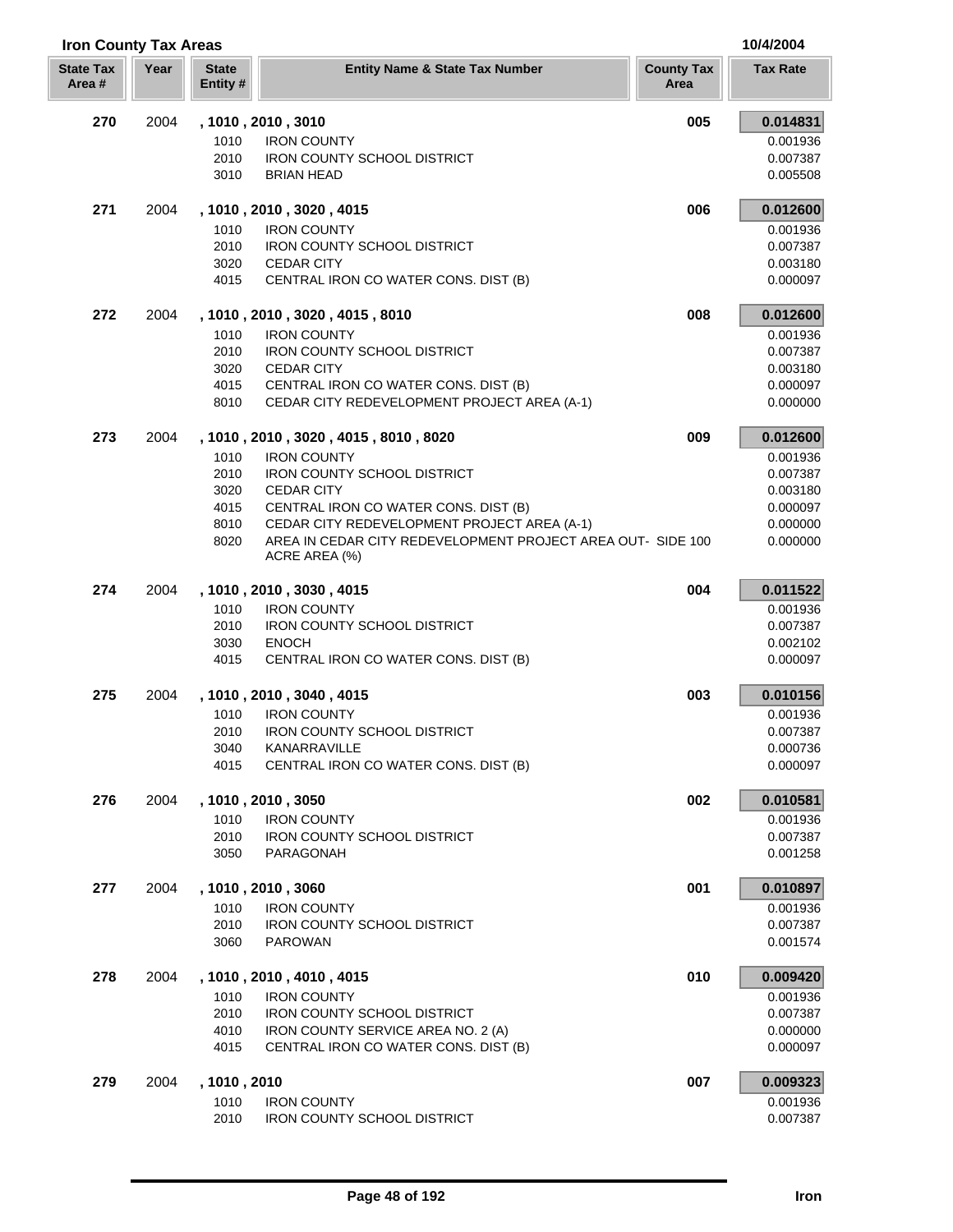| <b>Iron County Tax Areas</b> |      |                         |                                                                              |                           | 10/4/2004            |
|------------------------------|------|-------------------------|------------------------------------------------------------------------------|---------------------------|----------------------|
| <b>State Tax</b><br>Area #   | Year | <b>State</b><br>Entity# | <b>Entity Name &amp; State Tax Number</b>                                    | <b>County Tax</b><br>Area | <b>Tax Rate</b>      |
| 270                          | 2004 |                         | , 1010, 2010, 3010                                                           | 005                       | 0.014831             |
|                              |      | 1010                    | <b>IRON COUNTY</b>                                                           |                           | 0.001936             |
|                              |      | 2010                    | <b>IRON COUNTY SCHOOL DISTRICT</b>                                           |                           | 0.007387             |
|                              |      | 3010                    | <b>BRIAN HEAD</b>                                                            |                           | 0.005508             |
| 271                          | 2004 |                         | , 1010, 2010, 3020, 4015                                                     | 006                       | 0.012600             |
|                              |      | 1010                    | <b>IRON COUNTY</b>                                                           |                           | 0.001936             |
|                              |      | 2010                    | <b>IRON COUNTY SCHOOL DISTRICT</b>                                           |                           | 0.007387             |
|                              |      | 3020<br>4015            | <b>CEDAR CITY</b><br>CENTRAL IRON CO WATER CONS. DIST (B)                    |                           | 0.003180<br>0.000097 |
|                              |      |                         |                                                                              |                           |                      |
| 272                          | 2004 |                         | , 1010, 2010, 3020, 4015, 8010                                               | 008                       | 0.012600             |
|                              |      | 1010<br>2010            | <b>IRON COUNTY</b><br><b>IRON COUNTY SCHOOL DISTRICT</b>                     |                           | 0.001936<br>0.007387 |
|                              |      | 3020                    | <b>CEDAR CITY</b>                                                            |                           | 0.003180             |
|                              |      | 4015                    | CENTRAL IRON CO WATER CONS. DIST (B)                                         |                           | 0.000097             |
|                              |      | 8010                    | CEDAR CITY REDEVELOPMENT PROJECT AREA (A-1)                                  |                           | 0.000000             |
| 273                          | 2004 |                         | , 1010 , 2010 , 3020 , 4015 , 8010 , 8020                                    | 009                       | 0.012600             |
|                              |      | 1010                    | <b>IRON COUNTY</b>                                                           |                           | 0.001936             |
|                              |      | 2010                    | IRON COUNTY SCHOOL DISTRICT                                                  |                           | 0.007387             |
|                              |      | 3020                    | <b>CEDAR CITY</b>                                                            |                           | 0.003180             |
|                              |      | 4015                    | CENTRAL IRON CO WATER CONS. DIST (B)                                         |                           | 0.000097             |
|                              |      | 8010                    | CEDAR CITY REDEVELOPMENT PROJECT AREA (A-1)                                  |                           | 0.000000             |
|                              |      | 8020                    | AREA IN CEDAR CITY REDEVELOPMENT PROJECT AREA OUT- SIDE 100<br>ACRE AREA (%) |                           | 0.000000             |
| 274                          | 2004 |                         | , 1010, 2010, 3030, 4015                                                     | 004                       | 0.011522             |
|                              |      | 1010                    | <b>IRON COUNTY</b>                                                           |                           | 0.001936             |
|                              |      | 2010                    | <b>IRON COUNTY SCHOOL DISTRICT</b>                                           |                           | 0.007387             |
|                              |      | 3030<br>4015            | <b>ENOCH</b><br>CENTRAL IRON CO WATER CONS. DIST (B)                         |                           | 0.002102<br>0.000097 |
|                              |      |                         |                                                                              |                           |                      |
| 275                          | 2004 |                         | , 1010, 2010, 3040, 4015                                                     | 003                       | 0.010156             |
|                              |      | 1010<br>2010            | <b>IRON COUNTY</b><br>IRON COUNTY SCHOOL DISTRICT                            |                           | 0.001936<br>0.007387 |
|                              |      | 3040                    | KANARRAVILLE                                                                 |                           | 0.000736             |
|                              |      | 4015                    | CENTRAL IRON CO WATER CONS. DIST (B)                                         |                           | 0.000097             |
| 276                          | 2004 |                         | , 1010, 2010, 3050                                                           | 002                       | 0.010581             |
|                              |      | 1010                    | <b>IRON COUNTY</b>                                                           |                           | 0.001936             |
|                              |      | 2010                    | <b>IRON COUNTY SCHOOL DISTRICT</b>                                           |                           | 0.007387             |
|                              |      | 3050                    | PARAGONAH                                                                    |                           | 0.001258             |
| 277                          | 2004 |                         | , 1010, 2010, 3060                                                           | 001                       | 0.010897             |
|                              |      | 1010                    | <b>IRON COUNTY</b>                                                           |                           | 0.001936             |
|                              |      | 2010                    | <b>IRON COUNTY SCHOOL DISTRICT</b>                                           |                           | 0.007387             |
|                              |      | 3060                    | <b>PAROWAN</b>                                                               |                           | 0.001574             |
| 278                          | 2004 |                         | , 1010, 2010, 4010, 4015                                                     | 010                       | 0.009420             |
|                              |      | 1010                    | <b>IRON COUNTY</b>                                                           |                           | 0.001936             |
|                              |      | 2010                    | <b>IRON COUNTY SCHOOL DISTRICT</b>                                           |                           | 0.007387             |
|                              |      | 4010                    | IRON COUNTY SERVICE AREA NO. 2 (A)                                           |                           | 0.000000             |
|                              |      | 4015                    | CENTRAL IRON CO WATER CONS. DIST (B)                                         |                           | 0.000097             |
| 279                          | 2004 | , 1010, 2010            |                                                                              | 007                       | 0.009323             |
|                              |      | 1010<br>2010            | <b>IRON COUNTY</b><br><b>IRON COUNTY SCHOOL DISTRICT</b>                     |                           | 0.001936<br>0.007387 |
|                              |      |                         |                                                                              |                           |                      |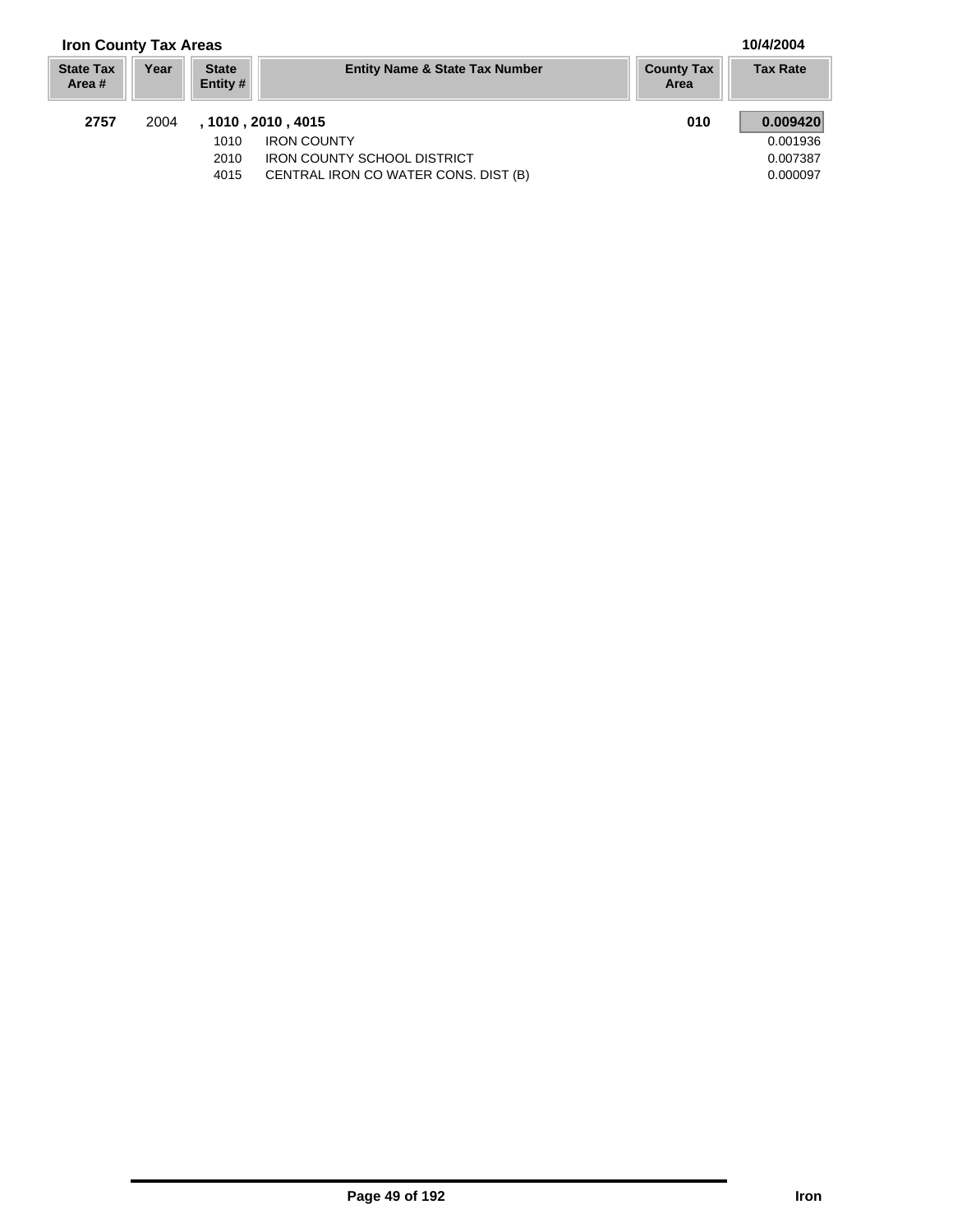# **Iron County Tax Areas 10/4/2004**

U

| <b>State Tax</b><br>Area # | Year | <b>State</b><br>Entity # | <b>Entity Name &amp; State Tax Number</b> | <b>County Tax</b><br>Area | <b>Tax Rate</b> |
|----------------------------|------|--------------------------|-------------------------------------------|---------------------------|-----------------|
| 2757                       | 2004 |                          | , 1010 , 2010 , 4015                      | 010                       | 0.009420        |
|                            |      | 1010                     | <b>IRON COUNTY</b>                        |                           | 0.001936        |
|                            |      | 2010                     | <b>IRON COUNTY SCHOOL DISTRICT</b>        |                           | 0.007387        |
|                            |      | 4015                     | CENTRAL IRON CO WATER CONS. DIST (B)      |                           | 0.000097        |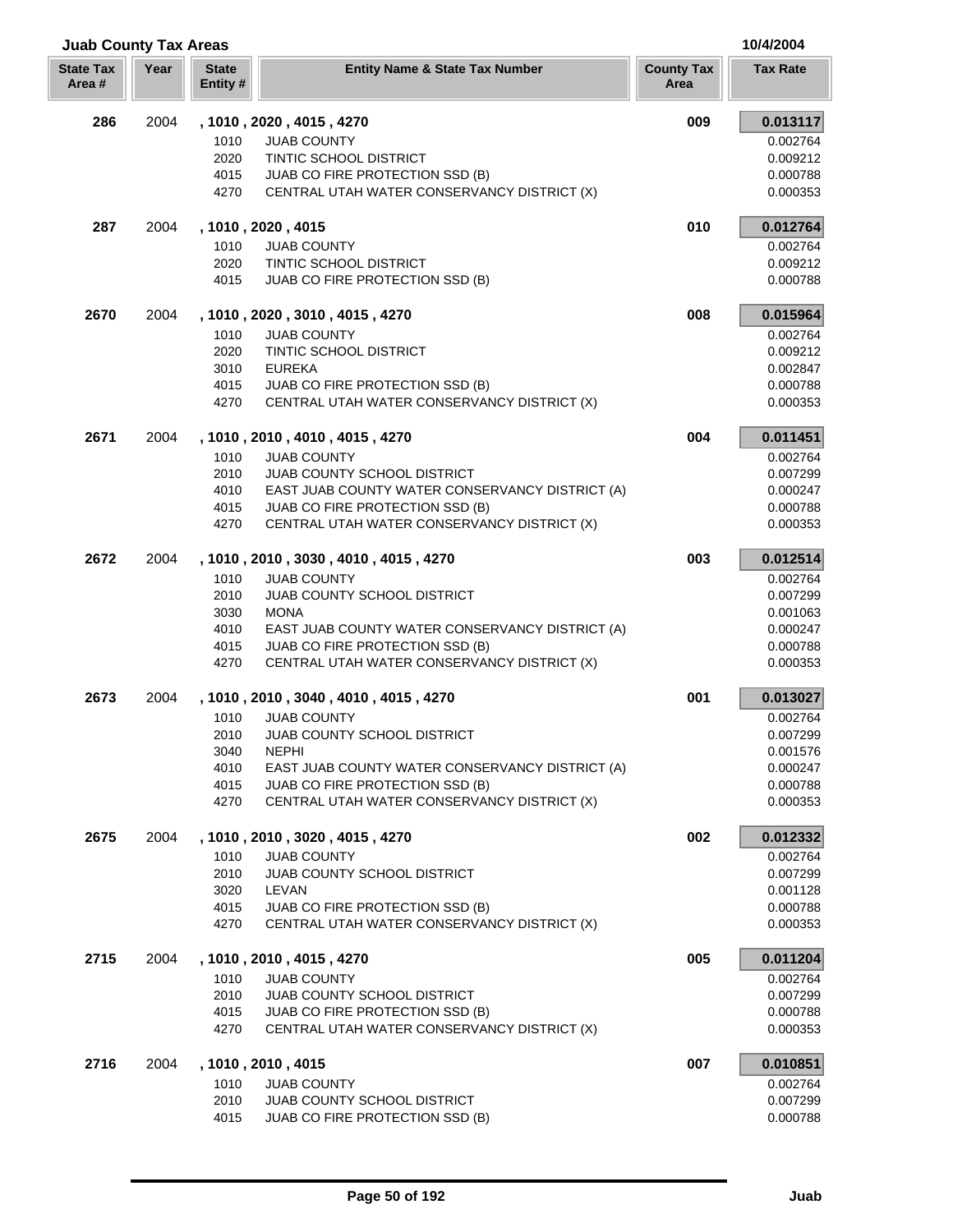| <b>Juab County Tax Areas</b> |      |                          |                                                                                |                           | 10/4/2004            |  |
|------------------------------|------|--------------------------|--------------------------------------------------------------------------------|---------------------------|----------------------|--|
| <b>State Tax</b><br>Area#    | Year | <b>State</b><br>Entity # | <b>Entity Name &amp; State Tax Number</b>                                      | <b>County Tax</b><br>Area | <b>Tax Rate</b>      |  |
| 286                          | 2004 |                          | , 1010 , 2020 , 4015 , 4270                                                    | 009                       | 0.013117             |  |
|                              |      | 1010                     | <b>JUAB COUNTY</b>                                                             |                           | 0.002764             |  |
|                              |      | 2020                     | TINTIC SCHOOL DISTRICT                                                         |                           | 0.009212             |  |
|                              |      | 4015                     | JUAB CO FIRE PROTECTION SSD (B)                                                |                           | 0.000788             |  |
|                              |      | 4270                     | CENTRAL UTAH WATER CONSERVANCY DISTRICT (X)                                    |                           | 0.000353             |  |
| 287                          | 2004 |                          | , 1010, 2020, 4015                                                             | 010                       | 0.012764             |  |
|                              |      | 1010                     | <b>JUAB COUNTY</b>                                                             |                           | 0.002764             |  |
|                              |      | 2020                     | TINTIC SCHOOL DISTRICT                                                         |                           | 0.009212             |  |
|                              |      | 4015                     | JUAB CO FIRE PROTECTION SSD (B)                                                |                           | 0.000788             |  |
| 2670                         | 2004 |                          | , 1010, 2020, 3010, 4015, 4270                                                 | 008                       | 0.015964             |  |
|                              |      | 1010                     | <b>JUAB COUNTY</b>                                                             |                           | 0.002764             |  |
|                              |      | 2020                     | TINTIC SCHOOL DISTRICT                                                         |                           | 0.009212             |  |
|                              |      | 3010                     | <b>EUREKA</b>                                                                  |                           | 0.002847             |  |
|                              |      | 4015<br>4270             | JUAB CO FIRE PROTECTION SSD (B)<br>CENTRAL UTAH WATER CONSERVANCY DISTRICT (X) |                           | 0.000788<br>0.000353 |  |
|                              |      |                          |                                                                                |                           |                      |  |
| 2671                         | 2004 |                          | , 1010 , 2010 , 4010 , 4015 , 4270                                             | 004                       | 0.011451             |  |
|                              |      | 1010                     | <b>JUAB COUNTY</b>                                                             |                           | 0.002764             |  |
|                              |      | 2010                     | JUAB COUNTY SCHOOL DISTRICT                                                    |                           | 0.007299             |  |
|                              |      | 4010                     | EAST JUAB COUNTY WATER CONSERVANCY DISTRICT (A)                                |                           | 0.000247             |  |
|                              |      | 4015                     | JUAB CO FIRE PROTECTION SSD (B)                                                |                           | 0.000788             |  |
|                              |      | 4270                     | CENTRAL UTAH WATER CONSERVANCY DISTRICT (X)                                    |                           | 0.000353             |  |
| 2672                         | 2004 |                          | , 1010, 2010, 3030, 4010, 4015, 4270                                           | 003                       | 0.012514             |  |
|                              |      | 1010                     | <b>JUAB COUNTY</b>                                                             |                           | 0.002764             |  |
|                              |      | 2010                     | <b>JUAB COUNTY SCHOOL DISTRICT</b>                                             |                           | 0.007299             |  |
|                              |      | 3030                     | <b>MONA</b>                                                                    |                           | 0.001063             |  |
|                              |      | 4010                     | EAST JUAB COUNTY WATER CONSERVANCY DISTRICT (A)                                |                           | 0.000247             |  |
|                              |      | 4015<br>4270             | JUAB CO FIRE PROTECTION SSD (B)<br>CENTRAL UTAH WATER CONSERVANCY DISTRICT (X) |                           | 0.000788<br>0.000353 |  |
|                              |      |                          |                                                                                |                           |                      |  |
| 2673                         | 2004 |                          | , 1010, 2010, 3040, 4010, 4015, 4270                                           | 001                       | 0.013027             |  |
|                              |      | 1010                     | <b>JUAB COUNTY</b>                                                             |                           | 0.002764             |  |
|                              |      | 2010                     | JUAB COUNTY SCHOOL DISTRICT                                                    |                           | 0.007299             |  |
|                              |      | 3040<br>4010             | <b>NEPHI</b><br>EAST JUAB COUNTY WATER CONSERVANCY DISTRICT (A)                |                           | 0.001576             |  |
|                              |      | 4015                     | JUAB CO FIRE PROTECTION SSD (B)                                                |                           | 0.000247<br>0.000788 |  |
|                              |      | 4270                     | CENTRAL UTAH WATER CONSERVANCY DISTRICT (X)                                    |                           | 0.000353             |  |
|                              |      |                          |                                                                                |                           |                      |  |
| 2675                         | 2004 |                          | , 1010, 2010, 3020, 4015, 4270                                                 | 002                       | 0.012332             |  |
|                              |      | 1010                     | <b>JUAB COUNTY</b>                                                             |                           | 0.002764             |  |
|                              |      | 2010<br>3020             | JUAB COUNTY SCHOOL DISTRICT<br>LEVAN                                           |                           | 0.007299<br>0.001128 |  |
|                              |      | 4015                     | JUAB CO FIRE PROTECTION SSD (B)                                                |                           | 0.000788             |  |
|                              |      | 4270                     | CENTRAL UTAH WATER CONSERVANCY DISTRICT (X)                                    |                           | 0.000353             |  |
| 2715                         | 2004 |                          | , 1010, 2010, 4015, 4270                                                       | 005                       | 0.011204             |  |
|                              |      | 1010                     | <b>JUAB COUNTY</b>                                                             |                           | 0.002764             |  |
|                              |      | 2010                     | JUAB COUNTY SCHOOL DISTRICT                                                    |                           | 0.007299             |  |
|                              |      | 4015                     | JUAB CO FIRE PROTECTION SSD (B)                                                |                           | 0.000788             |  |
|                              |      | 4270                     | CENTRAL UTAH WATER CONSERVANCY DISTRICT (X)                                    |                           | 0.000353             |  |
| 2716                         | 2004 |                          | , 1010 , 2010 , 4015                                                           | 007                       | 0.010851             |  |
|                              |      | 1010                     | <b>JUAB COUNTY</b>                                                             |                           | 0.002764             |  |
|                              |      | 2010                     | JUAB COUNTY SCHOOL DISTRICT                                                    |                           | 0.007299             |  |
|                              |      | 4015                     | JUAB CO FIRE PROTECTION SSD (B)                                                |                           | 0.000788             |  |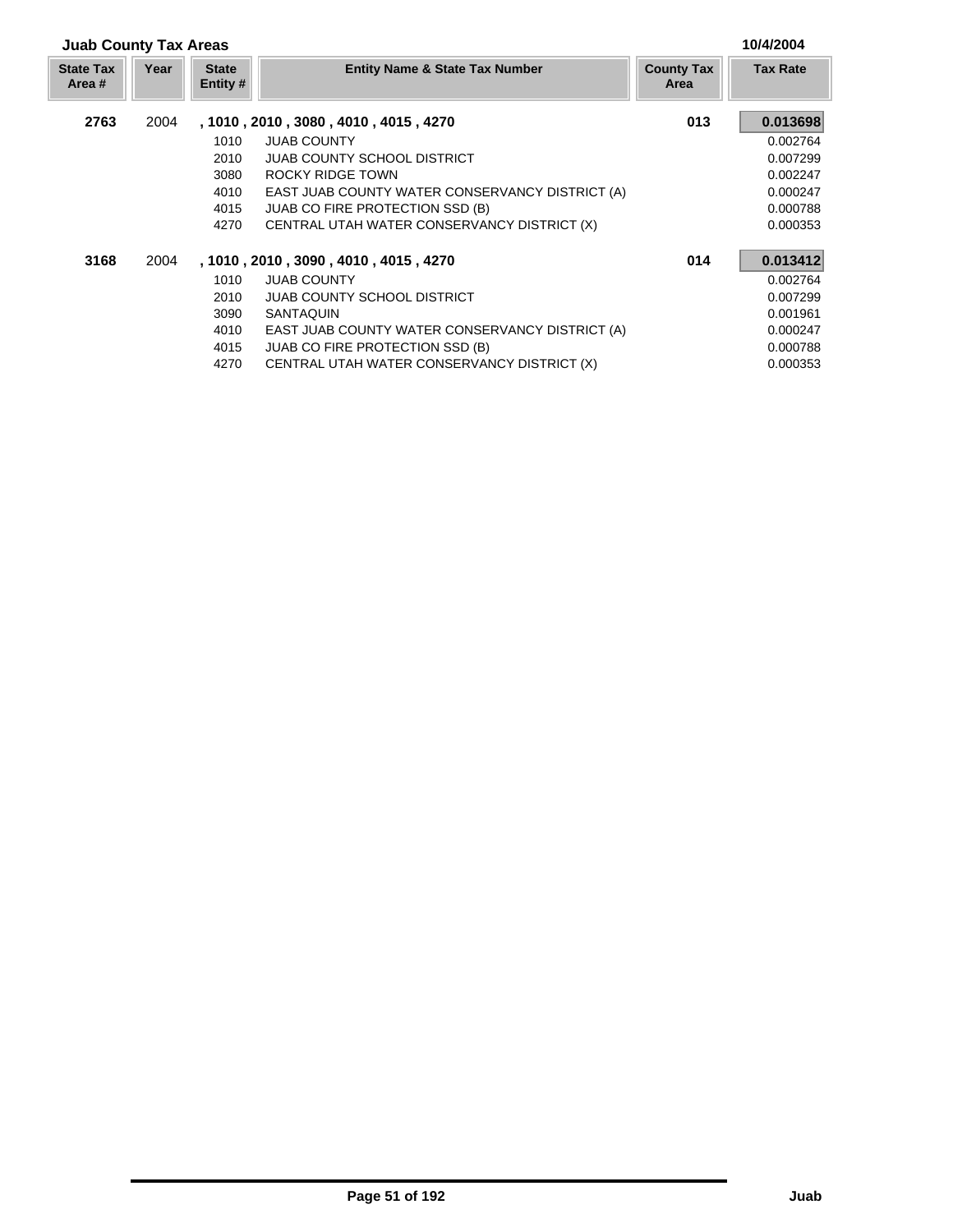| <b>Juab County Tax Areas</b> |      |                          |                                                 |                           | 10/4/2004       |
|------------------------------|------|--------------------------|-------------------------------------------------|---------------------------|-----------------|
| <b>State Tax</b><br>Area #   | Year | <b>State</b><br>Entity # | <b>Entity Name &amp; State Tax Number</b>       | <b>County Tax</b><br>Area | <b>Tax Rate</b> |
| 2763                         | 2004 |                          | , 1010, 2010, 3080, 4010, 4015, 4270            | 013                       | 0.013698        |
|                              |      | 1010                     | <b>JUAB COUNTY</b>                              |                           | 0.002764        |
|                              |      | 2010                     | <b>JUAB COUNTY SCHOOL DISTRICT</b>              |                           | 0.007299        |
|                              |      | 3080                     | ROCKY RIDGE TOWN                                |                           | 0.002247        |
|                              |      | 4010                     | EAST JUAB COUNTY WATER CONSERVANCY DISTRICT (A) |                           | 0.000247        |
|                              |      | 4015                     | <b>JUAB CO FIRE PROTECTION SSD (B)</b>          |                           | 0.000788        |
|                              |      | 4270                     | CENTRAL UTAH WATER CONSERVANCY DISTRICT (X)     |                           | 0.000353        |
| 3168                         | 2004 |                          | , 1010, 2010, 3090, 4010, 4015, 4270            | 014                       | 0.013412        |
|                              |      | 1010                     | <b>JUAB COUNTY</b>                              |                           | 0.002764        |
|                              |      | 2010                     | <b>JUAB COUNTY SCHOOL DISTRICT</b>              |                           | 0.007299        |
|                              |      | 3090                     | SANTAQUIN                                       |                           | 0.001961        |
|                              |      | 4010                     | EAST JUAB COUNTY WATER CONSERVANCY DISTRICT (A) |                           | 0.000247        |
|                              |      | 4015                     | JUAB CO FIRE PROTECTION SSD (B)                 |                           | 0.000788        |
|                              |      | 4270                     | CENTRAL UTAH WATER CONSERVANCY DISTRICT (X)     |                           | 0.000353        |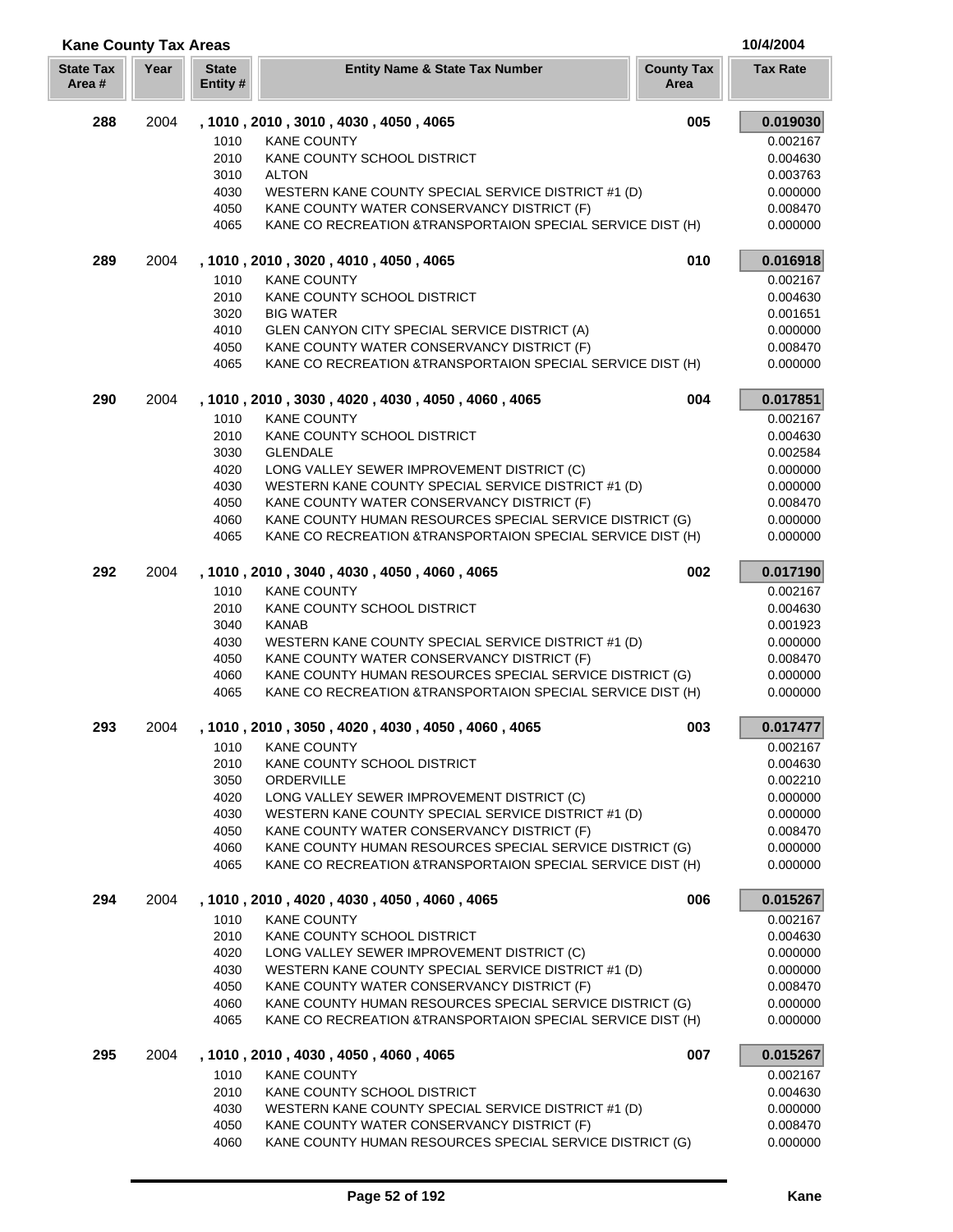| <b>Kane County Tax Areas</b> |      |                          |                                                                                                                         |                           | 10/4/2004            |
|------------------------------|------|--------------------------|-------------------------------------------------------------------------------------------------------------------------|---------------------------|----------------------|
| <b>State Tax</b><br>Area#    | Year | <b>State</b><br>Entity # | <b>Entity Name &amp; State Tax Number</b>                                                                               | <b>County Tax</b><br>Area | <b>Tax Rate</b>      |
| 288                          | 2004 |                          | , 1010, 2010, 3010, 4030, 4050, 4065                                                                                    | 005                       | 0.019030             |
|                              |      | 1010                     | <b>KANE COUNTY</b>                                                                                                      |                           | 0.002167             |
|                              |      | 2010                     | KANE COUNTY SCHOOL DISTRICT                                                                                             |                           | 0.004630             |
|                              |      | 3010                     | <b>ALTON</b>                                                                                                            |                           | 0.003763             |
|                              |      | 4030                     | WESTERN KANE COUNTY SPECIAL SERVICE DISTRICT #1 (D)                                                                     |                           | 0.000000             |
|                              |      | 4050                     | KANE COUNTY WATER CONSERVANCY DISTRICT (F)                                                                              |                           | 0.008470             |
|                              |      | 4065                     | KANE CO RECREATION & TRANSPORTAION SPECIAL SERVICE DIST (H)                                                             |                           | 0.000000             |
| 289                          | 2004 |                          | , 1010, 2010, 3020, 4010, 4050, 4065                                                                                    | 010                       | 0.016918             |
|                              |      | 1010                     | <b>KANE COUNTY</b>                                                                                                      |                           | 0.002167             |
|                              |      | 2010                     | KANE COUNTY SCHOOL DISTRICT                                                                                             |                           | 0.004630             |
|                              |      | 3020                     | <b>BIG WATER</b>                                                                                                        |                           | 0.001651             |
|                              |      | 4010                     | GLEN CANYON CITY SPECIAL SERVICE DISTRICT (A)                                                                           |                           | 0.000000             |
|                              |      | 4050                     | KANE COUNTY WATER CONSERVANCY DISTRICT (F)                                                                              |                           | 0.008470             |
|                              |      | 4065                     | KANE CO RECREATION & TRANSPORTAION SPECIAL SERVICE DIST (H)                                                             |                           | 0.000000             |
| 290                          | 2004 |                          | , 1010, 2010, 3030, 4020, 4030, 4050, 4060, 4065                                                                        | 004                       | 0.017851             |
|                              |      | 1010                     | <b>KANE COUNTY</b>                                                                                                      |                           | 0.002167             |
|                              |      | 2010                     | KANE COUNTY SCHOOL DISTRICT                                                                                             |                           | 0.004630             |
|                              |      | 3030                     | <b>GLENDALE</b>                                                                                                         |                           | 0.002584             |
|                              |      | 4020                     | LONG VALLEY SEWER IMPROVEMENT DISTRICT (C)                                                                              |                           | 0.000000             |
|                              |      | 4030                     | WESTERN KANE COUNTY SPECIAL SERVICE DISTRICT #1 (D)                                                                     |                           | 0.000000             |
|                              |      | 4050                     | KANE COUNTY WATER CONSERVANCY DISTRICT (F)                                                                              |                           | 0.008470             |
|                              |      | 4060                     | KANE COUNTY HUMAN RESOURCES SPECIAL SERVICE DISTRICT (G)                                                                |                           | 0.000000             |
|                              |      | 4065                     | KANE CO RECREATION & TRANSPORTAION SPECIAL SERVICE DIST (H)                                                             |                           | 0.000000             |
| 292                          | 2004 |                          | , 1010, 2010, 3040, 4030, 4050, 4060, 4065                                                                              | 002                       | 0.017190             |
|                              |      | 1010                     | <b>KANE COUNTY</b>                                                                                                      |                           | 0.002167             |
|                              |      | 2010                     | KANE COUNTY SCHOOL DISTRICT                                                                                             |                           | 0.004630             |
|                              |      | 3040                     | <b>KANAB</b>                                                                                                            |                           | 0.001923             |
|                              |      | 4030                     | WESTERN KANE COUNTY SPECIAL SERVICE DISTRICT #1 (D)                                                                     |                           | 0.000000             |
|                              |      | 4050                     | KANE COUNTY WATER CONSERVANCY DISTRICT (F)                                                                              |                           | 0.008470             |
|                              |      | 4060                     | KANE COUNTY HUMAN RESOURCES SPECIAL SERVICE DISTRICT (G)                                                                |                           | 0.000000             |
|                              |      | 4065                     | KANE CO RECREATION & TRANSPORTAION SPECIAL SERVICE DIST (H)                                                             |                           | 0.000000             |
| 293                          | 2004 |                          | , 1010 , 2010 , 3050 , 4020 , 4030 , 4050 , 4060 , 4065                                                                 | 003                       | 0.017477             |
|                              |      | 1010                     | KANE COUNTY                                                                                                             |                           | 0.002167             |
|                              |      | 2010                     | KANE COUNTY SCHOOL DISTRICT                                                                                             |                           | 0.004630             |
|                              |      | 3050                     | ORDERVILLE                                                                                                              |                           | 0.002210             |
|                              |      | 4020                     | LONG VALLEY SEWER IMPROVEMENT DISTRICT (C)                                                                              |                           | 0.000000             |
|                              |      | 4030                     | WESTERN KANE COUNTY SPECIAL SERVICE DISTRICT #1 (D)                                                                     |                           | 0.000000             |
|                              |      | 4050                     | KANE COUNTY WATER CONSERVANCY DISTRICT (F)                                                                              |                           | 0.008470             |
|                              |      | 4060                     | KANE COUNTY HUMAN RESOURCES SPECIAL SERVICE DISTRICT (G)                                                                |                           | 0.000000             |
|                              |      | 4065                     | KANE CO RECREATION & TRANSPORTAION SPECIAL SERVICE DIST (H)                                                             |                           | 0.000000             |
| 294                          | 2004 |                          | , 1010, 2010, 4020, 4030, 4050, 4060, 4065                                                                              | 006                       | 0.015267             |
|                              |      | 1010                     | <b>KANE COUNTY</b>                                                                                                      |                           | 0.002167             |
|                              |      | 2010                     | KANE COUNTY SCHOOL DISTRICT                                                                                             |                           | 0.004630             |
|                              |      | 4020                     | LONG VALLEY SEWER IMPROVEMENT DISTRICT (C)                                                                              |                           | 0.000000             |
|                              |      | 4030                     | WESTERN KANE COUNTY SPECIAL SERVICE DISTRICT #1 (D)                                                                     |                           | 0.000000             |
|                              |      | 4050                     | KANE COUNTY WATER CONSERVANCY DISTRICT (F)                                                                              |                           | 0.008470             |
|                              |      | 4060<br>4065             | KANE COUNTY HUMAN RESOURCES SPECIAL SERVICE DISTRICT (G)<br>KANE CO RECREATION & TRANSPORTAION SPECIAL SERVICE DIST (H) |                           | 0.000000<br>0.000000 |
|                              |      |                          |                                                                                                                         |                           |                      |
| 295                          | 2004 |                          | , 1010, 2010, 4030, 4050, 4060, 4065                                                                                    | 007                       | 0.015267             |
|                              |      | 1010                     | <b>KANE COUNTY</b>                                                                                                      |                           | 0.002167             |
|                              |      | 2010                     | KANE COUNTY SCHOOL DISTRICT                                                                                             |                           | 0.004630             |
|                              |      | 4030<br>4050             | WESTERN KANE COUNTY SPECIAL SERVICE DISTRICT #1 (D)<br>KANE COUNTY WATER CONSERVANCY DISTRICT (F)                       |                           | 0.000000<br>0.008470 |
|                              |      | 4060                     | KANE COUNTY HUMAN RESOURCES SPECIAL SERVICE DISTRICT (G)                                                                |                           | 0.000000             |
|                              |      |                          |                                                                                                                         |                           |                      |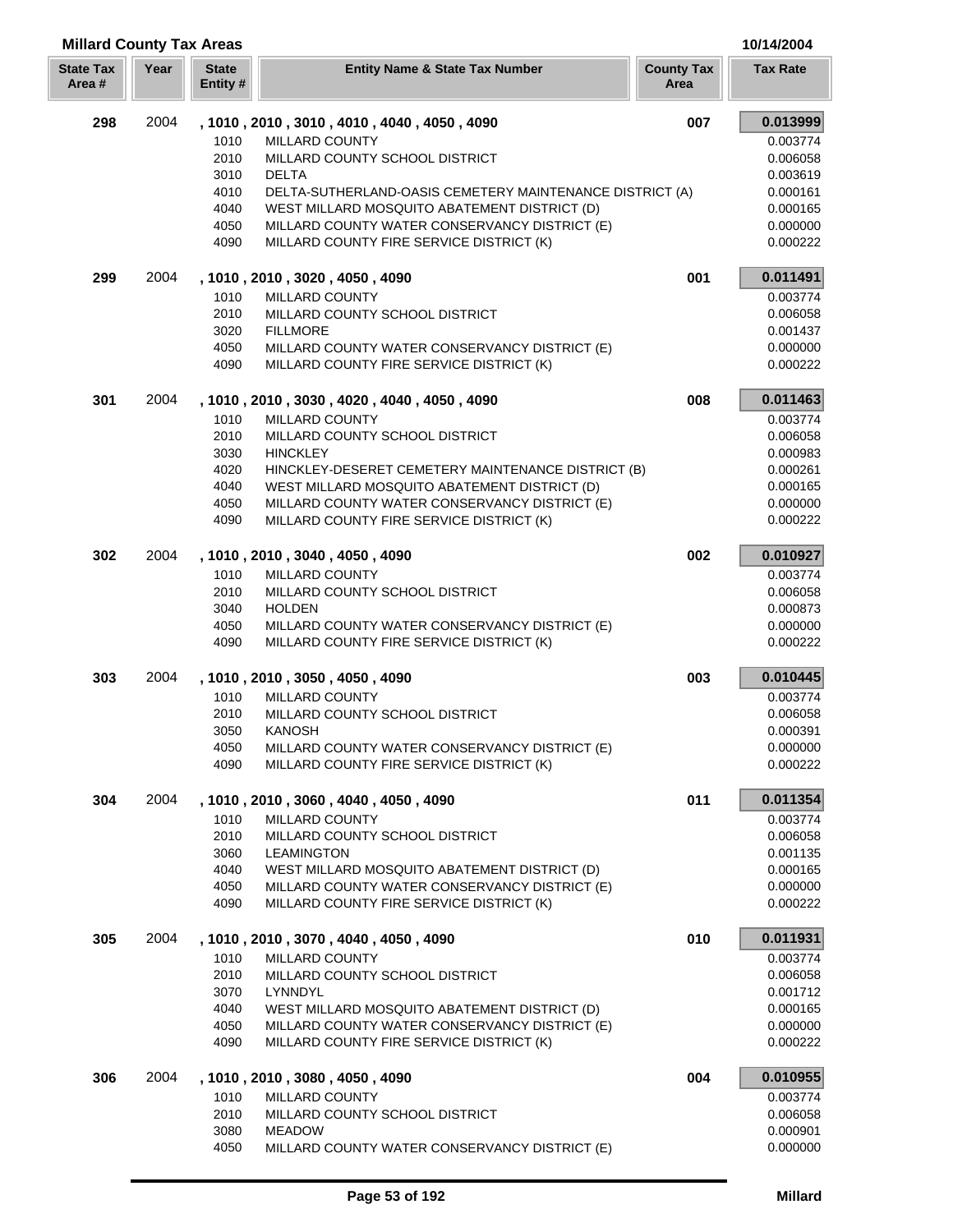## **Millard County Tax Areas 10/14/2004**

| <b>State Tax</b><br>Area # | Year | <b>State</b><br>Entity # | <b>Entity Name &amp; State Tax Number</b>                                                 | <b>County Tax</b><br>Area | <b>Tax Rate</b>      |
|----------------------------|------|--------------------------|-------------------------------------------------------------------------------------------|---------------------------|----------------------|
| 298                        | 2004 |                          | , 1010, 2010, 3010, 4010, 4040, 4050, 4090                                                | 007                       | 0.013999             |
|                            |      | 1010                     | <b>MILLARD COUNTY</b>                                                                     |                           | 0.003774             |
|                            |      | 2010                     | MILLARD COUNTY SCHOOL DISTRICT                                                            |                           | 0.006058             |
|                            |      | 3010                     | <b>DELTA</b>                                                                              |                           | 0.003619             |
|                            |      | 4010                     | DELTA-SUTHERLAND-OASIS CEMETERY MAINTENANCE DISTRICT (A)                                  |                           | 0.000161             |
|                            |      | 4040                     | WEST MILLARD MOSQUITO ABATEMENT DISTRICT (D)                                              |                           | 0.000165             |
|                            |      | 4050                     | MILLARD COUNTY WATER CONSERVANCY DISTRICT (E)                                             |                           | 0.000000             |
|                            |      | 4090                     | MILLARD COUNTY FIRE SERVICE DISTRICT (K)                                                  |                           | 0.000222             |
| 299                        | 2004 |                          | , 1010, 2010, 3020, 4050, 4090                                                            | 001                       | 0.011491             |
|                            |      | 1010                     | MILLARD COUNTY                                                                            |                           | 0.003774             |
|                            |      | 2010                     | MILLARD COUNTY SCHOOL DISTRICT                                                            |                           | 0.006058             |
|                            |      | 3020                     | <b>FILLMORE</b>                                                                           |                           | 0.001437             |
|                            |      | 4050                     | MILLARD COUNTY WATER CONSERVANCY DISTRICT (E)                                             |                           | 0.000000             |
|                            |      | 4090                     | MILLARD COUNTY FIRE SERVICE DISTRICT (K)                                                  |                           | 0.000222             |
| 301                        | 2004 |                          | , 1010, 2010, 3030, 4020, 4040, 4050, 4090                                                | 008                       | 0.011463             |
|                            |      | 1010                     | <b>MILLARD COUNTY</b>                                                                     |                           | 0.003774             |
|                            |      | 2010<br>3030             | MILLARD COUNTY SCHOOL DISTRICT<br><b>HINCKLEY</b>                                         |                           | 0.006058<br>0.000983 |
|                            |      | 4020                     | HINCKLEY-DESERET CEMETERY MAINTENANCE DISTRICT (B)                                        |                           | 0.000261             |
|                            |      | 4040                     | WEST MILLARD MOSQUITO ABATEMENT DISTRICT (D)                                              |                           | 0.000165             |
|                            |      | 4050                     | MILLARD COUNTY WATER CONSERVANCY DISTRICT (E)                                             |                           | 0.000000             |
|                            |      | 4090                     | MILLARD COUNTY FIRE SERVICE DISTRICT (K)                                                  |                           | 0.000222             |
| 302                        | 2004 |                          | , 1010, 2010, 3040, 4050, 4090                                                            | 002                       | 0.010927             |
|                            |      | 1010                     | MILLARD COUNTY                                                                            |                           | 0.003774             |
|                            |      | 2010                     | MILLARD COUNTY SCHOOL DISTRICT                                                            |                           | 0.006058             |
|                            |      | 3040                     | <b>HOLDEN</b>                                                                             |                           | 0.000873             |
|                            |      | 4050                     | MILLARD COUNTY WATER CONSERVANCY DISTRICT (E)                                             |                           | 0.000000             |
|                            |      | 4090                     | MILLARD COUNTY FIRE SERVICE DISTRICT (K)                                                  |                           | 0.000222             |
| 303                        | 2004 |                          | , 1010, 2010, 3050, 4050, 4090                                                            | 003                       | 0.010445             |
|                            |      | 1010                     | <b>MILLARD COUNTY</b>                                                                     |                           | 0.003774             |
|                            |      | 2010                     | MILLARD COUNTY SCHOOL DISTRICT                                                            |                           | 0.006058             |
|                            |      | 3050                     | <b>KANOSH</b>                                                                             |                           | 0.000391             |
|                            |      | 4050                     | MILLARD COUNTY WATER CONSERVANCY DISTRICT (E)                                             |                           | 0.000000             |
|                            |      | 4090                     | MILLARD COUNTY FIRE SERVICE DISTRICT (K)                                                  |                           | 0.000222             |
| 304                        | 2004 |                          | , 1010, 2010, 3060, 4040, 4050, 4090                                                      | 011                       | 0.011354             |
|                            |      | 1010                     | MILLARD COUNTY                                                                            |                           | 0.003774             |
|                            |      | 2010                     | MILLARD COUNTY SCHOOL DISTRICT                                                            |                           | 0.006058             |
|                            |      | 3060                     | <b>LEAMINGTON</b>                                                                         |                           | 0.001135             |
|                            |      | 4040                     | WEST MILLARD MOSQUITO ABATEMENT DISTRICT (D)                                              |                           | 0.000165             |
|                            |      | 4050<br>4090             | MILLARD COUNTY WATER CONSERVANCY DISTRICT (E)<br>MILLARD COUNTY FIRE SERVICE DISTRICT (K) |                           | 0.000000<br>0.000222 |
| 305                        | 2004 |                          | , 1010 , 2010 , 3070 , 4040 , 4050 , 4090                                                 | 010                       | 0.011931             |
|                            |      | 1010                     | <b>MILLARD COUNTY</b>                                                                     |                           | 0.003774             |
|                            |      | 2010                     | MILLARD COUNTY SCHOOL DISTRICT                                                            |                           | 0.006058             |
|                            |      | 3070                     | LYNNDYL                                                                                   |                           | 0.001712             |
|                            |      | 4040                     | WEST MILLARD MOSQUITO ABATEMENT DISTRICT (D)                                              |                           | 0.000165             |
|                            |      | 4050                     | MILLARD COUNTY WATER CONSERVANCY DISTRICT (E)                                             |                           | 0.000000             |
|                            |      | 4090                     | MILLARD COUNTY FIRE SERVICE DISTRICT (K)                                                  |                           | 0.000222             |
| 306                        | 2004 |                          | , 1010, 2010, 3080, 4050, 4090                                                            | 004                       | 0.010955             |
|                            |      | 1010                     | MILLARD COUNTY                                                                            |                           | 0.003774             |
|                            |      | 2010                     | MILLARD COUNTY SCHOOL DISTRICT                                                            |                           | 0.006058             |
|                            |      | 3080                     | <b>MEADOW</b>                                                                             |                           | 0.000901             |
|                            |      | 4050                     | MILLARD COUNTY WATER CONSERVANCY DISTRICT (E)                                             |                           | 0.000000             |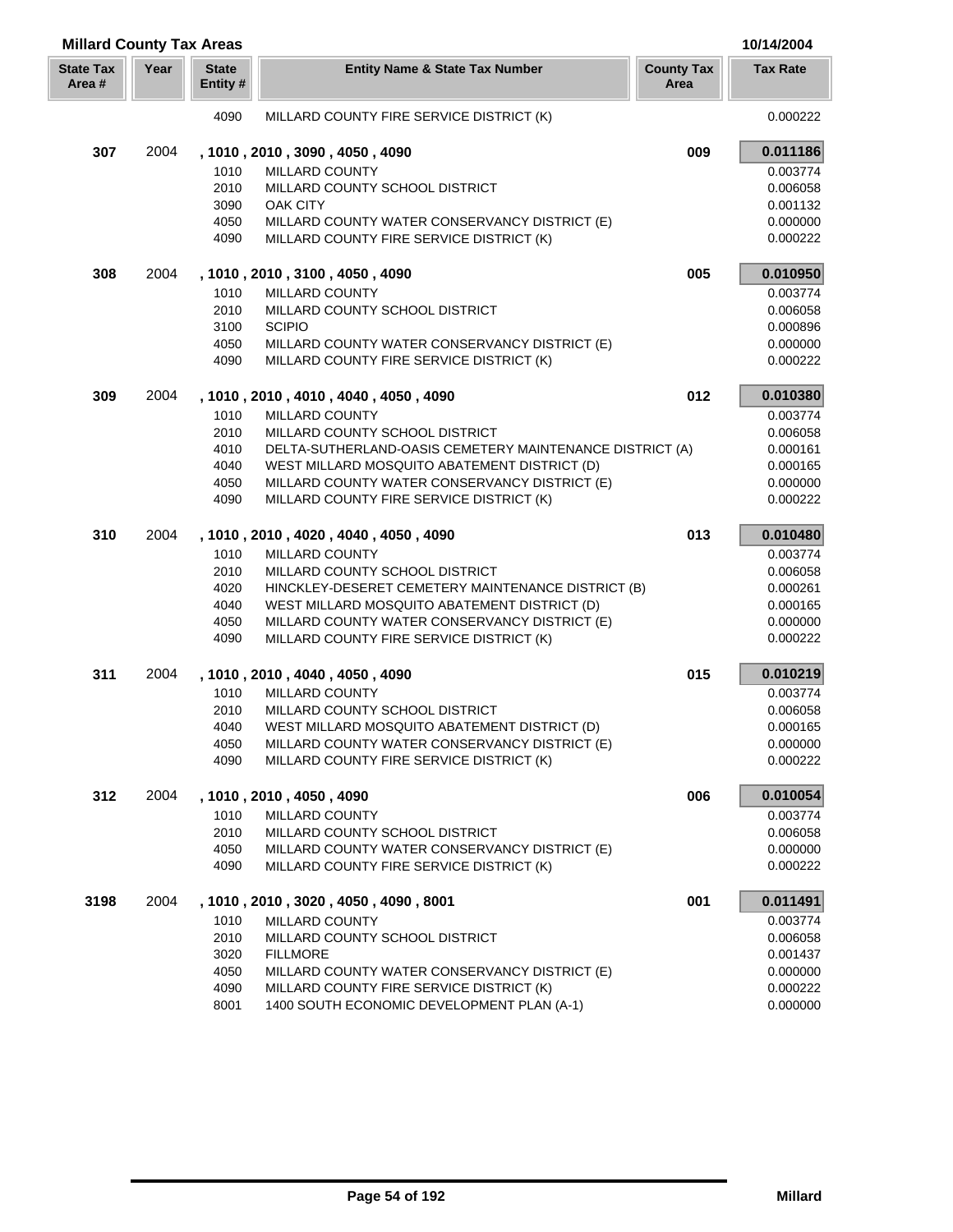| <b>Millard County Tax Areas</b> |      |                          |                                                          |                           | 10/14/2004      |
|---------------------------------|------|--------------------------|----------------------------------------------------------|---------------------------|-----------------|
| <b>State Tax</b><br>Area #      | Year | <b>State</b><br>Entity # | <b>Entity Name &amp; State Tax Number</b>                | <b>County Tax</b><br>Area | <b>Tax Rate</b> |
|                                 |      | 4090                     | MILLARD COUNTY FIRE SERVICE DISTRICT (K)                 |                           | 0.000222        |
| 307                             | 2004 |                          | , 1010, 2010, 3090, 4050, 4090                           | 009                       | 0.011186        |
|                                 |      | 1010                     | MILLARD COUNTY                                           |                           | 0.003774        |
|                                 |      | 2010                     | MILLARD COUNTY SCHOOL DISTRICT                           |                           | 0.006058        |
|                                 |      | 3090                     | OAK CITY                                                 |                           | 0.001132        |
|                                 |      | 4050                     | MILLARD COUNTY WATER CONSERVANCY DISTRICT (E)            |                           | 0.000000        |
|                                 |      | 4090                     | MILLARD COUNTY FIRE SERVICE DISTRICT (K)                 |                           | 0.000222        |
| 308                             | 2004 |                          | , 1010, 2010, 3100, 4050, 4090                           | 005                       | 0.010950        |
|                                 |      | 1010                     | MILLARD COUNTY                                           |                           | 0.003774        |
|                                 |      | 2010                     | MILLARD COUNTY SCHOOL DISTRICT                           |                           | 0.006058        |
|                                 |      | 3100                     | <b>SCIPIO</b>                                            |                           | 0.000896        |
|                                 |      | 4050                     | MILLARD COUNTY WATER CONSERVANCY DISTRICT (E)            |                           | 0.000000        |
|                                 |      | 4090                     | MILLARD COUNTY FIRE SERVICE DISTRICT (K)                 |                           | 0.000222        |
| 309                             | 2004 |                          | , 1010, 2010, 4010, 4040, 4050, 4090                     | 012                       | 0.010380        |
|                                 |      | 1010                     | <b>MILLARD COUNTY</b>                                    |                           | 0.003774        |
|                                 |      | 2010                     | MILLARD COUNTY SCHOOL DISTRICT                           |                           | 0.006058        |
|                                 |      | 4010                     | DELTA-SUTHERLAND-OASIS CEMETERY MAINTENANCE DISTRICT (A) |                           | 0.000161        |
|                                 |      | 4040                     | WEST MILLARD MOSQUITO ABATEMENT DISTRICT (D)             |                           | 0.000165        |
|                                 |      | 4050                     | MILLARD COUNTY WATER CONSERVANCY DISTRICT (E)            |                           | 0.000000        |
|                                 |      | 4090                     | MILLARD COUNTY FIRE SERVICE DISTRICT (K)                 |                           | 0.000222        |
| 310                             | 2004 |                          | , 1010, 2010, 4020, 4040, 4050, 4090                     | 013                       | 0.010480        |
|                                 |      | 1010                     | MILLARD COUNTY                                           |                           | 0.003774        |
|                                 |      | 2010                     | MILLARD COUNTY SCHOOL DISTRICT                           |                           | 0.006058        |
|                                 |      | 4020                     | HINCKLEY-DESERET CEMETERY MAINTENANCE DISTRICT (B)       |                           | 0.000261        |
|                                 |      | 4040                     | WEST MILLARD MOSQUITO ABATEMENT DISTRICT (D)             |                           | 0.000165        |
|                                 |      | 4050                     | MILLARD COUNTY WATER CONSERVANCY DISTRICT (E)            |                           | 0.000000        |
|                                 |      | 4090                     | MILLARD COUNTY FIRE SERVICE DISTRICT (K)                 |                           | 0.000222        |
| 311                             | 2004 |                          | , 1010, 2010, 4040, 4050, 4090                           | 015                       | 0.010219        |
|                                 |      | 1010                     | MILLARD COUNTY                                           |                           | 0.003774        |
|                                 |      | 2010                     | MILLARD COUNTY SCHOOL DISTRICT                           |                           | 0.006058        |
|                                 |      | 4040                     | WEST MILLARD MOSQUITO ABATEMENT DISTRICT (D)             |                           | 0.000165        |
|                                 |      | 4050                     | MILLARD COUNTY WATER CONSERVANCY DISTRICT (E)            |                           | 0.000000        |
|                                 |      | 4090                     | MILLARD COUNTY FIRE SERVICE DISTRICT (K)                 |                           | 0.000222        |
| 312                             | 2004 |                          | , 1010, 2010, 4050, 4090                                 | 006                       | 0.010054        |
|                                 |      | 1010                     | MILLARD COUNTY                                           |                           | 0.003774        |
|                                 |      | 2010                     | MILLARD COUNTY SCHOOL DISTRICT                           |                           | 0.006058        |
|                                 |      | 4050                     | MILLARD COUNTY WATER CONSERVANCY DISTRICT (E)            |                           | 0.000000        |
|                                 |      | 4090                     | MILLARD COUNTY FIRE SERVICE DISTRICT (K)                 |                           | 0.000222        |
| 3198                            | 2004 |                          | , 1010, 2010, 3020, 4050, 4090, 8001                     | 001                       | 0.011491        |
|                                 |      | 1010                     | <b>MILLARD COUNTY</b>                                    |                           | 0.003774        |
|                                 |      | 2010                     | MILLARD COUNTY SCHOOL DISTRICT                           |                           | 0.006058        |
|                                 |      | 3020                     | <b>FILLMORE</b>                                          |                           | 0.001437        |
|                                 |      | 4050                     | MILLARD COUNTY WATER CONSERVANCY DISTRICT (E)            |                           | 0.000000        |
|                                 |      | 4090                     | MILLARD COUNTY FIRE SERVICE DISTRICT (K)                 |                           | 0.000222        |
|                                 |      | 8001                     | 1400 SOUTH ECONOMIC DEVELOPMENT PLAN (A-1)               |                           | 0.000000        |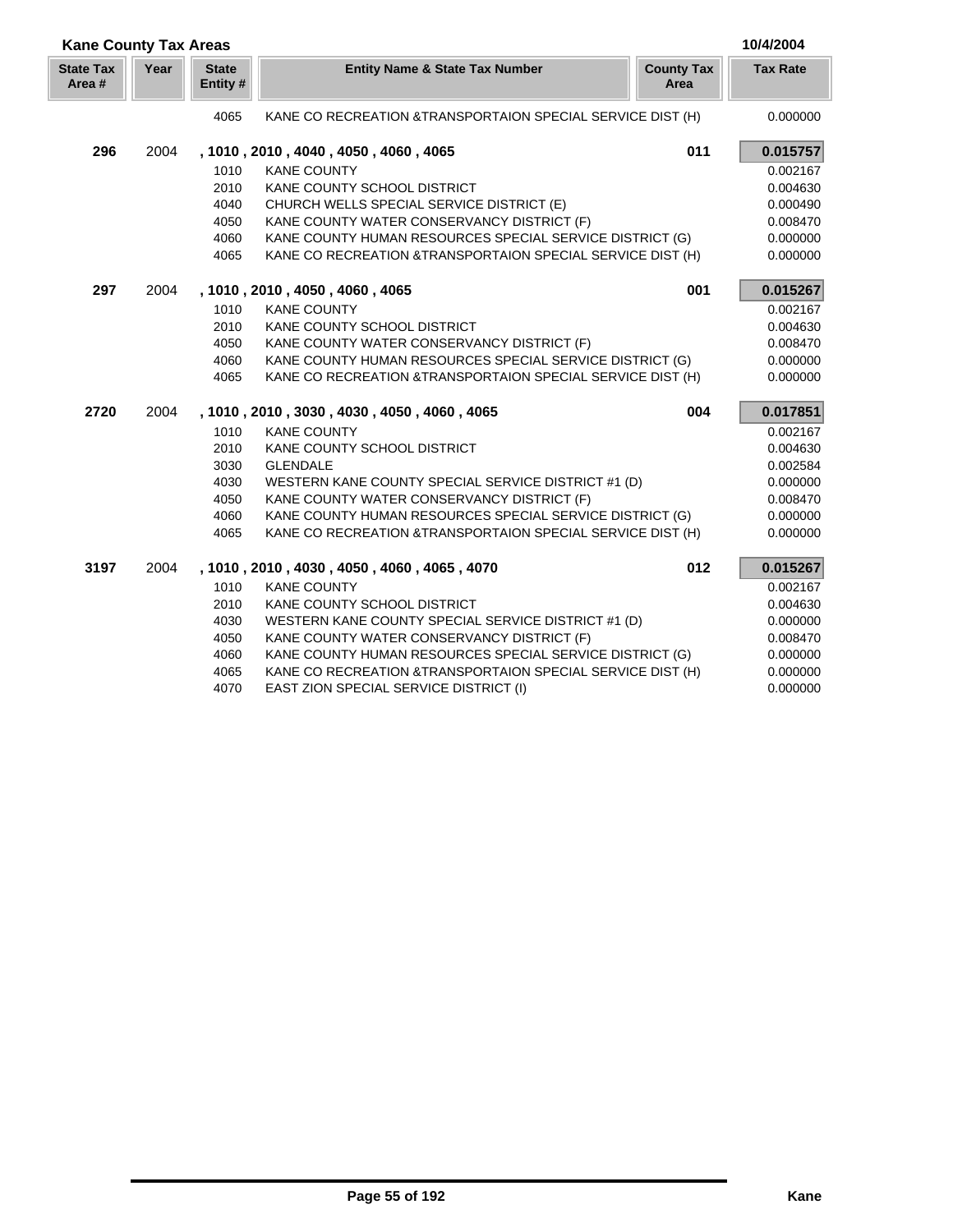| <b>Kane County Tax Areas</b> |      |                          |                                                             |                           | 10/4/2004       |
|------------------------------|------|--------------------------|-------------------------------------------------------------|---------------------------|-----------------|
| <b>State Tax</b><br>Area#    | Year | <b>State</b><br>Entity # | <b>Entity Name &amp; State Tax Number</b>                   | <b>County Tax</b><br>Area | <b>Tax Rate</b> |
|                              |      | 4065                     | KANE CO RECREATION & TRANSPORTAION SPECIAL SERVICE DIST (H) |                           | 0.000000        |
| 296                          | 2004 |                          | , 1010, 2010, 4040, 4050, 4060, 4065                        | 011                       | 0.015757        |
|                              |      | 1010                     | <b>KANE COUNTY</b>                                          |                           | 0.002167        |
|                              |      | 2010                     | KANE COUNTY SCHOOL DISTRICT                                 |                           | 0.004630        |
|                              |      | 4040                     | CHURCH WELLS SPECIAL SERVICE DISTRICT (E)                   |                           | 0.000490        |
|                              |      | 4050                     | KANE COUNTY WATER CONSERVANCY DISTRICT (F)                  |                           | 0.008470        |
|                              |      | 4060                     | KANE COUNTY HUMAN RESOURCES SPECIAL SERVICE DISTRICT (G)    |                           | 0.000000        |
|                              |      | 4065                     | KANE CO RECREATION & TRANSPORTAION SPECIAL SERVICE DIST (H) |                           | 0.000000        |
| 297                          | 2004 |                          | , 1010, 2010, 4050, 4060, 4065                              | 001                       | 0.015267        |
|                              |      | 1010                     | <b>KANE COUNTY</b>                                          |                           | 0.002167        |
|                              |      | 2010                     | KANE COUNTY SCHOOL DISTRICT                                 |                           | 0.004630        |
|                              |      | 4050                     | KANE COUNTY WATER CONSERVANCY DISTRICT (F)                  |                           | 0.008470        |
|                              |      | 4060                     | KANE COUNTY HUMAN RESOURCES SPECIAL SERVICE DISTRICT (G)    |                           | 0.000000        |
|                              |      | 4065                     | KANE CO RECREATION & TRANSPORTAION SPECIAL SERVICE DIST (H) |                           | 0.000000        |
| 2720                         | 2004 |                          | , 1010, 2010, 3030, 4030, 4050, 4060, 4065                  | 004                       | 0.017851        |
|                              |      | 1010                     | <b>KANE COUNTY</b>                                          |                           | 0.002167        |
|                              |      | 2010                     | KANE COUNTY SCHOOL DISTRICT                                 |                           | 0.004630        |
|                              |      | 3030                     | <b>GLENDALE</b>                                             |                           | 0.002584        |
|                              |      | 4030                     | WESTERN KANE COUNTY SPECIAL SERVICE DISTRICT #1 (D)         |                           | 0.000000        |
|                              |      | 4050                     | KANE COUNTY WATER CONSERVANCY DISTRICT (F)                  |                           | 0.008470        |
|                              |      | 4060                     | KANE COUNTY HUMAN RESOURCES SPECIAL SERVICE DISTRICT (G)    |                           | 0.000000        |
|                              |      | 4065                     | KANE CO RECREATION & TRANSPORTAION SPECIAL SERVICE DIST (H) |                           | 0.000000        |
| 3197                         | 2004 |                          | , 1010, 2010, 4030, 4050, 4060, 4065, 4070                  | 012                       | 0.015267        |
|                              |      | 1010                     | <b>KANE COUNTY</b>                                          |                           | 0.002167        |
|                              |      | 2010                     | KANE COUNTY SCHOOL DISTRICT                                 |                           | 0.004630        |
|                              |      | 4030                     | WESTERN KANE COUNTY SPECIAL SERVICE DISTRICT #1 (D)         |                           | 0.000000        |
|                              |      | 4050                     | KANE COUNTY WATER CONSERVANCY DISTRICT (F)                  |                           | 0.008470        |
|                              |      | 4060                     | KANE COUNTY HUMAN RESOURCES SPECIAL SERVICE DISTRICT (G)    |                           | 0.000000        |
|                              |      | 4065                     | KANE CO RECREATION & TRANSPORTAION SPECIAL SERVICE DIST (H) |                           | 0.000000        |
|                              |      | 4070                     | EAST ZION SPECIAL SERVICE DISTRICT (I)                      |                           | 0.000000        |

Г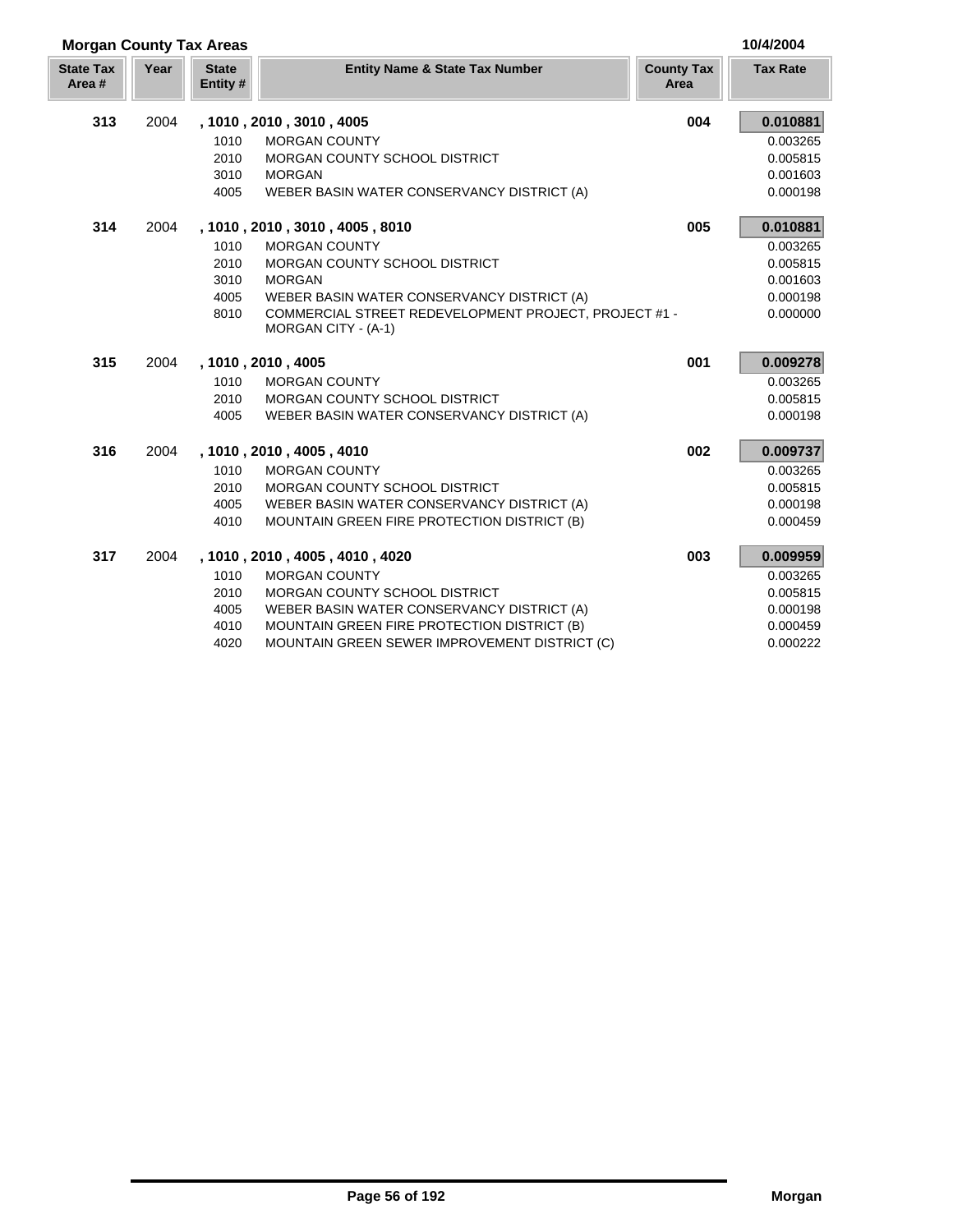| <b>Morgan County Tax Areas</b> |      |                          |                                                                              |                           | 10/4/2004       |
|--------------------------------|------|--------------------------|------------------------------------------------------------------------------|---------------------------|-----------------|
| <b>State Tax</b><br>Area#      | Year | <b>State</b><br>Entity # | <b>Entity Name &amp; State Tax Number</b>                                    | <b>County Tax</b><br>Area | <b>Tax Rate</b> |
| 313                            | 2004 |                          | , 1010, 2010, 3010, 4005                                                     | 004                       | 0.010881        |
|                                |      | 1010                     | <b>MORGAN COUNTY</b>                                                         |                           | 0.003265        |
|                                |      | 2010                     | MORGAN COUNTY SCHOOL DISTRICT                                                |                           | 0.005815        |
|                                |      | 3010                     | <b>MORGAN</b>                                                                |                           | 0.001603        |
|                                |      | 4005                     | WEBER BASIN WATER CONSERVANCY DISTRICT (A)                                   |                           | 0.000198        |
| 314                            | 2004 |                          | , 1010, 2010, 3010, 4005, 8010                                               | 005                       | 0.010881        |
|                                |      | 1010                     | <b>MORGAN COUNTY</b>                                                         |                           | 0.003265        |
|                                |      | 2010                     | MORGAN COUNTY SCHOOL DISTRICT                                                |                           | 0.005815        |
|                                |      | 3010                     | <b>MORGAN</b>                                                                |                           | 0.001603        |
|                                |      | 4005                     | WEBER BASIN WATER CONSERVANCY DISTRICT (A)                                   |                           | 0.000198        |
|                                |      | 8010                     | COMMERCIAL STREET REDEVELOPMENT PROJECT, PROJECT #1 -<br>MORGAN CITY - (A-1) |                           | 0.000000        |
| 315                            | 2004 |                          | , 1010, 2010, 4005                                                           | 001                       | 0.009278        |
|                                |      | 1010                     | <b>MORGAN COUNTY</b>                                                         |                           | 0.003265        |
|                                |      | 2010                     | MORGAN COUNTY SCHOOL DISTRICT                                                |                           | 0.005815        |
|                                |      | 4005                     | WEBER BASIN WATER CONSERVANCY DISTRICT (A)                                   |                           | 0.000198        |
| 316                            | 2004 |                          | , 1010, 2010, 4005, 4010                                                     | 002                       | 0.009737        |
|                                |      | 1010                     | <b>MORGAN COUNTY</b>                                                         |                           | 0.003265        |
|                                |      | 2010                     | MORGAN COUNTY SCHOOL DISTRICT                                                |                           | 0.005815        |
|                                |      | 4005                     | WEBER BASIN WATER CONSERVANCY DISTRICT (A)                                   |                           | 0.000198        |
|                                |      | 4010                     | MOUNTAIN GREEN FIRE PROTECTION DISTRICT (B)                                  |                           | 0.000459        |
| 317                            | 2004 |                          | , 1010, 2010, 4005, 4010, 4020                                               | 003                       | 0.009959        |
|                                |      | 1010                     | <b>MORGAN COUNTY</b>                                                         |                           | 0.003265        |
|                                |      | 2010                     | MORGAN COUNTY SCHOOL DISTRICT                                                |                           | 0.005815        |
|                                |      | 4005                     | WEBER BASIN WATER CONSERVANCY DISTRICT (A)                                   |                           | 0.000198        |
|                                |      | 4010                     | MOUNTAIN GREEN FIRE PROTECTION DISTRICT (B)                                  |                           | 0.000459        |
|                                |      | 4020                     | MOUNTAIN GREEN SEWER IMPROVEMENT DISTRICT (C)                                |                           | 0.000222        |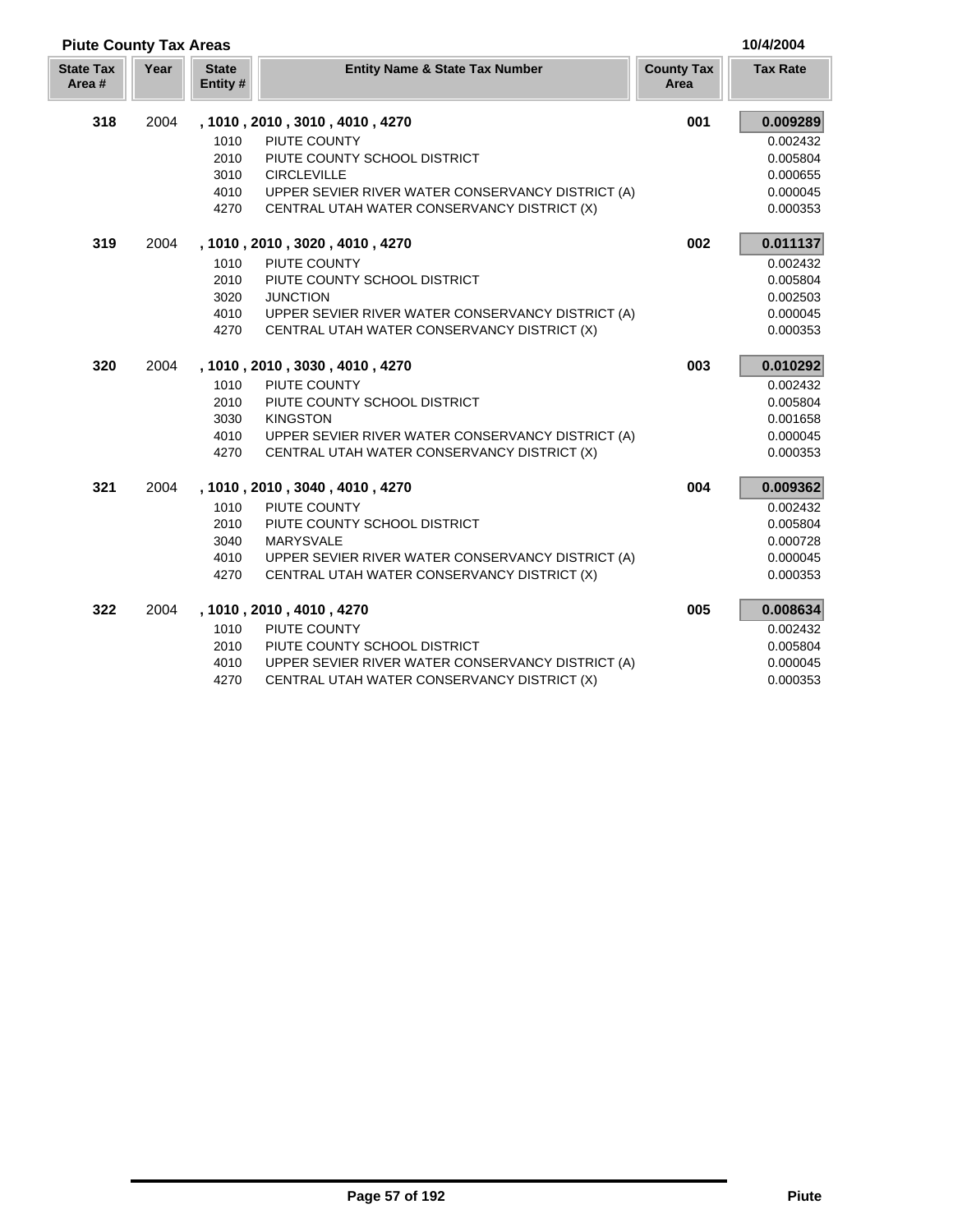|                            | <b>Piute County Tax Areas</b> |                         |                                                   |                           |                 |  |  |
|----------------------------|-------------------------------|-------------------------|---------------------------------------------------|---------------------------|-----------------|--|--|
| <b>State Tax</b><br>Area # | Year                          | <b>State</b><br>Entity# | <b>Entity Name &amp; State Tax Number</b>         | <b>County Tax</b><br>Area | <b>Tax Rate</b> |  |  |
| 318                        | 2004                          |                         | , 1010, 2010, 3010, 4010, 4270                    | 001                       | 0.009289        |  |  |
|                            |                               | 1010                    | PIUTE COUNTY                                      |                           | 0.002432        |  |  |
|                            |                               | 2010                    | PIUTE COUNTY SCHOOL DISTRICT                      |                           | 0.005804        |  |  |
|                            |                               | 3010                    | <b>CIRCLEVILLE</b>                                |                           | 0.000655        |  |  |
|                            |                               | 4010                    | UPPER SEVIER RIVER WATER CONSERVANCY DISTRICT (A) |                           | 0.000045        |  |  |
|                            |                               | 4270                    | CENTRAL UTAH WATER CONSERVANCY DISTRICT (X)       |                           | 0.000353        |  |  |
| 319                        | 2004                          |                         | , 1010, 2010, 3020, 4010, 4270                    | 002                       | 0.011137        |  |  |
|                            |                               | 1010                    | PIUTE COUNTY                                      |                           | 0.002432        |  |  |
|                            |                               | 2010                    | PIUTE COUNTY SCHOOL DISTRICT                      |                           | 0.005804        |  |  |
|                            |                               | 3020                    | <b>JUNCTION</b>                                   |                           | 0.002503        |  |  |
|                            |                               | 4010                    | UPPER SEVIER RIVER WATER CONSERVANCY DISTRICT (A) |                           | 0.000045        |  |  |
|                            |                               | 4270                    | CENTRAL UTAH WATER CONSERVANCY DISTRICT (X)       |                           | 0.000353        |  |  |
| 320                        | 2004                          |                         | , 1010, 2010, 3030, 4010, 4270                    | 003                       | 0.010292        |  |  |
|                            |                               | 1010                    | PIUTE COUNTY                                      |                           | 0.002432        |  |  |
|                            |                               | 2010                    | PIUTE COUNTY SCHOOL DISTRICT                      |                           | 0.005804        |  |  |
|                            |                               | 3030                    | <b>KINGSTON</b>                                   |                           | 0.001658        |  |  |
|                            |                               | 4010                    | UPPER SEVIER RIVER WATER CONSERVANCY DISTRICT (A) |                           | 0.000045        |  |  |
|                            |                               | 4270                    | CENTRAL UTAH WATER CONSERVANCY DISTRICT (X)       |                           | 0.000353        |  |  |
| 321                        | 2004                          |                         | , 1010, 2010, 3040, 4010, 4270                    | 004                       | 0.009362        |  |  |
|                            |                               | 1010                    | PIUTE COUNTY                                      |                           | 0.002432        |  |  |
|                            |                               | 2010                    | PIUTE COUNTY SCHOOL DISTRICT                      |                           | 0.005804        |  |  |
|                            |                               | 3040                    | <b>MARYSVALE</b>                                  |                           | 0.000728        |  |  |
|                            |                               | 4010                    | UPPER SEVIER RIVER WATER CONSERVANCY DISTRICT (A) |                           | 0.000045        |  |  |
|                            |                               | 4270                    | CENTRAL UTAH WATER CONSERVANCY DISTRICT (X)       |                           | 0.000353        |  |  |
| 322                        | 2004                          |                         | , 1010, 2010, 4010, 4270                          | 005                       | 0.008634        |  |  |
|                            |                               | 1010                    | PIUTE COUNTY                                      |                           | 0.002432        |  |  |
|                            |                               | 2010                    | PIUTE COUNTY SCHOOL DISTRICT                      |                           | 0.005804        |  |  |
|                            |                               | 4010                    | UPPER SEVIER RIVER WATER CONSERVANCY DISTRICT (A) |                           | 0.000045        |  |  |
|                            |                               | 4270                    | CENTRAL UTAH WATER CONSERVANCY DISTRICT (X)       |                           | 0.000353        |  |  |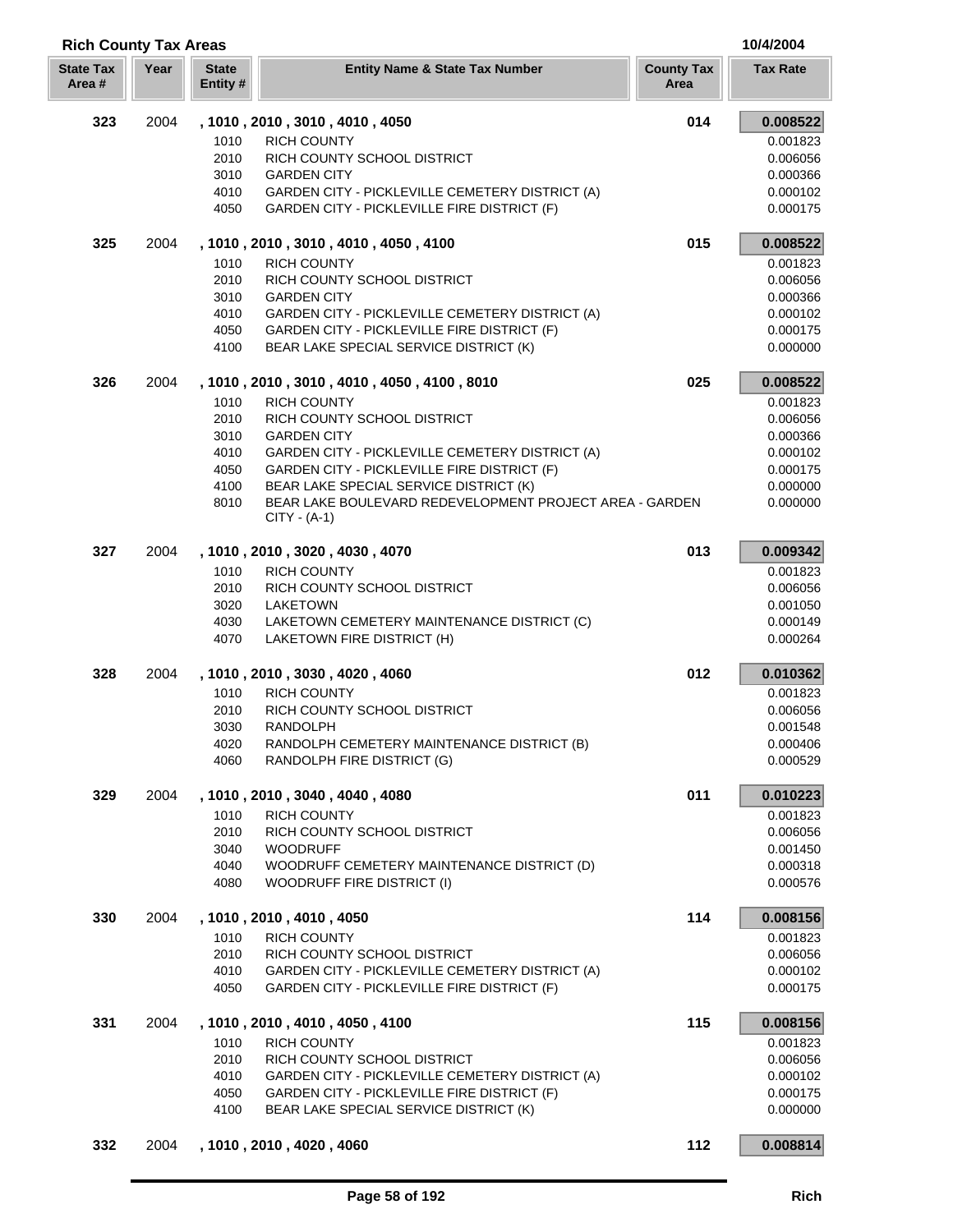| <b>Rich County Tax Areas</b> |      |                         |                                                                                                              |                           | 10/4/2004            |
|------------------------------|------|-------------------------|--------------------------------------------------------------------------------------------------------------|---------------------------|----------------------|
| <b>State Tax</b><br>Area#    | Year | <b>State</b><br>Entity# | <b>Entity Name &amp; State Tax Number</b>                                                                    | <b>County Tax</b><br>Area | <b>Tax Rate</b>      |
| 323                          | 2004 |                         | , 1010, 2010, 3010, 4010, 4050                                                                               | 014                       | 0.008522             |
|                              |      | 1010                    | <b>RICH COUNTY</b>                                                                                           |                           | 0.001823             |
|                              |      | 2010                    | RICH COUNTY SCHOOL DISTRICT                                                                                  |                           | 0.006056             |
|                              |      | 3010                    | <b>GARDEN CITY</b>                                                                                           |                           | 0.000366             |
|                              |      | 4010                    | <b>GARDEN CITY - PICKLEVILLE CEMETERY DISTRICT (A)</b>                                                       |                           | 0.000102             |
|                              |      | 4050                    | GARDEN CITY - PICKLEVILLE FIRE DISTRICT (F)                                                                  |                           | 0.000175             |
| 325                          | 2004 |                         | , 1010, 2010, 3010, 4010, 4050, 4100                                                                         | 015                       | 0.008522             |
|                              |      | 1010                    | <b>RICH COUNTY</b>                                                                                           |                           | 0.001823             |
|                              |      | 2010                    | RICH COUNTY SCHOOL DISTRICT                                                                                  |                           | 0.006056             |
|                              |      | 3010<br>4010            | <b>GARDEN CITY</b>                                                                                           |                           | 0.000366             |
|                              |      | 4050                    | <b>GARDEN CITY - PICKLEVILLE CEMETERY DISTRICT (A)</b><br>GARDEN CITY - PICKLEVILLE FIRE DISTRICT (F)        |                           | 0.000102<br>0.000175 |
|                              |      | 4100                    | BEAR LAKE SPECIAL SERVICE DISTRICT (K)                                                                       |                           | 0.000000             |
| 326                          | 2004 |                         | , 1010, 2010, 3010, 4010, 4050, 4100, 8010                                                                   | 025                       | 0.008522             |
|                              |      | 1010                    | <b>RICH COUNTY</b>                                                                                           |                           | 0.001823             |
|                              |      | 2010                    | RICH COUNTY SCHOOL DISTRICT                                                                                  |                           | 0.006056             |
|                              |      | 3010                    | <b>GARDEN CITY</b>                                                                                           |                           | 0.000366             |
|                              |      | 4010                    | GARDEN CITY - PICKLEVILLE CEMETERY DISTRICT (A)                                                              |                           | 0.000102             |
|                              |      | 4050                    | GARDEN CITY - PICKLEVILLE FIRE DISTRICT (F)                                                                  |                           | 0.000175             |
|                              |      | 4100                    | BEAR LAKE SPECIAL SERVICE DISTRICT (K)<br>BEAR LAKE BOULEVARD REDEVELOPMENT PROJECT AREA - GARDEN            |                           | 0.000000             |
|                              |      | 8010                    | $CITY - (A-1)$                                                                                               |                           | 0.000000             |
| 327                          | 2004 |                         | , 1010, 2010, 3020, 4030, 4070                                                                               | 013                       | 0.009342             |
|                              |      | 1010                    | <b>RICH COUNTY</b>                                                                                           |                           | 0.001823             |
|                              |      | 2010                    | RICH COUNTY SCHOOL DISTRICT                                                                                  |                           | 0.006056             |
|                              |      | 3020                    | LAKETOWN                                                                                                     |                           | 0.001050             |
|                              |      | 4030                    | LAKETOWN CEMETERY MAINTENANCE DISTRICT (C)                                                                   |                           | 0.000149             |
|                              |      | 4070                    | LAKETOWN FIRE DISTRICT (H)                                                                                   |                           | 0.000264             |
| 328                          | 2004 |                         | , 1010, 2010, 3030, 4020, 4060                                                                               | 012                       | 0.010362             |
|                              |      | 1010                    | <b>RICH COUNTY</b>                                                                                           |                           | 0.001823             |
|                              |      | 2010<br>3030            | RICH COUNTY SCHOOL DISTRICT<br><b>RANDOLPH</b>                                                               |                           | 0.006056<br>0.001548 |
|                              |      | 4020                    | RANDOLPH CEMETERY MAINTENANCE DISTRICT (B)                                                                   |                           | 0.000406             |
|                              |      | 4060                    | RANDOLPH FIRE DISTRICT (G)                                                                                   |                           | 0.000529             |
| 329                          | 2004 |                         | , 1010, 2010, 3040, 4040, 4080                                                                               | 011                       | 0.010223             |
|                              |      | 1010                    | <b>RICH COUNTY</b>                                                                                           |                           | 0.001823             |
|                              |      | 2010                    | RICH COUNTY SCHOOL DISTRICT                                                                                  |                           | 0.006056             |
|                              |      | 3040                    | <b>WOODRUFF</b>                                                                                              |                           | 0.001450             |
|                              |      | 4040                    | WOODRUFF CEMETERY MAINTENANCE DISTRICT (D)                                                                   |                           | 0.000318             |
|                              |      | 4080                    | WOODRUFF FIRE DISTRICT (I)                                                                                   |                           | 0.000576             |
| 330                          | 2004 |                         | , 1010, 2010, 4010, 4050                                                                                     | 114                       | 0.008156             |
|                              |      | 1010                    | <b>RICH COUNTY</b>                                                                                           |                           | 0.001823             |
|                              |      | 2010                    | RICH COUNTY SCHOOL DISTRICT                                                                                  |                           | 0.006056             |
|                              |      | 4010<br>4050            | <b>GARDEN CITY - PICKLEVILLE CEMETERY DISTRICT (A)</b><br><b>GARDEN CITY - PICKLEVILLE FIRE DISTRICT (F)</b> |                           | 0.000102<br>0.000175 |
| 331                          | 2004 |                         | , 1010, 2010, 4010, 4050, 4100                                                                               | 115                       | 0.008156             |
|                              |      | 1010                    | <b>RICH COUNTY</b>                                                                                           |                           | 0.001823             |
|                              |      | 2010                    | RICH COUNTY SCHOOL DISTRICT                                                                                  |                           | 0.006056             |
|                              |      | 4010                    | GARDEN CITY - PICKLEVILLE CEMETERY DISTRICT (A)                                                              |                           | 0.000102             |
|                              |      | 4050                    | <b>GARDEN CITY - PICKLEVILLE FIRE DISTRICT (F)</b>                                                           |                           | 0.000175             |
|                              |      | 4100                    | BEAR LAKE SPECIAL SERVICE DISTRICT (K)                                                                       |                           | 0.000000             |
| 332                          | 2004 |                         | , 1010, 2010, 4020, 4060                                                                                     | 112                       | 0.008814             |

L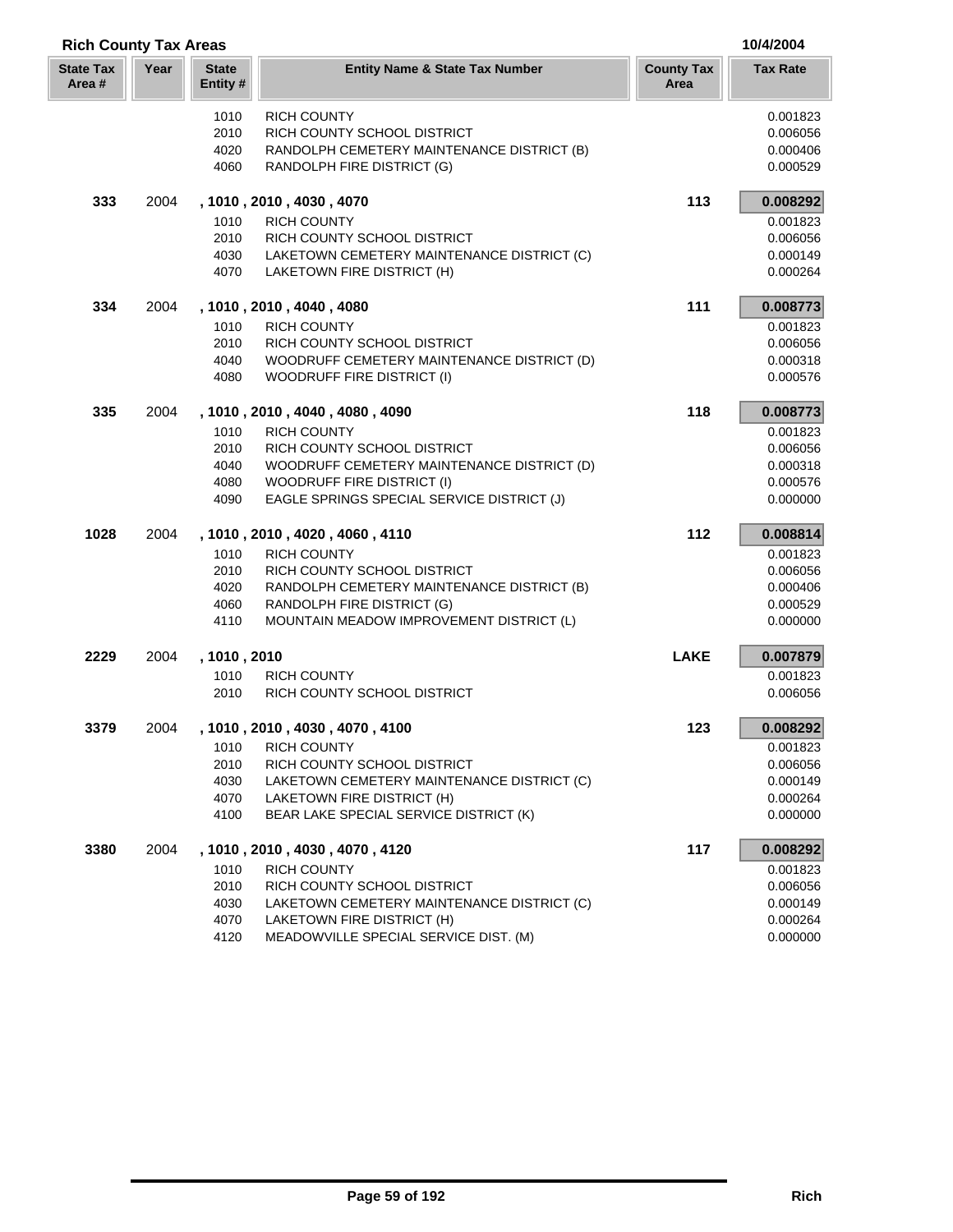| <b>Rich County Tax Areas</b> |      |                          |                                            |                           |                 |
|------------------------------|------|--------------------------|--------------------------------------------|---------------------------|-----------------|
| <b>State Tax</b><br>Area #   | Year | <b>State</b><br>Entity # | <b>Entity Name &amp; State Tax Number</b>  | <b>County Tax</b><br>Area | <b>Tax Rate</b> |
|                              |      | 1010                     | <b>RICH COUNTY</b>                         |                           | 0.001823        |
|                              |      | 2010                     | RICH COUNTY SCHOOL DISTRICT                |                           | 0.006056        |
|                              |      | 4020                     | RANDOLPH CEMETERY MAINTENANCE DISTRICT (B) |                           | 0.000406        |
|                              |      | 4060                     | RANDOLPH FIRE DISTRICT (G)                 |                           | 0.000529        |
| 333                          | 2004 |                          | , 1010, 2010, 4030, 4070                   | 113                       | 0.008292        |
|                              |      | 1010                     | <b>RICH COUNTY</b>                         |                           | 0.001823        |
|                              |      | 2010                     | RICH COUNTY SCHOOL DISTRICT                |                           | 0.006056        |
|                              |      | 4030                     | LAKETOWN CEMETERY MAINTENANCE DISTRICT (C) |                           | 0.000149        |
|                              |      | 4070                     | LAKETOWN FIRE DISTRICT (H)                 |                           | 0.000264        |
| 334                          | 2004 |                          | , 1010, 2010, 4040, 4080                   | 111                       | 0.008773        |
|                              |      | 1010                     | <b>RICH COUNTY</b>                         |                           | 0.001823        |
|                              |      | 2010                     | RICH COUNTY SCHOOL DISTRICT                |                           | 0.006056        |
|                              |      | 4040                     | WOODRUFF CEMETERY MAINTENANCE DISTRICT (D) |                           | 0.000318        |
|                              |      | 4080                     | <b>WOODRUFF FIRE DISTRICT (I)</b>          |                           | 0.000576        |
| 335                          | 2004 |                          | , 1010, 2010, 4040, 4080, 4090             | 118                       | 0.008773        |
|                              |      | 1010                     | <b>RICH COUNTY</b>                         |                           | 0.001823        |
|                              |      | 2010                     | RICH COUNTY SCHOOL DISTRICT                |                           | 0.006056        |
|                              |      | 4040                     | WOODRUFF CEMETERY MAINTENANCE DISTRICT (D) |                           | 0.000318        |
|                              |      | 4080                     | <b>WOODRUFF FIRE DISTRICT (I)</b>          |                           | 0.000576        |
|                              |      | 4090                     | EAGLE SPRINGS SPECIAL SERVICE DISTRICT (J) |                           | 0.000000        |
| 1028                         | 2004 |                          | , 1010, 2010, 4020, 4060, 4110             | 112                       | 0.008814        |
|                              |      | 1010                     | <b>RICH COUNTY</b>                         |                           | 0.001823        |
|                              |      | 2010                     | RICH COUNTY SCHOOL DISTRICT                |                           | 0.006056        |
|                              |      | 4020                     | RANDOLPH CEMETERY MAINTENANCE DISTRICT (B) |                           | 0.000406        |
|                              |      | 4060                     | RANDOLPH FIRE DISTRICT (G)                 |                           | 0.000529        |
|                              |      | 4110                     | MOUNTAIN MEADOW IMPROVEMENT DISTRICT (L)   |                           | 0.000000        |
| 2229                         | 2004 | , 1010, 2010             |                                            | <b>LAKE</b>               | 0.007879        |
|                              |      | 1010                     | <b>RICH COUNTY</b>                         |                           | 0.001823        |
|                              |      | 2010                     | RICH COUNTY SCHOOL DISTRICT                |                           | 0.006056        |
| 3379                         | 2004 |                          | , 1010 , 2010 , 4030 , 4070 , 4100         | 123                       | 0.008292        |
|                              |      | 1010                     | <b>RICH COUNTY</b>                         |                           | 0.001823        |
|                              |      | 2010                     | RICH COUNTY SCHOOL DISTRICT                |                           | 0.006056        |
|                              |      | 4030                     | LAKETOWN CEMETERY MAINTENANCE DISTRICT (C) |                           | 0.000149        |
|                              |      | 4070                     | LAKETOWN FIRE DISTRICT (H)                 |                           | 0.000264        |
|                              |      | 4100                     | BEAR LAKE SPECIAL SERVICE DISTRICT (K)     |                           | 0.000000        |
| 3380                         | 2004 |                          | , 1010, 2010, 4030, 4070, 4120             | 117                       | 0.008292        |
|                              |      | 1010                     | <b>RICH COUNTY</b>                         |                           | 0.001823        |
|                              |      | 2010                     | RICH COUNTY SCHOOL DISTRICT                |                           | 0.006056        |
|                              |      | 4030                     | LAKETOWN CEMETERY MAINTENANCE DISTRICT (C) |                           | 0.000149        |
|                              |      | 4070                     | LAKETOWN FIRE DISTRICT (H)                 |                           | 0.000264        |

4120 MEADOWVILLE SPECIAL SERVICE DIST. (M) 0.000000 0.000000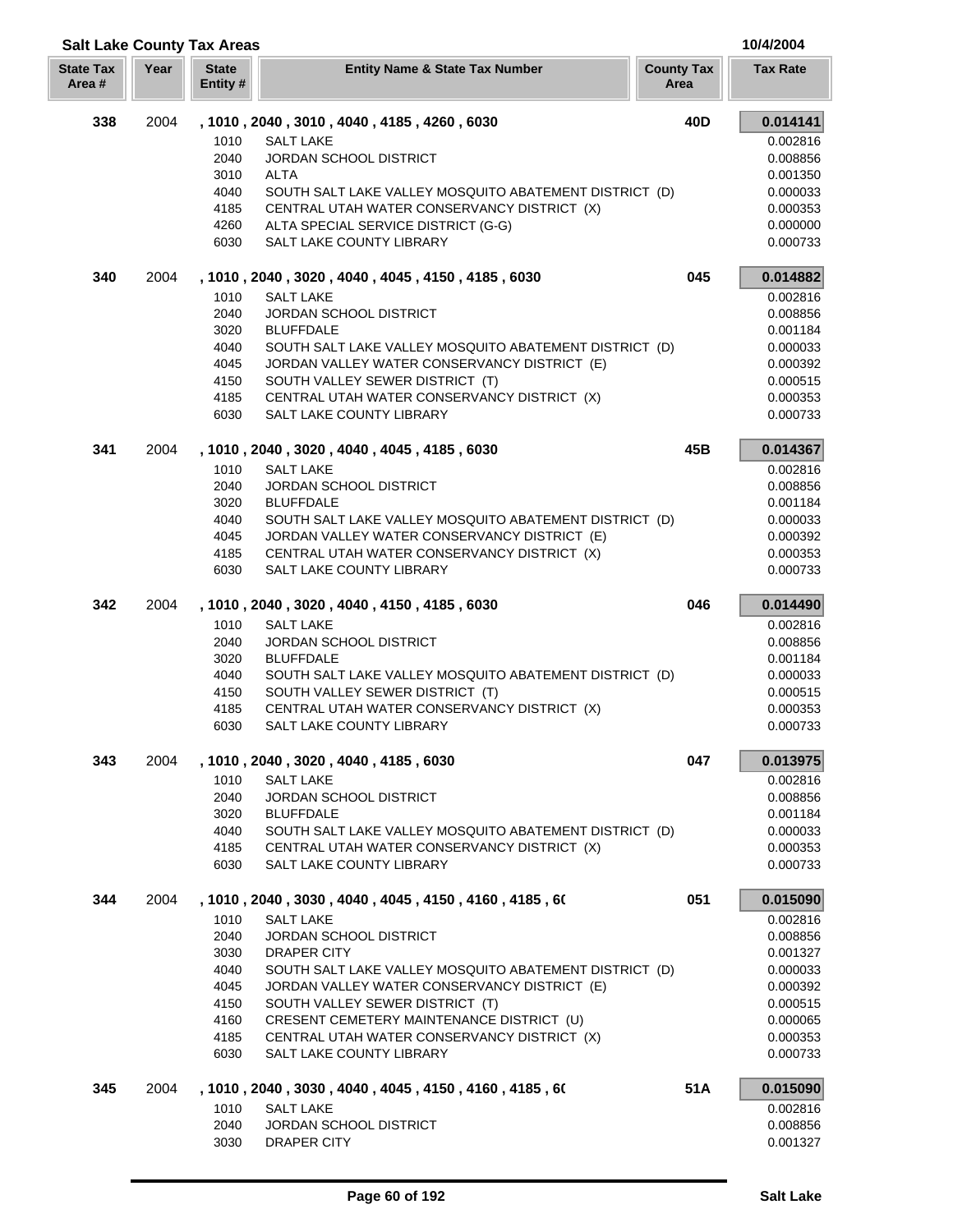| Area # |      | Entity #     |                                                                              | Area            |                      |
|--------|------|--------------|------------------------------------------------------------------------------|-----------------|----------------------|
| 338    | 2004 |              | , 1010, 2040, 3010, 4040, 4185, 4260, 6030                                   | 40 <sub>D</sub> | 0.014141             |
|        |      | 1010         | <b>SALT LAKE</b>                                                             |                 | 0.002816             |
|        |      | 2040         | <b>JORDAN SCHOOL DISTRICT</b>                                                |                 | 0.008856             |
|        |      | 3010         | ALTA                                                                         |                 | 0.001350             |
|        |      | 4040         | SOUTH SALT LAKE VALLEY MOSQUITO ABATEMENT DISTRICT (D)                       |                 | 0.000033             |
|        |      | 4185         | CENTRAL UTAH WATER CONSERVANCY DISTRICT (X)                                  |                 | 0.000353             |
|        |      | 4260         | ALTA SPECIAL SERVICE DISTRICT (G-G)                                          |                 | 0.000000             |
|        |      | 6030         | SALT LAKE COUNTY LIBRARY                                                     |                 | 0.000733             |
| 340    | 2004 |              | , 1010, 2040, 3020, 4040, 4045, 4150, 4185, 6030                             | 045             | 0.014882             |
|        |      | 1010         | <b>SALT LAKE</b>                                                             |                 | 0.002816             |
|        |      | 2040         | <b>JORDAN SCHOOL DISTRICT</b>                                                |                 | 0.008856             |
|        |      | 3020         | <b>BLUFFDALE</b>                                                             |                 | 0.001184             |
|        |      | 4040         | SOUTH SALT LAKE VALLEY MOSQUITO ABATEMENT DISTRICT (D)                       |                 | 0.000033             |
|        |      | 4045         | JORDAN VALLEY WATER CONSERVANCY DISTRICT (E)                                 |                 | 0.000392             |
|        |      | 4150         | SOUTH VALLEY SEWER DISTRICT (T)                                              |                 | 0.000515             |
|        |      | 4185         | CENTRAL UTAH WATER CONSERVANCY DISTRICT (X)                                  |                 | 0.000353             |
|        |      | 6030         | SALT LAKE COUNTY LIBRARY                                                     |                 | 0.000733             |
| 341    | 2004 |              | , 1010, 2040, 3020, 4040, 4045, 4185, 6030                                   | 45B             | 0.014367             |
|        |      | 1010         | <b>SALT LAKE</b>                                                             |                 | 0.002816             |
|        |      | 2040         | JORDAN SCHOOL DISTRICT                                                       |                 | 0.008856             |
|        |      | 3020         | <b>BLUFFDALE</b><br>SOUTH SALT LAKE VALLEY MOSQUITO ABATEMENT DISTRICT (D)   |                 | 0.001184             |
|        |      | 4040<br>4045 | JORDAN VALLEY WATER CONSERVANCY DISTRICT (E)                                 |                 | 0.000033<br>0.000392 |
|        |      | 4185         | CENTRAL UTAH WATER CONSERVANCY DISTRICT (X)                                  |                 | 0.000353             |
|        |      | 6030         | SALT LAKE COUNTY LIBRARY                                                     |                 | 0.000733             |
| 342    | 2004 |              | , 1010, 2040, 3020, 4040, 4150, 4185, 6030                                   | 046             | 0.014490             |
|        |      | 1010         | <b>SALT LAKE</b>                                                             |                 | 0.002816             |
|        |      | 2040         | <b>JORDAN SCHOOL DISTRICT</b>                                                |                 | 0.008856             |
|        |      | 3020         | <b>BLUFFDALE</b>                                                             |                 | 0.001184             |
|        |      | 4040         | SOUTH SALT LAKE VALLEY MOSQUITO ABATEMENT DISTRICT (D)                       |                 | 0.000033             |
|        |      | 4150         | SOUTH VALLEY SEWER DISTRICT (T)                                              |                 | 0.000515             |
|        |      | 4185         | CENTRAL UTAH WATER CONSERVANCY DISTRICT (X)                                  |                 | 0.000353             |
|        |      | 6030         | SALT LAKE COUNTY LIBRARY                                                     |                 | 0.000733             |
| 343    | 2004 |              | , 1010, 2040, 3020, 4040, 4185, 6030                                         | 047             | 0.013975             |
|        |      | 1010         | SALT LAKE                                                                    |                 | 0.002816             |
|        |      | 2040         | JORDAN SCHOOL DISTRICT                                                       |                 | 0.008856             |
|        |      | 3020         | <b>BLUFFDALE</b>                                                             |                 | 0.001184             |
|        |      | 4040         | SOUTH SALT LAKE VALLEY MOSQUITO ABATEMENT DISTRICT (D)                       |                 | 0.000033             |
|        |      | 4185         | CENTRAL UTAH WATER CONSERVANCY DISTRICT (X)                                  |                 | 0.000353             |
|        |      | 6030         | SALT LAKE COUNTY LIBRARY                                                     |                 | 0.000733             |
| 344    | 2004 |              | , 1010, 2040, 3030, 4040, 4045, 4150, 4160, 4185, 60                         | 051             | 0.015090             |
|        |      | 1010         | <b>SALT LAKE</b>                                                             |                 | 0.002816             |
|        |      | 2040         | JORDAN SCHOOL DISTRICT                                                       |                 | 0.008856             |
|        |      | 3030         | DRAPER CITY                                                                  |                 | 0.001327             |
|        |      | 4040         | SOUTH SALT LAKE VALLEY MOSQUITO ABATEMENT DISTRICT (D)                       |                 | 0.000033             |
|        |      | 4045         | JORDAN VALLEY WATER CONSERVANCY DISTRICT (E)                                 |                 | 0.000392             |
|        |      | 4150<br>4160 | SOUTH VALLEY SEWER DISTRICT (T)<br>CRESENT CEMETERY MAINTENANCE DISTRICT (U) |                 | 0.000515<br>0.000065 |
|        |      | 4185         | CENTRAL UTAH WATER CONSERVANCY DISTRICT (X)                                  |                 | 0.000353             |
|        |      | 6030         | SALT LAKE COUNTY LIBRARY                                                     |                 | 0.000733             |
| 345    | 2004 |              | , 1010, 2040, 3030, 4040, 4045, 4150, 4160, 4185, 60                         | 51A             | 0.015090             |
|        |      | 1010         | <b>SALT LAKE</b>                                                             |                 | 0.002816             |

**Year State Entity Name & State Tax Number County Tax Tax Rate** 

**Salt Lake County Tax Areas 10/4/2004**

**State Tax** 

**State**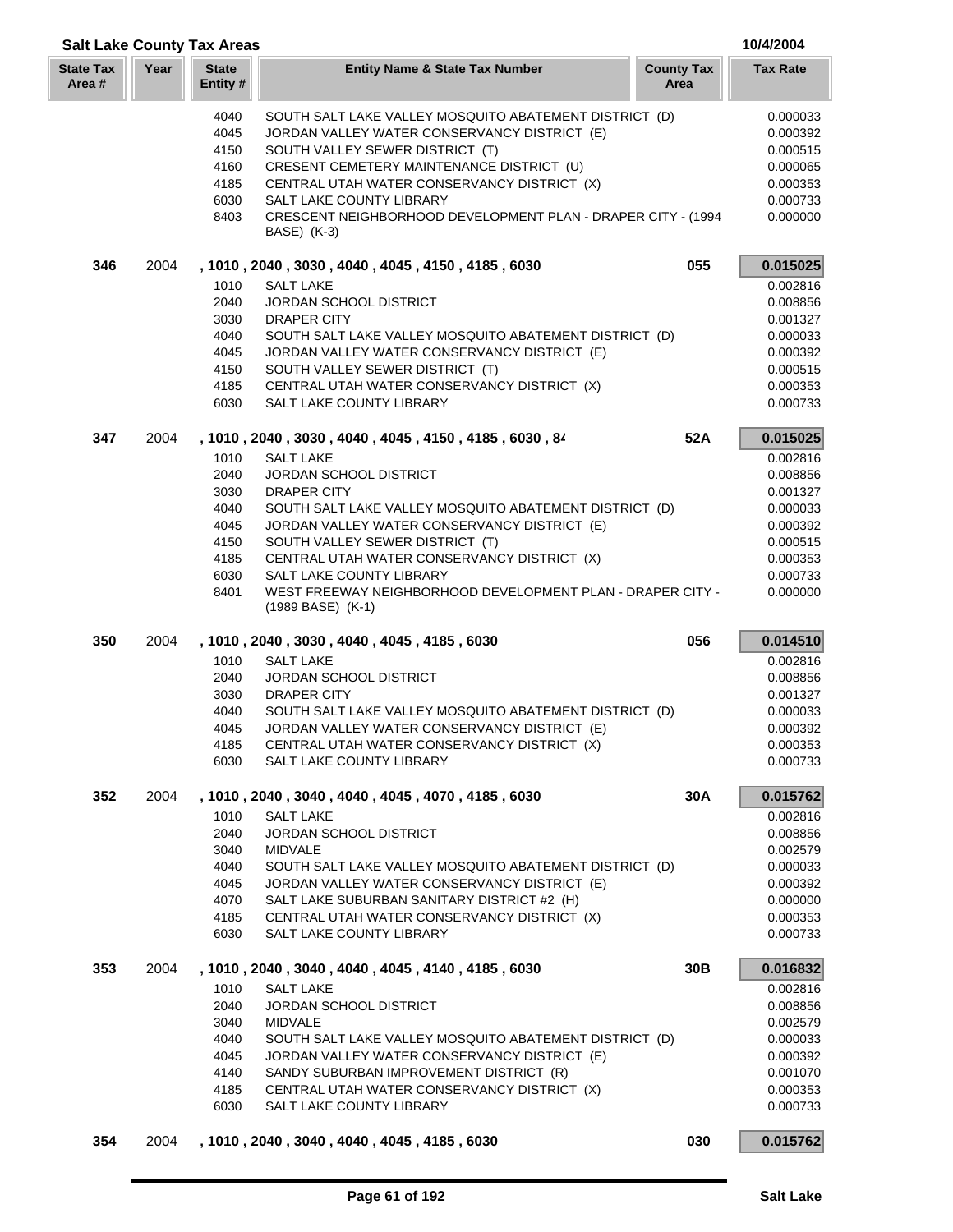|                           | <b>Salt Lake County Tax Areas</b> |                          |                                                                             |                           |                      |
|---------------------------|-----------------------------------|--------------------------|-----------------------------------------------------------------------------|---------------------------|----------------------|
| <b>State Tax</b><br>Area# | Year                              | <b>State</b><br>Entity # | <b>Entity Name &amp; State Tax Number</b>                                   | <b>County Tax</b><br>Area | <b>Tax Rate</b>      |
|                           |                                   | 4040                     | SOUTH SALT LAKE VALLEY MOSQUITO ABATEMENT DISTRICT (D)                      |                           | 0.000033             |
|                           |                                   | 4045                     | JORDAN VALLEY WATER CONSERVANCY DISTRICT (E)                                |                           | 0.000392             |
|                           |                                   | 4150                     | SOUTH VALLEY SEWER DISTRICT (T)                                             |                           | 0.000515             |
|                           |                                   | 4160                     | CRESENT CEMETERY MAINTENANCE DISTRICT (U)                                   |                           | 0.000065             |
|                           |                                   | 4185                     | CENTRAL UTAH WATER CONSERVANCY DISTRICT (X)                                 |                           | 0.000353             |
|                           |                                   | 6030                     | SALT LAKE COUNTY LIBRARY                                                    |                           | 0.000733             |
|                           |                                   | 8403                     | CRESCENT NEIGHBORHOOD DEVELOPMENT PLAN - DRAPER CITY - (1994<br>BASE) (K-3) |                           | 0.000000             |
| 346                       | 2004                              |                          | , 1010 , 2040 , 3030 , 4040 , 4045 , 4150 , 4185 , 6030                     | 055                       | 0.015025             |
|                           |                                   | 1010                     | <b>SALT LAKE</b>                                                            |                           | 0.002816             |
|                           |                                   | 2040                     | <b>JORDAN SCHOOL DISTRICT</b>                                               |                           | 0.008856             |
|                           |                                   | 3030                     | <b>DRAPER CITY</b>                                                          |                           | 0.001327             |
|                           |                                   | 4040                     | SOUTH SALT LAKE VALLEY MOSQUITO ABATEMENT DISTRICT (D)                      |                           | 0.000033             |
|                           |                                   | 4045                     | JORDAN VALLEY WATER CONSERVANCY DISTRICT (E)                                |                           | 0.000392             |
|                           |                                   | 4150                     | SOUTH VALLEY SEWER DISTRICT (T)                                             |                           | 0.000515             |
|                           |                                   | 4185                     | CENTRAL UTAH WATER CONSERVANCY DISTRICT (X)                                 |                           | 0.000353             |
|                           |                                   | 6030                     | SALT LAKE COUNTY LIBRARY                                                    |                           | 0.000733             |
| 347                       | 2004                              |                          | , 1010, 2040, 3030, 4040, 4045, 4150, 4185, 6030, 84                        | 52A                       | 0.015025             |
|                           |                                   | 1010                     | <b>SALT LAKE</b>                                                            |                           | 0.002816             |
|                           |                                   | 2040                     | <b>JORDAN SCHOOL DISTRICT</b>                                               |                           | 0.008856             |
|                           |                                   | 3030                     | <b>DRAPER CITY</b>                                                          |                           | 0.001327             |
|                           |                                   | 4040                     | SOUTH SALT LAKE VALLEY MOSQUITO ABATEMENT DISTRICT (D)                      |                           | 0.000033             |
|                           |                                   | 4045                     | JORDAN VALLEY WATER CONSERVANCY DISTRICT (E)                                |                           | 0.000392             |
|                           |                                   | 4150                     | SOUTH VALLEY SEWER DISTRICT (T)                                             |                           | 0.000515             |
|                           |                                   | 4185<br>6030             | CENTRAL UTAH WATER CONSERVANCY DISTRICT (X)<br>SALT LAKE COUNTY LIBRARY     |                           | 0.000353<br>0.000733 |
|                           |                                   | 8401                     | WEST FREEWAY NEIGHBORHOOD DEVELOPMENT PLAN - DRAPER CITY -                  |                           | 0.000000             |
|                           |                                   |                          | $(1989$ BASE) $(K-1)$                                                       |                           |                      |
| 350                       | 2004                              |                          | , 1010, 2040, 3030, 4040, 4045, 4185, 6030                                  | 056                       | 0.014510             |
|                           |                                   | 1010                     | <b>SALT LAKE</b>                                                            |                           | 0.002816             |
|                           |                                   | 2040                     | JORDAN SCHOOL DISTRICT                                                      |                           | 0.008856             |
|                           |                                   | 3030                     | <b>DRAPER CITY</b>                                                          |                           | 0.001327             |
|                           |                                   | 4040                     | SOUTH SALT LAKE VALLEY MOSQUITO ABATEMENT DISTRICT (D)                      |                           | 0.000033             |
|                           |                                   | 4045                     | JORDAN VALLEY WATER CONSERVANCY DISTRICT (E)                                |                           | 0.000392             |
|                           |                                   | 4185                     | CENTRAL UTAH WATER CONSERVANCY DISTRICT (X)                                 |                           | 0.000353             |
|                           |                                   | 6030                     | <b>SALT LAKE COUNTY LIBRARY</b>                                             |                           | 0.000733             |
| 352                       | 2004                              | 1010                     | , 1010, 2040, 3040, 4040, 4045, 4070, 4185, 6030<br><b>SALT LAKE</b>        | 30A                       | 0.015762<br>0.002816 |
|                           |                                   | 2040                     | <b>JORDAN SCHOOL DISTRICT</b>                                               |                           | 0.008856             |
|                           |                                   | 3040                     | <b>MIDVALE</b>                                                              |                           | 0.002579             |
|                           |                                   | 4040                     | SOUTH SALT LAKE VALLEY MOSQUITO ABATEMENT DISTRICT (D)                      |                           | 0.000033             |
|                           |                                   | 4045                     | JORDAN VALLEY WATER CONSERVANCY DISTRICT (E)                                |                           | 0.000392             |
|                           |                                   | 4070                     | SALT LAKE SUBURBAN SANITARY DISTRICT #2 (H)                                 |                           | 0.000000             |
|                           |                                   | 4185                     | CENTRAL UTAH WATER CONSERVANCY DISTRICT (X)                                 |                           | 0.000353             |
|                           |                                   | 6030                     | SALT LAKE COUNTY LIBRARY                                                    |                           | 0.000733             |
| 353                       | 2004                              |                          | , 1010, 2040, 3040, 4040, 4045, 4140, 4185, 6030                            | 30 <sub>B</sub>           | 0.016832             |
|                           |                                   | 1010                     | <b>SALT LAKE</b>                                                            |                           | 0.002816             |
|                           |                                   | 2040                     | JORDAN SCHOOL DISTRICT                                                      |                           | 0.008856             |
|                           |                                   | 3040                     | <b>MIDVALE</b>                                                              |                           | 0.002579             |
|                           |                                   | 4040                     | SOUTH SALT LAKE VALLEY MOSQUITO ABATEMENT DISTRICT (D)                      |                           | 0.000033             |
|                           |                                   | 4045                     | JORDAN VALLEY WATER CONSERVANCY DISTRICT (E)                                |                           | 0.000392             |
|                           |                                   | 4140                     | SANDY SUBURBAN IMPROVEMENT DISTRICT (R)                                     |                           | 0.001070             |
|                           |                                   | 4185                     | CENTRAL UTAH WATER CONSERVANCY DISTRICT (X)                                 |                           | 0.000353             |
|                           |                                   | 6030                     | SALT LAKE COUNTY LIBRARY                                                    |                           | 0.000733             |
| 354                       | 2004                              |                          | , 1010, 2040, 3040, 4040, 4045, 4185, 6030                                  | 030                       | 0.015762             |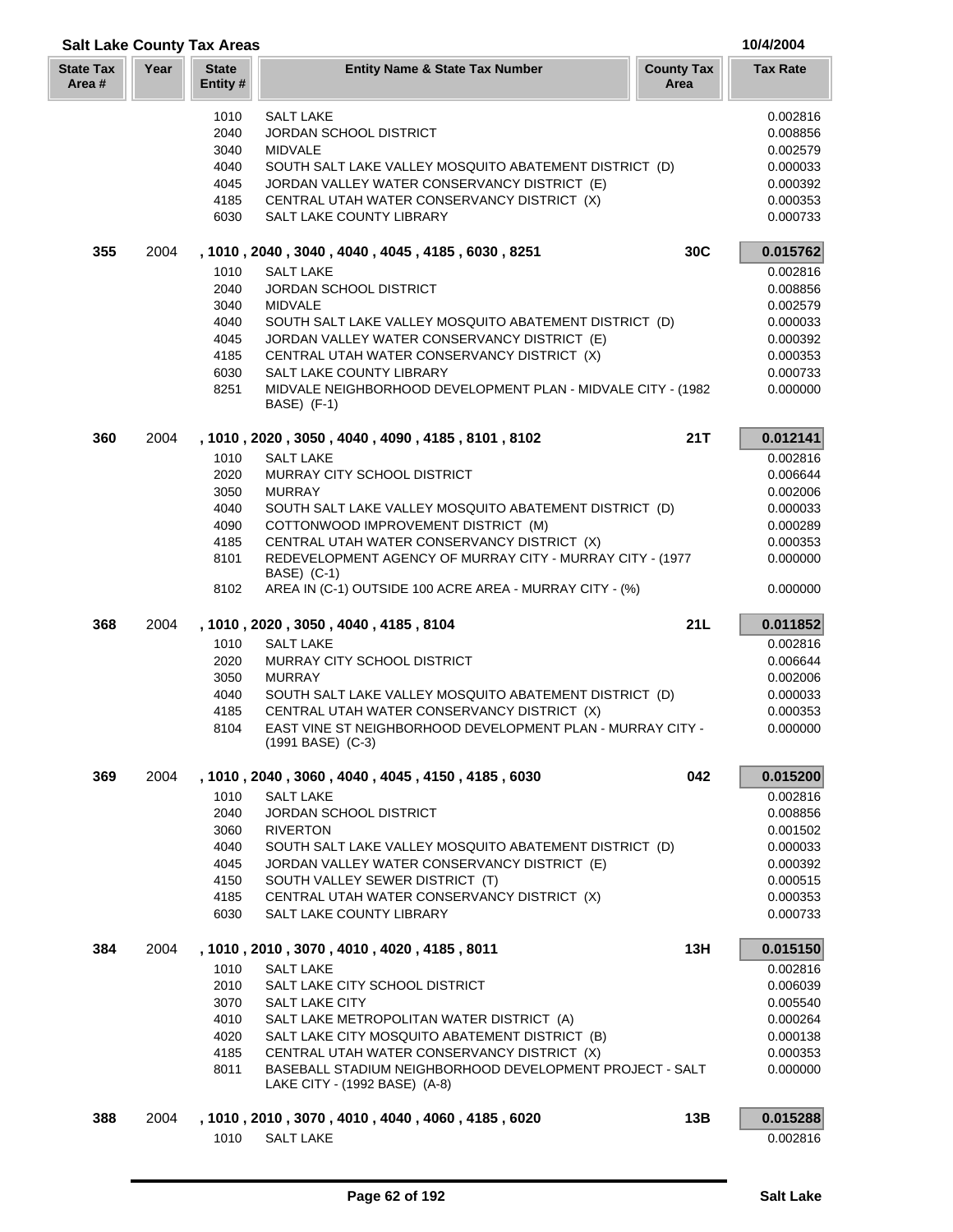| <b>Salt Lake County Tax Areas</b> |      |                          |                                                                                           |                           | 10/4/2004            |
|-----------------------------------|------|--------------------------|-------------------------------------------------------------------------------------------|---------------------------|----------------------|
| <b>State Tax</b><br>Area#         | Year | <b>State</b><br>Entity # | <b>Entity Name &amp; State Tax Number</b>                                                 | <b>County Tax</b><br>Area | <b>Tax Rate</b>      |
|                                   |      | 1010                     | <b>SALT LAKE</b>                                                                          |                           | 0.002816             |
|                                   |      | 2040                     | <b>JORDAN SCHOOL DISTRICT</b>                                                             |                           | 0.008856             |
|                                   |      | 3040                     | <b>MIDVALE</b>                                                                            |                           | 0.002579             |
|                                   |      | 4040                     | SOUTH SALT LAKE VALLEY MOSQUITO ABATEMENT DISTRICT (D)                                    |                           | 0.000033             |
|                                   |      | 4045                     | JORDAN VALLEY WATER CONSERVANCY DISTRICT (E)                                              |                           | 0.000392             |
|                                   |      | 4185                     | CENTRAL UTAH WATER CONSERVANCY DISTRICT (X)                                               |                           | 0.000353             |
|                                   |      | 6030                     | SALT LAKE COUNTY LIBRARY                                                                  |                           | 0.000733             |
| 355                               | 2004 |                          | , 1010, 2040, 3040, 4040, 4045, 4185, 6030, 8251                                          | 30C                       | 0.015762             |
|                                   |      | 1010<br>2040             | <b>SALT LAKE</b><br><b>JORDAN SCHOOL DISTRICT</b>                                         |                           | 0.002816             |
|                                   |      | 3040                     | <b>MIDVALE</b>                                                                            |                           | 0.008856<br>0.002579 |
|                                   |      | 4040                     | SOUTH SALT LAKE VALLEY MOSQUITO ABATEMENT DISTRICT (D)                                    |                           | 0.000033             |
|                                   |      | 4045                     | JORDAN VALLEY WATER CONSERVANCY DISTRICT (E)                                              |                           | 0.000392             |
|                                   |      | 4185                     | CENTRAL UTAH WATER CONSERVANCY DISTRICT (X)                                               |                           | 0.000353             |
|                                   |      | 6030                     | <b>SALT LAKE COUNTY LIBRARY</b>                                                           |                           | 0.000733             |
|                                   |      | 8251                     | MIDVALE NEIGHBORHOOD DEVELOPMENT PLAN - MIDVALE CITY - (1982<br>BASE) (F-1)               |                           | 0.000000             |
| 360                               | 2004 |                          | , 1010, 2020, 3050, 4040, 4090, 4185, 8101, 8102                                          | 21T                       | 0.012141             |
|                                   |      | 1010                     | <b>SALT LAKE</b>                                                                          |                           | 0.002816             |
|                                   |      | 2020                     | <b>MURRAY CITY SCHOOL DISTRICT</b>                                                        |                           | 0.006644             |
|                                   |      | 3050                     | <b>MURRAY</b>                                                                             |                           | 0.002006             |
|                                   |      | 4040                     | SOUTH SALT LAKE VALLEY MOSQUITO ABATEMENT DISTRICT (D)                                    |                           | 0.000033             |
|                                   |      | 4090                     | COTTONWOOD IMPROVEMENT DISTRICT (M)                                                       |                           | 0.000289             |
|                                   |      | 4185                     | CENTRAL UTAH WATER CONSERVANCY DISTRICT (X)                                               |                           | 0.000353             |
|                                   |      | 8101                     | REDEVELOPMENT AGENCY OF MURRAY CITY - MURRAY CITY - (1977                                 |                           | 0.000000             |
|                                   |      | 8102                     | BASE) (C-1)<br>AREA IN (C-1) OUTSIDE 100 ACRE AREA - MURRAY CITY - (%)                    |                           | 0.000000             |
| 368                               | 2004 |                          | , 1010, 2020, 3050, 4040, 4185, 8104                                                      | 21L                       | 0.011852             |
|                                   |      | 1010                     | <b>SALT LAKE</b>                                                                          |                           | 0.002816             |
|                                   |      | 2020                     | MURRAY CITY SCHOOL DISTRICT                                                               |                           | 0.006644             |
|                                   |      | 3050                     | <b>MURRAY</b>                                                                             |                           | 0.002006             |
|                                   |      | 4040                     | SOUTH SALT LAKE VALLEY MOSQUITO ABATEMENT DISTRICT (D)                                    |                           | 0.000033             |
|                                   |      | 4185                     | CENTRAL UTAH WATER CONSERVANCY DISTRICT (X)                                               |                           | 0.000353             |
|                                   |      | 8104                     | EAST VINE ST NEIGHBORHOOD DEVELOPMENT PLAN - MURRAY CITY -<br>$(1991$ BASE) $(C-3)$       |                           | 0.000000             |
| 369                               | 2004 |                          | , 1010, 2040, 3060, 4040, 4045, 4150, 4185, 6030                                          | 042                       | 0.015200             |
|                                   |      | 1010                     | <b>SALT LAKE</b>                                                                          |                           | 0.002816             |
|                                   |      | 2040                     | JORDAN SCHOOL DISTRICT                                                                    |                           | 0.008856             |
|                                   |      | 3060                     | <b>RIVERTON</b>                                                                           |                           | 0.001502             |
|                                   |      | 4040                     | SOUTH SALT LAKE VALLEY MOSQUITO ABATEMENT DISTRICT (D)                                    |                           | 0.000033             |
|                                   |      | 4045                     | JORDAN VALLEY WATER CONSERVANCY DISTRICT (E)                                              |                           | 0.000392             |
|                                   |      | 4150                     | SOUTH VALLEY SEWER DISTRICT (T)                                                           |                           | 0.000515             |
|                                   |      | 4185                     | CENTRAL UTAH WATER CONSERVANCY DISTRICT (X)                                               |                           | 0.000353             |
|                                   |      | 6030                     | SALT LAKE COUNTY LIBRARY                                                                  |                           | 0.000733             |
| 384                               | 2004 |                          | , 1010 , 2010 , 3070 , 4010 , 4020 , 4185 , 8011                                          | 13H                       | 0.015150             |
|                                   |      | 1010                     | <b>SALT LAKE</b>                                                                          |                           | 0.002816             |
|                                   |      | 2010                     | SALT LAKE CITY SCHOOL DISTRICT                                                            |                           | 0.006039             |
|                                   |      | 3070                     | SALT LAKE CITY                                                                            |                           | 0.005540             |
|                                   |      | 4010                     | SALT LAKE METROPOLITAN WATER DISTRICT (A)                                                 |                           | 0.000264             |
|                                   |      | 4020                     | SALT LAKE CITY MOSQUITO ABATEMENT DISTRICT (B)                                            |                           | 0.000138             |
|                                   |      | 4185                     | CENTRAL UTAH WATER CONSERVANCY DISTRICT (X)                                               |                           | 0.000353             |
|                                   |      | 8011                     | BASEBALL STADIUM NEIGHBORHOOD DEVELOPMENT PROJECT - SALT<br>LAKE CITY - (1992 BASE) (A-8) |                           | 0.000000             |
| 388                               | 2004 |                          | , 1010, 2010, 3070, 4010, 4040, 4060, 4185, 6020                                          | 13B                       | 0.015288             |
|                                   |      | 1010                     | <b>SALT LAKE</b>                                                                          |                           | 0.002816             |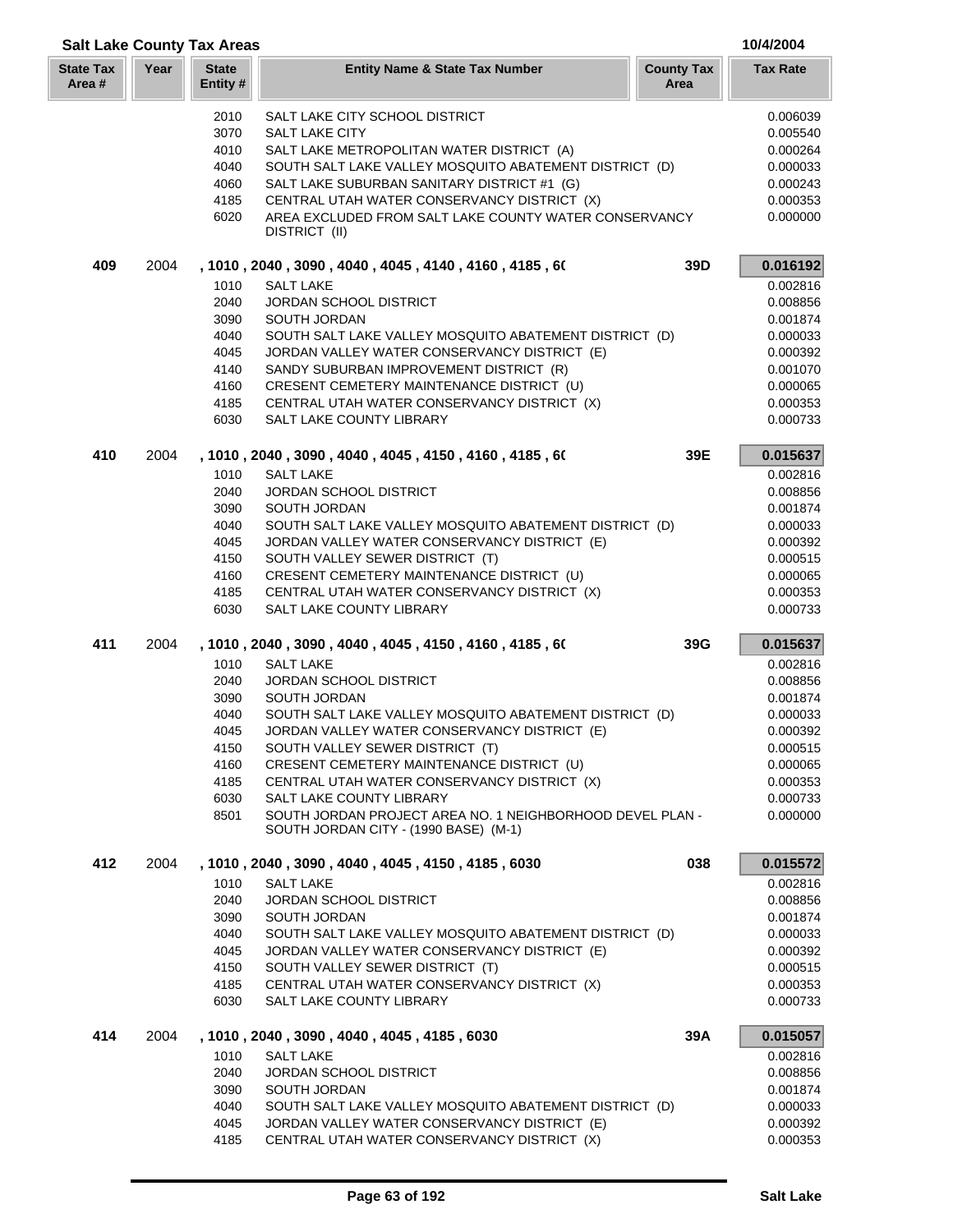|                           | <b>Salt Lake County Tax Areas</b> |                          |                                                                                                        |                           |                      |
|---------------------------|-----------------------------------|--------------------------|--------------------------------------------------------------------------------------------------------|---------------------------|----------------------|
| <b>State Tax</b><br>Area# | Year                              | <b>State</b><br>Entity # | <b>Entity Name &amp; State Tax Number</b>                                                              | <b>County Tax</b><br>Area | <b>Tax Rate</b>      |
|                           |                                   | 2010                     | SALT LAKE CITY SCHOOL DISTRICT                                                                         |                           | 0.006039             |
|                           |                                   | 3070                     | <b>SALT LAKE CITY</b>                                                                                  |                           | 0.005540             |
|                           |                                   | 4010                     | SALT LAKE METROPOLITAN WATER DISTRICT (A)                                                              |                           | 0.000264             |
|                           |                                   | 4040                     | SOUTH SALT LAKE VALLEY MOSQUITO ABATEMENT DISTRICT (D)                                                 |                           | 0.000033             |
|                           |                                   | 4060                     | SALT LAKE SUBURBAN SANITARY DISTRICT #1 (G)                                                            |                           | 0.000243             |
|                           |                                   | 4185                     | CENTRAL UTAH WATER CONSERVANCY DISTRICT (X)                                                            |                           | 0.000353             |
|                           |                                   | 6020                     | AREA EXCLUDED FROM SALT LAKE COUNTY WATER CONSERVANCY<br>DISTRICT (II)                                 |                           | 0.000000             |
| 409                       | 2004                              |                          | , 1010 , 2040 , 3090 , 4040 , 4045 , 4140 , 4160 , 4185 , 60                                           | 39D                       | 0.016192             |
|                           |                                   | 1010                     | <b>SALT LAKE</b>                                                                                       |                           | 0.002816             |
|                           |                                   | 2040                     | <b>JORDAN SCHOOL DISTRICT</b>                                                                          |                           | 0.008856             |
|                           |                                   | 3090                     | SOUTH JORDAN                                                                                           |                           | 0.001874             |
|                           |                                   | 4040                     | SOUTH SALT LAKE VALLEY MOSQUITO ABATEMENT DISTRICT (D)                                                 |                           | 0.000033             |
|                           |                                   | 4045                     | JORDAN VALLEY WATER CONSERVANCY DISTRICT (E)                                                           |                           | 0.000392             |
|                           |                                   | 4140                     | SANDY SUBURBAN IMPROVEMENT DISTRICT (R)                                                                |                           | 0.001070             |
|                           |                                   | 4160                     | CRESENT CEMETERY MAINTENANCE DISTRICT (U)                                                              |                           | 0.000065             |
|                           |                                   | 4185<br>6030             | CENTRAL UTAH WATER CONSERVANCY DISTRICT (X)<br>SALT LAKE COUNTY LIBRARY                                |                           | 0.000353<br>0.000733 |
| 410                       | 2004                              |                          | , 1010, 2040, 3090, 4040, 4045, 4150, 4160, 4185, 60                                                   | 39E                       | 0.015637             |
|                           |                                   | 1010                     | <b>SALT LAKE</b>                                                                                       |                           | 0.002816             |
|                           |                                   | 2040                     | <b>JORDAN SCHOOL DISTRICT</b>                                                                          |                           | 0.008856             |
|                           |                                   | 3090                     | <b>SOUTH JORDAN</b>                                                                                    |                           | 0.001874             |
|                           |                                   | 4040                     | SOUTH SALT LAKE VALLEY MOSQUITO ABATEMENT DISTRICT (D)                                                 |                           | 0.000033             |
|                           |                                   | 4045                     | JORDAN VALLEY WATER CONSERVANCY DISTRICT (E)                                                           |                           | 0.000392             |
|                           |                                   | 4150                     | SOUTH VALLEY SEWER DISTRICT (T)                                                                        |                           | 0.000515             |
|                           |                                   | 4160                     | CRESENT CEMETERY MAINTENANCE DISTRICT (U)                                                              |                           | 0.000065             |
|                           |                                   | 4185                     | CENTRAL UTAH WATER CONSERVANCY DISTRICT (X)                                                            |                           | 0.000353             |
|                           |                                   | 6030                     | SALT LAKE COUNTY LIBRARY                                                                               |                           | 0.000733             |
| 411                       | 2004                              |                          | , 1010 , 2040 , 3090 , 4040 , 4045 , 4150 , 4160 , 4185 , 60                                           | 39G                       | 0.015637             |
|                           |                                   | 1010                     | <b>SALT LAKE</b>                                                                                       |                           | 0.002816             |
|                           |                                   | 2040                     | <b>JORDAN SCHOOL DISTRICT</b>                                                                          |                           | 0.008856             |
|                           |                                   | 3090                     | SOUTH JORDAN                                                                                           |                           | 0.001874             |
|                           |                                   | 4040                     | SOUTH SALT LAKE VALLEY MOSQUITO ABATEMENT DISTRICT (D)<br>JORDAN VALLEY WATER CONSERVANCY DISTRICT (E) |                           | 0.000033             |
|                           |                                   | 4045<br>4150             | SOUTH VALLEY SEWER DISTRICT (T)                                                                        |                           | 0.000392<br>0.000515 |
|                           |                                   | 4160                     | CRESENT CEMETERY MAINTENANCE DISTRICT (U)                                                              |                           | 0.000065             |
|                           |                                   | 4185                     | CENTRAL UTAH WATER CONSERVANCY DISTRICT (X)                                                            |                           | 0.000353             |
|                           |                                   | 6030                     | SALT LAKE COUNTY LIBRARY                                                                               |                           | 0.000733             |
|                           |                                   | 8501                     | SOUTH JORDAN PROJECT AREA NO. 1 NEIGHBORHOOD DEVEL PLAN -                                              |                           | 0.000000             |
|                           |                                   |                          | SOUTH JORDAN CITY - (1990 BASE) (M-1)                                                                  |                           |                      |
| 412                       | 2004                              |                          | , 1010, 2040, 3090, 4040, 4045, 4150, 4185, 6030                                                       | 038                       | 0.015572             |
|                           |                                   | 1010                     | <b>SALT LAKE</b>                                                                                       |                           | 0.002816             |
|                           |                                   | 2040                     | JORDAN SCHOOL DISTRICT                                                                                 |                           | 0.008856             |
|                           |                                   | 3090                     | SOUTH JORDAN                                                                                           |                           | 0.001874             |
|                           |                                   | 4040                     | SOUTH SALT LAKE VALLEY MOSQUITO ABATEMENT DISTRICT (D)                                                 |                           | 0.000033             |
|                           |                                   | 4045                     | JORDAN VALLEY WATER CONSERVANCY DISTRICT (E)                                                           |                           | 0.000392             |
|                           |                                   | 4150                     | SOUTH VALLEY SEWER DISTRICT (T)                                                                        |                           | 0.000515             |
|                           |                                   | 4185<br>6030             | CENTRAL UTAH WATER CONSERVANCY DISTRICT (X)<br>SALT LAKE COUNTY LIBRARY                                |                           | 0.000353<br>0.000733 |
| 414                       | 2004                              |                          | , 1010, 2040, 3090, 4040, 4045, 4185, 6030                                                             | 39A                       | 0.015057             |
|                           |                                   | 1010                     | <b>SALT LAKE</b>                                                                                       |                           | 0.002816             |
|                           |                                   | 2040                     | JORDAN SCHOOL DISTRICT                                                                                 |                           | 0.008856             |
|                           |                                   | 3090                     | SOUTH JORDAN                                                                                           |                           | 0.001874             |
|                           |                                   | 4040                     | SOUTH SALT LAKE VALLEY MOSQUITO ABATEMENT DISTRICT (D)                                                 |                           | 0.000033             |
|                           |                                   | 4045                     | JORDAN VALLEY WATER CONSERVANCY DISTRICT (E)                                                           |                           | 0.000392             |
|                           |                                   | 4185                     | CENTRAL UTAH WATER CONSERVANCY DISTRICT (X)                                                            |                           | 0.000353             |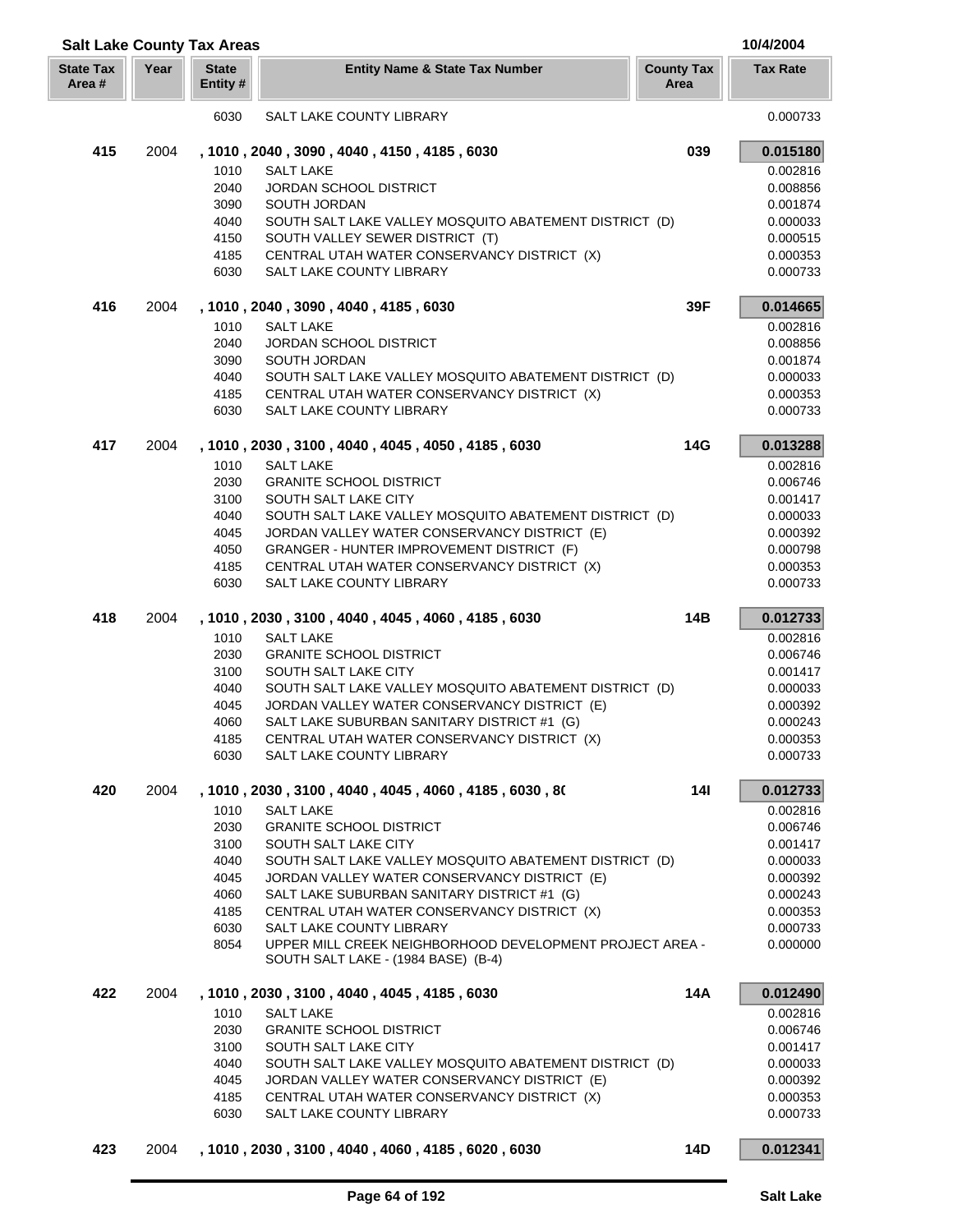| <b>Salt Lake County Tax Areas</b> |      |                          |                                                                                             |                           | 10/4/2004            |
|-----------------------------------|------|--------------------------|---------------------------------------------------------------------------------------------|---------------------------|----------------------|
| <b>State Tax</b><br>Area#         | Year | <b>State</b><br>Entity # | <b>Entity Name &amp; State Tax Number</b>                                                   | <b>County Tax</b><br>Area | <b>Tax Rate</b>      |
|                                   |      | 6030                     | SALT LAKE COUNTY LIBRARY                                                                    |                           | 0.000733             |
| 415                               | 2004 |                          | , 1010, 2040, 3090, 4040, 4150, 4185, 6030                                                  | 039                       | 0.015180             |
|                                   |      | 1010                     | <b>SALT LAKE</b>                                                                            |                           | 0.002816             |
|                                   |      | 2040                     | <b>JORDAN SCHOOL DISTRICT</b>                                                               |                           | 0.008856             |
|                                   |      | 3090                     | SOUTH JORDAN                                                                                |                           | 0.001874             |
|                                   |      | 4040                     | SOUTH SALT LAKE VALLEY MOSQUITO ABATEMENT DISTRICT (D)                                      |                           | 0.000033             |
|                                   |      | 4150                     | SOUTH VALLEY SEWER DISTRICT (T)                                                             |                           | 0.000515             |
|                                   |      | 4185<br>6030             | CENTRAL UTAH WATER CONSERVANCY DISTRICT (X)<br>SALT LAKE COUNTY LIBRARY                     |                           | 0.000353<br>0.000733 |
|                                   |      |                          |                                                                                             |                           |                      |
| 416                               | 2004 | 1010                     | , 1010, 2040, 3090, 4040, 4185, 6030<br><b>SALT LAKE</b>                                    | 39F                       | 0.014665<br>0.002816 |
|                                   |      | 2040                     | <b>JORDAN SCHOOL DISTRICT</b>                                                               |                           | 0.008856             |
|                                   |      | 3090                     | SOUTH JORDAN                                                                                |                           | 0.001874             |
|                                   |      | 4040                     | SOUTH SALT LAKE VALLEY MOSQUITO ABATEMENT DISTRICT (D)                                      |                           | 0.000033             |
|                                   |      | 4185                     | CENTRAL UTAH WATER CONSERVANCY DISTRICT (X)                                                 |                           | 0.000353             |
|                                   |      | 6030                     | SALT LAKE COUNTY LIBRARY                                                                    |                           | 0.000733             |
| 417                               | 2004 |                          | , 1010, 2030, 3100, 4040, 4045, 4050, 4185, 6030                                            | 14G                       | 0.013288             |
|                                   |      | 1010                     | <b>SALT LAKE</b>                                                                            |                           | 0.002816             |
|                                   |      | 2030                     | <b>GRANITE SCHOOL DISTRICT</b>                                                              |                           | 0.006746             |
|                                   |      | 3100                     | SOUTH SALT LAKE CITY                                                                        |                           | 0.001417             |
|                                   |      | 4040                     | SOUTH SALT LAKE VALLEY MOSQUITO ABATEMENT DISTRICT (D)                                      |                           | 0.000033             |
|                                   |      | 4045                     | JORDAN VALLEY WATER CONSERVANCY DISTRICT (E)                                                |                           | 0.000392             |
|                                   |      | 4050                     | GRANGER - HUNTER IMPROVEMENT DISTRICT (F)                                                   |                           | 0.000798             |
|                                   |      | 4185                     | CENTRAL UTAH WATER CONSERVANCY DISTRICT (X)                                                 |                           | 0.000353             |
|                                   |      | 6030                     | SALT LAKE COUNTY LIBRARY                                                                    |                           | 0.000733             |
| 418                               | 2004 |                          | , 1010, 2030, 3100, 4040, 4045, 4060, 4185, 6030                                            | 14B                       | 0.012733             |
|                                   |      | 1010                     | <b>SALT LAKE</b>                                                                            |                           | 0.002816             |
|                                   |      | 2030                     | <b>GRANITE SCHOOL DISTRICT</b>                                                              |                           | 0.006746             |
|                                   |      | 3100                     | SOUTH SALT LAKE CITY                                                                        |                           | 0.001417             |
|                                   |      | 4040                     | SOUTH SALT LAKE VALLEY MOSQUITO ABATEMENT DISTRICT (D)                                      |                           | 0.000033             |
|                                   |      | 4045<br>4060             | JORDAN VALLEY WATER CONSERVANCY DISTRICT (E)<br>SALT LAKE SUBURBAN SANITARY DISTRICT #1 (G) |                           | 0.000392             |
|                                   |      | 4185                     | CENTRAL UTAH WATER CONSERVANCY DISTRICT (X)                                                 |                           | 0.000243<br>0.000353 |
|                                   |      | 6030                     | SALT LAKE COUNTY LIBRARY                                                                    |                           | 0.000733             |
| 420                               | 2004 |                          | , 1010 , 2030 , 3100 , 4040 , 4045 , 4060 , 4185 , 6030 , 80                                | 141                       | 0.012733             |
|                                   |      | 1010                     | <b>SALT LAKE</b>                                                                            |                           | 0.002816             |
|                                   |      | 2030                     | <b>GRANITE SCHOOL DISTRICT</b>                                                              |                           | 0.006746             |
|                                   |      | 3100                     | SOUTH SALT LAKE CITY                                                                        |                           | 0.001417             |
|                                   |      | 4040                     | SOUTH SALT LAKE VALLEY MOSQUITO ABATEMENT DISTRICT (D)                                      |                           | 0.000033             |
|                                   |      | 4045                     | JORDAN VALLEY WATER CONSERVANCY DISTRICT (E)                                                |                           | 0.000392             |
|                                   |      | 4060                     | SALT LAKE SUBURBAN SANITARY DISTRICT #1 (G)                                                 |                           | 0.000243             |
|                                   |      | 4185                     | CENTRAL UTAH WATER CONSERVANCY DISTRICT (X)                                                 |                           | 0.000353             |
|                                   |      | 6030<br>8054             | SALT LAKE COUNTY LIBRARY<br>UPPER MILL CREEK NEIGHBORHOOD DEVELOPMENT PROJECT AREA -        |                           | 0.000733<br>0.000000 |
|                                   |      |                          | SOUTH SALT LAKE - (1984 BASE) (B-4)                                                         |                           |                      |
| 422                               | 2004 |                          | , 1010, 2030, 3100, 4040, 4045, 4185, 6030                                                  | 14A                       | 0.012490             |
|                                   |      | 1010                     | <b>SALT LAKE</b>                                                                            |                           | 0.002816             |
|                                   |      | 2030                     | <b>GRANITE SCHOOL DISTRICT</b>                                                              |                           | 0.006746             |
|                                   |      | 3100                     | SOUTH SALT LAKE CITY                                                                        |                           | 0.001417             |
|                                   |      | 4040                     | SOUTH SALT LAKE VALLEY MOSQUITO ABATEMENT DISTRICT (D)                                      |                           | 0.000033             |
|                                   |      | 4045<br>4185             | JORDAN VALLEY WATER CONSERVANCY DISTRICT (E)<br>CENTRAL UTAH WATER CONSERVANCY DISTRICT (X) |                           | 0.000392<br>0.000353 |
|                                   |      | 6030                     | SALT LAKE COUNTY LIBRARY                                                                    |                           | 0.000733             |
| 423                               | 2004 |                          | , 1010, 2030, 3100, 4040, 4060, 4185, 6020, 6030                                            | 14D                       | 0.012341             |
|                                   |      |                          |                                                                                             |                           |                      |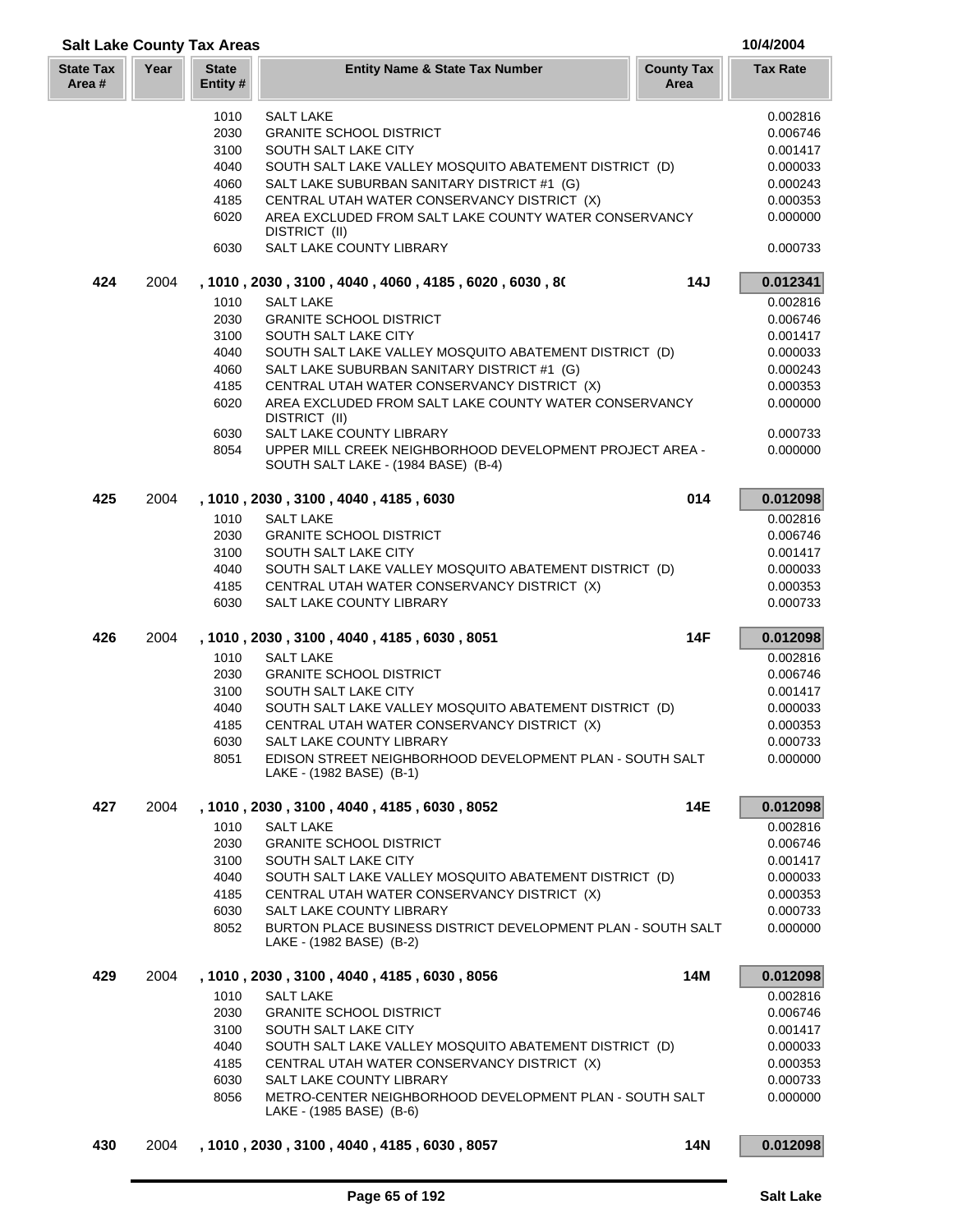|                            | <b>Salt Lake County Tax Areas</b> |                          |                                                                                          |                           |                 |
|----------------------------|-----------------------------------|--------------------------|------------------------------------------------------------------------------------------|---------------------------|-----------------|
| <b>State Tax</b><br>Area # | Year                              | <b>State</b><br>Entity # | <b>Entity Name &amp; State Tax Number</b>                                                | <b>County Tax</b><br>Area | <b>Tax Rate</b> |
|                            |                                   | 1010                     | <b>SALT LAKE</b>                                                                         |                           | 0.002816        |
|                            |                                   | 2030                     | <b>GRANITE SCHOOL DISTRICT</b>                                                           |                           | 0.006746        |
|                            |                                   | 3100                     | SOUTH SALT LAKE CITY                                                                     |                           | 0.001417        |
|                            |                                   | 4040                     | SOUTH SALT LAKE VALLEY MOSQUITO ABATEMENT DISTRICT (D)                                   |                           | 0.000033        |
|                            |                                   | 4060                     | SALT LAKE SUBURBAN SANITARY DISTRICT #1 (G)                                              |                           | 0.000243        |
|                            |                                   | 4185                     | CENTRAL UTAH WATER CONSERVANCY DISTRICT (X)                                              |                           | 0.000353        |
|                            |                                   | 6020                     | AREA EXCLUDED FROM SALT LAKE COUNTY WATER CONSERVANCY                                    |                           | 0.000000        |
|                            |                                   | 6030                     | DISTRICT (II)<br>SALT LAKE COUNTY LIBRARY                                                |                           | 0.000733        |
| 424                        | 2004                              |                          | , 1010, 2030, 3100, 4040, 4060, 4185, 6020, 6030, 80                                     | 14J                       | 0.012341        |
|                            |                                   | 1010                     | <b>SALT LAKE</b>                                                                         |                           | 0.002816        |
|                            |                                   | 2030                     | <b>GRANITE SCHOOL DISTRICT</b>                                                           |                           | 0.006746        |
|                            |                                   | 3100                     | SOUTH SALT LAKE CITY                                                                     |                           | 0.001417        |
|                            |                                   | 4040                     | SOUTH SALT LAKE VALLEY MOSQUITO ABATEMENT DISTRICT (D)                                   |                           | 0.000033        |
|                            |                                   | 4060                     | SALT LAKE SUBURBAN SANITARY DISTRICT #1 (G)                                              |                           | 0.000243        |
|                            |                                   | 4185                     | CENTRAL UTAH WATER CONSERVANCY DISTRICT (X)                                              |                           | 0.000353        |
|                            |                                   | 6020                     | AREA EXCLUDED FROM SALT LAKE COUNTY WATER CONSERVANCY                                    |                           | 0.000000        |
|                            |                                   |                          | DISTRICT (II)                                                                            |                           |                 |
|                            |                                   | 6030                     | SALT LAKE COUNTY LIBRARY                                                                 |                           | 0.000733        |
|                            |                                   | 8054                     | UPPER MILL CREEK NEIGHBORHOOD DEVELOPMENT PROJECT AREA -                                 |                           | 0.000000        |
|                            |                                   |                          | SOUTH SALT LAKE - (1984 BASE) (B-4)                                                      |                           |                 |
| 425                        | 2004                              |                          | , 1010, 2030, 3100, 4040, 4185, 6030                                                     | 014                       | 0.012098        |
|                            |                                   | 1010                     | <b>SALT LAKE</b>                                                                         |                           | 0.002816        |
|                            |                                   | 2030                     | <b>GRANITE SCHOOL DISTRICT</b>                                                           |                           | 0.006746        |
|                            |                                   | 3100                     | SOUTH SALT LAKE CITY                                                                     |                           | 0.001417        |
|                            |                                   | 4040                     | SOUTH SALT LAKE VALLEY MOSQUITO ABATEMENT DISTRICT (D)                                   |                           | 0.000033        |
|                            |                                   | 4185                     | CENTRAL UTAH WATER CONSERVANCY DISTRICT (X)                                              |                           | 0.000353        |
|                            |                                   | 6030                     | SALT LAKE COUNTY LIBRARY                                                                 |                           | 0.000733        |
| 426                        | 2004                              |                          | , 1010, 2030, 3100, 4040, 4185, 6030, 8051                                               | 14F                       | 0.012098        |
|                            |                                   | 1010                     | <b>SALT LAKE</b>                                                                         |                           | 0.002816        |
|                            |                                   | 2030                     | <b>GRANITE SCHOOL DISTRICT</b>                                                           |                           | 0.006746        |
|                            |                                   | 3100                     | SOUTH SALT LAKE CITY                                                                     |                           | 0.001417        |
|                            |                                   | 4040                     | SOUTH SALT LAKE VALLEY MOSQUITO ABATEMENT DISTRICT (D)                                   |                           | 0.000033        |
|                            |                                   | 4185                     | CENTRAL UTAH WATER CONSERVANCY DISTRICT (X)                                              |                           | 0.000353        |
|                            |                                   | 6030                     | <b>SALT LAKE COUNTY LIBRARY</b>                                                          |                           | 0.000733        |
|                            |                                   | 8051                     | EDISON STREET NEIGHBORHOOD DEVELOPMENT PLAN - SOUTH SALT<br>LAKE - (1982 BASE) (B-1)     |                           | 0.000000        |
| 427                        | 2004                              |                          | , 1010, 2030, 3100, 4040, 4185, 6030, 8052                                               | 14E                       | 0.012098        |
|                            |                                   | 1010                     | <b>SALT LAKE</b>                                                                         |                           | 0.002816        |
|                            |                                   | 2030                     | <b>GRANITE SCHOOL DISTRICT</b>                                                           |                           | 0.006746        |
|                            |                                   | 3100                     | SOUTH SALT LAKE CITY                                                                     |                           | 0.001417        |
|                            |                                   | 4040                     | SOUTH SALT LAKE VALLEY MOSQUITO ABATEMENT DISTRICT (D)                                   |                           | 0.000033        |
|                            |                                   | 4185                     | CENTRAL UTAH WATER CONSERVANCY DISTRICT (X)                                              |                           | 0.000353        |
|                            |                                   | 6030                     | SALT LAKE COUNTY LIBRARY                                                                 |                           | 0.000733        |
|                            |                                   | 8052                     | BURTON PLACE BUSINESS DISTRICT DEVELOPMENT PLAN - SOUTH SALT<br>LAKE - (1982 BASE) (B-2) |                           | 0.000000        |
| 429                        | 2004                              |                          | , 1010, 2030, 3100, 4040, 4185, 6030, 8056                                               | 14M                       | 0.012098        |
|                            |                                   | 1010                     | <b>SALT LAKE</b>                                                                         |                           | 0.002816        |
|                            |                                   | 2030                     | <b>GRANITE SCHOOL DISTRICT</b>                                                           |                           | 0.006746        |
|                            |                                   | 3100                     | SOUTH SALT LAKE CITY                                                                     |                           | 0.001417        |
|                            |                                   | 4040                     | SOUTH SALT LAKE VALLEY MOSQUITO ABATEMENT DISTRICT (D)                                   |                           | 0.000033        |
|                            |                                   | 4185                     | CENTRAL UTAH WATER CONSERVANCY DISTRICT (X)                                              |                           | 0.000353        |
|                            |                                   | 6030                     | SALT LAKE COUNTY LIBRARY                                                                 |                           | 0.000733        |
|                            |                                   | 8056                     | METRO-CENTER NEIGHBORHOOD DEVELOPMENT PLAN - SOUTH SALT<br>LAKE - (1985 BASE) (B-6)      |                           | 0.000000        |
| 430                        | 2004                              |                          | , 1010, 2030, 3100, 4040, 4185, 6030, 8057                                               | <b>14N</b>                | 0.012098        |
|                            |                                   |                          |                                                                                          |                           |                 |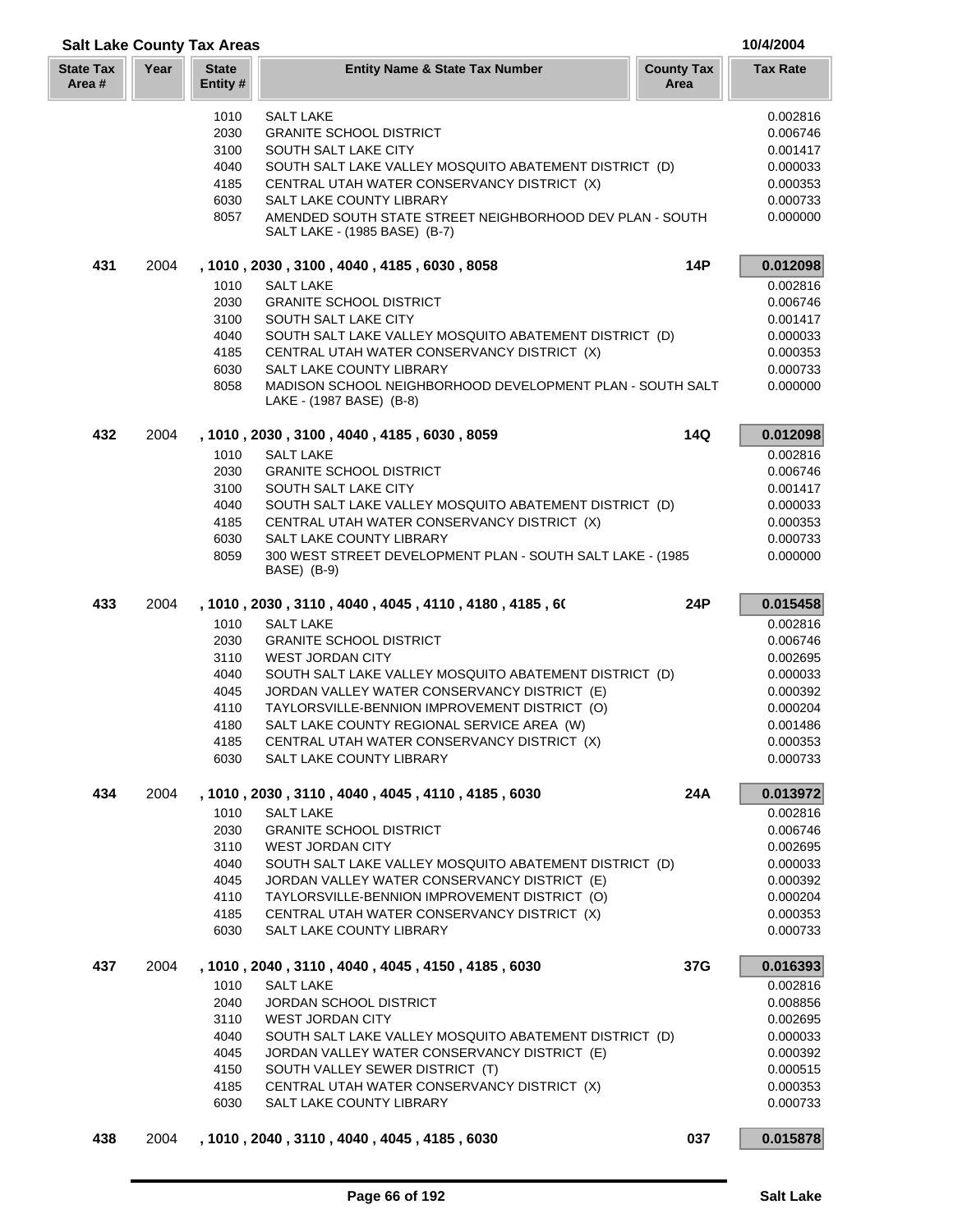|                           | <b>Salt Lake County Tax Areas</b> |                          |                                                                                           |                           |                      |
|---------------------------|-----------------------------------|--------------------------|-------------------------------------------------------------------------------------------|---------------------------|----------------------|
| <b>State Tax</b><br>Area# | Year                              | <b>State</b><br>Entity # | <b>Entity Name &amp; State Tax Number</b>                                                 | <b>County Tax</b><br>Area | <b>Tax Rate</b>      |
|                           |                                   | 1010                     | <b>SALT LAKE</b>                                                                          |                           | 0.002816             |
|                           |                                   | 2030                     | <b>GRANITE SCHOOL DISTRICT</b>                                                            |                           | 0.006746             |
|                           |                                   | 3100                     | SOUTH SALT LAKE CITY                                                                      |                           | 0.001417             |
|                           |                                   | 4040                     | SOUTH SALT LAKE VALLEY MOSQUITO ABATEMENT DISTRICT (D)                                    |                           | 0.000033             |
|                           |                                   | 4185                     | CENTRAL UTAH WATER CONSERVANCY DISTRICT (X)                                               |                           | 0.000353             |
|                           |                                   | 6030                     | SALT LAKE COUNTY LIBRARY                                                                  |                           | 0.000733             |
|                           |                                   | 8057                     | AMENDED SOUTH STATE STREET NEIGHBORHOOD DEV PLAN - SOUTH<br>SALT LAKE - (1985 BASE) (B-7) |                           | 0.000000             |
| 431                       | 2004                              |                          | , 1010, 2030, 3100, 4040, 4185, 6030, 8058                                                | <b>14P</b>                | 0.012098             |
|                           |                                   | 1010                     | <b>SALT LAKE</b>                                                                          |                           | 0.002816             |
|                           |                                   | 2030                     | <b>GRANITE SCHOOL DISTRICT</b>                                                            |                           | 0.006746             |
|                           |                                   | 3100                     | SOUTH SALT LAKE CITY                                                                      |                           | 0.001417             |
|                           |                                   | 4040                     | SOUTH SALT LAKE VALLEY MOSQUITO ABATEMENT DISTRICT (D)                                    |                           | 0.000033             |
|                           |                                   | 4185                     | CENTRAL UTAH WATER CONSERVANCY DISTRICT (X)                                               |                           | 0.000353             |
|                           |                                   | 6030                     | SALT LAKE COUNTY LIBRARY                                                                  |                           | 0.000733             |
|                           |                                   | 8058                     | MADISON SCHOOL NEIGHBORHOOD DEVELOPMENT PLAN - SOUTH SALT<br>LAKE - (1987 BASE) (B-8)     |                           | 0.000000             |
| 432                       | 2004                              |                          | , 1010, 2030, 3100, 4040, 4185, 6030, 8059                                                | 14Q                       | 0.012098             |
|                           |                                   | 1010                     | <b>SALT LAKE</b>                                                                          |                           | 0.002816             |
|                           |                                   | 2030                     | <b>GRANITE SCHOOL DISTRICT</b>                                                            |                           | 0.006746             |
|                           |                                   | 3100                     | SOUTH SALT LAKE CITY                                                                      |                           | 0.001417             |
|                           |                                   | 4040                     | SOUTH SALT LAKE VALLEY MOSQUITO ABATEMENT DISTRICT (D)                                    |                           | 0.000033             |
|                           |                                   | 4185                     | CENTRAL UTAH WATER CONSERVANCY DISTRICT (X)                                               |                           | 0.000353             |
|                           |                                   | 6030                     | SALT LAKE COUNTY LIBRARY                                                                  |                           | 0.000733             |
|                           |                                   | 8059                     | 300 WEST STREET DEVELOPMENT PLAN - SOUTH SALT LAKE - (1985)                               |                           | 0.000000             |
|                           |                                   |                          | BASE) (B-9)                                                                               |                           |                      |
| 433                       | 2004                              |                          | , 1010, 2030, 3110, 4040, 4045, 4110, 4180, 4185, 60                                      | 24P                       | 0.015458             |
|                           |                                   | 1010                     | <b>SALT LAKE</b>                                                                          |                           | 0.002816             |
|                           |                                   | 2030                     | <b>GRANITE SCHOOL DISTRICT</b>                                                            |                           | 0.006746             |
|                           |                                   | 3110                     | <b>WEST JORDAN CITY</b>                                                                   |                           | 0.002695             |
|                           |                                   | 4040                     | SOUTH SALT LAKE VALLEY MOSQUITO ABATEMENT DISTRICT (D)                                    |                           | 0.000033             |
|                           |                                   | 4045                     | JORDAN VALLEY WATER CONSERVANCY DISTRICT (E)                                              |                           | 0.000392             |
|                           |                                   | 4110                     | TAYLORSVILLE-BENNION IMPROVEMENT DISTRICT (O)                                             |                           | 0.000204             |
|                           |                                   | 4180                     | SALT LAKE COUNTY REGIONAL SERVICE AREA (W)                                                |                           | 0.001486             |
|                           |                                   | 4185                     | CENTRAL UTAH WATER CONSERVANCY DISTRICT (X)                                               |                           | 0.000353             |
|                           |                                   | 6030                     | SALT LAKE COUNTY LIBRARY                                                                  |                           | 0.000733             |
| 434                       | 2004                              | 1010                     | , 1010, 2030, 3110, 4040, 4045, 4110, 4185, 6030<br><b>SALT LAKE</b>                      | 24A                       | 0.013972<br>0.002816 |
|                           |                                   | 2030                     | <b>GRANITE SCHOOL DISTRICT</b>                                                            |                           | 0.006746             |
|                           |                                   |                          | <b>WEST JORDAN CITY</b>                                                                   |                           |                      |
|                           |                                   | 3110<br>4040             | SOUTH SALT LAKE VALLEY MOSQUITO ABATEMENT DISTRICT (D)                                    |                           | 0.002695<br>0.000033 |
|                           |                                   |                          | JORDAN VALLEY WATER CONSERVANCY DISTRICT (E)                                              |                           |                      |
|                           |                                   | 4045                     |                                                                                           |                           | 0.000392             |
|                           |                                   | 4110                     | TAYLORSVILLE-BENNION IMPROVEMENT DISTRICT (O)                                             |                           | 0.000204             |
|                           |                                   | 4185<br>6030             | CENTRAL UTAH WATER CONSERVANCY DISTRICT (X)<br><b>SALT LAKE COUNTY LIBRARY</b>            |                           | 0.000353<br>0.000733 |
| 437                       | 2004                              |                          | , 1010, 2040, 3110, 4040, 4045, 4150, 4185, 6030                                          | 37G                       | 0.016393             |
|                           |                                   | 1010                     | <b>SALT LAKE</b>                                                                          |                           | 0.002816             |
|                           |                                   | 2040                     | JORDAN SCHOOL DISTRICT                                                                    |                           | 0.008856             |
|                           |                                   | 3110                     | <b>WEST JORDAN CITY</b>                                                                   |                           | 0.002695             |
|                           |                                   | 4040                     | SOUTH SALT LAKE VALLEY MOSQUITO ABATEMENT DISTRICT (D)                                    |                           | 0.000033             |
|                           |                                   | 4045                     | JORDAN VALLEY WATER CONSERVANCY DISTRICT (E)                                              |                           | 0.000392             |
|                           |                                   | 4150                     | SOUTH VALLEY SEWER DISTRICT (T)                                                           |                           | 0.000515             |
|                           |                                   | 4185                     | CENTRAL UTAH WATER CONSERVANCY DISTRICT (X)                                               |                           | 0.000353             |
|                           |                                   | 6030                     | SALT LAKE COUNTY LIBRARY                                                                  |                           | 0.000733             |
| 438                       | 2004                              |                          | , 1010, 2040, 3110, 4040, 4045, 4185, 6030                                                | 037                       | 0.015878             |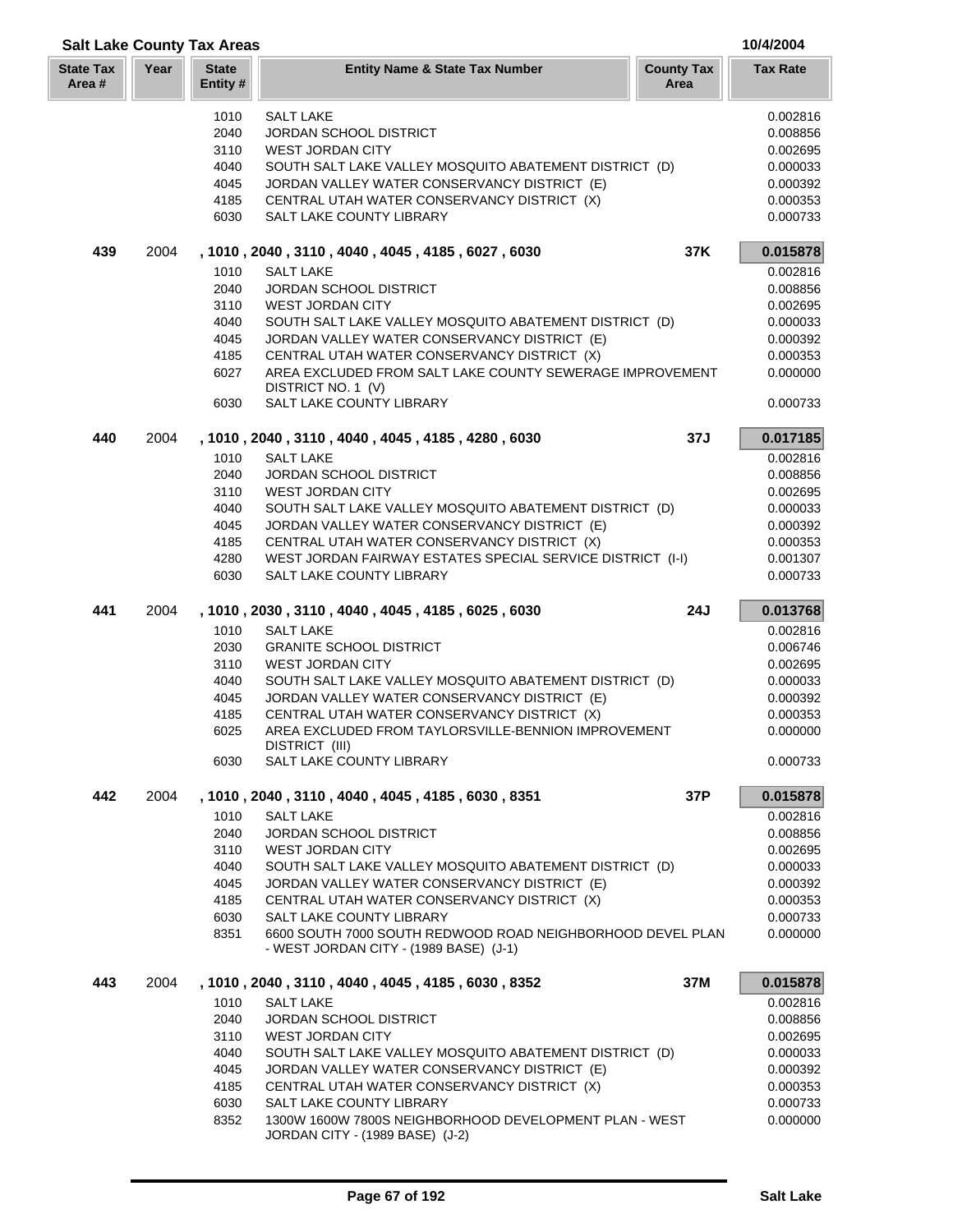| <b>Salt Lake County Tax Areas</b> |      |                          |                                                                                        |                           | 10/4/2004            |
|-----------------------------------|------|--------------------------|----------------------------------------------------------------------------------------|---------------------------|----------------------|
| <b>State Tax</b><br>Area#         | Year | <b>State</b><br>Entity # | <b>Entity Name &amp; State Tax Number</b>                                              | <b>County Tax</b><br>Area | <b>Tax Rate</b>      |
|                                   |      | 1010                     | <b>SALT LAKE</b>                                                                       |                           | 0.002816             |
|                                   |      | 2040                     | <b>JORDAN SCHOOL DISTRICT</b>                                                          |                           | 0.008856             |
|                                   |      | 3110                     | <b>WEST JORDAN CITY</b>                                                                |                           | 0.002695             |
|                                   |      | 4040                     | SOUTH SALT LAKE VALLEY MOSQUITO ABATEMENT DISTRICT (D)                                 |                           | 0.000033             |
|                                   |      | 4045                     | JORDAN VALLEY WATER CONSERVANCY DISTRICT (E)                                           |                           | 0.000392             |
|                                   |      | 4185                     | CENTRAL UTAH WATER CONSERVANCY DISTRICT (X)                                            |                           | 0.000353             |
|                                   |      | 6030                     | SALT LAKE COUNTY LIBRARY                                                               |                           | 0.000733             |
| 439                               | 2004 |                          | , 1010, 2040, 3110, 4040, 4045, 4185, 6027, 6030                                       | 37K                       | 0.015878             |
|                                   |      | 1010                     | <b>SALT LAKE</b>                                                                       |                           | 0.002816             |
|                                   |      | 2040                     | <b>JORDAN SCHOOL DISTRICT</b>                                                          |                           | 0.008856             |
|                                   |      | 3110<br>4040             | <b>WEST JORDAN CITY</b><br>SOUTH SALT LAKE VALLEY MOSQUITO ABATEMENT DISTRICT (D)      |                           | 0.002695<br>0.000033 |
|                                   |      | 4045                     | JORDAN VALLEY WATER CONSERVANCY DISTRICT (E)                                           |                           | 0.000392             |
|                                   |      | 4185                     | CENTRAL UTAH WATER CONSERVANCY DISTRICT (X)                                            |                           | 0.000353             |
|                                   |      | 6027                     | AREA EXCLUDED FROM SALT LAKE COUNTY SEWERAGE IMPROVEMENT<br>DISTRICT NO. 1 (V)         |                           | 0.000000             |
|                                   |      | 6030                     | SALT LAKE COUNTY LIBRARY                                                               |                           | 0.000733             |
| 440                               | 2004 |                          | , 1010, 2040, 3110, 4040, 4045, 4185, 4280, 6030                                       | 37J                       | 0.017185             |
|                                   |      | 1010                     | <b>SALT LAKE</b>                                                                       |                           | 0.002816             |
|                                   |      | 2040                     | <b>JORDAN SCHOOL DISTRICT</b>                                                          |                           | 0.008856             |
|                                   |      | 3110                     | <b>WEST JORDAN CITY</b>                                                                |                           | 0.002695             |
|                                   |      | 4040                     | SOUTH SALT LAKE VALLEY MOSQUITO ABATEMENT DISTRICT (D)                                 |                           | 0.000033             |
|                                   |      | 4045                     | JORDAN VALLEY WATER CONSERVANCY DISTRICT (E)                                           |                           | 0.000392             |
|                                   |      | 4185                     | CENTRAL UTAH WATER CONSERVANCY DISTRICT (X)                                            |                           | 0.000353             |
|                                   |      | 4280                     | WEST JORDAN FAIRWAY ESTATES SPECIAL SERVICE DISTRICT (I-I)                             |                           | 0.001307             |
|                                   |      | 6030                     | SALT LAKE COUNTY LIBRARY                                                               |                           | 0.000733             |
| 441                               | 2004 |                          | , 1010, 2030, 3110, 4040, 4045, 4185, 6025, 6030                                       | <b>24J</b>                | 0.013768             |
|                                   |      | 1010                     | <b>SALT LAKE</b><br><b>GRANITE SCHOOL DISTRICT</b>                                     |                           | 0.002816             |
|                                   |      | 2030<br>3110             | <b>WEST JORDAN CITY</b>                                                                |                           | 0.006746<br>0.002695 |
|                                   |      | 4040                     | SOUTH SALT LAKE VALLEY MOSQUITO ABATEMENT DISTRICT (D)                                 |                           | 0.000033             |
|                                   |      | 4045                     | JORDAN VALLEY WATER CONSERVANCY DISTRICT (E)                                           |                           | 0.000392             |
|                                   |      | 4185                     | CENTRAL UTAH WATER CONSERVANCY DISTRICT (X)                                            |                           | 0.000353             |
|                                   |      | 6025                     | AREA EXCLUDED FROM TAYLORSVILLE-BENNION IMPROVEMENT<br>DISTRICT (III)                  |                           | 0.000000             |
|                                   |      | 6030                     | SALT LAKE COUNTY LIBRARY                                                               |                           | 0.000733             |
| 442                               | 2004 |                          | , 1010, 2040, 3110, 4040, 4045, 4185, 6030, 8351                                       | 37P                       | 0.015878             |
|                                   |      | 1010                     | <b>SALT LAKE</b>                                                                       |                           | 0.002816             |
|                                   |      | 2040                     | <b>JORDAN SCHOOL DISTRICT</b>                                                          |                           | 0.008856             |
|                                   |      | 3110                     | <b>WEST JORDAN CITY</b>                                                                |                           | 0.002695             |
|                                   |      | 4040                     | SOUTH SALT LAKE VALLEY MOSQUITO ABATEMENT DISTRICT (D)                                 |                           | 0.000033             |
|                                   |      | 4045                     | JORDAN VALLEY WATER CONSERVANCY DISTRICT (E)                                           |                           | 0.000392             |
|                                   |      | 4185                     | CENTRAL UTAH WATER CONSERVANCY DISTRICT (X)                                            |                           | 0.000353             |
|                                   |      | 6030<br>8351             | SALT LAKE COUNTY LIBRARY<br>6600 SOUTH 7000 SOUTH REDWOOD ROAD NEIGHBORHOOD DEVEL PLAN |                           | 0.000733<br>0.000000 |
|                                   |      |                          | - WEST JORDAN CITY - (1989 BASE) (J-1)                                                 |                           |                      |
| 443                               | 2004 |                          | , 1010, 2040, 3110, 4040, 4045, 4185, 6030, 8352                                       | 37M                       | 0.015878             |
|                                   |      | 1010                     | <b>SALT LAKE</b>                                                                       |                           | 0.002816             |
|                                   |      | 2040                     | <b>JORDAN SCHOOL DISTRICT</b>                                                          |                           | 0.008856             |
|                                   |      | 3110                     | <b>WEST JORDAN CITY</b>                                                                |                           | 0.002695             |
|                                   |      | 4040                     | SOUTH SALT LAKE VALLEY MOSQUITO ABATEMENT DISTRICT (D)                                 |                           | 0.000033             |
|                                   |      | 4045                     | JORDAN VALLEY WATER CONSERVANCY DISTRICT (E)                                           |                           | 0.000392             |
|                                   |      | 4185                     | CENTRAL UTAH WATER CONSERVANCY DISTRICT (X)                                            |                           | 0.000353             |
|                                   |      | 6030<br>8352             | SALT LAKE COUNTY LIBRARY<br>1300W 1600W 7800S NEIGHBORHOOD DEVELOPMENT PLAN - WEST     |                           | 0.000733<br>0.000000 |
|                                   |      |                          | JORDAN CITY - (1989 BASE) (J-2)                                                        |                           |                      |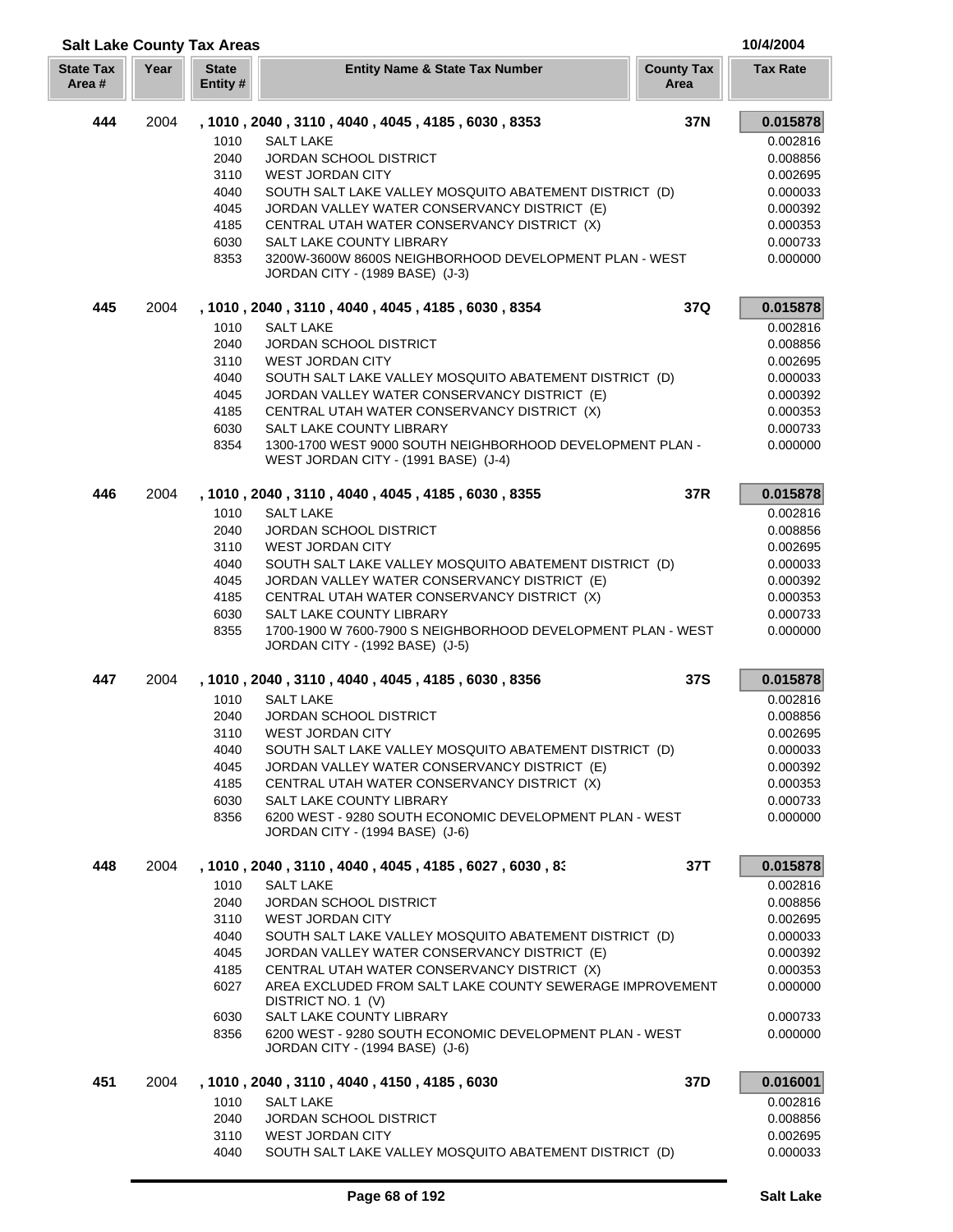### **Year Entity Name & State Tax Number County Tax Tax Rate Area State Tax Area # State Entity # 444** 2004 **, 1010 , 2040 , 3110 , 4040 , 4045 , 4185 , 6030 , 8353 37N 0.015878** 1010 SALT LAKE 0.002816 2040 JORDAN SCHOOL DISTRICT AND A RESERVE TO A 2040 DO 1008856 3110 WEST JORDAN CITY 0.002695 4040 SOUTH SALT LAKE VALLEY MOSQUITO ABATEMENT DISTRICT (D) 0.000033 4045 JORDAN VALLEY WATER CONSERVANCY DISTRICT (E) 0.000392 4185 CENTRAL UTAH WATER CONSERVANCY DISTRICT (X) 0.000353 0.000353 6030 SALT LAKE COUNTY LIBRARY 0.000733 8353 3200W-3600W 8600S NEIGHBORHOOD DEVELOPMENT PLAN - WEST 0.000000 JORDAN CITY - (1989 BASE) (J-3) **445** 2004 **, 1010 , 2040 , 3110 , 4040 , 4045 , 4185 , 6030 , 8354 37Q 0.015878** 1010 SALT LAKE 0.002816 2040 JORDAN SCHOOL DISTRICT 2010 120008566 3110 WEST JORDAN CITY **DESIGNATION** 2002695 4040 SOUTH SALT LAKE VALLEY MOSQUITO ABATEMENT DISTRICT (D) 0.000033 4045 JORDAN VALLEY WATER CONSERVANCY DISTRICT (E) 0.000392 0.000392 4185 CENTRAL UTAH WATER CONSERVANCY DISTRICT (X) 0.000353 6030 SALT LAKE COUNTY LIBRARY 0.000733 8354 1300-1700 WEST 9000 SOUTH NEIGHBORHOOD DEVELOPMENT PLAN - 0.000000 WEST JORDAN CITY - (1991 BASE) (J-4) **446** 2004 **, 1010 , 2040 , 3110 , 4040 , 4045 , 4185 , 6030 , 8355 37R 0.015878** 1010 SALT LAKE 0.002816 2040 JORDAN SCHOOL DISTRICT 0.008856 3110 WEST JORDAN CITY **CHARGE ASSESSED ASSAULT** 20,002695 4040 SOUTH SALT LAKE VALLEY MOSQUITO ABATEMENT DISTRICT (D) 0.000033 4045 JORDAN VALLEY WATER CONSERVANCY DISTRICT (E) 0.000392 4185 CENTRAL UTAH WATER CONSERVANCY DISTRICT (X) 0.000353 6030 SALT LAKE COUNTY LIBRARY 6030 0.000733 8355 1700-1900 W 7600-7900 S NEIGHBORHOOD DEVELOPMENT PLAN - WEST 0.000000 JORDAN CITY - (1992 BASE) (J-5) **447** 2004 **, 1010 , 2040 , 3110 , 4040 , 4045 , 4185 , 6030 , 8356 37S 0.015878** 1010 SALT LAKE 0.002816 2040 JORDAN SCHOOL DISTRICT 0.008856 3110 WEST JORDAN CITY **DESIGNATION** 2002695 4040 SOUTH SALT LAKE VALLEY MOSQUITO ABATEMENT DISTRICT (D) 0.000033 4045 JORDAN VALLEY WATER CONSERVANCY DISTRICT (E) 0.000392 4185 CENTRAL UTAH WATER CONSERVANCY DISTRICT (X) 0.000353 0.000353 6030 SALT LAKE COUNTY LIBRARY 0.000733 8356 6200 WEST - 9280 SOUTH ECONOMIC DEVELOPMENT PLAN - WEST 0.0000000 JORDAN CITY - (1994 BASE) (J-6) **448** 2004 **, 1010 , 2040 , 3110 , 4040 , 4045 , 4185 , 6027 , 6030 , 835 37T 0.015878** 1010 SALT LAKE 0.002816 2040 JORDAN SCHOOL DISTRICT 0.008856 3110 WEST JORDAN CITY **DESCRIPTION OF A SET OF A SET OF A SET OF A SET OF A SET OF A SET OF A SET OF A SET OF A SET OF A SET OF A SET OF A SET OF A SET OF A SET OF A SET OF A SET OF A SET OF A SET OF A SET OF A SET OF A SE** 4040 SOUTH SALT LAKE VALLEY MOSQUITO ABATEMENT DISTRICT (D) 0.000033 4045 JORDAN VALLEY WATER CONSERVANCY DISTRICT (E) 0.000392 4185 CENTRAL UTAH WATER CONSERVANCY DISTRICT (X) 0.000353 0.000353 6027 AREA EXCLUDED FROM SALT LAKE COUNTY SEWERAGE IMPROVEMENT 0.000000 DISTRICT NO. 1 (V) 6030 SALT LAKE COUNTY LIBRARY **COUNTY ALL ASSESSED AT A CONSERVATION** COOST 0.000733 8356 6200 WEST - 9280 SOUTH ECONOMIC DEVELOPMENT PLAN - WEST 0.0000000

**Salt Lake County Tax Areas 10/4/2004**

 2004 **, 1010 , 2040 , 3110 , 4040 , 4150 , 4185 , 6030 37D 0.016001** SALT LAKE 0.002816 JORDAN SCHOOL DISTRICT 0.008856 3110 WEST JORDAN CITY **DESIGNATION** CONSUMING THE STRUCK OF A STRUCK OF A STRUCK OF A STRUCK OF A STRUCK OF A STRUCK OF A STRUCK OF A STRUCK OF A STRUCK OF A STRUCK OF A STRUCK OF A STRUCK OF A STRUCK OF A STRUCK OF A STRU SOUTH SALT LAKE VALLEY MOSQUITO ABATEMENT DISTRICT (D) 0.000033

JORDAN CITY - (1994 BASE) (J-6)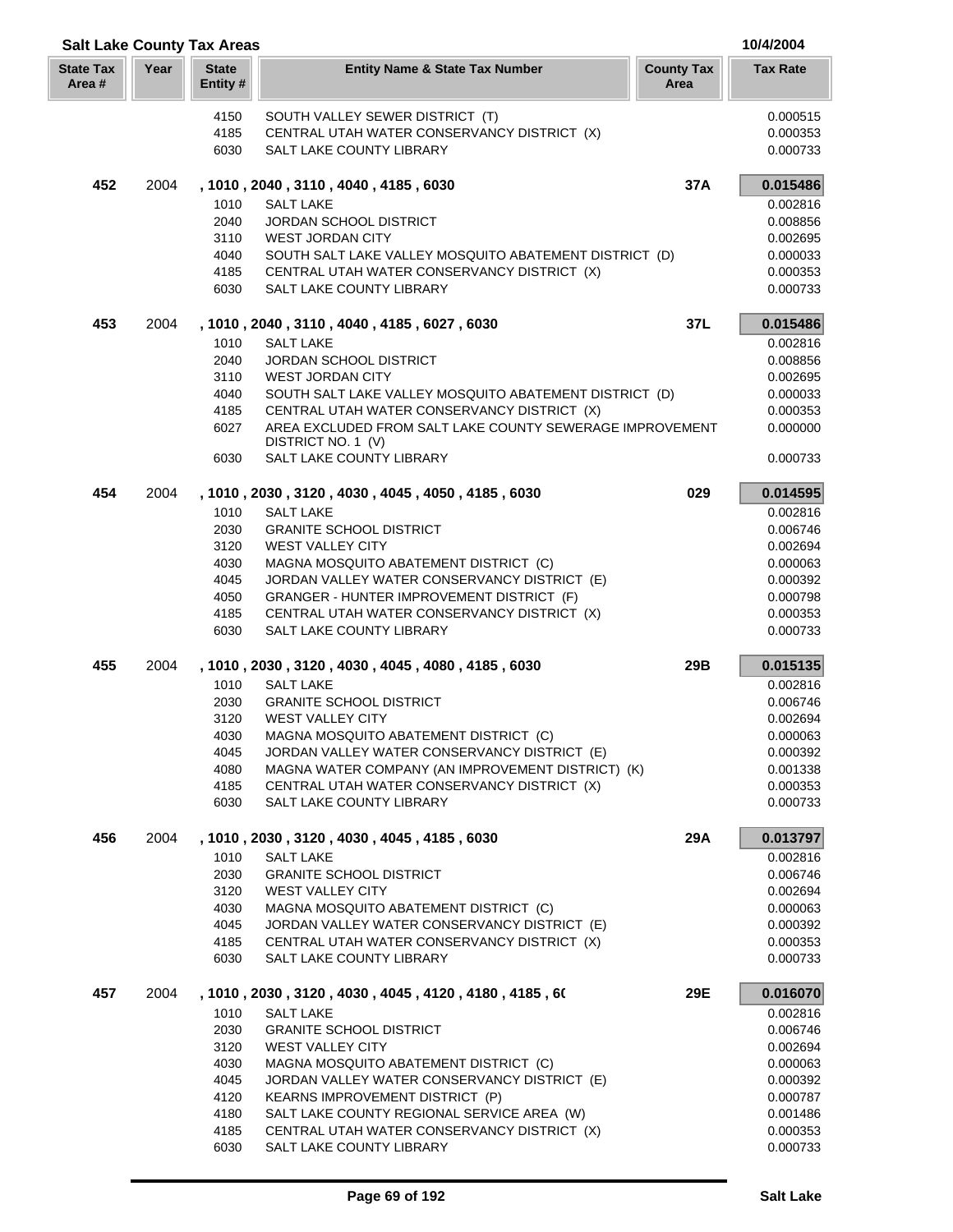|                            |      | <b>Salt Lake County Tax Areas</b> |                                                                                                       |                           | 10/4/2004            |
|----------------------------|------|-----------------------------------|-------------------------------------------------------------------------------------------------------|---------------------------|----------------------|
| <b>State Tax</b><br>Area # | Year | <b>State</b><br>Entity #          | <b>Entity Name &amp; State Tax Number</b>                                                             | <b>County Tax</b><br>Area | <b>Tax Rate</b>      |
|                            |      | 4150                              | SOUTH VALLEY SEWER DISTRICT (T)                                                                       |                           | 0.000515             |
|                            |      | 4185                              | CENTRAL UTAH WATER CONSERVANCY DISTRICT (X)                                                           |                           | 0.000353             |
|                            |      | 6030                              | SALT LAKE COUNTY LIBRARY                                                                              |                           | 0.000733             |
| 452                        | 2004 |                                   | , 1010, 2040, 3110, 4040, 4185, 6030                                                                  | 37A                       | 0.015486             |
|                            |      | 1010                              | <b>SALT LAKE</b>                                                                                      |                           | 0.002816             |
|                            |      | 2040<br>3110                      | <b>JORDAN SCHOOL DISTRICT</b><br><b>WEST JORDAN CITY</b>                                              |                           | 0.008856<br>0.002695 |
|                            |      | 4040                              | SOUTH SALT LAKE VALLEY MOSQUITO ABATEMENT DISTRICT (D)                                                |                           | 0.000033             |
|                            |      | 4185                              | CENTRAL UTAH WATER CONSERVANCY DISTRICT (X)                                                           |                           | 0.000353             |
|                            |      | 6030                              | SALT LAKE COUNTY LIBRARY                                                                              |                           | 0.000733             |
| 453                        | 2004 |                                   | , 1010, 2040, 3110, 4040, 4185, 6027, 6030                                                            | 37L                       | 0.015486             |
|                            |      | 1010                              | <b>SALT LAKE</b>                                                                                      |                           | 0.002816             |
|                            |      | 2040                              | <b>JORDAN SCHOOL DISTRICT</b>                                                                         |                           | 0.008856             |
|                            |      | 3110                              | <b>WEST JORDAN CITY</b>                                                                               |                           | 0.002695             |
|                            |      | 4040                              | SOUTH SALT LAKE VALLEY MOSQUITO ABATEMENT DISTRICT (D)<br>CENTRAL UTAH WATER CONSERVANCY DISTRICT (X) |                           | 0.000033             |
|                            |      | 4185<br>6027                      | AREA EXCLUDED FROM SALT LAKE COUNTY SEWERAGE IMPROVEMENT                                              |                           | 0.000353<br>0.000000 |
|                            |      |                                   | DISTRICT NO. 1 (V)                                                                                    |                           |                      |
|                            |      | 6030                              | <b>SALT LAKE COUNTY LIBRARY</b>                                                                       |                           | 0.000733             |
| 454                        | 2004 |                                   | , 1010, 2030, 3120, 4030, 4045, 4050, 4185, 6030                                                      | 029                       | 0.014595             |
|                            |      | 1010                              | <b>SALT LAKE</b>                                                                                      |                           | 0.002816             |
|                            |      | 2030                              | <b>GRANITE SCHOOL DISTRICT</b>                                                                        |                           | 0.006746             |
|                            |      | 3120<br>4030                      | <b>WEST VALLEY CITY</b><br>MAGNA MOSQUITO ABATEMENT DISTRICT (C)                                      |                           | 0.002694<br>0.000063 |
|                            |      | 4045                              | JORDAN VALLEY WATER CONSERVANCY DISTRICT (E)                                                          |                           | 0.000392             |
|                            |      | 4050                              | GRANGER - HUNTER IMPROVEMENT DISTRICT (F)                                                             |                           | 0.000798             |
|                            |      | 4185                              | CENTRAL UTAH WATER CONSERVANCY DISTRICT (X)                                                           |                           | 0.000353             |
|                            |      | 6030                              | SALT LAKE COUNTY LIBRARY                                                                              |                           | 0.000733             |
| 455                        | 2004 |                                   | , 1010, 2030, 3120, 4030, 4045, 4080, 4185, 6030                                                      | 29B                       | 0.015135             |
|                            |      | 1010                              | <b>SALT LAKE</b>                                                                                      |                           | 0.002816             |
|                            |      | 2030                              | <b>GRANITE SCHOOL DISTRICT</b>                                                                        |                           | 0.006746             |
|                            |      | 3120<br>4030                      | <b>WEST VALLEY CITY</b><br>MAGNA MOSQUITO ABATEMENT DISTRICT (C)                                      |                           | 0.002694             |
|                            |      | 4045                              | JORDAN VALLEY WATER CONSERVANCY DISTRICT (E)                                                          |                           | 0.000063<br>0.000392 |
|                            |      | 4080                              | MAGNA WATER COMPANY (AN IMPROVEMENT DISTRICT) (K)                                                     |                           | 0.001338             |
|                            |      | 4185                              | CENTRAL UTAH WATER CONSERVANCY DISTRICT (X)                                                           |                           | 0.000353             |
|                            |      | 6030                              | SALT LAKE COUNTY LIBRARY                                                                              |                           | 0.000733             |
| 456                        | 2004 |                                   | , 1010, 2030, 3120, 4030, 4045, 4185, 6030                                                            | 29A                       | 0.013797             |
|                            |      | 1010                              | <b>SALT LAKE</b>                                                                                      |                           | 0.002816             |
|                            |      | 2030                              | <b>GRANITE SCHOOL DISTRICT</b>                                                                        |                           | 0.006746             |
|                            |      | 3120<br>4030                      | <b>WEST VALLEY CITY</b><br>MAGNA MOSQUITO ABATEMENT DISTRICT (C)                                      |                           | 0.002694<br>0.000063 |
|                            |      | 4045                              | JORDAN VALLEY WATER CONSERVANCY DISTRICT (E)                                                          |                           | 0.000392             |
|                            |      | 4185                              | CENTRAL UTAH WATER CONSERVANCY DISTRICT (X)                                                           |                           | 0.000353             |
|                            |      | 6030                              | SALT LAKE COUNTY LIBRARY                                                                              |                           | 0.000733             |
| 457                        | 2004 |                                   | , 1010, 2030, 3120, 4030, 4045, 4120, 4180, 4185, 60                                                  | 29E                       | 0.016070             |
|                            |      | 1010                              | <b>SALT LAKE</b>                                                                                      |                           | 0.002816             |
|                            |      | 2030                              | <b>GRANITE SCHOOL DISTRICT</b>                                                                        |                           | 0.006746             |
|                            |      | 3120                              | <b>WEST VALLEY CITY</b>                                                                               |                           | 0.002694             |
|                            |      | 4030                              | MAGNA MOSQUITO ABATEMENT DISTRICT (C)                                                                 |                           | 0.000063             |
|                            |      | 4045<br>4120                      | JORDAN VALLEY WATER CONSERVANCY DISTRICT (E)<br>KEARNS IMPROVEMENT DISTRICT (P)                       |                           | 0.000392<br>0.000787 |
|                            |      | 4180                              | SALT LAKE COUNTY REGIONAL SERVICE AREA (W)                                                            |                           | 0.001486             |
|                            |      | 4185                              | CENTRAL UTAH WATER CONSERVANCY DISTRICT (X)                                                           |                           | 0.000353             |
|                            |      | 6030                              | SALT LAKE COUNTY LIBRARY                                                                              |                           | 0.000733             |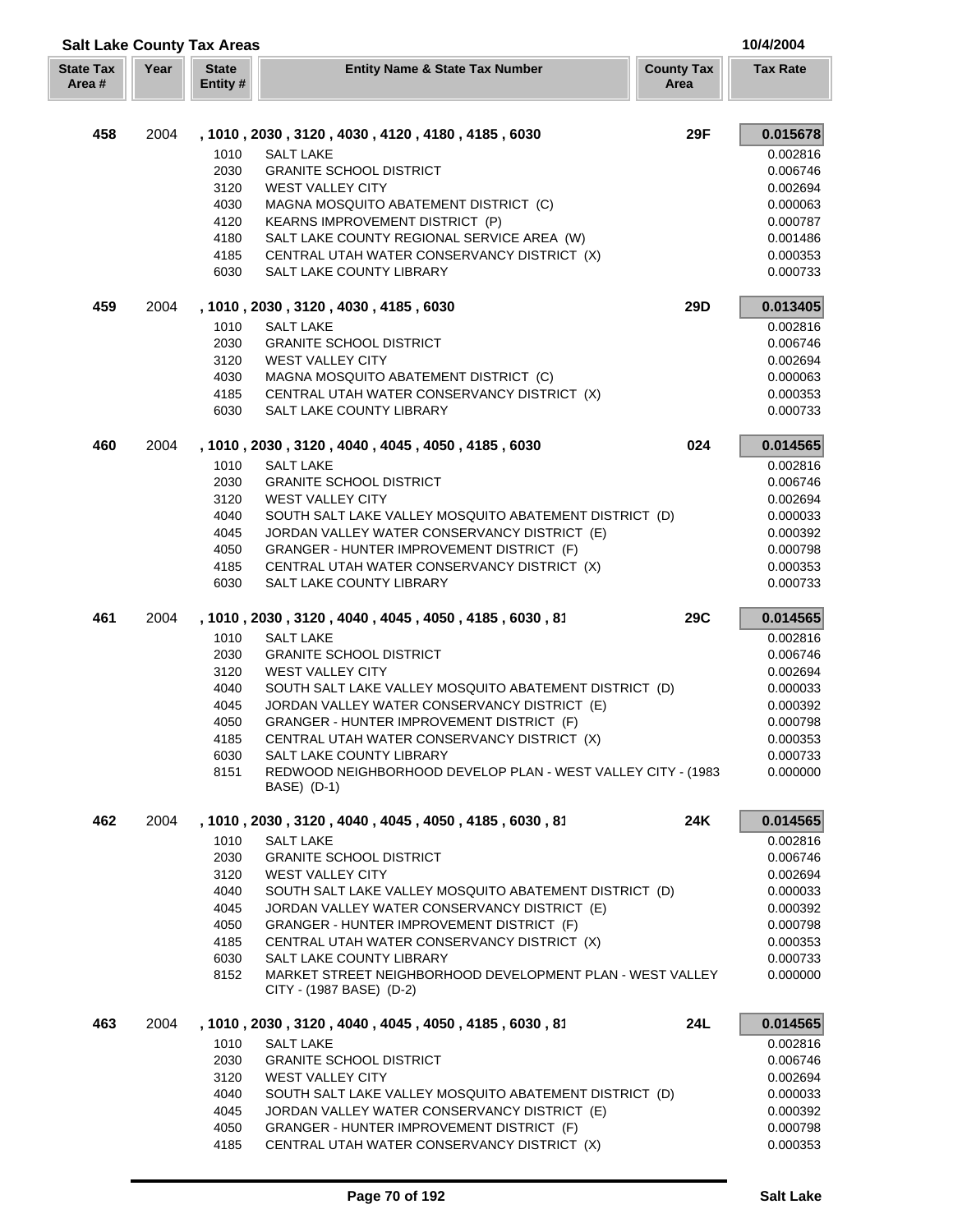| <b>Salt Lake County Tax Areas</b> |      |                          |                                                                                       |                           | 10/4/2004            |
|-----------------------------------|------|--------------------------|---------------------------------------------------------------------------------------|---------------------------|----------------------|
| <b>State Tax</b><br>Area#         | Year | <b>State</b><br>Entity # | <b>Entity Name &amp; State Tax Number</b>                                             | <b>County Tax</b><br>Area | <b>Tax Rate</b>      |
| 458                               | 2004 |                          | , 1010, 2030, 3120, 4030, 4120, 4180, 4185, 6030                                      | <b>29F</b>                | 0.015678             |
|                                   |      | 1010                     | <b>SALT LAKE</b>                                                                      |                           | 0.002816             |
|                                   |      | 2030                     | <b>GRANITE SCHOOL DISTRICT</b>                                                        |                           | 0.006746             |
|                                   |      | 3120                     | <b>WEST VALLEY CITY</b>                                                               |                           | 0.002694             |
|                                   |      | 4030                     | MAGNA MOSQUITO ABATEMENT DISTRICT (C)                                                 |                           | 0.000063             |
|                                   |      | 4120                     | KEARNS IMPROVEMENT DISTRICT (P)                                                       |                           | 0.000787             |
|                                   |      | 4180                     | SALT LAKE COUNTY REGIONAL SERVICE AREA (W)                                            |                           | 0.001486             |
|                                   |      | 4185                     | CENTRAL UTAH WATER CONSERVANCY DISTRICT (X)                                           |                           | 0.000353             |
|                                   |      | 6030                     | SALT LAKE COUNTY LIBRARY                                                              |                           | 0.000733             |
| 459                               | 2004 |                          | , 1010 , 2030 , 3120 , 4030 , 4185 , 6030                                             | 29D                       | 0.013405             |
|                                   |      | 1010                     | <b>SALT LAKE</b>                                                                      |                           | 0.002816             |
|                                   |      | 2030                     | <b>GRANITE SCHOOL DISTRICT</b>                                                        |                           | 0.006746             |
|                                   |      | 3120                     | WEST VALLEY CITY                                                                      |                           | 0.002694             |
|                                   |      | 4030                     | MAGNA MOSQUITO ABATEMENT DISTRICT (C)                                                 |                           | 0.000063             |
|                                   |      | 4185                     | CENTRAL UTAH WATER CONSERVANCY DISTRICT (X)                                           |                           | 0.000353             |
|                                   |      | 6030                     | <b>SALT LAKE COUNTY LIBRARY</b>                                                       |                           | 0.000733             |
| 460                               | 2004 |                          | , 1010, 2030, 3120, 4040, 4045, 4050, 4185, 6030                                      | 024                       | 0.014565             |
|                                   |      | 1010                     | <b>SALT LAKE</b>                                                                      |                           | 0.002816             |
|                                   |      | 2030                     | <b>GRANITE SCHOOL DISTRICT</b>                                                        |                           | 0.006746             |
|                                   |      | 3120                     | <b>WEST VALLEY CITY</b>                                                               |                           | 0.002694             |
|                                   |      | 4040                     | SOUTH SALT LAKE VALLEY MOSQUITO ABATEMENT DISTRICT (D)                                |                           | 0.000033             |
|                                   |      | 4045                     | JORDAN VALLEY WATER CONSERVANCY DISTRICT (E)                                          |                           | 0.000392             |
|                                   |      | 4050                     | GRANGER - HUNTER IMPROVEMENT DISTRICT (F)                                             |                           | 0.000798             |
|                                   |      | 4185<br>6030             | CENTRAL UTAH WATER CONSERVANCY DISTRICT (X)<br>SALT LAKE COUNTY LIBRARY               |                           | 0.000353<br>0.000733 |
| 461                               | 2004 |                          | , 1010 , 2030 , 3120 , 4040 , 4045 , 4050 , 4185 , 6030 , 81                          | <b>29C</b>                | 0.014565             |
|                                   |      | 1010                     | <b>SALT LAKE</b>                                                                      |                           | 0.002816             |
|                                   |      | 2030                     | <b>GRANITE SCHOOL DISTRICT</b>                                                        |                           | 0.006746             |
|                                   |      | 3120                     | WEST VALLEY CITY                                                                      |                           | 0.002694             |
|                                   |      | 4040                     | SOUTH SALT LAKE VALLEY MOSQUITO ABATEMENT DISTRICT (D)                                |                           | 0.000033             |
|                                   |      | 4045                     | JORDAN VALLEY WATER CONSERVANCY DISTRICT (E)                                          |                           | 0.000392             |
|                                   |      | 4050                     | GRANGER - HUNTER IMPROVEMENT DISTRICT (F)                                             |                           | 0.000798             |
|                                   |      | 4185                     | CENTRAL UTAH WATER CONSERVANCY DISTRICT (X)                                           |                           | 0.000353             |
|                                   |      | 6030                     | SALT LAKE COUNTY LIBRARY                                                              |                           | 0.000733             |
|                                   |      | 8151                     | REDWOOD NEIGHBORHOOD DEVELOP PLAN - WEST VALLEY CITY - (1983<br>BASE) (D-1)           |                           | 0.000000             |
| 462                               | 2004 |                          | , 1010, 2030, 3120, 4040, 4045, 4050, 4185, 6030, 81                                  | 24K                       | 0.014565             |
|                                   |      | 1010                     | <b>SALT LAKE</b>                                                                      |                           | 0.002816             |
|                                   |      | 2030                     | <b>GRANITE SCHOOL DISTRICT</b>                                                        |                           | 0.006746             |
|                                   |      | 3120                     | <b>WEST VALLEY CITY</b>                                                               |                           | 0.002694             |
|                                   |      | 4040                     | SOUTH SALT LAKE VALLEY MOSQUITO ABATEMENT DISTRICT (D)                                |                           | 0.000033             |
|                                   |      | 4045                     | JORDAN VALLEY WATER CONSERVANCY DISTRICT (E)                                          |                           | 0.000392             |
|                                   |      | 4050                     | GRANGER - HUNTER IMPROVEMENT DISTRICT (F)                                             |                           | 0.000798             |
|                                   |      | 4185                     | CENTRAL UTAH WATER CONSERVANCY DISTRICT (X)                                           |                           | 0.000353             |
|                                   |      | 6030                     | SALT LAKE COUNTY LIBRARY                                                              |                           | 0.000733             |
|                                   |      | 8152                     | MARKET STREET NEIGHBORHOOD DEVELOPMENT PLAN - WEST VALLEY<br>CITY - (1987 BASE) (D-2) |                           | 0.000000             |
| 463                               | 2004 |                          | , 1010, 2030, 3120, 4040, 4045, 4050, 4185, 6030, 81                                  | <b>24L</b>                | 0.014565             |
|                                   |      | 1010                     | <b>SALT LAKE</b>                                                                      |                           | 0.002816             |
|                                   |      | 2030                     | <b>GRANITE SCHOOL DISTRICT</b>                                                        |                           | 0.006746             |
|                                   |      | 3120                     | <b>WEST VALLEY CITY</b>                                                               |                           | 0.002694             |
|                                   |      | 4040                     | SOUTH SALT LAKE VALLEY MOSQUITO ABATEMENT DISTRICT (D)                                |                           | 0.000033             |
|                                   |      | 4045                     | JORDAN VALLEY WATER CONSERVANCY DISTRICT (E)                                          |                           | 0.000392             |
|                                   |      | 4050                     | GRANGER - HUNTER IMPROVEMENT DISTRICT (F)                                             |                           | 0.000798             |
|                                   |      | 4185                     | CENTRAL UTAH WATER CONSERVANCY DISTRICT (X)                                           |                           | 0.000353             |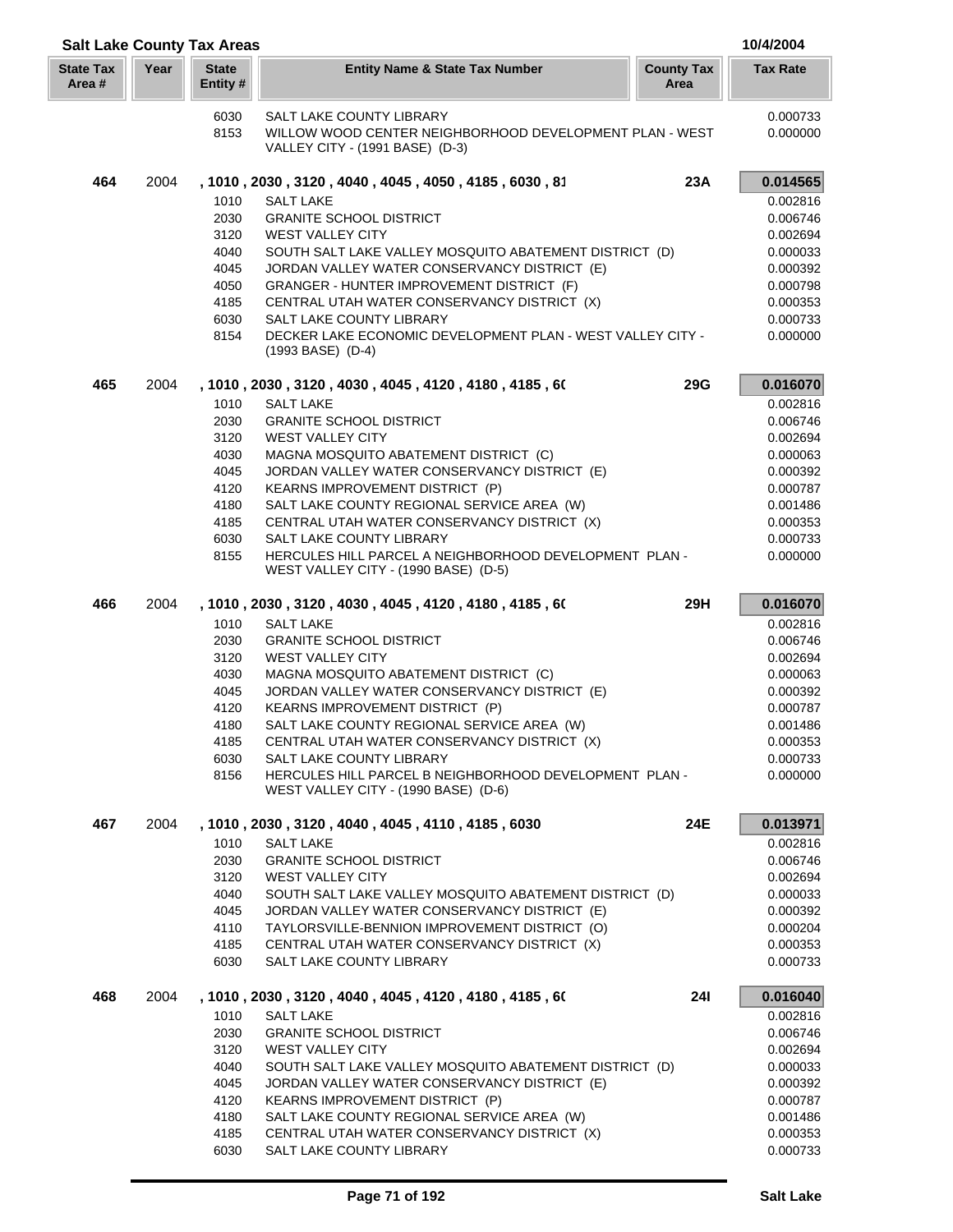|                            |      | <b>Salt Lake County Tax Areas</b> |                                                                                                                        |                           | 10/4/2004            |
|----------------------------|------|-----------------------------------|------------------------------------------------------------------------------------------------------------------------|---------------------------|----------------------|
| <b>State Tax</b><br>Area # | Year | <b>State</b><br>Entity#           | <b>Entity Name &amp; State Tax Number</b>                                                                              | <b>County Tax</b><br>Area | <b>Tax Rate</b>      |
|                            |      | 6030<br>8153                      | SALT LAKE COUNTY LIBRARY<br>WILLOW WOOD CENTER NEIGHBORHOOD DEVELOPMENT PLAN - WEST<br>VALLEY CITY - (1991 BASE) (D-3) |                           | 0.000733<br>0.000000 |
| 464                        | 2004 |                                   | , 1010, 2030, 3120, 4040, 4045, 4050, 4185, 6030, 81                                                                   | 23A                       | 0.014565             |
|                            |      | 1010                              | <b>SALT LAKE</b>                                                                                                       |                           | 0.002816             |
|                            |      | 2030                              | <b>GRANITE SCHOOL DISTRICT</b>                                                                                         |                           | 0.006746             |
|                            |      | 3120                              | <b>WEST VALLEY CITY</b>                                                                                                |                           | 0.002694             |
|                            |      | 4040                              | SOUTH SALT LAKE VALLEY MOSQUITO ABATEMENT DISTRICT (D)                                                                 |                           | 0.000033             |
|                            |      | 4045                              | JORDAN VALLEY WATER CONSERVANCY DISTRICT (E)                                                                           |                           | 0.000392             |
|                            |      | 4050                              | GRANGER - HUNTER IMPROVEMENT DISTRICT (F)                                                                              |                           | 0.000798             |
|                            |      | 4185<br>6030                      | CENTRAL UTAH WATER CONSERVANCY DISTRICT (X)                                                                            |                           | 0.000353             |
|                            |      | 8154                              | SALT LAKE COUNTY LIBRARY<br>DECKER LAKE ECONOMIC DEVELOPMENT PLAN - WEST VALLEY CITY -                                 |                           | 0.000733<br>0.000000 |
|                            |      |                                   | $(1993$ BASE) $(D-4)$                                                                                                  |                           |                      |
| 465                        | 2004 |                                   | , 1010, 2030, 3120, 4030, 4045, 4120, 4180, 4185, 60                                                                   | <b>29G</b>                | 0.016070             |
|                            |      | 1010                              | <b>SALT LAKE</b>                                                                                                       |                           | 0.002816             |
|                            |      | 2030                              | <b>GRANITE SCHOOL DISTRICT</b>                                                                                         |                           | 0.006746             |
|                            |      | 3120                              | WEST VALLEY CITY                                                                                                       |                           | 0.002694             |
|                            |      | 4030                              | MAGNA MOSQUITO ABATEMENT DISTRICT (C)                                                                                  |                           | 0.000063             |
|                            |      | 4045<br>4120                      | JORDAN VALLEY WATER CONSERVANCY DISTRICT (E)<br>KEARNS IMPROVEMENT DISTRICT (P)                                        |                           | 0.000392<br>0.000787 |
|                            |      | 4180                              | SALT LAKE COUNTY REGIONAL SERVICE AREA (W)                                                                             |                           | 0.001486             |
|                            |      | 4185                              | CENTRAL UTAH WATER CONSERVANCY DISTRICT (X)                                                                            |                           | 0.000353             |
|                            |      | 6030                              | SALT LAKE COUNTY LIBRARY                                                                                               |                           | 0.000733             |
|                            |      | 8155                              | HERCULES HILL PARCEL A NEIGHBORHOOD DEVELOPMENT PLAN -<br>WEST VALLEY CITY - (1990 BASE) (D-5)                         |                           | 0.000000             |
| 466                        | 2004 |                                   | , 1010 , 2030 , 3120 , 4030 , 4045 , 4120 , 4180 , 4185 , 60                                                           | 29H                       | 0.016070             |
|                            |      | 1010                              | <b>SALT LAKE</b>                                                                                                       |                           | 0.002816             |
|                            |      | 2030                              | <b>GRANITE SCHOOL DISTRICT</b>                                                                                         |                           | 0.006746             |
|                            |      | 3120                              | <b>WEST VALLEY CITY</b>                                                                                                |                           | 0.002694             |
|                            |      | 4030                              | MAGNA MOSQUITO ABATEMENT DISTRICT (C)                                                                                  |                           | 0.000063             |
|                            |      | 4045                              | JORDAN VALLEY WATER CONSERVANCY DISTRICT (E)                                                                           |                           | 0.000392             |
|                            |      | 4120                              | <b>KEARNS IMPROVEMENT DISTRICT (P)</b><br>SALT LAKE COUNTY REGIONAL SERVICE AREA (W)                                   |                           | 0.000787             |
|                            |      | 4180<br>4185                      | CENTRAL UTAH WATER CONSERVANCY DISTRICT (X)                                                                            |                           | 0.001486<br>0.000353 |
|                            |      | 6030                              | <b>SALT LAKE COUNTY LIBRARY</b>                                                                                        |                           | 0.000733             |
|                            |      | 8156                              | HERCULES HILL PARCEL B NEIGHBORHOOD DEVELOPMENT PLAN -                                                                 |                           | 0.000000             |
|                            |      |                                   | WEST VALLEY CITY - (1990 BASE) (D-6)                                                                                   |                           |                      |
| 467                        | 2004 |                                   | , 1010, 2030, 3120, 4040, 4045, 4110, 4185, 6030                                                                       | 24E                       | 0.013971             |
|                            |      | 1010                              | SALT LAKE                                                                                                              |                           | 0.002816             |
|                            |      | 2030                              | <b>GRANITE SCHOOL DISTRICT</b>                                                                                         |                           | 0.006746             |
|                            |      | 3120                              | <b>WEST VALLEY CITY</b>                                                                                                |                           | 0.002694             |
|                            |      | 4040                              | SOUTH SALT LAKE VALLEY MOSQUITO ABATEMENT DISTRICT (D)                                                                 |                           | 0.000033             |
|                            |      | 4045<br>4110                      | JORDAN VALLEY WATER CONSERVANCY DISTRICT (E)<br>TAYLORSVILLE-BENNION IMPROVEMENT DISTRICT (O)                          |                           | 0.000392<br>0.000204 |
|                            |      | 4185                              | CENTRAL UTAH WATER CONSERVANCY DISTRICT (X)                                                                            |                           | 0.000353             |
|                            |      | 6030                              | SALT LAKE COUNTY LIBRARY                                                                                               |                           | 0.000733             |
| 468                        | 2004 |                                   | , 1010, 2030, 3120, 4040, 4045, 4120, 4180, 4185, 60                                                                   | <b>241</b>                | 0.016040             |
|                            |      | 1010                              | <b>SALT LAKE</b>                                                                                                       |                           | 0.002816             |
|                            |      | 2030                              | <b>GRANITE SCHOOL DISTRICT</b>                                                                                         |                           | 0.006746             |
|                            |      | 3120                              | <b>WEST VALLEY CITY</b>                                                                                                |                           | 0.002694             |
|                            |      | 4040                              | SOUTH SALT LAKE VALLEY MOSQUITO ABATEMENT DISTRICT (D)                                                                 |                           | 0.000033             |
|                            |      | 4045                              | JORDAN VALLEY WATER CONSERVANCY DISTRICT (E)                                                                           |                           | 0.000392             |
|                            |      | 4120<br>4180                      | <b>KEARNS IMPROVEMENT DISTRICT (P)</b><br>SALT LAKE COUNTY REGIONAL SERVICE AREA (W)                                   |                           | 0.000787<br>0.001486 |
|                            |      | 4185                              | CENTRAL UTAH WATER CONSERVANCY DISTRICT (X)                                                                            |                           | 0.000353             |
|                            |      | 6030                              | SALT LAKE COUNTY LIBRARY                                                                                               |                           | 0.000733             |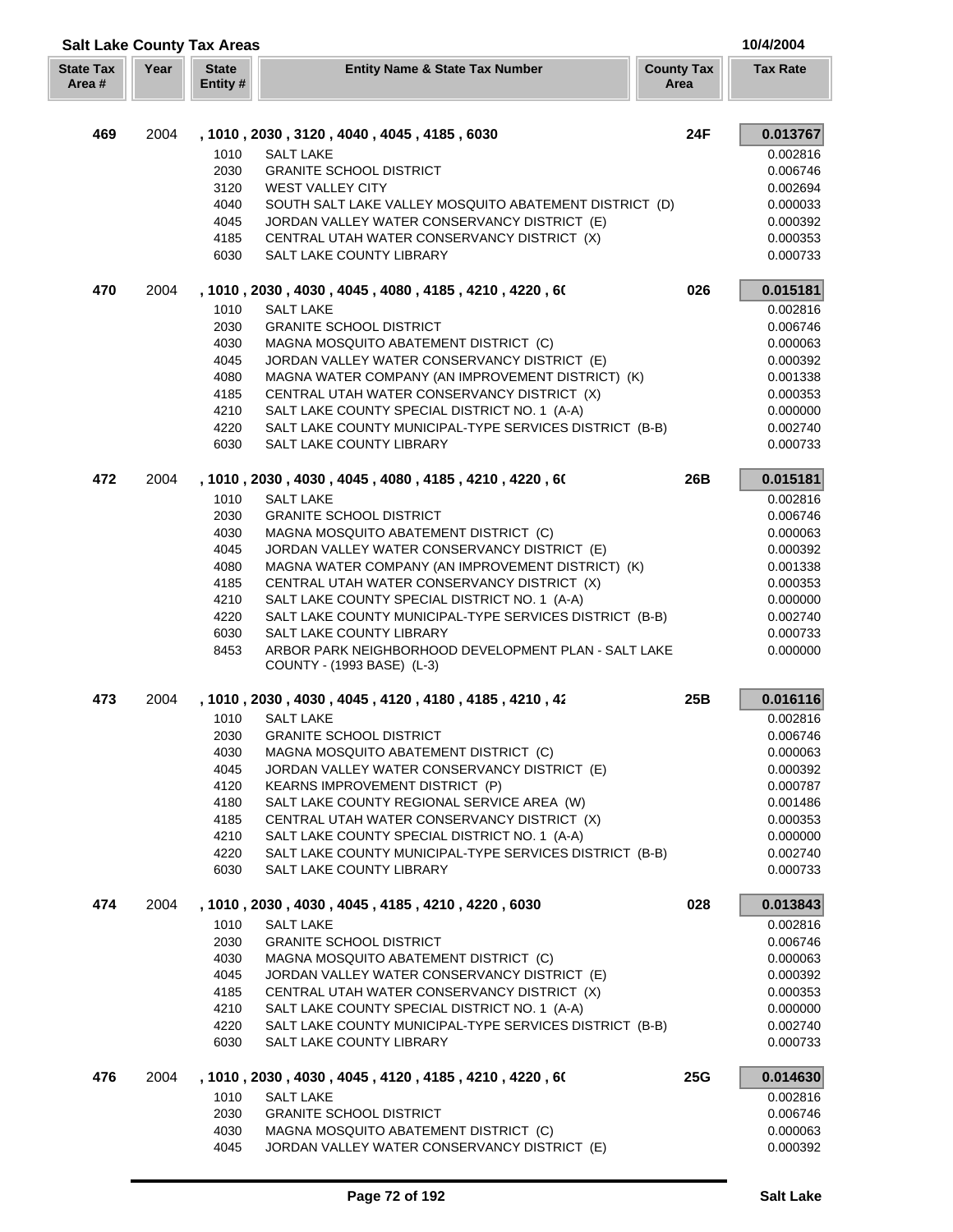| <b>Salt Lake County Tax Areas</b> |      |                         |                                                                                                   |                           | 10/4/2004            |
|-----------------------------------|------|-------------------------|---------------------------------------------------------------------------------------------------|---------------------------|----------------------|
| <b>State Tax</b><br>Area #        | Year | <b>State</b><br>Entity# | <b>Entity Name &amp; State Tax Number</b>                                                         | <b>County Tax</b><br>Area | <b>Tax Rate</b>      |
| 469                               | 2004 |                         | , 1010, 2030, 3120, 4040, 4045, 4185, 6030                                                        | <b>24F</b>                | 0.013767             |
|                                   |      | 1010                    | <b>SALT LAKE</b>                                                                                  |                           | 0.002816             |
|                                   |      | 2030                    | <b>GRANITE SCHOOL DISTRICT</b>                                                                    |                           | 0.006746             |
|                                   |      | 3120                    | <b>WEST VALLEY CITY</b>                                                                           |                           | 0.002694             |
|                                   |      | 4040                    | SOUTH SALT LAKE VALLEY MOSQUITO ABATEMENT DISTRICT (D)                                            |                           | 0.000033             |
|                                   |      | 4045                    | JORDAN VALLEY WATER CONSERVANCY DISTRICT (E)                                                      |                           | 0.000392             |
|                                   |      | 4185                    | CENTRAL UTAH WATER CONSERVANCY DISTRICT (X)                                                       |                           | 0.000353             |
|                                   |      | 6030                    | SALT LAKE COUNTY LIBRARY                                                                          |                           | 0.000733             |
| 470                               | 2004 |                         | , 1010 , 2030 , 4030 , 4045 , 4080 , 4185 , 4210 , 4220 , 60                                      | 026                       | 0.015181             |
|                                   |      | 1010                    | <b>SALT LAKE</b>                                                                                  |                           | 0.002816             |
|                                   |      | 2030                    | <b>GRANITE SCHOOL DISTRICT</b>                                                                    |                           | 0.006746             |
|                                   |      | 4030                    | MAGNA MOSQUITO ABATEMENT DISTRICT (C)                                                             |                           | 0.000063             |
|                                   |      | 4045<br>4080            | JORDAN VALLEY WATER CONSERVANCY DISTRICT (E)<br>MAGNA WATER COMPANY (AN IMPROVEMENT DISTRICT) (K) |                           | 0.000392<br>0.001338 |
|                                   |      | 4185                    | CENTRAL UTAH WATER CONSERVANCY DISTRICT (X)                                                       |                           | 0.000353             |
|                                   |      | 4210                    | SALT LAKE COUNTY SPECIAL DISTRICT NO. 1 (A-A)                                                     |                           | 0.000000             |
|                                   |      | 4220                    | SALT LAKE COUNTY MUNICIPAL-TYPE SERVICES DISTRICT (B-B)                                           |                           | 0.002740             |
|                                   |      | 6030                    | SALT LAKE COUNTY LIBRARY                                                                          |                           | 0.000733             |
| 472                               | 2004 |                         | , 1010 , 2030 , 4030 , 4045 , 4080 , 4185 , 4210 , 4220 , 60                                      | 26B                       | 0.015181             |
|                                   |      | 1010                    | <b>SALT LAKE</b>                                                                                  |                           | 0.002816             |
|                                   |      | 2030                    | <b>GRANITE SCHOOL DISTRICT</b>                                                                    |                           | 0.006746             |
|                                   |      | 4030                    | MAGNA MOSQUITO ABATEMENT DISTRICT (C)                                                             |                           | 0.000063             |
|                                   |      | 4045                    | JORDAN VALLEY WATER CONSERVANCY DISTRICT (E)                                                      |                           | 0.000392             |
|                                   |      | 4080                    | MAGNA WATER COMPANY (AN IMPROVEMENT DISTRICT) (K)                                                 |                           | 0.001338             |
|                                   |      | 4185<br>4210            | CENTRAL UTAH WATER CONSERVANCY DISTRICT (X)<br>SALT LAKE COUNTY SPECIAL DISTRICT NO. 1 (A-A)      |                           | 0.000353<br>0.000000 |
|                                   |      | 4220                    | SALT LAKE COUNTY MUNICIPAL-TYPE SERVICES DISTRICT (B-B)                                           |                           | 0.002740             |
|                                   |      | 6030                    | SALT LAKE COUNTY LIBRARY                                                                          |                           | 0.000733             |
|                                   |      | 8453                    | ARBOR PARK NEIGHBORHOOD DEVELOPMENT PLAN - SALT LAKE<br>COUNTY - (1993 BASE) (L-3)                |                           | 0.000000             |
| 473                               | 2004 |                         | , 1010, 2030, 4030, 4045, 4120, 4180, 4185, 4210, 42                                              | 25B                       | 0.016116             |
|                                   |      | 1010                    | <b>SALT LAKE</b>                                                                                  |                           | 0.002816             |
|                                   |      | 2030                    | <b>GRANITE SCHOOL DISTRICT</b>                                                                    |                           | 0.006746             |
|                                   |      | 4030                    | MAGNA MOSQUITO ABATEMENT DISTRICT (C)                                                             |                           | 0.000063             |
|                                   |      | 4045                    | JORDAN VALLEY WATER CONSERVANCY DISTRICT (E)                                                      |                           | 0.000392             |
|                                   |      | 4120                    | KEARNS IMPROVEMENT DISTRICT (P)                                                                   |                           | 0.000787             |
|                                   |      | 4180                    | SALT LAKE COUNTY REGIONAL SERVICE AREA (W)                                                        |                           | 0.001486             |
|                                   |      | 4185                    | CENTRAL UTAH WATER CONSERVANCY DISTRICT (X)                                                       |                           | 0.000353             |
|                                   |      | 4210                    | SALT LAKE COUNTY SPECIAL DISTRICT NO. 1 (A-A)                                                     |                           | 0.000000             |
|                                   |      | 4220<br>6030            | SALT LAKE COUNTY MUNICIPAL-TYPE SERVICES DISTRICT (B-B)<br>SALT LAKE COUNTY LIBRARY               |                           | 0.002740<br>0.000733 |
| 474                               | 2004 |                         | , 1010, 2030, 4030, 4045, 4185, 4210, 4220, 6030                                                  | 028                       | 0.013843             |
|                                   |      | 1010                    | <b>SALT LAKE</b>                                                                                  |                           | 0.002816             |
|                                   |      | 2030                    | <b>GRANITE SCHOOL DISTRICT</b>                                                                    |                           | 0.006746             |
|                                   |      | 4030                    | MAGNA MOSQUITO ABATEMENT DISTRICT (C)                                                             |                           | 0.000063             |
|                                   |      | 4045                    | JORDAN VALLEY WATER CONSERVANCY DISTRICT (E)                                                      |                           | 0.000392             |
|                                   |      | 4185                    | CENTRAL UTAH WATER CONSERVANCY DISTRICT (X)                                                       |                           | 0.000353             |
|                                   |      | 4210                    | SALT LAKE COUNTY SPECIAL DISTRICT NO. 1 (A-A)                                                     |                           | 0.000000             |
|                                   |      | 4220<br>6030            | SALT LAKE COUNTY MUNICIPAL-TYPE SERVICES DISTRICT (B-B)<br>SALT LAKE COUNTY LIBRARY               |                           | 0.002740<br>0.000733 |
| 476                               | 2004 |                         | , 1010, 2030, 4030, 4045, 4120, 4185, 4210, 4220, 60                                              | <b>25G</b>                | 0.014630             |
|                                   |      | 1010                    | <b>SALT LAKE</b>                                                                                  |                           | 0.002816             |
|                                   |      | 2030                    | <b>GRANITE SCHOOL DISTRICT</b>                                                                    |                           | 0.006746             |
|                                   |      | 4030                    | MAGNA MOSQUITO ABATEMENT DISTRICT (C)                                                             |                           | 0.000063             |
|                                   |      | 4045                    | JORDAN VALLEY WATER CONSERVANCY DISTRICT (E)                                                      |                           | 0.000392             |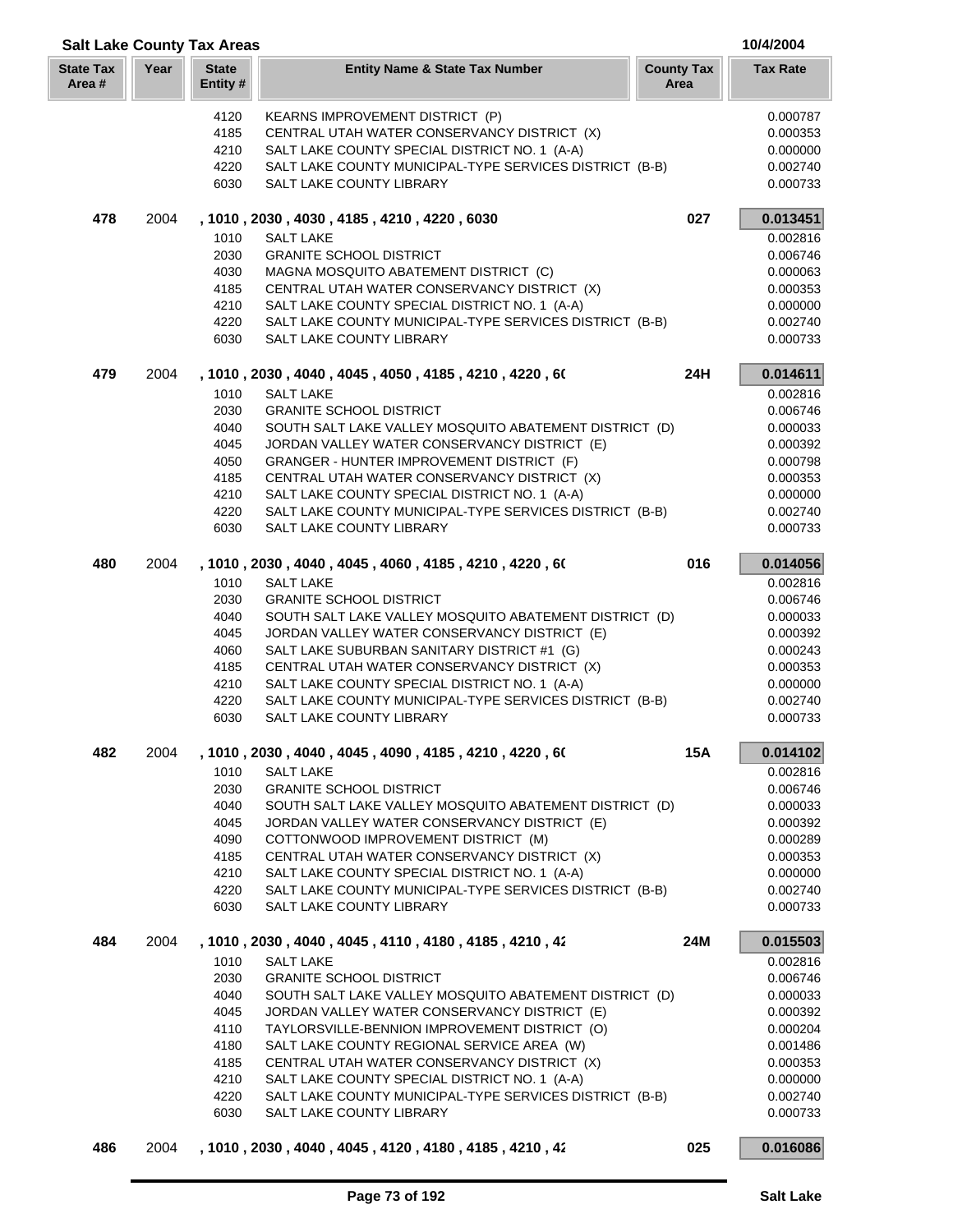| <b>Salt Lake County Tax Areas</b> |      |                          |                                                                                          |                           |                      |
|-----------------------------------|------|--------------------------|------------------------------------------------------------------------------------------|---------------------------|----------------------|
| <b>State Tax</b><br>Area #        | Year | <b>State</b><br>Entity # | <b>Entity Name &amp; State Tax Number</b>                                                | <b>County Tax</b><br>Area | <b>Tax Rate</b>      |
|                                   |      | 4120                     | KEARNS IMPROVEMENT DISTRICT (P)                                                          |                           | 0.000787             |
|                                   |      | 4185                     | CENTRAL UTAH WATER CONSERVANCY DISTRICT (X)                                              |                           | 0.000353             |
|                                   |      | 4210                     | SALT LAKE COUNTY SPECIAL DISTRICT NO. 1 (A-A)                                            |                           | 0.000000             |
|                                   |      | 4220                     | SALT LAKE COUNTY MUNICIPAL-TYPE SERVICES DISTRICT (B-B)                                  |                           | 0.002740             |
|                                   |      | 6030                     | SALT LAKE COUNTY LIBRARY                                                                 |                           | 0.000733             |
| 478                               | 2004 |                          | , 1010, 2030, 4030, 4185, 4210, 4220, 6030                                               | 027                       | 0.013451             |
|                                   |      | 1010                     | <b>SALT LAKE</b>                                                                         |                           | 0.002816             |
|                                   |      | 2030                     | <b>GRANITE SCHOOL DISTRICT</b>                                                           |                           | 0.006746             |
|                                   |      | 4030                     | MAGNA MOSQUITO ABATEMENT DISTRICT (C)                                                    |                           | 0.000063             |
|                                   |      | 4185                     | CENTRAL UTAH WATER CONSERVANCY DISTRICT (X)                                              |                           | 0.000353             |
|                                   |      | 4210                     | SALT LAKE COUNTY SPECIAL DISTRICT NO. 1 (A-A)                                            |                           | 0.000000             |
|                                   |      | 4220<br>6030             | SALT LAKE COUNTY MUNICIPAL-TYPE SERVICES DISTRICT (B-B)<br>SALT LAKE COUNTY LIBRARY      |                           | 0.002740<br>0.000733 |
| 479                               | 2004 |                          | , 1010 , 2030 , 4040 , 4045 , 4050 , 4185 , 4210 , 4220 , 60                             | 24H                       | 0.014611             |
|                                   |      | 1010                     | <b>SALT LAKE</b>                                                                         |                           | 0.002816             |
|                                   |      | 2030                     | <b>GRANITE SCHOOL DISTRICT</b>                                                           |                           | 0.006746             |
|                                   |      | 4040                     | SOUTH SALT LAKE VALLEY MOSQUITO ABATEMENT DISTRICT (D)                                   |                           | 0.000033             |
|                                   |      | 4045                     | JORDAN VALLEY WATER CONSERVANCY DISTRICT (E)                                             |                           | 0.000392             |
|                                   |      | 4050                     | GRANGER - HUNTER IMPROVEMENT DISTRICT (F)                                                |                           | 0.000798             |
|                                   |      | 4185                     | CENTRAL UTAH WATER CONSERVANCY DISTRICT (X)                                              |                           | 0.000353             |
|                                   |      | 4210                     | SALT LAKE COUNTY SPECIAL DISTRICT NO. 1 (A-A)                                            |                           | 0.000000             |
|                                   |      | 4220                     | SALT LAKE COUNTY MUNICIPAL-TYPE SERVICES DISTRICT (B-B)                                  |                           | 0.002740             |
|                                   |      | 6030                     | SALT LAKE COUNTY LIBRARY                                                                 |                           | 0.000733             |
| 480                               | 2004 |                          | , 1010, 2030, 4040, 4045, 4060, 4185, 4210, 4220, 60                                     | 016                       | 0.014056             |
|                                   |      | 1010                     | <b>SALT LAKE</b>                                                                         |                           | 0.002816             |
|                                   |      | 2030                     | <b>GRANITE SCHOOL DISTRICT</b>                                                           |                           | 0.006746             |
|                                   |      | 4040                     | SOUTH SALT LAKE VALLEY MOSQUITO ABATEMENT DISTRICT (D)                                   |                           | 0.000033             |
|                                   |      | 4045                     | JORDAN VALLEY WATER CONSERVANCY DISTRICT (E)                                             |                           | 0.000392             |
|                                   |      | 4060                     | SALT LAKE SUBURBAN SANITARY DISTRICT #1 (G)                                              |                           | 0.000243             |
|                                   |      | 4185                     | CENTRAL UTAH WATER CONSERVANCY DISTRICT (X)                                              |                           | 0.000353             |
|                                   |      | 4210                     | SALT LAKE COUNTY SPECIAL DISTRICT NO. 1 (A-A)                                            |                           | 0.000000             |
|                                   |      | 4220<br>6030             | SALT LAKE COUNTY MUNICIPAL-TYPE SERVICES DISTRICT (B-B)<br>SALT LAKE COUNTY LIBRARY      |                           | 0.002740<br>0.000733 |
| 482                               | 2004 |                          | , 1010 , 2030 , 4040 , 4045 , 4090 , 4185 , 4210 , 4220 , 60                             | <b>15A</b>                | 0.014102             |
|                                   |      | 1010                     | <b>SALT LAKE</b>                                                                         |                           | 0.002816             |
|                                   |      | 2030                     | <b>GRANITE SCHOOL DISTRICT</b>                                                           |                           | 0.006746             |
|                                   |      | 4040                     | SOUTH SALT LAKE VALLEY MOSQUITO ABATEMENT DISTRICT (D)                                   |                           | 0.000033             |
|                                   |      | 4045                     | JORDAN VALLEY WATER CONSERVANCY DISTRICT (E)                                             |                           | 0.000392             |
|                                   |      | 4090                     | COTTONWOOD IMPROVEMENT DISTRICT (M)                                                      |                           | 0.000289             |
|                                   |      | 4185                     | CENTRAL UTAH WATER CONSERVANCY DISTRICT (X)                                              |                           | 0.000353             |
|                                   |      | 4210                     | SALT LAKE COUNTY SPECIAL DISTRICT NO. 1 (A-A)                                            |                           | 0.000000             |
|                                   |      | 4220                     | SALT LAKE COUNTY MUNICIPAL-TYPE SERVICES DISTRICT (B-B)                                  |                           | 0.002740             |
|                                   |      | 6030                     | SALT LAKE COUNTY LIBRARY                                                                 |                           | 0.000733             |
| 484                               | 2004 |                          | , 1010 , 2030 , 4040 , 4045 , 4110 , 4180 , 4185 , 4210 , 42                             | 24M                       | 0.015503             |
|                                   |      | 1010                     | <b>SALT LAKE</b>                                                                         |                           | 0.002816             |
|                                   |      | 2030<br>4040             | <b>GRANITE SCHOOL DISTRICT</b><br>SOUTH SALT LAKE VALLEY MOSQUITO ABATEMENT DISTRICT (D) |                           | 0.006746<br>0.000033 |
|                                   |      | 4045                     | JORDAN VALLEY WATER CONSERVANCY DISTRICT (E)                                             |                           | 0.000392             |
|                                   |      | 4110                     | TAYLORSVILLE-BENNION IMPROVEMENT DISTRICT (O)                                            |                           | 0.000204             |
|                                   |      | 4180                     | SALT LAKE COUNTY REGIONAL SERVICE AREA (W)                                               |                           | 0.001486             |
|                                   |      | 4185                     | CENTRAL UTAH WATER CONSERVANCY DISTRICT (X)                                              |                           | 0.000353             |
|                                   |      | 4210                     | SALT LAKE COUNTY SPECIAL DISTRICT NO. 1 (A-A)                                            |                           | 0.000000             |
|                                   |      | 4220                     | SALT LAKE COUNTY MUNICIPAL-TYPE SERVICES DISTRICT (B-B)                                  |                           | 0.002740             |
|                                   |      | 6030                     | SALT LAKE COUNTY LIBRARY                                                                 |                           | 0.000733             |
| 486                               | 2004 |                          | , 1010, 2030, 4040, 4045, 4120, 4180, 4185, 4210, 42                                     | 025                       | 0.016086             |
|                                   |      |                          |                                                                                          |                           |                      |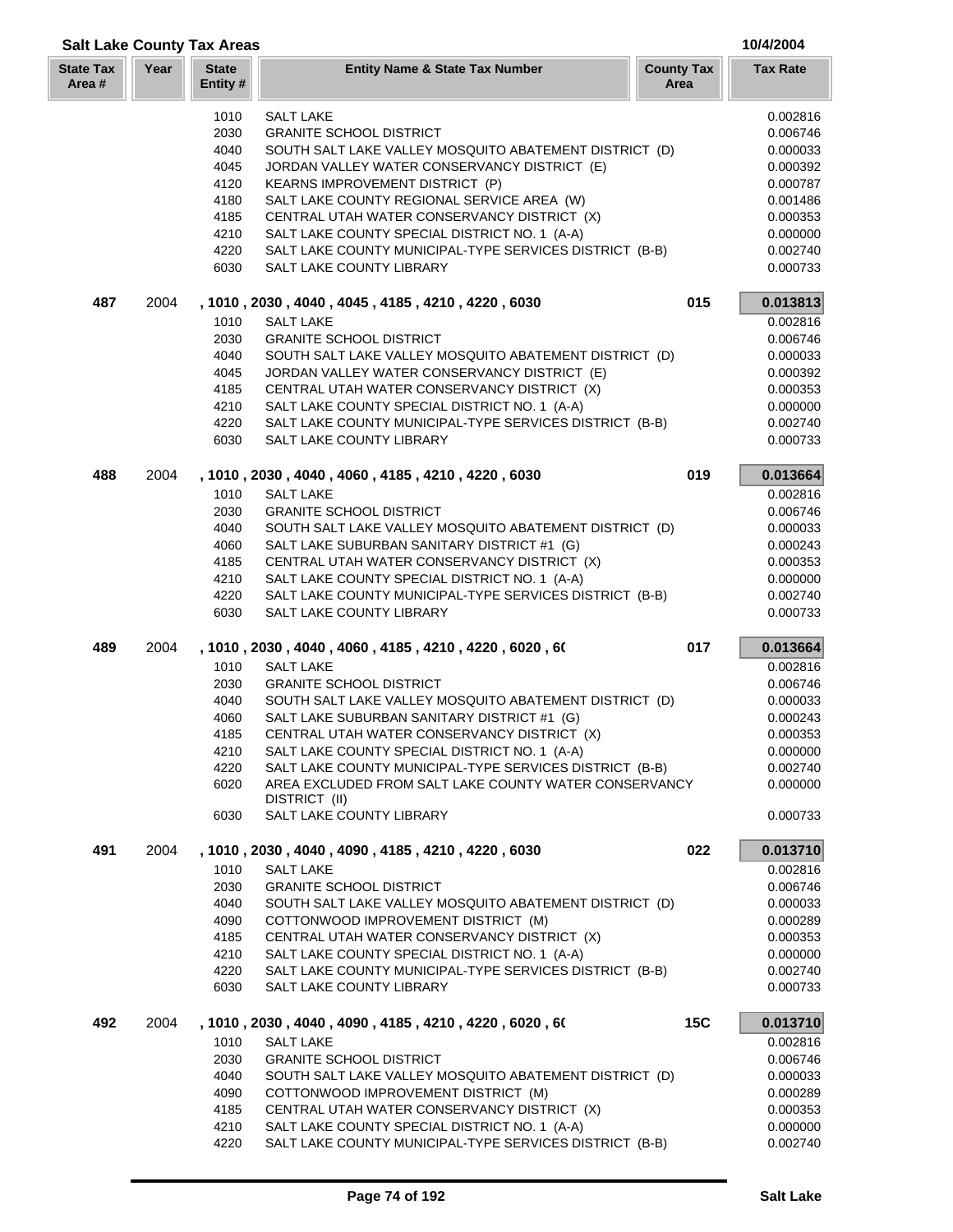| <b>Salt Lake County Tax Areas</b> |      |                         |                                                                                              |                           | 10/4/2004            |
|-----------------------------------|------|-------------------------|----------------------------------------------------------------------------------------------|---------------------------|----------------------|
| <b>State Tax</b><br>Area #        | Year | <b>State</b><br>Entity# | <b>Entity Name &amp; State Tax Number</b>                                                    | <b>County Tax</b><br>Area | <b>Tax Rate</b>      |
|                                   |      |                         |                                                                                              |                           |                      |
|                                   |      | 1010                    | <b>SALT LAKE</b>                                                                             |                           | 0.002816             |
|                                   |      | 2030                    | <b>GRANITE SCHOOL DISTRICT</b>                                                               |                           | 0.006746             |
|                                   |      | 4040                    | SOUTH SALT LAKE VALLEY MOSQUITO ABATEMENT DISTRICT (D)                                       |                           | 0.000033             |
|                                   |      | 4045                    | JORDAN VALLEY WATER CONSERVANCY DISTRICT (E)                                                 |                           | 0.000392             |
|                                   |      | 4120                    | KEARNS IMPROVEMENT DISTRICT (P)                                                              |                           | 0.000787             |
|                                   |      | 4180                    | SALT LAKE COUNTY REGIONAL SERVICE AREA (W)                                                   |                           | 0.001486             |
|                                   |      | 4185<br>4210            | CENTRAL UTAH WATER CONSERVANCY DISTRICT (X)<br>SALT LAKE COUNTY SPECIAL DISTRICT NO. 1 (A-A) |                           | 0.000353<br>0.000000 |
|                                   |      | 4220                    | SALT LAKE COUNTY MUNICIPAL-TYPE SERVICES DISTRICT (B-B)                                      |                           | 0.002740             |
|                                   |      | 6030                    | SALT LAKE COUNTY LIBRARY                                                                     |                           | 0.000733             |
| 487                               | 2004 |                         | , 1010, 2030, 4040, 4045, 4185, 4210, 4220, 6030                                             | 015                       | 0.013813             |
|                                   |      | 1010                    | <b>SALT LAKE</b>                                                                             |                           | 0.002816             |
|                                   |      | 2030                    | <b>GRANITE SCHOOL DISTRICT</b>                                                               |                           | 0.006746             |
|                                   |      | 4040                    | SOUTH SALT LAKE VALLEY MOSQUITO ABATEMENT DISTRICT (D)                                       |                           | 0.000033             |
|                                   |      | 4045                    | JORDAN VALLEY WATER CONSERVANCY DISTRICT (E)                                                 |                           | 0.000392             |
|                                   |      | 4185                    | CENTRAL UTAH WATER CONSERVANCY DISTRICT (X)                                                  |                           | 0.000353             |
|                                   |      | 4210                    | SALT LAKE COUNTY SPECIAL DISTRICT NO. 1 (A-A)                                                |                           | 0.000000             |
|                                   |      | 4220                    | SALT LAKE COUNTY MUNICIPAL-TYPE SERVICES DISTRICT (B-B)                                      |                           | 0.002740             |
|                                   |      | 6030                    | SALT LAKE COUNTY LIBRARY                                                                     |                           | 0.000733             |
| 488                               | 2004 |                         | , 1010, 2030, 4040, 4060, 4185, 4210, 4220, 6030                                             | 019                       | 0.013664             |
|                                   |      | 1010                    | <b>SALT LAKE</b>                                                                             |                           | 0.002816             |
|                                   |      | 2030                    | <b>GRANITE SCHOOL DISTRICT</b>                                                               |                           | 0.006746             |
|                                   |      | 4040                    | SOUTH SALT LAKE VALLEY MOSQUITO ABATEMENT DISTRICT (D)                                       |                           | 0.000033             |
|                                   |      | 4060                    | SALT LAKE SUBURBAN SANITARY DISTRICT #1 (G)                                                  |                           | 0.000243             |
|                                   |      | 4185                    | CENTRAL UTAH WATER CONSERVANCY DISTRICT (X)                                                  |                           | 0.000353             |
|                                   |      | 4210                    | SALT LAKE COUNTY SPECIAL DISTRICT NO. 1 (A-A)                                                |                           | 0.000000             |
|                                   |      | 4220<br>6030            | SALT LAKE COUNTY MUNICIPAL-TYPE SERVICES DISTRICT (B-B)<br>SALT LAKE COUNTY LIBRARY          |                           | 0.002740<br>0.000733 |
| 489                               | 2004 |                         | , 1010 , 2030 , 4040 , 4060 , 4185 , 4210 , 4220 , 6020 , 60                                 | 017                       | 0.013664             |
|                                   |      | 1010                    | <b>SALT LAKE</b>                                                                             |                           | 0.002816             |
|                                   |      | 2030                    | <b>GRANITE SCHOOL DISTRICT</b>                                                               |                           | 0.006746             |
|                                   |      | 4040                    | SOUTH SALT LAKE VALLEY MOSQUITO ABATEMENT DISTRICT (D)                                       |                           | 0.000033             |
|                                   |      | 4060                    | SALT LAKE SUBURBAN SANITARY DISTRICT #1 (G)                                                  |                           | 0.000243             |
|                                   |      | 4185                    | CENTRAL UTAH WATER CONSERVANCY DISTRICT (X)                                                  |                           | 0.000353             |
|                                   |      | 4210                    | SALT LAKE COUNTY SPECIAL DISTRICT NO. 1 (A-A)                                                |                           | 0.000000             |
|                                   |      | 4220                    | SALT LAKE COUNTY MUNICIPAL-TYPE SERVICES DISTRICT (B-B)                                      |                           | 0.002740             |
|                                   |      | 6020                    | AREA EXCLUDED FROM SALT LAKE COUNTY WATER CONSERVANCY<br>DISTRICT (II)                       |                           | 0.000000             |
|                                   |      | 6030                    | SALT LAKE COUNTY LIBRARY                                                                     |                           | 0.000733             |
| 491                               | 2004 |                         | , 1010, 2030, 4040, 4090, 4185, 4210, 4220, 6030                                             | 022                       | 0.013710             |
|                                   |      | 1010                    | <b>SALT LAKE</b>                                                                             |                           | 0.002816             |
|                                   |      | 2030                    | <b>GRANITE SCHOOL DISTRICT</b>                                                               |                           | 0.006746             |
|                                   |      | 4040                    | SOUTH SALT LAKE VALLEY MOSQUITO ABATEMENT DISTRICT (D)                                       |                           | 0.000033             |
|                                   |      | 4090                    | COTTONWOOD IMPROVEMENT DISTRICT (M)                                                          |                           | 0.000289             |
|                                   |      | 4185                    | CENTRAL UTAH WATER CONSERVANCY DISTRICT (X)                                                  |                           | 0.000353             |
|                                   |      | 4210                    | SALT LAKE COUNTY SPECIAL DISTRICT NO. 1 (A-A)                                                |                           | 0.000000             |
|                                   |      | 4220<br>6030            | SALT LAKE COUNTY MUNICIPAL-TYPE SERVICES DISTRICT (B-B)<br>SALT LAKE COUNTY LIBRARY          |                           | 0.002740<br>0.000733 |
| 492                               | 2004 |                         | , 1010 , 2030 , 4040 , 4090 , 4185 , 4210 , 4220 , 6020 , 60                                 | 15C                       | 0.013710             |
|                                   |      | 1010                    | <b>SALT LAKE</b>                                                                             |                           | 0.002816             |
|                                   |      | 2030                    | <b>GRANITE SCHOOL DISTRICT</b>                                                               |                           | 0.006746             |
|                                   |      | 4040                    | SOUTH SALT LAKE VALLEY MOSQUITO ABATEMENT DISTRICT (D)                                       |                           | 0.000033             |
|                                   |      | 4090                    | COTTONWOOD IMPROVEMENT DISTRICT (M)                                                          |                           | 0.000289             |
|                                   |      | 4185                    | CENTRAL UTAH WATER CONSERVANCY DISTRICT (X)                                                  |                           | 0.000353             |
|                                   |      | 4210                    | SALT LAKE COUNTY SPECIAL DISTRICT NO. 1 (A-A)                                                |                           | 0.000000             |
|                                   |      | 4220                    | SALT LAKE COUNTY MUNICIPAL-TYPE SERVICES DISTRICT (B-B)                                      |                           | 0.002740             |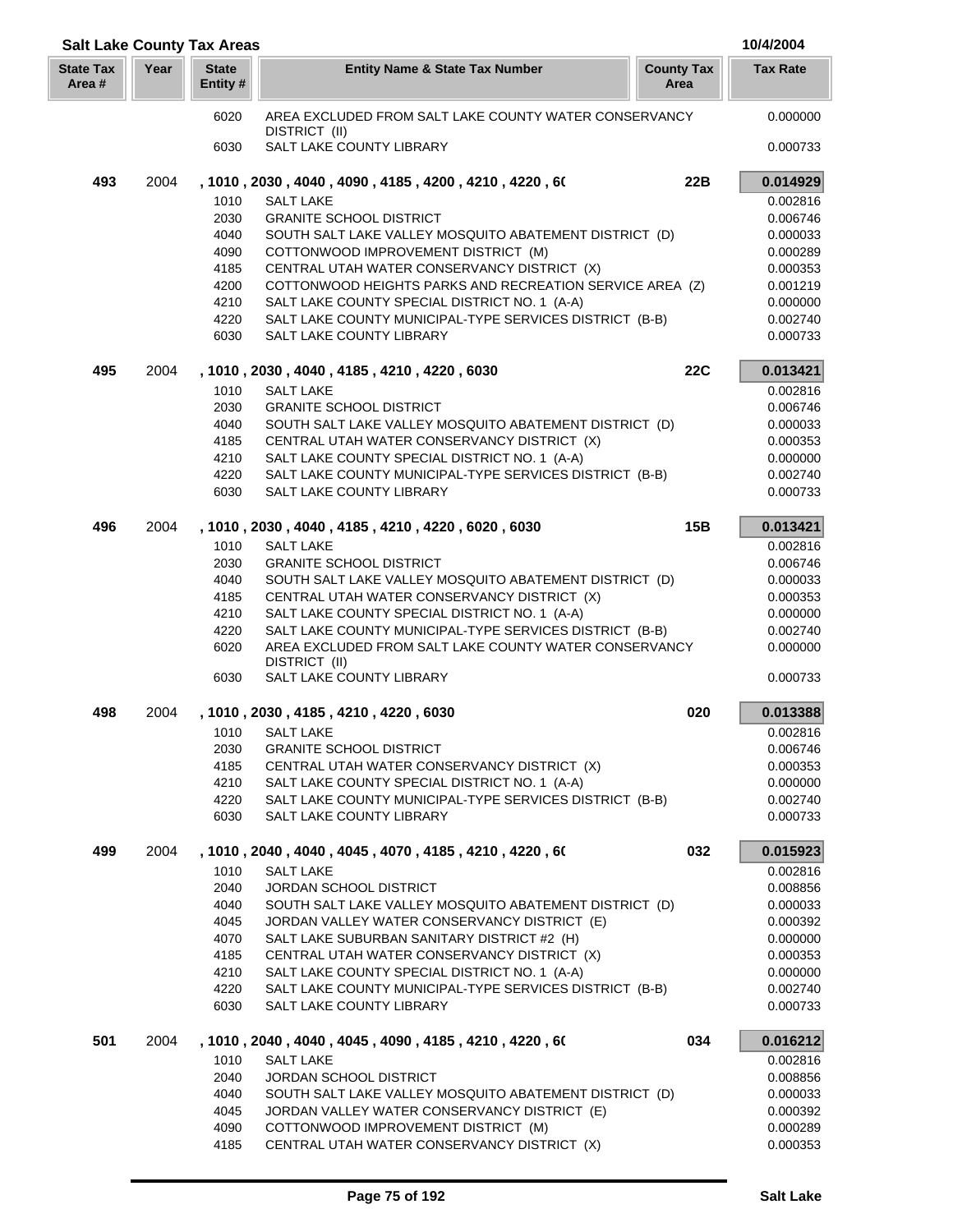| <b>Salt Lake County Tax Areas</b> |      |                          |                                                                                                                  |                           | 10/4/2004            |
|-----------------------------------|------|--------------------------|------------------------------------------------------------------------------------------------------------------|---------------------------|----------------------|
| <b>State Tax</b><br>Area #        | Year | <b>State</b><br>Entity # | <b>Entity Name &amp; State Tax Number</b>                                                                        | <b>County Tax</b><br>Area | <b>Tax Rate</b>      |
|                                   |      | 6020                     | AREA EXCLUDED FROM SALT LAKE COUNTY WATER CONSERVANCY                                                            |                           | 0.000000             |
|                                   |      | 6030                     | DISTRICT (II)<br>SALT LAKE COUNTY LIBRARY                                                                        |                           | 0.000733             |
| 493                               | 2004 |                          | , 1010 , 2030 , 4040 , 4090 , 4185 , 4200 , 4210 , 4220 , 60                                                     | 22B                       | 0.014929             |
|                                   |      | 1010                     | <b>SALT LAKE</b>                                                                                                 |                           | 0.002816             |
|                                   |      | 2030                     | <b>GRANITE SCHOOL DISTRICT</b>                                                                                   |                           | 0.006746             |
|                                   |      | 4040                     | SOUTH SALT LAKE VALLEY MOSQUITO ABATEMENT DISTRICT (D)                                                           |                           | 0.000033             |
|                                   |      | 4090<br>4185             | COTTONWOOD IMPROVEMENT DISTRICT (M)<br>CENTRAL UTAH WATER CONSERVANCY DISTRICT (X)                               |                           | 0.000289<br>0.000353 |
|                                   |      | 4200                     | COTTONWOOD HEIGHTS PARKS AND RECREATION SERVICE AREA (Z)                                                         |                           | 0.001219             |
|                                   |      | 4210                     | SALT LAKE COUNTY SPECIAL DISTRICT NO. 1 (A-A)                                                                    |                           | 0.000000             |
|                                   |      | 4220                     | SALT LAKE COUNTY MUNICIPAL-TYPE SERVICES DISTRICT (B-B)                                                          |                           | 0.002740             |
|                                   |      | 6030                     | SALT LAKE COUNTY LIBRARY                                                                                         |                           | 0.000733             |
| 495                               | 2004 |                          | , 1010, 2030, 4040, 4185, 4210, 4220, 6030                                                                       | <b>22C</b>                | 0.013421             |
|                                   |      | 1010                     | <b>SALT LAKE</b>                                                                                                 |                           | 0.002816             |
|                                   |      | 2030                     | <b>GRANITE SCHOOL DISTRICT</b>                                                                                   |                           | 0.006746             |
|                                   |      | 4040                     | SOUTH SALT LAKE VALLEY MOSQUITO ABATEMENT DISTRICT (D)                                                           |                           | 0.000033             |
|                                   |      | 4185<br>4210             | CENTRAL UTAH WATER CONSERVANCY DISTRICT (X)<br>SALT LAKE COUNTY SPECIAL DISTRICT NO. 1 (A-A)                     |                           | 0.000353<br>0.000000 |
|                                   |      | 4220                     | SALT LAKE COUNTY MUNICIPAL-TYPE SERVICES DISTRICT (B-B)                                                          |                           | 0.002740             |
|                                   |      | 6030                     | SALT LAKE COUNTY LIBRARY                                                                                         |                           | 0.000733             |
| 496                               | 2004 |                          | , 1010, 2030, 4040, 4185, 4210, 4220, 6020, 6030                                                                 | 15B                       | 0.013421             |
|                                   |      | 1010                     | <b>SALT LAKE</b>                                                                                                 |                           | 0.002816             |
|                                   |      | 2030                     | <b>GRANITE SCHOOL DISTRICT</b>                                                                                   |                           | 0.006746             |
|                                   |      | 4040                     | SOUTH SALT LAKE VALLEY MOSQUITO ABATEMENT DISTRICT (D)                                                           |                           | 0.000033             |
|                                   |      | 4185                     | CENTRAL UTAH WATER CONSERVANCY DISTRICT (X)                                                                      |                           | 0.000353             |
|                                   |      | 4210                     | SALT LAKE COUNTY SPECIAL DISTRICT NO. 1 (A-A)                                                                    |                           | 0.000000             |
|                                   |      | 4220<br>6020             | SALT LAKE COUNTY MUNICIPAL-TYPE SERVICES DISTRICT (B-B)<br>AREA EXCLUDED FROM SALT LAKE COUNTY WATER CONSERVANCY |                           | 0.002740<br>0.000000 |
|                                   |      |                          | DISTRICT (II)                                                                                                    |                           |                      |
|                                   |      | 6030                     | SALT LAKE COUNTY LIBRARY                                                                                         |                           | 0.000733             |
| 498                               | 2004 |                          | , 1010, 2030, 4185, 4210, 4220, 6030                                                                             | 020                       | 0.013388             |
|                                   |      |                          | 1010 SALT LAKE                                                                                                   |                           | 0.002816             |
|                                   |      | 2030                     | <b>GRANITE SCHOOL DISTRICT</b>                                                                                   |                           | 0.006746             |
|                                   |      | 4185                     | CENTRAL UTAH WATER CONSERVANCY DISTRICT (X)                                                                      |                           | 0.000353             |
|                                   |      | 4210<br>4220             | SALT LAKE COUNTY SPECIAL DISTRICT NO. 1 (A-A)<br>SALT LAKE COUNTY MUNICIPAL-TYPE SERVICES DISTRICT (B-B)         |                           | 0.000000<br>0.002740 |
|                                   |      | 6030                     | SALT LAKE COUNTY LIBRARY                                                                                         |                           | 0.000733             |
| 499                               | 2004 |                          | , 1010, 2040, 4040, 4045, 4070, 4185, 4210, 4220, 60                                                             | 032                       | 0.015923             |
|                                   |      | 1010                     | <b>SALT LAKE</b>                                                                                                 |                           | 0.002816             |
|                                   |      | 2040                     | JORDAN SCHOOL DISTRICT                                                                                           |                           | 0.008856             |
|                                   |      | 4040                     | SOUTH SALT LAKE VALLEY MOSQUITO ABATEMENT DISTRICT (D)                                                           |                           | 0.000033             |
|                                   |      | 4045                     | JORDAN VALLEY WATER CONSERVANCY DISTRICT (E)                                                                     |                           | 0.000392             |
|                                   |      | 4070                     | SALT LAKE SUBURBAN SANITARY DISTRICT #2 (H)                                                                      |                           | 0.000000             |
|                                   |      | 4185                     | CENTRAL UTAH WATER CONSERVANCY DISTRICT (X)                                                                      |                           | 0.000353             |
|                                   |      | 4210<br>4220             | SALT LAKE COUNTY SPECIAL DISTRICT NO. 1 (A-A)<br>SALT LAKE COUNTY MUNICIPAL-TYPE SERVICES DISTRICT (B-B)         |                           | 0.000000<br>0.002740 |
|                                   |      | 6030                     | SALT LAKE COUNTY LIBRARY                                                                                         |                           | 0.000733             |
| 501                               | 2004 |                          | , 1010 , 2040 , 4040 , 4045 , 4090 , 4185 , 4210 , 4220 , 60                                                     | 034                       | 0.016212             |
|                                   |      | 1010                     | <b>SALT LAKE</b>                                                                                                 |                           | 0.002816             |
|                                   |      | 2040                     | <b>JORDAN SCHOOL DISTRICT</b>                                                                                    |                           | 0.008856             |
|                                   |      | 4040                     | SOUTH SALT LAKE VALLEY MOSQUITO ABATEMENT DISTRICT (D)                                                           |                           | 0.000033             |
|                                   |      | 4045                     | JORDAN VALLEY WATER CONSERVANCY DISTRICT (E)                                                                     |                           | 0.000392             |
|                                   |      | 4090                     | COTTONWOOD IMPROVEMENT DISTRICT (M)                                                                              |                           | 0.000289             |
|                                   |      | 4185                     | CENTRAL UTAH WATER CONSERVANCY DISTRICT (X)                                                                      |                           | 0.000353             |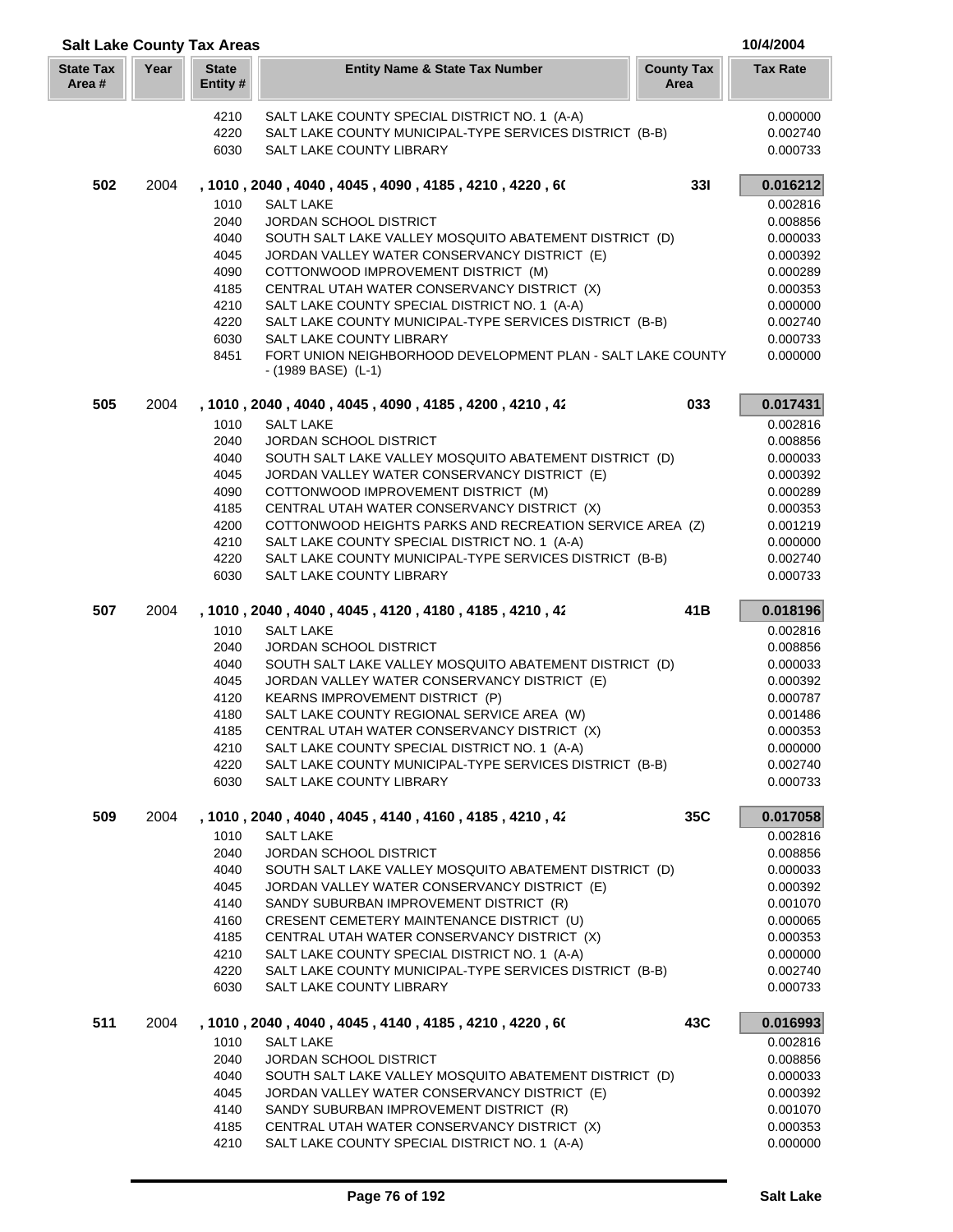| <b>Salt Lake County Tax Areas</b> |      |                          |                                                                                                           |                           | 10/4/2004            |
|-----------------------------------|------|--------------------------|-----------------------------------------------------------------------------------------------------------|---------------------------|----------------------|
| <b>State Tax</b><br>Area#         | Year | <b>State</b><br>Entity # | <b>Entity Name &amp; State Tax Number</b>                                                                 | <b>County Tax</b><br>Area | <b>Tax Rate</b>      |
|                                   |      | 4210                     | SALT LAKE COUNTY SPECIAL DISTRICT NO. 1 (A-A)                                                             |                           | 0.000000             |
|                                   |      | 4220                     | SALT LAKE COUNTY MUNICIPAL-TYPE SERVICES DISTRICT (B-B)                                                   |                           | 0.002740             |
|                                   |      | 6030                     | SALT LAKE COUNTY LIBRARY                                                                                  |                           | 0.000733             |
| 502                               | 2004 |                          | , 1010 , 2040 , 4040 , 4045 , 4090 , 4185 , 4210 , 4220 , 60                                              | 331                       | 0.016212             |
|                                   |      | 1010                     | <b>SALT LAKE</b>                                                                                          |                           | 0.002816             |
|                                   |      | 2040                     | JORDAN SCHOOL DISTRICT                                                                                    |                           | 0.008856             |
|                                   |      | 4040                     | SOUTH SALT LAKE VALLEY MOSQUITO ABATEMENT DISTRICT (D)                                                    |                           | 0.000033             |
|                                   |      | 4045                     | JORDAN VALLEY WATER CONSERVANCY DISTRICT (E)                                                              |                           | 0.000392             |
|                                   |      | 4090<br>4185             | COTTONWOOD IMPROVEMENT DISTRICT (M)                                                                       |                           | 0.000289             |
|                                   |      | 4210                     | CENTRAL UTAH WATER CONSERVANCY DISTRICT (X)<br>SALT LAKE COUNTY SPECIAL DISTRICT NO. 1 (A-A)              |                           | 0.000353<br>0.000000 |
|                                   |      | 4220                     | SALT LAKE COUNTY MUNICIPAL-TYPE SERVICES DISTRICT (B-B)                                                   |                           | 0.002740             |
|                                   |      | 6030                     | SALT LAKE COUNTY LIBRARY                                                                                  |                           | 0.000733             |
|                                   |      | 8451                     | FORT UNION NEIGHBORHOOD DEVELOPMENT PLAN - SALT LAKE COUNTY<br>$-(1989 BASE)$ (L-1)                       |                           | 0.000000             |
| 505                               | 2004 |                          | , 1010, 2040, 4040, 4045, 4090, 4185, 4200, 4210, 42                                                      | 033                       | 0.017431             |
|                                   |      | 1010                     | <b>SALT LAKE</b>                                                                                          |                           | 0.002816             |
|                                   |      | 2040                     | JORDAN SCHOOL DISTRICT                                                                                    |                           | 0.008856             |
|                                   |      | 4040                     | SOUTH SALT LAKE VALLEY MOSQUITO ABATEMENT DISTRICT (D)                                                    |                           | 0.000033             |
|                                   |      | 4045                     | JORDAN VALLEY WATER CONSERVANCY DISTRICT (E)                                                              |                           | 0.000392             |
|                                   |      | 4090                     | COTTONWOOD IMPROVEMENT DISTRICT (M)                                                                       |                           | 0.000289             |
|                                   |      | 4185                     | CENTRAL UTAH WATER CONSERVANCY DISTRICT (X)                                                               |                           | 0.000353             |
|                                   |      | 4200<br>4210             | COTTONWOOD HEIGHTS PARKS AND RECREATION SERVICE AREA (Z)<br>SALT LAKE COUNTY SPECIAL DISTRICT NO. 1 (A-A) |                           | 0.001219<br>0.000000 |
|                                   |      | 4220                     | SALT LAKE COUNTY MUNICIPAL-TYPE SERVICES DISTRICT (B-B)                                                   |                           | 0.002740             |
|                                   |      | 6030                     | SALT LAKE COUNTY LIBRARY                                                                                  |                           | 0.000733             |
| 507                               | 2004 |                          | , 1010 , 2040 , 4040 , 4045 , 4120 , 4180 , 4185 , 4210 , 42                                              | 41B                       | 0.018196             |
|                                   |      | 1010                     | <b>SALT LAKE</b>                                                                                          |                           | 0.002816             |
|                                   |      | 2040                     | JORDAN SCHOOL DISTRICT                                                                                    |                           | 0.008856             |
|                                   |      | 4040                     | SOUTH SALT LAKE VALLEY MOSQUITO ABATEMENT DISTRICT (D)                                                    |                           | 0.000033             |
|                                   |      | 4045<br>4120             | JORDAN VALLEY WATER CONSERVANCY DISTRICT (E)<br>KEARNS IMPROVEMENT DISTRICT (P)                           |                           | 0.000392<br>0.000787 |
|                                   |      | 4180                     | SALT LAKE COUNTY REGIONAL SERVICE AREA (W)                                                                |                           | 0.001486             |
|                                   |      | 4185                     | CENTRAL UTAH WATER CONSERVANCY DISTRICT (X)                                                               |                           | 0.000353             |
|                                   |      | 4210                     | SALT LAKE COUNTY SPECIAL DISTRICT NO. 1 (A-A)                                                             |                           | 0.000000             |
|                                   |      | 4220                     | SALT LAKE COUNTY MUNICIPAL-TYPE SERVICES DISTRICT (B-B)                                                   |                           | 0.002740             |
|                                   |      | 6030                     | SALT LAKE COUNTY LIBRARY                                                                                  |                           | 0.000733             |
| 509                               | 2004 |                          | , 1010 , 2040 , 4040 , 4045 , 4140 , 4160 , 4185 , 4210 , 42                                              | 35C                       | 0.017058             |
|                                   |      | 1010                     | <b>SALT LAKE</b>                                                                                          |                           | 0.002816             |
|                                   |      | 2040                     | <b>JORDAN SCHOOL DISTRICT</b>                                                                             |                           | 0.008856             |
|                                   |      | 4040                     | SOUTH SALT LAKE VALLEY MOSQUITO ABATEMENT DISTRICT (D)                                                    |                           | 0.000033             |
|                                   |      | 4045                     | JORDAN VALLEY WATER CONSERVANCY DISTRICT (E)                                                              |                           | 0.000392             |
|                                   |      | 4140<br>4160             | SANDY SUBURBAN IMPROVEMENT DISTRICT (R)<br>CRESENT CEMETERY MAINTENANCE DISTRICT (U)                      |                           | 0.001070<br>0.000065 |
|                                   |      | 4185                     | CENTRAL UTAH WATER CONSERVANCY DISTRICT (X)                                                               |                           | 0.000353             |
|                                   |      | 4210                     | SALT LAKE COUNTY SPECIAL DISTRICT NO. 1 (A-A)                                                             |                           | 0.000000             |
|                                   |      | 4220                     | SALT LAKE COUNTY MUNICIPAL-TYPE SERVICES DISTRICT (B-B)                                                   |                           | 0.002740             |
|                                   |      | 6030                     | SALT LAKE COUNTY LIBRARY                                                                                  |                           | 0.000733             |
| 511                               | 2004 |                          | , 1010 , 2040 , 4040 , 4045 , 4140 , 4185 , 4210 , 4220 , 60                                              | 43C                       | 0.016993             |
|                                   |      | 1010                     | <b>SALT LAKE</b>                                                                                          |                           | 0.002816             |
|                                   |      | 2040                     | JORDAN SCHOOL DISTRICT                                                                                    |                           | 0.008856             |
|                                   |      | 4040                     | SOUTH SALT LAKE VALLEY MOSQUITO ABATEMENT DISTRICT (D)                                                    |                           | 0.000033             |
|                                   |      | 4045                     | JORDAN VALLEY WATER CONSERVANCY DISTRICT (E)                                                              |                           | 0.000392             |
|                                   |      | 4140<br>4185             | SANDY SUBURBAN IMPROVEMENT DISTRICT (R)<br>CENTRAL UTAH WATER CONSERVANCY DISTRICT (X)                    |                           | 0.001070<br>0.000353 |
|                                   |      |                          |                                                                                                           |                           | 0.000000             |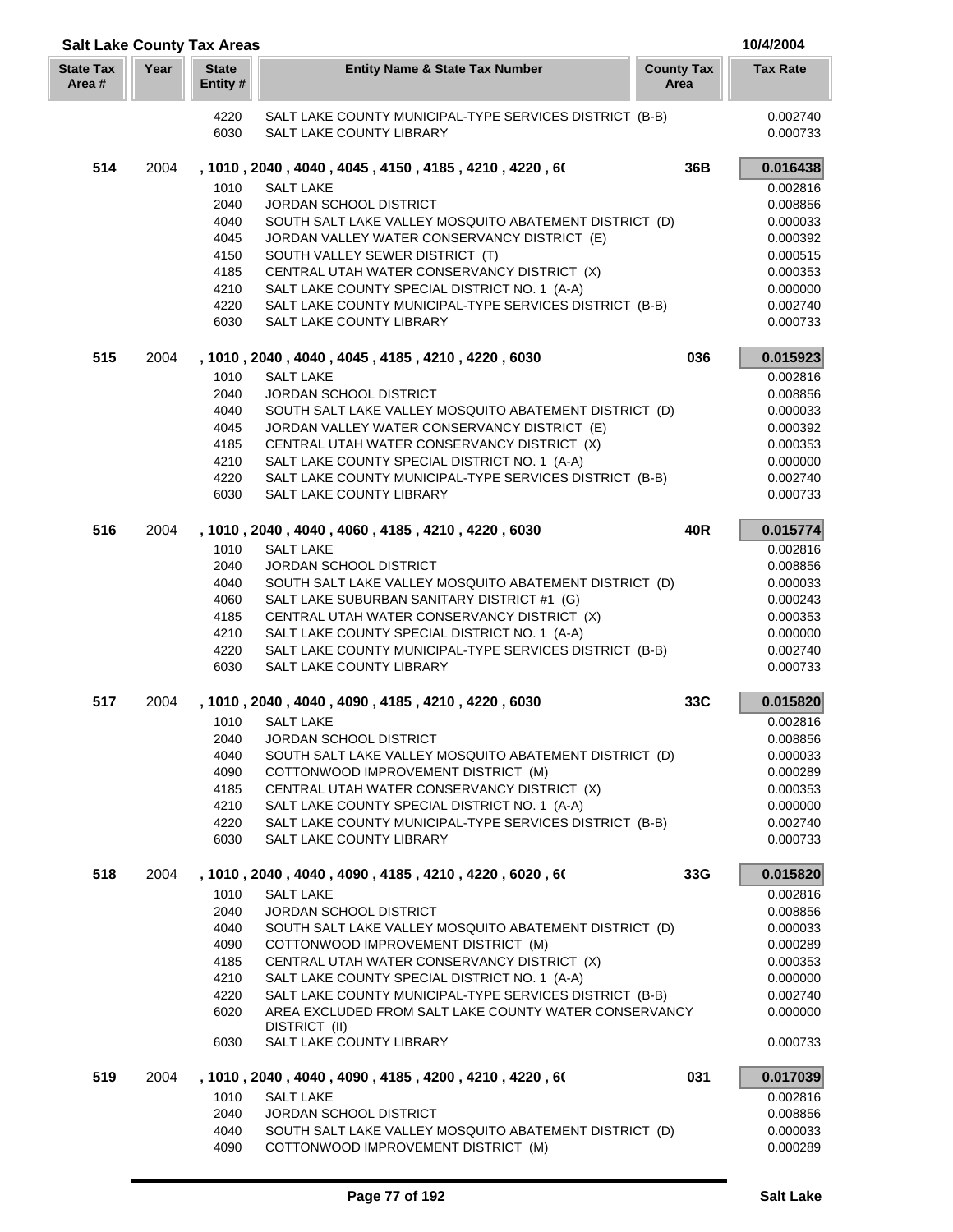| <b>Salt Lake County Tax Areas</b> |      |                          |                                                                                              |                           | 10/4/2004            |
|-----------------------------------|------|--------------------------|----------------------------------------------------------------------------------------------|---------------------------|----------------------|
| <b>State Tax</b><br>Area#         | Year | <b>State</b><br>Entity # | <b>Entity Name &amp; State Tax Number</b>                                                    | <b>County Tax</b><br>Area | <b>Tax Rate</b>      |
|                                   |      | 4220                     | SALT LAKE COUNTY MUNICIPAL-TYPE SERVICES DISTRICT (B-B)                                      |                           | 0.002740             |
|                                   |      | 6030                     | SALT LAKE COUNTY LIBRARY                                                                     |                           | 0.000733             |
| 514                               | 2004 |                          | , 1010 , 2040 , 4040 , 4045 , 4150 , 4185 , 4210 , 4220 , 60                                 | 36B                       | 0.016438             |
|                                   |      | 1010                     | <b>SALT LAKE</b>                                                                             |                           | 0.002816             |
|                                   |      | 2040                     | <b>JORDAN SCHOOL DISTRICT</b>                                                                |                           | 0.008856             |
|                                   |      | 4040                     | SOUTH SALT LAKE VALLEY MOSQUITO ABATEMENT DISTRICT (D)                                       |                           | 0.000033             |
|                                   |      | 4045                     | JORDAN VALLEY WATER CONSERVANCY DISTRICT (E)                                                 |                           | 0.000392             |
|                                   |      | 4150                     | SOUTH VALLEY SEWER DISTRICT (T)                                                              |                           | 0.000515             |
|                                   |      | 4185                     | CENTRAL UTAH WATER CONSERVANCY DISTRICT (X)                                                  |                           | 0.000353             |
|                                   |      | 4210                     | SALT LAKE COUNTY SPECIAL DISTRICT NO. 1 (A-A)                                                |                           | 0.000000             |
|                                   |      | 4220                     | SALT LAKE COUNTY MUNICIPAL-TYPE SERVICES DISTRICT (B-B)                                      |                           | 0.002740             |
|                                   |      | 6030                     | SALT LAKE COUNTY LIBRARY                                                                     |                           | 0.000733             |
| 515                               | 2004 |                          | , 1010, 2040, 4040, 4045, 4185, 4210, 4220, 6030                                             | 036                       | 0.015923             |
|                                   |      | 1010                     | <b>SALT LAKE</b>                                                                             |                           | 0.002816             |
|                                   |      | 2040                     | JORDAN SCHOOL DISTRICT                                                                       |                           | 0.008856             |
|                                   |      | 4040                     | SOUTH SALT LAKE VALLEY MOSQUITO ABATEMENT DISTRICT (D)                                       |                           | 0.000033             |
|                                   |      | 4045                     | JORDAN VALLEY WATER CONSERVANCY DISTRICT (E)                                                 |                           | 0.000392             |
|                                   |      | 4185                     | CENTRAL UTAH WATER CONSERVANCY DISTRICT (X)                                                  |                           | 0.000353             |
|                                   |      | 4210                     | SALT LAKE COUNTY SPECIAL DISTRICT NO. 1 (A-A)                                                |                           | 0.000000             |
|                                   |      | 4220                     | SALT LAKE COUNTY MUNICIPAL-TYPE SERVICES DISTRICT (B-B)                                      |                           | 0.002740             |
|                                   |      | 6030                     | SALT LAKE COUNTY LIBRARY                                                                     |                           | 0.000733             |
| 516                               | 2004 |                          | , 1010, 2040, 4040, 4060, 4185, 4210, 4220, 6030                                             | 40R                       | 0.015774             |
|                                   |      | 1010                     | <b>SALT LAKE</b>                                                                             |                           | 0.002816             |
|                                   |      | 2040                     | JORDAN SCHOOL DISTRICT                                                                       |                           | 0.008856             |
|                                   |      | 4040                     | SOUTH SALT LAKE VALLEY MOSQUITO ABATEMENT DISTRICT (D)                                       |                           | 0.000033             |
|                                   |      | 4060                     | SALT LAKE SUBURBAN SANITARY DISTRICT #1 (G)                                                  |                           | 0.000243             |
|                                   |      | 4185                     | CENTRAL UTAH WATER CONSERVANCY DISTRICT (X)                                                  |                           | 0.000353             |
|                                   |      | 4210                     | SALT LAKE COUNTY SPECIAL DISTRICT NO. 1 (A-A)                                                |                           | 0.000000             |
|                                   |      | 4220<br>6030             | SALT LAKE COUNTY MUNICIPAL-TYPE SERVICES DISTRICT (B-B)<br>SALT LAKE COUNTY LIBRARY          |                           | 0.002740<br>0.000733 |
| 517                               | 2004 |                          | , 1010, 2040, 4040, 4090, 4185, 4210, 4220, 6030                                             | 33C                       | 0.015820             |
|                                   |      |                          |                                                                                              |                           |                      |
|                                   |      | 1010                     | <b>SALT LAKE</b>                                                                             |                           | 0.002816             |
|                                   |      | 2040                     | <b>JORDAN SCHOOL DISTRICT</b>                                                                |                           | 0.008856             |
|                                   |      | 4040                     | SOUTH SALT LAKE VALLEY MOSQUITO ABATEMENT DISTRICT (D)                                       |                           | 0.000033             |
|                                   |      | 4090                     | COTTONWOOD IMPROVEMENT DISTRICT (M)                                                          |                           | 0.000289             |
|                                   |      | 4185<br>4210             | CENTRAL UTAH WATER CONSERVANCY DISTRICT (X)<br>SALT LAKE COUNTY SPECIAL DISTRICT NO. 1 (A-A) |                           | 0.000353<br>0.000000 |
|                                   |      | 4220                     | SALT LAKE COUNTY MUNICIPAL-TYPE SERVICES DISTRICT (B-B)                                      |                           | 0.002740             |
|                                   |      | 6030                     | SALT LAKE COUNTY LIBRARY                                                                     |                           | 0.000733             |
| 518                               | 2004 |                          | , 1010, 2040, 4040, 4090, 4185, 4210, 4220, 6020, 60                                         | 33G                       | 0.015820             |
|                                   |      | 1010                     | <b>SALT LAKE</b>                                                                             |                           | 0.002816             |
|                                   |      | 2040                     | <b>JORDAN SCHOOL DISTRICT</b>                                                                |                           | 0.008856             |
|                                   |      | 4040                     | SOUTH SALT LAKE VALLEY MOSQUITO ABATEMENT DISTRICT (D)                                       |                           | 0.000033             |
|                                   |      | 4090                     | COTTONWOOD IMPROVEMENT DISTRICT (M)                                                          |                           | 0.000289             |
|                                   |      | 4185                     | CENTRAL UTAH WATER CONSERVANCY DISTRICT (X)                                                  |                           | 0.000353             |
|                                   |      | 4210                     | SALT LAKE COUNTY SPECIAL DISTRICT NO. 1 (A-A)                                                |                           | 0.000000             |
|                                   |      | 4220                     | SALT LAKE COUNTY MUNICIPAL-TYPE SERVICES DISTRICT (B-B)                                      |                           | 0.002740             |
|                                   |      | 6020                     | AREA EXCLUDED FROM SALT LAKE COUNTY WATER CONSERVANCY<br>DISTRICT (II)                       |                           | 0.000000             |
|                                   |      | 6030                     | SALT LAKE COUNTY LIBRARY                                                                     |                           | 0.000733             |
| 519                               | 2004 |                          | , 1010 , 2040 , 4040 , 4090 , 4185 , 4200 , 4210 , 4220 , 60                                 | 031                       | 0.017039             |
|                                   |      | 1010                     | <b>SALT LAKE</b>                                                                             |                           | 0.002816             |
|                                   |      | 2040                     | <b>JORDAN SCHOOL DISTRICT</b>                                                                |                           | 0.008856             |
|                                   |      | 4040                     | SOUTH SALT LAKE VALLEY MOSQUITO ABATEMENT DISTRICT (D)                                       |                           | 0.000033             |
|                                   |      | 4090                     | COTTONWOOD IMPROVEMENT DISTRICT (M)                                                          |                           | 0.000289             |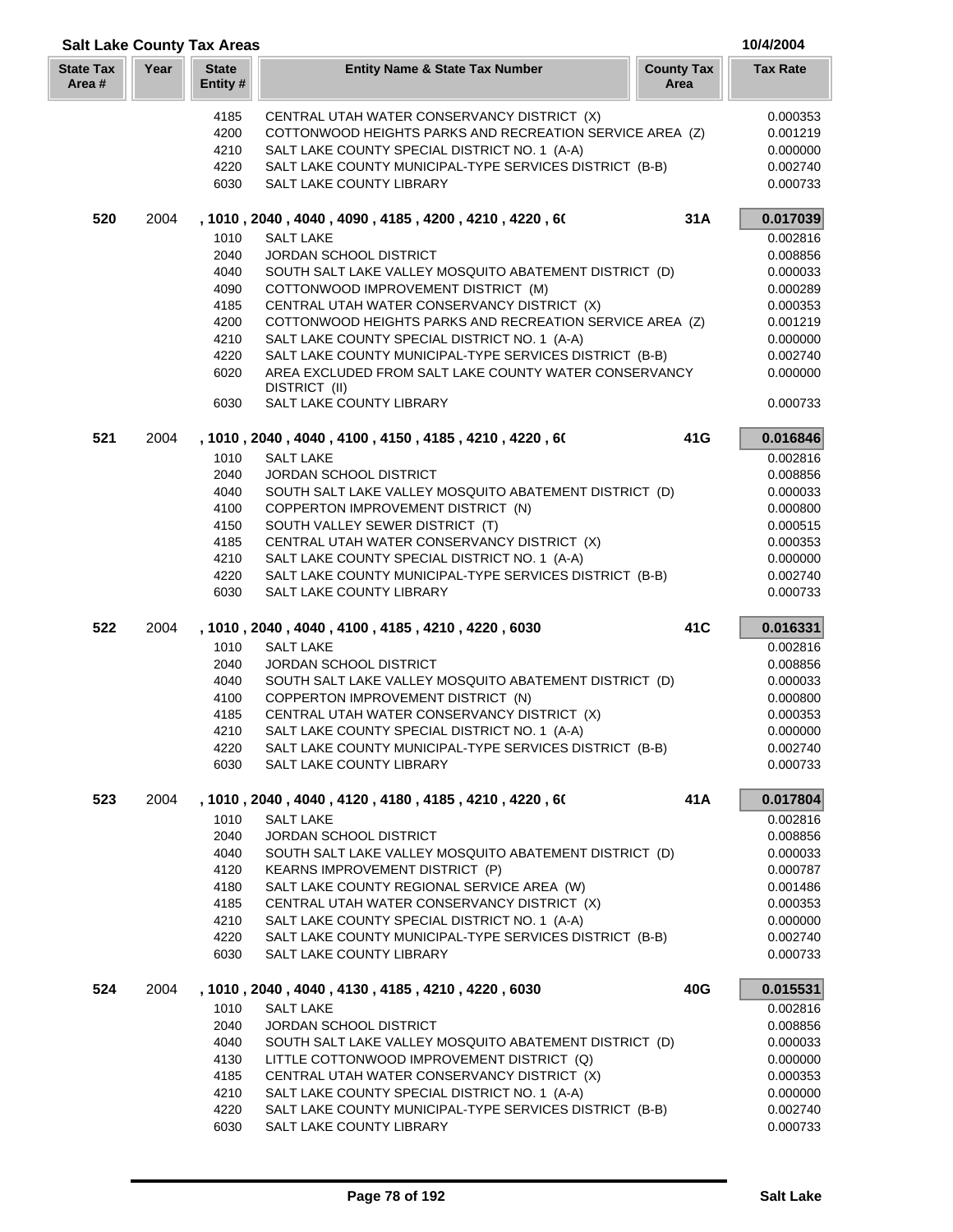| <b>Salt Lake County Tax Areas</b> |      |                          |                                                                                     |                           | 10/4/2004            |
|-----------------------------------|------|--------------------------|-------------------------------------------------------------------------------------|---------------------------|----------------------|
| <b>State Tax</b><br>Area #        | Year | <b>State</b><br>Entity # | <b>Entity Name &amp; State Tax Number</b>                                           | <b>County Tax</b><br>Area | <b>Tax Rate</b>      |
|                                   |      | 4185                     | CENTRAL UTAH WATER CONSERVANCY DISTRICT (X)                                         |                           | 0.000353             |
|                                   |      | 4200                     | COTTONWOOD HEIGHTS PARKS AND RECREATION SERVICE AREA (Z)                            |                           | 0.001219             |
|                                   |      | 4210                     | SALT LAKE COUNTY SPECIAL DISTRICT NO. 1 (A-A)                                       |                           | 0.000000             |
|                                   |      | 4220                     | SALT LAKE COUNTY MUNICIPAL-TYPE SERVICES DISTRICT (B-B)                             |                           | 0.002740             |
|                                   |      | 6030                     | SALT LAKE COUNTY LIBRARY                                                            |                           | 0.000733             |
| 520                               | 2004 |                          | , 1010, 2040, 4040, 4090, 4185, 4200, 4210, 4220, 60                                | 31A                       | 0.017039             |
|                                   |      | 1010                     | <b>SALT LAKE</b>                                                                    |                           | 0.002816             |
|                                   |      | 2040                     | <b>JORDAN SCHOOL DISTRICT</b>                                                       |                           | 0.008856             |
|                                   |      | 4040                     | SOUTH SALT LAKE VALLEY MOSQUITO ABATEMENT DISTRICT (D)                              |                           | 0.000033             |
|                                   |      | 4090                     | COTTONWOOD IMPROVEMENT DISTRICT (M)                                                 |                           | 0.000289             |
|                                   |      | 4185                     | CENTRAL UTAH WATER CONSERVANCY DISTRICT (X)                                         |                           | 0.000353             |
|                                   |      | 4200                     | COTTONWOOD HEIGHTS PARKS AND RECREATION SERVICE AREA (Z)                            |                           | 0.001219             |
|                                   |      | 4210                     | SALT LAKE COUNTY SPECIAL DISTRICT NO. 1 (A-A)                                       |                           | 0.000000             |
|                                   |      | 4220                     | SALT LAKE COUNTY MUNICIPAL-TYPE SERVICES DISTRICT (B-B)                             |                           | 0.002740             |
|                                   |      | 6020                     | AREA EXCLUDED FROM SALT LAKE COUNTY WATER CONSERVANCY<br>DISTRICT (II)              |                           | 0.000000             |
|                                   |      | 6030                     | SALT LAKE COUNTY LIBRARY                                                            |                           | 0.000733             |
| 521                               | 2004 |                          | , 1010, 2040, 4040, 4100, 4150, 4185, 4210, 4220, 60                                | 41G                       | 0.016846             |
|                                   |      | 1010                     | <b>SALT LAKE</b>                                                                    |                           | 0.002816             |
|                                   |      | 2040                     | <b>JORDAN SCHOOL DISTRICT</b>                                                       |                           | 0.008856             |
|                                   |      | 4040                     | SOUTH SALT LAKE VALLEY MOSQUITO ABATEMENT DISTRICT (D)                              |                           | 0.000033             |
|                                   |      | 4100                     | COPPERTON IMPROVEMENT DISTRICT (N)                                                  |                           | 0.000800             |
|                                   |      | 4150                     | SOUTH VALLEY SEWER DISTRICT (T)                                                     |                           | 0.000515             |
|                                   |      | 4185                     | CENTRAL UTAH WATER CONSERVANCY DISTRICT (X)                                         |                           | 0.000353             |
|                                   |      | 4210<br>4220             | SALT LAKE COUNTY SPECIAL DISTRICT NO. 1 (A-A)                                       |                           | 0.000000<br>0.002740 |
|                                   |      | 6030                     | SALT LAKE COUNTY MUNICIPAL-TYPE SERVICES DISTRICT (B-B)<br>SALT LAKE COUNTY LIBRARY |                           | 0.000733             |
| 522                               | 2004 |                          | , 1010, 2040, 4040, 4100, 4185, 4210, 4220, 6030                                    | 41C                       | 0.016331             |
|                                   |      | 1010                     | <b>SALT LAKE</b>                                                                    |                           | 0.002816             |
|                                   |      | 2040                     | JORDAN SCHOOL DISTRICT                                                              |                           | 0.008856             |
|                                   |      | 4040                     | SOUTH SALT LAKE VALLEY MOSQUITO ABATEMENT DISTRICT (D)                              |                           | 0.000033             |
|                                   |      | 4100                     | COPPERTON IMPROVEMENT DISTRICT (N)                                                  |                           | 0.000800             |
|                                   |      | 4185                     | CENTRAL UTAH WATER CONSERVANCY DISTRICT (X)                                         |                           | 0.000353             |
|                                   |      | 4210                     | SALT LAKE COUNTY SPECIAL DISTRICT NO. 1 (A-A)                                       |                           | 0.000000             |
|                                   |      | 4220                     | SALT LAKE COUNTY MUNICIPAL-TYPE SERVICES DISTRICT (B-B)                             |                           | 0.002740             |
|                                   |      | 6030                     | SALT LAKE COUNTY LIBRARY                                                            |                           | 0.000733             |
| 523                               | 2004 |                          | , 1010 , 2040 , 4040 , 4120 , 4180 , 4185 , 4210 , 4220 , 60                        | 41 A                      | 0.017804             |
|                                   |      | 1010                     | <b>SALT LAKE</b>                                                                    |                           | 0.002816             |
|                                   |      | 2040                     | <b>JORDAN SCHOOL DISTRICT</b>                                                       |                           | 0.008856             |
|                                   |      | 4040                     | SOUTH SALT LAKE VALLEY MOSQUITO ABATEMENT DISTRICT (D)                              |                           | 0.000033             |
|                                   |      | 4120                     | KEARNS IMPROVEMENT DISTRICT (P)                                                     |                           | 0.000787             |
|                                   |      | 4180                     | SALT LAKE COUNTY REGIONAL SERVICE AREA (W)                                          |                           | 0.001486             |
|                                   |      | 4185                     | CENTRAL UTAH WATER CONSERVANCY DISTRICT (X)                                         |                           | 0.000353             |
|                                   |      | 4210                     | SALT LAKE COUNTY SPECIAL DISTRICT NO. 1 (A-A)                                       |                           | 0.000000             |
|                                   |      | 4220<br>6030             | SALT LAKE COUNTY MUNICIPAL-TYPE SERVICES DISTRICT (B-B)<br>SALT LAKE COUNTY LIBRARY |                           | 0.002740<br>0.000733 |
| 524                               | 2004 |                          | , 1010, 2040, 4040, 4130, 4185, 4210, 4220, 6030                                    | 40G                       | 0.015531             |
|                                   |      | 1010                     | <b>SALT LAKE</b>                                                                    |                           | 0.002816             |
|                                   |      | 2040                     | <b>JORDAN SCHOOL DISTRICT</b>                                                       |                           | 0.008856             |
|                                   |      | 4040                     | SOUTH SALT LAKE VALLEY MOSQUITO ABATEMENT DISTRICT (D)                              |                           | 0.000033             |
|                                   |      | 4130                     | LITTLE COTTONWOOD IMPROVEMENT DISTRICT (Q)                                          |                           | 0.000000             |
|                                   |      | 4185                     | CENTRAL UTAH WATER CONSERVANCY DISTRICT (X)                                         |                           | 0.000353             |
|                                   |      | 4210                     | SALT LAKE COUNTY SPECIAL DISTRICT NO. 1 (A-A)                                       |                           | 0.000000             |
|                                   |      | 4220                     | SALT LAKE COUNTY MUNICIPAL-TYPE SERVICES DISTRICT (B-B)                             |                           | 0.002740             |
|                                   |      | 6030                     | SALT LAKE COUNTY LIBRARY                                                            |                           | 0.000733             |
|                                   |      |                          |                                                                                     |                           |                      |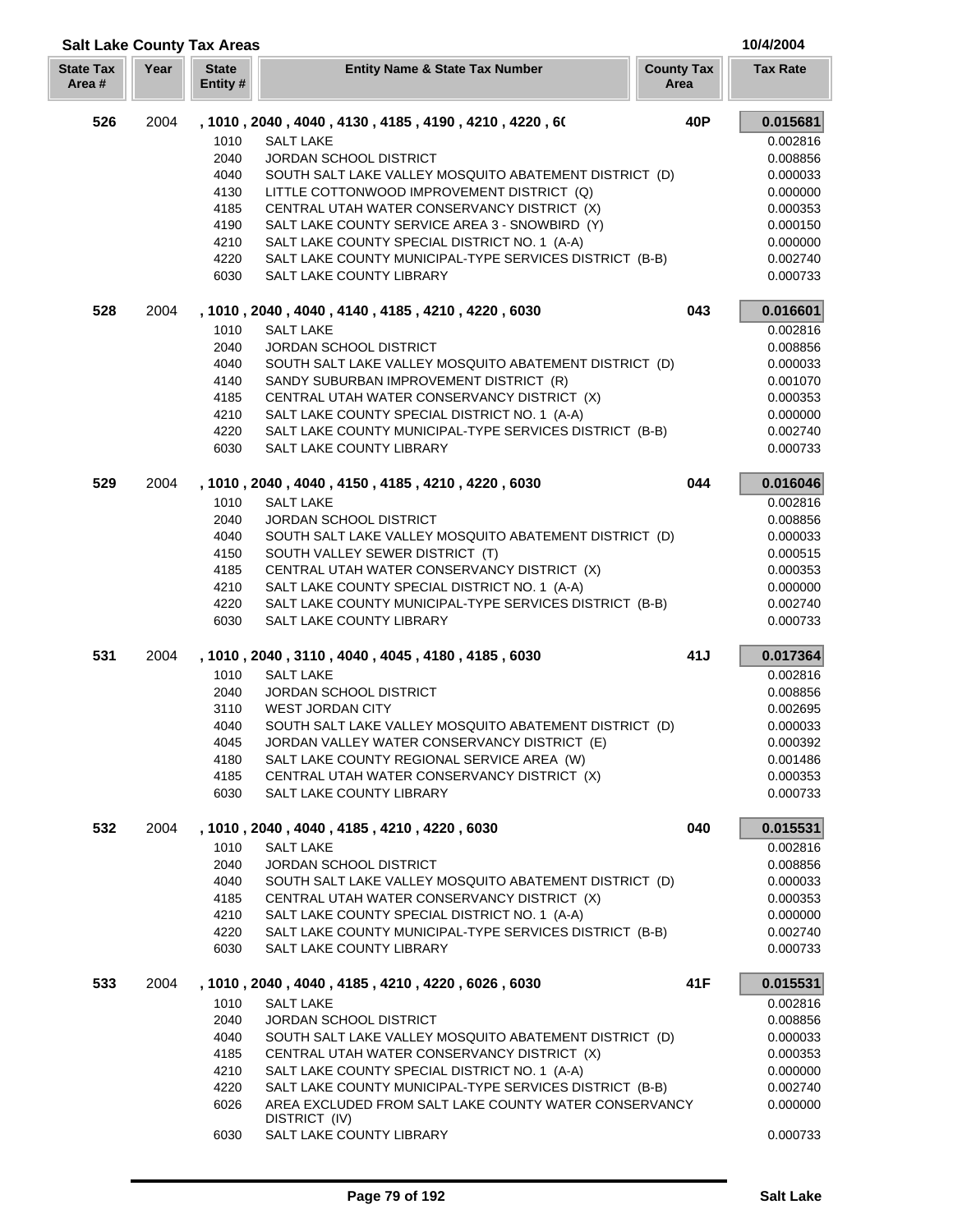| <b>State Tax</b><br>Area # | Year | <b>State</b><br>Entity#                                              | <b>Entity Name &amp; State Tax Number</b>                                                                                                                                                                                                                                                                                                                                                                                                                   | <b>County Tax</b><br>Area | <b>Tax Rate</b>                                                                                                      |
|----------------------------|------|----------------------------------------------------------------------|-------------------------------------------------------------------------------------------------------------------------------------------------------------------------------------------------------------------------------------------------------------------------------------------------------------------------------------------------------------------------------------------------------------------------------------------------------------|---------------------------|----------------------------------------------------------------------------------------------------------------------|
| 526                        | 2004 | 1010<br>2040<br>4040<br>4130<br>4185<br>4190<br>4210<br>4220<br>6030 | , 1010 , 2040 , 4040 , 4130 , 4185 , 4190 , 4210 , 4220 , 60<br><b>SALT LAKE</b><br>JORDAN SCHOOL DISTRICT<br>SOUTH SALT LAKE VALLEY MOSQUITO ABATEMENT DISTRICT (D)<br>LITTLE COTTONWOOD IMPROVEMENT DISTRICT (Q)<br>CENTRAL UTAH WATER CONSERVANCY DISTRICT (X)<br>SALT LAKE COUNTY SERVICE AREA 3 - SNOWBIRD (Y)<br>SALT LAKE COUNTY SPECIAL DISTRICT NO. 1 (A-A)<br>SALT LAKE COUNTY MUNICIPAL-TYPE SERVICES DISTRICT (B-B)<br>SALT LAKE COUNTY LIBRARY | 40P                       | 0.015681<br>0.002816<br>0.008856<br>0.000033<br>0.000000<br>0.000353<br>0.000150<br>0.000000<br>0.002740<br>0.000733 |
| 528                        | 2004 | 1010<br>2040<br>4040<br>4140<br>4185<br>4210<br>4220<br>6030         | , 1010, 2040, 4040, 4140, 4185, 4210, 4220, 6030<br><b>SALT LAKE</b><br><b>JORDAN SCHOOL DISTRICT</b><br>SOUTH SALT LAKE VALLEY MOSQUITO ABATEMENT DISTRICT (D)<br>SANDY SUBURBAN IMPROVEMENT DISTRICT (R)<br>CENTRAL UTAH WATER CONSERVANCY DISTRICT (X)<br>SALT LAKE COUNTY SPECIAL DISTRICT NO. 1 (A-A)<br>SALT LAKE COUNTY MUNICIPAL-TYPE SERVICES DISTRICT (B-B)<br>SALT LAKE COUNTY LIBRARY                                                           | 043                       | 0.016601<br>0.002816<br>0.008856<br>0.000033<br>0.001070<br>0.000353<br>0.000000<br>0.002740<br>0.000733             |
| 529                        | 2004 | 1010<br>2040<br>4040<br>4150<br>4185<br>4210<br>4220<br>6030         | , 1010, 2040, 4040, 4150, 4185, 4210, 4220, 6030<br><b>SALT LAKE</b><br><b>JORDAN SCHOOL DISTRICT</b><br>SOUTH SALT LAKE VALLEY MOSQUITO ABATEMENT DISTRICT (D)<br>SOUTH VALLEY SEWER DISTRICT (T)<br>CENTRAL UTAH WATER CONSERVANCY DISTRICT (X)<br>SALT LAKE COUNTY SPECIAL DISTRICT NO. 1 (A-A)<br>SALT LAKE COUNTY MUNICIPAL-TYPE SERVICES DISTRICT (B-B)<br>SALT LAKE COUNTY LIBRARY                                                                   | 044                       | 0.016046<br>0.002816<br>0.008856<br>0.000033<br>0.000515<br>0.000353<br>0.000000<br>0.002740<br>0.000733             |
| 531                        | 2004 | 1010<br>2040<br>3110<br>4040<br>4045<br>4180<br>4185<br>6030         | , 1010, 2040, 3110, 4040, 4045, 4180, 4185, 6030<br><b>SALT LAKE</b><br><b>JORDAN SCHOOL DISTRICT</b><br><b>WEST JORDAN CITY</b><br>SOUTH SALT LAKE VALLEY MOSQUITO ABATEMENT DISTRICT (D)<br>JORDAN VALLEY WATER CONSERVANCY DISTRICT (E)<br>SALT LAKE COUNTY REGIONAL SERVICE AREA (W)<br>CENTRAL UTAH WATER CONSERVANCY DISTRICT (X)<br>SALT LAKE COUNTY LIBRARY                                                                                         | 41J                       | 0.017364<br>0.002816<br>0.008856<br>0.002695<br>0.000033<br>0.000392<br>0.001486<br>0.000353<br>0.000733             |
| 532                        | 2004 | 1010<br>2040<br>4040<br>4185<br>4210<br>4220<br>6030                 | , 1010, 2040, 4040, 4185, 4210, 4220, 6030<br><b>SALT LAKE</b><br><b>JORDAN SCHOOL DISTRICT</b><br>SOUTH SALT LAKE VALLEY MOSQUITO ABATEMENT DISTRICT (D)<br>CENTRAL UTAH WATER CONSERVANCY DISTRICT (X)<br>SALT LAKE COUNTY SPECIAL DISTRICT NO. 1 (A-A)<br>SALT LAKE COUNTY MUNICIPAL-TYPE SERVICES DISTRICT (B-B)<br>SALT LAKE COUNTY LIBRARY                                                                                                            | 040                       | 0.015531<br>0.002816<br>0.008856<br>0.000033<br>0.000353<br>0.000000<br>0.002740<br>0.000733                         |
| 533                        | 2004 | 1010<br>2040<br>4040<br>4185<br>4210<br>4220<br>6026                 | , 1010, 2040, 4040, 4185, 4210, 4220, 6026, 6030<br><b>SALT LAKE</b><br>JORDAN SCHOOL DISTRICT<br>SOUTH SALT LAKE VALLEY MOSQUITO ABATEMENT DISTRICT (D)<br>CENTRAL UTAH WATER CONSERVANCY DISTRICT (X)<br>SALT LAKE COUNTY SPECIAL DISTRICT NO. 1 (A-A)<br>SALT LAKE COUNTY MUNICIPAL-TYPE SERVICES DISTRICT (B-B)<br>AREA EXCLUDED FROM SALT LAKE COUNTY WATER CONSERVANCY<br>DISTRICT (IV)                                                               | 41F                       | 0.015531<br>0.002816<br>0.008856<br>0.000033<br>0.000353<br>0.000000<br>0.002740<br>0.000000                         |

 $\overline{\phantom{a}}$ 

a n

SALT LAKE COUNTY LIBRARY 0.000733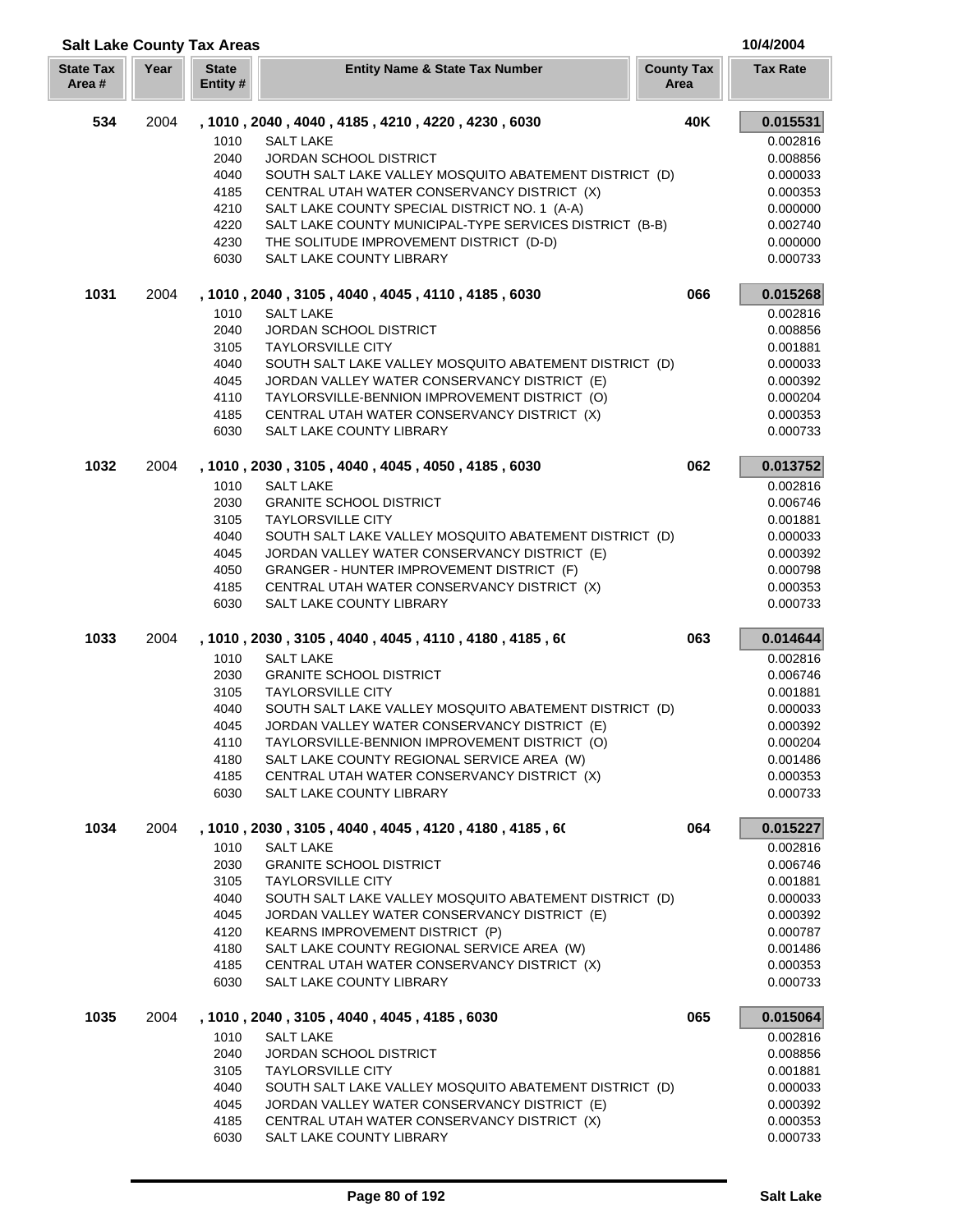| <b>State Tax</b><br>Area # | Year | <b>State</b><br>Entity # | <b>Entity Name &amp; State Tax Number</b>                    | <b>County Tax</b><br>Area | <b>Tax Rate</b> |
|----------------------------|------|--------------------------|--------------------------------------------------------------|---------------------------|-----------------|
| 534                        | 2004 |                          | , 1010, 2040, 4040, 4185, 4210, 4220, 4230, 6030             | 40K                       | 0.015531        |
|                            |      | 1010                     | <b>SALT LAKE</b>                                             |                           | 0.002816        |
|                            |      | 2040                     | JORDAN SCHOOL DISTRICT                                       |                           | 0.008856        |
|                            |      | 4040                     | SOUTH SALT LAKE VALLEY MOSQUITO ABATEMENT DISTRICT (D)       |                           | 0.000033        |
|                            |      | 4185                     | CENTRAL UTAH WATER CONSERVANCY DISTRICT (X)                  |                           | 0.000353        |
|                            |      | 4210                     | SALT LAKE COUNTY SPECIAL DISTRICT NO. 1 (A-A)                |                           | 0.000000        |
|                            |      | 4220                     | SALT LAKE COUNTY MUNICIPAL-TYPE SERVICES DISTRICT (B-B)      |                           | 0.002740        |
|                            |      | 4230                     | THE SOLITUDE IMPROVEMENT DISTRICT (D-D)                      |                           | 0.000000        |
|                            |      | 6030                     | SALT LAKE COUNTY LIBRARY                                     |                           | 0.000733        |
| 1031                       | 2004 |                          | , 1010, 2040, 3105, 4040, 4045, 4110, 4185, 6030             | 066                       | 0.015268        |
|                            |      | 1010                     | <b>SALT LAKE</b>                                             |                           | 0.002816        |
|                            |      | 2040                     | JORDAN SCHOOL DISTRICT                                       |                           | 0.008856        |
|                            |      | 3105                     | <b>TAYLORSVILLE CITY</b>                                     |                           | 0.001881        |
|                            |      | 4040                     | SOUTH SALT LAKE VALLEY MOSQUITO ABATEMENT DISTRICT (D)       |                           | 0.000033        |
|                            |      | 4045                     | JORDAN VALLEY WATER CONSERVANCY DISTRICT (E)                 |                           | 0.000392        |
|                            |      | 4110                     | TAYLORSVILLE-BENNION IMPROVEMENT DISTRICT (O)                |                           | 0.000204        |
|                            |      | 4185                     | CENTRAL UTAH WATER CONSERVANCY DISTRICT (X)                  |                           | 0.000353        |
|                            |      | 6030                     | SALT LAKE COUNTY LIBRARY                                     |                           | 0.000733        |
| 1032                       | 2004 |                          | , 1010, 2030, 3105, 4040, 4045, 4050, 4185, 6030             | 062                       | 0.013752        |
|                            |      | 1010                     | <b>SALT LAKE</b>                                             |                           | 0.002816        |
|                            |      | 2030                     | <b>GRANITE SCHOOL DISTRICT</b>                               |                           | 0.006746        |
|                            |      | 3105                     | <b>TAYLORSVILLE CITY</b>                                     |                           | 0.001881        |
|                            |      | 4040                     | SOUTH SALT LAKE VALLEY MOSQUITO ABATEMENT DISTRICT (D)       |                           | 0.000033        |
|                            |      | 4045                     | JORDAN VALLEY WATER CONSERVANCY DISTRICT (E)                 |                           | 0.000392        |
|                            |      | 4050                     | GRANGER - HUNTER IMPROVEMENT DISTRICT (F)                    |                           | 0.000798        |
|                            |      | 4185                     | CENTRAL UTAH WATER CONSERVANCY DISTRICT (X)                  |                           | 0.000353        |
|                            |      | 6030                     | SALT LAKE COUNTY LIBRARY                                     |                           | 0.000733        |
| 1033                       | 2004 |                          | , 1010 , 2030 , 3105 , 4040 , 4045 , 4110 , 4180 , 4185 , 60 | 063                       | 0.014644        |
|                            |      | 1010                     | <b>SALT LAKE</b>                                             |                           | 0.002816        |
|                            |      | 2030                     | <b>GRANITE SCHOOL DISTRICT</b>                               |                           | 0.006746        |
|                            |      | 3105                     | <b>TAYLORSVILLE CITY</b>                                     |                           | 0.001881        |
|                            |      | 4040                     | SOUTH SALT LAKE VALLEY MOSQUITO ABATEMENT DISTRICT (D)       |                           | 0.000033        |
|                            |      | 4045                     | JORDAN VALLEY WATER CONSERVANCY DISTRICT (E)                 |                           | 0.000392        |
|                            |      | 4110                     | TAYLORSVILLE-BENNION IMPROVEMENT DISTRICT (O)                |                           | 0.000204        |
|                            |      | 4180                     | SALT LAKE COUNTY REGIONAL SERVICE AREA (W)                   |                           | 0.001486        |
|                            |      | 4185                     | CENTRAL UTAH WATER CONSERVANCY DISTRICT (X)                  |                           | 0.000353        |
|                            |      | 6030                     | SALT LAKE COUNTY LIBRARY                                     |                           | 0.000733        |
| 1034                       | 2004 |                          | , 1010, 2030, 3105, 4040, 4045, 4120, 4180, 4185, 60         | 064                       | 0.015227        |
|                            |      | 1010                     | <b>SALT LAKE</b>                                             |                           | 0.002816        |
|                            |      | 2030                     | <b>GRANITE SCHOOL DISTRICT</b>                               |                           | 0.006746        |
|                            |      | 3105                     | <b>TAYLORSVILLE CITY</b>                                     |                           | 0.001881        |
|                            |      | 4040                     | SOUTH SALT LAKE VALLEY MOSQUITO ABATEMENT DISTRICT (D)       |                           | 0.000033        |
|                            |      | 4045                     | JORDAN VALLEY WATER CONSERVANCY DISTRICT (E)                 |                           | 0.000392        |
|                            |      | 4120                     | <b>KEARNS IMPROVEMENT DISTRICT (P)</b>                       |                           | 0.000787        |
|                            |      | 4180                     | SALT LAKE COUNTY REGIONAL SERVICE AREA (W)                   |                           | 0.001486        |
|                            |      | 4185                     | CENTRAL UTAH WATER CONSERVANCY DISTRICT (X)                  |                           | 0.000353        |
|                            |      | 6030                     | SALT LAKE COUNTY LIBRARY                                     |                           | 0.000733        |
| 1035                       | 2004 |                          | , 1010, 2040, 3105, 4040, 4045, 4185, 6030                   | 065                       | 0.015064        |
|                            |      | 1010                     | <b>SALT LAKE</b>                                             |                           | 0.002816        |
|                            |      | 2040                     | <b>JORDAN SCHOOL DISTRICT</b>                                |                           | 0.008856        |
|                            |      | 3105                     | <b>TAYLORSVILLE CITY</b>                                     |                           | 0.001881        |
|                            |      | 4040                     | SOUTH SALT LAKE VALLEY MOSQUITO ABATEMENT DISTRICT (D)       |                           | 0.000033        |
|                            |      | 4045                     | JORDAN VALLEY WATER CONSERVANCY DISTRICT (E)                 |                           | 0.000392        |
|                            |      | 4185                     | CENTRAL UTAH WATER CONSERVANCY DISTRICT (X)                  |                           | 0.000353        |
|                            |      | 6030                     | SALT LAKE COUNTY LIBRARY                                     |                           | 0.000733        |

П L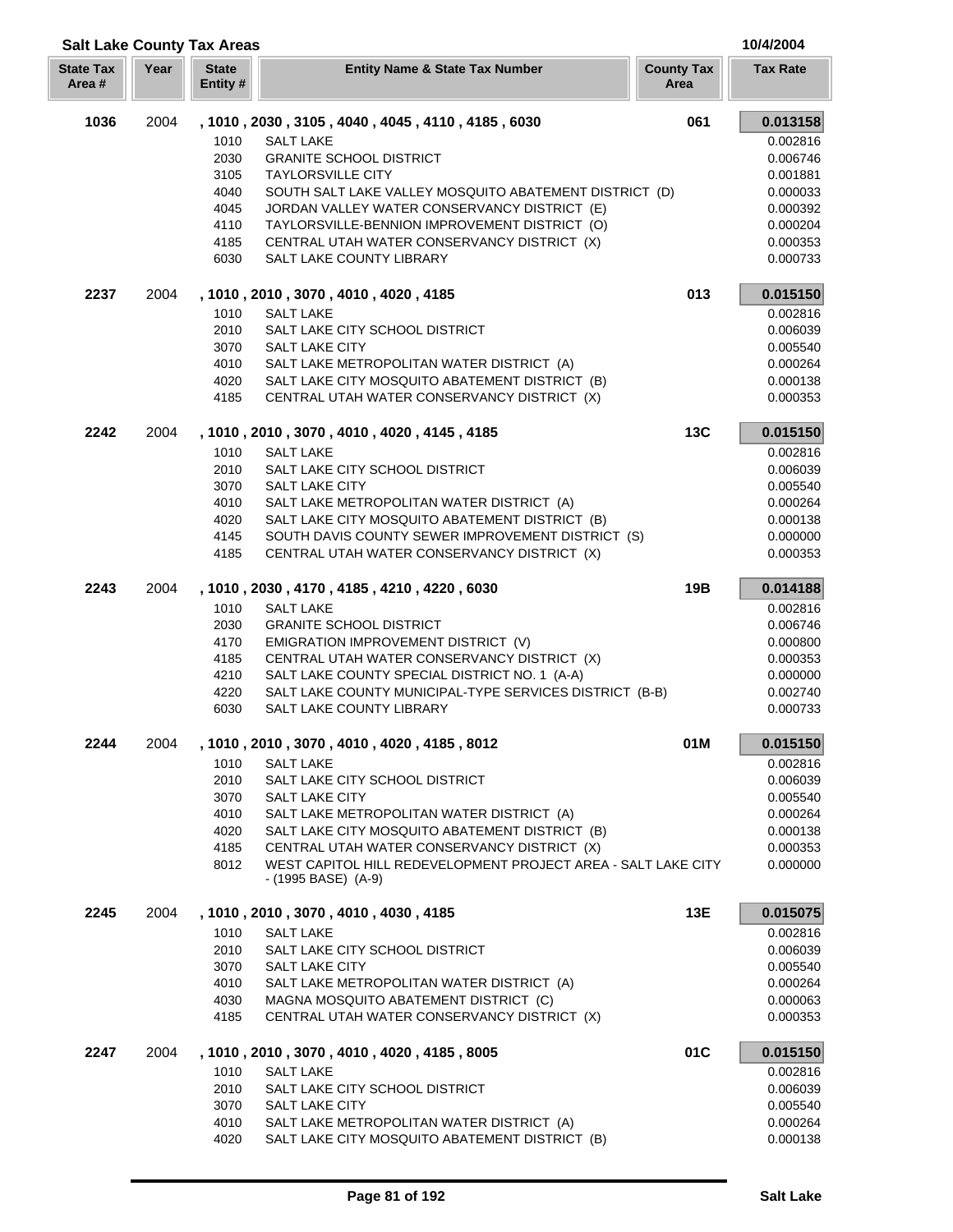|                           | <b>Salt Lake County Tax Areas</b> |                          |                                                                                      |                           |                 |  |
|---------------------------|-----------------------------------|--------------------------|--------------------------------------------------------------------------------------|---------------------------|-----------------|--|
| <b>State Tax</b><br>Area# | Year                              | <b>State</b><br>Entity # | <b>Entity Name &amp; State Tax Number</b>                                            | <b>County Tax</b><br>Area | <b>Tax Rate</b> |  |
| 1036                      | 2004                              |                          | , 1010, 2030, 3105, 4040, 4045, 4110, 4185, 6030                                     | 061                       | 0.013158        |  |
|                           |                                   | 1010                     | <b>SALT LAKE</b>                                                                     |                           | 0.002816        |  |
|                           |                                   | 2030                     | <b>GRANITE SCHOOL DISTRICT</b>                                                       |                           | 0.006746        |  |
|                           |                                   | 3105                     | <b>TAYLORSVILLE CITY</b>                                                             |                           | 0.001881        |  |
|                           |                                   | 4040                     | SOUTH SALT LAKE VALLEY MOSQUITO ABATEMENT DISTRICT (D)                               |                           | 0.000033        |  |
|                           |                                   | 4045                     | JORDAN VALLEY WATER CONSERVANCY DISTRICT (E)                                         |                           | 0.000392        |  |
|                           |                                   | 4110                     | TAYLORSVILLE-BENNION IMPROVEMENT DISTRICT (O)                                        |                           | 0.000204        |  |
|                           |                                   | 4185                     | CENTRAL UTAH WATER CONSERVANCY DISTRICT (X)                                          |                           | 0.000353        |  |
|                           |                                   | 6030                     | SALT LAKE COUNTY LIBRARY                                                             |                           | 0.000733        |  |
| 2237                      | 2004                              |                          | , 1010, 2010, 3070, 4010, 4020, 4185                                                 | 013                       | 0.015150        |  |
|                           |                                   | 1010                     | <b>SALT LAKE</b>                                                                     |                           | 0.002816        |  |
|                           |                                   | 2010                     | SALT LAKE CITY SCHOOL DISTRICT                                                       |                           | 0.006039        |  |
|                           |                                   | 3070                     | <b>SALT LAKE CITY</b>                                                                |                           | 0.005540        |  |
|                           |                                   | 4010                     | SALT LAKE METROPOLITAN WATER DISTRICT (A)                                            |                           | 0.000264        |  |
|                           |                                   | 4020                     | SALT LAKE CITY MOSQUITO ABATEMENT DISTRICT (B)                                       |                           | 0.000138        |  |
|                           |                                   | 4185                     | CENTRAL UTAH WATER CONSERVANCY DISTRICT (X)                                          |                           | 0.000353        |  |
| 2242                      | 2004                              |                          | , 1010, 2010, 3070, 4010, 4020, 4145, 4185                                           | <b>13C</b>                | 0.015150        |  |
|                           |                                   | 1010                     | <b>SALT LAKE</b>                                                                     |                           | 0.002816        |  |
|                           |                                   | 2010                     | SALT LAKE CITY SCHOOL DISTRICT                                                       |                           | 0.006039        |  |
|                           |                                   | 3070                     | <b>SALT LAKE CITY</b>                                                                |                           | 0.005540        |  |
|                           |                                   | 4010                     | SALT LAKE METROPOLITAN WATER DISTRICT (A)                                            |                           | 0.000264        |  |
|                           |                                   | 4020                     | SALT LAKE CITY MOSQUITO ABATEMENT DISTRICT (B)                                       |                           | 0.000138        |  |
|                           |                                   | 4145                     | SOUTH DAVIS COUNTY SEWER IMPROVEMENT DISTRICT (S)                                    |                           | 0.000000        |  |
|                           |                                   | 4185                     | CENTRAL UTAH WATER CONSERVANCY DISTRICT (X)                                          |                           | 0.000353        |  |
| 2243                      | 2004                              |                          | , 1010, 2030, 4170, 4185, 4210, 4220, 6030                                           | 19B                       | 0.014188        |  |
|                           |                                   | 1010                     | <b>SALT LAKE</b>                                                                     |                           | 0.002816        |  |
|                           |                                   | 2030                     | <b>GRANITE SCHOOL DISTRICT</b>                                                       |                           | 0.006746        |  |
|                           |                                   | 4170                     | EMIGRATION IMPROVEMENT DISTRICT (V)                                                  |                           | 0.000800        |  |
|                           |                                   | 4185                     | CENTRAL UTAH WATER CONSERVANCY DISTRICT (X)                                          |                           | 0.000353        |  |
|                           |                                   | 4210                     | SALT LAKE COUNTY SPECIAL DISTRICT NO. 1 (A-A)                                        |                           | 0.000000        |  |
|                           |                                   | 4220                     | SALT LAKE COUNTY MUNICIPAL-TYPE SERVICES DISTRICT (B-B)                              |                           | 0.002740        |  |
|                           |                                   | 6030                     | SALT LAKE COUNTY LIBRARY                                                             |                           | 0.000733        |  |
| 2244                      | 2004                              |                          | , 1010, 2010, 3070, 4010, 4020, 4185, 8012                                           | 01M                       | 0.015150        |  |
|                           |                                   | 1010                     | <b>SALT LAKE</b>                                                                     |                           | 0.002816        |  |
|                           |                                   | 2010                     | SALT LAKE CITY SCHOOL DISTRICT                                                       |                           | 0.006039        |  |
|                           |                                   | 3070                     | <b>SALT LAKE CITY</b>                                                                |                           | 0.005540        |  |
|                           |                                   | 4010                     | SALT LAKE METROPOLITAN WATER DISTRICT (A)                                            |                           | 0.000264        |  |
|                           |                                   | 4020                     | SALT LAKE CITY MOSQUITO ABATEMENT DISTRICT (B)                                       |                           | 0.000138        |  |
|                           |                                   | 4185                     | CENTRAL UTAH WATER CONSERVANCY DISTRICT (X)                                          |                           | 0.000353        |  |
|                           |                                   | 8012                     | WEST CAPITOL HILL REDEVELOPMENT PROJECT AREA - SALT LAKE CITY<br>- (1995 BASE) (A-9) |                           | 0.000000        |  |
| 2245                      | 2004                              |                          | , 1010, 2010, 3070, 4010, 4030, 4185                                                 | 13E                       | 0.015075        |  |
|                           |                                   | 1010                     | <b>SALT LAKE</b>                                                                     |                           | 0.002816        |  |
|                           |                                   | 2010                     | SALT LAKE CITY SCHOOL DISTRICT                                                       |                           | 0.006039        |  |
|                           |                                   | 3070                     | SALT LAKE CITY                                                                       |                           | 0.005540        |  |
|                           |                                   | 4010                     | SALT LAKE METROPOLITAN WATER DISTRICT (A)                                            |                           | 0.000264        |  |
|                           |                                   | 4030                     | MAGNA MOSQUITO ABATEMENT DISTRICT (C)                                                |                           | 0.000063        |  |
|                           |                                   | 4185                     | CENTRAL UTAH WATER CONSERVANCY DISTRICT (X)                                          |                           | 0.000353        |  |
| 2247                      | 2004                              |                          | , 1010, 2010, 3070, 4010, 4020, 4185, 8005                                           | 01C                       | 0.015150        |  |
|                           |                                   | 1010                     | <b>SALT LAKE</b>                                                                     |                           | 0.002816        |  |
|                           |                                   | 2010                     | SALT LAKE CITY SCHOOL DISTRICT                                                       |                           | 0.006039        |  |
|                           |                                   | 3070                     | <b>SALT LAKE CITY</b>                                                                |                           | 0.005540        |  |
|                           |                                   | 4010                     | SALT LAKE METROPOLITAN WATER DISTRICT (A)                                            |                           | 0.000264        |  |
|                           |                                   | 4020                     | SALT LAKE CITY MOSQUITO ABATEMENT DISTRICT (B)                                       |                           | 0.000138        |  |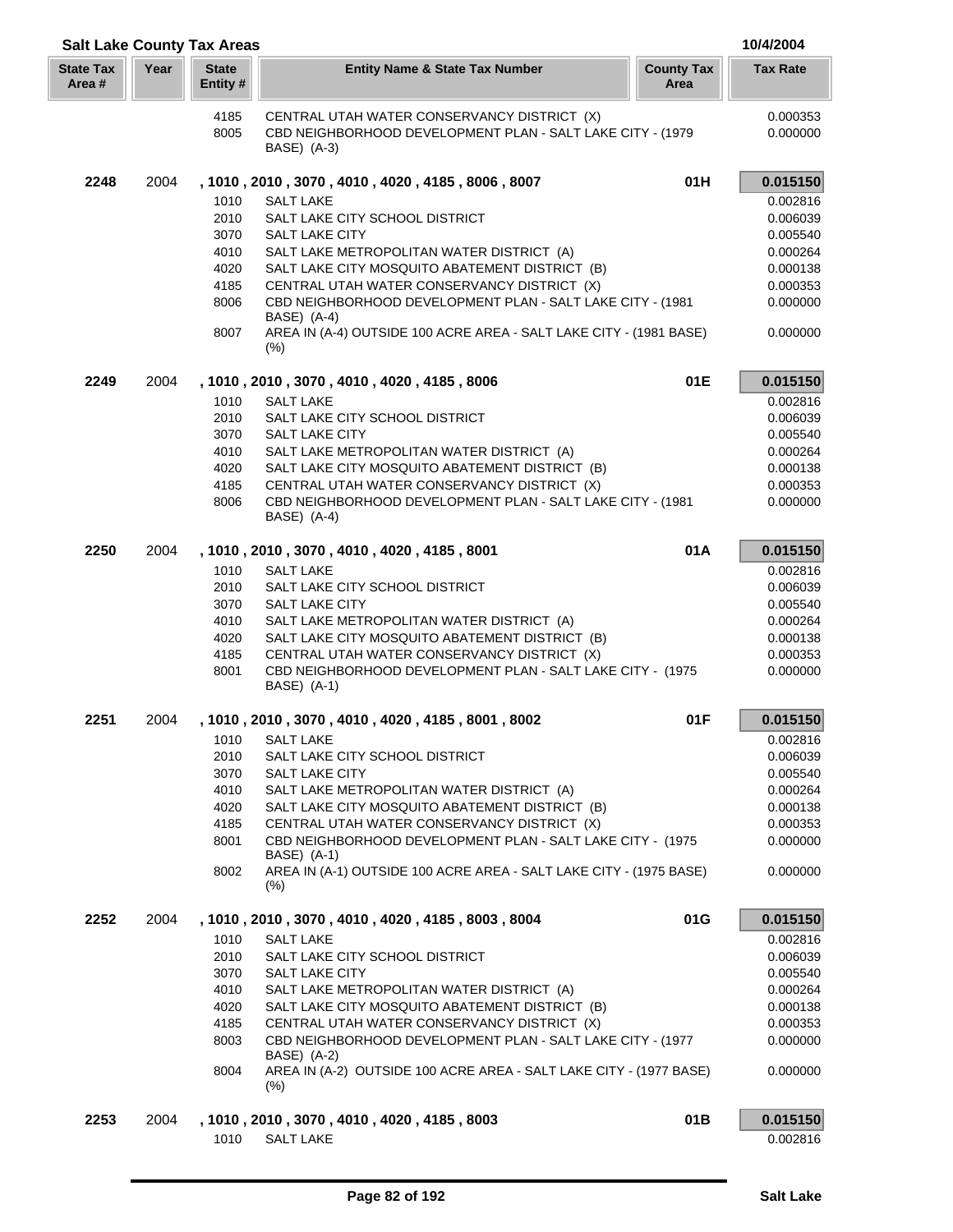| <b>Salt Lake County Tax Areas</b> |      |                          |                                                                                                                           |                           | 10/4/2004            |
|-----------------------------------|------|--------------------------|---------------------------------------------------------------------------------------------------------------------------|---------------------------|----------------------|
| <b>State Tax</b><br>Area #        | Year | <b>State</b><br>Entity # | <b>Entity Name &amp; State Tax Number</b>                                                                                 | <b>County Tax</b><br>Area | <b>Tax Rate</b>      |
|                                   |      | 4185<br>8005             | CENTRAL UTAH WATER CONSERVANCY DISTRICT (X)<br>CBD NEIGHBORHOOD DEVELOPMENT PLAN - SALT LAKE CITY - (1979)<br>BASE) (A-3) |                           | 0.000353<br>0.000000 |
| 2248                              | 2004 |                          | , 1010, 2010, 3070, 4010, 4020, 4185, 8006, 8007                                                                          | 01H                       | 0.015150             |
|                                   |      | 1010                     | <b>SALT LAKE</b>                                                                                                          |                           | 0.002816             |
|                                   |      | 2010                     | SALT LAKE CITY SCHOOL DISTRICT                                                                                            |                           | 0.006039             |
|                                   |      | 3070                     | <b>SALT LAKE CITY</b>                                                                                                     |                           | 0.005540             |
|                                   |      | 4010                     | SALT LAKE METROPOLITAN WATER DISTRICT (A)                                                                                 |                           | 0.000264             |
|                                   |      | 4020                     | SALT LAKE CITY MOSQUITO ABATEMENT DISTRICT (B)                                                                            |                           | 0.000138             |
|                                   |      | 4185<br>8006             | CENTRAL UTAH WATER CONSERVANCY DISTRICT (X)<br>CBD NEIGHBORHOOD DEVELOPMENT PLAN - SALT LAKE CITY - (1981)                |                           | 0.000353<br>0.000000 |
|                                   |      |                          | BASE) (A-4)                                                                                                               |                           |                      |
|                                   |      | 8007                     | AREA IN (A-4) OUTSIDE 100 ACRE AREA - SALT LAKE CITY - (1981 BASE)<br>(% )                                                |                           | 0.000000             |
| 2249                              | 2004 |                          | , 1010, 2010, 3070, 4010, 4020, 4185, 8006                                                                                | 01E                       | 0.015150             |
|                                   |      | 1010                     | <b>SALT LAKE</b>                                                                                                          |                           | 0.002816             |
|                                   |      | 2010                     | SALT LAKE CITY SCHOOL DISTRICT                                                                                            |                           | 0.006039             |
|                                   |      | 3070                     | <b>SALT LAKE CITY</b>                                                                                                     |                           | 0.005540             |
|                                   |      | 4010                     | SALT LAKE METROPOLITAN WATER DISTRICT (A)                                                                                 |                           | 0.000264             |
|                                   |      | 4020                     | SALT LAKE CITY MOSQUITO ABATEMENT DISTRICT (B)                                                                            |                           | 0.000138             |
|                                   |      | 4185<br>8006             | CENTRAL UTAH WATER CONSERVANCY DISTRICT (X)<br>CBD NEIGHBORHOOD DEVELOPMENT PLAN - SALT LAKE CITY - (1981<br>BASE) (A-4)  |                           | 0.000353<br>0.000000 |
| 2250                              | 2004 |                          | , 1010 , 2010 , 3070 , 4010 , 4020 , 4185 , 8001                                                                          | 01A                       | 0.015150             |
|                                   |      | 1010                     | <b>SALT LAKE</b>                                                                                                          |                           | 0.002816             |
|                                   |      | 2010                     | SALT LAKE CITY SCHOOL DISTRICT                                                                                            |                           | 0.006039             |
|                                   |      | 3070                     | <b>SALT LAKE CITY</b>                                                                                                     |                           | 0.005540             |
|                                   |      | 4010                     | SALT LAKE METROPOLITAN WATER DISTRICT (A)                                                                                 |                           | 0.000264             |
|                                   |      | 4020<br>4185             | SALT LAKE CITY MOSQUITO ABATEMENT DISTRICT (B)<br>CENTRAL UTAH WATER CONSERVANCY DISTRICT (X)                             |                           | 0.000138<br>0.000353 |
|                                   |      | 8001                     | CBD NEIGHBORHOOD DEVELOPMENT PLAN - SALT LAKE CITY - (1975<br>BASE) (A-1)                                                 |                           | 0.000000             |
| 2251                              | 2004 |                          | , 1010, 2010, 3070, 4010, 4020, 4185, 8001, 8002                                                                          | 01F                       | 0.015150             |
|                                   |      |                          | 1010 SALT LAKE                                                                                                            |                           | 0.002816             |
|                                   |      | 2010                     | SALT LAKE CITY SCHOOL DISTRICT                                                                                            |                           | 0.006039             |
|                                   |      | 3070                     | <b>SALT LAKE CITY</b>                                                                                                     |                           | 0.005540             |
|                                   |      | 4010                     | SALT LAKE METROPOLITAN WATER DISTRICT (A)                                                                                 |                           | 0.000264             |
|                                   |      | 4020                     | SALT LAKE CITY MOSQUITO ABATEMENT DISTRICT (B)                                                                            |                           | 0.000138             |
|                                   |      | 4185                     | CENTRAL UTAH WATER CONSERVANCY DISTRICT (X)                                                                               |                           | 0.000353             |
|                                   |      | 8001                     | CBD NEIGHBORHOOD DEVELOPMENT PLAN - SALT LAKE CITY - (1975)<br>BASE) (A-1)                                                |                           | 0.000000             |
|                                   |      | 8002                     | AREA IN (A-1) OUTSIDE 100 ACRE AREA - SALT LAKE CITY - (1975 BASE)<br>$(\% )$                                             |                           | 0.000000             |
| 2252                              | 2004 |                          | , 1010, 2010, 3070, 4010, 4020, 4185, 8003, 8004                                                                          | 01G                       | 0.015150             |
|                                   |      | 1010                     | <b>SALT LAKE</b>                                                                                                          |                           | 0.002816             |
|                                   |      | 2010                     | SALT LAKE CITY SCHOOL DISTRICT                                                                                            |                           | 0.006039             |
|                                   |      | 3070                     | SALT LAKE CITY                                                                                                            |                           | 0.005540             |
|                                   |      | 4010<br>4020             | SALT LAKE METROPOLITAN WATER DISTRICT (A)<br>SALT LAKE CITY MOSQUITO ABATEMENT DISTRICT (B)                               |                           | 0.000264<br>0.000138 |
|                                   |      | 4185                     | CENTRAL UTAH WATER CONSERVANCY DISTRICT (X)                                                                               |                           | 0.000353             |
|                                   |      | 8003                     | CBD NEIGHBORHOOD DEVELOPMENT PLAN - SALT LAKE CITY - (1977                                                                |                           | 0.000000             |
|                                   |      | 8004                     | BASE) (A-2)<br>AREA IN (A-2) OUTSIDE 100 ACRE AREA - SALT LAKE CITY - (1977 BASE)                                         |                           | 0.000000             |
|                                   |      |                          | $(\%)$                                                                                                                    |                           |                      |
| 2253                              | 2004 |                          | , 1010, 2010, 3070, 4010, 4020, 4185, 8003                                                                                | 01B                       | 0.015150             |
|                                   |      | 1010                     | <b>SALT LAKE</b>                                                                                                          |                           | 0.002816             |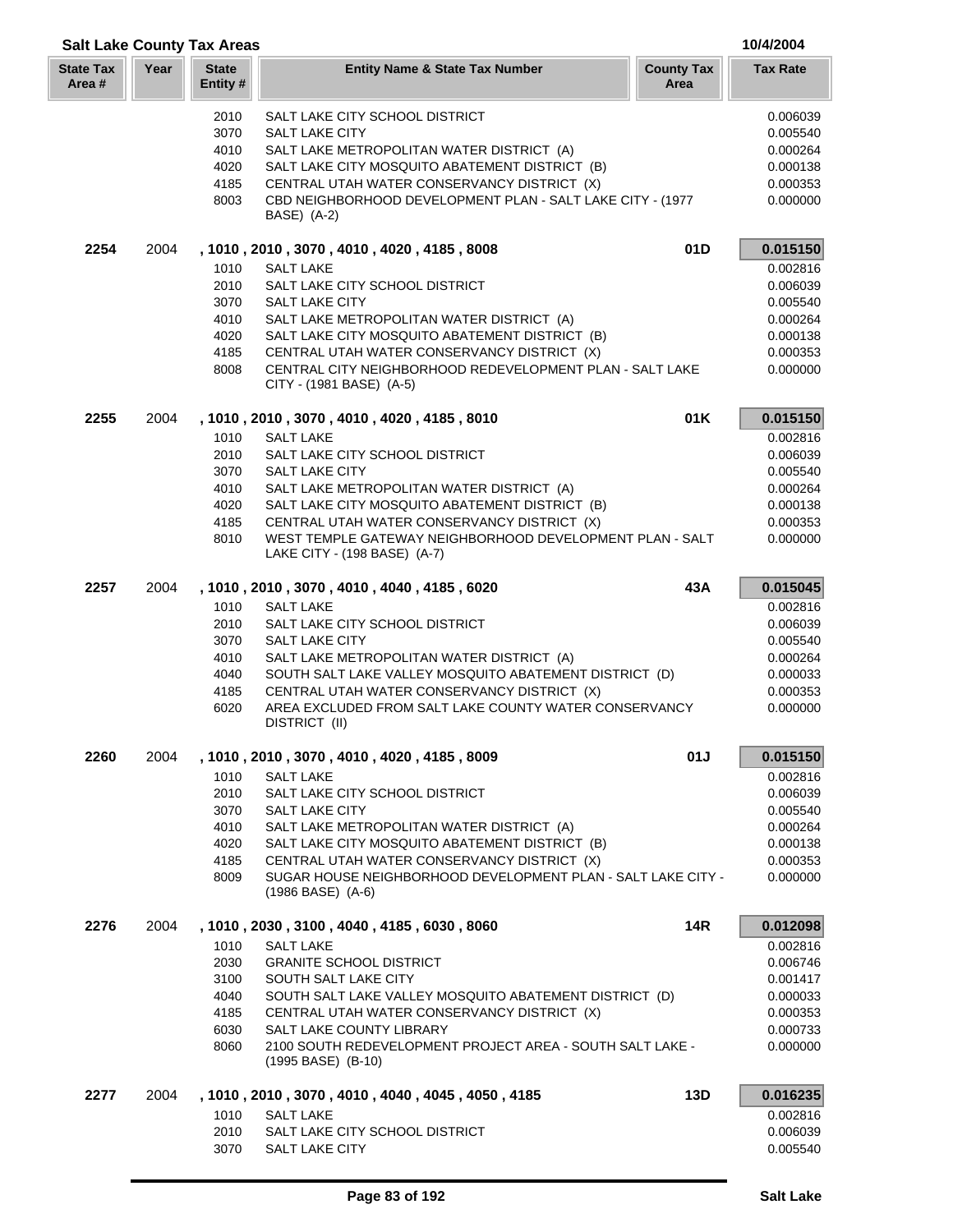| <b>Salt Lake County Tax Areas</b> |      |                          |                                                                                                                                     |                           | 10/4/2004            |
|-----------------------------------|------|--------------------------|-------------------------------------------------------------------------------------------------------------------------------------|---------------------------|----------------------|
| <b>State Tax</b><br>Area #        | Year | <b>State</b><br>Entity # | <b>Entity Name &amp; State Tax Number</b>                                                                                           | <b>County Tax</b><br>Area | <b>Tax Rate</b>      |
|                                   |      | 2010                     | SALT LAKE CITY SCHOOL DISTRICT                                                                                                      |                           | 0.006039             |
|                                   |      | 3070                     | <b>SALT LAKE CITY</b>                                                                                                               |                           | 0.005540             |
|                                   |      | 4010                     | SALT LAKE METROPOLITAN WATER DISTRICT (A)                                                                                           |                           | 0.000264             |
|                                   |      | 4020                     | SALT LAKE CITY MOSQUITO ABATEMENT DISTRICT (B)                                                                                      |                           | 0.000138             |
|                                   |      | 4185                     | CENTRAL UTAH WATER CONSERVANCY DISTRICT (X)                                                                                         |                           | 0.000353             |
|                                   |      | 8003                     | CBD NEIGHBORHOOD DEVELOPMENT PLAN - SALT LAKE CITY - (1977<br>BASE) (A-2)                                                           |                           | 0.000000             |
| 2254                              | 2004 |                          | , 1010, 2010, 3070, 4010, 4020, 4185, 8008                                                                                          | 01D                       | 0.015150             |
|                                   |      | 1010                     | <b>SALT LAKE</b>                                                                                                                    |                           | 0.002816             |
|                                   |      | 2010                     | SALT LAKE CITY SCHOOL DISTRICT                                                                                                      |                           | 0.006039             |
|                                   |      | 3070                     | <b>SALT LAKE CITY</b>                                                                                                               |                           | 0.005540             |
|                                   |      | 4010                     | SALT LAKE METROPOLITAN WATER DISTRICT (A)                                                                                           |                           | 0.000264             |
|                                   |      | 4020                     | SALT LAKE CITY MOSQUITO ABATEMENT DISTRICT (B)                                                                                      |                           | 0.000138             |
|                                   |      | 4185<br>8008             | CENTRAL UTAH WATER CONSERVANCY DISTRICT (X)<br>CENTRAL CITY NEIGHBORHOOD REDEVELOPMENT PLAN - SALT LAKE<br>CITY - (1981 BASE) (A-5) |                           | 0.000353<br>0.000000 |
| 2255                              | 2004 |                          | , 1010, 2010, 3070, 4010, 4020, 4185, 8010                                                                                          | 01K                       | 0.015150             |
|                                   |      | 1010                     | <b>SALT LAKE</b>                                                                                                                    |                           | 0.002816             |
|                                   |      | 2010                     | SALT LAKE CITY SCHOOL DISTRICT                                                                                                      |                           | 0.006039             |
|                                   |      | 3070                     | <b>SALT LAKE CITY</b>                                                                                                               |                           | 0.005540             |
|                                   |      | 4010                     | SALT LAKE METROPOLITAN WATER DISTRICT (A)                                                                                           |                           | 0.000264             |
|                                   |      | 4020                     | SALT LAKE CITY MOSQUITO ABATEMENT DISTRICT (B)                                                                                      |                           | 0.000138             |
|                                   |      | 4185                     | CENTRAL UTAH WATER CONSERVANCY DISTRICT (X)                                                                                         |                           | 0.000353             |
|                                   |      | 8010                     | WEST TEMPLE GATEWAY NEIGHBORHOOD DEVELOPMENT PLAN - SALT<br>LAKE CITY - (198 BASE) (A-7)                                            |                           | 0.000000             |
| 2257                              | 2004 |                          | , 1010, 2010, 3070, 4010, 4040, 4185, 6020                                                                                          | 43A                       | 0.015045             |
|                                   |      | 1010                     | <b>SALT LAKE</b>                                                                                                                    |                           | 0.002816             |
|                                   |      | 2010                     | SALT LAKE CITY SCHOOL DISTRICT                                                                                                      |                           | 0.006039             |
|                                   |      | 3070                     | <b>SALT LAKE CITY</b>                                                                                                               |                           | 0.005540             |
|                                   |      | 4010                     | SALT LAKE METROPOLITAN WATER DISTRICT (A)                                                                                           |                           | 0.000264             |
|                                   |      | 4040                     | SOUTH SALT LAKE VALLEY MOSQUITO ABATEMENT DISTRICT (D)<br>CENTRAL UTAH WATER CONSERVANCY DISTRICT (X)                               |                           | 0.000033             |
|                                   |      | 4185<br>6020             | AREA EXCLUDED FROM SALT LAKE COUNTY WATER CONSERVANCY<br>DISTRICT (II)                                                              |                           | 0.000353<br>0.000000 |
| 2260                              | 2004 |                          | , 1010 , 2010 , 3070 , 4010 , 4020 , 4185 , 8009                                                                                    | 01J                       | 0.015150             |
|                                   |      | 1010                     | <b>SALT LAKE</b>                                                                                                                    |                           | 0.002816             |
|                                   |      | 2010                     | SALT LAKE CITY SCHOOL DISTRICT                                                                                                      |                           | 0.006039             |
|                                   |      | 3070                     | SALT LAKE CITY                                                                                                                      |                           | 0.005540             |
|                                   |      | 4010                     | SALT LAKE METROPOLITAN WATER DISTRICT (A)                                                                                           |                           | 0.000264             |
|                                   |      | 4020                     | SALT LAKE CITY MOSQUITO ABATEMENT DISTRICT (B)                                                                                      |                           | 0.000138             |
|                                   |      | 4185                     | CENTRAL UTAH WATER CONSERVANCY DISTRICT (X)                                                                                         |                           | 0.000353             |
|                                   |      | 8009                     | SUGAR HOUSE NEIGHBORHOOD DEVELOPMENT PLAN - SALT LAKE CITY -<br>$(1986$ BASE) $(A-6)$                                               |                           | 0.000000             |
| 2276                              | 2004 |                          | , 1010, 2030, 3100, 4040, 4185, 6030, 8060                                                                                          | 14R                       | 0.012098             |
|                                   |      | 1010                     | <b>SALT LAKE</b>                                                                                                                    |                           | 0.002816             |
|                                   |      | 2030                     | <b>GRANITE SCHOOL DISTRICT</b>                                                                                                      |                           | 0.006746             |
|                                   |      | 3100                     | SOUTH SALT LAKE CITY                                                                                                                |                           | 0.001417             |
|                                   |      | 4040<br>4185             | SOUTH SALT LAKE VALLEY MOSQUITO ABATEMENT DISTRICT (D)                                                                              |                           | 0.000033<br>0.000353 |
|                                   |      | 6030                     | CENTRAL UTAH WATER CONSERVANCY DISTRICT (X)<br>SALT LAKE COUNTY LIBRARY                                                             |                           | 0.000733             |
|                                   |      | 8060                     | 2100 SOUTH REDEVELOPMENT PROJECT AREA - SOUTH SALT LAKE -<br>(1995 BASE) (B-10)                                                     |                           | 0.000000             |
| 2277                              | 2004 |                          | , 1010, 2010, 3070, 4010, 4040, 4045, 4050, 4185                                                                                    | 13D                       | 0.016235             |
|                                   |      | 1010                     | <b>SALT LAKE</b>                                                                                                                    |                           | 0.002816             |
|                                   |      | 2010                     | SALT LAKE CITY SCHOOL DISTRICT                                                                                                      |                           | 0.006039             |
|                                   |      | 3070                     | SALT LAKE CITY                                                                                                                      |                           | 0.005540             |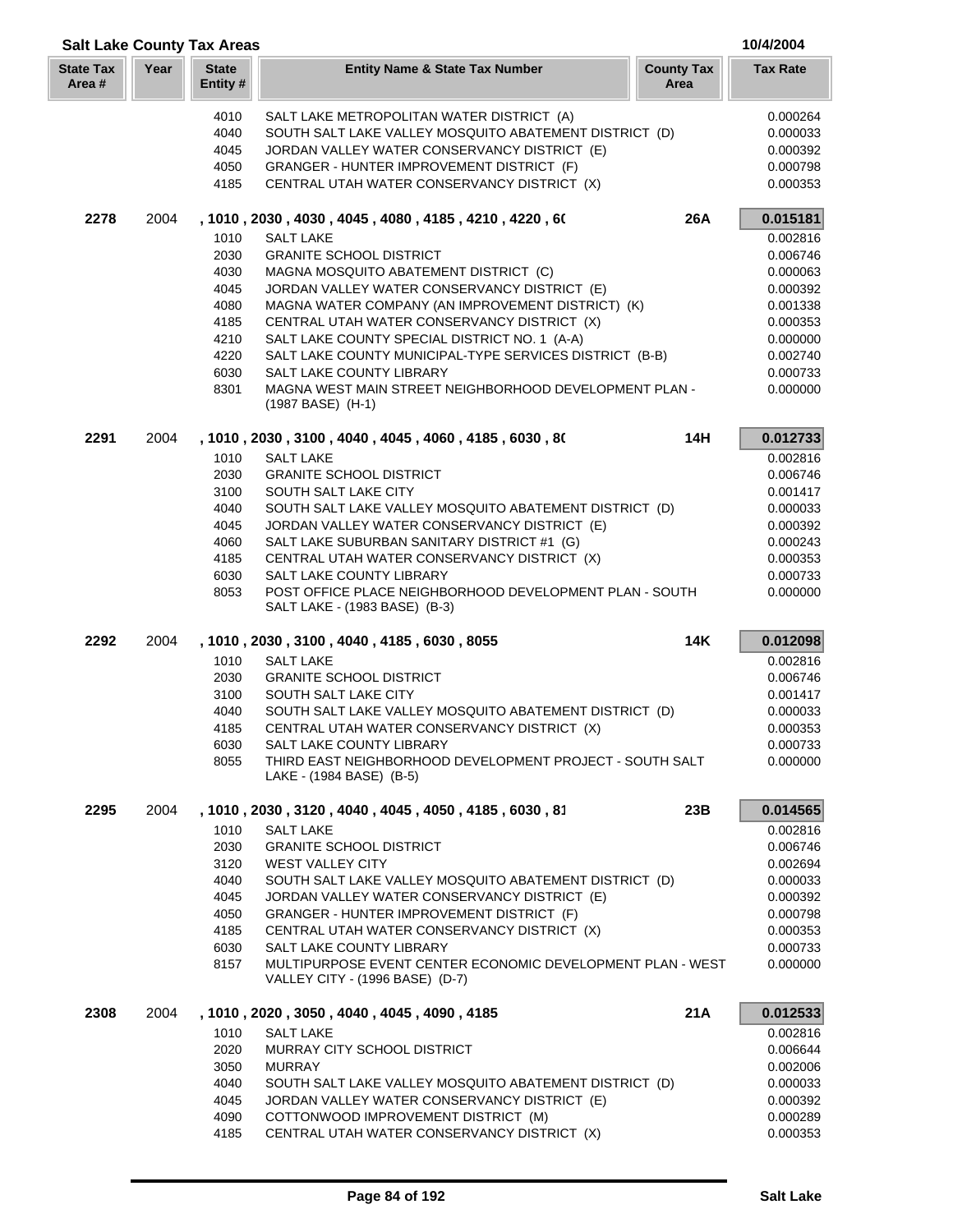|                           | <b>Salt Lake County Tax Areas</b> |                          |                                                                                                          | 10/4/2004                 |                      |
|---------------------------|-----------------------------------|--------------------------|----------------------------------------------------------------------------------------------------------|---------------------------|----------------------|
| <b>State Tax</b><br>Area# | Year                              | <b>State</b><br>Entity # | <b>Entity Name &amp; State Tax Number</b>                                                                | <b>County Tax</b><br>Area | <b>Tax Rate</b>      |
|                           |                                   | 4010                     | SALT LAKE METROPOLITAN WATER DISTRICT (A)                                                                |                           | 0.000264             |
|                           |                                   | 4040                     | SOUTH SALT LAKE VALLEY MOSQUITO ABATEMENT DISTRICT (D)                                                   |                           | 0.000033             |
|                           |                                   | 4045                     | JORDAN VALLEY WATER CONSERVANCY DISTRICT (E)                                                             |                           | 0.000392             |
|                           |                                   | 4050                     | GRANGER - HUNTER IMPROVEMENT DISTRICT (F)                                                                |                           | 0.000798             |
|                           |                                   | 4185                     | CENTRAL UTAH WATER CONSERVANCY DISTRICT (X)                                                              |                           | 0.000353             |
| 2278                      | 2004                              |                          | , 1010, 2030, 4030, 4045, 4080, 4185, 4210, 4220, 60                                                     | 26A                       | 0.015181             |
|                           |                                   | 1010                     | <b>SALT LAKE</b>                                                                                         |                           | 0.002816             |
|                           |                                   | 2030                     | <b>GRANITE SCHOOL DISTRICT</b>                                                                           |                           | 0.006746             |
|                           |                                   | 4030                     | MAGNA MOSQUITO ABATEMENT DISTRICT (C)                                                                    |                           | 0.000063             |
|                           |                                   | 4045                     | JORDAN VALLEY WATER CONSERVANCY DISTRICT (E)                                                             |                           | 0.000392             |
|                           |                                   | 4080                     | MAGNA WATER COMPANY (AN IMPROVEMENT DISTRICT) (K)                                                        |                           | 0.001338             |
|                           |                                   | 4185                     | CENTRAL UTAH WATER CONSERVANCY DISTRICT (X)                                                              |                           | 0.000353             |
|                           |                                   | 4210<br>4220             | SALT LAKE COUNTY SPECIAL DISTRICT NO. 1 (A-A)<br>SALT LAKE COUNTY MUNICIPAL-TYPE SERVICES DISTRICT (B-B) |                           | 0.000000<br>0.002740 |
|                           |                                   | 6030                     | SALT LAKE COUNTY LIBRARY                                                                                 |                           | 0.000733             |
|                           |                                   | 8301                     | MAGNA WEST MAIN STREET NEIGHBORHOOD DEVELOPMENT PLAN -                                                   |                           | 0.000000             |
|                           |                                   |                          | (1987 BASE) (H-1)                                                                                        |                           |                      |
| 2291                      | 2004                              |                          | , 1010, 2030, 3100, 4040, 4045, 4060, 4185, 6030, 80                                                     | 14H                       | 0.012733             |
|                           |                                   | 1010                     | <b>SALT LAKE</b>                                                                                         |                           | 0.002816             |
|                           |                                   | 2030                     | <b>GRANITE SCHOOL DISTRICT</b>                                                                           |                           | 0.006746             |
|                           |                                   | 3100                     | SOUTH SALT LAKE CITY                                                                                     |                           | 0.001417             |
|                           |                                   | 4040                     | SOUTH SALT LAKE VALLEY MOSQUITO ABATEMENT DISTRICT (D)                                                   |                           | 0.000033             |
|                           |                                   | 4045                     | JORDAN VALLEY WATER CONSERVANCY DISTRICT (E)                                                             |                           | 0.000392             |
|                           |                                   | 4060                     | SALT LAKE SUBURBAN SANITARY DISTRICT #1 (G)                                                              |                           | 0.000243             |
|                           |                                   | 4185<br>6030             | CENTRAL UTAH WATER CONSERVANCY DISTRICT (X)<br>SALT LAKE COUNTY LIBRARY                                  |                           | 0.000353             |
|                           |                                   | 8053                     | POST OFFICE PLACE NEIGHBORHOOD DEVELOPMENT PLAN - SOUTH                                                  |                           | 0.000733<br>0.000000 |
|                           |                                   |                          | SALT LAKE - (1983 BASE) (B-3)                                                                            |                           |                      |
| 2292                      | 2004                              |                          | , 1010, 2030, 3100, 4040, 4185, 6030, 8055                                                               | <b>14K</b>                | 0.012098             |
|                           |                                   | 1010                     | <b>SALT LAKE</b>                                                                                         |                           | 0.002816             |
|                           |                                   | 2030                     | <b>GRANITE SCHOOL DISTRICT</b>                                                                           |                           | 0.006746             |
|                           |                                   | 3100                     | SOUTH SALT LAKE CITY                                                                                     |                           | 0.001417             |
|                           |                                   | 4040                     | SOUTH SALT LAKE VALLEY MOSQUITO ABATEMENT DISTRICT (D)<br>CENTRAL UTAH WATER CONSERVANCY DISTRICT (X)    |                           | 0.000033             |
|                           |                                   | 4185<br>6030             | SALT LAKE COUNTY LIBRARY                                                                                 |                           | 0.000353<br>0.000733 |
|                           |                                   | 8055                     | THIRD EAST NEIGHBORHOOD DEVELOPMENT PROJECT - SOUTH SALT                                                 |                           | 0.000000             |
|                           |                                   |                          | LAKE - (1984 BASE) (B-5)                                                                                 |                           |                      |
| 2295                      | 2004                              |                          | , 1010, 2030, 3120, 4040, 4045, 4050, 4185, 6030, 81                                                     | 23B                       | 0.014565             |
|                           |                                   | 1010                     | <b>SALT LAKE</b>                                                                                         |                           | 0.002816             |
|                           |                                   | 2030                     | <b>GRANITE SCHOOL DISTRICT</b>                                                                           |                           | 0.006746             |
|                           |                                   | 3120                     | WEST VALLEY CITY                                                                                         |                           | 0.002694             |
|                           |                                   | 4040                     | SOUTH SALT LAKE VALLEY MOSQUITO ABATEMENT DISTRICT (D)                                                   |                           | 0.000033             |
|                           |                                   | 4045                     | JORDAN VALLEY WATER CONSERVANCY DISTRICT (E)                                                             |                           | 0.000392             |
|                           |                                   | 4050<br>4185             | GRANGER - HUNTER IMPROVEMENT DISTRICT (F)<br>CENTRAL UTAH WATER CONSERVANCY DISTRICT (X)                 |                           | 0.000798<br>0.000353 |
|                           |                                   | 6030                     | SALT LAKE COUNTY LIBRARY                                                                                 |                           | 0.000733             |
|                           |                                   | 8157                     | MULTIPURPOSE EVENT CENTER ECONOMIC DEVELOPMENT PLAN - WEST<br>VALLEY CITY - (1996 BASE) (D-7)            |                           | 0.000000             |
| 2308                      | 2004                              |                          | , 1010, 2020, 3050, 4040, 4045, 4090, 4185                                                               | 21A                       | 0.012533             |
|                           |                                   | 1010                     | <b>SALT LAKE</b>                                                                                         |                           | 0.002816             |
|                           |                                   | 2020                     | MURRAY CITY SCHOOL DISTRICT                                                                              |                           | 0.006644             |
|                           |                                   | 3050                     | <b>MURRAY</b>                                                                                            |                           | 0.002006             |
|                           |                                   | 4040                     | SOUTH SALT LAKE VALLEY MOSQUITO ABATEMENT DISTRICT (D)                                                   |                           | 0.000033             |
|                           |                                   | 4045                     | JORDAN VALLEY WATER CONSERVANCY DISTRICT (E)                                                             |                           | 0.000392             |
|                           |                                   | 4090                     | COTTONWOOD IMPROVEMENT DISTRICT (M)                                                                      |                           | 0.000289             |
|                           |                                   | 4185                     | CENTRAL UTAH WATER CONSERVANCY DISTRICT (X)                                                              |                           | 0.000353             |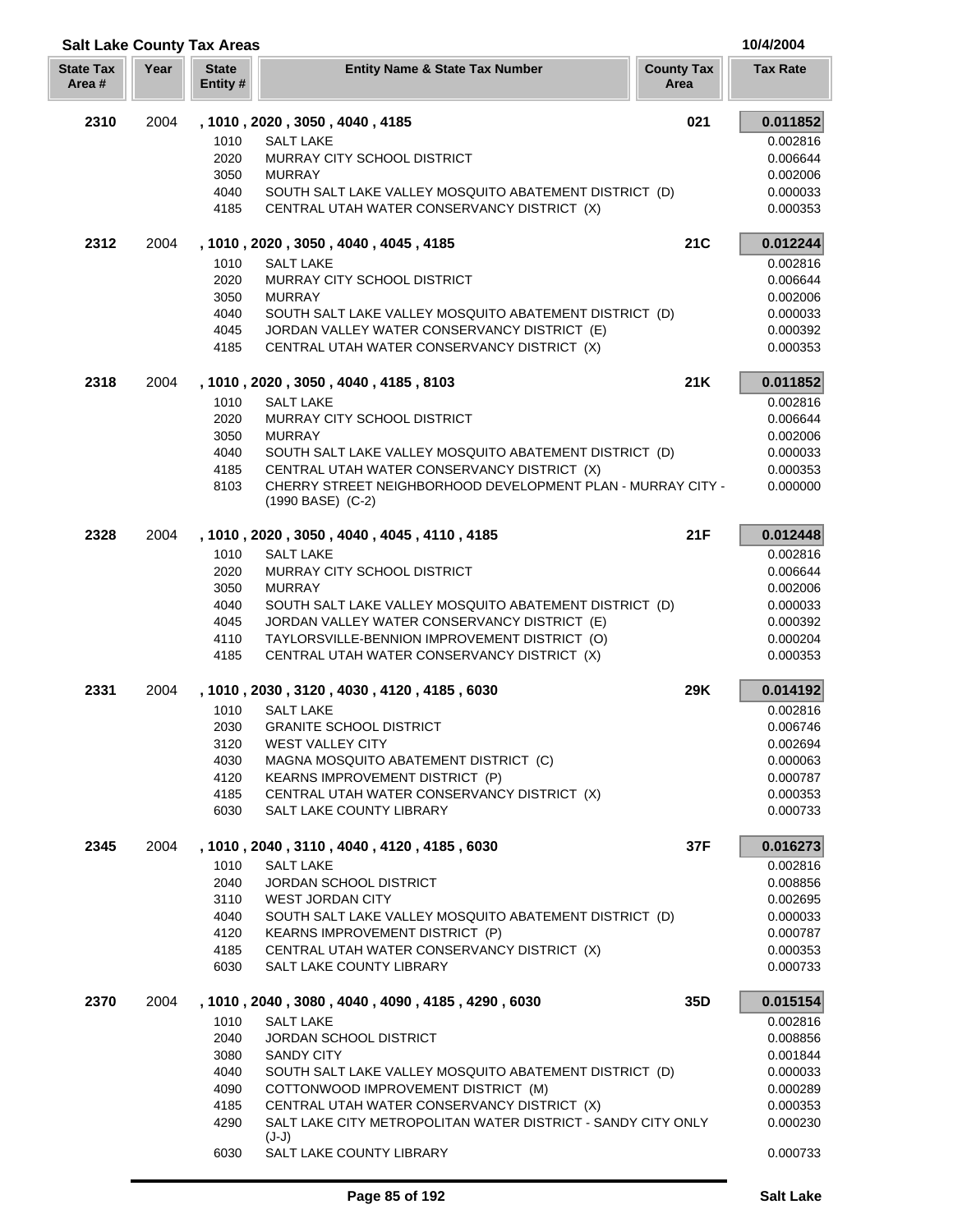|                            |      | <b>Salt Lake County Tax Areas</b> |                                                                                      |                           | 10/4/2004            |
|----------------------------|------|-----------------------------------|--------------------------------------------------------------------------------------|---------------------------|----------------------|
| <b>State Tax</b><br>Area # | Year | <b>State</b><br>Entity #          | <b>Entity Name &amp; State Tax Number</b>                                            | <b>County Tax</b><br>Area | <b>Tax Rate</b>      |
| 2310                       | 2004 |                                   | , 1010, 2020, 3050, 4040, 4185                                                       | 021                       | 0.011852             |
|                            |      | 1010                              | <b>SALT LAKE</b>                                                                     |                           | 0.002816             |
|                            |      | 2020                              | MURRAY CITY SCHOOL DISTRICT                                                          |                           | 0.006644             |
|                            |      | 3050                              | <b>MURRAY</b>                                                                        |                           | 0.002006             |
|                            |      | 4040                              | SOUTH SALT LAKE VALLEY MOSQUITO ABATEMENT DISTRICT (D)                               |                           | 0.000033             |
|                            |      | 4185                              | CENTRAL UTAH WATER CONSERVANCY DISTRICT (X)                                          |                           | 0.000353             |
| 2312                       | 2004 |                                   | , 1010, 2020, 3050, 4040, 4045, 4185                                                 | 21C                       | 0.012244             |
|                            |      | 1010                              | <b>SALT LAKE</b>                                                                     |                           | 0.002816             |
|                            |      | 2020                              | MURRAY CITY SCHOOL DISTRICT                                                          |                           | 0.006644             |
|                            |      | 3050                              | <b>MURRAY</b>                                                                        |                           | 0.002006             |
|                            |      | 4040                              | SOUTH SALT LAKE VALLEY MOSQUITO ABATEMENT DISTRICT (D)                               |                           | 0.000033             |
|                            |      | 4045                              | JORDAN VALLEY WATER CONSERVANCY DISTRICT (E)                                         |                           | 0.000392             |
|                            |      | 4185                              | CENTRAL UTAH WATER CONSERVANCY DISTRICT (X)                                          |                           | 0.000353             |
| 2318                       | 2004 |                                   | , 1010, 2020, 3050, 4040, 4185, 8103                                                 | 21K                       | 0.011852             |
|                            |      | 1010                              | <b>SALT LAKE</b>                                                                     |                           | 0.002816             |
|                            |      | 2020                              | MURRAY CITY SCHOOL DISTRICT                                                          |                           | 0.006644             |
|                            |      | 3050                              | <b>MURRAY</b>                                                                        |                           | 0.002006             |
|                            |      | 4040                              | SOUTH SALT LAKE VALLEY MOSQUITO ABATEMENT DISTRICT (D)                               |                           | 0.000033             |
|                            |      | 4185                              | CENTRAL UTAH WATER CONSERVANCY DISTRICT (X)                                          |                           | 0.000353             |
|                            |      | 8103                              | CHERRY STREET NEIGHBORHOOD DEVELOPMENT PLAN - MURRAY CITY -<br>$(1990$ BASE) $(C-2)$ |                           | 0.000000             |
| 2328                       | 2004 |                                   | , 1010, 2020, 3050, 4040, 4045, 4110, 4185                                           | 21F                       | 0.012448             |
|                            |      | 1010                              | <b>SALT LAKE</b>                                                                     |                           | 0.002816             |
|                            |      | 2020                              | MURRAY CITY SCHOOL DISTRICT                                                          |                           | 0.006644             |
|                            |      | 3050                              | <b>MURRAY</b>                                                                        |                           | 0.002006             |
|                            |      | 4040                              | SOUTH SALT LAKE VALLEY MOSQUITO ABATEMENT DISTRICT (D)                               |                           | 0.000033             |
|                            |      | 4045                              | JORDAN VALLEY WATER CONSERVANCY DISTRICT (E)                                         |                           | 0.000392             |
|                            |      | 4110                              | TAYLORSVILLE-BENNION IMPROVEMENT DISTRICT (O)                                        |                           | 0.000204             |
|                            |      | 4185                              | CENTRAL UTAH WATER CONSERVANCY DISTRICT (X)                                          |                           | 0.000353             |
| 2331                       | 2004 |                                   | , 1010, 2030, 3120, 4030, 4120, 4185, 6030                                           | 29K                       | 0.014192             |
|                            |      | 1010                              | <b>SALT LAKE</b>                                                                     |                           | 0.002816             |
|                            |      | 2030                              | <b>GRANITE SCHOOL DISTRICT</b>                                                       |                           | 0.006746             |
|                            |      | 3120                              | <b>WEST VALLEY CITY</b>                                                              |                           | 0.002694             |
|                            |      | 4030                              | MAGNA MOSQUITO ABATEMENT DISTRICT (C)                                                |                           | 0.000063             |
|                            |      | 4120                              | KEARNS IMPROVEMENT DISTRICT (P)                                                      |                           | 0.000787             |
|                            |      | 4185                              | CENTRAL UTAH WATER CONSERVANCY DISTRICT (X)                                          |                           | 0.000353             |
|                            |      | 6030                              | SALT LAKE COUNTY LIBRARY                                                             |                           | 0.000733             |
| 2345                       | 2004 |                                   | , 1010, 2040, 3110, 4040, 4120, 4185, 6030                                           | 37F                       | 0.016273             |
|                            |      | 1010                              | <b>SALT LAKE</b>                                                                     |                           | 0.002816             |
|                            |      | 2040                              | <b>JORDAN SCHOOL DISTRICT</b>                                                        |                           | 0.008856             |
|                            |      | 3110                              | <b>WEST JORDAN CITY</b>                                                              |                           | 0.002695             |
|                            |      | 4040                              | SOUTH SALT LAKE VALLEY MOSQUITO ABATEMENT DISTRICT (D)                               |                           | 0.000033             |
|                            |      | 4120                              | KEARNS IMPROVEMENT DISTRICT (P)                                                      |                           | 0.000787             |
|                            |      | 4185<br>6030                      | CENTRAL UTAH WATER CONSERVANCY DISTRICT (X)<br>SALT LAKE COUNTY LIBRARY              |                           | 0.000353<br>0.000733 |
| 2370                       | 2004 |                                   | , 1010, 2040, 3080, 4040, 4090, 4185, 4290, 6030                                     | 35D                       | 0.015154             |
|                            |      | 1010                              | <b>SALT LAKE</b>                                                                     |                           | 0.002816             |
|                            |      | 2040                              | <b>JORDAN SCHOOL DISTRICT</b>                                                        |                           | 0.008856             |
|                            |      | 3080                              | <b>SANDY CITY</b>                                                                    |                           | 0.001844             |
|                            |      | 4040                              | SOUTH SALT LAKE VALLEY MOSQUITO ABATEMENT DISTRICT (D)                               |                           | 0.000033             |
|                            |      | 4090                              | COTTONWOOD IMPROVEMENT DISTRICT (M)                                                  |                           | 0.000289             |
|                            |      | 4185                              | CENTRAL UTAH WATER CONSERVANCY DISTRICT (X)                                          |                           | 0.000353             |
|                            |      | 4290                              | SALT LAKE CITY METROPOLITAN WATER DISTRICT - SANDY CITY ONLY                         |                           | 0.000230             |
|                            |      | 6030                              | $(J-J)$<br>SALT LAKE COUNTY LIBRARY                                                  |                           | 0.000733             |
|                            |      |                                   |                                                                                      |                           |                      |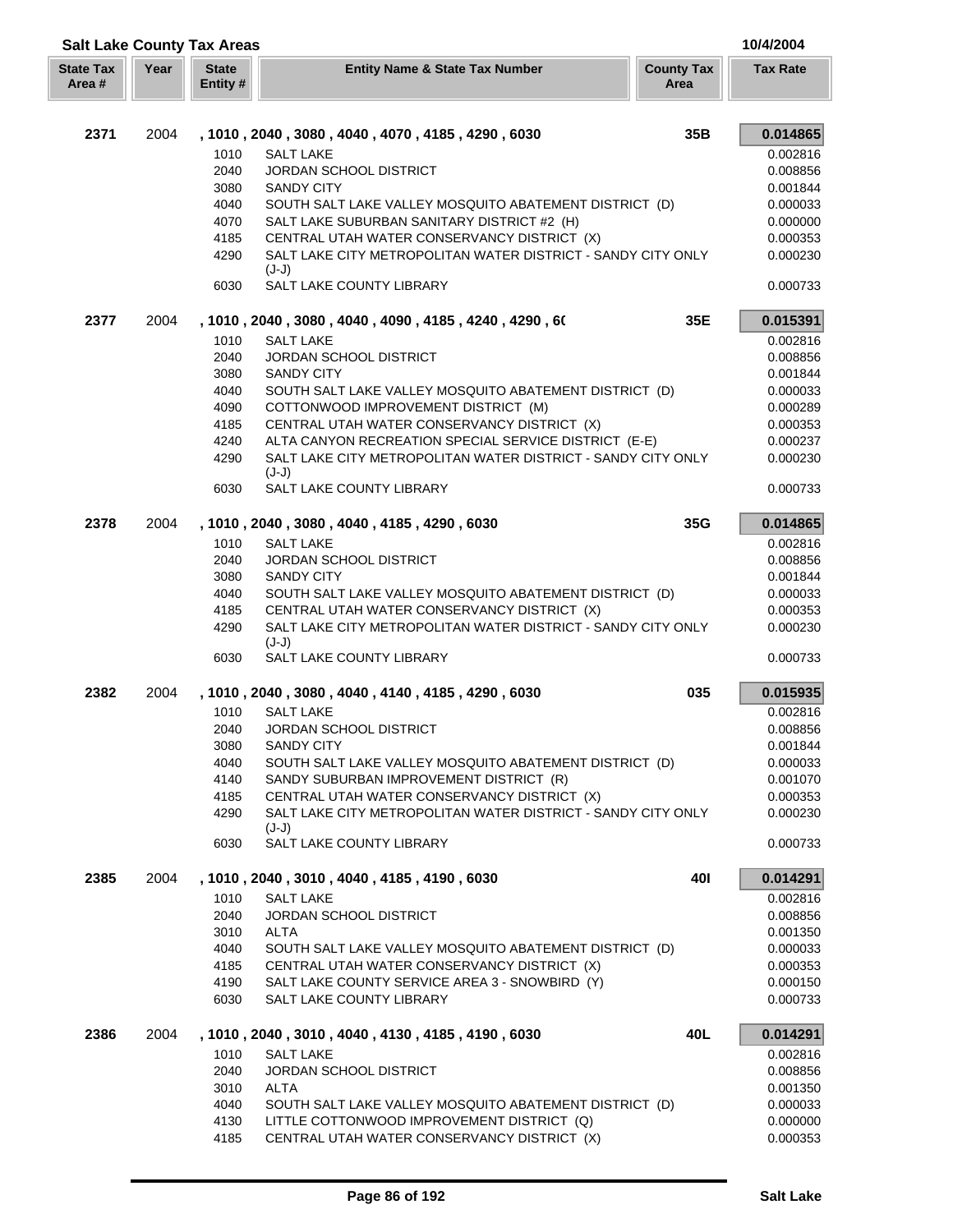|                           |      | <b>Salt Lake County Tax Areas</b> |                                                                                                       |                           | 10/4/2004            |
|---------------------------|------|-----------------------------------|-------------------------------------------------------------------------------------------------------|---------------------------|----------------------|
| <b>State Tax</b><br>Area# | Year | <b>State</b><br>Entity #          | <b>Entity Name &amp; State Tax Number</b>                                                             | <b>County Tax</b><br>Area | <b>Tax Rate</b>      |
| 2371                      | 2004 |                                   | , 1010, 2040, 3080, 4040, 4070, 4185, 4290, 6030                                                      | 35B                       | 0.014865             |
|                           |      | 1010                              | <b>SALT LAKE</b>                                                                                      |                           | 0.002816             |
|                           |      | 2040                              | <b>JORDAN SCHOOL DISTRICT</b>                                                                         |                           | 0.008856             |
|                           |      | 3080                              | <b>SANDY CITY</b>                                                                                     |                           | 0.001844             |
|                           |      | 4040                              | SOUTH SALT LAKE VALLEY MOSQUITO ABATEMENT DISTRICT (D)                                                |                           | 0.000033             |
|                           |      | 4070                              | SALT LAKE SUBURBAN SANITARY DISTRICT #2 (H)                                                           |                           | 0.000000             |
|                           |      | 4185                              | CENTRAL UTAH WATER CONSERVANCY DISTRICT (X)                                                           |                           | 0.000353             |
|                           |      | 4290                              | SALT LAKE CITY METROPOLITAN WATER DISTRICT - SANDY CITY ONLY<br>$(J-J)$                               |                           | 0.000230             |
|                           |      | 6030                              | SALT LAKE COUNTY LIBRARY                                                                              |                           | 0.000733             |
| 2377                      | 2004 |                                   | , 1010 , 2040 , 3080 , 4040 , 4090 , 4185 , 4240 , 4290 , 60                                          | 35E                       | 0.015391             |
|                           |      | 1010                              | <b>SALT LAKE</b>                                                                                      |                           | 0.002816             |
|                           |      | 2040                              | <b>JORDAN SCHOOL DISTRICT</b>                                                                         |                           | 0.008856             |
|                           |      | 3080                              | <b>SANDY CITY</b>                                                                                     |                           | 0.001844             |
|                           |      | 4040                              | SOUTH SALT LAKE VALLEY MOSQUITO ABATEMENT DISTRICT (D)                                                |                           | 0.000033             |
|                           |      | 4090                              | COTTONWOOD IMPROVEMENT DISTRICT (M)                                                                   |                           | 0.000289             |
|                           |      | 4185                              | CENTRAL UTAH WATER CONSERVANCY DISTRICT (X)                                                           |                           | 0.000353             |
|                           |      | 4240                              | ALTA CANYON RECREATION SPECIAL SERVICE DISTRICT (E-E)                                                 |                           | 0.000237             |
|                           |      | 4290                              | SALT LAKE CITY METROPOLITAN WATER DISTRICT - SANDY CITY ONLY<br>$(J-J)$                               |                           | 0.000230             |
|                           |      | 6030                              | SALT LAKE COUNTY LIBRARY                                                                              |                           | 0.000733             |
| 2378                      | 2004 |                                   | , 1010, 2040, 3080, 4040, 4185, 4290, 6030                                                            | 35G                       | 0.014865             |
|                           |      | 1010                              | <b>SALT LAKE</b>                                                                                      |                           | 0.002816             |
|                           |      | 2040                              | <b>JORDAN SCHOOL DISTRICT</b>                                                                         |                           | 0.008856             |
|                           |      | 3080                              | <b>SANDY CITY</b>                                                                                     |                           | 0.001844             |
|                           |      | 4040<br>4185                      | SOUTH SALT LAKE VALLEY MOSQUITO ABATEMENT DISTRICT (D)<br>CENTRAL UTAH WATER CONSERVANCY DISTRICT (X) |                           | 0.000033<br>0.000353 |
|                           |      | 4290                              | SALT LAKE CITY METROPOLITAN WATER DISTRICT - SANDY CITY ONLY                                          |                           | 0.000230             |
|                           |      |                                   | $(J-J)$                                                                                               |                           |                      |
|                           |      | 6030                              | SALT LAKE COUNTY LIBRARY                                                                              |                           | 0.000733             |
| 2382                      | 2004 |                                   | , 1010, 2040, 3080, 4040, 4140, 4185, 4290, 6030                                                      | 035                       | 0.015935             |
|                           |      | 1010                              | <b>SALT LAKE</b>                                                                                      |                           | 0.002816             |
|                           |      | 2040                              | <b>JORDAN SCHOOL DISTRICT</b><br><b>SANDY CITY</b>                                                    |                           | 0.008856<br>0.001844 |
|                           |      | 3080<br>4040                      | SOUTH SALT LAKE VALLEY MOSQUITO ABATEMENT DISTRICT (D)                                                |                           | 0.000033             |
|                           |      | 4140                              | SANDY SUBURBAN IMPROVEMENT DISTRICT (R)                                                               |                           | 0.001070             |
|                           |      | 4185                              | CENTRAL UTAH WATER CONSERVANCY DISTRICT (X)                                                           |                           | 0.000353             |
|                           |      | 4290                              | SALT LAKE CITY METROPOLITAN WATER DISTRICT - SANDY CITY ONLY                                          |                           | 0.000230             |
|                           |      | 6030                              | $(J-J)$<br>SALT LAKE COUNTY LIBRARY                                                                   |                           | 0.000733             |
|                           |      |                                   |                                                                                                       |                           |                      |
| 2385                      | 2004 | 1010                              | , 1010, 2040, 3010, 4040, 4185, 4190, 6030<br><b>SALT LAKE</b>                                        | 40I                       | 0.014291<br>0.002816 |
|                           |      | 2040                              | JORDAN SCHOOL DISTRICT                                                                                |                           | 0.008856             |
|                           |      | 3010                              | <b>ALTA</b>                                                                                           |                           | 0.001350             |
|                           |      | 4040                              | SOUTH SALT LAKE VALLEY MOSQUITO ABATEMENT DISTRICT (D)                                                |                           | 0.000033             |
|                           |      | 4185                              | CENTRAL UTAH WATER CONSERVANCY DISTRICT (X)                                                           |                           | 0.000353             |
|                           |      | 4190                              | SALT LAKE COUNTY SERVICE AREA 3 - SNOWBIRD (Y)                                                        |                           | 0.000150             |
|                           |      | 6030                              | SALT LAKE COUNTY LIBRARY                                                                              |                           | 0.000733             |
| 2386                      | 2004 |                                   | , 1010, 2040, 3010, 4040, 4130, 4185, 4190, 6030                                                      | 40L                       | 0.014291             |
|                           |      | 1010                              | <b>SALT LAKE</b>                                                                                      |                           | 0.002816             |
|                           |      | 2040                              | <b>JORDAN SCHOOL DISTRICT</b>                                                                         |                           | 0.008856             |
|                           |      | 3010                              | <b>ALTA</b>                                                                                           |                           | 0.001350             |
|                           |      | 4040                              | SOUTH SALT LAKE VALLEY MOSQUITO ABATEMENT DISTRICT (D)                                                |                           | 0.000033             |
|                           |      | 4130<br>4185                      | LITTLE COTTONWOOD IMPROVEMENT DISTRICT (Q)                                                            |                           | 0.000000             |
|                           |      |                                   | CENTRAL UTAH WATER CONSERVANCY DISTRICT (X)                                                           |                           | 0.000353             |

ſ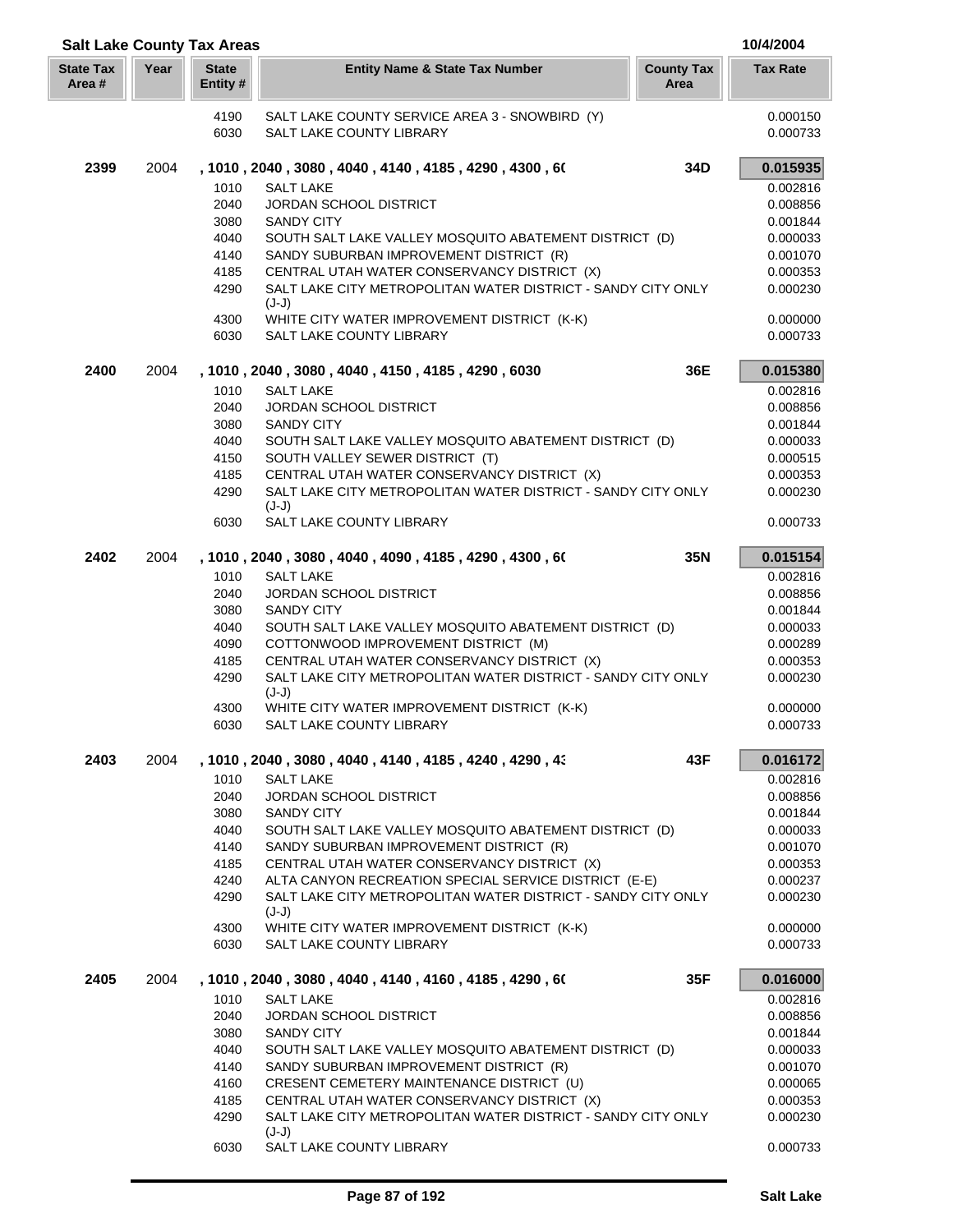|                            |      | <b>Salt Lake County Tax Areas</b> |                                                                                |                           | 10/4/2004            |
|----------------------------|------|-----------------------------------|--------------------------------------------------------------------------------|---------------------------|----------------------|
| <b>State Tax</b><br>Area # | Year | <b>State</b><br>Entity #          | <b>Entity Name &amp; State Tax Number</b>                                      | <b>County Tax</b><br>Area | <b>Tax Rate</b>      |
|                            |      | 4190<br>6030                      | SALT LAKE COUNTY SERVICE AREA 3 - SNOWBIRD (Y)<br>SALT LAKE COUNTY LIBRARY     |                           | 0.000150<br>0.000733 |
| 2399                       | 2004 |                                   | , 1010 , 2040 , 3080 , 4040 , 4140 , 4185 , 4290 , 4300 , 60                   | 34D                       | 0.015935             |
|                            |      | 1010                              | <b>SALT LAKE</b>                                                               |                           | 0.002816             |
|                            |      | 2040                              | <b>JORDAN SCHOOL DISTRICT</b>                                                  |                           | 0.008856             |
|                            |      | 3080                              | <b>SANDY CITY</b>                                                              |                           | 0.001844             |
|                            |      | 4040                              | SOUTH SALT LAKE VALLEY MOSQUITO ABATEMENT DISTRICT (D)                         |                           | 0.000033             |
|                            |      | 4140                              | SANDY SUBURBAN IMPROVEMENT DISTRICT (R)                                        |                           | 0.001070             |
|                            |      | 4185                              | CENTRAL UTAH WATER CONSERVANCY DISTRICT (X)                                    |                           | 0.000353             |
|                            |      | 4290                              | SALT LAKE CITY METROPOLITAN WATER DISTRICT - SANDY CITY ONLY                   |                           | 0.000230             |
|                            |      |                                   | $(J-J)$                                                                        |                           |                      |
|                            |      | 4300<br>6030                      | WHITE CITY WATER IMPROVEMENT DISTRICT (K-K)<br><b>SALT LAKE COUNTY LIBRARY</b> |                           | 0.000000<br>0.000733 |
| 2400                       | 2004 |                                   | , 1010, 2040, 3080, 4040, 4150, 4185, 4290, 6030                               | 36E                       | 0.015380             |
|                            |      | 1010                              | <b>SALT LAKE</b>                                                               |                           | 0.002816             |
|                            |      | 2040                              | <b>JORDAN SCHOOL DISTRICT</b>                                                  |                           | 0.008856             |
|                            |      | 3080                              | <b>SANDY CITY</b>                                                              |                           | 0.001844             |
|                            |      | 4040                              | SOUTH SALT LAKE VALLEY MOSQUITO ABATEMENT DISTRICT (D)                         |                           | 0.000033             |
|                            |      | 4150                              | SOUTH VALLEY SEWER DISTRICT (T)                                                |                           | 0.000515             |
|                            |      | 4185                              | CENTRAL UTAH WATER CONSERVANCY DISTRICT (X)                                    |                           | 0.000353             |
|                            |      | 4290                              | SALT LAKE CITY METROPOLITAN WATER DISTRICT - SANDY CITY ONLY                   |                           | 0.000230             |
|                            |      | 6030                              | $(J-J)$<br>SALT LAKE COUNTY LIBRARY                                            |                           | 0.000733             |
| 2402                       | 2004 |                                   | , 1010, 2040, 3080, 4040, 4090, 4185, 4290, 4300, 60                           | 35N                       | 0.015154             |
|                            |      | 1010                              | <b>SALT LAKE</b>                                                               |                           | 0.002816             |
|                            |      | 2040                              | <b>JORDAN SCHOOL DISTRICT</b>                                                  |                           | 0.008856             |
|                            |      | 3080                              | <b>SANDY CITY</b>                                                              |                           | 0.001844             |
|                            |      | 4040                              | SOUTH SALT LAKE VALLEY MOSQUITO ABATEMENT DISTRICT (D)                         |                           | 0.000033             |
|                            |      | 4090                              | COTTONWOOD IMPROVEMENT DISTRICT (M)                                            |                           | 0.000289             |
|                            |      | 4185                              | CENTRAL UTAH WATER CONSERVANCY DISTRICT (X)                                    |                           | 0.000353             |
|                            |      | 4290                              | SALT LAKE CITY METROPOLITAN WATER DISTRICT - SANDY CITY ONLY                   |                           | 0.000230             |
|                            |      |                                   | $(J-J)$                                                                        |                           |                      |
|                            |      | 4300                              | WHITE CITY WATER IMPROVEMENT DISTRICT (K-K)                                    |                           | 0.000000             |
|                            |      | 6030                              | SALT LAKE COUNTY LIBRARY                                                       |                           | 0.000733             |
| 2403                       | 2004 |                                   | , 1010 , 2040 , 3080 , 4040 , 4140 , 4185 , 4240 , 4290 , 43                   | 43F                       | 0.016172             |
|                            |      | 1010                              | <b>SALT LAKE</b>                                                               |                           | 0.002816             |
|                            |      | 2040<br>3080                      | JORDAN SCHOOL DISTRICT<br><b>SANDY CITY</b>                                    |                           | 0.008856<br>0.001844 |
|                            |      | 4040                              | SOUTH SALT LAKE VALLEY MOSQUITO ABATEMENT DISTRICT (D)                         |                           | 0.000033             |
|                            |      | 4140                              | SANDY SUBURBAN IMPROVEMENT DISTRICT (R)                                        |                           | 0.001070             |
|                            |      | 4185                              | CENTRAL UTAH WATER CONSERVANCY DISTRICT (X)                                    |                           | 0.000353             |
|                            |      | 4240                              | ALTA CANYON RECREATION SPECIAL SERVICE DISTRICT (E-E)                          |                           | 0.000237             |
|                            |      | 4290                              | SALT LAKE CITY METROPOLITAN WATER DISTRICT - SANDY CITY ONLY<br>$(J-J)$        |                           | 0.000230             |
|                            |      | 4300                              | WHITE CITY WATER IMPROVEMENT DISTRICT (K-K)                                    |                           | 0.000000             |
|                            |      | 6030                              | SALT LAKE COUNTY LIBRARY                                                       |                           | 0.000733             |
| 2405                       | 2004 |                                   | , 1010 , 2040 , 3080 , 4040 , 4140 , 4160 , 4185 , 4290 , 60                   | 35F                       | 0.016000             |
|                            |      | 1010                              | <b>SALT LAKE</b>                                                               |                           | 0.002816             |
|                            |      | 2040                              | <b>JORDAN SCHOOL DISTRICT</b>                                                  |                           | 0.008856             |
|                            |      | 3080                              | <b>SANDY CITY</b>                                                              |                           | 0.001844             |
|                            |      | 4040                              | SOUTH SALT LAKE VALLEY MOSQUITO ABATEMENT DISTRICT (D)                         |                           | 0.000033             |
|                            |      | 4140                              | SANDY SUBURBAN IMPROVEMENT DISTRICT (R)                                        |                           | 0.001070             |
|                            |      | 4160                              | CRESENT CEMETERY MAINTENANCE DISTRICT (U)                                      |                           | 0.000065             |
|                            |      | 4185                              | CENTRAL UTAH WATER CONSERVANCY DISTRICT (X)                                    |                           | 0.000353             |
|                            |      | 4290                              | SALT LAKE CITY METROPOLITAN WATER DISTRICT - SANDY CITY ONLY<br>(J-J)          |                           | 0.000230             |
|                            |      | 6030                              | SALT LAKE COUNTY LIBRARY                                                       |                           | 0.000733             |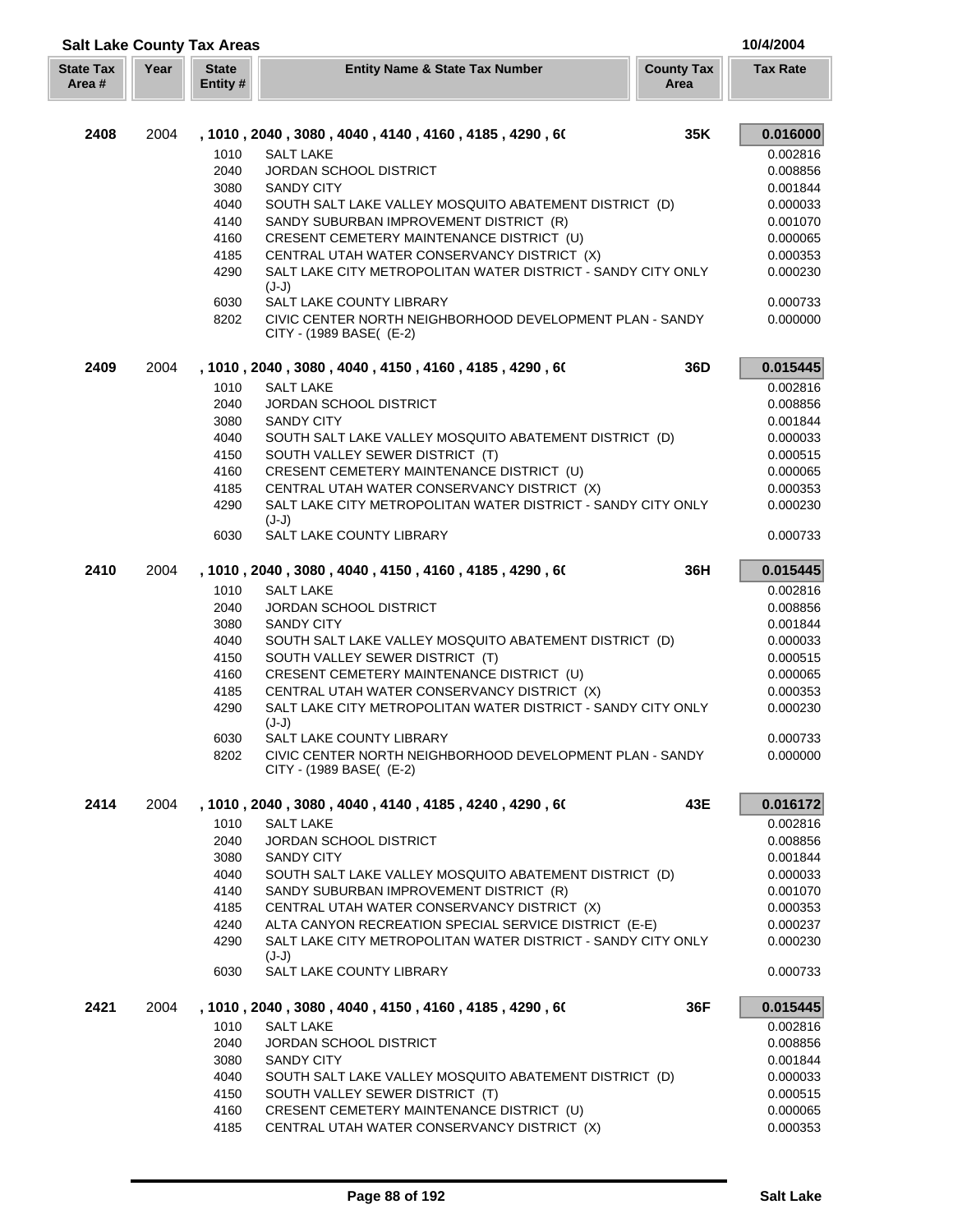|                            |      | <b>Salt Lake County Tax Areas</b> |                                                                                           |                           | 10/4/2004            |
|----------------------------|------|-----------------------------------|-------------------------------------------------------------------------------------------|---------------------------|----------------------|
| <b>State Tax</b><br>Area # | Year | <b>State</b><br>Entity #          | <b>Entity Name &amp; State Tax Number</b>                                                 | <b>County Tax</b><br>Area | <b>Tax Rate</b>      |
| 2408                       | 2004 |                                   | , 1010 , 2040 , 3080 , 4040 , 4140 , 4160 , 4185 , 4290 , 60                              | 35K                       | 0.016000             |
|                            |      | 1010                              | <b>SALT LAKE</b>                                                                          |                           | 0.002816             |
|                            |      | 2040                              | <b>JORDAN SCHOOL DISTRICT</b>                                                             |                           | 0.008856             |
|                            |      | 3080                              | <b>SANDY CITY</b>                                                                         |                           | 0.001844             |
|                            |      | 4040                              | SOUTH SALT LAKE VALLEY MOSQUITO ABATEMENT DISTRICT (D)                                    |                           | 0.000033             |
|                            |      | 4140                              | SANDY SUBURBAN IMPROVEMENT DISTRICT (R)                                                   |                           | 0.001070             |
|                            |      | 4160                              | CRESENT CEMETERY MAINTENANCE DISTRICT (U)                                                 |                           | 0.000065             |
|                            |      | 4185                              | CENTRAL UTAH WATER CONSERVANCY DISTRICT (X)                                               |                           | 0.000353             |
|                            |      | 4290                              | SALT LAKE CITY METROPOLITAN WATER DISTRICT - SANDY CITY ONLY<br>$(J-J)$                   |                           | 0.000230             |
|                            |      | 6030<br>8202                      | SALT LAKE COUNTY LIBRARY<br>CIVIC CENTER NORTH NEIGHBORHOOD DEVELOPMENT PLAN - SANDY      |                           | 0.000733<br>0.000000 |
|                            |      |                                   | CITY - (1989 BASE( (E-2)                                                                  |                           |                      |
| 2409                       | 2004 | 1010                              | , 1010 , 2040 , 3080 , 4040 , 4150 , 4160 , 4185 , 4290 , 60<br><b>SALT LAKE</b>          | 36D                       | 0.015445<br>0.002816 |
|                            |      | 2040                              | <b>JORDAN SCHOOL DISTRICT</b>                                                             |                           | 0.008856             |
|                            |      | 3080                              | <b>SANDY CITY</b>                                                                         |                           | 0.001844             |
|                            |      | 4040                              | SOUTH SALT LAKE VALLEY MOSQUITO ABATEMENT DISTRICT (D)                                    |                           | 0.000033             |
|                            |      | 4150                              | SOUTH VALLEY SEWER DISTRICT (T)                                                           |                           | 0.000515             |
|                            |      | 4160                              | CRESENT CEMETERY MAINTENANCE DISTRICT (U)                                                 |                           | 0.000065             |
|                            |      | 4185                              | CENTRAL UTAH WATER CONSERVANCY DISTRICT (X)                                               |                           | 0.000353             |
|                            |      | 4290                              | SALT LAKE CITY METROPOLITAN WATER DISTRICT - SANDY CITY ONLY<br>$(J-J)$                   |                           | 0.000230             |
|                            |      | 6030                              | SALT LAKE COUNTY LIBRARY                                                                  |                           | 0.000733             |
| 2410                       | 2004 |                                   | , 1010 , 2040 , 3080 , 4040 , 4150 , 4160 , 4185 , 4290 , 60                              | 36H                       | 0.015445             |
|                            |      | 1010                              | <b>SALT LAKE</b>                                                                          |                           | 0.002816             |
|                            |      | 2040                              | <b>JORDAN SCHOOL DISTRICT</b>                                                             |                           | 0.008856             |
|                            |      | 3080<br>4040                      | <b>SANDY CITY</b>                                                                         |                           | 0.001844             |
|                            |      | 4150                              | SOUTH SALT LAKE VALLEY MOSQUITO ABATEMENT DISTRICT (D)<br>SOUTH VALLEY SEWER DISTRICT (T) |                           | 0.000033<br>0.000515 |
|                            |      | 4160                              | CRESENT CEMETERY MAINTENANCE DISTRICT (U)                                                 |                           | 0.000065             |
|                            |      | 4185                              | CENTRAL UTAH WATER CONSERVANCY DISTRICT (X)                                               |                           | 0.000353             |
|                            |      | 4290                              | SALT LAKE CITY METROPOLITAN WATER DISTRICT - SANDY CITY ONLY<br>$(J-J)$                   |                           | 0.000230             |
|                            |      | 6030                              | SALT LAKE COUNTY LIBRARY                                                                  |                           | 0.000733             |
|                            |      | 8202                              | CIVIC CENTER NORTH NEIGHBORHOOD DEVELOPMENT PLAN - SANDY<br>CITY - (1989 BASE( (E-2)      |                           | 0.000000             |
| 2414                       | 2004 |                                   | , 1010, 2040, 3080, 4040, 4140, 4185, 4240, 4290, 60                                      | 43E                       | 0.016172             |
|                            |      | 1010                              | <b>SALT LAKE</b>                                                                          |                           | 0.002816             |
|                            |      | 2040                              | JORDAN SCHOOL DISTRICT                                                                    |                           | 0.008856             |
|                            |      | 3080                              | <b>SANDY CITY</b>                                                                         |                           | 0.001844             |
|                            |      | 4040                              | SOUTH SALT LAKE VALLEY MOSQUITO ABATEMENT DISTRICT (D)                                    |                           | 0.000033             |
|                            |      | 4140                              | SANDY SUBURBAN IMPROVEMENT DISTRICT (R)                                                   |                           | 0.001070             |
|                            |      | 4185                              | CENTRAL UTAH WATER CONSERVANCY DISTRICT (X)                                               |                           | 0.000353             |
|                            |      | 4240                              | ALTA CANYON RECREATION SPECIAL SERVICE DISTRICT (E-E)                                     |                           | 0.000237             |
|                            |      | 4290                              | SALT LAKE CITY METROPOLITAN WATER DISTRICT - SANDY CITY ONLY<br>$(J-J)$                   |                           | 0.000230             |
|                            |      | 6030                              | SALT LAKE COUNTY LIBRARY                                                                  |                           | 0.000733             |
| 2421                       | 2004 |                                   | , 1010, 2040, 3080, 4040, 4150, 4160, 4185, 4290, 60                                      | 36F                       | 0.015445             |
|                            |      | 1010<br>2040                      | <b>SALT LAKE</b><br><b>JORDAN SCHOOL DISTRICT</b>                                         |                           | 0.002816<br>0.008856 |
|                            |      | 3080                              | <b>SANDY CITY</b>                                                                         |                           | 0.001844             |
|                            |      | 4040                              | SOUTH SALT LAKE VALLEY MOSQUITO ABATEMENT DISTRICT (D)                                    |                           | 0.000033             |
|                            |      | 4150                              | SOUTH VALLEY SEWER DISTRICT (T)                                                           |                           | 0.000515             |
|                            |      | 4160                              | CRESENT CEMETERY MAINTENANCE DISTRICT (U)                                                 |                           | 0.000065             |
|                            |      | 4185                              | CENTRAL UTAH WATER CONSERVANCY DISTRICT (X)                                               |                           | 0.000353             |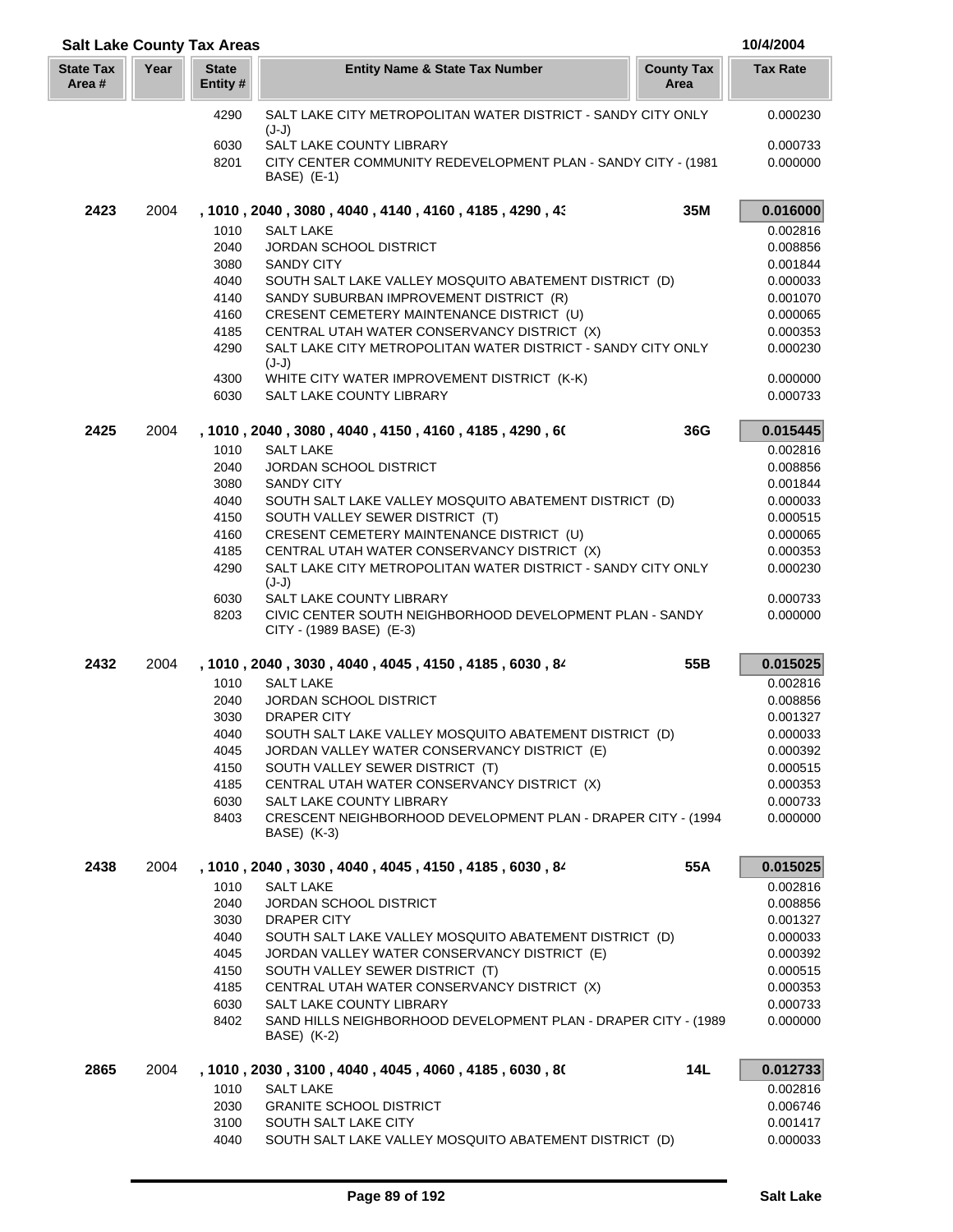| <b>Salt Lake County Tax Areas</b> |      |                          |                                                                                                                  | 10/4/2004            |
|-----------------------------------|------|--------------------------|------------------------------------------------------------------------------------------------------------------|----------------------|
| <b>State Tax</b><br>Area #        | Year | <b>State</b><br>Entity # | <b>County Tax</b><br><b>Entity Name &amp; State Tax Number</b><br>Area                                           | <b>Tax Rate</b>      |
|                                   |      | 4290                     | SALT LAKE CITY METROPOLITAN WATER DISTRICT - SANDY CITY ONLY<br>$(J-J)$                                          | 0.000230             |
|                                   |      | 6030                     | SALT LAKE COUNTY LIBRARY                                                                                         | 0.000733             |
|                                   |      | 8201                     | CITY CENTER COMMUNITY REDEVELOPMENT PLAN - SANDY CITY - (1981)<br>BASE) (E-1)                                    | 0.000000             |
| 2423                              | 2004 |                          | , 1010, 2040, 3080, 4040, 4140, 4160, 4185, 4290, 43<br>35M                                                      | 0.016000             |
|                                   |      | 1010                     | <b>SALT LAKE</b>                                                                                                 | 0.002816             |
|                                   |      | 2040                     | <b>JORDAN SCHOOL DISTRICT</b>                                                                                    | 0.008856             |
|                                   |      | 3080                     | <b>SANDY CITY</b>                                                                                                | 0.001844             |
|                                   |      | 4040<br>4140             | SOUTH SALT LAKE VALLEY MOSQUITO ABATEMENT DISTRICT (D)<br>SANDY SUBURBAN IMPROVEMENT DISTRICT (R)                | 0.000033<br>0.001070 |
|                                   |      | 4160                     | CRESENT CEMETERY MAINTENANCE DISTRICT (U)                                                                        | 0.000065             |
|                                   |      | 4185                     | CENTRAL UTAH WATER CONSERVANCY DISTRICT (X)                                                                      | 0.000353             |
|                                   |      | 4290                     | SALT LAKE CITY METROPOLITAN WATER DISTRICT - SANDY CITY ONLY<br>$(J-J)$                                          | 0.000230             |
|                                   |      | 4300<br>6030             | WHITE CITY WATER IMPROVEMENT DISTRICT (K-K)<br>SALT LAKE COUNTY LIBRARY                                          | 0.000000<br>0.000733 |
| 2425                              | 2004 |                          | 36G<br>, 1010 , 2040 , 3080 , 4040 , 4150 , 4160 , 4185 , 4290 , 60                                              | 0.015445             |
|                                   |      | 1010                     | <b>SALT LAKE</b>                                                                                                 | 0.002816             |
|                                   |      | 2040                     | JORDAN SCHOOL DISTRICT                                                                                           | 0.008856             |
|                                   |      | 3080                     | <b>SANDY CITY</b>                                                                                                | 0.001844             |
|                                   |      | 4040<br>4150             | SOUTH SALT LAKE VALLEY MOSQUITO ABATEMENT DISTRICT (D)<br>SOUTH VALLEY SEWER DISTRICT (T)                        | 0.000033<br>0.000515 |
|                                   |      | 4160                     | CRESENT CEMETERY MAINTENANCE DISTRICT (U)                                                                        | 0.000065             |
|                                   |      | 4185                     | CENTRAL UTAH WATER CONSERVANCY DISTRICT (X)                                                                      | 0.000353             |
|                                   |      | 4290                     | SALT LAKE CITY METROPOLITAN WATER DISTRICT - SANDY CITY ONLY<br>$(J-J)$                                          | 0.000230             |
|                                   |      | 6030<br>8203             | SALT LAKE COUNTY LIBRARY<br>CIVIC CENTER SOUTH NEIGHBORHOOD DEVELOPMENT PLAN - SANDY<br>CITY - (1989 BASE) (E-3) | 0.000733<br>0.000000 |
| 2432                              | 2004 |                          | , 1010, 2040, 3030, 4040, 4045, 4150, 4185, 6030, 84<br>55B                                                      | 0.015025             |
|                                   |      | 1010                     | <b>SALT LAKE</b>                                                                                                 | 0.002816             |
|                                   |      | 2040                     | JORDAN SCHOOL DISTRICT                                                                                           | 0.008856             |
|                                   |      | 3030                     | <b>DRAPER CITY</b><br>SOUTH SALT LAKE VALLEY MOSQUITO ABATEMENT DISTRICT (D)                                     | 0.001327             |
|                                   |      | 4040<br>4045             | JORDAN VALLEY WATER CONSERVANCY DISTRICT (E)                                                                     | 0.000033<br>0.000392 |
|                                   |      | 4150                     | SOUTH VALLEY SEWER DISTRICT (T)                                                                                  | 0.000515             |
|                                   |      | 4185                     | CENTRAL UTAH WATER CONSERVANCY DISTRICT (X)                                                                      | 0.000353             |
|                                   |      | 6030                     | SALT LAKE COUNTY LIBRARY                                                                                         | 0.000733             |
|                                   |      | 8403                     | <b>CRESCENT NEIGHBORHOOD DEVELOPMENT PLAN - DRAPER CITY - (1994)</b><br>BASE) (K-3)                              | 0.000000             |
| 2438                              | 2004 |                          | 55A<br>, 1010, 2040, 3030, 4040, 4045, 4150, 4185, 6030, 84                                                      | 0.015025             |
|                                   |      | 1010                     | <b>SALT LAKE</b>                                                                                                 | 0.002816             |
|                                   |      | 2040                     | <b>JORDAN SCHOOL DISTRICT</b>                                                                                    | 0.008856             |
|                                   |      | 3030                     | DRAPER CITY                                                                                                      | 0.001327             |
|                                   |      | 4040                     | SOUTH SALT LAKE VALLEY MOSQUITO ABATEMENT DISTRICT (D)                                                           | 0.000033             |
|                                   |      | 4045                     | JORDAN VALLEY WATER CONSERVANCY DISTRICT (E)                                                                     | 0.000392             |
|                                   |      | 4150                     | SOUTH VALLEY SEWER DISTRICT (T)                                                                                  | 0.000515             |
|                                   |      | 4185<br>6030             | CENTRAL UTAH WATER CONSERVANCY DISTRICT (X)<br>SALT LAKE COUNTY LIBRARY                                          | 0.000353<br>0.000733 |
|                                   |      | 8402                     | SAND HILLS NEIGHBORHOOD DEVELOPMENT PLAN - DRAPER CITY - (1989)<br>BASE) (K-2)                                   | 0.000000             |
| 2865                              | 2004 |                          | <b>14L</b><br>, 1010 , 2030 , 3100 , 4040 , 4045 , 4060 , 4185 , 6030 , 80                                       | 0.012733             |
|                                   |      | 1010                     | <b>SALT LAKE</b>                                                                                                 | 0.002816             |
|                                   |      | 2030                     | <b>GRANITE SCHOOL DISTRICT</b>                                                                                   | 0.006746             |
|                                   |      | 3100                     | SOUTH SALT LAKE CITY                                                                                             | 0.001417             |
|                                   |      | 4040                     | SOUTH SALT LAKE VALLEY MOSQUITO ABATEMENT DISTRICT (D)                                                           | 0.000033             |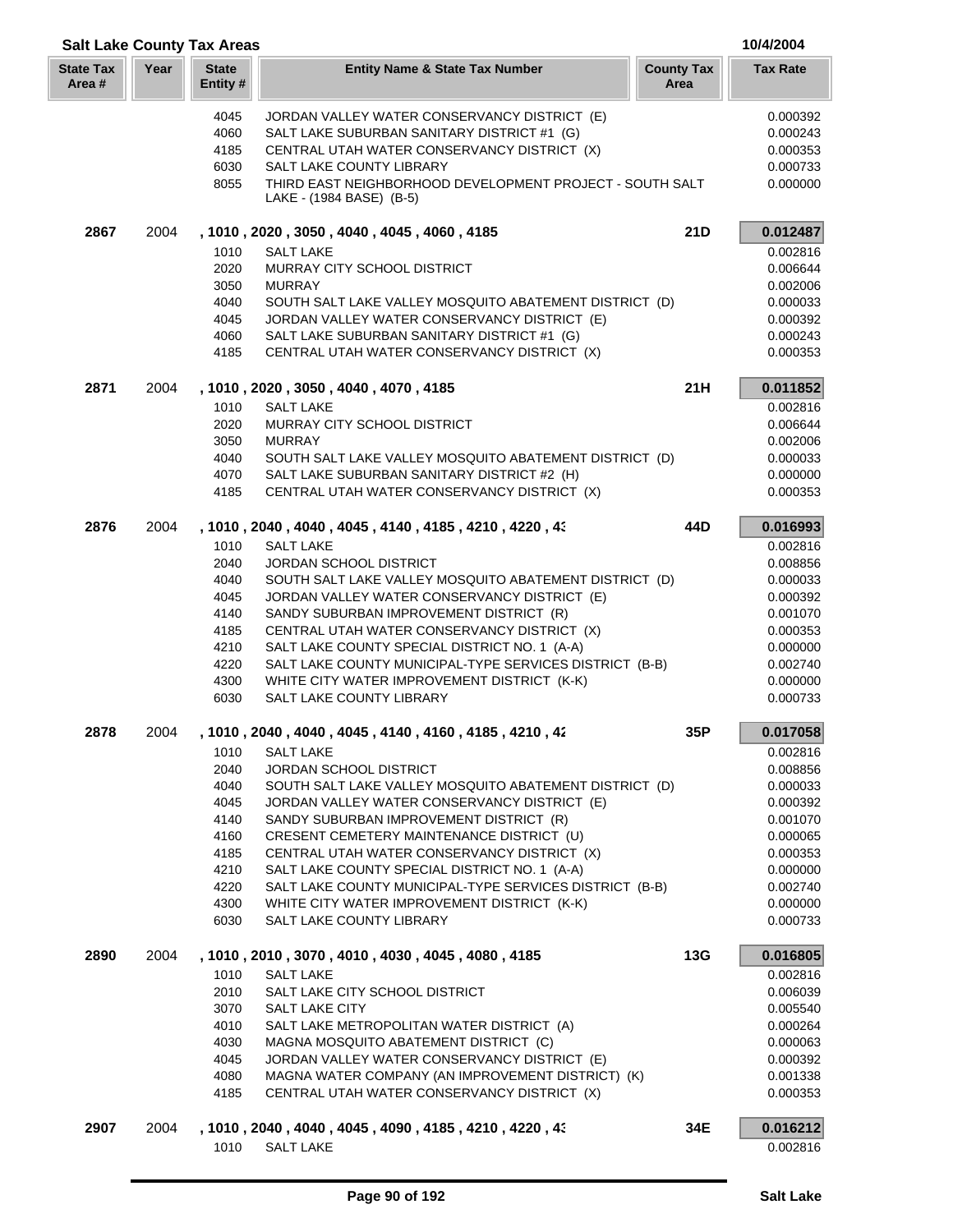| <b>Salt Lake County Tax Areas</b> |      |                          |                                                                                              |                           | 10/4/2004            |
|-----------------------------------|------|--------------------------|----------------------------------------------------------------------------------------------|---------------------------|----------------------|
| <b>State Tax</b><br>Area #        | Year | <b>State</b><br>Entity # | <b>Entity Name &amp; State Tax Number</b>                                                    | <b>County Tax</b><br>Area | <b>Tax Rate</b>      |
|                                   |      | 4045                     | JORDAN VALLEY WATER CONSERVANCY DISTRICT (E)                                                 |                           | 0.000392             |
|                                   |      | 4060                     | SALT LAKE SUBURBAN SANITARY DISTRICT #1 (G)                                                  |                           | 0.000243             |
|                                   |      | 4185                     | CENTRAL UTAH WATER CONSERVANCY DISTRICT (X)                                                  |                           | 0.000353             |
|                                   |      | 6030                     | SALT LAKE COUNTY LIBRARY                                                                     |                           | 0.000733             |
|                                   |      | 8055                     | THIRD EAST NEIGHBORHOOD DEVELOPMENT PROJECT - SOUTH SALT<br>LAKE - (1984 BASE) (B-5)         |                           | 0.000000             |
| 2867                              | 2004 |                          | , 1010, 2020, 3050, 4040, 4045, 4060, 4185                                                   | 21D                       | 0.012487             |
|                                   |      | 1010                     | <b>SALT LAKE</b>                                                                             |                           | 0.002816             |
|                                   |      | 2020                     | MURRAY CITY SCHOOL DISTRICT                                                                  |                           | 0.006644             |
|                                   |      | 3050                     | <b>MURRAY</b>                                                                                |                           | 0.002006             |
|                                   |      | 4040                     | SOUTH SALT LAKE VALLEY MOSQUITO ABATEMENT DISTRICT (D)                                       |                           | 0.000033             |
|                                   |      | 4045                     | JORDAN VALLEY WATER CONSERVANCY DISTRICT (E)                                                 |                           | 0.000392             |
|                                   |      | 4060<br>4185             | SALT LAKE SUBURBAN SANITARY DISTRICT #1 (G)<br>CENTRAL UTAH WATER CONSERVANCY DISTRICT (X)   |                           | 0.000243<br>0.000353 |
| 2871                              | 2004 |                          | , 1010, 2020, 3050, 4040, 4070, 4185                                                         | 21H                       | 0.011852             |
|                                   |      | 1010                     | <b>SALT LAKE</b>                                                                             |                           | 0.002816             |
|                                   |      | 2020                     | MURRAY CITY SCHOOL DISTRICT                                                                  |                           | 0.006644             |
|                                   |      | 3050                     | <b>MURRAY</b>                                                                                |                           | 0.002006             |
|                                   |      | 4040                     | SOUTH SALT LAKE VALLEY MOSQUITO ABATEMENT DISTRICT (D)                                       |                           | 0.000033             |
|                                   |      | 4070                     | SALT LAKE SUBURBAN SANITARY DISTRICT #2 (H)                                                  |                           | 0.000000             |
|                                   |      | 4185                     | CENTRAL UTAH WATER CONSERVANCY DISTRICT (X)                                                  |                           | 0.000353             |
| 2876                              | 2004 |                          | , 1010, 2040, 4040, 4045, 4140, 4185, 4210, 4220, 43                                         | 44D                       | 0.016993             |
|                                   |      | 1010                     | <b>SALT LAKE</b>                                                                             |                           | 0.002816             |
|                                   |      | 2040                     | JORDAN SCHOOL DISTRICT                                                                       |                           | 0.008856             |
|                                   |      | 4040                     | SOUTH SALT LAKE VALLEY MOSQUITO ABATEMENT DISTRICT (D)                                       |                           | 0.000033             |
|                                   |      | 4045<br>4140             | JORDAN VALLEY WATER CONSERVANCY DISTRICT (E)<br>SANDY SUBURBAN IMPROVEMENT DISTRICT (R)      |                           | 0.000392<br>0.001070 |
|                                   |      | 4185                     | CENTRAL UTAH WATER CONSERVANCY DISTRICT (X)                                                  |                           | 0.000353             |
|                                   |      | 4210                     | SALT LAKE COUNTY SPECIAL DISTRICT NO. 1 (A-A)                                                |                           | 0.000000             |
|                                   |      | 4220                     | SALT LAKE COUNTY MUNICIPAL-TYPE SERVICES DISTRICT (B-B)                                      |                           | 0.002740             |
|                                   |      | 4300                     | WHITE CITY WATER IMPROVEMENT DISTRICT (K-K)                                                  |                           | 0.000000             |
|                                   |      | 6030                     | SALT LAKE COUNTY LIBRARY                                                                     |                           | 0.000733             |
| 2878                              | 2004 |                          | , 1010, 2040, 4040, 4045, 4140, 4160, 4185, 4210, 42                                         | 35P                       | 0.017058             |
|                                   |      | 1010                     | <b>SALT LAKE</b>                                                                             |                           | 0.002816             |
|                                   |      | 2040                     | <b>JORDAN SCHOOL DISTRICT</b>                                                                |                           | 0.008856             |
|                                   |      | 4040                     | SOUTH SALT LAKE VALLEY MOSQUITO ABATEMENT DISTRICT (D)                                       |                           | 0.000033             |
|                                   |      | 4045                     | JORDAN VALLEY WATER CONSERVANCY DISTRICT (E)                                                 |                           | 0.000392             |
|                                   |      | 4140                     | SANDY SUBURBAN IMPROVEMENT DISTRICT (R)                                                      |                           | 0.001070             |
|                                   |      | 4160                     | CRESENT CEMETERY MAINTENANCE DISTRICT (U)                                                    |                           | 0.000065             |
|                                   |      | 4185<br>4210             | CENTRAL UTAH WATER CONSERVANCY DISTRICT (X)<br>SALT LAKE COUNTY SPECIAL DISTRICT NO. 1 (A-A) |                           | 0.000353<br>0.000000 |
|                                   |      | 4220                     | SALT LAKE COUNTY MUNICIPAL-TYPE SERVICES DISTRICT (B-B)                                      |                           | 0.002740             |
|                                   |      | 4300                     | WHITE CITY WATER IMPROVEMENT DISTRICT (K-K)                                                  |                           | 0.000000             |
|                                   |      | 6030                     | SALT LAKE COUNTY LIBRARY                                                                     |                           | 0.000733             |
| 2890                              | 2004 |                          | , 1010 , 2010 , 3070 , 4010 , 4030 , 4045 , 4080 , 4185                                      | 13G                       | 0.016805             |
|                                   |      | 1010                     | <b>SALT LAKE</b>                                                                             |                           | 0.002816             |
|                                   |      | 2010                     | SALT LAKE CITY SCHOOL DISTRICT                                                               |                           | 0.006039             |
|                                   |      | 3070                     | <b>SALT LAKE CITY</b>                                                                        |                           | 0.005540             |
|                                   |      | 4010                     | SALT LAKE METROPOLITAN WATER DISTRICT (A)                                                    |                           | 0.000264             |
|                                   |      | 4030                     | MAGNA MOSQUITO ABATEMENT DISTRICT (C)                                                        |                           | 0.000063             |
|                                   |      | 4045                     | JORDAN VALLEY WATER CONSERVANCY DISTRICT (E)                                                 |                           | 0.000392             |
|                                   |      | 4080                     | MAGNA WATER COMPANY (AN IMPROVEMENT DISTRICT) (K)                                            |                           | 0.001338             |
|                                   |      | 4185                     | CENTRAL UTAH WATER CONSERVANCY DISTRICT (X)                                                  |                           | 0.000353             |
| 2907                              | 2004 |                          | , 1010 , 2040 , 4040 , 4045 , 4090 , 4185 , 4210 , 4220 , 43                                 | 34E                       | 0.016212             |
|                                   |      | 1010                     | <b>SALT LAKE</b>                                                                             |                           | 0.002816             |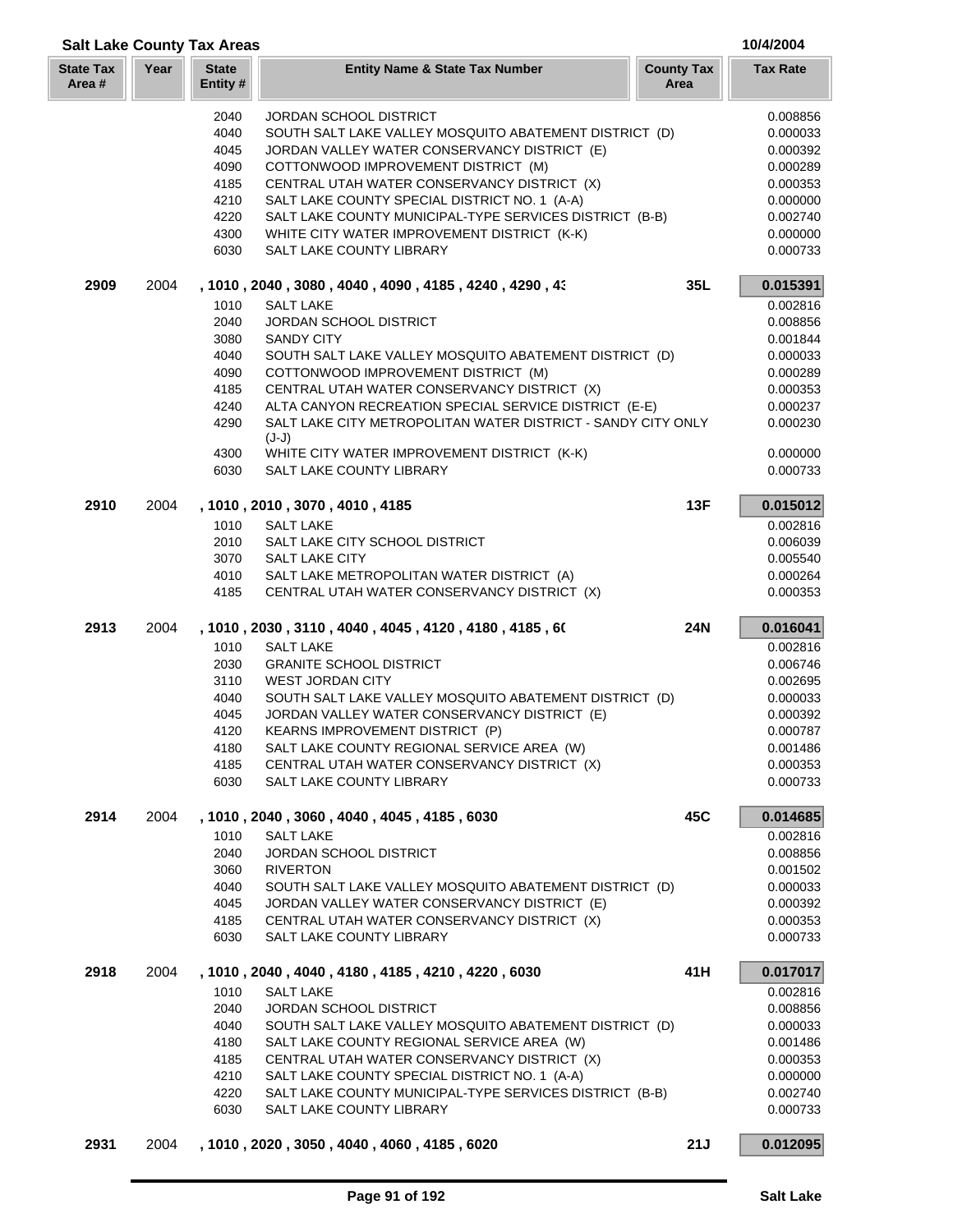|                            | <b>Salt Lake County Tax Areas</b> |                          |                                                                                           |                           |                      |
|----------------------------|-----------------------------------|--------------------------|-------------------------------------------------------------------------------------------|---------------------------|----------------------|
| <b>State Tax</b><br>Area # | Year                              | <b>State</b><br>Entity # | <b>Entity Name &amp; State Tax Number</b>                                                 | <b>County Tax</b><br>Area | <b>Tax Rate</b>      |
|                            |                                   | 2040                     | <b>JORDAN SCHOOL DISTRICT</b>                                                             |                           | 0.008856             |
|                            |                                   | 4040                     | SOUTH SALT LAKE VALLEY MOSQUITO ABATEMENT DISTRICT (D)                                    |                           | 0.000033             |
|                            |                                   | 4045                     | JORDAN VALLEY WATER CONSERVANCY DISTRICT (E)                                              |                           | 0.000392             |
|                            |                                   | 4090                     | COTTONWOOD IMPROVEMENT DISTRICT (M)                                                       |                           | 0.000289             |
|                            |                                   | 4185                     | CENTRAL UTAH WATER CONSERVANCY DISTRICT (X)                                               |                           | 0.000353             |
|                            |                                   | 4210                     | SALT LAKE COUNTY SPECIAL DISTRICT NO. 1 (A-A)                                             |                           | 0.000000             |
|                            |                                   | 4220                     | SALT LAKE COUNTY MUNICIPAL-TYPE SERVICES DISTRICT (B-B)                                   |                           | 0.002740             |
|                            |                                   | 4300                     | WHITE CITY WATER IMPROVEMENT DISTRICT (K-K)                                               |                           | 0.000000             |
|                            |                                   | 6030                     | SALT LAKE COUNTY LIBRARY                                                                  |                           | 0.000733             |
| 2909                       | 2004                              |                          | , 1010 , 2040 , 3080 , 4040 , 4090 , 4185 , 4240 , 4290 , 43                              | 35L                       | 0.015391             |
|                            |                                   | 1010                     | <b>SALT LAKE</b>                                                                          |                           | 0.002816             |
|                            |                                   | 2040                     | <b>JORDAN SCHOOL DISTRICT</b>                                                             |                           | 0.008856             |
|                            |                                   | 3080                     | <b>SANDY CITY</b>                                                                         |                           | 0.001844             |
|                            |                                   | 4040                     | SOUTH SALT LAKE VALLEY MOSQUITO ABATEMENT DISTRICT (D)                                    |                           | 0.000033             |
|                            |                                   | 4090                     | COTTONWOOD IMPROVEMENT DISTRICT (M)                                                       |                           | 0.000289             |
|                            |                                   | 4185                     | CENTRAL UTAH WATER CONSERVANCY DISTRICT (X)                                               |                           | 0.000353             |
|                            |                                   | 4240                     | ALTA CANYON RECREATION SPECIAL SERVICE DISTRICT (E-E)                                     |                           | 0.000237             |
|                            |                                   | 4290                     | SALT LAKE CITY METROPOLITAN WATER DISTRICT - SANDY CITY ONLY<br>$(J-J)$                   |                           | 0.000230             |
|                            |                                   | 4300<br>6030             | WHITE CITY WATER IMPROVEMENT DISTRICT (K-K)<br>SALT LAKE COUNTY LIBRARY                   |                           | 0.000000<br>0.000733 |
|                            |                                   |                          |                                                                                           |                           |                      |
| 2910                       | 2004                              |                          | , 1010, 2010, 3070, 4010, 4185                                                            | 13F                       | 0.015012             |
|                            |                                   | 1010                     | <b>SALT LAKE</b>                                                                          |                           | 0.002816             |
|                            |                                   | 2010                     | SALT LAKE CITY SCHOOL DISTRICT                                                            |                           | 0.006039             |
|                            |                                   | 3070                     | <b>SALT LAKE CITY</b>                                                                     |                           | 0.005540             |
|                            |                                   | 4010                     | SALT LAKE METROPOLITAN WATER DISTRICT (A)                                                 |                           | 0.000264             |
|                            |                                   | 4185                     | CENTRAL UTAH WATER CONSERVANCY DISTRICT (X)                                               |                           | 0.000353             |
| 2913                       | 2004                              |                          | , 1010, 2030, 3110, 4040, 4045, 4120, 4180, 4185, 60                                      | <b>24N</b>                | 0.016041             |
|                            |                                   | 1010                     | <b>SALT LAKE</b>                                                                          |                           | 0.002816             |
|                            |                                   | 2030                     | <b>GRANITE SCHOOL DISTRICT</b>                                                            |                           | 0.006746             |
|                            |                                   | 3110                     | <b>WEST JORDAN CITY</b>                                                                   |                           | 0.002695             |
|                            |                                   | 4040                     | SOUTH SALT LAKE VALLEY MOSQUITO ABATEMENT DISTRICT (D)                                    |                           | 0.000033             |
|                            |                                   | 4045                     | JORDAN VALLEY WATER CONSERVANCY DISTRICT (E)                                              |                           | 0.000392             |
|                            |                                   | 4120                     | KEARNS IMPROVEMENT DISTRICT (P)                                                           |                           | 0.000787             |
|                            |                                   | 4180                     | SALT LAKE COUNTY REGIONAL SERVICE AREA (W)<br>CENTRAL UTAH WATER CONSERVANCY DISTRICT (X) |                           | 0.001486<br>0.000353 |
|                            |                                   | 4185<br>6030             |                                                                                           |                           |                      |
|                            |                                   |                          | SALT LAKE COUNTY LIBRARY                                                                  |                           | 0.000733             |
| 2914                       | 2004                              |                          | , 1010, 2040, 3060, 4040, 4045, 4185, 6030                                                | 45C                       | 0.014685             |
|                            |                                   | 1010<br>2040             | <b>SALT LAKE</b><br>JORDAN SCHOOL DISTRICT                                                |                           | 0.002816<br>0.008856 |
|                            |                                   | 3060                     | <b>RIVERTON</b>                                                                           |                           | 0.001502             |
|                            |                                   | 4040                     | SOUTH SALT LAKE VALLEY MOSQUITO ABATEMENT DISTRICT (D)                                    |                           | 0.000033             |
|                            |                                   | 4045                     | JORDAN VALLEY WATER CONSERVANCY DISTRICT (E)                                              |                           | 0.000392             |
|                            |                                   | 4185                     | CENTRAL UTAH WATER CONSERVANCY DISTRICT (X)                                               |                           | 0.000353             |
|                            |                                   | 6030                     | SALT LAKE COUNTY LIBRARY                                                                  |                           | 0.000733             |
| 2918                       | 2004                              |                          | , 1010, 2040, 4040, 4180, 4185, 4210, 4220, 6030                                          | 41H                       | 0.017017             |
|                            |                                   | 1010                     | <b>SALT LAKE</b>                                                                          |                           | 0.002816             |
|                            |                                   | 2040                     | JORDAN SCHOOL DISTRICT                                                                    |                           | 0.008856             |
|                            |                                   | 4040                     | SOUTH SALT LAKE VALLEY MOSQUITO ABATEMENT DISTRICT (D)                                    |                           | 0.000033             |
|                            |                                   | 4180                     | SALT LAKE COUNTY REGIONAL SERVICE AREA (W)                                                |                           | 0.001486             |
|                            |                                   | 4185                     | CENTRAL UTAH WATER CONSERVANCY DISTRICT (X)                                               |                           | 0.000353             |
|                            |                                   | 4210                     | SALT LAKE COUNTY SPECIAL DISTRICT NO. 1 (A-A)                                             |                           | 0.000000             |
|                            |                                   | 4220                     | SALT LAKE COUNTY MUNICIPAL-TYPE SERVICES DISTRICT (B-B)                                   |                           | 0.002740             |
|                            |                                   | 6030                     | SALT LAKE COUNTY LIBRARY                                                                  |                           | 0.000733             |
| 2931                       | 2004                              |                          | , 1010, 2020, 3050, 4040, 4060, 4185, 6020                                                | 21J                       | 0.012095             |
|                            |                                   |                          |                                                                                           |                           |                      |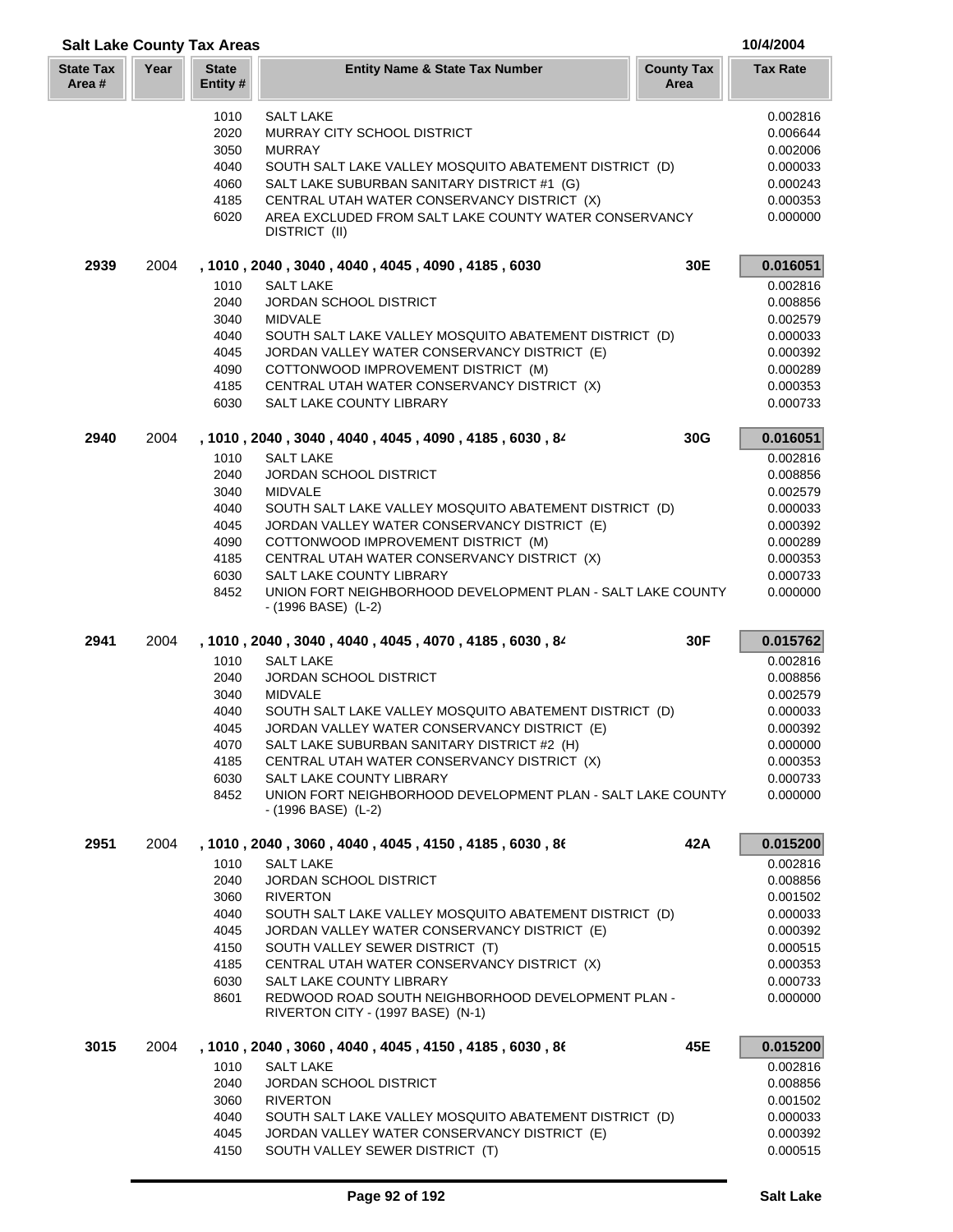| <b>Salt Lake County Tax Areas</b> |      |                          |                                                                                                        |                           | 10/4/2004            |
|-----------------------------------|------|--------------------------|--------------------------------------------------------------------------------------------------------|---------------------------|----------------------|
| <b>State Tax</b><br>Area#         | Year | <b>State</b><br>Entity # | <b>Entity Name &amp; State Tax Number</b>                                                              | <b>County Tax</b><br>Area | <b>Tax Rate</b>      |
|                                   |      | 1010                     | <b>SALT LAKE</b>                                                                                       |                           | 0.002816             |
|                                   |      | 2020                     | MURRAY CITY SCHOOL DISTRICT                                                                            |                           | 0.006644             |
|                                   |      | 3050                     | <b>MURRAY</b>                                                                                          |                           | 0.002006             |
|                                   |      | 4040                     | SOUTH SALT LAKE VALLEY MOSQUITO ABATEMENT DISTRICT (D)                                                 |                           | 0.000033             |
|                                   |      | 4060                     | SALT LAKE SUBURBAN SANITARY DISTRICT #1 (G)                                                            |                           | 0.000243             |
|                                   |      | 4185                     | CENTRAL UTAH WATER CONSERVANCY DISTRICT (X)                                                            |                           | 0.000353             |
|                                   |      | 6020                     | AREA EXCLUDED FROM SALT LAKE COUNTY WATER CONSERVANCY<br>DISTRICT (II)                                 |                           | 0.000000             |
| 2939                              | 2004 |                          | , 1010, 2040, 3040, 4040, 4045, 4090, 4185, 6030                                                       | 30E                       | 0.016051             |
|                                   |      | 1010                     | <b>SALT LAKE</b>                                                                                       |                           | 0.002816             |
|                                   |      | 2040                     | <b>JORDAN SCHOOL DISTRICT</b>                                                                          |                           | 0.008856             |
|                                   |      | 3040                     | <b>MIDVALE</b>                                                                                         |                           | 0.002579             |
|                                   |      | 4040                     | SOUTH SALT LAKE VALLEY MOSQUITO ABATEMENT DISTRICT (D)                                                 |                           | 0.000033             |
|                                   |      | 4045                     | JORDAN VALLEY WATER CONSERVANCY DISTRICT (E)                                                           |                           | 0.000392             |
|                                   |      | 4090                     | COTTONWOOD IMPROVEMENT DISTRICT (M)<br>CENTRAL UTAH WATER CONSERVANCY DISTRICT (X)                     |                           | 0.000289             |
|                                   |      | 4185<br>6030             | SALT LAKE COUNTY LIBRARY                                                                               |                           | 0.000353<br>0.000733 |
|                                   |      |                          |                                                                                                        |                           |                      |
| 2940                              | 2004 |                          | , 1010, 2040, 3040, 4040, 4045, 4090, 4185, 6030, 84                                                   | 30G                       | 0.016051             |
|                                   |      | 1010                     | <b>SALT LAKE</b>                                                                                       |                           | 0.002816             |
|                                   |      | 2040                     | <b>JORDAN SCHOOL DISTRICT</b>                                                                          |                           | 0.008856             |
|                                   |      | 3040                     | <b>MIDVALE</b>                                                                                         |                           | 0.002579             |
|                                   |      | 4040<br>4045             | SOUTH SALT LAKE VALLEY MOSQUITO ABATEMENT DISTRICT (D)<br>JORDAN VALLEY WATER CONSERVANCY DISTRICT (E) |                           | 0.000033<br>0.000392 |
|                                   |      | 4090                     | COTTONWOOD IMPROVEMENT DISTRICT (M)                                                                    |                           | 0.000289             |
|                                   |      | 4185                     | CENTRAL UTAH WATER CONSERVANCY DISTRICT (X)                                                            |                           | 0.000353             |
|                                   |      | 6030                     | SALT LAKE COUNTY LIBRARY                                                                               |                           | 0.000733             |
|                                   |      | 8452                     | UNION FORT NEIGHBORHOOD DEVELOPMENT PLAN - SALT LAKE COUNTY<br>- (1996 BASE) (L-2)                     |                           | 0.000000             |
| 2941                              | 2004 |                          | , 1010, 2040, 3040, 4040, 4045, 4070, 4185, 6030, 84                                                   | 30F                       | 0.015762             |
|                                   |      | 1010                     | <b>SALT LAKE</b>                                                                                       |                           | 0.002816             |
|                                   |      | 2040                     | JORDAN SCHOOL DISTRICT                                                                                 |                           | 0.008856             |
|                                   |      | 3040                     | <b>MIDVALE</b>                                                                                         |                           | 0.002579             |
|                                   |      | 4040                     | SOUTH SALT LAKE VALLEY MOSQUITO ABATEMENT DISTRICT (D)                                                 |                           | 0.000033             |
|                                   |      | 4045                     | JORDAN VALLEY WATER CONSERVANCY DISTRICT (E)                                                           |                           | 0.000392             |
|                                   |      | 4070<br>4185             | SALT LAKE SUBURBAN SANITARY DISTRICT #2 (H)<br>CENTRAL UTAH WATER CONSERVANCY DISTRICT (X)             |                           | 0.000000<br>0.000353 |
|                                   |      | 6030                     | SALT LAKE COUNTY LIBRARY                                                                               |                           | 0.000733             |
|                                   |      | 8452                     | UNION FORT NEIGHBORHOOD DEVELOPMENT PLAN - SALT LAKE COUNTY                                            |                           | 0.000000             |
|                                   |      |                          | $-(1996 BASE)$ (L-2)                                                                                   |                           |                      |
| 2951                              | 2004 |                          | , 1010, 2040, 3060, 4040, 4045, 4150, 4185, 6030, 86                                                   | 42A                       | 0.015200             |
|                                   |      | 1010                     | <b>SALT LAKE</b>                                                                                       |                           | 0.002816             |
|                                   |      | 2040                     | <b>JORDAN SCHOOL DISTRICT</b>                                                                          |                           | 0.008856             |
|                                   |      | 3060                     | <b>RIVERTON</b>                                                                                        |                           | 0.001502             |
|                                   |      | 4040                     | SOUTH SALT LAKE VALLEY MOSQUITO ABATEMENT DISTRICT (D)                                                 |                           | 0.000033             |
|                                   |      | 4045                     | JORDAN VALLEY WATER CONSERVANCY DISTRICT (E)                                                           |                           | 0.000392             |
|                                   |      | 4150                     | SOUTH VALLEY SEWER DISTRICT (T)                                                                        |                           | 0.000515             |
|                                   |      | 4185<br>6030             | CENTRAL UTAH WATER CONSERVANCY DISTRICT (X)<br>SALT LAKE COUNTY LIBRARY                                |                           | 0.000353<br>0.000733 |
|                                   |      | 8601                     | REDWOOD ROAD SOUTH NEIGHBORHOOD DEVELOPMENT PLAN -<br>RIVERTON CITY - (1997 BASE) (N-1)                |                           | 0.000000             |
| 3015                              | 2004 |                          | , 1010, 2040, 3060, 4040, 4045, 4150, 4185, 6030, 86                                                   | 45E                       | 0.015200             |
|                                   |      | 1010                     | <b>SALT LAKE</b>                                                                                       |                           | 0.002816             |
|                                   |      | 2040                     | JORDAN SCHOOL DISTRICT                                                                                 |                           | 0.008856             |
|                                   |      | 3060                     | <b>RIVERTON</b>                                                                                        |                           | 0.001502             |
|                                   |      | 4040                     | SOUTH SALT LAKE VALLEY MOSQUITO ABATEMENT DISTRICT (D)                                                 |                           | 0.000033             |
|                                   |      | 4045                     | JORDAN VALLEY WATER CONSERVANCY DISTRICT (E)                                                           |                           | 0.000392             |
|                                   |      | 4150                     | SOUTH VALLEY SEWER DISTRICT (T)                                                                        |                           | 0.000515             |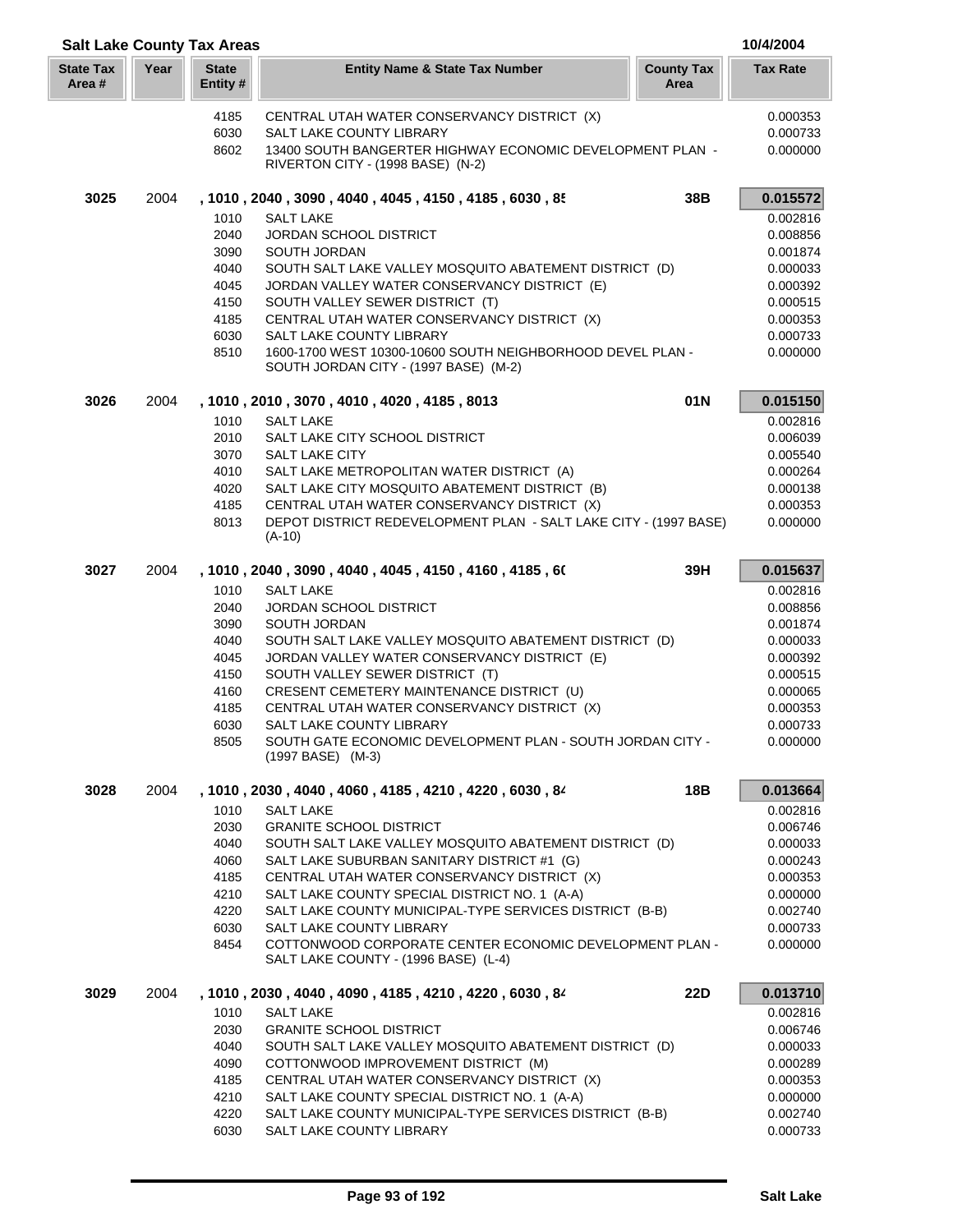|                           | 10/4/2004<br><b>Salt Lake County Tax Areas</b> |                          |                                                                                                          |                           |                      |
|---------------------------|------------------------------------------------|--------------------------|----------------------------------------------------------------------------------------------------------|---------------------------|----------------------|
| <b>State Tax</b><br>Area# | Year                                           | <b>State</b><br>Entity # | <b>Entity Name &amp; State Tax Number</b>                                                                | <b>County Tax</b><br>Area | <b>Tax Rate</b>      |
|                           |                                                | 4185                     | CENTRAL UTAH WATER CONSERVANCY DISTRICT (X)                                                              |                           | 0.000353             |
|                           |                                                | 6030                     | SALT LAKE COUNTY LIBRARY                                                                                 |                           | 0.000733             |
|                           |                                                | 8602                     | 13400 SOUTH BANGERTER HIGHWAY ECONOMIC DEVELOPMENT PLAN -<br>RIVERTON CITY - (1998 BASE) (N-2)           |                           | 0.000000             |
| 3025                      | 2004                                           |                          | , 1010, 2040, 3090, 4040, 4045, 4150, 4185, 6030, 85                                                     | 38B                       | 0.015572             |
|                           |                                                | 1010                     | <b>SALT LAKE</b>                                                                                         |                           | 0.002816             |
|                           |                                                | 2040                     | <b>JORDAN SCHOOL DISTRICT</b>                                                                            |                           | 0.008856             |
|                           |                                                | 3090<br>4040             | SOUTH JORDAN<br>SOUTH SALT LAKE VALLEY MOSQUITO ABATEMENT DISTRICT (D)                                   |                           | 0.001874             |
|                           |                                                | 4045                     | JORDAN VALLEY WATER CONSERVANCY DISTRICT (E)                                                             |                           | 0.000033<br>0.000392 |
|                           |                                                | 4150                     | SOUTH VALLEY SEWER DISTRICT (T)                                                                          |                           | 0.000515             |
|                           |                                                | 4185                     | CENTRAL UTAH WATER CONSERVANCY DISTRICT (X)                                                              |                           | 0.000353             |
|                           |                                                | 6030                     | SALT LAKE COUNTY LIBRARY                                                                                 |                           | 0.000733             |
|                           |                                                | 8510                     | 1600-1700 WEST 10300-10600 SOUTH NEIGHBORHOOD DEVEL PLAN -<br>SOUTH JORDAN CITY - (1997 BASE) (M-2)      |                           | 0.000000             |
| 3026                      | 2004                                           |                          | , 1010, 2010, 3070, 4010, 4020, 4185, 8013                                                               | 01N                       | 0.015150             |
|                           |                                                | 1010                     | <b>SALT LAKE</b>                                                                                         |                           | 0.002816             |
|                           |                                                | 2010                     | SALT LAKE CITY SCHOOL DISTRICT                                                                           |                           | 0.006039             |
|                           |                                                | 3070                     | SALT LAKE CITY                                                                                           |                           | 0.005540             |
|                           |                                                | 4010                     | SALT LAKE METROPOLITAN WATER DISTRICT (A)                                                                |                           | 0.000264             |
|                           |                                                | 4020<br>4185             | SALT LAKE CITY MOSQUITO ABATEMENT DISTRICT (B)<br>CENTRAL UTAH WATER CONSERVANCY DISTRICT (X)            |                           | 0.000138<br>0.000353 |
|                           |                                                | 8013                     | DEPOT DISTRICT REDEVELOPMENT PLAN - SALT LAKE CITY - (1997 BASE)                                         |                           | 0.000000             |
|                           |                                                |                          | $(A-10)$                                                                                                 |                           |                      |
| 3027                      | 2004                                           |                          | , 1010 , 2040 , 3090 , 4040 , 4045 , 4150 , 4160 , 4185 , 60                                             | 39H                       | 0.015637             |
|                           |                                                | 1010                     | <b>SALT LAKE</b>                                                                                         |                           | 0.002816             |
|                           |                                                | 2040                     | <b>JORDAN SCHOOL DISTRICT</b>                                                                            |                           | 0.008856             |
|                           |                                                | 3090<br>4040             | SOUTH JORDAN<br>SOUTH SALT LAKE VALLEY MOSQUITO ABATEMENT DISTRICT (D)                                   |                           | 0.001874<br>0.000033 |
|                           |                                                | 4045                     | JORDAN VALLEY WATER CONSERVANCY DISTRICT (E)                                                             |                           | 0.000392             |
|                           |                                                | 4150                     | SOUTH VALLEY SEWER DISTRICT (T)                                                                          |                           | 0.000515             |
|                           |                                                | 4160                     | CRESENT CEMETERY MAINTENANCE DISTRICT (U)                                                                |                           | 0.000065             |
|                           |                                                | 4185                     | CENTRAL UTAH WATER CONSERVANCY DISTRICT (X)                                                              |                           | 0.000353             |
|                           |                                                | 6030                     | SALT LAKE COUNTY LIBRARY                                                                                 |                           | 0.000733             |
|                           |                                                | 8505                     | SOUTH GATE ECONOMIC DEVELOPMENT PLAN - SOUTH JORDAN CITY -<br>(1997 BASE) (M-3)                          |                           | 0.000000             |
| 3028                      | 2004                                           |                          | , 1010 , 2030 , 4040 , 4060 , 4185 , 4210 , 4220 , 6030 , 84                                             | 18B                       | 0.013664             |
|                           |                                                | 1010                     | <b>SALT LAKE</b>                                                                                         |                           | 0.002816             |
|                           |                                                | 2030                     | <b>GRANITE SCHOOL DISTRICT</b>                                                                           |                           | 0.006746             |
|                           |                                                | 4040<br>4060             | SOUTH SALT LAKE VALLEY MOSQUITO ABATEMENT DISTRICT (D)<br>SALT LAKE SUBURBAN SANITARY DISTRICT #1 (G)    |                           | 0.000033<br>0.000243 |
|                           |                                                | 4185                     | CENTRAL UTAH WATER CONSERVANCY DISTRICT (X)                                                              |                           | 0.000353             |
|                           |                                                | 4210                     | SALT LAKE COUNTY SPECIAL DISTRICT NO. 1 (A-A)                                                            |                           | 0.000000             |
|                           |                                                | 4220                     | SALT LAKE COUNTY MUNICIPAL-TYPE SERVICES DISTRICT (B-B)                                                  |                           | 0.002740             |
|                           |                                                | 6030                     | SALT LAKE COUNTY LIBRARY                                                                                 |                           | 0.000733             |
|                           |                                                | 8454                     | COTTONWOOD CORPORATE CENTER ECONOMIC DEVELOPMENT PLAN -<br>SALT LAKE COUNTY - (1996 BASE) (L-4)          |                           | 0.000000             |
| 3029                      | 2004                                           |                          | , 1010 , 2030 , 4040 , 4090 , 4185 , 4210 , 4220 , 6030 , 84                                             | <b>22D</b>                | 0.013710             |
|                           |                                                | 1010                     | <b>SALT LAKE</b>                                                                                         |                           | 0.002816             |
|                           |                                                | 2030                     | <b>GRANITE SCHOOL DISTRICT</b>                                                                           |                           | 0.006746             |
|                           |                                                | 4040                     | SOUTH SALT LAKE VALLEY MOSQUITO ABATEMENT DISTRICT (D)                                                   |                           | 0.000033             |
|                           |                                                | 4090                     | COTTONWOOD IMPROVEMENT DISTRICT (M)                                                                      |                           | 0.000289             |
|                           |                                                | 4185                     | CENTRAL UTAH WATER CONSERVANCY DISTRICT (X)                                                              |                           | 0.000353             |
|                           |                                                | 4210<br>4220             | SALT LAKE COUNTY SPECIAL DISTRICT NO. 1 (A-A)<br>SALT LAKE COUNTY MUNICIPAL-TYPE SERVICES DISTRICT (B-B) |                           | 0.000000<br>0.002740 |
|                           |                                                | 6030                     | SALT LAKE COUNTY LIBRARY                                                                                 |                           | 0.000733             |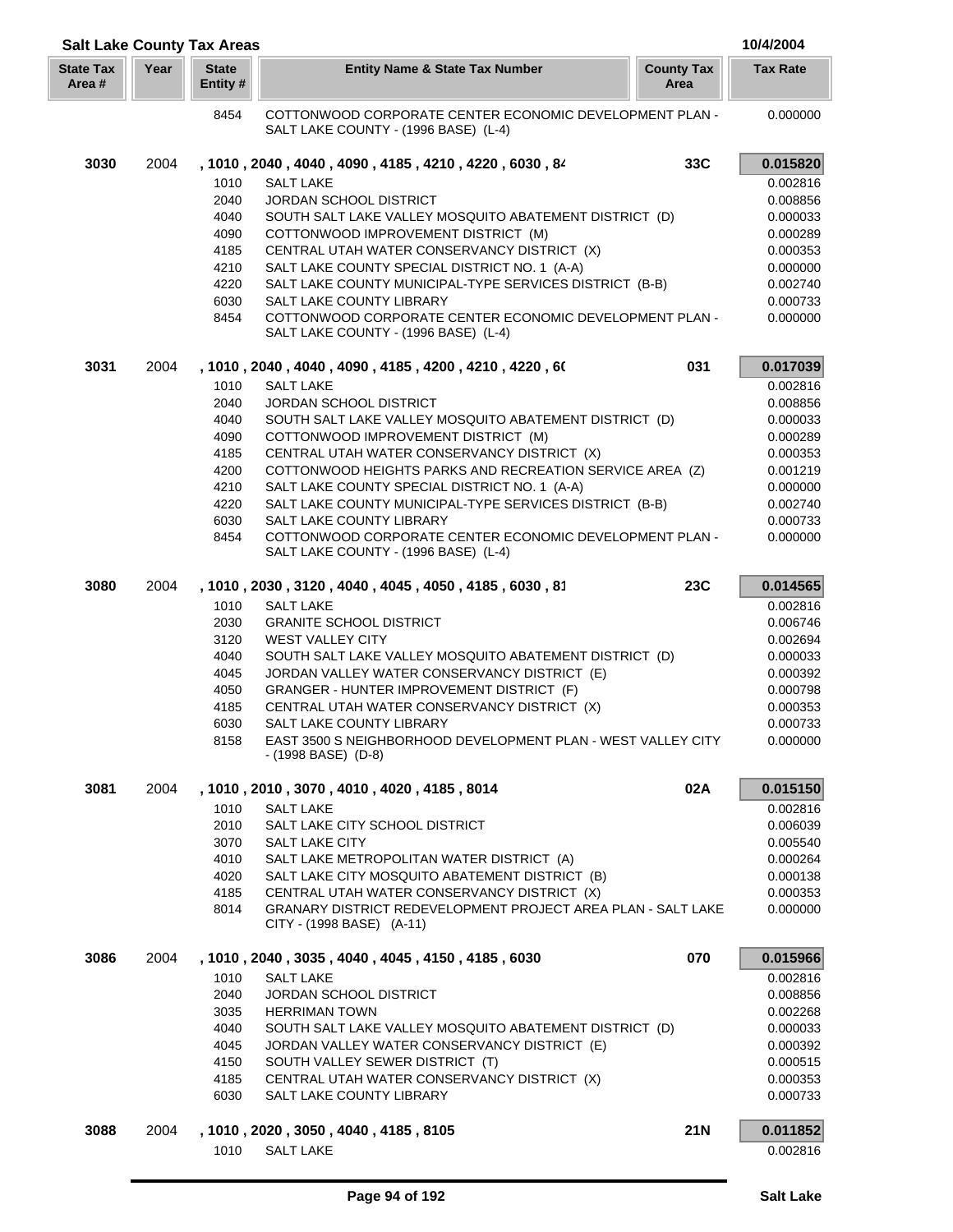| <b>Salt Lake County Tax Areas</b> |      |                          |                                                                                                 |                           | 10/4/2004            |
|-----------------------------------|------|--------------------------|-------------------------------------------------------------------------------------------------|---------------------------|----------------------|
| <b>State Tax</b><br>Area #        | Year | <b>State</b><br>Entity # | <b>Entity Name &amp; State Tax Number</b>                                                       | <b>County Tax</b><br>Area | <b>Tax Rate</b>      |
|                                   |      | 8454                     | COTTONWOOD CORPORATE CENTER ECONOMIC DEVELOPMENT PLAN -<br>SALT LAKE COUNTY - (1996 BASE) (L-4) |                           | 0.000000             |
| 3030                              | 2004 |                          | , 1010, 2040, 4040, 4090, 4185, 4210, 4220, 6030, 84                                            | 33C                       | 0.015820             |
|                                   |      | 1010                     | <b>SALT LAKE</b>                                                                                |                           | 0.002816             |
|                                   |      | 2040                     | <b>JORDAN SCHOOL DISTRICT</b>                                                                   |                           | 0.008856             |
|                                   |      | 4040                     | SOUTH SALT LAKE VALLEY MOSQUITO ABATEMENT DISTRICT (D)                                          |                           | 0.000033             |
|                                   |      | 4090                     | COTTONWOOD IMPROVEMENT DISTRICT (M)                                                             |                           | 0.000289             |
|                                   |      | 4185                     | CENTRAL UTAH WATER CONSERVANCY DISTRICT (X)                                                     |                           | 0.000353             |
|                                   |      | 4210                     | SALT LAKE COUNTY SPECIAL DISTRICT NO. 1 (A-A)                                                   |                           | 0.000000             |
|                                   |      | 4220                     | SALT LAKE COUNTY MUNICIPAL-TYPE SERVICES DISTRICT (B-B)                                         |                           | 0.002740             |
|                                   |      | 6030                     | SALT LAKE COUNTY LIBRARY                                                                        |                           | 0.000733             |
|                                   |      | 8454                     | COTTONWOOD CORPORATE CENTER ECONOMIC DEVELOPMENT PLAN -<br>SALT LAKE COUNTY - (1996 BASE) (L-4) |                           | 0.000000             |
| 3031                              | 2004 |                          | , 1010, 2040, 4040, 4090, 4185, 4200, 4210, 4220, 60                                            | 031                       | 0.017039             |
|                                   |      | 1010                     | <b>SALT LAKE</b>                                                                                |                           | 0.002816             |
|                                   |      | 2040                     | <b>JORDAN SCHOOL DISTRICT</b>                                                                   |                           | 0.008856             |
|                                   |      | 4040                     | SOUTH SALT LAKE VALLEY MOSQUITO ABATEMENT DISTRICT (D)                                          |                           | 0.000033             |
|                                   |      | 4090                     | COTTONWOOD IMPROVEMENT DISTRICT (M)                                                             |                           | 0.000289             |
|                                   |      | 4185                     | CENTRAL UTAH WATER CONSERVANCY DISTRICT (X)                                                     |                           | 0.000353             |
|                                   |      | 4200                     | COTTONWOOD HEIGHTS PARKS AND RECREATION SERVICE AREA (Z)                                        |                           | 0.001219             |
|                                   |      | 4210                     | SALT LAKE COUNTY SPECIAL DISTRICT NO. 1 (A-A)                                                   |                           | 0.000000             |
|                                   |      | 4220                     | SALT LAKE COUNTY MUNICIPAL-TYPE SERVICES DISTRICT (B-B)                                         |                           | 0.002740             |
|                                   |      | 6030                     | SALT LAKE COUNTY LIBRARY                                                                        |                           | 0.000733             |
|                                   |      | 8454                     | COTTONWOOD CORPORATE CENTER ECONOMIC DEVELOPMENT PLAN -<br>SALT LAKE COUNTY - (1996 BASE) (L-4) |                           | 0.000000             |
| 3080                              | 2004 |                          | , 1010, 2030, 3120, 4040, 4045, 4050, 4185, 6030, 81                                            | 23C                       | 0.014565             |
|                                   |      | 1010                     | <b>SALT LAKE</b>                                                                                |                           | 0.002816             |
|                                   |      | 2030                     | <b>GRANITE SCHOOL DISTRICT</b>                                                                  |                           | 0.006746             |
|                                   |      | 3120                     | <b>WEST VALLEY CITY</b>                                                                         |                           | 0.002694             |
|                                   |      | 4040                     | SOUTH SALT LAKE VALLEY MOSQUITO ABATEMENT DISTRICT (D)                                          |                           | 0.000033             |
|                                   |      | 4045                     | JORDAN VALLEY WATER CONSERVANCY DISTRICT (E)                                                    |                           | 0.000392             |
|                                   |      | 4050                     | GRANGER - HUNTER IMPROVEMENT DISTRICT (F)                                                       |                           | 0.000798             |
|                                   |      | 4185<br>6030             | CENTRAL UTAH WATER CONSERVANCY DISTRICT (X)                                                     |                           | 0.000353             |
|                                   |      |                          | SALT LAKE COUNTY LIBRARY<br>EAST 3500 S NEIGHBORHOOD DEVELOPMENT PLAN - WEST VALLEY CITY        |                           | 0.000733             |
|                                   |      | 8158                     | - (1998 BASE) (D-8)                                                                             |                           | 0.000000             |
| 3081                              | 2004 |                          | , 1010 , 2010 , 3070 , 4010 , 4020 , 4185 , 8014                                                | 02A                       | 0.015150             |
|                                   |      | 1010                     | <b>SALT LAKE</b>                                                                                |                           | 0.002816             |
|                                   |      | 2010<br>3070             | SALT LAKE CITY SCHOOL DISTRICT                                                                  |                           | 0.006039             |
|                                   |      | 4010                     | SALT LAKE CITY<br>SALT LAKE METROPOLITAN WATER DISTRICT (A)                                     |                           | 0.005540<br>0.000264 |
|                                   |      | 4020                     | SALT LAKE CITY MOSQUITO ABATEMENT DISTRICT (B)                                                  |                           | 0.000138             |
|                                   |      | 4185                     | CENTRAL UTAH WATER CONSERVANCY DISTRICT (X)                                                     |                           | 0.000353             |
|                                   |      | 8014                     | GRANARY DISTRICT REDEVELOPMENT PROJECT AREA PLAN - SALT LAKE<br>CITY - (1998 BASE) (A-11)       |                           | 0.000000             |
| 3086                              | 2004 |                          | , 1010 , 2040 , 3035 , 4040 , 4045 , 4150 , 4185 , 6030                                         | 070                       | 0.015966             |
|                                   |      | 1010                     | <b>SALT LAKE</b>                                                                                |                           | 0.002816             |
|                                   |      | 2040                     | <b>JORDAN SCHOOL DISTRICT</b>                                                                   |                           | 0.008856             |
|                                   |      | 3035                     | <b>HERRIMAN TOWN</b>                                                                            |                           | 0.002268             |
|                                   |      | 4040                     | SOUTH SALT LAKE VALLEY MOSQUITO ABATEMENT DISTRICT (D)                                          |                           | 0.000033             |
|                                   |      | 4045                     | JORDAN VALLEY WATER CONSERVANCY DISTRICT (E)                                                    |                           | 0.000392             |
|                                   |      | 4150                     | SOUTH VALLEY SEWER DISTRICT (T)                                                                 |                           | 0.000515             |
|                                   |      | 4185                     | CENTRAL UTAH WATER CONSERVANCY DISTRICT (X)                                                     |                           | 0.000353             |
|                                   |      | 6030                     | SALT LAKE COUNTY LIBRARY                                                                        |                           | 0.000733             |
| 3088                              | 2004 |                          | , 1010 , 2020 , 3050 , 4040 , 4185 , 8105                                                       | <b>21N</b>                | 0.011852             |
|                                   |      | 1010                     | <b>SALT LAKE</b>                                                                                |                           | 0.002816             |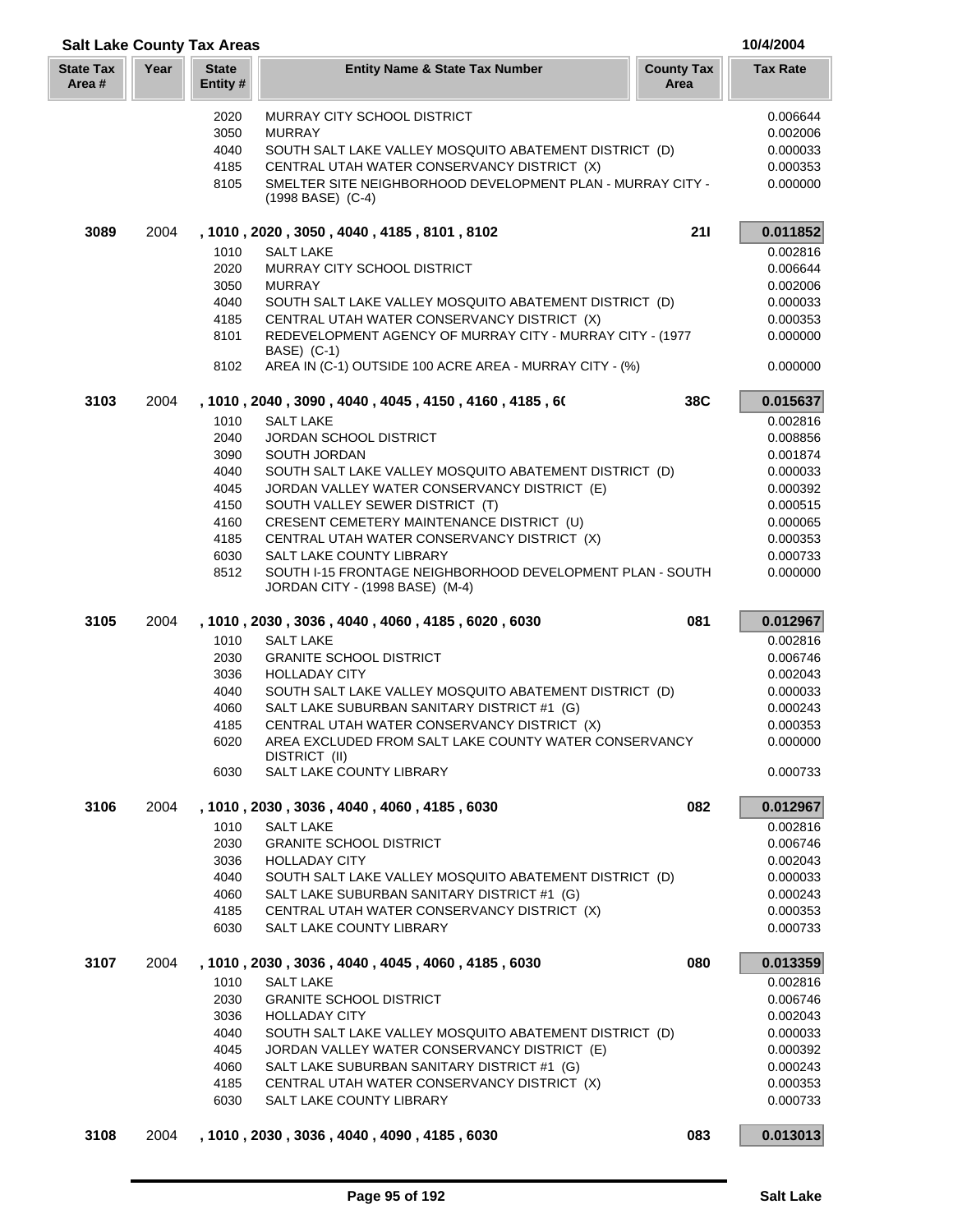| <b>Salt Lake County Tax Areas</b> |      |                         |                                                                                 |                           | 10/4/2004            |
|-----------------------------------|------|-------------------------|---------------------------------------------------------------------------------|---------------------------|----------------------|
| <b>State Tax</b><br>Area #        | Year | <b>State</b><br>Entity# | <b>Entity Name &amp; State Tax Number</b>                                       | <b>County Tax</b><br>Area | <b>Tax Rate</b>      |
|                                   |      | 2020                    | <b>MURRAY CITY SCHOOL DISTRICT</b>                                              |                           | 0.006644             |
|                                   |      | 3050                    | <b>MURRAY</b>                                                                   |                           | 0.002006             |
|                                   |      | 4040                    | SOUTH SALT LAKE VALLEY MOSQUITO ABATEMENT DISTRICT (D)                          |                           | 0.000033             |
|                                   |      | 4185                    | CENTRAL UTAH WATER CONSERVANCY DISTRICT (X)                                     |                           | 0.000353             |
|                                   |      | 8105                    | SMELTER SITE NEIGHBORHOOD DEVELOPMENT PLAN - MURRAY CITY -<br>(1998 BASE) (C-4) |                           | 0.000000             |
| 3089                              | 2004 |                         | , 1010 , 2020 , 3050 , 4040 , 4185 , 8101 , 8102                                | 211                       | 0.011852             |
|                                   |      | 1010                    | <b>SALT LAKE</b>                                                                |                           | 0.002816             |
|                                   |      | 2020                    | MURRAY CITY SCHOOL DISTRICT                                                     |                           | 0.006644             |
|                                   |      | 3050                    | <b>MURRAY</b>                                                                   |                           | 0.002006             |
|                                   |      | 4040                    | SOUTH SALT LAKE VALLEY MOSQUITO ABATEMENT DISTRICT (D)                          |                           | 0.000033             |
|                                   |      | 4185                    | CENTRAL UTAH WATER CONSERVANCY DISTRICT (X)                                     |                           | 0.000353             |
|                                   |      | 8101                    | REDEVELOPMENT AGENCY OF MURRAY CITY - MURRAY CITY - (1977<br>BASE) (C-1)        |                           | 0.000000             |
|                                   |      | 8102                    | AREA IN (C-1) OUTSIDE 100 ACRE AREA - MURRAY CITY - (%)                         |                           | 0.000000             |
| 3103                              | 2004 |                         | , 1010 , 2040 , 3090 , 4040 , 4045 , 4150 , 4160 , 4185 , 60                    | 38C                       | 0.015637             |
|                                   |      | 1010                    | <b>SALT LAKE</b>                                                                |                           | 0.002816             |
|                                   |      | 2040                    | <b>JORDAN SCHOOL DISTRICT</b>                                                   |                           | 0.008856             |
|                                   |      | 3090                    | SOUTH JORDAN                                                                    |                           | 0.001874             |
|                                   |      | 4040                    | SOUTH SALT LAKE VALLEY MOSQUITO ABATEMENT DISTRICT (D)                          |                           | 0.000033             |
|                                   |      | 4045                    | JORDAN VALLEY WATER CONSERVANCY DISTRICT (E)                                    |                           | 0.000392             |
|                                   |      | 4150                    | SOUTH VALLEY SEWER DISTRICT (T)                                                 |                           | 0.000515             |
|                                   |      | 4160                    | CRESENT CEMETERY MAINTENANCE DISTRICT (U)                                       |                           | 0.000065             |
|                                   |      | 4185<br>6030            | CENTRAL UTAH WATER CONSERVANCY DISTRICT (X)<br>SALT LAKE COUNTY LIBRARY         |                           | 0.000353             |
|                                   |      |                         | SOUTH I-15 FRONTAGE NEIGHBORHOOD DEVELOPMENT PLAN - SOUTH                       |                           | 0.000733             |
|                                   |      | 8512                    | JORDAN CITY - (1998 BASE) (M-4)                                                 |                           | 0.000000             |
| 3105                              | 2004 |                         | , 1010, 2030, 3036, 4040, 4060, 4185, 6020, 6030                                | 081                       | 0.012967             |
|                                   |      | 1010                    | <b>SALT LAKE</b>                                                                |                           | 0.002816             |
|                                   |      | 2030                    | <b>GRANITE SCHOOL DISTRICT</b>                                                  |                           | 0.006746             |
|                                   |      | 3036                    | <b>HOLLADAY CITY</b>                                                            |                           | 0.002043             |
|                                   |      | 4040                    | SOUTH SALT LAKE VALLEY MOSQUITO ABATEMENT DISTRICT (D)                          |                           | 0.000033             |
|                                   |      | 4060                    | SALT LAKE SUBURBAN SANITARY DISTRICT #1 (G)                                     |                           | 0.000243             |
|                                   |      | 4185                    | CENTRAL UTAH WATER CONSERVANCY DISTRICT (X)                                     |                           | 0.000353             |
|                                   |      | 6020                    | AREA EXCLUDED FROM SALT LAKE COUNTY WATER CONSERVANCY<br>DISTRICT (II)          |                           | 0.000000             |
|                                   |      | 6030                    | SALT LAKE COUNTY LIBRARY                                                        |                           | 0.000733             |
| 3106                              | 2004 |                         | , 1010, 2030, 3036, 4040, 4060, 4185, 6030                                      | 082                       | 0.012967             |
|                                   |      | 1010                    | <b>SALT LAKE</b>                                                                |                           | 0.002816             |
|                                   |      | 2030                    | <b>GRANITE SCHOOL DISTRICT</b>                                                  |                           | 0.006746             |
|                                   |      | 3036                    | <b>HOLLADAY CITY</b>                                                            |                           | 0.002043             |
|                                   |      | 4040                    | SOUTH SALT LAKE VALLEY MOSQUITO ABATEMENT DISTRICT (D)                          |                           | 0.000033             |
|                                   |      | 4060                    | SALT LAKE SUBURBAN SANITARY DISTRICT #1 (G)                                     |                           | 0.000243             |
|                                   |      | 4185<br>6030            | CENTRAL UTAH WATER CONSERVANCY DISTRICT (X)<br><b>SALT LAKE COUNTY LIBRARY</b>  |                           | 0.000353<br>0.000733 |
| 3107                              | 2004 |                         | , 1010, 2030, 3036, 4040, 4045, 4060, 4185, 6030                                | 080                       | 0.013359             |
|                                   |      | 1010                    | <b>SALT LAKE</b>                                                                |                           | 0.002816             |
|                                   |      | 2030                    | <b>GRANITE SCHOOL DISTRICT</b>                                                  |                           | 0.006746             |
|                                   |      | 3036                    | <b>HOLLADAY CITY</b>                                                            |                           | 0.002043             |
|                                   |      | 4040                    | SOUTH SALT LAKE VALLEY MOSQUITO ABATEMENT DISTRICT (D)                          |                           | 0.000033             |
|                                   |      | 4045                    | JORDAN VALLEY WATER CONSERVANCY DISTRICT (E)                                    |                           | 0.000392             |
|                                   |      | 4060                    | SALT LAKE SUBURBAN SANITARY DISTRICT #1 (G)                                     |                           | 0.000243             |
|                                   |      | 4185                    | CENTRAL UTAH WATER CONSERVANCY DISTRICT (X)                                     |                           | 0.000353             |
|                                   |      | 6030                    | SALT LAKE COUNTY LIBRARY                                                        |                           | 0.000733             |
| 3108                              |      |                         | 2004, 1010, 2030, 3036, 4040, 4090, 4185, 6030                                  | 083                       | 0.013013             |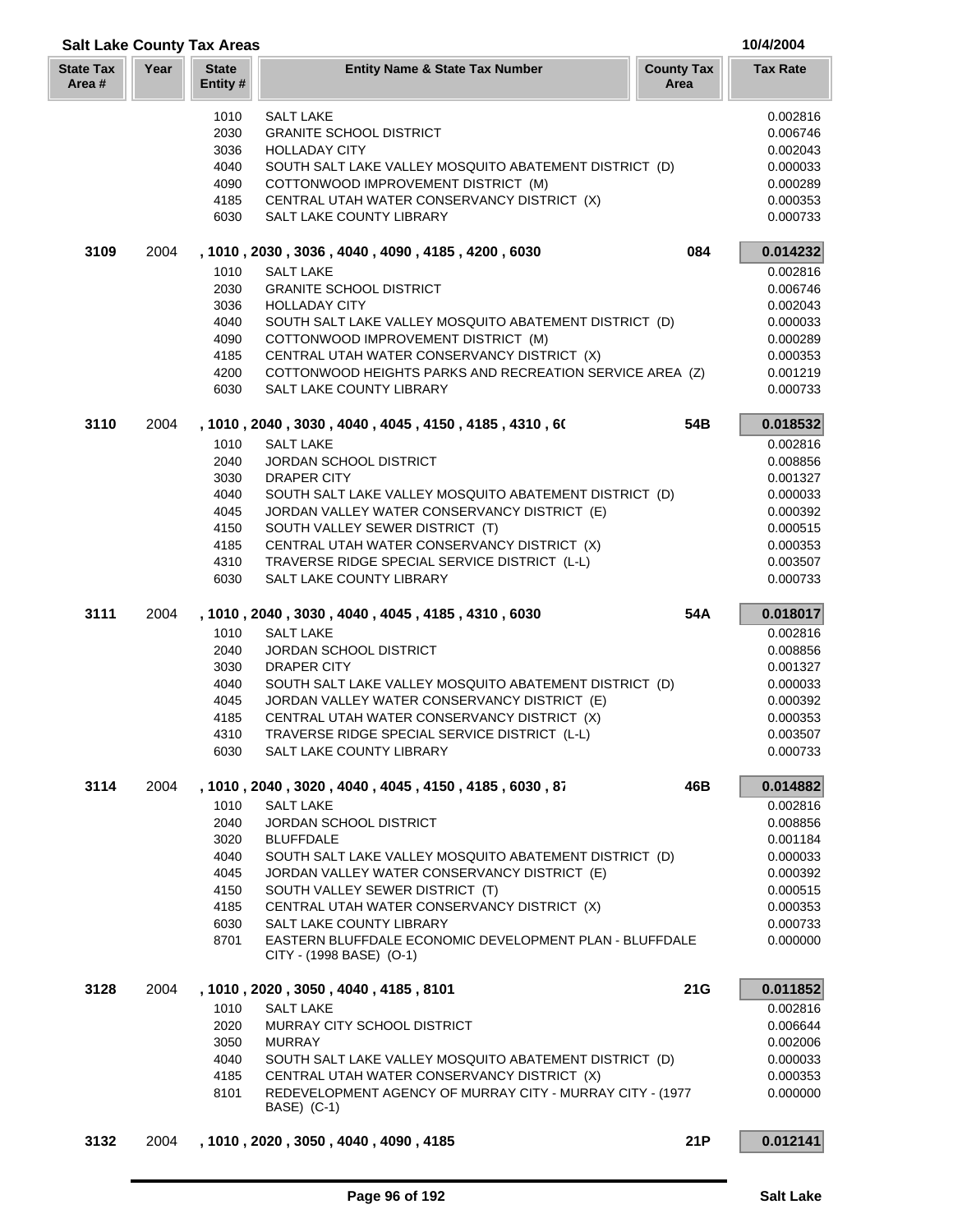| <b>Salt Lake County Tax Areas</b> |      |                          |                                                                                                        |                           | 10/4/2004            |
|-----------------------------------|------|--------------------------|--------------------------------------------------------------------------------------------------------|---------------------------|----------------------|
| <b>State Tax</b><br>Area#         | Year | <b>State</b><br>Entity # | <b>Entity Name &amp; State Tax Number</b>                                                              | <b>County Tax</b><br>Area | <b>Tax Rate</b>      |
|                                   |      | 1010                     | <b>SALT LAKE</b>                                                                                       |                           | 0.002816             |
|                                   |      | 2030                     | <b>GRANITE SCHOOL DISTRICT</b>                                                                         |                           | 0.006746             |
|                                   |      | 3036                     | <b>HOLLADAY CITY</b>                                                                                   |                           | 0.002043             |
|                                   |      | 4040                     | SOUTH SALT LAKE VALLEY MOSQUITO ABATEMENT DISTRICT (D)                                                 |                           | 0.000033             |
|                                   |      | 4090                     | COTTONWOOD IMPROVEMENT DISTRICT (M)                                                                    |                           | 0.000289             |
|                                   |      | 4185<br>6030             | CENTRAL UTAH WATER CONSERVANCY DISTRICT (X)<br>SALT LAKE COUNTY LIBRARY                                |                           | 0.000353<br>0.000733 |
| 3109                              | 2004 |                          | , 1010, 2030, 3036, 4040, 4090, 4185, 4200, 6030                                                       | 084                       | 0.014232             |
|                                   |      | 1010                     | <b>SALT LAKE</b>                                                                                       |                           | 0.002816             |
|                                   |      | 2030                     | <b>GRANITE SCHOOL DISTRICT</b>                                                                         |                           | 0.006746             |
|                                   |      | 3036                     | <b>HOLLADAY CITY</b>                                                                                   |                           | 0.002043             |
|                                   |      | 4040                     | SOUTH SALT LAKE VALLEY MOSQUITO ABATEMENT DISTRICT (D)                                                 |                           | 0.000033             |
|                                   |      | 4090                     | COTTONWOOD IMPROVEMENT DISTRICT (M)                                                                    |                           | 0.000289             |
|                                   |      | 4185                     | CENTRAL UTAH WATER CONSERVANCY DISTRICT (X)                                                            |                           | 0.000353             |
|                                   |      | 4200                     | COTTONWOOD HEIGHTS PARKS AND RECREATION SERVICE AREA (Z)                                               |                           | 0.001219             |
|                                   |      | 6030                     | <b>SALT LAKE COUNTY LIBRARY</b>                                                                        |                           | 0.000733             |
| 3110                              | 2004 |                          | , 1010 , 2040 , 3030 , 4040 , 4045 , 4150 , 4185 , 4310 , 60                                           | 54B                       | 0.018532             |
|                                   |      | 1010                     | <b>SALT LAKE</b>                                                                                       |                           | 0.002816             |
|                                   |      | 2040                     | <b>JORDAN SCHOOL DISTRICT</b>                                                                          |                           | 0.008856             |
|                                   |      | 3030<br>4040             | DRAPER CITY                                                                                            |                           | 0.001327             |
|                                   |      | 4045                     | SOUTH SALT LAKE VALLEY MOSQUITO ABATEMENT DISTRICT (D)<br>JORDAN VALLEY WATER CONSERVANCY DISTRICT (E) |                           | 0.000033<br>0.000392 |
|                                   |      | 4150                     | SOUTH VALLEY SEWER DISTRICT (T)                                                                        |                           | 0.000515             |
|                                   |      | 4185                     | CENTRAL UTAH WATER CONSERVANCY DISTRICT (X)                                                            |                           | 0.000353             |
|                                   |      | 4310                     | TRAVERSE RIDGE SPECIAL SERVICE DISTRICT (L-L)                                                          |                           | 0.003507             |
|                                   |      | 6030                     | SALT LAKE COUNTY LIBRARY                                                                               |                           | 0.000733             |
| 3111                              | 2004 |                          | , 1010, 2040, 3030, 4040, 4045, 4185, 4310, 6030                                                       | 54A                       | 0.018017             |
|                                   |      | 1010                     | <b>SALT LAKE</b>                                                                                       |                           | 0.002816             |
|                                   |      | 2040                     | <b>JORDAN SCHOOL DISTRICT</b>                                                                          |                           | 0.008856             |
|                                   |      | 3030                     | DRAPER CITY                                                                                            |                           | 0.001327             |
|                                   |      | 4040                     | SOUTH SALT LAKE VALLEY MOSQUITO ABATEMENT DISTRICT (D)                                                 |                           | 0.000033             |
|                                   |      | 4045                     | JORDAN VALLEY WATER CONSERVANCY DISTRICT (E)                                                           |                           | 0.000392             |
|                                   |      | 4185                     | CENTRAL UTAH WATER CONSERVANCY DISTRICT (X)                                                            |                           | 0.000353             |
|                                   |      | 4310<br>6030             | TRAVERSE RIDGE SPECIAL SERVICE DISTRICT (L-L)<br>SALT LAKE COUNTY LIBRARY                              |                           | 0.003507<br>0.000733 |
| 3114                              | 2004 |                          | , 1010 , 2040 , 3020 , 4040 , 4045 , 4150 , 4185 , 6030 , 87                                           | 46B                       | 0.014882             |
|                                   |      | 1010                     | <b>SALT LAKE</b>                                                                                       |                           | 0.002816             |
|                                   |      | 2040                     | <b>JORDAN SCHOOL DISTRICT</b>                                                                          |                           | 0.008856             |
|                                   |      | 3020                     | <b>BLUFFDALE</b>                                                                                       |                           | 0.001184             |
|                                   |      | 4040                     | SOUTH SALT LAKE VALLEY MOSQUITO ABATEMENT DISTRICT (D)                                                 |                           | 0.000033             |
|                                   |      | 4045                     | JORDAN VALLEY WATER CONSERVANCY DISTRICT (E)                                                           |                           | 0.000392             |
|                                   |      | 4150                     | SOUTH VALLEY SEWER DISTRICT (T)                                                                        |                           | 0.000515             |
|                                   |      | 4185                     | CENTRAL UTAH WATER CONSERVANCY DISTRICT (X)                                                            |                           | 0.000353             |
|                                   |      | 6030                     | SALT LAKE COUNTY LIBRARY                                                                               |                           | 0.000733             |
|                                   |      | 8701                     | EASTERN BLUFFDALE ECONOMIC DEVELOPMENT PLAN - BLUFFDALE<br>CITY - (1998 BASE) (O-1)                    |                           | 0.000000             |
| 3128                              | 2004 |                          | , 1010, 2020, 3050, 4040, 4185, 8101                                                                   | 21G                       | 0.011852             |
|                                   |      | 1010                     | <b>SALT LAKE</b>                                                                                       |                           | 0.002816             |
|                                   |      | 2020                     | MURRAY CITY SCHOOL DISTRICT                                                                            |                           | 0.006644             |
|                                   |      | 3050                     | <b>MURRAY</b>                                                                                          |                           | 0.002006             |
|                                   |      | 4040                     | SOUTH SALT LAKE VALLEY MOSQUITO ABATEMENT DISTRICT (D)                                                 |                           | 0.000033             |
|                                   |      | 4185                     | CENTRAL UTAH WATER CONSERVANCY DISTRICT (X)                                                            |                           | 0.000353             |
|                                   |      | 8101                     | REDEVELOPMENT AGENCY OF MURRAY CITY - MURRAY CITY - (1977)<br>BASE) (C-1)                              |                           | 0.000000             |
| 3132                              | 2004 |                          | , 1010, 2020, 3050, 4040, 4090, 4185                                                                   | 21P                       | 0.012141             |
|                                   |      |                          |                                                                                                        |                           |                      |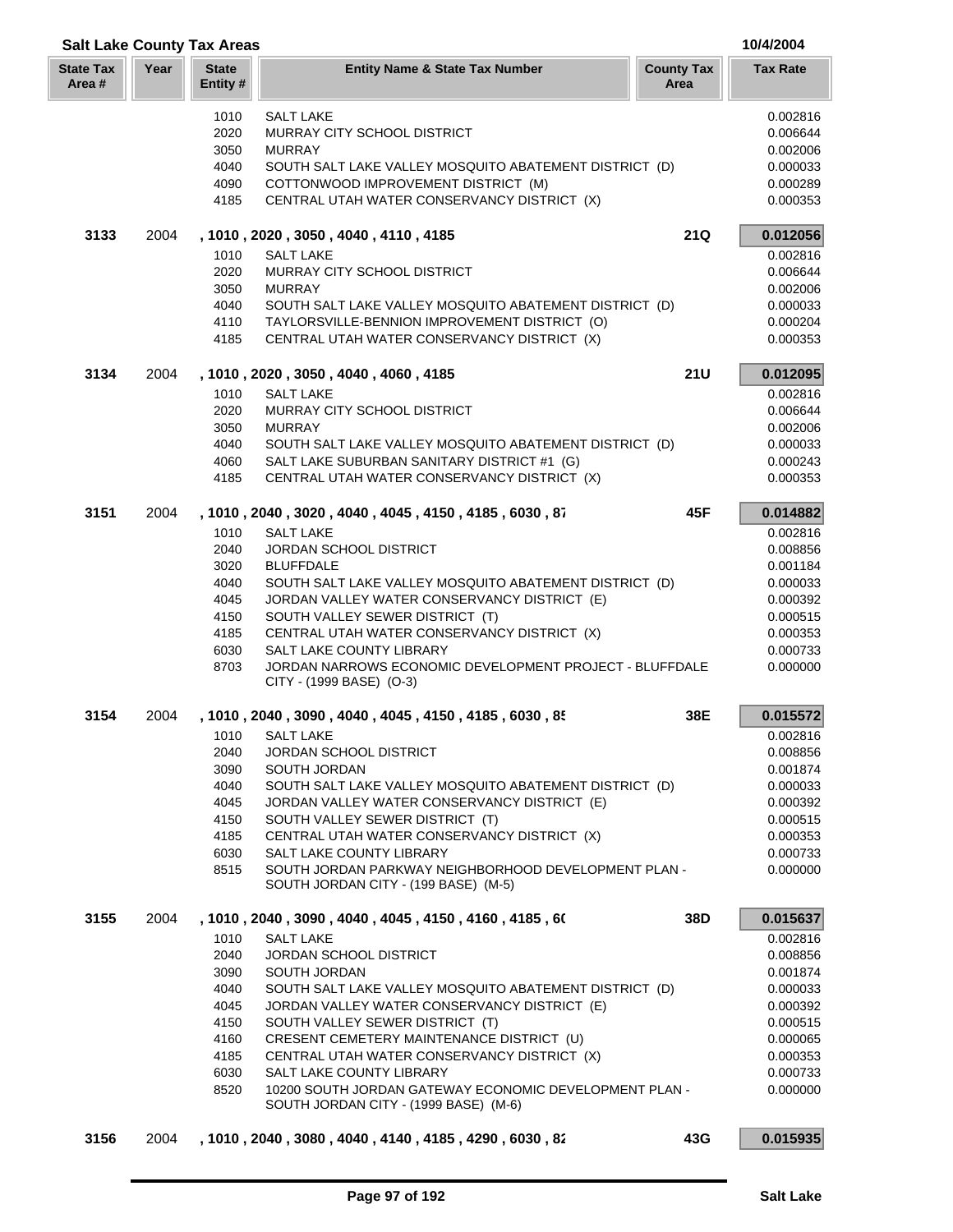|                            |      | <b>Salt Lake County Tax Areas</b> |                                                                                                                 |                           | 10/4/2004            |
|----------------------------|------|-----------------------------------|-----------------------------------------------------------------------------------------------------------------|---------------------------|----------------------|
| <b>State Tax</b><br>Area # | Year | <b>State</b><br>Entity #          | <b>Entity Name &amp; State Tax Number</b>                                                                       | <b>County Tax</b><br>Area | <b>Tax Rate</b>      |
|                            |      | 1010                              | <b>SALT LAKE</b>                                                                                                |                           | 0.002816             |
|                            |      | 2020                              | MURRAY CITY SCHOOL DISTRICT                                                                                     |                           | 0.006644             |
|                            |      | 3050                              | <b>MURRAY</b>                                                                                                   |                           | 0.002006             |
|                            |      | 4040                              | SOUTH SALT LAKE VALLEY MOSQUITO ABATEMENT DISTRICT (D)                                                          |                           | 0.000033             |
|                            |      | 4090                              | COTTONWOOD IMPROVEMENT DISTRICT (M)                                                                             |                           | 0.000289             |
|                            |      | 4185                              | CENTRAL UTAH WATER CONSERVANCY DISTRICT (X)                                                                     |                           | 0.000353             |
| 3133                       | 2004 |                                   | , 1010, 2020, 3050, 4040, 4110, 4185                                                                            | 21Q                       | 0.012056             |
|                            |      | 1010                              | <b>SALT LAKE</b>                                                                                                |                           | 0.002816             |
|                            |      | 2020                              | MURRAY CITY SCHOOL DISTRICT                                                                                     |                           | 0.006644             |
|                            |      | 3050                              | <b>MURRAY</b>                                                                                                   |                           | 0.002006             |
|                            |      | 4040                              | SOUTH SALT LAKE VALLEY MOSQUITO ABATEMENT DISTRICT (D)                                                          |                           | 0.000033             |
|                            |      | 4110                              | TAYLORSVILLE-BENNION IMPROVEMENT DISTRICT (O)                                                                   |                           | 0.000204             |
|                            |      | 4185                              | CENTRAL UTAH WATER CONSERVANCY DISTRICT (X)                                                                     |                           | 0.000353             |
| 3134                       | 2004 |                                   | , 1010, 2020, 3050, 4040, 4060, 4185                                                                            | <b>21U</b>                | 0.012095             |
|                            |      | 1010                              | <b>SALT LAKE</b>                                                                                                |                           | 0.002816             |
|                            |      | 2020                              | <b>MURRAY CITY SCHOOL DISTRICT</b>                                                                              |                           | 0.006644             |
|                            |      | 3050                              | <b>MURRAY</b>                                                                                                   |                           | 0.002006             |
|                            |      | 4040                              | SOUTH SALT LAKE VALLEY MOSQUITO ABATEMENT DISTRICT (D)                                                          |                           | 0.000033             |
|                            |      | 4060                              | SALT LAKE SUBURBAN SANITARY DISTRICT #1 (G)                                                                     |                           | 0.000243             |
|                            |      | 4185                              | CENTRAL UTAH WATER CONSERVANCY DISTRICT (X)                                                                     |                           | 0.000353             |
| 3151                       | 2004 |                                   | , 1010, 2040, 3020, 4040, 4045, 4150, 4185, 6030, 87                                                            | 45F                       | 0.014882             |
|                            |      | 1010                              | <b>SALT LAKE</b>                                                                                                |                           | 0.002816             |
|                            |      | 2040                              | <b>JORDAN SCHOOL DISTRICT</b>                                                                                   |                           | 0.008856             |
|                            |      | 3020                              | <b>BLUFFDALE</b>                                                                                                |                           | 0.001184             |
|                            |      | 4040                              | SOUTH SALT LAKE VALLEY MOSQUITO ABATEMENT DISTRICT (D)                                                          |                           | 0.000033             |
|                            |      | 4045                              | JORDAN VALLEY WATER CONSERVANCY DISTRICT (E)                                                                    |                           | 0.000392             |
|                            |      | 4150                              | SOUTH VALLEY SEWER DISTRICT (T)                                                                                 |                           | 0.000515             |
|                            |      | 4185                              | CENTRAL UTAH WATER CONSERVANCY DISTRICT (X)                                                                     |                           | 0.000353             |
|                            |      | 6030<br>8703                      | SALT LAKE COUNTY LIBRARY<br>JORDAN NARROWS ECONOMIC DEVELOPMENT PROJECT - BLUFFDALE<br>CITY - (1999 BASE) (O-3) |                           | 0.000733<br>0.000000 |
| 3154                       | 2004 |                                   | , 1010, 2040, 3090, 4040, 4045, 4150, 4185, 6030, 85                                                            | 38E                       | 0.015572             |
|                            |      |                                   | 1010 SALT LAKE                                                                                                  |                           | 0.002816             |
|                            |      | 2040                              | JORDAN SCHOOL DISTRICT                                                                                          |                           | 0.008856             |
|                            |      | 3090                              | SOUTH JORDAN                                                                                                    |                           | 0.001874             |
|                            |      | 4040                              | SOUTH SALT LAKE VALLEY MOSQUITO ABATEMENT DISTRICT (D)                                                          |                           | 0.000033             |
|                            |      | 4045                              | JORDAN VALLEY WATER CONSERVANCY DISTRICT (E)                                                                    |                           | 0.000392             |
|                            |      | 4150                              | SOUTH VALLEY SEWER DISTRICT (T)                                                                                 |                           | 0.000515             |
|                            |      | 4185                              | CENTRAL UTAH WATER CONSERVANCY DISTRICT (X)                                                                     |                           | 0.000353             |
|                            |      | 6030                              | SALT LAKE COUNTY LIBRARY                                                                                        |                           | 0.000733             |
|                            |      | 8515                              | SOUTH JORDAN PARKWAY NEIGHBORHOOD DEVELOPMENT PLAN -<br>SOUTH JORDAN CITY - (199 BASE) (M-5)                    |                           | 0.000000             |
| 3155                       | 2004 |                                   | , 1010 , 2040 , 3090 , 4040 , 4045 , 4150 , 4160 , 4185 , 60                                                    | 38D                       | 0.015637             |
|                            |      | 1010                              | <b>SALT LAKE</b>                                                                                                |                           | 0.002816             |
|                            |      | 2040                              | <b>JORDAN SCHOOL DISTRICT</b>                                                                                   |                           | 0.008856             |
|                            |      | 3090                              | SOUTH JORDAN                                                                                                    |                           | 0.001874             |
|                            |      | 4040                              | SOUTH SALT LAKE VALLEY MOSQUITO ABATEMENT DISTRICT (D)                                                          |                           | 0.000033             |
|                            |      | 4045                              | JORDAN VALLEY WATER CONSERVANCY DISTRICT (E)                                                                    |                           | 0.000392             |
|                            |      | 4150                              | SOUTH VALLEY SEWER DISTRICT (T)                                                                                 |                           | 0.000515             |
|                            |      | 4160                              | CRESENT CEMETERY MAINTENANCE DISTRICT (U)                                                                       |                           | 0.000065             |
|                            |      | 4185                              | CENTRAL UTAH WATER CONSERVANCY DISTRICT (X)                                                                     |                           | 0.000353             |
|                            |      | 6030                              | SALT LAKE COUNTY LIBRARY                                                                                        |                           | 0.000733             |
|                            |      | 8520                              | 10200 SOUTH JORDAN GATEWAY ECONOMIC DEVELOPMENT PLAN -<br>SOUTH JORDAN CITY - (1999 BASE) (M-6)                 |                           | 0.000000             |
| 3156                       | 2004 |                                   | , 1010, 2040, 3080, 4040, 4140, 4185, 4290, 6030, 82                                                            | 43G                       | 0.015935             |
|                            |      |                                   |                                                                                                                 |                           |                      |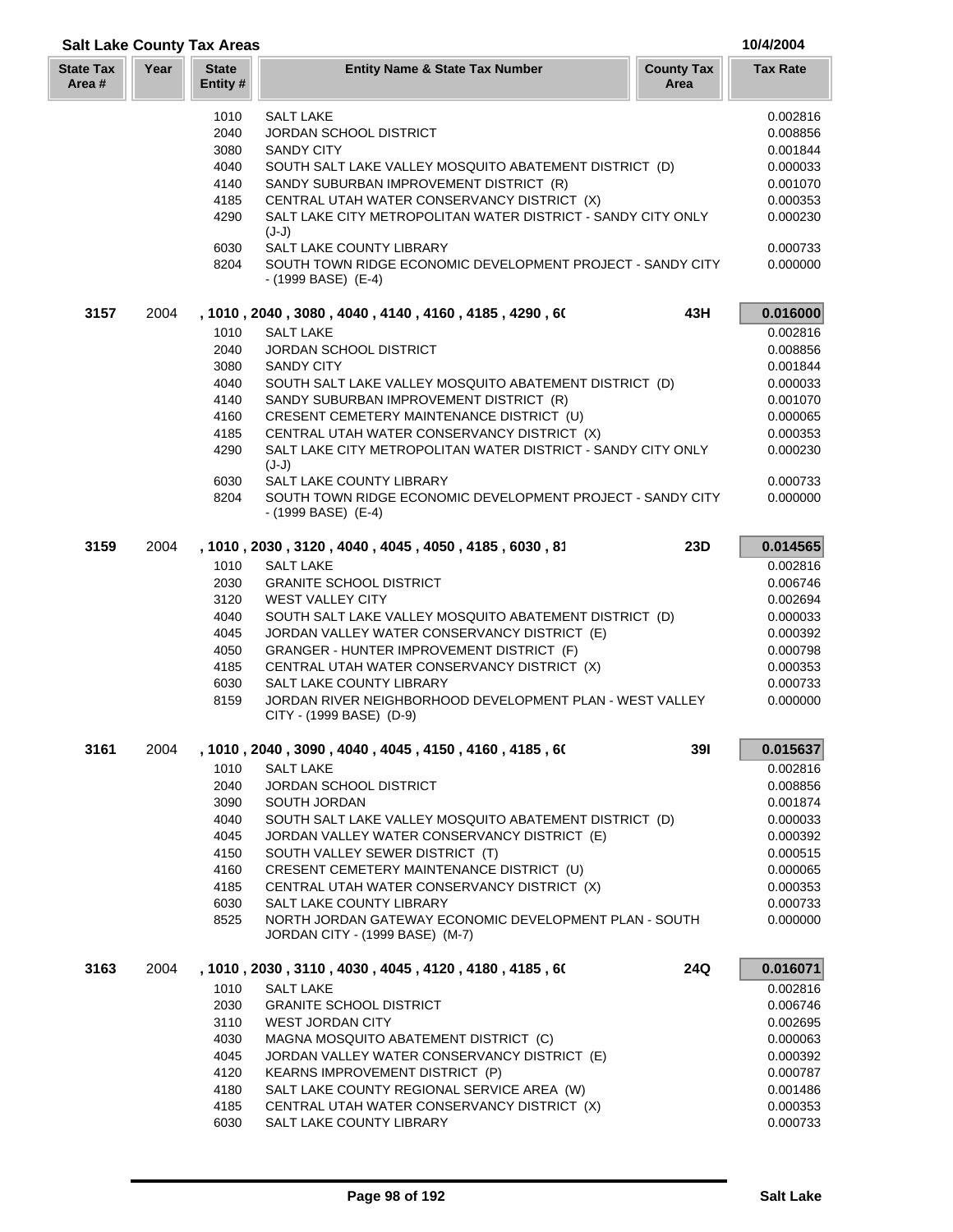| <b>State Tax</b><br>Area # | Year | <b>State</b><br>Entity#                              | <b>Entity Name &amp; State Tax Number</b>                                                                                                                                                                                                                                                             | <b>County Tax</b><br>Area | <b>Tax Rate</b>                                                                  |  |  |  |
|----------------------------|------|------------------------------------------------------|-------------------------------------------------------------------------------------------------------------------------------------------------------------------------------------------------------------------------------------------------------------------------------------------------------|---------------------------|----------------------------------------------------------------------------------|--|--|--|
|                            |      | 1010<br>2040<br>3080<br>4040<br>4140<br>4185<br>4290 | <b>SALT LAKE</b><br><b>JORDAN SCHOOL DISTRICT</b><br><b>SANDY CITY</b><br>SOUTH SALT LAKE VALLEY MOSQUITO ABATEMENT DISTRICT (D)<br>SANDY SUBURBAN IMPROVEMENT DISTRICT (R)<br>CENTRAL UTAH WATER CONSERVANCY DISTRICT (X)<br>SALT LAKE CITY METROPOLITAN WATER DISTRICT - SANDY CITY ONLY<br>$(J-J)$ |                           | 0.002816<br>0.008856<br>0.001844<br>0.000033<br>0.001070<br>0.000353<br>0.000230 |  |  |  |
|                            |      | 6030<br>8204                                         | SALT LAKE COUNTY LIBRARY<br>SOUTH TOWN RIDGE ECONOMIC DEVELOPMENT PROJECT - SANDY CITY<br>- (1999 BASE) (E-4)                                                                                                                                                                                         |                           | 0.000733<br>0.000000                                                             |  |  |  |
| 3157                       | 2004 |                                                      | , 1010 , 2040 , 3080 , 4040 , 4140 , 4160 , 4185 , 4290 , 60                                                                                                                                                                                                                                          | 43H                       | 0.016000                                                                         |  |  |  |
|                            |      | 1010                                                 | <b>SALT LAKE</b>                                                                                                                                                                                                                                                                                      |                           | 0.002816                                                                         |  |  |  |
|                            |      | 2040                                                 | <b>JORDAN SCHOOL DISTRICT</b>                                                                                                                                                                                                                                                                         |                           | 0.008856                                                                         |  |  |  |
|                            |      | 3080                                                 | <b>SANDY CITY</b>                                                                                                                                                                                                                                                                                     |                           | 0.001844                                                                         |  |  |  |
|                            |      | 4040                                                 | SOUTH SALT LAKE VALLEY MOSQUITO ABATEMENT DISTRICT (D)                                                                                                                                                                                                                                                |                           | 0.000033                                                                         |  |  |  |
|                            |      | 4140                                                 | SANDY SUBURBAN IMPROVEMENT DISTRICT (R)                                                                                                                                                                                                                                                               |                           | 0.001070                                                                         |  |  |  |
|                            |      | 4160                                                 | CRESENT CEMETERY MAINTENANCE DISTRICT (U)                                                                                                                                                                                                                                                             |                           | 0.000065                                                                         |  |  |  |
|                            |      | 4185                                                 | CENTRAL UTAH WATER CONSERVANCY DISTRICT (X)                                                                                                                                                                                                                                                           |                           | 0.000353                                                                         |  |  |  |
|                            |      | 4290                                                 | SALT LAKE CITY METROPOLITAN WATER DISTRICT - SANDY CITY ONLY<br>$(J-J)$                                                                                                                                                                                                                               |                           |                                                                                  |  |  |  |
|                            |      | 6030                                                 | <b>SALT LAKE COUNTY LIBRARY</b>                                                                                                                                                                                                                                                                       |                           | 0.000733                                                                         |  |  |  |
|                            |      | 8204                                                 | SOUTH TOWN RIDGE ECONOMIC DEVELOPMENT PROJECT - SANDY CITY<br>- (1999 BASE) (E-4)                                                                                                                                                                                                                     |                           | 0.000000                                                                         |  |  |  |
| 3159                       | 2004 |                                                      | , 1010, 2030, 3120, 4040, 4045, 4050, 4185, 6030, 81                                                                                                                                                                                                                                                  | 23D                       | 0.014565                                                                         |  |  |  |
|                            |      | 1010                                                 | <b>SALT LAKE</b>                                                                                                                                                                                                                                                                                      |                           | 0.002816                                                                         |  |  |  |
|                            |      | 2030                                                 | <b>GRANITE SCHOOL DISTRICT</b>                                                                                                                                                                                                                                                                        |                           | 0.006746                                                                         |  |  |  |
|                            |      | 3120                                                 | <b>WEST VALLEY CITY</b>                                                                                                                                                                                                                                                                               |                           | 0.002694                                                                         |  |  |  |
|                            |      | 4040                                                 | SOUTH SALT LAKE VALLEY MOSQUITO ABATEMENT DISTRICT (D)                                                                                                                                                                                                                                                |                           | 0.000033                                                                         |  |  |  |
|                            |      | 4045<br>4050                                         | JORDAN VALLEY WATER CONSERVANCY DISTRICT (E)<br>GRANGER - HUNTER IMPROVEMENT DISTRICT (F)                                                                                                                                                                                                             |                           | 0.000392<br>0.000798                                                             |  |  |  |
|                            |      | 4185                                                 | CENTRAL UTAH WATER CONSERVANCY DISTRICT (X)                                                                                                                                                                                                                                                           |                           | 0.000353                                                                         |  |  |  |
|                            |      | 6030                                                 | SALT LAKE COUNTY LIBRARY                                                                                                                                                                                                                                                                              |                           | 0.000733                                                                         |  |  |  |
|                            |      | 8159                                                 | JORDAN RIVER NEIGHBORHOOD DEVELOPMENT PLAN - WEST VALLEY<br>CITY - (1999 BASE) (D-9)                                                                                                                                                                                                                  |                           | 0.000000                                                                         |  |  |  |
| 3161                       | 2004 |                                                      | 1010, 2040, 3090, 4040, 4045, 4150, 4160, 4185, 60                                                                                                                                                                                                                                                    | <b>391</b>                | 0.015637                                                                         |  |  |  |
|                            |      | 1010                                                 | SALT LAKE                                                                                                                                                                                                                                                                                             |                           | 0.002816                                                                         |  |  |  |
|                            |      | 2040                                                 | JORDAN SCHOOL DISTRICT                                                                                                                                                                                                                                                                                |                           | 0.008856                                                                         |  |  |  |
|                            |      | 3090                                                 | SOUTH JORDAN                                                                                                                                                                                                                                                                                          |                           | 0.001874                                                                         |  |  |  |
|                            |      | 4040                                                 | SOUTH SALT LAKE VALLEY MOSQUITO ABATEMENT DISTRICT (D)                                                                                                                                                                                                                                                |                           | 0.000033                                                                         |  |  |  |
|                            |      | 4045                                                 | JORDAN VALLEY WATER CONSERVANCY DISTRICT (E)                                                                                                                                                                                                                                                          |                           | 0.000392                                                                         |  |  |  |
|                            |      | 4150                                                 | SOUTH VALLEY SEWER DISTRICT (T)                                                                                                                                                                                                                                                                       |                           | 0.000515                                                                         |  |  |  |
|                            |      | 4160                                                 | CRESENT CEMETERY MAINTENANCE DISTRICT (U)                                                                                                                                                                                                                                                             |                           | 0.000065                                                                         |  |  |  |
|                            |      | 4185                                                 | CENTRAL UTAH WATER CONSERVANCY DISTRICT (X)                                                                                                                                                                                                                                                           |                           | 0.000353                                                                         |  |  |  |
|                            |      | 6030                                                 | SALT LAKE COUNTY LIBRARY<br>NORTH JORDAN GATEWAY ECONOMIC DEVELOPMENT PLAN - SOUTH                                                                                                                                                                                                                    |                           | 0.000733                                                                         |  |  |  |
|                            |      | 8525                                                 | JORDAN CITY - (1999 BASE) (M-7)                                                                                                                                                                                                                                                                       |                           | 0.000000                                                                         |  |  |  |
| 3163                       | 2004 |                                                      | , 1010 , 2030 , 3110 , 4030 , 4045 , 4120 , 4180 , 4185 , 60                                                                                                                                                                                                                                          | 24Q                       | 0.016071                                                                         |  |  |  |
|                            |      | 1010                                                 | <b>SALT LAKE</b>                                                                                                                                                                                                                                                                                      |                           | 0.002816                                                                         |  |  |  |
|                            |      | 2030                                                 | <b>GRANITE SCHOOL DISTRICT</b>                                                                                                                                                                                                                                                                        |                           | 0.006746                                                                         |  |  |  |
|                            |      | 3110<br>4030                                         | <b>WEST JORDAN CITY</b><br>MAGNA MOSQUITO ABATEMENT DISTRICT (C)                                                                                                                                                                                                                                      |                           | 0.002695<br>0.000063                                                             |  |  |  |
|                            |      | 4045                                                 | JORDAN VALLEY WATER CONSERVANCY DISTRICT (E)                                                                                                                                                                                                                                                          |                           | 0.000392                                                                         |  |  |  |
|                            |      | 4120                                                 | KEARNS IMPROVEMENT DISTRICT (P)                                                                                                                                                                                                                                                                       |                           | 0.000787                                                                         |  |  |  |
|                            |      | 4180                                                 | SALT LAKE COUNTY REGIONAL SERVICE AREA (W)                                                                                                                                                                                                                                                            |                           | 0.001486                                                                         |  |  |  |
|                            |      | 4185                                                 | CENTRAL UTAH WATER CONSERVANCY DISTRICT (X)                                                                                                                                                                                                                                                           |                           | 0.000353                                                                         |  |  |  |
|                            |      | 6030                                                 | SALT LAKE COUNTY LIBRARY                                                                                                                                                                                                                                                                              |                           | 0.000733                                                                         |  |  |  |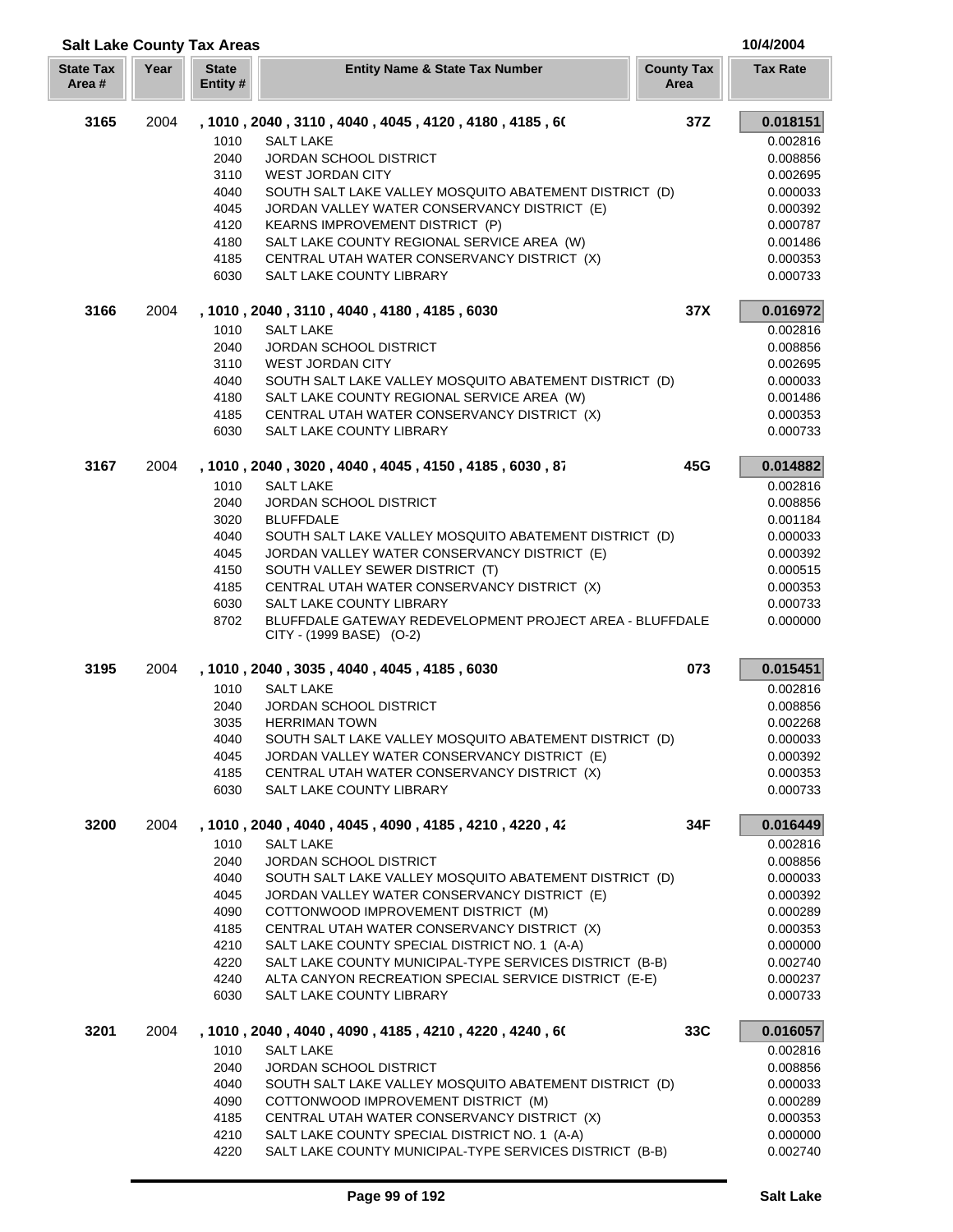|                           | <b>Salt Lake County Tax Areas</b> |                          |                                                                                           |                           |                      |
|---------------------------|-----------------------------------|--------------------------|-------------------------------------------------------------------------------------------|---------------------------|----------------------|
| <b>State Tax</b><br>Area# | Year                              | <b>State</b><br>Entity # | <b>Entity Name &amp; State Tax Number</b>                                                 | <b>County Tax</b><br>Area | <b>Tax Rate</b>      |
| 3165                      | 2004                              |                          | , 1010 , 2040 , 3110 , 4040 , 4045 , 4120 , 4180 , 4185 , 60                              | 37Z                       | 0.018151             |
|                           |                                   | 1010                     | <b>SALT LAKE</b>                                                                          |                           | 0.002816             |
|                           |                                   | 2040                     | <b>JORDAN SCHOOL DISTRICT</b>                                                             |                           | 0.008856             |
|                           |                                   | 3110                     | WEST JORDAN CITY                                                                          |                           | 0.002695             |
|                           |                                   | 4040                     | SOUTH SALT LAKE VALLEY MOSQUITO ABATEMENT DISTRICT (D)                                    |                           | 0.000033             |
|                           |                                   | 4045                     | JORDAN VALLEY WATER CONSERVANCY DISTRICT (E)                                              |                           | 0.000392             |
|                           |                                   | 4120                     | <b>KEARNS IMPROVEMENT DISTRICT (P)</b>                                                    |                           | 0.000787             |
|                           |                                   | 4180                     | SALT LAKE COUNTY REGIONAL SERVICE AREA (W)                                                |                           | 0.001486             |
|                           |                                   | 4185                     | CENTRAL UTAH WATER CONSERVANCY DISTRICT (X)                                               |                           | 0.000353             |
|                           |                                   | 6030                     | SALT LAKE COUNTY LIBRARY                                                                  |                           | 0.000733             |
| 3166                      | 2004                              |                          | , 1010, 2040, 3110, 4040, 4180, 4185, 6030                                                | 37X                       | 0.016972             |
|                           |                                   | 1010                     | <b>SALT LAKE</b>                                                                          |                           | 0.002816             |
|                           |                                   | 2040                     | JORDAN SCHOOL DISTRICT                                                                    |                           | 0.008856             |
|                           |                                   | 3110                     | <b>WEST JORDAN CITY</b>                                                                   |                           | 0.002695             |
|                           |                                   | 4040                     | SOUTH SALT LAKE VALLEY MOSQUITO ABATEMENT DISTRICT (D)                                    |                           | 0.000033             |
|                           |                                   | 4180                     | SALT LAKE COUNTY REGIONAL SERVICE AREA (W)<br>CENTRAL UTAH WATER CONSERVANCY DISTRICT (X) |                           | 0.001486             |
|                           |                                   | 4185<br>6030             | SALT LAKE COUNTY LIBRARY                                                                  |                           | 0.000353<br>0.000733 |
| 3167                      | 2004                              |                          | , 1010, 2040, 3020, 4040, 4045, 4150, 4185, 6030, 87                                      | 45G                       | 0.014882             |
|                           |                                   | 1010                     | <b>SALT LAKE</b>                                                                          |                           | 0.002816             |
|                           |                                   | 2040                     | <b>JORDAN SCHOOL DISTRICT</b>                                                             |                           | 0.008856             |
|                           |                                   | 3020                     | <b>BLUFFDALE</b>                                                                          |                           | 0.001184             |
|                           |                                   | 4040                     | SOUTH SALT LAKE VALLEY MOSQUITO ABATEMENT DISTRICT (D)                                    |                           | 0.000033             |
|                           |                                   | 4045                     | JORDAN VALLEY WATER CONSERVANCY DISTRICT (E)                                              |                           | 0.000392             |
|                           |                                   | 4150                     | SOUTH VALLEY SEWER DISTRICT (T)                                                           |                           | 0.000515             |
|                           |                                   | 4185                     | CENTRAL UTAH WATER CONSERVANCY DISTRICT (X)                                               |                           | 0.000353             |
|                           |                                   | 6030                     | SALT LAKE COUNTY LIBRARY                                                                  |                           | 0.000733             |
|                           |                                   | 8702                     | BLUFFDALE GATEWAY REDEVELOPMENT PROJECT AREA - BLUFFDALE<br>CITY - (1999 BASE) (O-2)      |                           | 0.000000             |
| 3195                      | 2004                              |                          | , 1010, 2040, 3035, 4040, 4045, 4185, 6030                                                | 073                       | 0.015451             |
|                           |                                   | 1010                     | <b>SALT LAKE</b>                                                                          |                           | 0.002816             |
|                           |                                   | 2040                     | <b>JORDAN SCHOOL DISTRICT</b>                                                             |                           | 0.008856             |
|                           |                                   | 3035                     | <b>HERRIMAN TOWN</b>                                                                      |                           | 0.002268             |
|                           |                                   | 4040                     | SOUTH SALT LAKE VALLEY MOSQUITO ABATEMENT DISTRICT (D)                                    |                           | 0.000033             |
|                           |                                   | 4045                     | JORDAN VALLEY WATER CONSERVANCY DISTRICT (E)                                              |                           | 0.000392             |
|                           |                                   | 4185                     | CENTRAL UTAH WATER CONSERVANCY DISTRICT (X)                                               |                           | 0.000353             |
|                           |                                   | 6030                     | SALT LAKE COUNTY LIBRARY                                                                  |                           | 0.000733             |
| 3200                      | 2004                              |                          | , 1010 , 2040 , 4040 , 4045 , 4090 , 4185 , 4210 , 4220 , 42                              | 34F                       | 0.016449             |
|                           |                                   | 1010                     | <b>SALT LAKE</b>                                                                          |                           | 0.002816             |
|                           |                                   | 2040                     | JORDAN SCHOOL DISTRICT                                                                    |                           | 0.008856             |
|                           |                                   | 4040                     | SOUTH SALT LAKE VALLEY MOSQUITO ABATEMENT DISTRICT (D)                                    |                           | 0.000033             |
|                           |                                   | 4045                     | JORDAN VALLEY WATER CONSERVANCY DISTRICT (E)                                              |                           | 0.000392             |
|                           |                                   | 4090<br>4185             | COTTONWOOD IMPROVEMENT DISTRICT (M)<br>CENTRAL UTAH WATER CONSERVANCY DISTRICT (X)        |                           | 0.000289<br>0.000353 |
|                           |                                   | 4210                     | SALT LAKE COUNTY SPECIAL DISTRICT NO. 1 (A-A)                                             |                           | 0.000000             |
|                           |                                   | 4220                     | SALT LAKE COUNTY MUNICIPAL-TYPE SERVICES DISTRICT (B-B)                                   |                           | 0.002740             |
|                           |                                   | 4240                     | ALTA CANYON RECREATION SPECIAL SERVICE DISTRICT (E-E)                                     |                           | 0.000237             |
|                           |                                   | 6030                     | SALT LAKE COUNTY LIBRARY                                                                  |                           | 0.000733             |
| 3201                      | 2004                              |                          | , 1010 , 2040 , 4040 , 4090 , 4185 , 4210 , 4220 , 4240 , 60                              | 33C                       | 0.016057             |
|                           |                                   | 1010                     | <b>SALT LAKE</b>                                                                          |                           | 0.002816             |
|                           |                                   | 2040                     | <b>JORDAN SCHOOL DISTRICT</b>                                                             |                           | 0.008856             |
|                           |                                   | 4040                     | SOUTH SALT LAKE VALLEY MOSQUITO ABATEMENT DISTRICT (D)                                    |                           | 0.000033             |
|                           |                                   | 4090                     | COTTONWOOD IMPROVEMENT DISTRICT (M)                                                       |                           | 0.000289             |
|                           |                                   | 4185                     | CENTRAL UTAH WATER CONSERVANCY DISTRICT (X)                                               |                           | 0.000353             |
|                           |                                   | 4210                     | SALT LAKE COUNTY SPECIAL DISTRICT NO. 1 (A-A)                                             |                           | 0.000000             |
|                           |                                   | 4220                     | SALT LAKE COUNTY MUNICIPAL-TYPE SERVICES DISTRICT (B-B)                                   |                           | 0.002740             |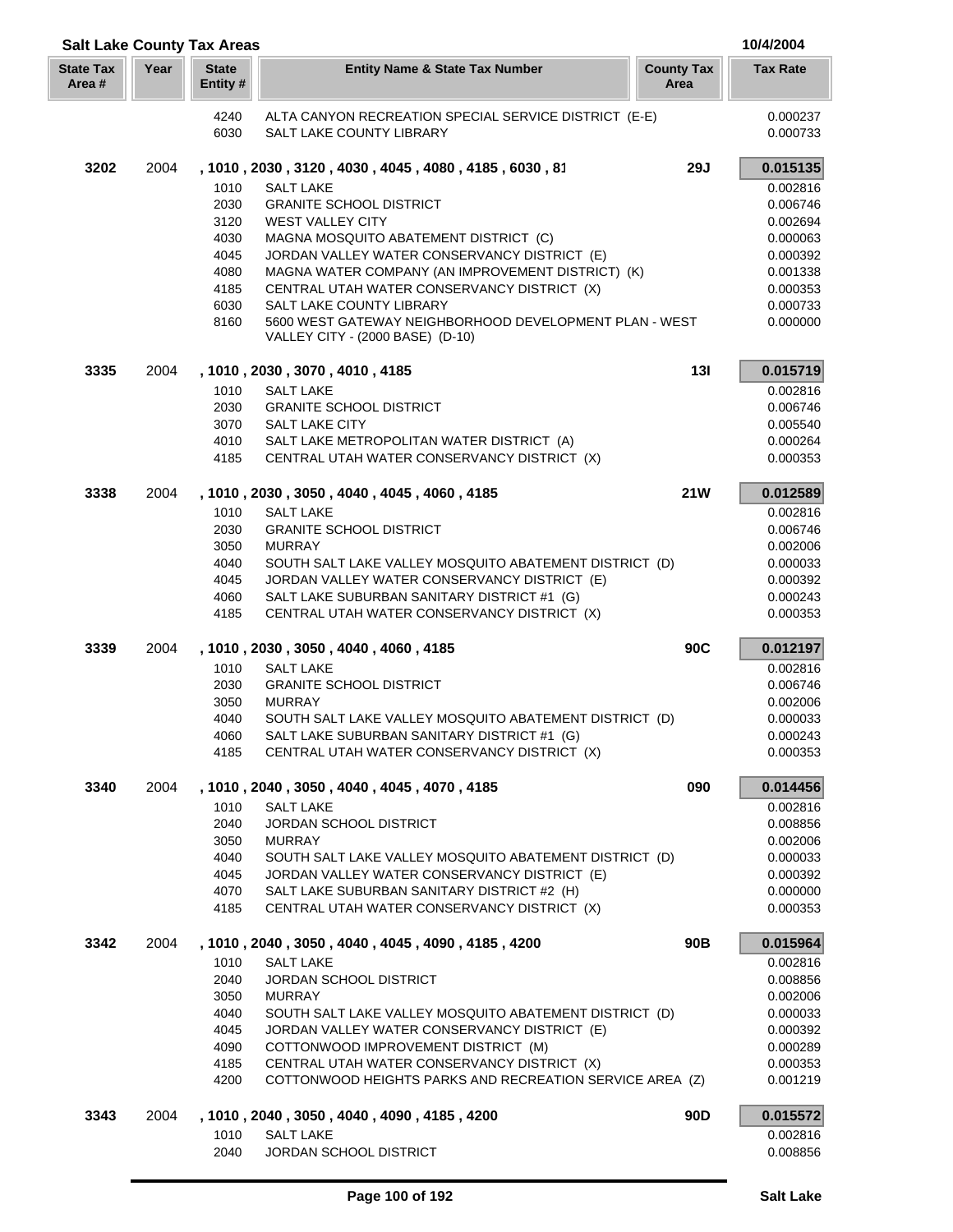|                           | <b>Salt Lake County Tax Areas</b> |                          |                                                                                            |                           |                      |  |
|---------------------------|-----------------------------------|--------------------------|--------------------------------------------------------------------------------------------|---------------------------|----------------------|--|
| <b>State Tax</b><br>Area# | Year                              | <b>State</b><br>Entity # | <b>Entity Name &amp; State Tax Number</b>                                                  | <b>County Tax</b><br>Area | <b>Tax Rate</b>      |  |
|                           |                                   | 4240                     | ALTA CANYON RECREATION SPECIAL SERVICE DISTRICT (E-E)                                      |                           | 0.000237             |  |
|                           |                                   | 6030                     | SALT LAKE COUNTY LIBRARY                                                                   |                           | 0.000733             |  |
| 3202                      | 2004                              |                          | , 1010, 2030, 3120, 4030, 4045, 4080, 4185, 6030, 81                                       | <b>29J</b>                | 0.015135             |  |
|                           |                                   | 1010                     | <b>SALT LAKE</b>                                                                           |                           | 0.002816             |  |
|                           |                                   | 2030                     | <b>GRANITE SCHOOL DISTRICT</b>                                                             |                           | 0.006746             |  |
|                           |                                   | 3120                     | <b>WEST VALLEY CITY</b>                                                                    |                           | 0.002694             |  |
|                           |                                   | 4030                     | MAGNA MOSQUITO ABATEMENT DISTRICT (C)                                                      |                           | 0.000063             |  |
|                           |                                   | 4045                     | JORDAN VALLEY WATER CONSERVANCY DISTRICT (E)                                               |                           | 0.000392             |  |
|                           |                                   | 4080                     | MAGNA WATER COMPANY (AN IMPROVEMENT DISTRICT) (K)                                          |                           | 0.001338             |  |
|                           |                                   | 4185                     | CENTRAL UTAH WATER CONSERVANCY DISTRICT (X)                                                |                           | 0.000353             |  |
|                           |                                   | 6030                     | SALT LAKE COUNTY LIBRARY                                                                   |                           | 0.000733             |  |
|                           |                                   | 8160                     | 5600 WEST GATEWAY NEIGHBORHOOD DEVELOPMENT PLAN - WEST<br>VALLEY CITY - (2000 BASE) (D-10) |                           | 0.000000             |  |
| 3335                      | 2004                              |                          | , 1010, 2030, 3070, 4010, 4185                                                             | 13I                       | 0.015719             |  |
|                           |                                   | 1010                     | <b>SALT LAKE</b>                                                                           |                           | 0.002816             |  |
|                           |                                   | 2030                     | <b>GRANITE SCHOOL DISTRICT</b>                                                             |                           | 0.006746             |  |
|                           |                                   | 3070                     | <b>SALT LAKE CITY</b>                                                                      |                           | 0.005540             |  |
|                           |                                   | 4010                     | SALT LAKE METROPOLITAN WATER DISTRICT (A)                                                  |                           | 0.000264             |  |
|                           |                                   | 4185                     | CENTRAL UTAH WATER CONSERVANCY DISTRICT (X)                                                |                           | 0.000353             |  |
| 3338                      | 2004                              |                          | , 1010, 2030, 3050, 4040, 4045, 4060, 4185                                                 | <b>21W</b>                | 0.012589             |  |
|                           |                                   | 1010                     | <b>SALT LAKE</b>                                                                           |                           | 0.002816             |  |
|                           |                                   | 2030<br>3050             | <b>GRANITE SCHOOL DISTRICT</b><br><b>MURRAY</b>                                            |                           | 0.006746<br>0.002006 |  |
|                           |                                   | 4040                     | SOUTH SALT LAKE VALLEY MOSQUITO ABATEMENT DISTRICT (D)                                     |                           | 0.000033             |  |
|                           |                                   | 4045                     | JORDAN VALLEY WATER CONSERVANCY DISTRICT (E)                                               |                           | 0.000392             |  |
|                           |                                   | 4060                     | SALT LAKE SUBURBAN SANITARY DISTRICT #1 (G)                                                |                           | 0.000243             |  |
|                           |                                   | 4185                     | CENTRAL UTAH WATER CONSERVANCY DISTRICT (X)                                                |                           | 0.000353             |  |
| 3339                      | 2004                              |                          | , 1010 , 2030 , 3050 , 4040 , 4060 , 4185                                                  | 90C                       | 0.012197             |  |
|                           |                                   | 1010                     | <b>SALT LAKE</b>                                                                           |                           | 0.002816             |  |
|                           |                                   | 2030                     | <b>GRANITE SCHOOL DISTRICT</b>                                                             |                           | 0.006746             |  |
|                           |                                   | 3050                     | <b>MURRAY</b>                                                                              |                           | 0.002006             |  |
|                           |                                   | 4040                     | SOUTH SALT LAKE VALLEY MOSQUITO ABATEMENT DISTRICT (D)                                     |                           | 0.000033             |  |
|                           |                                   | 4060<br>4185             | SALT LAKE SUBURBAN SANITARY DISTRICT #1 (G)<br>CENTRAL UTAH WATER CONSERVANCY DISTRICT (X) |                           | 0.000243<br>0.000353 |  |
| 3340                      | 2004                              |                          | , 1010, 2040, 3050, 4040, 4045, 4070, 4185                                                 | 090                       | 0.014456             |  |
|                           |                                   | 1010                     | <b>SALT LAKE</b>                                                                           |                           | 0.002816             |  |
|                           |                                   | 2040                     | <b>JORDAN SCHOOL DISTRICT</b>                                                              |                           | 0.008856             |  |
|                           |                                   | 3050                     | <b>MURRAY</b>                                                                              |                           | 0.002006             |  |
|                           |                                   | 4040                     | SOUTH SALT LAKE VALLEY MOSQUITO ABATEMENT DISTRICT (D)                                     |                           | 0.000033             |  |
|                           |                                   | 4045                     | JORDAN VALLEY WATER CONSERVANCY DISTRICT (E)                                               |                           | 0.000392             |  |
|                           |                                   | 4070                     | SALT LAKE SUBURBAN SANITARY DISTRICT #2 (H)                                                |                           | 0.000000             |  |
|                           |                                   | 4185                     | CENTRAL UTAH WATER CONSERVANCY DISTRICT (X)                                                |                           | 0.000353             |  |
| 3342                      | 2004                              | 1010                     | , 1010, 2040, 3050, 4040, 4045, 4090, 4185, 4200<br><b>SALT LAKE</b>                       | 90B                       | 0.015964<br>0.002816 |  |
|                           |                                   | 2040                     | <b>JORDAN SCHOOL DISTRICT</b>                                                              |                           | 0.008856             |  |
|                           |                                   | 3050                     | <b>MURRAY</b>                                                                              |                           | 0.002006             |  |
|                           |                                   | 4040                     | SOUTH SALT LAKE VALLEY MOSQUITO ABATEMENT DISTRICT (D)                                     |                           | 0.000033             |  |
|                           |                                   | 4045                     | JORDAN VALLEY WATER CONSERVANCY DISTRICT (E)                                               |                           | 0.000392             |  |
|                           |                                   | 4090                     | COTTONWOOD IMPROVEMENT DISTRICT (M)                                                        |                           | 0.000289             |  |
|                           |                                   | 4185                     | CENTRAL UTAH WATER CONSERVANCY DISTRICT (X)                                                |                           | 0.000353             |  |
|                           |                                   | 4200                     | COTTONWOOD HEIGHTS PARKS AND RECREATION SERVICE AREA (Z)                                   |                           | 0.001219             |  |
| 3343                      | 2004                              |                          | , 1010, 2040, 3050, 4040, 4090, 4185, 4200                                                 | 90 <sub>D</sub>           | 0.015572             |  |
|                           |                                   | 1010                     | <b>SALT LAKE</b>                                                                           |                           | 0.002816             |  |
|                           |                                   | 2040                     | JORDAN SCHOOL DISTRICT                                                                     |                           | 0.008856             |  |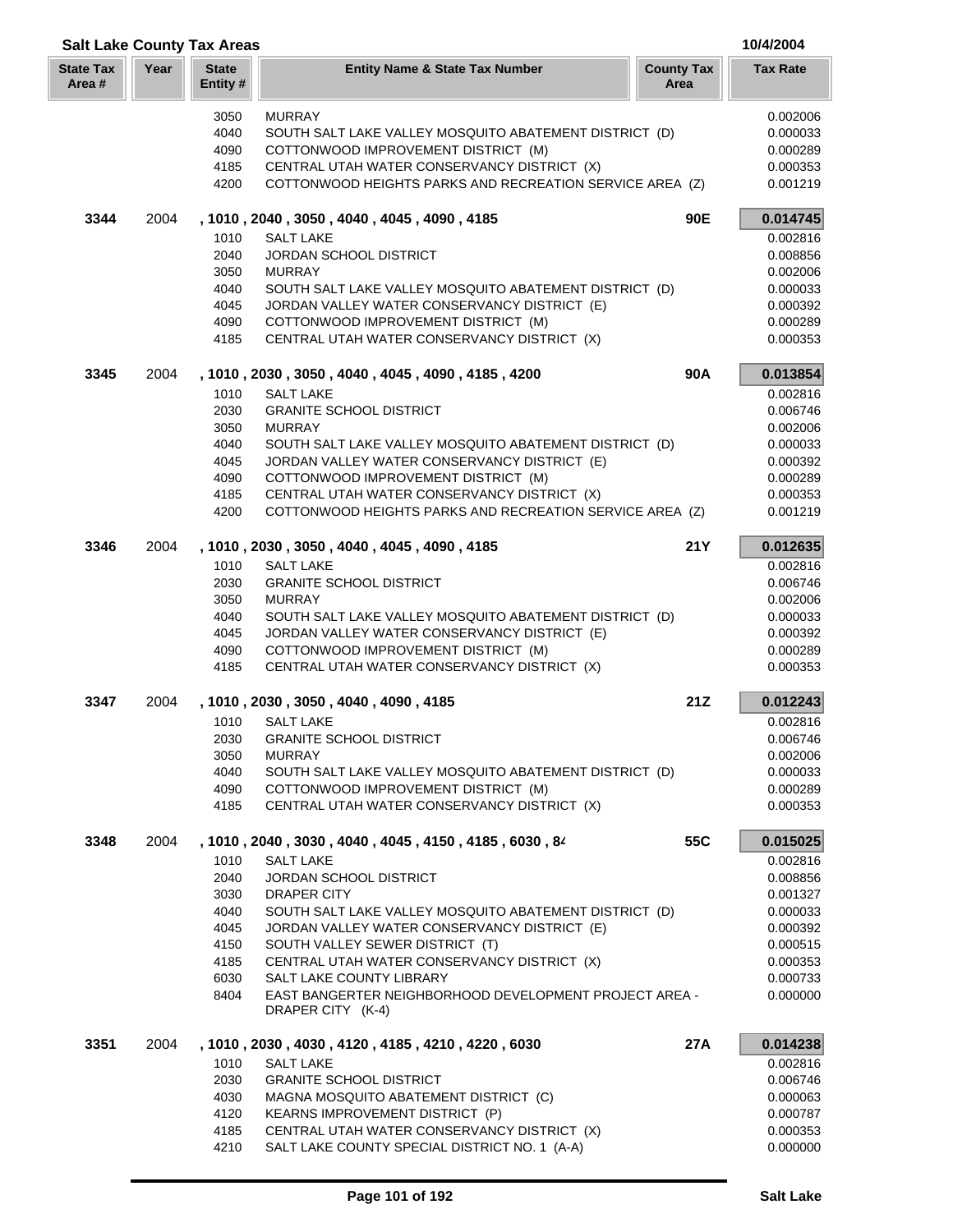|                            | <b>Salt Lake County Tax Areas</b> |                          |                                                                                     |                           |                      |  |
|----------------------------|-----------------------------------|--------------------------|-------------------------------------------------------------------------------------|---------------------------|----------------------|--|
| <b>State Tax</b><br>Area # | Year                              | <b>State</b><br>Entity # | <b>Entity Name &amp; State Tax Number</b>                                           | <b>County Tax</b><br>Area | <b>Tax Rate</b>      |  |
|                            |                                   | 3050                     | <b>MURRAY</b>                                                                       |                           | 0.002006             |  |
|                            |                                   | 4040                     | SOUTH SALT LAKE VALLEY MOSQUITO ABATEMENT DISTRICT (D)                              |                           | 0.000033             |  |
|                            |                                   | 4090                     | COTTONWOOD IMPROVEMENT DISTRICT (M)                                                 |                           | 0.000289             |  |
|                            |                                   | 4185                     | CENTRAL UTAH WATER CONSERVANCY DISTRICT (X)                                         |                           | 0.000353             |  |
|                            |                                   | 4200                     | COTTONWOOD HEIGHTS PARKS AND RECREATION SERVICE AREA (Z)                            |                           | 0.001219             |  |
| 3344                       | 2004                              |                          | , 1010, 2040, 3050, 4040, 4045, 4090, 4185                                          | 90E                       | 0.014745             |  |
|                            |                                   | 1010                     | <b>SALT LAKE</b>                                                                    |                           | 0.002816             |  |
|                            |                                   | 2040                     | <b>JORDAN SCHOOL DISTRICT</b>                                                       |                           | 0.008856             |  |
|                            |                                   | 3050                     | <b>MURRAY</b>                                                                       |                           | 0.002006             |  |
|                            |                                   | 4040                     | SOUTH SALT LAKE VALLEY MOSQUITO ABATEMENT DISTRICT (D)                              |                           | 0.000033             |  |
|                            |                                   | 4045                     | JORDAN VALLEY WATER CONSERVANCY DISTRICT (E)                                        |                           | 0.000392             |  |
|                            |                                   | 4090                     | COTTONWOOD IMPROVEMENT DISTRICT (M)                                                 |                           | 0.000289             |  |
|                            |                                   | 4185                     | CENTRAL UTAH WATER CONSERVANCY DISTRICT (X)                                         |                           | 0.000353             |  |
| 3345                       | 2004                              |                          | , 1010, 2030, 3050, 4040, 4045, 4090, 4185, 4200                                    | 90A                       | 0.013854             |  |
|                            |                                   | 1010                     | <b>SALT LAKE</b>                                                                    |                           | 0.002816             |  |
|                            |                                   | 2030                     | <b>GRANITE SCHOOL DISTRICT</b>                                                      |                           | 0.006746             |  |
|                            |                                   | 3050                     | <b>MURRAY</b>                                                                       |                           | 0.002006             |  |
|                            |                                   | 4040                     | SOUTH SALT LAKE VALLEY MOSQUITO ABATEMENT DISTRICT (D)                              |                           | 0.000033             |  |
|                            |                                   | 4045<br>4090             | JORDAN VALLEY WATER CONSERVANCY DISTRICT (E)<br>COTTONWOOD IMPROVEMENT DISTRICT (M) |                           | 0.000392<br>0.000289 |  |
|                            |                                   | 4185                     | CENTRAL UTAH WATER CONSERVANCY DISTRICT (X)                                         |                           | 0.000353             |  |
|                            |                                   | 4200                     | COTTONWOOD HEIGHTS PARKS AND RECREATION SERVICE AREA (Z)                            |                           | 0.001219             |  |
| 3346                       | 2004                              |                          | , 1010, 2030, 3050, 4040, 4045, 4090, 4185                                          | <b>21Y</b>                | 0.012635             |  |
|                            |                                   | 1010                     | <b>SALT LAKE</b>                                                                    |                           | 0.002816             |  |
|                            |                                   | 2030                     | <b>GRANITE SCHOOL DISTRICT</b>                                                      |                           | 0.006746             |  |
|                            |                                   | 3050                     | <b>MURRAY</b>                                                                       |                           | 0.002006             |  |
|                            |                                   | 4040                     | SOUTH SALT LAKE VALLEY MOSQUITO ABATEMENT DISTRICT (D)                              |                           | 0.000033             |  |
|                            |                                   | 4045                     | JORDAN VALLEY WATER CONSERVANCY DISTRICT (E)                                        |                           | 0.000392             |  |
|                            |                                   | 4090                     | COTTONWOOD IMPROVEMENT DISTRICT (M)                                                 |                           | 0.000289             |  |
|                            |                                   | 4185                     | CENTRAL UTAH WATER CONSERVANCY DISTRICT (X)                                         |                           | 0.000353             |  |
| 3347                       | 2004                              |                          | , 1010, 2030, 3050, 4040, 4090, 4185                                                | 21Z                       | 0.012243             |  |
|                            |                                   | 1010                     | <b>SALT LAKE</b>                                                                    |                           | 0.002816             |  |
|                            |                                   | 2030                     | <b>GRANITE SCHOOL DISTRICT</b>                                                      |                           | 0.006746             |  |
|                            |                                   | 3050                     | <b>MURRAY</b>                                                                       |                           | 0.002006             |  |
|                            |                                   | 4040                     | SOUTH SALT LAKE VALLEY MOSQUITO ABATEMENT DISTRICT (D)                              |                           | 0.000033             |  |
|                            |                                   | 4090<br>4185             | COTTONWOOD IMPROVEMENT DISTRICT (M)<br>CENTRAL UTAH WATER CONSERVANCY DISTRICT (X)  |                           | 0.000289<br>0.000353 |  |
| 3348                       | 2004                              |                          |                                                                                     | 55C                       |                      |  |
|                            |                                   |                          | , 1010, 2040, 3030, 4040, 4045, 4150, 4185, 6030, 84                                |                           | 0.015025             |  |
|                            |                                   | 1010<br>2040             | <b>SALT LAKE</b><br><b>JORDAN SCHOOL DISTRICT</b>                                   |                           | 0.002816<br>0.008856 |  |
|                            |                                   | 3030                     | DRAPER CITY                                                                         |                           | 0.001327             |  |
|                            |                                   | 4040                     | SOUTH SALT LAKE VALLEY MOSQUITO ABATEMENT DISTRICT (D)                              |                           | 0.000033             |  |
|                            |                                   | 4045                     | JORDAN VALLEY WATER CONSERVANCY DISTRICT (E)                                        |                           | 0.000392             |  |
|                            |                                   | 4150                     | SOUTH VALLEY SEWER DISTRICT (T)                                                     |                           | 0.000515             |  |
|                            |                                   | 4185                     | CENTRAL UTAH WATER CONSERVANCY DISTRICT (X)                                         |                           | 0.000353             |  |
|                            |                                   | 6030                     | SALT LAKE COUNTY LIBRARY                                                            |                           | 0.000733             |  |
|                            |                                   | 8404                     | EAST BANGERTER NEIGHBORHOOD DEVELOPMENT PROJECT AREA -<br>DRAPER CITY (K-4)         |                           | 0.000000             |  |
| 3351                       |                                   |                          |                                                                                     | 27A                       |                      |  |
|                            | 2004                              | 1010                     | , 1010, 2030, 4030, 4120, 4185, 4210, 4220, 6030<br><b>SALT LAKE</b>                |                           | 0.014238<br>0.002816 |  |
|                            |                                   | 2030                     | <b>GRANITE SCHOOL DISTRICT</b>                                                      |                           | 0.006746             |  |
|                            |                                   | 4030                     | MAGNA MOSQUITO ABATEMENT DISTRICT (C)                                               |                           | 0.000063             |  |
|                            |                                   | 4120                     | KEARNS IMPROVEMENT DISTRICT (P)                                                     |                           | 0.000787             |  |
|                            |                                   | 4185                     | CENTRAL UTAH WATER CONSERVANCY DISTRICT (X)                                         |                           | 0.000353             |  |
|                            |                                   | 4210                     | SALT LAKE COUNTY SPECIAL DISTRICT NO. 1 (A-A)                                       |                           | 0.000000             |  |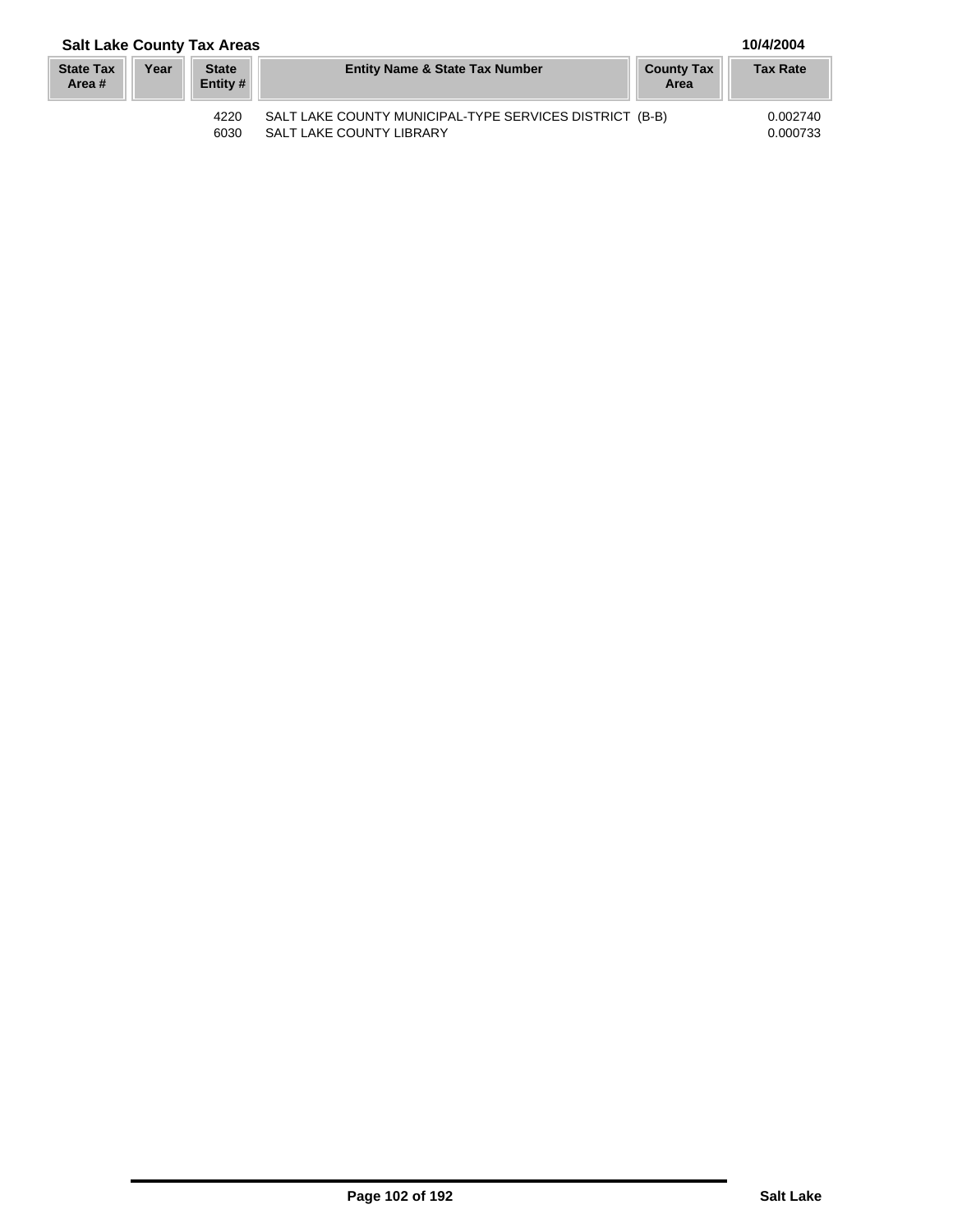| <b>State Tax</b><br>Area # | Year | State<br>Entity # | <b>Entity Name &amp; State Tax Number</b>                                                  | <b>County Tax</b><br>Area | <b>Tax Rate</b>      |
|----------------------------|------|-------------------|--------------------------------------------------------------------------------------------|---------------------------|----------------------|
|                            |      | 4220<br>6030      | SALT LAKE COUNTY MUNICIPAL-TYPE SERVICES DISTRICT (B-B)<br><b>SALT LAKE COUNTY LIBRARY</b> |                           | 0.002740<br>0.000733 |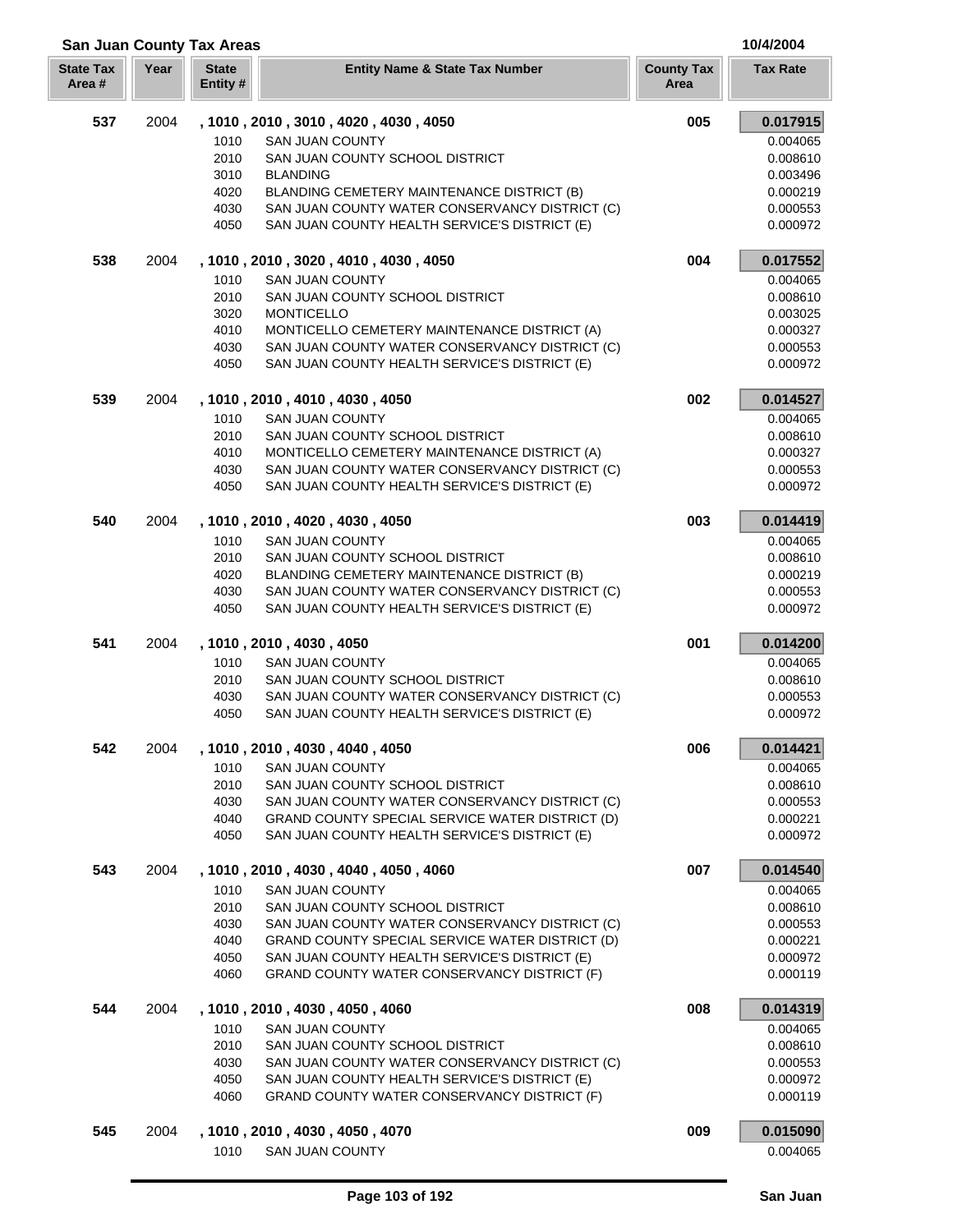| <b>State Tax</b><br>Area# | Year | <b>State</b><br>Entity # | <b>Entity Name &amp; State Tax Number</b>       | <b>County Tax</b><br>Area | <b>Tax Rate</b> |
|---------------------------|------|--------------------------|-------------------------------------------------|---------------------------|-----------------|
| 537                       | 2004 |                          | , 1010, 2010, 3010, 4020, 4030, 4050            | 005                       | 0.017915        |
|                           |      | 1010                     | <b>SAN JUAN COUNTY</b>                          |                           | 0.004065        |
|                           |      | 2010                     | SAN JUAN COUNTY SCHOOL DISTRICT                 |                           | 0.008610        |
|                           |      | 3010                     | <b>BLANDING</b>                                 |                           | 0.003496        |
|                           |      | 4020                     | BLANDING CEMETERY MAINTENANCE DISTRICT (B)      |                           | 0.000219        |
|                           |      | 4030                     | SAN JUAN COUNTY WATER CONSERVANCY DISTRICT (C)  |                           | 0.000553        |
|                           |      | 4050                     | SAN JUAN COUNTY HEALTH SERVICE'S DISTRICT (E)   |                           | 0.000972        |
| 538                       | 2004 |                          | , 1010, 2010, 3020, 4010, 4030, 4050            | 004                       | 0.017552        |
|                           |      | 1010                     | <b>SAN JUAN COUNTY</b>                          |                           | 0.004065        |
|                           |      | 2010                     | SAN JUAN COUNTY SCHOOL DISTRICT                 |                           | 0.008610        |
|                           |      | 3020                     | <b>MONTICELLO</b>                               |                           | 0.003025        |
|                           |      | 4010                     | MONTICELLO CEMETERY MAINTENANCE DISTRICT (A)    |                           | 0.000327        |
|                           |      | 4030                     | SAN JUAN COUNTY WATER CONSERVANCY DISTRICT (C)  |                           | 0.000553        |
|                           |      | 4050                     | SAN JUAN COUNTY HEALTH SERVICE'S DISTRICT (E)   |                           | 0.000972        |
| 539                       | 2004 |                          | , 1010, 2010, 4010, 4030, 4050                  | 002                       | 0.014527        |
|                           |      | 1010                     | <b>SAN JUAN COUNTY</b>                          |                           | 0.004065        |
|                           |      | 2010                     | SAN JUAN COUNTY SCHOOL DISTRICT                 |                           | 0.008610        |
|                           |      | 4010                     | MONTICELLO CEMETERY MAINTENANCE DISTRICT (A)    |                           | 0.000327        |
|                           |      | 4030                     | SAN JUAN COUNTY WATER CONSERVANCY DISTRICT (C)  |                           | 0.000553        |
|                           |      | 4050                     | SAN JUAN COUNTY HEALTH SERVICE'S DISTRICT (E)   |                           | 0.000972        |
| 540                       | 2004 |                          | , 1010, 2010, 4020, 4030, 4050                  | 003                       | 0.014419        |
|                           |      | 1010                     | <b>SAN JUAN COUNTY</b>                          |                           | 0.004065        |
|                           |      | 2010                     | SAN JUAN COUNTY SCHOOL DISTRICT                 |                           | 0.008610        |
|                           |      | 4020                     | BLANDING CEMETERY MAINTENANCE DISTRICT (B)      |                           | 0.000219        |
|                           |      | 4030                     | SAN JUAN COUNTY WATER CONSERVANCY DISTRICT (C)  |                           | 0.000553        |
|                           |      | 4050                     | SAN JUAN COUNTY HEALTH SERVICE'S DISTRICT (E)   |                           | 0.000972        |
| 541                       | 2004 |                          | , 1010, 2010, 4030, 4050                        | 001                       | 0.014200        |
|                           |      | 1010                     | <b>SAN JUAN COUNTY</b>                          |                           | 0.004065        |
|                           |      | 2010                     | SAN JUAN COUNTY SCHOOL DISTRICT                 |                           | 0.008610        |
|                           |      | 4030                     | SAN JUAN COUNTY WATER CONSERVANCY DISTRICT (C)  |                           | 0.000553        |
|                           |      | 4050                     | SAN JUAN COUNTY HEALTH SERVICE'S DISTRICT (E)   |                           | 0.000972        |
| 542                       | 2004 |                          | , 1010, 2010, 4030, 4040, 4050                  | 006                       | 0.014421        |
|                           |      | 1010                     | <b>SAN JUAN COUNTY</b>                          |                           | 0.004065        |
|                           |      | 2010                     | SAN JUAN COUNTY SCHOOL DISTRICT                 |                           | 0.008610        |
|                           |      | 4030                     | SAN JUAN COUNTY WATER CONSERVANCY DISTRICT (C)  |                           | 0.000553        |
|                           |      | 4040                     | GRAND COUNTY SPECIAL SERVICE WATER DISTRICT (D) |                           | 0.000221        |
|                           |      | 4050                     | SAN JUAN COUNTY HEALTH SERVICE'S DISTRICT (E)   |                           | 0.000972        |
| 543                       | 2004 |                          | , 1010, 2010, 4030, 4040, 4050, 4060            | 007                       | 0.014540        |
|                           |      | 1010                     | <b>SAN JUAN COUNTY</b>                          |                           | 0.004065        |
|                           |      | 2010                     | SAN JUAN COUNTY SCHOOL DISTRICT                 |                           | 0.008610        |
|                           |      | 4030                     | SAN JUAN COUNTY WATER CONSERVANCY DISTRICT (C)  |                           | 0.000553        |
|                           |      | 4040                     | GRAND COUNTY SPECIAL SERVICE WATER DISTRICT (D) |                           | 0.000221        |
|                           |      | 4050                     | SAN JUAN COUNTY HEALTH SERVICE'S DISTRICT (E)   |                           | 0.000972        |
|                           |      | 4060                     | GRAND COUNTY WATER CONSERVANCY DISTRICT (F)     |                           | 0.000119        |
| 544                       | 2004 |                          | , 1010, 2010, 4030, 4050, 4060                  | 008                       | 0.014319        |
|                           |      | 1010                     | <b>SAN JUAN COUNTY</b>                          |                           | 0.004065        |
|                           |      | 2010                     | SAN JUAN COUNTY SCHOOL DISTRICT                 |                           | 0.008610        |
|                           |      | 4030                     | SAN JUAN COUNTY WATER CONSERVANCY DISTRICT (C)  |                           | 0.000553        |
|                           |      | 4050                     | SAN JUAN COUNTY HEALTH SERVICE'S DISTRICT (E)   |                           | 0.000972        |
|                           |      | 4060                     | GRAND COUNTY WATER CONSERVANCY DISTRICT (F)     |                           | 0.000119        |

# 2004 **, 1010 , 2010 , 4030 , 4050 , 4070 009 0.015090** 1010 SAN JUAN COUNTY **1010** SAN JUAN COUNTY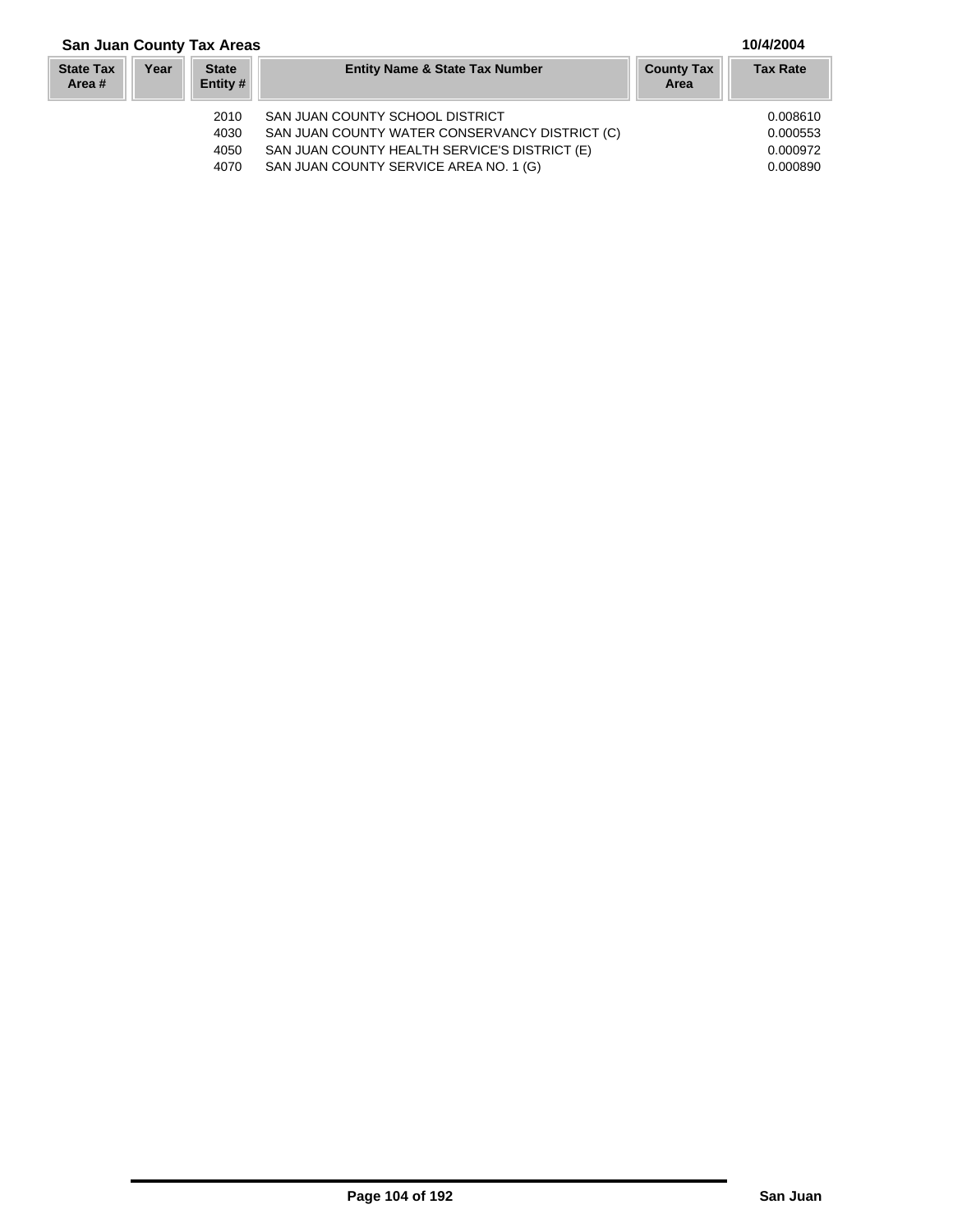### **San Juan County Tax Areas 10/4/2004**

#### **Year Entity Name & State Tax Number County Tax Tax Rate Area State Tax Area # State Entity #** 2010 SAN JUAN COUNTY SCHOOL DISTRICT 0.008610 4030 SAN JUAN COUNTY WATER CONSERVANCY DISTRICT (C) 6.000553<br>4050 SAN JUAN COUNTY HEALTH SERVICE'S DISTRICT (E) 0.000972 SAN JUAN COUNTY HEALTH SERVICE'S DISTRICT (E) 4070 SAN JUAN COUNTY SERVICE AREA NO. 1 (G) 0.000890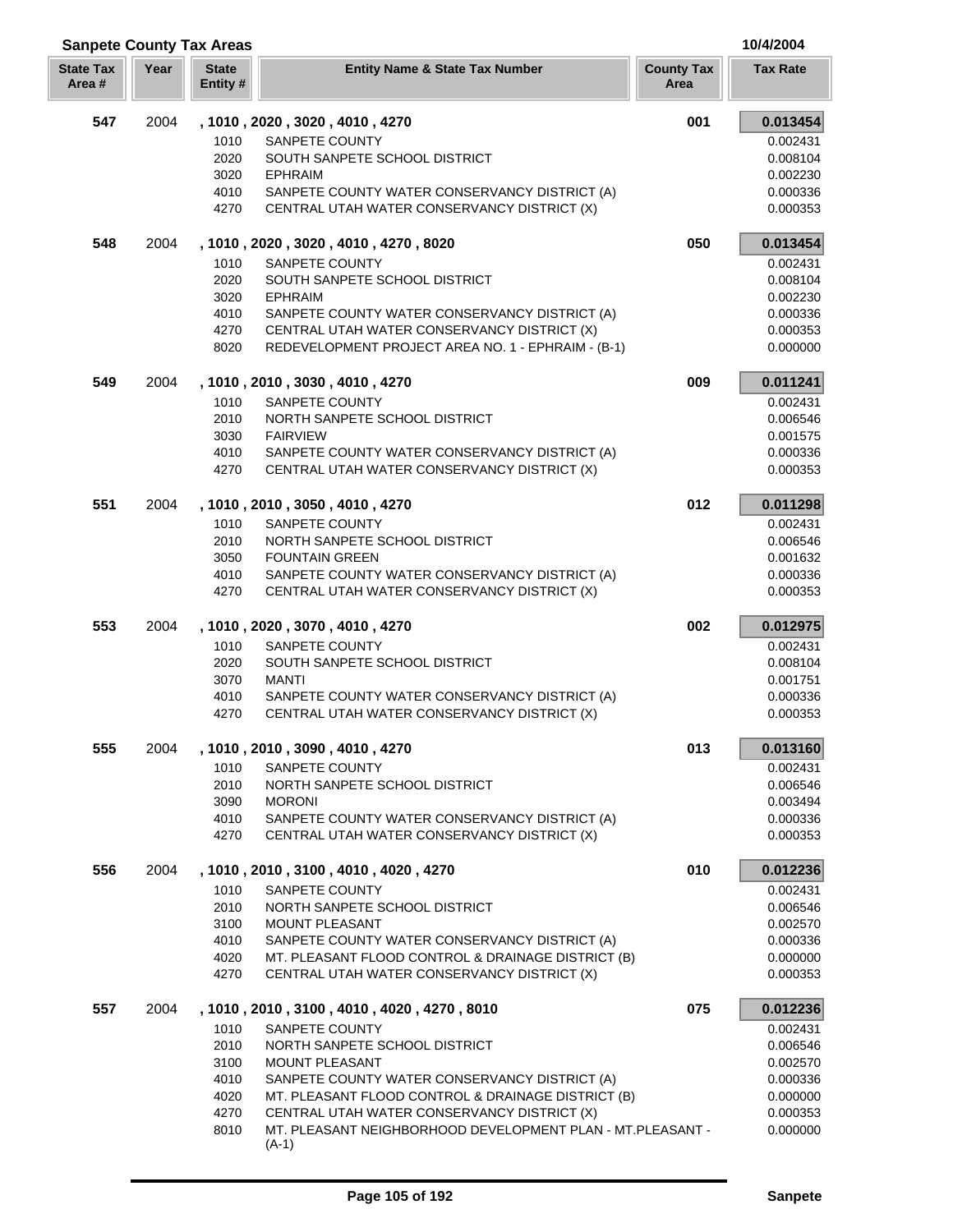| <b>Sanpete County Tax Areas</b> |      |                          |                                                                                                   |                           | 10/4/2004            |
|---------------------------------|------|--------------------------|---------------------------------------------------------------------------------------------------|---------------------------|----------------------|
| <b>State Tax</b><br>Area #      | Year | <b>State</b><br>Entity # | <b>Entity Name &amp; State Tax Number</b>                                                         | <b>County Tax</b><br>Area | <b>Tax Rate</b>      |
| 547                             | 2004 |                          | , 1010, 2020, 3020, 4010, 4270                                                                    | 001                       | 0.013454             |
|                                 |      | 1010                     | SANPETE COUNTY                                                                                    |                           | 0.002431             |
|                                 |      | 2020                     | SOUTH SANPETE SCHOOL DISTRICT                                                                     |                           | 0.008104             |
|                                 |      | 3020                     | <b>EPHRAIM</b>                                                                                    |                           | 0.002230             |
|                                 |      | 4010                     | SANPETE COUNTY WATER CONSERVANCY DISTRICT (A)                                                     |                           | 0.000336             |
|                                 |      | 4270                     | CENTRAL UTAH WATER CONSERVANCY DISTRICT (X)                                                       |                           | 0.000353             |
| 548                             | 2004 |                          | , 1010, 2020, 3020, 4010, 4270, 8020                                                              | 050                       | 0.013454             |
|                                 |      | 1010                     | SANPETE COUNTY                                                                                    |                           | 0.002431             |
|                                 |      | 2020                     | SOUTH SANPETE SCHOOL DISTRICT                                                                     |                           | 0.008104             |
|                                 |      | 3020                     | <b>EPHRAIM</b>                                                                                    |                           | 0.002230             |
|                                 |      | 4010                     | SANPETE COUNTY WATER CONSERVANCY DISTRICT (A)                                                     |                           | 0.000336             |
|                                 |      | 4270                     | CENTRAL UTAH WATER CONSERVANCY DISTRICT (X)                                                       |                           | 0.000353             |
|                                 |      | 8020                     | REDEVELOPMENT PROJECT AREA NO. 1 - EPHRAIM - (B-1)                                                |                           | 0.000000             |
| 549                             | 2004 |                          | , 1010, 2010, 3030, 4010, 4270                                                                    | 009                       | 0.011241             |
|                                 |      | 1010                     | SANPETE COUNTY                                                                                    |                           | 0.002431             |
|                                 |      | 2010                     | NORTH SANPETE SCHOOL DISTRICT                                                                     |                           | 0.006546             |
|                                 |      | 3030                     | <b>FAIRVIEW</b>                                                                                   |                           | 0.001575             |
|                                 |      | 4010<br>4270             | SANPETE COUNTY WATER CONSERVANCY DISTRICT (A)<br>CENTRAL UTAH WATER CONSERVANCY DISTRICT (X)      |                           | 0.000336<br>0.000353 |
| 551                             | 2004 |                          | , 1010, 2010, 3050, 4010, 4270                                                                    | 012                       | 0.011298             |
|                                 |      | 1010                     | SANPETE COUNTY                                                                                    |                           | 0.002431             |
|                                 |      | 2010                     | NORTH SANPETE SCHOOL DISTRICT                                                                     |                           | 0.006546             |
|                                 |      | 3050                     | <b>FOUNTAIN GREEN</b>                                                                             |                           | 0.001632             |
|                                 |      | 4010                     | SANPETE COUNTY WATER CONSERVANCY DISTRICT (A)                                                     |                           | 0.000336             |
|                                 |      | 4270                     | CENTRAL UTAH WATER CONSERVANCY DISTRICT (X)                                                       |                           | 0.000353             |
| 553                             | 2004 |                          | , 1010, 2020, 3070, 4010, 4270                                                                    | 002                       | 0.012975             |
|                                 |      | 1010                     | SANPETE COUNTY                                                                                    |                           | 0.002431             |
|                                 |      | 2020                     | SOUTH SANPETE SCHOOL DISTRICT                                                                     |                           | 0.008104             |
|                                 |      | 3070                     | <b>MANTI</b>                                                                                      |                           | 0.001751             |
|                                 |      | 4010                     | SANPETE COUNTY WATER CONSERVANCY DISTRICT (A)                                                     |                           | 0.000336             |
|                                 |      | 4270                     | CENTRAL UTAH WATER CONSERVANCY DISTRICT (X)                                                       |                           | 0.000353             |
| 555                             | 2004 |                          | , 1010, 2010, 3090, 4010, 4270                                                                    | 013                       | 0.013160             |
|                                 |      | 1010                     | SANPETE COUNTY                                                                                    |                           | 0.002431             |
|                                 |      | 2010                     | NORTH SANPETE SCHOOL DISTRICT                                                                     |                           | 0.006546             |
|                                 |      | 3090                     | <b>MORONI</b>                                                                                     |                           | 0.003494             |
|                                 |      | 4010                     | SANPETE COUNTY WATER CONSERVANCY DISTRICT (A)                                                     |                           | 0.000336             |
|                                 |      | 4270                     | CENTRAL UTAH WATER CONSERVANCY DISTRICT (X)                                                       |                           | 0.000353             |
| 556                             | 2004 |                          | , 1010, 2010, 3100, 4010, 4020, 4270                                                              | 010                       | 0.012236             |
|                                 |      | 1010                     | SANPETE COUNTY                                                                                    |                           | 0.002431             |
|                                 |      | 2010                     | NORTH SANPETE SCHOOL DISTRICT                                                                     |                           | 0.006546             |
|                                 |      | 3100                     | <b>MOUNT PLEASANT</b>                                                                             |                           | 0.002570             |
|                                 |      | 4010                     | SANPETE COUNTY WATER CONSERVANCY DISTRICT (A)                                                     |                           | 0.000336             |
|                                 |      | 4020<br>4270             | MT. PLEASANT FLOOD CONTROL & DRAINAGE DISTRICT (B)<br>CENTRAL UTAH WATER CONSERVANCY DISTRICT (X) |                           | 0.000000<br>0.000353 |
|                                 |      |                          |                                                                                                   |                           |                      |
| 557                             | 2004 |                          | , 1010, 2010, 3100, 4010, 4020, 4270, 8010                                                        | 075                       | 0.012236             |
|                                 |      | 1010                     | SANPETE COUNTY                                                                                    |                           | 0.002431             |
|                                 |      | 2010                     | NORTH SANPETE SCHOOL DISTRICT                                                                     |                           | 0.006546             |
|                                 |      | 3100<br>4010             | <b>MOUNT PLEASANT</b><br>SANPETE COUNTY WATER CONSERVANCY DISTRICT (A)                            |                           | 0.002570<br>0.000336 |
|                                 |      | 4020                     | MT. PLEASANT FLOOD CONTROL & DRAINAGE DISTRICT (B)                                                |                           | 0.000000             |
|                                 |      | 4270                     | CENTRAL UTAH WATER CONSERVANCY DISTRICT (X)                                                       |                           | 0.000353             |
|                                 |      | 8010                     | MT. PLEASANT NEIGHBORHOOD DEVELOPMENT PLAN - MT.PLEASANT -                                        |                           | 0.000000             |
|                                 |      |                          | $(A-1)$                                                                                           |                           |                      |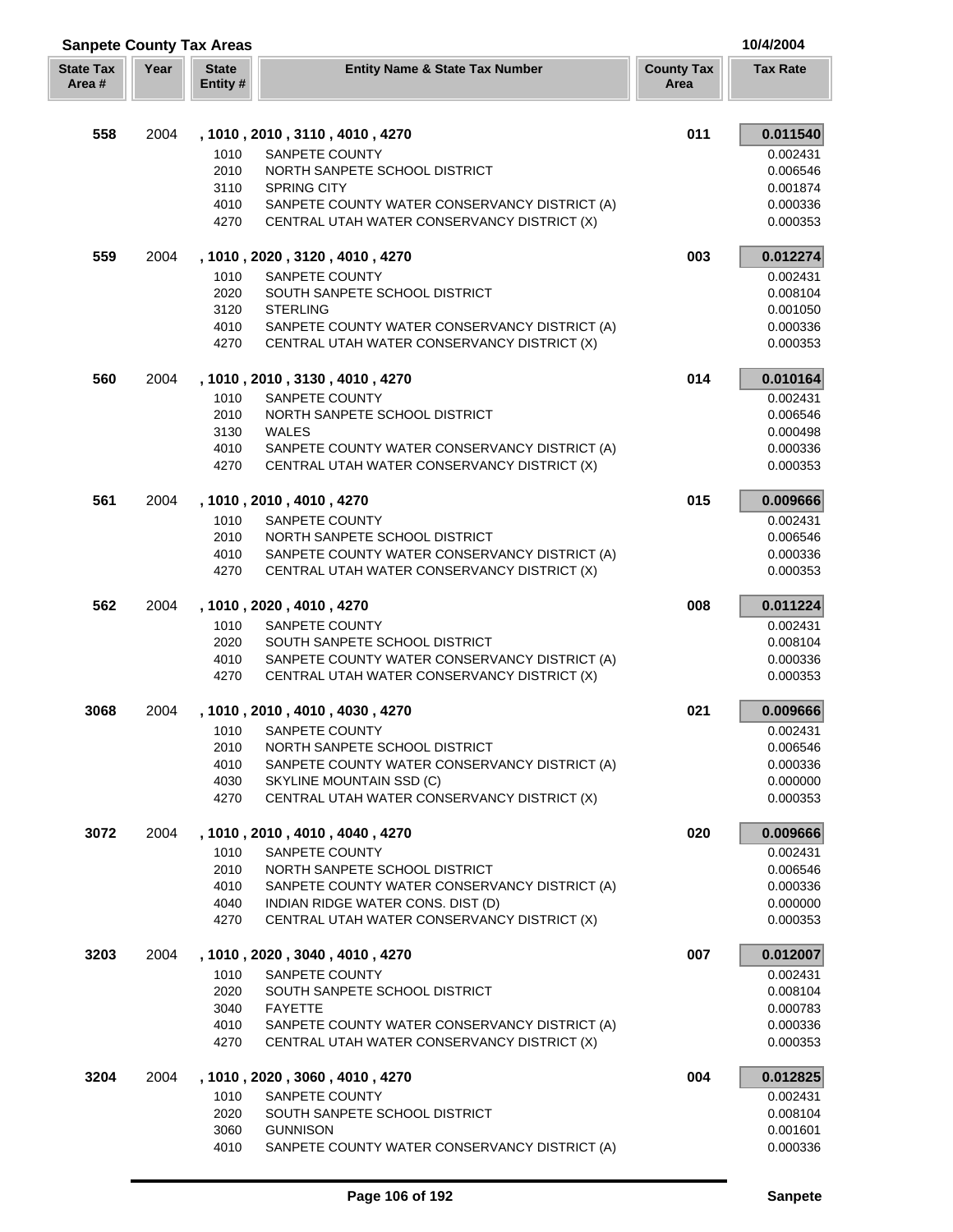| <b>Sanpete County Tax Areas</b><br>10/4/2004 |      |                          |                                                                                              |                           |                      |
|----------------------------------------------|------|--------------------------|----------------------------------------------------------------------------------------------|---------------------------|----------------------|
| <b>State Tax</b><br>Area #                   | Year | <b>State</b><br>Entity # | <b>Entity Name &amp; State Tax Number</b>                                                    | <b>County Tax</b><br>Area | <b>Tax Rate</b>      |
| 558                                          | 2004 |                          | , 1010, 2010, 3110, 4010, 4270                                                               | 011                       | 0.011540             |
|                                              |      | 1010                     | SANPETE COUNTY                                                                               |                           | 0.002431             |
|                                              |      | 2010                     | NORTH SANPETE SCHOOL DISTRICT                                                                |                           | 0.006546             |
|                                              |      | 3110                     | <b>SPRING CITY</b>                                                                           |                           | 0.001874             |
|                                              |      | 4010                     | SANPETE COUNTY WATER CONSERVANCY DISTRICT (A)                                                |                           | 0.000336             |
|                                              |      | 4270                     | CENTRAL UTAH WATER CONSERVANCY DISTRICT (X)                                                  |                           | 0.000353             |
| 559                                          | 2004 |                          | , 1010, 2020, 3120, 4010, 4270                                                               | 003                       | 0.012274             |
|                                              |      | 1010                     | SANPETE COUNTY                                                                               |                           | 0.002431             |
|                                              |      | 2020                     | SOUTH SANPETE SCHOOL DISTRICT                                                                |                           | 0.008104             |
|                                              |      | 3120                     | <b>STERLING</b>                                                                              |                           | 0.001050             |
|                                              |      | 4010                     | SANPETE COUNTY WATER CONSERVANCY DISTRICT (A)                                                |                           | 0.000336             |
|                                              |      | 4270                     | CENTRAL UTAH WATER CONSERVANCY DISTRICT (X)                                                  |                           | 0.000353             |
| 560                                          | 2004 |                          | , 1010 , 2010 , 3130 , 4010 , 4270                                                           | 014                       | 0.010164             |
|                                              |      | 1010                     | SANPETE COUNTY                                                                               |                           | 0.002431             |
|                                              |      | 2010                     | NORTH SANPETE SCHOOL DISTRICT                                                                |                           | 0.006546             |
|                                              |      | 3130                     | WALES                                                                                        |                           | 0.000498             |
|                                              |      | 4010<br>4270             | SANPETE COUNTY WATER CONSERVANCY DISTRICT (A)<br>CENTRAL UTAH WATER CONSERVANCY DISTRICT (X) |                           | 0.000336<br>0.000353 |
| 561                                          | 2004 |                          | , 1010, 2010, 4010, 4270                                                                     | 015                       | 0.009666             |
|                                              |      | 1010                     | SANPETE COUNTY                                                                               |                           | 0.002431             |
|                                              |      | 2010                     | NORTH SANPETE SCHOOL DISTRICT                                                                |                           | 0.006546             |
|                                              |      | 4010                     | SANPETE COUNTY WATER CONSERVANCY DISTRICT (A)                                                |                           | 0.000336             |
|                                              |      | 4270                     | CENTRAL UTAH WATER CONSERVANCY DISTRICT (X)                                                  |                           | 0.000353             |
| 562                                          | 2004 |                          | , 1010, 2020, 4010, 4270                                                                     | 008                       | 0.011224             |
|                                              |      | 1010                     | SANPETE COUNTY                                                                               |                           | 0.002431             |
|                                              |      | 2020                     | SOUTH SANPETE SCHOOL DISTRICT                                                                |                           | 0.008104             |
|                                              |      | 4010                     | SANPETE COUNTY WATER CONSERVANCY DISTRICT (A)                                                |                           | 0.000336             |
|                                              |      | 4270                     | CENTRAL UTAH WATER CONSERVANCY DISTRICT (X)                                                  |                           | 0.000353             |
| 3068                                         | 2004 |                          | , 1010, 2010, 4010, 4030, 4270                                                               | 021                       | 0.009666             |
|                                              |      |                          | 1010 SANPETE COUNTY                                                                          |                           | 0.002431             |
|                                              |      | 2010                     | NORTH SANPETE SCHOOL DISTRICT                                                                |                           | 0.006546             |
|                                              |      | 4010<br>4030             | SANPETE COUNTY WATER CONSERVANCY DISTRICT (A)<br>SKYLINE MOUNTAIN SSD (C)                    |                           | 0.000336<br>0.000000 |
|                                              |      | 4270                     | CENTRAL UTAH WATER CONSERVANCY DISTRICT (X)                                                  |                           | 0.000353             |
| 3072                                         | 2004 |                          | , 1010, 2010, 4010, 4040, 4270                                                               | 020                       | 0.009666             |
|                                              |      | 1010                     | SANPETE COUNTY                                                                               |                           | 0.002431             |
|                                              |      | 2010                     | NORTH SANPETE SCHOOL DISTRICT                                                                |                           | 0.006546             |
|                                              |      | 4010                     | SANPETE COUNTY WATER CONSERVANCY DISTRICT (A)                                                |                           | 0.000336             |
|                                              |      | 4040<br>4270             | INDIAN RIDGE WATER CONS. DIST (D)<br>CENTRAL UTAH WATER CONSERVANCY DISTRICT (X)             |                           | 0.000000<br>0.000353 |
| 3203                                         | 2004 |                          | , 1010 , 2020 , 3040 , 4010 , 4270                                                           | 007                       | 0.012007             |
|                                              |      | 1010                     | SANPETE COUNTY                                                                               |                           | 0.002431             |
|                                              |      | 2020                     | SOUTH SANPETE SCHOOL DISTRICT                                                                |                           | 0.008104             |
|                                              |      | 3040                     | <b>FAYETTE</b>                                                                               |                           | 0.000783             |
|                                              |      | 4010                     | SANPETE COUNTY WATER CONSERVANCY DISTRICT (A)                                                |                           | 0.000336             |
|                                              |      | 4270                     | CENTRAL UTAH WATER CONSERVANCY DISTRICT (X)                                                  |                           | 0.000353             |
| 3204                                         | 2004 |                          | , 1010, 2020, 3060, 4010, 4270                                                               | 004                       | 0.012825             |
|                                              |      | 1010                     | SANPETE COUNTY                                                                               |                           | 0.002431             |
|                                              |      | 2020                     | SOUTH SANPETE SCHOOL DISTRICT                                                                |                           | 0.008104             |
|                                              |      | 3060                     | <b>GUNNISON</b>                                                                              |                           | 0.001601             |
|                                              |      | 4010                     | SANPETE COUNTY WATER CONSERVANCY DISTRICT (A)                                                |                           | 0.000336             |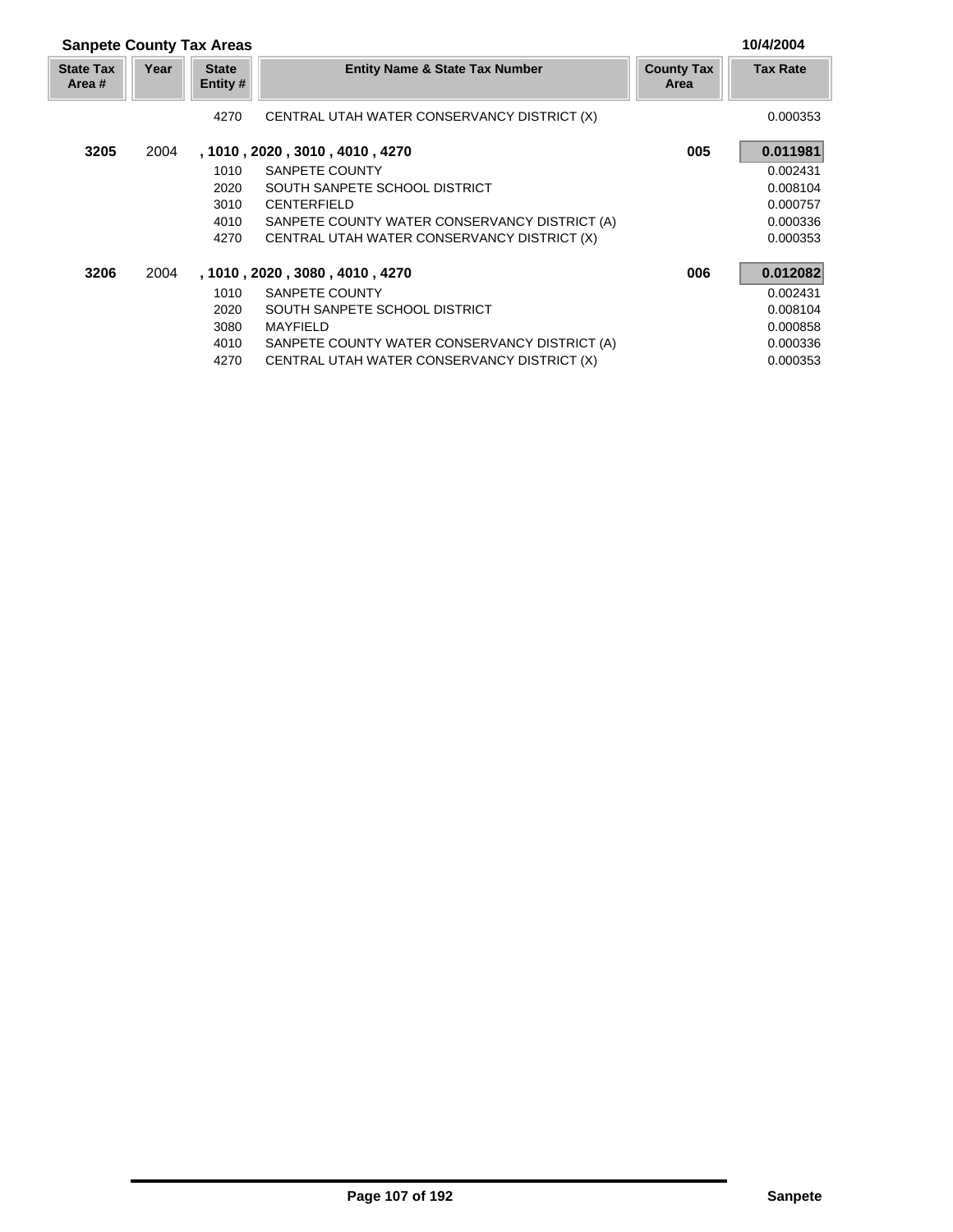| <b>Sanpete County Tax Areas</b> |      | 10/4/2004                |                                               |                           |                 |
|---------------------------------|------|--------------------------|-----------------------------------------------|---------------------------|-----------------|
| <b>State Tax</b><br>Area #      | Year | <b>State</b><br>Entity # | <b>Entity Name &amp; State Tax Number</b>     | <b>County Tax</b><br>Area | <b>Tax Rate</b> |
|                                 |      | 4270                     | CENTRAL UTAH WATER CONSERVANCY DISTRICT (X)   |                           | 0.000353        |
| 3205                            | 2004 |                          | , 1010 , 2020 , 3010 , 4010 , 4270            | 005                       | 0.011981        |
|                                 |      | 1010                     | SANPETE COUNTY                                |                           | 0.002431        |
|                                 |      | 2020                     | SOUTH SANPETE SCHOOL DISTRICT                 |                           | 0.008104        |
|                                 |      | 3010                     | <b>CENTERFIELD</b>                            |                           | 0.000757        |
|                                 |      | 4010                     | SANPETE COUNTY WATER CONSERVANCY DISTRICT (A) |                           | 0.000336        |
|                                 |      | 4270                     | CENTRAL UTAH WATER CONSERVANCY DISTRICT (X)   |                           | 0.000353        |
| 3206                            | 2004 |                          | , 1010 , 2020 , 3080 , 4010 , 4270            | 006                       | 0.012082        |
|                                 |      | 1010                     | SANPETE COUNTY                                |                           | 0.002431        |
|                                 |      | 2020                     | SOUTH SANPETE SCHOOL DISTRICT                 |                           | 0.008104        |
|                                 |      | 3080                     | <b>MAYFIELD</b>                               |                           | 0.000858        |
|                                 |      | 4010                     | SANPETE COUNTY WATER CONSERVANCY DISTRICT (A) |                           | 0.000336        |
|                                 |      | 4270                     | CENTRAL UTAH WATER CONSERVANCY DISTRICT (X)   |                           | 0.000353        |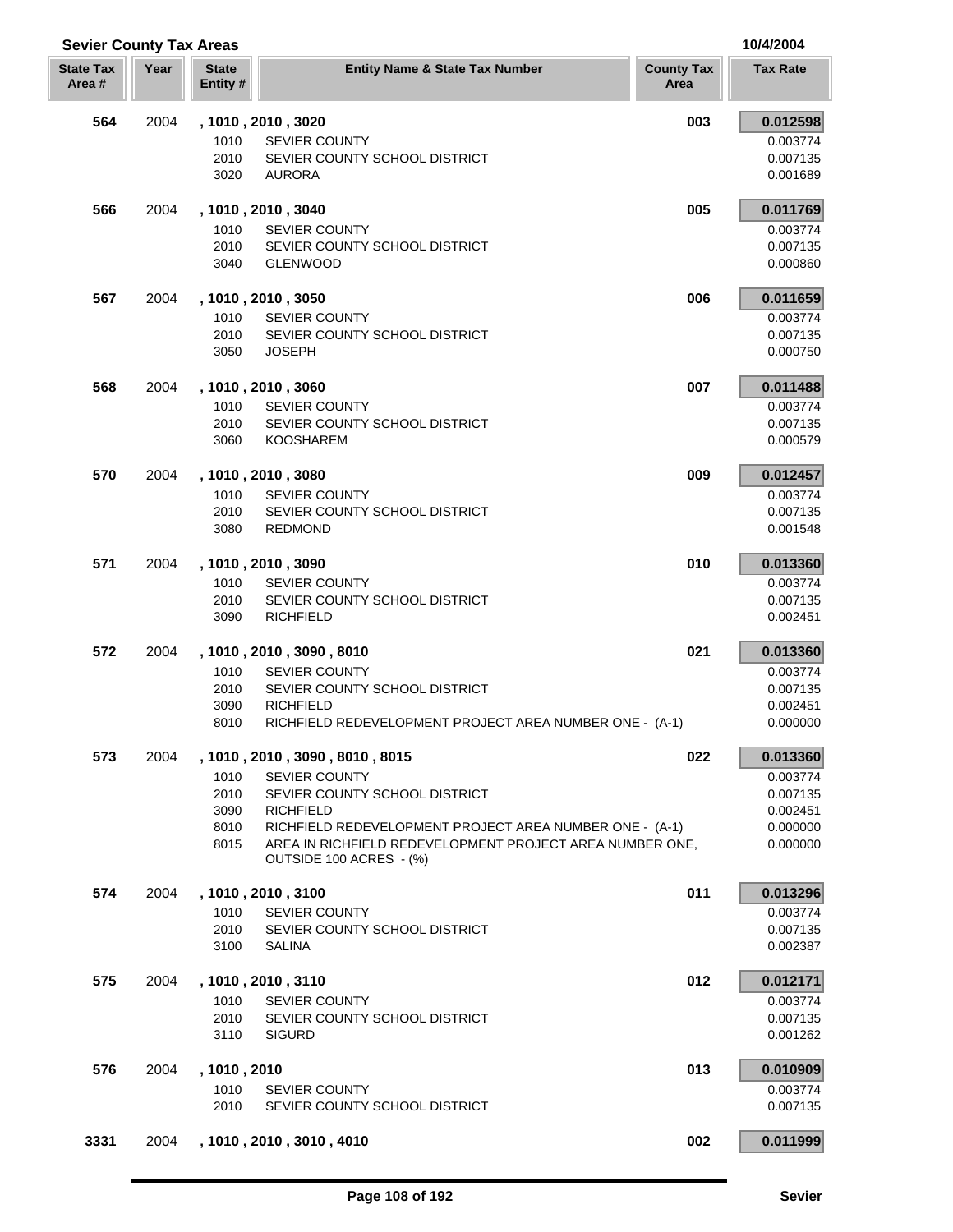| <b>Sevier County Tax Areas</b> |      |                          |                                                          |                           | 10/4/2004            |
|--------------------------------|------|--------------------------|----------------------------------------------------------|---------------------------|----------------------|
| <b>State Tax</b><br>Area #     | Year | <b>State</b><br>Entity # | <b>Entity Name &amp; State Tax Number</b>                | <b>County Tax</b><br>Area | <b>Tax Rate</b>      |
| 564                            | 2004 |                          | , 1010, 2010, 3020                                       | 003                       | 0.012598             |
|                                |      | 1010                     | <b>SEVIER COUNTY</b>                                     |                           | 0.003774             |
|                                |      | 2010                     | SEVIER COUNTY SCHOOL DISTRICT                            |                           | 0.007135             |
|                                |      | 3020                     | <b>AURORA</b>                                            |                           | 0.001689             |
| 566                            | 2004 |                          | , 1010 , 2010 , 3040                                     | 005                       | 0.011769             |
|                                |      | 1010                     | <b>SEVIER COUNTY</b>                                     |                           | 0.003774             |
|                                |      | 2010                     | SEVIER COUNTY SCHOOL DISTRICT                            |                           | 0.007135             |
|                                |      | 3040                     | <b>GLENWOOD</b>                                          |                           | 0.000860             |
| 567                            | 2004 |                          | , 1010 , 2010 , 3050                                     | 006                       | 0.011659             |
|                                |      | 1010                     | <b>SEVIER COUNTY</b>                                     |                           | 0.003774             |
|                                |      | 2010                     | SEVIER COUNTY SCHOOL DISTRICT                            |                           | 0.007135             |
|                                |      | 3050                     | <b>JOSEPH</b>                                            |                           | 0.000750             |
| 568                            | 2004 |                          | , 1010, 2010, 3060                                       | 007                       | 0.011488             |
|                                |      | 1010                     | <b>SEVIER COUNTY</b>                                     |                           | 0.003774             |
|                                |      | 2010                     | SEVIER COUNTY SCHOOL DISTRICT                            |                           | 0.007135             |
|                                |      | 3060                     | <b>KOOSHAREM</b>                                         |                           | 0.000579             |
| 570                            | 2004 |                          | , 1010, 2010, 3080                                       | 009                       | 0.012457             |
|                                |      | 1010                     | <b>SEVIER COUNTY</b>                                     |                           | 0.003774             |
|                                |      | 2010                     | SEVIER COUNTY SCHOOL DISTRICT                            |                           | 0.007135             |
|                                |      | 3080                     | <b>REDMOND</b>                                           |                           | 0.001548             |
| 571                            | 2004 |                          | , 1010 , 2010 , 3090                                     | 010                       | 0.013360             |
|                                |      | 1010                     | <b>SEVIER COUNTY</b>                                     |                           | 0.003774             |
|                                |      | 2010                     | SEVIER COUNTY SCHOOL DISTRICT                            |                           | 0.007135             |
|                                |      | 3090                     | <b>RICHFIELD</b>                                         |                           | 0.002451             |
| 572                            | 2004 |                          | , 1010, 2010, 3090, 8010                                 | 021                       | 0.013360             |
|                                |      | 1010                     | <b>SEVIER COUNTY</b>                                     |                           | 0.003774             |
|                                |      | 2010                     | SEVIER COUNTY SCHOOL DISTRICT                            |                           | 0.007135             |
|                                |      | 3090                     | <b>RICHFIELD</b>                                         |                           | 0.002451             |
|                                |      | 8010                     | RICHFIELD REDEVELOPMENT PROJECT AREA NUMBER ONE - (A-1)  |                           | 0.000000             |
| 573                            | 2004 |                          | , 1010 , 2010 , 3090 , 8010 , 8015                       | 022                       | 0.013360             |
|                                |      | 1010                     | <b>SEVIER COUNTY</b>                                     |                           | 0.003774             |
|                                |      | 2010<br>3090             | SEVIER COUNTY SCHOOL DISTRICT<br><b>RICHFIELD</b>        |                           | 0.007135<br>0.002451 |
|                                |      | 8010                     | RICHFIELD REDEVELOPMENT PROJECT AREA NUMBER ONE - (A-1)  |                           | 0.000000             |
|                                |      | 8015                     | AREA IN RICHFIELD REDEVELOPMENT PROJECT AREA NUMBER ONE. |                           | 0.000000             |
|                                |      |                          | OUTSIDE 100 ACRES - (%)                                  |                           |                      |
| 574                            | 2004 |                          | , 1010 , 2010 , 3100                                     | 011                       | 0.013296             |
|                                |      | 1010                     | <b>SEVIER COUNTY</b>                                     |                           | 0.003774             |
|                                |      | 2010                     | SEVIER COUNTY SCHOOL DISTRICT                            |                           | 0.007135             |
|                                |      | 3100                     | <b>SALINA</b>                                            |                           | 0.002387             |
| 575                            | 2004 |                          | , 1010, 2010, 3110                                       | 012                       | 0.012171             |
|                                |      | 1010                     | <b>SEVIER COUNTY</b>                                     |                           | 0.003774             |
|                                |      | 2010                     | SEVIER COUNTY SCHOOL DISTRICT                            |                           | 0.007135             |
|                                |      | 3110                     | <b>SIGURD</b>                                            |                           | 0.001262             |
| 576                            | 2004 | , 1010, 2010             |                                                          | 013                       | 0.010909             |
|                                |      | 1010                     | <b>SEVIER COUNTY</b>                                     |                           | 0.003774             |
|                                |      | 2010                     | SEVIER COUNTY SCHOOL DISTRICT                            |                           | 0.007135             |
| 3331                           |      |                          | 2004 , 1010, 2010, 3010, 4010                            | 002                       | 0.011999             |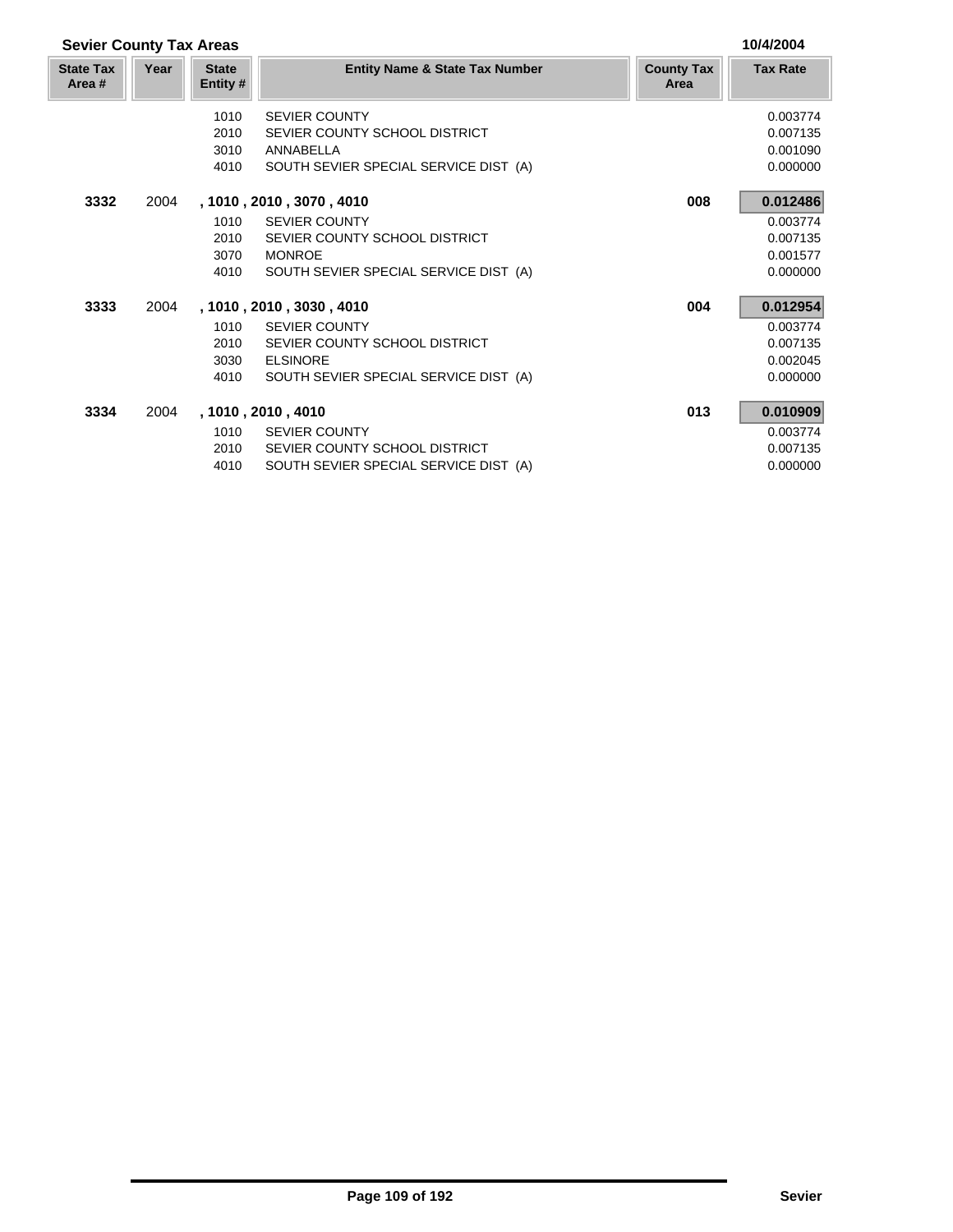| <b>Sevier County Tax Areas</b> |      |                          |                                           |                           | 10/4/2004       |
|--------------------------------|------|--------------------------|-------------------------------------------|---------------------------|-----------------|
| <b>State Tax</b><br>Area #     | Year | <b>State</b><br>Entity # | <b>Entity Name &amp; State Tax Number</b> | <b>County Tax</b><br>Area | <b>Tax Rate</b> |
|                                |      | 1010                     | <b>SEVIER COUNTY</b>                      |                           | 0.003774        |
|                                |      | 2010                     | SEVIER COUNTY SCHOOL DISTRICT             |                           | 0.007135        |
|                                |      | 3010                     | ANNABELLA                                 |                           | 0.001090        |
|                                |      | 4010                     | SOUTH SEVIER SPECIAL SERVICE DIST (A)     |                           | 0.000000        |
| 3332                           | 2004 |                          | , 1010 , 2010 , 3070 , 4010               | 008                       | 0.012486        |
|                                |      | 1010                     | <b>SEVIER COUNTY</b>                      |                           | 0.003774        |
|                                |      | 2010                     | SEVIER COUNTY SCHOOL DISTRICT             |                           | 0.007135        |
|                                |      | 3070                     | <b>MONROE</b>                             |                           | 0.001577        |
|                                |      | 4010                     | SOUTH SEVIER SPECIAL SERVICE DIST (A)     |                           | 0.000000        |
| 3333                           | 2004 |                          | , 1010 , 2010 , 3030 , 4010               | 004                       | 0.012954        |
|                                |      | 1010                     | <b>SEVIER COUNTY</b>                      |                           | 0.003774        |
|                                |      | 2010                     | SEVIER COUNTY SCHOOL DISTRICT             |                           | 0.007135        |
|                                |      | 3030                     | <b>ELSINORE</b>                           |                           | 0.002045        |
|                                |      | 4010                     | SOUTH SEVIER SPECIAL SERVICE DIST (A)     |                           | 0.000000        |
| 3334                           | 2004 |                          | , 1010 , 2010 , 4010                      | 013                       | 0.010909        |
|                                |      | 1010                     | <b>SEVIER COUNTY</b>                      |                           | 0.003774        |
|                                |      | 2010                     | SEVIER COUNTY SCHOOL DISTRICT             |                           | 0.007135        |
|                                |      | 4010                     | SOUTH SEVIER SPECIAL SERVICE DIST (A)     |                           | 0.000000        |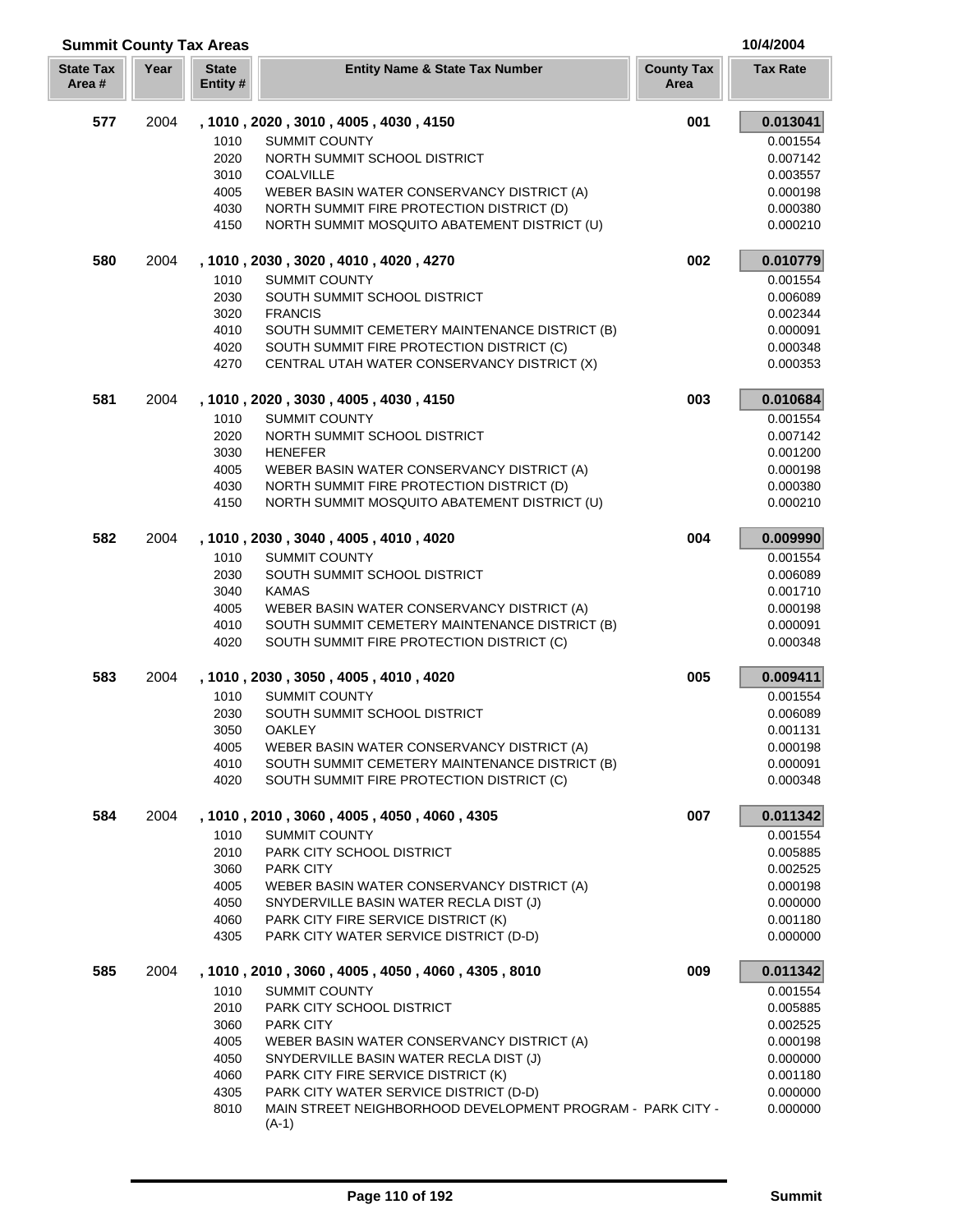| <b>Summit County Tax Areas</b> |      |                         |                                                                                          |                           | 10/4/2004            |
|--------------------------------|------|-------------------------|------------------------------------------------------------------------------------------|---------------------------|----------------------|
| <b>State Tax</b><br>Area#      | Year | <b>State</b><br>Entity# | <b>Entity Name &amp; State Tax Number</b>                                                | <b>County Tax</b><br>Area | <b>Tax Rate</b>      |
| 577                            | 2004 |                         | , 1010, 2020, 3010, 4005, 4030, 4150                                                     | 001                       | 0.013041             |
|                                |      | 1010                    | <b>SUMMIT COUNTY</b>                                                                     |                           | 0.001554             |
|                                |      | 2020                    | NORTH SUMMIT SCHOOL DISTRICT                                                             |                           | 0.007142             |
|                                |      | 3010                    | <b>COALVILLE</b>                                                                         |                           | 0.003557             |
|                                |      | 4005                    | WEBER BASIN WATER CONSERVANCY DISTRICT (A)                                               |                           | 0.000198             |
|                                |      | 4030                    | NORTH SUMMIT FIRE PROTECTION DISTRICT (D)                                                |                           | 0.000380             |
|                                |      | 4150                    | NORTH SUMMIT MOSQUITO ABATEMENT DISTRICT (U)                                             |                           | 0.000210             |
| 580                            | 2004 |                         | , 1010, 2030, 3020, 4010, 4020, 4270                                                     | 002                       | 0.010779             |
|                                |      | 1010                    | <b>SUMMIT COUNTY</b>                                                                     |                           | 0.001554             |
|                                |      | 2030                    | SOUTH SUMMIT SCHOOL DISTRICT                                                             |                           | 0.006089             |
|                                |      | 3020                    | <b>FRANCIS</b>                                                                           |                           | 0.002344             |
|                                |      | 4010                    | SOUTH SUMMIT CEMETERY MAINTENANCE DISTRICT (B)                                           |                           | 0.000091             |
|                                |      | 4020<br>4270            | SOUTH SUMMIT FIRE PROTECTION DISTRICT (C)<br>CENTRAL UTAH WATER CONSERVANCY DISTRICT (X) |                           | 0.000348<br>0.000353 |
|                                |      |                         |                                                                                          |                           |                      |
| 581                            | 2004 |                         | , 1010, 2020, 3030, 4005, 4030, 4150                                                     | 003                       | 0.010684             |
|                                |      | 1010                    | <b>SUMMIT COUNTY</b>                                                                     |                           | 0.001554             |
|                                |      | 2020                    | NORTH SUMMIT SCHOOL DISTRICT                                                             |                           | 0.007142             |
|                                |      | 3030                    | <b>HENEFER</b>                                                                           |                           | 0.001200             |
|                                |      | 4005<br>4030            | WEBER BASIN WATER CONSERVANCY DISTRICT (A)<br>NORTH SUMMIT FIRE PROTECTION DISTRICT (D)  |                           | 0.000198<br>0.000380 |
|                                |      | 4150                    | NORTH SUMMIT MOSQUITO ABATEMENT DISTRICT (U)                                             |                           | 0.000210             |
| 582                            | 2004 |                         | , 1010, 2030, 3040, 4005, 4010, 4020                                                     | 004                       | 0.009990             |
|                                |      | 1010                    | <b>SUMMIT COUNTY</b>                                                                     |                           | 0.001554             |
|                                |      | 2030                    | SOUTH SUMMIT SCHOOL DISTRICT                                                             |                           | 0.006089             |
|                                |      | 3040                    | <b>KAMAS</b>                                                                             |                           | 0.001710             |
|                                |      | 4005                    | WEBER BASIN WATER CONSERVANCY DISTRICT (A)                                               |                           | 0.000198             |
|                                |      | 4010                    | SOUTH SUMMIT CEMETERY MAINTENANCE DISTRICT (B)                                           |                           | 0.000091             |
|                                |      | 4020                    | SOUTH SUMMIT FIRE PROTECTION DISTRICT (C)                                                |                           | 0.000348             |
| 583                            | 2004 |                         | , 1010 , 2030 , 3050 , 4005 , 4010 , 4020                                                | 005                       | 0.009411             |
|                                |      | 1010                    | <b>SUMMIT COUNTY</b>                                                                     |                           | 0.001554             |
|                                |      | 2030                    | SOUTH SUMMIT SCHOOL DISTRICT                                                             |                           | 0.006089             |
|                                |      | 3050                    | OAKLEY                                                                                   |                           | 0.001131             |
|                                |      | 4005                    | WEBER BASIN WATER CONSERVANCY DISTRICT (A)                                               |                           | 0.000198             |
|                                |      | 4010                    | SOUTH SUMMIT CEMETERY MAINTENANCE DISTRICT (B)                                           |                           | 0.000091             |
|                                |      | 4020                    | SOUTH SUMMIT FIRE PROTECTION DISTRICT (C)                                                |                           | 0.000348             |
| 584                            | 2004 |                         | , 1010, 2010, 3060, 4005, 4050, 4060, 4305                                               | 007                       | 0.011342             |
|                                |      | 1010                    | <b>SUMMIT COUNTY</b>                                                                     |                           | 0.001554             |
|                                |      | 2010                    | PARK CITY SCHOOL DISTRICT                                                                |                           | 0.005885             |
|                                |      | 3060                    | <b>PARK CITY</b>                                                                         |                           | 0.002525             |
|                                |      | 4005                    | WEBER BASIN WATER CONSERVANCY DISTRICT (A)                                               |                           | 0.000198             |
|                                |      | 4050                    | SNYDERVILLE BASIN WATER RECLA DIST (J)                                                   |                           | 0.000000             |
|                                |      | 4060<br>4305            | PARK CITY FIRE SERVICE DISTRICT (K)<br>PARK CITY WATER SERVICE DISTRICT (D-D)            |                           | 0.001180<br>0.000000 |
| 585                            | 2004 |                         | , 1010, 2010, 3060, 4005, 4050, 4060, 4305, 8010                                         | 009                       | 0.011342             |
|                                |      | 1010                    | <b>SUMMIT COUNTY</b>                                                                     |                           | 0.001554             |
|                                |      | 2010                    | PARK CITY SCHOOL DISTRICT                                                                |                           | 0.005885             |
|                                |      | 3060                    | PARK CITY                                                                                |                           | 0.002525             |
|                                |      | 4005                    | WEBER BASIN WATER CONSERVANCY DISTRICT (A)                                               |                           | 0.000198             |
|                                |      | 4050                    | SNYDERVILLE BASIN WATER RECLA DIST (J)                                                   |                           | 0.000000             |
|                                |      | 4060                    | PARK CITY FIRE SERVICE DISTRICT (K)                                                      |                           | 0.001180             |
|                                |      | 4305                    | PARK CITY WATER SERVICE DISTRICT (D-D)                                                   |                           | 0.000000             |
|                                |      | 8010                    | MAIN STREET NEIGHBORHOOD DEVELOPMENT PROGRAM - PARK CITY -<br>$(A-1)$                    |                           | 0.000000             |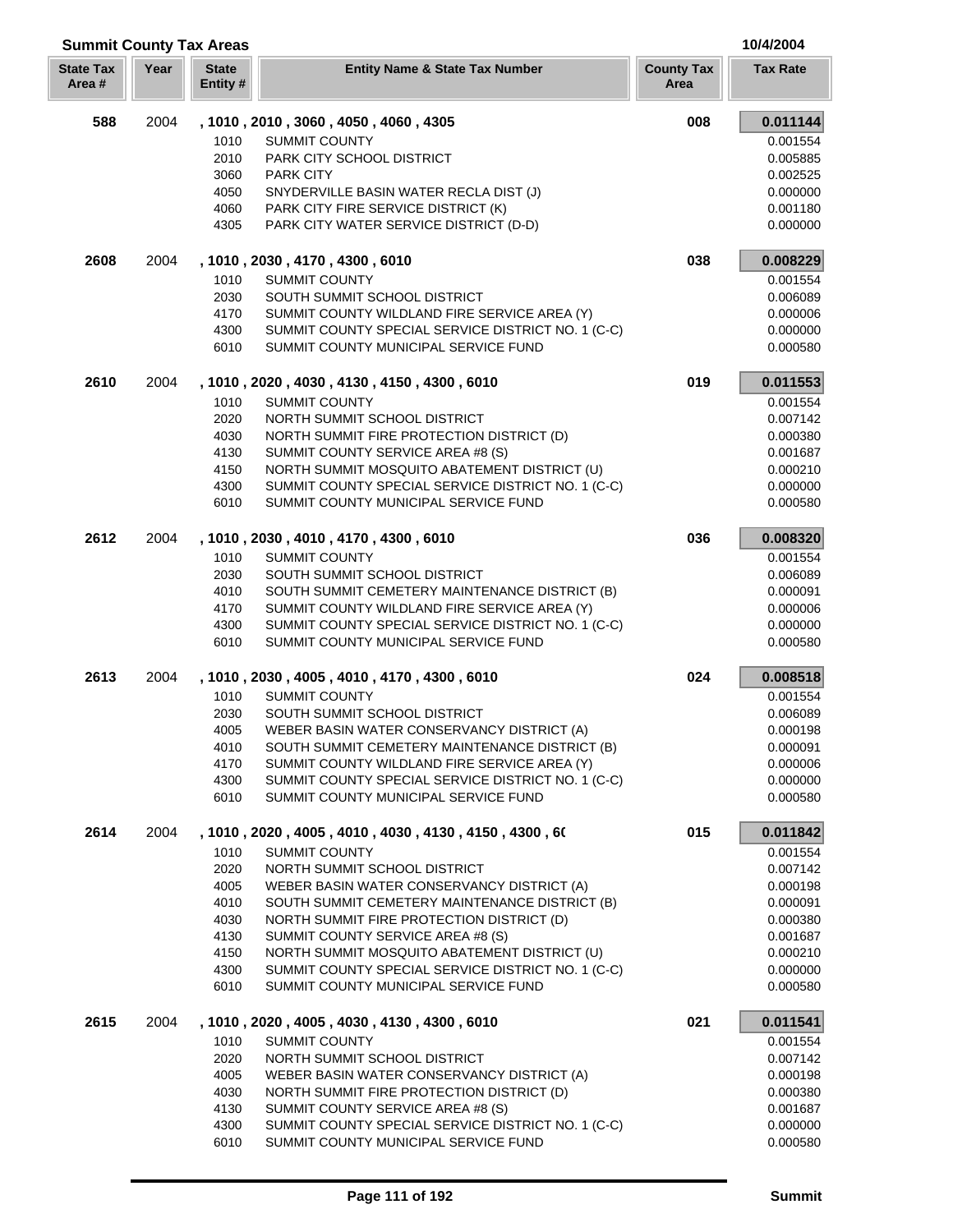| <b>Summit County Tax Areas</b> |      |                          |                                                                                            |                           | 10/4/2004            |
|--------------------------------|------|--------------------------|--------------------------------------------------------------------------------------------|---------------------------|----------------------|
| <b>State Tax</b><br>Area#      | Year | <b>State</b><br>Entity # | <b>Entity Name &amp; State Tax Number</b>                                                  | <b>County Tax</b><br>Area | <b>Tax Rate</b>      |
| 588                            | 2004 |                          | , 1010, 2010, 3060, 4050, 4060, 4305                                                       | 008                       | 0.011144             |
|                                |      | 1010                     | <b>SUMMIT COUNTY</b>                                                                       |                           | 0.001554             |
|                                |      | 2010                     | PARK CITY SCHOOL DISTRICT                                                                  |                           | 0.005885             |
|                                |      | 3060                     | <b>PARK CITY</b>                                                                           |                           | 0.002525             |
|                                |      | 4050                     | SNYDERVILLE BASIN WATER RECLA DIST (J)                                                     |                           | 0.000000             |
|                                |      | 4060                     | PARK CITY FIRE SERVICE DISTRICT (K)                                                        |                           | 0.001180             |
|                                |      | 4305                     | PARK CITY WATER SERVICE DISTRICT (D-D)                                                     |                           | 0.000000             |
| 2608                           | 2004 |                          | , 1010, 2030, 4170, 4300, 6010                                                             | 038                       | 0.008229             |
|                                |      | 1010                     | <b>SUMMIT COUNTY</b>                                                                       |                           | 0.001554             |
|                                |      | 2030                     | SOUTH SUMMIT SCHOOL DISTRICT                                                               |                           | 0.006089             |
|                                |      | 4170                     | SUMMIT COUNTY WILDLAND FIRE SERVICE AREA (Y)                                               |                           | 0.000006             |
|                                |      | 4300                     | SUMMIT COUNTY SPECIAL SERVICE DISTRICT NO. 1 (C-C)                                         |                           | 0.000000             |
|                                |      | 6010                     | SUMMIT COUNTY MUNICIPAL SERVICE FUND                                                       |                           | 0.000580             |
| 2610                           | 2004 |                          | , 1010, 2020, 4030, 4130, 4150, 4300, 6010                                                 | 019                       | 0.011553             |
|                                |      | 1010                     | <b>SUMMIT COUNTY</b>                                                                       |                           | 0.001554             |
|                                |      | 2020                     | NORTH SUMMIT SCHOOL DISTRICT                                                               |                           | 0.007142             |
|                                |      | 4030                     | NORTH SUMMIT FIRE PROTECTION DISTRICT (D)                                                  |                           | 0.000380             |
|                                |      | 4130                     | SUMMIT COUNTY SERVICE AREA #8 (S)                                                          |                           | 0.001687             |
|                                |      | 4150                     | NORTH SUMMIT MOSQUITO ABATEMENT DISTRICT (U)                                               |                           | 0.000210             |
|                                |      | 4300                     | SUMMIT COUNTY SPECIAL SERVICE DISTRICT NO. 1 (C-C)                                         |                           | 0.000000             |
|                                |      | 6010                     | SUMMIT COUNTY MUNICIPAL SERVICE FUND                                                       |                           | 0.000580             |
| 2612                           | 2004 |                          | , 1010, 2030, 4010, 4170, 4300, 6010                                                       | 036                       | 0.008320             |
|                                |      | 1010                     | <b>SUMMIT COUNTY</b>                                                                       |                           | 0.001554             |
|                                |      | 2030                     | SOUTH SUMMIT SCHOOL DISTRICT                                                               |                           | 0.006089             |
|                                |      | 4010                     | SOUTH SUMMIT CEMETERY MAINTENANCE DISTRICT (B)                                             |                           | 0.000091             |
|                                |      | 4170                     | SUMMIT COUNTY WILDLAND FIRE SERVICE AREA (Y)                                               |                           | 0.000006             |
|                                |      | 4300                     | SUMMIT COUNTY SPECIAL SERVICE DISTRICT NO. 1 (C-C)                                         |                           | 0.000000             |
|                                |      | 6010                     | SUMMIT COUNTY MUNICIPAL SERVICE FUND                                                       |                           | 0.000580             |
| 2613                           | 2004 |                          | , 1010 , 2030 , 4005 , 4010 , 4170 , 4300 , 6010                                           | 024                       | 0.008518             |
|                                |      | 1010                     | <b>SUMMIT COUNTY</b>                                                                       |                           | 0.001554             |
|                                |      | 2030                     | SOUTH SUMMIT SCHOOL DISTRICT                                                               |                           | 0.006089             |
|                                |      | 4005                     | WEBER BASIN WATER CONSERVANCY DISTRICT (A)                                                 |                           | 0.000198             |
|                                |      | 4010                     | SOUTH SUMMIT CEMETERY MAINTENANCE DISTRICT (B)                                             |                           | 0.000091             |
|                                |      | 4170                     | SUMMIT COUNTY WILDLAND FIRE SERVICE AREA (Y)                                               |                           | 0.000006             |
|                                |      | 4300                     | SUMMIT COUNTY SPECIAL SERVICE DISTRICT NO. 1 (C-C)                                         |                           | 0.000000             |
|                                |      | 6010                     | SUMMIT COUNTY MUNICIPAL SERVICE FUND                                                       |                           | 0.000580             |
| 2614                           | 2004 |                          | , 1010, 2020, 4005, 4010, 4030, 4130, 4150, 4300, 60                                       | 015                       | 0.011842             |
|                                |      | 1010                     | <b>SUMMIT COUNTY</b>                                                                       |                           | 0.001554             |
|                                |      | 2020                     | NORTH SUMMIT SCHOOL DISTRICT                                                               |                           | 0.007142             |
|                                |      | 4005                     | WEBER BASIN WATER CONSERVANCY DISTRICT (A)                                                 |                           | 0.000198             |
|                                |      | 4010                     | SOUTH SUMMIT CEMETERY MAINTENANCE DISTRICT (B)                                             |                           | 0.000091             |
|                                |      | 4030                     | NORTH SUMMIT FIRE PROTECTION DISTRICT (D)                                                  |                           | 0.000380             |
|                                |      | 4130                     | SUMMIT COUNTY SERVICE AREA #8 (S)                                                          |                           | 0.001687             |
|                                |      | 4150                     | NORTH SUMMIT MOSQUITO ABATEMENT DISTRICT (U)                                               |                           | 0.000210             |
|                                |      | 4300<br>6010             | SUMMIT COUNTY SPECIAL SERVICE DISTRICT NO. 1 (C-C)<br>SUMMIT COUNTY MUNICIPAL SERVICE FUND |                           | 0.000000<br>0.000580 |
|                                |      |                          |                                                                                            |                           |                      |
| 2615                           | 2004 |                          | , 1010, 2020, 4005, 4030, 4130, 4300, 6010                                                 | 021                       | 0.011541             |
|                                |      | 1010                     | <b>SUMMIT COUNTY</b>                                                                       |                           | 0.001554             |
|                                |      | 2020                     | NORTH SUMMIT SCHOOL DISTRICT                                                               |                           | 0.007142             |
|                                |      | 4005<br>4030             | WEBER BASIN WATER CONSERVANCY DISTRICT (A)<br>NORTH SUMMIT FIRE PROTECTION DISTRICT (D)    |                           | 0.000198<br>0.000380 |
|                                |      | 4130                     | SUMMIT COUNTY SERVICE AREA #8 (S)                                                          |                           | 0.001687             |
|                                |      | 4300                     | SUMMIT COUNTY SPECIAL SERVICE DISTRICT NO. 1 (C-C)                                         |                           | 0.000000             |
|                                |      | 6010                     | SUMMIT COUNTY MUNICIPAL SERVICE FUND                                                       |                           | 0.000580             |
|                                |      |                          |                                                                                            |                           |                      |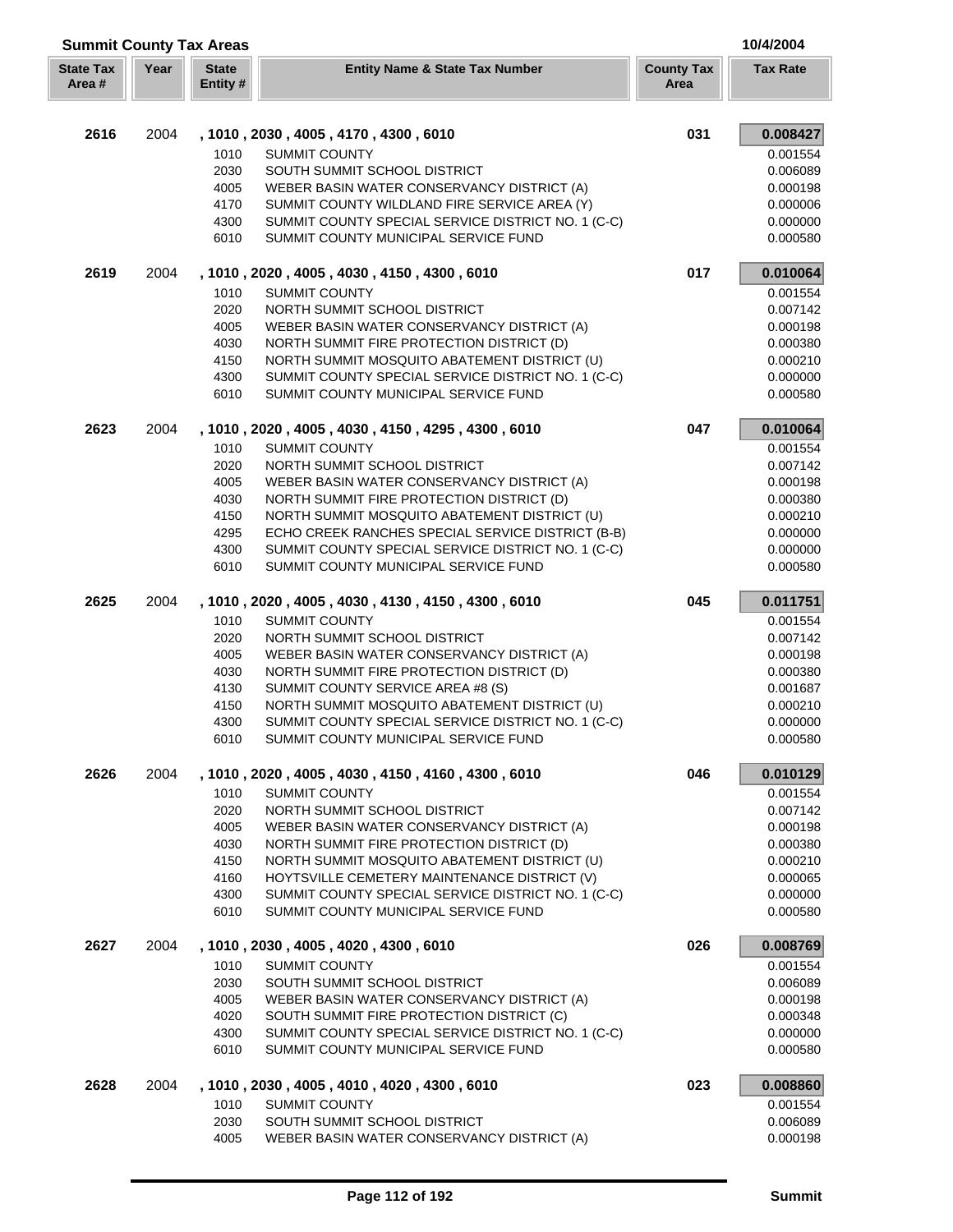| <b>Summit County Tax Areas</b><br>10/4/2004 |      |                         |                                                                                              |                           |                      |
|---------------------------------------------|------|-------------------------|----------------------------------------------------------------------------------------------|---------------------------|----------------------|
| <b>State Tax</b><br>Area #                  | Year | <b>State</b><br>Entity# | <b>Entity Name &amp; State Tax Number</b>                                                    | <b>County Tax</b><br>Area | <b>Tax Rate</b>      |
| 2616                                        | 2004 |                         | , 1010, 2030, 4005, 4170, 4300, 6010                                                         | 031                       | 0.008427             |
|                                             |      | 1010                    | <b>SUMMIT COUNTY</b>                                                                         |                           | 0.001554             |
|                                             |      | 2030                    | SOUTH SUMMIT SCHOOL DISTRICT                                                                 |                           | 0.006089             |
|                                             |      | 4005                    | WEBER BASIN WATER CONSERVANCY DISTRICT (A)                                                   |                           | 0.000198             |
|                                             |      | 4170                    | SUMMIT COUNTY WILDLAND FIRE SERVICE AREA (Y)                                                 |                           | 0.000006             |
|                                             |      | 4300                    | SUMMIT COUNTY SPECIAL SERVICE DISTRICT NO. 1 (C-C)                                           |                           | 0.000000             |
|                                             |      | 6010                    | SUMMIT COUNTY MUNICIPAL SERVICE FUND                                                         |                           | 0.000580             |
| 2619                                        | 2004 |                         | , 1010, 2020, 4005, 4030, 4150, 4300, 6010                                                   | 017                       | 0.010064             |
|                                             |      | 1010                    | <b>SUMMIT COUNTY</b>                                                                         |                           | 0.001554             |
|                                             |      | 2020                    | NORTH SUMMIT SCHOOL DISTRICT                                                                 |                           | 0.007142             |
|                                             |      | 4005                    | WEBER BASIN WATER CONSERVANCY DISTRICT (A)                                                   |                           | 0.000198             |
|                                             |      | 4030                    | NORTH SUMMIT FIRE PROTECTION DISTRICT (D)                                                    |                           | 0.000380             |
|                                             |      | 4150                    | NORTH SUMMIT MOSQUITO ABATEMENT DISTRICT (U)                                                 |                           | 0.000210             |
|                                             |      | 4300<br>6010            | SUMMIT COUNTY SPECIAL SERVICE DISTRICT NO. 1 (C-C)<br>SUMMIT COUNTY MUNICIPAL SERVICE FUND   |                           | 0.000000<br>0.000580 |
|                                             |      |                         |                                                                                              | 047                       |                      |
| 2623                                        | 2004 |                         | , 1010, 2020, 4005, 4030, 4150, 4295, 4300, 6010                                             |                           | 0.010064             |
|                                             |      | 1010<br>2020            | <b>SUMMIT COUNTY</b><br>NORTH SUMMIT SCHOOL DISTRICT                                         |                           | 0.001554<br>0.007142 |
|                                             |      | 4005                    | WEBER BASIN WATER CONSERVANCY DISTRICT (A)                                                   |                           | 0.000198             |
|                                             |      | 4030                    | NORTH SUMMIT FIRE PROTECTION DISTRICT (D)                                                    |                           | 0.000380             |
|                                             |      | 4150                    | NORTH SUMMIT MOSQUITO ABATEMENT DISTRICT (U)                                                 |                           | 0.000210             |
|                                             |      | 4295                    | ECHO CREEK RANCHES SPECIAL SERVICE DISTRICT (B-B)                                            |                           | 0.000000             |
|                                             |      | 4300                    | SUMMIT COUNTY SPECIAL SERVICE DISTRICT NO. 1 (C-C)                                           |                           | 0.000000             |
|                                             |      | 6010                    | SUMMIT COUNTY MUNICIPAL SERVICE FUND                                                         |                           | 0.000580             |
| 2625                                        | 2004 |                         | , 1010, 2020, 4005, 4030, 4130, 4150, 4300, 6010                                             | 045                       | 0.011751             |
|                                             |      | 1010                    | <b>SUMMIT COUNTY</b>                                                                         |                           | 0.001554             |
|                                             |      | 2020                    | NORTH SUMMIT SCHOOL DISTRICT                                                                 |                           | 0.007142             |
|                                             |      | 4005                    | WEBER BASIN WATER CONSERVANCY DISTRICT (A)                                                   |                           | 0.000198             |
|                                             |      | 4030                    | NORTH SUMMIT FIRE PROTECTION DISTRICT (D)                                                    |                           | 0.000380             |
|                                             |      | 4130                    | SUMMIT COUNTY SERVICE AREA #8 (S)                                                            |                           | 0.001687             |
|                                             |      | 4150                    | NORTH SUMMIT MOSQUITO ABATEMENT DISTRICT (U)                                                 |                           | 0.000210             |
|                                             |      | 4300                    | SUMMIT COUNTY SPECIAL SERVICE DISTRICT NO. 1 (C-C)                                           |                           | 0.000000             |
|                                             |      | 6010                    | SUMMIT COUNTY MUNICIPAL SERVICE FUND                                                         |                           | 0.000580             |
| 2626                                        | 2004 |                         | , 1010, 2020, 4005, 4030, 4150, 4160, 4300, 6010                                             | 046                       | 0.010129             |
|                                             |      | 1010                    | <b>SUMMIT COUNTY</b>                                                                         |                           | 0.001554             |
|                                             |      | 2020                    | NORTH SUMMIT SCHOOL DISTRICT                                                                 |                           | 0.007142             |
|                                             |      | 4005                    | WEBER BASIN WATER CONSERVANCY DISTRICT (A)                                                   |                           | 0.000198             |
|                                             |      | 4030                    | NORTH SUMMIT FIRE PROTECTION DISTRICT (D)                                                    |                           | 0.000380             |
|                                             |      | 4150<br>4160            | NORTH SUMMIT MOSQUITO ABATEMENT DISTRICT (U)<br>HOYTSVILLE CEMETERY MAINTENANCE DISTRICT (V) |                           | 0.000210<br>0.000065 |
|                                             |      | 4300                    | SUMMIT COUNTY SPECIAL SERVICE DISTRICT NO. 1 (C-C)                                           |                           | 0.000000             |
|                                             |      | 6010                    | SUMMIT COUNTY MUNICIPAL SERVICE FUND                                                         |                           | 0.000580             |
| 2627                                        | 2004 |                         | , 1010, 2030, 4005, 4020, 4300, 6010                                                         | 026                       | 0.008769             |
|                                             |      | 1010                    | <b>SUMMIT COUNTY</b>                                                                         |                           | 0.001554             |
|                                             |      | 2030                    | SOUTH SUMMIT SCHOOL DISTRICT                                                                 |                           | 0.006089             |
|                                             |      | 4005                    | WEBER BASIN WATER CONSERVANCY DISTRICT (A)                                                   |                           | 0.000198             |
|                                             |      | 4020                    | SOUTH SUMMIT FIRE PROTECTION DISTRICT (C)                                                    |                           | 0.000348             |
|                                             |      | 4300                    | SUMMIT COUNTY SPECIAL SERVICE DISTRICT NO. 1 (C-C)                                           |                           | 0.000000             |
|                                             |      | 6010                    | SUMMIT COUNTY MUNICIPAL SERVICE FUND                                                         |                           | 0.000580             |
| 2628                                        | 2004 |                         | , 1010, 2030, 4005, 4010, 4020, 4300, 6010                                                   | 023                       | 0.008860             |
|                                             |      | 1010                    | <b>SUMMIT COUNTY</b>                                                                         |                           | 0.001554             |
|                                             |      | 2030                    | SOUTH SUMMIT SCHOOL DISTRICT                                                                 |                           | 0.006089             |
|                                             |      | 4005                    | WEBER BASIN WATER CONSERVANCY DISTRICT (A)                                                   |                           | 0.000198             |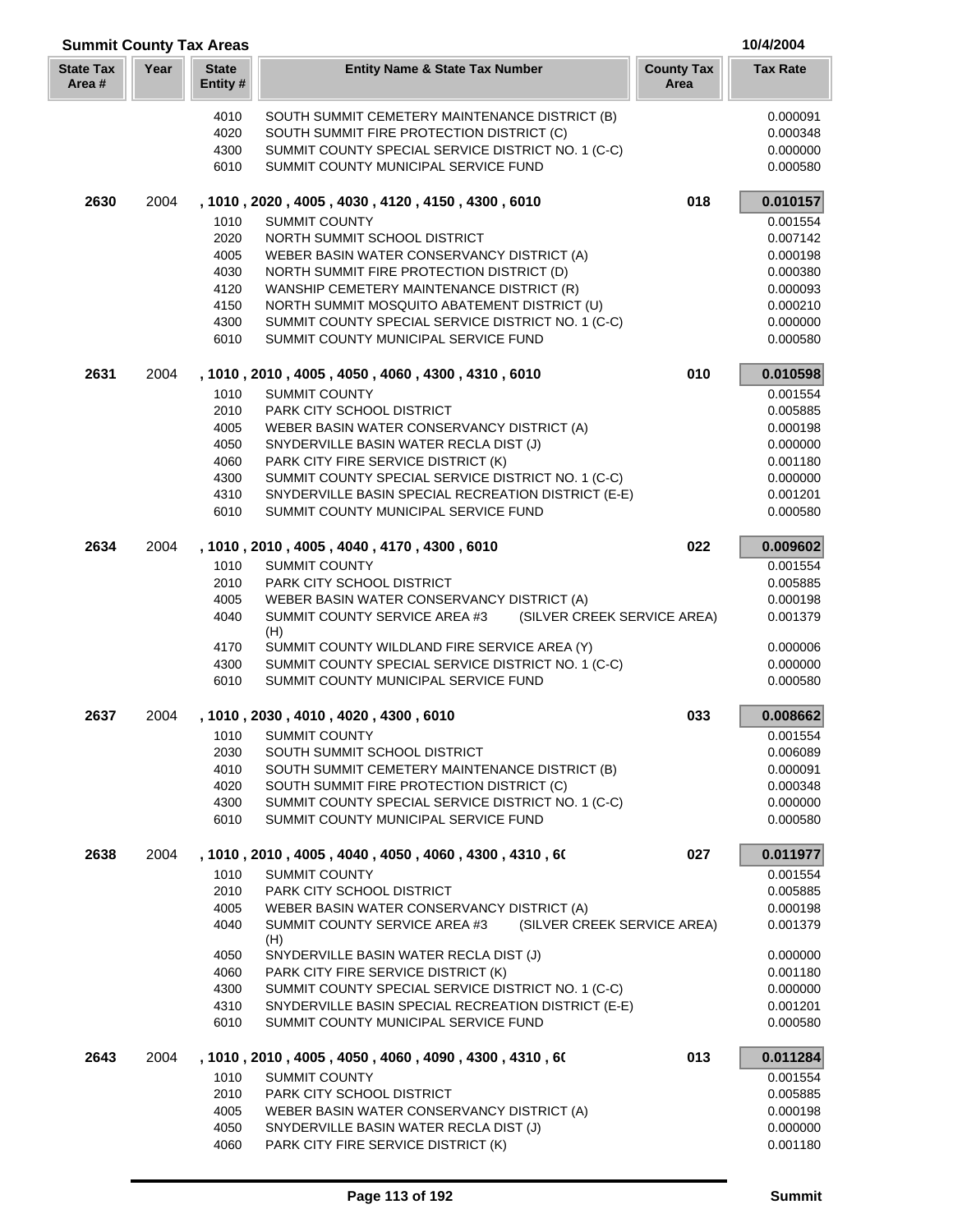| <b>Summit County Tax Areas</b> |      |                         |                                                                                             |                           | 10/4/2004            |
|--------------------------------|------|-------------------------|---------------------------------------------------------------------------------------------|---------------------------|----------------------|
| <b>State Tax</b><br>Area #     | Year | <b>State</b><br>Entity# | <b>Entity Name &amp; State Tax Number</b>                                                   | <b>County Tax</b><br>Area | <b>Tax Rate</b>      |
|                                |      | 4010                    | SOUTH SUMMIT CEMETERY MAINTENANCE DISTRICT (B)                                              |                           | 0.000091             |
|                                |      | 4020                    | SOUTH SUMMIT FIRE PROTECTION DISTRICT (C)                                                   |                           | 0.000348             |
|                                |      | 4300                    | SUMMIT COUNTY SPECIAL SERVICE DISTRICT NO. 1 (C-C)                                          |                           | 0.000000             |
|                                |      | 6010                    | SUMMIT COUNTY MUNICIPAL SERVICE FUND                                                        |                           | 0.000580             |
| 2630                           | 2004 |                         | , 1010, 2020, 4005, 4030, 4120, 4150, 4300, 6010                                            | 018                       | 0.010157             |
|                                |      | 1010                    | <b>SUMMIT COUNTY</b>                                                                        |                           | 0.001554             |
|                                |      | 2020                    | NORTH SUMMIT SCHOOL DISTRICT                                                                |                           | 0.007142             |
|                                |      | 4005                    | WEBER BASIN WATER CONSERVANCY DISTRICT (A)                                                  |                           | 0.000198             |
|                                |      | 4030                    | NORTH SUMMIT FIRE PROTECTION DISTRICT (D)                                                   |                           | 0.000380             |
|                                |      | 4120                    | WANSHIP CEMETERY MAINTENANCE DISTRICT (R)                                                   |                           | 0.000093             |
|                                |      | 4150                    | NORTH SUMMIT MOSQUITO ABATEMENT DISTRICT (U)                                                |                           | 0.000210             |
|                                |      | 4300                    | SUMMIT COUNTY SPECIAL SERVICE DISTRICT NO. 1 (C-C)                                          |                           | 0.000000             |
|                                |      | 6010                    | SUMMIT COUNTY MUNICIPAL SERVICE FUND                                                        |                           | 0.000580             |
| 2631                           | 2004 |                         | , 1010, 2010, 4005, 4050, 4060, 4300, 4310, 6010                                            | 010                       | 0.010598             |
|                                |      | 1010                    | <b>SUMMIT COUNTY</b>                                                                        |                           | 0.001554             |
|                                |      | 2010                    | PARK CITY SCHOOL DISTRICT                                                                   |                           | 0.005885             |
|                                |      | 4005                    | WEBER BASIN WATER CONSERVANCY DISTRICT (A)                                                  |                           | 0.000198             |
|                                |      | 4050                    | SNYDERVILLE BASIN WATER RECLA DIST (J)                                                      |                           | 0.000000             |
|                                |      | 4060                    | PARK CITY FIRE SERVICE DISTRICT (K)                                                         |                           | 0.001180             |
|                                |      | 4300                    | SUMMIT COUNTY SPECIAL SERVICE DISTRICT NO. 1 (C-C)                                          |                           | 0.000000             |
|                                |      | 4310<br>6010            | SNYDERVILLE BASIN SPECIAL RECREATION DISTRICT (E-E)<br>SUMMIT COUNTY MUNICIPAL SERVICE FUND |                           | 0.001201<br>0.000580 |
| 2634                           | 2004 |                         | , 1010, 2010, 4005, 4040, 4170, 4300, 6010                                                  | 022                       | 0.009602             |
|                                |      | 1010                    | <b>SUMMIT COUNTY</b>                                                                        |                           | 0.001554             |
|                                |      | 2010                    | PARK CITY SCHOOL DISTRICT                                                                   |                           | 0.005885             |
|                                |      | 4005                    | WEBER BASIN WATER CONSERVANCY DISTRICT (A)                                                  |                           | 0.000198             |
|                                |      | 4040                    | SUMMIT COUNTY SERVICE AREA #3<br>(SILVER CREEK SERVICE AREA)<br>(H)                         |                           | 0.001379             |
|                                |      | 4170                    | SUMMIT COUNTY WILDLAND FIRE SERVICE AREA (Y)                                                |                           | 0.000006             |
|                                |      | 4300                    | SUMMIT COUNTY SPECIAL SERVICE DISTRICT NO. 1 (C-C)                                          |                           | 0.000000             |
|                                |      | 6010                    | SUMMIT COUNTY MUNICIPAL SERVICE FUND                                                        |                           | 0.000580             |
| 2637                           | 2004 |                         | , 1010, 2030, 4010, 4020, 4300, 6010                                                        | 033                       | 0.008662             |
|                                |      |                         | 1010 SUMMIT COUNTY                                                                          |                           | 0.001554             |
|                                |      | 2030                    | SOUTH SUMMIT SCHOOL DISTRICT                                                                |                           | 0.006089             |
|                                |      | 4010                    | SOUTH SUMMIT CEMETERY MAINTENANCE DISTRICT (B)                                              |                           | 0.000091             |
|                                |      | 4020                    | SOUTH SUMMIT FIRE PROTECTION DISTRICT (C)                                                   |                           | 0.000348             |
|                                |      | 4300                    | SUMMIT COUNTY SPECIAL SERVICE DISTRICT NO. 1 (C-C)                                          |                           | 0.000000             |
|                                |      | 6010                    | SUMMIT COUNTY MUNICIPAL SERVICE FUND                                                        |                           | 0.000580             |
| 2638                           | 2004 |                         | , 1010 , 2010 , 4005 , 4040 , 4050 , 4060 , 4300 , 4310 , 60<br><b>SUMMIT COUNTY</b>        | 027                       | 0.011977             |
|                                |      | 1010<br>2010            | PARK CITY SCHOOL DISTRICT                                                                   |                           | 0.001554<br>0.005885 |
|                                |      | 4005                    | WEBER BASIN WATER CONSERVANCY DISTRICT (A)                                                  |                           | 0.000198             |
|                                |      | 4040                    | SUMMIT COUNTY SERVICE AREA #3<br>(SILVER CREEK SERVICE AREA)                                |                           | 0.001379             |
|                                |      |                         | (H)                                                                                         |                           |                      |
|                                |      | 4050                    | SNYDERVILLE BASIN WATER RECLA DIST (J)                                                      |                           | 0.000000             |
|                                |      | 4060<br>4300            | PARK CITY FIRE SERVICE DISTRICT (K)<br>SUMMIT COUNTY SPECIAL SERVICE DISTRICT NO. 1 (C-C)   |                           | 0.001180<br>0.000000 |
|                                |      | 4310                    | SNYDERVILLE BASIN SPECIAL RECREATION DISTRICT (E-E)                                         |                           | 0.001201             |
|                                |      | 6010                    | SUMMIT COUNTY MUNICIPAL SERVICE FUND                                                        |                           | 0.000580             |
| 2643                           | 2004 |                         | , 1010 , 2010 , 4005 , 4050 , 4060 , 4090 , 4300 , 4310 , 60                                | 013                       | 0.011284             |
|                                |      | 1010                    | <b>SUMMIT COUNTY</b>                                                                        |                           | 0.001554             |
|                                |      | 2010                    | PARK CITY SCHOOL DISTRICT                                                                   |                           | 0.005885             |
|                                |      | 4005                    | WEBER BASIN WATER CONSERVANCY DISTRICT (A)                                                  |                           | 0.000198             |
|                                |      | 4050                    | SNYDERVILLE BASIN WATER RECLA DIST (J)                                                      |                           | 0.000000             |
|                                |      | 4060                    | PARK CITY FIRE SERVICE DISTRICT (K)                                                         |                           | 0.001180             |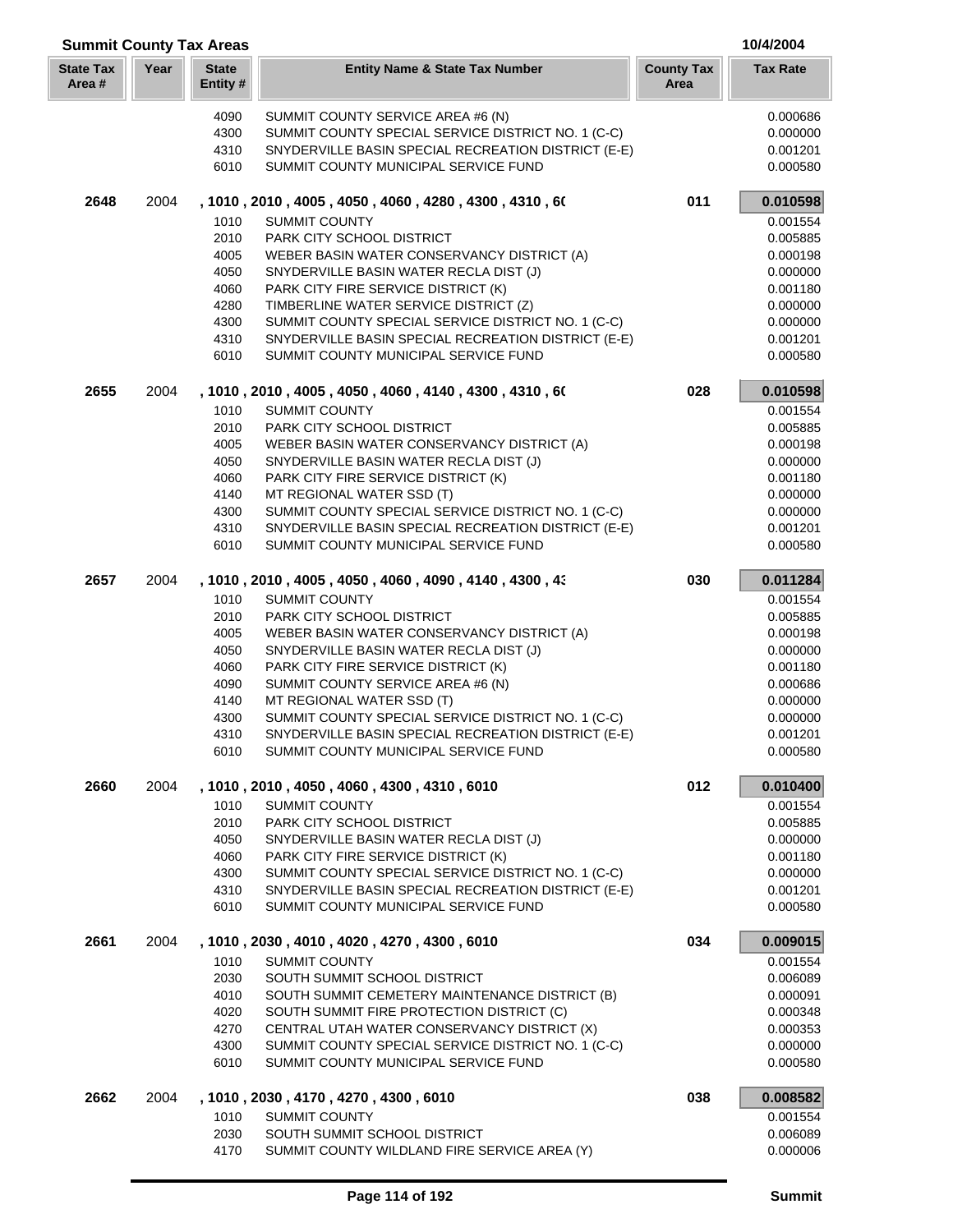| <b>Summit County Tax Areas</b> |      |                          |                                                                              |                           | 10/4/2004            |
|--------------------------------|------|--------------------------|------------------------------------------------------------------------------|---------------------------|----------------------|
| <b>State Tax</b><br>Area#      | Year | <b>State</b><br>Entity # | <b>Entity Name &amp; State Tax Number</b>                                    | <b>County Tax</b><br>Area | <b>Tax Rate</b>      |
|                                |      | 4090                     | SUMMIT COUNTY SERVICE AREA #6 (N)                                            |                           | 0.000686             |
|                                |      | 4300                     | SUMMIT COUNTY SPECIAL SERVICE DISTRICT NO. 1 (C-C)                           |                           | 0.000000             |
|                                |      | 4310                     | SNYDERVILLE BASIN SPECIAL RECREATION DISTRICT (E-E)                          |                           | 0.001201             |
|                                |      | 6010                     | SUMMIT COUNTY MUNICIPAL SERVICE FUND                                         |                           | 0.000580             |
| 2648                           | 2004 |                          | , 1010 , 2010 , 4005 , 4050 , 4060 , 4280 , 4300 , 4310 , 60                 | 011                       | 0.010598             |
|                                |      | 1010                     | <b>SUMMIT COUNTY</b>                                                         |                           | 0.001554             |
|                                |      | 2010                     | PARK CITY SCHOOL DISTRICT                                                    |                           | 0.005885             |
|                                |      | 4005                     | WEBER BASIN WATER CONSERVANCY DISTRICT (A)                                   |                           | 0.000198             |
|                                |      | 4050                     | SNYDERVILLE BASIN WATER RECLA DIST (J)                                       |                           | 0.000000             |
|                                |      | 4060                     | PARK CITY FIRE SERVICE DISTRICT (K)                                          |                           | 0.001180             |
|                                |      | 4280                     | TIMBERLINE WATER SERVICE DISTRICT (Z)                                        |                           | 0.000000             |
|                                |      | 4300                     | SUMMIT COUNTY SPECIAL SERVICE DISTRICT NO. 1 (C-C)                           |                           | 0.000000             |
|                                |      | 4310                     | SNYDERVILLE BASIN SPECIAL RECREATION DISTRICT (E-E)                          |                           | 0.001201             |
|                                |      | 6010                     | SUMMIT COUNTY MUNICIPAL SERVICE FUND                                         |                           | 0.000580             |
|                                |      |                          |                                                                              |                           |                      |
| 2655                           | 2004 | 1010                     | , 1010, 2010, 4005, 4050, 4060, 4140, 4300, 4310, 60<br><b>SUMMIT COUNTY</b> | 028                       | 0.010598<br>0.001554 |
|                                |      | 2010                     | PARK CITY SCHOOL DISTRICT                                                    |                           | 0.005885             |
|                                |      | 4005                     | WEBER BASIN WATER CONSERVANCY DISTRICT (A)                                   |                           | 0.000198             |
|                                |      | 4050                     | SNYDERVILLE BASIN WATER RECLA DIST (J)                                       |                           | 0.000000             |
|                                |      | 4060                     | PARK CITY FIRE SERVICE DISTRICT (K)                                          |                           | 0.001180             |
|                                |      | 4140                     | MT REGIONAL WATER SSD (T)                                                    |                           | 0.000000             |
|                                |      | 4300                     | SUMMIT COUNTY SPECIAL SERVICE DISTRICT NO. 1 (C-C)                           |                           | 0.000000             |
|                                |      | 4310                     | SNYDERVILLE BASIN SPECIAL RECREATION DISTRICT (E-E)                          |                           | 0.001201             |
|                                |      | 6010                     | SUMMIT COUNTY MUNICIPAL SERVICE FUND                                         |                           | 0.000580             |
|                                |      |                          |                                                                              |                           |                      |
| 2657                           | 2004 |                          | , 1010 , 2010 , 4005 , 4050 , 4060 , 4090 , 4140 , 4300 , 43                 | 030                       | 0.011284             |
|                                |      | 1010                     | <b>SUMMIT COUNTY</b>                                                         |                           | 0.001554             |
|                                |      | 2010                     | PARK CITY SCHOOL DISTRICT                                                    |                           | 0.005885             |
|                                |      | 4005                     | WEBER BASIN WATER CONSERVANCY DISTRICT (A)                                   |                           | 0.000198             |
|                                |      | 4050                     | SNYDERVILLE BASIN WATER RECLA DIST (J)                                       |                           | 0.000000             |
|                                |      | 4060                     | PARK CITY FIRE SERVICE DISTRICT (K)                                          |                           | 0.001180             |
|                                |      | 4090<br>4140             | SUMMIT COUNTY SERVICE AREA #6 (N)<br>MT REGIONAL WATER SSD (T)               |                           | 0.000686<br>0.000000 |
|                                |      | 4300                     | SUMMIT COUNTY SPECIAL SERVICE DISTRICT NO. 1 (C-C)                           |                           | 0.000000             |
|                                |      | 4310                     | SNYDERVILLE BASIN SPECIAL RECREATION DISTRICT (E-E)                          |                           | 0.001201             |
|                                |      | 6010                     | SUMMIT COUNTY MUNICIPAL SERVICE FUND                                         |                           | 0.000580             |
| 2660                           | 2004 |                          | , 1010 , 2010 , 4050 , 4060 , 4300 , 4310 , 6010                             | 012                       | 0.010400             |
|                                |      | 1010                     | <b>SUMMIT COUNTY</b>                                                         |                           | 0.001554             |
|                                |      | 2010                     | PARK CITY SCHOOL DISTRICT                                                    |                           | 0.005885             |
|                                |      | 4050                     | SNYDERVILLE BASIN WATER RECLA DIST (J)                                       |                           | 0.000000             |
|                                |      | 4060                     | PARK CITY FIRE SERVICE DISTRICT (K)                                          |                           | 0.001180             |
|                                |      | 4300                     | SUMMIT COUNTY SPECIAL SERVICE DISTRICT NO. 1 (C-C)                           |                           | 0.000000             |
|                                |      | 4310                     | SNYDERVILLE BASIN SPECIAL RECREATION DISTRICT (E-E)                          |                           | 0.001201             |
|                                |      | 6010                     | SUMMIT COUNTY MUNICIPAL SERVICE FUND                                         |                           | 0.000580             |
| 2661                           | 2004 |                          | , 1010, 2030, 4010, 4020, 4270, 4300, 6010                                   | 034                       | 0.009015             |
|                                |      | 1010                     | <b>SUMMIT COUNTY</b>                                                         |                           | 0.001554             |
|                                |      | 2030                     | SOUTH SUMMIT SCHOOL DISTRICT                                                 |                           | 0.006089             |
|                                |      | 4010                     | SOUTH SUMMIT CEMETERY MAINTENANCE DISTRICT (B)                               |                           | 0.000091             |
|                                |      | 4020                     | SOUTH SUMMIT FIRE PROTECTION DISTRICT (C)                                    |                           | 0.000348             |
|                                |      | 4270                     | CENTRAL UTAH WATER CONSERVANCY DISTRICT (X)                                  |                           | 0.000353             |
|                                |      | 4300                     | SUMMIT COUNTY SPECIAL SERVICE DISTRICT NO. 1 (C-C)                           |                           | 0.000000             |
|                                |      | 6010                     | SUMMIT COUNTY MUNICIPAL SERVICE FUND                                         |                           | 0.000580             |
| 2662                           | 2004 |                          | , 1010 , 2030 , 4170 , 4270 , 4300 , 6010                                    | 038                       | 0.008582             |
|                                |      | 1010                     | <b>SUMMIT COUNTY</b>                                                         |                           | 0.001554             |
|                                |      | 2030                     | SOUTH SUMMIT SCHOOL DISTRICT                                                 |                           | 0.006089             |
|                                |      | 4170                     | SUMMIT COUNTY WILDLAND FIRE SERVICE AREA (Y)                                 |                           | 0.000006             |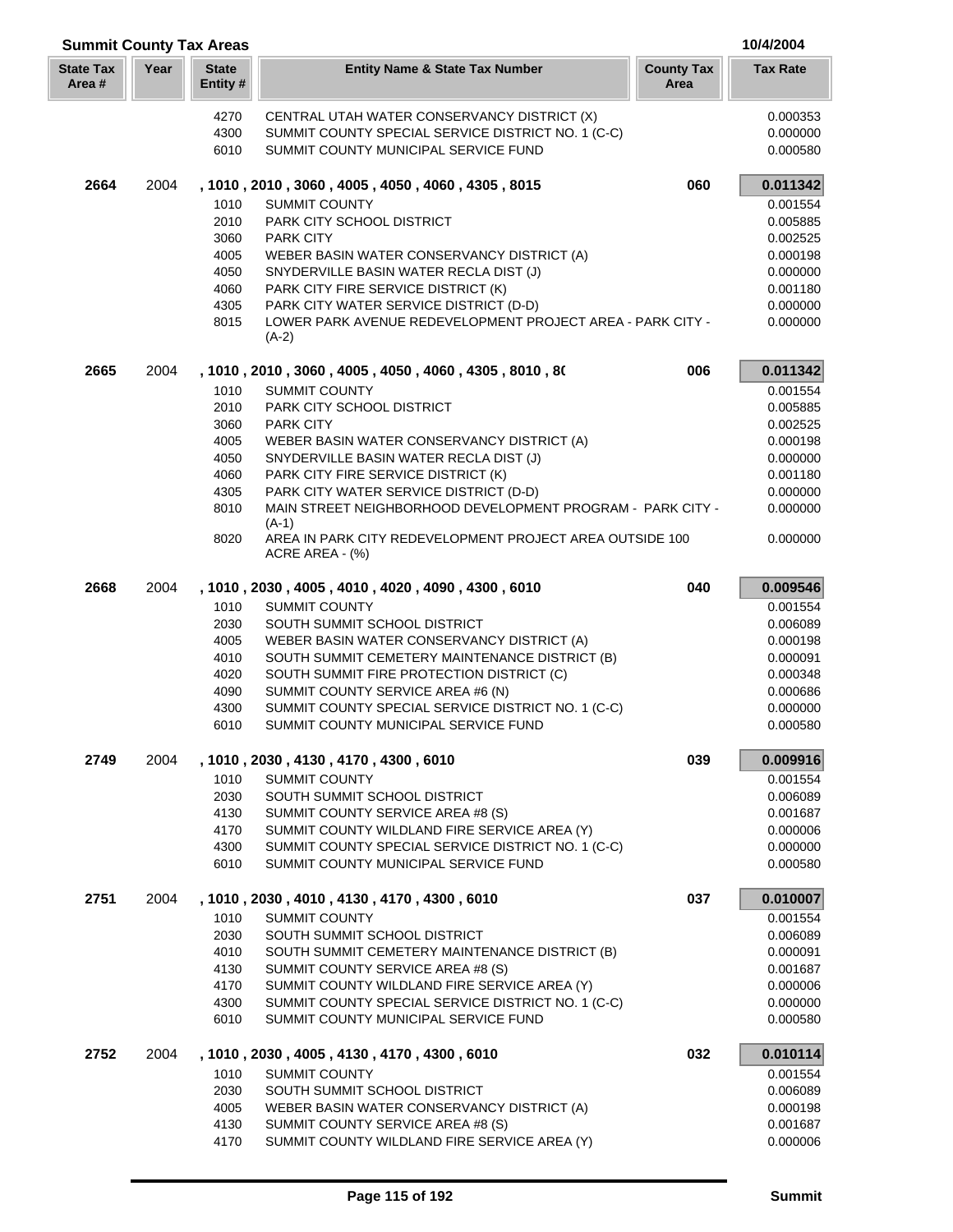| <b>Summit County Tax Areas</b> |      |                         |                                                                                            |                           | 10/4/2004            |
|--------------------------------|------|-------------------------|--------------------------------------------------------------------------------------------|---------------------------|----------------------|
| <b>State Tax</b><br>Area #     | Year | <b>State</b><br>Entity# | <b>Entity Name &amp; State Tax Number</b>                                                  | <b>County Tax</b><br>Area | <b>Tax Rate</b>      |
|                                |      | 4270                    | CENTRAL UTAH WATER CONSERVANCY DISTRICT (X)                                                |                           | 0.000353             |
|                                |      | 4300                    | SUMMIT COUNTY SPECIAL SERVICE DISTRICT NO. 1 (C-C)                                         |                           | 0.000000             |
|                                |      | 6010                    | SUMMIT COUNTY MUNICIPAL SERVICE FUND                                                       |                           | 0.000580             |
| 2664                           | 2004 |                         | , 1010, 2010, 3060, 4005, 4050, 4060, 4305, 8015                                           | 060                       | 0.011342             |
|                                |      | 1010                    | <b>SUMMIT COUNTY</b>                                                                       |                           | 0.001554             |
|                                |      | 2010                    | PARK CITY SCHOOL DISTRICT                                                                  |                           | 0.005885             |
|                                |      | 3060                    | <b>PARK CITY</b>                                                                           |                           | 0.002525             |
|                                |      | 4005                    | WEBER BASIN WATER CONSERVANCY DISTRICT (A)                                                 |                           | 0.000198             |
|                                |      | 4050<br>4060            | SNYDERVILLE BASIN WATER RECLA DIST (J)<br>PARK CITY FIRE SERVICE DISTRICT (K)              |                           | 0.000000<br>0.001180 |
|                                |      | 4305                    | PARK CITY WATER SERVICE DISTRICT (D-D)                                                     |                           | 0.000000             |
|                                |      | 8015                    | LOWER PARK AVENUE REDEVELOPMENT PROJECT AREA - PARK CITY -<br>$(A-2)$                      |                           | 0.000000             |
| 2665                           | 2004 |                         | , 1010, 2010, 3060, 4005, 4050, 4060, 4305, 8010, 80                                       | 006                       | 0.011342             |
|                                |      | 1010                    | <b>SUMMIT COUNTY</b>                                                                       |                           | 0.001554             |
|                                |      | 2010                    | <b>PARK CITY SCHOOL DISTRICT</b>                                                           |                           | 0.005885             |
|                                |      | 3060                    | <b>PARK CITY</b>                                                                           |                           | 0.002525             |
|                                |      | 4005                    | WEBER BASIN WATER CONSERVANCY DISTRICT (A)                                                 |                           | 0.000198             |
|                                |      | 4050                    | SNYDERVILLE BASIN WATER RECLA DIST (J)                                                     |                           | 0.000000             |
|                                |      | 4060                    | PARK CITY FIRE SERVICE DISTRICT (K)                                                        |                           | 0.001180             |
|                                |      | 4305                    | PARK CITY WATER SERVICE DISTRICT (D-D)                                                     |                           | 0.000000             |
|                                |      | 8010                    | MAIN STREET NEIGHBORHOOD DEVELOPMENT PROGRAM - PARK CITY -<br>$(A-1)$                      |                           | 0.000000             |
|                                |      | 8020                    | AREA IN PARK CITY REDEVELOPMENT PROJECT AREA OUTSIDE 100<br>ACRE AREA - (%)                |                           | 0.000000             |
| 2668                           | 2004 |                         | , 1010, 2030, 4005, 4010, 4020, 4090, 4300, 6010                                           | 040                       | 0.009546             |
|                                |      | 1010                    | <b>SUMMIT COUNTY</b>                                                                       |                           | 0.001554             |
|                                |      | 2030                    | SOUTH SUMMIT SCHOOL DISTRICT                                                               |                           | 0.006089             |
|                                |      | 4005                    | WEBER BASIN WATER CONSERVANCY DISTRICT (A)                                                 |                           | 0.000198             |
|                                |      | 4010                    | SOUTH SUMMIT CEMETERY MAINTENANCE DISTRICT (B)                                             |                           | 0.000091             |
|                                |      | 4020                    | SOUTH SUMMIT FIRE PROTECTION DISTRICT (C)                                                  |                           | 0.000348             |
|                                |      | 4090<br>4300            | SUMMIT COUNTY SERVICE AREA #6 (N)<br>SUMMIT COUNTY SPECIAL SERVICE DISTRICT NO. 1 (C-C)    |                           | 0.000686<br>0.000000 |
|                                |      | 6010                    | SUMMIT COUNTY MUNICIPAL SERVICE FUND                                                       |                           | 0.000580             |
| 2749                           | 2004 |                         | , 1010, 2030, 4130, 4170, 4300, 6010                                                       | 039                       | 0.009916             |
|                                |      | 1010                    | <b>SUMMIT COUNTY</b>                                                                       |                           | 0.001554             |
|                                |      | 2030                    | SOUTH SUMMIT SCHOOL DISTRICT                                                               |                           | 0.006089             |
|                                |      | 4130                    | SUMMIT COUNTY SERVICE AREA #8 (S)                                                          |                           | 0.001687             |
|                                |      | 4170                    | SUMMIT COUNTY WILDLAND FIRE SERVICE AREA (Y)                                               |                           | 0.000006             |
|                                |      | 4300<br>6010            | SUMMIT COUNTY SPECIAL SERVICE DISTRICT NO. 1 (C-C)<br>SUMMIT COUNTY MUNICIPAL SERVICE FUND |                           | 0.000000<br>0.000580 |
| 2751                           | 2004 |                         | , 1010, 2030, 4010, 4130, 4170, 4300, 6010                                                 | 037                       | 0.010007             |
|                                |      | 1010                    | <b>SUMMIT COUNTY</b>                                                                       |                           | 0.001554             |
|                                |      | 2030                    | SOUTH SUMMIT SCHOOL DISTRICT                                                               |                           | 0.006089             |
|                                |      | 4010                    | SOUTH SUMMIT CEMETERY MAINTENANCE DISTRICT (B)                                             |                           | 0.000091             |
|                                |      | 4130                    | SUMMIT COUNTY SERVICE AREA #8 (S)                                                          |                           | 0.001687             |
|                                |      | 4170                    | SUMMIT COUNTY WILDLAND FIRE SERVICE AREA (Y)                                               |                           | 0.000006             |
|                                |      | 4300<br>6010            | SUMMIT COUNTY SPECIAL SERVICE DISTRICT NO. 1 (C-C)<br>SUMMIT COUNTY MUNICIPAL SERVICE FUND |                           | 0.000000<br>0.000580 |
| 2752                           | 2004 |                         | , 1010, 2030, 4005, 4130, 4170, 4300, 6010                                                 | 032                       | 0.010114             |
|                                |      | 1010                    | <b>SUMMIT COUNTY</b>                                                                       |                           | 0.001554             |
|                                |      | 2030                    | SOUTH SUMMIT SCHOOL DISTRICT                                                               |                           | 0.006089             |
|                                |      | 4005                    | WEBER BASIN WATER CONSERVANCY DISTRICT (A)                                                 |                           | 0.000198             |
|                                |      | 4130                    | SUMMIT COUNTY SERVICE AREA #8 (S)                                                          |                           | 0.001687             |
|                                |      | 4170                    | SUMMIT COUNTY WILDLAND FIRE SERVICE AREA (Y)                                               |                           | 0.000006             |

Г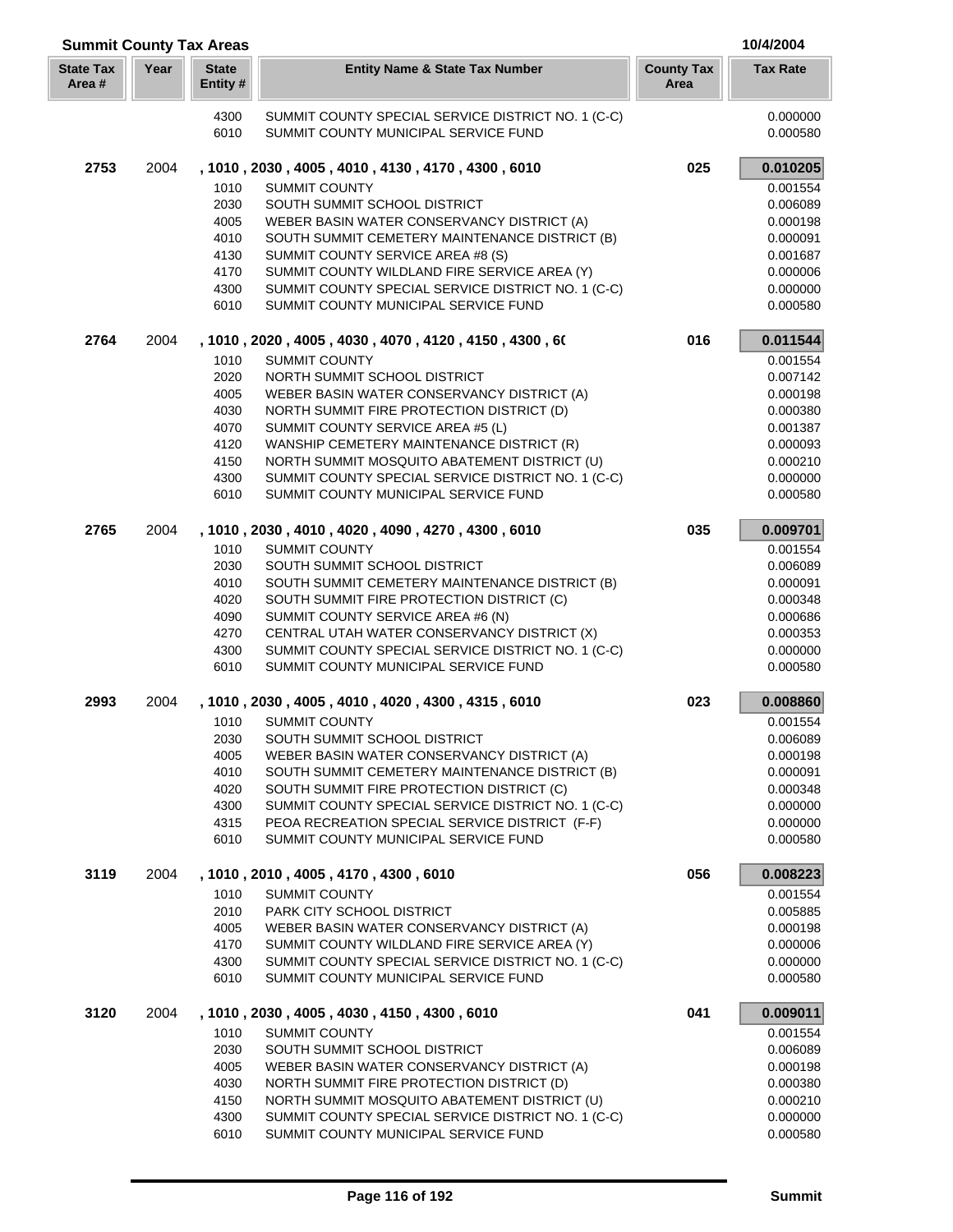| <b>Summit County Tax Areas</b> |      |                          |                                                                                                 |                           | 10/4/2004            |
|--------------------------------|------|--------------------------|-------------------------------------------------------------------------------------------------|---------------------------|----------------------|
| <b>State Tax</b><br>Area#      | Year | <b>State</b><br>Entity # | <b>Entity Name &amp; State Tax Number</b>                                                       | <b>County Tax</b><br>Area | <b>Tax Rate</b>      |
|                                |      | 4300<br>6010             | SUMMIT COUNTY SPECIAL SERVICE DISTRICT NO. 1 (C-C)<br>SUMMIT COUNTY MUNICIPAL SERVICE FUND      |                           | 0.000000<br>0.000580 |
| 2753                           | 2004 |                          | , 1010, 2030, 4005, 4010, 4130, 4170, 4300, 6010                                                | 025                       | 0.010205             |
|                                |      | 1010                     | <b>SUMMIT COUNTY</b>                                                                            |                           | 0.001554             |
|                                |      | 2030                     | SOUTH SUMMIT SCHOOL DISTRICT                                                                    |                           | 0.006089             |
|                                |      | 4005                     | WEBER BASIN WATER CONSERVANCY DISTRICT (A)                                                      |                           | 0.000198             |
|                                |      | 4010                     | SOUTH SUMMIT CEMETERY MAINTENANCE DISTRICT (B)                                                  |                           | 0.000091             |
|                                |      | 4130                     | SUMMIT COUNTY SERVICE AREA #8 (S)                                                               |                           | 0.001687             |
|                                |      | 4170                     | SUMMIT COUNTY WILDLAND FIRE SERVICE AREA (Y)                                                    |                           | 0.000006             |
|                                |      | 4300                     | SUMMIT COUNTY SPECIAL SERVICE DISTRICT NO. 1 (C-C)                                              |                           | 0.000000             |
|                                |      | 6010                     | SUMMIT COUNTY MUNICIPAL SERVICE FUND                                                            |                           | 0.000580             |
| 2764                           | 2004 |                          | , 1010, 2020, 4005, 4030, 4070, 4120, 4150, 4300, 60                                            | 016                       | 0.011544             |
|                                |      | 1010                     | <b>SUMMIT COUNTY</b>                                                                            |                           | 0.001554             |
|                                |      | 2020                     | NORTH SUMMIT SCHOOL DISTRICT                                                                    |                           | 0.007142             |
|                                |      | 4005                     | WEBER BASIN WATER CONSERVANCY DISTRICT (A)                                                      |                           | 0.000198             |
|                                |      | 4030                     | NORTH SUMMIT FIRE PROTECTION DISTRICT (D)                                                       |                           | 0.000380             |
|                                |      | 4070                     | SUMMIT COUNTY SERVICE AREA #5 (L)                                                               |                           | 0.001387             |
|                                |      | 4120                     | WANSHIP CEMETERY MAINTENANCE DISTRICT (R)                                                       |                           | 0.000093             |
|                                |      | 4150                     | NORTH SUMMIT MOSQUITO ABATEMENT DISTRICT (U)                                                    |                           | 0.000210             |
|                                |      | 4300                     | SUMMIT COUNTY SPECIAL SERVICE DISTRICT NO. 1 (C-C)                                              |                           | 0.000000             |
|                                |      | 6010                     | SUMMIT COUNTY MUNICIPAL SERVICE FUND                                                            |                           | 0.000580             |
| 2765                           | 2004 |                          | , 1010, 2030, 4010, 4020, 4090, 4270, 4300, 6010                                                | 035                       | 0.009701             |
|                                |      | 1010                     | <b>SUMMIT COUNTY</b>                                                                            |                           | 0.001554             |
|                                |      | 2030                     | SOUTH SUMMIT SCHOOL DISTRICT                                                                    |                           | 0.006089             |
|                                |      | 4010                     | SOUTH SUMMIT CEMETERY MAINTENANCE DISTRICT (B)                                                  |                           | 0.000091             |
|                                |      | 4020                     | SOUTH SUMMIT FIRE PROTECTION DISTRICT (C)                                                       |                           | 0.000348             |
|                                |      | 4090                     | SUMMIT COUNTY SERVICE AREA #6 (N)                                                               |                           | 0.000686             |
|                                |      | 4270                     | CENTRAL UTAH WATER CONSERVANCY DISTRICT (X)                                                     |                           | 0.000353             |
|                                |      | 4300                     | SUMMIT COUNTY SPECIAL SERVICE DISTRICT NO. 1 (C-C)                                              |                           | 0.000000             |
|                                |      | 6010                     | SUMMIT COUNTY MUNICIPAL SERVICE FUND                                                            |                           | 0.000580             |
| 2993                           | 2004 |                          | , 1010, 2030, 4005, 4010, 4020, 4300, 4315, 6010                                                | 023                       | 0.008860             |
|                                |      | 1010                     | <b>SUMMIT COUNTY</b>                                                                            |                           | 0.001554             |
|                                |      |                          | 2030 SOUTH SUMMIT SCHOOL DISTRICT                                                               |                           | 0.006089             |
|                                |      | 4005                     | WEBER BASIN WATER CONSERVANCY DISTRICT (A)                                                      |                           | 0.000198             |
|                                |      | 4010                     | SOUTH SUMMIT CEMETERY MAINTENANCE DISTRICT (B)                                                  |                           | 0.000091             |
|                                |      | 4020<br>4300             | SOUTH SUMMIT FIRE PROTECTION DISTRICT (C)<br>SUMMIT COUNTY SPECIAL SERVICE DISTRICT NO. 1 (C-C) |                           | 0.000348             |
|                                |      | 4315                     | PEOA RECREATION SPECIAL SERVICE DISTRICT (F-F)                                                  |                           | 0.000000<br>0.000000 |
|                                |      | 6010                     | SUMMIT COUNTY MUNICIPAL SERVICE FUND                                                            |                           | 0.000580             |
| 3119                           | 2004 |                          | , 1010, 2010, 4005, 4170, 4300, 6010                                                            | 056                       | 0.008223             |
|                                |      | 1010                     | <b>SUMMIT COUNTY</b>                                                                            |                           | 0.001554             |
|                                |      | 2010                     | PARK CITY SCHOOL DISTRICT                                                                       |                           | 0.005885             |
|                                |      | 4005                     | WEBER BASIN WATER CONSERVANCY DISTRICT (A)                                                      |                           | 0.000198             |
|                                |      | 4170                     | SUMMIT COUNTY WILDLAND FIRE SERVICE AREA (Y)                                                    |                           | 0.000006             |
|                                |      | 4300                     | SUMMIT COUNTY SPECIAL SERVICE DISTRICT NO. 1 (C-C)                                              |                           | 0.000000             |
|                                |      | 6010                     | SUMMIT COUNTY MUNICIPAL SERVICE FUND                                                            |                           | 0.000580             |
| 3120                           | 2004 |                          | , 1010, 2030, 4005, 4030, 4150, 4300, 6010                                                      | 041                       | 0.009011             |
|                                |      | 1010                     | <b>SUMMIT COUNTY</b>                                                                            |                           | 0.001554             |
|                                |      | 2030                     | SOUTH SUMMIT SCHOOL DISTRICT                                                                    |                           | 0.006089             |
|                                |      | 4005                     | WEBER BASIN WATER CONSERVANCY DISTRICT (A)                                                      |                           | 0.000198             |
|                                |      | 4030                     | NORTH SUMMIT FIRE PROTECTION DISTRICT (D)                                                       |                           | 0.000380             |
|                                |      | 4150                     | NORTH SUMMIT MOSQUITO ABATEMENT DISTRICT (U)                                                    |                           | 0.000210             |
|                                |      | 4300                     | SUMMIT COUNTY SPECIAL SERVICE DISTRICT NO. 1 (C-C)                                              |                           | 0.000000             |
|                                |      | 6010                     | SUMMIT COUNTY MUNICIPAL SERVICE FUND                                                            |                           | 0.000580             |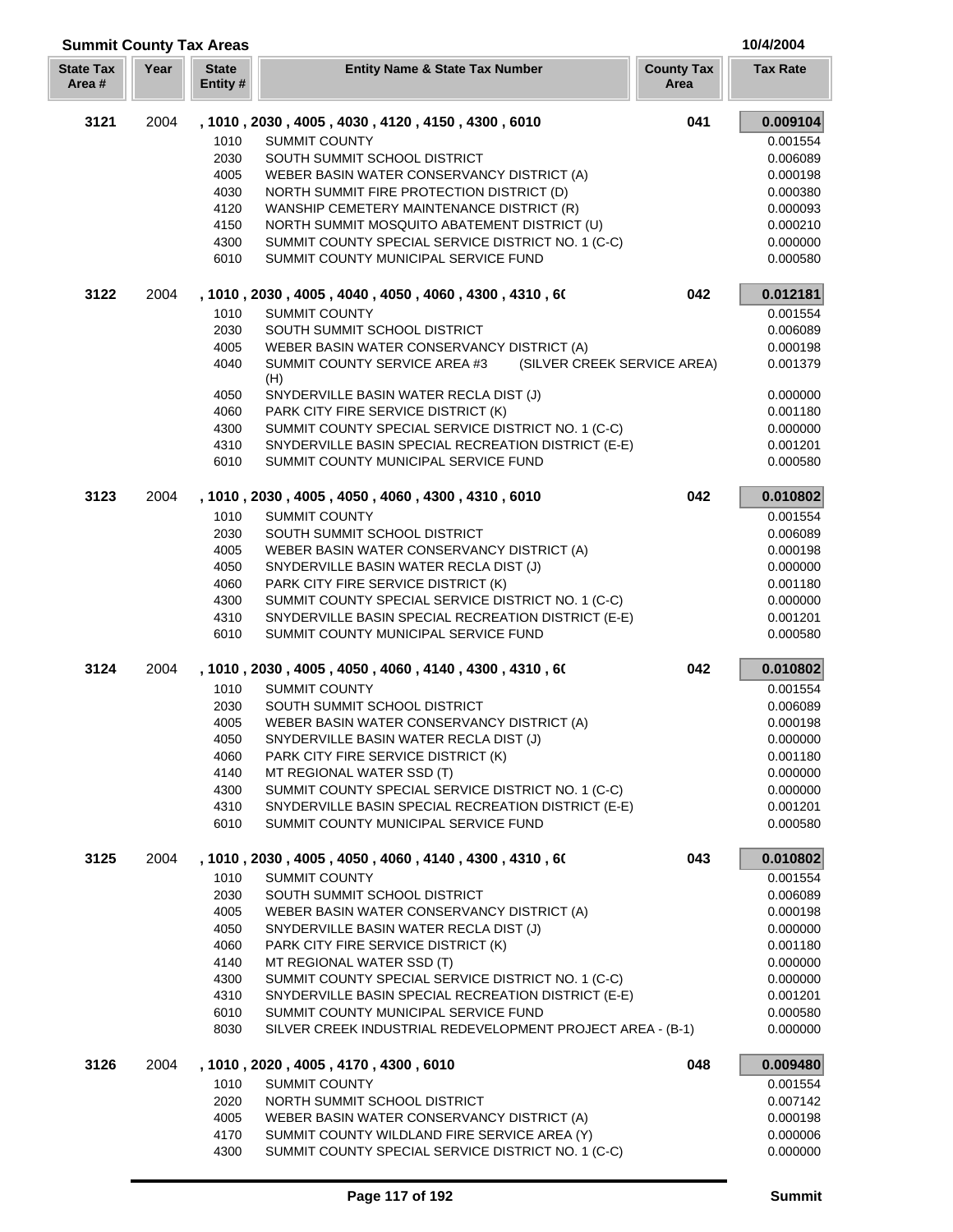| <b>Summit County Tax Areas</b> |      |                         |                                                                                                    |                           | 10/4/2004            |
|--------------------------------|------|-------------------------|----------------------------------------------------------------------------------------------------|---------------------------|----------------------|
| <b>State Tax</b><br>Area#      | Year | <b>State</b><br>Entity# | <b>Entity Name &amp; State Tax Number</b>                                                          | <b>County Tax</b><br>Area | <b>Tax Rate</b>      |
| 3121                           | 2004 |                         | , 1010, 2030, 4005, 4030, 4120, 4150, 4300, 6010                                                   | 041                       | 0.009104             |
|                                |      | 1010                    | <b>SUMMIT COUNTY</b>                                                                               |                           | 0.001554             |
|                                |      | 2030                    | SOUTH SUMMIT SCHOOL DISTRICT                                                                       |                           | 0.006089             |
|                                |      | 4005                    | WEBER BASIN WATER CONSERVANCY DISTRICT (A)                                                         |                           | 0.000198             |
|                                |      | 4030                    | NORTH SUMMIT FIRE PROTECTION DISTRICT (D)                                                          |                           | 0.000380             |
|                                |      | 4120                    | WANSHIP CEMETERY MAINTENANCE DISTRICT (R)                                                          |                           | 0.000093             |
|                                |      | 4150                    | NORTH SUMMIT MOSQUITO ABATEMENT DISTRICT (U)                                                       |                           | 0.000210             |
|                                |      | 4300                    | SUMMIT COUNTY SPECIAL SERVICE DISTRICT NO. 1 (C-C)                                                 |                           | 0.000000             |
|                                |      | 6010                    | SUMMIT COUNTY MUNICIPAL SERVICE FUND                                                               |                           | 0.000580             |
| 3122                           | 2004 |                         | , 1010, 2030, 4005, 4040, 4050, 4060, 4300, 4310, 60                                               | 042                       | 0.012181             |
|                                |      | 1010                    | <b>SUMMIT COUNTY</b>                                                                               |                           | 0.001554             |
|                                |      | 2030                    | SOUTH SUMMIT SCHOOL DISTRICT                                                                       |                           | 0.006089             |
|                                |      | 4005                    | WEBER BASIN WATER CONSERVANCY DISTRICT (A)                                                         |                           | 0.000198             |
|                                |      | 4040                    | SUMMIT COUNTY SERVICE AREA #3<br>(SILVER CREEK SERVICE AREA)                                       |                           | 0.001379             |
|                                |      | 4050                    | (H)<br>SNYDERVILLE BASIN WATER RECLA DIST (J)                                                      |                           | 0.000000             |
|                                |      | 4060                    | PARK CITY FIRE SERVICE DISTRICT (K)                                                                |                           | 0.001180             |
|                                |      | 4300                    | SUMMIT COUNTY SPECIAL SERVICE DISTRICT NO. 1 (C-C)                                                 |                           | 0.000000             |
|                                |      | 4310                    | SNYDERVILLE BASIN SPECIAL RECREATION DISTRICT (E-E)                                                |                           | 0.001201             |
|                                |      | 6010                    | SUMMIT COUNTY MUNICIPAL SERVICE FUND                                                               |                           | 0.000580             |
| 3123                           | 2004 |                         | , 1010, 2030, 4005, 4050, 4060, 4300, 4310, 6010                                                   | 042                       | 0.010802             |
|                                |      | 1010                    | <b>SUMMIT COUNTY</b>                                                                               |                           | 0.001554             |
|                                |      | 2030                    | SOUTH SUMMIT SCHOOL DISTRICT                                                                       |                           | 0.006089             |
|                                |      | 4005                    | WEBER BASIN WATER CONSERVANCY DISTRICT (A)                                                         |                           | 0.000198             |
|                                |      | 4050                    | SNYDERVILLE BASIN WATER RECLA DIST (J)                                                             |                           | 0.000000             |
|                                |      | 4060                    | PARK CITY FIRE SERVICE DISTRICT (K)                                                                |                           | 0.001180             |
|                                |      | 4300                    | SUMMIT COUNTY SPECIAL SERVICE DISTRICT NO. 1 (C-C)                                                 |                           | 0.000000             |
|                                |      | 4310                    | SNYDERVILLE BASIN SPECIAL RECREATION DISTRICT (E-E)                                                |                           | 0.001201             |
|                                |      | 6010                    | SUMMIT COUNTY MUNICIPAL SERVICE FUND                                                               |                           | 0.000580             |
| 3124                           | 2004 |                         | , 1010, 2030, 4005, 4050, 4060, 4140, 4300, 4310, 60                                               | 042                       | 0.010802             |
|                                |      | 1010                    | <b>SUMMIT COUNTY</b>                                                                               |                           | 0.001554             |
|                                |      | 2030                    | SOUTH SUMMIT SCHOOL DISTRICT                                                                       |                           | 0.006089             |
|                                |      | 4005                    | WEBER BASIN WATER CONSERVANCY DISTRICT (A)                                                         |                           | 0.000198             |
|                                |      | 4050                    | SNYDERVILLE BASIN WATER RECLA DIST (J)                                                             |                           | 0.000000             |
|                                |      | 4060                    | PARK CITY FIRE SERVICE DISTRICT (K)                                                                |                           | 0.001180             |
|                                |      | 4140                    | MT REGIONAL WATER SSD (T)                                                                          |                           | 0.000000             |
|                                |      | 4300                    | SUMMIT COUNTY SPECIAL SERVICE DISTRICT NO. 1 (C-C)                                                 |                           | 0.000000             |
|                                |      | 4310                    | SNYDERVILLE BASIN SPECIAL RECREATION DISTRICT (E-E)                                                |                           | 0.001201             |
|                                |      | 6010                    | SUMMIT COUNTY MUNICIPAL SERVICE FUND                                                               |                           | 0.000580             |
| 3125                           | 2004 |                         | , 1010, 2030, 4005, 4050, 4060, 4140, 4300, 4310, 60                                               | 043                       | 0.010802             |
|                                |      | 1010                    | <b>SUMMIT COUNTY</b>                                                                               |                           | 0.001554             |
|                                |      | 2030                    | SOUTH SUMMIT SCHOOL DISTRICT                                                                       |                           | 0.006089             |
|                                |      | 4005                    | WEBER BASIN WATER CONSERVANCY DISTRICT (A)                                                         |                           | 0.000198             |
|                                |      | 4050                    | SNYDERVILLE BASIN WATER RECLA DIST (J)                                                             |                           | 0.000000             |
|                                |      | 4060                    | PARK CITY FIRE SERVICE DISTRICT (K)                                                                |                           | 0.001180             |
|                                |      | 4140                    | MT REGIONAL WATER SSD (T)                                                                          |                           | 0.000000             |
|                                |      | 4300                    | SUMMIT COUNTY SPECIAL SERVICE DISTRICT NO. 1 (C-C)                                                 |                           | 0.000000             |
|                                |      | 4310                    | SNYDERVILLE BASIN SPECIAL RECREATION DISTRICT (E-E)                                                |                           | 0.001201             |
|                                |      | 6010<br>8030            | SUMMIT COUNTY MUNICIPAL SERVICE FUND<br>SILVER CREEK INDUSTRIAL REDEVELOPMENT PROJECT AREA - (B-1) |                           | 0.000580<br>0.000000 |
|                                |      |                         |                                                                                                    |                           |                      |
| 3126                           | 2004 |                         | , 1010, 2020, 4005, 4170, 4300, 6010                                                               | 048                       | 0.009480             |
|                                |      | 1010                    | SUMMIT COUNTY                                                                                      |                           | 0.001554             |
|                                |      | 2020                    | NORTH SUMMIT SCHOOL DISTRICT                                                                       |                           | 0.007142             |
|                                |      | 4005<br>4170            | WEBER BASIN WATER CONSERVANCY DISTRICT (A)<br>SUMMIT COUNTY WILDLAND FIRE SERVICE AREA (Y)         |                           | 0.000198<br>0.000006 |
|                                |      | 4300                    | SUMMIT COUNTY SPECIAL SERVICE DISTRICT NO. 1 (C-C)                                                 |                           | 0.000000             |
|                                |      |                         |                                                                                                    |                           |                      |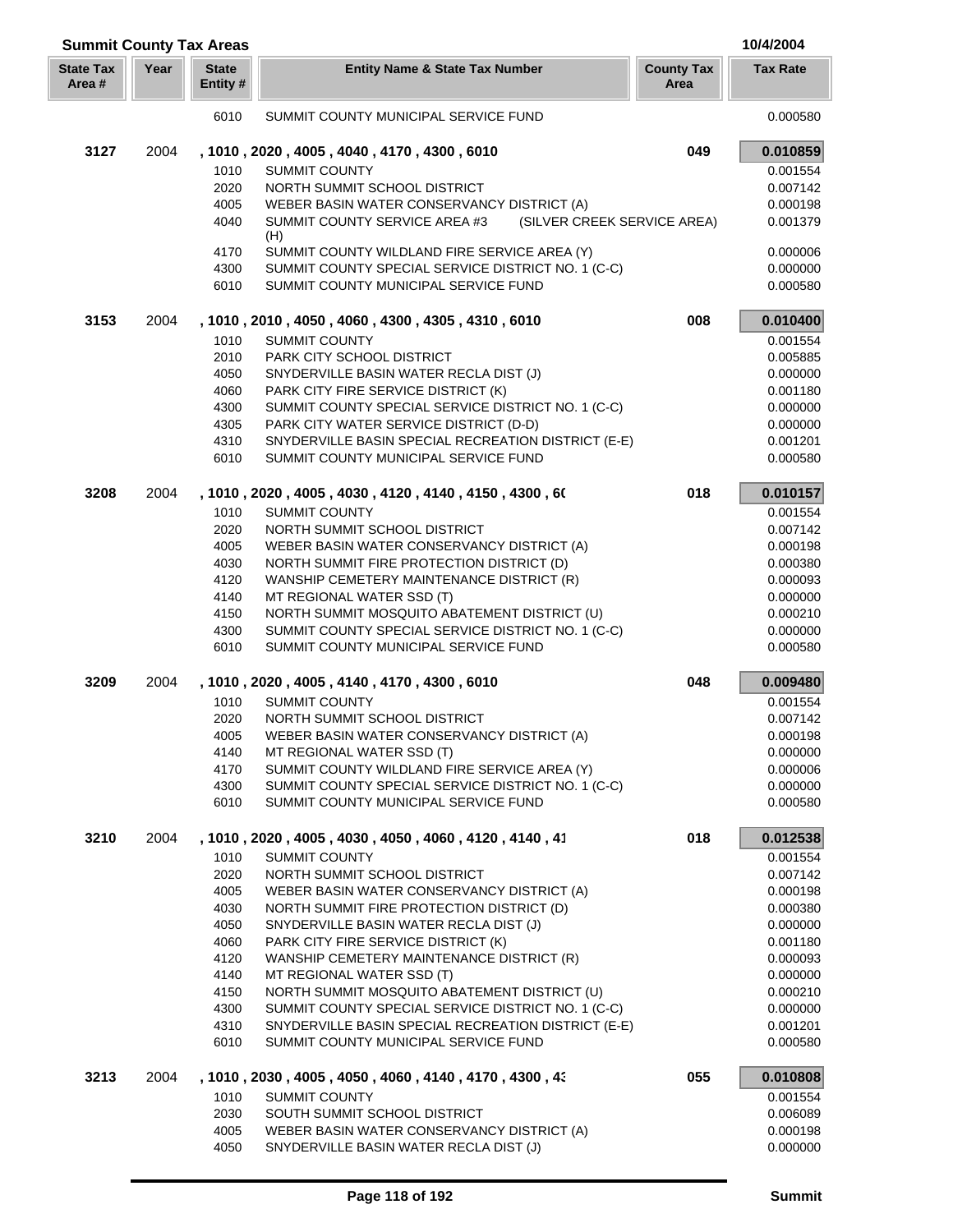| <b>Summit County Tax Areas</b> |      |                          |                                                                                            |                           | 10/4/2004            |
|--------------------------------|------|--------------------------|--------------------------------------------------------------------------------------------|---------------------------|----------------------|
| <b>State Tax</b><br>Area #     | Year | <b>State</b><br>Entity # | <b>Entity Name &amp; State Tax Number</b>                                                  | <b>County Tax</b><br>Area | <b>Tax Rate</b>      |
|                                |      | 6010                     | SUMMIT COUNTY MUNICIPAL SERVICE FUND                                                       |                           | 0.000580             |
| 3127                           | 2004 |                          | , 1010, 2020, 4005, 4040, 4170, 4300, 6010                                                 | 049                       | 0.010859             |
|                                |      | 1010                     | <b>SUMMIT COUNTY</b>                                                                       |                           | 0.001554             |
|                                |      | 2020                     | NORTH SUMMIT SCHOOL DISTRICT                                                               |                           | 0.007142             |
|                                |      | 4005                     | WEBER BASIN WATER CONSERVANCY DISTRICT (A)                                                 |                           | 0.000198             |
|                                |      | 4040                     | SUMMIT COUNTY SERVICE AREA #3<br>(SILVER CREEK SERVICE AREA)<br>(H)                        |                           | 0.001379             |
|                                |      | 4170                     | SUMMIT COUNTY WILDLAND FIRE SERVICE AREA (Y)                                               |                           | 0.000006             |
|                                |      | 4300                     | SUMMIT COUNTY SPECIAL SERVICE DISTRICT NO. 1 (C-C)                                         |                           | 0.000000             |
|                                |      | 6010                     | SUMMIT COUNTY MUNICIPAL SERVICE FUND                                                       |                           | 0.000580             |
| 3153                           | 2004 |                          | , 1010, 2010, 4050, 4060, 4300, 4305, 4310, 6010                                           | 008                       | 0.010400             |
|                                |      | 1010                     | <b>SUMMIT COUNTY</b>                                                                       |                           | 0.001554             |
|                                |      | 2010                     | PARK CITY SCHOOL DISTRICT                                                                  |                           | 0.005885             |
|                                |      | 4050                     | SNYDERVILLE BASIN WATER RECLA DIST (J)                                                     |                           | 0.000000             |
|                                |      | 4060                     | PARK CITY FIRE SERVICE DISTRICT (K)                                                        |                           | 0.001180             |
|                                |      | 4300                     | SUMMIT COUNTY SPECIAL SERVICE DISTRICT NO. 1 (C-C)                                         |                           | 0.000000             |
|                                |      | 4305                     | PARK CITY WATER SERVICE DISTRICT (D-D)                                                     |                           | 0.000000             |
|                                |      | 4310                     | SNYDERVILLE BASIN SPECIAL RECREATION DISTRICT (E-E)                                        |                           | 0.001201             |
|                                |      | 6010                     | SUMMIT COUNTY MUNICIPAL SERVICE FUND                                                       |                           | 0.000580             |
| 3208                           | 2004 |                          | , 1010, 2020, 4005, 4030, 4120, 4140, 4150, 4300, 60                                       | 018                       | 0.010157             |
|                                |      | 1010                     | <b>SUMMIT COUNTY</b>                                                                       |                           | 0.001554             |
|                                |      | 2020                     | NORTH SUMMIT SCHOOL DISTRICT                                                               |                           | 0.007142             |
|                                |      | 4005                     | WEBER BASIN WATER CONSERVANCY DISTRICT (A)                                                 |                           | 0.000198             |
|                                |      | 4030                     | NORTH SUMMIT FIRE PROTECTION DISTRICT (D)                                                  |                           | 0.000380             |
|                                |      | 4120                     | WANSHIP CEMETERY MAINTENANCE DISTRICT (R)                                                  |                           | 0.000093             |
|                                |      | 4140                     | MT REGIONAL WATER SSD (T)                                                                  |                           | 0.000000             |
|                                |      | 4150                     | NORTH SUMMIT MOSQUITO ABATEMENT DISTRICT (U)                                               |                           | 0.000210             |
|                                |      | 4300<br>6010             | SUMMIT COUNTY SPECIAL SERVICE DISTRICT NO. 1 (C-C)<br>SUMMIT COUNTY MUNICIPAL SERVICE FUND |                           | 0.000000<br>0.000580 |
| 3209                           | 2004 |                          | , 1010, 2020, 4005, 4140, 4170, 4300, 6010                                                 | 048                       | 0.009480             |
|                                |      | 1010                     | <b>SUMMIT COUNTY</b>                                                                       |                           | 0.001554             |
|                                |      | 2020                     | NORTH SUMMIT SCHOOL DISTRICT                                                               |                           | 0.007142             |
|                                |      | 4005                     | WEBER BASIN WATER CONSERVANCY DISTRICT (A)                                                 |                           | 0.000198             |
|                                |      | 4140                     | MT REGIONAL WATER SSD (T)                                                                  |                           | 0.000000             |
|                                |      | 4170                     | SUMMIT COUNTY WILDLAND FIRE SERVICE AREA (Y)                                               |                           | 0.000006             |
|                                |      | 4300                     | SUMMIT COUNTY SPECIAL SERVICE DISTRICT NO. 1 (C-C)                                         |                           | 0.000000             |
|                                |      | 6010                     | SUMMIT COUNTY MUNICIPAL SERVICE FUND                                                       |                           | 0.000580             |
| 3210                           | 2004 |                          | , 1010, 2020, 4005, 4030, 4050, 4060, 4120, 4140, 41                                       | 018                       | 0.012538             |
|                                |      | 1010                     | <b>SUMMIT COUNTY</b>                                                                       |                           | 0.001554             |
|                                |      | 2020                     | NORTH SUMMIT SCHOOL DISTRICT                                                               |                           | 0.007142             |
|                                |      | 4005                     | WEBER BASIN WATER CONSERVANCY DISTRICT (A)                                                 |                           | 0.000198             |
|                                |      | 4030                     | NORTH SUMMIT FIRE PROTECTION DISTRICT (D)                                                  |                           | 0.000380             |
|                                |      | 4050                     | SNYDERVILLE BASIN WATER RECLA DIST (J)                                                     |                           | 0.000000             |
|                                |      | 4060                     | PARK CITY FIRE SERVICE DISTRICT (K)                                                        |                           | 0.001180             |
|                                |      | 4120                     | WANSHIP CEMETERY MAINTENANCE DISTRICT (R)                                                  |                           | 0.000093             |
|                                |      | 4140                     | MT REGIONAL WATER SSD (T)                                                                  |                           | 0.000000             |
|                                |      | 4150                     | NORTH SUMMIT MOSQUITO ABATEMENT DISTRICT (U)                                               |                           | 0.000210             |
|                                |      | 4300                     | SUMMIT COUNTY SPECIAL SERVICE DISTRICT NO. 1 (C-C)                                         |                           | 0.000000             |
|                                |      | 4310                     | SNYDERVILLE BASIN SPECIAL RECREATION DISTRICT (E-E)                                        |                           | 0.001201             |
|                                |      | 6010                     | SUMMIT COUNTY MUNICIPAL SERVICE FUND                                                       |                           | 0.000580             |
| 3213                           | 2004 |                          | , 1010, 2030, 4005, 4050, 4060, 4140, 4170, 4300, 43                                       | 055                       | 0.010808             |
|                                |      | 1010                     | <b>SUMMIT COUNTY</b>                                                                       |                           | 0.001554             |
|                                |      | 2030                     | SOUTH SUMMIT SCHOOL DISTRICT                                                               |                           | 0.006089             |
|                                |      | 4005                     | WEBER BASIN WATER CONSERVANCY DISTRICT (A)                                                 |                           | 0.000198             |
|                                |      | 4050                     | SNYDERVILLE BASIN WATER RECLA DIST (J)                                                     |                           | 0.000000             |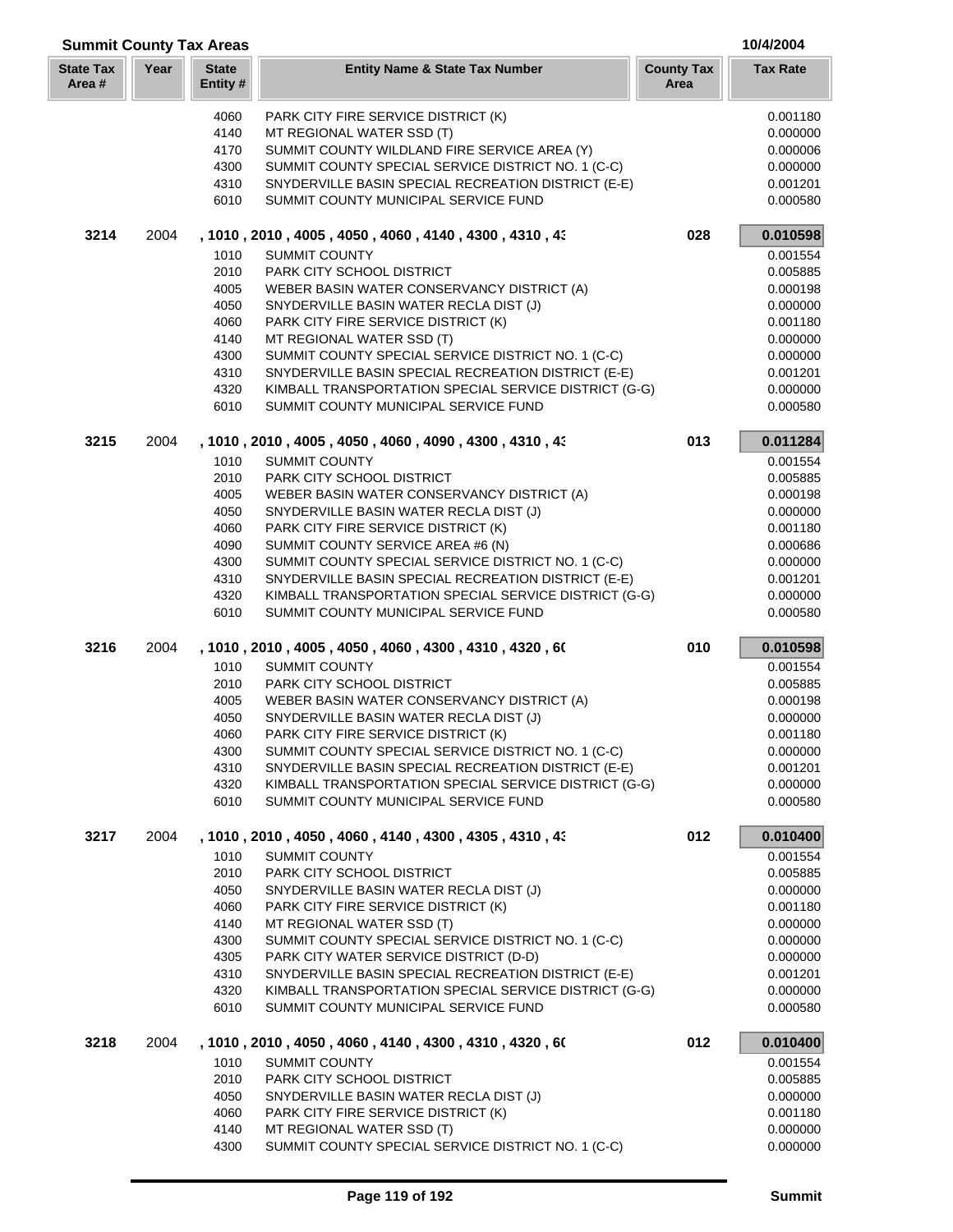| <b>Summit County Tax Areas</b> |      |                          |                                                                                                           |                           | 10/4/2004            |
|--------------------------------|------|--------------------------|-----------------------------------------------------------------------------------------------------------|---------------------------|----------------------|
| <b>State Tax</b><br>Area#      | Year | <b>State</b><br>Entity # | <b>Entity Name &amp; State Tax Number</b>                                                                 | <b>County Tax</b><br>Area | <b>Tax Rate</b>      |
|                                |      |                          |                                                                                                           |                           |                      |
|                                |      | 4060                     | PARK CITY FIRE SERVICE DISTRICT (K)                                                                       |                           | 0.001180             |
|                                |      | 4140                     | MT REGIONAL WATER SSD (T)                                                                                 |                           | 0.000000             |
|                                |      | 4170                     | SUMMIT COUNTY WILDLAND FIRE SERVICE AREA (Y)                                                              |                           | 0.000006             |
|                                |      | 4300                     | SUMMIT COUNTY SPECIAL SERVICE DISTRICT NO. 1 (C-C)                                                        |                           | 0.000000             |
|                                |      | 4310                     | SNYDERVILLE BASIN SPECIAL RECREATION DISTRICT (E-E)                                                       |                           | 0.001201             |
|                                |      | 6010                     | SUMMIT COUNTY MUNICIPAL SERVICE FUND                                                                      |                           | 0.000580             |
| 3214                           | 2004 |                          | , 1010, 2010, 4005, 4050, 4060, 4140, 4300, 4310, 43                                                      | 028                       | 0.010598             |
|                                |      | 1010                     | <b>SUMMIT COUNTY</b>                                                                                      |                           | 0.001554             |
|                                |      | 2010                     | PARK CITY SCHOOL DISTRICT                                                                                 |                           | 0.005885             |
|                                |      | 4005                     | WEBER BASIN WATER CONSERVANCY DISTRICT (A)                                                                |                           | 0.000198             |
|                                |      | 4050                     | SNYDERVILLE BASIN WATER RECLA DIST (J)                                                                    |                           | 0.000000             |
|                                |      | 4060                     | PARK CITY FIRE SERVICE DISTRICT (K)                                                                       |                           | 0.001180<br>0.000000 |
|                                |      | 4140<br>4300             | MT REGIONAL WATER SSD (T)<br>SUMMIT COUNTY SPECIAL SERVICE DISTRICT NO. 1 (C-C)                           |                           | 0.000000             |
|                                |      | 4310                     | SNYDERVILLE BASIN SPECIAL RECREATION DISTRICT (E-E)                                                       |                           | 0.001201             |
|                                |      | 4320                     | KIMBALL TRANSPORTATION SPECIAL SERVICE DISTRICT (G-G)                                                     |                           | 0.000000             |
|                                |      | 6010                     | SUMMIT COUNTY MUNICIPAL SERVICE FUND                                                                      |                           | 0.000580             |
| 3215                           | 2004 |                          | , 1010, 2010, 4005, 4050, 4060, 4090, 4300, 4310, 43                                                      | 013                       | 0.011284             |
|                                |      | 1010                     | <b>SUMMIT COUNTY</b>                                                                                      |                           | 0.001554             |
|                                |      | 2010                     | PARK CITY SCHOOL DISTRICT                                                                                 |                           | 0.005885             |
|                                |      | 4005                     | WEBER BASIN WATER CONSERVANCY DISTRICT (A)                                                                |                           | 0.000198             |
|                                |      | 4050                     | SNYDERVILLE BASIN WATER RECLA DIST (J)                                                                    |                           | 0.000000             |
|                                |      | 4060                     | PARK CITY FIRE SERVICE DISTRICT (K)                                                                       |                           | 0.001180             |
|                                |      | 4090                     | SUMMIT COUNTY SERVICE AREA #6 (N)                                                                         |                           | 0.000686             |
|                                |      | 4300                     | SUMMIT COUNTY SPECIAL SERVICE DISTRICT NO. 1 (C-C)                                                        |                           | 0.000000             |
|                                |      | 4310                     | SNYDERVILLE BASIN SPECIAL RECREATION DISTRICT (E-E)                                                       |                           | 0.001201             |
|                                |      | 4320                     | KIMBALL TRANSPORTATION SPECIAL SERVICE DISTRICT (G-G)                                                     |                           | 0.000000             |
|                                |      | 6010                     | SUMMIT COUNTY MUNICIPAL SERVICE FUND                                                                      |                           | 0.000580             |
| 3216                           | 2004 |                          | , 1010, 2010, 4005, 4050, 4060, 4300, 4310, 4320, 60                                                      | 010                       | 0.010598             |
|                                |      | 1010                     | <b>SUMMIT COUNTY</b>                                                                                      |                           | 0.001554             |
|                                |      | 2010                     | PARK CITY SCHOOL DISTRICT                                                                                 |                           | 0.005885             |
|                                |      | 4005                     | WEBER BASIN WATER CONSERVANCY DISTRICT (A)                                                                |                           | 0.000198             |
|                                |      | 4050                     | SNYDERVILLE BASIN WATER RECLA DIST (J)                                                                    |                           | 0.000000             |
|                                |      | 4060                     | PARK CITY FIRE SERVICE DISTRICT (K)                                                                       |                           | 0.001180             |
|                                |      | 4300                     | SUMMIT COUNTY SPECIAL SERVICE DISTRICT NO. 1 (C-C)<br>SNYDERVILLE BASIN SPECIAL RECREATION DISTRICT (E-E) |                           | 0.000000             |
|                                |      | 4310<br>4320             | KIMBALL TRANSPORTATION SPECIAL SERVICE DISTRICT (G-G)                                                     |                           | 0.001201<br>0.000000 |
|                                |      | 6010                     | SUMMIT COUNTY MUNICIPAL SERVICE FUND                                                                      |                           | 0.000580             |
| 3217                           | 2004 |                          | , 1010, 2010, 4050, 4060, 4140, 4300, 4305, 4310, 43                                                      | 012                       | 0.010400             |
|                                |      | 1010                     | <b>SUMMIT COUNTY</b>                                                                                      |                           | 0.001554             |
|                                |      | 2010                     | PARK CITY SCHOOL DISTRICT                                                                                 |                           | 0.005885             |
|                                |      | 4050                     | SNYDERVILLE BASIN WATER RECLA DIST (J)                                                                    |                           | 0.000000             |
|                                |      | 4060                     | PARK CITY FIRE SERVICE DISTRICT (K)                                                                       |                           | 0.001180             |
|                                |      | 4140                     | MT REGIONAL WATER SSD (T)                                                                                 |                           | 0.000000             |
|                                |      | 4300                     | SUMMIT COUNTY SPECIAL SERVICE DISTRICT NO. 1 (C-C)                                                        |                           | 0.000000             |
|                                |      | 4305                     | PARK CITY WATER SERVICE DISTRICT (D-D)                                                                    |                           | 0.000000             |
|                                |      | 4310                     | SNYDERVILLE BASIN SPECIAL RECREATION DISTRICT (E-E)                                                       |                           | 0.001201             |
|                                |      | 4320                     | KIMBALL TRANSPORTATION SPECIAL SERVICE DISTRICT (G-G)                                                     |                           | 0.000000             |
|                                |      | 6010                     | SUMMIT COUNTY MUNICIPAL SERVICE FUND                                                                      |                           | 0.000580             |
| 3218                           | 2004 |                          | , 1010, 2010, 4050, 4060, 4140, 4300, 4310, 4320, 60                                                      | 012                       | 0.010400             |
|                                |      | 1010                     | <b>SUMMIT COUNTY</b>                                                                                      |                           | 0.001554             |
|                                |      | 2010                     | PARK CITY SCHOOL DISTRICT                                                                                 |                           | 0.005885             |
|                                |      | 4050                     | SNYDERVILLE BASIN WATER RECLA DIST (J)                                                                    |                           | 0.000000             |
|                                |      | 4060                     | PARK CITY FIRE SERVICE DISTRICT (K)                                                                       |                           | 0.001180             |
|                                |      | 4140<br>4300             | MT REGIONAL WATER SSD (T)<br>SUMMIT COUNTY SPECIAL SERVICE DISTRICT NO. 1 (C-C)                           |                           | 0.000000<br>0.000000 |
|                                |      |                          |                                                                                                           |                           |                      |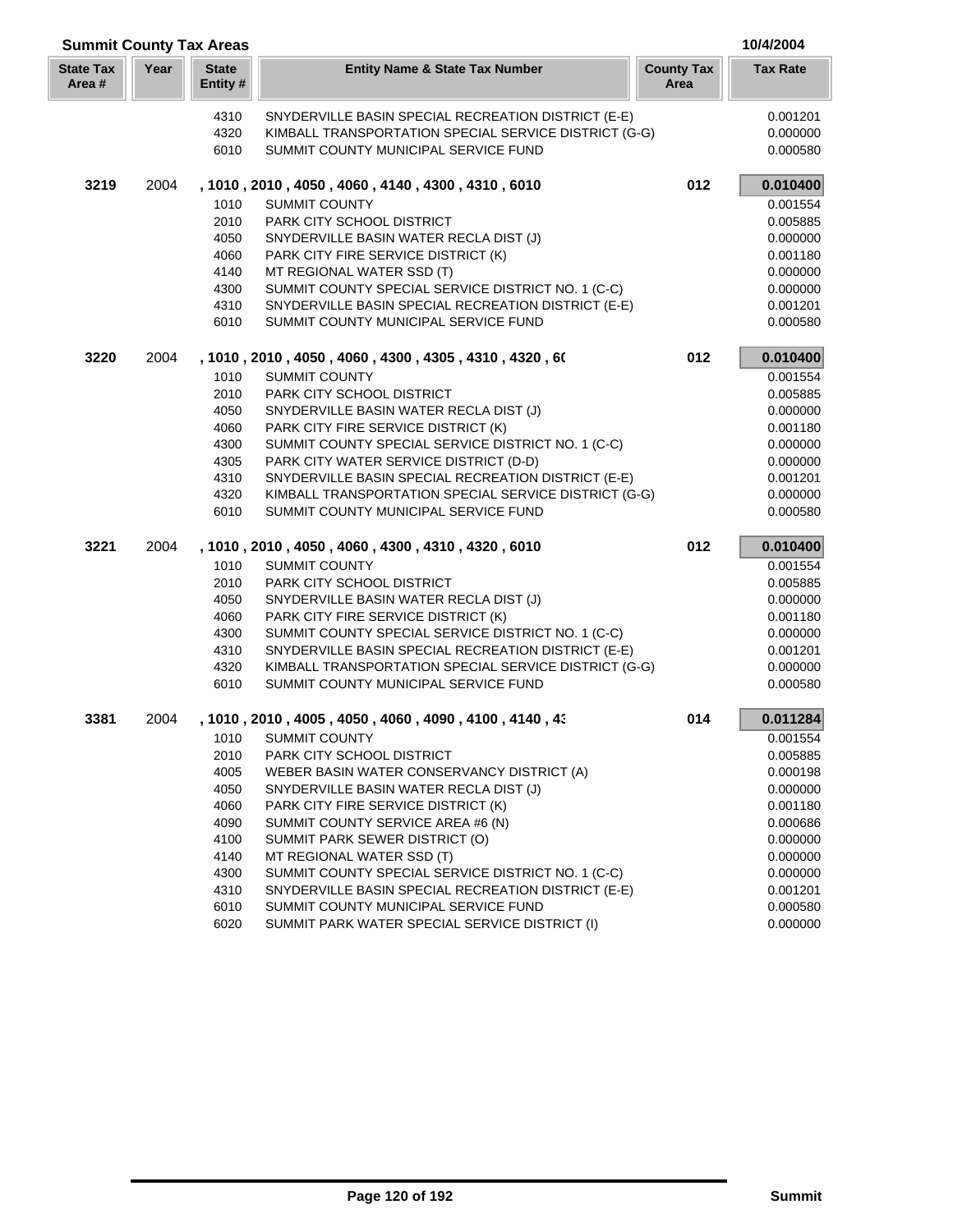| <b>Summit County Tax Areas</b> |      |                          |                                                                                               |                           | 10/4/2004            |
|--------------------------------|------|--------------------------|-----------------------------------------------------------------------------------------------|---------------------------|----------------------|
| <b>State Tax</b><br>Area #     | Year | <b>State</b><br>Entity # | <b>Entity Name &amp; State Tax Number</b>                                                     | <b>County Tax</b><br>Area | <b>Tax Rate</b>      |
|                                |      | 4310                     | SNYDERVILLE BASIN SPECIAL RECREATION DISTRICT (E-E)                                           |                           | 0.001201             |
|                                |      | 4320                     | KIMBALL TRANSPORTATION SPECIAL SERVICE DISTRICT (G-G)                                         |                           | 0.000000             |
|                                |      | 6010                     | SUMMIT COUNTY MUNICIPAL SERVICE FUND                                                          |                           | 0.000580             |
| 3219                           | 2004 |                          | , 1010, 2010, 4050, 4060, 4140, 4300, 4310, 6010                                              | 012                       | 0.010400             |
|                                |      | 1010                     | <b>SUMMIT COUNTY</b>                                                                          |                           | 0.001554             |
|                                |      | 2010                     | PARK CITY SCHOOL DISTRICT                                                                     |                           | 0.005885             |
|                                |      | 4050                     | SNYDERVILLE BASIN WATER RECLA DIST (J)                                                        |                           | 0.000000             |
|                                |      | 4060                     | PARK CITY FIRE SERVICE DISTRICT (K)                                                           |                           | 0.001180             |
|                                |      | 4140                     | MT REGIONAL WATER SSD (T)                                                                     |                           | 0.000000             |
|                                |      | 4300                     | SUMMIT COUNTY SPECIAL SERVICE DISTRICT NO. 1 (C-C)                                            |                           | 0.000000             |
|                                |      | 4310                     | SNYDERVILLE BASIN SPECIAL RECREATION DISTRICT (E-E)                                           |                           | 0.001201             |
|                                |      | 6010                     | SUMMIT COUNTY MUNICIPAL SERVICE FUND                                                          |                           | 0.000580             |
| 3220                           | 2004 |                          | , 1010 , 2010 , 4050 , 4060 , 4300 , 4305 , 4310 , 4320 , 60                                  | 012                       | 0.010400             |
|                                |      | 1010                     | <b>SUMMIT COUNTY</b>                                                                          |                           | 0.001554             |
|                                |      | 2010                     | PARK CITY SCHOOL DISTRICT                                                                     |                           | 0.005885             |
|                                |      | 4050                     | SNYDERVILLE BASIN WATER RECLA DIST (J)                                                        |                           | 0.000000             |
|                                |      | 4060                     | PARK CITY FIRE SERVICE DISTRICT (K)                                                           |                           | 0.001180             |
|                                |      | 4300                     | SUMMIT COUNTY SPECIAL SERVICE DISTRICT NO. 1 (C-C)                                            |                           | 0.000000             |
|                                |      | 4305                     | PARK CITY WATER SERVICE DISTRICT (D-D)                                                        |                           | 0.000000             |
|                                |      | 4310                     | SNYDERVILLE BASIN SPECIAL RECREATION DISTRICT (E-E)                                           |                           | 0.001201             |
|                                |      | 4320<br>6010             | KIMBALL TRANSPORTATION SPECIAL SERVICE DISTRICT (G-G)<br>SUMMIT COUNTY MUNICIPAL SERVICE FUND |                           | 0.000000             |
|                                |      |                          |                                                                                               |                           | 0.000580             |
| 3221                           | 2004 |                          | , 1010, 2010, 4050, 4060, 4300, 4310, 4320, 6010                                              | 012                       | 0.010400             |
|                                |      | 1010                     | <b>SUMMIT COUNTY</b>                                                                          |                           | 0.001554             |
|                                |      | 2010                     | PARK CITY SCHOOL DISTRICT                                                                     |                           | 0.005885             |
|                                |      | 4050                     | SNYDERVILLE BASIN WATER RECLA DIST (J)                                                        |                           | 0.000000             |
|                                |      | 4060                     | PARK CITY FIRE SERVICE DISTRICT (K)                                                           |                           | 0.001180             |
|                                |      | 4300                     | SUMMIT COUNTY SPECIAL SERVICE DISTRICT NO. 1 (C-C)                                            |                           | 0.000000             |
|                                |      | 4310                     | SNYDERVILLE BASIN SPECIAL RECREATION DISTRICT (E-E)                                           |                           | 0.001201             |
|                                |      | 4320                     | KIMBALL TRANSPORTATION SPECIAL SERVICE DISTRICT (G-G)                                         |                           | 0.000000             |
|                                |      | 6010                     | SUMMIT COUNTY MUNICIPAL SERVICE FUND                                                          |                           | 0.000580             |
| 3381                           | 2004 |                          | , 1010, 2010, 4005, 4050, 4060, 4090, 4100, 4140, 43                                          | 014                       | 0.011284             |
|                                |      |                          | 1010 SUMMIT COUNTY                                                                            |                           | 0.001554             |
|                                |      | 2010                     | PARK CITY SCHOOL DISTRICT                                                                     |                           | 0.005885             |
|                                |      | 4005                     | WEBER BASIN WATER CONSERVANCY DISTRICT (A)                                                    |                           | 0.000198             |
|                                |      | 4050                     | SNYDERVILLE BASIN WATER RECLA DIST (J)                                                        |                           | 0.000000             |
|                                |      | 4060                     | PARK CITY FIRE SERVICE DISTRICT (K)                                                           |                           | 0.001180             |
|                                |      | 4090<br>4100             | SUMMIT COUNTY SERVICE AREA #6 (N)<br>SUMMIT PARK SEWER DISTRICT (O)                           |                           | 0.000686<br>0.000000 |
|                                |      | 4140                     | MT REGIONAL WATER SSD (T)                                                                     |                           | 0.000000             |
|                                |      | 4300                     | SUMMIT COUNTY SPECIAL SERVICE DISTRICT NO. 1 (C-C)                                            |                           | 0.000000             |
|                                |      | 4310                     | SNYDERVILLE BASIN SPECIAL RECREATION DISTRICT (E-E)                                           |                           | 0.001201             |
|                                |      | 6010                     | SUMMIT COUNTY MUNICIPAL SERVICE FUND                                                          |                           | 0.000580             |
|                                |      | 6020                     | SUMMIT PARK WATER SPECIAL SERVICE DISTRICT (I)                                                |                           | 0.000000             |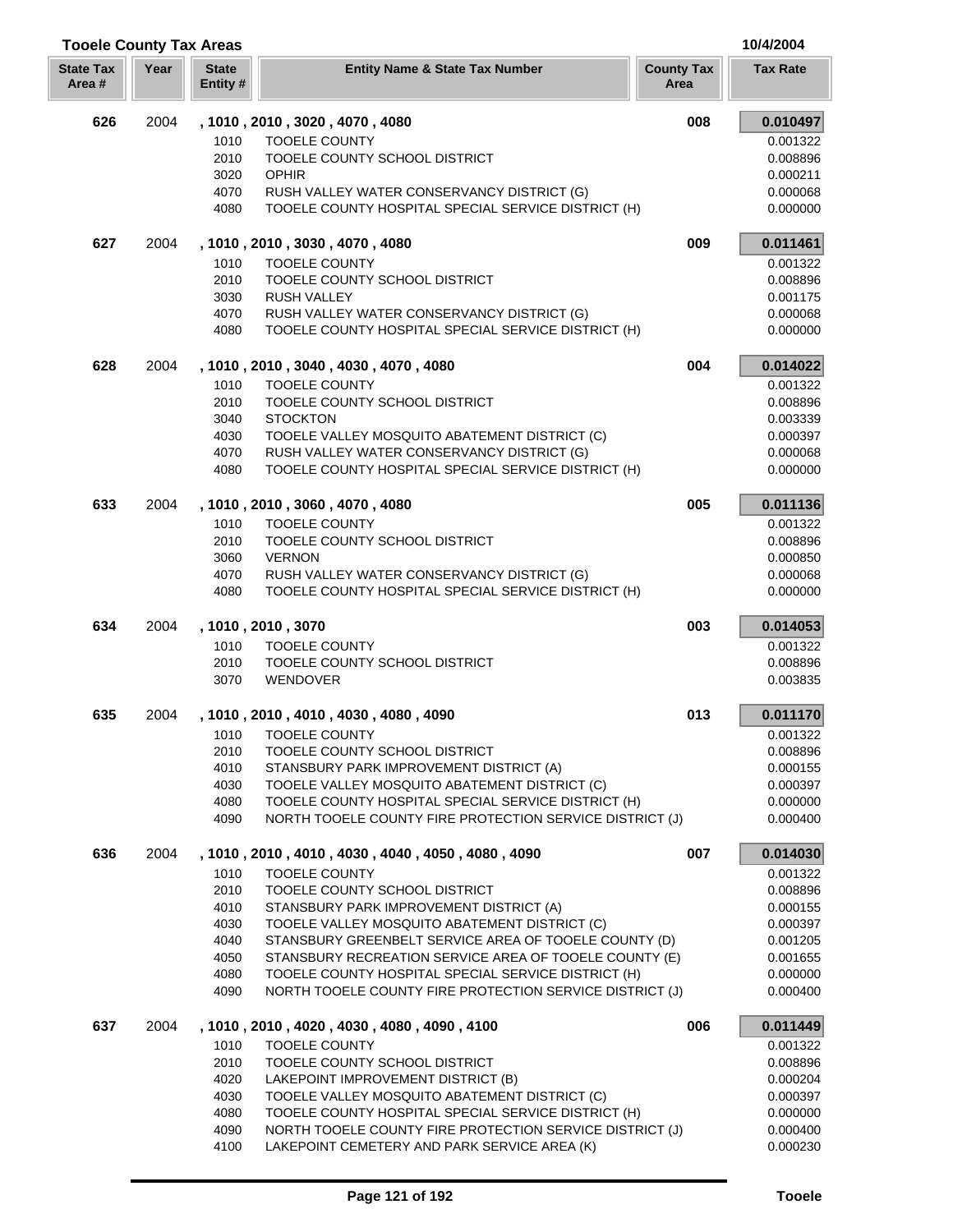| <b>Tooele County Tax Areas</b> |      |                          |                                                                                                                 |                           | 10/4/2004            |
|--------------------------------|------|--------------------------|-----------------------------------------------------------------------------------------------------------------|---------------------------|----------------------|
| <b>State Tax</b><br>Area #     | Year | <b>State</b><br>Entity # | <b>Entity Name &amp; State Tax Number</b>                                                                       | <b>County Tax</b><br>Area | <b>Tax Rate</b>      |
| 626                            | 2004 |                          | , 1010, 2010, 3020, 4070, 4080                                                                                  | 008                       | 0.010497             |
|                                |      | 1010                     | <b>TOOELE COUNTY</b>                                                                                            |                           | 0.001322             |
|                                |      | 2010                     | TOOELE COUNTY SCHOOL DISTRICT                                                                                   |                           | 0.008896             |
|                                |      | 3020                     | <b>OPHIR</b>                                                                                                    |                           | 0.000211             |
|                                |      | 4070                     | RUSH VALLEY WATER CONSERVANCY DISTRICT (G)                                                                      |                           | 0.000068             |
|                                |      | 4080                     | TOOELE COUNTY HOSPITAL SPECIAL SERVICE DISTRICT (H)                                                             |                           | 0.000000             |
| 627                            | 2004 |                          | , 1010 , 2010 , 3030 , 4070 , 4080                                                                              | 009                       | 0.011461             |
|                                |      | 1010                     | <b>TOOELE COUNTY</b>                                                                                            |                           | 0.001322             |
|                                |      | 2010                     | TOOELE COUNTY SCHOOL DISTRICT                                                                                   |                           | 0.008896             |
|                                |      | 3030                     | <b>RUSH VALLEY</b>                                                                                              |                           | 0.001175             |
|                                |      | 4070<br>4080             | RUSH VALLEY WATER CONSERVANCY DISTRICT (G)<br>TOOELE COUNTY HOSPITAL SPECIAL SERVICE DISTRICT (H)               |                           | 0.000068<br>0.000000 |
| 628                            | 2004 |                          | , 1010, 2010, 3040, 4030, 4070, 4080                                                                            | 004                       | 0.014022             |
|                                |      | 1010                     | <b>TOOELE COUNTY</b>                                                                                            |                           | 0.001322             |
|                                |      | 2010                     | TOOELE COUNTY SCHOOL DISTRICT                                                                                   |                           | 0.008896             |
|                                |      | 3040                     | <b>STOCKTON</b>                                                                                                 |                           | 0.003339             |
|                                |      | 4030                     | TOOELE VALLEY MOSQUITO ABATEMENT DISTRICT (C)                                                                   |                           | 0.000397             |
|                                |      | 4070                     | RUSH VALLEY WATER CONSERVANCY DISTRICT (G)                                                                      |                           | 0.000068             |
|                                |      | 4080                     | TOOELE COUNTY HOSPITAL SPECIAL SERVICE DISTRICT (H)                                                             |                           | 0.000000             |
| 633                            | 2004 |                          | , 1010, 2010, 3060, 4070, 4080                                                                                  | 005                       | 0.011136             |
|                                |      | 1010                     | <b>TOOELE COUNTY</b>                                                                                            |                           | 0.001322             |
|                                |      | 2010                     | TOOELE COUNTY SCHOOL DISTRICT                                                                                   |                           | 0.008896             |
|                                |      | 3060                     | <b>VERNON</b>                                                                                                   |                           | 0.000850             |
|                                |      | 4070                     | RUSH VALLEY WATER CONSERVANCY DISTRICT (G)                                                                      |                           | 0.000068             |
|                                |      | 4080                     | TOOELE COUNTY HOSPITAL SPECIAL SERVICE DISTRICT (H)                                                             |                           | 0.000000             |
| 634                            | 2004 |                          | , 1010, 2010, 3070                                                                                              | 003                       | 0.014053             |
|                                |      | 1010                     | <b>TOOELE COUNTY</b>                                                                                            |                           | 0.001322             |
|                                |      | 2010                     | TOOELE COUNTY SCHOOL DISTRICT                                                                                   |                           | 0.008896             |
|                                |      | 3070                     | <b>WENDOVER</b>                                                                                                 |                           | 0.003835             |
| 635                            | 2004 |                          | , 1010, 2010, 4010, 4030, 4080, 4090                                                                            | 013                       | 0.011170             |
|                                |      |                          | 1010 TOOELE COUNTY                                                                                              |                           | 0.001322             |
|                                |      | 2010                     | TOOELE COUNTY SCHOOL DISTRICT                                                                                   |                           | 0.008896             |
|                                |      | 4010<br>4030             | STANSBURY PARK IMPROVEMENT DISTRICT (A)<br>TOOELE VALLEY MOSQUITO ABATEMENT DISTRICT (C)                        |                           | 0.000155<br>0.000397 |
|                                |      | 4080                     | TOOELE COUNTY HOSPITAL SPECIAL SERVICE DISTRICT (H)                                                             |                           | 0.000000             |
|                                |      | 4090                     | NORTH TOOELE COUNTY FIRE PROTECTION SERVICE DISTRICT (J)                                                        |                           | 0.000400             |
|                                |      |                          |                                                                                                                 |                           |                      |
| 636                            | 2004 | 1010                     | , 1010, 2010, 4010, 4030, 4040, 4050, 4080, 4090<br><b>TOOELE COUNTY</b>                                        | 007                       | 0.014030<br>0.001322 |
|                                |      | 2010                     | TOOELE COUNTY SCHOOL DISTRICT                                                                                   |                           | 0.008896             |
|                                |      | 4010                     | STANSBURY PARK IMPROVEMENT DISTRICT (A)                                                                         |                           | 0.000155             |
|                                |      | 4030                     | TOOELE VALLEY MOSQUITO ABATEMENT DISTRICT (C)                                                                   |                           | 0.000397             |
|                                |      | 4040                     | STANSBURY GREENBELT SERVICE AREA OF TOOELE COUNTY (D)                                                           |                           | 0.001205             |
|                                |      | 4050                     | STANSBURY RECREATION SERVICE AREA OF TOOELE COUNTY (E)                                                          |                           | 0.001655             |
|                                |      | 4080                     | TOOELE COUNTY HOSPITAL SPECIAL SERVICE DISTRICT (H)                                                             |                           | 0.000000             |
|                                |      | 4090                     | NORTH TOOELE COUNTY FIRE PROTECTION SERVICE DISTRICT (J)                                                        |                           | 0.000400             |
| 637                            | 2004 |                          | , 1010, 2010, 4020, 4030, 4080, 4090, 4100                                                                      | 006                       | 0.011449             |
|                                |      | 1010                     | <b>TOOELE COUNTY</b>                                                                                            |                           | 0.001322             |
|                                |      | 2010                     | TOOELE COUNTY SCHOOL DISTRICT                                                                                   |                           | 0.008896             |
|                                |      | 4020                     | LAKEPOINT IMPROVEMENT DISTRICT (B)                                                                              |                           | 0.000204             |
|                                |      | 4030                     | TOOELE VALLEY MOSQUITO ABATEMENT DISTRICT (C)                                                                   |                           | 0.000397             |
|                                |      | 4080<br>4090             | TOOELE COUNTY HOSPITAL SPECIAL SERVICE DISTRICT (H)<br>NORTH TOOELE COUNTY FIRE PROTECTION SERVICE DISTRICT (J) |                           | 0.000000<br>0.000400 |
|                                |      | 4100                     | LAKEPOINT CEMETERY AND PARK SERVICE AREA (K)                                                                    |                           | 0.000230             |
|                                |      |                          |                                                                                                                 |                           |                      |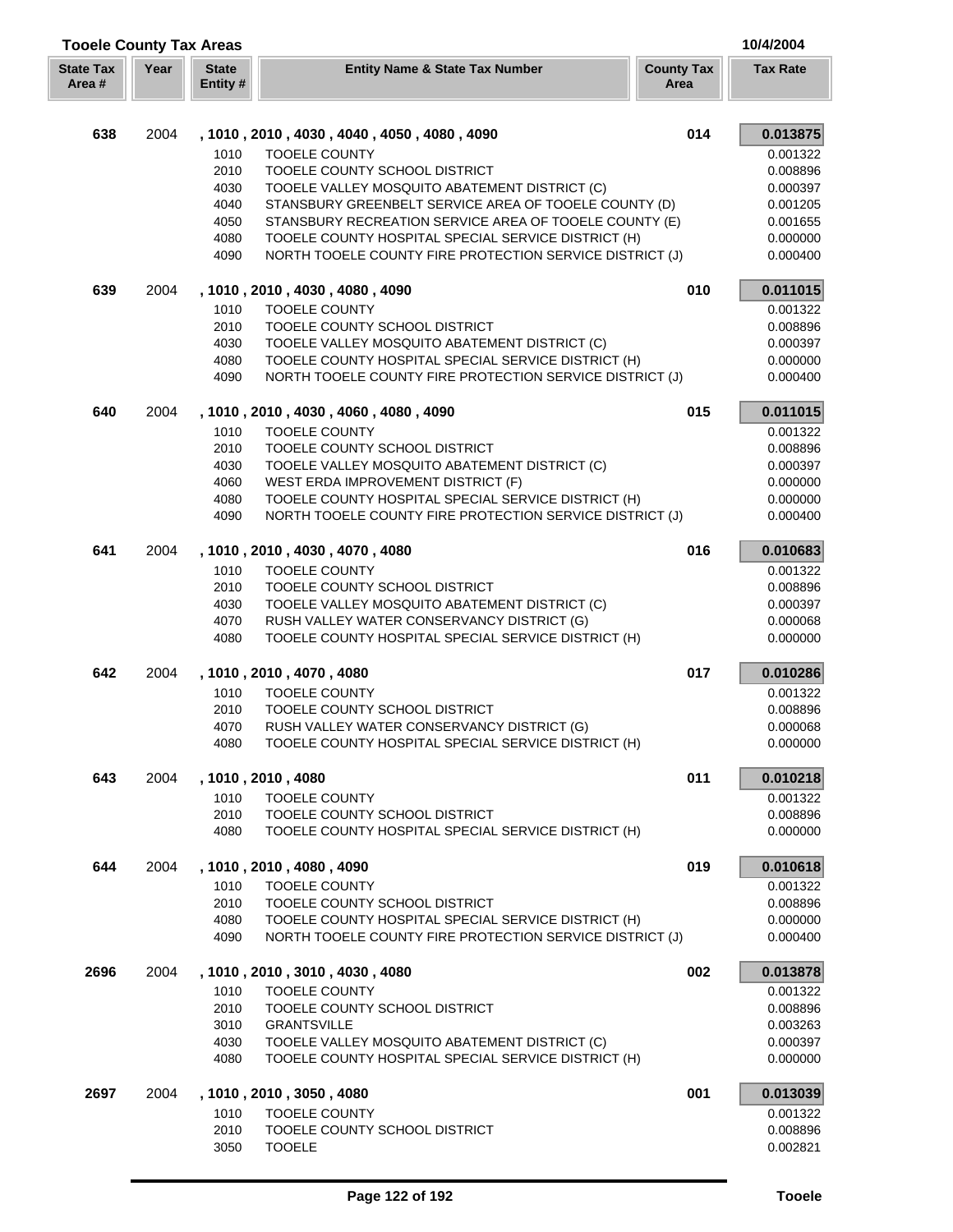| <b>Tooele County Tax Areas</b> |      |                         |                                                                                                                 |                           | 10/4/2004            |
|--------------------------------|------|-------------------------|-----------------------------------------------------------------------------------------------------------------|---------------------------|----------------------|
| <b>State Tax</b><br>Area #     | Year | <b>State</b><br>Entity# | <b>Entity Name &amp; State Tax Number</b>                                                                       | <b>County Tax</b><br>Area | <b>Tax Rate</b>      |
| 638                            | 2004 |                         | , 1010, 2010, 4030, 4040, 4050, 4080, 4090                                                                      | 014                       | 0.013875             |
|                                |      | 1010                    | <b>TOOELE COUNTY</b>                                                                                            |                           | 0.001322             |
|                                |      | 2010                    | TOOELE COUNTY SCHOOL DISTRICT                                                                                   |                           | 0.008896             |
|                                |      | 4030                    | TOOELE VALLEY MOSQUITO ABATEMENT DISTRICT (C)                                                                   |                           | 0.000397             |
|                                |      | 4040                    | STANSBURY GREENBELT SERVICE AREA OF TOOELE COUNTY (D)                                                           |                           | 0.001205             |
|                                |      | 4050                    | STANSBURY RECREATION SERVICE AREA OF TOOELE COUNTY (E)                                                          |                           | 0.001655             |
|                                |      | 4080                    | TOOELE COUNTY HOSPITAL SPECIAL SERVICE DISTRICT (H)                                                             |                           | 0.000000             |
|                                |      | 4090                    | NORTH TOOELE COUNTY FIRE PROTECTION SERVICE DISTRICT (J)                                                        |                           | 0.000400             |
| 639                            | 2004 |                         | , 1010, 2010, 4030, 4080, 4090                                                                                  | 010                       | 0.011015             |
|                                |      | 1010                    | <b>TOOELE COUNTY</b>                                                                                            |                           | 0.001322             |
|                                |      | 2010                    | TOOELE COUNTY SCHOOL DISTRICT                                                                                   |                           | 0.008896             |
|                                |      | 4030                    | TOOELE VALLEY MOSQUITO ABATEMENT DISTRICT (C)                                                                   |                           | 0.000397             |
|                                |      | 4080<br>4090            | TOOELE COUNTY HOSPITAL SPECIAL SERVICE DISTRICT (H)<br>NORTH TOOELE COUNTY FIRE PROTECTION SERVICE DISTRICT (J) |                           | 0.000000<br>0.000400 |
| 640                            | 2004 |                         | , 1010, 2010, 4030, 4060, 4080, 4090                                                                            | 015                       | 0.011015             |
|                                |      | 1010                    | <b>TOOELE COUNTY</b>                                                                                            |                           | 0.001322             |
|                                |      | 2010                    | TOOELE COUNTY SCHOOL DISTRICT                                                                                   |                           | 0.008896             |
|                                |      | 4030                    | TOOELE VALLEY MOSQUITO ABATEMENT DISTRICT (C)                                                                   |                           | 0.000397             |
|                                |      | 4060                    | WEST ERDA IMPROVEMENT DISTRICT (F)                                                                              |                           | 0.000000             |
|                                |      | 4080                    | TOOELE COUNTY HOSPITAL SPECIAL SERVICE DISTRICT (H)                                                             |                           | 0.000000             |
|                                |      | 4090                    | NORTH TOOELE COUNTY FIRE PROTECTION SERVICE DISTRICT (J)                                                        |                           | 0.000400             |
| 641                            | 2004 |                         | , 1010, 2010, 4030, 4070, 4080                                                                                  | 016                       | 0.010683             |
|                                |      | 1010                    | <b>TOOELE COUNTY</b>                                                                                            |                           | 0.001322             |
|                                |      | 2010                    | TOOELE COUNTY SCHOOL DISTRICT                                                                                   |                           | 0.008896             |
|                                |      | 4030                    | TOOELE VALLEY MOSQUITO ABATEMENT DISTRICT (C)                                                                   |                           | 0.000397             |
|                                |      | 4070                    | RUSH VALLEY WATER CONSERVANCY DISTRICT (G)                                                                      |                           | 0.000068             |
|                                |      | 4080                    | TOOELE COUNTY HOSPITAL SPECIAL SERVICE DISTRICT (H)                                                             |                           | 0.000000             |
| 642                            | 2004 |                         | , 1010, 2010, 4070, 4080                                                                                        | 017                       | 0.010286             |
|                                |      | 1010<br>2010            | <b>TOOELE COUNTY</b><br>TOOELE COUNTY SCHOOL DISTRICT                                                           |                           | 0.001322<br>0.008896 |
|                                |      | 4070                    | RUSH VALLEY WATER CONSERVANCY DISTRICT (G)                                                                      |                           | 0.000068             |
|                                |      | 4080                    | TOOELE COUNTY HOSPITAL SPECIAL SERVICE DISTRICT (H)                                                             |                           | 0.000000             |
| 643                            | 2004 |                         | , 1010, 2010, 4080                                                                                              | 011                       | 0.010218             |
|                                |      | 1010                    | <b>TOOELE COUNTY</b>                                                                                            |                           | 0.001322             |
|                                |      | 2010                    | TOOELE COUNTY SCHOOL DISTRICT                                                                                   |                           | 0.008896             |
|                                |      | 4080                    | TOOELE COUNTY HOSPITAL SPECIAL SERVICE DISTRICT (H)                                                             |                           | 0.000000             |
| 644                            | 2004 |                         | , 1010, 2010, 4080, 4090                                                                                        | 019                       | 0.010618             |
|                                |      | 1010                    | <b>TOOELE COUNTY</b>                                                                                            |                           | 0.001322             |
|                                |      | 2010                    | TOOELE COUNTY SCHOOL DISTRICT                                                                                   |                           | 0.008896             |
|                                |      | 4080<br>4090            | TOOELE COUNTY HOSPITAL SPECIAL SERVICE DISTRICT (H)<br>NORTH TOOELE COUNTY FIRE PROTECTION SERVICE DISTRICT (J) |                           | 0.000000<br>0.000400 |
| 2696                           | 2004 |                         | , 1010, 2010, 3010, 4030, 4080                                                                                  | 002                       | 0.013878             |
|                                |      | 1010                    | <b>TOOELE COUNTY</b>                                                                                            |                           | 0.001322             |
|                                |      | 2010                    | TOOELE COUNTY SCHOOL DISTRICT                                                                                   |                           | 0.008896             |
|                                |      | 3010                    | <b>GRANTSVILLE</b>                                                                                              |                           | 0.003263             |
|                                |      | 4030                    | TOOELE VALLEY MOSQUITO ABATEMENT DISTRICT (C)                                                                   |                           | 0.000397             |
|                                |      | 4080                    | TOOELE COUNTY HOSPITAL SPECIAL SERVICE DISTRICT (H)                                                             |                           | 0.000000             |
| 2697                           | 2004 |                         | , 1010, 2010, 3050, 4080                                                                                        | 001                       | 0.013039             |
|                                |      | 1010                    | <b>TOOELE COUNTY</b>                                                                                            |                           | 0.001322             |
|                                |      | 2010                    | TOOELE COUNTY SCHOOL DISTRICT                                                                                   |                           | 0.008896             |
|                                |      | 3050                    | <b>TOOELE</b>                                                                                                   |                           | 0.002821             |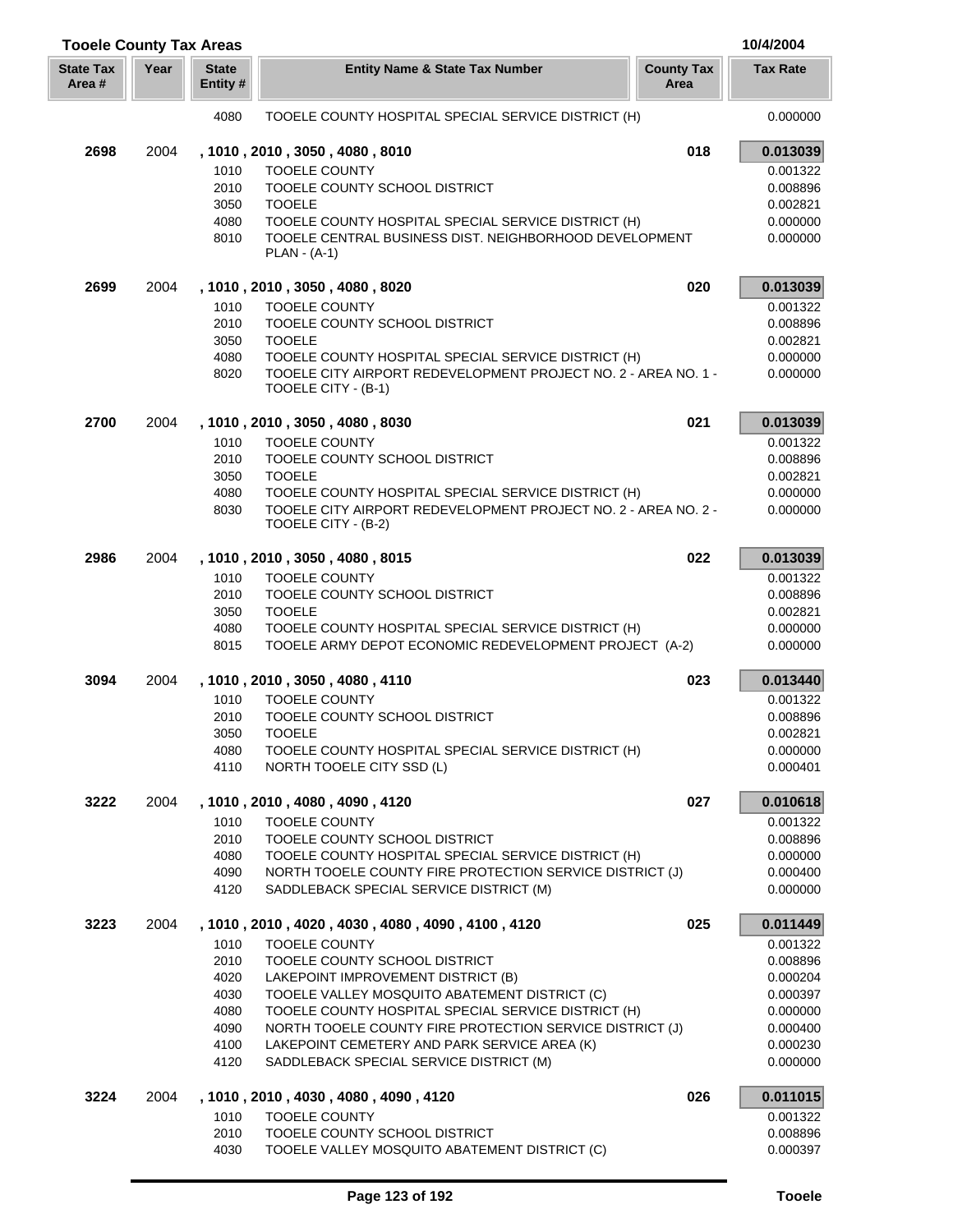| <b>Tooele County Tax Areas</b> |      |                          |                                                                                                     |                           | 10/4/2004            |
|--------------------------------|------|--------------------------|-----------------------------------------------------------------------------------------------------|---------------------------|----------------------|
| <b>State Tax</b><br>Area #     | Year | <b>State</b><br>Entity # | <b>Entity Name &amp; State Tax Number</b>                                                           | <b>County Tax</b><br>Area | <b>Tax Rate</b>      |
|                                |      | 4080                     | TOOELE COUNTY HOSPITAL SPECIAL SERVICE DISTRICT (H)                                                 |                           | 0.000000             |
| 2698                           | 2004 |                          | , 1010, 2010, 3050, 4080, 8010                                                                      | 018                       | 0.013039             |
|                                |      | 1010                     | <b>TOOELE COUNTY</b>                                                                                |                           | 0.001322             |
|                                |      | 2010                     | TOOELE COUNTY SCHOOL DISTRICT                                                                       |                           | 0.008896             |
|                                |      | 3050                     | <b>TOOELE</b>                                                                                       |                           | 0.002821             |
|                                |      | 4080                     | TOOELE COUNTY HOSPITAL SPECIAL SERVICE DISTRICT (H)                                                 |                           | 0.000000             |
|                                |      | 8010                     | TOOELE CENTRAL BUSINESS DIST. NEIGHBORHOOD DEVELOPMENT<br>$PLAN - (A-1)$                            |                           | 0.000000             |
| 2699                           | 2004 |                          | , 1010, 2010, 3050, 4080, 8020                                                                      | 020                       | 0.013039             |
|                                |      | 1010                     | <b>TOOELE COUNTY</b>                                                                                |                           | 0.001322             |
|                                |      | 2010                     | TOOELE COUNTY SCHOOL DISTRICT                                                                       |                           | 0.008896             |
|                                |      | 3050                     | <b>TOOELE</b>                                                                                       |                           | 0.002821             |
|                                |      | 4080                     | TOOELE COUNTY HOSPITAL SPECIAL SERVICE DISTRICT (H)                                                 |                           | 0.000000             |
|                                |      | 8020                     | TOOELE CITY AIRPORT REDEVELOPMENT PROJECT NO. 2 - AREA NO. 1 -<br>TOOELE CITY - (B-1)               |                           | 0.000000             |
| 2700                           | 2004 |                          | , 1010, 2010, 3050, 4080, 8030                                                                      | 021                       | 0.013039             |
|                                |      | 1010                     | <b>TOOELE COUNTY</b>                                                                                |                           | 0.001322             |
|                                |      | 2010                     | TOOELE COUNTY SCHOOL DISTRICT                                                                       |                           | 0.008896             |
|                                |      | 3050                     | <b>TOOELE</b>                                                                                       |                           | 0.002821             |
|                                |      | 4080                     | TOOELE COUNTY HOSPITAL SPECIAL SERVICE DISTRICT (H)                                                 |                           | 0.000000             |
|                                |      | 8030                     | TOOELE CITY AIRPORT REDEVELOPMENT PROJECT NO. 2 - AREA NO. 2 -<br>TOOELE CITY - (B-2)               |                           | 0.000000             |
| 2986                           | 2004 |                          | , 1010, 2010, 3050, 4080, 8015                                                                      | 022                       | 0.013039             |
|                                |      | 1010                     | <b>TOOELE COUNTY</b>                                                                                |                           | 0.001322             |
|                                |      | 2010                     | TOOELE COUNTY SCHOOL DISTRICT                                                                       |                           | 0.008896             |
|                                |      | 3050                     | <b>TOOELE</b>                                                                                       |                           | 0.002821             |
|                                |      | 4080                     | TOOELE COUNTY HOSPITAL SPECIAL SERVICE DISTRICT (H)                                                 |                           | 0.000000             |
|                                |      | 8015                     | TOOELE ARMY DEPOT ECONOMIC REDEVELOPMENT PROJECT (A-2)                                              |                           | 0.000000             |
| 3094                           | 2004 |                          | , 1010, 2010, 3050, 4080, 4110                                                                      | 023                       | 0.013440             |
|                                |      | 1010                     | <b>TOOELE COUNTY</b>                                                                                |                           | 0.001322             |
|                                |      | 2010                     | TOOELE COUNTY SCHOOL DISTRICT                                                                       |                           | 0.008896             |
|                                |      | 3050                     | <b>TOOELE</b>                                                                                       |                           | 0.002821             |
|                                |      | 4080                     | TOOELE COUNTY HOSPITAL SPECIAL SERVICE DISTRICT (H)                                                 |                           | 0.000000             |
|                                |      | 4110                     | NORTH TOOELE CITY SSD (L)                                                                           |                           | 0.000401             |
| 3222                           | 2004 |                          | , 1010, 2010, 4080, 4090, 4120                                                                      | 027                       | 0.010618             |
|                                |      | 1010                     | <b>TOOELE COUNTY</b>                                                                                |                           | 0.001322             |
|                                |      | 2010                     | TOOELE COUNTY SCHOOL DISTRICT                                                                       |                           | 0.008896             |
|                                |      | 4080                     | TOOELE COUNTY HOSPITAL SPECIAL SERVICE DISTRICT (H)                                                 |                           | 0.000000             |
|                                |      | 4090<br>4120             | NORTH TOOELE COUNTY FIRE PROTECTION SERVICE DISTRICT (J)<br>SADDLEBACK SPECIAL SERVICE DISTRICT (M) |                           | 0.000400<br>0.000000 |
|                                |      |                          |                                                                                                     |                           |                      |
| 3223                           | 2004 |                          | , 1010, 2010, 4020, 4030, 4080, 4090, 4100, 4120                                                    | 025                       | 0.011449             |
|                                |      | 1010<br>2010             | <b>TOOELE COUNTY</b>                                                                                |                           | 0.001322             |
|                                |      | 4020                     | TOOELE COUNTY SCHOOL DISTRICT<br>LAKEPOINT IMPROVEMENT DISTRICT (B)                                 |                           | 0.008896<br>0.000204 |
|                                |      | 4030                     | TOOELE VALLEY MOSQUITO ABATEMENT DISTRICT (C)                                                       |                           | 0.000397             |
|                                |      | 4080                     | TOOELE COUNTY HOSPITAL SPECIAL SERVICE DISTRICT (H)                                                 |                           | 0.000000             |
|                                |      | 4090                     | NORTH TOOELE COUNTY FIRE PROTECTION SERVICE DISTRICT (J)                                            |                           | 0.000400             |
|                                |      | 4100                     | LAKEPOINT CEMETERY AND PARK SERVICE AREA (K)                                                        |                           | 0.000230             |
|                                |      | 4120                     | SADDLEBACK SPECIAL SERVICE DISTRICT (M)                                                             |                           | 0.000000             |
| 3224                           | 2004 |                          | , 1010, 2010, 4030, 4080, 4090, 4120                                                                | 026                       | 0.011015             |
|                                |      | 1010                     | <b>TOOELE COUNTY</b>                                                                                |                           | 0.001322             |
|                                |      | 2010                     | TOOELE COUNTY SCHOOL DISTRICT                                                                       |                           | 0.008896             |
|                                |      | 4030                     | TOOELE VALLEY MOSQUITO ABATEMENT DISTRICT (C)                                                       |                           | 0.000397             |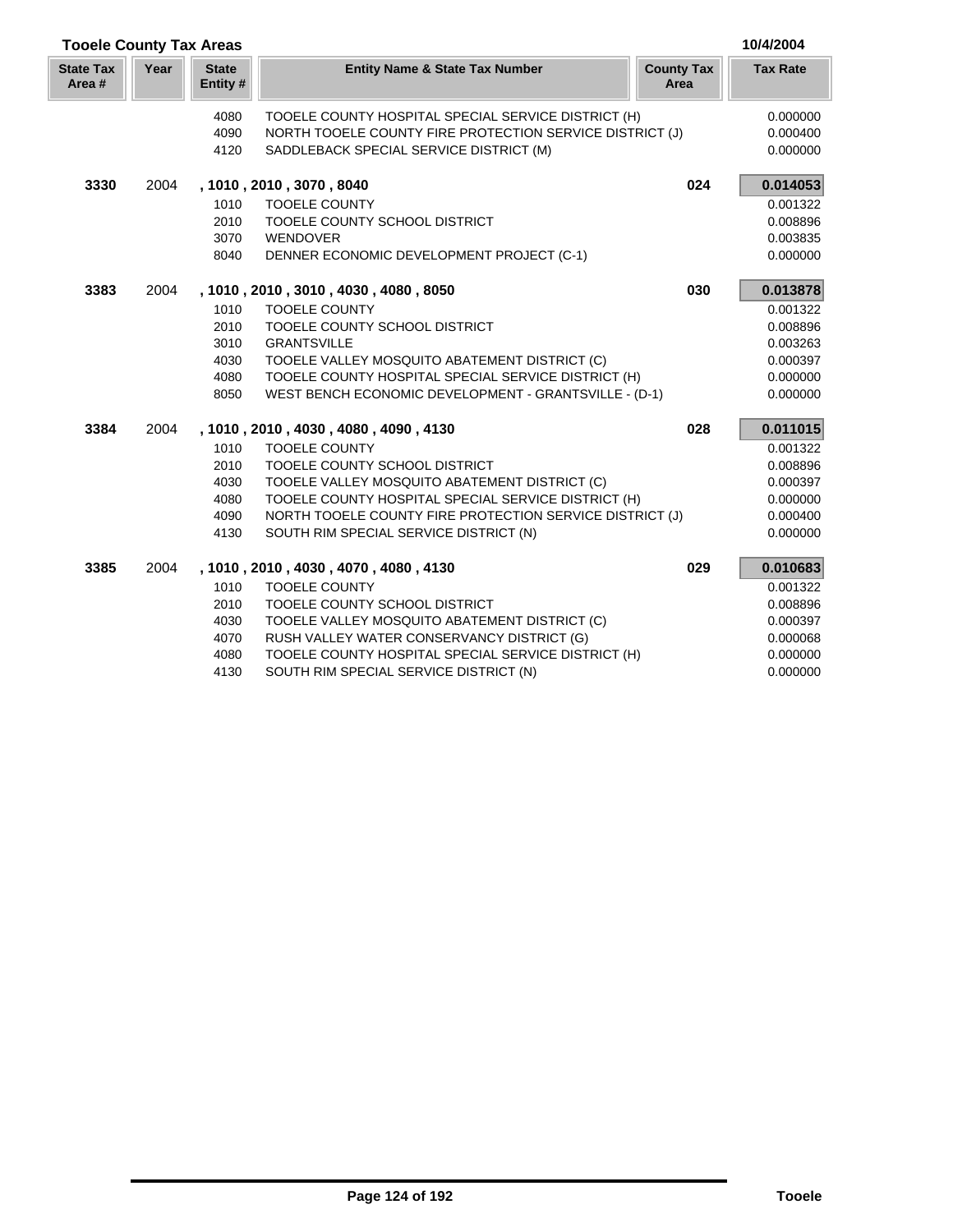| <b>Tooele County Tax Areas</b> |      |                         |                                                          |                           | 10/4/2004       |
|--------------------------------|------|-------------------------|----------------------------------------------------------|---------------------------|-----------------|
| <b>State Tax</b><br>Area #     | Year | <b>State</b><br>Entity# | <b>Entity Name &amp; State Tax Number</b>                | <b>County Tax</b><br>Area | <b>Tax Rate</b> |
|                                |      | 4080                    | TOOELE COUNTY HOSPITAL SPECIAL SERVICE DISTRICT (H)      |                           | 0.000000        |
|                                |      | 4090                    | NORTH TOOELE COUNTY FIRE PROTECTION SERVICE DISTRICT (J) |                           | 0.000400        |
|                                |      | 4120                    | SADDLEBACK SPECIAL SERVICE DISTRICT (M)                  |                           | 0.000000        |
| 3330                           | 2004 |                         | , 1010, 2010, 3070, 8040                                 | 024                       | 0.014053        |
|                                |      | 1010                    | <b>TOOELE COUNTY</b>                                     |                           | 0.001322        |
|                                |      | 2010                    | TOOELE COUNTY SCHOOL DISTRICT                            |                           | 0.008896        |
|                                |      | 3070                    | WENDOVER                                                 |                           | 0.003835        |
|                                |      | 8040                    | DENNER ECONOMIC DEVELOPMENT PROJECT (C-1)                |                           | 0.000000        |
| 3383                           | 2004 |                         | , 1010, 2010, 3010, 4030, 4080, 8050                     | 030                       | 0.013878        |
|                                |      | 1010                    | <b>TOOELE COUNTY</b>                                     |                           | 0.001322        |
|                                |      | 2010                    | TOOELE COUNTY SCHOOL DISTRICT                            |                           | 0.008896        |
|                                |      | 3010                    | <b>GRANTSVILLE</b>                                       |                           | 0.003263        |
|                                |      | 4030                    | TOOELE VALLEY MOSQUITO ABATEMENT DISTRICT (C)            |                           | 0.000397        |
|                                |      | 4080                    | TOOELE COUNTY HOSPITAL SPECIAL SERVICE DISTRICT (H)      |                           | 0.000000        |
|                                |      | 8050                    | WEST BENCH ECONOMIC DEVELOPMENT - GRANTSVILLE - (D-1)    |                           | 0.000000        |
| 3384                           | 2004 |                         | , 1010, 2010, 4030, 4080, 4090, 4130                     | 028                       | 0.011015        |
|                                |      | 1010                    | <b>TOOELE COUNTY</b>                                     |                           | 0.001322        |
|                                |      | 2010                    | TOOELE COUNTY SCHOOL DISTRICT                            |                           | 0.008896        |
|                                |      | 4030                    | TOOELE VALLEY MOSQUITO ABATEMENT DISTRICT (C)            |                           | 0.000397        |
|                                |      | 4080                    | TOOELE COUNTY HOSPITAL SPECIAL SERVICE DISTRICT (H)      |                           | 0.000000        |
|                                |      | 4090                    | NORTH TOOELE COUNTY FIRE PROTECTION SERVICE DISTRICT (J) |                           | 0.000400        |
|                                |      | 4130                    | SOUTH RIM SPECIAL SERVICE DISTRICT (N)                   |                           | 0.000000        |
| 3385                           | 2004 |                         | , 1010, 2010, 4030, 4070, 4080, 4130                     | 029                       | 0.010683        |
|                                |      | 1010                    | <b>TOOELE COUNTY</b>                                     |                           | 0.001322        |
|                                |      | 2010                    | TOOELE COUNTY SCHOOL DISTRICT                            |                           | 0.008896        |
|                                |      | 4030                    | TOOELE VALLEY MOSQUITO ABATEMENT DISTRICT (C)            |                           | 0.000397        |
|                                |      | 4070                    | RUSH VALLEY WATER CONSERVANCY DISTRICT (G)               |                           | 0.000068        |
|                                |      | 4080                    | TOOELE COUNTY HOSPITAL SPECIAL SERVICE DISTRICT (H)      |                           | 0.000000        |
|                                |      |                         |                                                          |                           |                 |

4130 SOUTH RIM SPECIAL SERVICE DISTRICT (N) 0.000000 0.000000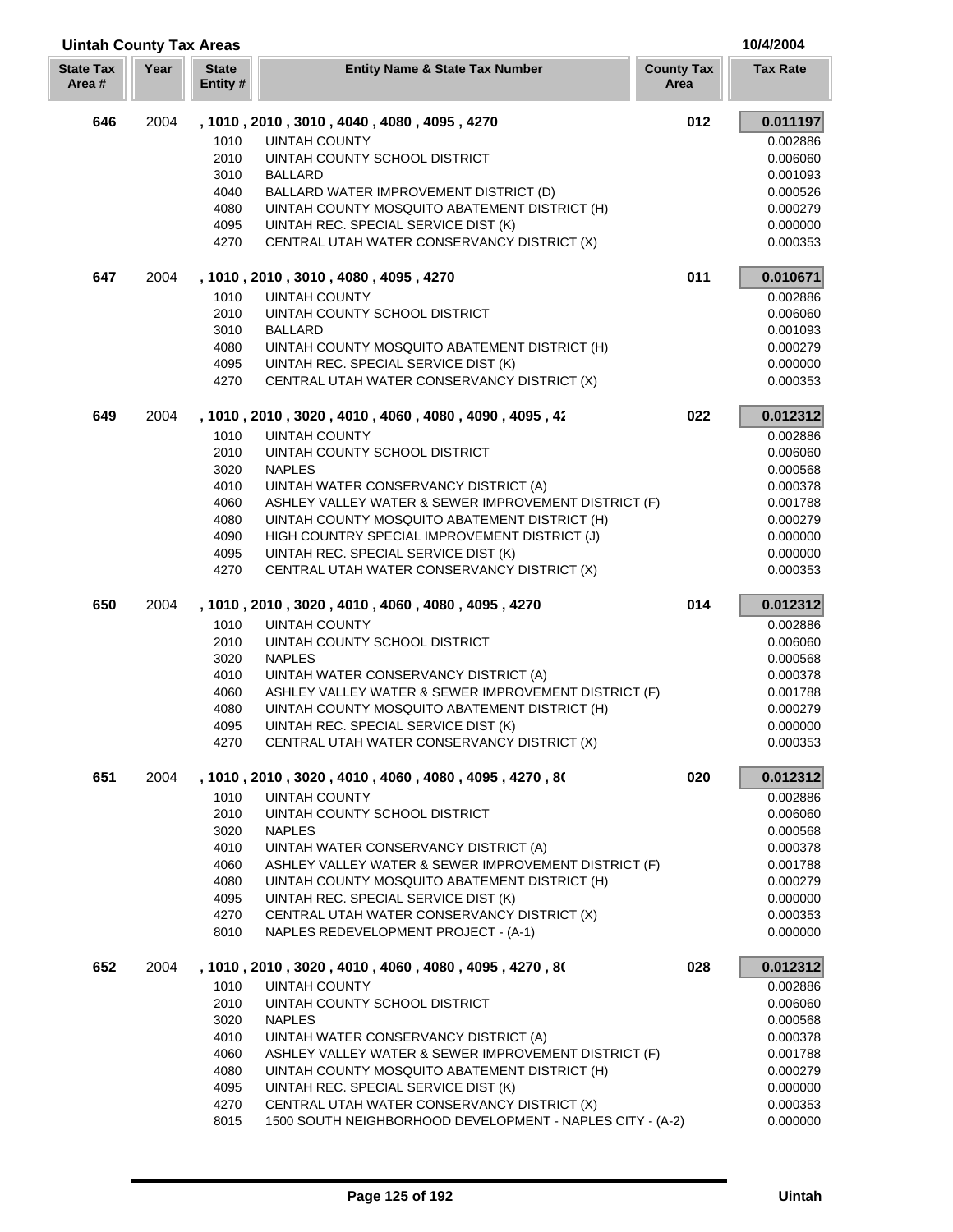| <b>Uintah County Tax Areas</b> |      |                          |                                                                                      |                           | 10/4/2004            |
|--------------------------------|------|--------------------------|--------------------------------------------------------------------------------------|---------------------------|----------------------|
| <b>State Tax</b><br>Area#      | Year | <b>State</b><br>Entity # | <b>Entity Name &amp; State Tax Number</b>                                            | <b>County Tax</b><br>Area | <b>Tax Rate</b>      |
| 646                            | 2004 |                          | , 1010, 2010, 3010, 4040, 4080, 4095, 4270                                           | 012                       | 0.011197             |
|                                |      | 1010                     | <b>UINTAH COUNTY</b>                                                                 |                           | 0.002886             |
|                                |      | 2010                     | UINTAH COUNTY SCHOOL DISTRICT                                                        |                           | 0.006060             |
|                                |      | 3010                     | <b>BALLARD</b>                                                                       |                           | 0.001093             |
|                                |      | 4040                     | BALLARD WATER IMPROVEMENT DISTRICT (D)                                               |                           | 0.000526             |
|                                |      | 4080                     | UINTAH COUNTY MOSQUITO ABATEMENT DISTRICT (H)                                        |                           | 0.000279             |
|                                |      | 4095                     | UINTAH REC. SPECIAL SERVICE DIST (K)                                                 |                           | 0.000000             |
|                                |      | 4270                     | CENTRAL UTAH WATER CONSERVANCY DISTRICT (X)                                          |                           | 0.000353             |
| 647                            | 2004 |                          | , 1010, 2010, 3010, 4080, 4095, 4270                                                 | 011                       | 0.010671             |
|                                |      | 1010                     | <b>UINTAH COUNTY</b>                                                                 |                           | 0.002886             |
|                                |      | 2010                     | UINTAH COUNTY SCHOOL DISTRICT                                                        |                           | 0.006060             |
|                                |      | 3010                     | <b>BALLARD</b>                                                                       |                           | 0.001093             |
|                                |      | 4080                     | UINTAH COUNTY MOSQUITO ABATEMENT DISTRICT (H)                                        |                           | 0.000279             |
|                                |      | 4095                     | UINTAH REC. SPECIAL SERVICE DIST (K)                                                 |                           | 0.000000             |
|                                |      | 4270                     | CENTRAL UTAH WATER CONSERVANCY DISTRICT (X)                                          |                           | 0.000353             |
| 649                            | 2004 |                          | , 1010, 2010, 3020, 4010, 4060, 4080, 4090, 4095, 42                                 | 022                       | 0.012312             |
|                                |      | 1010                     | <b>UINTAH COUNTY</b>                                                                 |                           | 0.002886             |
|                                |      | 2010                     | UINTAH COUNTY SCHOOL DISTRICT                                                        |                           | 0.006060             |
|                                |      | 3020                     | <b>NAPLES</b>                                                                        |                           | 0.000568             |
|                                |      | 4010                     | UINTAH WATER CONSERVANCY DISTRICT (A)                                                |                           | 0.000378             |
|                                |      | 4060                     | ASHLEY VALLEY WATER & SEWER IMPROVEMENT DISTRICT (F)                                 |                           | 0.001788             |
|                                |      | 4080                     | UINTAH COUNTY MOSQUITO ABATEMENT DISTRICT (H)                                        |                           | 0.000279             |
|                                |      | 4090                     | HIGH COUNTRY SPECIAL IMPROVEMENT DISTRICT (J)                                        |                           | 0.000000             |
|                                |      | 4095                     | UINTAH REC. SPECIAL SERVICE DIST (K)                                                 |                           | 0.000000             |
|                                |      | 4270                     | CENTRAL UTAH WATER CONSERVANCY DISTRICT (X)                                          |                           | 0.000353             |
|                                |      |                          |                                                                                      |                           |                      |
| 650                            | 2004 | 1010                     | , 1010, 2010, 3020, 4010, 4060, 4080, 4095, 4270<br><b>UINTAH COUNTY</b>             | 014                       | 0.012312<br>0.002886 |
|                                |      |                          | UINTAH COUNTY SCHOOL DISTRICT                                                        |                           |                      |
|                                |      | 2010                     |                                                                                      |                           | 0.006060             |
|                                |      | 3020                     | <b>NAPLES</b>                                                                        |                           | 0.000568             |
|                                |      | 4010                     | UINTAH WATER CONSERVANCY DISTRICT (A)                                                |                           | 0.000378             |
|                                |      | 4060                     | ASHLEY VALLEY WATER & SEWER IMPROVEMENT DISTRICT (F)                                 |                           | 0.001788             |
|                                |      | 4080                     | UINTAH COUNTY MOSQUITO ABATEMENT DISTRICT (H)                                        |                           | 0.000279             |
|                                |      | 4095                     | UINTAH REC. SPECIAL SERVICE DIST (K)                                                 |                           | 0.000000             |
|                                |      | 4270                     | CENTRAL UTAH WATER CONSERVANCY DISTRICT (X)                                          |                           | 0.000353             |
| 651                            | 2004 |                          | , 1010, 2010, 3020, 4010, 4060, 4080, 4095, 4270, 80                                 | 020                       | 0.012312             |
|                                |      | 1010                     | <b>UINTAH COUNTY</b>                                                                 |                           | 0.002886             |
|                                |      | 2010                     | UINTAH COUNTY SCHOOL DISTRICT                                                        |                           | 0.006060             |
|                                |      | 3020                     | <b>NAPLES</b>                                                                        |                           | 0.000568             |
|                                |      | 4010                     | UINTAH WATER CONSERVANCY DISTRICT (A)                                                |                           | 0.000378             |
|                                |      | 4060                     | ASHLEY VALLEY WATER & SEWER IMPROVEMENT DISTRICT (F)                                 |                           | 0.001788             |
|                                |      | 4080                     | UINTAH COUNTY MOSQUITO ABATEMENT DISTRICT (H)                                        |                           | 0.000279             |
|                                |      | 4095                     | UINTAH REC. SPECIAL SERVICE DIST (K)                                                 |                           | 0.000000             |
|                                |      | 4270<br>8010             | CENTRAL UTAH WATER CONSERVANCY DISTRICT (X)<br>NAPLES REDEVELOPMENT PROJECT - (A-1)  |                           | 0.000353<br>0.000000 |
|                                |      |                          |                                                                                      |                           |                      |
| 652                            | 2004 | 1010                     | , 1010 , 2010 , 3020 , 4010 , 4060 , 4080 , 4095 , 4270 , 80<br><b>UINTAH COUNTY</b> | 028                       | 0.012312<br>0.002886 |
|                                |      | 2010                     | UINTAH COUNTY SCHOOL DISTRICT                                                        |                           | 0.006060             |
|                                |      | 3020                     | <b>NAPLES</b>                                                                        |                           | 0.000568             |
|                                |      | 4010                     | UINTAH WATER CONSERVANCY DISTRICT (A)                                                |                           | 0.000378             |
|                                |      | 4060                     | ASHLEY VALLEY WATER & SEWER IMPROVEMENT DISTRICT (F)                                 |                           | 0.001788             |
|                                |      | 4080                     | UINTAH COUNTY MOSQUITO ABATEMENT DISTRICT (H)                                        |                           | 0.000279             |
|                                |      | 4095                     | UINTAH REC. SPECIAL SERVICE DIST (K)                                                 |                           | 0.000000             |
|                                |      | 4270                     | CENTRAL UTAH WATER CONSERVANCY DISTRICT (X)                                          |                           | 0.000353             |
|                                |      | 8015                     | 1500 SOUTH NEIGHBORHOOD DEVELOPMENT - NAPLES CITY - (A-2)                            |                           | 0.000000             |
|                                |      |                          |                                                                                      |                           |                      |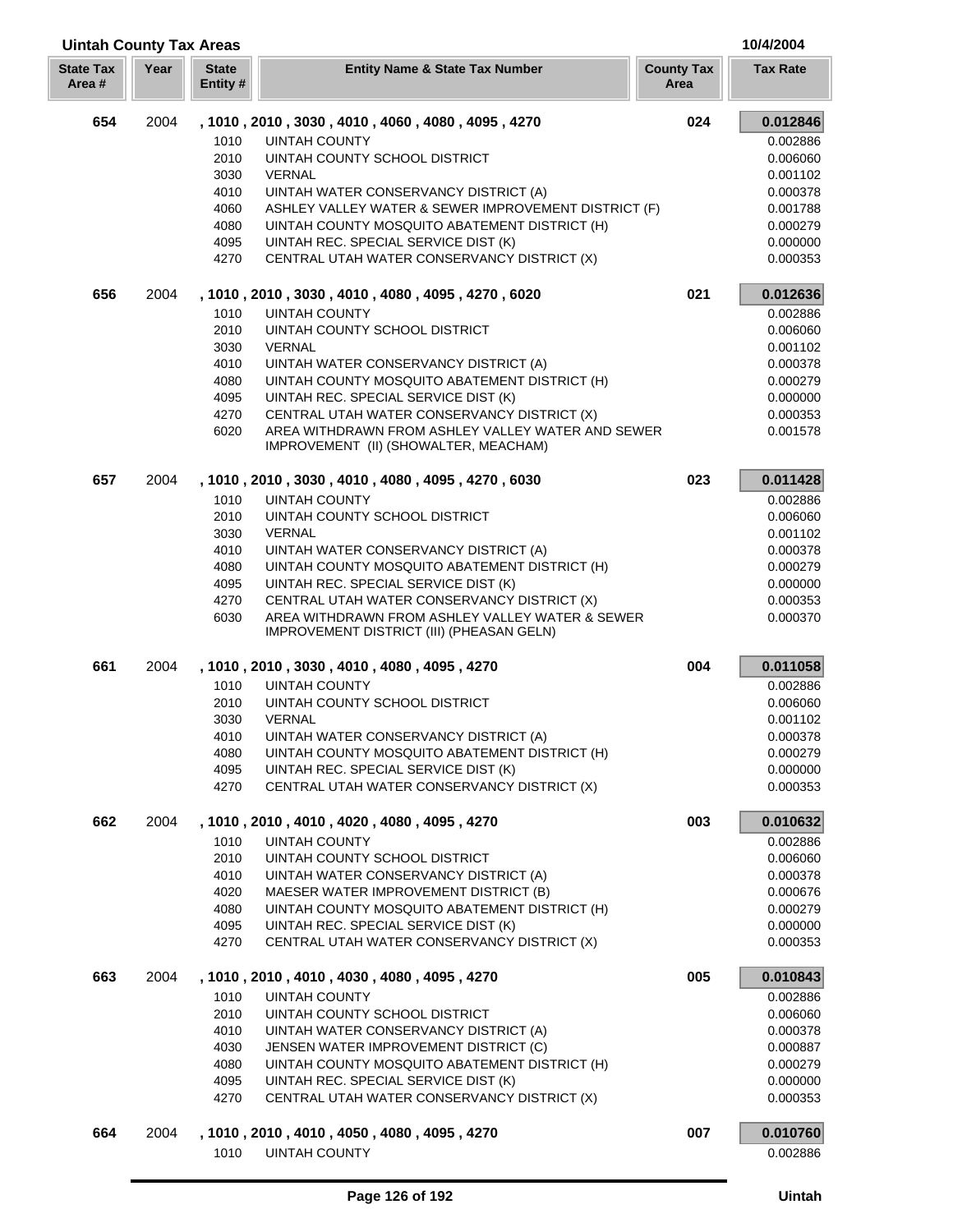| <b>Uintah County Tax Areas</b> |      |                          |                                                                                              |                           | 10/4/2004       |
|--------------------------------|------|--------------------------|----------------------------------------------------------------------------------------------|---------------------------|-----------------|
| <b>State Tax</b><br>Area #     | Year | <b>State</b><br>Entity # | <b>Entity Name &amp; State Tax Number</b>                                                    | <b>County Tax</b><br>Area | <b>Tax Rate</b> |
| 654                            | 2004 |                          | , 1010, 2010, 3030, 4010, 4060, 4080, 4095, 4270                                             | 024                       | 0.012846        |
|                                |      | 1010                     | <b>UINTAH COUNTY</b>                                                                         |                           | 0.002886        |
|                                |      | 2010                     | UINTAH COUNTY SCHOOL DISTRICT                                                                |                           | 0.006060        |
|                                |      | 3030                     | <b>VERNAL</b>                                                                                |                           | 0.001102        |
|                                |      | 4010                     | UINTAH WATER CONSERVANCY DISTRICT (A)                                                        |                           | 0.000378        |
|                                |      | 4060                     | ASHLEY VALLEY WATER & SEWER IMPROVEMENT DISTRICT (F)                                         |                           | 0.001788        |
|                                |      | 4080                     | UINTAH COUNTY MOSQUITO ABATEMENT DISTRICT (H)                                                |                           | 0.000279        |
|                                |      | 4095                     | UINTAH REC. SPECIAL SERVICE DIST (K)                                                         |                           | 0.000000        |
|                                |      | 4270                     | CENTRAL UTAH WATER CONSERVANCY DISTRICT (X)                                                  |                           | 0.000353        |
| 656                            | 2004 |                          | , 1010, 2010, 3030, 4010, 4080, 4095, 4270, 6020                                             | 021                       | 0.012636        |
|                                |      | 1010                     | <b>UINTAH COUNTY</b>                                                                         |                           | 0.002886        |
|                                |      | 2010                     | UINTAH COUNTY SCHOOL DISTRICT                                                                |                           | 0.006060        |
|                                |      | 3030                     | <b>VERNAL</b>                                                                                |                           | 0.001102        |
|                                |      | 4010                     | UINTAH WATER CONSERVANCY DISTRICT (A)                                                        |                           | 0.000378        |
|                                |      | 4080                     | UINTAH COUNTY MOSQUITO ABATEMENT DISTRICT (H)                                                |                           | 0.000279        |
|                                |      | 4095                     | UINTAH REC. SPECIAL SERVICE DIST (K)                                                         |                           | 0.000000        |
|                                |      | 4270                     | CENTRAL UTAH WATER CONSERVANCY DISTRICT (X)                                                  |                           | 0.000353        |
|                                |      | 6020                     | AREA WITHDRAWN FROM ASHLEY VALLEY WATER AND SEWER<br>IMPROVEMENT (II) (SHOWALTER, MEACHAM)   |                           | 0.001578        |
| 657                            | 2004 |                          | , 1010, 2010, 3030, 4010, 4080, 4095, 4270, 6030                                             | 023                       | 0.011428        |
|                                |      | 1010                     | <b>UINTAH COUNTY</b>                                                                         |                           | 0.002886        |
|                                |      | 2010                     | UINTAH COUNTY SCHOOL DISTRICT                                                                |                           | 0.006060        |
|                                |      | 3030                     | <b>VERNAL</b>                                                                                |                           | 0.001102        |
|                                |      | 4010                     | UINTAH WATER CONSERVANCY DISTRICT (A)                                                        |                           | 0.000378        |
|                                |      | 4080                     | UINTAH COUNTY MOSQUITO ABATEMENT DISTRICT (H)                                                |                           | 0.000279        |
|                                |      | 4095                     | UINTAH REC. SPECIAL SERVICE DIST (K)                                                         |                           | 0.000000        |
|                                |      | 4270                     | CENTRAL UTAH WATER CONSERVANCY DISTRICT (X)                                                  |                           | 0.000353        |
|                                |      | 6030                     | AREA WITHDRAWN FROM ASHLEY VALLEY WATER & SEWER<br>IMPROVEMENT DISTRICT (III) (PHEASAN GELN) |                           | 0.000370        |
| 661                            | 2004 |                          | , 1010, 2010, 3030, 4010, 4080, 4095, 4270                                                   | 004                       | 0.011058        |
|                                |      | 1010                     | <b>UINTAH COUNTY</b>                                                                         |                           | 0.002886        |
|                                |      | 2010                     | UINTAH COUNTY SCHOOL DISTRICT                                                                |                           | 0.006060        |
|                                |      | 3030                     | <b>VERNAL</b>                                                                                |                           | 0.001102        |
|                                |      | 4010                     | UINTAH WATER CONSERVANCY DISTRICT (A)                                                        |                           | 0.000378        |
|                                |      | 4080                     | UINTAH COUNTY MOSQUITO ABATEMENT DISTRICT (H)                                                |                           | 0.000279        |
|                                |      | 4095                     | UINTAH REC. SPECIAL SERVICE DIST (K)                                                         |                           | 0.000000        |
|                                |      | 4270                     | CENTRAL UTAH WATER CONSERVANCY DISTRICT (X)                                                  |                           | 0.000353        |
| 662                            | 2004 |                          | , 1010, 2010, 4010, 4020, 4080, 4095, 4270                                                   | 003                       | 0.010632        |
|                                |      | 1010                     | <b>UINTAH COUNTY</b>                                                                         |                           | 0.002886        |
|                                |      | 2010                     | UINTAH COUNTY SCHOOL DISTRICT                                                                |                           | 0.006060        |
|                                |      | 4010                     | UINTAH WATER CONSERVANCY DISTRICT (A)                                                        |                           | 0.000378        |
|                                |      | 4020                     | MAESER WATER IMPROVEMENT DISTRICT (B)                                                        |                           | 0.000676        |
|                                |      | 4080                     | UINTAH COUNTY MOSQUITO ABATEMENT DISTRICT (H)                                                |                           | 0.000279        |
|                                |      | 4095                     | UINTAH REC. SPECIAL SERVICE DIST (K)                                                         |                           | 0.000000        |
|                                |      | 4270                     | CENTRAL UTAH WATER CONSERVANCY DISTRICT (X)                                                  |                           | 0.000353        |
| 663                            | 2004 |                          | , 1010, 2010, 4010, 4030, 4080, 4095, 4270                                                   | 005                       | 0.010843        |
|                                |      | 1010                     | <b>UINTAH COUNTY</b>                                                                         |                           | 0.002886        |
|                                |      | 2010                     | UINTAH COUNTY SCHOOL DISTRICT                                                                |                           | 0.006060        |
|                                |      | 4010                     | UINTAH WATER CONSERVANCY DISTRICT (A)                                                        |                           | 0.000378        |
|                                |      | 4030                     | JENSEN WATER IMPROVEMENT DISTRICT (C)                                                        |                           | 0.000887        |
|                                |      | 4080                     | UINTAH COUNTY MOSQUITO ABATEMENT DISTRICT (H)                                                |                           | 0.000279        |
|                                |      | 4095                     | UINTAH REC. SPECIAL SERVICE DIST (K)                                                         |                           | 0.000000        |
|                                |      | 4270                     | CENTRAL UTAH WATER CONSERVANCY DISTRICT (X)                                                  |                           | 0.000353        |
| 664                            | 2004 |                          | , 1010, 2010, 4010, 4050, 4080, 4095, 4270                                                   | 007                       | 0.010760        |
|                                |      | 1010                     | <b>UINTAH COUNTY</b>                                                                         |                           | 0.002886        |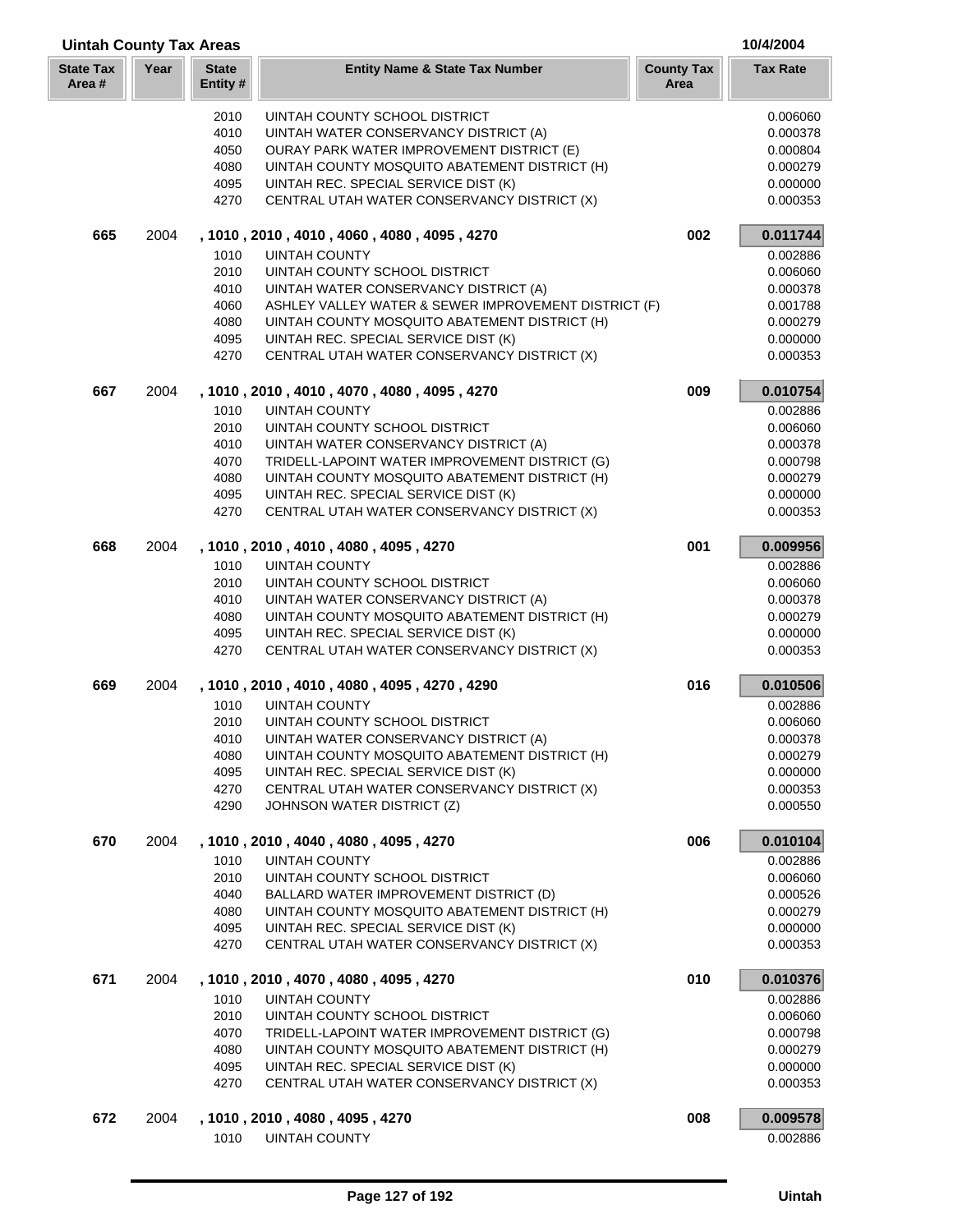| <b>Uintah County Tax Areas</b> |      |                         |                                                                                                       |                           | 10/4/2004            |
|--------------------------------|------|-------------------------|-------------------------------------------------------------------------------------------------------|---------------------------|----------------------|
| <b>State Tax</b><br>Area #     | Year | <b>State</b><br>Entity# | <b>Entity Name &amp; State Tax Number</b>                                                             | <b>County Tax</b><br>Area | <b>Tax Rate</b>      |
|                                |      | 2010                    | UINTAH COUNTY SCHOOL DISTRICT                                                                         |                           | 0.006060             |
|                                |      | 4010                    | UINTAH WATER CONSERVANCY DISTRICT (A)                                                                 |                           | 0.000378             |
|                                |      | 4050                    | <b>OURAY PARK WATER IMPROVEMENT DISTRICT (E)</b>                                                      |                           | 0.000804             |
|                                |      | 4080                    | UINTAH COUNTY MOSQUITO ABATEMENT DISTRICT (H)                                                         |                           | 0.000279             |
|                                |      | 4095                    | UINTAH REC. SPECIAL SERVICE DIST (K)                                                                  |                           | 0.000000             |
|                                |      | 4270                    | CENTRAL UTAH WATER CONSERVANCY DISTRICT (X)                                                           |                           | 0.000353             |
| 665                            | 2004 |                         | , 1010, 2010, 4010, 4060, 4080, 4095, 4270                                                            | 002                       | 0.011744             |
|                                |      | 1010                    | <b>UINTAH COUNTY</b>                                                                                  |                           | 0.002886             |
|                                |      | 2010                    | UINTAH COUNTY SCHOOL DISTRICT                                                                         |                           | 0.006060             |
|                                |      | 4010                    | UINTAH WATER CONSERVANCY DISTRICT (A)                                                                 |                           | 0.000378             |
|                                |      | 4060<br>4080            | ASHLEY VALLEY WATER & SEWER IMPROVEMENT DISTRICT (F)<br>UINTAH COUNTY MOSQUITO ABATEMENT DISTRICT (H) |                           | 0.001788<br>0.000279 |
|                                |      | 4095                    | UINTAH REC. SPECIAL SERVICE DIST (K)                                                                  |                           | 0.000000             |
|                                |      | 4270                    | CENTRAL UTAH WATER CONSERVANCY DISTRICT (X)                                                           |                           | 0.000353             |
| 667                            | 2004 |                         | , 1010, 2010, 4010, 4070, 4080, 4095, 4270                                                            | 009                       | 0.010754             |
|                                |      | 1010                    | <b>UINTAH COUNTY</b>                                                                                  |                           | 0.002886             |
|                                |      | 2010                    | UINTAH COUNTY SCHOOL DISTRICT                                                                         |                           | 0.006060             |
|                                |      | 4010                    | UINTAH WATER CONSERVANCY DISTRICT (A)                                                                 |                           | 0.000378             |
|                                |      | 4070                    | TRIDELL-LAPOINT WATER IMPROVEMENT DISTRICT (G)                                                        |                           | 0.000798             |
|                                |      | 4080                    | UINTAH COUNTY MOSQUITO ABATEMENT DISTRICT (H)                                                         |                           | 0.000279             |
|                                |      | 4095                    | UINTAH REC. SPECIAL SERVICE DIST (K)                                                                  |                           | 0.000000             |
|                                |      | 4270                    | CENTRAL UTAH WATER CONSERVANCY DISTRICT (X)                                                           |                           | 0.000353             |
| 668                            | 2004 |                         | , 1010, 2010, 4010, 4080, 4095, 4270                                                                  | 001                       | 0.009956             |
|                                |      | 1010<br>2010            | <b>UINTAH COUNTY</b><br>UINTAH COUNTY SCHOOL DISTRICT                                                 |                           | 0.002886<br>0.006060 |
|                                |      | 4010                    | UINTAH WATER CONSERVANCY DISTRICT (A)                                                                 |                           | 0.000378             |
|                                |      | 4080                    | UINTAH COUNTY MOSQUITO ABATEMENT DISTRICT (H)                                                         |                           | 0.000279             |
|                                |      | 4095                    | UINTAH REC. SPECIAL SERVICE DIST (K)                                                                  |                           | 0.000000             |
|                                |      | 4270                    | CENTRAL UTAH WATER CONSERVANCY DISTRICT (X)                                                           |                           | 0.000353             |
| 669                            | 2004 |                         | , 1010, 2010, 4010, 4080, 4095, 4270, 4290                                                            | 016                       | 0.010506             |
|                                |      | 1010                    | <b>UINTAH COUNTY</b>                                                                                  |                           | 0.002886             |
|                                |      | 2010                    | UINTAH COUNTY SCHOOL DISTRICT                                                                         |                           | 0.006060             |
|                                |      | 4010                    | UINTAH WATER CONSERVANCY DISTRICT (A)                                                                 |                           | 0.000378             |
|                                |      | 4080                    | UINTAH COUNTY MOSQUITO ABATEMENT DISTRICT (H)                                                         |                           | 0.000279             |
|                                |      | 4095                    | UINTAH REC. SPECIAL SERVICE DIST (K)                                                                  |                           | 0.000000             |
|                                |      | 4270<br>4290            | CENTRAL UTAH WATER CONSERVANCY DISTRICT (X)<br>JOHNSON WATER DISTRICT (Z)                             |                           | 0.000353<br>0.000550 |
| 670                            | 2004 |                         | , 1010, 2010, 4040, 4080, 4095, 4270                                                                  | 006                       | 0.010104             |
|                                |      | 1010                    | <b>UINTAH COUNTY</b>                                                                                  |                           | 0.002886             |
|                                |      | 2010                    | UINTAH COUNTY SCHOOL DISTRICT                                                                         |                           | 0.006060             |
|                                |      | 4040                    | BALLARD WATER IMPROVEMENT DISTRICT (D)                                                                |                           | 0.000526             |
|                                |      | 4080                    | UINTAH COUNTY MOSQUITO ABATEMENT DISTRICT (H)                                                         |                           | 0.000279             |
|                                |      | 4095                    | UINTAH REC. SPECIAL SERVICE DIST (K)                                                                  |                           | 0.000000             |
|                                |      | 4270                    | CENTRAL UTAH WATER CONSERVANCY DISTRICT (X)                                                           |                           | 0.000353             |
| 671                            | 2004 |                         | , 1010, 2010, 4070, 4080, 4095, 4270                                                                  | 010                       | 0.010376             |
|                                |      | 1010                    | <b>UINTAH COUNTY</b>                                                                                  |                           | 0.002886             |
|                                |      | 2010                    | UINTAH COUNTY SCHOOL DISTRICT                                                                         |                           | 0.006060             |
|                                |      | 4070                    | TRIDELL-LAPOINT WATER IMPROVEMENT DISTRICT (G)                                                        |                           | 0.000798             |
|                                |      | 4080<br>4095            | UINTAH COUNTY MOSQUITO ABATEMENT DISTRICT (H)                                                         |                           | 0.000279<br>0.000000 |
|                                |      | 4270                    | UINTAH REC. SPECIAL SERVICE DIST (K)<br>CENTRAL UTAH WATER CONSERVANCY DISTRICT (X)                   |                           | 0.000353             |
| 672                            | 2004 |                         | , 1010 , 2010 , 4080 , 4095 , 4270                                                                    | 008                       | 0.009578             |
|                                |      | 1010                    | <b>UINTAH COUNTY</b>                                                                                  |                           | 0.002886             |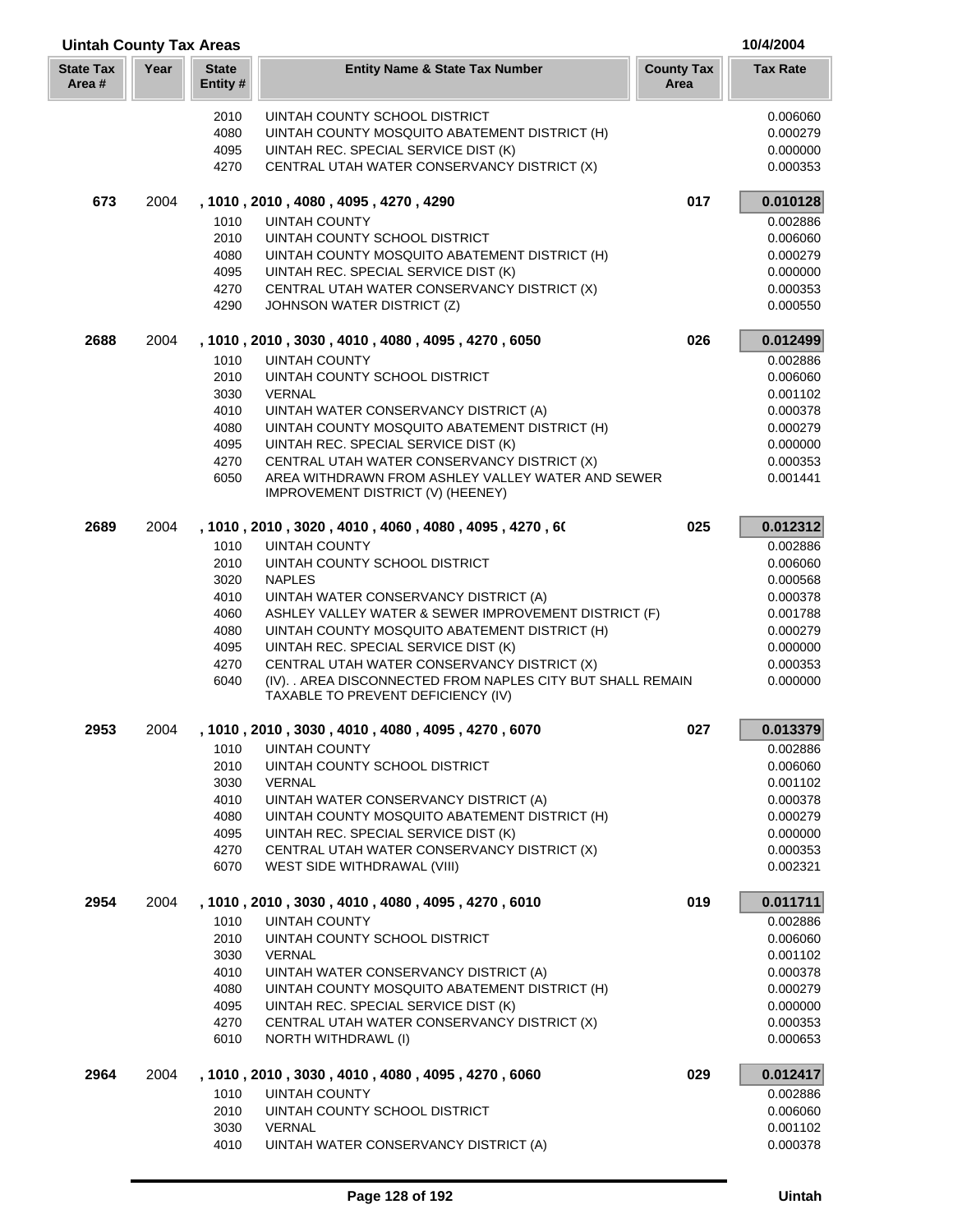| <b>Uintah County Tax Areas</b> |      |                         |                                                                                                   |                           | 10/4/2004            |
|--------------------------------|------|-------------------------|---------------------------------------------------------------------------------------------------|---------------------------|----------------------|
| <b>State Tax</b><br>Area #     | Year | <b>State</b><br>Entity# | <b>Entity Name &amp; State Tax Number</b>                                                         | <b>County Tax</b><br>Area | <b>Tax Rate</b>      |
|                                |      | 2010                    | UINTAH COUNTY SCHOOL DISTRICT                                                                     |                           | 0.006060             |
|                                |      | 4080                    | UINTAH COUNTY MOSQUITO ABATEMENT DISTRICT (H)                                                     |                           | 0.000279             |
|                                |      | 4095                    | UINTAH REC. SPECIAL SERVICE DIST (K)                                                              |                           | 0.000000             |
|                                |      | 4270                    | CENTRAL UTAH WATER CONSERVANCY DISTRICT (X)                                                       |                           | 0.000353             |
| 673                            | 2004 |                         | , 1010, 2010, 4080, 4095, 4270, 4290                                                              | 017                       | 0.010128             |
|                                |      | 1010                    | <b>UINTAH COUNTY</b>                                                                              |                           | 0.002886             |
|                                |      | 2010                    | UINTAH COUNTY SCHOOL DISTRICT                                                                     |                           | 0.006060             |
|                                |      | 4080                    | UINTAH COUNTY MOSQUITO ABATEMENT DISTRICT (H)                                                     |                           | 0.000279             |
|                                |      | 4095                    | UINTAH REC. SPECIAL SERVICE DIST (K)                                                              |                           | 0.000000             |
|                                |      | 4270                    | CENTRAL UTAH WATER CONSERVANCY DISTRICT (X)                                                       |                           | 0.000353             |
|                                |      | 4290                    | JOHNSON WATER DISTRICT (Z)                                                                        |                           | 0.000550             |
| 2688                           | 2004 |                         | , 1010, 2010, 3030, 4010, 4080, 4095, 4270, 6050                                                  | 026                       | 0.012499             |
|                                |      | 1010                    | <b>UINTAH COUNTY</b>                                                                              |                           | 0.002886             |
|                                |      | 2010                    | UINTAH COUNTY SCHOOL DISTRICT                                                                     |                           | 0.006060             |
|                                |      | 3030                    | <b>VERNAL</b>                                                                                     |                           | 0.001102             |
|                                |      | 4010                    | UINTAH WATER CONSERVANCY DISTRICT (A)                                                             |                           | 0.000378             |
|                                |      | 4080<br>4095            | UINTAH COUNTY MOSQUITO ABATEMENT DISTRICT (H)                                                     |                           | 0.000279<br>0.000000 |
|                                |      | 4270                    | UINTAH REC. SPECIAL SERVICE DIST (K)<br>CENTRAL UTAH WATER CONSERVANCY DISTRICT (X)               |                           | 0.000353             |
|                                |      | 6050                    | AREA WITHDRAWN FROM ASHLEY VALLEY WATER AND SEWER<br>IMPROVEMENT DISTRICT (V) (HEENEY)            |                           | 0.001441             |
| 2689                           | 2004 |                         | , 1010 , 2010 , 3020 , 4010 , 4060 , 4080 , 4095 , 4270 , 60                                      | 025                       | 0.012312             |
|                                |      | 1010                    | <b>UINTAH COUNTY</b>                                                                              |                           | 0.002886             |
|                                |      | 2010                    | UINTAH COUNTY SCHOOL DISTRICT                                                                     |                           | 0.006060             |
|                                |      | 3020                    | <b>NAPLES</b>                                                                                     |                           | 0.000568             |
|                                |      | 4010                    | UINTAH WATER CONSERVANCY DISTRICT (A)                                                             |                           | 0.000378             |
|                                |      | 4060                    | ASHLEY VALLEY WATER & SEWER IMPROVEMENT DISTRICT (F)                                              |                           | 0.001788             |
|                                |      | 4080                    | UINTAH COUNTY MOSQUITO ABATEMENT DISTRICT (H)                                                     |                           | 0.000279             |
|                                |      | 4095                    | UINTAH REC. SPECIAL SERVICE DIST (K)                                                              |                           | 0.000000             |
|                                |      | 4270<br>6040            | CENTRAL UTAH WATER CONSERVANCY DISTRICT (X)                                                       |                           | 0.000353<br>0.000000 |
|                                |      |                         | (IV). . AREA DISCONNECTED FROM NAPLES CITY BUT SHALL REMAIN<br>TAXABLE TO PREVENT DEFICIENCY (IV) |                           |                      |
| 2953                           | 2004 |                         | 1010, 2010, 3030, 4010, 4080, 4095, 4270, 6070                                                    | 027                       | 0.013379             |
|                                |      | 1010                    | <b>UINTAH COUNTY</b>                                                                              |                           | 0.002886             |
|                                |      | 2010                    | UINTAH COUNTY SCHOOL DISTRICT                                                                     |                           | 0.006060             |
|                                |      | 3030                    | <b>VERNAL</b>                                                                                     |                           | 0.001102             |
|                                |      | 4010                    | UINTAH WATER CONSERVANCY DISTRICT (A)                                                             |                           | 0.000378             |
|                                |      | 4080                    | UINTAH COUNTY MOSQUITO ABATEMENT DISTRICT (H)                                                     |                           | 0.000279             |
|                                |      | 4095                    | UINTAH REC. SPECIAL SERVICE DIST (K)                                                              |                           | 0.000000             |
|                                |      | 4270                    | CENTRAL UTAH WATER CONSERVANCY DISTRICT (X)                                                       |                           | 0.000353             |
|                                |      | 6070                    | WEST SIDE WITHDRAWAL (VIII)                                                                       |                           | 0.002321             |
| 2954                           | 2004 |                         | , 1010, 2010, 3030, 4010, 4080, 4095, 4270, 6010                                                  | 019                       | 0.011711             |
|                                |      | 1010                    | <b>UINTAH COUNTY</b>                                                                              |                           | 0.002886             |
|                                |      | 2010                    | UINTAH COUNTY SCHOOL DISTRICT                                                                     |                           | 0.006060             |
|                                |      | 3030                    | <b>VERNAL</b>                                                                                     |                           | 0.001102             |
|                                |      | 4010<br>4080            | UINTAH WATER CONSERVANCY DISTRICT (A)<br>UINTAH COUNTY MOSQUITO ABATEMENT DISTRICT (H)            |                           | 0.000378<br>0.000279 |
|                                |      | 4095                    | UINTAH REC. SPECIAL SERVICE DIST (K)                                                              |                           | 0.000000             |
|                                |      | 4270                    | CENTRAL UTAH WATER CONSERVANCY DISTRICT (X)                                                       |                           | 0.000353             |
|                                |      | 6010                    | NORTH WITHDRAWL (I)                                                                               |                           | 0.000653             |
| 2964                           | 2004 |                         | , 1010, 2010, 3030, 4010, 4080, 4095, 4270, 6060                                                  | 029                       | 0.012417             |
|                                |      | 1010                    | <b>UINTAH COUNTY</b>                                                                              |                           | 0.002886             |
|                                |      | 2010                    | UINTAH COUNTY SCHOOL DISTRICT                                                                     |                           | 0.006060             |
|                                |      | 3030                    | VERNAL                                                                                            |                           | 0.001102             |
|                                |      | 4010                    | UINTAH WATER CONSERVANCY DISTRICT (A)                                                             |                           | 0.000378             |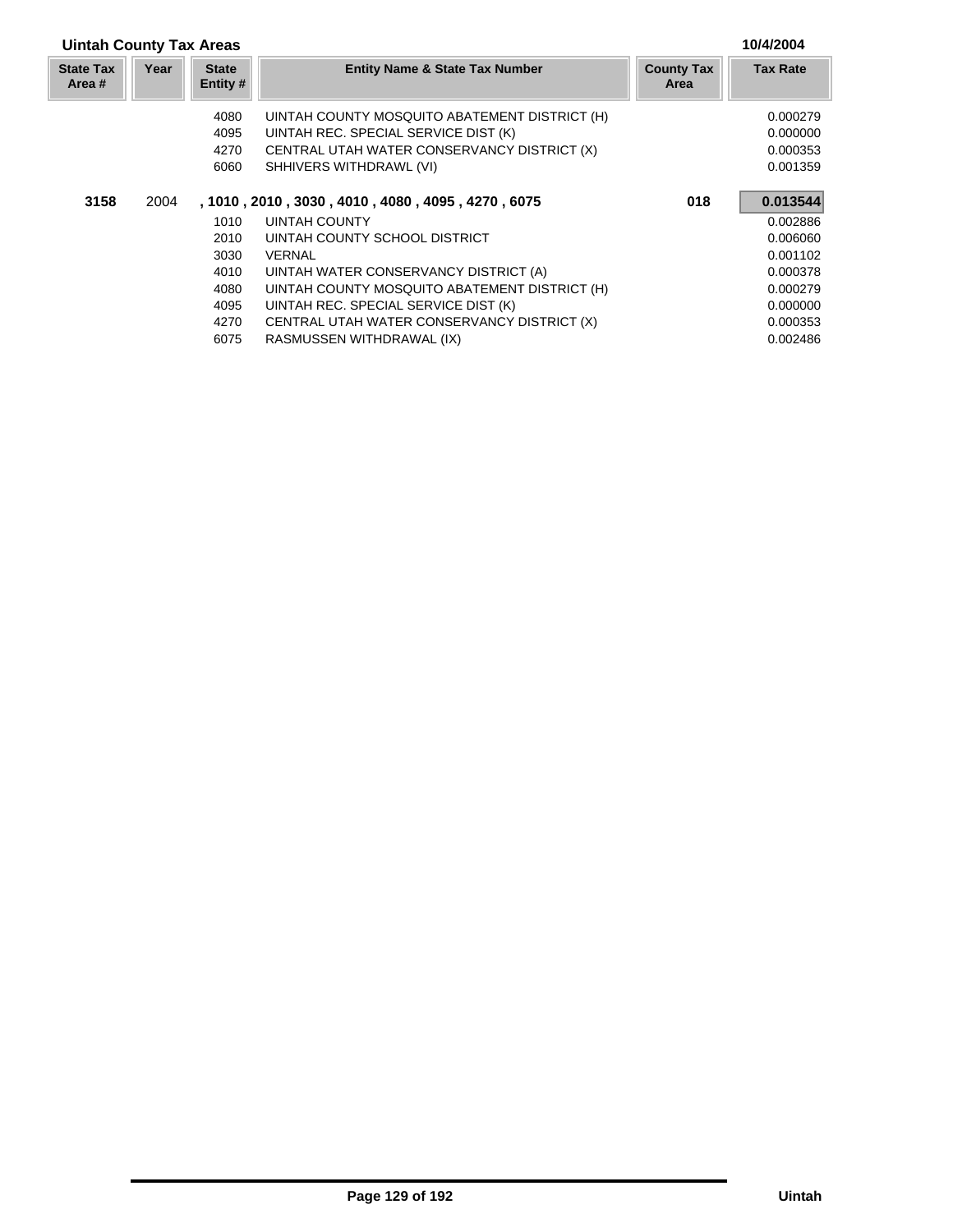## **Uintah County Tax Areas 10/4/2004**

| <b>State Tax</b><br>Area # | Year | <b>State</b><br>Entity # | <b>Entity Name &amp; State Tax Number</b>        | <b>County Tax</b><br>Area | <b>Tax Rate</b> |
|----------------------------|------|--------------------------|--------------------------------------------------|---------------------------|-----------------|
|                            |      | 4080                     | UINTAH COUNTY MOSQUITO ABATEMENT DISTRICT (H)    |                           | 0.000279        |
|                            |      | 4095                     | UINTAH REC. SPECIAL SERVICE DIST (K)             |                           | 0.000000        |
|                            |      | 4270                     | CENTRAL UTAH WATER CONSERVANCY DISTRICT (X)      |                           | 0.000353        |
|                            |      | 6060                     | SHHIVERS WITHDRAWL (VI)                          |                           | 0.001359        |
| 3158                       | 2004 |                          | , 1010, 2010, 3030, 4010, 4080, 4095, 4270, 6075 | 018                       | 0.013544        |
|                            |      | 1010                     | UINTAH COUNTY                                    |                           | 0.002886        |
|                            |      | 2010                     | UINTAH COUNTY SCHOOL DISTRICT                    |                           | 0.006060        |
|                            |      | 3030                     | <b>VERNAL</b>                                    |                           | 0.001102        |
|                            |      | 4010                     | UINTAH WATER CONSERVANCY DISTRICT (A)            |                           | 0.000378        |
|                            |      | 4080                     | UINTAH COUNTY MOSQUITO ABATEMENT DISTRICT (H)    |                           | 0.000279        |
|                            |      | 4095                     | UINTAH REC. SPECIAL SERVICE DIST (K)             |                           | 0.000000        |
|                            |      | 4270                     | CENTRAL UTAH WATER CONSERVANCY DISTRICT (X)      |                           | 0.000353        |
|                            |      | 6075                     | RASMUSSEN WITHDRAWAL (IX)                        |                           | 0.002486        |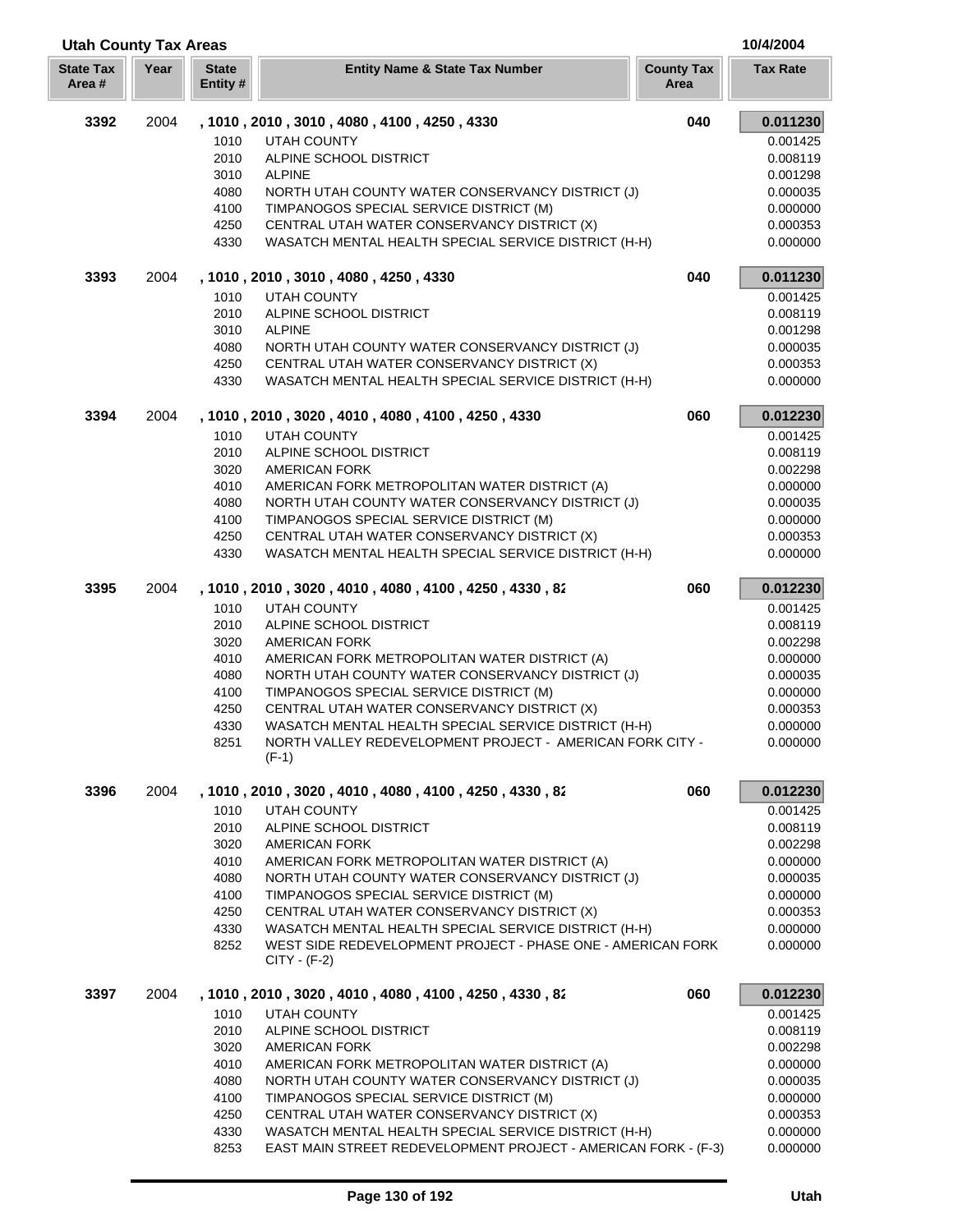| <b>Utah County Tax Areas</b> |      |                          |                                                                               |                           | 10/4/2004       |
|------------------------------|------|--------------------------|-------------------------------------------------------------------------------|---------------------------|-----------------|
| <b>State Tax</b><br>Area#    | Year | <b>State</b><br>Entity # | <b>Entity Name &amp; State Tax Number</b>                                     | <b>County Tax</b><br>Area | <b>Tax Rate</b> |
| 3392                         | 2004 |                          | , 1010, 2010, 3010, 4080, 4100, 4250, 4330                                    | 040                       | 0.011230        |
|                              |      | 1010                     | <b>UTAH COUNTY</b>                                                            |                           | 0.001425        |
|                              |      | 2010                     | ALPINE SCHOOL DISTRICT                                                        |                           | 0.008119        |
|                              |      | 3010                     | <b>ALPINE</b>                                                                 |                           | 0.001298        |
|                              |      | 4080                     | NORTH UTAH COUNTY WATER CONSERVANCY DISTRICT (J)                              |                           | 0.000035        |
|                              |      | 4100                     | TIMPANOGOS SPECIAL SERVICE DISTRICT (M)                                       |                           | 0.000000        |
|                              |      | 4250                     | CENTRAL UTAH WATER CONSERVANCY DISTRICT (X)                                   |                           | 0.000353        |
|                              |      | 4330                     | WASATCH MENTAL HEALTH SPECIAL SERVICE DISTRICT (H-H)                          |                           | 0.000000        |
| 3393                         | 2004 |                          | , 1010, 2010, 3010, 4080, 4250, 4330                                          | 040                       | 0.011230        |
|                              |      | 1010                     | <b>UTAH COUNTY</b>                                                            |                           | 0.001425        |
|                              |      | 2010                     | ALPINE SCHOOL DISTRICT                                                        |                           | 0.008119        |
|                              |      | 3010                     | <b>ALPINE</b>                                                                 |                           | 0.001298        |
|                              |      | 4080                     | NORTH UTAH COUNTY WATER CONSERVANCY DISTRICT (J)                              |                           | 0.000035        |
|                              |      | 4250                     | CENTRAL UTAH WATER CONSERVANCY DISTRICT (X)                                   |                           | 0.000353        |
|                              |      | 4330                     | WASATCH MENTAL HEALTH SPECIAL SERVICE DISTRICT (H-H)                          |                           | 0.000000        |
| 3394                         | 2004 |                          | , 1010, 2010, 3020, 4010, 4080, 4100, 4250, 4330                              | 060                       | 0.012230        |
|                              |      | 1010                     | <b>UTAH COUNTY</b>                                                            |                           | 0.001425        |
|                              |      | 2010                     | ALPINE SCHOOL DISTRICT                                                        |                           | 0.008119        |
|                              |      | 3020                     | <b>AMERICAN FORK</b>                                                          |                           | 0.002298        |
|                              |      | 4010                     | AMERICAN FORK METROPOLITAN WATER DISTRICT (A)                                 |                           | 0.000000        |
|                              |      | 4080                     | NORTH UTAH COUNTY WATER CONSERVANCY DISTRICT (J)                              |                           | 0.000035        |
|                              |      | 4100                     | TIMPANOGOS SPECIAL SERVICE DISTRICT (M)                                       |                           | 0.000000        |
|                              |      | 4250                     | CENTRAL UTAH WATER CONSERVANCY DISTRICT (X)                                   |                           | 0.000353        |
|                              |      | 4330                     | WASATCH MENTAL HEALTH SPECIAL SERVICE DISTRICT (H-H)                          |                           | 0.000000        |
| 3395                         | 2004 |                          | , 1010, 2010, 3020, 4010, 4080, 4100, 4250, 4330, 82                          | 060                       | 0.012230        |
|                              |      | 1010                     | <b>UTAH COUNTY</b>                                                            |                           | 0.001425        |
|                              |      | 2010                     | ALPINE SCHOOL DISTRICT                                                        |                           | 0.008119        |
|                              |      | 3020                     | <b>AMERICAN FORK</b>                                                          |                           | 0.002298        |
|                              |      | 4010                     | AMERICAN FORK METROPOLITAN WATER DISTRICT (A)                                 |                           | 0.000000        |
|                              |      | 4080                     | NORTH UTAH COUNTY WATER CONSERVANCY DISTRICT (J)                              |                           | 0.000035        |
|                              |      | 4100                     | TIMPANOGOS SPECIAL SERVICE DISTRICT (M)                                       |                           | 0.000000        |
|                              |      | 4250                     | CENTRAL UTAH WATER CONSERVANCY DISTRICT (X)                                   |                           | 0.000353        |
|                              |      | 4330                     | WASATCH MENTAL HEALTH SPECIAL SERVICE DISTRICT (H-H)                          |                           | 0.000000        |
|                              |      | 8251                     | NORTH VALLEY REDEVELOPMENT PROJECT - AMERICAN FORK CITY -<br>$(F-1)$          |                           | 0.000000        |
|                              |      |                          |                                                                               |                           |                 |
| 3396                         | 2004 |                          | , 1010 , 2010 , 3020 , 4010 , 4080 , 4100 , 4250 , 4330 , 82                  | 060                       | 0.012230        |
|                              |      | 1010                     | UTAH COUNTY                                                                   |                           | 0.001425        |
|                              |      | 2010                     | ALPINE SCHOOL DISTRICT                                                        |                           | 0.008119        |
|                              |      | 3020                     | <b>AMERICAN FORK</b>                                                          |                           | 0.002298        |
|                              |      | 4010                     | AMERICAN FORK METROPOLITAN WATER DISTRICT (A)                                 |                           | 0.000000        |
|                              |      | 4080                     | NORTH UTAH COUNTY WATER CONSERVANCY DISTRICT (J)                              |                           | 0.000035        |
|                              |      | 4100                     | TIMPANOGOS SPECIAL SERVICE DISTRICT (M)                                       |                           | 0.000000        |
|                              |      | 4250                     | CENTRAL UTAH WATER CONSERVANCY DISTRICT (X)                                   |                           | 0.000353        |
|                              |      | 4330                     | WASATCH MENTAL HEALTH SPECIAL SERVICE DISTRICT (H-H)                          |                           | 0.000000        |
|                              |      | 8252                     | WEST SIDE REDEVELOPMENT PROJECT - PHASE ONE - AMERICAN FORK<br>$CITY - (F-2)$ |                           | 0.000000        |
| 3397                         | 2004 |                          | , 1010 , 2010 , 3020 , 4010 , 4080 , 4100 , 4250 , 4330 , 82                  | 060                       | 0.012230        |
|                              |      | 1010                     | <b>UTAH COUNTY</b>                                                            |                           | 0.001425        |
|                              |      | 2010                     | ALPINE SCHOOL DISTRICT                                                        |                           | 0.008119        |
|                              |      | 3020                     | <b>AMERICAN FORK</b>                                                          |                           | 0.002298        |
|                              |      | 4010                     | AMERICAN FORK METROPOLITAN WATER DISTRICT (A)                                 |                           | 0.000000        |
|                              |      | 4080                     | NORTH UTAH COUNTY WATER CONSERVANCY DISTRICT (J)                              |                           | 0.000035        |
|                              |      | 4100                     | TIMPANOGOS SPECIAL SERVICE DISTRICT (M)                                       |                           | 0.000000        |
|                              |      | 4250                     | CENTRAL UTAH WATER CONSERVANCY DISTRICT (X)                                   |                           | 0.000353        |
|                              |      | 4330                     | WASATCH MENTAL HEALTH SPECIAL SERVICE DISTRICT (H-H)                          |                           | 0.000000        |
|                              |      |                          |                                                                               |                           |                 |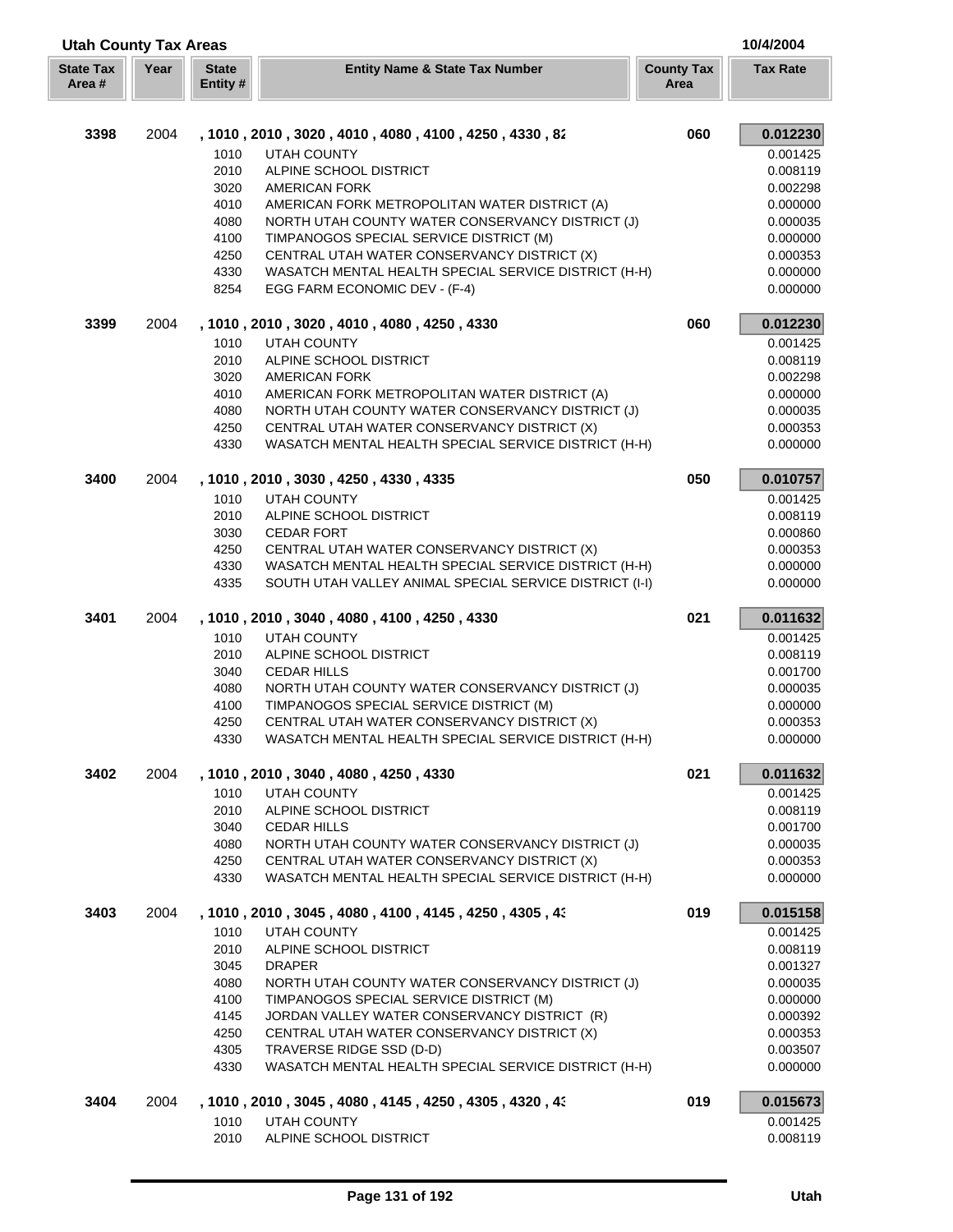| <b>Utah County Tax Areas</b> |      |                          |                                                                                                     |                           | 10/4/2004            |
|------------------------------|------|--------------------------|-----------------------------------------------------------------------------------------------------|---------------------------|----------------------|
| <b>State Tax</b><br>Area #   | Year | <b>State</b><br>Entity # | <b>Entity Name &amp; State Tax Number</b>                                                           | <b>County Tax</b><br>Area | <b>Tax Rate</b>      |
| 3398                         | 2004 |                          | , 1010 , 2010 , 3020 , 4010 , 4080 , 4100 , 4250 , 4330 , 82                                        | 060                       | 0.012230             |
|                              |      | 1010                     | <b>UTAH COUNTY</b>                                                                                  |                           | 0.001425             |
|                              |      | 2010                     | ALPINE SCHOOL DISTRICT                                                                              |                           | 0.008119             |
|                              |      | 3020                     | <b>AMERICAN FORK</b>                                                                                |                           | 0.002298             |
|                              |      | 4010                     | AMERICAN FORK METROPOLITAN WATER DISTRICT (A)                                                       |                           | 0.000000             |
|                              |      | 4080                     | NORTH UTAH COUNTY WATER CONSERVANCY DISTRICT (J)                                                    |                           | 0.000035             |
|                              |      | 4100                     | TIMPANOGOS SPECIAL SERVICE DISTRICT (M)                                                             |                           | 0.000000             |
|                              |      | 4250                     | CENTRAL UTAH WATER CONSERVANCY DISTRICT (X)                                                         |                           | 0.000353             |
|                              |      | 4330                     | WASATCH MENTAL HEALTH SPECIAL SERVICE DISTRICT (H-H)                                                |                           | 0.000000             |
|                              |      | 8254                     | EGG FARM ECONOMIC DEV - (F-4)                                                                       |                           | 0.000000             |
| 3399                         | 2004 |                          | , 1010, 2010, 3020, 4010, 4080, 4250, 4330                                                          | 060                       | 0.012230             |
|                              |      | 1010                     | <b>UTAH COUNTY</b>                                                                                  |                           | 0.001425             |
|                              |      | 2010                     | ALPINE SCHOOL DISTRICT                                                                              |                           | 0.008119             |
|                              |      | 3020                     | <b>AMERICAN FORK</b>                                                                                |                           | 0.002298             |
|                              |      | 4010                     | AMERICAN FORK METROPOLITAN WATER DISTRICT (A)                                                       |                           | 0.000000             |
|                              |      | 4080                     | NORTH UTAH COUNTY WATER CONSERVANCY DISTRICT (J)                                                    |                           | 0.000035             |
|                              |      | 4250                     | CENTRAL UTAH WATER CONSERVANCY DISTRICT (X)                                                         |                           | 0.000353             |
|                              |      | 4330                     | WASATCH MENTAL HEALTH SPECIAL SERVICE DISTRICT (H-H)                                                |                           | 0.000000             |
| 3400                         | 2004 |                          | , 1010, 2010, 3030, 4250, 4330, 4335                                                                | 050                       | 0.010757             |
|                              |      | 1010                     | <b>UTAH COUNTY</b>                                                                                  |                           | 0.001425             |
|                              |      | 2010                     | ALPINE SCHOOL DISTRICT                                                                              |                           | 0.008119             |
|                              |      | 3030                     | <b>CEDAR FORT</b>                                                                                   |                           | 0.000860             |
|                              |      | 4250<br>4330             | CENTRAL UTAH WATER CONSERVANCY DISTRICT (X)<br>WASATCH MENTAL HEALTH SPECIAL SERVICE DISTRICT (H-H) |                           | 0.000353<br>0.000000 |
|                              |      | 4335                     | SOUTH UTAH VALLEY ANIMAL SPECIAL SERVICE DISTRICT (I-I)                                             |                           | 0.000000             |
| 3401                         | 2004 |                          | , 1010, 2010, 3040, 4080, 4100, 4250, 4330                                                          | 021                       | 0.011632             |
|                              |      | 1010                     | <b>UTAH COUNTY</b>                                                                                  |                           | 0.001425             |
|                              |      | 2010                     | ALPINE SCHOOL DISTRICT                                                                              |                           | 0.008119             |
|                              |      | 3040                     | <b>CEDAR HILLS</b>                                                                                  |                           | 0.001700             |
|                              |      | 4080                     | NORTH UTAH COUNTY WATER CONSERVANCY DISTRICT (J)                                                    |                           | 0.000035             |
|                              |      | 4100                     | TIMPANOGOS SPECIAL SERVICE DISTRICT (M)                                                             |                           | 0.000000             |
|                              |      | 4250                     | CENTRAL UTAH WATER CONSERVANCY DISTRICT (X)                                                         |                           | 0.000353             |
|                              |      | 4330                     | WASATCH MENTAL HEALTH SPECIAL SERVICE DISTRICT (H-H)                                                |                           | 0.000000             |
| 3402                         | 2004 |                          | , 1010, 2010, 3040, 4080, 4250, 4330                                                                | 021                       | 0.011632             |
|                              |      | 1010                     | UTAH COUNTY                                                                                         |                           | 0.001425             |
|                              |      | 2010                     | ALPINE SCHOOL DISTRICT                                                                              |                           | 0.008119             |
|                              |      | 3040                     | <b>CEDAR HILLS</b>                                                                                  |                           | 0.001700             |
|                              |      | 4080                     | NORTH UTAH COUNTY WATER CONSERVANCY DISTRICT (J)                                                    |                           | 0.000035             |
|                              |      | 4250<br>4330             | CENTRAL UTAH WATER CONSERVANCY DISTRICT (X)<br>WASATCH MENTAL HEALTH SPECIAL SERVICE DISTRICT (H-H) |                           | 0.000353<br>0.000000 |
|                              |      |                          |                                                                                                     |                           |                      |
| 3403                         | 2004 |                          | , 1010, 2010, 3045, 4080, 4100, 4145, 4250, 4305, 43                                                | 019                       | 0.015158             |
|                              |      | 1010                     | UTAH COUNTY                                                                                         |                           | 0.001425             |
|                              |      | 2010                     | ALPINE SCHOOL DISTRICT                                                                              |                           | 0.008119             |
|                              |      | 3045                     | <b>DRAPER</b>                                                                                       |                           | 0.001327             |
|                              |      | 4080                     | NORTH UTAH COUNTY WATER CONSERVANCY DISTRICT (J)                                                    |                           | 0.000035             |
|                              |      | 4100<br>4145             | TIMPANOGOS SPECIAL SERVICE DISTRICT (M)<br>JORDAN VALLEY WATER CONSERVANCY DISTRICT (R)             |                           | 0.000000<br>0.000392 |
|                              |      | 4250                     | CENTRAL UTAH WATER CONSERVANCY DISTRICT (X)                                                         |                           | 0.000353             |
|                              |      | 4305                     | TRAVERSE RIDGE SSD (D-D)                                                                            |                           | 0.003507             |
|                              |      | 4330                     | WASATCH MENTAL HEALTH SPECIAL SERVICE DISTRICT (H-H)                                                |                           | 0.000000             |
| 3404                         | 2004 |                          | , 1010, 2010, 3045, 4080, 4145, 4250, 4305, 4320, 43                                                | 019                       | 0.015673             |
|                              |      | 1010                     | UTAH COUNTY                                                                                         |                           | 0.001425             |
|                              |      | 2010                     | ALPINE SCHOOL DISTRICT                                                                              |                           | 0.008119             |
|                              |      |                          |                                                                                                     |                           |                      |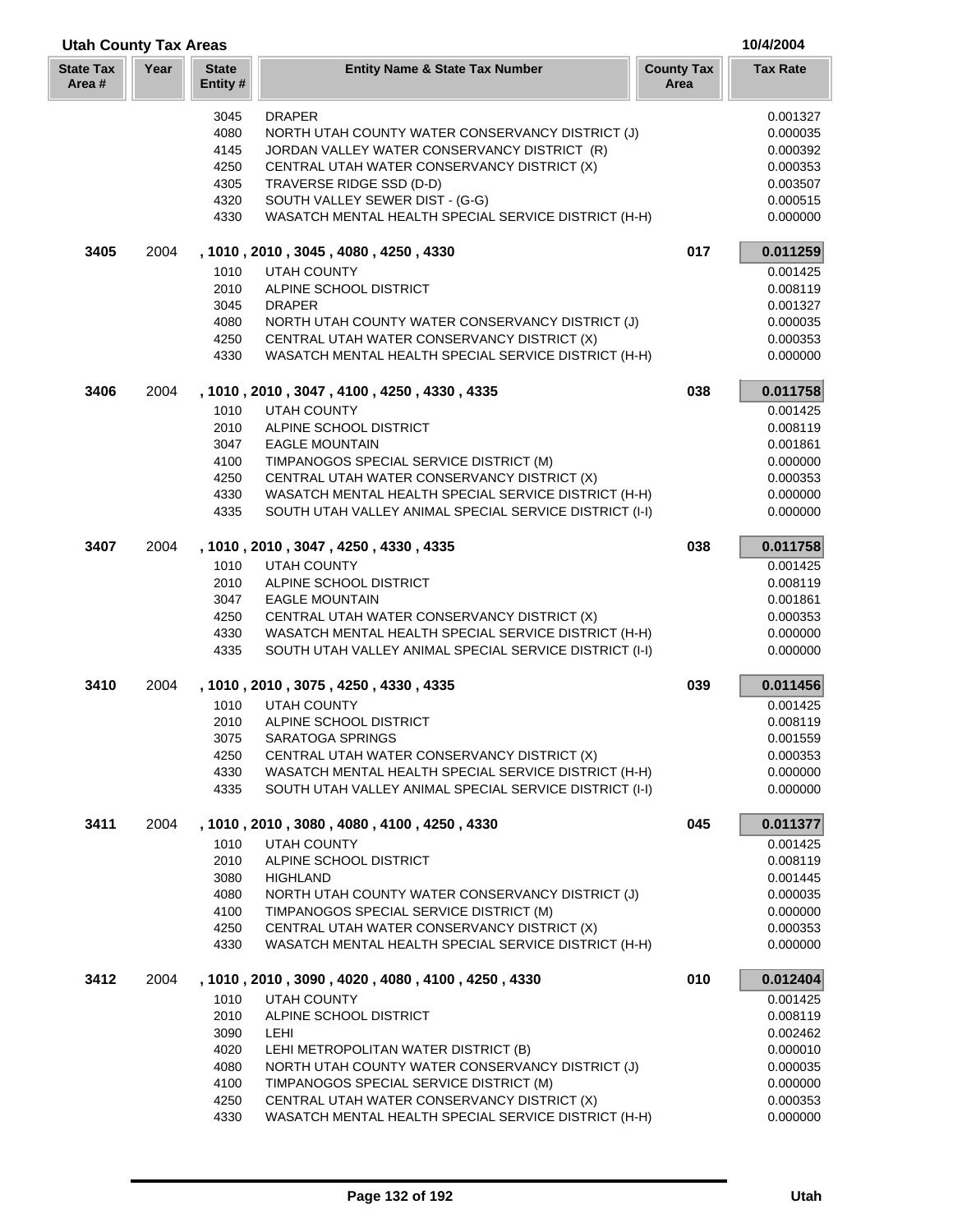| <b>Utah County Tax Areas</b> |      |                         |                                                                                                     |                           | 10/4/2004            |
|------------------------------|------|-------------------------|-----------------------------------------------------------------------------------------------------|---------------------------|----------------------|
| <b>State Tax</b><br>Area #   | Year | <b>State</b><br>Entity# | <b>Entity Name &amp; State Tax Number</b>                                                           | <b>County Tax</b><br>Area | <b>Tax Rate</b>      |
|                              |      | 3045                    | <b>DRAPER</b>                                                                                       |                           | 0.001327             |
|                              |      | 4080                    | NORTH UTAH COUNTY WATER CONSERVANCY DISTRICT (J)                                                    |                           | 0.000035             |
|                              |      | 4145                    | JORDAN VALLEY WATER CONSERVANCY DISTRICT (R)                                                        |                           | 0.000392             |
|                              |      | 4250                    | CENTRAL UTAH WATER CONSERVANCY DISTRICT (X)                                                         |                           | 0.000353             |
|                              |      | 4305                    | TRAVERSE RIDGE SSD (D-D)                                                                            |                           | 0.003507             |
|                              |      | 4320                    | SOUTH VALLEY SEWER DIST - (G-G)                                                                     |                           | 0.000515             |
|                              |      | 4330                    | WASATCH MENTAL HEALTH SPECIAL SERVICE DISTRICT (H-H)                                                |                           | 0.000000             |
| 3405                         | 2004 |                         | , 1010, 2010, 3045, 4080, 4250, 4330                                                                | 017                       | 0.011259             |
|                              |      | 1010                    | <b>UTAH COUNTY</b>                                                                                  |                           | 0.001425             |
|                              |      | 2010                    | ALPINE SCHOOL DISTRICT                                                                              |                           | 0.008119             |
|                              |      | 3045                    | <b>DRAPER</b>                                                                                       |                           | 0.001327             |
|                              |      | 4080                    | NORTH UTAH COUNTY WATER CONSERVANCY DISTRICT (J)                                                    |                           | 0.000035             |
|                              |      | 4250<br>4330            | CENTRAL UTAH WATER CONSERVANCY DISTRICT (X)<br>WASATCH MENTAL HEALTH SPECIAL SERVICE DISTRICT (H-H) |                           | 0.000353<br>0.000000 |
|                              |      |                         |                                                                                                     |                           |                      |
| 3406                         | 2004 |                         | , 1010, 2010, 3047, 4100, 4250, 4330, 4335                                                          | 038                       | 0.011758             |
|                              |      | 1010                    | <b>UTAH COUNTY</b><br>ALPINE SCHOOL DISTRICT                                                        |                           | 0.001425<br>0.008119 |
|                              |      | 2010<br>3047            |                                                                                                     |                           |                      |
|                              |      | 4100                    | <b>EAGLE MOUNTAIN</b><br>TIMPANOGOS SPECIAL SERVICE DISTRICT (M)                                    |                           | 0.001861<br>0.000000 |
|                              |      | 4250                    | CENTRAL UTAH WATER CONSERVANCY DISTRICT (X)                                                         |                           | 0.000353             |
|                              |      | 4330                    | WASATCH MENTAL HEALTH SPECIAL SERVICE DISTRICT (H-H)                                                |                           | 0.000000             |
|                              |      | 4335                    | SOUTH UTAH VALLEY ANIMAL SPECIAL SERVICE DISTRICT (I-I)                                             |                           | 0.000000             |
| 3407                         | 2004 |                         | , 1010, 2010, 3047, 4250, 4330, 4335                                                                | 038                       | 0.011758             |
|                              |      | 1010                    | <b>UTAH COUNTY</b>                                                                                  |                           | 0.001425             |
|                              |      | 2010                    | ALPINE SCHOOL DISTRICT                                                                              |                           | 0.008119             |
|                              |      | 3047                    | <b>EAGLE MOUNTAIN</b>                                                                               |                           | 0.001861             |
|                              |      | 4250                    | CENTRAL UTAH WATER CONSERVANCY DISTRICT (X)                                                         |                           | 0.000353             |
|                              |      | 4330                    | WASATCH MENTAL HEALTH SPECIAL SERVICE DISTRICT (H-H)                                                |                           | 0.000000             |
|                              |      | 4335                    | SOUTH UTAH VALLEY ANIMAL SPECIAL SERVICE DISTRICT (I-I)                                             |                           | 0.000000             |
| 3410                         | 2004 |                         | , 1010, 2010, 3075, 4250, 4330, 4335                                                                | 039                       | 0.011456             |
|                              |      | 1010                    | <b>UTAH COUNTY</b>                                                                                  |                           | 0.001425             |
|                              |      | 2010                    | ALPINE SCHOOL DISTRICT                                                                              |                           | 0.008119             |
|                              |      | 3075                    | SARATOGA SPRINGS                                                                                    |                           | 0.001559             |
|                              |      | 4250                    | CENTRAL UTAH WATER CONSERVANCY DISTRICT (X)                                                         |                           | 0.000353             |
|                              |      | 4330                    | WASATCH MENTAL HEALTH SPECIAL SERVICE DISTRICT (H-H)                                                |                           | 0.000000             |
|                              |      | 4335                    | SOUTH UTAH VALLEY ANIMAL SPECIAL SERVICE DISTRICT (I-I)                                             |                           | 0.000000             |
| 3411                         | 2004 |                         | , 1010, 2010, 3080, 4080, 4100, 4250, 4330                                                          | 045                       | 0.011377             |
|                              |      | 1010                    | <b>UTAH COUNTY</b>                                                                                  |                           | 0.001425             |
|                              |      | 2010                    | ALPINE SCHOOL DISTRICT                                                                              |                           | 0.008119             |
|                              |      | 3080<br>4080            | <b>HIGHLAND</b><br>NORTH UTAH COUNTY WATER CONSERVANCY DISTRICT (J)                                 |                           | 0.001445<br>0.000035 |
|                              |      | 4100                    | TIMPANOGOS SPECIAL SERVICE DISTRICT (M)                                                             |                           | 0.000000             |
|                              |      | 4250                    | CENTRAL UTAH WATER CONSERVANCY DISTRICT (X)                                                         |                           | 0.000353             |
|                              |      | 4330                    | WASATCH MENTAL HEALTH SPECIAL SERVICE DISTRICT (H-H)                                                |                           | 0.000000             |
| 3412                         | 2004 |                         | , 1010, 2010, 3090, 4020, 4080, 4100, 4250, 4330                                                    | 010                       | 0.012404             |
|                              |      | 1010                    | <b>UTAH COUNTY</b>                                                                                  |                           | 0.001425             |
|                              |      | 2010                    | ALPINE SCHOOL DISTRICT                                                                              |                           | 0.008119             |
|                              |      | 3090                    | LEHI                                                                                                |                           | 0.002462             |
|                              |      | 4020                    | LEHI METROPOLITAN WATER DISTRICT (B)                                                                |                           | 0.000010             |
|                              |      | 4080                    | NORTH UTAH COUNTY WATER CONSERVANCY DISTRICT (J)                                                    |                           | 0.000035             |
|                              |      | 4100                    | TIMPANOGOS SPECIAL SERVICE DISTRICT (M)                                                             |                           | 0.000000             |
|                              |      | 4250                    | CENTRAL UTAH WATER CONSERVANCY DISTRICT (X)                                                         |                           | 0.000353             |
|                              |      | 4330                    | WASATCH MENTAL HEALTH SPECIAL SERVICE DISTRICT (H-H)                                                |                           | 0.000000             |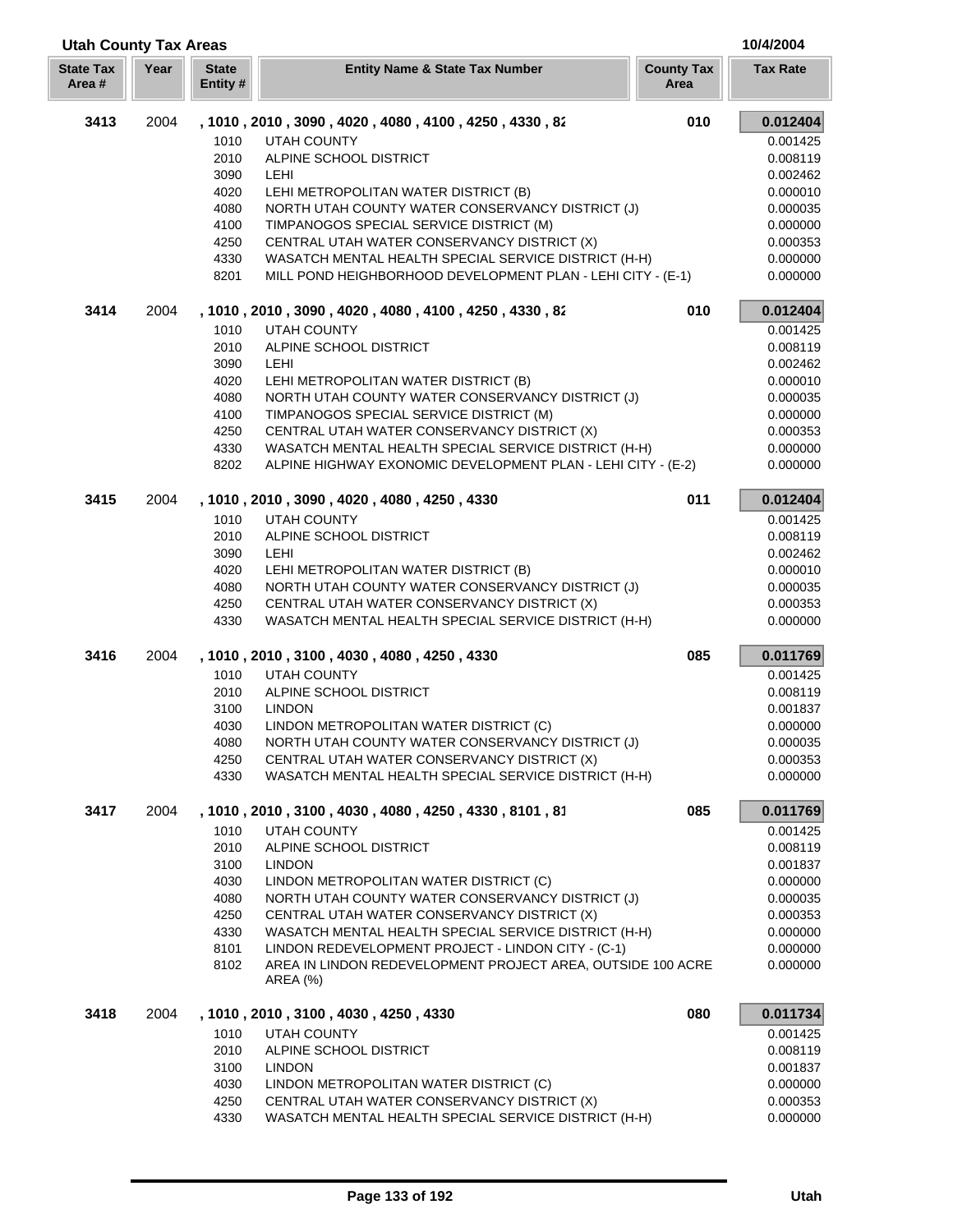| <b>Utah County Tax Areas</b> |      |                          |                                                                                                                               |                           | 10/4/2004            |
|------------------------------|------|--------------------------|-------------------------------------------------------------------------------------------------------------------------------|---------------------------|----------------------|
| <b>State Tax</b><br>Area #   | Year | <b>State</b><br>Entity # | <b>Entity Name &amp; State Tax Number</b>                                                                                     | <b>County Tax</b><br>Area | <b>Tax Rate</b>      |
| 3413                         | 2004 |                          | , 1010 , 2010 , 3090 , 4020 , 4080 , 4100 , 4250 , 4330 , 82                                                                  | 010                       | 0.012404             |
|                              |      | 1010                     | <b>UTAH COUNTY</b>                                                                                                            |                           | 0.001425             |
|                              |      | 2010                     | ALPINE SCHOOL DISTRICT                                                                                                        |                           | 0.008119             |
|                              |      | 3090                     | <b>LEHI</b>                                                                                                                   |                           | 0.002462             |
|                              |      | 4020                     | LEHI METROPOLITAN WATER DISTRICT (B)                                                                                          |                           | 0.000010             |
|                              |      | 4080                     | NORTH UTAH COUNTY WATER CONSERVANCY DISTRICT (J)                                                                              |                           | 0.000035             |
|                              |      | 4100                     | TIMPANOGOS SPECIAL SERVICE DISTRICT (M)                                                                                       |                           | 0.000000             |
|                              |      | 4250                     | CENTRAL UTAH WATER CONSERVANCY DISTRICT (X)                                                                                   |                           | 0.000353             |
|                              |      | 4330<br>8201             | WASATCH MENTAL HEALTH SPECIAL SERVICE DISTRICT (H-H)<br>MILL POND HEIGHBORHOOD DEVELOPMENT PLAN - LEHI CITY - (E-1)           |                           | 0.000000<br>0.000000 |
| 3414                         | 2004 |                          | , 1010, 2010, 3090, 4020, 4080, 4100, 4250, 4330, 82                                                                          | 010                       | 0.012404             |
|                              |      | 1010                     | <b>UTAH COUNTY</b>                                                                                                            |                           | 0.001425             |
|                              |      | 2010                     | ALPINE SCHOOL DISTRICT                                                                                                        |                           | 0.008119             |
|                              |      | 3090                     | LEHI                                                                                                                          |                           | 0.002462             |
|                              |      | 4020                     | LEHI METROPOLITAN WATER DISTRICT (B)                                                                                          |                           | 0.000010             |
|                              |      | 4080                     | NORTH UTAH COUNTY WATER CONSERVANCY DISTRICT (J)                                                                              |                           | 0.000035             |
|                              |      | 4100                     | TIMPANOGOS SPECIAL SERVICE DISTRICT (M)                                                                                       |                           | 0.000000             |
|                              |      | 4250                     | CENTRAL UTAH WATER CONSERVANCY DISTRICT (X)                                                                                   |                           | 0.000353             |
|                              |      | 4330                     | WASATCH MENTAL HEALTH SPECIAL SERVICE DISTRICT (H-H)                                                                          |                           | 0.000000             |
|                              |      | 8202                     | ALPINE HIGHWAY EXONOMIC DEVELOPMENT PLAN - LEHI CITY - (E-2)                                                                  |                           | 0.000000             |
| 3415                         | 2004 |                          | , 1010, 2010, 3090, 4020, 4080, 4250, 4330                                                                                    | 011                       | 0.012404             |
|                              |      | 1010<br>2010             | <b>UTAH COUNTY</b><br>ALPINE SCHOOL DISTRICT                                                                                  |                           | 0.001425<br>0.008119 |
|                              |      | 3090                     | LEHI                                                                                                                          |                           | 0.002462             |
|                              |      | 4020                     | LEHI METROPOLITAN WATER DISTRICT (B)                                                                                          |                           | 0.000010             |
|                              |      | 4080                     | NORTH UTAH COUNTY WATER CONSERVANCY DISTRICT (J)                                                                              |                           | 0.000035             |
|                              |      | 4250                     | CENTRAL UTAH WATER CONSERVANCY DISTRICT (X)                                                                                   |                           | 0.000353             |
|                              |      | 4330                     | WASATCH MENTAL HEALTH SPECIAL SERVICE DISTRICT (H-H)                                                                          |                           | 0.000000             |
| 3416                         | 2004 |                          | , 1010, 2010, 3100, 4030, 4080, 4250, 4330                                                                                    | 085                       | 0.011769             |
|                              |      | 1010                     | <b>UTAH COUNTY</b>                                                                                                            |                           | 0.001425             |
|                              |      | 2010                     | ALPINE SCHOOL DISTRICT                                                                                                        |                           | 0.008119             |
|                              |      | 3100                     | <b>LINDON</b>                                                                                                                 |                           | 0.001837             |
|                              |      | 4030                     | LINDON METROPOLITAN WATER DISTRICT (C)                                                                                        |                           | 0.000000             |
|                              |      | 4080<br>4250             | NORTH UTAH COUNTY WATER CONSERVANCY DISTRICT (J)<br>CENTRAL UTAH WATER CONSERVANCY DISTRICT (X)                               |                           | 0.000035<br>0.000353 |
|                              |      | 4330                     | WASATCH MENTAL HEALTH SPECIAL SERVICE DISTRICT (H-H)                                                                          |                           | 0.000000             |
| 3417                         | 2004 |                          | , 1010, 2010, 3100, 4030, 4080, 4250, 4330, 8101, 81                                                                          | 085                       | 0.011769             |
|                              |      | 1010                     | <b>UTAH COUNTY</b>                                                                                                            |                           | 0.001425             |
|                              |      | 2010                     | ALPINE SCHOOL DISTRICT                                                                                                        |                           | 0.008119             |
|                              |      | 3100                     | <b>LINDON</b>                                                                                                                 |                           | 0.001837             |
|                              |      | 4030                     | LINDON METROPOLITAN WATER DISTRICT (C)                                                                                        |                           | 0.000000             |
|                              |      | 4080                     | NORTH UTAH COUNTY WATER CONSERVANCY DISTRICT (J)                                                                              |                           | 0.000035             |
|                              |      | 4250                     | CENTRAL UTAH WATER CONSERVANCY DISTRICT (X)                                                                                   |                           | 0.000353             |
|                              |      | 4330                     | WASATCH MENTAL HEALTH SPECIAL SERVICE DISTRICT (H-H)                                                                          |                           | 0.000000             |
|                              |      | 8101<br>8102             | LINDON REDEVELOPMENT PROJECT - LINDON CITY - (C-1)<br>AREA IN LINDON REDEVELOPMENT PROJECT AREA, OUTSIDE 100 ACRE<br>AREA (%) |                           | 0.000000<br>0.000000 |
| 3418                         | 2004 |                          | , 1010, 2010, 3100, 4030, 4250, 4330                                                                                          | 080                       | 0.011734             |
|                              |      | 1010                     | <b>UTAH COUNTY</b>                                                                                                            |                           | 0.001425             |
|                              |      | 2010                     | ALPINE SCHOOL DISTRICT                                                                                                        |                           | 0.008119             |
|                              |      | 3100                     | <b>LINDON</b>                                                                                                                 |                           | 0.001837             |
|                              |      | 4030                     | LINDON METROPOLITAN WATER DISTRICT (C)                                                                                        |                           | 0.000000             |
|                              |      | 4250                     | CENTRAL UTAH WATER CONSERVANCY DISTRICT (X)                                                                                   |                           | 0.000353             |
|                              |      | 4330                     | WASATCH MENTAL HEALTH SPECIAL SERVICE DISTRICT (H-H)                                                                          |                           | 0.000000             |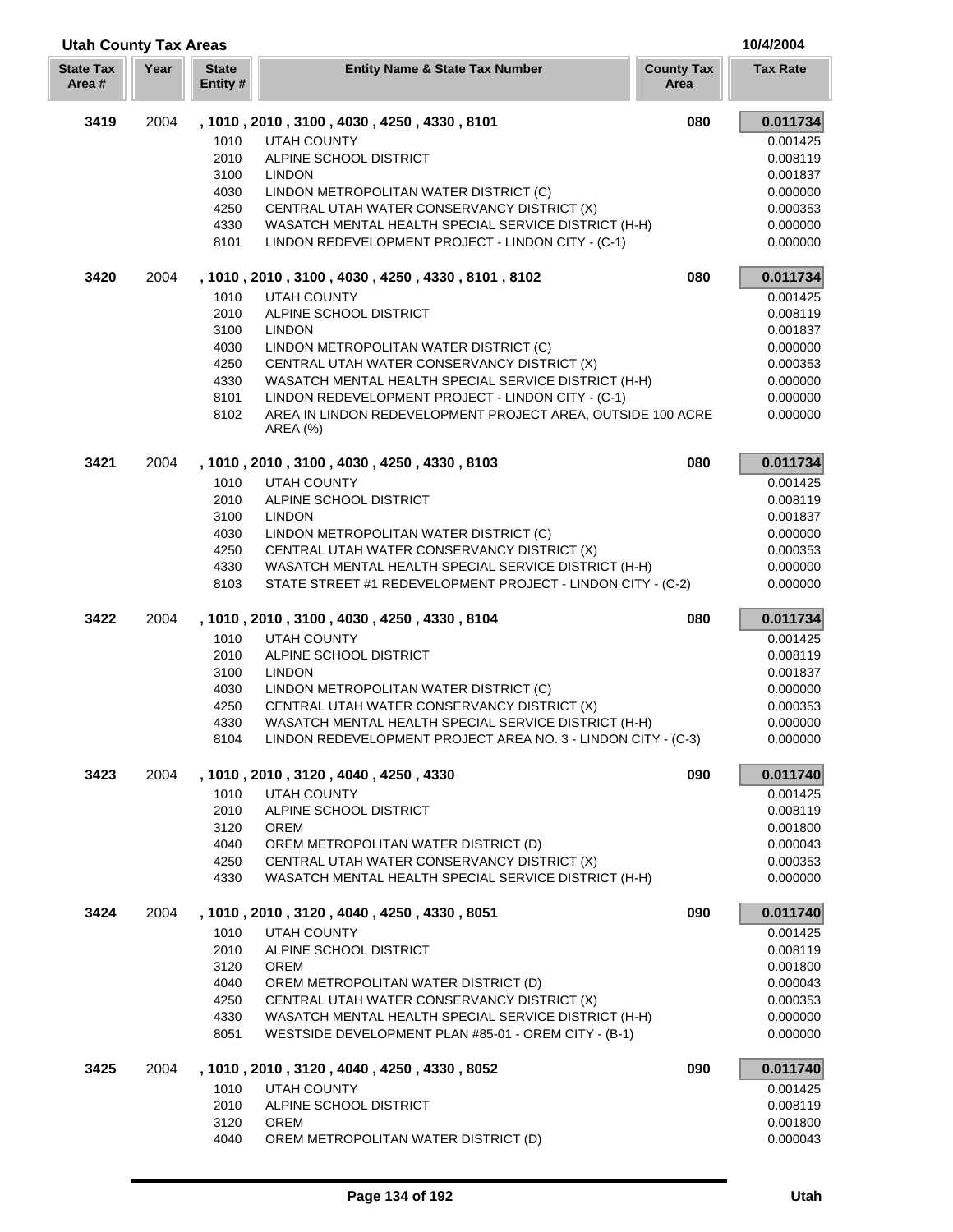|                           | <b>Utah County Tax Areas</b> |                          |                                                               |                           | 10/4/2004       |  |
|---------------------------|------------------------------|--------------------------|---------------------------------------------------------------|---------------------------|-----------------|--|
| <b>State Tax</b><br>Area# | Year                         | <b>State</b><br>Entity # | <b>Entity Name &amp; State Tax Number</b>                     | <b>County Tax</b><br>Area | <b>Tax Rate</b> |  |
| 3419                      | 2004                         |                          | , 1010, 2010, 3100, 4030, 4250, 4330, 8101                    | 080                       | 0.011734        |  |
|                           |                              | 1010                     | <b>UTAH COUNTY</b>                                            |                           | 0.001425        |  |
|                           |                              | 2010                     | ALPINE SCHOOL DISTRICT                                        |                           | 0.008119        |  |
|                           |                              | 3100                     | <b>LINDON</b>                                                 |                           | 0.001837        |  |
|                           |                              | 4030                     | LINDON METROPOLITAN WATER DISTRICT (C)                        |                           | 0.000000        |  |
|                           |                              | 4250                     | CENTRAL UTAH WATER CONSERVANCY DISTRICT (X)                   |                           | 0.000353        |  |
|                           |                              | 4330                     | WASATCH MENTAL HEALTH SPECIAL SERVICE DISTRICT (H-H)          |                           | 0.000000        |  |
|                           |                              | 8101                     | LINDON REDEVELOPMENT PROJECT - LINDON CITY - (C-1)            |                           | 0.000000        |  |
| 3420                      | 2004                         |                          | , 1010, 2010, 3100, 4030, 4250, 4330, 8101, 8102              | 080                       | 0.011734        |  |
|                           |                              | 1010                     | <b>UTAH COUNTY</b>                                            |                           | 0.001425        |  |
|                           |                              | 2010                     | ALPINE SCHOOL DISTRICT                                        |                           | 0.008119        |  |
|                           |                              | 3100                     | <b>LINDON</b>                                                 |                           | 0.001837        |  |
|                           |                              | 4030                     | LINDON METROPOLITAN WATER DISTRICT (C)                        |                           | 0.000000        |  |
|                           |                              | 4250                     | CENTRAL UTAH WATER CONSERVANCY DISTRICT (X)                   |                           | 0.000353        |  |
|                           |                              | 4330                     | WASATCH MENTAL HEALTH SPECIAL SERVICE DISTRICT (H-H)          |                           | 0.000000        |  |
|                           |                              | 8101                     | LINDON REDEVELOPMENT PROJECT - LINDON CITY - (C-1)            |                           | 0.000000        |  |
|                           |                              | 8102                     | AREA IN LINDON REDEVELOPMENT PROJECT AREA, OUTSIDE 100 ACRE   |                           | 0.000000        |  |
|                           |                              |                          | <b>AREA (%)</b>                                               |                           |                 |  |
| 3421                      | 2004                         |                          | , 1010, 2010, 3100, 4030, 4250, 4330, 8103                    | 080                       | 0.011734        |  |
|                           |                              | 1010                     | <b>UTAH COUNTY</b>                                            |                           | 0.001425        |  |
|                           |                              | 2010                     | ALPINE SCHOOL DISTRICT                                        |                           | 0.008119        |  |
|                           |                              | 3100                     | <b>LINDON</b>                                                 |                           | 0.001837        |  |
|                           |                              | 4030                     | LINDON METROPOLITAN WATER DISTRICT (C)                        |                           | 0.000000        |  |
|                           |                              | 4250                     | CENTRAL UTAH WATER CONSERVANCY DISTRICT (X)                   |                           | 0.000353        |  |
|                           |                              | 4330                     | WASATCH MENTAL HEALTH SPECIAL SERVICE DISTRICT (H-H)          |                           | 0.000000        |  |
|                           |                              | 8103                     | STATE STREET #1 REDEVELOPMENT PROJECT - LINDON CITY - (C-2)   |                           | 0.000000        |  |
| 3422                      | 2004                         |                          | , 1010, 2010, 3100, 4030, 4250, 4330, 8104                    | 080                       | 0.011734        |  |
|                           |                              | 1010                     | <b>UTAH COUNTY</b>                                            |                           | 0.001425        |  |
|                           |                              | 2010                     | ALPINE SCHOOL DISTRICT                                        |                           | 0.008119        |  |
|                           |                              | 3100                     | <b>LINDON</b>                                                 |                           | 0.001837        |  |
|                           |                              | 4030                     | LINDON METROPOLITAN WATER DISTRICT (C)                        |                           | 0.000000        |  |
|                           |                              | 4250                     | CENTRAL UTAH WATER CONSERVANCY DISTRICT (X)                   |                           | 0.000353        |  |
|                           |                              | 4330                     | WASATCH MENTAL HEALTH SPECIAL SERVICE DISTRICT (H-H)          |                           | 0.000000        |  |
|                           |                              | 8104                     | LINDON REDEVELOPMENT PROJECT AREA NO. 3 - LINDON CITY - (C-3) |                           | 0.000000        |  |
| 3423                      | 2004                         |                          | , 1010, 2010, 3120, 4040, 4250, 4330                          | 090                       | 0.011740        |  |
|                           |                              | 1010                     | <b>UTAH COUNTY</b>                                            |                           | 0.001425        |  |
|                           |                              | 2010                     | ALPINE SCHOOL DISTRICT                                        |                           | 0.008119        |  |
|                           |                              | 3120                     | <b>OREM</b>                                                   |                           | 0.001800        |  |
|                           |                              | 4040                     | OREM METROPOLITAN WATER DISTRICT (D)                          |                           | 0.000043        |  |
|                           |                              | 4250                     | CENTRAL UTAH WATER CONSERVANCY DISTRICT (X)                   |                           | 0.000353        |  |
|                           |                              | 4330                     | WASATCH MENTAL HEALTH SPECIAL SERVICE DISTRICT (H-H)          |                           | 0.000000        |  |
| 3424                      | 2004                         |                          | , 1010, 2010, 3120, 4040, 4250, 4330, 8051                    | 090                       | 0.011740        |  |
|                           |                              | 1010                     | <b>UTAH COUNTY</b>                                            |                           | 0.001425        |  |
|                           |                              | 2010                     | ALPINE SCHOOL DISTRICT                                        |                           | 0.008119        |  |
|                           |                              | 3120                     | <b>OREM</b>                                                   |                           | 0.001800        |  |
|                           |                              | 4040                     | OREM METROPOLITAN WATER DISTRICT (D)                          |                           | 0.000043        |  |
|                           |                              | 4250                     | CENTRAL UTAH WATER CONSERVANCY DISTRICT (X)                   |                           | 0.000353        |  |
|                           |                              | 4330                     | WASATCH MENTAL HEALTH SPECIAL SERVICE DISTRICT (H-H)          |                           | 0.000000        |  |
|                           |                              | 8051                     | WESTSIDE DEVELOPMENT PLAN #85-01 - OREM CITY - (B-1)          |                           | 0.000000        |  |
| 3425                      | 2004                         |                          | , 1010, 2010, 3120, 4040, 4250, 4330, 8052                    | 090                       | 0.011740        |  |
|                           |                              | 1010                     | <b>UTAH COUNTY</b>                                            |                           | 0.001425        |  |
|                           |                              | 2010                     | ALPINE SCHOOL DISTRICT                                        |                           | 0.008119        |  |
|                           |                              | 3120                     | <b>OREM</b>                                                   |                           | 0.001800        |  |
|                           |                              | 4040                     | OREM METROPOLITAN WATER DISTRICT (D)                          |                           | 0.000043        |  |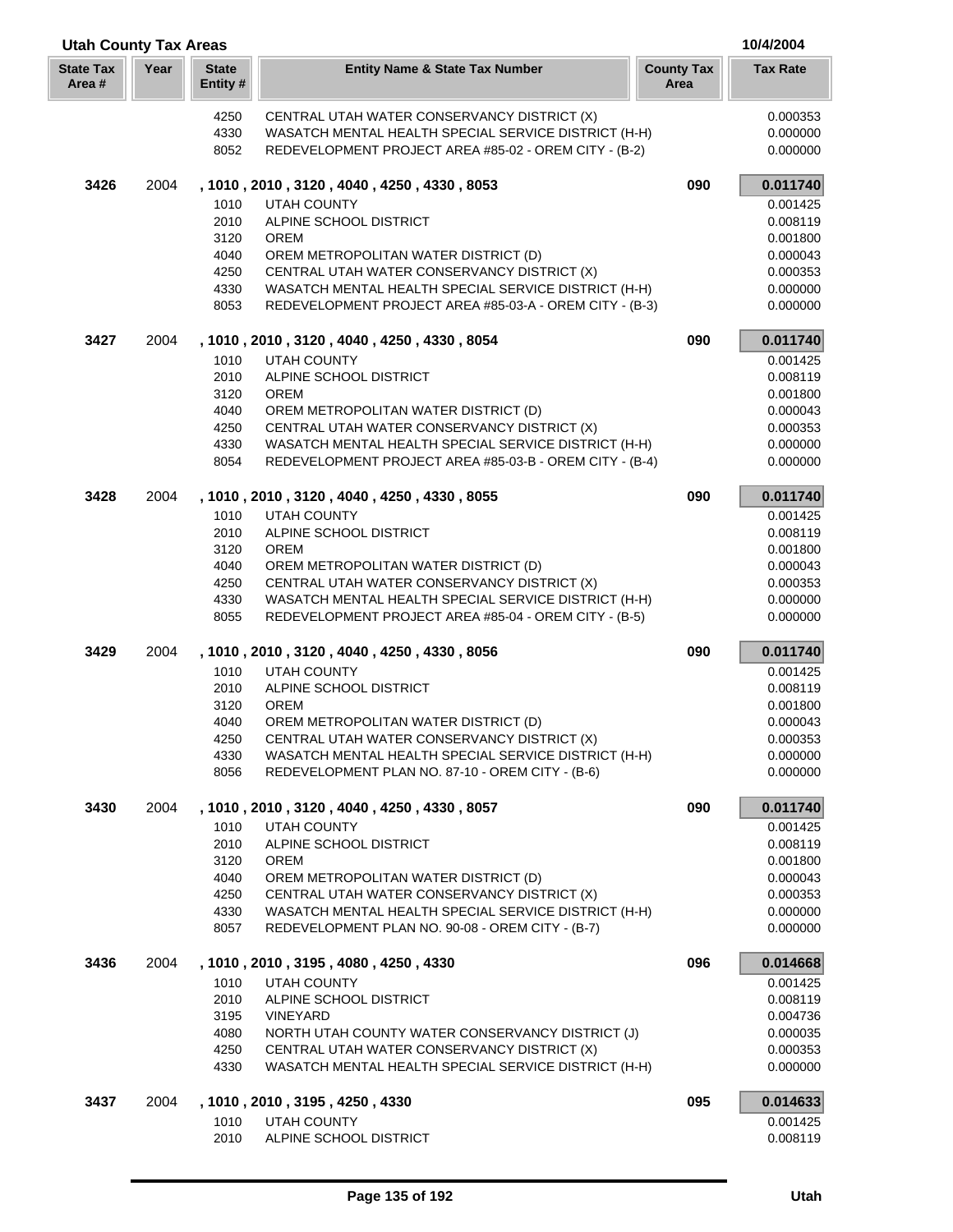| <b>Utah County Tax Areas</b> |      |                         |                                                                                     |                           | 10/4/2004            |
|------------------------------|------|-------------------------|-------------------------------------------------------------------------------------|---------------------------|----------------------|
| <b>State Tax</b><br>Area#    | Year | <b>State</b><br>Entity# | <b>Entity Name &amp; State Tax Number</b>                                           | <b>County Tax</b><br>Area | <b>Tax Rate</b>      |
|                              |      | 4250                    | CENTRAL UTAH WATER CONSERVANCY DISTRICT (X)                                         |                           | 0.000353             |
|                              |      | 4330                    | WASATCH MENTAL HEALTH SPECIAL SERVICE DISTRICT (H-H)                                |                           | 0.000000             |
|                              |      | 8052                    | REDEVELOPMENT PROJECT AREA #85-02 - OREM CITY - (B-2)                               |                           | 0.000000             |
| 3426                         | 2004 |                         | , 1010, 2010, 3120, 4040, 4250, 4330, 8053                                          | 090                       | 0.011740             |
|                              |      | 1010                    | <b>UTAH COUNTY</b>                                                                  |                           | 0.001425             |
|                              |      | 2010                    | ALPINE SCHOOL DISTRICT                                                              |                           | 0.008119             |
|                              |      | 3120                    | <b>OREM</b>                                                                         |                           | 0.001800             |
|                              |      | 4040                    | OREM METROPOLITAN WATER DISTRICT (D)                                                |                           | 0.000043             |
|                              |      | 4250                    | CENTRAL UTAH WATER CONSERVANCY DISTRICT (X)                                         |                           | 0.000353             |
|                              |      | 4330                    | WASATCH MENTAL HEALTH SPECIAL SERVICE DISTRICT (H-H)                                |                           | 0.000000             |
|                              |      | 8053                    | REDEVELOPMENT PROJECT AREA #85-03-A - OREM CITY - (B-3)                             |                           | 0.000000             |
| 3427                         | 2004 |                         | , 1010, 2010, 3120, 4040, 4250, 4330, 8054                                          | 090                       | 0.011740             |
|                              |      | 1010<br>2010            | <b>UTAH COUNTY</b><br>ALPINE SCHOOL DISTRICT                                        |                           | 0.001425<br>0.008119 |
|                              |      | 3120                    | <b>OREM</b>                                                                         |                           | 0.001800             |
|                              |      | 4040                    | OREM METROPOLITAN WATER DISTRICT (D)                                                |                           | 0.000043             |
|                              |      | 4250                    | CENTRAL UTAH WATER CONSERVANCY DISTRICT (X)                                         |                           | 0.000353             |
|                              |      | 4330                    | WASATCH MENTAL HEALTH SPECIAL SERVICE DISTRICT (H-H)                                |                           | 0.000000             |
|                              |      | 8054                    | REDEVELOPMENT PROJECT AREA #85-03-B - OREM CITY - (B-4)                             |                           | 0.000000             |
| 3428                         | 2004 |                         | , 1010, 2010, 3120, 4040, 4250, 4330, 8055                                          | 090                       | 0.011740             |
|                              |      | 1010                    | <b>UTAH COUNTY</b>                                                                  |                           | 0.001425             |
|                              |      | 2010                    | ALPINE SCHOOL DISTRICT                                                              |                           | 0.008119             |
|                              |      | 3120                    | <b>OREM</b>                                                                         |                           | 0.001800             |
|                              |      | 4040                    | OREM METROPOLITAN WATER DISTRICT (D)                                                |                           | 0.000043             |
|                              |      | 4250                    | CENTRAL UTAH WATER CONSERVANCY DISTRICT (X)                                         |                           | 0.000353             |
|                              |      | 4330                    | WASATCH MENTAL HEALTH SPECIAL SERVICE DISTRICT (H-H)                                |                           | 0.000000             |
|                              |      | 8055                    | REDEVELOPMENT PROJECT AREA #85-04 - OREM CITY - (B-5)                               |                           | 0.000000             |
| 3429                         | 2004 |                         | , 1010, 2010, 3120, 4040, 4250, 4330, 8056                                          | 090                       | 0.011740             |
|                              |      | 1010                    | <b>UTAH COUNTY</b>                                                                  |                           | 0.001425             |
|                              |      | 2010                    | ALPINE SCHOOL DISTRICT                                                              |                           | 0.008119             |
|                              |      | 3120                    | <b>OREM</b>                                                                         |                           | 0.001800             |
|                              |      | 4040                    | OREM METROPOLITAN WATER DISTRICT (D)                                                |                           | 0.000043             |
|                              |      | 4250                    | CENTRAL UTAH WATER CONSERVANCY DISTRICT (X)                                         |                           | 0.000353             |
|                              |      | 4330                    | WASATCH MENTAL HEALTH SPECIAL SERVICE DISTRICT (H-H)                                |                           | 0.000000             |
|                              |      | 8056                    | REDEVELOPMENT PLAN NO. 87-10 - OREM CITY - (B-6)                                    |                           | 0.000000             |
| 3430                         | 2004 |                         | , 1010, 2010, 3120, 4040, 4250, 4330, 8057                                          | 090                       | 0.011740             |
|                              |      | 1010                    | <b>UTAH COUNTY</b>                                                                  |                           | 0.001425             |
|                              |      | 2010                    | ALPINE SCHOOL DISTRICT                                                              |                           | 0.008119             |
|                              |      | 3120                    | <b>OREM</b>                                                                         |                           | 0.001800             |
|                              |      | 4040<br>4250            | OREM METROPOLITAN WATER DISTRICT (D)<br>CENTRAL UTAH WATER CONSERVANCY DISTRICT (X) |                           | 0.000043<br>0.000353 |
|                              |      | 4330                    | WASATCH MENTAL HEALTH SPECIAL SERVICE DISTRICT (H-H)                                |                           | 0.000000             |
|                              |      | 8057                    | REDEVELOPMENT PLAN NO. 90-08 - OREM CITY - (B-7)                                    |                           | 0.000000             |
| 3436                         | 2004 |                         | , 1010, 2010, 3195, 4080, 4250, 4330                                                | 096                       | 0.014668             |
|                              |      | 1010                    | <b>UTAH COUNTY</b>                                                                  |                           | 0.001425             |
|                              |      | 2010                    | ALPINE SCHOOL DISTRICT                                                              |                           | 0.008119             |
|                              |      | 3195                    | <b>VINEYARD</b>                                                                     |                           | 0.004736             |
|                              |      | 4080                    | NORTH UTAH COUNTY WATER CONSERVANCY DISTRICT (J)                                    |                           | 0.000035             |
|                              |      | 4250                    | CENTRAL UTAH WATER CONSERVANCY DISTRICT (X)                                         |                           | 0.000353             |
|                              |      | 4330                    | WASATCH MENTAL HEALTH SPECIAL SERVICE DISTRICT (H-H)                                |                           | 0.000000             |
| 3437                         | 2004 |                         | , 1010, 2010, 3195, 4250, 4330                                                      | 095                       | 0.014633             |
|                              |      | 1010                    | <b>UTAH COUNTY</b>                                                                  |                           | 0.001425             |
|                              |      | 2010                    | ALPINE SCHOOL DISTRICT                                                              |                           | 0.008119             |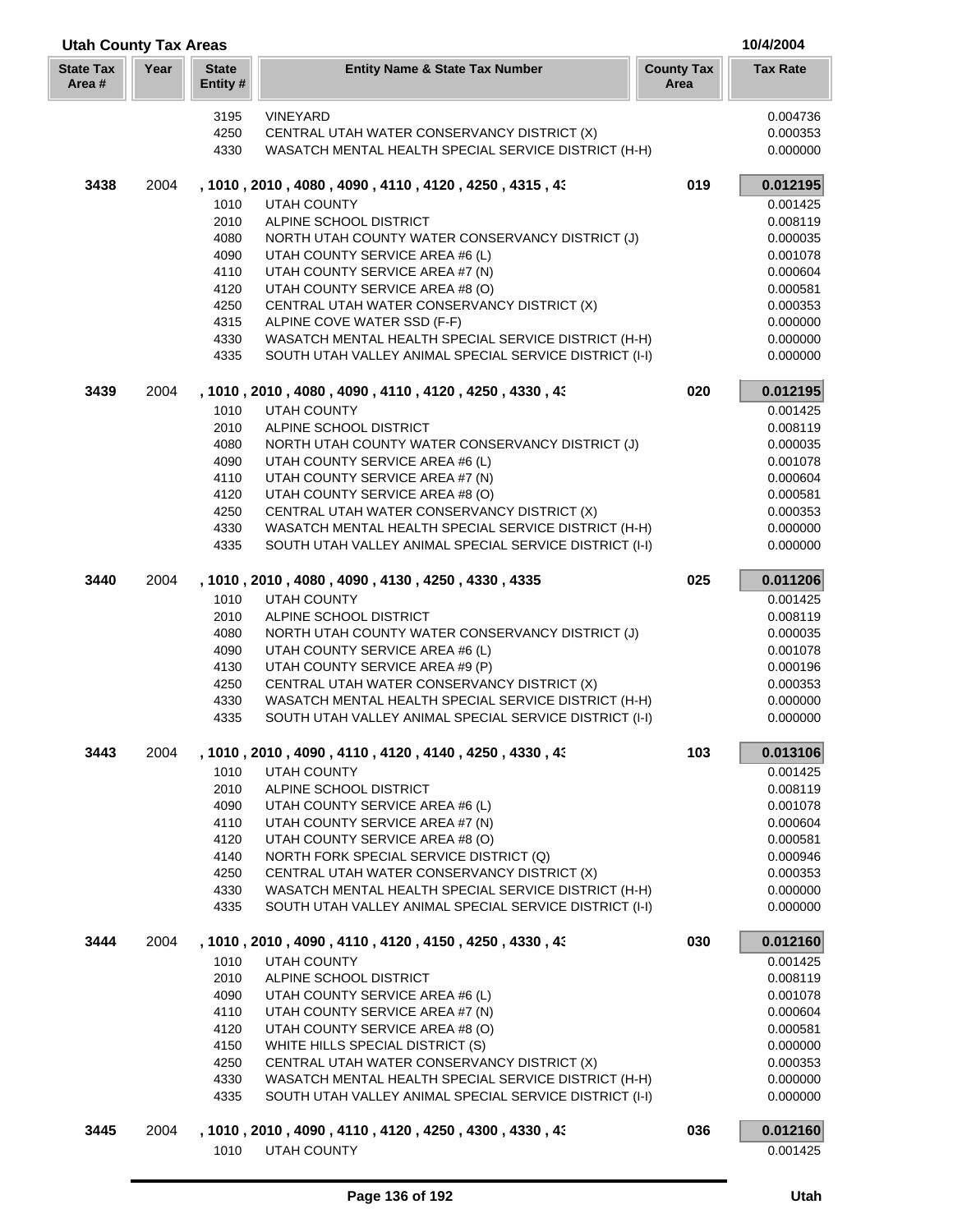| <b>Utah County Tax Areas</b> |      |                          |                                                                                                     | 10/4/2004                 |                      |
|------------------------------|------|--------------------------|-----------------------------------------------------------------------------------------------------|---------------------------|----------------------|
| <b>State Tax</b><br>Area#    | Year | <b>State</b><br>Entity # | <b>Entity Name &amp; State Tax Number</b>                                                           | <b>County Tax</b><br>Area | <b>Tax Rate</b>      |
|                              |      | 3195                     | <b>VINEYARD</b>                                                                                     |                           | 0.004736             |
|                              |      | 4250                     | CENTRAL UTAH WATER CONSERVANCY DISTRICT (X)                                                         |                           | 0.000353             |
|                              |      | 4330                     | WASATCH MENTAL HEALTH SPECIAL SERVICE DISTRICT (H-H)                                                |                           | 0.000000             |
| 3438                         | 2004 |                          | , 1010, 2010, 4080, 4090, 4110, 4120, 4250, 4315, 43                                                | 019                       | 0.012195             |
|                              |      | 1010                     | <b>UTAH COUNTY</b>                                                                                  |                           | 0.001425             |
|                              |      | 2010                     | ALPINE SCHOOL DISTRICT                                                                              |                           | 0.008119             |
|                              |      | 4080                     | NORTH UTAH COUNTY WATER CONSERVANCY DISTRICT (J)                                                    |                           | 0.000035             |
|                              |      | 4090                     | UTAH COUNTY SERVICE AREA #6 (L)                                                                     |                           | 0.001078             |
|                              |      | 4110                     | UTAH COUNTY SERVICE AREA #7 (N)                                                                     |                           | 0.000604             |
|                              |      | 4120<br>4250             | UTAH COUNTY SERVICE AREA #8 (O)                                                                     |                           | 0.000581             |
|                              |      | 4315                     | CENTRAL UTAH WATER CONSERVANCY DISTRICT (X)<br>ALPINE COVE WATER SSD (F-F)                          |                           | 0.000353<br>0.000000 |
|                              |      | 4330                     | WASATCH MENTAL HEALTH SPECIAL SERVICE DISTRICT (H-H)                                                |                           | 0.000000             |
|                              |      | 4335                     | SOUTH UTAH VALLEY ANIMAL SPECIAL SERVICE DISTRICT (I-I)                                             |                           | 0.000000             |
| 3439                         | 2004 |                          | , 1010, 2010, 4080, 4090, 4110, 4120, 4250, 4330, 43                                                | 020                       | 0.012195             |
|                              |      | 1010                     | <b>UTAH COUNTY</b>                                                                                  |                           | 0.001425             |
|                              |      | 2010                     | ALPINE SCHOOL DISTRICT                                                                              |                           | 0.008119             |
|                              |      | 4080                     | NORTH UTAH COUNTY WATER CONSERVANCY DISTRICT (J)                                                    |                           | 0.000035             |
|                              |      | 4090                     | UTAH COUNTY SERVICE AREA #6 (L)                                                                     |                           | 0.001078             |
|                              |      | 4110                     | UTAH COUNTY SERVICE AREA #7 (N)                                                                     |                           | 0.000604             |
|                              |      | 4120                     | UTAH COUNTY SERVICE AREA #8 (O)                                                                     |                           | 0.000581             |
|                              |      | 4250                     | CENTRAL UTAH WATER CONSERVANCY DISTRICT (X)                                                         |                           | 0.000353             |
|                              |      | 4330                     | WASATCH MENTAL HEALTH SPECIAL SERVICE DISTRICT (H-H)                                                |                           | 0.000000             |
|                              |      | 4335                     | SOUTH UTAH VALLEY ANIMAL SPECIAL SERVICE DISTRICT (I-I)                                             |                           | 0.000000             |
| 3440                         | 2004 | 1010                     | , 1010, 2010, 4080, 4090, 4130, 4250, 4330, 4335<br><b>UTAH COUNTY</b>                              | 025                       | 0.011206<br>0.001425 |
|                              |      | 2010                     | ALPINE SCHOOL DISTRICT                                                                              |                           | 0.008119             |
|                              |      | 4080                     | NORTH UTAH COUNTY WATER CONSERVANCY DISTRICT (J)                                                    |                           | 0.000035             |
|                              |      | 4090                     | UTAH COUNTY SERVICE AREA #6 (L)                                                                     |                           | 0.001078             |
|                              |      | 4130                     | UTAH COUNTY SERVICE AREA #9 (P)                                                                     |                           | 0.000196             |
|                              |      | 4250                     | CENTRAL UTAH WATER CONSERVANCY DISTRICT (X)                                                         |                           | 0.000353             |
|                              |      | 4330                     | WASATCH MENTAL HEALTH SPECIAL SERVICE DISTRICT (H-H)                                                |                           | 0.000000             |
|                              |      | 4335                     | SOUTH UTAH VALLEY ANIMAL SPECIAL SERVICE DISTRICT (I-I)                                             |                           | 0.000000             |
| 3443                         | 2004 |                          | , 1010, 2010, 4090, 4110, 4120, 4140, 4250, 4330, 43                                                | 103                       | 0.013106             |
|                              |      | 1010                     | <b>UTAH COUNTY</b>                                                                                  |                           | 0.001425             |
|                              |      | 2010                     | ALPINE SCHOOL DISTRICT                                                                              |                           | 0.008119             |
|                              |      | 4090                     | UTAH COUNTY SERVICE AREA #6 (L)                                                                     |                           | 0.001078             |
|                              |      | 4110<br>4120             | UTAH COUNTY SERVICE AREA #7 (N)<br>UTAH COUNTY SERVICE AREA #8 (O)                                  |                           | 0.000604<br>0.000581 |
|                              |      | 4140                     | NORTH FORK SPECIAL SERVICE DISTRICT (Q)                                                             |                           | 0.000946             |
|                              |      | 4250                     | CENTRAL UTAH WATER CONSERVANCY DISTRICT (X)                                                         |                           | 0.000353             |
|                              |      | 4330                     | WASATCH MENTAL HEALTH SPECIAL SERVICE DISTRICT (H-H)                                                |                           | 0.000000             |
|                              |      | 4335                     | SOUTH UTAH VALLEY ANIMAL SPECIAL SERVICE DISTRICT (I-I)                                             |                           | 0.000000             |
| 3444                         | 2004 |                          | , 1010 , 2010 , 4090 , 4110 , 4120 , 4150 , 4250 , 4330 , 43                                        | 030                       | 0.012160             |
|                              |      | 1010                     | <b>UTAH COUNTY</b>                                                                                  |                           | 0.001425             |
|                              |      | 2010                     | ALPINE SCHOOL DISTRICT                                                                              |                           | 0.008119             |
|                              |      | 4090                     | UTAH COUNTY SERVICE AREA #6 (L)                                                                     |                           | 0.001078             |
|                              |      | 4110                     | UTAH COUNTY SERVICE AREA #7 (N)                                                                     |                           | 0.000604             |
|                              |      | 4120                     | UTAH COUNTY SERVICE AREA #8 (O)                                                                     |                           | 0.000581             |
|                              |      | 4150                     | WHITE HILLS SPECIAL DISTRICT (S)                                                                    |                           | 0.000000             |
|                              |      | 4250<br>4330             | CENTRAL UTAH WATER CONSERVANCY DISTRICT (X)<br>WASATCH MENTAL HEALTH SPECIAL SERVICE DISTRICT (H-H) |                           | 0.000353<br>0.000000 |
|                              |      | 4335                     | SOUTH UTAH VALLEY ANIMAL SPECIAL SERVICE DISTRICT (I-I)                                             |                           | 0.000000             |
|                              |      |                          |                                                                                                     |                           |                      |
| 3445                         | 2004 | 1010                     | , 1010 , 2010 , 4090 , 4110 , 4120 , 4250 , 4300 , 4330 , 43<br>UTAH COUNTY                         | 036                       | 0.012160<br>0.001425 |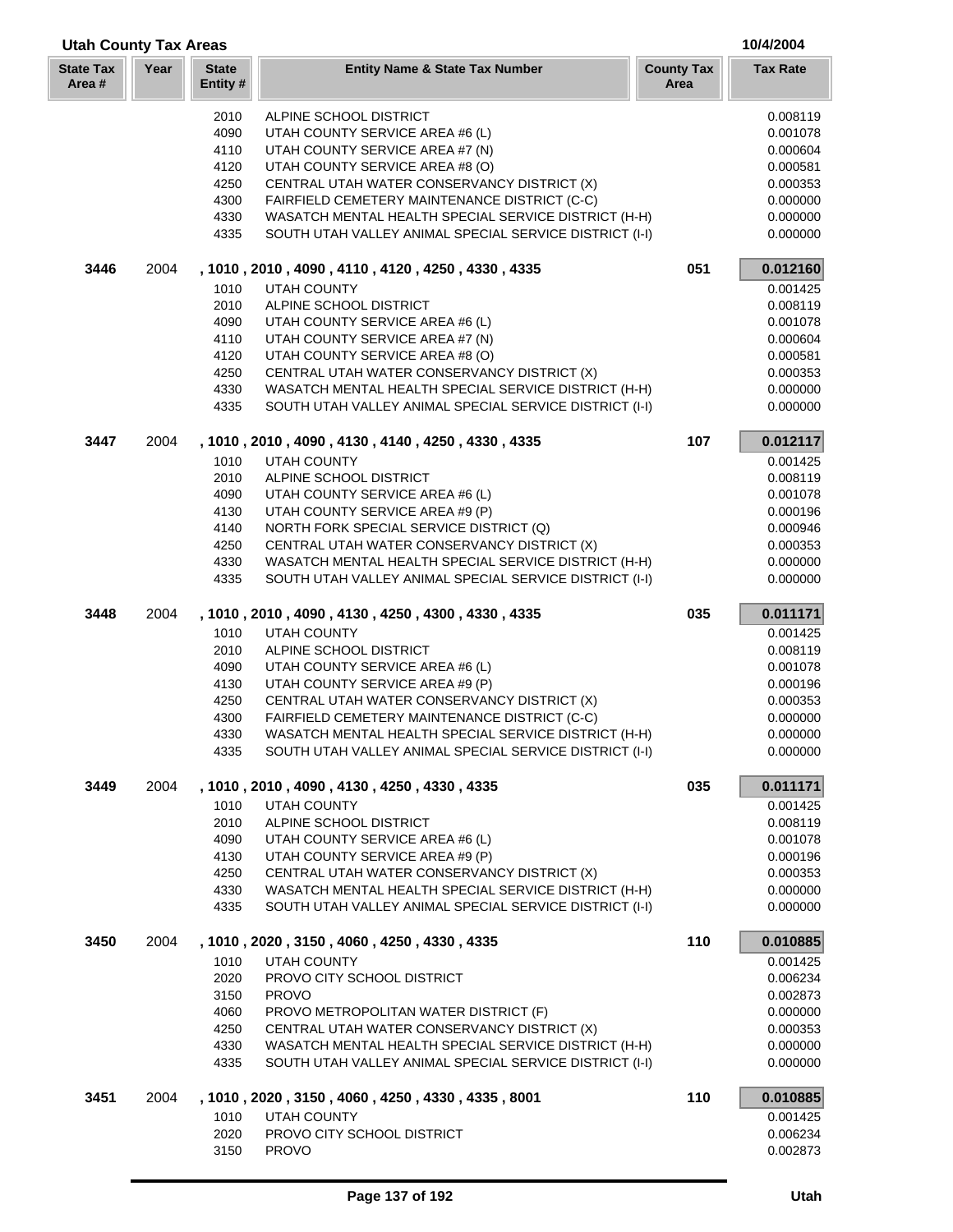| <b>Utah County Tax Areas</b> |      |                          |                                                                                                                 |                           | 10/4/2004            |
|------------------------------|------|--------------------------|-----------------------------------------------------------------------------------------------------------------|---------------------------|----------------------|
| <b>State Tax</b><br>Area#    | Year | <b>State</b><br>Entity # | <b>Entity Name &amp; State Tax Number</b>                                                                       | <b>County Tax</b><br>Area | <b>Tax Rate</b>      |
|                              |      | 2010                     | ALPINE SCHOOL DISTRICT                                                                                          |                           | 0.008119             |
|                              |      | 4090                     | UTAH COUNTY SERVICE AREA #6 (L)                                                                                 |                           | 0.001078             |
|                              |      | 4110                     | UTAH COUNTY SERVICE AREA #7 (N)                                                                                 |                           | 0.000604             |
|                              |      | 4120                     | UTAH COUNTY SERVICE AREA #8 (O)                                                                                 |                           | 0.000581             |
|                              |      | 4250                     | CENTRAL UTAH WATER CONSERVANCY DISTRICT (X)                                                                     |                           | 0.000353             |
|                              |      | 4300                     | FAIRFIELD CEMETERY MAINTENANCE DISTRICT (C-C)                                                                   |                           | 0.000000             |
|                              |      | 4330                     | WASATCH MENTAL HEALTH SPECIAL SERVICE DISTRICT (H-H)                                                            |                           | 0.000000             |
|                              |      | 4335                     | SOUTH UTAH VALLEY ANIMAL SPECIAL SERVICE DISTRICT (I-I)                                                         |                           | 0.000000             |
| 3446                         | 2004 |                          | , 1010, 2010, 4090, 4110, 4120, 4250, 4330, 4335                                                                | 051                       | 0.012160             |
|                              |      | 1010                     | UTAH COUNTY                                                                                                     |                           | 0.001425             |
|                              |      | 2010                     | ALPINE SCHOOL DISTRICT                                                                                          |                           | 0.008119             |
|                              |      | 4090                     | UTAH COUNTY SERVICE AREA #6 (L)                                                                                 |                           | 0.001078             |
|                              |      | 4110                     | UTAH COUNTY SERVICE AREA #7 (N)                                                                                 |                           | 0.000604             |
|                              |      | 4120                     | UTAH COUNTY SERVICE AREA #8 (O)                                                                                 |                           | 0.000581             |
|                              |      | 4250                     | CENTRAL UTAH WATER CONSERVANCY DISTRICT (X)                                                                     |                           | 0.000353             |
|                              |      | 4330<br>4335             | WASATCH MENTAL HEALTH SPECIAL SERVICE DISTRICT (H-H)<br>SOUTH UTAH VALLEY ANIMAL SPECIAL SERVICE DISTRICT (I-I) |                           | 0.000000<br>0.000000 |
|                              |      |                          |                                                                                                                 |                           |                      |
| 3447                         | 2004 | 1010                     | , 1010, 2010, 4090, 4130, 4140, 4250, 4330, 4335<br>UTAH COUNTY                                                 | 107                       | 0.012117<br>0.001425 |
|                              |      | 2010                     | ALPINE SCHOOL DISTRICT                                                                                          |                           | 0.008119             |
|                              |      | 4090                     | UTAH COUNTY SERVICE AREA #6 (L)                                                                                 |                           | 0.001078             |
|                              |      | 4130                     | UTAH COUNTY SERVICE AREA #9 (P)                                                                                 |                           | 0.000196             |
|                              |      | 4140                     | NORTH FORK SPECIAL SERVICE DISTRICT (Q)                                                                         |                           | 0.000946             |
|                              |      | 4250                     | CENTRAL UTAH WATER CONSERVANCY DISTRICT (X)                                                                     |                           | 0.000353             |
|                              |      | 4330                     | WASATCH MENTAL HEALTH SPECIAL SERVICE DISTRICT (H-H)                                                            |                           | 0.000000             |
|                              |      | 4335                     | SOUTH UTAH VALLEY ANIMAL SPECIAL SERVICE DISTRICT (I-I)                                                         |                           | 0.000000             |
| 3448                         | 2004 |                          | , 1010, 2010, 4090, 4130, 4250, 4300, 4330, 4335                                                                | 035                       | 0.011171             |
|                              |      | 1010                     | <b>UTAH COUNTY</b>                                                                                              |                           | 0.001425             |
|                              |      | 2010                     | ALPINE SCHOOL DISTRICT                                                                                          |                           | 0.008119             |
|                              |      | 4090                     | UTAH COUNTY SERVICE AREA #6 (L)                                                                                 |                           | 0.001078             |
|                              |      | 4130                     | UTAH COUNTY SERVICE AREA #9 (P)                                                                                 |                           | 0.000196             |
|                              |      | 4250                     | CENTRAL UTAH WATER CONSERVANCY DISTRICT (X)                                                                     |                           | 0.000353             |
|                              |      | 4300                     | FAIRFIELD CEMETERY MAINTENANCE DISTRICT (C-C)                                                                   |                           | 0.000000             |
|                              |      | 4330<br>4335             | WASATCH MENTAL HEALTH SPECIAL SERVICE DISTRICT (H-H)<br>SOUTH UTAH VALLEY ANIMAL SPECIAL SERVICE DISTRICT (I-I) |                           | 0.000000<br>0.000000 |
|                              |      |                          |                                                                                                                 |                           |                      |
| 3449                         | 2004 | 1010                     | , 1010, 2010, 4090, 4130, 4250, 4330, 4335<br>UTAH COUNTY                                                       | 035                       | 0.011171<br>0.001425 |
|                              |      | 2010                     | ALPINE SCHOOL DISTRICT                                                                                          |                           | 0.008119             |
|                              |      | 4090                     | UTAH COUNTY SERVICE AREA #6 (L)                                                                                 |                           | 0.001078             |
|                              |      | 4130                     | UTAH COUNTY SERVICE AREA #9 (P)                                                                                 |                           | 0.000196             |
|                              |      | 4250                     | CENTRAL UTAH WATER CONSERVANCY DISTRICT (X)                                                                     |                           | 0.000353             |
|                              |      | 4330                     | WASATCH MENTAL HEALTH SPECIAL SERVICE DISTRICT (H-H)                                                            |                           | 0.000000             |
|                              |      | 4335                     | SOUTH UTAH VALLEY ANIMAL SPECIAL SERVICE DISTRICT (I-I)                                                         |                           | 0.000000             |
| 3450                         | 2004 |                          | , 1010, 2020, 3150, 4060, 4250, 4330, 4335                                                                      | 110                       | 0.010885             |
|                              |      | 1010                     | <b>UTAH COUNTY</b>                                                                                              |                           | 0.001425             |
|                              |      | 2020                     | PROVO CITY SCHOOL DISTRICT                                                                                      |                           | 0.006234             |
|                              |      | 3150                     | <b>PROVO</b>                                                                                                    |                           | 0.002873             |
|                              |      | 4060                     | PROVO METROPOLITAN WATER DISTRICT (F)                                                                           |                           | 0.000000             |
|                              |      | 4250                     | CENTRAL UTAH WATER CONSERVANCY DISTRICT (X)                                                                     |                           | 0.000353             |
|                              |      | 4330                     | WASATCH MENTAL HEALTH SPECIAL SERVICE DISTRICT (H-H)                                                            |                           | 0.000000             |
|                              |      | 4335                     | SOUTH UTAH VALLEY ANIMAL SPECIAL SERVICE DISTRICT (I-I)                                                         |                           | 0.000000             |
| 3451                         | 2004 |                          | , 1010, 2020, 3150, 4060, 4250, 4330, 4335, 8001                                                                | 110                       | 0.010885             |
|                              |      | 1010                     | <b>UTAH COUNTY</b>                                                                                              |                           | 0.001425             |
|                              |      | 2020                     | PROVO CITY SCHOOL DISTRICT                                                                                      |                           | 0.006234             |
|                              |      | 3150                     | <b>PROVO</b>                                                                                                    |                           | 0.002873             |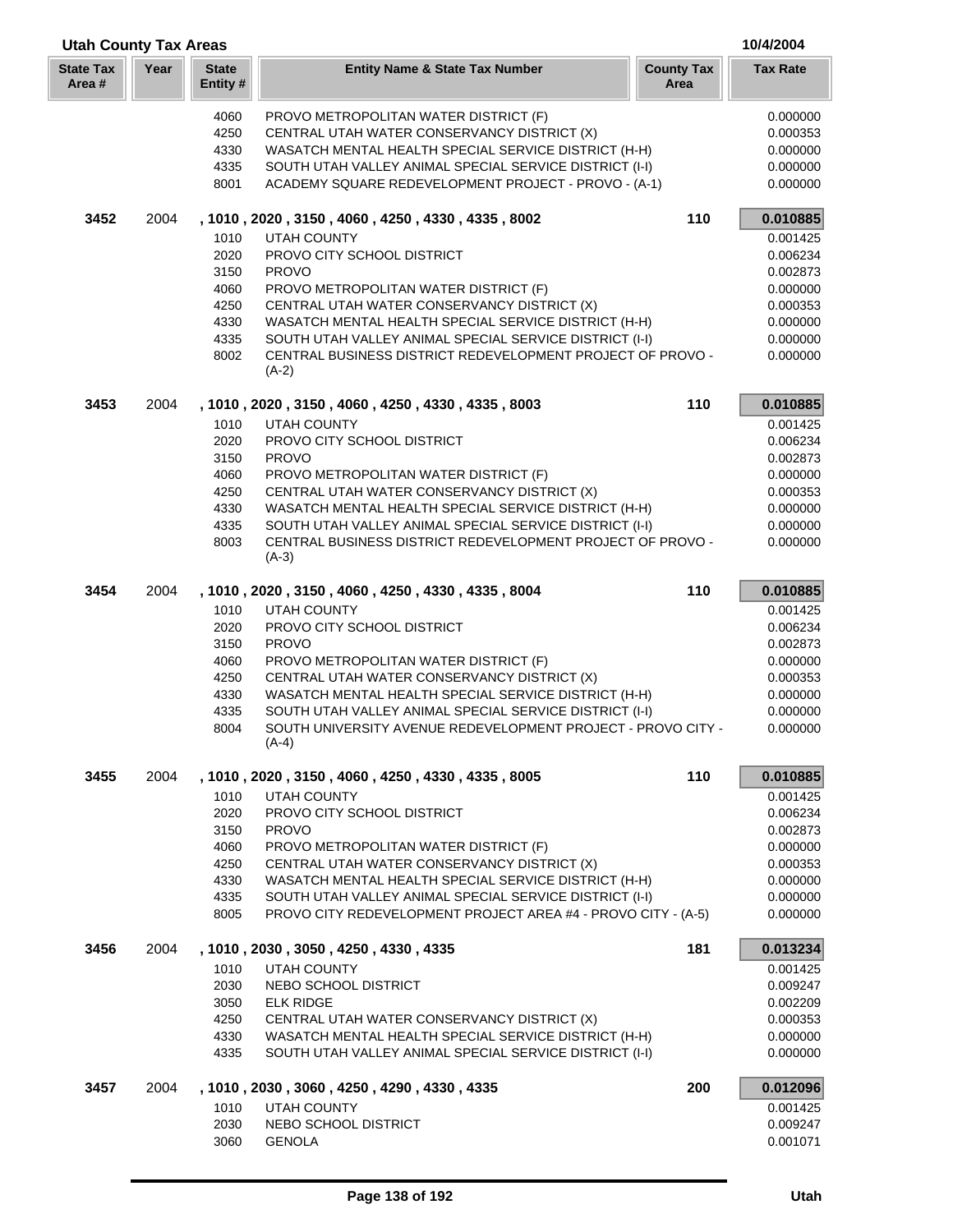| <b>Utah County Tax Areas</b> |      |                          |                                                                                                                 |                           | 10/4/2004            |
|------------------------------|------|--------------------------|-----------------------------------------------------------------------------------------------------------------|---------------------------|----------------------|
| <b>State Tax</b><br>Area #   | Year | <b>State</b><br>Entity # | <b>Entity Name &amp; State Tax Number</b>                                                                       | <b>County Tax</b><br>Area | <b>Tax Rate</b>      |
|                              |      | 4060<br>4250             | PROVO METROPOLITAN WATER DISTRICT (F)<br>CENTRAL UTAH WATER CONSERVANCY DISTRICT (X)                            |                           | 0.000000<br>0.000353 |
|                              |      | 4330                     | WASATCH MENTAL HEALTH SPECIAL SERVICE DISTRICT (H-H)                                                            |                           | 0.000000             |
|                              |      | 4335                     | SOUTH UTAH VALLEY ANIMAL SPECIAL SERVICE DISTRICT (I-I)                                                         |                           | 0.000000             |
|                              |      | 8001                     | ACADEMY SQUARE REDEVELOPMENT PROJECT - PROVO - (A-1)                                                            |                           | 0.000000             |
| 3452                         | 2004 |                          | , 1010, 2020, 3150, 4060, 4250, 4330, 4335, 8002                                                                | 110                       | 0.010885             |
|                              |      | 1010                     | <b>UTAH COUNTY</b>                                                                                              |                           | 0.001425             |
|                              |      | 2020                     | PROVO CITY SCHOOL DISTRICT                                                                                      |                           | 0.006234             |
|                              |      | 3150                     | <b>PROVO</b>                                                                                                    |                           | 0.002873             |
|                              |      | 4060                     | PROVO METROPOLITAN WATER DISTRICT (F)                                                                           |                           | 0.000000             |
|                              |      | 4250                     | CENTRAL UTAH WATER CONSERVANCY DISTRICT (X)                                                                     |                           | 0.000353             |
|                              |      | 4330<br>4335             | WASATCH MENTAL HEALTH SPECIAL SERVICE DISTRICT (H-H)<br>SOUTH UTAH VALLEY ANIMAL SPECIAL SERVICE DISTRICT (I-I) |                           | 0.000000<br>0.000000 |
|                              |      | 8002                     | CENTRAL BUSINESS DISTRICT REDEVELOPMENT PROJECT OF PROVO -                                                      |                           | 0.000000             |
|                              |      |                          | $(A-2)$                                                                                                         |                           |                      |
| 3453                         | 2004 |                          | , 1010, 2020, 3150, 4060, 4250, 4330, 4335, 8003                                                                | 110                       | 0.010885             |
|                              |      | 1010                     | <b>UTAH COUNTY</b>                                                                                              |                           | 0.001425             |
|                              |      | 2020                     | PROVO CITY SCHOOL DISTRICT                                                                                      |                           | 0.006234             |
|                              |      | 3150                     | <b>PROVO</b>                                                                                                    |                           | 0.002873             |
|                              |      | 4060<br>4250             | PROVO METROPOLITAN WATER DISTRICT (F)                                                                           |                           | 0.000000             |
|                              |      | 4330                     | CENTRAL UTAH WATER CONSERVANCY DISTRICT (X)<br>WASATCH MENTAL HEALTH SPECIAL SERVICE DISTRICT (H-H)             |                           | 0.000353<br>0.000000 |
|                              |      | 4335                     | SOUTH UTAH VALLEY ANIMAL SPECIAL SERVICE DISTRICT (I-I)                                                         |                           | 0.000000             |
|                              |      | 8003                     | CENTRAL BUSINESS DISTRICT REDEVELOPMENT PROJECT OF PROVO -                                                      |                           | 0.000000             |
|                              |      |                          | $(A-3)$                                                                                                         |                           |                      |
| 3454                         | 2004 |                          | , 1010, 2020, 3150, 4060, 4250, 4330, 4335, 8004                                                                | 110                       | 0.010885             |
|                              |      | 1010                     | <b>UTAH COUNTY</b>                                                                                              |                           | 0.001425             |
|                              |      | 2020                     | PROVO CITY SCHOOL DISTRICT                                                                                      |                           | 0.006234             |
|                              |      | 3150                     | <b>PROVO</b>                                                                                                    |                           | 0.002873             |
|                              |      | 4060<br>4250             | PROVO METROPOLITAN WATER DISTRICT (F)<br>CENTRAL UTAH WATER CONSERVANCY DISTRICT (X)                            |                           | 0.000000<br>0.000353 |
|                              |      | 4330                     | WASATCH MENTAL HEALTH SPECIAL SERVICE DISTRICT (H-H)                                                            |                           | 0.000000             |
|                              |      | 4335                     | SOUTH UTAH VALLEY ANIMAL SPECIAL SERVICE DISTRICT (I-I)                                                         |                           | 0.000000             |
|                              |      | 8004                     | SOUTH UNIVERSITY AVENUE REDEVELOPMENT PROJECT - PROVO CITY -                                                    |                           | 0.000000             |
|                              |      |                          | $(A-4)$                                                                                                         |                           |                      |
| 3455                         | 2004 |                          | , 1010, 2020, 3150, 4060, 4250, 4330, 4335, 8005                                                                | 110                       | 0.010885             |
|                              |      | 1010                     | <b>UTAH COUNTY</b>                                                                                              |                           | 0.001425             |
|                              |      | 2020                     | PROVO CITY SCHOOL DISTRICT                                                                                      |                           | 0.006234             |
|                              |      | 3150<br>4060             | <b>PROVO</b><br>PROVO METROPOLITAN WATER DISTRICT (F)                                                           |                           | 0.002873<br>0.000000 |
|                              |      | 4250                     | CENTRAL UTAH WATER CONSERVANCY DISTRICT (X)                                                                     |                           | 0.000353             |
|                              |      | 4330                     | WASATCH MENTAL HEALTH SPECIAL SERVICE DISTRICT (H-H)                                                            |                           | 0.000000             |
|                              |      | 4335                     | SOUTH UTAH VALLEY ANIMAL SPECIAL SERVICE DISTRICT (I-I)                                                         |                           | 0.000000             |
|                              |      | 8005                     | PROVO CITY REDEVELOPMENT PROJECT AREA #4 - PROVO CITY - (A-5)                                                   |                           | 0.000000             |
| 3456                         | 2004 |                          | , 1010, 2030, 3050, 4250, 4330, 4335                                                                            | 181                       | 0.013234             |
|                              |      | 1010                     | <b>UTAH COUNTY</b>                                                                                              |                           | 0.001425             |
|                              |      | 2030                     | NEBO SCHOOL DISTRICT                                                                                            |                           | 0.009247             |
|                              |      | 3050                     | <b>ELK RIDGE</b>                                                                                                |                           | 0.002209             |
|                              |      | 4250                     | CENTRAL UTAH WATER CONSERVANCY DISTRICT (X)                                                                     |                           | 0.000353             |
|                              |      | 4330<br>4335             | WASATCH MENTAL HEALTH SPECIAL SERVICE DISTRICT (H-H)<br>SOUTH UTAH VALLEY ANIMAL SPECIAL SERVICE DISTRICT (I-I) |                           | 0.000000<br>0.000000 |
| 3457                         | 2004 |                          | , 1010, 2030, 3060, 4250, 4290, 4330, 4335                                                                      | 200                       | 0.012096             |
|                              |      | 1010                     | <b>UTAH COUNTY</b>                                                                                              |                           | 0.001425             |
|                              |      | 2030                     | NEBO SCHOOL DISTRICT                                                                                            |                           | 0.009247             |
|                              |      | 3060                     | <b>GENOLA</b>                                                                                                   |                           | 0.001071             |

Г L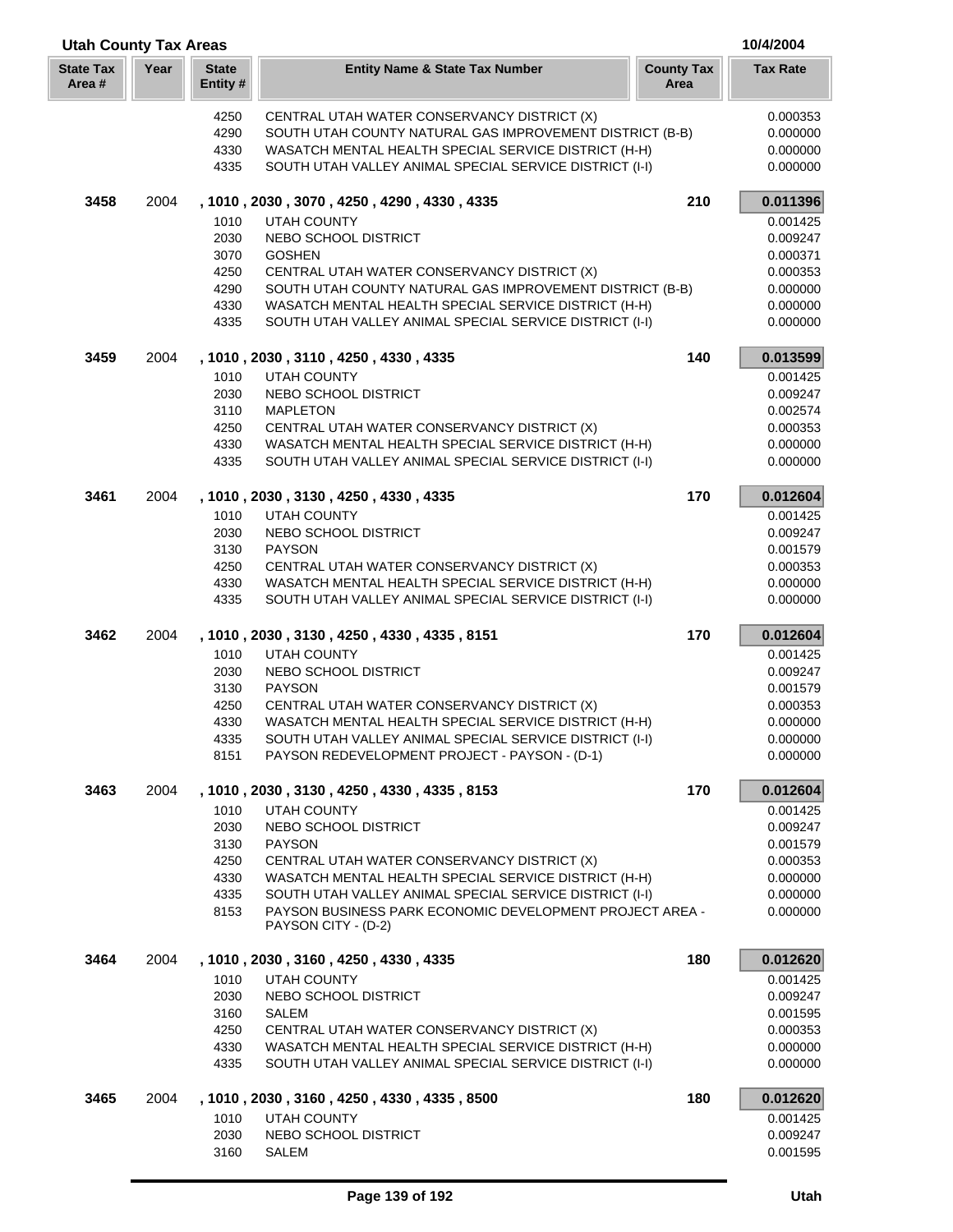| <b>Utah County Tax Areas</b> |      |                         |                                                                                                                 | 10/4/2004                 |                      |
|------------------------------|------|-------------------------|-----------------------------------------------------------------------------------------------------------------|---------------------------|----------------------|
| <b>State Tax</b><br>Area#    | Year | <b>State</b><br>Entity# | <b>Entity Name &amp; State Tax Number</b>                                                                       | <b>County Tax</b><br>Area | <b>Tax Rate</b>      |
|                              |      | 4250                    | CENTRAL UTAH WATER CONSERVANCY DISTRICT (X)                                                                     |                           | 0.000353             |
|                              |      | 4290                    | SOUTH UTAH COUNTY NATURAL GAS IMPROVEMENT DISTRICT (B-B)                                                        |                           | 0.000000             |
|                              |      | 4330                    | WASATCH MENTAL HEALTH SPECIAL SERVICE DISTRICT (H-H)                                                            |                           | 0.000000             |
|                              |      | 4335                    | SOUTH UTAH VALLEY ANIMAL SPECIAL SERVICE DISTRICT (I-I)                                                         |                           | 0.000000             |
| 3458                         | 2004 |                         | , 1010, 2030, 3070, 4250, 4290, 4330, 4335                                                                      | 210                       | 0.011396             |
|                              |      | 1010                    | <b>UTAH COUNTY</b>                                                                                              |                           | 0.001425             |
|                              |      | 2030                    | NEBO SCHOOL DISTRICT                                                                                            |                           | 0.009247             |
|                              |      | 3070                    | <b>GOSHEN</b>                                                                                                   |                           | 0.000371             |
|                              |      | 4250                    | CENTRAL UTAH WATER CONSERVANCY DISTRICT (X)                                                                     |                           | 0.000353             |
|                              |      | 4290                    | SOUTH UTAH COUNTY NATURAL GAS IMPROVEMENT DISTRICT (B-B)                                                        |                           | 0.000000             |
|                              |      | 4330<br>4335            | WASATCH MENTAL HEALTH SPECIAL SERVICE DISTRICT (H-H)<br>SOUTH UTAH VALLEY ANIMAL SPECIAL SERVICE DISTRICT (I-I) |                           | 0.000000<br>0.000000 |
| 3459                         | 2004 |                         | , 1010, 2030, 3110, 4250, 4330, 4335                                                                            | 140                       | 0.013599             |
|                              |      | 1010                    | <b>UTAH COUNTY</b>                                                                                              |                           | 0.001425             |
|                              |      | 2030                    | NEBO SCHOOL DISTRICT                                                                                            |                           | 0.009247             |
|                              |      | 3110                    | <b>MAPLETON</b>                                                                                                 |                           | 0.002574             |
|                              |      | 4250                    | CENTRAL UTAH WATER CONSERVANCY DISTRICT (X)                                                                     |                           | 0.000353             |
|                              |      | 4330                    | WASATCH MENTAL HEALTH SPECIAL SERVICE DISTRICT (H-H)                                                            |                           | 0.000000             |
|                              |      | 4335                    | SOUTH UTAH VALLEY ANIMAL SPECIAL SERVICE DISTRICT (I-I)                                                         |                           | 0.000000             |
| 3461                         | 2004 |                         | , 1010, 2030, 3130, 4250, 4330, 4335                                                                            | 170                       | 0.012604             |
|                              |      | 1010                    | <b>UTAH COUNTY</b>                                                                                              |                           | 0.001425             |
|                              |      | 2030                    | NEBO SCHOOL DISTRICT                                                                                            |                           | 0.009247             |
|                              |      | 3130                    | <b>PAYSON</b>                                                                                                   |                           | 0.001579             |
|                              |      | 4250                    | CENTRAL UTAH WATER CONSERVANCY DISTRICT (X)                                                                     |                           | 0.000353             |
|                              |      | 4330                    | WASATCH MENTAL HEALTH SPECIAL SERVICE DISTRICT (H-H)                                                            |                           | 0.000000             |
|                              |      | 4335                    | SOUTH UTAH VALLEY ANIMAL SPECIAL SERVICE DISTRICT (I-I)                                                         |                           | 0.000000             |
| 3462                         | 2004 |                         | , 1010, 2030, 3130, 4250, 4330, 4335, 8151                                                                      | 170                       | 0.012604             |
|                              |      | 1010                    | <b>UTAH COUNTY</b>                                                                                              |                           | 0.001425             |
|                              |      | 2030                    | NEBO SCHOOL DISTRICT                                                                                            |                           | 0.009247             |
|                              |      | 3130                    | <b>PAYSON</b>                                                                                                   |                           | 0.001579             |
|                              |      | 4250<br>4330            | CENTRAL UTAH WATER CONSERVANCY DISTRICT (X)<br>WASATCH MENTAL HEALTH SPECIAL SERVICE DISTRICT (H-H)             |                           | 0.000353<br>0.000000 |
|                              |      | 4335                    | SOUTH UTAH VALLEY ANIMAL SPECIAL SERVICE DISTRICT (I-I)                                                         |                           | 0.000000             |
|                              |      | 8151                    | PAYSON REDEVELOPMENT PROJECT - PAYSON - (D-1)                                                                   |                           | 0.000000             |
| 3463                         | 2004 |                         | , 1010, 2030, 3130, 4250, 4330, 4335, 8153                                                                      | 170                       | 0.012604             |
|                              |      | 1010                    | UTAH COUNTY                                                                                                     |                           | 0.001425             |
|                              |      | 2030                    | NEBO SCHOOL DISTRICT                                                                                            |                           | 0.009247             |
|                              |      | 3130                    | <b>PAYSON</b>                                                                                                   |                           | 0.001579             |
|                              |      | 4250                    | CENTRAL UTAH WATER CONSERVANCY DISTRICT (X)                                                                     |                           | 0.000353             |
|                              |      | 4330                    | WASATCH MENTAL HEALTH SPECIAL SERVICE DISTRICT (H-H)                                                            |                           | 0.000000             |
|                              |      | 4335                    | SOUTH UTAH VALLEY ANIMAL SPECIAL SERVICE DISTRICT (I-I)                                                         |                           | 0.000000             |
|                              |      | 8153                    | PAYSON BUSINESS PARK ECONOMIC DEVELOPMENT PROJECT AREA -<br>PAYSON CITY - (D-2)                                 |                           | 0.000000             |
|                              |      |                         |                                                                                                                 |                           |                      |
| 3464                         | 2004 |                         | , 1010, 2030, 3160, 4250, 4330, 4335                                                                            | 180                       | 0.012620             |
|                              |      | 1010                    | <b>UTAH COUNTY</b>                                                                                              |                           | 0.001425             |
|                              |      | 2030                    | NEBO SCHOOL DISTRICT                                                                                            |                           | 0.009247             |
|                              |      | 3160<br>4250            | SALEM<br>CENTRAL UTAH WATER CONSERVANCY DISTRICT (X)                                                            |                           | 0.001595<br>0.000353 |
|                              |      | 4330                    | WASATCH MENTAL HEALTH SPECIAL SERVICE DISTRICT (H-H)                                                            |                           | 0.000000             |
|                              |      | 4335                    | SOUTH UTAH VALLEY ANIMAL SPECIAL SERVICE DISTRICT (I-I)                                                         |                           | 0.000000             |
| 3465                         | 2004 |                         | , 1010, 2030, 3160, 4250, 4330, 4335, 8500                                                                      | 180                       | 0.012620             |
|                              |      | 1010                    | <b>UTAH COUNTY</b>                                                                                              |                           | 0.001425             |
|                              |      | 2030                    | NEBO SCHOOL DISTRICT                                                                                            |                           | 0.009247             |
|                              |      | 3160                    | SALEM                                                                                                           |                           | 0.001595             |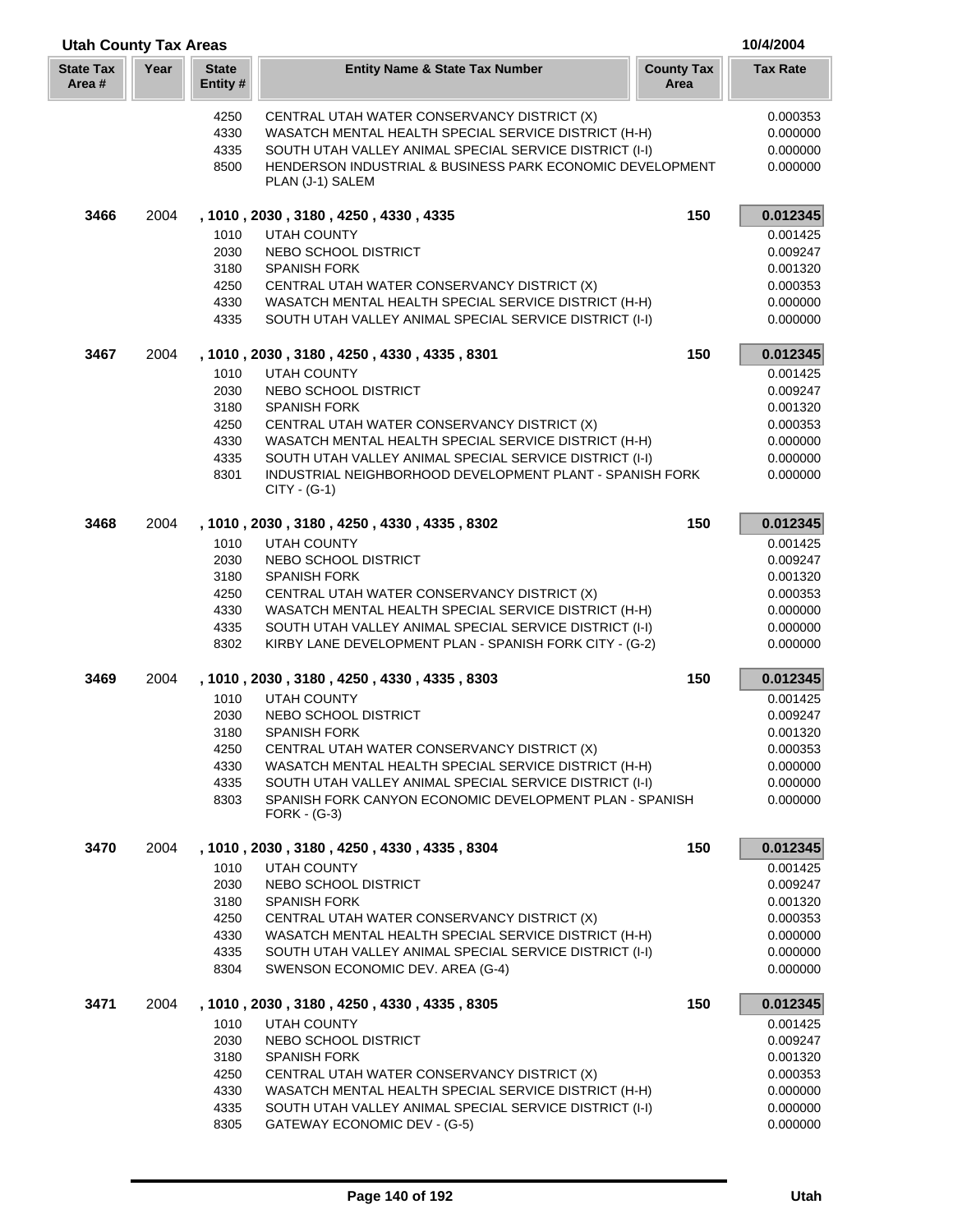| <b>Utah County Tax Areas</b> |      |                         |                                                                                                                    |                           | 10/4/2004            |
|------------------------------|------|-------------------------|--------------------------------------------------------------------------------------------------------------------|---------------------------|----------------------|
| <b>State Tax</b><br>Area #   | Year | <b>State</b><br>Entity# | <b>Entity Name &amp; State Tax Number</b>                                                                          | <b>County Tax</b><br>Area | <b>Tax Rate</b>      |
|                              |      | 4250                    | CENTRAL UTAH WATER CONSERVANCY DISTRICT (X)                                                                        |                           | 0.000353             |
|                              |      | 4330                    | WASATCH MENTAL HEALTH SPECIAL SERVICE DISTRICT (H-H)                                                               |                           | 0.000000             |
|                              |      | 4335                    | SOUTH UTAH VALLEY ANIMAL SPECIAL SERVICE DISTRICT (I-I)                                                            |                           | 0.000000             |
|                              |      | 8500                    | HENDERSON INDUSTRIAL & BUSINESS PARK ECONOMIC DEVELOPMENT                                                          |                           | 0.000000             |
|                              |      |                         | PLAN (J-1) SALEM                                                                                                   |                           |                      |
| 3466                         | 2004 |                         | , 1010, 2030, 3180, 4250, 4330, 4335                                                                               | 150                       | 0.012345             |
|                              |      | 1010                    | <b>UTAH COUNTY</b>                                                                                                 |                           | 0.001425             |
|                              |      | 2030                    | NEBO SCHOOL DISTRICT                                                                                               |                           | 0.009247             |
|                              |      | 3180                    | <b>SPANISH FORK</b>                                                                                                |                           | 0.001320             |
|                              |      | 4250                    | CENTRAL UTAH WATER CONSERVANCY DISTRICT (X)                                                                        |                           | 0.000353             |
|                              |      | 4330<br>4335            | WASATCH MENTAL HEALTH SPECIAL SERVICE DISTRICT (H-H)<br>SOUTH UTAH VALLEY ANIMAL SPECIAL SERVICE DISTRICT (I-I)    |                           | 0.000000<br>0.000000 |
| 3467                         | 2004 |                         | , 1010, 2030, 3180, 4250, 4330, 4335, 8301                                                                         | 150                       | 0.012345             |
|                              |      | 1010                    | <b>UTAH COUNTY</b>                                                                                                 |                           | 0.001425             |
|                              |      | 2030                    | NEBO SCHOOL DISTRICT                                                                                               |                           | 0.009247             |
|                              |      | 3180                    | <b>SPANISH FORK</b>                                                                                                |                           | 0.001320             |
|                              |      | 4250                    | CENTRAL UTAH WATER CONSERVANCY DISTRICT (X)                                                                        |                           | 0.000353             |
|                              |      | 4330                    | WASATCH MENTAL HEALTH SPECIAL SERVICE DISTRICT (H-H)                                                               |                           | 0.000000             |
|                              |      | 4335                    | SOUTH UTAH VALLEY ANIMAL SPECIAL SERVICE DISTRICT (I-I)                                                            |                           | 0.000000             |
|                              |      | 8301                    | INDUSTRIAL NEIGHBORHOOD DEVELOPMENT PLANT - SPANISH FORK<br>$CITY - (G-1)$                                         |                           | 0.000000             |
| 3468                         | 2004 |                         | , 1010, 2030, 3180, 4250, 4330, 4335, 8302                                                                         | 150                       | 0.012345             |
|                              |      | 1010                    | <b>UTAH COUNTY</b>                                                                                                 |                           | 0.001425             |
|                              |      | 2030                    | NEBO SCHOOL DISTRICT                                                                                               |                           | 0.009247             |
|                              |      | 3180                    | <b>SPANISH FORK</b>                                                                                                |                           | 0.001320             |
|                              |      | 4250                    | CENTRAL UTAH WATER CONSERVANCY DISTRICT (X)                                                                        |                           | 0.000353             |
|                              |      | 4330                    | WASATCH MENTAL HEALTH SPECIAL SERVICE DISTRICT (H-H)                                                               |                           | 0.000000             |
|                              |      | 4335<br>8302            | SOUTH UTAH VALLEY ANIMAL SPECIAL SERVICE DISTRICT (I-I)<br>KIRBY LANE DEVELOPMENT PLAN - SPANISH FORK CITY - (G-2) |                           | 0.000000<br>0.000000 |
|                              |      |                         |                                                                                                                    |                           |                      |
| 3469                         | 2004 |                         | , 1010, 2030, 3180, 4250, 4330, 4335, 8303                                                                         | 150                       | 0.012345             |
|                              |      | 1010                    | <b>UTAH COUNTY</b>                                                                                                 |                           | 0.001425             |
|                              |      | 2030                    | NEBO SCHOOL DISTRICT                                                                                               |                           | 0.009247             |
|                              |      | 3180                    | <b>SPANISH FORK</b>                                                                                                |                           | 0.001320             |
|                              |      | 4250                    | CENTRAL UTAH WATER CONSERVANCY DISTRICT (X)                                                                        |                           | 0.000353             |
|                              |      | 4330<br>4335            | WASATCH MENTAL HEALTH SPECIAL SERVICE DISTRICT (H-H)<br>SOUTH UTAH VALLEY ANIMAL SPECIAL SERVICE DISTRICT (I-I)    |                           | 0.000000<br>0.000000 |
|                              |      | 8303                    | SPANISH FORK CANYON ECONOMIC DEVELOPMENT PLAN - SPANISH                                                            |                           | 0.000000             |
|                              |      |                         | $FORK - (G-3)$                                                                                                     |                           |                      |
| 3470                         | 2004 |                         | , 1010, 2030, 3180, 4250, 4330, 4335, 8304                                                                         | 150                       | 0.012345             |
|                              |      | 1010                    | <b>UTAH COUNTY</b>                                                                                                 |                           | 0.001425             |
|                              |      | 2030                    | NEBO SCHOOL DISTRICT                                                                                               |                           | 0.009247             |
|                              |      | 3180                    | <b>SPANISH FORK</b>                                                                                                |                           | 0.001320             |
|                              |      | 4250                    | CENTRAL UTAH WATER CONSERVANCY DISTRICT (X)                                                                        |                           | 0.000353             |
|                              |      | 4330                    | WASATCH MENTAL HEALTH SPECIAL SERVICE DISTRICT (H-H)                                                               |                           | 0.000000             |
|                              |      | 4335<br>8304            | SOUTH UTAH VALLEY ANIMAL SPECIAL SERVICE DISTRICT (I-I)<br>SWENSON ECONOMIC DEV. AREA (G-4)                        |                           | 0.000000<br>0.000000 |
| 3471                         | 2004 |                         | , 1010, 2030, 3180, 4250, 4330, 4335, 8305                                                                         | 150                       | 0.012345             |
|                              |      | 1010                    | <b>UTAH COUNTY</b>                                                                                                 |                           | 0.001425             |
|                              |      | 2030                    | NEBO SCHOOL DISTRICT                                                                                               |                           | 0.009247             |
|                              |      | 3180                    | <b>SPANISH FORK</b>                                                                                                |                           | 0.001320             |
|                              |      | 4250                    | CENTRAL UTAH WATER CONSERVANCY DISTRICT (X)                                                                        |                           | 0.000353             |
|                              |      | 4330                    | WASATCH MENTAL HEALTH SPECIAL SERVICE DISTRICT (H-H)                                                               |                           | 0.000000             |
|                              |      | 4335                    | SOUTH UTAH VALLEY ANIMAL SPECIAL SERVICE DISTRICT (I-I)                                                            |                           | 0.000000             |
|                              |      | 8305                    | GATEWAY ECONOMIC DEV - (G-5)                                                                                       |                           | 0.000000             |

I L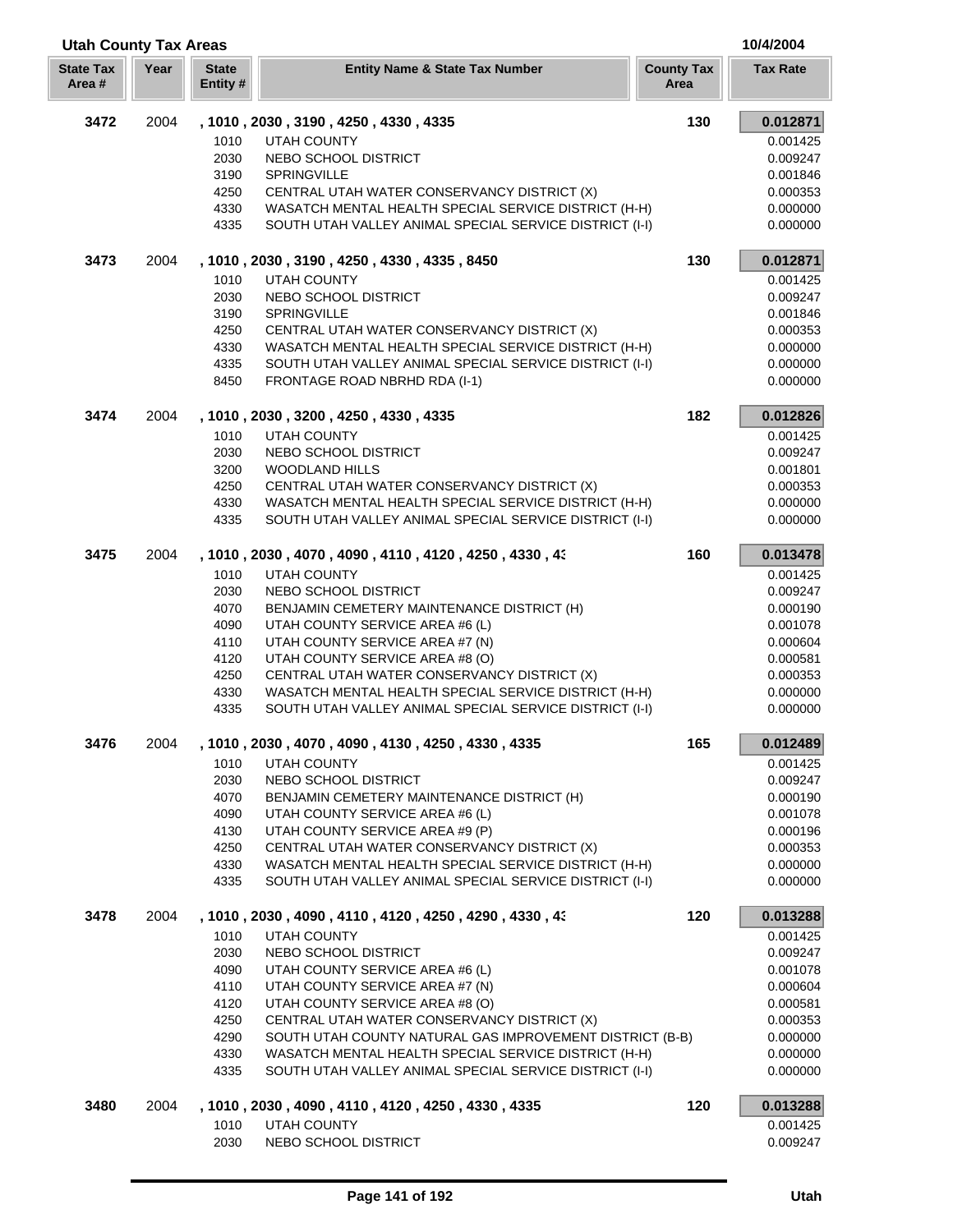| <b>Utah County Tax Areas</b> |      |                          |                                                                                                                 |                           | 10/4/2004            |
|------------------------------|------|--------------------------|-----------------------------------------------------------------------------------------------------------------|---------------------------|----------------------|
| <b>State Tax</b><br>Area#    | Year | <b>State</b><br>Entity # | <b>Entity Name &amp; State Tax Number</b>                                                                       | <b>County Tax</b><br>Area | <b>Tax Rate</b>      |
| 3472                         | 2004 |                          | , 1010, 2030, 3190, 4250, 4330, 4335                                                                            | 130                       | 0.012871             |
|                              |      | 1010                     | <b>UTAH COUNTY</b>                                                                                              |                           | 0.001425             |
|                              |      | 2030                     | NEBO SCHOOL DISTRICT                                                                                            |                           | 0.009247             |
|                              |      | 3190                     | SPRINGVILLE                                                                                                     |                           | 0.001846             |
|                              |      | 4250                     | CENTRAL UTAH WATER CONSERVANCY DISTRICT (X)                                                                     |                           | 0.000353             |
|                              |      | 4330                     | WASATCH MENTAL HEALTH SPECIAL SERVICE DISTRICT (H-H)                                                            |                           | 0.000000             |
|                              |      | 4335                     | SOUTH UTAH VALLEY ANIMAL SPECIAL SERVICE DISTRICT (I-I)                                                         |                           | 0.000000             |
| 3473                         | 2004 |                          | , 1010, 2030, 3190, 4250, 4330, 4335, 8450                                                                      | 130                       | 0.012871             |
|                              |      | 1010                     | <b>UTAH COUNTY</b>                                                                                              |                           | 0.001425             |
|                              |      | 2030                     | NEBO SCHOOL DISTRICT                                                                                            |                           | 0.009247             |
|                              |      | 3190                     | <b>SPRINGVILLE</b>                                                                                              |                           | 0.001846             |
|                              |      | 4250                     | CENTRAL UTAH WATER CONSERVANCY DISTRICT (X)                                                                     |                           | 0.000353             |
|                              |      | 4330                     | WASATCH MENTAL HEALTH SPECIAL SERVICE DISTRICT (H-H)                                                            |                           | 0.000000             |
|                              |      | 4335<br>8450             | SOUTH UTAH VALLEY ANIMAL SPECIAL SERVICE DISTRICT (I-I)<br>FRONTAGE ROAD NBRHD RDA (I-1)                        |                           | 0.000000<br>0.000000 |
|                              |      |                          |                                                                                                                 |                           |                      |
| 3474                         | 2004 | 1010                     | , 1010, 2030, 3200, 4250, 4330, 4335<br><b>UTAH COUNTY</b>                                                      | 182                       | 0.012826             |
|                              |      | 2030                     | NEBO SCHOOL DISTRICT                                                                                            |                           | 0.001425<br>0.009247 |
|                              |      | 3200                     | WOODLAND HILLS                                                                                                  |                           | 0.001801             |
|                              |      | 4250                     | CENTRAL UTAH WATER CONSERVANCY DISTRICT (X)                                                                     |                           | 0.000353             |
|                              |      | 4330                     | WASATCH MENTAL HEALTH SPECIAL SERVICE DISTRICT (H-H)                                                            |                           | 0.000000             |
|                              |      | 4335                     | SOUTH UTAH VALLEY ANIMAL SPECIAL SERVICE DISTRICT (I-I)                                                         |                           | 0.000000             |
| 3475                         | 2004 |                          | , 1010, 2030, 4070, 4090, 4110, 4120, 4250, 4330, 43                                                            | 160                       | 0.013478             |
|                              |      | 1010                     | <b>UTAH COUNTY</b>                                                                                              |                           | 0.001425             |
|                              |      | 2030                     | NEBO SCHOOL DISTRICT                                                                                            |                           | 0.009247             |
|                              |      | 4070                     | BENJAMIN CEMETERY MAINTENANCE DISTRICT (H)                                                                      |                           | 0.000190             |
|                              |      | 4090                     | UTAH COUNTY SERVICE AREA #6 (L)                                                                                 |                           | 0.001078             |
|                              |      | 4110                     | UTAH COUNTY SERVICE AREA #7 (N)                                                                                 |                           | 0.000604             |
|                              |      | 4120                     | UTAH COUNTY SERVICE AREA #8 (O)                                                                                 |                           | 0.000581             |
|                              |      | 4250                     | CENTRAL UTAH WATER CONSERVANCY DISTRICT (X)                                                                     |                           | 0.000353             |
|                              |      | 4330                     | WASATCH MENTAL HEALTH SPECIAL SERVICE DISTRICT (H-H)                                                            |                           | 0.000000             |
|                              |      | 4335                     | SOUTH UTAH VALLEY ANIMAL SPECIAL SERVICE DISTRICT (I-I)                                                         |                           | 0.000000             |
| 3476                         | 2004 |                          | , 1010, 2030, 4070, 4090, 4130, 4250, 4330, 4335                                                                | 165                       | 0.012489             |
|                              |      | 1010                     | <b>UTAH COUNTY</b>                                                                                              |                           | 0.001425             |
|                              |      | 2030                     | NEBO SCHOOL DISTRICT                                                                                            |                           | 0.009247             |
|                              |      | 4070                     | BENJAMIN CEMETERY MAINTENANCE DISTRICT (H)                                                                      |                           | 0.000190             |
|                              |      | 4090                     | UTAH COUNTY SERVICE AREA #6 (L)                                                                                 |                           | 0.001078             |
|                              |      | 4130                     | UTAH COUNTY SERVICE AREA #9 (P)                                                                                 |                           | 0.000196             |
|                              |      | 4250                     | CENTRAL UTAH WATER CONSERVANCY DISTRICT (X)                                                                     |                           | 0.000353             |
|                              |      | 4330<br>4335             | WASATCH MENTAL HEALTH SPECIAL SERVICE DISTRICT (H-H)<br>SOUTH UTAH VALLEY ANIMAL SPECIAL SERVICE DISTRICT (I-I) |                           | 0.000000<br>0.000000 |
|                              | 2004 |                          |                                                                                                                 | 120                       |                      |
| 3478                         |      |                          | , 1010, 2030, 4090, 4110, 4120, 4250, 4290, 4330, 43                                                            |                           | 0.013288             |
|                              |      | 1010<br>2030             | <b>UTAH COUNTY</b>                                                                                              |                           | 0.001425             |
|                              |      | 4090                     | NEBO SCHOOL DISTRICT<br>UTAH COUNTY SERVICE AREA #6 (L)                                                         |                           | 0.009247             |
|                              |      | 4110                     | UTAH COUNTY SERVICE AREA #7 (N)                                                                                 |                           | 0.001078<br>0.000604 |
|                              |      | 4120                     | UTAH COUNTY SERVICE AREA #8 (O)                                                                                 |                           | 0.000581             |
|                              |      | 4250                     | CENTRAL UTAH WATER CONSERVANCY DISTRICT (X)                                                                     |                           | 0.000353             |
|                              |      | 4290                     | SOUTH UTAH COUNTY NATURAL GAS IMPROVEMENT DISTRICT (B-B)                                                        |                           | 0.000000             |
|                              |      | 4330                     | WASATCH MENTAL HEALTH SPECIAL SERVICE DISTRICT (H-H)                                                            |                           | 0.000000             |
|                              |      | 4335                     | SOUTH UTAH VALLEY ANIMAL SPECIAL SERVICE DISTRICT (I-I)                                                         |                           | 0.000000             |
| 3480                         | 2004 |                          | , 1010, 2030, 4090, 4110, 4120, 4250, 4330, 4335                                                                | 120                       | 0.013288             |
|                              |      | 1010                     | UTAH COUNTY                                                                                                     |                           | 0.001425             |
|                              |      | 2030                     | NEBO SCHOOL DISTRICT                                                                                            |                           | 0.009247             |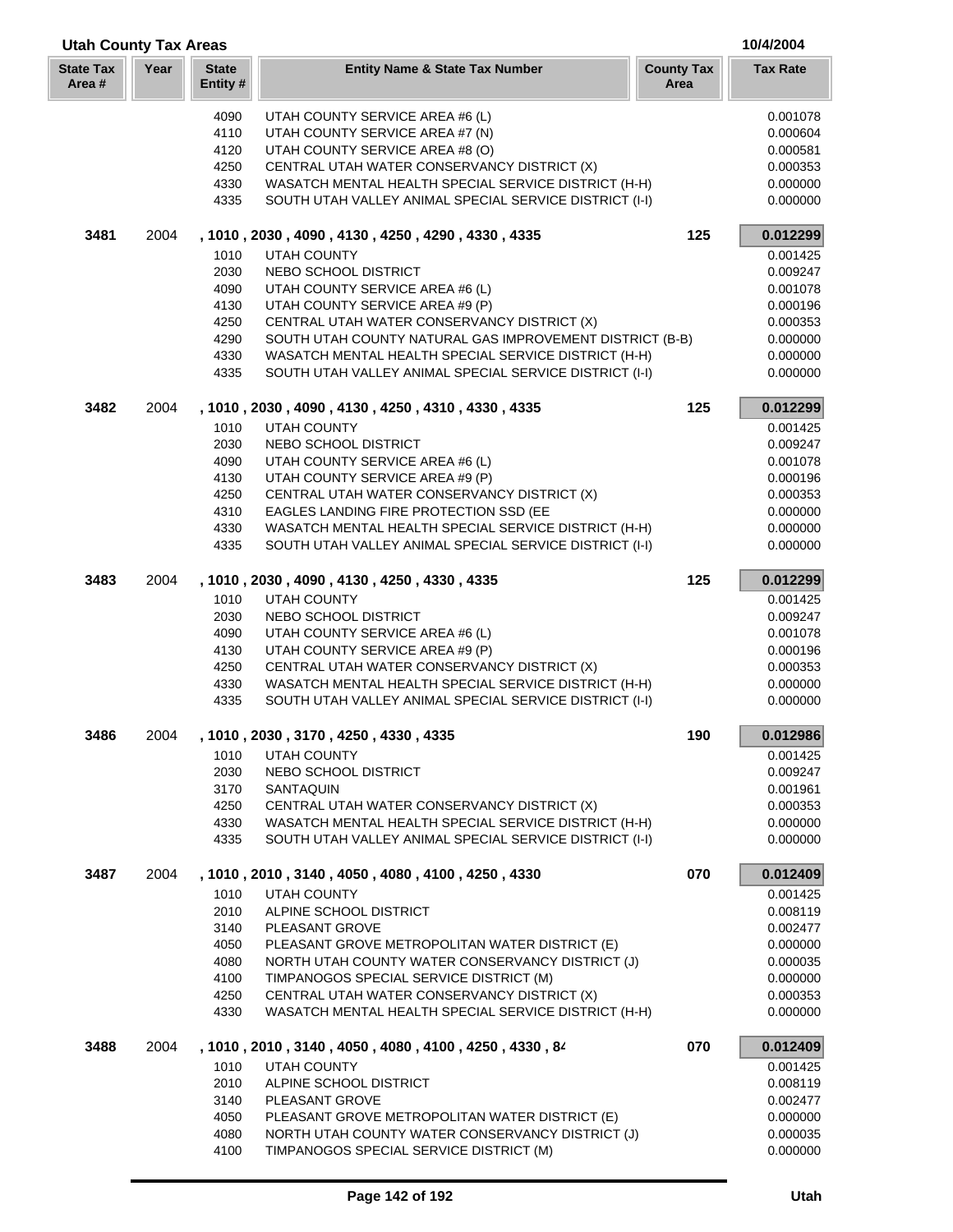| <b>Utah County Tax Areas</b> |      |                          |                                                                                                                 |                           | 10/4/2004            |  |
|------------------------------|------|--------------------------|-----------------------------------------------------------------------------------------------------------------|---------------------------|----------------------|--|
| <b>State Tax</b><br>Area #   | Year | <b>State</b><br>Entity # | <b>Entity Name &amp; State Tax Number</b>                                                                       | <b>County Tax</b><br>Area | <b>Tax Rate</b>      |  |
|                              |      | 4090                     | UTAH COUNTY SERVICE AREA #6 (L)                                                                                 |                           | 0.001078             |  |
|                              |      | 4110                     | UTAH COUNTY SERVICE AREA #7 (N)                                                                                 |                           | 0.000604             |  |
|                              |      | 4120                     | UTAH COUNTY SERVICE AREA #8 (O)                                                                                 |                           | 0.000581             |  |
|                              |      | 4250                     | CENTRAL UTAH WATER CONSERVANCY DISTRICT (X)                                                                     |                           | 0.000353             |  |
|                              |      | 4330                     | WASATCH MENTAL HEALTH SPECIAL SERVICE DISTRICT (H-H)                                                            |                           | 0.000000             |  |
|                              |      | 4335                     | SOUTH UTAH VALLEY ANIMAL SPECIAL SERVICE DISTRICT (I-I)                                                         |                           | 0.000000             |  |
| 3481                         | 2004 |                          | , 1010, 2030, 4090, 4130, 4250, 4290, 4330, 4335                                                                | 125                       | 0.012299             |  |
|                              |      | 1010                     | <b>UTAH COUNTY</b>                                                                                              |                           | 0.001425             |  |
|                              |      | 2030                     | NEBO SCHOOL DISTRICT                                                                                            |                           | 0.009247             |  |
|                              |      | 4090                     | UTAH COUNTY SERVICE AREA #6 (L)                                                                                 |                           | 0.001078             |  |
|                              |      | 4130                     | UTAH COUNTY SERVICE AREA #9 (P)                                                                                 |                           | 0.000196             |  |
|                              |      | 4250                     | CENTRAL UTAH WATER CONSERVANCY DISTRICT (X)                                                                     |                           | 0.000353             |  |
|                              |      | 4290                     | SOUTH UTAH COUNTY NATURAL GAS IMPROVEMENT DISTRICT (B-B)                                                        |                           | 0.000000             |  |
|                              |      | 4330<br>4335             | WASATCH MENTAL HEALTH SPECIAL SERVICE DISTRICT (H-H)<br>SOUTH UTAH VALLEY ANIMAL SPECIAL SERVICE DISTRICT (I-I) |                           | 0.000000<br>0.000000 |  |
| 3482                         | 2004 |                          | , 1010, 2030, 4090, 4130, 4250, 4310, 4330, 4335                                                                | 125                       | 0.012299             |  |
|                              |      | 1010                     | <b>UTAH COUNTY</b>                                                                                              |                           |                      |  |
|                              |      | 2030                     | NEBO SCHOOL DISTRICT                                                                                            |                           | 0.001425<br>0.009247 |  |
|                              |      | 4090                     | UTAH COUNTY SERVICE AREA #6 (L)                                                                                 |                           | 0.001078             |  |
|                              |      | 4130                     | UTAH COUNTY SERVICE AREA #9 (P)                                                                                 |                           | 0.000196             |  |
|                              |      | 4250                     | CENTRAL UTAH WATER CONSERVANCY DISTRICT (X)                                                                     |                           | 0.000353             |  |
|                              |      | 4310                     | EAGLES LANDING FIRE PROTECTION SSD (EE                                                                          |                           | 0.000000             |  |
|                              |      | 4330                     | WASATCH MENTAL HEALTH SPECIAL SERVICE DISTRICT (H-H)                                                            |                           | 0.000000             |  |
|                              |      | 4335                     | SOUTH UTAH VALLEY ANIMAL SPECIAL SERVICE DISTRICT (I-I)                                                         |                           | 0.000000             |  |
| 3483                         | 2004 |                          | , 1010, 2030, 4090, 4130, 4250, 4330, 4335                                                                      | 125                       | 0.012299             |  |
|                              |      | 1010                     | <b>UTAH COUNTY</b>                                                                                              |                           | 0.001425             |  |
|                              |      | 2030                     | NEBO SCHOOL DISTRICT                                                                                            |                           | 0.009247             |  |
|                              |      | 4090                     | UTAH COUNTY SERVICE AREA #6 (L)                                                                                 |                           | 0.001078             |  |
|                              |      | 4130                     | UTAH COUNTY SERVICE AREA #9 (P)                                                                                 |                           | 0.000196             |  |
|                              |      | 4250                     | CENTRAL UTAH WATER CONSERVANCY DISTRICT (X)                                                                     |                           | 0.000353             |  |
|                              |      | 4330<br>4335             | WASATCH MENTAL HEALTH SPECIAL SERVICE DISTRICT (H-H)<br>SOUTH UTAH VALLEY ANIMAL SPECIAL SERVICE DISTRICT (I-I) |                           | 0.000000<br>0.000000 |  |
| 3486                         | 2004 |                          | , 1010 , 2030 , 3170 , 4250 , 4330 , 4335                                                                       | 190                       | 0.012986             |  |
|                              |      | 1010                     | <b>UTAH COUNTY</b>                                                                                              |                           | 0.001425             |  |
|                              |      | 2030                     | NEBO SCHOOL DISTRICT                                                                                            |                           | 0.009247             |  |
|                              |      | 3170                     | <b>SANTAQUIN</b>                                                                                                |                           | 0.001961             |  |
|                              |      | 4250                     | CENTRAL UTAH WATER CONSERVANCY DISTRICT (X)                                                                     |                           | 0.000353             |  |
|                              |      | 4330                     | WASATCH MENTAL HEALTH SPECIAL SERVICE DISTRICT (H-H)                                                            |                           | 0.000000             |  |
|                              |      | 4335                     | SOUTH UTAH VALLEY ANIMAL SPECIAL SERVICE DISTRICT (I-I)                                                         |                           | 0.000000             |  |
| 3487                         | 2004 |                          | , 1010, 2010, 3140, 4050, 4080, 4100, 4250, 4330                                                                | 070                       | 0.012409             |  |
|                              |      | 1010                     | <b>UTAH COUNTY</b>                                                                                              |                           | 0.001425             |  |
|                              |      | 2010                     | ALPINE SCHOOL DISTRICT                                                                                          |                           | 0.008119             |  |
|                              |      | 3140                     | PLEASANT GROVE                                                                                                  |                           | 0.002477             |  |
|                              |      | 4050                     | PLEASANT GROVE METROPOLITAN WATER DISTRICT (E)                                                                  |                           | 0.000000             |  |
|                              |      | 4080                     | NORTH UTAH COUNTY WATER CONSERVANCY DISTRICT (J)                                                                |                           | 0.000035             |  |
|                              |      | 4100                     | TIMPANOGOS SPECIAL SERVICE DISTRICT (M)                                                                         |                           | 0.000000             |  |
|                              |      | 4250<br>4330             | CENTRAL UTAH WATER CONSERVANCY DISTRICT (X)<br>WASATCH MENTAL HEALTH SPECIAL SERVICE DISTRICT (H-H)             |                           | 0.000353<br>0.000000 |  |
| 3488                         | 2004 |                          | , 1010, 2010, 3140, 4050, 4080, 4100, 4250, 4330, 84                                                            | 070                       | 0.012409             |  |
|                              |      | 1010                     | <b>UTAH COUNTY</b>                                                                                              |                           | 0.001425             |  |
|                              |      | 2010                     | ALPINE SCHOOL DISTRICT                                                                                          |                           | 0.008119             |  |
|                              |      | 3140                     | PLEASANT GROVE                                                                                                  |                           | 0.002477             |  |
|                              |      | 4050                     | PLEASANT GROVE METROPOLITAN WATER DISTRICT (E)                                                                  |                           | 0.000000             |  |
|                              |      | 4080                     | NORTH UTAH COUNTY WATER CONSERVANCY DISTRICT (J)                                                                |                           | 0.000035             |  |
|                              |      | 4100                     | TIMPANOGOS SPECIAL SERVICE DISTRICT (M)                                                                         |                           | 0.000000             |  |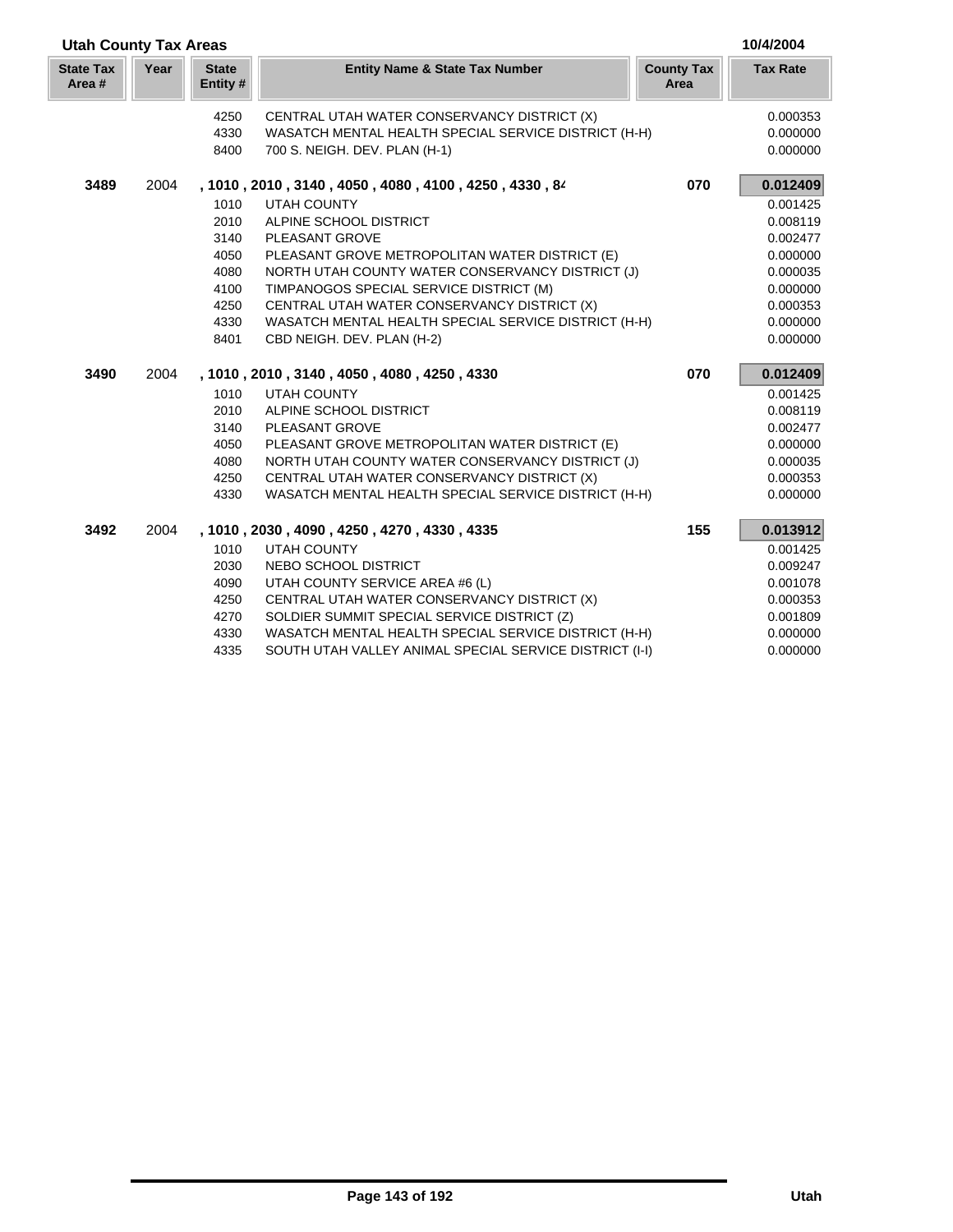| <b>Utah County Tax Areas</b> |      |                         |                                                         |                           | 10/4/2004       |
|------------------------------|------|-------------------------|---------------------------------------------------------|---------------------------|-----------------|
| <b>State Tax</b><br>Area #   | Year | <b>State</b><br>Entity# | <b>Entity Name &amp; State Tax Number</b>               | <b>County Tax</b><br>Area | <b>Tax Rate</b> |
|                              |      | 4250                    | CENTRAL UTAH WATER CONSERVANCY DISTRICT (X)             |                           | 0.000353        |
|                              |      | 4330                    | WASATCH MENTAL HEALTH SPECIAL SERVICE DISTRICT (H-H)    |                           | 0.000000        |
|                              |      | 8400                    | 700 S. NEIGH. DEV. PLAN (H-1)                           |                           | 0.000000        |
| 3489                         | 2004 |                         | , 1010, 2010, 3140, 4050, 4080, 4100, 4250, 4330, 84    | 070                       | 0.012409        |
|                              |      | 1010                    | <b>UTAH COUNTY</b>                                      |                           | 0.001425        |
|                              |      | 2010                    | ALPINE SCHOOL DISTRICT                                  |                           | 0.008119        |
|                              |      | 3140                    | PLEASANT GROVE                                          |                           | 0.002477        |
|                              |      | 4050                    | PLEASANT GROVE METROPOLITAN WATER DISTRICT (E)          |                           | 0.000000        |
|                              |      | 4080                    | NORTH UTAH COUNTY WATER CONSERVANCY DISTRICT (J)        |                           | 0.000035        |
|                              |      | 4100                    | TIMPANOGOS SPECIAL SERVICE DISTRICT (M)                 |                           | 0.000000        |
|                              |      | 4250                    | CENTRAL UTAH WATER CONSERVANCY DISTRICT (X)             |                           | 0.000353        |
|                              |      | 4330                    | WASATCH MENTAL HEALTH SPECIAL SERVICE DISTRICT (H-H)    |                           | 0.000000        |
|                              |      | 8401                    | CBD NEIGH. DEV. PLAN (H-2)                              |                           | 0.000000        |
| 3490                         | 2004 |                         | , 1010, 2010, 3140, 4050, 4080, 4250, 4330              | 070                       | 0.012409        |
|                              |      | 1010                    | <b>UTAH COUNTY</b>                                      |                           | 0.001425        |
|                              |      | 2010                    | ALPINE SCHOOL DISTRICT                                  |                           | 0.008119        |
|                              |      | 3140                    | <b>PLEASANT GROVE</b>                                   |                           | 0.002477        |
|                              |      | 4050                    | PLEASANT GROVE METROPOLITAN WATER DISTRICT (E)          |                           | 0.000000        |
|                              |      | 4080                    | NORTH UTAH COUNTY WATER CONSERVANCY DISTRICT (J)        |                           | 0.000035        |
|                              |      | 4250                    | CENTRAL UTAH WATER CONSERVANCY DISTRICT (X)             |                           | 0.000353        |
|                              |      | 4330                    | WASATCH MENTAL HEALTH SPECIAL SERVICE DISTRICT (H-H)    |                           | 0.000000        |
| 3492                         | 2004 |                         | , 1010, 2030, 4090, 4250, 4270, 4330, 4335              | 155                       | 0.013912        |
|                              |      | 1010                    | <b>UTAH COUNTY</b>                                      |                           | 0.001425        |
|                              |      | 2030                    | NEBO SCHOOL DISTRICT                                    |                           | 0.009247        |
|                              |      | 4090                    | UTAH COUNTY SERVICE AREA #6 (L)                         |                           | 0.001078        |
|                              |      | 4250                    | CENTRAL UTAH WATER CONSERVANCY DISTRICT (X)             |                           | 0.000353        |
|                              |      | 4270                    | SOLDIER SUMMIT SPECIAL SERVICE DISTRICT (Z)             |                           | 0.001809        |
|                              |      | 4330                    | WASATCH MENTAL HEALTH SPECIAL SERVICE DISTRICT (H-H)    |                           | 0.000000        |
|                              |      | 4335                    | SOUTH UTAH VALLEY ANIMAL SPECIAL SERVICE DISTRICT (I-I) |                           | 0.000000        |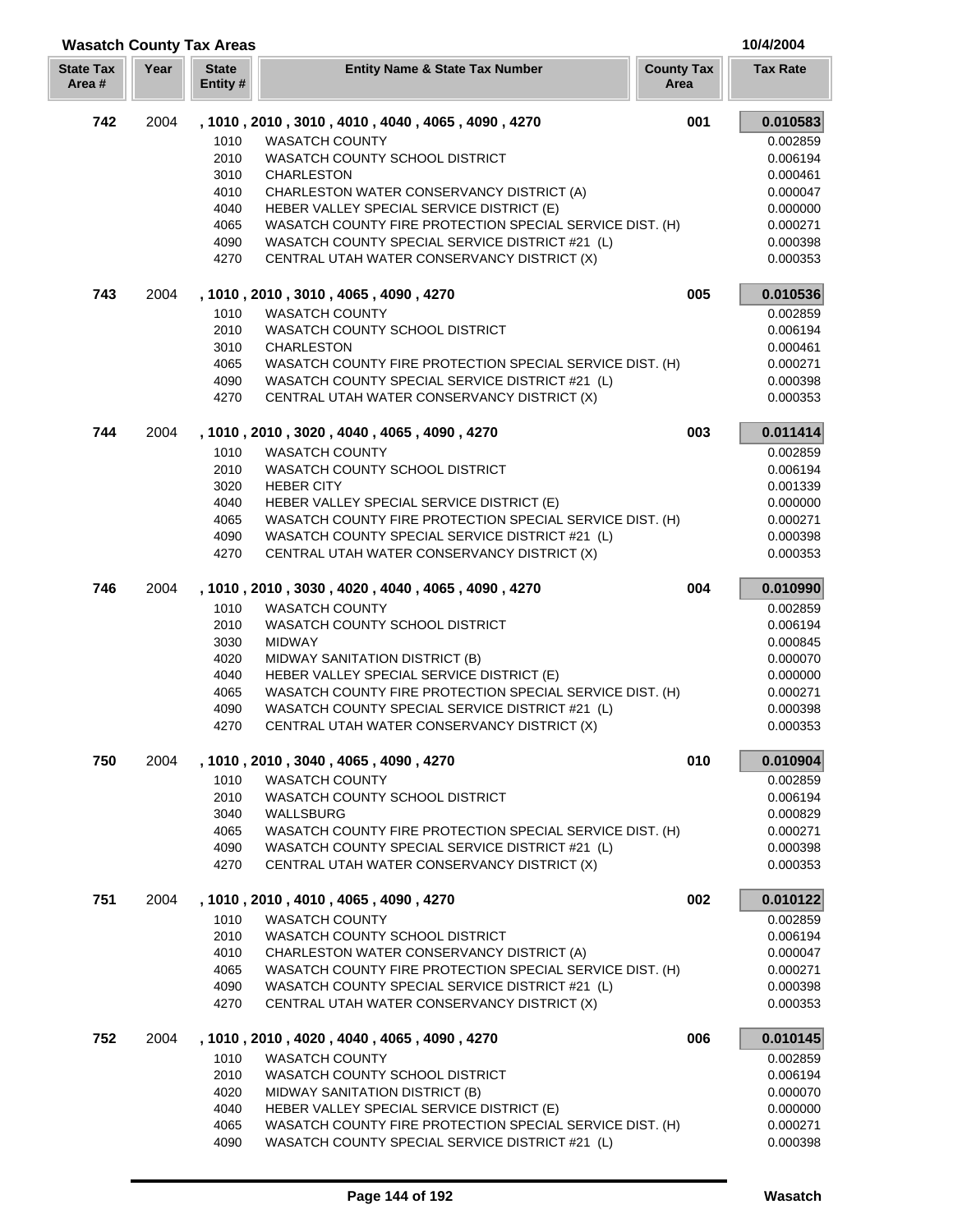| <b>Wasatch County Tax Areas</b> |      |                          |                                                                                                |                           | 10/4/2004            |
|---------------------------------|------|--------------------------|------------------------------------------------------------------------------------------------|---------------------------|----------------------|
| <b>State Tax</b><br>Area#       | Year | <b>State</b><br>Entity # | <b>Entity Name &amp; State Tax Number</b>                                                      | <b>County Tax</b><br>Area | <b>Tax Rate</b>      |
| 742                             | 2004 |                          | , 1010, 2010, 3010, 4010, 4040, 4065, 4090, 4270                                               | 001                       | 0.010583             |
|                                 |      | 1010                     | <b>WASATCH COUNTY</b>                                                                          |                           | 0.002859             |
|                                 |      | 2010                     | <b>WASATCH COUNTY SCHOOL DISTRICT</b>                                                          |                           | 0.006194             |
|                                 |      | 3010                     | <b>CHARLESTON</b>                                                                              |                           | 0.000461             |
|                                 |      | 4010                     | CHARLESTON WATER CONSERVANCY DISTRICT (A)                                                      |                           | 0.000047             |
|                                 |      | 4040                     | HEBER VALLEY SPECIAL SERVICE DISTRICT (E)                                                      |                           | 0.000000             |
|                                 |      | 4065                     | WASATCH COUNTY FIRE PROTECTION SPECIAL SERVICE DIST. (H)                                       |                           | 0.000271             |
|                                 |      | 4090                     | WASATCH COUNTY SPECIAL SERVICE DISTRICT #21 (L)                                                |                           | 0.000398             |
|                                 |      | 4270                     | CENTRAL UTAH WATER CONSERVANCY DISTRICT (X)                                                    |                           | 0.000353             |
| 743                             | 2004 |                          | , 1010 , 2010 , 3010 , 4065 , 4090 , 4270                                                      | 005                       | 0.010536             |
|                                 |      | 1010                     | <b>WASATCH COUNTY</b>                                                                          |                           | 0.002859             |
|                                 |      | 2010                     | WASATCH COUNTY SCHOOL DISTRICT                                                                 |                           | 0.006194             |
|                                 |      | 3010                     | <b>CHARLESTON</b>                                                                              |                           | 0.000461             |
|                                 |      | 4065                     | WASATCH COUNTY FIRE PROTECTION SPECIAL SERVICE DIST. (H)                                       |                           | 0.000271             |
|                                 |      | 4090                     | WASATCH COUNTY SPECIAL SERVICE DISTRICT #21 (L)                                                |                           | 0.000398             |
|                                 |      | 4270                     | CENTRAL UTAH WATER CONSERVANCY DISTRICT (X)                                                    |                           | 0.000353             |
| 744                             | 2004 |                          | , 1010, 2010, 3020, 4040, 4065, 4090, 4270                                                     | 003                       | 0.011414             |
|                                 |      | 1010                     | <b>WASATCH COUNTY</b>                                                                          |                           | 0.002859             |
|                                 |      | 2010                     | WASATCH COUNTY SCHOOL DISTRICT                                                                 |                           | 0.006194             |
|                                 |      | 3020                     | <b>HEBER CITY</b>                                                                              |                           | 0.001339             |
|                                 |      | 4040                     | HEBER VALLEY SPECIAL SERVICE DISTRICT (E)                                                      |                           | 0.000000             |
|                                 |      | 4065                     | WASATCH COUNTY FIRE PROTECTION SPECIAL SERVICE DIST. (H)                                       |                           | 0.000271             |
|                                 |      | 4090                     | WASATCH COUNTY SPECIAL SERVICE DISTRICT #21 (L)                                                |                           | 0.000398             |
|                                 |      | 4270                     | CENTRAL UTAH WATER CONSERVANCY DISTRICT (X)                                                    |                           | 0.000353             |
| 746                             | 2004 |                          | , 1010, 2010, 3030, 4020, 4040, 4065, 4090, 4270                                               | 004                       | 0.010990             |
|                                 |      | 1010                     | <b>WASATCH COUNTY</b>                                                                          |                           | 0.002859             |
|                                 |      | 2010                     | WASATCH COUNTY SCHOOL DISTRICT                                                                 |                           | 0.006194             |
|                                 |      | 3030                     | <b>MIDWAY</b>                                                                                  |                           | 0.000845             |
|                                 |      | 4020                     | MIDWAY SANITATION DISTRICT (B)                                                                 |                           | 0.000070             |
|                                 |      | 4040                     | HEBER VALLEY SPECIAL SERVICE DISTRICT (E)                                                      |                           | 0.000000             |
|                                 |      | 4065                     | WASATCH COUNTY FIRE PROTECTION SPECIAL SERVICE DIST. (H)                                       |                           | 0.000271             |
|                                 |      | 4090                     | WASATCH COUNTY SPECIAL SERVICE DISTRICT #21 (L)                                                |                           | 0.000398             |
|                                 |      | 4270                     | CENTRAL UTAH WATER CONSERVANCY DISTRICT (X)                                                    |                           | 0.000353             |
| 750                             | 2004 |                          | , 1010, 2010, 3040, 4065, 4090, 4270                                                           | 010                       | 0.010904             |
|                                 |      | 1010                     | <b>WASATCH COUNTY</b>                                                                          |                           | 0.002859             |
|                                 |      | 2010                     | WASATCH COUNTY SCHOOL DISTRICT                                                                 |                           | 0.006194             |
|                                 |      | 3040                     | WALLSBURG                                                                                      |                           | 0.000829             |
|                                 |      | 4065                     | WASATCH COUNTY FIRE PROTECTION SPECIAL SERVICE DIST. (H)                                       |                           | 0.000271             |
|                                 |      | 4090                     | WASATCH COUNTY SPECIAL SERVICE DISTRICT #21 (L)                                                |                           | 0.000398             |
|                                 |      | 4270                     | CENTRAL UTAH WATER CONSERVANCY DISTRICT (X)                                                    |                           | 0.000353             |
| 751                             | 2004 |                          | , 1010, 2010, 4010, 4065, 4090, 4270                                                           | 002                       | 0.010122             |
|                                 |      | 1010                     | <b>WASATCH COUNTY</b>                                                                          |                           | 0.002859             |
|                                 |      | 2010                     | WASATCH COUNTY SCHOOL DISTRICT                                                                 |                           | 0.006194             |
|                                 |      | 4010                     | CHARLESTON WATER CONSERVANCY DISTRICT (A)                                                      |                           | 0.000047             |
|                                 |      | 4065                     | WASATCH COUNTY FIRE PROTECTION SPECIAL SERVICE DIST. (H)                                       |                           | 0.000271             |
|                                 |      | 4090<br>4270             | WASATCH COUNTY SPECIAL SERVICE DISTRICT #21 (L)<br>CENTRAL UTAH WATER CONSERVANCY DISTRICT (X) |                           | 0.000398<br>0.000353 |
| 752                             | 2004 |                          | , 1010, 2010, 4020, 4040, 4065, 4090, 4270                                                     | 006                       | 0.010145             |
|                                 |      | 1010                     | <b>WASATCH COUNTY</b>                                                                          |                           | 0.002859             |
|                                 |      | 2010                     | WASATCH COUNTY SCHOOL DISTRICT                                                                 |                           | 0.006194             |
|                                 |      | 4020                     | MIDWAY SANITATION DISTRICT (B)                                                                 |                           | 0.000070             |
|                                 |      | 4040                     | HEBER VALLEY SPECIAL SERVICE DISTRICT (E)                                                      |                           | 0.000000             |
|                                 |      | 4065                     | WASATCH COUNTY FIRE PROTECTION SPECIAL SERVICE DIST. (H)                                       |                           | 0.000271             |
|                                 |      | 4090                     | WASATCH COUNTY SPECIAL SERVICE DISTRICT #21 (L)                                                |                           | 0.000398             |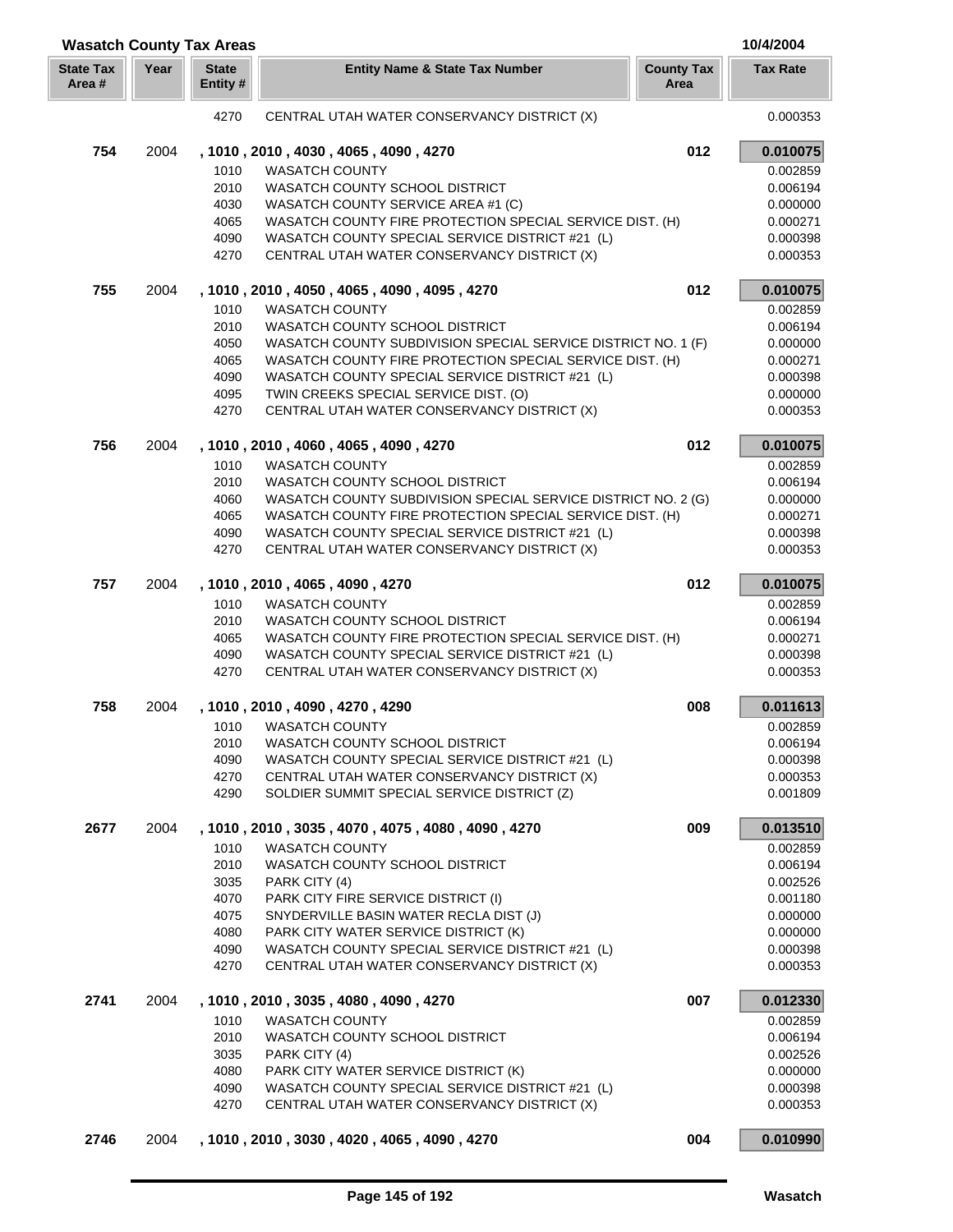| <b>Wasatch County Tax Areas</b> |      |                          |                                                                                |                           | 10/4/2004            |
|---------------------------------|------|--------------------------|--------------------------------------------------------------------------------|---------------------------|----------------------|
| <b>State Tax</b><br>Area #      | Year | <b>State</b><br>Entity # | <b>Entity Name &amp; State Tax Number</b>                                      | <b>County Tax</b><br>Area | <b>Tax Rate</b>      |
|                                 |      | 4270                     | CENTRAL UTAH WATER CONSERVANCY DISTRICT (X)                                    |                           | 0.000353             |
| 754                             | 2004 |                          | , 1010, 2010, 4030, 4065, 4090, 4270                                           | 012                       | 0.010075             |
|                                 |      | 1010                     | <b>WASATCH COUNTY</b>                                                          |                           | 0.002859             |
|                                 |      | 2010                     | WASATCH COUNTY SCHOOL DISTRICT                                                 |                           | 0.006194             |
|                                 |      | 4030                     | WASATCH COUNTY SERVICE AREA #1 (C)                                             |                           | 0.000000             |
|                                 |      | 4065                     | WASATCH COUNTY FIRE PROTECTION SPECIAL SERVICE DIST. (H)                       |                           | 0.000271             |
|                                 |      | 4090                     | WASATCH COUNTY SPECIAL SERVICE DISTRICT #21 (L)                                |                           | 0.000398             |
|                                 |      | 4270                     | CENTRAL UTAH WATER CONSERVANCY DISTRICT (X)                                    |                           | 0.000353             |
| 755                             | 2004 |                          | , 1010, 2010, 4050, 4065, 4090, 4095, 4270                                     | 012                       | 0.010075             |
|                                 |      | 1010                     | <b>WASATCH COUNTY</b>                                                          |                           | 0.002859             |
|                                 |      | 2010                     | WASATCH COUNTY SCHOOL DISTRICT                                                 |                           | 0.006194             |
|                                 |      | 4050                     | WASATCH COUNTY SUBDIVISION SPECIAL SERVICE DISTRICT NO. 1 (F)                  |                           | 0.000000             |
|                                 |      | 4065                     | WASATCH COUNTY FIRE PROTECTION SPECIAL SERVICE DIST. (H)                       |                           | 0.000271             |
|                                 |      | 4090                     | WASATCH COUNTY SPECIAL SERVICE DISTRICT #21 (L)                                |                           | 0.000398             |
|                                 |      | 4095                     | TWIN CREEKS SPECIAL SERVICE DIST. (O)                                          |                           | 0.000000             |
|                                 |      | 4270                     | CENTRAL UTAH WATER CONSERVANCY DISTRICT (X)                                    |                           | 0.000353             |
| 756                             | 2004 |                          | , 1010, 2010, 4060, 4065, 4090, 4270                                           | 012                       | 0.010075             |
|                                 |      | 1010                     | <b>WASATCH COUNTY</b>                                                          |                           | 0.002859             |
|                                 |      | 2010                     | WASATCH COUNTY SCHOOL DISTRICT                                                 |                           | 0.006194             |
|                                 |      | 4060                     | WASATCH COUNTY SUBDIVISION SPECIAL SERVICE DISTRICT NO. 2 (G)                  |                           | 0.000000             |
|                                 |      | 4065                     | WASATCH COUNTY FIRE PROTECTION SPECIAL SERVICE DIST. (H)                       |                           | 0.000271             |
|                                 |      | 4090                     | WASATCH COUNTY SPECIAL SERVICE DISTRICT #21 (L)                                |                           | 0.000398             |
|                                 |      | 4270                     | CENTRAL UTAH WATER CONSERVANCY DISTRICT (X)                                    |                           | 0.000353             |
| 757                             | 2004 |                          | , 1010, 2010, 4065, 4090, 4270                                                 | 012                       | 0.010075             |
|                                 |      | 1010                     | <b>WASATCH COUNTY</b>                                                          |                           | 0.002859             |
|                                 |      | 2010                     | WASATCH COUNTY SCHOOL DISTRICT                                                 |                           | 0.006194             |
|                                 |      | 4065                     | WASATCH COUNTY FIRE PROTECTION SPECIAL SERVICE DIST. (H)                       |                           | 0.000271             |
|                                 |      | 4090                     | WASATCH COUNTY SPECIAL SERVICE DISTRICT #21 (L)                                |                           | 0.000398             |
|                                 |      | 4270                     | CENTRAL UTAH WATER CONSERVANCY DISTRICT (X)                                    |                           | 0.000353             |
| 758                             | 2004 |                          | , 1010, 2010, 4090, 4270, 4290                                                 | 008                       | 0.011613             |
|                                 |      | 1010                     | <b>WASATCH COUNTY</b>                                                          |                           | 0.002859             |
|                                 |      | 2010                     | WASATCH COUNTY SCHOOL DISTRICT                                                 |                           | 0.006194             |
|                                 |      | 4090                     | WASATCH COUNTY SPECIAL SERVICE DISTRICT #21 (L)                                |                           | 0.000398             |
|                                 |      | 4270                     | CENTRAL UTAH WATER CONSERVANCY DISTRICT (X)                                    |                           | 0.000353             |
|                                 |      | 4290                     | SOLDIER SUMMIT SPECIAL SERVICE DISTRICT (Z)                                    |                           | 0.001809             |
| 2677                            | 2004 |                          | , 1010, 2010, 3035, 4070, 4075, 4080, 4090, 4270                               | 009                       | 0.013510             |
|                                 |      | 1010                     | <b>WASATCH COUNTY</b>                                                          |                           | 0.002859             |
|                                 |      | 2010                     | WASATCH COUNTY SCHOOL DISTRICT                                                 |                           | 0.006194             |
|                                 |      | 3035                     | PARK CITY (4)                                                                  |                           | 0.002526             |
|                                 |      | 4070                     | PARK CITY FIRE SERVICE DISTRICT (I)                                            |                           | 0.001180             |
|                                 |      | 4075<br>4080             | SNYDERVILLE BASIN WATER RECLA DIST (J)<br>PARK CITY WATER SERVICE DISTRICT (K) |                           | 0.000000<br>0.000000 |
|                                 |      | 4090                     | WASATCH COUNTY SPECIAL SERVICE DISTRICT #21 (L)                                |                           | 0.000398             |
|                                 |      | 4270                     | CENTRAL UTAH WATER CONSERVANCY DISTRICT (X)                                    |                           | 0.000353             |
| 2741                            | 2004 |                          | , 1010, 2010, 3035, 4080, 4090, 4270                                           | 007                       | 0.012330             |
|                                 |      | 1010                     | <b>WASATCH COUNTY</b>                                                          |                           | 0.002859             |
|                                 |      | 2010                     | WASATCH COUNTY SCHOOL DISTRICT                                                 |                           | 0.006194             |
|                                 |      | 3035                     | PARK CITY (4)                                                                  |                           | 0.002526             |
|                                 |      | 4080                     | PARK CITY WATER SERVICE DISTRICT (K)                                           |                           | 0.000000             |
|                                 |      | 4090                     | WASATCH COUNTY SPECIAL SERVICE DISTRICT #21 (L)                                |                           | 0.000398             |
|                                 |      | 4270                     | CENTRAL UTAH WATER CONSERVANCY DISTRICT (X)                                    |                           | 0.000353             |
| 2746                            | 2004 |                          | , 1010, 2010, 3030, 4020, 4065, 4090, 4270                                     | 004                       | 0.010990             |
|                                 |      |                          |                                                                                |                           |                      |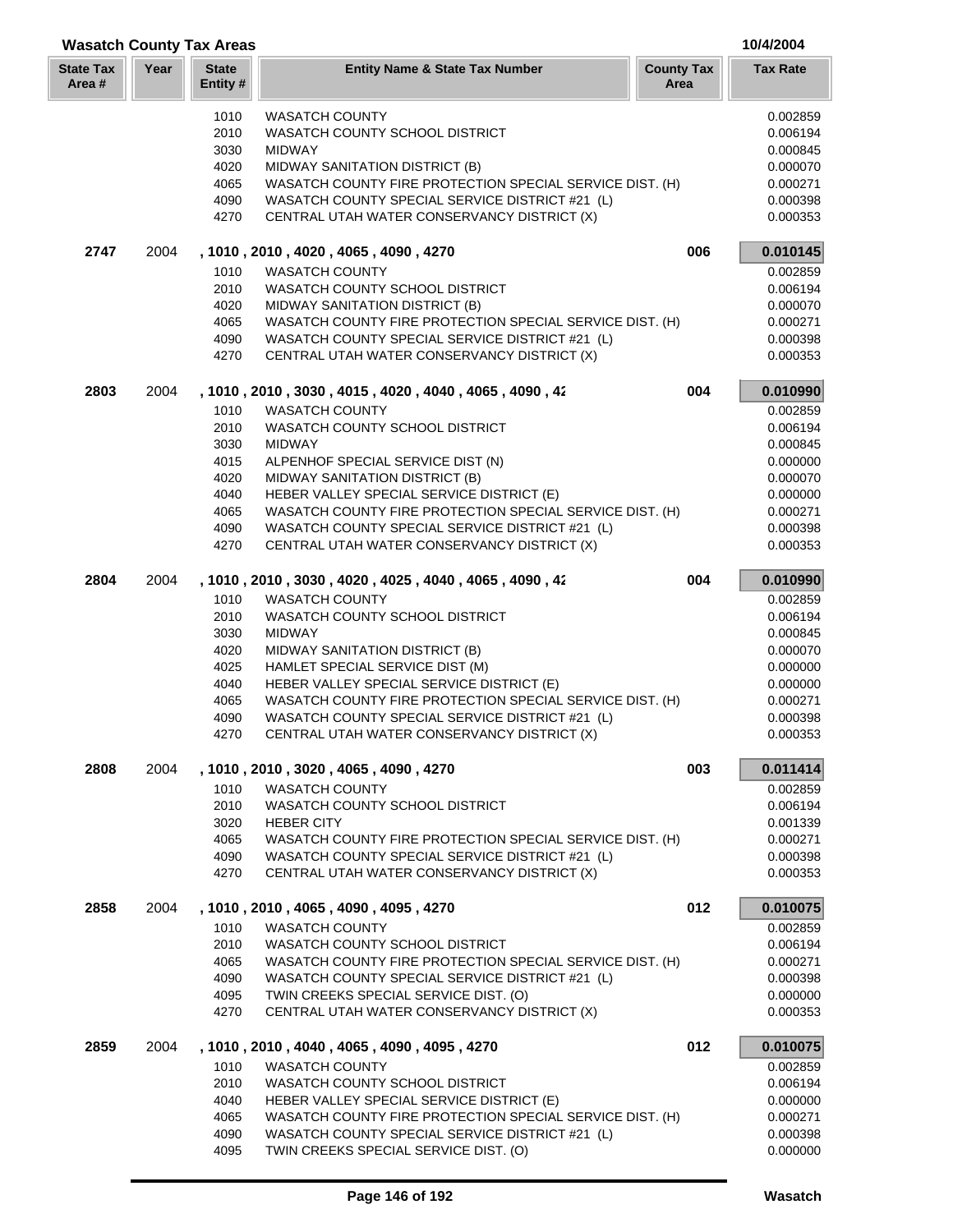| <b>Wasatch County Tax Areas</b> |      |                         |                                                          |                           | 10/4/2004       |
|---------------------------------|------|-------------------------|----------------------------------------------------------|---------------------------|-----------------|
| <b>State Tax</b><br>Area #      | Year | <b>State</b><br>Entity# | <b>Entity Name &amp; State Tax Number</b>                | <b>County Tax</b><br>Area | <b>Tax Rate</b> |
|                                 |      | 1010                    | <b>WASATCH COUNTY</b>                                    |                           | 0.002859        |
|                                 |      | 2010                    | <b>WASATCH COUNTY SCHOOL DISTRICT</b>                    |                           | 0.006194        |
|                                 |      | 3030                    | <b>MIDWAY</b>                                            |                           | 0.000845        |
|                                 |      | 4020                    | MIDWAY SANITATION DISTRICT (B)                           |                           | 0.000070        |
|                                 |      | 4065                    | WASATCH COUNTY FIRE PROTECTION SPECIAL SERVICE DIST. (H) |                           | 0.000271        |
|                                 |      | 4090                    | WASATCH COUNTY SPECIAL SERVICE DISTRICT #21 (L)          |                           | 0.000398        |
|                                 |      | 4270                    | CENTRAL UTAH WATER CONSERVANCY DISTRICT (X)              |                           | 0.000353        |
| 2747                            | 2004 |                         | , 1010 , 2010 , 4020 , 4065 , 4090 , 4270                | 006                       | 0.010145        |
|                                 |      | 1010                    | <b>WASATCH COUNTY</b>                                    |                           | 0.002859        |
|                                 |      | 2010                    | WASATCH COUNTY SCHOOL DISTRICT                           |                           | 0.006194        |
|                                 |      | 4020                    | MIDWAY SANITATION DISTRICT (B)                           |                           | 0.000070        |
|                                 |      | 4065                    | WASATCH COUNTY FIRE PROTECTION SPECIAL SERVICE DIST. (H) |                           | 0.000271        |
|                                 |      | 4090                    | WASATCH COUNTY SPECIAL SERVICE DISTRICT #21 (L)          |                           | 0.000398        |
|                                 |      | 4270                    | CENTRAL UTAH WATER CONSERVANCY DISTRICT (X)              |                           | 0.000353        |
| 2803                            | 2004 |                         | , 1010, 2010, 3030, 4015, 4020, 4040, 4065, 4090, 42     | 004                       | 0.010990        |
|                                 |      | 1010                    | <b>WASATCH COUNTY</b>                                    |                           | 0.002859        |
|                                 |      | 2010                    | WASATCH COUNTY SCHOOL DISTRICT                           |                           | 0.006194        |
|                                 |      | 3030                    | <b>MIDWAY</b>                                            |                           | 0.000845        |
|                                 |      | 4015                    | ALPENHOF SPECIAL SERVICE DIST (N)                        |                           | 0.000000        |
|                                 |      | 4020                    | MIDWAY SANITATION DISTRICT (B)                           |                           | 0.000070        |
|                                 |      | 4040                    | HEBER VALLEY SPECIAL SERVICE DISTRICT (E)                |                           | 0.000000        |
|                                 |      | 4065                    | WASATCH COUNTY FIRE PROTECTION SPECIAL SERVICE DIST. (H) |                           | 0.000271        |
|                                 |      | 4090                    | WASATCH COUNTY SPECIAL SERVICE DISTRICT #21 (L)          |                           | 0.000398        |
|                                 |      | 4270                    | CENTRAL UTAH WATER CONSERVANCY DISTRICT (X)              |                           | 0.000353        |
| 2804                            | 2004 |                         | , 1010, 2010, 3030, 4020, 4025, 4040, 4065, 4090, 42     | 004                       | 0.010990        |
|                                 |      | 1010                    | <b>WASATCH COUNTY</b>                                    |                           | 0.002859        |
|                                 |      | 2010                    | WASATCH COUNTY SCHOOL DISTRICT                           |                           | 0.006194        |
|                                 |      | 3030                    | <b>MIDWAY</b>                                            |                           | 0.000845        |
|                                 |      | 4020                    | MIDWAY SANITATION DISTRICT (B)                           |                           | 0.000070        |
|                                 |      | 4025                    | HAMLET SPECIAL SERVICE DIST (M)                          |                           | 0.000000        |
|                                 |      | 4040                    | HEBER VALLEY SPECIAL SERVICE DISTRICT (E)                |                           | 0.000000        |
|                                 |      | 4065                    | WASATCH COUNTY FIRE PROTECTION SPECIAL SERVICE DIST. (H) |                           | 0.000271        |
|                                 |      | 4090                    | WASATCH COUNTY SPECIAL SERVICE DISTRICT #21 (L)          |                           | 0.000398        |
|                                 |      | 4270                    | CENTRAL UTAH WATER CONSERVANCY DISTRICT (X)              |                           | 0.000353        |
| 2808                            | 2004 |                         | , 1010, 2010, 3020, 4065, 4090, 4270                     | 003                       | 0.011414        |
|                                 |      | 1010                    | <b>WASATCH COUNTY</b>                                    |                           | 0.002859        |
|                                 |      | 2010                    | WASATCH COUNTY SCHOOL DISTRICT                           |                           | 0.006194        |
|                                 |      | 3020                    | <b>HEBER CITY</b>                                        |                           | 0.001339        |
|                                 |      | 4065                    | WASATCH COUNTY FIRE PROTECTION SPECIAL SERVICE DIST. (H) |                           | 0.000271        |
|                                 |      | 4090                    | WASATCH COUNTY SPECIAL SERVICE DISTRICT #21 (L)          |                           | 0.000398        |
|                                 |      | 4270                    | CENTRAL UTAH WATER CONSERVANCY DISTRICT (X)              |                           | 0.000353        |
| 2858                            | 2004 |                         | , 1010, 2010, 4065, 4090, 4095, 4270                     | 012                       | 0.010075        |
|                                 |      | 1010                    | <b>WASATCH COUNTY</b>                                    |                           | 0.002859        |
|                                 |      | 2010                    | WASATCH COUNTY SCHOOL DISTRICT                           |                           | 0.006194        |
|                                 |      | 4065                    | WASATCH COUNTY FIRE PROTECTION SPECIAL SERVICE DIST. (H) |                           | 0.000271        |
|                                 |      | 4090                    | WASATCH COUNTY SPECIAL SERVICE DISTRICT #21 (L)          |                           | 0.000398        |
|                                 |      | 4095                    | TWIN CREEKS SPECIAL SERVICE DIST. (O)                    |                           | 0.000000        |
|                                 |      | 4270                    | CENTRAL UTAH WATER CONSERVANCY DISTRICT (X)              |                           | 0.000353        |
| 2859                            | 2004 |                         | , 1010, 2010, 4040, 4065, 4090, 4095, 4270               | 012                       | 0.010075        |
|                                 |      | 1010                    | <b>WASATCH COUNTY</b>                                    |                           | 0.002859        |
|                                 |      | 2010                    | WASATCH COUNTY SCHOOL DISTRICT                           |                           | 0.006194        |
|                                 |      | 4040                    | HEBER VALLEY SPECIAL SERVICE DISTRICT (E)                |                           | 0.000000        |
|                                 |      | 4065                    | WASATCH COUNTY FIRE PROTECTION SPECIAL SERVICE DIST. (H) |                           | 0.000271        |
|                                 |      | 4090                    | WASATCH COUNTY SPECIAL SERVICE DISTRICT #21 (L)          |                           | 0.000398        |
|                                 |      | 4095                    | TWIN CREEKS SPECIAL SERVICE DIST. (O)                    |                           | 0.000000        |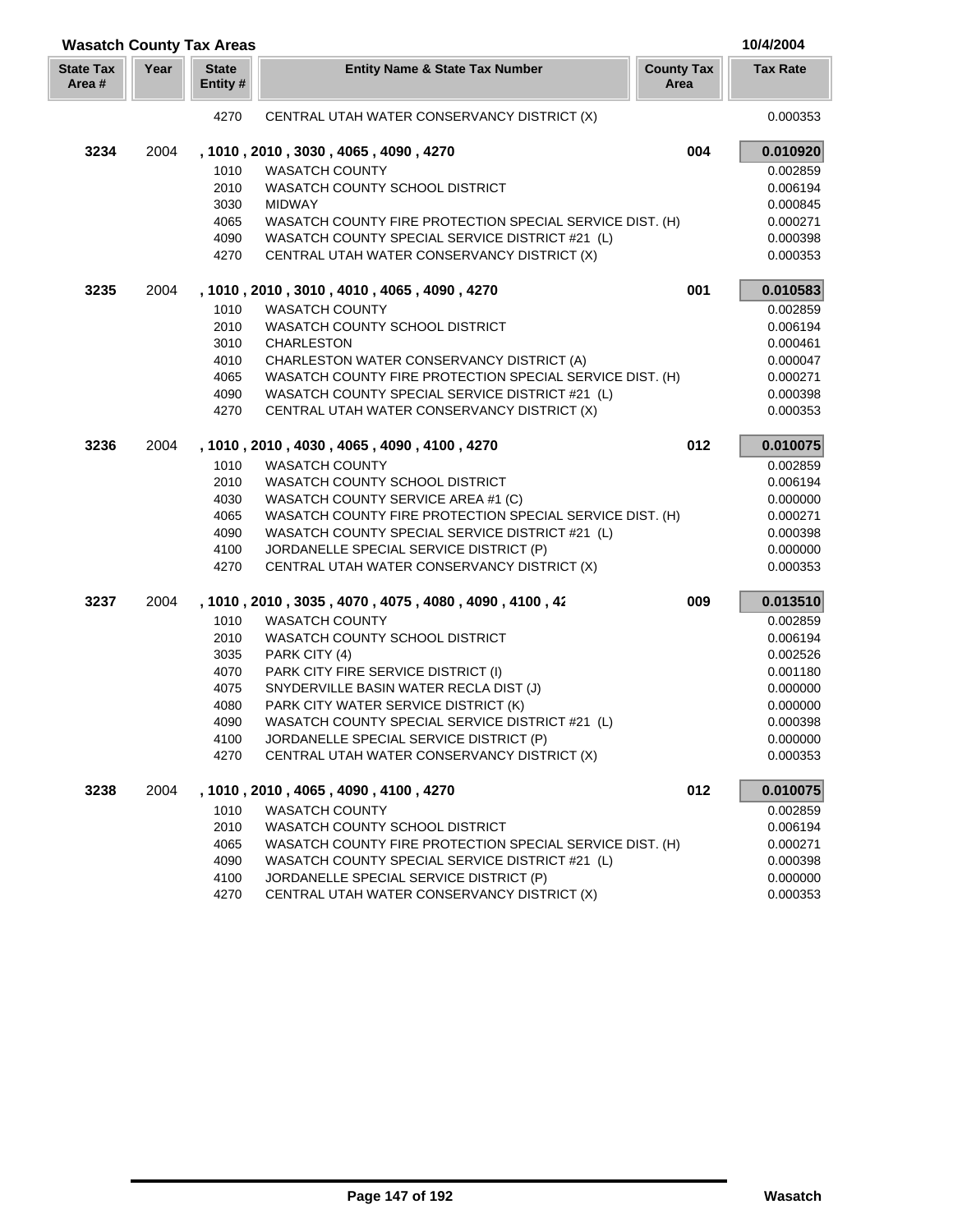|                            |      | <b>Wasatch County Tax Areas</b> |                                                          |                           | 10/4/2004       |
|----------------------------|------|---------------------------------|----------------------------------------------------------|---------------------------|-----------------|
| <b>State Tax</b><br>Area # | Year | <b>State</b><br>Entity #        | <b>Entity Name &amp; State Tax Number</b>                | <b>County Tax</b><br>Area | <b>Tax Rate</b> |
|                            |      | 4270                            | CENTRAL UTAH WATER CONSERVANCY DISTRICT (X)              |                           | 0.000353        |
| 3234                       | 2004 |                                 | , 1010, 2010, 3030, 4065, 4090, 4270                     | 004                       | 0.010920        |
|                            |      | 1010                            | <b>WASATCH COUNTY</b>                                    |                           | 0.002859        |
|                            |      | 2010                            | WASATCH COUNTY SCHOOL DISTRICT                           |                           | 0.006194        |
|                            |      | 3030                            | <b>MIDWAY</b>                                            |                           | 0.000845        |
|                            |      | 4065                            | WASATCH COUNTY FIRE PROTECTION SPECIAL SERVICE DIST. (H) |                           | 0.000271        |
|                            |      | 4090                            | WASATCH COUNTY SPECIAL SERVICE DISTRICT #21 (L)          |                           | 0.000398        |
|                            |      | 4270                            | CENTRAL UTAH WATER CONSERVANCY DISTRICT (X)              |                           | 0.000353        |
| 3235                       | 2004 |                                 | , 1010, 2010, 3010, 4010, 4065, 4090, 4270               | 001                       | 0.010583        |
|                            |      | 1010                            | <b>WASATCH COUNTY</b>                                    |                           | 0.002859        |
|                            |      | 2010                            | WASATCH COUNTY SCHOOL DISTRICT                           |                           | 0.006194        |
|                            |      | 3010                            | <b>CHARLESTON</b>                                        |                           | 0.000461        |
|                            |      | 4010                            | CHARLESTON WATER CONSERVANCY DISTRICT (A)                |                           | 0.000047        |
|                            |      | 4065                            | WASATCH COUNTY FIRE PROTECTION SPECIAL SERVICE DIST. (H) |                           | 0.000271        |
|                            |      | 4090                            | WASATCH COUNTY SPECIAL SERVICE DISTRICT #21 (L)          |                           | 0.000398        |
|                            |      | 4270                            | CENTRAL UTAH WATER CONSERVANCY DISTRICT (X)              |                           | 0.000353        |
| 3236                       | 2004 |                                 | , 1010, 2010, 4030, 4065, 4090, 4100, 4270               | 012                       | 0.010075        |
|                            |      | 1010                            | <b>WASATCH COUNTY</b>                                    |                           | 0.002859        |
|                            |      | 2010                            | <b>WASATCH COUNTY SCHOOL DISTRICT</b>                    |                           | 0.006194        |
|                            |      | 4030                            | WASATCH COUNTY SERVICE AREA #1 (C)                       |                           | 0.000000        |
|                            |      | 4065                            | WASATCH COUNTY FIRE PROTECTION SPECIAL SERVICE DIST. (H) |                           | 0.000271        |
|                            |      | 4090                            | WASATCH COUNTY SPECIAL SERVICE DISTRICT #21 (L)          |                           | 0.000398        |
|                            |      | 4100                            | JORDANELLE SPECIAL SERVICE DISTRICT (P)                  |                           | 0.000000        |
|                            |      | 4270                            | CENTRAL UTAH WATER CONSERVANCY DISTRICT (X)              |                           | 0.000353        |
| 3237                       | 2004 |                                 | , 1010, 2010, 3035, 4070, 4075, 4080, 4090, 4100, 42     | 009                       | 0.013510        |
|                            |      | 1010                            | <b>WASATCH COUNTY</b>                                    |                           | 0.002859        |
|                            |      | 2010                            | WASATCH COUNTY SCHOOL DISTRICT                           |                           | 0.006194        |
|                            |      | 3035                            | PARK CITY (4)                                            |                           | 0.002526        |
|                            |      | 4070                            | PARK CITY FIRE SERVICE DISTRICT (I)                      |                           | 0.001180        |
|                            |      | 4075                            | SNYDERVILLE BASIN WATER RECLA DIST (J)                   |                           | 0.000000        |
|                            |      | 4080                            | PARK CITY WATER SERVICE DISTRICT (K)                     |                           | 0.000000        |
|                            |      | 4090                            | WASATCH COUNTY SPECIAL SERVICE DISTRICT #21 (L)          |                           | 0.000398        |
|                            |      | 4100                            | JORDANELLE SPECIAL SERVICE DISTRICT (P)                  |                           | 0.000000        |
|                            |      | 4270                            | CENTRAL UTAH WATER CONSERVANCY DISTRICT (X)              |                           | 0.000353        |
| 3238                       | 2004 |                                 | , 1010, 2010, 4065, 4090, 4100, 4270                     | 012                       | 0.010075        |
|                            |      | 1010                            | <b>WASATCH COUNTY</b>                                    |                           | 0.002859        |
|                            |      | 2010                            | WASATCH COUNTY SCHOOL DISTRICT                           |                           | 0.006194        |
|                            |      | 4065                            | WASATCH COUNTY FIRE PROTECTION SPECIAL SERVICE DIST. (H) |                           | 0.000271        |
|                            |      | 4090                            | WASATCH COUNTY SPECIAL SERVICE DISTRICT #21 (L)          |                           | 0.000398        |
|                            |      | 4100                            | JORDANELLE SPECIAL SERVICE DISTRICT (P)                  |                           | 0.000000        |
|                            |      | 4270                            | CENTRAL UTAH WATER CONSERVANCY DISTRICT (X)              |                           | 0.000353        |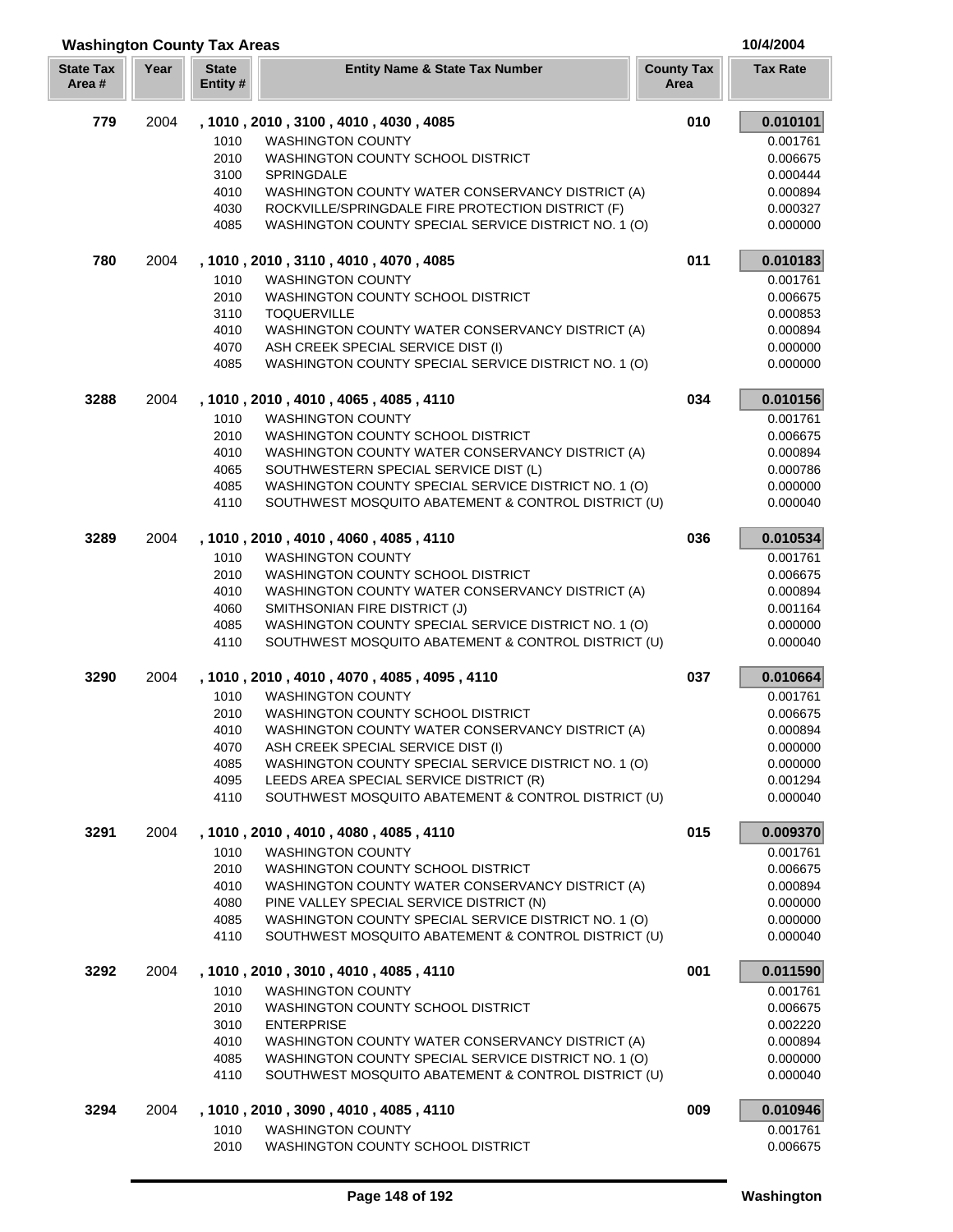|  | 10/4/2004 |  |  |
|--|-----------|--|--|

| <b>Washington County Tax Areas</b> |      |                          |                                                                                                             |                           | 10/4/2004            |
|------------------------------------|------|--------------------------|-------------------------------------------------------------------------------------------------------------|---------------------------|----------------------|
| <b>State Tax</b><br>Area#          | Year | <b>State</b><br>Entity # | <b>Entity Name &amp; State Tax Number</b>                                                                   | <b>County Tax</b><br>Area | <b>Tax Rate</b>      |
| 779                                | 2004 |                          | , 1010, 2010, 3100, 4010, 4030, 4085                                                                        | 010                       | 0.010101             |
|                                    |      | 1010                     | <b>WASHINGTON COUNTY</b>                                                                                    |                           | 0.001761             |
|                                    |      | 2010                     | WASHINGTON COUNTY SCHOOL DISTRICT                                                                           |                           | 0.006675             |
|                                    |      | 3100                     | SPRINGDALE                                                                                                  |                           | 0.000444             |
|                                    |      | 4010                     | WASHINGTON COUNTY WATER CONSERVANCY DISTRICT (A)                                                            |                           | 0.000894             |
|                                    |      | 4030                     | ROCKVILLE/SPRINGDALE FIRE PROTECTION DISTRICT (F)                                                           |                           | 0.000327             |
|                                    |      | 4085                     | WASHINGTON COUNTY SPECIAL SERVICE DISTRICT NO. 1 (O)                                                        |                           | 0.000000             |
| 780                                | 2004 |                          | , 1010, 2010, 3110, 4010, 4070, 4085                                                                        | 011                       | 0.010183             |
|                                    |      | 1010                     | <b>WASHINGTON COUNTY</b>                                                                                    |                           | 0.001761             |
|                                    |      | 2010                     | WASHINGTON COUNTY SCHOOL DISTRICT                                                                           |                           | 0.006675             |
|                                    |      | 3110                     | <b>TOQUERVILLE</b>                                                                                          |                           | 0.000853             |
|                                    |      | 4010                     | WASHINGTON COUNTY WATER CONSERVANCY DISTRICT (A)                                                            |                           | 0.000894             |
|                                    |      | 4070                     | ASH CREEK SPECIAL SERVICE DIST (I)                                                                          |                           | 0.000000             |
|                                    |      | 4085                     | WASHINGTON COUNTY SPECIAL SERVICE DISTRICT NO. 1 (O)                                                        |                           | 0.000000             |
| 3288                               | 2004 |                          | , 1010 , 2010 , 4010 , 4065 , 4085 , 4110                                                                   | 034                       | 0.010156             |
|                                    |      | 1010                     | <b>WASHINGTON COUNTY</b>                                                                                    |                           | 0.001761             |
|                                    |      | 2010                     | WASHINGTON COUNTY SCHOOL DISTRICT                                                                           |                           | 0.006675             |
|                                    |      | 4010                     | WASHINGTON COUNTY WATER CONSERVANCY DISTRICT (A)                                                            |                           | 0.000894             |
|                                    |      | 4065                     | SOUTHWESTERN SPECIAL SERVICE DIST (L)                                                                       |                           | 0.000786             |
|                                    |      | 4085<br>4110             | WASHINGTON COUNTY SPECIAL SERVICE DISTRICT NO. 1 (O)<br>SOUTHWEST MOSQUITO ABATEMENT & CONTROL DISTRICT (U) |                           | 0.000000<br>0.000040 |
| 3289                               | 2004 |                          | , 1010, 2010, 4010, 4060, 4085, 4110                                                                        | 036                       | 0.010534             |
|                                    |      | 1010                     | <b>WASHINGTON COUNTY</b>                                                                                    |                           | 0.001761             |
|                                    |      | 2010                     | WASHINGTON COUNTY SCHOOL DISTRICT                                                                           |                           | 0.006675             |
|                                    |      | 4010                     | WASHINGTON COUNTY WATER CONSERVANCY DISTRICT (A)                                                            |                           | 0.000894             |
|                                    |      | 4060                     | SMITHSONIAN FIRE DISTRICT (J)                                                                               |                           | 0.001164             |
|                                    |      | 4085                     | WASHINGTON COUNTY SPECIAL SERVICE DISTRICT NO. 1 (O)                                                        |                           | 0.000000             |
|                                    |      | 4110                     | SOUTHWEST MOSQUITO ABATEMENT & CONTROL DISTRICT (U)                                                         |                           | 0.000040             |
| 3290                               | 2004 |                          | , 1010 , 2010 , 4010 , 4070 , 4085 , 4095 , 4110                                                            | 037                       | 0.010664             |
|                                    |      | 1010                     | <b>WASHINGTON COUNTY</b>                                                                                    |                           | 0.001761             |
|                                    |      | 2010                     | WASHINGTON COUNTY SCHOOL DISTRICT                                                                           |                           | 0.006675             |
|                                    |      | 4010                     | WASHINGTON COUNTY WATER CONSERVANCY DISTRICT (A)                                                            |                           | 0.000894             |
|                                    |      | 4070                     | ASH CREEK SPECIAL SERVICE DIST (I)                                                                          |                           | 0.000000             |
|                                    |      | 4085                     | WASHINGTON COUNTY SPECIAL SERVICE DISTRICT NO. 1 (O)                                                        |                           | 0.000000             |
|                                    |      | 4095<br>4110             | LEEDS AREA SPECIAL SERVICE DISTRICT (R)<br>SOUTHWEST MOSQUITO ABATEMENT & CONTROL DISTRICT (U)              |                           | 0.001294<br>0.000040 |
| 3291                               | 2004 |                          | , 1010, 2010, 4010, 4080, 4085, 4110                                                                        | 015                       | 0.009370             |
|                                    |      | 1010                     | <b>WASHINGTON COUNTY</b>                                                                                    |                           | 0.001761             |
|                                    |      | 2010                     | WASHINGTON COUNTY SCHOOL DISTRICT                                                                           |                           | 0.006675             |
|                                    |      | 4010                     | WASHINGTON COUNTY WATER CONSERVANCY DISTRICT (A)                                                            |                           | 0.000894             |
|                                    |      | 4080                     | PINE VALLEY SPECIAL SERVICE DISTRICT (N)                                                                    |                           | 0.000000             |
|                                    |      | 4085                     | WASHINGTON COUNTY SPECIAL SERVICE DISTRICT NO. 1 (O)                                                        |                           | 0.000000             |
|                                    |      | 4110                     | SOUTHWEST MOSQUITO ABATEMENT & CONTROL DISTRICT (U)                                                         |                           | 0.000040             |
| 3292                               | 2004 |                          | , 1010, 2010, 3010, 4010, 4085, 4110                                                                        | 001                       | 0.011590             |
|                                    |      | 1010                     | <b>WASHINGTON COUNTY</b>                                                                                    |                           | 0.001761             |
|                                    |      | 2010                     | WASHINGTON COUNTY SCHOOL DISTRICT                                                                           |                           | 0.006675             |
|                                    |      | 3010                     | <b>ENTERPRISE</b>                                                                                           |                           | 0.002220             |
|                                    |      | 4010                     | WASHINGTON COUNTY WATER CONSERVANCY DISTRICT (A)                                                            |                           | 0.000894             |
|                                    |      | 4085<br>4110             | WASHINGTON COUNTY SPECIAL SERVICE DISTRICT NO. 1 (O)<br>SOUTHWEST MOSQUITO ABATEMENT & CONTROL DISTRICT (U) |                           | 0.000000<br>0.000040 |
| 3294                               | 2004 |                          | , 1010 , 2010 , 3090 , 4010 , 4085 , 4110                                                                   | 009                       | 0.010946             |
|                                    |      | 1010                     | <b>WASHINGTON COUNTY</b>                                                                                    |                           | 0.001761             |
|                                    |      | 2010                     | WASHINGTON COUNTY SCHOOL DISTRICT                                                                           |                           | 0.006675             |
|                                    |      |                          |                                                                                                             |                           |                      |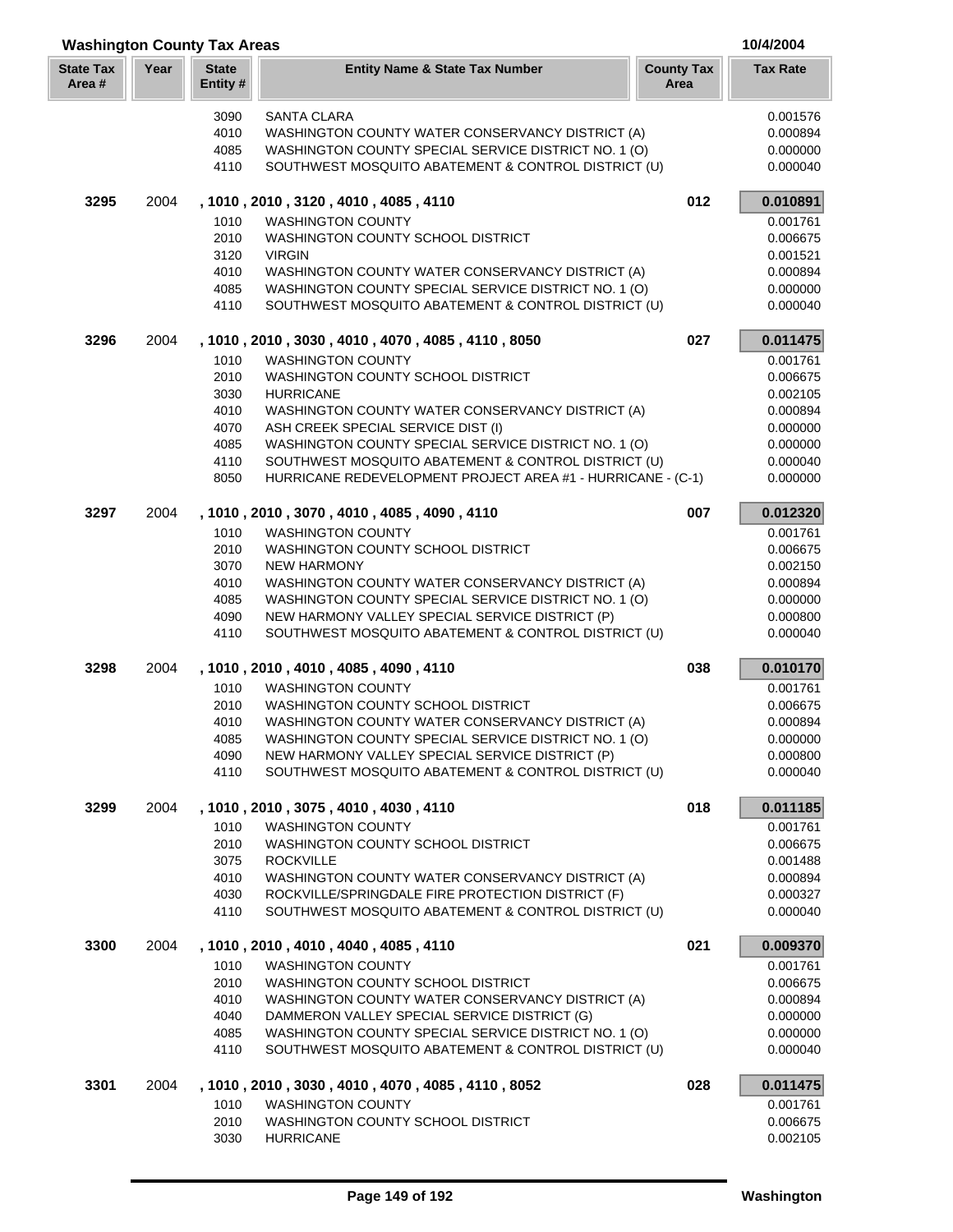| <b>Washington County Tax Areas</b> |      |                         |                                                                  |                           | 10/4/2004            |
|------------------------------------|------|-------------------------|------------------------------------------------------------------|---------------------------|----------------------|
| <b>State Tax</b><br>Area #         | Year | <b>State</b><br>Entity# | <b>Entity Name &amp; State Tax Number</b>                        | <b>County Tax</b><br>Area | <b>Tax Rate</b>      |
|                                    |      | 3090                    | SANTA CLARA                                                      |                           | 0.001576             |
|                                    |      | 4010                    | WASHINGTON COUNTY WATER CONSERVANCY DISTRICT (A)                 |                           | 0.000894             |
|                                    |      | 4085                    | WASHINGTON COUNTY SPECIAL SERVICE DISTRICT NO. 1 (O)             |                           | 0.000000             |
|                                    |      | 4110                    | SOUTHWEST MOSQUITO ABATEMENT & CONTROL DISTRICT (U)              |                           | 0.000040             |
| 3295                               | 2004 |                         | , 1010 , 2010 , 3120 , 4010 , 4085 , 4110                        | 012                       | 0.010891             |
|                                    |      | 1010                    | <b>WASHINGTON COUNTY</b>                                         |                           | 0.001761             |
|                                    |      | 2010                    | WASHINGTON COUNTY SCHOOL DISTRICT                                |                           | 0.006675             |
|                                    |      | 3120                    | <b>VIRGIN</b>                                                    |                           | 0.001521             |
|                                    |      | 4010                    | WASHINGTON COUNTY WATER CONSERVANCY DISTRICT (A)                 |                           | 0.000894             |
|                                    |      | 4085                    | WASHINGTON COUNTY SPECIAL SERVICE DISTRICT NO. 1 (O)             |                           | 0.000000             |
|                                    |      | 4110                    | SOUTHWEST MOSQUITO ABATEMENT & CONTROL DISTRICT (U)              |                           | 0.000040             |
| 3296                               | 2004 |                         | , 1010, 2010, 3030, 4010, 4070, 4085, 4110, 8050                 | 027                       | 0.011475             |
|                                    |      | 1010                    | <b>WASHINGTON COUNTY</b>                                         |                           | 0.001761             |
|                                    |      | 2010                    | WASHINGTON COUNTY SCHOOL DISTRICT                                |                           | 0.006675             |
|                                    |      | 3030                    | <b>HURRICANE</b>                                                 |                           | 0.002105             |
|                                    |      | 4010                    | WASHINGTON COUNTY WATER CONSERVANCY DISTRICT (A)                 |                           | 0.000894             |
|                                    |      | 4070                    | ASH CREEK SPECIAL SERVICE DIST (I)                               |                           | 0.000000             |
|                                    |      | 4085                    | WASHINGTON COUNTY SPECIAL SERVICE DISTRICT NO. 1 (O)             |                           | 0.000000             |
|                                    |      | 4110                    | SOUTHWEST MOSQUITO ABATEMENT & CONTROL DISTRICT (U)              |                           | 0.000040             |
|                                    |      | 8050                    | HURRICANE REDEVELOPMENT PROJECT AREA #1 - HURRICANE - (C-1)      |                           | 0.000000             |
| 3297                               | 2004 |                         | , 1010 , 2010 , 3070 , 4010 , 4085 , 4090 , 4110                 | 007                       | 0.012320             |
|                                    |      | 1010                    | <b>WASHINGTON COUNTY</b>                                         |                           | 0.001761             |
|                                    |      | 2010                    | WASHINGTON COUNTY SCHOOL DISTRICT                                |                           | 0.006675             |
|                                    |      | 3070                    | <b>NEW HARMONY</b>                                               |                           | 0.002150             |
|                                    |      | 4010                    | WASHINGTON COUNTY WATER CONSERVANCY DISTRICT (A)                 |                           | 0.000894             |
|                                    |      | 4085                    | WASHINGTON COUNTY SPECIAL SERVICE DISTRICT NO. 1 (O)             |                           | 0.000000             |
|                                    |      | 4090<br>4110            | NEW HARMONY VALLEY SPECIAL SERVICE DISTRICT (P)                  |                           | 0.000800<br>0.000040 |
|                                    |      |                         | SOUTHWEST MOSQUITO ABATEMENT & CONTROL DISTRICT (U)              |                           |                      |
| 3298                               | 2004 | 1010                    | , 1010, 2010, 4010, 4085, 4090, 4110<br><b>WASHINGTON COUNTY</b> | 038                       | 0.010170<br>0.001761 |
|                                    |      | 2010                    | WASHINGTON COUNTY SCHOOL DISTRICT                                |                           | 0.006675             |
|                                    |      | 4010                    | WASHINGTON COUNTY WATER CONSERVANCY DISTRICT (A)                 |                           | 0.000894             |
|                                    |      | 4085                    | WASHINGTON COUNTY SPECIAL SERVICE DISTRICT NO. 1 (O)             |                           | 0.000000             |
|                                    |      | 4090                    | NEW HARMONY VALLEY SPECIAL SERVICE DISTRICT (P)                  |                           | 0.000800             |
|                                    |      | 4110                    | SOUTHWEST MOSQUITO ABATEMENT & CONTROL DISTRICT (U)              |                           | 0.000040             |
|                                    |      |                         |                                                                  |                           |                      |
| 3299                               | 2004 | 1010                    | , 1010, 2010, 3075, 4010, 4030, 4110<br><b>WASHINGTON COUNTY</b> | 018                       | 0.011185<br>0.001761 |
|                                    |      | 2010                    | WASHINGTON COUNTY SCHOOL DISTRICT                                |                           | 0.006675             |
|                                    |      | 3075                    | <b>ROCKVILLE</b>                                                 |                           | 0.001488             |
|                                    |      | 4010                    | WASHINGTON COUNTY WATER CONSERVANCY DISTRICT (A)                 |                           | 0.000894             |
|                                    |      | 4030                    | ROCKVILLE/SPRINGDALE FIRE PROTECTION DISTRICT (F)                |                           | 0.000327             |
|                                    |      | 4110                    | SOUTHWEST MOSQUITO ABATEMENT & CONTROL DISTRICT (U)              |                           | 0.000040             |
| 3300                               | 2004 |                         | , 1010, 2010, 4010, 4040, 4085, 4110                             | 021                       | 0.009370             |
|                                    |      | 1010                    | <b>WASHINGTON COUNTY</b>                                         |                           | 0.001761             |
|                                    |      | 2010                    | WASHINGTON COUNTY SCHOOL DISTRICT                                |                           | 0.006675             |
|                                    |      | 4010                    | WASHINGTON COUNTY WATER CONSERVANCY DISTRICT (A)                 |                           | 0.000894             |
|                                    |      | 4040                    | DAMMERON VALLEY SPECIAL SERVICE DISTRICT (G)                     |                           | 0.000000             |
|                                    |      | 4085                    | WASHINGTON COUNTY SPECIAL SERVICE DISTRICT NO. 1 (O)             |                           | 0.000000             |
|                                    |      | 4110                    | SOUTHWEST MOSQUITO ABATEMENT & CONTROL DISTRICT (U)              |                           | 0.000040             |
| 3301                               | 2004 |                         | , 1010, 2010, 3030, 4010, 4070, 4085, 4110, 8052                 | 028                       | 0.011475             |
|                                    |      | 1010                    | <b>WASHINGTON COUNTY</b>                                         |                           | 0.001761             |
|                                    |      | 2010                    | WASHINGTON COUNTY SCHOOL DISTRICT                                |                           | 0.006675             |
|                                    |      | 3030                    | <b>HURRICANE</b>                                                 |                           | 0.002105             |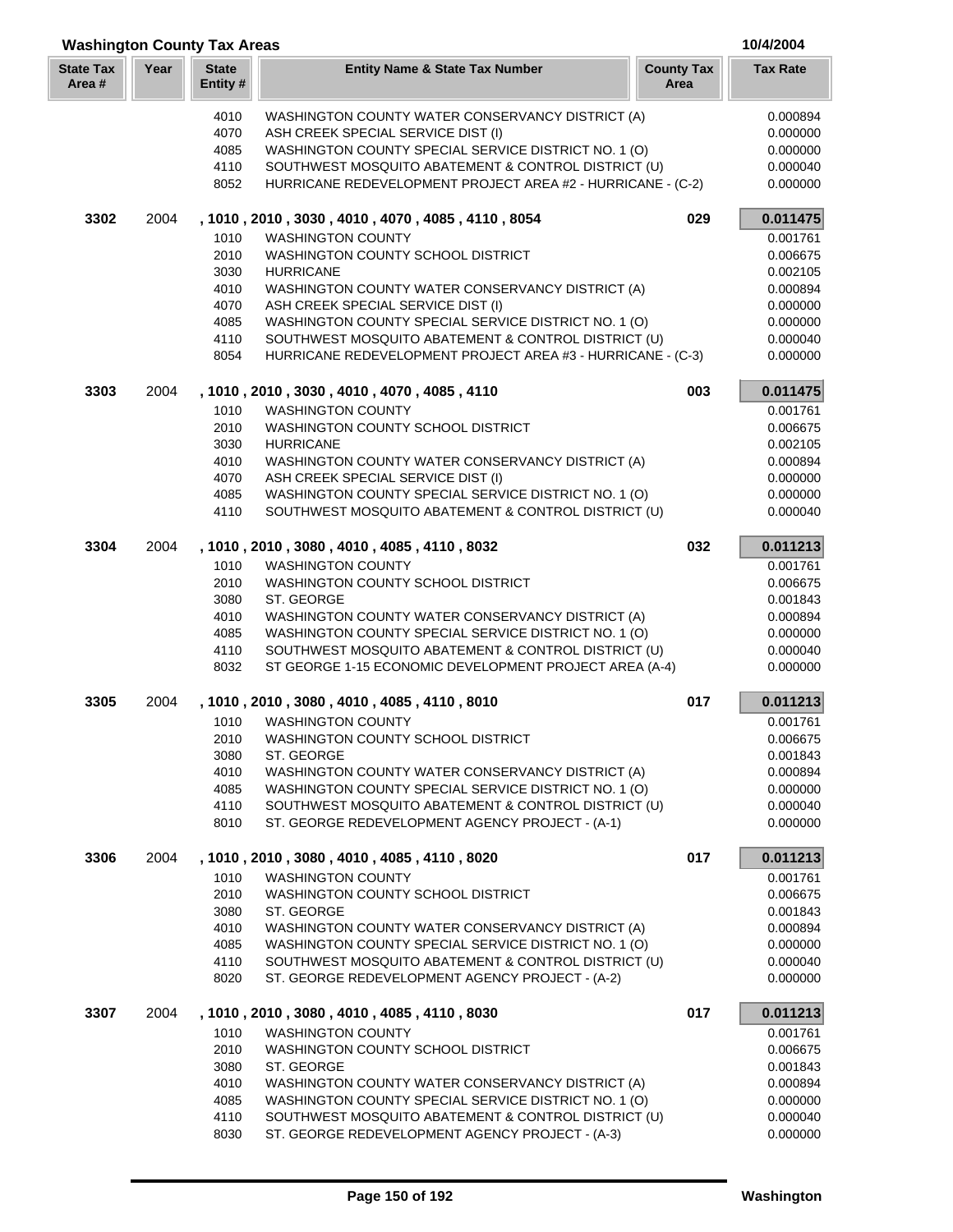| <b>Washington County Tax Areas</b> |      |                          |                                                                                                             |                           | 10/4/2004            |
|------------------------------------|------|--------------------------|-------------------------------------------------------------------------------------------------------------|---------------------------|----------------------|
| <b>State Tax</b><br>Area#          | Year | <b>State</b><br>Entity # | <b>Entity Name &amp; State Tax Number</b>                                                                   | <b>County Tax</b><br>Area | <b>Tax Rate</b>      |
|                                    |      | 4010                     | WASHINGTON COUNTY WATER CONSERVANCY DISTRICT (A)                                                            |                           | 0.000894             |
|                                    |      | 4070                     | ASH CREEK SPECIAL SERVICE DIST (I)                                                                          |                           | 0.000000             |
|                                    |      | 4085                     | WASHINGTON COUNTY SPECIAL SERVICE DISTRICT NO. 1 (O)                                                        |                           | 0.000000             |
|                                    |      | 4110                     | SOUTHWEST MOSQUITO ABATEMENT & CONTROL DISTRICT (U)                                                         |                           | 0.000040             |
|                                    |      | 8052                     | HURRICANE REDEVELOPMENT PROJECT AREA #2 - HURRICANE - (C-2)                                                 |                           | 0.000000             |
| 3302                               | 2004 |                          | , 1010, 2010, 3030, 4010, 4070, 4085, 4110, 8054                                                            | 029                       | 0.011475             |
|                                    |      | 1010                     | <b>WASHINGTON COUNTY</b>                                                                                    |                           | 0.001761             |
|                                    |      | 2010                     | WASHINGTON COUNTY SCHOOL DISTRICT                                                                           |                           | 0.006675             |
|                                    |      | 3030<br>4010             | <b>HURRICANE</b>                                                                                            |                           | 0.002105             |
|                                    |      | 4070                     | WASHINGTON COUNTY WATER CONSERVANCY DISTRICT (A)<br>ASH CREEK SPECIAL SERVICE DIST (I)                      |                           | 0.000894<br>0.000000 |
|                                    |      | 4085                     | WASHINGTON COUNTY SPECIAL SERVICE DISTRICT NO. 1 (O)                                                        |                           | 0.000000             |
|                                    |      | 4110                     | SOUTHWEST MOSQUITO ABATEMENT & CONTROL DISTRICT (U)                                                         |                           | 0.000040             |
|                                    |      | 8054                     | HURRICANE REDEVELOPMENT PROJECT AREA #3 - HURRICANE - (C-3)                                                 |                           | 0.000000             |
| 3303                               | 2004 |                          | , 1010, 2010, 3030, 4010, 4070, 4085, 4110                                                                  | 003                       | 0.011475             |
|                                    |      | 1010                     | <b>WASHINGTON COUNTY</b>                                                                                    |                           | 0.001761             |
|                                    |      | 2010                     | WASHINGTON COUNTY SCHOOL DISTRICT                                                                           |                           | 0.006675             |
|                                    |      | 3030                     | <b>HURRICANE</b>                                                                                            |                           | 0.002105             |
|                                    |      | 4010                     | WASHINGTON COUNTY WATER CONSERVANCY DISTRICT (A)                                                            |                           | 0.000894             |
|                                    |      | 4070                     | ASH CREEK SPECIAL SERVICE DIST (I)                                                                          |                           | 0.000000             |
|                                    |      | 4085                     | WASHINGTON COUNTY SPECIAL SERVICE DISTRICT NO. 1 (O)                                                        |                           | 0.000000             |
|                                    |      | 4110                     | SOUTHWEST MOSQUITO ABATEMENT & CONTROL DISTRICT (U)                                                         |                           | 0.000040             |
| 3304                               | 2004 |                          | , 1010, 2010, 3080, 4010, 4085, 4110, 8032                                                                  | 032                       | 0.011213             |
|                                    |      | 1010<br>2010             | <b>WASHINGTON COUNTY</b>                                                                                    |                           | 0.001761             |
|                                    |      | 3080                     | WASHINGTON COUNTY SCHOOL DISTRICT<br>ST. GEORGE                                                             |                           | 0.006675<br>0.001843 |
|                                    |      | 4010                     | WASHINGTON COUNTY WATER CONSERVANCY DISTRICT (A)                                                            |                           | 0.000894             |
|                                    |      | 4085                     | WASHINGTON COUNTY SPECIAL SERVICE DISTRICT NO. 1 (O)                                                        |                           | 0.000000             |
|                                    |      | 4110                     | SOUTHWEST MOSQUITO ABATEMENT & CONTROL DISTRICT (U)                                                         |                           | 0.000040             |
|                                    |      | 8032                     | ST GEORGE 1-15 ECONOMIC DEVELOPMENT PROJECT AREA (A-4)                                                      |                           | 0.000000             |
| 3305                               | 2004 |                          | , 1010, 2010, 3080, 4010, 4085, 4110, 8010                                                                  | 017                       | 0.011213             |
|                                    |      | 1010                     | <b>WASHINGTON COUNTY</b>                                                                                    |                           | 0.001761             |
|                                    |      | 2010                     | WASHINGTON COUNTY SCHOOL DISTRICT                                                                           |                           | 0.006675             |
|                                    |      | 3080                     | ST. GEORGE                                                                                                  |                           | 0.001843             |
|                                    |      | 4010                     | WASHINGTON COUNTY WATER CONSERVANCY DISTRICT (A)                                                            |                           | 0.000894             |
|                                    |      | 4085                     | WASHINGTON COUNTY SPECIAL SERVICE DISTRICT NO. 1 (O)                                                        |                           | 0.000000             |
|                                    |      | 4110                     | SOUTHWEST MOSQUITO ABATEMENT & CONTROL DISTRICT (U)                                                         |                           | 0.000040             |
|                                    |      | 8010                     | ST. GEORGE REDEVELOPMENT AGENCY PROJECT - (A-1)                                                             |                           | 0.000000             |
| 3306                               | 2004 |                          | , 1010, 2010, 3080, 4010, 4085, 4110, 8020                                                                  | 017                       | 0.011213             |
|                                    |      | 1010                     | <b>WASHINGTON COUNTY</b>                                                                                    |                           | 0.001761             |
|                                    |      | 2010                     | WASHINGTON COUNTY SCHOOL DISTRICT                                                                           |                           | 0.006675             |
|                                    |      | 3080                     | ST. GEORGE                                                                                                  |                           | 0.001843             |
|                                    |      | 4010                     | WASHINGTON COUNTY WATER CONSERVANCY DISTRICT (A)                                                            |                           | 0.000894             |
|                                    |      | 4085<br>4110             | WASHINGTON COUNTY SPECIAL SERVICE DISTRICT NO. 1 (O)<br>SOUTHWEST MOSQUITO ABATEMENT & CONTROL DISTRICT (U) |                           | 0.000000<br>0.000040 |
|                                    |      | 8020                     | ST. GEORGE REDEVELOPMENT AGENCY PROJECT - (A-2)                                                             |                           | 0.000000             |
| 3307                               | 2004 |                          | , 1010, 2010, 3080, 4010, 4085, 4110, 8030                                                                  | 017                       | 0.011213             |
|                                    |      | 1010                     | <b>WASHINGTON COUNTY</b>                                                                                    |                           | 0.001761             |
|                                    |      | 2010                     | WASHINGTON COUNTY SCHOOL DISTRICT                                                                           |                           | 0.006675             |
|                                    |      | 3080                     | ST. GEORGE                                                                                                  |                           | 0.001843             |
|                                    |      | 4010                     | WASHINGTON COUNTY WATER CONSERVANCY DISTRICT (A)                                                            |                           | 0.000894             |
|                                    |      | 4085                     | WASHINGTON COUNTY SPECIAL SERVICE DISTRICT NO. 1 (O)                                                        |                           | 0.000000             |
|                                    |      | 4110                     | SOUTHWEST MOSQUITO ABATEMENT & CONTROL DISTRICT (U)                                                         |                           | 0.000040             |
|                                    |      | 8030                     | ST. GEORGE REDEVELOPMENT AGENCY PROJECT - (A-3)                                                             |                           | 0.000000             |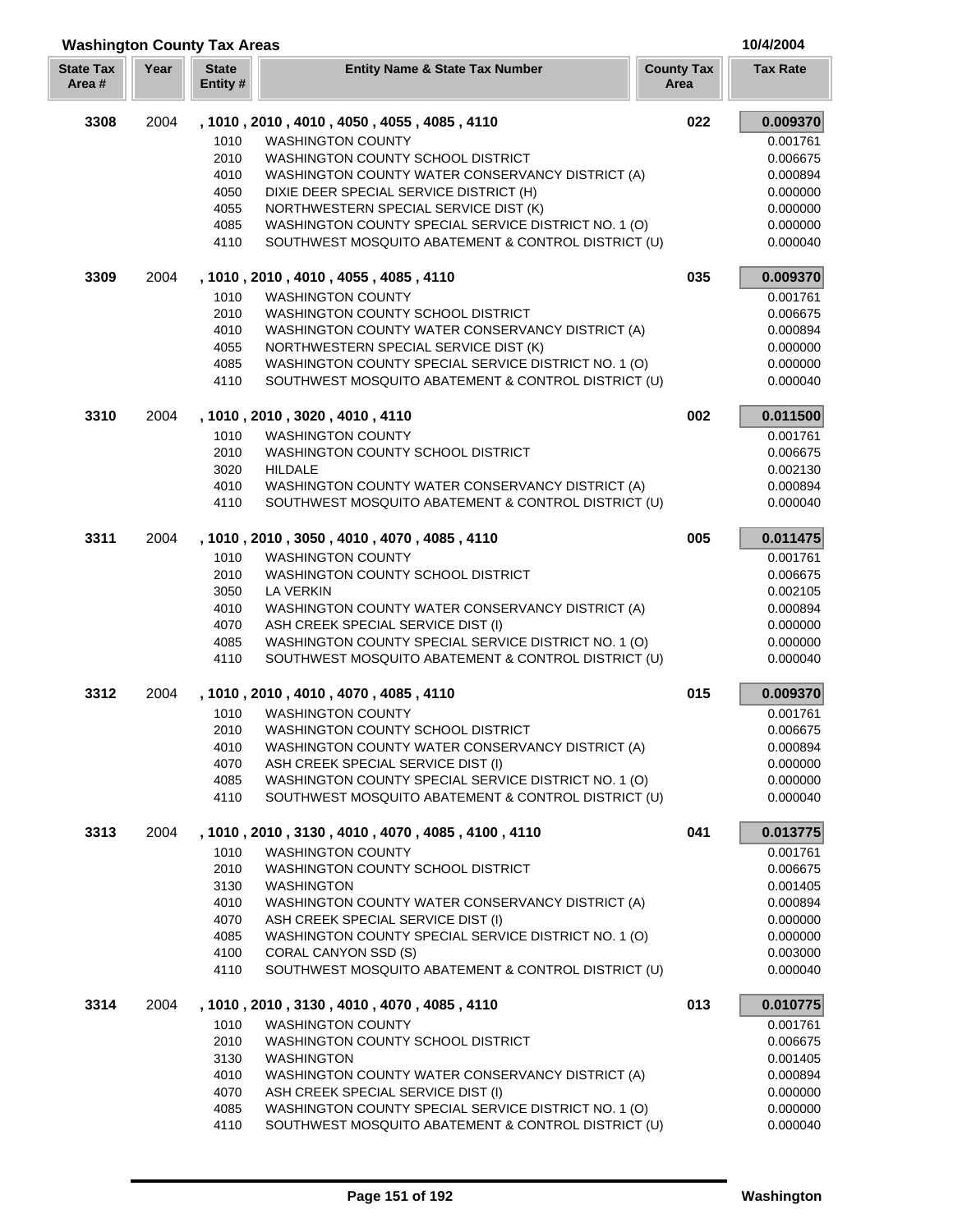## **Washington County Tax Areas 10/4/2004**

| <b>State Tax</b><br>Area# | Year | <b>State</b><br>Entity # | <b>Entity Name &amp; State Tax Number</b>            | <b>County Tax</b><br>Area | <b>Tax Rate</b> |
|---------------------------|------|--------------------------|------------------------------------------------------|---------------------------|-----------------|
| 3308                      | 2004 |                          | , 1010 , 2010 , 4010 , 4050 , 4055 , 4085 , 4110     | 022                       | 0.009370        |
|                           |      | 1010                     | <b>WASHINGTON COUNTY</b>                             |                           | 0.001761        |
|                           |      | 2010                     | WASHINGTON COUNTY SCHOOL DISTRICT                    |                           | 0.006675        |
|                           |      | 4010                     | WASHINGTON COUNTY WATER CONSERVANCY DISTRICT (A)     |                           | 0.000894        |
|                           |      | 4050                     | DIXIE DEER SPECIAL SERVICE DISTRICT (H)              |                           | 0.000000        |
|                           |      | 4055                     | NORTHWESTERN SPECIAL SERVICE DIST (K)                |                           | 0.000000        |
|                           |      | 4085                     | WASHINGTON COUNTY SPECIAL SERVICE DISTRICT NO. 1 (O) |                           | 0.000000        |
|                           |      | 4110                     | SOUTHWEST MOSQUITO ABATEMENT & CONTROL DISTRICT (U)  |                           | 0.000040        |
| 3309                      | 2004 |                          | , 1010, 2010, 4010, 4055, 4085, 4110                 | 035                       | 0.009370        |
|                           |      | 1010                     | <b>WASHINGTON COUNTY</b>                             |                           | 0.001761        |
|                           |      | 2010                     | WASHINGTON COUNTY SCHOOL DISTRICT                    |                           | 0.006675        |
|                           |      | 4010                     | WASHINGTON COUNTY WATER CONSERVANCY DISTRICT (A)     |                           | 0.000894        |
|                           |      | 4055                     | NORTHWESTERN SPECIAL SERVICE DIST (K)                |                           | 0.000000        |
|                           |      | 4085                     | WASHINGTON COUNTY SPECIAL SERVICE DISTRICT NO. 1 (O) |                           | 0.000000        |
|                           |      | 4110                     | SOUTHWEST MOSQUITO ABATEMENT & CONTROL DISTRICT (U)  |                           | 0.000040        |
| 3310                      | 2004 |                          | , 1010, 2010, 3020, 4010, 4110                       | 002                       | 0.011500        |
|                           |      | 1010                     | <b>WASHINGTON COUNTY</b>                             |                           | 0.001761        |
|                           |      | 2010                     | WASHINGTON COUNTY SCHOOL DISTRICT                    |                           | 0.006675        |
|                           |      | 3020                     | <b>HILDALE</b>                                       |                           | 0.002130        |
|                           |      | 4010                     | WASHINGTON COUNTY WATER CONSERVANCY DISTRICT (A)     |                           | 0.000894        |
|                           |      | 4110                     | SOUTHWEST MOSQUITO ABATEMENT & CONTROL DISTRICT (U)  |                           | 0.000040        |
| 3311                      | 2004 |                          | , 1010, 2010, 3050, 4010, 4070, 4085, 4110           | 005                       | 0.011475        |
|                           |      | 1010                     | <b>WASHINGTON COUNTY</b>                             |                           | 0.001761        |
|                           |      | 2010                     | WASHINGTON COUNTY SCHOOL DISTRICT                    |                           | 0.006675        |
|                           |      | 3050                     | LA VERKIN                                            |                           | 0.002105        |
|                           |      | 4010                     | WASHINGTON COUNTY WATER CONSERVANCY DISTRICT (A)     |                           | 0.000894        |
|                           |      | 4070                     | ASH CREEK SPECIAL SERVICE DIST (I)                   |                           | 0.000000        |
|                           |      | 4085                     | WASHINGTON COUNTY SPECIAL SERVICE DISTRICT NO. 1 (O) |                           | 0.000000        |
|                           |      | 4110                     | SOUTHWEST MOSQUITO ABATEMENT & CONTROL DISTRICT (U)  |                           | 0.000040        |
| 3312                      | 2004 |                          | , 1010 , 2010 , 4010 , 4070 , 4085 , 4110            | 015                       | 0.009370        |
|                           |      | 1010                     | <b>WASHINGTON COUNTY</b>                             |                           | 0.001761        |
|                           |      | 2010                     | WASHINGTON COUNTY SCHOOL DISTRICT                    |                           | 0.006675        |
|                           |      | 4010                     | WASHINGTON COUNTY WATER CONSERVANCY DISTRICT (A)     |                           | 0.000894        |
|                           |      | 4070                     | ASH CREEK SPECIAL SERVICE DIST (I)                   |                           | 0.000000        |
|                           |      | 4085                     | WASHINGTON COUNTY SPECIAL SERVICE DISTRICT NO. 1 (O) |                           | 0.000000        |
|                           |      | 4110                     | SOUTHWEST MOSQUITO ABATEMENT & CONTROL DISTRICT (U)  |                           | 0.000040        |
| 3313                      | 2004 |                          | , 1010, 2010, 3130, 4010, 4070, 4085, 4100, 4110     | 041                       | 0.013775        |
|                           |      | 1010                     | <b>WASHINGTON COUNTY</b>                             |                           | 0.001761        |
|                           |      | 2010                     | WASHINGTON COUNTY SCHOOL DISTRICT                    |                           | 0.006675        |
|                           |      | 3130                     | <b>WASHINGTON</b>                                    |                           | 0.001405        |
|                           |      | 4010                     | WASHINGTON COUNTY WATER CONSERVANCY DISTRICT (A)     |                           | 0.000894        |
|                           |      | 4070                     | ASH CREEK SPECIAL SERVICE DIST (I)                   |                           | 0.000000        |
|                           |      | 4085                     | WASHINGTON COUNTY SPECIAL SERVICE DISTRICT NO. 1 (O) |                           | 0.000000        |
|                           |      | 4100                     | CORAL CANYON SSD (S)                                 |                           | 0.003000        |
|                           |      | 4110                     | SOUTHWEST MOSQUITO ABATEMENT & CONTROL DISTRICT (U)  |                           | 0.000040        |
| 3314                      | 2004 |                          | , 1010, 2010, 3130, 4010, 4070, 4085, 4110           | 013                       | 0.010775        |
|                           |      | 1010                     | <b>WASHINGTON COUNTY</b>                             |                           | 0.001761        |
|                           |      | 2010                     | WASHINGTON COUNTY SCHOOL DISTRICT                    |                           | 0.006675        |
|                           |      | 3130                     | <b>WASHINGTON</b>                                    |                           | 0.001405        |
|                           |      | 4010                     | WASHINGTON COUNTY WATER CONSERVANCY DISTRICT (A)     |                           | 0.000894        |
|                           |      | 4070                     | ASH CREEK SPECIAL SERVICE DIST (I)                   |                           | 0.000000        |
|                           |      | 4085                     | WASHINGTON COUNTY SPECIAL SERVICE DISTRICT NO. 1 (O) |                           | 0.000000        |
|                           |      | 4110                     | SOUTHWEST MOSQUITO ABATEMENT & CONTROL DISTRICT (U)  |                           | 0.000040        |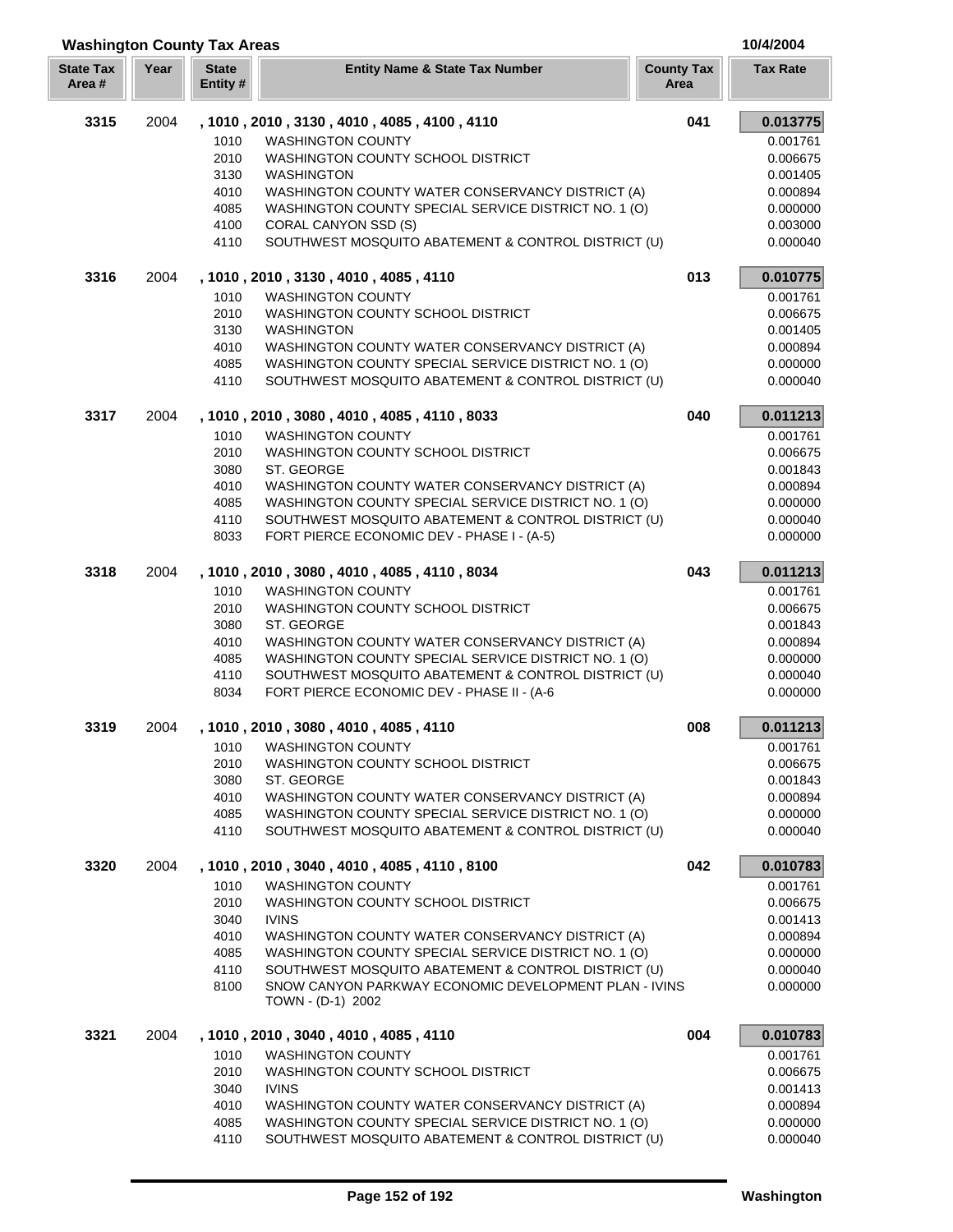| <b>Washington County Tax Areas</b> |      |                          |                                                                                                             |                           | 10/4/2004            |
|------------------------------------|------|--------------------------|-------------------------------------------------------------------------------------------------------------|---------------------------|----------------------|
| <b>State Tax</b><br>Area#          | Year | <b>State</b><br>Entity # | <b>Entity Name &amp; State Tax Number</b>                                                                   | <b>County Tax</b><br>Area | <b>Tax Rate</b>      |
| 3315                               | 2004 |                          | , 1010, 2010, 3130, 4010, 4085, 4100, 4110                                                                  | 041                       | 0.013775             |
|                                    |      | 1010                     | <b>WASHINGTON COUNTY</b>                                                                                    |                           | 0.001761             |
|                                    |      | 2010                     | WASHINGTON COUNTY SCHOOL DISTRICT                                                                           |                           | 0.006675             |
|                                    |      | 3130                     | <b>WASHINGTON</b>                                                                                           |                           | 0.001405             |
|                                    |      | 4010                     | WASHINGTON COUNTY WATER CONSERVANCY DISTRICT (A)                                                            |                           | 0.000894             |
|                                    |      | 4085                     | WASHINGTON COUNTY SPECIAL SERVICE DISTRICT NO. 1 (O)                                                        |                           | 0.000000             |
|                                    |      | 4100                     | CORAL CANYON SSD (S)                                                                                        |                           | 0.003000             |
|                                    |      | 4110                     | SOUTHWEST MOSQUITO ABATEMENT & CONTROL DISTRICT (U)                                                         |                           | 0.000040             |
| 3316                               | 2004 |                          | , 1010, 2010, 3130, 4010, 4085, 4110                                                                        | 013                       | 0.010775             |
|                                    |      | 1010                     | <b>WASHINGTON COUNTY</b>                                                                                    |                           | 0.001761             |
|                                    |      | 2010                     | WASHINGTON COUNTY SCHOOL DISTRICT                                                                           |                           | 0.006675             |
|                                    |      | 3130                     | <b>WASHINGTON</b>                                                                                           |                           | 0.001405             |
|                                    |      | 4010                     | WASHINGTON COUNTY WATER CONSERVANCY DISTRICT (A)                                                            |                           | 0.000894             |
|                                    |      | 4085                     | WASHINGTON COUNTY SPECIAL SERVICE DISTRICT NO. 1 (O)                                                        |                           | 0.000000             |
|                                    |      | 4110                     | SOUTHWEST MOSQUITO ABATEMENT & CONTROL DISTRICT (U)                                                         |                           | 0.000040             |
| 3317                               | 2004 |                          | , 1010, 2010, 3080, 4010, 4085, 4110, 8033                                                                  | 040                       | 0.011213             |
|                                    |      | 1010                     | <b>WASHINGTON COUNTY</b>                                                                                    |                           | 0.001761             |
|                                    |      | 2010                     | WASHINGTON COUNTY SCHOOL DISTRICT                                                                           |                           | 0.006675             |
|                                    |      | 3080                     | ST. GEORGE                                                                                                  |                           | 0.001843             |
|                                    |      | 4010                     | WASHINGTON COUNTY WATER CONSERVANCY DISTRICT (A)                                                            |                           | 0.000894             |
|                                    |      | 4085                     | WASHINGTON COUNTY SPECIAL SERVICE DISTRICT NO. 1 (O)                                                        |                           | 0.000000             |
|                                    |      | 4110                     | SOUTHWEST MOSQUITO ABATEMENT & CONTROL DISTRICT (U)                                                         |                           | 0.000040             |
|                                    |      | 8033                     | FORT PIERCE ECONOMIC DEV - PHASE I - (A-5)                                                                  |                           | 0.000000             |
| 3318                               | 2004 |                          | , 1010, 2010, 3080, 4010, 4085, 4110, 8034                                                                  | 043                       | 0.011213             |
|                                    |      | 1010                     | <b>WASHINGTON COUNTY</b>                                                                                    |                           | 0.001761             |
|                                    |      | 2010                     | WASHINGTON COUNTY SCHOOL DISTRICT                                                                           |                           | 0.006675             |
|                                    |      | 3080                     | ST. GEORGE                                                                                                  |                           | 0.001843             |
|                                    |      | 4010                     | WASHINGTON COUNTY WATER CONSERVANCY DISTRICT (A)                                                            |                           | 0.000894             |
|                                    |      | 4085                     | WASHINGTON COUNTY SPECIAL SERVICE DISTRICT NO. 1 (O)                                                        |                           | 0.000000             |
|                                    |      | 4110<br>8034             | SOUTHWEST MOSQUITO ABATEMENT & CONTROL DISTRICT (U)<br>FORT PIERCE ECONOMIC DEV - PHASE II - (A-6           |                           | 0.000040<br>0.000000 |
| 3319                               |      |                          | , 1010, 2010, 3080, 4010, 4085, 4110                                                                        | 008                       | 0.011213             |
|                                    | 2004 |                          |                                                                                                             |                           |                      |
|                                    |      | 1010                     | <b>WASHINGTON COUNTY</b>                                                                                    |                           | 0.001761             |
|                                    |      | 2010                     | WASHINGTON COUNTY SCHOOL DISTRICT                                                                           |                           | 0.006675             |
|                                    |      | 3080                     | ST. GEORGE                                                                                                  |                           | 0.001843             |
|                                    |      | 4010                     | WASHINGTON COUNTY WATER CONSERVANCY DISTRICT (A)                                                            |                           | 0.000894             |
|                                    |      | 4085<br>4110             | WASHINGTON COUNTY SPECIAL SERVICE DISTRICT NO. 1 (O)<br>SOUTHWEST MOSQUITO ABATEMENT & CONTROL DISTRICT (U) |                           | 0.000000<br>0.000040 |
| 3320                               | 2004 |                          | , 1010, 2010, 3040, 4010, 4085, 4110, 8100                                                                  | 042                       | 0.010783             |
|                                    |      |                          |                                                                                                             |                           |                      |
|                                    |      | 1010<br>2010             | <b>WASHINGTON COUNTY</b><br>WASHINGTON COUNTY SCHOOL DISTRICT                                               |                           | 0.001761<br>0.006675 |
|                                    |      | 3040                     | <b>IVINS</b>                                                                                                |                           | 0.001413             |
|                                    |      | 4010                     | WASHINGTON COUNTY WATER CONSERVANCY DISTRICT (A)                                                            |                           | 0.000894             |
|                                    |      | 4085                     | WASHINGTON COUNTY SPECIAL SERVICE DISTRICT NO. 1 (O)                                                        |                           | 0.000000             |
|                                    |      | 4110                     | SOUTHWEST MOSQUITO ABATEMENT & CONTROL DISTRICT (U)                                                         |                           | 0.000040             |
|                                    |      | 8100                     | SNOW CANYON PARKWAY ECONOMIC DEVELOPMENT PLAN - IVINS<br>TOWN - (D-1) 2002                                  |                           | 0.000000             |
| 3321                               | 2004 |                          | , 1010, 2010, 3040, 4010, 4085, 4110                                                                        | 004                       | 0.010783             |
|                                    |      | 1010                     | <b>WASHINGTON COUNTY</b>                                                                                    |                           | 0.001761             |
|                                    |      | 2010                     | WASHINGTON COUNTY SCHOOL DISTRICT                                                                           |                           | 0.006675             |
|                                    |      | 3040                     | <b>IVINS</b>                                                                                                |                           | 0.001413             |
|                                    |      | 4010                     | WASHINGTON COUNTY WATER CONSERVANCY DISTRICT (A)                                                            |                           | 0.000894             |
|                                    |      | 4085                     | WASHINGTON COUNTY SPECIAL SERVICE DISTRICT NO. 1 (O)                                                        |                           | 0.000000             |
|                                    |      | 4110                     | SOUTHWEST MOSQUITO ABATEMENT & CONTROL DISTRICT (U)                                                         |                           | 0.000040             |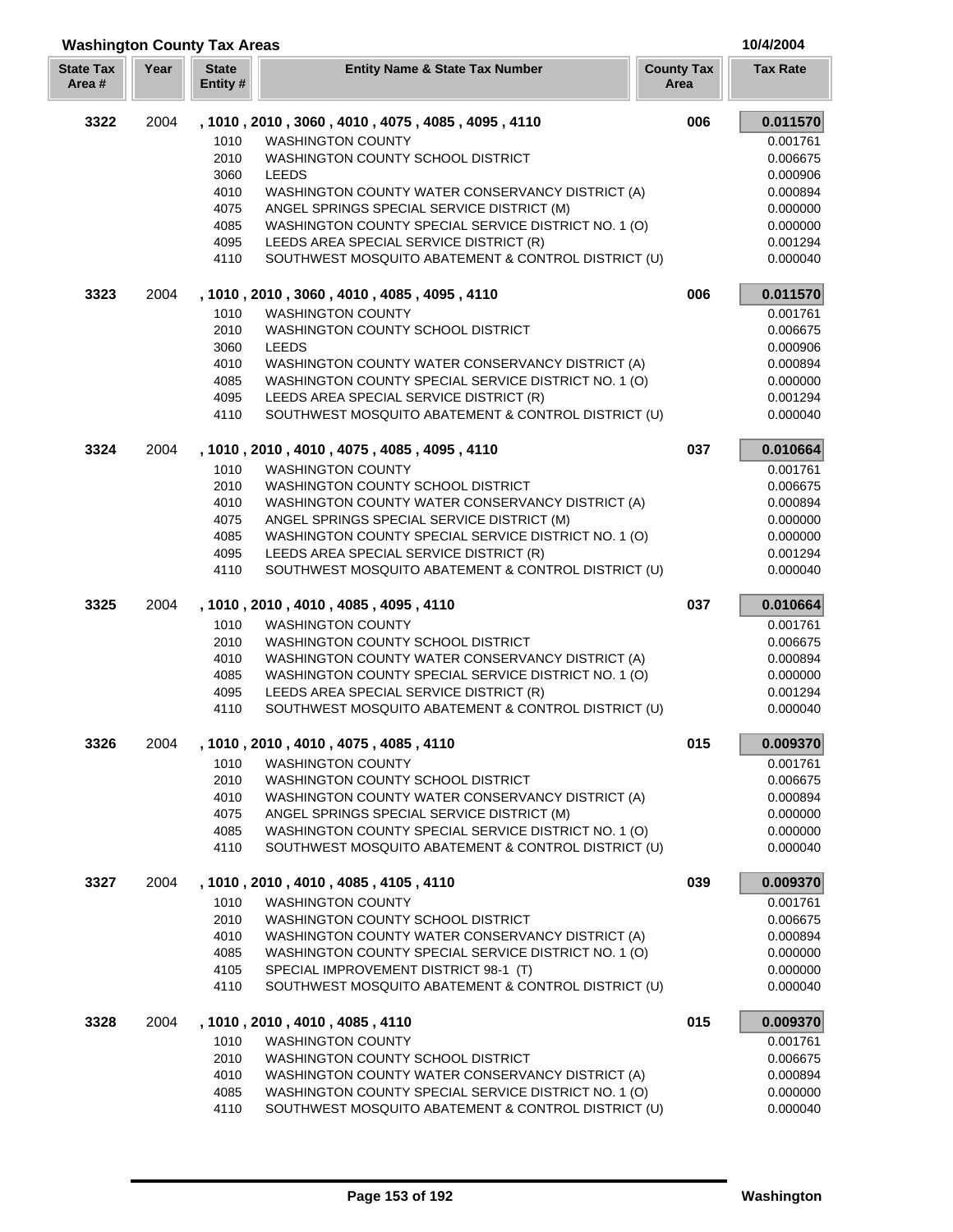| <b>Washington County Tax Areas</b><br>10/4/2004 |      |                          |                                                                                                             |                           |                      |
|-------------------------------------------------|------|--------------------------|-------------------------------------------------------------------------------------------------------------|---------------------------|----------------------|
| <b>State Tax</b><br>Area #                      | Year | <b>State</b><br>Entity # | <b>Entity Name &amp; State Tax Number</b>                                                                   | <b>County Tax</b><br>Area | <b>Tax Rate</b>      |
| 3322                                            | 2004 |                          | , 1010, 2010, 3060, 4010, 4075, 4085, 4095, 4110                                                            | 006                       | 0.011570             |
|                                                 |      | 1010                     | <b>WASHINGTON COUNTY</b>                                                                                    |                           | 0.001761             |
|                                                 |      | 2010                     | WASHINGTON COUNTY SCHOOL DISTRICT                                                                           |                           | 0.006675             |
|                                                 |      | 3060                     | <b>LEEDS</b>                                                                                                |                           | 0.000906             |
|                                                 |      | 4010                     | WASHINGTON COUNTY WATER CONSERVANCY DISTRICT (A)                                                            |                           | 0.000894             |
|                                                 |      | 4075                     | ANGEL SPRINGS SPECIAL SERVICE DISTRICT (M)                                                                  |                           | 0.000000             |
|                                                 |      | 4085                     | WASHINGTON COUNTY SPECIAL SERVICE DISTRICT NO. 1 (O)                                                        |                           | 0.000000             |
|                                                 |      | 4095                     | LEEDS AREA SPECIAL SERVICE DISTRICT (R)                                                                     |                           | 0.001294             |
|                                                 |      | 4110                     | SOUTHWEST MOSQUITO ABATEMENT & CONTROL DISTRICT (U)                                                         |                           | 0.000040             |
| 3323                                            | 2004 |                          | , 1010 , 2010 , 3060 , 4010 , 4085 , 4095 , 4110                                                            | 006                       | 0.011570             |
|                                                 |      | 1010                     | <b>WASHINGTON COUNTY</b>                                                                                    |                           | 0.001761             |
|                                                 |      | 2010                     | WASHINGTON COUNTY SCHOOL DISTRICT                                                                           |                           | 0.006675             |
|                                                 |      | 3060                     | LEEDS                                                                                                       |                           | 0.000906             |
|                                                 |      | 4010                     | WASHINGTON COUNTY WATER CONSERVANCY DISTRICT (A)                                                            |                           | 0.000894             |
|                                                 |      | 4085                     | WASHINGTON COUNTY SPECIAL SERVICE DISTRICT NO. 1 (O)                                                        |                           | 0.000000             |
|                                                 |      | 4095                     | LEEDS AREA SPECIAL SERVICE DISTRICT (R)                                                                     |                           | 0.001294             |
|                                                 |      | 4110                     | SOUTHWEST MOSQUITO ABATEMENT & CONTROL DISTRICT (U)                                                         |                           | 0.000040             |
| 3324                                            | 2004 |                          | , 1010, 2010, 4010, 4075, 4085, 4095, 4110                                                                  | 037                       | 0.010664             |
|                                                 |      | 1010                     | <b>WASHINGTON COUNTY</b>                                                                                    |                           | 0.001761             |
|                                                 |      | 2010                     | WASHINGTON COUNTY SCHOOL DISTRICT                                                                           |                           | 0.006675             |
|                                                 |      | 4010                     | WASHINGTON COUNTY WATER CONSERVANCY DISTRICT (A)                                                            |                           | 0.000894             |
|                                                 |      | 4075                     | ANGEL SPRINGS SPECIAL SERVICE DISTRICT (M)                                                                  |                           | 0.000000             |
|                                                 |      | 4085                     | WASHINGTON COUNTY SPECIAL SERVICE DISTRICT NO. 1 (O)                                                        |                           | 0.000000             |
|                                                 |      | 4095                     | LEEDS AREA SPECIAL SERVICE DISTRICT (R)                                                                     |                           | 0.001294             |
|                                                 |      | 4110                     | SOUTHWEST MOSQUITO ABATEMENT & CONTROL DISTRICT (U)                                                         |                           | 0.000040             |
| 3325                                            | 2004 |                          | , 1010 , 2010 , 4010 , 4085 , 4095 , 4110                                                                   | 037                       | 0.010664             |
|                                                 |      | 1010                     | <b>WASHINGTON COUNTY</b>                                                                                    |                           | 0.001761             |
|                                                 |      | 2010                     | WASHINGTON COUNTY SCHOOL DISTRICT                                                                           |                           | 0.006675             |
|                                                 |      | 4010                     | WASHINGTON COUNTY WATER CONSERVANCY DISTRICT (A)                                                            |                           | 0.000894             |
|                                                 |      | 4085<br>4095             | WASHINGTON COUNTY SPECIAL SERVICE DISTRICT NO. 1 (O)<br>LEEDS AREA SPECIAL SERVICE DISTRICT (R)             |                           | 0.000000<br>0.001294 |
|                                                 |      | 4110                     | SOUTHWEST MOSQUITO ABATEMENT & CONTROL DISTRICT (U)                                                         |                           | 0.000040             |
|                                                 |      |                          |                                                                                                             |                           |                      |
| 3326                                            | 2004 |                          | , 1010, 2010, 4010, 4075, 4085, 4110                                                                        | 015                       | 0.009370             |
|                                                 |      | 1010                     | <b>WASHINGTON COUNTY</b>                                                                                    |                           | 0.001761             |
|                                                 |      | 2010                     | WASHINGTON COUNTY SCHOOL DISTRICT                                                                           |                           | 0.006675             |
|                                                 |      | 4010                     | WASHINGTON COUNTY WATER CONSERVANCY DISTRICT (A)                                                            |                           | 0.000894             |
|                                                 |      | 4075                     | ANGEL SPRINGS SPECIAL SERVICE DISTRICT (M)                                                                  |                           | 0.000000             |
|                                                 |      | 4085<br>4110             | WASHINGTON COUNTY SPECIAL SERVICE DISTRICT NO. 1 (O)<br>SOUTHWEST MOSQUITO ABATEMENT & CONTROL DISTRICT (U) |                           | 0.000000<br>0.000040 |
| 3327                                            | 2004 |                          | , 1010 , 2010 , 4010 , 4085 , 4105 , 4110                                                                   | 039                       | 0.009370             |
|                                                 |      | 1010                     | <b>WASHINGTON COUNTY</b>                                                                                    |                           | 0.001761             |
|                                                 |      | 2010                     | <b>WASHINGTON COUNTY SCHOOL DISTRICT</b>                                                                    |                           | 0.006675             |
|                                                 |      | 4010                     | WASHINGTON COUNTY WATER CONSERVANCY DISTRICT (A)                                                            |                           | 0.000894             |
|                                                 |      | 4085                     | WASHINGTON COUNTY SPECIAL SERVICE DISTRICT NO. 1 (O)                                                        |                           | 0.000000             |
|                                                 |      | 4105                     | SPECIAL IMPROVEMENT DISTRICT 98-1 (T)                                                                       |                           | 0.000000             |
|                                                 |      | 4110                     | SOUTHWEST MOSQUITO ABATEMENT & CONTROL DISTRICT (U)                                                         |                           | 0.000040             |
| 3328                                            | 2004 |                          | , 1010, 2010, 4010, 4085, 4110                                                                              | 015                       | 0.009370             |
|                                                 |      | 1010                     | <b>WASHINGTON COUNTY</b>                                                                                    |                           | 0.001761             |
|                                                 |      | 2010                     | WASHINGTON COUNTY SCHOOL DISTRICT                                                                           |                           | 0.006675             |
|                                                 |      | 4010                     | WASHINGTON COUNTY WATER CONSERVANCY DISTRICT (A)                                                            |                           | 0.000894             |
|                                                 |      | 4085                     | WASHINGTON COUNTY SPECIAL SERVICE DISTRICT NO. 1 (O)                                                        |                           | 0.000000             |
|                                                 |      | 4110                     | SOUTHWEST MOSQUITO ABATEMENT & CONTROL DISTRICT (U)                                                         |                           | 0.000040             |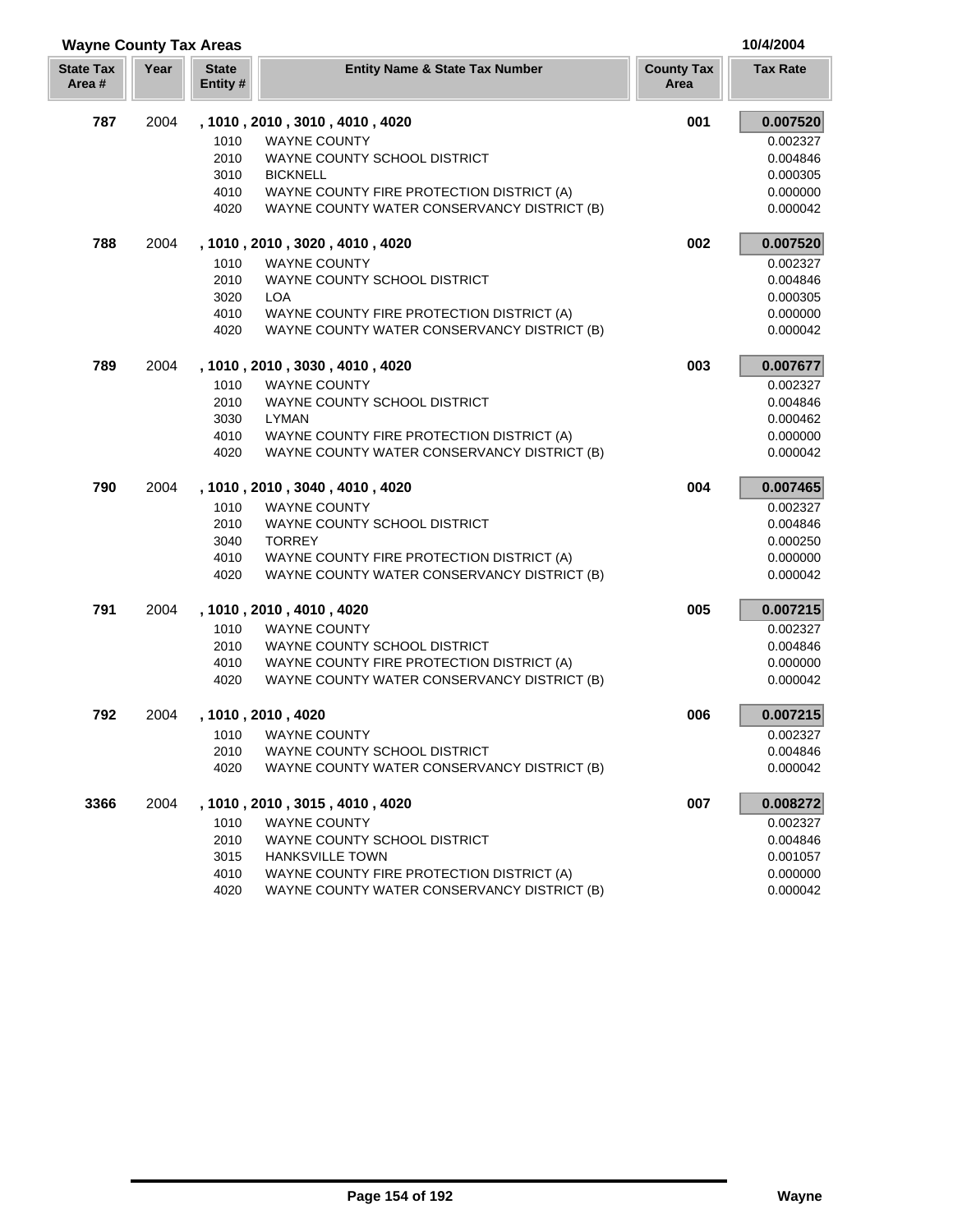| <b>Wayne County Tax Areas</b> |      | 10/4/2004                |                                             |                           |                 |
|-------------------------------|------|--------------------------|---------------------------------------------|---------------------------|-----------------|
| <b>State Tax</b><br>Area#     | Year | <b>State</b><br>Entity # | <b>Entity Name &amp; State Tax Number</b>   | <b>County Tax</b><br>Area | <b>Tax Rate</b> |
| 787                           | 2004 |                          | , 1010, 2010, 3010, 4010, 4020              | 001                       | 0.007520        |
|                               |      | 1010                     | <b>WAYNE COUNTY</b>                         |                           | 0.002327        |
|                               |      | 2010                     | WAYNE COUNTY SCHOOL DISTRICT                |                           | 0.004846        |
|                               |      | 3010                     | <b>BICKNELL</b>                             |                           | 0.000305        |
|                               |      | 4010                     | WAYNE COUNTY FIRE PROTECTION DISTRICT (A)   |                           | 0.000000        |
|                               |      | 4020                     | WAYNE COUNTY WATER CONSERVANCY DISTRICT (B) |                           | 0.000042        |
| 788                           | 2004 |                          | , 1010, 2010, 3020, 4010, 4020              | 002                       | 0.007520        |
|                               |      | 1010                     | <b>WAYNE COUNTY</b>                         |                           | 0.002327        |
|                               |      | 2010                     | WAYNE COUNTY SCHOOL DISTRICT                |                           | 0.004846        |
|                               |      | 3020                     | <b>LOA</b>                                  |                           | 0.000305        |
|                               |      | 4010                     | WAYNE COUNTY FIRE PROTECTION DISTRICT (A)   |                           | 0.000000        |
|                               |      | 4020                     | WAYNE COUNTY WATER CONSERVANCY DISTRICT (B) |                           | 0.000042        |
| 789                           | 2004 |                          | , 1010, 2010, 3030, 4010, 4020              | 003                       | 0.007677        |
|                               |      | 1010                     | <b>WAYNE COUNTY</b>                         |                           | 0.002327        |
|                               |      | 2010                     | WAYNE COUNTY SCHOOL DISTRICT                |                           | 0.004846        |
|                               |      | 3030                     | <b>LYMAN</b>                                |                           | 0.000462        |
|                               |      | 4010                     | WAYNE COUNTY FIRE PROTECTION DISTRICT (A)   |                           | 0.000000        |
|                               |      | 4020                     | WAYNE COUNTY WATER CONSERVANCY DISTRICT (B) |                           | 0.000042        |
| 790                           | 2004 |                          | , 1010, 2010, 3040, 4010, 4020              | 004                       | 0.007465        |
|                               |      | 1010                     | <b>WAYNE COUNTY</b>                         |                           | 0.002327        |
|                               |      | 2010                     | WAYNE COUNTY SCHOOL DISTRICT                |                           | 0.004846        |
|                               |      | 3040                     | <b>TORREY</b>                               |                           | 0.000250        |
|                               |      | 4010                     | WAYNE COUNTY FIRE PROTECTION DISTRICT (A)   |                           | 0.000000        |
|                               |      | 4020                     | WAYNE COUNTY WATER CONSERVANCY DISTRICT (B) |                           | 0.000042        |
| 791                           | 2004 |                          | , 1010, 2010, 4010, 4020                    | 005                       | 0.007215        |
|                               |      | 1010                     | <b>WAYNE COUNTY</b>                         |                           | 0.002327        |
|                               |      | 2010                     | WAYNE COUNTY SCHOOL DISTRICT                |                           | 0.004846        |
|                               |      | 4010                     | WAYNE COUNTY FIRE PROTECTION DISTRICT (A)   |                           | 0.000000        |
|                               |      | 4020                     | WAYNE COUNTY WATER CONSERVANCY DISTRICT (B) |                           | 0.000042        |
| 792                           | 2004 |                          | , 1010, 2010, 4020                          | 006                       | 0.007215        |
|                               |      | 1010                     | <b>WAYNE COUNTY</b>                         |                           | 0.002327        |
|                               |      | 2010                     | WAYNE COUNTY SCHOOL DISTRICT                |                           | 0.004846        |
|                               |      | 4020                     | WAYNE COUNTY WATER CONSERVANCY DISTRICT (B) |                           | 0.000042        |
| 3366                          | 2004 |                          | , 1010, 2010, 3015, 4010, 4020              | 007                       | 0.008272        |
|                               |      | 1010                     | <b>WAYNE COUNTY</b>                         |                           | 0.002327        |
|                               |      | 2010                     | WAYNE COUNTY SCHOOL DISTRICT                |                           | 0.004846        |
|                               |      | 3015                     | <b>HANKSVILLE TOWN</b>                      |                           | 0.001057        |
|                               |      | 4010                     | WAYNE COUNTY FIRE PROTECTION DISTRICT (A)   |                           | 0.000000        |
|                               |      | 4020                     | WAYNE COUNTY WATER CONSERVANCY DISTRICT (B) |                           | 0.000042        |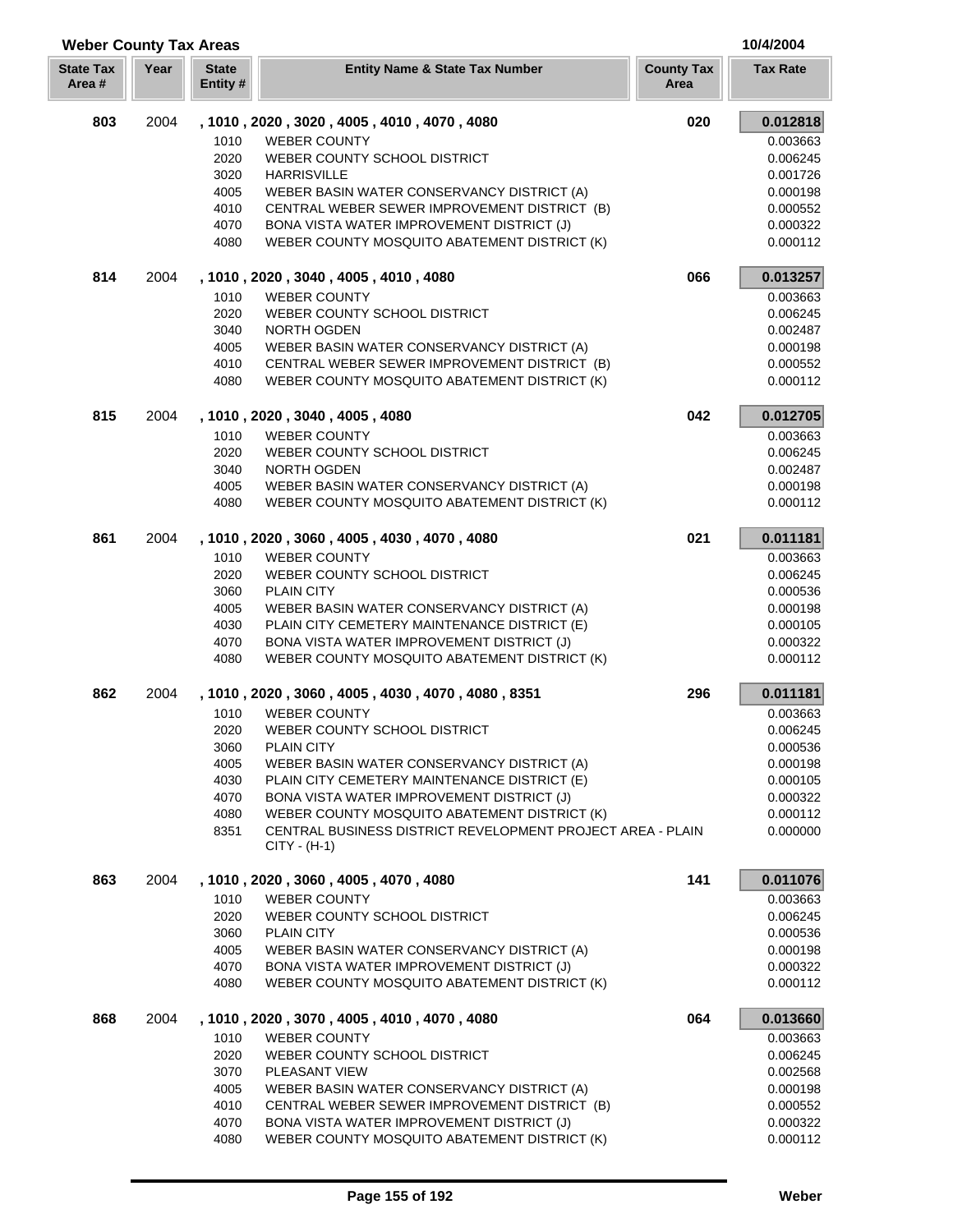| <b>Weber County Tax Areas</b> |      |                          | 10/4/2004                                                                                                  |                           |                      |
|-------------------------------|------|--------------------------|------------------------------------------------------------------------------------------------------------|---------------------------|----------------------|
| <b>State Tax</b><br>Area#     | Year | <b>State</b><br>Entity # | <b>Entity Name &amp; State Tax Number</b>                                                                  | <b>County Tax</b><br>Area | <b>Tax Rate</b>      |
| 803                           | 2004 |                          | , 1010, 2020, 3020, 4005, 4010, 4070, 4080                                                                 | 020                       | 0.012818             |
|                               |      | 1010                     | <b>WEBER COUNTY</b>                                                                                        |                           | 0.003663             |
|                               |      | 2020                     | WEBER COUNTY SCHOOL DISTRICT                                                                               |                           | 0.006245             |
|                               |      | 3020                     | <b>HARRISVILLE</b>                                                                                         |                           | 0.001726             |
|                               |      | 4005                     | WEBER BASIN WATER CONSERVANCY DISTRICT (A)                                                                 |                           | 0.000198             |
|                               |      | 4010                     | CENTRAL WEBER SEWER IMPROVEMENT DISTRICT (B)                                                               |                           | 0.000552             |
|                               |      | 4070                     | BONA VISTA WATER IMPROVEMENT DISTRICT (J)                                                                  |                           | 0.000322             |
|                               |      | 4080                     | WEBER COUNTY MOSQUITO ABATEMENT DISTRICT (K)                                                               |                           | 0.000112             |
| 814                           | 2004 |                          | , 1010, 2020, 3040, 4005, 4010, 4080                                                                       | 066                       | 0.013257             |
|                               |      | 1010                     | <b>WEBER COUNTY</b>                                                                                        |                           | 0.003663             |
|                               |      | 2020                     | WEBER COUNTY SCHOOL DISTRICT                                                                               |                           | 0.006245             |
|                               |      | 3040                     | NORTH OGDEN                                                                                                |                           | 0.002487             |
|                               |      | 4005                     | WEBER BASIN WATER CONSERVANCY DISTRICT (A)                                                                 |                           | 0.000198             |
|                               |      | 4010                     | CENTRAL WEBER SEWER IMPROVEMENT DISTRICT (B)                                                               |                           | 0.000552             |
|                               |      | 4080                     | WEBER COUNTY MOSQUITO ABATEMENT DISTRICT (K)                                                               |                           | 0.000112             |
| 815                           | 2004 |                          | , 1010, 2020, 3040, 4005, 4080                                                                             | 042                       | 0.012705             |
|                               |      | 1010                     | <b>WEBER COUNTY</b>                                                                                        |                           | 0.003663             |
|                               |      | 2020                     | WEBER COUNTY SCHOOL DISTRICT                                                                               |                           | 0.006245             |
|                               |      | 3040                     | NORTH OGDEN                                                                                                |                           | 0.002487             |
|                               |      | 4005                     | WEBER BASIN WATER CONSERVANCY DISTRICT (A)                                                                 |                           | 0.000198             |
|                               |      | 4080                     | WEBER COUNTY MOSQUITO ABATEMENT DISTRICT (K)                                                               |                           | 0.000112             |
| 861                           | 2004 |                          | , 1010, 2020, 3060, 4005, 4030, 4070, 4080                                                                 | 021                       | 0.011181             |
|                               |      | 1010                     | <b>WEBER COUNTY</b>                                                                                        |                           | 0.003663             |
|                               |      | 2020                     | WEBER COUNTY SCHOOL DISTRICT                                                                               |                           | 0.006245             |
|                               |      | 3060                     | <b>PLAIN CITY</b>                                                                                          |                           | 0.000536             |
|                               |      | 4005                     | WEBER BASIN WATER CONSERVANCY DISTRICT (A)                                                                 |                           | 0.000198             |
|                               |      | 4030                     | PLAIN CITY CEMETERY MAINTENANCE DISTRICT (E)                                                               |                           | 0.000105             |
|                               |      | 4070                     | BONA VISTA WATER IMPROVEMENT DISTRICT (J)                                                                  |                           | 0.000322             |
|                               |      | 4080                     | WEBER COUNTY MOSQUITO ABATEMENT DISTRICT (K)                                                               |                           | 0.000112             |
| 862                           | 2004 |                          | , 1010, 2020, 3060, 4005, 4030, 4070, 4080, 8351                                                           | 296                       | 0.011181             |
|                               |      | 1010                     | <b>WEBER COUNTY</b>                                                                                        |                           | 0.003663             |
|                               |      | 2020                     | WEBER COUNTY SCHOOL DISTRICT                                                                               |                           | 0.006245             |
|                               |      | 3060                     | <b>PLAIN CITY</b>                                                                                          |                           | 0.000536             |
|                               |      | 4005                     | WEBER BASIN WATER CONSERVANCY DISTRICT (A)                                                                 |                           | 0.000198             |
|                               |      | 4030                     | PLAIN CITY CEMETERY MAINTENANCE DISTRICT (E)                                                               |                           | 0.000105             |
|                               |      | 4070                     | BONA VISTA WATER IMPROVEMENT DISTRICT (J)                                                                  |                           | 0.000322             |
|                               |      | 4080                     | WEBER COUNTY MOSQUITO ABATEMENT DISTRICT (K)<br>CENTRAL BUSINESS DISTRICT REVELOPMENT PROJECT AREA - PLAIN |                           | 0.000112             |
|                               |      | 8351                     | $CITY - (H-1)$                                                                                             |                           | 0.000000             |
| 863                           | 2004 |                          | , 1010, 2020, 3060, 4005, 4070, 4080                                                                       | 141                       | 0.011076             |
|                               |      | 1010                     | <b>WEBER COUNTY</b>                                                                                        |                           | 0.003663             |
|                               |      | 2020                     | WEBER COUNTY SCHOOL DISTRICT                                                                               |                           | 0.006245             |
|                               |      | 3060                     | <b>PLAIN CITY</b>                                                                                          |                           | 0.000536             |
|                               |      | 4005                     | WEBER BASIN WATER CONSERVANCY DISTRICT (A)                                                                 |                           | 0.000198             |
|                               |      | 4070                     | BONA VISTA WATER IMPROVEMENT DISTRICT (J)                                                                  |                           | 0.000322             |
|                               |      | 4080                     | WEBER COUNTY MOSQUITO ABATEMENT DISTRICT (K)                                                               |                           | 0.000112             |
| 868                           | 2004 |                          | , 1010, 2020, 3070, 4005, 4010, 4070, 4080                                                                 | 064                       | 0.013660             |
|                               |      | 1010                     | <b>WEBER COUNTY</b>                                                                                        |                           | 0.003663             |
|                               |      | 2020                     | WEBER COUNTY SCHOOL DISTRICT                                                                               |                           | 0.006245             |
|                               |      | 3070                     | PLEASANT VIEW                                                                                              |                           | 0.002568             |
|                               |      | 4005<br>4010             | WEBER BASIN WATER CONSERVANCY DISTRICT (A)<br>CENTRAL WEBER SEWER IMPROVEMENT DISTRICT (B)                 |                           | 0.000198<br>0.000552 |
|                               |      | 4070                     | BONA VISTA WATER IMPROVEMENT DISTRICT (J)                                                                  |                           | 0.000322             |
|                               |      | 4080                     | WEBER COUNTY MOSQUITO ABATEMENT DISTRICT (K)                                                               |                           | 0.000112             |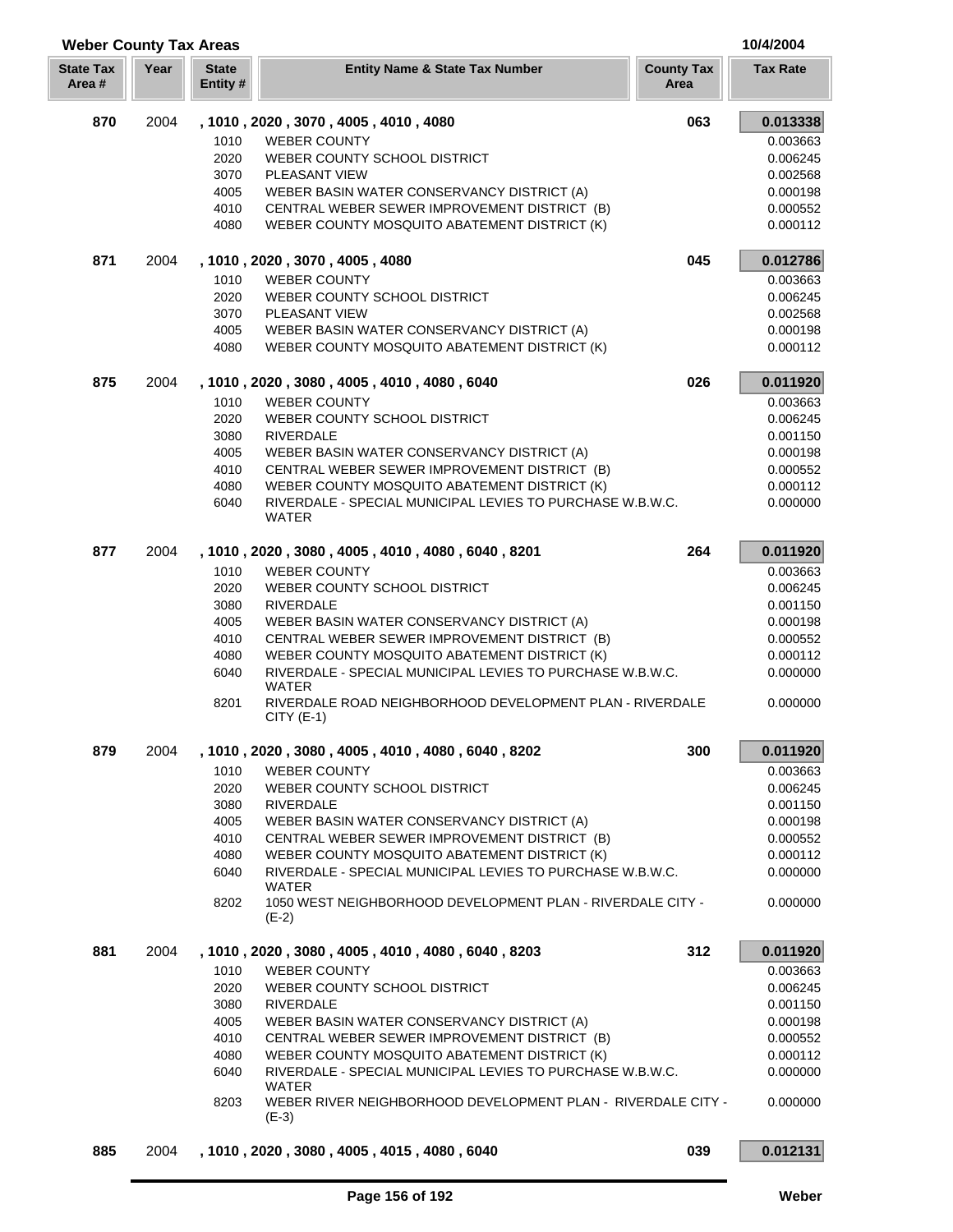| <b>Weber County Tax Areas</b> |      |                          |                                                                           |                           | 10/4/2004       |
|-------------------------------|------|--------------------------|---------------------------------------------------------------------------|---------------------------|-----------------|
| <b>State Tax</b><br>Area#     | Year | <b>State</b><br>Entity # | <b>Entity Name &amp; State Tax Number</b>                                 | <b>County Tax</b><br>Area | <b>Tax Rate</b> |
| 870                           | 2004 |                          | , 1010, 2020, 3070, 4005, 4010, 4080                                      | 063                       | 0.013338        |
|                               |      | 1010                     | <b>WEBER COUNTY</b>                                                       |                           | 0.003663        |
|                               |      | 2020                     | WEBER COUNTY SCHOOL DISTRICT                                              |                           | 0.006245        |
|                               |      | 3070                     | PLEASANT VIEW                                                             |                           | 0.002568        |
|                               |      | 4005                     | WEBER BASIN WATER CONSERVANCY DISTRICT (A)                                |                           | 0.000198        |
|                               |      | 4010                     | CENTRAL WEBER SEWER IMPROVEMENT DISTRICT (B)                              |                           | 0.000552        |
|                               |      | 4080                     | WEBER COUNTY MOSQUITO ABATEMENT DISTRICT (K)                              |                           | 0.000112        |
| 871                           | 2004 |                          | , 1010, 2020, 3070, 4005, 4080                                            | 045                       | 0.012786        |
|                               |      | 1010                     | <b>WEBER COUNTY</b>                                                       |                           | 0.003663        |
|                               |      | 2020                     | WEBER COUNTY SCHOOL DISTRICT                                              |                           | 0.006245        |
|                               |      | 3070                     | <b>PLEASANT VIEW</b>                                                      |                           | 0.002568        |
|                               |      | 4005                     | WEBER BASIN WATER CONSERVANCY DISTRICT (A)                                |                           | 0.000198        |
|                               |      | 4080                     | WEBER COUNTY MOSQUITO ABATEMENT DISTRICT (K)                              |                           | 0.000112        |
| 875                           | 2004 |                          | , 1010, 2020, 3080, 4005, 4010, 4080, 6040                                | 026                       | 0.011920        |
|                               |      | 1010                     | <b>WEBER COUNTY</b>                                                       |                           | 0.003663        |
|                               |      | 2020                     | WEBER COUNTY SCHOOL DISTRICT                                              |                           | 0.006245        |
|                               |      | 3080                     | <b>RIVERDALE</b>                                                          |                           | 0.001150        |
|                               |      | 4005                     | WEBER BASIN WATER CONSERVANCY DISTRICT (A)                                |                           | 0.000198        |
|                               |      | 4010                     | CENTRAL WEBER SEWER IMPROVEMENT DISTRICT (B)                              |                           | 0.000552        |
|                               |      | 4080                     | WEBER COUNTY MOSQUITO ABATEMENT DISTRICT (K)                              |                           | 0.000112        |
|                               |      | 6040                     | RIVERDALE - SPECIAL MUNICIPAL LEVIES TO PURCHASE W.B.W.C.<br><b>WATER</b> |                           | 0.000000        |
| 877                           | 2004 |                          | , 1010, 2020, 3080, 4005, 4010, 4080, 6040, 8201                          | 264                       | 0.011920        |
|                               |      | 1010                     | <b>WEBER COUNTY</b>                                                       |                           | 0.003663        |
|                               |      | 2020                     | WEBER COUNTY SCHOOL DISTRICT                                              |                           | 0.006245        |
|                               |      | 3080                     | <b>RIVERDALE</b>                                                          |                           | 0.001150        |
|                               |      | 4005                     | WEBER BASIN WATER CONSERVANCY DISTRICT (A)                                |                           | 0.000198        |
|                               |      | 4010                     | CENTRAL WEBER SEWER IMPROVEMENT DISTRICT (B)                              |                           | 0.000552        |
|                               |      | 4080                     | WEBER COUNTY MOSQUITO ABATEMENT DISTRICT (K)                              |                           | 0.000112        |
|                               |      | 6040                     | RIVERDALE - SPECIAL MUNICIPAL LEVIES TO PURCHASE W.B.W.C.                 |                           | 0.000000        |
|                               |      |                          | WATER                                                                     |                           |                 |
|                               |      | 8201                     | RIVERDALE ROAD NEIGHBORHOOD DEVELOPMENT PLAN - RIVERDALE<br>$CITY$ (E-1)  |                           | 0.000000        |
| 879                           | 2004 |                          | , 1010 , 2020 , 3080 , 4005 , 4010 , 4080 , 6040 , 8202                   | 300                       | 0.011920        |
|                               |      | 1010                     | <b>WEBER COUNTY</b>                                                       |                           | 0.003663        |
|                               |      | 2020                     | WEBER COUNTY SCHOOL DISTRICT                                              |                           | 0.006245        |
|                               |      | 3080                     | <b>RIVERDALE</b>                                                          |                           | 0.001150        |
|                               |      | 4005                     | WEBER BASIN WATER CONSERVANCY DISTRICT (A)                                |                           | 0.000198        |
|                               |      | 4010                     | CENTRAL WEBER SEWER IMPROVEMENT DISTRICT (B)                              |                           | 0.000552        |
|                               |      | 4080                     | WEBER COUNTY MOSQUITO ABATEMENT DISTRICT (K)                              |                           | 0.000112        |
|                               |      | 6040                     | RIVERDALE - SPECIAL MUNICIPAL LEVIES TO PURCHASE W.B.W.C.                 |                           | 0.000000        |
|                               |      |                          | <b>WATER</b>                                                              |                           |                 |
|                               |      | 8202                     | 1050 WEST NEIGHBORHOOD DEVELOPMENT PLAN - RIVERDALE CITY -<br>$(E-2)$     |                           | 0.000000        |
| 881                           | 2004 |                          | , 1010 , 2020 , 3080 , 4005 , 4010 , 4080 , 6040 , 8203                   | 312                       | 0.011920        |
|                               |      | 1010                     | <b>WEBER COUNTY</b>                                                       |                           | 0.003663        |
|                               |      | 2020                     | WEBER COUNTY SCHOOL DISTRICT                                              |                           | 0.006245        |
|                               |      | 3080                     | <b>RIVERDALE</b>                                                          |                           | 0.001150        |
|                               |      | 4005                     | WEBER BASIN WATER CONSERVANCY DISTRICT (A)                                |                           | 0.000198        |
|                               |      | 4010                     | CENTRAL WEBER SEWER IMPROVEMENT DISTRICT (B)                              |                           | 0.000552        |
|                               |      | 4080                     | WEBER COUNTY MOSQUITO ABATEMENT DISTRICT (K)                              |                           | 0.000112        |
|                               |      | 6040                     | RIVERDALE - SPECIAL MUNICIPAL LEVIES TO PURCHASE W.B.W.C.                 |                           | 0.000000        |
|                               |      | 8203                     | WATER<br>WEBER RIVER NEIGHBORHOOD DEVELOPMENT PLAN - RIVERDALE CITY -     |                           | 0.000000        |
|                               |      |                          | $(E-3)$                                                                   |                           |                 |
| 885                           | 2004 |                          | , 1010, 2020, 3080, 4005, 4015, 4080, 6040                                | 039                       | 0.012131        |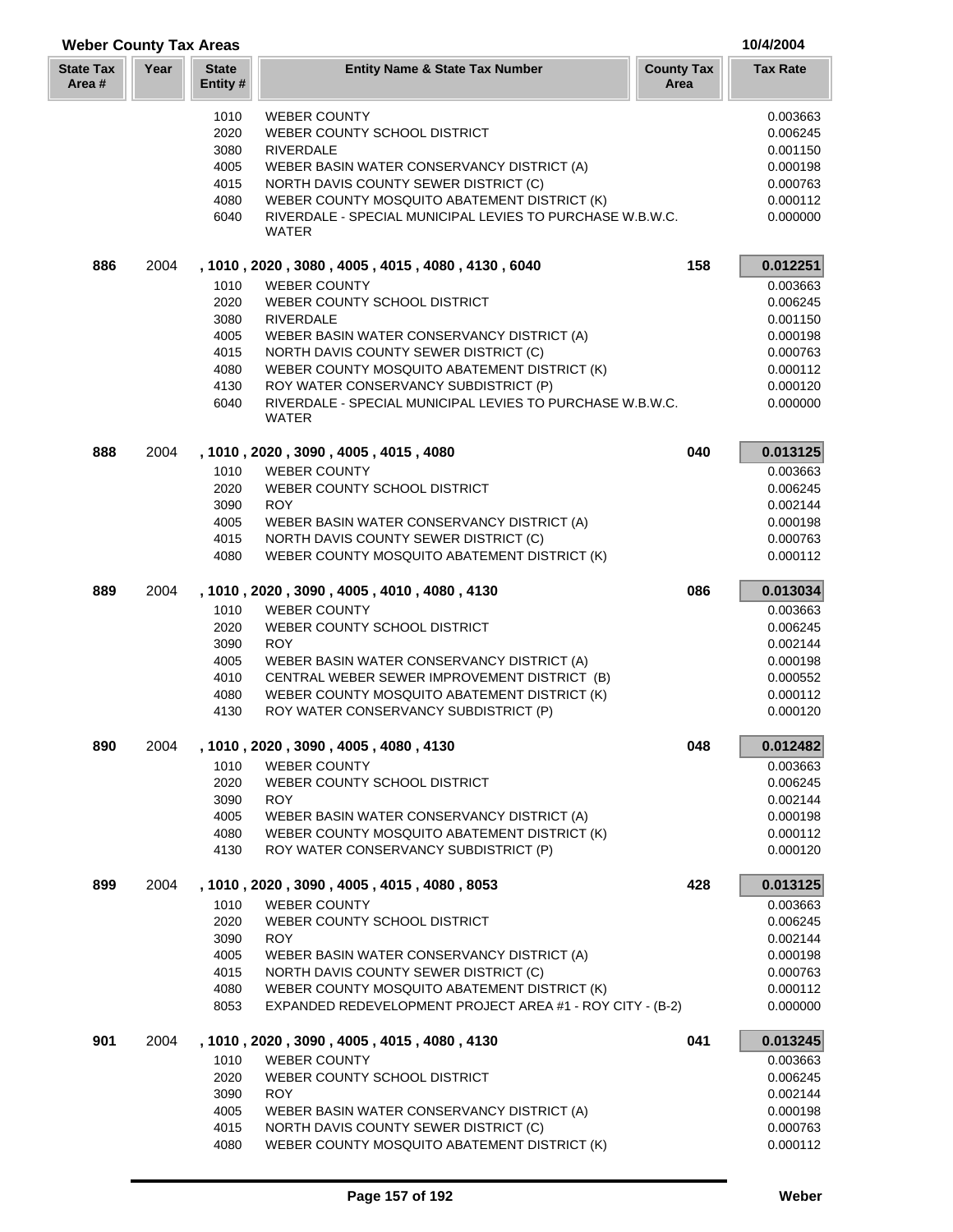| <b>Weber County Tax Areas</b> |      |                          |                                                                                                           |                           | 10/4/2004            |
|-------------------------------|------|--------------------------|-----------------------------------------------------------------------------------------------------------|---------------------------|----------------------|
| <b>State Tax</b><br>Area #    | Year | <b>State</b><br>Entity # | <b>Entity Name &amp; State Tax Number</b>                                                                 | <b>County Tax</b><br>Area | <b>Tax Rate</b>      |
|                               |      | 1010                     | <b>WEBER COUNTY</b>                                                                                       |                           | 0.003663             |
|                               |      | 2020                     | WEBER COUNTY SCHOOL DISTRICT                                                                              |                           | 0.006245             |
|                               |      | 3080                     | <b>RIVERDALE</b>                                                                                          |                           | 0.001150             |
|                               |      | 4005                     | WEBER BASIN WATER CONSERVANCY DISTRICT (A)                                                                |                           | 0.000198             |
|                               |      | 4015                     | NORTH DAVIS COUNTY SEWER DISTRICT (C)                                                                     |                           | 0.000763             |
|                               |      | 4080                     | WEBER COUNTY MOSQUITO ABATEMENT DISTRICT (K)                                                              |                           | 0.000112             |
|                               |      | 6040                     | RIVERDALE - SPECIAL MUNICIPAL LEVIES TO PURCHASE W.B.W.C.<br>WATER                                        |                           | 0.000000             |
| 886                           | 2004 |                          | , 1010, 2020, 3080, 4005, 4015, 4080, 4130, 6040                                                          | 158                       | 0.012251             |
|                               |      | 1010                     | <b>WEBER COUNTY</b>                                                                                       |                           | 0.003663             |
|                               |      | 2020                     | WEBER COUNTY SCHOOL DISTRICT                                                                              |                           | 0.006245             |
|                               |      | 3080                     | <b>RIVERDALE</b>                                                                                          |                           | 0.001150             |
|                               |      | 4005                     | WEBER BASIN WATER CONSERVANCY DISTRICT (A)                                                                |                           | 0.000198             |
|                               |      | 4015                     | NORTH DAVIS COUNTY SEWER DISTRICT (C)                                                                     |                           | 0.000763             |
|                               |      | 4080                     | WEBER COUNTY MOSQUITO ABATEMENT DISTRICT (K)                                                              |                           | 0.000112             |
|                               |      | 4130                     | ROY WATER CONSERVANCY SUBDISTRICT (P)                                                                     |                           | 0.000120             |
|                               |      | 6040                     | RIVERDALE - SPECIAL MUNICIPAL LEVIES TO PURCHASE W.B.W.C.<br><b>WATER</b>                                 |                           | 0.000000             |
| 888                           | 2004 |                          | , 1010 , 2020 , 3090 , 4005 , 4015 , 4080                                                                 | 040                       | 0.013125             |
|                               |      | 1010                     | <b>WEBER COUNTY</b>                                                                                       |                           | 0.003663             |
|                               |      | 2020                     | WEBER COUNTY SCHOOL DISTRICT                                                                              |                           | 0.006245             |
|                               |      | 3090                     | <b>ROY</b>                                                                                                |                           | 0.002144             |
|                               |      | 4005                     | WEBER BASIN WATER CONSERVANCY DISTRICT (A)                                                                |                           | 0.000198             |
|                               |      | 4015                     | NORTH DAVIS COUNTY SEWER DISTRICT (C)                                                                     |                           | 0.000763             |
|                               |      | 4080                     | WEBER COUNTY MOSQUITO ABATEMENT DISTRICT (K)                                                              |                           | 0.000112             |
| 889                           | 2004 |                          | , 1010, 2020, 3090, 4005, 4010, 4080, 4130                                                                | 086                       | 0.013034             |
|                               |      | 1010                     | <b>WEBER COUNTY</b>                                                                                       |                           | 0.003663             |
|                               |      | 2020                     | WEBER COUNTY SCHOOL DISTRICT                                                                              |                           | 0.006245             |
|                               |      | 3090                     | <b>ROY</b>                                                                                                |                           | 0.002144             |
|                               |      | 4005                     | WEBER BASIN WATER CONSERVANCY DISTRICT (A)                                                                |                           | 0.000198             |
|                               |      | 4010                     | CENTRAL WEBER SEWER IMPROVEMENT DISTRICT (B)                                                              |                           | 0.000552             |
|                               |      | 4080                     | WEBER COUNTY MOSQUITO ABATEMENT DISTRICT (K)                                                              |                           | 0.000112             |
|                               |      | 4130                     | ROY WATER CONSERVANCY SUBDISTRICT (P)                                                                     |                           | 0.000120             |
| 890                           | 2004 |                          | , 1010, 2020, 3090, 4005, 4080, 4130                                                                      | 048                       | 0.012482             |
|                               |      | 1010<br>2020             | <b>WEBER COUNTY</b><br>WEBER COUNTY SCHOOL DISTRICT                                                       |                           | 0.003663<br>0.006245 |
|                               |      | 3090                     | <b>ROY</b>                                                                                                |                           | 0.002144             |
|                               |      | 4005                     | WEBER BASIN WATER CONSERVANCY DISTRICT (A)                                                                |                           | 0.000198             |
|                               |      | 4080                     | WEBER COUNTY MOSQUITO ABATEMENT DISTRICT (K)                                                              |                           | 0.000112             |
|                               |      | 4130                     | ROY WATER CONSERVANCY SUBDISTRICT (P)                                                                     |                           | 0.000120             |
| 899                           | 2004 |                          | , 1010 , 2020 , 3090 , 4005 , 4015 , 4080 , 8053                                                          | 428                       | 0.013125             |
|                               |      | 1010                     | <b>WEBER COUNTY</b>                                                                                       |                           | 0.003663             |
|                               |      | 2020                     | WEBER COUNTY SCHOOL DISTRICT                                                                              |                           | 0.006245             |
|                               |      | 3090                     | <b>ROY</b>                                                                                                |                           | 0.002144             |
|                               |      | 4005                     | WEBER BASIN WATER CONSERVANCY DISTRICT (A)                                                                |                           | 0.000198             |
|                               |      | 4015                     | NORTH DAVIS COUNTY SEWER DISTRICT (C)                                                                     |                           | 0.000763             |
|                               |      | 4080<br>8053             | WEBER COUNTY MOSQUITO ABATEMENT DISTRICT (K)<br>EXPANDED REDEVELOPMENT PROJECT AREA #1 - ROY CITY - (B-2) |                           | 0.000112<br>0.000000 |
| 901                           | 2004 |                          | , 1010 , 2020 , 3090 , 4005 , 4015 , 4080 , 4130                                                          | 041                       | 0.013245             |
|                               |      | 1010                     | <b>WEBER COUNTY</b>                                                                                       |                           | 0.003663             |
|                               |      | 2020                     | WEBER COUNTY SCHOOL DISTRICT                                                                              |                           | 0.006245             |
|                               |      | 3090                     | <b>ROY</b>                                                                                                |                           | 0.002144             |
|                               |      | 4005                     | WEBER BASIN WATER CONSERVANCY DISTRICT (A)                                                                |                           | 0.000198             |
|                               |      | 4015                     | NORTH DAVIS COUNTY SEWER DISTRICT (C)                                                                     |                           | 0.000763             |
|                               |      | 4080                     | WEBER COUNTY MOSQUITO ABATEMENT DISTRICT (K)                                                              |                           | 0.000112             |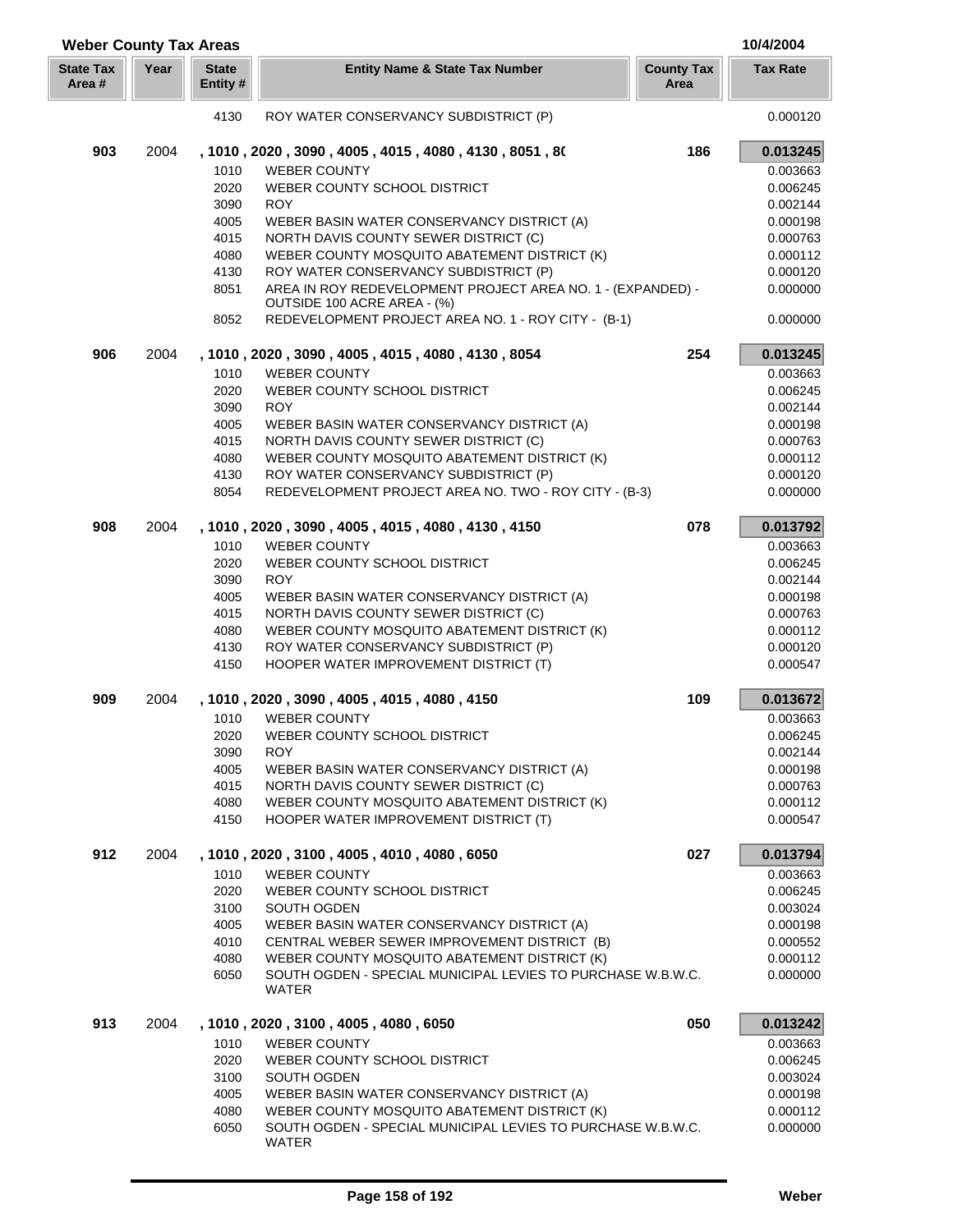| <b>Weber County Tax Areas</b> |      |                          |                                                                                                |                           | 10/4/2004            |
|-------------------------------|------|--------------------------|------------------------------------------------------------------------------------------------|---------------------------|----------------------|
| <b>State Tax</b><br>Area #    | Year | <b>State</b><br>Entity # | <b>Entity Name &amp; State Tax Number</b>                                                      | <b>County Tax</b><br>Area | <b>Tax Rate</b>      |
|                               |      | 4130                     | ROY WATER CONSERVANCY SUBDISTRICT (P)                                                          |                           | 0.000120             |
| 903                           | 2004 |                          | , 1010 , 2020 , 3090 , 4005 , 4015 , 4080 , 4130 , 8051 , 80                                   | 186                       | 0.013245             |
|                               |      | 1010                     | <b>WEBER COUNTY</b>                                                                            |                           | 0.003663             |
|                               |      | 2020                     | WEBER COUNTY SCHOOL DISTRICT                                                                   |                           | 0.006245             |
|                               |      | 3090                     | <b>ROY</b>                                                                                     |                           | 0.002144             |
|                               |      | 4005                     | WEBER BASIN WATER CONSERVANCY DISTRICT (A)                                                     |                           | 0.000198             |
|                               |      | 4015                     | NORTH DAVIS COUNTY SEWER DISTRICT (C)                                                          |                           | 0.000763             |
|                               |      | 4080                     | WEBER COUNTY MOSQUITO ABATEMENT DISTRICT (K)                                                   |                           | 0.000112             |
|                               |      | 4130                     | ROY WATER CONSERVANCY SUBDISTRICT (P)                                                          |                           | 0.000120             |
|                               |      | 8051                     | AREA IN ROY REDEVELOPMENT PROJECT AREA NO. 1 - (EXPANDED) -<br>OUTSIDE 100 ACRE AREA - (%)     |                           | 0.000000             |
|                               |      | 8052                     | REDEVELOPMENT PROJECT AREA NO. 1 - ROY CITY - (B-1)                                            |                           | 0.000000             |
| 906                           | 2004 |                          | , 1010, 2020, 3090, 4005, 4015, 4080, 4130, 8054                                               | 254                       | 0.013245             |
|                               |      | 1010                     | <b>WEBER COUNTY</b>                                                                            |                           | 0.003663             |
|                               |      | 2020                     | WEBER COUNTY SCHOOL DISTRICT                                                                   |                           | 0.006245             |
|                               |      | 3090                     | <b>ROY</b>                                                                                     |                           | 0.002144             |
|                               |      | 4005                     | WEBER BASIN WATER CONSERVANCY DISTRICT (A)                                                     |                           | 0.000198             |
|                               |      | 4015                     | NORTH DAVIS COUNTY SEWER DISTRICT (C)                                                          |                           | 0.000763             |
|                               |      | 4080                     | WEBER COUNTY MOSQUITO ABATEMENT DISTRICT (K)                                                   |                           | 0.000112             |
|                               |      | 4130<br>8054             | ROY WATER CONSERVANCY SUBDISTRICT (P)<br>REDEVELOPMENT PROJECT AREA NO. TWO - ROY CITY - (B-3) |                           | 0.000120<br>0.000000 |
|                               |      |                          |                                                                                                |                           |                      |
| 908                           | 2004 |                          | , 1010, 2020, 3090, 4005, 4015, 4080, 4130, 4150                                               | 078                       | 0.013792             |
|                               |      | 1010<br>2020             | <b>WEBER COUNTY</b><br>WEBER COUNTY SCHOOL DISTRICT                                            |                           | 0.003663<br>0.006245 |
|                               |      | 3090                     | <b>ROY</b>                                                                                     |                           | 0.002144             |
|                               |      | 4005                     | WEBER BASIN WATER CONSERVANCY DISTRICT (A)                                                     |                           | 0.000198             |
|                               |      | 4015                     | NORTH DAVIS COUNTY SEWER DISTRICT (C)                                                          |                           | 0.000763             |
|                               |      | 4080                     | WEBER COUNTY MOSQUITO ABATEMENT DISTRICT (K)                                                   |                           | 0.000112             |
|                               |      | 4130                     | ROY WATER CONSERVANCY SUBDISTRICT (P)                                                          |                           | 0.000120             |
|                               |      | 4150                     | HOOPER WATER IMPROVEMENT DISTRICT (T)                                                          |                           | 0.000547             |
| 909                           | 2004 |                          | , 1010, 2020, 3090, 4005, 4015, 4080, 4150                                                     | 109                       | 0.013672             |
|                               |      | 1010                     | <b>WEBER COUNTY</b>                                                                            |                           | 0.003663             |
|                               |      |                          | 2020 WEBER COUNTY SCHOOL DISTRICT                                                              |                           | 0.006245             |
|                               |      | 3090                     | <b>ROY</b>                                                                                     |                           | 0.002144             |
|                               |      | 4005                     | WEBER BASIN WATER CONSERVANCY DISTRICT (A)                                                     |                           | 0.000198             |
|                               |      | 4015                     | NORTH DAVIS COUNTY SEWER DISTRICT (C)                                                          |                           | 0.000763             |
|                               |      | 4080                     | WEBER COUNTY MOSQUITO ABATEMENT DISTRICT (K)                                                   |                           | 0.000112             |
|                               |      | 4150                     | HOOPER WATER IMPROVEMENT DISTRICT (T)                                                          |                           | 0.000547             |
| 912                           | 2004 |                          | , 1010, 2020, 3100, 4005, 4010, 4080, 6050                                                     | 027                       | 0.013794             |
|                               |      | 1010                     | <b>WEBER COUNTY</b>                                                                            |                           | 0.003663             |
|                               |      | 2020<br>3100             | WEBER COUNTY SCHOOL DISTRICT<br>SOUTH OGDEN                                                    |                           | 0.006245<br>0.003024 |
|                               |      | 4005                     | WEBER BASIN WATER CONSERVANCY DISTRICT (A)                                                     |                           | 0.000198             |
|                               |      | 4010                     | CENTRAL WEBER SEWER IMPROVEMENT DISTRICT (B)                                                   |                           | 0.000552             |
|                               |      | 4080                     | WEBER COUNTY MOSQUITO ABATEMENT DISTRICT (K)                                                   |                           | 0.000112             |
|                               |      | 6050                     | SOUTH OGDEN - SPECIAL MUNICIPAL LEVIES TO PURCHASE W.B.W.C.                                    |                           | 0.000000             |
|                               |      |                          | WATER                                                                                          |                           |                      |
| 913                           | 2004 |                          | , 1010, 2020, 3100, 4005, 4080, 6050                                                           | 050                       | 0.013242             |
|                               |      | 1010                     | <b>WEBER COUNTY</b>                                                                            |                           | 0.003663             |
|                               |      | 2020                     | WEBER COUNTY SCHOOL DISTRICT                                                                   |                           | 0.006245             |
|                               |      | 3100                     | SOUTH OGDEN                                                                                    |                           | 0.003024             |
|                               |      | 4005                     | WEBER BASIN WATER CONSERVANCY DISTRICT (A)                                                     |                           | 0.000198             |
|                               |      | 4080                     | WEBER COUNTY MOSQUITO ABATEMENT DISTRICT (K)                                                   |                           | 0.000112             |
|                               |      | 6050                     | SOUTH OGDEN - SPECIAL MUNICIPAL LEVIES TO PURCHASE W.B.W.C.<br>WATER                           |                           | 0.000000             |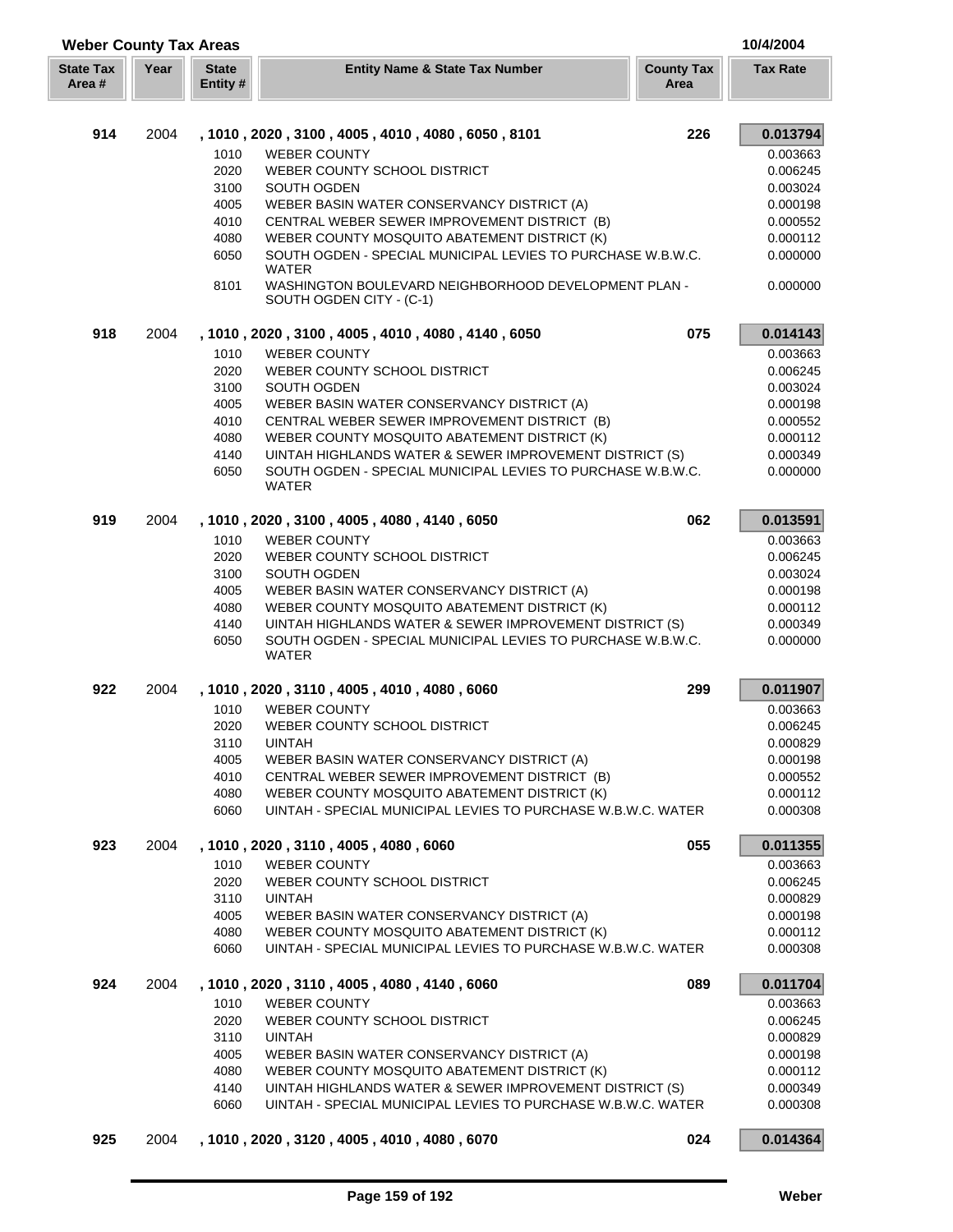| <b>Weber County Tax Areas</b> |      |                          |                                                                                                                                        |                           | 10/4/2004            |
|-------------------------------|------|--------------------------|----------------------------------------------------------------------------------------------------------------------------------------|---------------------------|----------------------|
| <b>State Tax</b><br>Area #    | Year | <b>State</b><br>Entity # | <b>Entity Name &amp; State Tax Number</b>                                                                                              | <b>County Tax</b><br>Area | <b>Tax Rate</b>      |
| 914                           | 2004 |                          | , 1010, 2020, 3100, 4005, 4010, 4080, 6050, 8101                                                                                       | 226                       | 0.013794             |
|                               |      | 1010                     | <b>WEBER COUNTY</b>                                                                                                                    |                           | 0.003663             |
|                               |      | 2020                     | WEBER COUNTY SCHOOL DISTRICT                                                                                                           |                           | 0.006245             |
|                               |      | 3100                     | SOUTH OGDEN                                                                                                                            |                           | 0.003024             |
|                               |      | 4005                     | WEBER BASIN WATER CONSERVANCY DISTRICT (A)                                                                                             |                           | 0.000198             |
|                               |      | 4010                     | CENTRAL WEBER SEWER IMPROVEMENT DISTRICT (B)                                                                                           |                           | 0.000552             |
|                               |      | 4080                     | WEBER COUNTY MOSQUITO ABATEMENT DISTRICT (K)                                                                                           |                           | 0.000112             |
|                               |      | 6050                     | SOUTH OGDEN - SPECIAL MUNICIPAL LEVIES TO PURCHASE W.B.W.C.                                                                            |                           | 0.000000             |
|                               |      | 8101                     | <b>WATER</b><br>WASHINGTON BOULEVARD NEIGHBORHOOD DEVELOPMENT PLAN -<br>SOUTH OGDEN CITY - (C-1)                                       |                           | 0.000000             |
| 918                           | 2004 |                          | , 1010, 2020, 3100, 4005, 4010, 4080, 4140, 6050                                                                                       | 075                       | 0.014143             |
|                               |      | 1010                     | <b>WEBER COUNTY</b>                                                                                                                    |                           | 0.003663             |
|                               |      | 2020                     | WEBER COUNTY SCHOOL DISTRICT                                                                                                           |                           | 0.006245             |
|                               |      | 3100                     | SOUTH OGDEN                                                                                                                            |                           | 0.003024             |
|                               |      | 4005                     | WEBER BASIN WATER CONSERVANCY DISTRICT (A)                                                                                             |                           | 0.000198             |
|                               |      | 4010                     | CENTRAL WEBER SEWER IMPROVEMENT DISTRICT (B)                                                                                           |                           | 0.000552             |
|                               |      | 4080                     | WEBER COUNTY MOSQUITO ABATEMENT DISTRICT (K)                                                                                           |                           | 0.000112             |
|                               |      | 4140                     | UINTAH HIGHLANDS WATER & SEWER IMPROVEMENT DISTRICT (S)                                                                                |                           | 0.000349             |
|                               |      | 6050                     | SOUTH OGDEN - SPECIAL MUNICIPAL LEVIES TO PURCHASE W.B.W.C.<br><b>WATER</b>                                                            |                           | 0.000000             |
| 919                           | 2004 |                          | , 1010, 2020, 3100, 4005, 4080, 4140, 6050                                                                                             | 062                       | 0.013591             |
|                               |      | 1010                     | <b>WEBER COUNTY</b>                                                                                                                    |                           | 0.003663             |
|                               |      | 2020                     | WEBER COUNTY SCHOOL DISTRICT                                                                                                           |                           | 0.006245             |
|                               |      | 3100                     | SOUTH OGDEN                                                                                                                            |                           | 0.003024             |
|                               |      | 4005                     | WEBER BASIN WATER CONSERVANCY DISTRICT (A)                                                                                             |                           | 0.000198             |
|                               |      | 4080                     | WEBER COUNTY MOSQUITO ABATEMENT DISTRICT (K)                                                                                           |                           | 0.000112             |
|                               |      | 4140<br>6050             | UINTAH HIGHLANDS WATER & SEWER IMPROVEMENT DISTRICT (S)<br>SOUTH OGDEN - SPECIAL MUNICIPAL LEVIES TO PURCHASE W.B.W.C.<br><b>WATER</b> |                           | 0.000349<br>0.000000 |
| 922                           | 2004 |                          | , 1010, 2020, 3110, 4005, 4010, 4080, 6060                                                                                             | 299                       | 0.011907             |
|                               |      | 1010                     | <b>WEBER COUNTY</b>                                                                                                                    |                           | 0.003663             |
|                               |      | 2020                     | WEBER COUNTY SCHOOL DISTRICT                                                                                                           |                           | 0.006245             |
|                               |      | 3110                     | <b>UINTAH</b>                                                                                                                          |                           | 0.000829             |
|                               |      | 4005                     | WEBER BASIN WATER CONSERVANCY DISTRICT (A)                                                                                             |                           | 0.000198             |
|                               |      | 4010                     | CENTRAL WEBER SEWER IMPROVEMENT DISTRICT (B)                                                                                           |                           | 0.000552             |
|                               |      | 4080<br>6060             | WEBER COUNTY MOSQUITO ABATEMENT DISTRICT (K)<br>UINTAH - SPECIAL MUNICIPAL LEVIES TO PURCHASE W.B.W.C. WATER                           |                           | 0.000112<br>0.000308 |
| 923                           | 2004 |                          | , 1010, 2020, 3110, 4005, 4080, 6060                                                                                                   | 055                       | 0.011355             |
|                               |      | 1010                     | <b>WEBER COUNTY</b>                                                                                                                    |                           | 0.003663             |
|                               |      | 2020                     | WEBER COUNTY SCHOOL DISTRICT                                                                                                           |                           | 0.006245             |
|                               |      | 3110                     | <b>UINTAH</b>                                                                                                                          |                           | 0.000829             |
|                               |      | 4005                     | WEBER BASIN WATER CONSERVANCY DISTRICT (A)                                                                                             |                           | 0.000198             |
|                               |      | 4080<br>6060             | WEBER COUNTY MOSQUITO ABATEMENT DISTRICT (K)<br>UINTAH - SPECIAL MUNICIPAL LEVIES TO PURCHASE W.B.W.C. WATER                           |                           | 0.000112<br>0.000308 |
| 924                           | 2004 |                          | , 1010, 2020, 3110, 4005, 4080, 4140, 6060                                                                                             | 089                       | 0.011704             |
|                               |      | 1010                     | <b>WEBER COUNTY</b>                                                                                                                    |                           | 0.003663             |
|                               |      | 2020                     | WEBER COUNTY SCHOOL DISTRICT                                                                                                           |                           | 0.006245             |
|                               |      | 3110                     | <b>UINTAH</b>                                                                                                                          |                           | 0.000829             |
|                               |      | 4005                     | WEBER BASIN WATER CONSERVANCY DISTRICT (A)                                                                                             |                           | 0.000198             |
|                               |      | 4080                     | WEBER COUNTY MOSQUITO ABATEMENT DISTRICT (K)                                                                                           |                           | 0.000112             |
|                               |      | 4140<br>6060             | UINTAH HIGHLANDS WATER & SEWER IMPROVEMENT DISTRICT (S)<br>UINTAH - SPECIAL MUNICIPAL LEVIES TO PURCHASE W.B.W.C. WATER                |                           | 0.000349<br>0.000308 |
| 925                           | 2004 |                          | , 1010, 2020, 3120, 4005, 4010, 4080, 6070                                                                                             | 024                       | 0.014364             |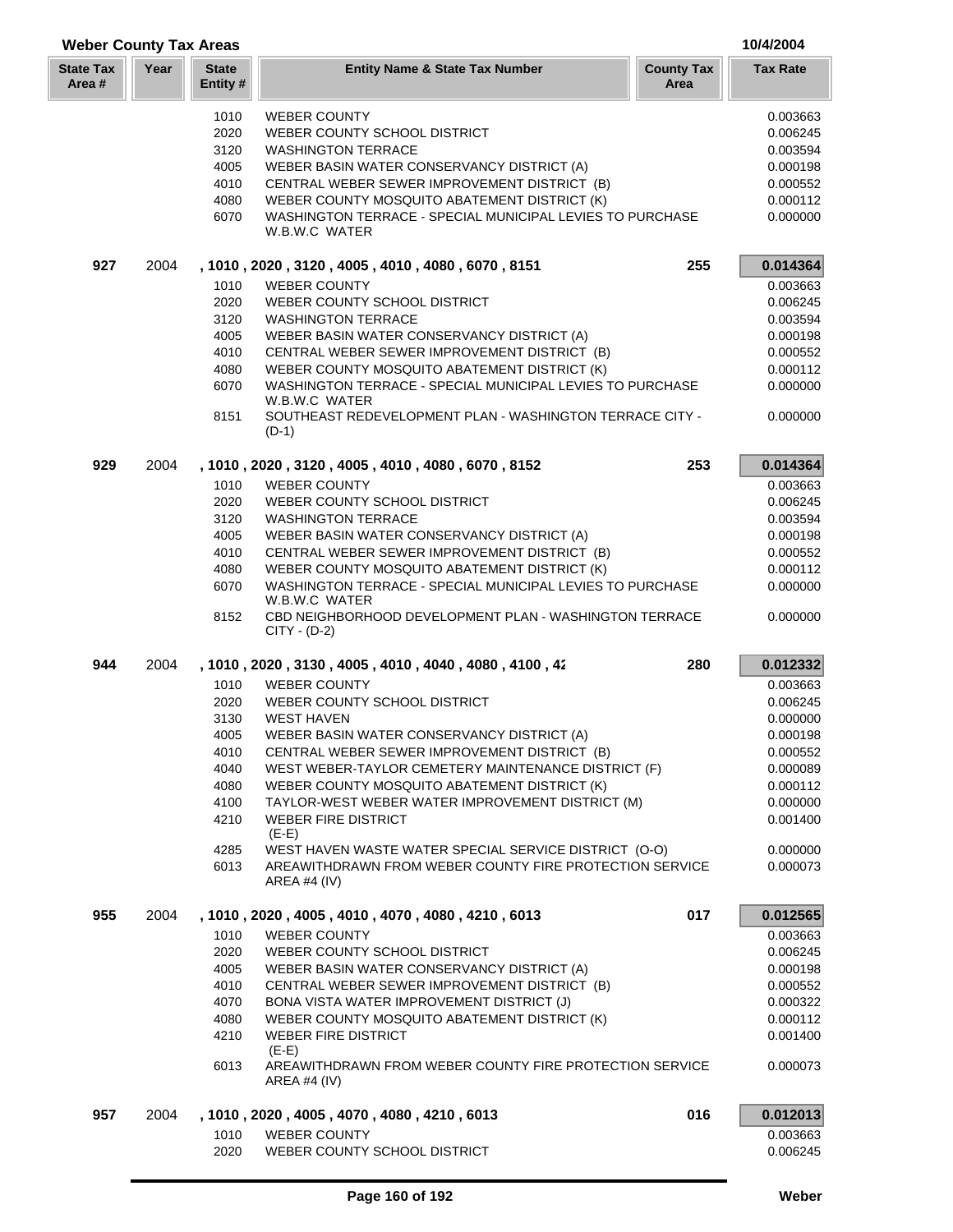| <b>Weber County Tax Areas</b> |      |                          |                                                                                    | 10/4/2004                 |                 |
|-------------------------------|------|--------------------------|------------------------------------------------------------------------------------|---------------------------|-----------------|
| <b>State Tax</b><br>Area #    | Year | <b>State</b><br>Entity # | <b>Entity Name &amp; State Tax Number</b>                                          | <b>County Tax</b><br>Area | <b>Tax Rate</b> |
|                               |      | 1010                     | <b>WEBER COUNTY</b>                                                                |                           | 0.003663        |
|                               |      | 2020                     | WEBER COUNTY SCHOOL DISTRICT                                                       |                           | 0.006245        |
|                               |      | 3120                     | <b>WASHINGTON TERRACE</b>                                                          |                           | 0.003594        |
|                               |      | 4005                     | WEBER BASIN WATER CONSERVANCY DISTRICT (A)                                         |                           | 0.000198        |
|                               |      | 4010                     | CENTRAL WEBER SEWER IMPROVEMENT DISTRICT (B)                                       |                           | 0.000552        |
|                               |      | 4080                     | WEBER COUNTY MOSQUITO ABATEMENT DISTRICT (K)                                       |                           | 0.000112        |
|                               |      | 6070                     | WASHINGTON TERRACE - SPECIAL MUNICIPAL LEVIES TO PURCHASE<br>W.B.W.C WATER         |                           | 0.000000        |
| 927                           | 2004 |                          | , 1010, 2020, 3120, 4005, 4010, 4080, 6070, 8151                                   | 255                       | 0.014364        |
|                               |      | 1010                     | <b>WEBER COUNTY</b>                                                                |                           | 0.003663        |
|                               |      | 2020                     | WEBER COUNTY SCHOOL DISTRICT                                                       |                           | 0.006245        |
|                               |      | 3120                     | <b>WASHINGTON TERRACE</b>                                                          |                           | 0.003594        |
|                               |      | 4005                     | WEBER BASIN WATER CONSERVANCY DISTRICT (A)                                         |                           | 0.000198        |
|                               |      | 4010                     | CENTRAL WEBER SEWER IMPROVEMENT DISTRICT (B)                                       |                           | 0.000552        |
|                               |      | 4080                     | WEBER COUNTY MOSQUITO ABATEMENT DISTRICT (K)                                       |                           | 0.000112        |
|                               |      | 6070                     | WASHINGTON TERRACE - SPECIAL MUNICIPAL LEVIES TO PURCHASE<br>W.B.W.C WATER         |                           | 0.000000        |
|                               |      | 8151                     | SOUTHEAST REDEVELOPMENT PLAN - WASHINGTON TERRACE CITY -<br>$(D-1)$                |                           | 0.000000        |
| 929                           | 2004 |                          | , 1010, 2020, 3120, 4005, 4010, 4080, 6070, 8152                                   | 253                       | 0.014364        |
|                               |      | 1010                     | <b>WEBER COUNTY</b>                                                                |                           | 0.003663        |
|                               |      | 2020                     | WEBER COUNTY SCHOOL DISTRICT                                                       |                           | 0.006245        |
|                               |      | 3120                     | <b>WASHINGTON TERRACE</b>                                                          |                           | 0.003594        |
|                               |      | 4005                     | WEBER BASIN WATER CONSERVANCY DISTRICT (A)                                         |                           | 0.000198        |
|                               |      | 4010                     | CENTRAL WEBER SEWER IMPROVEMENT DISTRICT (B)                                       |                           | 0.000552        |
|                               |      | 4080                     | WEBER COUNTY MOSQUITO ABATEMENT DISTRICT (K)                                       |                           | 0.000112        |
|                               |      | 6070                     | WASHINGTON TERRACE - SPECIAL MUNICIPAL LEVIES TO PURCHASE<br>W.B.W.C WATER         |                           | 0.000000        |
|                               |      | 8152                     | CBD NEIGHBORHOOD DEVELOPMENT PLAN - WASHINGTON TERRACE<br>$CITY - (D-2)$           |                           | 0.000000        |
| 944                           | 2004 |                          | , 1010, 2020, 3130, 4005, 4010, 4040, 4080, 4100, 42                               | 280                       | 0.012332        |
|                               |      | 1010                     | <b>WEBER COUNTY</b>                                                                |                           | 0.003663        |
|                               |      | 2020                     | WEBER COUNTY SCHOOL DISTRICT                                                       |                           | 0.006245        |
|                               |      | 3130                     | <b>WEST HAVEN</b>                                                                  |                           | 0.000000        |
|                               |      | 4005                     | WEBER BASIN WATER CONSERVANCY DISTRICT (A)                                         |                           | 0.000198        |
|                               |      | 4010                     | CENTRAL WEBER SEWER IMPROVEMENT DISTRICT (B)                                       |                           | 0.000552        |
|                               |      | 4040                     | WEST WEBER-TAYLOR CEMETERY MAINTENANCE DISTRICT (F)                                |                           | 0.000089        |
|                               |      | 4080                     | WEBER COUNTY MOSQUITO ABATEMENT DISTRICT (K)                                       |                           | 0.000112        |
|                               |      | 4100                     | TAYLOR-WEST WEBER WATER IMPROVEMENT DISTRICT (M)                                   |                           | 0.000000        |
|                               |      | 4210                     | <b>WEBER FIRE DISTRICT</b><br>$(E-E)$                                              |                           | 0.001400        |
|                               |      | 4285                     | WEST HAVEN WASTE WATER SPECIAL SERVICE DISTRICT (O-O)                              |                           | 0.000000        |
|                               |      | 6013                     | AREAWITHDRAWN FROM WEBER COUNTY FIRE PROTECTION SERVICE<br>AREA #4 (IV)            |                           | 0.000073        |
| 955                           | 2004 |                          | , 1010, 2020, 4005, 4010, 4070, 4080, 4210, 6013                                   | 017                       | 0.012565        |
|                               |      | 1010                     | <b>WEBER COUNTY</b>                                                                |                           | 0.003663        |
|                               |      | 2020                     | WEBER COUNTY SCHOOL DISTRICT                                                       |                           | 0.006245        |
|                               |      | 4005                     | WEBER BASIN WATER CONSERVANCY DISTRICT (A)                                         |                           | 0.000198        |
|                               |      | 4010                     | CENTRAL WEBER SEWER IMPROVEMENT DISTRICT (B)                                       |                           | 0.000552        |
|                               |      | 4070                     | BONA VISTA WATER IMPROVEMENT DISTRICT (J)                                          |                           | 0.000322        |
|                               |      | 4080                     | WEBER COUNTY MOSQUITO ABATEMENT DISTRICT (K)                                       |                           | 0.000112        |
|                               |      | 4210                     | <b>WEBER FIRE DISTRICT</b>                                                         |                           | 0.001400        |
|                               |      | 6013                     | $(E-E)$<br>AREAWITHDRAWN FROM WEBER COUNTY FIRE PROTECTION SERVICE<br>AREA #4 (IV) |                           | 0.000073        |
| 957                           | 2004 |                          | , 1010 , 2020 , 4005 , 4070 , 4080 , 4210 , 6013                                   | 016                       | 0.012013        |
|                               |      | 1010                     | <b>WEBER COUNTY</b>                                                                |                           | 0.003663        |
|                               |      | 2020                     | WEBER COUNTY SCHOOL DISTRICT                                                       |                           | 0.006245        |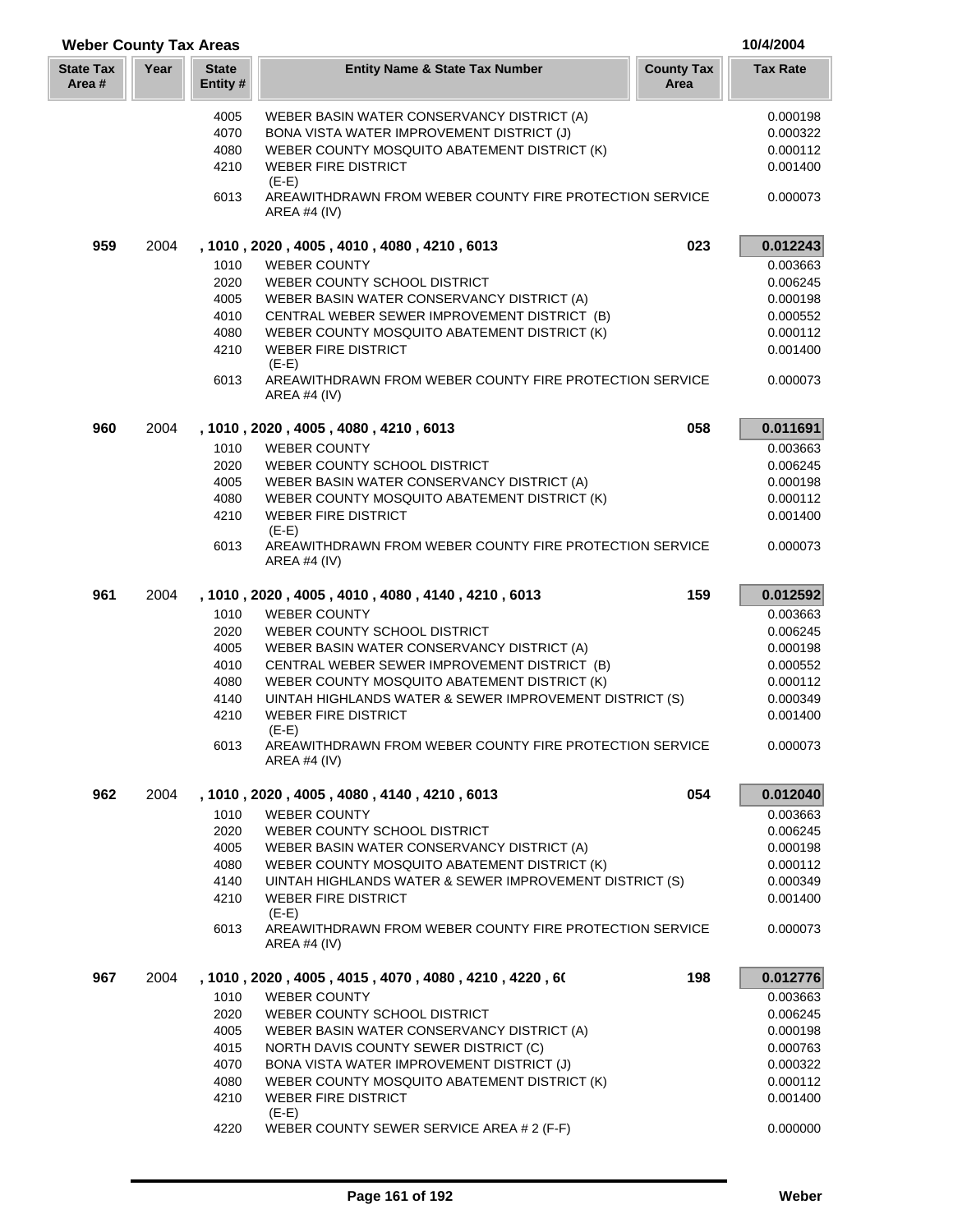| <b>Weber County Tax Areas</b> |      |                         |                                                                                           | 10/4/2004                 |                 |
|-------------------------------|------|-------------------------|-------------------------------------------------------------------------------------------|---------------------------|-----------------|
| <b>State Tax</b><br>Area #    | Year | <b>State</b><br>Entity# | <b>Entity Name &amp; State Tax Number</b>                                                 | <b>County Tax</b><br>Area | <b>Tax Rate</b> |
|                               |      | 4005                    | WEBER BASIN WATER CONSERVANCY DISTRICT (A)                                                |                           | 0.000198        |
|                               |      | 4070                    | BONA VISTA WATER IMPROVEMENT DISTRICT (J)                                                 |                           | 0.000322        |
|                               |      | 4080                    | WEBER COUNTY MOSQUITO ABATEMENT DISTRICT (K)                                              |                           | 0.000112        |
|                               |      | 4210                    | <b>WEBER FIRE DISTRICT</b>                                                                |                           | 0.001400        |
|                               |      | 6013                    | $(E-E)$<br>AREAWITHDRAWN FROM WEBER COUNTY FIRE PROTECTION SERVICE<br><b>AREA #4 (IV)</b> |                           | 0.000073        |
| 959                           | 2004 |                         | , 1010 , 2020 , 4005 , 4010 , 4080 , 4210 , 6013                                          | 023                       | 0.012243        |
|                               |      | 1010                    | <b>WEBER COUNTY</b>                                                                       |                           | 0.003663        |
|                               |      | 2020                    | WEBER COUNTY SCHOOL DISTRICT                                                              |                           | 0.006245        |
|                               |      | 4005                    | WEBER BASIN WATER CONSERVANCY DISTRICT (A)                                                |                           | 0.000198        |
|                               |      | 4010                    | CENTRAL WEBER SEWER IMPROVEMENT DISTRICT (B)                                              |                           | 0.000552        |
|                               |      | 4080                    | WEBER COUNTY MOSQUITO ABATEMENT DISTRICT (K)                                              |                           | 0.000112        |
|                               |      | 4210                    | <b>WEBER FIRE DISTRICT</b>                                                                |                           | 0.001400        |
|                               |      |                         | $(E-E)$                                                                                   |                           |                 |
|                               |      | 6013                    | AREAWITHDRAWN FROM WEBER COUNTY FIRE PROTECTION SERVICE<br>AREA #4 $(IV)$                 |                           | 0.000073        |
| 960                           | 2004 |                         | , 1010, 2020, 4005, 4080, 4210, 6013                                                      | 058                       | 0.011691        |
|                               |      | 1010                    | <b>WEBER COUNTY</b>                                                                       |                           | 0.003663        |
|                               |      | 2020                    | WEBER COUNTY SCHOOL DISTRICT                                                              |                           | 0.006245        |
|                               |      | 4005                    | WEBER BASIN WATER CONSERVANCY DISTRICT (A)                                                |                           | 0.000198        |
|                               |      | 4080                    | WEBER COUNTY MOSQUITO ABATEMENT DISTRICT (K)                                              |                           | 0.000112        |
|                               |      | 4210                    | <b>WEBER FIRE DISTRICT</b>                                                                |                           | 0.001400        |
|                               |      | 6013                    | $(E-E)$<br>AREAWITHDRAWN FROM WEBER COUNTY FIRE PROTECTION SERVICE<br><b>AREA #4 (IV)</b> |                           | 0.000073        |
| 961                           | 2004 |                         | , 1010 , 2020 , 4005 , 4010 , 4080 , 4140 , 4210 , 6013                                   | 159                       | 0.012592        |
|                               |      | 1010                    | <b>WEBER COUNTY</b>                                                                       |                           | 0.003663        |
|                               |      | 2020                    | WEBER COUNTY SCHOOL DISTRICT                                                              |                           | 0.006245        |
|                               |      | 4005                    | WEBER BASIN WATER CONSERVANCY DISTRICT (A)                                                |                           | 0.000198        |
|                               |      | 4010                    | CENTRAL WEBER SEWER IMPROVEMENT DISTRICT (B)                                              |                           | 0.000552        |
|                               |      | 4080                    | WEBER COUNTY MOSQUITO ABATEMENT DISTRICT (K)                                              |                           | 0.000112        |
|                               |      | 4140                    | UINTAH HIGHLANDS WATER & SEWER IMPROVEMENT DISTRICT (S)                                   |                           | 0.000349        |
|                               |      | 4210                    | <b>WEBER FIRE DISTRICT</b>                                                                |                           | 0.001400        |
|                               |      | 6013                    | $(E-E)$<br>AREAWITHDRAWN FROM WEBER COUNTY FIRE PROTECTION SERVICE                        |                           | 0.000073        |
|                               |      |                         | AREA #4 $(IV)$                                                                            |                           |                 |
| 962                           | 2004 |                         | , 1010 , 2020 , 4005 , 4080 , 4140 , 4210 , 6013                                          | 054                       | 0.012040        |
|                               |      | 1010                    | <b>WEBER COUNTY</b>                                                                       |                           | 0.003663        |
|                               |      | 2020                    | WEBER COUNTY SCHOOL DISTRICT                                                              |                           | 0.006245        |
|                               |      | 4005                    | WEBER BASIN WATER CONSERVANCY DISTRICT (A)                                                |                           | 0.000198        |
|                               |      | 4080                    | WEBER COUNTY MOSQUITO ABATEMENT DISTRICT (K)                                              |                           | 0.000112        |
|                               |      | 4140                    | UINTAH HIGHLANDS WATER & SEWER IMPROVEMENT DISTRICT (S)                                   |                           | 0.000349        |
|                               |      | 4210                    | <b>WEBER FIRE DISTRICT</b>                                                                |                           | 0.001400        |
|                               |      | 6013                    | $(E-E)$<br>AREAWITHDRAWN FROM WEBER COUNTY FIRE PROTECTION SERVICE<br>AREA #4 $(IV)$      |                           | 0.000073        |
| 967                           | 2004 |                         | , 1010 , 2020 , 4005 , 4015 , 4070 , 4080 , 4210 , 4220 , 60                              | 198                       | 0.012776        |
|                               |      | 1010                    | <b>WEBER COUNTY</b>                                                                       |                           | 0.003663        |
|                               |      | 2020                    | WEBER COUNTY SCHOOL DISTRICT                                                              |                           | 0.006245        |
|                               |      | 4005                    | WEBER BASIN WATER CONSERVANCY DISTRICT (A)                                                |                           | 0.000198        |
|                               |      | 4015                    | NORTH DAVIS COUNTY SEWER DISTRICT (C)                                                     |                           | 0.000763        |
|                               |      | 4070                    | BONA VISTA WATER IMPROVEMENT DISTRICT (J)                                                 |                           | 0.000322        |
|                               |      | 4080                    | WEBER COUNTY MOSQUITO ABATEMENT DISTRICT (K)                                              |                           | 0.000112        |
|                               |      | 4210                    | <b>WEBER FIRE DISTRICT</b>                                                                |                           | 0.001400        |
|                               |      |                         | $(E-E)$                                                                                   |                           |                 |
|                               |      | 4220                    | WEBER COUNTY SEWER SERVICE AREA # 2 (F-F)                                                 |                           | 0.000000        |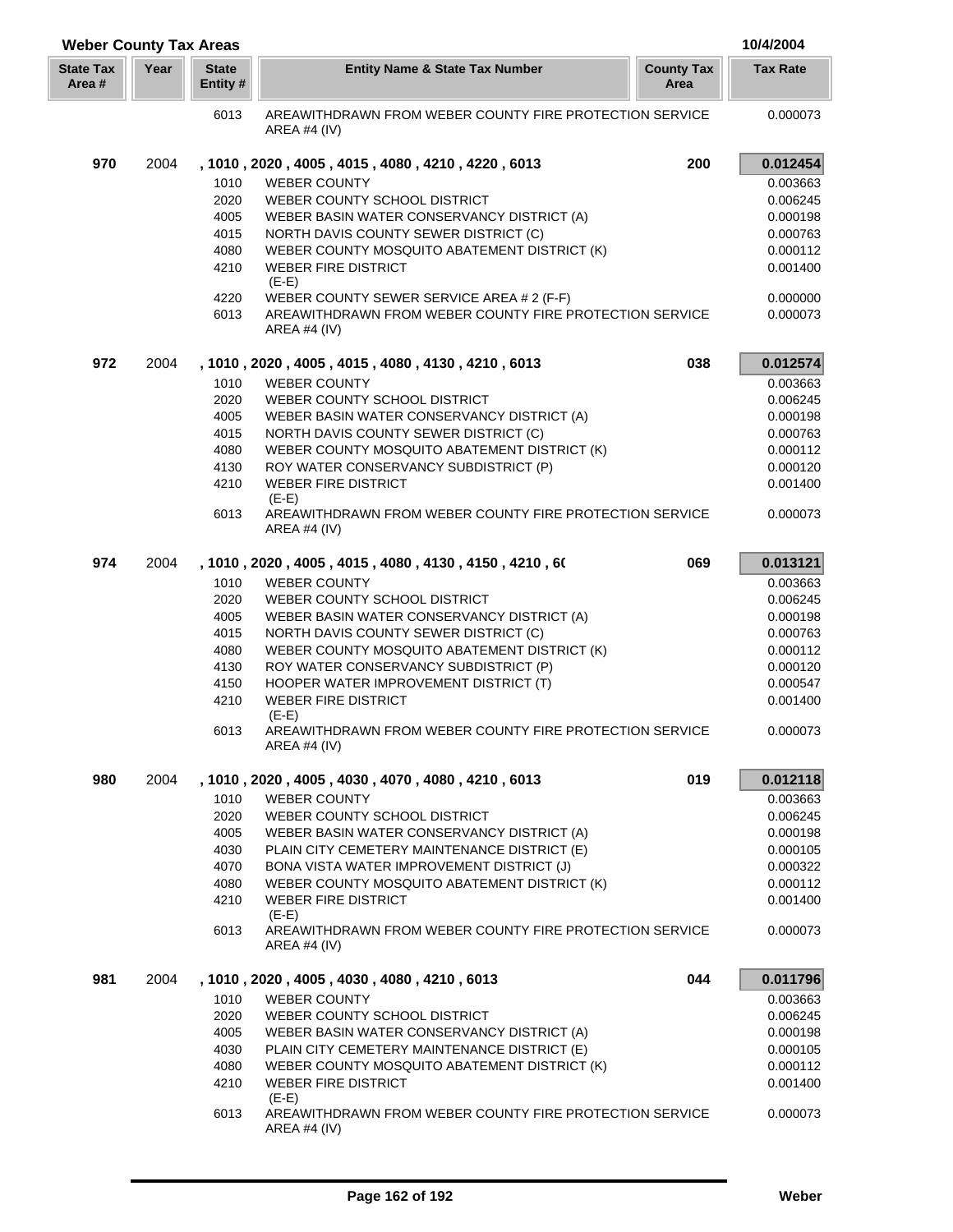| <b>Weber County Tax Areas</b> |      |                         |                                                                                           |                           | 10/4/2004            |
|-------------------------------|------|-------------------------|-------------------------------------------------------------------------------------------|---------------------------|----------------------|
| <b>State Tax</b><br>Area #    | Year | <b>State</b><br>Entity# | <b>Entity Name &amp; State Tax Number</b>                                                 | <b>County Tax</b><br>Area | <b>Tax Rate</b>      |
|                               |      | 6013                    | AREAWITHDRAWN FROM WEBER COUNTY FIRE PROTECTION SERVICE<br>AREA #4 $(IV)$                 |                           | 0.000073             |
| 970                           | 2004 |                         | , 1010, 2020, 4005, 4015, 4080, 4210, 4220, 6013                                          | 200                       | 0.012454             |
|                               |      | 1010                    | <b>WEBER COUNTY</b>                                                                       |                           | 0.003663             |
|                               |      | 2020                    | WEBER COUNTY SCHOOL DISTRICT                                                              |                           | 0.006245             |
|                               |      | 4005                    | WEBER BASIN WATER CONSERVANCY DISTRICT (A)                                                |                           | 0.000198             |
|                               |      | 4015                    | NORTH DAVIS COUNTY SEWER DISTRICT (C)                                                     |                           | 0.000763             |
|                               |      | 4080                    | WEBER COUNTY MOSQUITO ABATEMENT DISTRICT (K)                                              |                           | 0.000112             |
|                               |      | 4210                    | <b>WEBER FIRE DISTRICT</b><br>$(E-E)$                                                     |                           | 0.001400             |
|                               |      | 4220                    | WEBER COUNTY SEWER SERVICE AREA # 2 (F-F)                                                 |                           | 0.000000             |
|                               |      | 6013                    | AREAWITHDRAWN FROM WEBER COUNTY FIRE PROTECTION SERVICE<br><b>AREA #4 (IV)</b>            |                           | 0.000073             |
| 972                           | 2004 |                         | , 1010, 2020, 4005, 4015, 4080, 4130, 4210, 6013                                          | 038                       | 0.012574             |
|                               |      | 1010                    | <b>WEBER COUNTY</b>                                                                       |                           | 0.003663             |
|                               |      | 2020                    | WEBER COUNTY SCHOOL DISTRICT                                                              |                           | 0.006245             |
|                               |      | 4005                    | WEBER BASIN WATER CONSERVANCY DISTRICT (A)                                                |                           | 0.000198             |
|                               |      | 4015                    | NORTH DAVIS COUNTY SEWER DISTRICT (C)                                                     |                           | 0.000763             |
|                               |      | 4080<br>4130            | WEBER COUNTY MOSQUITO ABATEMENT DISTRICT (K)<br>ROY WATER CONSERVANCY SUBDISTRICT (P)     |                           | 0.000112<br>0.000120 |
|                               |      | 4210                    | <b>WEBER FIRE DISTRICT</b>                                                                |                           | 0.001400             |
|                               |      |                         | $(E-E)$                                                                                   |                           |                      |
|                               |      | 6013                    | AREAWITHDRAWN FROM WEBER COUNTY FIRE PROTECTION SERVICE<br>AREA #4 (IV)                   |                           | 0.000073             |
| 974                           | 2004 |                         | , 1010 , 2020 , 4005 , 4015 , 4080 , 4130 , 4150 , 4210 , 60                              | 069                       | 0.013121             |
|                               |      | 1010                    | <b>WEBER COUNTY</b>                                                                       |                           | 0.003663             |
|                               |      | 2020                    | WEBER COUNTY SCHOOL DISTRICT                                                              |                           | 0.006245             |
|                               |      | 4005                    | WEBER BASIN WATER CONSERVANCY DISTRICT (A)                                                |                           | 0.000198             |
|                               |      | 4015                    | NORTH DAVIS COUNTY SEWER DISTRICT (C)                                                     |                           | 0.000763             |
|                               |      | 4080<br>4130            | WEBER COUNTY MOSQUITO ABATEMENT DISTRICT (K)<br>ROY WATER CONSERVANCY SUBDISTRICT (P)     |                           | 0.000112<br>0.000120 |
|                               |      | 4150                    | HOOPER WATER IMPROVEMENT DISTRICT (T)                                                     |                           | 0.000547             |
|                               |      | 4210                    | <b>WEBER FIRE DISTRICT</b>                                                                |                           | 0.001400             |
|                               |      |                         | $(E-E)$                                                                                   |                           |                      |
|                               |      | 6013                    | AREAWITHDRAWN FROM WEBER COUNTY FIRE PROTECTION SERVICE<br><b>AREA #4 (IV)</b>            |                           | 0.000073             |
| 980                           | 2004 |                         | , 1010, 2020, 4005, 4030, 4070, 4080, 4210, 6013                                          | 019                       | 0.012118             |
|                               |      | 1010                    | <b>WEBER COUNTY</b>                                                                       |                           | 0.003663             |
|                               |      | 2020                    | WEBER COUNTY SCHOOL DISTRICT                                                              |                           | 0.006245             |
|                               |      | 4005                    | WEBER BASIN WATER CONSERVANCY DISTRICT (A)                                                |                           | 0.000198             |
|                               |      | 4030                    | PLAIN CITY CEMETERY MAINTENANCE DISTRICT (E)                                              |                           | 0.000105             |
|                               |      | 4070<br>4080            | BONA VISTA WATER IMPROVEMENT DISTRICT (J)<br>WEBER COUNTY MOSQUITO ABATEMENT DISTRICT (K) |                           | 0.000322<br>0.000112 |
|                               |      | 4210                    | <b>WEBER FIRE DISTRICT</b>                                                                |                           | 0.001400             |
|                               |      |                         | $(E-E)$                                                                                   |                           |                      |
|                               |      | 6013                    | AREAWITHDRAWN FROM WEBER COUNTY FIRE PROTECTION SERVICE<br>AREA #4 (IV)                   |                           | 0.000073             |
| 981                           | 2004 |                         | , 1010, 2020, 4005, 4030, 4080, 4210, 6013                                                | 044                       | 0.011796             |
|                               |      | 1010                    | <b>WEBER COUNTY</b>                                                                       |                           | 0.003663             |
|                               |      | 2020                    | WEBER COUNTY SCHOOL DISTRICT                                                              |                           | 0.006245             |
|                               |      | 4005                    | WEBER BASIN WATER CONSERVANCY DISTRICT (A)                                                |                           | 0.000198             |
|                               |      | 4030                    | PLAIN CITY CEMETERY MAINTENANCE DISTRICT (E)                                              |                           | 0.000105             |
|                               |      | 4080<br>4210            | WEBER COUNTY MOSQUITO ABATEMENT DISTRICT (K)<br><b>WEBER FIRE DISTRICT</b>                |                           | 0.000112<br>0.001400 |
|                               |      |                         | $(E-E)$                                                                                   |                           |                      |
|                               |      | 6013                    | AREAWITHDRAWN FROM WEBER COUNTY FIRE PROTECTION SERVICE<br>AREA #4 (IV)                   |                           | 0.000073             |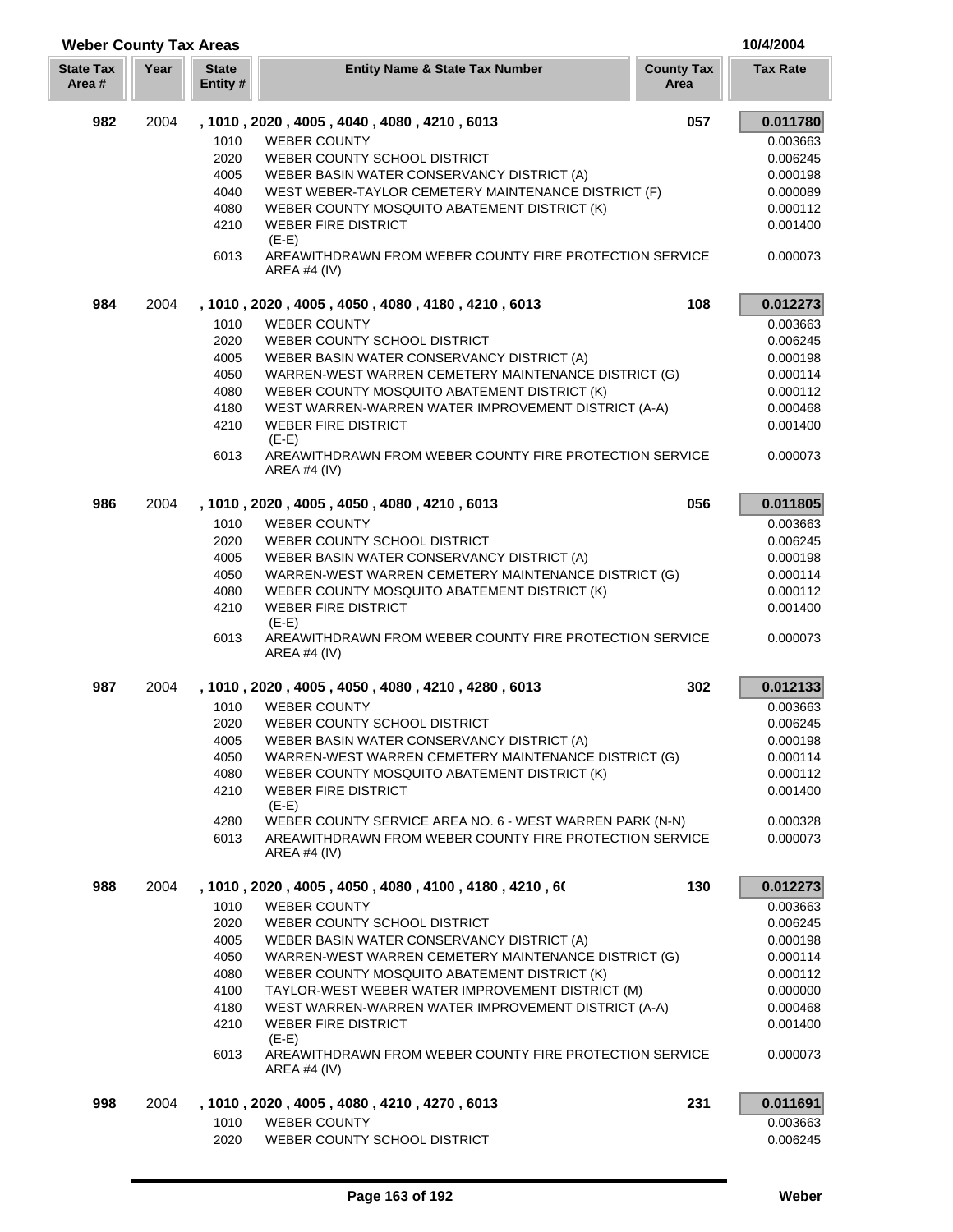## **Weber County Tax Areas 10/4/2004**

| <b>State Tax</b><br>Area # | Year | <b>State</b><br>Entity # | <b>Entity Name &amp; State Tax Number</b>                                 | <b>County Tax</b><br>Area | <b>Tax Rate</b> |
|----------------------------|------|--------------------------|---------------------------------------------------------------------------|---------------------------|-----------------|
| 982                        | 2004 |                          | , 1010, 2020, 4005, 4040, 4080, 4210, 6013                                | 057                       | 0.011780        |
|                            |      | 1010                     | <b>WEBER COUNTY</b>                                                       |                           | 0.003663        |
|                            |      | 2020                     | WEBER COUNTY SCHOOL DISTRICT                                              |                           | 0.006245        |
|                            |      | 4005                     | WEBER BASIN WATER CONSERVANCY DISTRICT (A)                                |                           | 0.000198        |
|                            |      | 4040                     | WEST WEBER-TAYLOR CEMETERY MAINTENANCE DISTRICT (F)                       |                           | 0.000089        |
|                            |      | 4080                     | WEBER COUNTY MOSQUITO ABATEMENT DISTRICT (K)                              |                           | 0.000112        |
|                            |      | 4210                     | <b>WEBER FIRE DISTRICT</b><br>$(E-E)$                                     |                           | 0.001400        |
|                            |      | 6013                     | AREAWITHDRAWN FROM WEBER COUNTY FIRE PROTECTION SERVICE<br>AREA #4 $(IV)$ |                           | 0.000073        |
| 984                        | 2004 |                          | , 1010, 2020, 4005, 4050, 4080, 4180, 4210, 6013                          | 108                       | 0.012273        |
|                            |      | 1010                     | <b>WEBER COUNTY</b>                                                       |                           | 0.003663        |
|                            |      | 2020                     | WEBER COUNTY SCHOOL DISTRICT                                              |                           | 0.006245        |
|                            |      | 4005                     | WEBER BASIN WATER CONSERVANCY DISTRICT (A)                                |                           | 0.000198        |
|                            |      | 4050                     | WARREN-WEST WARREN CEMETERY MAINTENANCE DISTRICT (G)                      |                           | 0.000114        |
|                            |      | 4080                     | WEBER COUNTY MOSQUITO ABATEMENT DISTRICT (K)                              |                           | 0.000112        |
|                            |      | 4180                     | WEST WARREN-WARREN WATER IMPROVEMENT DISTRICT (A-A)                       |                           | 0.000468        |
|                            |      | 4210                     | <b>WEBER FIRE DISTRICT</b><br>$(E-E)$                                     |                           | 0.001400        |
|                            |      | 6013                     | AREAWITHDRAWN FROM WEBER COUNTY FIRE PROTECTION SERVICE<br>AREA #4 $(IV)$ |                           | 0.000073        |
| 986                        | 2004 |                          | , 1010, 2020, 4005, 4050, 4080, 4210, 6013                                | 056                       | 0.011805        |
|                            |      | 1010                     | <b>WEBER COUNTY</b>                                                       |                           | 0.003663        |
|                            |      | 2020                     | WEBER COUNTY SCHOOL DISTRICT                                              |                           | 0.006245        |
|                            |      | 4005                     | WEBER BASIN WATER CONSERVANCY DISTRICT (A)                                |                           | 0.000198        |
|                            |      | 4050                     | WARREN-WEST WARREN CEMETERY MAINTENANCE DISTRICT (G)                      |                           | 0.000114        |
|                            |      | 4080                     | WEBER COUNTY MOSQUITO ABATEMENT DISTRICT (K)                              |                           | 0.000112        |
|                            |      | 4210                     | <b>WEBER FIRE DISTRICT</b><br>$(E-E)$                                     |                           | 0.001400        |
|                            |      | 6013                     | AREAWITHDRAWN FROM WEBER COUNTY FIRE PROTECTION SERVICE<br>AREA #4 $(IV)$ |                           | 0.000073        |
| 987                        | 2004 |                          | , 1010, 2020, 4005, 4050, 4080, 4210, 4280, 6013                          | 302                       | 0.012133        |
|                            |      | 1010                     | <b>WEBER COUNTY</b>                                                       |                           | 0.003663        |
|                            |      | 2020                     | WEBER COUNTY SCHOOL DISTRICT                                              |                           | 0.006245        |
|                            |      | 4005                     | WEBER BASIN WATER CONSERVANCY DISTRICT (A)                                |                           | 0.000198        |
|                            |      | 4050                     | WARREN-WEST WARREN CEMETERY MAINTENANCE DISTRICT (G)                      |                           | 0.000114        |
|                            |      | 4080                     | WEBER COUNTY MOSQUITO ABATEMENT DISTRICT (K)                              |                           | 0.000112        |
|                            |      | 4210                     | <b>WEBER FIRE DISTRICT</b><br>$(E-E)$                                     |                           | 0.001400        |
|                            |      | 4280                     | WEBER COUNTY SERVICE AREA NO. 6 - WEST WARREN PARK (N-N)                  |                           | 0.000328        |
|                            |      | 6013                     | AREAWITHDRAWN FROM WEBER COUNTY FIRE PROTECTION SERVICE<br>AREA #4 (IV)   |                           | 0.000073        |
| 988                        | 2004 |                          | , 1010, 2020, 4005, 4050, 4080, 4100, 4180, 4210, 60                      | 130                       | 0.012273        |
|                            |      | 1010                     | <b>WEBER COUNTY</b>                                                       |                           | 0.003663        |
|                            |      | 2020                     | WEBER COUNTY SCHOOL DISTRICT                                              |                           | 0.006245        |
|                            |      | 4005                     | WEBER BASIN WATER CONSERVANCY DISTRICT (A)                                |                           | 0.000198        |
|                            |      | 4050                     | WARREN-WEST WARREN CEMETERY MAINTENANCE DISTRICT (G)                      |                           | 0.000114        |
|                            |      | 4080                     | WEBER COUNTY MOSQUITO ABATEMENT DISTRICT (K)                              |                           | 0.000112        |
|                            |      | 4100                     | TAYLOR-WEST WEBER WATER IMPROVEMENT DISTRICT (M)                          |                           | 0.000000        |
|                            |      | 4180                     | WEST WARREN-WARREN WATER IMPROVEMENT DISTRICT (A-A)                       |                           | 0.000468        |
|                            |      | 4210                     | <b>WEBER FIRE DISTRICT</b>                                                |                           | 0.001400        |
|                            |      |                          | $(E-E)$                                                                   |                           |                 |
|                            |      | 6013                     | AREAWITHDRAWN FROM WEBER COUNTY FIRE PROTECTION SERVICE<br>AREA #4 (IV)   |                           | 0.000073        |
| 998                        | 2004 |                          | , 1010, 2020, 4005, 4080, 4210, 4270, 6013                                | 231                       | 0.011691        |
|                            |      | 1010                     | <b>WEBER COUNTY</b>                                                       |                           | 0.003663        |
|                            |      | 2020                     | WEBER COUNTY SCHOOL DISTRICT                                              |                           | 0.006245        |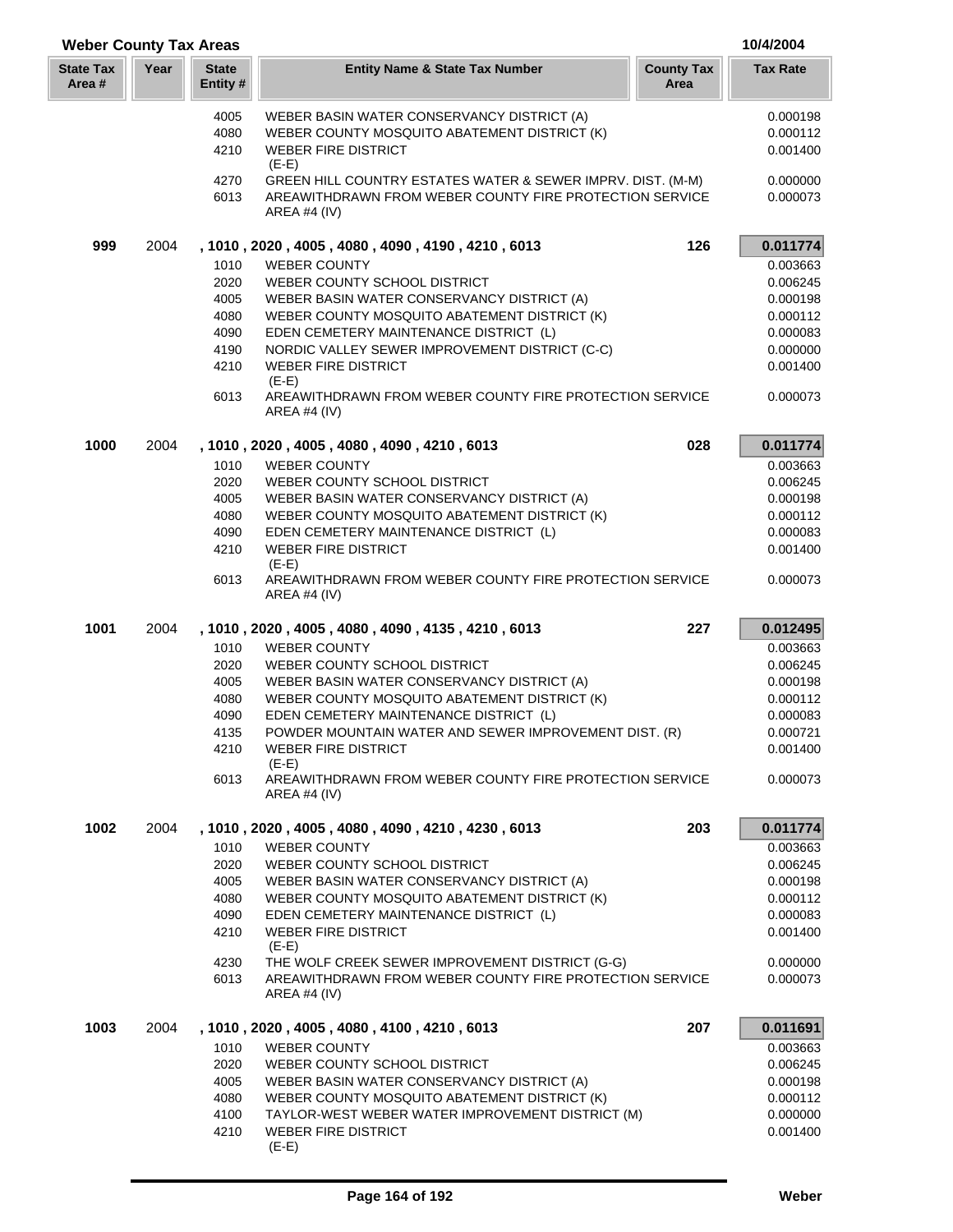| <b>Weber County Tax Areas</b> |      |                         |                                                                                            |                           | 10/4/2004            |
|-------------------------------|------|-------------------------|--------------------------------------------------------------------------------------------|---------------------------|----------------------|
| <b>State Tax</b><br>Area #    | Year | <b>State</b><br>Entity# | <b>Entity Name &amp; State Tax Number</b>                                                  | <b>County Tax</b><br>Area | <b>Tax Rate</b>      |
|                               |      | 4005                    | WEBER BASIN WATER CONSERVANCY DISTRICT (A)                                                 |                           | 0.000198             |
|                               |      | 4080                    | WEBER COUNTY MOSQUITO ABATEMENT DISTRICT (K)                                               |                           | 0.000112             |
|                               |      | 4210                    | <b>WEBER FIRE DISTRICT</b><br>$(E-E)$                                                      |                           | 0.001400             |
|                               |      | 4270                    | GREEN HILL COUNTRY ESTATES WATER & SEWER IMPRV. DIST. (M-M)                                |                           | 0.000000             |
|                               |      | 6013                    | AREAWITHDRAWN FROM WEBER COUNTY FIRE PROTECTION SERVICE<br><b>AREA #4 (IV)</b>             |                           | 0.000073             |
| 999                           | 2004 |                         | , 1010, 2020, 4005, 4080, 4090, 4190, 4210, 6013                                           | 126                       | 0.011774             |
|                               |      | 1010                    | <b>WEBER COUNTY</b>                                                                        |                           | 0.003663             |
|                               |      | 2020                    | WEBER COUNTY SCHOOL DISTRICT                                                               |                           | 0.006245             |
|                               |      | 4005<br>4080            | WEBER BASIN WATER CONSERVANCY DISTRICT (A)<br>WEBER COUNTY MOSQUITO ABATEMENT DISTRICT (K) |                           | 0.000198<br>0.000112 |
|                               |      | 4090                    | EDEN CEMETERY MAINTENANCE DISTRICT (L)                                                     |                           | 0.000083             |
|                               |      | 4190                    | NORDIC VALLEY SEWER IMPROVEMENT DISTRICT (C-C)                                             |                           | 0.000000             |
|                               |      | 4210                    | <b>WEBER FIRE DISTRICT</b>                                                                 |                           | 0.001400             |
|                               |      |                         | $(E-E)$<br>AREAWITHDRAWN FROM WEBER COUNTY FIRE PROTECTION SERVICE                         |                           | 0.000073             |
|                               |      | 6013                    | AREA #4 $(IV)$                                                                             |                           |                      |
| 1000                          | 2004 |                         | , 1010, 2020, 4005, 4080, 4090, 4210, 6013                                                 | 028                       | 0.011774             |
|                               |      | 1010                    | <b>WEBER COUNTY</b>                                                                        |                           | 0.003663             |
|                               |      | 2020                    | WEBER COUNTY SCHOOL DISTRICT                                                               |                           | 0.006245             |
|                               |      | 4005                    | WEBER BASIN WATER CONSERVANCY DISTRICT (A)                                                 |                           | 0.000198             |
|                               |      | 4080                    | WEBER COUNTY MOSQUITO ABATEMENT DISTRICT (K)                                               |                           | 0.000112             |
|                               |      | 4090                    | EDEN CEMETERY MAINTENANCE DISTRICT (L)                                                     |                           | 0.000083             |
|                               |      | 4210                    | <b>WEBER FIRE DISTRICT</b><br>$(E-E)$                                                      |                           | 0.001400             |
|                               |      | 6013                    | AREAWITHDRAWN FROM WEBER COUNTY FIRE PROTECTION SERVICE<br>AREA #4 (IV)                    |                           | 0.000073             |
| 1001                          | 2004 |                         | , 1010, 2020, 4005, 4080, 4090, 4135, 4210, 6013                                           | 227                       | 0.012495             |
|                               |      | 1010                    | <b>WEBER COUNTY</b>                                                                        |                           | 0.003663             |
|                               |      | 2020                    | WEBER COUNTY SCHOOL DISTRICT                                                               |                           | 0.006245             |
|                               |      | 4005                    | WEBER BASIN WATER CONSERVANCY DISTRICT (A)                                                 |                           | 0.000198             |
|                               |      | 4080                    | WEBER COUNTY MOSQUITO ABATEMENT DISTRICT (K)                                               |                           | 0.000112             |
|                               |      | 4090                    | EDEN CEMETERY MAINTENANCE DISTRICT (L)                                                     |                           | 0.000083             |
|                               |      | 4135                    | POWDER MOUNTAIN WATER AND SEWER IMPROVEMENT DIST. (R)                                      |                           | 0.000721             |
|                               |      | 4210                    | <b>WEBER FIRE DISTRICT</b><br>$(E-E)$                                                      |                           | 0.001400             |
|                               |      | 6013                    | AREAWITHDRAWN FROM WEBER COUNTY FIRE PROTECTION SERVICE<br>AREA #4 (IV)                    |                           | 0.000073             |
| 1002                          | 2004 |                         | , 1010, 2020, 4005, 4080, 4090, 4210, 4230, 6013                                           | 203                       | 0.011774             |
|                               |      | 1010                    | <b>WEBER COUNTY</b>                                                                        |                           | 0.003663             |
|                               |      | 2020                    | WEBER COUNTY SCHOOL DISTRICT                                                               |                           | 0.006245             |
|                               |      | 4005                    | WEBER BASIN WATER CONSERVANCY DISTRICT (A)                                                 |                           | 0.000198             |
|                               |      | 4080                    | WEBER COUNTY MOSQUITO ABATEMENT DISTRICT (K)                                               |                           | 0.000112             |
|                               |      | 4090                    | EDEN CEMETERY MAINTENANCE DISTRICT (L)                                                     |                           | 0.000083             |
|                               |      | 4210                    | <b>WEBER FIRE DISTRICT</b><br>$(E-E)$                                                      |                           | 0.001400             |
|                               |      | 4230                    | THE WOLF CREEK SEWER IMPROVEMENT DISTRICT (G-G)                                            |                           | 0.000000             |
|                               |      | 6013                    | AREAWITHDRAWN FROM WEBER COUNTY FIRE PROTECTION SERVICE<br>AREA #4 $(IV)$                  |                           | 0.000073             |
| 1003                          | 2004 |                         | , 1010 , 2020 , 4005 , 4080 , 4100 , 4210 , 6013                                           | 207                       | 0.011691             |
|                               |      | 1010                    | <b>WEBER COUNTY</b>                                                                        |                           | 0.003663             |
|                               |      | 2020                    | WEBER COUNTY SCHOOL DISTRICT                                                               |                           | 0.006245             |
|                               |      | 4005                    | WEBER BASIN WATER CONSERVANCY DISTRICT (A)                                                 |                           | 0.000198             |
|                               |      | 4080                    | WEBER COUNTY MOSQUITO ABATEMENT DISTRICT (K)                                               |                           | 0.000112             |
|                               |      | 4100                    | TAYLOR-WEST WEBER WATER IMPROVEMENT DISTRICT (M)                                           |                           | 0.000000             |
|                               |      | 4210                    | <b>WEBER FIRE DISTRICT</b><br>$(E-E)$                                                      |                           | 0.001400             |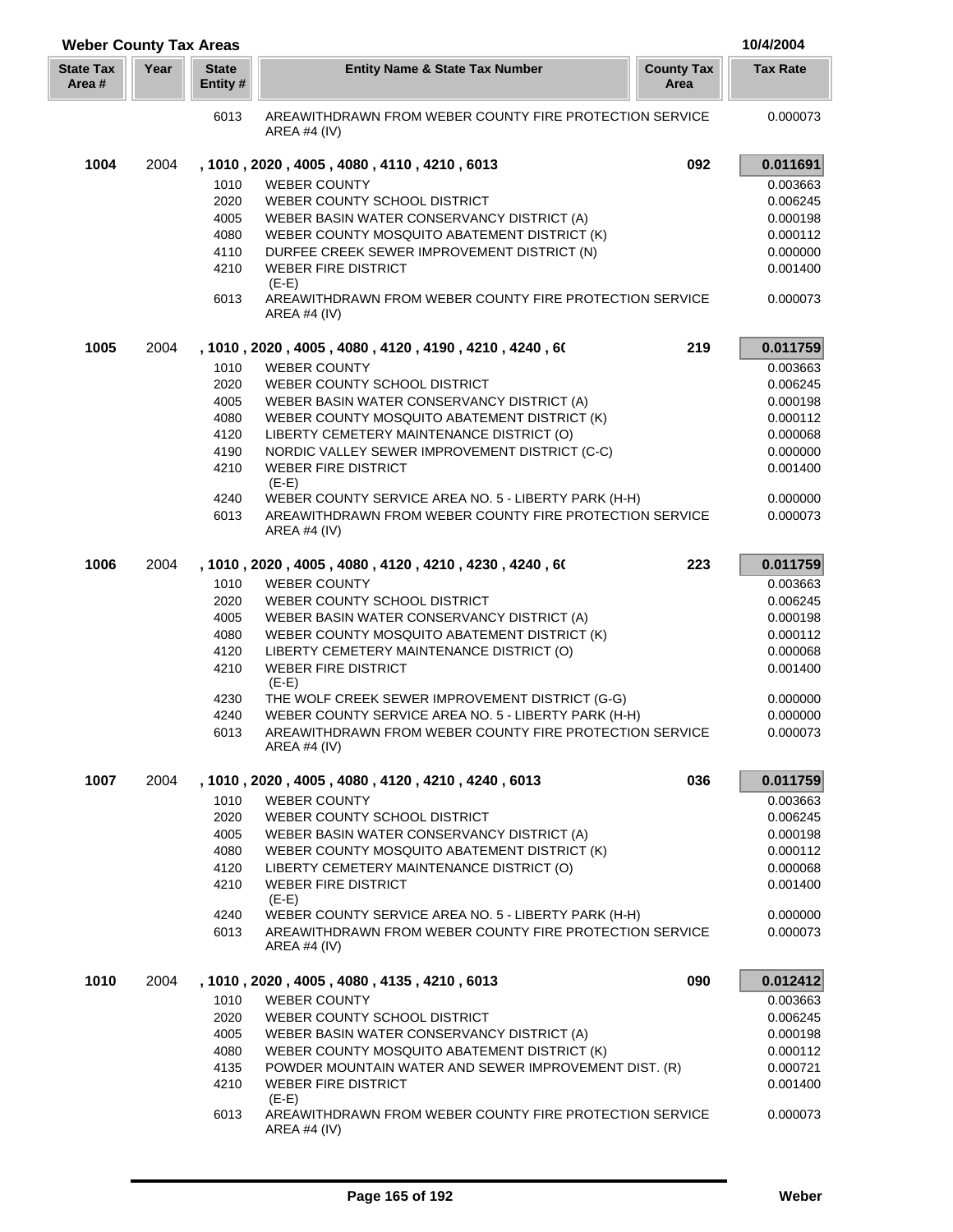| <b>Weber County Tax Areas</b> |      |                          |                                                                                                                                 |                           | 10/4/2004            |
|-------------------------------|------|--------------------------|---------------------------------------------------------------------------------------------------------------------------------|---------------------------|----------------------|
| <b>State Tax</b><br>Area #    | Year | <b>State</b><br>Entity # | <b>Entity Name &amp; State Tax Number</b>                                                                                       | <b>County Tax</b><br>Area | <b>Tax Rate</b>      |
|                               |      | 6013                     | AREAWITHDRAWN FROM WEBER COUNTY FIRE PROTECTION SERVICE<br>AREA #4 (IV)                                                         |                           | 0.000073             |
| 1004                          | 2004 |                          | , 1010, 2020, 4005, 4080, 4110, 4210, 6013                                                                                      | 092                       | 0.011691             |
|                               |      | 1010                     | <b>WEBER COUNTY</b>                                                                                                             |                           | 0.003663             |
|                               |      | 2020                     | WEBER COUNTY SCHOOL DISTRICT                                                                                                    |                           | 0.006245             |
|                               |      | 4005                     | WEBER BASIN WATER CONSERVANCY DISTRICT (A)                                                                                      |                           | 0.000198             |
|                               |      | 4080                     | WEBER COUNTY MOSQUITO ABATEMENT DISTRICT (K)                                                                                    |                           | 0.000112             |
|                               |      | 4110                     | DURFEE CREEK SEWER IMPROVEMENT DISTRICT (N)                                                                                     |                           | 0.000000             |
|                               |      | 4210                     | <b>WEBER FIRE DISTRICT</b><br>$(E-E)$                                                                                           |                           | 0.001400             |
|                               |      | 6013                     | AREAWITHDRAWN FROM WEBER COUNTY FIRE PROTECTION SERVICE<br>AREA #4 $(IV)$                                                       |                           | 0.000073             |
| 1005                          | 2004 |                          | , 1010 , 2020 , 4005 , 4080 , 4120 , 4190 , 4210 , 4240 , 60                                                                    | 219                       | 0.011759             |
|                               |      | 1010                     | <b>WEBER COUNTY</b>                                                                                                             |                           | 0.003663             |
|                               |      | 2020                     | WEBER COUNTY SCHOOL DISTRICT                                                                                                    |                           | 0.006245             |
|                               |      | 4005                     | WEBER BASIN WATER CONSERVANCY DISTRICT (A)                                                                                      |                           | 0.000198             |
|                               |      | 4080                     | WEBER COUNTY MOSQUITO ABATEMENT DISTRICT (K)                                                                                    |                           | 0.000112             |
|                               |      | 4120                     | LIBERTY CEMETERY MAINTENANCE DISTRICT (O)                                                                                       |                           | 0.000068             |
|                               |      | 4190                     | NORDIC VALLEY SEWER IMPROVEMENT DISTRICT (C-C)                                                                                  |                           | 0.000000             |
|                               |      | 4210                     | <b>WEBER FIRE DISTRICT</b><br>$(E-E)$                                                                                           |                           | 0.001400             |
|                               |      | 4240                     | WEBER COUNTY SERVICE AREA NO. 5 - LIBERTY PARK (H-H)                                                                            |                           | 0.000000             |
|                               |      | 6013                     | AREAWITHDRAWN FROM WEBER COUNTY FIRE PROTECTION SERVICE<br><b>AREA #4 (IV)</b>                                                  |                           | 0.000073             |
| 1006                          | 2004 |                          | , 1010 , 2020 , 4005 , 4080 , 4120 , 4210 , 4230 , 4240 , 60                                                                    | 223                       | 0.011759             |
|                               |      | 1010                     | <b>WEBER COUNTY</b>                                                                                                             |                           | 0.003663             |
|                               |      | 2020                     | WEBER COUNTY SCHOOL DISTRICT                                                                                                    |                           | 0.006245             |
|                               |      | 4005                     | WEBER BASIN WATER CONSERVANCY DISTRICT (A)                                                                                      |                           | 0.000198             |
|                               |      | 4080                     | WEBER COUNTY MOSQUITO ABATEMENT DISTRICT (K)                                                                                    |                           | 0.000112             |
|                               |      | 4120                     | LIBERTY CEMETERY MAINTENANCE DISTRICT (O)                                                                                       |                           | 0.000068             |
|                               |      | 4210                     | <b>WEBER FIRE DISTRICT</b>                                                                                                      |                           | 0.001400             |
|                               |      |                          | $(E-E)$                                                                                                                         |                           |                      |
|                               |      | 4230                     | THE WOLF CREEK SEWER IMPROVEMENT DISTRICT (G-G)                                                                                 |                           | 0.000000             |
|                               |      | 4240                     | WEBER COUNTY SERVICE AREA NO. 5 - LIBERTY PARK (H-H)                                                                            |                           | 0.000000             |
|                               |      | 6013                     | AREAWITHDRAWN FROM WEBER COUNTY FIRE PROTECTION SERVICE<br>AREA #4 $(IV)$                                                       |                           | 0.000073             |
| 1007                          | 2004 |                          | , 1010, 2020, 4005, 4080, 4120, 4210, 4240, 6013                                                                                | 036                       | 0.011759             |
|                               |      | 1010                     | <b>WEBER COUNTY</b>                                                                                                             |                           | 0.003663             |
|                               |      | 2020                     | WEBER COUNTY SCHOOL DISTRICT                                                                                                    |                           | 0.006245             |
|                               |      | 4005                     | WEBER BASIN WATER CONSERVANCY DISTRICT (A)                                                                                      |                           | 0.000198             |
|                               |      | 4080                     | WEBER COUNTY MOSQUITO ABATEMENT DISTRICT (K)                                                                                    |                           | 0.000112             |
|                               |      | 4120<br>4210             | LIBERTY CEMETERY MAINTENANCE DISTRICT (O)<br><b>WEBER FIRE DISTRICT</b>                                                         |                           | 0.000068<br>0.001400 |
|                               |      |                          | $(E-E)$                                                                                                                         |                           |                      |
|                               |      | 4240<br>6013             | WEBER COUNTY SERVICE AREA NO. 5 - LIBERTY PARK (H-H)<br>AREAWITHDRAWN FROM WEBER COUNTY FIRE PROTECTION SERVICE<br>AREA #4 (IV) |                           | 0.000000<br>0.000073 |
| 1010                          | 2004 |                          | , 1010 , 2020 , 4005 , 4080 , 4135 , 4210 , 6013                                                                                | 090                       | 0.012412             |
|                               |      | 1010                     | <b>WEBER COUNTY</b>                                                                                                             |                           | 0.003663             |
|                               |      | 2020                     | WEBER COUNTY SCHOOL DISTRICT                                                                                                    |                           | 0.006245             |
|                               |      | 4005                     | WEBER BASIN WATER CONSERVANCY DISTRICT (A)                                                                                      |                           | 0.000198             |
|                               |      | 4080                     | WEBER COUNTY MOSQUITO ABATEMENT DISTRICT (K)                                                                                    |                           | 0.000112             |
|                               |      | 4135                     | POWDER MOUNTAIN WATER AND SEWER IMPROVEMENT DIST. (R)                                                                           |                           | 0.000721             |
|                               |      | 4210                     | <b>WEBER FIRE DISTRICT</b>                                                                                                      |                           | 0.001400             |
|                               |      | 6013                     | $(E-E)$<br>AREAWITHDRAWN FROM WEBER COUNTY FIRE PROTECTION SERVICE<br><b>AREA #4 (IV)</b>                                       |                           | 0.000073             |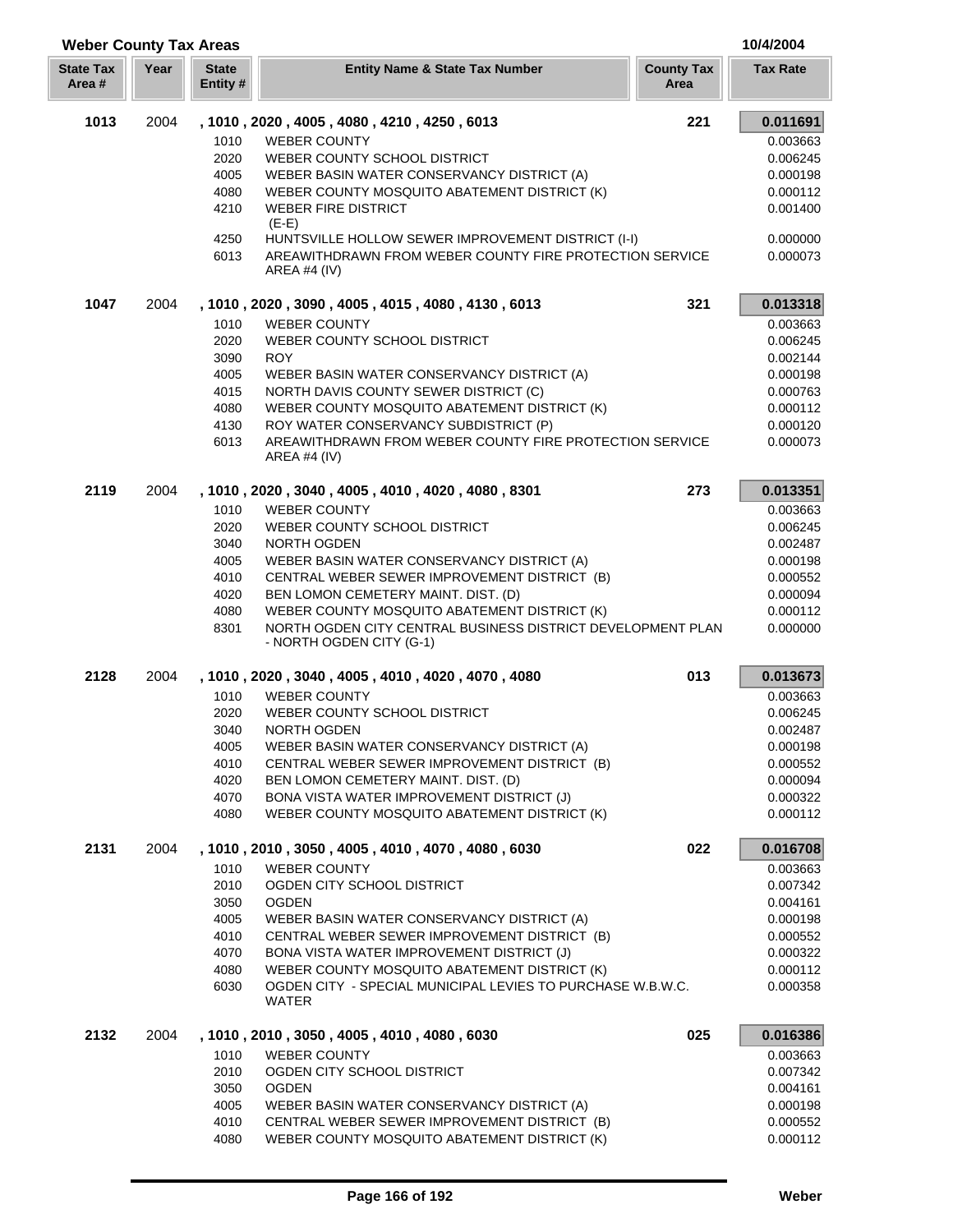| <b>Weber County Tax Areas</b> |      |                          |                                                                                         |                           | 10/4/2004            |
|-------------------------------|------|--------------------------|-----------------------------------------------------------------------------------------|---------------------------|----------------------|
| <b>State Tax</b><br>Area#     | Year | <b>State</b><br>Entity # | <b>Entity Name &amp; State Tax Number</b>                                               | <b>County Tax</b><br>Area | <b>Tax Rate</b>      |
| 1013                          | 2004 |                          | , 1010, 2020, 4005, 4080, 4210, 4250, 6013                                              | 221                       | 0.011691             |
|                               |      | 1010                     | <b>WEBER COUNTY</b>                                                                     |                           | 0.003663             |
|                               |      | 2020                     | WEBER COUNTY SCHOOL DISTRICT                                                            |                           | 0.006245             |
|                               |      | 4005                     | WEBER BASIN WATER CONSERVANCY DISTRICT (A)                                              |                           | 0.000198             |
|                               |      | 4080                     | WEBER COUNTY MOSQUITO ABATEMENT DISTRICT (K)                                            |                           | 0.000112             |
|                               |      | 4210                     | <b>WEBER FIRE DISTRICT</b><br>$(E-E)$                                                   |                           | 0.001400             |
|                               |      | 4250                     | HUNTSVILLE HOLLOW SEWER IMPROVEMENT DISTRICT (I-I)                                      |                           | 0.000000             |
|                               |      | 6013                     | AREAWITHDRAWN FROM WEBER COUNTY FIRE PROTECTION SERVICE<br>AREA #4 $(IV)$               |                           | 0.000073             |
| 1047                          | 2004 |                          | , 1010, 2020, 3090, 4005, 4015, 4080, 4130, 6013                                        | 321                       | 0.013318             |
|                               |      | 1010                     | <b>WEBER COUNTY</b>                                                                     |                           | 0.003663             |
|                               |      | 2020                     | WEBER COUNTY SCHOOL DISTRICT                                                            |                           | 0.006245             |
|                               |      | 3090                     | <b>ROY</b>                                                                              |                           | 0.002144             |
|                               |      | 4005                     | WEBER BASIN WATER CONSERVANCY DISTRICT (A)                                              |                           | 0.000198             |
|                               |      | 4015                     | NORTH DAVIS COUNTY SEWER DISTRICT (C)                                                   |                           | 0.000763             |
|                               |      | 4080                     | WEBER COUNTY MOSQUITO ABATEMENT DISTRICT (K)                                            |                           | 0.000112             |
|                               |      | 4130                     | ROY WATER CONSERVANCY SUBDISTRICT (P)                                                   |                           | 0.000120             |
|                               |      | 6013                     | AREAWITHDRAWN FROM WEBER COUNTY FIRE PROTECTION SERVICE<br>AREA #4 (IV)                 |                           | 0.000073             |
| 2119                          | 2004 |                          | , 1010, 2020, 3040, 4005, 4010, 4020, 4080, 8301                                        | 273                       | 0.013351             |
|                               |      | 1010                     | <b>WEBER COUNTY</b>                                                                     |                           | 0.003663             |
|                               |      | 2020                     | WEBER COUNTY SCHOOL DISTRICT                                                            |                           | 0.006245             |
|                               |      | 3040                     | NORTH OGDEN                                                                             |                           | 0.002487             |
|                               |      | 4005                     | WEBER BASIN WATER CONSERVANCY DISTRICT (A)                                              |                           | 0.000198             |
|                               |      | 4010                     | CENTRAL WEBER SEWER IMPROVEMENT DISTRICT (B)                                            |                           | 0.000552             |
|                               |      | 4020                     | BEN LOMON CEMETERY MAINT. DIST. (D)                                                     |                           | 0.000094             |
|                               |      | 4080                     | WEBER COUNTY MOSQUITO ABATEMENT DISTRICT (K)                                            |                           | 0.000112             |
|                               |      | 8301                     | NORTH OGDEN CITY CENTRAL BUSINESS DISTRICT DEVELOPMENT PLAN<br>- NORTH OGDEN CITY (G-1) |                           | 0.000000             |
| 2128                          | 2004 |                          | , 1010, 2020, 3040, 4005, 4010, 4020, 4070, 4080                                        | 013                       | 0.013673             |
|                               |      | 1010                     | <b>WEBER COUNTY</b>                                                                     |                           | 0.003663             |
|                               |      | 2020                     | WEBER COUNTY SCHOOL DISTRICT                                                            |                           | 0.006245             |
|                               |      | 3040                     | NORTH OGDEN                                                                             |                           | 0.002487             |
|                               |      | 4005                     | WEBER BASIN WATER CONSERVANCY DISTRICT (A)                                              |                           | 0.000198             |
|                               |      | 4010                     | CENTRAL WEBER SEWER IMPROVEMENT DISTRICT (B)                                            |                           | 0.000552             |
|                               |      | 4020                     | BEN LOMON CEMETERY MAINT. DIST. (D)                                                     |                           | 0.000094             |
|                               |      | 4070                     | BONA VISTA WATER IMPROVEMENT DISTRICT (J)                                               |                           | 0.000322             |
|                               |      | 4080                     | WEBER COUNTY MOSQUITO ABATEMENT DISTRICT (K)                                            |                           | 0.000112             |
| 2131                          | 2004 |                          | , 1010, 2010, 3050, 4005, 4010, 4070, 4080, 6030<br><b>WEBER COUNTY</b>                 | 022                       | 0.016708<br>0.003663 |
|                               |      | 1010<br>2010             | OGDEN CITY SCHOOL DISTRICT                                                              |                           | 0.007342             |
|                               |      | 3050                     | <b>OGDEN</b>                                                                            |                           | 0.004161             |
|                               |      | 4005                     | WEBER BASIN WATER CONSERVANCY DISTRICT (A)                                              |                           | 0.000198             |
|                               |      | 4010                     | CENTRAL WEBER SEWER IMPROVEMENT DISTRICT (B)                                            |                           | 0.000552             |
|                               |      | 4070                     | BONA VISTA WATER IMPROVEMENT DISTRICT (J)                                               |                           | 0.000322             |
|                               |      | 4080                     | WEBER COUNTY MOSQUITO ABATEMENT DISTRICT (K)                                            |                           | 0.000112             |
|                               |      | 6030                     | OGDEN CITY - SPECIAL MUNICIPAL LEVIES TO PURCHASE W.B.W.C.<br>WATER                     |                           | 0.000358             |
| 2132                          | 2004 |                          | , 1010, 2010, 3050, 4005, 4010, 4080, 6030                                              | 025                       | 0.016386             |
|                               |      | 1010                     | <b>WEBER COUNTY</b>                                                                     |                           | 0.003663             |
|                               |      | 2010                     | OGDEN CITY SCHOOL DISTRICT                                                              |                           | 0.007342             |
|                               |      | 3050                     | <b>OGDEN</b>                                                                            |                           | 0.004161             |
|                               |      | 4005                     | WEBER BASIN WATER CONSERVANCY DISTRICT (A)                                              |                           | 0.000198             |
|                               |      | 4010                     | CENTRAL WEBER SEWER IMPROVEMENT DISTRICT (B)                                            |                           | 0.000552             |
|                               |      | 4080                     | WEBER COUNTY MOSQUITO ABATEMENT DISTRICT (K)                                            |                           | 0.000112             |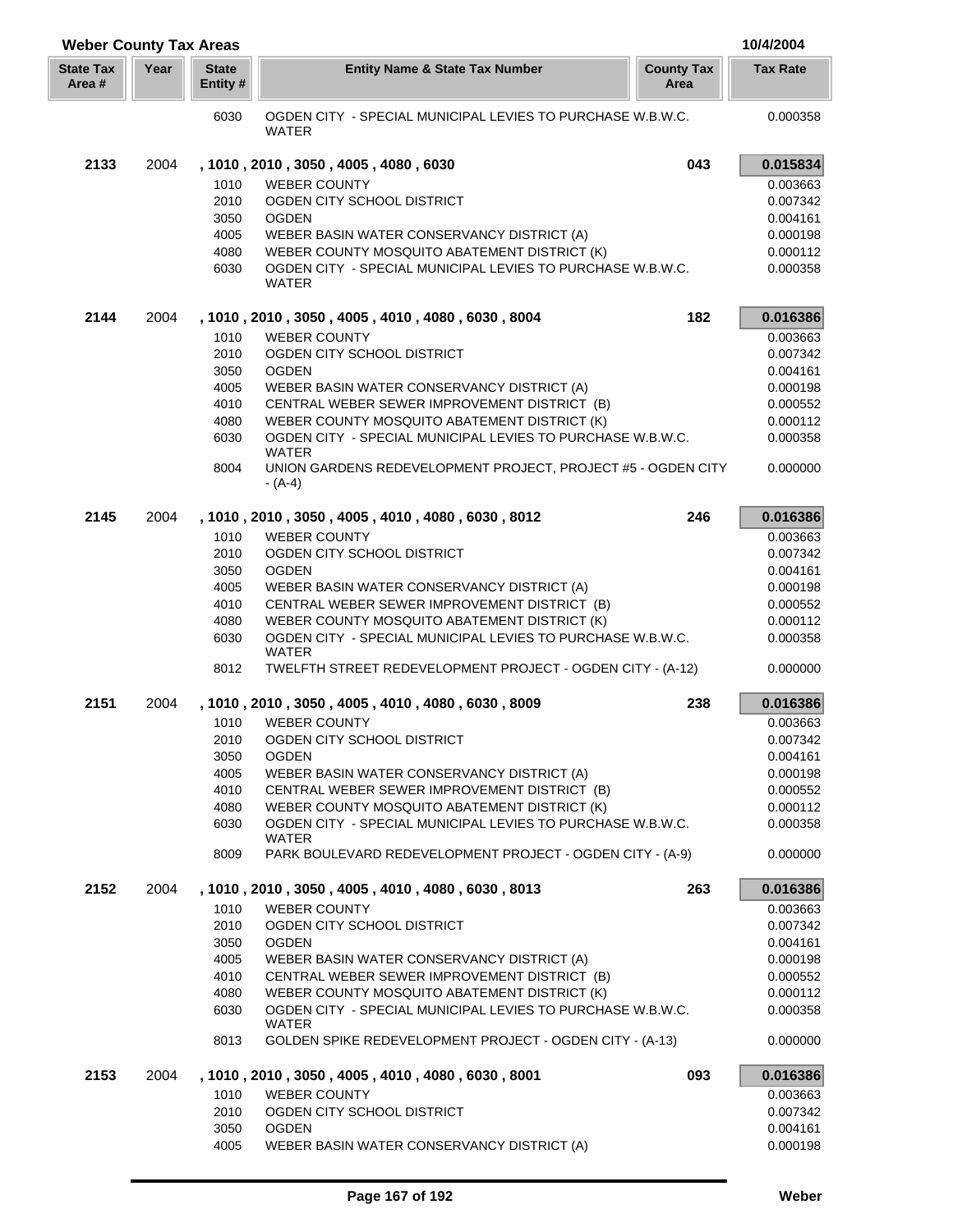| <b>Weber County Tax Areas</b> |      |                          |                                                                            |                           | 10/4/2004       |
|-------------------------------|------|--------------------------|----------------------------------------------------------------------------|---------------------------|-----------------|
| <b>State Tax</b><br>Area #    | Year | <b>State</b><br>Entity # | <b>Entity Name &amp; State Tax Number</b>                                  | <b>County Tax</b><br>Area | <b>Tax Rate</b> |
|                               |      | 6030                     | OGDEN CITY - SPECIAL MUNICIPAL LEVIES TO PURCHASE W.B.W.C.<br><b>WATER</b> |                           | 0.000358        |
| 2133                          | 2004 |                          | , 1010 , 2010 , 3050 , 4005 , 4080 , 6030                                  | 043                       | 0.015834        |
|                               |      | 1010                     | <b>WEBER COUNTY</b>                                                        |                           | 0.003663        |
|                               |      | 2010                     | OGDEN CITY SCHOOL DISTRICT                                                 |                           | 0.007342        |
|                               |      | 3050                     | <b>OGDEN</b>                                                               |                           | 0.004161        |
|                               |      | 4005                     | WEBER BASIN WATER CONSERVANCY DISTRICT (A)                                 |                           | 0.000198        |
|                               |      | 4080                     | WEBER COUNTY MOSQUITO ABATEMENT DISTRICT (K)                               |                           | 0.000112        |
|                               |      | 6030                     | OGDEN CITY - SPECIAL MUNICIPAL LEVIES TO PURCHASE W.B.W.C.<br>WATER        |                           | 0.000358        |
| 2144                          | 2004 |                          | , 1010, 2010, 3050, 4005, 4010, 4080, 6030, 8004                           | 182                       | 0.016386        |
|                               |      | 1010                     | <b>WEBER COUNTY</b>                                                        |                           | 0.003663        |
|                               |      | 2010                     | OGDEN CITY SCHOOL DISTRICT                                                 |                           | 0.007342        |
|                               |      | 3050                     | <b>OGDEN</b>                                                               |                           | 0.004161        |
|                               |      | 4005                     | WEBER BASIN WATER CONSERVANCY DISTRICT (A)                                 |                           | 0.000198        |
|                               |      | 4010                     | CENTRAL WEBER SEWER IMPROVEMENT DISTRICT (B)                               |                           | 0.000552        |
|                               |      | 4080                     | WEBER COUNTY MOSQUITO ABATEMENT DISTRICT (K)                               |                           | 0.000112        |
|                               |      | 6030                     | OGDEN CITY - SPECIAL MUNICIPAL LEVIES TO PURCHASE W.B.W.C.                 |                           | 0.000358        |
|                               |      |                          | <b>WATER</b>                                                               |                           |                 |
|                               |      | 8004                     | UNION GARDENS REDEVELOPMENT PROJECT, PROJECT #5 - OGDEN CITY<br>- (A-4)    |                           | 0.000000        |
| 2145                          | 2004 |                          | , 1010, 2010, 3050, 4005, 4010, 4080, 6030, 8012                           | 246                       | 0.016386        |
|                               |      | 1010                     | <b>WEBER COUNTY</b>                                                        |                           | 0.003663        |
|                               |      | 2010                     | OGDEN CITY SCHOOL DISTRICT                                                 |                           | 0.007342        |
|                               |      | 3050                     | <b>OGDEN</b>                                                               |                           | 0.004161        |
|                               |      | 4005                     | WEBER BASIN WATER CONSERVANCY DISTRICT (A)                                 |                           | 0.000198        |
|                               |      | 4010                     | CENTRAL WEBER SEWER IMPROVEMENT DISTRICT (B)                               |                           | 0.000552        |
|                               |      | 4080                     | WEBER COUNTY MOSQUITO ABATEMENT DISTRICT (K)                               |                           | 0.000112        |
|                               |      | 6030                     | OGDEN CITY - SPECIAL MUNICIPAL LEVIES TO PURCHASE W.B.W.C.                 |                           | 0.000358        |
|                               |      | 8012                     | WATER<br>TWELFTH STREET REDEVELOPMENT PROJECT - OGDEN CITY - (A-12)        |                           | 0.000000        |
| 2151                          | 2004 |                          | , 1010, 2010, 3050, 4005, 4010, 4080, 6030, 8009                           | 238                       | 0.016386        |
|                               |      | 1010                     | <b>WEBER COUNTY</b>                                                        |                           | 0.003663        |
|                               |      | 2010                     | OGDEN CITY SCHOOL DISTRICT                                                 |                           | 0.007342        |
|                               |      | 3050                     | <b>OGDEN</b>                                                               |                           | 0.004161        |
|                               |      | 4005                     | WEBER BASIN WATER CONSERVANCY DISTRICT (A)                                 |                           | 0.000198        |
|                               |      | 4010                     | CENTRAL WEBER SEWER IMPROVEMENT DISTRICT (B)                               |                           | 0.000552        |
|                               |      | 4080                     | WEBER COUNTY MOSQUITO ABATEMENT DISTRICT (K)                               |                           | 0.000112        |
|                               |      | 6030                     | OGDEN CITY - SPECIAL MUNICIPAL LEVIES TO PURCHASE W.B.W.C.<br>WATER        |                           | 0.000358        |
|                               |      | 8009                     | PARK BOULEVARD REDEVELOPMENT PROJECT - OGDEN CITY - (A-9)                  |                           | 0.000000        |
| 2152                          | 2004 |                          | , 1010, 2010, 3050, 4005, 4010, 4080, 6030, 8013                           | 263                       | 0.016386        |
|                               |      | 1010                     | <b>WEBER COUNTY</b>                                                        |                           | 0.003663        |
|                               |      | 2010                     | OGDEN CITY SCHOOL DISTRICT                                                 |                           | 0.007342        |
|                               |      | 3050                     | <b>OGDEN</b>                                                               |                           | 0.004161        |
|                               |      | 4005                     | WEBER BASIN WATER CONSERVANCY DISTRICT (A)                                 |                           | 0.000198        |
|                               |      | 4010                     | CENTRAL WEBER SEWER IMPROVEMENT DISTRICT (B)                               |                           | 0.000552        |
|                               |      | 4080                     | WEBER COUNTY MOSQUITO ABATEMENT DISTRICT (K)                               |                           | 0.000112        |
|                               |      | 6030                     | OGDEN CITY - SPECIAL MUNICIPAL LEVIES TO PURCHASE W.B.W.C.<br><b>WATER</b> |                           | 0.000358        |
|                               |      | 8013                     | GOLDEN SPIKE REDEVELOPMENT PROJECT - OGDEN CITY - (A-13)                   |                           | 0.000000        |
| 2153                          | 2004 |                          | , 1010, 2010, 3050, 4005, 4010, 4080, 6030, 8001                           | 093                       | 0.016386        |
|                               |      | 1010                     | <b>WEBER COUNTY</b>                                                        |                           | 0.003663        |
|                               |      | 2010                     | OGDEN CITY SCHOOL DISTRICT                                                 |                           | 0.007342        |
|                               |      | 3050                     | <b>OGDEN</b>                                                               |                           | 0.004161        |
|                               |      | 4005                     | WEBER BASIN WATER CONSERVANCY DISTRICT (A)                                 |                           | 0.000198        |

Γ I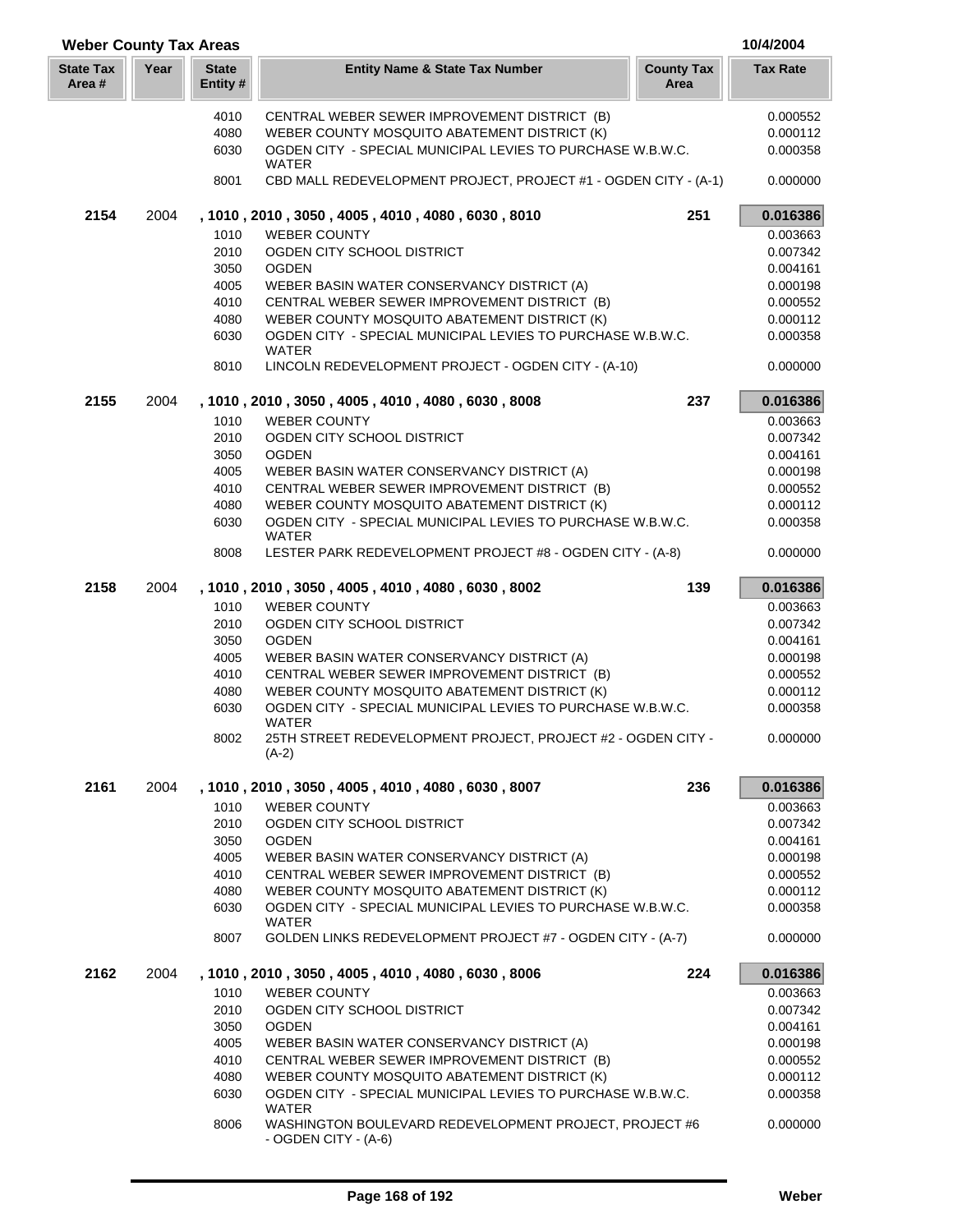| <b>Weber County Tax Areas</b> |      |                          |                                                                                 |                           | 10/4/2004            |
|-------------------------------|------|--------------------------|---------------------------------------------------------------------------------|---------------------------|----------------------|
| <b>State Tax</b><br>Area #    | Year | <b>State</b><br>Entity # | <b>Entity Name &amp; State Tax Number</b>                                       | <b>County Tax</b><br>Area | <b>Tax Rate</b>      |
|                               |      | 4010                     | CENTRAL WEBER SEWER IMPROVEMENT DISTRICT (B)                                    |                           | 0.000552             |
|                               |      | 4080                     | WEBER COUNTY MOSQUITO ABATEMENT DISTRICT (K)                                    |                           | 0.000112             |
|                               |      | 6030                     | OGDEN CITY - SPECIAL MUNICIPAL LEVIES TO PURCHASE W.B.W.C.                      |                           | 0.000358             |
|                               |      | 8001                     | <b>WATER</b><br>CBD MALL REDEVELOPMENT PROJECT, PROJECT #1 - OGDEN CITY - (A-1) |                           | 0.000000             |
| 2154                          | 2004 |                          | , 1010, 2010, 3050, 4005, 4010, 4080, 6030, 8010                                | 251                       | 0.016386             |
|                               |      | 1010                     | <b>WEBER COUNTY</b>                                                             |                           | 0.003663             |
|                               |      | 2010                     | OGDEN CITY SCHOOL DISTRICT                                                      |                           | 0.007342             |
|                               |      | 3050                     | <b>OGDEN</b>                                                                    |                           | 0.004161             |
|                               |      | 4005                     | WEBER BASIN WATER CONSERVANCY DISTRICT (A)                                      |                           | 0.000198             |
|                               |      | 4010                     | CENTRAL WEBER SEWER IMPROVEMENT DISTRICT (B)                                    |                           | 0.000552             |
|                               |      | 4080                     | WEBER COUNTY MOSQUITO ABATEMENT DISTRICT (K)                                    |                           | 0.000112             |
|                               |      | 6030                     | OGDEN CITY - SPECIAL MUNICIPAL LEVIES TO PURCHASE W.B.W.C.                      |                           | 0.000358             |
|                               |      | 8010                     | <b>WATER</b><br>LINCOLN REDEVELOPMENT PROJECT - OGDEN CITY - (A-10)             |                           | 0.000000             |
| 2155                          | 2004 |                          | , 1010, 2010, 3050, 4005, 4010, 4080, 6030, 8008                                | 237                       | 0.016386             |
|                               |      | 1010                     | <b>WEBER COUNTY</b>                                                             |                           | 0.003663             |
|                               |      | 2010                     | OGDEN CITY SCHOOL DISTRICT                                                      |                           | 0.007342             |
|                               |      | 3050                     | <b>OGDEN</b>                                                                    |                           | 0.004161             |
|                               |      | 4005                     | WEBER BASIN WATER CONSERVANCY DISTRICT (A)                                      |                           | 0.000198             |
|                               |      | 4010                     | CENTRAL WEBER SEWER IMPROVEMENT DISTRICT (B)                                    |                           | 0.000552             |
|                               |      | 4080                     | WEBER COUNTY MOSQUITO ABATEMENT DISTRICT (K)                                    |                           | 0.000112             |
|                               |      | 6030                     | OGDEN CITY - SPECIAL MUNICIPAL LEVIES TO PURCHASE W.B.W.C.                      |                           | 0.000358             |
|                               |      | 8008                     | WATER<br>LESTER PARK REDEVELOPMENT PROJECT #8 - OGDEN CITY - (A-8)              |                           | 0.000000             |
| 2158                          | 2004 |                          | , 1010, 2010, 3050, 4005, 4010, 4080, 6030, 8002                                | 139                       | 0.016386             |
|                               |      | 1010                     | <b>WEBER COUNTY</b>                                                             |                           | 0.003663             |
|                               |      | 2010                     | OGDEN CITY SCHOOL DISTRICT                                                      |                           | 0.007342             |
|                               |      | 3050                     | <b>OGDEN</b>                                                                    |                           | 0.004161             |
|                               |      | 4005                     | WEBER BASIN WATER CONSERVANCY DISTRICT (A)                                      |                           | 0.000198             |
|                               |      | 4010                     | CENTRAL WEBER SEWER IMPROVEMENT DISTRICT (B)                                    |                           | 0.000552             |
|                               |      | 4080                     | WEBER COUNTY MOSQUITO ABATEMENT DISTRICT (K)                                    |                           | 0.000112             |
|                               |      | 6030                     | OGDEN CITY - SPECIAL MUNICIPAL LEVIES TO PURCHASE W.B.W.C.                      |                           | 0.000358             |
|                               |      |                          | <b>WATER</b>                                                                    |                           |                      |
|                               |      | 8002                     | 25TH STREET REDEVELOPMENT PROJECT, PROJECT #2 - OGDEN CITY -<br>$(A-2)$         |                           | 0.000000             |
| 2161                          | 2004 |                          | , 1010, 2010, 3050, 4005, 4010, 4080, 6030, 8007                                | 236                       | 0.016386             |
|                               |      | 1010                     | <b>WEBER COUNTY</b>                                                             |                           | 0.003663             |
|                               |      | 2010                     | OGDEN CITY SCHOOL DISTRICT                                                      |                           | 0.007342             |
|                               |      | 3050                     | <b>OGDEN</b>                                                                    |                           | 0.004161             |
|                               |      | 4005                     | WEBER BASIN WATER CONSERVANCY DISTRICT (A)                                      |                           | 0.000198             |
|                               |      | 4010                     | CENTRAL WEBER SEWER IMPROVEMENT DISTRICT (B)                                    |                           | 0.000552             |
|                               |      | 4080                     | WEBER COUNTY MOSQUITO ABATEMENT DISTRICT (K)                                    |                           | 0.000112             |
|                               |      | 6030                     | OGDEN CITY - SPECIAL MUNICIPAL LEVIES TO PURCHASE W.B.W.C.<br>WATER             |                           | 0.000358             |
|                               |      | 8007                     | GOLDEN LINKS REDEVELOPMENT PROJECT #7 - OGDEN CITY - (A-7)                      |                           | 0.000000             |
| 2162                          | 2004 |                          | , 1010, 2010, 3050, 4005, 4010, 4080, 6030, 8006                                | 224                       | 0.016386             |
|                               |      | 1010<br>2010             | <b>WEBER COUNTY</b><br>OGDEN CITY SCHOOL DISTRICT                               |                           | 0.003663<br>0.007342 |
|                               |      | 3050                     | <b>OGDEN</b>                                                                    |                           | 0.004161             |
|                               |      | 4005                     | WEBER BASIN WATER CONSERVANCY DISTRICT (A)                                      |                           | 0.000198             |
|                               |      | 4010                     | CENTRAL WEBER SEWER IMPROVEMENT DISTRICT (B)                                    |                           | 0.000552             |
|                               |      | 4080                     | WEBER COUNTY MOSQUITO ABATEMENT DISTRICT (K)                                    |                           | 0.000112             |
|                               |      | 6030                     | OGDEN CITY - SPECIAL MUNICIPAL LEVIES TO PURCHASE W.B.W.C.                      |                           | 0.000358             |
|                               |      |                          | <b>WATER</b><br>WASHINGTON BOULEVARD REDEVELOPMENT PROJECT, PROJECT #6          |                           | 0.000000             |
|                               |      | 8006                     | - OGDEN CITY - (A-6)                                                            |                           |                      |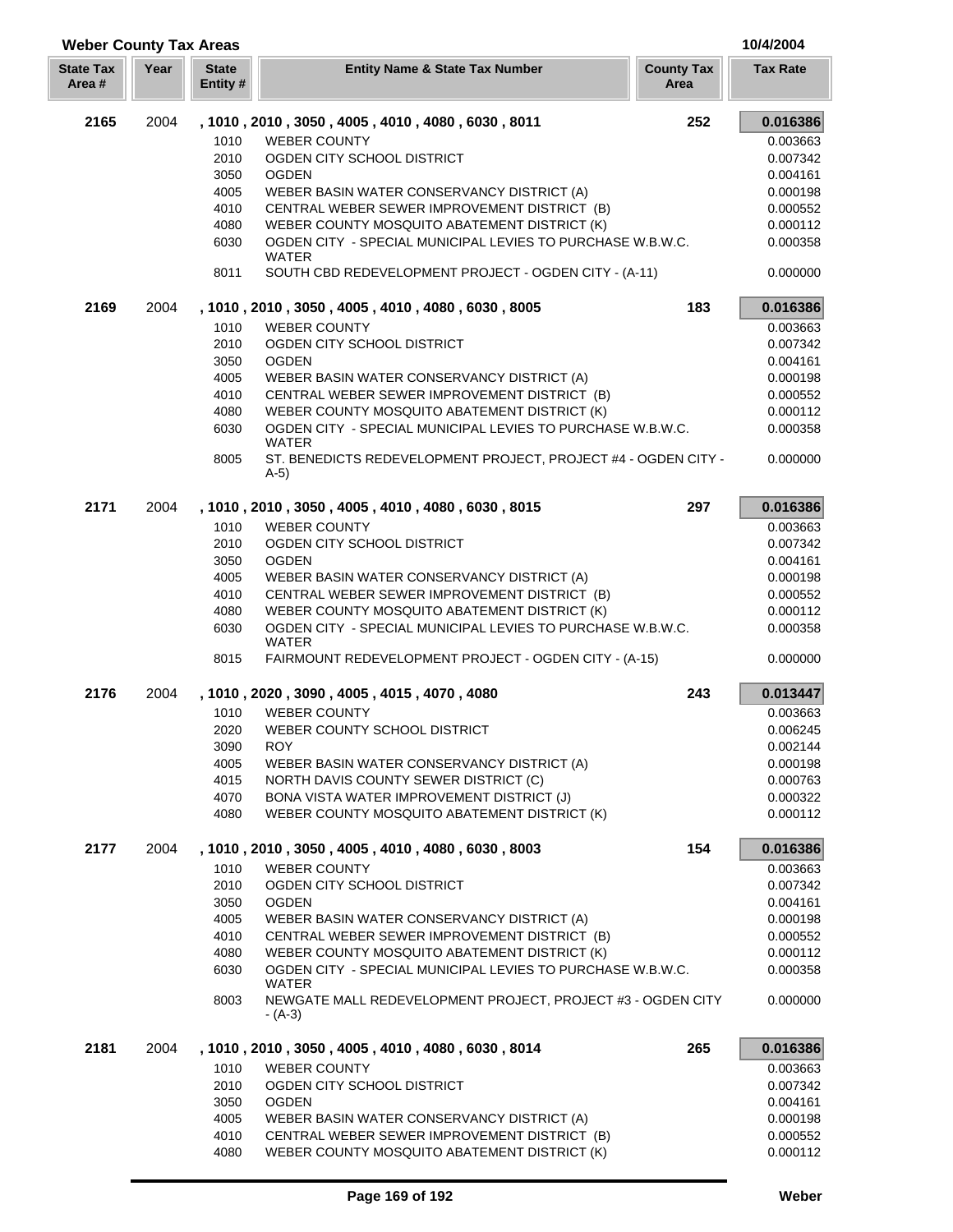| <b>Weber County Tax Areas</b> |      |                          |                                                                            |                           | 10/4/2004       |
|-------------------------------|------|--------------------------|----------------------------------------------------------------------------|---------------------------|-----------------|
| <b>State Tax</b><br>Area#     | Year | <b>State</b><br>Entity # | <b>Entity Name &amp; State Tax Number</b>                                  | <b>County Tax</b><br>Area | <b>Tax Rate</b> |
| 2165                          | 2004 |                          | , 1010, 2010, 3050, 4005, 4010, 4080, 6030, 8011                           | 252                       | 0.016386        |
|                               |      | 1010                     | <b>WEBER COUNTY</b>                                                        |                           | 0.003663        |
|                               |      | 2010                     | OGDEN CITY SCHOOL DISTRICT                                                 |                           | 0.007342        |
|                               |      | 3050                     | <b>OGDEN</b>                                                               |                           | 0.004161        |
|                               |      | 4005                     | WEBER BASIN WATER CONSERVANCY DISTRICT (A)                                 |                           | 0.000198        |
|                               |      | 4010                     | CENTRAL WEBER SEWER IMPROVEMENT DISTRICT (B)                               |                           | 0.000552        |
|                               |      | 4080                     | WEBER COUNTY MOSQUITO ABATEMENT DISTRICT (K)                               |                           | 0.000112        |
|                               |      | 6030                     | OGDEN CITY - SPECIAL MUNICIPAL LEVIES TO PURCHASE W.B.W.C.                 |                           | 0.000358        |
|                               |      | 8011                     | <b>WATER</b><br>SOUTH CBD REDEVELOPMENT PROJECT - OGDEN CITY - (A-11)      |                           | 0.000000        |
| 2169                          | 2004 |                          | , 1010, 2010, 3050, 4005, 4010, 4080, 6030, 8005                           | 183                       | 0.016386        |
|                               |      | 1010                     | <b>WEBER COUNTY</b>                                                        |                           | 0.003663        |
|                               |      | 2010                     | OGDEN CITY SCHOOL DISTRICT                                                 |                           | 0.007342        |
|                               |      | 3050                     | <b>OGDEN</b>                                                               |                           | 0.004161        |
|                               |      | 4005                     | WEBER BASIN WATER CONSERVANCY DISTRICT (A)                                 |                           | 0.000198        |
|                               |      | 4010                     | CENTRAL WEBER SEWER IMPROVEMENT DISTRICT (B)                               |                           | 0.000552        |
|                               |      | 4080                     | WEBER COUNTY MOSQUITO ABATEMENT DISTRICT (K)                               |                           | 0.000112        |
|                               |      | 6030                     | OGDEN CITY - SPECIAL MUNICIPAL LEVIES TO PURCHASE W.B.W.C.                 |                           | 0.000358        |
|                               |      |                          | <b>WATER</b>                                                               |                           |                 |
|                               |      | 8005                     | ST. BENEDICTS REDEVELOPMENT PROJECT, PROJECT #4 - OGDEN CITY -<br>$A-5)$   |                           | 0.000000        |
| 2171                          | 2004 |                          | , 1010, 2010, 3050, 4005, 4010, 4080, 6030, 8015                           | 297                       | 0.016386        |
|                               |      | 1010                     | <b>WEBER COUNTY</b>                                                        |                           | 0.003663        |
|                               |      | 2010                     | OGDEN CITY SCHOOL DISTRICT                                                 |                           | 0.007342        |
|                               |      | 3050                     | <b>OGDEN</b>                                                               |                           | 0.004161        |
|                               |      | 4005                     | WEBER BASIN WATER CONSERVANCY DISTRICT (A)                                 |                           | 0.000198        |
|                               |      | 4010                     | CENTRAL WEBER SEWER IMPROVEMENT DISTRICT (B)                               |                           | 0.000552        |
|                               |      | 4080                     | WEBER COUNTY MOSQUITO ABATEMENT DISTRICT (K)                               |                           | 0.000112        |
|                               |      | 6030                     | OGDEN CITY - SPECIAL MUNICIPAL LEVIES TO PURCHASE W.B.W.C.<br><b>WATER</b> |                           | 0.000358        |
|                               |      | 8015                     | FAIRMOUNT REDEVELOPMENT PROJECT - OGDEN CITY - (A-15)                      |                           | 0.000000        |
| 2176                          | 2004 |                          | , 1010, 2020, 3090, 4005, 4015, 4070, 4080                                 | 243                       | 0.013447        |
|                               |      | 1010                     | <b>WEBER COUNTY</b>                                                        |                           | 0.003663        |
|                               |      | 2020                     | WEBER COUNTY SCHOOL DISTRICT                                               |                           | 0.006245        |
|                               |      | 3090                     | <b>ROY</b>                                                                 |                           | 0.002144        |
|                               |      | 4005                     | WEBER BASIN WATER CONSERVANCY DISTRICT (A)                                 |                           | 0.000198        |
|                               |      | 4015                     | NORTH DAVIS COUNTY SEWER DISTRICT (C)                                      |                           | 0.000763        |
|                               |      | 4070                     | BONA VISTA WATER IMPROVEMENT DISTRICT (J)                                  |                           | 0.000322        |
|                               |      | 4080                     | WEBER COUNTY MOSQUITO ABATEMENT DISTRICT (K)                               |                           | 0.000112        |
| 2177                          | 2004 |                          | , 1010, 2010, 3050, 4005, 4010, 4080, 6030, 8003                           | 154                       | 0.016386        |
|                               |      | 1010                     | <b>WEBER COUNTY</b>                                                        |                           | 0.003663        |
|                               |      | 2010                     | OGDEN CITY SCHOOL DISTRICT                                                 |                           | 0.007342        |
|                               |      | 3050                     | <b>OGDEN</b>                                                               |                           | 0.004161        |
|                               |      | 4005                     | WEBER BASIN WATER CONSERVANCY DISTRICT (A)                                 |                           | 0.000198        |
|                               |      | 4010                     | CENTRAL WEBER SEWER IMPROVEMENT DISTRICT (B)                               |                           | 0.000552        |
|                               |      | 4080                     | WEBER COUNTY MOSQUITO ABATEMENT DISTRICT (K)                               |                           | 0.000112        |
|                               |      | 6030                     | OGDEN CITY - SPECIAL MUNICIPAL LEVIES TO PURCHASE W.B.W.C.<br>WATER        |                           | 0.000358        |
|                               |      | 8003                     | NEWGATE MALL REDEVELOPMENT PROJECT, PROJECT #3 - OGDEN CITY<br>$-(A-3)$    |                           | 0.000000        |
| 2181                          | 2004 |                          | , 1010, 2010, 3050, 4005, 4010, 4080, 6030, 8014                           | 265                       | 0.016386        |
|                               |      | 1010                     | <b>WEBER COUNTY</b>                                                        |                           | 0.003663        |
|                               |      | 2010                     | OGDEN CITY SCHOOL DISTRICT                                                 |                           | 0.007342        |
|                               |      | 3050                     | <b>OGDEN</b>                                                               |                           | 0.004161        |
|                               |      | 4005                     | WEBER BASIN WATER CONSERVANCY DISTRICT (A)                                 |                           | 0.000198        |
|                               |      | 4010                     | CENTRAL WEBER SEWER IMPROVEMENT DISTRICT (B)                               |                           | 0.000552        |
|                               |      | 4080                     | WEBER COUNTY MOSQUITO ABATEMENT DISTRICT (K)                               |                           | 0.000112        |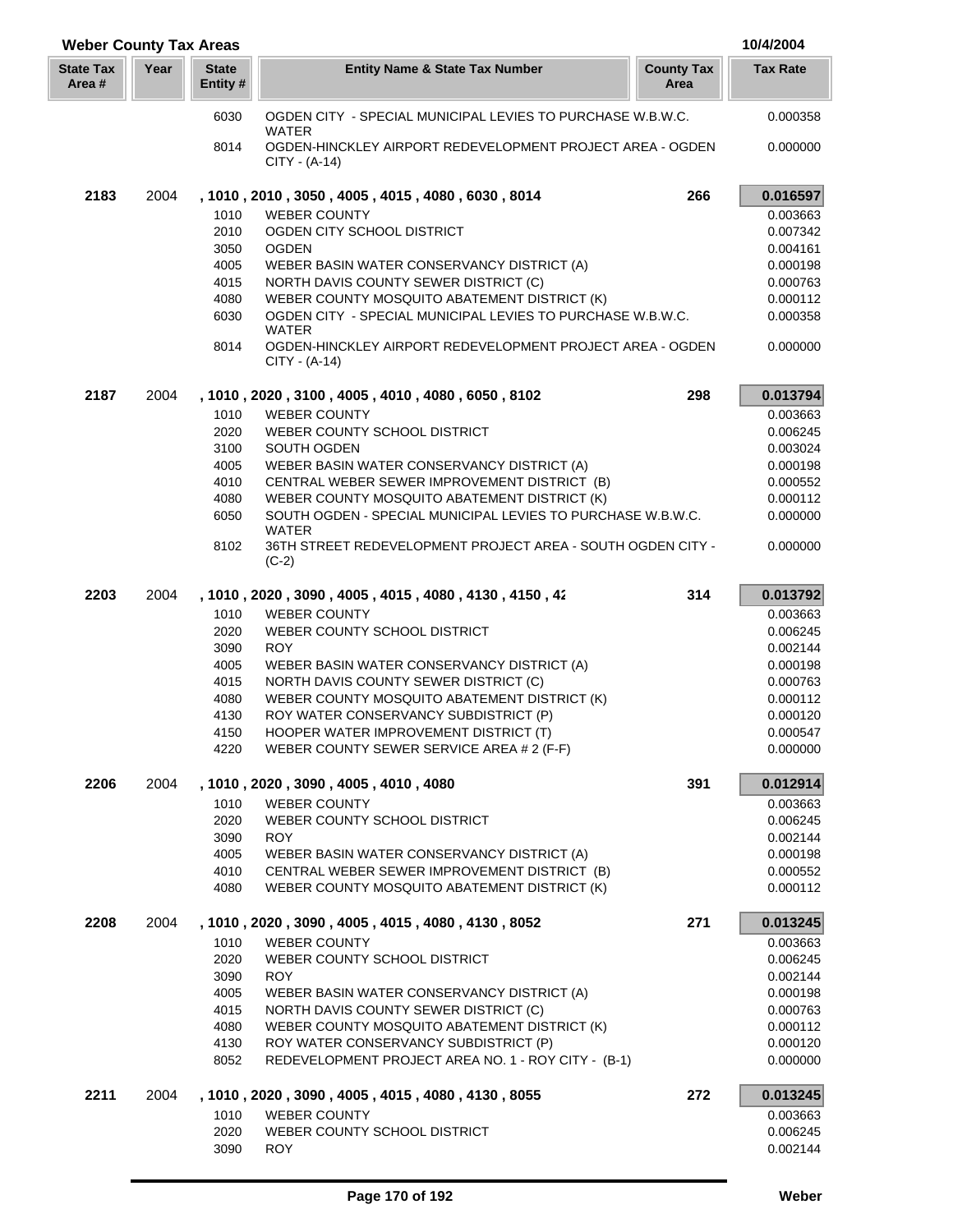| <b>Weber County Tax Areas</b> |      |                         |                                                                                              |                           | 10/4/2004            |
|-------------------------------|------|-------------------------|----------------------------------------------------------------------------------------------|---------------------------|----------------------|
| <b>State Tax</b><br>Area #    | Year | <b>State</b><br>Entity# | <b>Entity Name &amp; State Tax Number</b>                                                    | <b>County Tax</b><br>Area | <b>Tax Rate</b>      |
|                               |      | 6030                    | OGDEN CITY - SPECIAL MUNICIPAL LEVIES TO PURCHASE W.B.W.C.                                   |                           | 0.000358             |
|                               |      | 8014                    | <b>WATER</b><br>OGDEN-HINCKLEY AIRPORT REDEVELOPMENT PROJECT AREA - OGDEN<br>$CITY - (A-14)$ |                           | 0.000000             |
| 2183                          | 2004 |                         | , 1010, 2010, 3050, 4005, 4015, 4080, 6030, 8014                                             | 266                       | 0.016597             |
|                               |      | 1010                    | <b>WEBER COUNTY</b>                                                                          |                           | 0.003663             |
|                               |      | 2010                    | OGDEN CITY SCHOOL DISTRICT                                                                   |                           | 0.007342             |
|                               |      | 3050                    | <b>OGDEN</b>                                                                                 |                           | 0.004161             |
|                               |      | 4005                    | WEBER BASIN WATER CONSERVANCY DISTRICT (A)                                                   |                           | 0.000198             |
|                               |      | 4015                    | NORTH DAVIS COUNTY SEWER DISTRICT (C)                                                        |                           | 0.000763             |
|                               |      | 4080                    | WEBER COUNTY MOSQUITO ABATEMENT DISTRICT (K)                                                 |                           | 0.000112             |
|                               |      | 6030                    | OGDEN CITY - SPECIAL MUNICIPAL LEVIES TO PURCHASE W.B.W.C.<br><b>WATER</b>                   |                           | 0.000358             |
|                               |      | 8014                    | OGDEN-HINCKLEY AIRPORT REDEVELOPMENT PROJECT AREA - OGDEN<br>$CITY - (A-14)$                 |                           | 0.000000             |
| 2187                          | 2004 |                         | , 1010, 2020, 3100, 4005, 4010, 4080, 6050, 8102                                             | 298                       | 0.013794             |
|                               |      | 1010                    | <b>WEBER COUNTY</b>                                                                          |                           | 0.003663             |
|                               |      | 2020                    | WEBER COUNTY SCHOOL DISTRICT                                                                 |                           | 0.006245             |
|                               |      | 3100                    | SOUTH OGDEN                                                                                  |                           | 0.003024             |
|                               |      | 4005                    | WEBER BASIN WATER CONSERVANCY DISTRICT (A)                                                   |                           | 0.000198             |
|                               |      | 4010                    | CENTRAL WEBER SEWER IMPROVEMENT DISTRICT (B)                                                 |                           | 0.000552             |
|                               |      | 4080                    | WEBER COUNTY MOSQUITO ABATEMENT DISTRICT (K)                                                 |                           | 0.000112             |
|                               |      | 6050                    | SOUTH OGDEN - SPECIAL MUNICIPAL LEVIES TO PURCHASE W.B.W.C.<br><b>WATER</b>                  |                           | 0.000000             |
|                               |      | 8102                    | 36TH STREET REDEVELOPMENT PROJECT AREA - SOUTH OGDEN CITY -<br>$(C-2)$                       |                           | 0.000000             |
| 2203                          | 2004 |                         | , 1010, 2020, 3090, 4005, 4015, 4080, 4130, 4150, 42                                         | 314                       | 0.013792             |
|                               |      | 1010                    | <b>WEBER COUNTY</b>                                                                          |                           | 0.003663             |
|                               |      | 2020                    | WEBER COUNTY SCHOOL DISTRICT                                                                 |                           | 0.006245             |
|                               |      | 3090                    | <b>ROY</b>                                                                                   |                           | 0.002144             |
|                               |      | 4005                    | WEBER BASIN WATER CONSERVANCY DISTRICT (A)                                                   |                           | 0.000198             |
|                               |      | 4015                    | NORTH DAVIS COUNTY SEWER DISTRICT (C)                                                        |                           | 0.000763             |
|                               |      | 4080                    | WEBER COUNTY MOSQUITO ABATEMENT DISTRICT (K)                                                 |                           | 0.000112             |
|                               |      | 4130                    | ROY WATER CONSERVANCY SUBDISTRICT (P)                                                        |                           | 0.000120             |
|                               |      | 4150<br>4220            | HOOPER WATER IMPROVEMENT DISTRICT (T)<br>WEBER COUNTY SEWER SERVICE AREA # 2 (F-F)           |                           | 0.000547<br>0.000000 |
| 2206                          | 2004 |                         |                                                                                              | 391                       | 0.012914             |
|                               |      |                         | , 1010 , 2020 , 3090 , 4005 , 4010 , 4080                                                    |                           |                      |
|                               |      | 1010                    | <b>WEBER COUNTY</b><br>WEBER COUNTY SCHOOL DISTRICT                                          |                           | 0.003663<br>0.006245 |
|                               |      | 2020<br>3090            | <b>ROY</b>                                                                                   |                           | 0.002144             |
|                               |      | 4005                    | WEBER BASIN WATER CONSERVANCY DISTRICT (A)                                                   |                           | 0.000198             |
|                               |      | 4010                    | CENTRAL WEBER SEWER IMPROVEMENT DISTRICT (B)                                                 |                           | 0.000552             |
|                               |      | 4080                    | WEBER COUNTY MOSQUITO ABATEMENT DISTRICT (K)                                                 |                           | 0.000112             |
| 2208                          | 2004 |                         | , 1010, 2020, 3090, 4005, 4015, 4080, 4130, 8052                                             | 271                       | 0.013245             |
|                               |      | 1010                    | <b>WEBER COUNTY</b>                                                                          |                           | 0.003663             |
|                               |      | 2020                    | WEBER COUNTY SCHOOL DISTRICT                                                                 |                           | 0.006245             |
|                               |      | 3090                    | <b>ROY</b>                                                                                   |                           | 0.002144             |
|                               |      | 4005                    | WEBER BASIN WATER CONSERVANCY DISTRICT (A)                                                   |                           | 0.000198             |
|                               |      | 4015                    | NORTH DAVIS COUNTY SEWER DISTRICT (C)                                                        |                           | 0.000763             |
|                               |      | 4080                    | WEBER COUNTY MOSQUITO ABATEMENT DISTRICT (K)                                                 |                           | 0.000112             |
|                               |      | 4130                    | ROY WATER CONSERVANCY SUBDISTRICT (P)                                                        |                           | 0.000120             |
|                               |      | 8052                    | REDEVELOPMENT PROJECT AREA NO. 1 - ROY CITY - (B-1)                                          |                           | 0.000000             |
| 2211                          | 2004 |                         | , 1010, 2020, 3090, 4005, 4015, 4080, 4130, 8055                                             | 272                       | 0.013245             |
|                               |      | 1010<br>2020            | <b>WEBER COUNTY</b><br>WEBER COUNTY SCHOOL DISTRICT                                          |                           | 0.003663<br>0.006245 |
|                               |      | 3090                    | <b>ROY</b>                                                                                   |                           | 0.002144             |
|                               |      |                         |                                                                                              |                           |                      |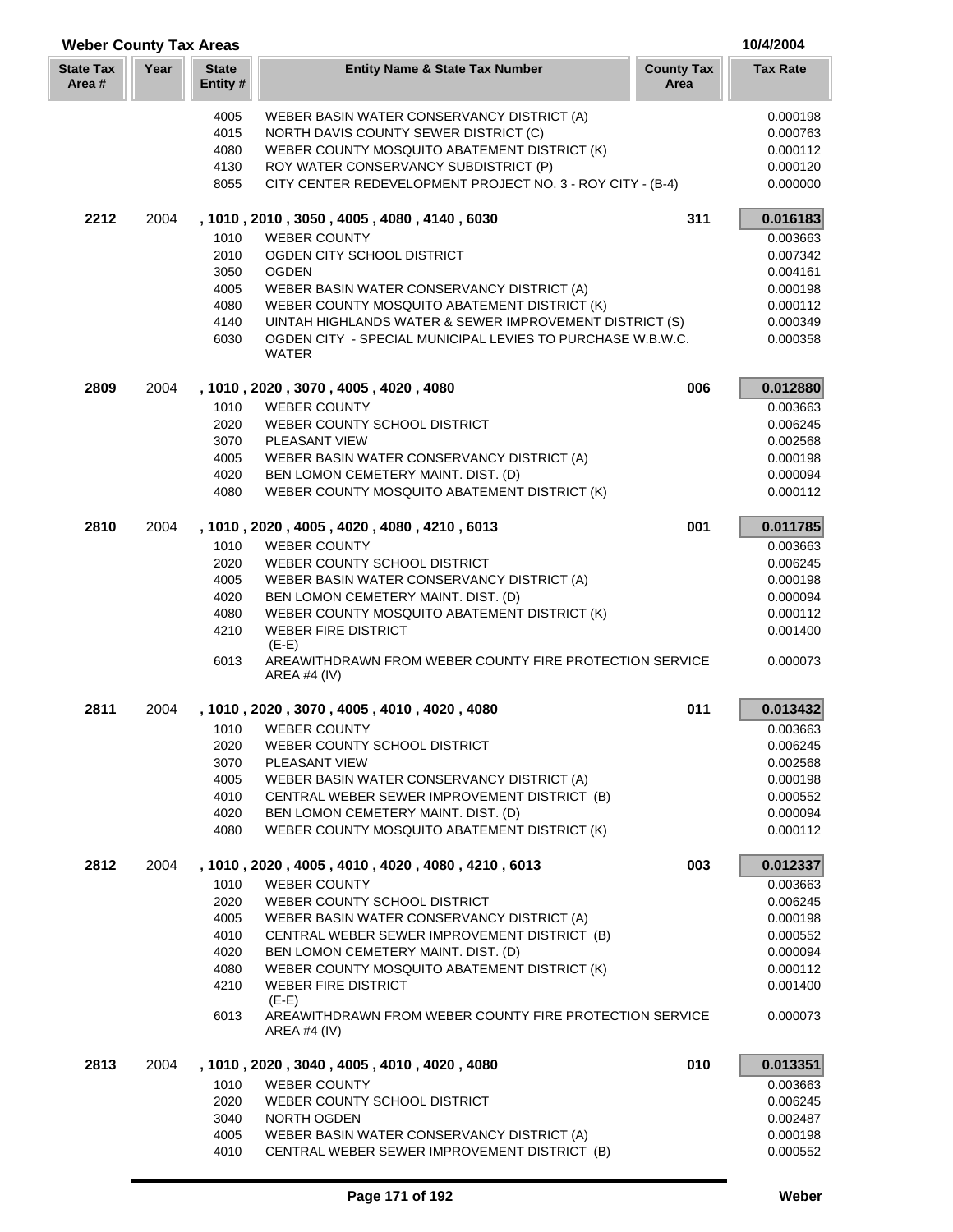| <b>Weber County Tax Areas</b> |      |                          |                                                                                            |                           | 10/4/2004            |
|-------------------------------|------|--------------------------|--------------------------------------------------------------------------------------------|---------------------------|----------------------|
| <b>State Tax</b><br>Area #    | Year | <b>State</b><br>Entity # | <b>Entity Name &amp; State Tax Number</b>                                                  | <b>County Tax</b><br>Area | <b>Tax Rate</b>      |
|                               |      | 4005                     | WEBER BASIN WATER CONSERVANCY DISTRICT (A)                                                 |                           | 0.000198             |
|                               |      | 4015                     | NORTH DAVIS COUNTY SEWER DISTRICT (C)                                                      |                           | 0.000763             |
|                               |      | 4080                     | WEBER COUNTY MOSQUITO ABATEMENT DISTRICT (K)                                               |                           | 0.000112             |
|                               |      | 4130                     | ROY WATER CONSERVANCY SUBDISTRICT (P)                                                      |                           | 0.000120             |
|                               |      | 8055                     | CITY CENTER REDEVELOPMENT PROJECT NO. 3 - ROY CITY - (B-4)                                 |                           | 0.000000             |
| 2212                          | 2004 |                          | , 1010, 2010, 3050, 4005, 4080, 4140, 6030                                                 | 311                       | 0.016183             |
|                               |      | 1010                     | <b>WEBER COUNTY</b>                                                                        |                           | 0.003663             |
|                               |      | 2010                     | OGDEN CITY SCHOOL DISTRICT                                                                 |                           | 0.007342             |
|                               |      | 3050                     | <b>OGDEN</b>                                                                               |                           | 0.004161<br>0.000198 |
|                               |      | 4005<br>4080             | WEBER BASIN WATER CONSERVANCY DISTRICT (A)<br>WEBER COUNTY MOSQUITO ABATEMENT DISTRICT (K) |                           | 0.000112             |
|                               |      | 4140                     | UINTAH HIGHLANDS WATER & SEWER IMPROVEMENT DISTRICT (S)                                    |                           | 0.000349             |
|                               |      | 6030                     | OGDEN CITY - SPECIAL MUNICIPAL LEVIES TO PURCHASE W.B.W.C.<br>WATER                        |                           | 0.000358             |
| 2809                          | 2004 |                          | , 1010, 2020, 3070, 4005, 4020, 4080                                                       | 006                       | 0.012880             |
|                               |      | 1010                     | <b>WEBER COUNTY</b>                                                                        |                           | 0.003663             |
|                               |      | 2020                     | WEBER COUNTY SCHOOL DISTRICT                                                               |                           | 0.006245             |
|                               |      | 3070                     | PLEASANT VIEW                                                                              |                           | 0.002568             |
|                               |      | 4005                     | WEBER BASIN WATER CONSERVANCY DISTRICT (A)                                                 |                           | 0.000198             |
|                               |      | 4020                     | BEN LOMON CEMETERY MAINT. DIST. (D)                                                        |                           | 0.000094             |
|                               |      | 4080                     | WEBER COUNTY MOSQUITO ABATEMENT DISTRICT (K)                                               |                           | 0.000112             |
| 2810                          | 2004 |                          | , 1010, 2020, 4005, 4020, 4080, 4210, 6013                                                 | 001                       | 0.011785             |
|                               |      | 1010                     | <b>WEBER COUNTY</b>                                                                        |                           | 0.003663             |
|                               |      | 2020<br>4005             | WEBER COUNTY SCHOOL DISTRICT<br>WEBER BASIN WATER CONSERVANCY DISTRICT (A)                 |                           | 0.006245<br>0.000198 |
|                               |      | 4020                     | BEN LOMON CEMETERY MAINT. DIST. (D)                                                        |                           | 0.000094             |
|                               |      | 4080                     | WEBER COUNTY MOSQUITO ABATEMENT DISTRICT (K)                                               |                           | 0.000112             |
|                               |      | 4210                     | <b>WEBER FIRE DISTRICT</b>                                                                 |                           | 0.001400             |
|                               |      |                          | $(E-E)$                                                                                    |                           |                      |
|                               |      | 6013                     | AREAWITHDRAWN FROM WEBER COUNTY FIRE PROTECTION SERVICE<br>AREA #4 $(IV)$                  |                           | 0.000073             |
| 2811                          | 2004 |                          | , 1010, 2020, 3070, 4005, 4010, 4020, 4080                                                 | 011                       | 0.013432             |
|                               |      | 1010                     | <b>WEBER COUNTY</b>                                                                        |                           | 0.003663             |
|                               |      | 2020                     | WEBER COUNTY SCHOOL DISTRICT                                                               |                           | 0.006245             |
|                               |      | 3070                     | PLEASANT VIEW                                                                              |                           | 0.002568             |
|                               |      | 4005<br>4010             | WEBER BASIN WATER CONSERVANCY DISTRICT (A)<br>CENTRAL WEBER SEWER IMPROVEMENT DISTRICT (B) |                           | 0.000198<br>0.000552 |
|                               |      | 4020                     | BEN LOMON CEMETERY MAINT. DIST. (D)                                                        |                           | 0.000094             |
|                               |      | 4080                     | WEBER COUNTY MOSQUITO ABATEMENT DISTRICT (K)                                               |                           | 0.000112             |
| 2812                          | 2004 |                          | , 1010, 2020, 4005, 4010, 4020, 4080, 4210, 6013                                           | 003                       | 0.012337             |
|                               |      | 1010                     | <b>WEBER COUNTY</b>                                                                        |                           | 0.003663             |
|                               |      | 2020                     | WEBER COUNTY SCHOOL DISTRICT                                                               |                           | 0.006245             |
|                               |      | 4005                     | WEBER BASIN WATER CONSERVANCY DISTRICT (A)                                                 |                           | 0.000198             |
|                               |      | 4010                     | CENTRAL WEBER SEWER IMPROVEMENT DISTRICT (B)                                               |                           | 0.000552             |
|                               |      | 4020                     | BEN LOMON CEMETERY MAINT. DIST. (D)                                                        |                           | 0.000094             |
|                               |      | 4080                     | WEBER COUNTY MOSQUITO ABATEMENT DISTRICT (K)                                               |                           | 0.000112             |
|                               |      | 4210                     | <b>WEBER FIRE DISTRICT</b><br>$(E-E)$                                                      |                           | 0.001400             |
|                               |      | 6013                     | AREAWITHDRAWN FROM WEBER COUNTY FIRE PROTECTION SERVICE<br>AREA #4 $(IV)$                  |                           | 0.000073             |
| 2813                          | 2004 |                          | , 1010 , 2020 , 3040 , 4005 , 4010 , 4020 , 4080                                           | 010                       | 0.013351             |
|                               |      | 1010                     | <b>WEBER COUNTY</b>                                                                        |                           | 0.003663             |
|                               |      | 2020                     | WEBER COUNTY SCHOOL DISTRICT                                                               |                           | 0.006245             |
|                               |      | 3040                     | NORTH OGDEN                                                                                |                           | 0.002487             |
|                               |      | 4005                     | WEBER BASIN WATER CONSERVANCY DISTRICT (A)                                                 |                           | 0.000198             |
|                               |      | 4010                     | CENTRAL WEBER SEWER IMPROVEMENT DISTRICT (B)                                               |                           | 0.000552             |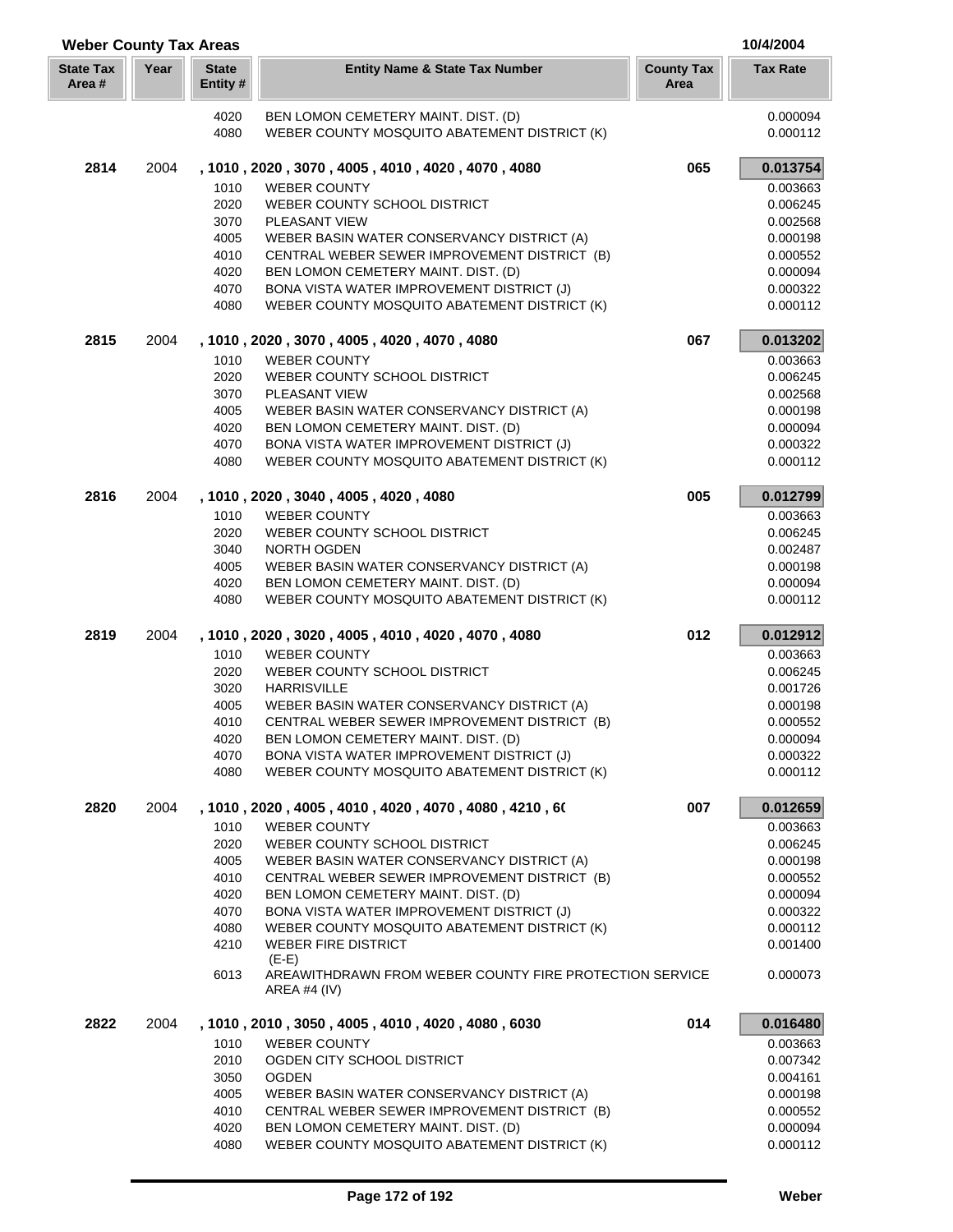| <b>Weber County Tax Areas</b> |      |                         |                                                                                     |                           | 10/4/2004            |
|-------------------------------|------|-------------------------|-------------------------------------------------------------------------------------|---------------------------|----------------------|
| <b>State Tax</b><br>Area #    | Year | <b>State</b><br>Entity# | <b>Entity Name &amp; State Tax Number</b>                                           | <b>County Tax</b><br>Area | <b>Tax Rate</b>      |
|                               |      | 4020                    | BEN LOMON CEMETERY MAINT. DIST. (D)                                                 |                           | 0.000094             |
|                               |      | 4080                    | WEBER COUNTY MOSQUITO ABATEMENT DISTRICT (K)                                        |                           | 0.000112             |
| 2814                          | 2004 |                         | , 1010, 2020, 3070, 4005, 4010, 4020, 4070, 4080                                    | 065                       | 0.013754             |
|                               |      | 1010                    | <b>WEBER COUNTY</b>                                                                 |                           | 0.003663             |
|                               |      | 2020                    | WEBER COUNTY SCHOOL DISTRICT                                                        |                           | 0.006245             |
|                               |      | 3070                    | PLEASANT VIEW                                                                       |                           | 0.002568             |
|                               |      | 4005                    | WEBER BASIN WATER CONSERVANCY DISTRICT (A)                                          |                           | 0.000198             |
|                               |      | 4010                    | CENTRAL WEBER SEWER IMPROVEMENT DISTRICT (B)                                        |                           | 0.000552             |
|                               |      | 4020                    | BEN LOMON CEMETERY MAINT. DIST. (D)                                                 |                           | 0.000094             |
|                               |      | 4070                    | BONA VISTA WATER IMPROVEMENT DISTRICT (J)                                           |                           | 0.000322             |
|                               |      | 4080                    | WEBER COUNTY MOSQUITO ABATEMENT DISTRICT (K)                                        |                           | 0.000112             |
| 2815                          | 2004 |                         | , 1010, 2020, 3070, 4005, 4020, 4070, 4080                                          | 067                       | 0.013202             |
|                               |      | 1010                    | <b>WEBER COUNTY</b>                                                                 |                           | 0.003663             |
|                               |      | 2020                    | WEBER COUNTY SCHOOL DISTRICT                                                        |                           | 0.006245             |
|                               |      | 3070                    | PLEASANT VIEW                                                                       |                           | 0.002568             |
|                               |      | 4005                    | WEBER BASIN WATER CONSERVANCY DISTRICT (A)                                          |                           | 0.000198             |
|                               |      | 4020                    | BEN LOMON CEMETERY MAINT. DIST. (D)                                                 |                           | 0.000094             |
|                               |      | 4070                    | BONA VISTA WATER IMPROVEMENT DISTRICT (J)                                           |                           | 0.000322             |
|                               |      | 4080                    | WEBER COUNTY MOSQUITO ABATEMENT DISTRICT (K)                                        |                           | 0.000112             |
| 2816                          | 2004 |                         | , 1010 , 2020 , 3040 , 4005 , 4020 , 4080                                           | 005                       | 0.012799             |
|                               |      | 1010                    | <b>WEBER COUNTY</b>                                                                 |                           | 0.003663             |
|                               |      | 2020                    | WEBER COUNTY SCHOOL DISTRICT                                                        |                           | 0.006245             |
|                               |      | 3040                    | <b>NORTH OGDEN</b>                                                                  |                           | 0.002487             |
|                               |      | 4005                    | WEBER BASIN WATER CONSERVANCY DISTRICT (A)                                          |                           | 0.000198             |
|                               |      | 4020                    | BEN LOMON CEMETERY MAINT. DIST. (D)                                                 |                           | 0.000094             |
|                               |      | 4080                    | WEBER COUNTY MOSQUITO ABATEMENT DISTRICT (K)                                        |                           | 0.000112             |
| 2819                          | 2004 |                         | , 1010, 2020, 3020, 4005, 4010, 4020, 4070, 4080                                    | 012                       | 0.012912             |
|                               |      | 1010                    | <b>WEBER COUNTY</b>                                                                 |                           | 0.003663             |
|                               |      | 2020                    | WEBER COUNTY SCHOOL DISTRICT                                                        |                           | 0.006245             |
|                               |      | 3020                    | <b>HARRISVILLE</b>                                                                  |                           | 0.001726             |
|                               |      | 4005                    | WEBER BASIN WATER CONSERVANCY DISTRICT (A)                                          |                           | 0.000198             |
|                               |      | 4010<br>4020            | CENTRAL WEBER SEWER IMPROVEMENT DISTRICT (B)<br>BEN LOMON CEMETERY MAINT. DIST. (D) |                           | 0.000552<br>0.000094 |
|                               |      | 4070                    | BONA VISTA WATER IMPROVEMENT DISTRICT (J)                                           |                           | 0.000322             |
|                               |      | 4080                    | WEBER COUNTY MOSQUITO ABATEMENT DISTRICT (K)                                        |                           | 0.000112             |
|                               |      |                         |                                                                                     |                           |                      |
| 2820                          | 2004 |                         | , 1010, 2020, 4005, 4010, 4020, 4070, 4080, 4210, 60                                | 007                       | 0.012659             |
|                               |      | 1010                    | <b>WEBER COUNTY</b>                                                                 |                           | 0.003663             |
|                               |      | 2020<br>4005            | WEBER COUNTY SCHOOL DISTRICT<br>WEBER BASIN WATER CONSERVANCY DISTRICT (A)          |                           | 0.006245<br>0.000198 |
|                               |      | 4010                    | CENTRAL WEBER SEWER IMPROVEMENT DISTRICT (B)                                        |                           | 0.000552             |
|                               |      | 4020                    | BEN LOMON CEMETERY MAINT. DIST. (D)                                                 |                           | 0.000094             |
|                               |      | 4070                    | BONA VISTA WATER IMPROVEMENT DISTRICT (J)                                           |                           | 0.000322             |
|                               |      | 4080                    | WEBER COUNTY MOSQUITO ABATEMENT DISTRICT (K)                                        |                           | 0.000112             |
|                               |      | 4210                    | <b>WEBER FIRE DISTRICT</b>                                                          |                           | 0.001400             |
|                               |      |                         | $(E-E)$                                                                             |                           |                      |
|                               |      | 6013                    | AREAWITHDRAWN FROM WEBER COUNTY FIRE PROTECTION SERVICE<br>AREA #4 (IV)             |                           | 0.000073             |
| 2822                          | 2004 |                         | , 1010, 2010, 3050, 4005, 4010, 4020, 4080, 6030                                    | 014                       | 0.016480             |
|                               |      | 1010                    | <b>WEBER COUNTY</b>                                                                 |                           | 0.003663             |
|                               |      | 2010                    | OGDEN CITY SCHOOL DISTRICT                                                          |                           | 0.007342             |
|                               |      | 3050                    | <b>OGDEN</b>                                                                        |                           | 0.004161             |
|                               |      | 4005                    | WEBER BASIN WATER CONSERVANCY DISTRICT (A)                                          |                           | 0.000198             |
|                               |      | 4010                    | CENTRAL WEBER SEWER IMPROVEMENT DISTRICT (B)                                        |                           | 0.000552             |
|                               |      | 4020                    | BEN LOMON CEMETERY MAINT. DIST. (D)                                                 |                           | 0.000094             |
|                               |      | 4080                    | WEBER COUNTY MOSQUITO ABATEMENT DISTRICT (K)                                        |                           | 0.000112             |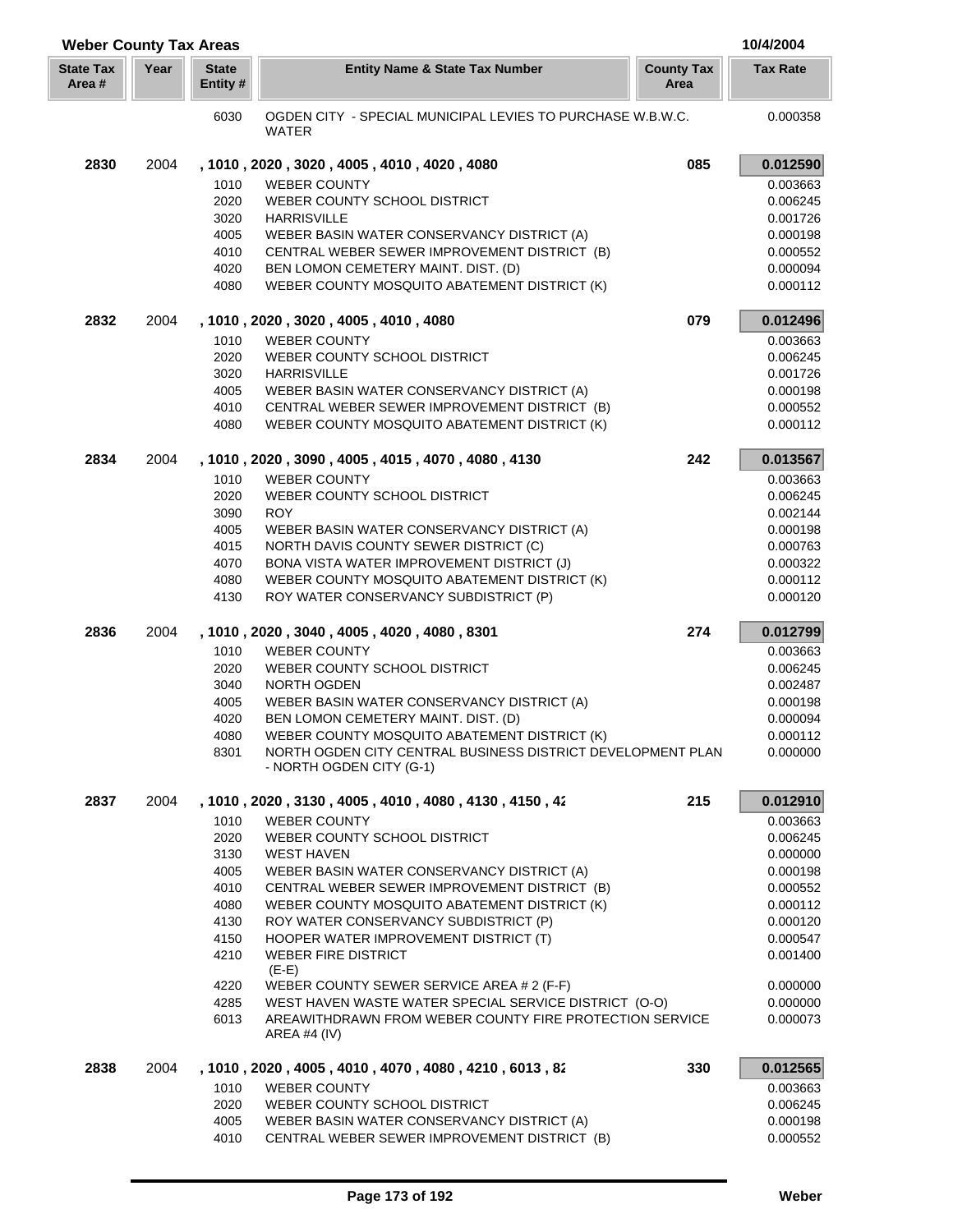| <b>Weber County Tax Areas</b> |      |                          |                                                                                                             |                           | 10/4/2004            |
|-------------------------------|------|--------------------------|-------------------------------------------------------------------------------------------------------------|---------------------------|----------------------|
| <b>State Tax</b><br>Area #    | Year | <b>State</b><br>Entity # | <b>Entity Name &amp; State Tax Number</b>                                                                   | <b>County Tax</b><br>Area | <b>Tax Rate</b>      |
|                               |      | 6030                     | OGDEN CITY - SPECIAL MUNICIPAL LEVIES TO PURCHASE W.B.W.C.<br><b>WATER</b>                                  |                           | 0.000358             |
| 2830                          | 2004 |                          | , 1010 , 2020 , 3020 , 4005 , 4010 , 4020 , 4080                                                            | 085                       | 0.012590             |
|                               |      | 1010                     | <b>WEBER COUNTY</b>                                                                                         |                           | 0.003663             |
|                               |      | 2020                     | WEBER COUNTY SCHOOL DISTRICT                                                                                |                           | 0.006245             |
|                               |      | 3020                     | <b>HARRISVILLE</b>                                                                                          |                           | 0.001726             |
|                               |      | 4005                     | WEBER BASIN WATER CONSERVANCY DISTRICT (A)                                                                  |                           | 0.000198             |
|                               |      | 4010                     | CENTRAL WEBER SEWER IMPROVEMENT DISTRICT (B)                                                                |                           | 0.000552             |
|                               |      | 4020                     | BEN LOMON CEMETERY MAINT. DIST. (D)                                                                         |                           | 0.000094             |
|                               |      | 4080                     | WEBER COUNTY MOSQUITO ABATEMENT DISTRICT (K)                                                                |                           | 0.000112             |
| 2832                          | 2004 |                          | , 1010, 2020, 3020, 4005, 4010, 4080                                                                        | 079                       | 0.012496             |
|                               |      | 1010<br>2020             | <b>WEBER COUNTY</b>                                                                                         |                           | 0.003663             |
|                               |      | 3020                     | WEBER COUNTY SCHOOL DISTRICT<br><b>HARRISVILLE</b>                                                          |                           | 0.006245<br>0.001726 |
|                               |      | 4005                     | WEBER BASIN WATER CONSERVANCY DISTRICT (A)                                                                  |                           | 0.000198             |
|                               |      | 4010                     | CENTRAL WEBER SEWER IMPROVEMENT DISTRICT (B)                                                                |                           | 0.000552             |
|                               |      | 4080                     | WEBER COUNTY MOSQUITO ABATEMENT DISTRICT (K)                                                                |                           | 0.000112             |
| 2834                          | 2004 |                          | , 1010, 2020, 3090, 4005, 4015, 4070, 4080, 4130                                                            | 242                       | 0.013567             |
|                               |      | 1010                     | <b>WEBER COUNTY</b>                                                                                         |                           | 0.003663             |
|                               |      | 2020                     | WEBER COUNTY SCHOOL DISTRICT                                                                                |                           | 0.006245             |
|                               |      | 3090                     | <b>ROY</b>                                                                                                  |                           | 0.002144             |
|                               |      | 4005                     | WEBER BASIN WATER CONSERVANCY DISTRICT (A)                                                                  |                           | 0.000198             |
|                               |      | 4015                     | NORTH DAVIS COUNTY SEWER DISTRICT (C)                                                                       |                           | 0.000763             |
|                               |      | 4070                     | BONA VISTA WATER IMPROVEMENT DISTRICT (J)                                                                   |                           | 0.000322             |
|                               |      | 4080<br>4130             | WEBER COUNTY MOSQUITO ABATEMENT DISTRICT (K)<br>ROY WATER CONSERVANCY SUBDISTRICT (P)                       |                           | 0.000112<br>0.000120 |
|                               |      |                          |                                                                                                             |                           |                      |
| 2836                          | 2004 |                          | , 1010, 2020, 3040, 4005, 4020, 4080, 8301                                                                  | 274                       | 0.012799             |
|                               |      | 1010                     | <b>WEBER COUNTY</b>                                                                                         |                           | 0.003663             |
|                               |      | 2020                     | WEBER COUNTY SCHOOL DISTRICT                                                                                |                           | 0.006245             |
|                               |      | 3040                     | NORTH OGDEN                                                                                                 |                           | 0.002487             |
|                               |      | 4005                     | WEBER BASIN WATER CONSERVANCY DISTRICT (A)                                                                  |                           | 0.000198             |
|                               |      | 4020                     | BEN LOMON CEMETERY MAINT. DIST. (D)                                                                         |                           | 0.000094             |
|                               |      | 4080<br>8301             | WEBER COUNTY MOSQUITO ABATEMENT DISTRICT (K)<br>NORTH OGDEN CITY CENTRAL BUSINESS DISTRICT DEVELOPMENT PLAN |                           | 0.000112<br>0.000000 |
|                               |      |                          | - NORTH OGDEN CITY (G-1)                                                                                    |                           |                      |
| 2837                          | 2004 |                          | , 1010 , 2020 , 3130 , 4005 , 4010 , 4080 , 4130 , 4150 , 42                                                | 215                       | 0.012910             |
|                               |      | 1010                     | <b>WEBER COUNTY</b>                                                                                         |                           | 0.003663             |
|                               |      | 2020                     | WEBER COUNTY SCHOOL DISTRICT                                                                                |                           | 0.006245             |
|                               |      | 3130                     | <b>WEST HAVEN</b>                                                                                           |                           | 0.000000             |
|                               |      | 4005                     | WEBER BASIN WATER CONSERVANCY DISTRICT (A)                                                                  |                           | 0.000198             |
|                               |      | 4010                     | CENTRAL WEBER SEWER IMPROVEMENT DISTRICT (B)                                                                |                           | 0.000552             |
|                               |      | 4080<br>4130             | WEBER COUNTY MOSQUITO ABATEMENT DISTRICT (K)<br>ROY WATER CONSERVANCY SUBDISTRICT (P)                       |                           | 0.000112<br>0.000120 |
|                               |      | 4150                     | HOOPER WATER IMPROVEMENT DISTRICT (T)                                                                       |                           | 0.000547             |
|                               |      | 4210                     | <b>WEBER FIRE DISTRICT</b>                                                                                  |                           | 0.001400             |
|                               |      |                          | $(E-E)$                                                                                                     |                           |                      |
|                               |      | 4220                     | WEBER COUNTY SEWER SERVICE AREA # 2 (F-F)                                                                   |                           | 0.000000             |
|                               |      | 4285                     | WEST HAVEN WASTE WATER SPECIAL SERVICE DISTRICT (O-O)                                                       |                           | 0.000000             |
|                               |      | 6013                     | AREAWITHDRAWN FROM WEBER COUNTY FIRE PROTECTION SERVICE<br>AREA #4 (IV)                                     |                           | 0.000073             |
| 2838                          | 2004 |                          | , 1010, 2020, 4005, 4010, 4070, 4080, 4210, 6013, 82                                                        | 330                       | 0.012565             |
|                               |      | 1010                     | <b>WEBER COUNTY</b>                                                                                         |                           | 0.003663             |
|                               |      | 2020                     | WEBER COUNTY SCHOOL DISTRICT                                                                                |                           | 0.006245             |
|                               |      | 4005                     | WEBER BASIN WATER CONSERVANCY DISTRICT (A)                                                                  |                           | 0.000198             |
|                               |      | 4010                     | CENTRAL WEBER SEWER IMPROVEMENT DISTRICT (B)                                                                |                           | 0.000552             |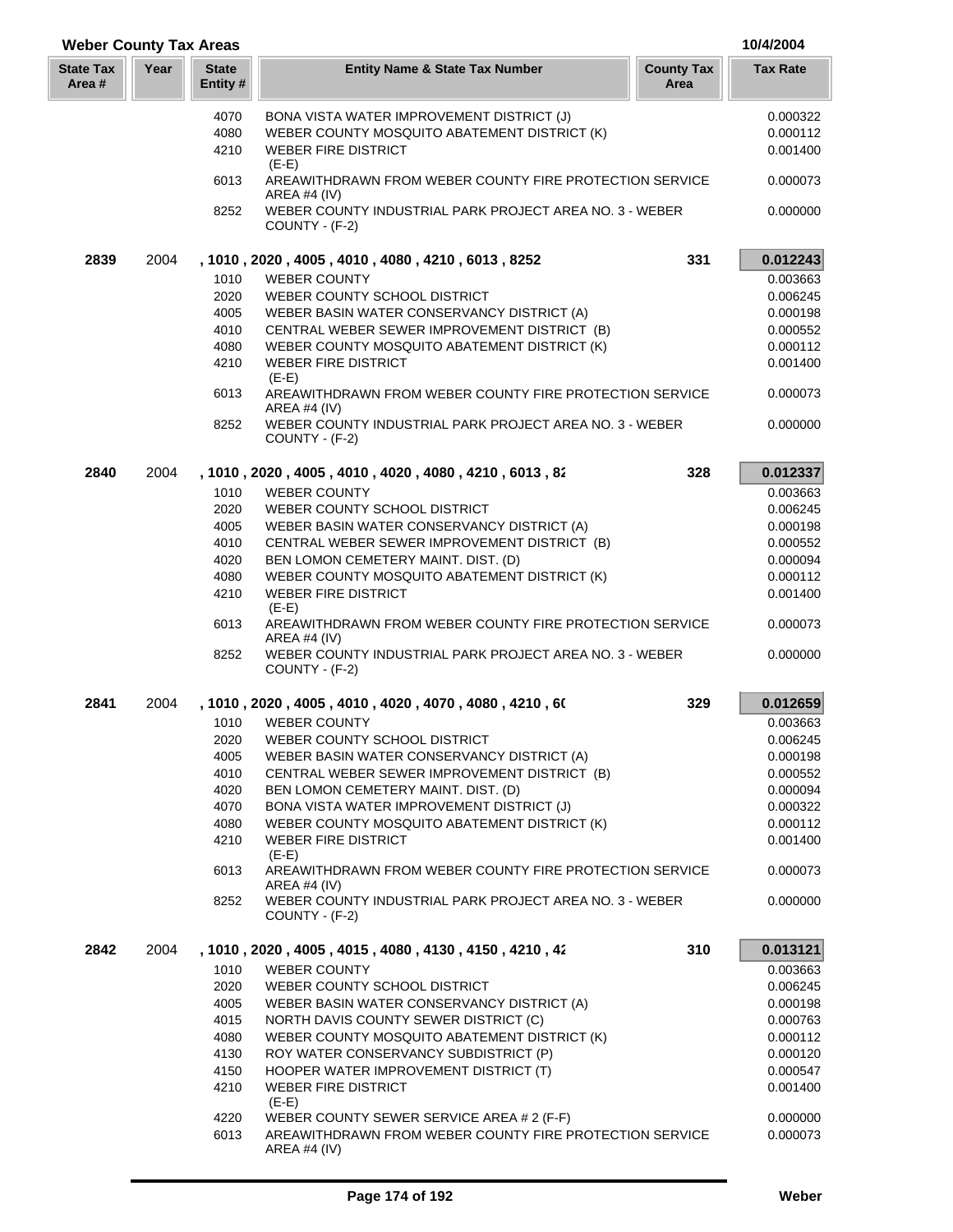| <b>Weber County Tax Areas</b> |      |                          |                                                                           |                           | 10/4/2004       |
|-------------------------------|------|--------------------------|---------------------------------------------------------------------------|---------------------------|-----------------|
| <b>State Tax</b><br>Area #    | Year | <b>State</b><br>Entity # | <b>Entity Name &amp; State Tax Number</b>                                 | <b>County Tax</b><br>Area | <b>Tax Rate</b> |
|                               |      | 4070                     | BONA VISTA WATER IMPROVEMENT DISTRICT (J)                                 |                           | 0.000322        |
|                               |      | 4080                     | WEBER COUNTY MOSQUITO ABATEMENT DISTRICT (K)                              |                           | 0.000112        |
|                               |      | 4210                     | <b>WEBER FIRE DISTRICT</b><br>$(E-E)$                                     |                           | 0.001400        |
|                               |      | 6013                     | AREAWITHDRAWN FROM WEBER COUNTY FIRE PROTECTION SERVICE<br>AREA #4 (IV)   |                           | 0.000073        |
|                               |      | 8252                     | WEBER COUNTY INDUSTRIAL PARK PROJECT AREA NO. 3 - WEBER<br>COUNTY - (F-2) |                           | 0.000000        |
| 2839                          | 2004 |                          | , 1010, 2020, 4005, 4010, 4080, 4210, 6013, 8252                          | 331                       | 0.012243        |
|                               |      | 1010                     | <b>WEBER COUNTY</b>                                                       |                           | 0.003663        |
|                               |      | 2020                     | WEBER COUNTY SCHOOL DISTRICT                                              |                           | 0.006245        |
|                               |      | 4005                     | WEBER BASIN WATER CONSERVANCY DISTRICT (A)                                |                           | 0.000198        |
|                               |      | 4010                     | CENTRAL WEBER SEWER IMPROVEMENT DISTRICT (B)                              |                           | 0.000552        |
|                               |      | 4080                     | WEBER COUNTY MOSQUITO ABATEMENT DISTRICT (K)                              |                           | 0.000112        |
|                               |      | 4210                     | <b>WEBER FIRE DISTRICT</b><br>$(E-E)$                                     |                           | 0.001400        |
|                               |      | 6013                     | AREAWITHDRAWN FROM WEBER COUNTY FIRE PROTECTION SERVICE<br>AREA #4 $(IV)$ |                           | 0.000073        |
|                               |      | 8252                     | WEBER COUNTY INDUSTRIAL PARK PROJECT AREA NO. 3 - WEBER<br>COUNTY - (F-2) |                           | 0.000000        |
| 2840                          | 2004 |                          | , 1010 , 2020 , 4005 , 4010 , 4020 , 4080 , 4210 , 6013 , 82              | 328                       | 0.012337        |
|                               |      | 1010                     | <b>WEBER COUNTY</b>                                                       |                           | 0.003663        |
|                               |      | 2020                     | WEBER COUNTY SCHOOL DISTRICT                                              |                           | 0.006245        |
|                               |      | 4005                     | WEBER BASIN WATER CONSERVANCY DISTRICT (A)                                |                           | 0.000198        |
|                               |      | 4010                     | CENTRAL WEBER SEWER IMPROVEMENT DISTRICT (B)                              |                           | 0.000552        |
|                               |      | 4020                     | BEN LOMON CEMETERY MAINT. DIST. (D)                                       |                           | 0.000094        |
|                               |      | 4080                     | WEBER COUNTY MOSQUITO ABATEMENT DISTRICT (K)                              |                           | 0.000112        |
|                               |      | 4210                     | <b>WEBER FIRE DISTRICT</b>                                                |                           | 0.001400        |
|                               |      | 6013                     | $(E-E)$<br>AREAWITHDRAWN FROM WEBER COUNTY FIRE PROTECTION SERVICE        |                           | 0.000073        |
|                               |      | 8252                     | AREA #4 $(IV)$<br>WEBER COUNTY INDUSTRIAL PARK PROJECT AREA NO. 3 - WEBER |                           | 0.000000        |
|                               |      |                          | COUNTY - (F-2)                                                            |                           |                 |
| 2841                          | 2004 |                          | , 1010 , 2020 , 4005 , 4010 , 4020 , 4070 , 4080 , 4210 , 60              | 329                       | 0.012659        |
|                               |      | 1010                     | <b>WEBER COUNTY</b>                                                       |                           | 0.003663        |
|                               |      | 2020                     | WEBER COUNTY SCHOOL DISTRICT                                              |                           | 0.006245        |
|                               |      | 4005                     | WEBER BASIN WATER CONSERVANCY DISTRICT (A)                                |                           | 0.000198        |
|                               |      | 4010                     | CENTRAL WEBER SEWER IMPROVEMENT DISTRICT (B)                              |                           | 0.000552        |
|                               |      | 4020                     | BEN LOMON CEMETERY MAINT. DIST. (D)                                       |                           | 0.000094        |
|                               |      | 4070                     | BONA VISTA WATER IMPROVEMENT DISTRICT (J)                                 |                           | 0.000322        |
|                               |      | 4080                     | WEBER COUNTY MOSQUITO ABATEMENT DISTRICT (K)                              |                           | 0.000112        |
|                               |      | 4210                     | <b>WEBER FIRE DISTRICT</b><br>$(E-E)$                                     |                           | 0.001400        |
|                               |      | 6013                     | AREAWITHDRAWN FROM WEBER COUNTY FIRE PROTECTION SERVICE<br>AREA #4 (IV)   |                           | 0.000073        |
|                               |      | 8252                     | WEBER COUNTY INDUSTRIAL PARK PROJECT AREA NO. 3 - WEBER<br>COUNTY - (F-2) |                           | 0.000000        |
| 2842                          | 2004 |                          | , 1010, 2020, 4005, 4015, 4080, 4130, 4150, 4210, 42                      | 310                       | 0.013121        |
|                               |      | 1010                     | <b>WEBER COUNTY</b>                                                       |                           | 0.003663        |
|                               |      | 2020                     | WEBER COUNTY SCHOOL DISTRICT                                              |                           | 0.006245        |
|                               |      | 4005                     | WEBER BASIN WATER CONSERVANCY DISTRICT (A)                                |                           | 0.000198        |
|                               |      | 4015                     | NORTH DAVIS COUNTY SEWER DISTRICT (C)                                     |                           | 0.000763        |
|                               |      | 4080                     | WEBER COUNTY MOSQUITO ABATEMENT DISTRICT (K)                              |                           | 0.000112        |
|                               |      | 4130                     | ROY WATER CONSERVANCY SUBDISTRICT (P)                                     |                           | 0.000120        |
|                               |      | 4150                     | HOOPER WATER IMPROVEMENT DISTRICT (T)                                     |                           | 0.000547        |
|                               |      | 4210                     | <b>WEBER FIRE DISTRICT</b><br>$(E-E)$                                     |                           | 0.001400        |
|                               |      | 4220                     | WEBER COUNTY SEWER SERVICE AREA # 2 (F-F)                                 |                           | 0.000000        |
|                               |      | 6013                     | AREAWITHDRAWN FROM WEBER COUNTY FIRE PROTECTION SERVICE<br>AREA #4 (IV)   |                           | 0.000073        |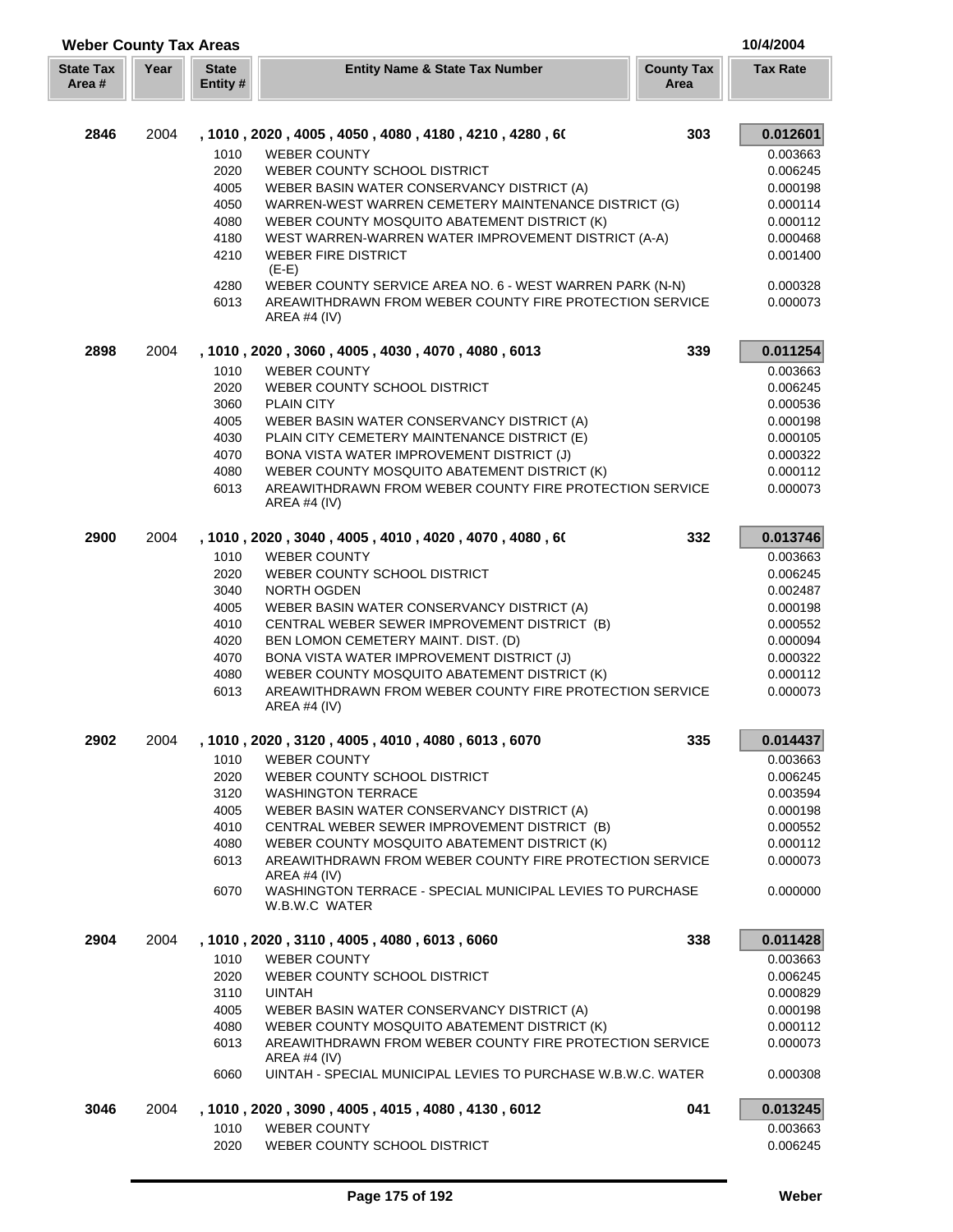| <b>Weber County Tax Areas</b> |      |                          |                                                                                           |                           |                      |
|-------------------------------|------|--------------------------|-------------------------------------------------------------------------------------------|---------------------------|----------------------|
| <b>State Tax</b><br>Area #    | Year | <b>State</b><br>Entity # | <b>Entity Name &amp; State Tax Number</b>                                                 | <b>County Tax</b><br>Area | <b>Tax Rate</b>      |
| 2846                          | 2004 |                          | , 1010, 2020, 4005, 4050, 4080, 4180, 4210, 4280, 60                                      | 303                       | 0.012601             |
|                               |      | 1010                     | <b>WEBER COUNTY</b>                                                                       |                           | 0.003663             |
|                               |      | 2020                     | WEBER COUNTY SCHOOL DISTRICT                                                              |                           | 0.006245             |
|                               |      | 4005                     | WEBER BASIN WATER CONSERVANCY DISTRICT (A)                                                |                           | 0.000198             |
|                               |      | 4050                     | WARREN-WEST WARREN CEMETERY MAINTENANCE DISTRICT (G)                                      |                           | 0.000114             |
|                               |      | 4080                     | WEBER COUNTY MOSQUITO ABATEMENT DISTRICT (K)                                              |                           | 0.000112             |
|                               |      | 4180                     | WEST WARREN-WARREN WATER IMPROVEMENT DISTRICT (A-A)                                       |                           | 0.000468             |
|                               |      | 4210                     | <b>WEBER FIRE DISTRICT</b>                                                                |                           | 0.001400             |
|                               |      |                          | $(E-E)$                                                                                   |                           |                      |
|                               |      | 4280                     | WEBER COUNTY SERVICE AREA NO. 6 - WEST WARREN PARK (N-N)                                  |                           | 0.000328             |
|                               |      | 6013                     | AREAWITHDRAWN FROM WEBER COUNTY FIRE PROTECTION SERVICE<br>AREA #4 $(IV)$                 |                           | 0.000073             |
| 2898                          | 2004 |                          | , 1010, 2020, 3060, 4005, 4030, 4070, 4080, 6013                                          | 339                       | 0.011254             |
|                               |      | 1010                     | <b>WEBER COUNTY</b>                                                                       |                           | 0.003663             |
|                               |      | 2020                     | WEBER COUNTY SCHOOL DISTRICT                                                              |                           | 0.006245             |
|                               |      | 3060                     | <b>PLAIN CITY</b>                                                                         |                           | 0.000536             |
|                               |      | 4005                     | WEBER BASIN WATER CONSERVANCY DISTRICT (A)                                                |                           | 0.000198             |
|                               |      | 4030                     | PLAIN CITY CEMETERY MAINTENANCE DISTRICT (E)                                              |                           | 0.000105             |
|                               |      | 4070                     | BONA VISTA WATER IMPROVEMENT DISTRICT (J)                                                 |                           | 0.000322             |
|                               |      | 4080                     | WEBER COUNTY MOSQUITO ABATEMENT DISTRICT (K)                                              |                           | 0.000112             |
|                               |      | 6013                     | AREAWITHDRAWN FROM WEBER COUNTY FIRE PROTECTION SERVICE<br>AREA #4 $(IV)$                 |                           | 0.000073             |
| 2900                          | 2004 |                          | , 1010, 2020, 3040, 4005, 4010, 4020, 4070, 4080, 60                                      | 332                       | 0.013746             |
|                               |      | 1010                     | <b>WEBER COUNTY</b>                                                                       |                           | 0.003663             |
|                               |      | 2020                     | WEBER COUNTY SCHOOL DISTRICT                                                              |                           | 0.006245             |
|                               |      | 3040                     | NORTH OGDEN                                                                               |                           | 0.002487             |
|                               |      | 4005                     | WEBER BASIN WATER CONSERVANCY DISTRICT (A)                                                |                           | 0.000198             |
|                               |      | 4010                     | CENTRAL WEBER SEWER IMPROVEMENT DISTRICT (B)                                              |                           | 0.000552             |
|                               |      | 4020                     | BEN LOMON CEMETERY MAINT. DIST. (D)                                                       |                           | 0.000094             |
|                               |      | 4070                     | BONA VISTA WATER IMPROVEMENT DISTRICT (J)<br>WEBER COUNTY MOSQUITO ABATEMENT DISTRICT (K) |                           | 0.000322<br>0.000112 |
|                               |      | 4080<br>6013             | AREAWITHDRAWN FROM WEBER COUNTY FIRE PROTECTION SERVICE<br>AREA #4 (IV)                   |                           | 0.000073             |
| 2902                          | 2004 |                          | , 1010, 2020, 3120, 4005, 4010, 4080, 6013, 6070                                          | 335                       |                      |
|                               |      |                          |                                                                                           |                           | 0.014437             |
|                               |      | 1010<br>2020             | <b>WEBER COUNTY</b><br>WEBER COUNTY SCHOOL DISTRICT                                       |                           | 0.003663<br>0.006245 |
|                               |      | 3120                     | <b>WASHINGTON TERRACE</b>                                                                 |                           | 0.003594             |
|                               |      | 4005                     | WEBER BASIN WATER CONSERVANCY DISTRICT (A)                                                |                           | 0.000198             |
|                               |      | 4010                     | CENTRAL WEBER SEWER IMPROVEMENT DISTRICT (B)                                              |                           | 0.000552             |
|                               |      | 4080                     | WEBER COUNTY MOSQUITO ABATEMENT DISTRICT (K)                                              |                           | 0.000112             |
|                               |      | 6013                     | AREAWITHDRAWN FROM WEBER COUNTY FIRE PROTECTION SERVICE                                   |                           | 0.000073             |
|                               |      |                          | AREA #4 $(IV)$                                                                            |                           |                      |
|                               |      | 6070                     | WASHINGTON TERRACE - SPECIAL MUNICIPAL LEVIES TO PURCHASE<br>W.B.W.C WATER                |                           | 0.000000             |
| 2904                          | 2004 |                          | , 1010, 2020, 3110, 4005, 4080, 6013, 6060                                                | 338                       | 0.011428             |
|                               |      | 1010                     | WEBER COUNTY                                                                              |                           | 0.003663             |
|                               |      | 2020                     | WEBER COUNTY SCHOOL DISTRICT                                                              |                           | 0.006245             |
|                               |      | 3110                     | <b>UINTAH</b>                                                                             |                           | 0.000829             |
|                               |      | 4005                     | WEBER BASIN WATER CONSERVANCY DISTRICT (A)                                                |                           | 0.000198             |
|                               |      | 4080                     | WEBER COUNTY MOSQUITO ABATEMENT DISTRICT (K)                                              |                           | 0.000112             |
|                               |      | 6013                     | AREAWITHDRAWN FROM WEBER COUNTY FIRE PROTECTION SERVICE<br>AREA #4 $(IV)$                 |                           | 0.000073             |
|                               |      | 6060                     | UINTAH - SPECIAL MUNICIPAL LEVIES TO PURCHASE W.B.W.C. WATER                              |                           | 0.000308             |
| 3046                          | 2004 |                          | , 1010, 2020, 3090, 4005, 4015, 4080, 4130, 6012                                          | 041                       | 0.013245             |
|                               |      | 1010<br>2020             | <b>WEBER COUNTY</b>                                                                       |                           | 0.003663             |
|                               |      |                          | WEBER COUNTY SCHOOL DISTRICT                                                              |                           | 0.006245             |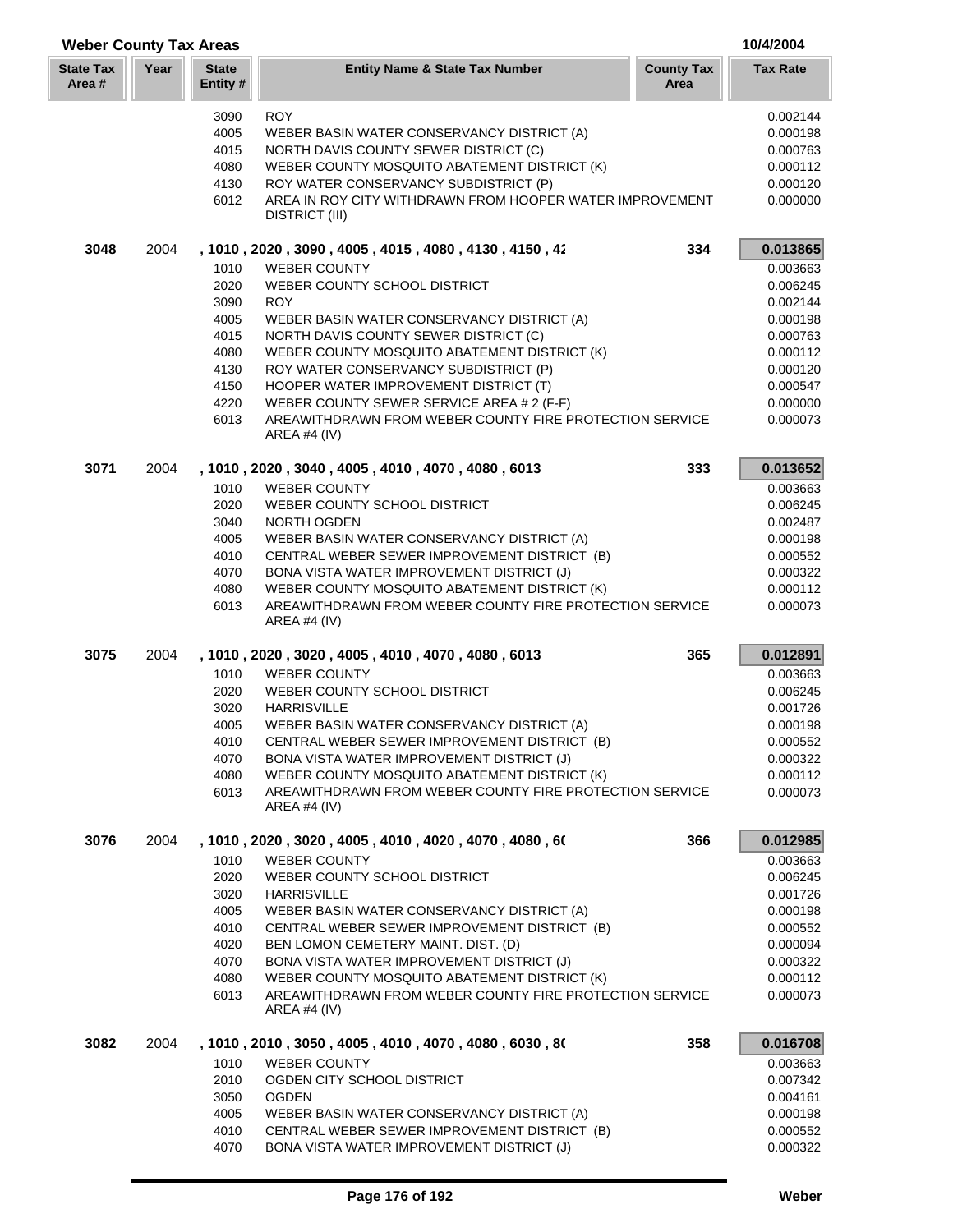| <b>Weber County Tax Areas</b> |      |                          |                                                                                   |                           |                 |
|-------------------------------|------|--------------------------|-----------------------------------------------------------------------------------|---------------------------|-----------------|
| <b>State Tax</b><br>Area #    | Year | <b>State</b><br>Entity # | <b>Entity Name &amp; State Tax Number</b>                                         | <b>County Tax</b><br>Area | <b>Tax Rate</b> |
|                               |      | 3090                     | <b>ROY</b>                                                                        |                           | 0.002144        |
|                               |      | 4005                     | WEBER BASIN WATER CONSERVANCY DISTRICT (A)                                        |                           | 0.000198        |
|                               |      | 4015                     | NORTH DAVIS COUNTY SEWER DISTRICT (C)                                             |                           | 0.000763        |
|                               |      | 4080                     | WEBER COUNTY MOSQUITO ABATEMENT DISTRICT (K)                                      |                           | 0.000112        |
|                               |      | 4130                     | ROY WATER CONSERVANCY SUBDISTRICT (P)                                             |                           | 0.000120        |
|                               |      | 6012                     | AREA IN ROY CITY WITHDRAWN FROM HOOPER WATER IMPROVEMENT<br><b>DISTRICT (III)</b> |                           | 0.000000        |
| 3048                          | 2004 |                          | , 1010 , 2020 , 3090 , 4005 , 4015 , 4080 , 4130 , 4150 , 42                      | 334                       | 0.013865        |
|                               |      | 1010                     | <b>WEBER COUNTY</b>                                                               |                           | 0.003663        |
|                               |      | 2020                     | WEBER COUNTY SCHOOL DISTRICT                                                      |                           | 0.006245        |
|                               |      | 3090                     | <b>ROY</b>                                                                        |                           | 0.002144        |
|                               |      | 4005                     | WEBER BASIN WATER CONSERVANCY DISTRICT (A)                                        |                           | 0.000198        |
|                               |      | 4015                     | NORTH DAVIS COUNTY SEWER DISTRICT (C)                                             |                           | 0.000763        |
|                               |      | 4080                     | WEBER COUNTY MOSQUITO ABATEMENT DISTRICT (K)                                      |                           | 0.000112        |
|                               |      | 4130                     | ROY WATER CONSERVANCY SUBDISTRICT (P)                                             |                           | 0.000120        |
|                               |      | 4150                     | HOOPER WATER IMPROVEMENT DISTRICT (T)                                             |                           | 0.000547        |
|                               |      | 4220                     | WEBER COUNTY SEWER SERVICE AREA # 2 (F-F)                                         |                           | 0.000000        |
|                               |      | 6013                     | AREAWITHDRAWN FROM WEBER COUNTY FIRE PROTECTION SERVICE<br><b>AREA #4 (IV)</b>    |                           | 0.000073        |
| 3071                          | 2004 |                          | , 1010, 2020, 3040, 4005, 4010, 4070, 4080, 6013                                  | 333                       | 0.013652        |
|                               |      | 1010                     | <b>WEBER COUNTY</b>                                                               |                           | 0.003663        |
|                               |      | 2020                     | WEBER COUNTY SCHOOL DISTRICT                                                      |                           | 0.006245        |
|                               |      | 3040                     | NORTH OGDEN                                                                       |                           | 0.002487        |
|                               |      | 4005                     | WEBER BASIN WATER CONSERVANCY DISTRICT (A)                                        |                           | 0.000198        |
|                               |      | 4010                     | CENTRAL WEBER SEWER IMPROVEMENT DISTRICT (B)                                      |                           | 0.000552        |
|                               |      | 4070                     | BONA VISTA WATER IMPROVEMENT DISTRICT (J)                                         |                           | 0.000322        |
|                               |      | 4080                     | WEBER COUNTY MOSQUITO ABATEMENT DISTRICT (K)                                      |                           | 0.000112        |
|                               |      | 6013                     | AREAWITHDRAWN FROM WEBER COUNTY FIRE PROTECTION SERVICE<br>AREA #4 $(IV)$         |                           | 0.000073        |
| 3075                          | 2004 |                          | , 1010, 2020, 3020, 4005, 4010, 4070, 4080, 6013                                  | 365                       | 0.012891        |
|                               |      | 1010                     | <b>WEBER COUNTY</b>                                                               |                           | 0.003663        |
|                               |      | 2020                     | WEBER COUNTY SCHOOL DISTRICT                                                      |                           | 0.006245        |
|                               |      | 3020                     | <b>HARRISVILLE</b>                                                                |                           | 0.001726        |
|                               |      | 4005                     | WEBER BASIN WATER CONSERVANCY DISTRICT (A)                                        |                           | 0.000198        |
|                               |      | 4010                     | CENTRAL WEBER SEWER IMPROVEMENT DISTRICT (B)                                      |                           | 0.000552        |
|                               |      | 4070                     | BONA VISTA WATER IMPROVEMENT DISTRICT (J)                                         |                           | 0.000322        |
|                               |      | 4080                     | WEBER COUNTY MOSQUITO ABATEMENT DISTRICT (K)                                      |                           | 0.000112        |
|                               |      | 6013                     | AREAWITHDRAWN FROM WEBER COUNTY FIRE PROTECTION SERVICE<br>AREA #4 (IV)           |                           | 0.000073        |
| 3076                          | 2004 |                          | , 1010, 2020, 3020, 4005, 4010, 4020, 4070, 4080, 60                              | 366                       | 0.012985        |
|                               |      | 1010                     | <b>WEBER COUNTY</b>                                                               |                           | 0.003663        |
|                               |      | 2020                     | WEBER COUNTY SCHOOL DISTRICT                                                      |                           | 0.006245        |
|                               |      | 3020                     | <b>HARRISVILLE</b>                                                                |                           | 0.001726        |
|                               |      | 4005                     | WEBER BASIN WATER CONSERVANCY DISTRICT (A)                                        |                           | 0.000198        |
|                               |      | 4010                     | CENTRAL WEBER SEWER IMPROVEMENT DISTRICT (B)                                      |                           | 0.000552        |
|                               |      | 4020                     | BEN LOMON CEMETERY MAINT. DIST. (D)                                               |                           | 0.000094        |
|                               |      | 4070                     | BONA VISTA WATER IMPROVEMENT DISTRICT (J)                                         |                           | 0.000322        |
|                               |      | 4080                     | WEBER COUNTY MOSQUITO ABATEMENT DISTRICT (K)                                      |                           | 0.000112        |
|                               |      | 6013                     | AREAWITHDRAWN FROM WEBER COUNTY FIRE PROTECTION SERVICE<br>AREA #4 (IV)           |                           | 0.000073        |
| 3082                          | 2004 |                          | , 1010, 2010, 3050, 4005, 4010, 4070, 4080, 6030, 80                              | 358                       | 0.016708        |
|                               |      | 1010                     | <b>WEBER COUNTY</b>                                                               |                           | 0.003663        |
|                               |      | 2010                     | OGDEN CITY SCHOOL DISTRICT                                                        |                           | 0.007342        |
|                               |      | 3050                     | <b>OGDEN</b>                                                                      |                           | 0.004161        |
|                               |      | 4005                     | WEBER BASIN WATER CONSERVANCY DISTRICT (A)                                        |                           | 0.000198        |
|                               |      | 4010                     | CENTRAL WEBER SEWER IMPROVEMENT DISTRICT (B)                                      |                           | 0.000552        |
|                               |      | 4070                     | BONA VISTA WATER IMPROVEMENT DISTRICT (J)                                         |                           | 0.000322        |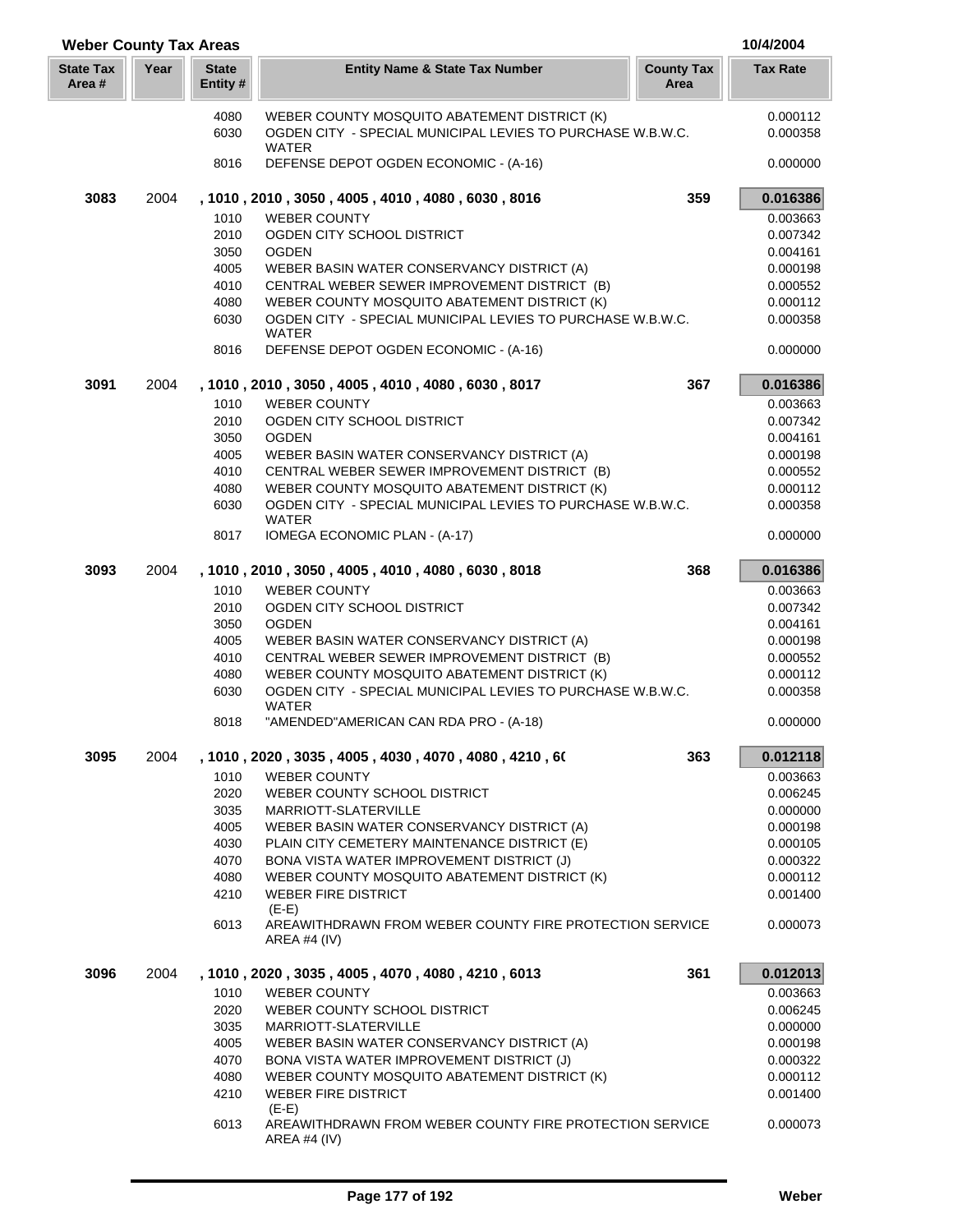| <b>Weber County Tax Areas</b> |      |                          |                                                                                    |                           | 10/4/2004       |
|-------------------------------|------|--------------------------|------------------------------------------------------------------------------------|---------------------------|-----------------|
| <b>State Tax</b><br>Area #    | Year | <b>State</b><br>Entity # | <b>Entity Name &amp; State Tax Number</b>                                          | <b>County Tax</b><br>Area | <b>Tax Rate</b> |
|                               |      | 4080                     | WEBER COUNTY MOSQUITO ABATEMENT DISTRICT (K)                                       |                           | 0.000112        |
|                               |      | 6030                     | OGDEN CITY - SPECIAL MUNICIPAL LEVIES TO PURCHASE W.B.W.C.<br>WATER                |                           | 0.000358        |
|                               |      | 8016                     | DEFENSE DEPOT OGDEN ECONOMIC - (A-16)                                              |                           | 0.000000        |
| 3083                          | 2004 |                          | , 1010, 2010, 3050, 4005, 4010, 4080, 6030, 8016                                   | 359                       | 0.016386        |
|                               |      | 1010                     | <b>WEBER COUNTY</b>                                                                |                           | 0.003663        |
|                               |      | 2010                     | OGDEN CITY SCHOOL DISTRICT                                                         |                           | 0.007342        |
|                               |      | 3050                     | <b>OGDEN</b>                                                                       |                           | 0.004161        |
|                               |      | 4005                     | WEBER BASIN WATER CONSERVANCY DISTRICT (A)                                         |                           | 0.000198        |
|                               |      | 4010                     | CENTRAL WEBER SEWER IMPROVEMENT DISTRICT (B)                                       |                           | 0.000552        |
|                               |      | 4080                     | WEBER COUNTY MOSQUITO ABATEMENT DISTRICT (K)                                       |                           | 0.000112        |
|                               |      | 6030                     | OGDEN CITY - SPECIAL MUNICIPAL LEVIES TO PURCHASE W.B.W.C.<br>WATER                |                           | 0.000358        |
|                               |      | 8016                     | DEFENSE DEPOT OGDEN ECONOMIC - (A-16)                                              |                           | 0.000000        |
| 3091                          | 2004 |                          | , 1010, 2010, 3050, 4005, 4010, 4080, 6030, 8017                                   | 367                       | 0.016386        |
|                               |      | 1010                     | <b>WEBER COUNTY</b>                                                                |                           | 0.003663        |
|                               |      | 2010                     | OGDEN CITY SCHOOL DISTRICT                                                         |                           | 0.007342        |
|                               |      | 3050                     | <b>OGDEN</b>                                                                       |                           | 0.004161        |
|                               |      | 4005                     | WEBER BASIN WATER CONSERVANCY DISTRICT (A)                                         |                           | 0.000198        |
|                               |      | 4010                     | CENTRAL WEBER SEWER IMPROVEMENT DISTRICT (B)                                       |                           | 0.000552        |
|                               |      | 4080                     | WEBER COUNTY MOSQUITO ABATEMENT DISTRICT (K)                                       |                           | 0.000112        |
|                               |      | 6030                     | OGDEN CITY - SPECIAL MUNICIPAL LEVIES TO PURCHASE W.B.W.C.<br><b>WATER</b>         |                           | 0.000358        |
|                               |      | 8017                     | IOMEGA ECONOMIC PLAN - (A-17)                                                      |                           | 0.000000        |
| 3093                          | 2004 |                          | , 1010, 2010, 3050, 4005, 4010, 4080, 6030, 8018                                   | 368                       | 0.016386        |
|                               |      | 1010                     | <b>WEBER COUNTY</b>                                                                |                           | 0.003663        |
|                               |      | 2010                     | OGDEN CITY SCHOOL DISTRICT                                                         |                           | 0.007342        |
|                               |      | 3050                     | <b>OGDEN</b>                                                                       |                           | 0.004161        |
|                               |      | 4005                     | WEBER BASIN WATER CONSERVANCY DISTRICT (A)                                         |                           | 0.000198        |
|                               |      | 4010                     | CENTRAL WEBER SEWER IMPROVEMENT DISTRICT (B)                                       |                           | 0.000552        |
|                               |      | 4080                     | WEBER COUNTY MOSQUITO ABATEMENT DISTRICT (K)                                       |                           | 0.000112        |
|                               |      | 6030                     | OGDEN CITY - SPECIAL MUNICIPAL LEVIES TO PURCHASE W.B.W.C.<br><b>WATER</b>         |                           | 0.000358        |
|                               |      | 8018                     | "AMENDED"AMERICAN CAN RDA PRO - (A-18)                                             |                           | 0.000000        |
| 3095                          | 2004 |                          | , 1010 , 2020 , 3035 , 4005 , 4030 , 4070 , 4080 , 4210 , 60                       | 363                       | 0.012118        |
|                               |      | 1010                     | <b>WEBER COUNTY</b>                                                                |                           | 0.003663        |
|                               |      | 2020                     | WEBER COUNTY SCHOOL DISTRICT                                                       |                           | 0.006245        |
|                               |      | 3035                     | <b>MARRIOTT-SLATERVILLE</b>                                                        |                           | 0.000000        |
|                               |      | 4005                     | WEBER BASIN WATER CONSERVANCY DISTRICT (A)                                         |                           | 0.000198        |
|                               |      | 4030                     | PLAIN CITY CEMETERY MAINTENANCE DISTRICT (E)                                       |                           | 0.000105        |
|                               |      | 4070                     | BONA VISTA WATER IMPROVEMENT DISTRICT (J)                                          |                           | 0.000322        |
|                               |      | 4080                     | WEBER COUNTY MOSQUITO ABATEMENT DISTRICT (K)                                       |                           | 0.000112        |
|                               |      | 4210                     | <b>WEBER FIRE DISTRICT</b><br>$(E-E)$                                              |                           | 0.001400        |
|                               |      | 6013                     | AREAWITHDRAWN FROM WEBER COUNTY FIRE PROTECTION SERVICE<br>AREA #4 $(IV)$          |                           | 0.000073        |
| 3096                          | 2004 |                          | , 1010 , 2020 , 3035 , 4005 , 4070 , 4080 , 4210 , 6013                            | 361                       | 0.012013        |
|                               |      | 1010                     | <b>WEBER COUNTY</b>                                                                |                           | 0.003663        |
|                               |      | 2020                     | WEBER COUNTY SCHOOL DISTRICT                                                       |                           | 0.006245        |
|                               |      | 3035                     | MARRIOTT-SLATERVILLE                                                               |                           | 0.000000        |
|                               |      | 4005                     | WEBER BASIN WATER CONSERVANCY DISTRICT (A)                                         |                           | 0.000198        |
|                               |      | 4070                     | BONA VISTA WATER IMPROVEMENT DISTRICT (J)                                          |                           | 0.000322        |
|                               |      | 4080                     | WEBER COUNTY MOSQUITO ABATEMENT DISTRICT (K)                                       |                           | 0.000112        |
|                               |      | 4210                     | <b>WEBER FIRE DISTRICT</b>                                                         |                           | 0.001400        |
|                               |      | 6013                     | $(E-E)$<br>AREAWITHDRAWN FROM WEBER COUNTY FIRE PROTECTION SERVICE<br>AREA #4 (IV) |                           | 0.000073        |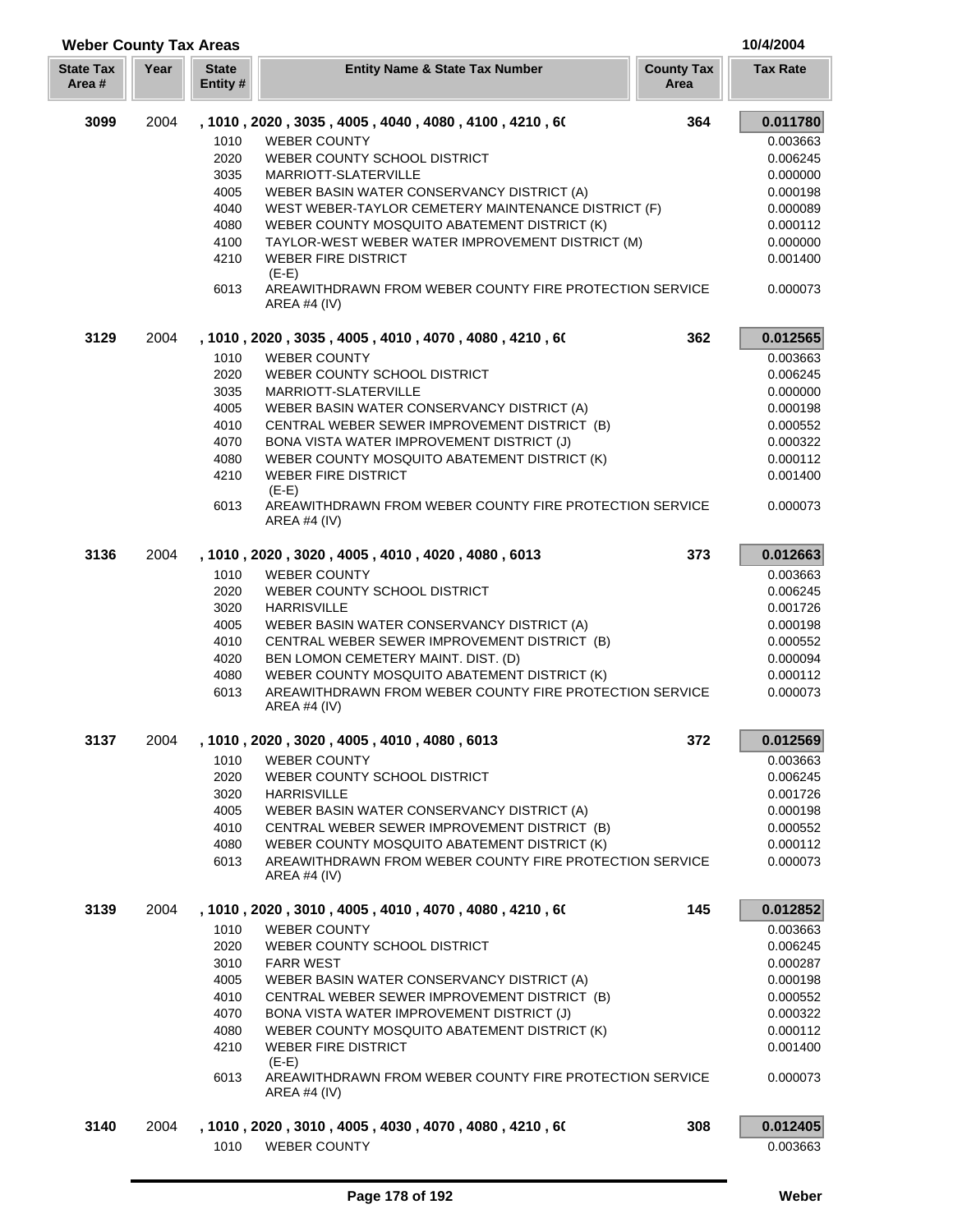| <b>Weber County Tax Areas</b> |      |                          |                                                                           |                           | 10/4/2004       |
|-------------------------------|------|--------------------------|---------------------------------------------------------------------------|---------------------------|-----------------|
| <b>State Tax</b><br>Area#     | Year | <b>State</b><br>Entity # | <b>Entity Name &amp; State Tax Number</b>                                 | <b>County Tax</b><br>Area | <b>Tax Rate</b> |
| 3099                          | 2004 |                          | , 1010 , 2020 , 3035 , 4005 , 4040 , 4080 , 4100 , 4210 , 60              | 364                       | 0.011780        |
|                               |      | 1010                     | <b>WEBER COUNTY</b>                                                       |                           | 0.003663        |
|                               |      | 2020                     | WEBER COUNTY SCHOOL DISTRICT                                              |                           | 0.006245        |
|                               |      | 3035                     | MARRIOTT-SLATERVILLE                                                      |                           | 0.000000        |
|                               |      | 4005                     | WEBER BASIN WATER CONSERVANCY DISTRICT (A)                                |                           | 0.000198        |
|                               |      | 4040                     | WEST WEBER-TAYLOR CEMETERY MAINTENANCE DISTRICT (F)                       |                           | 0.000089        |
|                               |      | 4080                     | WEBER COUNTY MOSQUITO ABATEMENT DISTRICT (K)                              |                           | 0.000112        |
|                               |      | 4100                     | TAYLOR-WEST WEBER WATER IMPROVEMENT DISTRICT (M)                          |                           | 0.000000        |
|                               |      | 4210                     | <b>WEBER FIRE DISTRICT</b><br>$(E-E)$                                     |                           | 0.001400        |
|                               |      | 6013                     | AREAWITHDRAWN FROM WEBER COUNTY FIRE PROTECTION SERVICE<br>AREA #4 $(IV)$ |                           | 0.000073        |
| 3129                          | 2004 |                          | , 1010, 2020, 3035, 4005, 4010, 4070, 4080, 4210, 60                      | 362                       | 0.012565        |
|                               |      | 1010                     | <b>WEBER COUNTY</b>                                                       |                           | 0.003663        |
|                               |      | 2020                     | WEBER COUNTY SCHOOL DISTRICT                                              |                           | 0.006245        |
|                               |      | 3035                     | MARRIOTT-SLATERVILLE                                                      |                           | 0.000000        |
|                               |      | 4005                     | WEBER BASIN WATER CONSERVANCY DISTRICT (A)                                |                           | 0.000198        |
|                               |      | 4010                     | CENTRAL WEBER SEWER IMPROVEMENT DISTRICT (B)                              |                           | 0.000552        |
|                               |      | 4070                     | BONA VISTA WATER IMPROVEMENT DISTRICT (J)                                 |                           | 0.000322        |
|                               |      | 4080                     | WEBER COUNTY MOSQUITO ABATEMENT DISTRICT (K)                              |                           | 0.000112        |
|                               |      | 4210                     | <b>WEBER FIRE DISTRICT</b><br>$(E-E)$                                     |                           | 0.001400        |
|                               |      | 6013                     | AREAWITHDRAWN FROM WEBER COUNTY FIRE PROTECTION SERVICE<br>AREA #4 (IV)   |                           | 0.000073        |
| 3136                          | 2004 |                          | , 1010, 2020, 3020, 4005, 4010, 4020, 4080, 6013                          | 373                       | 0.012663        |
|                               |      | 1010                     | <b>WEBER COUNTY</b>                                                       |                           | 0.003663        |
|                               |      | 2020                     | WEBER COUNTY SCHOOL DISTRICT                                              |                           | 0.006245        |
|                               |      | 3020                     | <b>HARRISVILLE</b>                                                        |                           | 0.001726        |
|                               |      | 4005                     | WEBER BASIN WATER CONSERVANCY DISTRICT (A)                                |                           | 0.000198        |
|                               |      | 4010                     | CENTRAL WEBER SEWER IMPROVEMENT DISTRICT (B)                              |                           | 0.000552        |
|                               |      | 4020                     | BEN LOMON CEMETERY MAINT. DIST. (D)                                       |                           | 0.000094        |
|                               |      | 4080                     | WEBER COUNTY MOSQUITO ABATEMENT DISTRICT (K)                              |                           | 0.000112        |
|                               |      | 6013                     | AREAWITHDRAWN FROM WEBER COUNTY FIRE PROTECTION SERVICE<br>AREA #4 (IV)   |                           | 0.000073        |
| 3137                          | 2004 |                          | , 1010, 2020, 3020, 4005, 4010, 4080, 6013                                | 372                       | 0.012569        |
|                               |      | 1010                     | <b>WEBER COUNTY</b>                                                       |                           | 0.003663        |
|                               |      | 2020                     | WEBER COUNTY SCHOOL DISTRICT                                              |                           | 0.006245        |
|                               |      | 3020                     | <b>HARRISVILLE</b>                                                        |                           | 0.001726        |
|                               |      | 4005                     | WEBER BASIN WATER CONSERVANCY DISTRICT (A)                                |                           | 0.000198        |
|                               |      | 4010                     | CENTRAL WEBER SEWER IMPROVEMENT DISTRICT (B)                              |                           | 0.000552        |
|                               |      | 4080                     | WEBER COUNTY MOSQUITO ABATEMENT DISTRICT (K)                              |                           | 0.000112        |
|                               |      | 6013                     | AREAWITHDRAWN FROM WEBER COUNTY FIRE PROTECTION SERVICE<br>AREA #4 (IV)   |                           | 0.000073        |
| 3139                          | 2004 |                          | , 1010 , 2020 , 3010 , 4005 , 4010 , 4070 , 4080 , 4210 , 60              | 145                       | 0.012852        |
|                               |      | 1010                     | <b>WEBER COUNTY</b>                                                       |                           | 0.003663        |
|                               |      | 2020                     | WEBER COUNTY SCHOOL DISTRICT                                              |                           | 0.006245        |
|                               |      | 3010                     | <b>FARR WEST</b>                                                          |                           | 0.000287        |
|                               |      | 4005                     | WEBER BASIN WATER CONSERVANCY DISTRICT (A)                                |                           | 0.000198        |
|                               |      | 4010                     | CENTRAL WEBER SEWER IMPROVEMENT DISTRICT (B)                              |                           | 0.000552        |
|                               |      | 4070                     | BONA VISTA WATER IMPROVEMENT DISTRICT (J)                                 |                           | 0.000322        |
|                               |      | 4080                     | WEBER COUNTY MOSQUITO ABATEMENT DISTRICT (K)                              |                           | 0.000112        |
|                               |      | 4210                     | <b>WEBER FIRE DISTRICT</b><br>$(E-E)$                                     |                           | 0.001400        |
|                               |      | 6013                     | AREAWITHDRAWN FROM WEBER COUNTY FIRE PROTECTION SERVICE<br>AREA #4 $(IV)$ |                           | 0.000073        |
| 3140                          | 2004 |                          | , 1010 , 2020 , 3010 , 4005 , 4030 , 4070 , 4080 , 4210 , 60              | 308                       | 0.012405        |
|                               |      | 1010                     | <b>WEBER COUNTY</b>                                                       |                           | 0.003663        |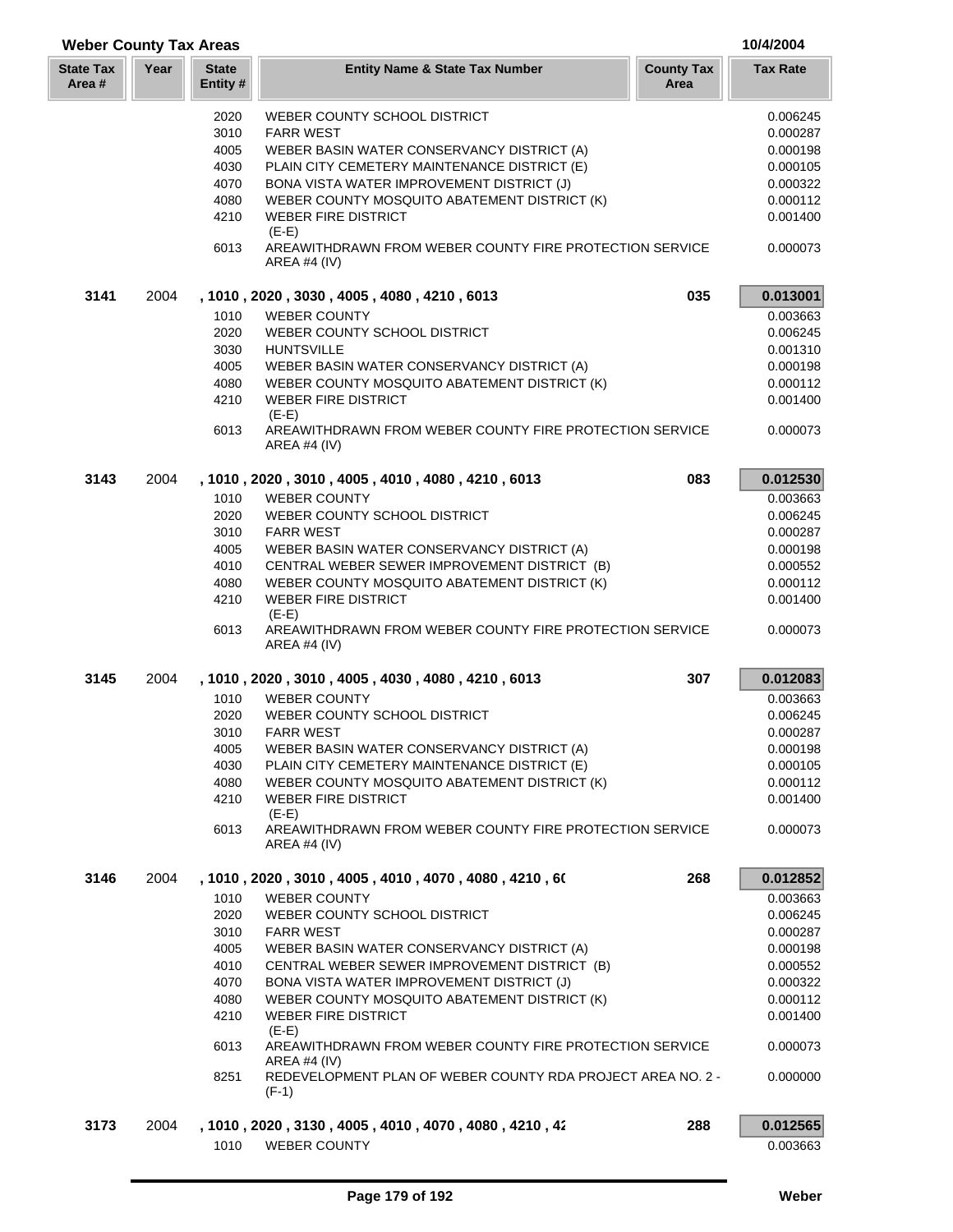| <b>Weber County Tax Areas</b> |      |                         |                                                                                |                           | 10/4/2004       |
|-------------------------------|------|-------------------------|--------------------------------------------------------------------------------|---------------------------|-----------------|
| <b>State Tax</b><br>Area #    | Year | <b>State</b><br>Entity# | <b>Entity Name &amp; State Tax Number</b>                                      | <b>County Tax</b><br>Area | <b>Tax Rate</b> |
|                               |      | 2020                    | WEBER COUNTY SCHOOL DISTRICT                                                   |                           | 0.006245        |
|                               |      | 3010                    | <b>FARR WEST</b>                                                               |                           | 0.000287        |
|                               |      | 4005                    | WEBER BASIN WATER CONSERVANCY DISTRICT (A)                                     |                           | 0.000198        |
|                               |      | 4030                    | PLAIN CITY CEMETERY MAINTENANCE DISTRICT (E)                                   |                           | 0.000105        |
|                               |      | 4070                    | BONA VISTA WATER IMPROVEMENT DISTRICT (J)                                      |                           | 0.000322        |
|                               |      | 4080                    | WEBER COUNTY MOSQUITO ABATEMENT DISTRICT (K)                                   |                           | 0.000112        |
|                               |      | 4210                    | <b>WEBER FIRE DISTRICT</b><br>$(E-E)$                                          |                           | 0.001400        |
|                               |      | 6013                    | AREAWITHDRAWN FROM WEBER COUNTY FIRE PROTECTION SERVICE<br>AREA #4 $(IV)$      |                           | 0.000073        |
| 3141                          | 2004 |                         | , 1010, 2020, 3030, 4005, 4080, 4210, 6013                                     | 035                       | 0.013001        |
|                               |      | 1010                    | <b>WEBER COUNTY</b>                                                            |                           | 0.003663        |
|                               |      | 2020                    | WEBER COUNTY SCHOOL DISTRICT                                                   |                           | 0.006245        |
|                               |      | 3030                    | <b>HUNTSVILLE</b>                                                              |                           | 0.001310        |
|                               |      | 4005                    | WEBER BASIN WATER CONSERVANCY DISTRICT (A)                                     |                           | 0.000198        |
|                               |      | 4080                    | WEBER COUNTY MOSQUITO ABATEMENT DISTRICT (K)                                   |                           | 0.000112        |
|                               |      | 4210                    | <b>WEBER FIRE DISTRICT</b><br>$(E-E)$                                          |                           | 0.001400        |
|                               |      | 6013                    | AREAWITHDRAWN FROM WEBER COUNTY FIRE PROTECTION SERVICE<br><b>AREA #4 (IV)</b> |                           | 0.000073        |
| 3143                          | 2004 |                         | , 1010, 2020, 3010, 4005, 4010, 4080, 4210, 6013                               | 083                       | 0.012530        |
|                               |      | 1010                    | <b>WEBER COUNTY</b>                                                            |                           | 0.003663        |
|                               |      | 2020                    | WEBER COUNTY SCHOOL DISTRICT                                                   |                           | 0.006245        |
|                               |      | 3010                    | <b>FARR WEST</b>                                                               |                           | 0.000287        |
|                               |      | 4005                    | WEBER BASIN WATER CONSERVANCY DISTRICT (A)                                     |                           | 0.000198        |
|                               |      | 4010                    | CENTRAL WEBER SEWER IMPROVEMENT DISTRICT (B)                                   |                           | 0.000552        |
|                               |      | 4080                    | WEBER COUNTY MOSQUITO ABATEMENT DISTRICT (K)                                   |                           | 0.000112        |
|                               |      | 4210                    | <b>WEBER FIRE DISTRICT</b><br>$(E-E)$                                          |                           | 0.001400        |
|                               |      | 6013                    | AREAWITHDRAWN FROM WEBER COUNTY FIRE PROTECTION SERVICE<br><b>AREA #4 (IV)</b> |                           | 0.000073        |
| 3145                          | 2004 |                         | , 1010, 2020, 3010, 4005, 4030, 4080, 4210, 6013                               | 307                       | 0.012083        |
|                               |      | 1010                    | <b>WEBER COUNTY</b>                                                            |                           | 0.003663        |
|                               |      | 2020                    | WEBER COUNTY SCHOOL DISTRICT                                                   |                           | 0.006245        |
|                               |      |                         | 3010 FARR WEST                                                                 |                           | 0.000287        |
|                               |      | 4005                    | WEBER BASIN WATER CONSERVANCY DISTRICT (A)                                     |                           | 0.000198        |
|                               |      | 4030                    | PLAIN CITY CEMETERY MAINTENANCE DISTRICT (E)                                   |                           | 0.000105        |
|                               |      | 4080                    | WEBER COUNTY MOSQUITO ABATEMENT DISTRICT (K)                                   |                           | 0.000112        |
|                               |      | 4210                    | <b>WEBER FIRE DISTRICT</b><br>$(E-E)$                                          |                           | 0.001400        |
|                               |      | 6013                    | AREAWITHDRAWN FROM WEBER COUNTY FIRE PROTECTION SERVICE<br>AREA #4 (IV)        |                           | 0.000073        |
| 3146                          | 2004 |                         | , 1010, 2020, 3010, 4005, 4010, 4070, 4080, 4210, 60                           | 268                       | 0.012852        |
|                               |      | 1010                    | <b>WEBER COUNTY</b>                                                            |                           | 0.003663        |
|                               |      | 2020                    | WEBER COUNTY SCHOOL DISTRICT                                                   |                           | 0.006245        |
|                               |      | 3010                    | <b>FARR WEST</b>                                                               |                           | 0.000287        |
|                               |      | 4005                    | WEBER BASIN WATER CONSERVANCY DISTRICT (A)                                     |                           | 0.000198        |
|                               |      | 4010                    | CENTRAL WEBER SEWER IMPROVEMENT DISTRICT (B)                                   |                           | 0.000552        |
|                               |      | 4070                    | BONA VISTA WATER IMPROVEMENT DISTRICT (J)                                      |                           | 0.000322        |
|                               |      | 4080                    | WEBER COUNTY MOSQUITO ABATEMENT DISTRICT (K)                                   |                           | 0.000112        |
|                               |      | 4210                    | <b>WEBER FIRE DISTRICT</b><br>$(E-E)$                                          |                           | 0.001400        |
|                               |      | 6013                    | AREAWITHDRAWN FROM WEBER COUNTY FIRE PROTECTION SERVICE<br>AREA #4 (IV)        |                           | 0.000073        |
|                               |      | 8251                    | REDEVELOPMENT PLAN OF WEBER COUNTY RDA PROJECT AREA NO. 2 -<br>$(F-1)$         |                           | 0.000000        |
| 3173                          | 2004 |                         | , 1010 , 2020 , 3130 , 4005 , 4010 , 4070 , 4080 , 4210 , 42                   | 288                       | 0.012565        |
|                               |      | 1010                    | <b>WEBER COUNTY</b>                                                            |                           | 0.003663        |

Г L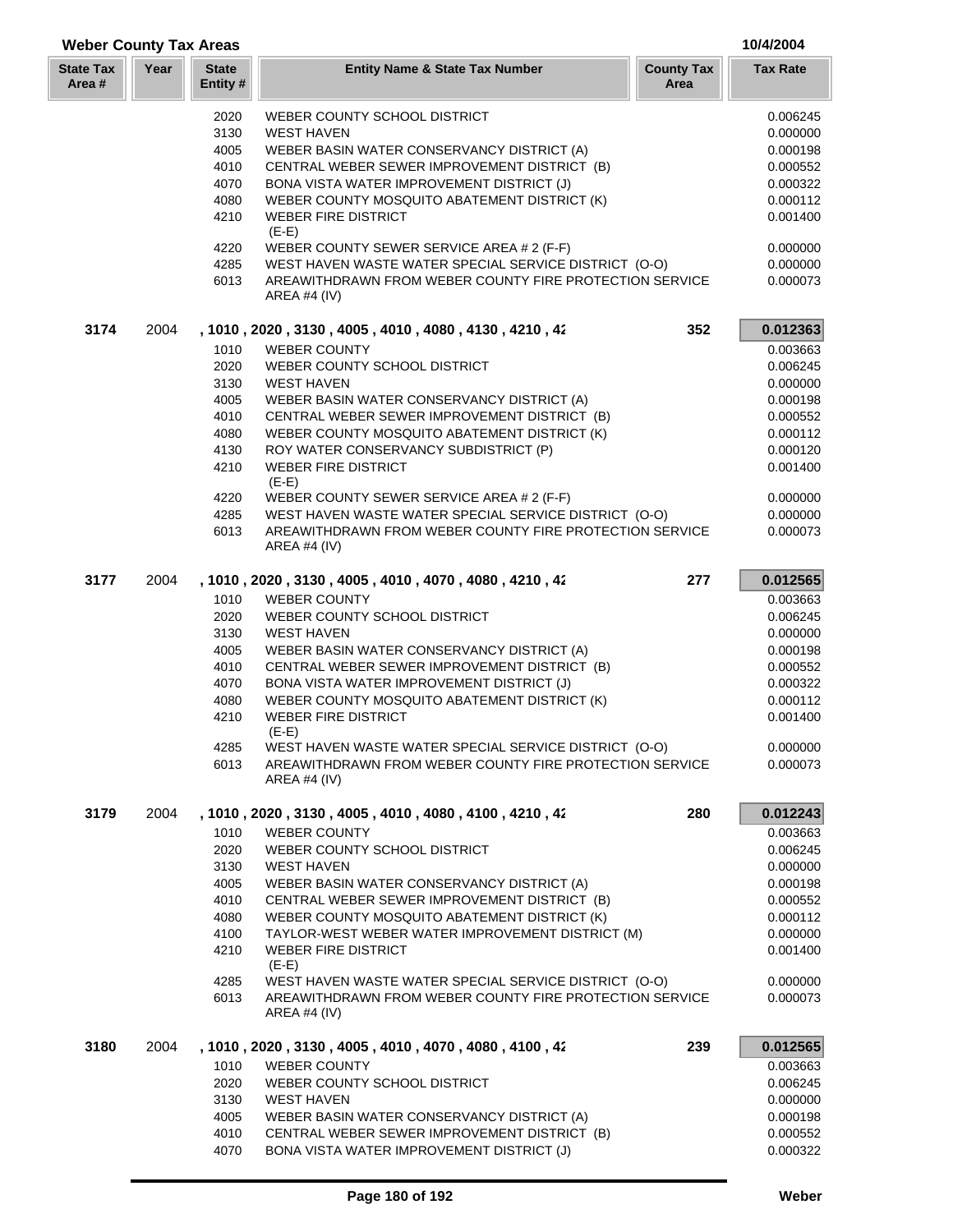| <b>Weber County Tax Areas</b> |      |                                                                     |                                                                                                                  |                           | 10/4/2004            |
|-------------------------------|------|---------------------------------------------------------------------|------------------------------------------------------------------------------------------------------------------|---------------------------|----------------------|
| <b>State Tax</b><br>Area #    | Year | <b>State</b><br>Entity#                                             | <b>Entity Name &amp; State Tax Number</b>                                                                        | <b>County Tax</b><br>Area | <b>Tax Rate</b>      |
|                               |      | 2020                                                                | WEBER COUNTY SCHOOL DISTRICT                                                                                     |                           | 0.006245             |
|                               |      | 3130                                                                | <b>WEST HAVEN</b>                                                                                                |                           | 0.000000             |
|                               |      | 4005                                                                | WEBER BASIN WATER CONSERVANCY DISTRICT (A)                                                                       |                           | 0.000198             |
|                               |      | 4010                                                                | CENTRAL WEBER SEWER IMPROVEMENT DISTRICT (B)                                                                     |                           | 0.000552             |
|                               |      | 4070                                                                | BONA VISTA WATER IMPROVEMENT DISTRICT (J)                                                                        |                           | 0.000322             |
|                               |      | 4080                                                                | WEBER COUNTY MOSQUITO ABATEMENT DISTRICT (K)                                                                     |                           | 0.000112             |
|                               |      | 4210                                                                | <b>WEBER FIRE DISTRICT</b><br>$(E-E)$                                                                            |                           | 0.001400             |
|                               |      | 4220                                                                | WEBER COUNTY SEWER SERVICE AREA # 2 (F-F)                                                                        |                           | 0.000000             |
|                               |      | 4285                                                                | WEST HAVEN WASTE WATER SPECIAL SERVICE DISTRICT (O-O)                                                            |                           | 0.000000             |
|                               |      | 6013                                                                | AREAWITHDRAWN FROM WEBER COUNTY FIRE PROTECTION SERVICE<br>AREA #4 $(IV)$                                        |                           | 0.000073             |
| 3174                          | 2004 | 352<br>, 1010 , 2020 , 3130 , 4005 , 4010 , 4080 , 4130 , 4210 , 42 |                                                                                                                  |                           | 0.012363             |
|                               |      | 1010                                                                | <b>WEBER COUNTY</b>                                                                                              |                           | 0.003663             |
|                               |      | 2020                                                                | WEBER COUNTY SCHOOL DISTRICT                                                                                     |                           | 0.006245             |
|                               |      | 3130                                                                | <b>WEST HAVEN</b>                                                                                                |                           | 0.000000             |
|                               |      | 4005                                                                | WEBER BASIN WATER CONSERVANCY DISTRICT (A)                                                                       |                           | 0.000198             |
|                               |      | 4010                                                                | CENTRAL WEBER SEWER IMPROVEMENT DISTRICT (B)                                                                     |                           | 0.000552             |
|                               |      | 4080                                                                | WEBER COUNTY MOSQUITO ABATEMENT DISTRICT (K)                                                                     |                           | 0.000112             |
|                               |      | 4130                                                                | ROY WATER CONSERVANCY SUBDISTRICT (P)                                                                            |                           | 0.000120             |
|                               |      | 4210                                                                | <b>WEBER FIRE DISTRICT</b><br>$(E-E)$                                                                            |                           | 0.001400             |
|                               |      | 4220                                                                | WEBER COUNTY SEWER SERVICE AREA # 2 (F-F)                                                                        |                           | 0.000000             |
|                               |      | 4285                                                                | WEST HAVEN WASTE WATER SPECIAL SERVICE DISTRICT (O-O)                                                            |                           | 0.000000             |
|                               |      | 6013                                                                | AREAWITHDRAWN FROM WEBER COUNTY FIRE PROTECTION SERVICE                                                          |                           | 0.000073             |
|                               |      |                                                                     | AREA #4 (IV)                                                                                                     |                           |                      |
| 3177                          | 2004 |                                                                     | , 1010, 2020, 3130, 4005, 4010, 4070, 4080, 4210, 42                                                             | 277                       | 0.012565             |
|                               |      | 1010                                                                | <b>WEBER COUNTY</b>                                                                                              |                           | 0.003663             |
|                               |      | 2020                                                                | WEBER COUNTY SCHOOL DISTRICT                                                                                     |                           | 0.006245             |
|                               |      | 3130                                                                | <b>WEST HAVEN</b>                                                                                                |                           | 0.000000             |
|                               |      | 4005                                                                | WEBER BASIN WATER CONSERVANCY DISTRICT (A)                                                                       |                           | 0.000198             |
|                               |      | 4010                                                                | CENTRAL WEBER SEWER IMPROVEMENT DISTRICT (B)                                                                     |                           | 0.000552             |
|                               |      | 4070                                                                | BONA VISTA WATER IMPROVEMENT DISTRICT (J)                                                                        |                           | 0.000322             |
|                               |      | 4080                                                                | WEBER COUNTY MOSQUITO ABATEMENT DISTRICT (K)                                                                     |                           | 0.000112             |
|                               |      | 4210                                                                | <b>WEBER FIRE DISTRICT</b><br>$(E-E)$                                                                            |                           | 0.001400             |
|                               |      | 4285                                                                | WEST HAVEN WASTE WATER SPECIAL SERVICE DISTRICT (O-O)                                                            |                           | 0.000000             |
|                               |      | 6013                                                                | AREAWITHDRAWN FROM WEBER COUNTY FIRE PROTECTION SERVICE<br><b>AREA #4 (IV)</b>                                   |                           | 0.000073             |
| 3179                          | 2004 |                                                                     | , 1010 , 2020 , 3130 , 4005 , 4010 , 4080 , 4100 , 4210 , 42                                                     | 280                       | 0.012243             |
|                               |      | 1010                                                                | <b>WEBER COUNTY</b>                                                                                              |                           | 0.003663             |
|                               |      | 2020                                                                | WEBER COUNTY SCHOOL DISTRICT                                                                                     |                           | 0.006245             |
|                               |      | 3130                                                                | <b>WEST HAVEN</b>                                                                                                |                           | 0.000000             |
|                               |      | 4005                                                                | WEBER BASIN WATER CONSERVANCY DISTRICT (A)                                                                       |                           | 0.000198             |
|                               |      | 4010                                                                | CENTRAL WEBER SEWER IMPROVEMENT DISTRICT (B)                                                                     |                           | 0.000552             |
|                               |      | 4080                                                                | WEBER COUNTY MOSQUITO ABATEMENT DISTRICT (K)                                                                     |                           | 0.000112             |
|                               |      | 4100                                                                | TAYLOR-WEST WEBER WATER IMPROVEMENT DISTRICT (M)                                                                 |                           | 0.000000             |
|                               |      | 4210                                                                | <b>WEBER FIRE DISTRICT</b><br>$(E-E)$                                                                            |                           | 0.001400             |
|                               |      | 4285<br>6013                                                        | WEST HAVEN WASTE WATER SPECIAL SERVICE DISTRICT (O-O)<br>AREAWITHDRAWN FROM WEBER COUNTY FIRE PROTECTION SERVICE |                           | 0.000000<br>0.000073 |
|                               |      |                                                                     | AREA #4 $(IV)$                                                                                                   |                           |                      |
| 3180                          | 2004 |                                                                     | , 1010 , 2020 , 3130 , 4005 , 4010 , 4070 , 4080 , 4100 , 42                                                     | 239                       | 0.012565             |
|                               |      | 1010                                                                | <b>WEBER COUNTY</b>                                                                                              |                           | 0.003663             |
|                               |      | 2020                                                                | WEBER COUNTY SCHOOL DISTRICT                                                                                     |                           | 0.006245             |
|                               |      | 3130                                                                | <b>WEST HAVEN</b>                                                                                                |                           | 0.000000             |
|                               |      | 4005                                                                | WEBER BASIN WATER CONSERVANCY DISTRICT (A)                                                                       |                           | 0.000198             |
|                               |      | 4010                                                                | CENTRAL WEBER SEWER IMPROVEMENT DISTRICT (B)                                                                     |                           | 0.000552             |
|                               |      | 4070                                                                | BONA VISTA WATER IMPROVEMENT DISTRICT (J)                                                                        |                           | 0.000322             |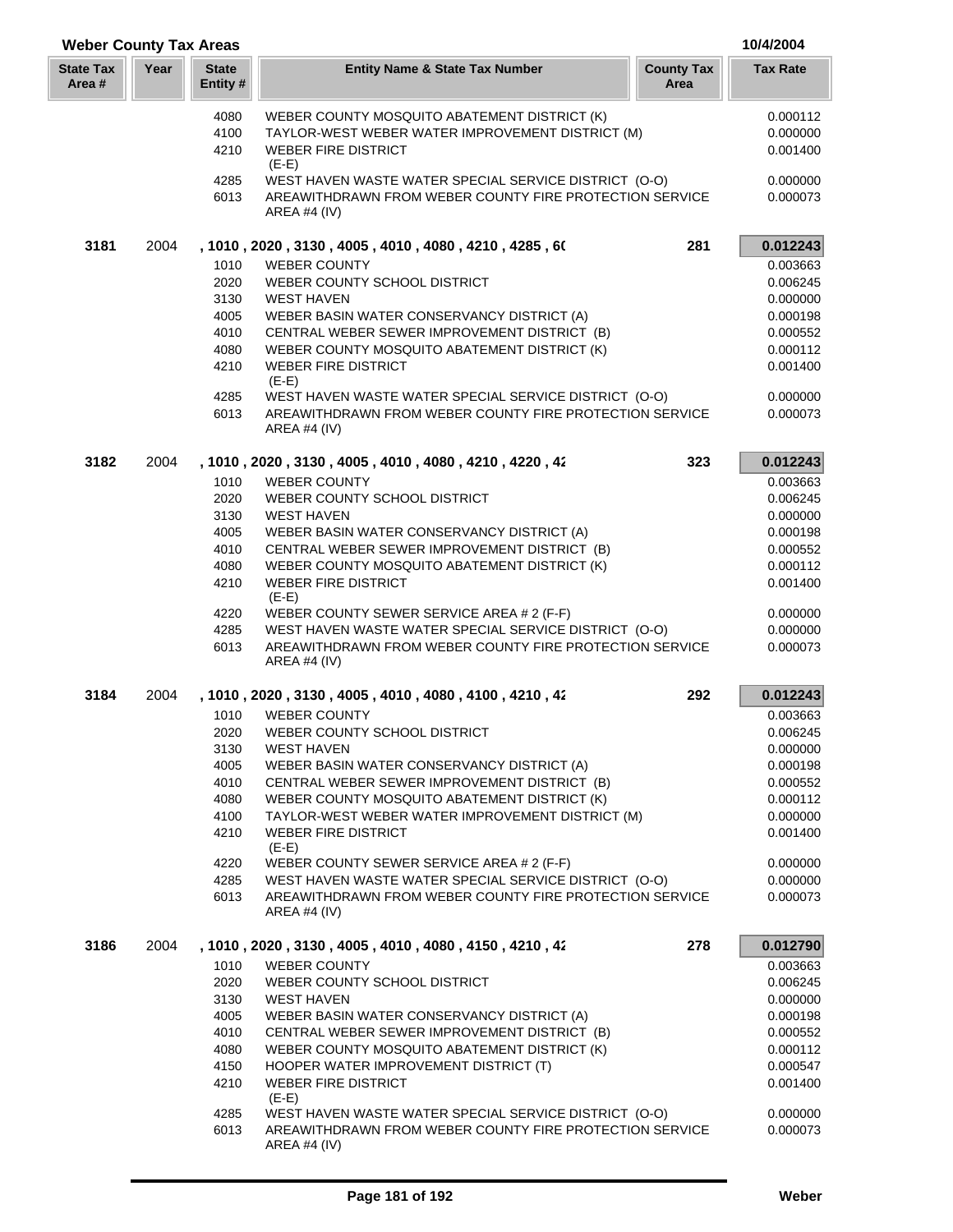| <b>Weber County Tax Areas</b> |      |                          |                                                                                |                           | 10/4/2004       |
|-------------------------------|------|--------------------------|--------------------------------------------------------------------------------|---------------------------|-----------------|
| <b>State Tax</b><br>Area #    | Year | <b>State</b><br>Entity # | <b>Entity Name &amp; State Tax Number</b>                                      | <b>County Tax</b><br>Area | <b>Tax Rate</b> |
|                               |      | 4080                     | WEBER COUNTY MOSQUITO ABATEMENT DISTRICT (K)                                   |                           | 0.000112        |
|                               |      | 4100                     | TAYLOR-WEST WEBER WATER IMPROVEMENT DISTRICT (M)                               |                           | 0.000000        |
|                               |      | 4210                     | <b>WEBER FIRE DISTRICT</b>                                                     |                           | 0.001400        |
|                               |      |                          | $(E-E)$                                                                        |                           |                 |
|                               |      | 4285                     | WEST HAVEN WASTE WATER SPECIAL SERVICE DISTRICT (O-O)                          |                           | 0.000000        |
|                               |      | 6013                     | AREAWITHDRAWN FROM WEBER COUNTY FIRE PROTECTION SERVICE<br><b>AREA #4 (IV)</b> |                           | 0.000073        |
| 3181                          | 2004 |                          | , 1010 , 2020 , 3130 , 4005 , 4010 , 4080 , 4210 , 4285 , 60                   | 281                       | 0.012243        |
|                               |      | 1010                     | <b>WEBER COUNTY</b>                                                            |                           | 0.003663        |
|                               |      | 2020                     | WEBER COUNTY SCHOOL DISTRICT                                                   |                           | 0.006245        |
|                               |      | 3130                     | <b>WEST HAVEN</b>                                                              |                           | 0.000000        |
|                               |      | 4005                     | WEBER BASIN WATER CONSERVANCY DISTRICT (A)                                     |                           | 0.000198        |
|                               |      | 4010                     | CENTRAL WEBER SEWER IMPROVEMENT DISTRICT (B)                                   |                           | 0.000552        |
|                               |      | 4080                     | WEBER COUNTY MOSQUITO ABATEMENT DISTRICT (K)                                   |                           | 0.000112        |
|                               |      | 4210                     | <b>WEBER FIRE DISTRICT</b><br>$(E-E)$                                          |                           | 0.001400        |
|                               |      | 4285                     | WEST HAVEN WASTE WATER SPECIAL SERVICE DISTRICT (O-O)                          |                           | 0.000000        |
|                               |      | 6013                     | AREAWITHDRAWN FROM WEBER COUNTY FIRE PROTECTION SERVICE<br><b>AREA #4 (IV)</b> |                           | 0.000073        |
| 3182                          | 2004 |                          | , 1010 , 2020 , 3130 , 4005 , 4010 , 4080 , 4210 , 4220 , 42                   | 323                       | 0.012243        |
|                               |      | 1010                     | <b>WEBER COUNTY</b>                                                            |                           | 0.003663        |
|                               |      | 2020                     | WEBER COUNTY SCHOOL DISTRICT                                                   |                           | 0.006245        |
|                               |      | 3130                     | <b>WEST HAVEN</b>                                                              |                           | 0.000000        |
|                               |      | 4005                     | WEBER BASIN WATER CONSERVANCY DISTRICT (A)                                     |                           | 0.000198        |
|                               |      | 4010                     | CENTRAL WEBER SEWER IMPROVEMENT DISTRICT (B)                                   |                           | 0.000552        |
|                               |      | 4080                     | WEBER COUNTY MOSQUITO ABATEMENT DISTRICT (K)                                   |                           | 0.000112        |
|                               |      | 4210                     | <b>WEBER FIRE DISTRICT</b><br>$(E-E)$                                          |                           | 0.001400        |
|                               |      | 4220                     | WEBER COUNTY SEWER SERVICE AREA # 2 (F-F)                                      |                           | 0.000000        |
|                               |      | 4285                     | WEST HAVEN WASTE WATER SPECIAL SERVICE DISTRICT (O-O)                          |                           | 0.000000        |
|                               |      | 6013                     | AREAWITHDRAWN FROM WEBER COUNTY FIRE PROTECTION SERVICE<br><b>AREA #4 (IV)</b> |                           | 0.000073        |
| 3184                          | 2004 |                          | , 1010 , 2020 , 3130 , 4005 , 4010 , 4080 , 4100 , 4210 , 42                   | 292                       | 0.012243        |
|                               |      | 1010                     | <b>WEBER COUNTY</b>                                                            |                           | 0.003663        |
|                               |      |                          | 2020 WEBER COUNTY SCHOOL DISTRICT                                              |                           | 0.006245        |
|                               |      | 3130                     | <b>WEST HAVEN</b>                                                              |                           | 0.000000        |
|                               |      | 4005                     | WEBER BASIN WATER CONSERVANCY DISTRICT (A)                                     |                           | 0.000198        |
|                               |      | 4010                     | CENTRAL WEBER SEWER IMPROVEMENT DISTRICT (B)                                   |                           | 0.000552        |
|                               |      | 4080                     | WEBER COUNTY MOSQUITO ABATEMENT DISTRICT (K)                                   |                           | 0.000112        |
|                               |      | 4100                     | TAYLOR-WEST WEBER WATER IMPROVEMENT DISTRICT (M)                               |                           | 0.000000        |
|                               |      | 4210                     | <b>WEBER FIRE DISTRICT</b><br>$(E-E)$                                          |                           | 0.001400        |
|                               |      | 4220                     | WEBER COUNTY SEWER SERVICE AREA # 2 (F-F)                                      |                           | 0.000000        |
|                               |      | 4285                     | WEST HAVEN WASTE WATER SPECIAL SERVICE DISTRICT (O-O)                          |                           | 0.000000        |
|                               |      | 6013                     | AREAWITHDRAWN FROM WEBER COUNTY FIRE PROTECTION SERVICE<br><b>AREA #4 (IV)</b> |                           | 0.000073        |
| 3186                          | 2004 |                          | , 1010 , 2020 , 3130 , 4005 , 4010 , 4080 , 4150 , 4210 , 42                   | 278                       | 0.012790        |
|                               |      | 1010                     | <b>WEBER COUNTY</b>                                                            |                           | 0.003663        |
|                               |      | 2020                     | WEBER COUNTY SCHOOL DISTRICT                                                   |                           | 0.006245        |
|                               |      | 3130                     | <b>WEST HAVEN</b>                                                              |                           | 0.000000        |
|                               |      | 4005                     | WEBER BASIN WATER CONSERVANCY DISTRICT (A)                                     |                           | 0.000198        |
|                               |      | 4010                     | CENTRAL WEBER SEWER IMPROVEMENT DISTRICT (B)                                   |                           | 0.000552        |
|                               |      | 4080                     | WEBER COUNTY MOSQUITO ABATEMENT DISTRICT (K)                                   |                           | 0.000112        |
|                               |      | 4150                     | HOOPER WATER IMPROVEMENT DISTRICT (T)                                          |                           | 0.000547        |
|                               |      | 4210                     | <b>WEBER FIRE DISTRICT</b><br>$(E-E)$                                          |                           | 0.001400        |
|                               |      | 4285                     | WEST HAVEN WASTE WATER SPECIAL SERVICE DISTRICT (O-O)                          |                           | 0.000000        |
|                               |      | 6013                     | AREAWITHDRAWN FROM WEBER COUNTY FIRE PROTECTION SERVICE<br>AREA #4 (IV)        |                           | 0.000073        |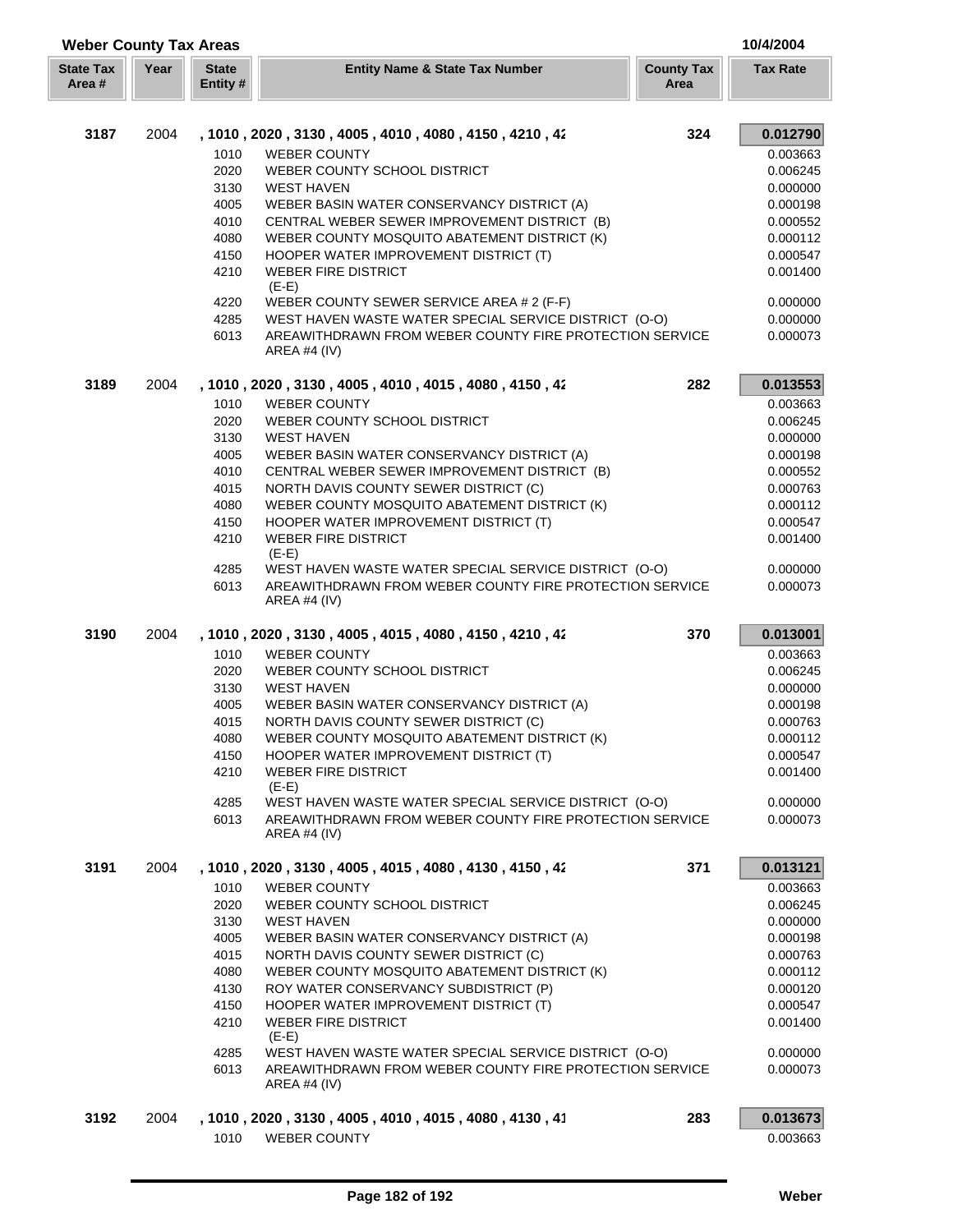| <b>Weber County Tax Areas</b> |      |                         |                                                                                |                           | 10/4/2004       |  |
|-------------------------------|------|-------------------------|--------------------------------------------------------------------------------|---------------------------|-----------------|--|
| <b>State Tax</b><br>Area #    | Year | <b>State</b><br>Entity# | <b>Entity Name &amp; State Tax Number</b>                                      | <b>County Tax</b><br>Area | <b>Tax Rate</b> |  |
| 3187                          | 2004 |                         | , 1010, 2020, 3130, 4005, 4010, 4080, 4150, 4210, 42                           | 324                       | 0.012790        |  |
|                               |      | 1010                    | <b>WEBER COUNTY</b>                                                            |                           | 0.003663        |  |
|                               |      | 2020                    | WEBER COUNTY SCHOOL DISTRICT                                                   |                           | 0.006245        |  |
|                               |      | 3130                    | <b>WEST HAVEN</b>                                                              |                           | 0.000000        |  |
|                               |      | 4005                    | WEBER BASIN WATER CONSERVANCY DISTRICT (A)                                     |                           | 0.000198        |  |
|                               |      | 4010                    | CENTRAL WEBER SEWER IMPROVEMENT DISTRICT (B)                                   |                           | 0.000552        |  |
|                               |      | 4080                    | WEBER COUNTY MOSQUITO ABATEMENT DISTRICT (K)                                   |                           | 0.000112        |  |
|                               |      | 4150                    | HOOPER WATER IMPROVEMENT DISTRICT (T)                                          |                           | 0.000547        |  |
|                               |      | 4210                    | <b>WEBER FIRE DISTRICT</b><br>$(E-E)$                                          |                           | 0.001400        |  |
|                               |      | 4220                    | WEBER COUNTY SEWER SERVICE AREA # 2 (F-F)                                      |                           | 0.000000        |  |
|                               |      | 4285                    | WEST HAVEN WASTE WATER SPECIAL SERVICE DISTRICT (O-O)                          |                           | 0.000000        |  |
|                               |      | 6013                    | AREAWITHDRAWN FROM WEBER COUNTY FIRE PROTECTION SERVICE<br>AREA #4 (IV)        |                           | 0.000073        |  |
| 3189                          | 2004 |                         | , 1010, 2020, 3130, 4005, 4010, 4015, 4080, 4150, 42                           | 282                       | 0.013553        |  |
|                               |      | 1010                    | <b>WEBER COUNTY</b>                                                            |                           | 0.003663        |  |
|                               |      | 2020                    | WEBER COUNTY SCHOOL DISTRICT                                                   |                           | 0.006245        |  |
|                               |      | 3130                    | <b>WEST HAVEN</b>                                                              |                           | 0.000000        |  |
|                               |      | 4005                    | WEBER BASIN WATER CONSERVANCY DISTRICT (A)                                     |                           | 0.000198        |  |
|                               |      | 4010                    | CENTRAL WEBER SEWER IMPROVEMENT DISTRICT (B)                                   |                           | 0.000552        |  |
|                               |      | 4015                    | NORTH DAVIS COUNTY SEWER DISTRICT (C)                                          |                           | 0.000763        |  |
|                               |      | 4080                    | WEBER COUNTY MOSQUITO ABATEMENT DISTRICT (K)                                   |                           | 0.000112        |  |
|                               |      | 4150                    | HOOPER WATER IMPROVEMENT DISTRICT (T)                                          |                           | 0.000547        |  |
|                               |      | 4210                    | <b>WEBER FIRE DISTRICT</b><br>$(E-E)$                                          |                           | 0.001400        |  |
|                               |      | 4285                    | WEST HAVEN WASTE WATER SPECIAL SERVICE DISTRICT (O-O)                          |                           | 0.000000        |  |
|                               |      | 6013                    | AREAWITHDRAWN FROM WEBER COUNTY FIRE PROTECTION SERVICE<br><b>AREA #4 (IV)</b> |                           | 0.000073        |  |
| 3190                          | 2004 |                         | , 1010 , 2020 , 3130 , 4005 , 4015 , 4080 , 4150 , 4210 , 42                   | 370                       | 0.013001        |  |
|                               |      | 1010                    | <b>WEBER COUNTY</b>                                                            |                           | 0.003663        |  |
|                               |      | 2020                    | WEBER COUNTY SCHOOL DISTRICT                                                   |                           | 0.006245        |  |
|                               |      | 3130                    | <b>WEST HAVEN</b>                                                              |                           | 0.000000        |  |
|                               |      | 4005                    | WEBER BASIN WATER CONSERVANCY DISTRICT (A)                                     |                           | 0.000198        |  |
|                               |      | 4015                    | NORTH DAVIS COUNTY SEWER DISTRICT (C)                                          |                           | 0.000763        |  |
|                               |      | 4080                    | WEBER COUNTY MOSQUITO ABATEMENT DISTRICT (K)                                   |                           | 0.000112        |  |
|                               |      | 4150                    | HOOPER WATER IMPROVEMENT DISTRICT (T)                                          |                           | 0.000547        |  |
|                               |      | 4210                    | WEBER FIRE DISTRICT<br>$(E-E)$                                                 |                           | 0.001400        |  |
|                               |      | 4285                    | WEST HAVEN WASTE WATER SPECIAL SERVICE DISTRICT (O-O)                          |                           | 0.000000        |  |
|                               |      | 6013                    | AREAWITHDRAWN FROM WEBER COUNTY FIRE PROTECTION SERVICE<br>AREA #4 $(IV)$      |                           | 0.000073        |  |
| 3191                          | 2004 |                         | , 1010 , 2020 , 3130 , 4005 , 4015 , 4080 , 4130 , 4150 , 42                   | 371                       | 0.013121        |  |
|                               |      | 1010                    | <b>WEBER COUNTY</b>                                                            |                           | 0.003663        |  |
|                               |      | 2020                    | WEBER COUNTY SCHOOL DISTRICT                                                   |                           | 0.006245        |  |
|                               |      | 3130                    | <b>WEST HAVEN</b>                                                              |                           | 0.000000        |  |
|                               |      | 4005                    | WEBER BASIN WATER CONSERVANCY DISTRICT (A)                                     |                           | 0.000198        |  |
|                               |      | 4015                    | NORTH DAVIS COUNTY SEWER DISTRICT (C)                                          |                           | 0.000763        |  |
|                               |      | 4080                    | WEBER COUNTY MOSQUITO ABATEMENT DISTRICT (K)                                   |                           | 0.000112        |  |
|                               |      | 4130                    | ROY WATER CONSERVANCY SUBDISTRICT (P)                                          |                           | 0.000120        |  |
|                               |      | 4150                    | HOOPER WATER IMPROVEMENT DISTRICT (T)                                          |                           | 0.000547        |  |
|                               |      | 4210                    | <b>WEBER FIRE DISTRICT</b><br>$(E-E)$                                          |                           | 0.001400        |  |
|                               |      | 4285                    | WEST HAVEN WASTE WATER SPECIAL SERVICE DISTRICT (O-O)                          |                           | 0.000000        |  |
|                               |      | 6013                    | AREAWITHDRAWN FROM WEBER COUNTY FIRE PROTECTION SERVICE<br>AREA #4 (IV)        |                           | 0.000073        |  |
| 3192                          | 2004 |                         | , 1010, 2020, 3130, 4005, 4010, 4015, 4080, 4130, 41                           | 283                       | 0.013673        |  |
|                               |      | 1010                    | <b>WEBER COUNTY</b>                                                            |                           | 0.003663        |  |
|                               |      |                         |                                                                                |                           |                 |  |

ſ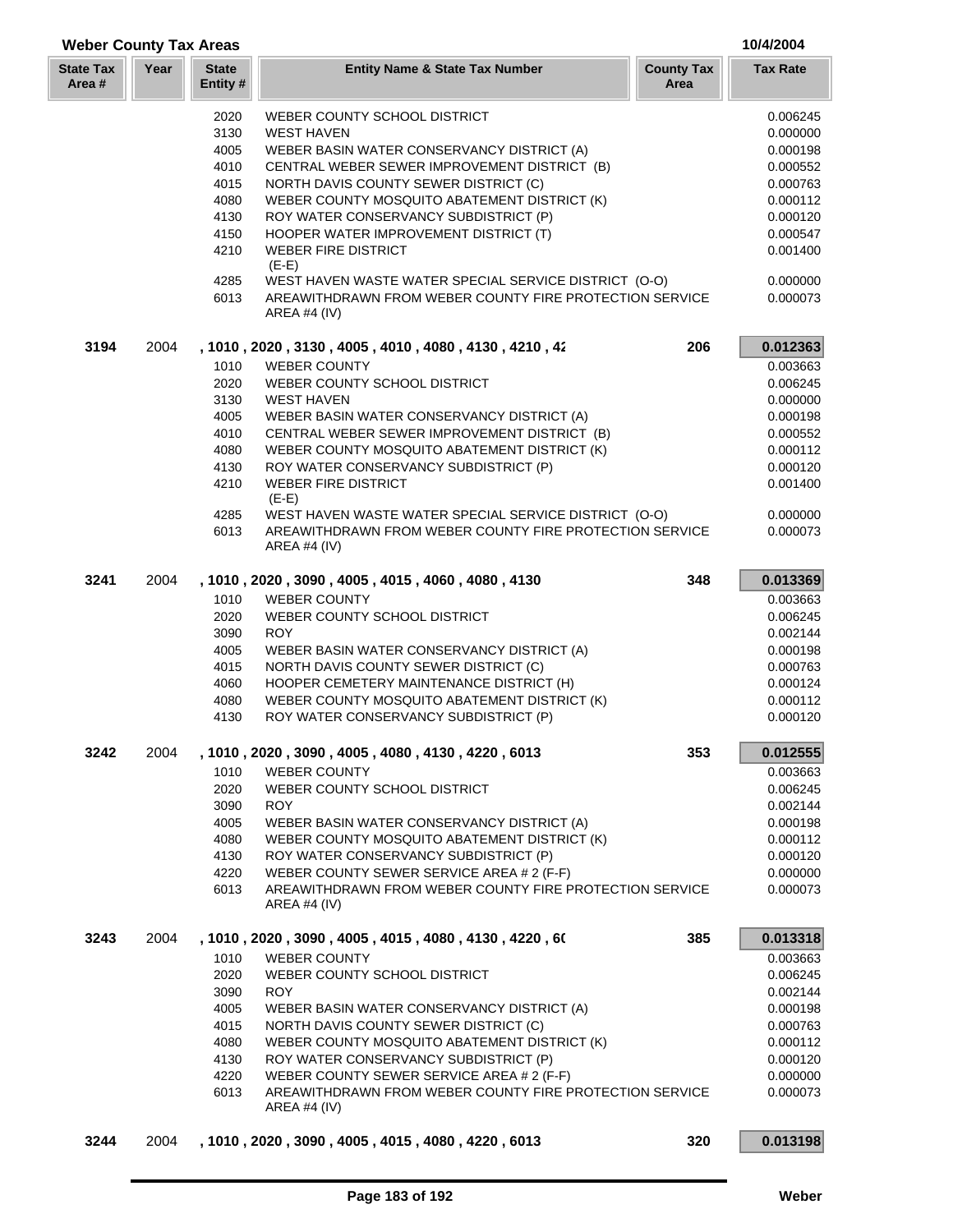| <b>Weber County Tax Areas</b> |      |                          |                                                                           |                           | 10/4/2004            |
|-------------------------------|------|--------------------------|---------------------------------------------------------------------------|---------------------------|----------------------|
| <b>State Tax</b><br>Area #    | Year | <b>State</b><br>Entity # | <b>Entity Name &amp; State Tax Number</b>                                 | <b>County Tax</b><br>Area | <b>Tax Rate</b>      |
|                               |      | 2020                     | WEBER COUNTY SCHOOL DISTRICT                                              |                           | 0.006245             |
|                               |      | 3130                     | <b>WEST HAVEN</b>                                                         |                           | 0.000000             |
|                               |      | 4005                     | WEBER BASIN WATER CONSERVANCY DISTRICT (A)                                |                           | 0.000198             |
|                               |      | 4010                     | CENTRAL WEBER SEWER IMPROVEMENT DISTRICT (B)                              |                           | 0.000552             |
|                               |      | 4015                     | NORTH DAVIS COUNTY SEWER DISTRICT (C)                                     |                           | 0.000763             |
|                               |      | 4080                     | WEBER COUNTY MOSQUITO ABATEMENT DISTRICT (K)                              |                           | 0.000112             |
|                               |      | 4130                     | ROY WATER CONSERVANCY SUBDISTRICT (P)                                     |                           | 0.000120             |
|                               |      | 4150                     | HOOPER WATER IMPROVEMENT DISTRICT (T)                                     |                           | 0.000547             |
|                               |      | 4210                     | <b>WEBER FIRE DISTRICT</b><br>$(E-E)$                                     |                           | 0.001400             |
|                               |      | 4285                     | WEST HAVEN WASTE WATER SPECIAL SERVICE DISTRICT (O-O)                     |                           | 0.000000             |
|                               |      | 6013                     | AREAWITHDRAWN FROM WEBER COUNTY FIRE PROTECTION SERVICE<br>AREA #4 $(IV)$ |                           | 0.000073             |
| 3194                          | 2004 |                          | , 1010, 2020, 3130, 4005, 4010, 4080, 4130, 4210, 42                      | 206                       | 0.012363             |
|                               |      | 1010                     | <b>WEBER COUNTY</b>                                                       |                           | 0.003663             |
|                               |      | 2020                     | WEBER COUNTY SCHOOL DISTRICT                                              |                           | 0.006245             |
|                               |      | 3130                     | <b>WEST HAVEN</b>                                                         |                           | 0.000000             |
|                               |      | 4005                     | WEBER BASIN WATER CONSERVANCY DISTRICT (A)                                |                           | 0.000198             |
|                               |      | 4010                     | CENTRAL WEBER SEWER IMPROVEMENT DISTRICT (B)                              |                           | 0.000552             |
|                               |      | 4080                     | WEBER COUNTY MOSQUITO ABATEMENT DISTRICT (K)                              |                           | 0.000112             |
|                               |      | 4130                     | ROY WATER CONSERVANCY SUBDISTRICT (P)                                     |                           | 0.000120             |
|                               |      | 4210                     | <b>WEBER FIRE DISTRICT</b><br>$(E-E)$                                     |                           | 0.001400             |
|                               |      | 4285                     | WEST HAVEN WASTE WATER SPECIAL SERVICE DISTRICT (O-O)                     |                           | 0.000000             |
|                               |      | 6013                     | AREAWITHDRAWN FROM WEBER COUNTY FIRE PROTECTION SERVICE<br>AREA #4 $(IV)$ |                           | 0.000073             |
| 3241                          | 2004 |                          | , 1010, 2020, 3090, 4005, 4015, 4060, 4080, 4130                          | 348                       | 0.013369             |
|                               |      | 1010                     | <b>WEBER COUNTY</b>                                                       |                           | 0.003663             |
|                               |      | 2020                     | WEBER COUNTY SCHOOL DISTRICT                                              |                           | 0.006245             |
|                               |      | 3090                     | <b>ROY</b>                                                                |                           | 0.002144             |
|                               |      | 4005                     | WEBER BASIN WATER CONSERVANCY DISTRICT (A)                                |                           | 0.000198             |
|                               |      | 4015                     | NORTH DAVIS COUNTY SEWER DISTRICT (C)                                     |                           | 0.000763             |
|                               |      | 4060                     | HOOPER CEMETERY MAINTENANCE DISTRICT (H)                                  |                           | 0.000124             |
|                               |      | 4080                     | WEBER COUNTY MOSQUITO ABATEMENT DISTRICT (K)                              |                           | 0.000112             |
|                               |      | 4130                     | ROY WATER CONSERVANCY SUBDISTRICT (P)                                     |                           | 0.000120             |
| 3242                          | 2004 |                          | , 1010, 2020, 3090, 4005, 4080, 4130, 4220, 6013                          | 353                       | 0.012555             |
|                               |      | 1010<br>2020             | <b>WEBER COUNTY</b><br>WEBER COUNTY SCHOOL DISTRICT                       |                           | 0.003663<br>0.006245 |
|                               |      | 3090                     | <b>ROY</b>                                                                |                           | 0.002144             |
|                               |      | 4005                     | WEBER BASIN WATER CONSERVANCY DISTRICT (A)                                |                           | 0.000198             |
|                               |      | 4080                     | WEBER COUNTY MOSQUITO ABATEMENT DISTRICT (K)                              |                           | 0.000112             |
|                               |      | 4130                     | ROY WATER CONSERVANCY SUBDISTRICT (P)                                     |                           | 0.000120             |
|                               |      | 4220                     | WEBER COUNTY SEWER SERVICE AREA # 2 (F-F)                                 |                           | 0.000000             |
|                               |      | 6013                     | AREAWITHDRAWN FROM WEBER COUNTY FIRE PROTECTION SERVICE<br>AREA #4 (IV)   |                           | 0.000073             |
| 3243                          | 2004 |                          | , 1010 , 2020 , 3090 , 4005 , 4015 , 4080 , 4130 , 4220 , 60              | 385                       | 0.013318             |
|                               |      | 1010                     | <b>WEBER COUNTY</b>                                                       |                           | 0.003663             |
|                               |      | 2020                     | WEBER COUNTY SCHOOL DISTRICT                                              |                           | 0.006245             |
|                               |      | 3090                     | <b>ROY</b>                                                                |                           | 0.002144             |
|                               |      | 4005                     | WEBER BASIN WATER CONSERVANCY DISTRICT (A)                                |                           | 0.000198             |
|                               |      | 4015                     | NORTH DAVIS COUNTY SEWER DISTRICT (C)                                     |                           | 0.000763             |
|                               |      | 4080                     | WEBER COUNTY MOSQUITO ABATEMENT DISTRICT (K)                              |                           | 0.000112             |
|                               |      | 4130                     | ROY WATER CONSERVANCY SUBDISTRICT (P)                                     |                           | 0.000120             |
|                               |      | 4220                     | WEBER COUNTY SEWER SERVICE AREA # 2 (F-F)                                 |                           | 0.000000             |
|                               |      | 6013                     | AREAWITHDRAWN FROM WEBER COUNTY FIRE PROTECTION SERVICE<br>AREA #4 $(IV)$ |                           | 0.000073             |
| 3244                          | 2004 |                          | , 1010, 2020, 3090, 4005, 4015, 4080, 4220, 6013                          | 320                       | 0.013198             |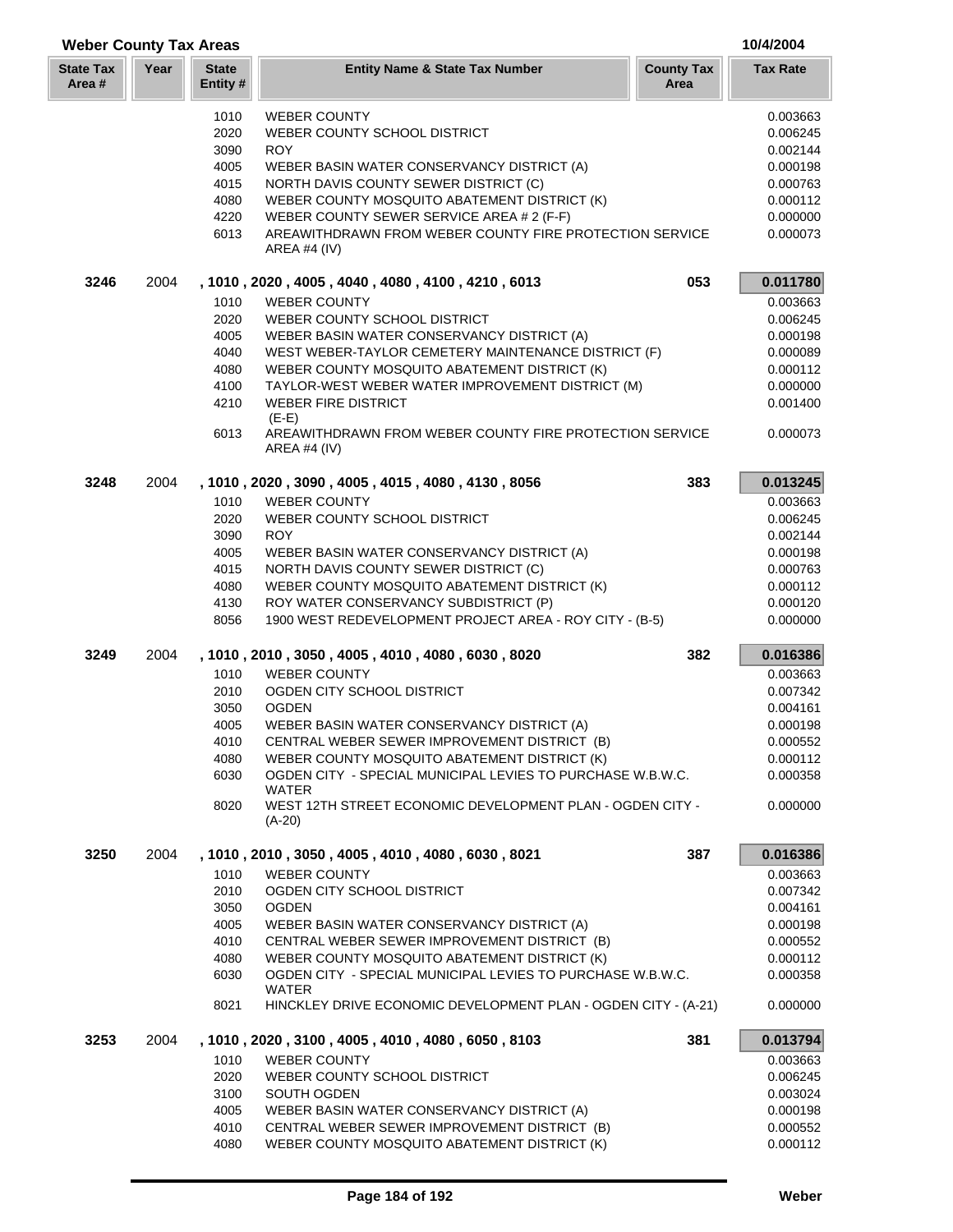| <b>Weber County Tax Areas</b> |      |                          |                                                                                |                           | 10/4/2004       |
|-------------------------------|------|--------------------------|--------------------------------------------------------------------------------|---------------------------|-----------------|
| <b>State Tax</b><br>Area #    | Year | <b>State</b><br>Entity # | <b>Entity Name &amp; State Tax Number</b>                                      | <b>County Tax</b><br>Area | <b>Tax Rate</b> |
|                               |      | 1010                     | <b>WEBER COUNTY</b>                                                            |                           | 0.003663        |
|                               |      | 2020                     | WEBER COUNTY SCHOOL DISTRICT                                                   |                           | 0.006245        |
|                               |      | 3090                     | <b>ROY</b>                                                                     |                           | 0.002144        |
|                               |      | 4005                     | WEBER BASIN WATER CONSERVANCY DISTRICT (A)                                     |                           | 0.000198        |
|                               |      | 4015                     | NORTH DAVIS COUNTY SEWER DISTRICT (C)                                          |                           | 0.000763        |
|                               |      | 4080                     | WEBER COUNTY MOSQUITO ABATEMENT DISTRICT (K)                                   |                           | 0.000112        |
|                               |      | 4220                     | WEBER COUNTY SEWER SERVICE AREA # 2 (F-F)                                      |                           | 0.000000        |
|                               |      | 6013                     | AREAWITHDRAWN FROM WEBER COUNTY FIRE PROTECTION SERVICE<br><b>AREA #4 (IV)</b> |                           | 0.000073        |
| 3246                          | 2004 |                          | , 1010, 2020, 4005, 4040, 4080, 4100, 4210, 6013                               | 053                       | 0.011780        |
|                               |      | 1010                     | <b>WEBER COUNTY</b>                                                            |                           | 0.003663        |
|                               |      | 2020                     | WEBER COUNTY SCHOOL DISTRICT                                                   |                           | 0.006245        |
|                               |      | 4005                     | WEBER BASIN WATER CONSERVANCY DISTRICT (A)                                     |                           | 0.000198        |
|                               |      | 4040                     | WEST WEBER-TAYLOR CEMETERY MAINTENANCE DISTRICT (F)                            |                           | 0.000089        |
|                               |      | 4080                     | WEBER COUNTY MOSQUITO ABATEMENT DISTRICT (K)                                   |                           | 0.000112        |
|                               |      | 4100                     | TAYLOR-WEST WEBER WATER IMPROVEMENT DISTRICT (M)                               |                           | 0.000000        |
|                               |      | 4210                     | <b>WEBER FIRE DISTRICT</b><br>$(E-E)$                                          |                           | 0.001400        |
|                               |      | 6013                     | AREAWITHDRAWN FROM WEBER COUNTY FIRE PROTECTION SERVICE<br><b>AREA #4 (IV)</b> |                           | 0.000073        |
| 3248                          | 2004 |                          | , 1010, 2020, 3090, 4005, 4015, 4080, 4130, 8056                               | 383                       | 0.013245        |
|                               |      | 1010                     | <b>WEBER COUNTY</b>                                                            |                           | 0.003663        |
|                               |      | 2020                     | WEBER COUNTY SCHOOL DISTRICT                                                   |                           | 0.006245        |
|                               |      | 3090                     | <b>ROY</b>                                                                     |                           | 0.002144        |
|                               |      | 4005                     | WEBER BASIN WATER CONSERVANCY DISTRICT (A)                                     |                           | 0.000198        |
|                               |      | 4015                     | NORTH DAVIS COUNTY SEWER DISTRICT (C)                                          |                           | 0.000763        |
|                               |      | 4080                     | WEBER COUNTY MOSQUITO ABATEMENT DISTRICT (K)                                   |                           | 0.000112        |
|                               |      | 4130                     | ROY WATER CONSERVANCY SUBDISTRICT (P)                                          |                           | 0.000120        |
|                               |      | 8056                     | 1900 WEST REDEVELOPMENT PROJECT AREA - ROY CITY - (B-5)                        |                           | 0.000000        |
| 3249                          | 2004 |                          | , 1010, 2010, 3050, 4005, 4010, 4080, 6030, 8020                               | 382                       | 0.016386        |
|                               |      | 1010                     | <b>WEBER COUNTY</b>                                                            |                           | 0.003663        |
|                               |      | 2010                     | OGDEN CITY SCHOOL DISTRICT                                                     |                           | 0.007342        |
|                               |      | 3050                     | <b>OGDEN</b>                                                                   |                           | 0.004161        |
|                               |      | 4005                     | WEBER BASIN WATER CONSERVANCY DISTRICT (A)                                     |                           | 0.000198        |
|                               |      | 4010                     | CENTRAL WEBER SEWER IMPROVEMENT DISTRICT (B)                                   |                           | 0.000552        |
|                               |      | 4080                     | WEBER COUNTY MOSQUITO ABATEMENT DISTRICT (K)                                   |                           | 0.000112        |
|                               |      | 6030                     | OGDEN CITY - SPECIAL MUNICIPAL LEVIES TO PURCHASE W.B.W.C.<br><b>WATER</b>     |                           | 0.000358        |
|                               |      | 8020                     | WEST 12TH STREET ECONOMIC DEVELOPMENT PLAN - OGDEN CITY -<br>$(A-20)$          |                           | 0.000000        |
| 3250                          | 2004 |                          | , 1010, 2010, 3050, 4005, 4010, 4080, 6030, 8021                               | 387                       | 0.016386        |
|                               |      | 1010                     | <b>WEBER COUNTY</b>                                                            |                           | 0.003663        |
|                               |      | 2010                     | OGDEN CITY SCHOOL DISTRICT                                                     |                           | 0.007342        |
|                               |      | 3050                     | <b>OGDEN</b>                                                                   |                           | 0.004161        |
|                               |      | 4005                     | WEBER BASIN WATER CONSERVANCY DISTRICT (A)                                     |                           | 0.000198        |
|                               |      | 4010                     | CENTRAL WEBER SEWER IMPROVEMENT DISTRICT (B)                                   |                           | 0.000552        |
|                               |      | 4080                     | WEBER COUNTY MOSQUITO ABATEMENT DISTRICT (K)                                   |                           | 0.000112        |
|                               |      | 6030                     | OGDEN CITY - SPECIAL MUNICIPAL LEVIES TO PURCHASE W.B.W.C.<br>WATER            |                           | 0.000358        |
|                               |      | 8021                     | HINCKLEY DRIVE ECONOMIC DEVELOPMENT PLAN - OGDEN CITY - (A-21)                 |                           | 0.000000        |
| 3253                          | 2004 |                          | , 1010, 2020, 3100, 4005, 4010, 4080, 6050, 8103                               | 381                       | 0.013794        |
|                               |      | 1010                     | <b>WEBER COUNTY</b>                                                            |                           | 0.003663        |
|                               |      | 2020                     | WEBER COUNTY SCHOOL DISTRICT                                                   |                           | 0.006245        |
|                               |      | 3100                     | SOUTH OGDEN                                                                    |                           | 0.003024        |
|                               |      | 4005                     | WEBER BASIN WATER CONSERVANCY DISTRICT (A)                                     |                           | 0.000198        |
|                               |      | 4010                     | CENTRAL WEBER SEWER IMPROVEMENT DISTRICT (B)                                   |                           | 0.000552        |

4080 WEBER COUNTY MOSQUITO ABATEMENT DISTRICT (K) 0.000112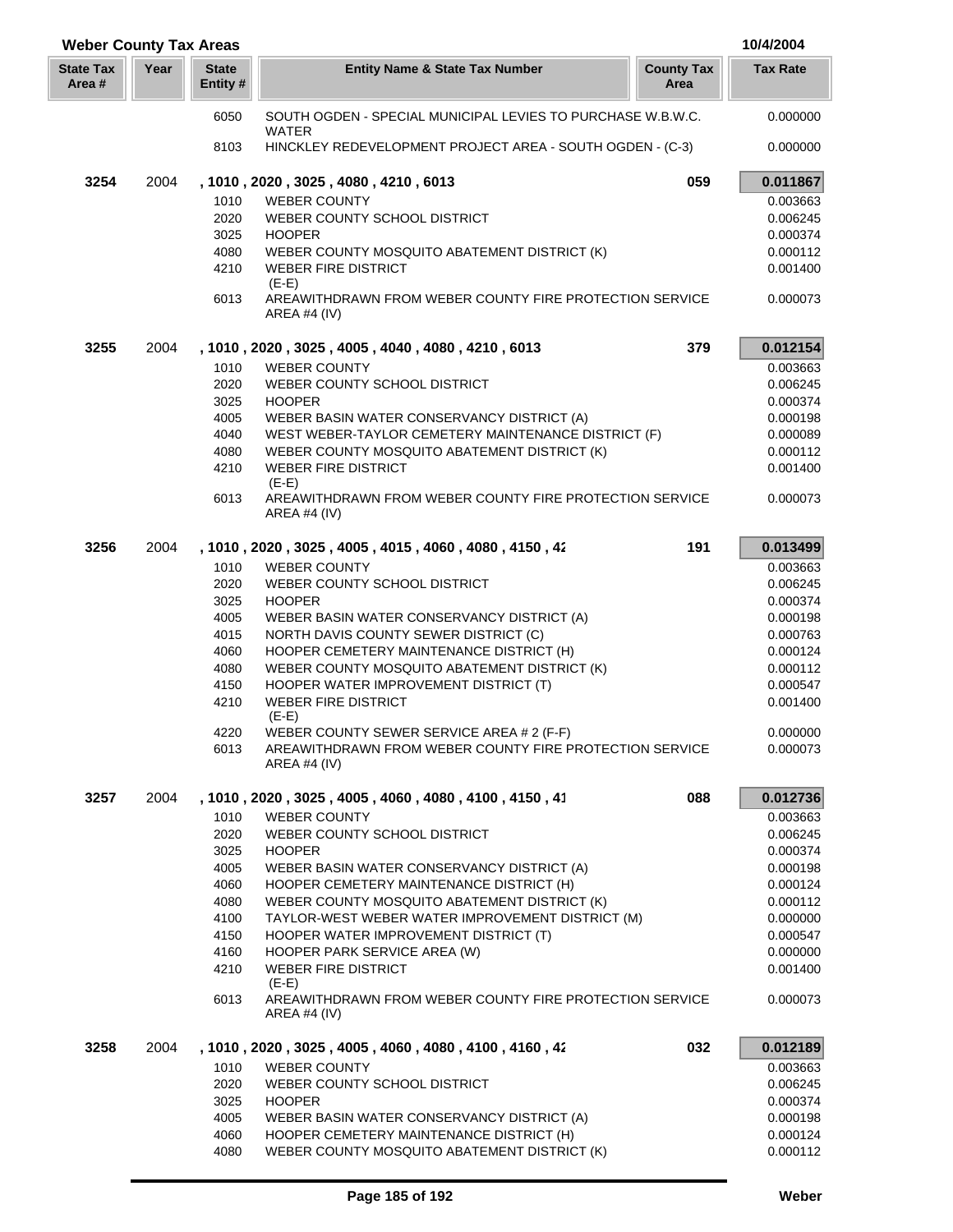| <b>Weber County Tax Areas</b> |      |                          |                                                                                           |                           | 10/4/2004            |
|-------------------------------|------|--------------------------|-------------------------------------------------------------------------------------------|---------------------------|----------------------|
| <b>State Tax</b><br>Area #    | Year | <b>State</b><br>Entity # | <b>Entity Name &amp; State Tax Number</b>                                                 | <b>County Tax</b><br>Area | <b>Tax Rate</b>      |
|                               |      | 6050                     | SOUTH OGDEN - SPECIAL MUNICIPAL LEVIES TO PURCHASE W.B.W.C.<br><b>WATER</b>               |                           | 0.000000             |
|                               |      | 8103                     | HINCKLEY REDEVELOPMENT PROJECT AREA - SOUTH OGDEN - (C-3)                                 |                           | 0.000000             |
| 3254                          | 2004 |                          | , 1010 , 2020 , 3025 , 4080 , 4210 , 6013                                                 | 059                       | 0.011867             |
|                               |      | 1010                     | <b>WEBER COUNTY</b>                                                                       |                           | 0.003663             |
|                               |      | 2020                     | WEBER COUNTY SCHOOL DISTRICT                                                              |                           | 0.006245             |
|                               |      | 3025                     | <b>HOOPER</b>                                                                             |                           | 0.000374             |
|                               |      | 4080                     | WEBER COUNTY MOSQUITO ABATEMENT DISTRICT (K)                                              |                           | 0.000112             |
|                               |      | 4210                     | <b>WEBER FIRE DISTRICT</b><br>$(E-E)$                                                     |                           | 0.001400             |
|                               |      | 6013                     | AREAWITHDRAWN FROM WEBER COUNTY FIRE PROTECTION SERVICE<br><b>AREA #4 (IV)</b>            |                           | 0.000073             |
| 3255                          | 2004 |                          | , 1010, 2020, 3025, 4005, 4040, 4080, 4210, 6013                                          | 379                       | 0.012154             |
|                               |      | 1010                     | <b>WEBER COUNTY</b>                                                                       |                           | 0.003663             |
|                               |      | 2020                     | WEBER COUNTY SCHOOL DISTRICT                                                              |                           | 0.006245             |
|                               |      | 3025                     | <b>HOOPER</b>                                                                             |                           | 0.000374             |
|                               |      | 4005                     | WEBER BASIN WATER CONSERVANCY DISTRICT (A)                                                |                           | 0.000198             |
|                               |      | 4040                     | WEST WEBER-TAYLOR CEMETERY MAINTENANCE DISTRICT (F)                                       |                           | 0.000089             |
|                               |      | 4080                     | WEBER COUNTY MOSQUITO ABATEMENT DISTRICT (K)                                              |                           | 0.000112             |
|                               |      | 4210                     | <b>WEBER FIRE DISTRICT</b>                                                                |                           | 0.001400             |
|                               |      | 6013                     | $(E-E)$<br>AREAWITHDRAWN FROM WEBER COUNTY FIRE PROTECTION SERVICE<br><b>AREA #4 (IV)</b> |                           | 0.000073             |
| 3256                          | 2004 |                          | , 1010, 2020, 3025, 4005, 4015, 4060, 4080, 4150, 42                                      | 191                       | 0.013499             |
|                               |      | 1010                     | <b>WEBER COUNTY</b>                                                                       |                           | 0.003663             |
|                               |      | 2020                     | WEBER COUNTY SCHOOL DISTRICT                                                              |                           | 0.006245             |
|                               |      | 3025                     | <b>HOOPER</b>                                                                             |                           | 0.000374             |
|                               |      | 4005                     | WEBER BASIN WATER CONSERVANCY DISTRICT (A)                                                |                           | 0.000198             |
|                               |      | 4015                     | NORTH DAVIS COUNTY SEWER DISTRICT (C)                                                     |                           | 0.000763             |
|                               |      | 4060                     | HOOPER CEMETERY MAINTENANCE DISTRICT (H)                                                  |                           | 0.000124             |
|                               |      | 4080                     | WEBER COUNTY MOSQUITO ABATEMENT DISTRICT (K)                                              |                           | 0.000112             |
|                               |      | 4150                     | HOOPER WATER IMPROVEMENT DISTRICT (T)                                                     |                           | 0.000547             |
|                               |      | 4210                     | <b>WEBER FIRE DISTRICT</b>                                                                |                           | 0.001400             |
|                               |      |                          | $(E-E)$                                                                                   |                           |                      |
|                               |      | 4220                     | WEBER COUNTY SEWER SERVICE AREA # 2 (F-F)                                                 |                           | 0.000000             |
|                               |      | 6013                     | AREAWITHDRAWN FROM WEBER COUNTY FIRE PROTECTION SERVICE<br>AREA #4 (IV)                   |                           | 0.000073             |
| 3257                          | 2004 |                          | , 1010, 2020, 3025, 4005, 4060, 4080, 4100, 4150, 41                                      | 088                       | 0.012736             |
|                               |      | 1010                     | <b>WEBER COUNTY</b>                                                                       |                           | 0.003663             |
|                               |      | 2020                     | WEBER COUNTY SCHOOL DISTRICT                                                              |                           | 0.006245             |
|                               |      | 3025                     | <b>HOOPER</b>                                                                             |                           | 0.000374             |
|                               |      | 4005                     | WEBER BASIN WATER CONSERVANCY DISTRICT (A)                                                |                           | 0.000198             |
|                               |      | 4060<br>4080             | HOOPER CEMETERY MAINTENANCE DISTRICT (H)<br>WEBER COUNTY MOSQUITO ABATEMENT DISTRICT (K)  |                           | 0.000124<br>0.000112 |
|                               |      | 4100                     | TAYLOR-WEST WEBER WATER IMPROVEMENT DISTRICT (M)                                          |                           | 0.000000             |
|                               |      | 4150                     | HOOPER WATER IMPROVEMENT DISTRICT (T)                                                     |                           | 0.000547             |
|                               |      | 4160                     | HOOPER PARK SERVICE AREA (W)                                                              |                           | 0.000000             |
|                               |      | 4210                     | <b>WEBER FIRE DISTRICT</b>                                                                |                           | 0.001400             |
|                               |      |                          | $(E-E)$                                                                                   |                           |                      |
|                               |      | 6013                     | AREAWITHDRAWN FROM WEBER COUNTY FIRE PROTECTION SERVICE<br><b>AREA #4 (IV)</b>            |                           | 0.000073             |
| 3258                          | 2004 |                          | , 1010, 2020, 3025, 4005, 4060, 4080, 4100, 4160, 42                                      | 032                       | 0.012189             |
|                               |      | 1010                     | <b>WEBER COUNTY</b>                                                                       |                           | 0.003663             |
|                               |      | 2020                     | WEBER COUNTY SCHOOL DISTRICT                                                              |                           | 0.006245             |
|                               |      | 3025                     | <b>HOOPER</b>                                                                             |                           | 0.000374             |
|                               |      | 4005                     | WEBER BASIN WATER CONSERVANCY DISTRICT (A)                                                |                           | 0.000198             |
|                               |      | 4060                     | HOOPER CEMETERY MAINTENANCE DISTRICT (H)                                                  |                           | 0.000124             |
|                               |      | 4080                     | WEBER COUNTY MOSQUITO ABATEMENT DISTRICT (K)                                              |                           | 0.000112             |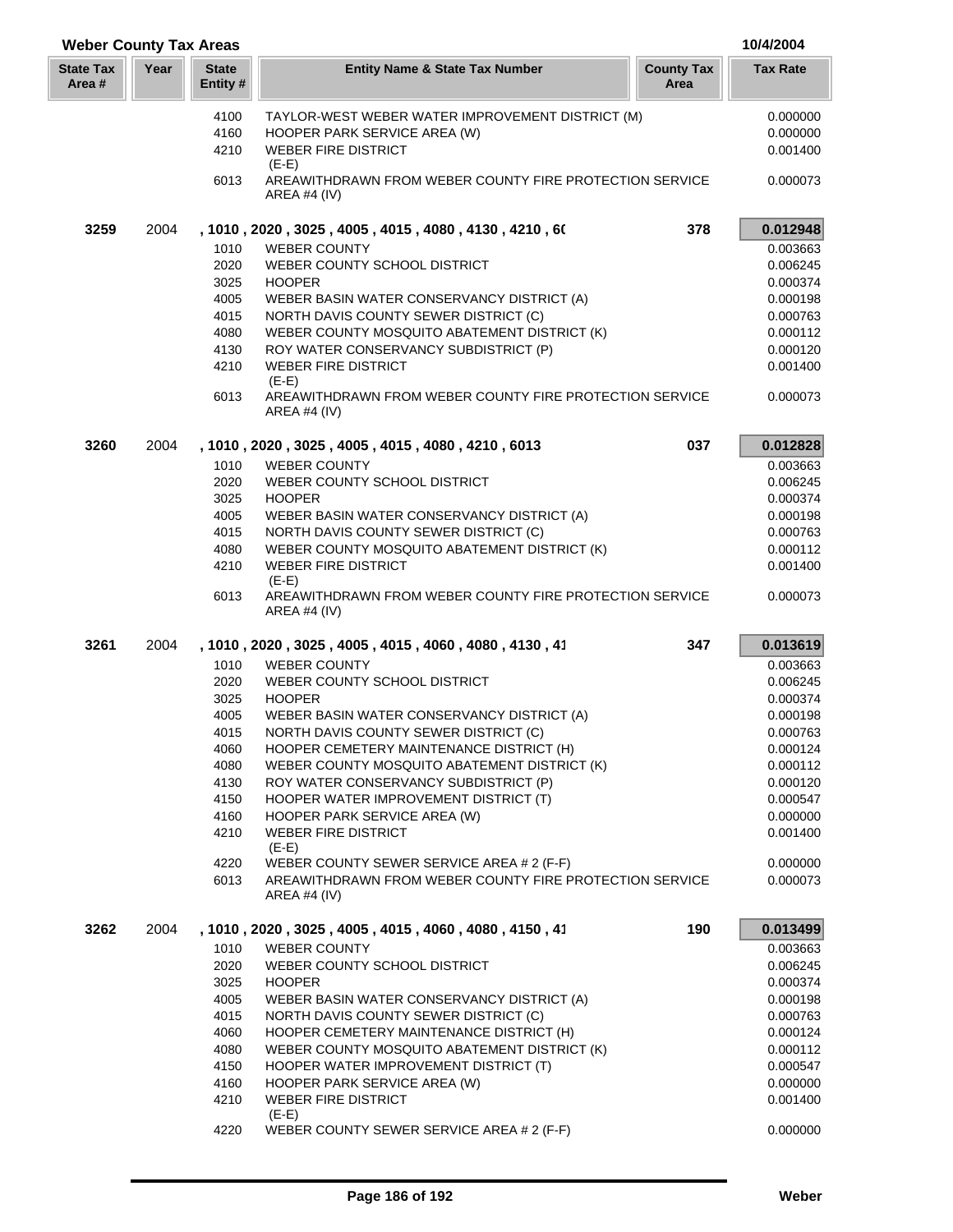| <b>Weber County Tax Areas</b> |      |                         |                                                                                    |                           | 10/4/2004       |
|-------------------------------|------|-------------------------|------------------------------------------------------------------------------------|---------------------------|-----------------|
| <b>State Tax</b><br>Area #    | Year | <b>State</b><br>Entity# | <b>Entity Name &amp; State Tax Number</b>                                          | <b>County Tax</b><br>Area | <b>Tax Rate</b> |
|                               |      | 4100                    | TAYLOR-WEST WEBER WATER IMPROVEMENT DISTRICT (M)                                   |                           | 0.000000        |
|                               |      | 4160                    | HOOPER PARK SERVICE AREA (W)                                                       |                           | 0.000000        |
|                               |      | 4210                    | <b>WEBER FIRE DISTRICT</b><br>$(E-E)$                                              |                           | 0.001400        |
|                               |      | 6013                    | AREAWITHDRAWN FROM WEBER COUNTY FIRE PROTECTION SERVICE<br>AREA #4 $(IV)$          |                           | 0.000073        |
| 3259                          | 2004 |                         | , 1010 , 2020 , 3025 , 4005 , 4015 , 4080 , 4130 , 4210 , 60                       | 378                       | 0.012948        |
|                               |      | 1010                    | <b>WEBER COUNTY</b>                                                                |                           | 0.003663        |
|                               |      | 2020                    | WEBER COUNTY SCHOOL DISTRICT                                                       |                           | 0.006245        |
|                               |      | 3025                    | <b>HOOPER</b>                                                                      |                           | 0.000374        |
|                               |      | 4005                    | WEBER BASIN WATER CONSERVANCY DISTRICT (A)                                         |                           | 0.000198        |
|                               |      | 4015                    | NORTH DAVIS COUNTY SEWER DISTRICT (C)                                              |                           | 0.000763        |
|                               |      | 4080                    | WEBER COUNTY MOSQUITO ABATEMENT DISTRICT (K)                                       |                           | 0.000112        |
|                               |      | 4130                    | ROY WATER CONSERVANCY SUBDISTRICT (P)                                              |                           | 0.000120        |
|                               |      | 4210                    | <b>WEBER FIRE DISTRICT</b><br>$(E-E)$                                              |                           | 0.001400        |
|                               |      | 6013                    | AREAWITHDRAWN FROM WEBER COUNTY FIRE PROTECTION SERVICE<br>AREA #4 $(IV)$          |                           | 0.000073        |
| 3260                          | 2004 |                         | , 1010, 2020, 3025, 4005, 4015, 4080, 4210, 6013                                   | 037                       | 0.012828        |
|                               |      | 1010                    | <b>WEBER COUNTY</b>                                                                |                           | 0.003663        |
|                               |      | 2020                    | WEBER COUNTY SCHOOL DISTRICT                                                       |                           | 0.006245        |
|                               |      | 3025                    | <b>HOOPER</b>                                                                      |                           | 0.000374        |
|                               |      | 4005                    | WEBER BASIN WATER CONSERVANCY DISTRICT (A)                                         |                           | 0.000198        |
|                               |      | 4015                    | NORTH DAVIS COUNTY SEWER DISTRICT (C)                                              |                           | 0.000763        |
|                               |      | 4080                    | WEBER COUNTY MOSQUITO ABATEMENT DISTRICT (K)                                       |                           | 0.000112        |
|                               |      | 4210                    | <b>WEBER FIRE DISTRICT</b>                                                         |                           | 0.001400        |
|                               |      | 6013                    | $(E-E)$<br>AREAWITHDRAWN FROM WEBER COUNTY FIRE PROTECTION SERVICE<br>AREA #4 (IV) |                           | 0.000073        |
| 3261                          | 2004 |                         | , 1010, 2020, 3025, 4005, 4015, 4060, 4080, 4130, 41                               | 347                       | 0.013619        |
|                               |      | 1010                    | <b>WEBER COUNTY</b>                                                                |                           | 0.003663        |
|                               |      | 2020                    | WEBER COUNTY SCHOOL DISTRICT                                                       |                           | 0.006245        |
|                               |      | 3025                    | <b>HOOPER</b>                                                                      |                           | 0.000374        |
|                               |      | 4005                    | WEBER BASIN WATER CONSERVANCY DISTRICT (A)                                         |                           | 0.000198        |
|                               |      | 4015                    | NORTH DAVIS COUNTY SEWER DISTRICT (C)                                              |                           | 0.000763        |
|                               |      | 4060                    | HOOPER CEMETERY MAINTENANCE DISTRICT (H)                                           |                           | 0.000124        |
|                               |      | 4080                    | WEBER COUNTY MOSQUITO ABATEMENT DISTRICT (K)                                       |                           | 0.000112        |
|                               |      | 4130                    | ROY WATER CONSERVANCY SUBDISTRICT (P)                                              |                           | 0.000120        |
|                               |      | 4150                    | HOOPER WATER IMPROVEMENT DISTRICT (T)                                              |                           | 0.000547        |
|                               |      | 4160                    | HOOPER PARK SERVICE AREA (W)                                                       |                           | 0.000000        |
|                               |      | 4210                    | <b>WEBER FIRE DISTRICT</b><br>$(E-E)$                                              |                           | 0.001400        |
|                               |      | 4220                    | WEBER COUNTY SEWER SERVICE AREA # 2 (F-F)                                          |                           | 0.000000        |
|                               |      | 6013                    | AREAWITHDRAWN FROM WEBER COUNTY FIRE PROTECTION SERVICE<br>AREA #4 $(IV)$          |                           | 0.000073        |
| 3262                          | 2004 |                         | , 1010, 2020, 3025, 4005, 4015, 4060, 4080, 4150, 41                               | 190                       | 0.013499        |
|                               |      | 1010                    | <b>WEBER COUNTY</b>                                                                |                           | 0.003663        |
|                               |      | 2020                    | WEBER COUNTY SCHOOL DISTRICT                                                       |                           | 0.006245        |
|                               |      | 3025                    | <b>HOOPER</b>                                                                      |                           | 0.000374        |
|                               |      | 4005                    | WEBER BASIN WATER CONSERVANCY DISTRICT (A)                                         |                           | 0.000198        |
|                               |      | 4015                    | NORTH DAVIS COUNTY SEWER DISTRICT (C)                                              |                           | 0.000763        |
|                               |      | 4060                    | HOOPER CEMETERY MAINTENANCE DISTRICT (H)                                           |                           | 0.000124        |
|                               |      | 4080                    | WEBER COUNTY MOSQUITO ABATEMENT DISTRICT (K)                                       |                           | 0.000112        |
|                               |      | 4150                    | HOOPER WATER IMPROVEMENT DISTRICT (T)                                              |                           | 0.000547        |
|                               |      | 4160                    | HOOPER PARK SERVICE AREA (W)                                                       |                           | 0.000000        |
|                               |      | 4210                    | <b>WEBER FIRE DISTRICT</b>                                                         |                           | 0.001400        |
|                               |      | 4220                    | $(E-E)$<br>WEBER COUNTY SEWER SERVICE AREA # 2 (F-F)                               |                           | 0.000000        |
|                               |      |                         |                                                                                    |                           |                 |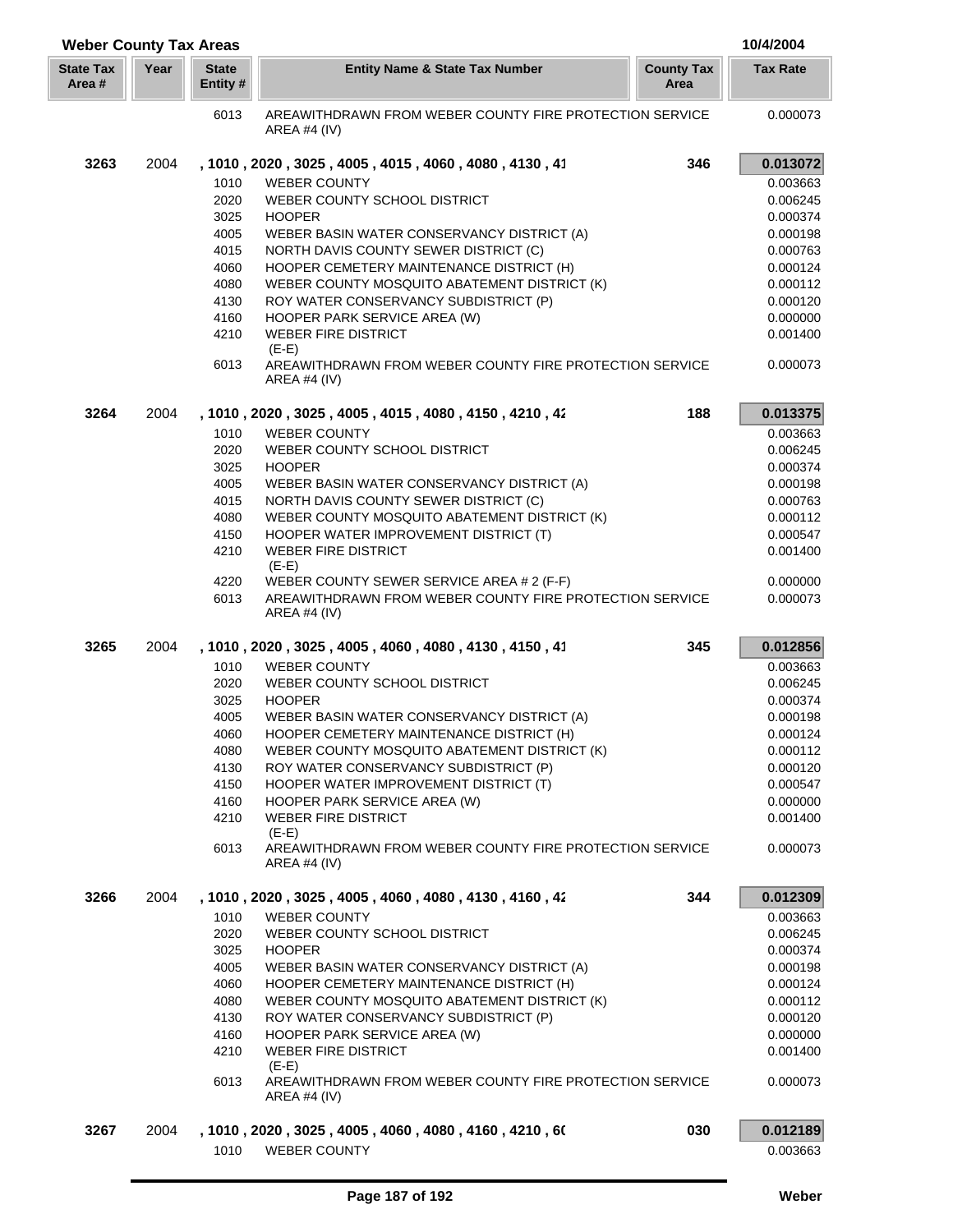| <b>Weber County Tax Areas</b> |      |                          |                                                                                           |                           | 10/4/2004       |
|-------------------------------|------|--------------------------|-------------------------------------------------------------------------------------------|---------------------------|-----------------|
| <b>State Tax</b><br>Area #    | Year | <b>State</b><br>Entity # | <b>Entity Name &amp; State Tax Number</b>                                                 | <b>County Tax</b><br>Area | <b>Tax Rate</b> |
|                               |      | 6013                     | AREAWITHDRAWN FROM WEBER COUNTY FIRE PROTECTION SERVICE<br>AREA #4 $(IV)$                 |                           | 0.000073        |
| 3263                          | 2004 |                          | , 1010, 2020, 3025, 4005, 4015, 4060, 4080, 4130, 41                                      | 346                       | 0.013072        |
|                               |      | 1010                     | <b>WEBER COUNTY</b>                                                                       |                           | 0.003663        |
|                               |      | 2020                     | WEBER COUNTY SCHOOL DISTRICT                                                              |                           | 0.006245        |
|                               |      | 3025                     | <b>HOOPER</b>                                                                             |                           | 0.000374        |
|                               |      | 4005                     | WEBER BASIN WATER CONSERVANCY DISTRICT (A)                                                |                           | 0.000198        |
|                               |      | 4015                     | NORTH DAVIS COUNTY SEWER DISTRICT (C)                                                     |                           | 0.000763        |
|                               |      | 4060                     | HOOPER CEMETERY MAINTENANCE DISTRICT (H)                                                  |                           | 0.000124        |
|                               |      | 4080                     | WEBER COUNTY MOSQUITO ABATEMENT DISTRICT (K)                                              |                           | 0.000112        |
|                               |      |                          |                                                                                           |                           |                 |
|                               |      | 4130                     | ROY WATER CONSERVANCY SUBDISTRICT (P)                                                     |                           | 0.000120        |
|                               |      | 4160                     | HOOPER PARK SERVICE AREA (W)                                                              |                           | 0.000000        |
|                               |      | 4210                     | <b>WEBER FIRE DISTRICT</b>                                                                |                           | 0.001400        |
|                               |      | 6013                     | $(E-E)$<br>AREAWITHDRAWN FROM WEBER COUNTY FIRE PROTECTION SERVICE<br><b>AREA #4 (IV)</b> |                           | 0.000073        |
| 3264                          | 2004 |                          | , 1010, 2020, 3025, 4005, 4015, 4080, 4150, 4210, 42                                      | 188                       | 0.013375        |
|                               |      | 1010                     | <b>WEBER COUNTY</b>                                                                       |                           | 0.003663        |
|                               |      | 2020                     | WEBER COUNTY SCHOOL DISTRICT                                                              |                           | 0.006245        |
|                               |      | 3025                     | <b>HOOPER</b>                                                                             |                           | 0.000374        |
|                               |      |                          |                                                                                           |                           |                 |
|                               |      | 4005                     | WEBER BASIN WATER CONSERVANCY DISTRICT (A)                                                |                           | 0.000198        |
|                               |      | 4015                     | NORTH DAVIS COUNTY SEWER DISTRICT (C)                                                     |                           | 0.000763        |
|                               |      | 4080                     | WEBER COUNTY MOSQUITO ABATEMENT DISTRICT (K)                                              |                           | 0.000112        |
|                               |      | 4150                     | HOOPER WATER IMPROVEMENT DISTRICT (T)                                                     |                           | 0.000547        |
|                               |      | 4210                     | <b>WEBER FIRE DISTRICT</b><br>$(E-E)$                                                     |                           | 0.001400        |
|                               |      | 4220                     | WEBER COUNTY SEWER SERVICE AREA # 2 (F-F)                                                 |                           | 0.000000        |
|                               |      | 6013                     | AREAWITHDRAWN FROM WEBER COUNTY FIRE PROTECTION SERVICE<br><b>AREA #4 (IV)</b>            |                           | 0.000073        |
| 3265                          | 2004 |                          | , 1010, 2020, 3025, 4005, 4060, 4080, 4130, 4150, 41                                      | 345                       | 0.012856        |
|                               |      | 1010                     | <b>WEBER COUNTY</b>                                                                       |                           | 0.003663        |
|                               |      | 2020                     | WEBER COUNTY SCHOOL DISTRICT                                                              |                           | 0.006245        |
|                               |      | 3025                     | <b>HOOPER</b>                                                                             |                           | 0.000374        |
|                               |      | 4005                     | WEBER BASIN WATER CONSERVANCY DISTRICT (A)                                                |                           | 0.000198        |
|                               |      | 4060                     | HOOPER CEMETERY MAINTENANCE DISTRICT (H)                                                  |                           | 0.000124        |
|                               |      | 4080                     | WEBER COUNTY MOSQUITO ABATEMENT DISTRICT (K)                                              |                           | 0.000112        |
|                               |      | 4130                     | ROY WATER CONSERVANCY SUBDISTRICT (P)                                                     |                           | 0.000120        |
|                               |      | 4150                     | HOOPER WATER IMPROVEMENT DISTRICT (T)                                                     |                           | 0.000547        |
|                               |      | 4160                     | HOOPER PARK SERVICE AREA (W)                                                              |                           | 0.000000        |
|                               |      | 4210                     | <b>WEBER FIRE DISTRICT</b>                                                                |                           | 0.001400        |
|                               |      |                          | $(E-E)$                                                                                   |                           |                 |
|                               |      | 6013                     | AREAWITHDRAWN FROM WEBER COUNTY FIRE PROTECTION SERVICE<br>AREA #4 $(IV)$                 |                           | 0.000073        |
| 3266                          | 2004 |                          | , 1010, 2020, 3025, 4005, 4060, 4080, 4130, 4160, 42                                      | 344                       | 0.012309        |
|                               |      | 1010                     | <b>WEBER COUNTY</b>                                                                       |                           | 0.003663        |
|                               |      | 2020                     | WEBER COUNTY SCHOOL DISTRICT                                                              |                           | 0.006245        |
|                               |      | 3025                     | <b>HOOPER</b>                                                                             |                           | 0.000374        |
|                               |      | 4005                     | WEBER BASIN WATER CONSERVANCY DISTRICT (A)                                                |                           | 0.000198        |
|                               |      | 4060                     | HOOPER CEMETERY MAINTENANCE DISTRICT (H)                                                  |                           | 0.000124        |
|                               |      | 4080                     | WEBER COUNTY MOSQUITO ABATEMENT DISTRICT (K)                                              |                           | 0.000112        |
|                               |      | 4130                     | ROY WATER CONSERVANCY SUBDISTRICT (P)                                                     |                           | 0.000120        |
|                               |      | 4160                     | HOOPER PARK SERVICE AREA (W)                                                              |                           | 0.000000        |
|                               |      | 4210                     | <b>WEBER FIRE DISTRICT</b>                                                                |                           | 0.001400        |
|                               |      |                          | $(E-E)$                                                                                   |                           |                 |
|                               |      | 6013                     | AREAWITHDRAWN FROM WEBER COUNTY FIRE PROTECTION SERVICE                                   |                           | 0.000073        |
|                               |      |                          | AREA #4 $(IV)$                                                                            |                           |                 |
| 3267                          | 2004 |                          | , 1010 , 2020 , 3025 , 4005 , 4060 , 4080 , 4160 , 4210 , 60                              | 030                       | 0.012189        |
|                               |      | 1010                     | <b>WEBER COUNTY</b>                                                                       |                           | 0.003663        |
|                               |      |                          |                                                                                           |                           |                 |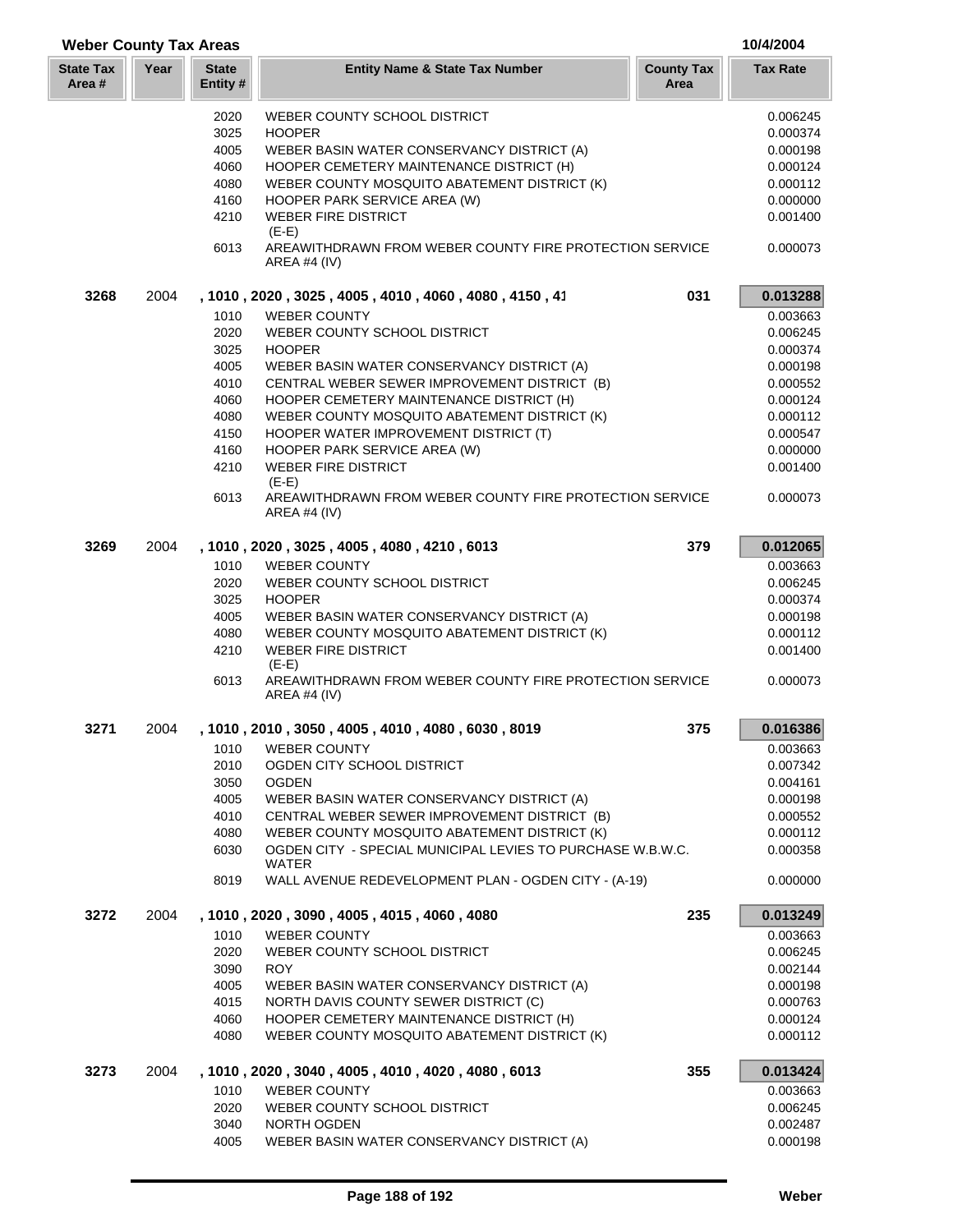| <b>Weber County Tax Areas</b> |      |                          |                                                                                      |                           | 10/4/2004       |
|-------------------------------|------|--------------------------|--------------------------------------------------------------------------------------|---------------------------|-----------------|
| <b>State Tax</b><br>Area #    | Year | <b>State</b><br>Entity # | <b>Entity Name &amp; State Tax Number</b>                                            | <b>County Tax</b><br>Area | <b>Tax Rate</b> |
|                               |      | 2020                     | WEBER COUNTY SCHOOL DISTRICT                                                         |                           | 0.006245        |
|                               |      | 3025                     | <b>HOOPER</b>                                                                        |                           | 0.000374        |
|                               |      | 4005                     | WEBER BASIN WATER CONSERVANCY DISTRICT (A)                                           |                           | 0.000198        |
|                               |      | 4060                     | HOOPER CEMETERY MAINTENANCE DISTRICT (H)                                             |                           | 0.000124        |
|                               |      | 4080                     | WEBER COUNTY MOSQUITO ABATEMENT DISTRICT (K)                                         |                           | 0.000112        |
|                               |      | 4160                     | HOOPER PARK SERVICE AREA (W)                                                         |                           | 0.000000        |
|                               |      | 4210                     | <b>WEBER FIRE DISTRICT</b><br>$(E-E)$                                                |                           | 0.001400        |
|                               |      | 6013                     | AREAWITHDRAWN FROM WEBER COUNTY FIRE PROTECTION SERVICE<br><b>AREA #4 (IV)</b>       |                           | 0.000073        |
| 3268                          | 2004 |                          | , 1010, 2020, 3025, 4005, 4010, 4060, 4080, 4150, 41                                 | 031                       | 0.013288        |
|                               |      | 1010                     | <b>WEBER COUNTY</b>                                                                  |                           | 0.003663        |
|                               |      | 2020                     | WEBER COUNTY SCHOOL DISTRICT                                                         |                           | 0.006245        |
|                               |      | 3025                     | <b>HOOPER</b>                                                                        |                           | 0.000374        |
|                               |      | 4005                     | WEBER BASIN WATER CONSERVANCY DISTRICT (A)                                           |                           | 0.000198        |
|                               |      | 4010                     | CENTRAL WEBER SEWER IMPROVEMENT DISTRICT (B)                                         |                           | 0.000552        |
|                               |      | 4060                     | HOOPER CEMETERY MAINTENANCE DISTRICT (H)                                             |                           | 0.000124        |
|                               |      | 4080                     | WEBER COUNTY MOSQUITO ABATEMENT DISTRICT (K)                                         |                           | 0.000112        |
|                               |      | 4150                     | HOOPER WATER IMPROVEMENT DISTRICT (T)                                                |                           | 0.000547        |
|                               |      | 4160                     | HOOPER PARK SERVICE AREA (W)<br><b>WEBER FIRE DISTRICT</b>                           |                           | 0.000000        |
|                               |      | 4210                     | $(E-E)$                                                                              |                           | 0.001400        |
|                               |      | 6013                     | AREAWITHDRAWN FROM WEBER COUNTY FIRE PROTECTION SERVICE<br>AREA #4 $(IV)$            |                           | 0.000073        |
| 3269                          | 2004 |                          | , 1010 , 2020 , 3025 , 4005 , 4080 , 4210 , 6013                                     | 379                       | 0.012065        |
|                               |      | 1010                     | <b>WEBER COUNTY</b>                                                                  |                           | 0.003663        |
|                               |      | 2020                     | WEBER COUNTY SCHOOL DISTRICT                                                         |                           | 0.006245        |
|                               |      | 3025                     | <b>HOOPER</b>                                                                        |                           | 0.000374        |
|                               |      | 4005                     | WEBER BASIN WATER CONSERVANCY DISTRICT (A)                                           |                           | 0.000198        |
|                               |      | 4080                     | WEBER COUNTY MOSQUITO ABATEMENT DISTRICT (K)                                         |                           | 0.000112        |
|                               |      | 4210                     | <b>WEBER FIRE DISTRICT</b>                                                           |                           | 0.001400        |
|                               |      | 6013                     | $(E-E)$<br>AREAWITHDRAWN FROM WEBER COUNTY FIRE PROTECTION SERVICE<br>AREA #4 $(IV)$ |                           | 0.000073        |
| 3271                          | 2004 |                          | 1010, 2010, 3050, 4005, 4010, 4080, 6030, 8019                                       | 375                       | 0.016386        |
|                               |      | 1010                     | <b>WEBER COUNTY</b>                                                                  |                           | 0.003663        |
|                               |      | 2010                     | OGDEN CITY SCHOOL DISTRICT                                                           |                           | 0.007342        |
|                               |      | 3050                     | <b>OGDEN</b>                                                                         |                           | 0.004161        |
|                               |      | 4005                     | WEBER BASIN WATER CONSERVANCY DISTRICT (A)                                           |                           | 0.000198        |
|                               |      | 4010                     | CENTRAL WEBER SEWER IMPROVEMENT DISTRICT (B)                                         |                           | 0.000552        |
|                               |      | 4080                     | WEBER COUNTY MOSQUITO ABATEMENT DISTRICT (K)                                         |                           | 0.000112        |
|                               |      | 6030                     | OGDEN CITY - SPECIAL MUNICIPAL LEVIES TO PURCHASE W.B.W.C.                           |                           | 0.000358        |
|                               |      | 8019                     | WATER<br>WALL AVENUE REDEVELOPMENT PLAN - OGDEN CITY - (A-19)                        |                           | 0.000000        |
| 3272                          | 2004 |                          | , 1010, 2020, 3090, 4005, 4015, 4060, 4080                                           | 235                       | 0.013249        |
|                               |      | 1010                     | <b>WEBER COUNTY</b>                                                                  |                           | 0.003663        |
|                               |      | 2020                     | WEBER COUNTY SCHOOL DISTRICT                                                         |                           | 0.006245        |
|                               |      | 3090                     | <b>ROY</b>                                                                           |                           | 0.002144        |
|                               |      | 4005                     | WEBER BASIN WATER CONSERVANCY DISTRICT (A)                                           |                           | 0.000198        |
|                               |      | 4015                     | NORTH DAVIS COUNTY SEWER DISTRICT (C)                                                |                           | 0.000763        |
|                               |      | 4060                     | HOOPER CEMETERY MAINTENANCE DISTRICT (H)                                             |                           | 0.000124        |
|                               |      | 4080                     | WEBER COUNTY MOSQUITO ABATEMENT DISTRICT (K)                                         |                           | 0.000112        |
| 3273                          | 2004 |                          | , 1010, 2020, 3040, 4005, 4010, 4020, 4080, 6013                                     | 355                       | 0.013424        |
|                               |      | 1010                     | <b>WEBER COUNTY</b>                                                                  |                           | 0.003663        |
|                               |      | 2020                     | WEBER COUNTY SCHOOL DISTRICT                                                         |                           | 0.006245        |
|                               |      | 3040                     | NORTH OGDEN                                                                          |                           | 0.002487        |
|                               |      | 4005                     | WEBER BASIN WATER CONSERVANCY DISTRICT (A)                                           |                           | 0.000198        |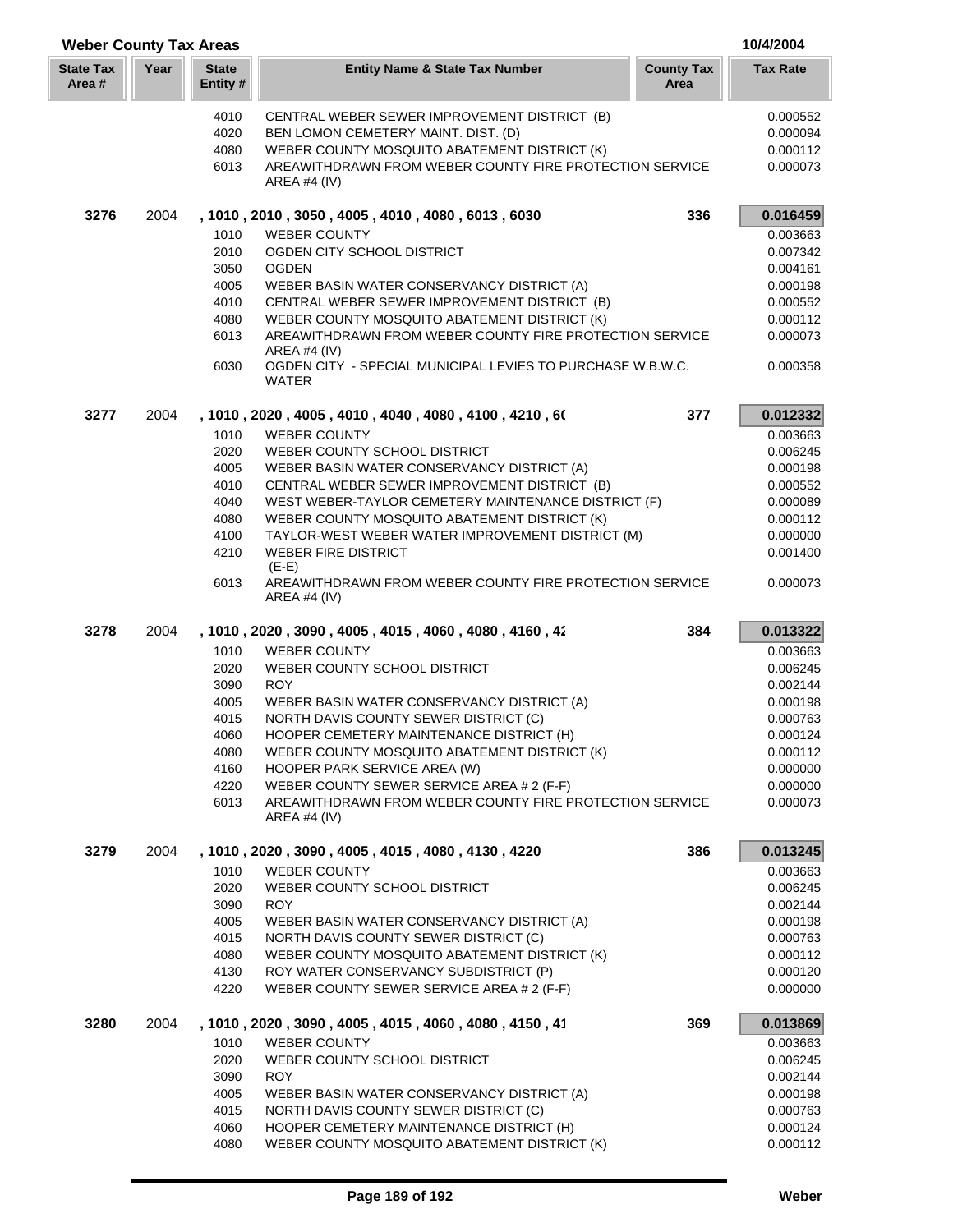| <b>Weber County Tax Areas</b> |      |                          |                                                                                                         | 10/4/2004                 |                      |
|-------------------------------|------|--------------------------|---------------------------------------------------------------------------------------------------------|---------------------------|----------------------|
| <b>State Tax</b><br>Area #    | Year | <b>State</b><br>Entity # | <b>Entity Name &amp; State Tax Number</b>                                                               | <b>County Tax</b><br>Area | <b>Tax Rate</b>      |
|                               |      | 4010                     | CENTRAL WEBER SEWER IMPROVEMENT DISTRICT (B)                                                            |                           | 0.000552             |
|                               |      | 4020                     | BEN LOMON CEMETERY MAINT. DIST. (D)                                                                     |                           | 0.000094             |
|                               |      | 4080                     | WEBER COUNTY MOSQUITO ABATEMENT DISTRICT (K)                                                            |                           | 0.000112             |
|                               |      | 6013                     | AREAWITHDRAWN FROM WEBER COUNTY FIRE PROTECTION SERVICE                                                 |                           | 0.000073             |
|                               |      |                          | AREA #4 (IV)                                                                                            |                           |                      |
| 3276                          | 2004 |                          | , 1010, 2010, 3050, 4005, 4010, 4080, 6013, 6030                                                        | 336                       | 0.016459             |
|                               |      | 1010                     | <b>WEBER COUNTY</b>                                                                                     |                           | 0.003663             |
|                               |      | 2010                     | OGDEN CITY SCHOOL DISTRICT                                                                              |                           | 0.007342             |
|                               |      | 3050                     | <b>OGDEN</b>                                                                                            |                           | 0.004161             |
|                               |      | 4005                     | WEBER BASIN WATER CONSERVANCY DISTRICT (A)                                                              |                           | 0.000198             |
|                               |      | 4010<br>4080             | CENTRAL WEBER SEWER IMPROVEMENT DISTRICT (B)                                                            |                           | 0.000552<br>0.000112 |
|                               |      | 6013                     | WEBER COUNTY MOSQUITO ABATEMENT DISTRICT (K)<br>AREAWITHDRAWN FROM WEBER COUNTY FIRE PROTECTION SERVICE |                           | 0.000073             |
|                               |      |                          | AREA #4 $(IV)$                                                                                          |                           |                      |
|                               |      | 6030                     | OGDEN CITY - SPECIAL MUNICIPAL LEVIES TO PURCHASE W.B.W.C.<br><b>WATER</b>                              |                           | 0.000358             |
| 3277                          | 2004 |                          | , 1010, 2020, 4005, 4010, 4040, 4080, 4100, 4210, 60                                                    | 377                       | 0.012332             |
|                               |      | 1010                     | <b>WEBER COUNTY</b>                                                                                     |                           | 0.003663             |
|                               |      | 2020                     | WEBER COUNTY SCHOOL DISTRICT                                                                            |                           | 0.006245             |
|                               |      | 4005                     | WEBER BASIN WATER CONSERVANCY DISTRICT (A)                                                              |                           | 0.000198             |
|                               |      | 4010                     | CENTRAL WEBER SEWER IMPROVEMENT DISTRICT (B)                                                            |                           | 0.000552             |
|                               |      | 4040                     | WEST WEBER-TAYLOR CEMETERY MAINTENANCE DISTRICT (F)                                                     |                           | 0.000089             |
|                               |      | 4080                     | WEBER COUNTY MOSQUITO ABATEMENT DISTRICT (K)                                                            |                           | 0.000112             |
|                               |      | 4100                     | TAYLOR-WEST WEBER WATER IMPROVEMENT DISTRICT (M)                                                        |                           | 0.000000             |
|                               |      | 4210                     | WEBER FIRE DISTRICT<br>$(E-E)$                                                                          |                           | 0.001400             |
|                               |      | 6013                     | AREAWITHDRAWN FROM WEBER COUNTY FIRE PROTECTION SERVICE<br><b>AREA #4 (IV)</b>                          |                           | 0.000073             |
| 3278                          | 2004 |                          | , 1010, 2020, 3090, 4005, 4015, 4060, 4080, 4160, 42                                                    | 384                       | 0.013322             |
|                               |      | 1010                     | <b>WEBER COUNTY</b>                                                                                     |                           | 0.003663             |
|                               |      | 2020                     | WEBER COUNTY SCHOOL DISTRICT                                                                            |                           | 0.006245             |
|                               |      | 3090                     | <b>ROY</b>                                                                                              |                           | 0.002144             |
|                               |      | 4005                     | WEBER BASIN WATER CONSERVANCY DISTRICT (A)                                                              |                           | 0.000198             |
|                               |      | 4015                     | NORTH DAVIS COUNTY SEWER DISTRICT (C)                                                                   |                           | 0.000763             |
|                               |      | 4060                     | HOOPER CEMETERY MAINTENANCE DISTRICT (H)                                                                |                           | 0.000124             |
|                               |      | 4080                     | WEBER COUNTY MOSQUITO ABATEMENT DISTRICT (K)                                                            |                           | 0.000112             |
|                               |      | 4160<br>4220             | HOOPER PARK SERVICE AREA (W)                                                                            |                           | 0.000000             |
|                               |      | 6013                     | WEBER COUNTY SEWER SERVICE AREA # 2 (F-F)<br>AREAWITHDRAWN FROM WEBER COUNTY FIRE PROTECTION SERVICE    |                           | 0.000000<br>0.000073 |
|                               |      |                          | AREA #4 $(IV)$                                                                                          |                           |                      |
| 3279                          | 2004 |                          | , 1010, 2020, 3090, 4005, 4015, 4080, 4130, 4220                                                        | 386                       | 0.013245             |
|                               |      | 1010                     | <b>WEBER COUNTY</b>                                                                                     |                           | 0.003663             |
|                               |      | 2020                     | WEBER COUNTY SCHOOL DISTRICT                                                                            |                           | 0.006245             |
|                               |      | 3090<br>4005             | <b>ROY</b><br>WEBER BASIN WATER CONSERVANCY DISTRICT (A)                                                |                           | 0.002144<br>0.000198 |
|                               |      | 4015                     | NORTH DAVIS COUNTY SEWER DISTRICT (C)                                                                   |                           | 0.000763             |
|                               |      | 4080                     | WEBER COUNTY MOSQUITO ABATEMENT DISTRICT (K)                                                            |                           | 0.000112             |
|                               |      | 4130                     | ROY WATER CONSERVANCY SUBDISTRICT (P)                                                                   |                           | 0.000120             |
|                               |      | 4220                     | WEBER COUNTY SEWER SERVICE AREA # 2 (F-F)                                                               |                           | 0.000000             |
| 3280                          | 2004 |                          | , 1010, 2020, 3090, 4005, 4015, 4060, 4080, 4150, 41                                                    | 369                       | 0.013869             |
|                               |      | 1010                     | <b>WEBER COUNTY</b>                                                                                     |                           | 0.003663             |
|                               |      | 2020                     | WEBER COUNTY SCHOOL DISTRICT                                                                            |                           | 0.006245             |
|                               |      | 3090                     | <b>ROY</b>                                                                                              |                           | 0.002144             |
|                               |      | 4005<br>4015             | WEBER BASIN WATER CONSERVANCY DISTRICT (A)<br>NORTH DAVIS COUNTY SEWER DISTRICT (C)                     |                           | 0.000198<br>0.000763 |
|                               |      | 4060                     | HOOPER CEMETERY MAINTENANCE DISTRICT (H)                                                                |                           | 0.000124             |
|                               |      | 4080                     | WEBER COUNTY MOSQUITO ABATEMENT DISTRICT (K)                                                            |                           | 0.000112             |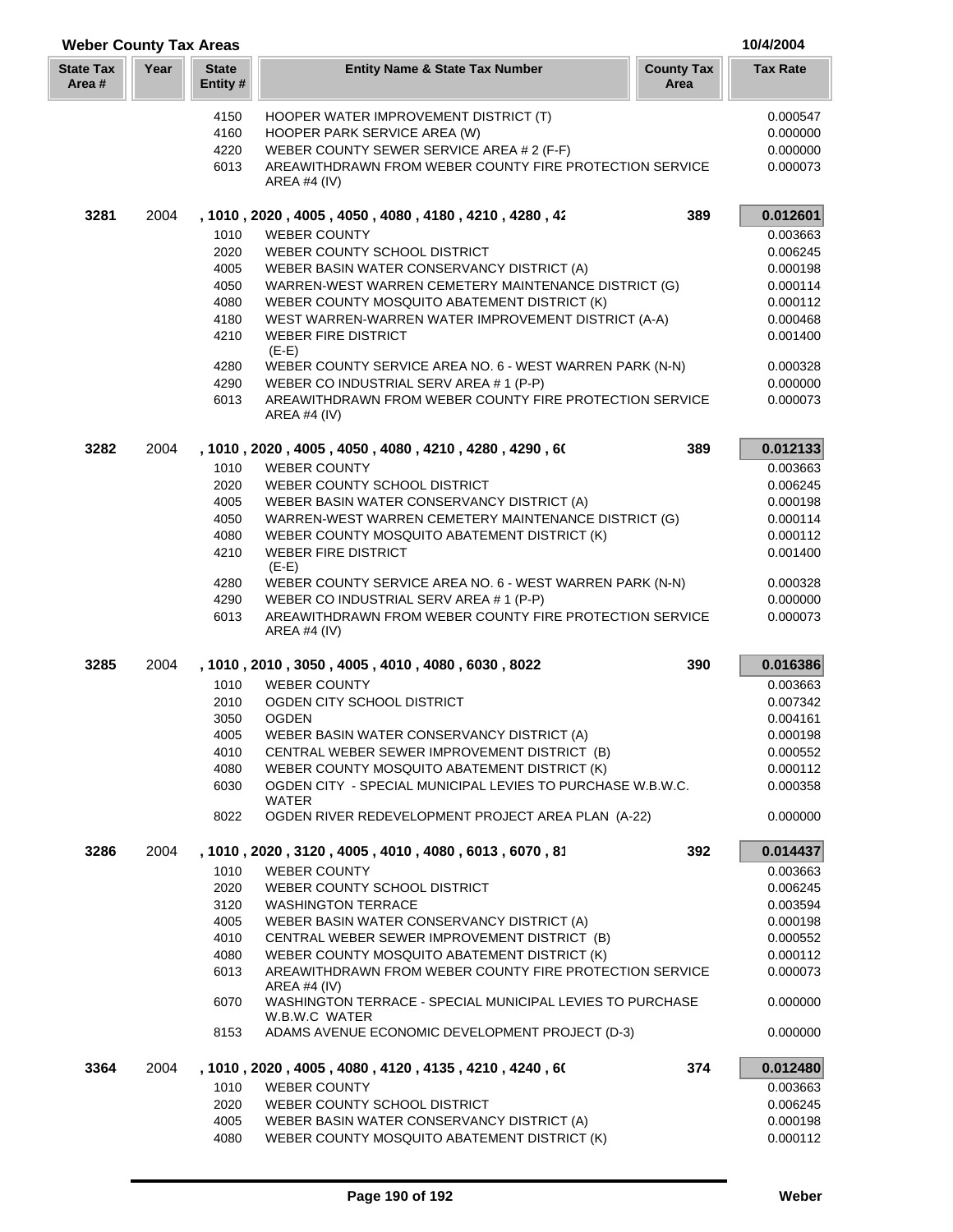| <b>Weber County Tax Areas</b> |      |                          |                                                                                                     |                           | 10/4/2004            |
|-------------------------------|------|--------------------------|-----------------------------------------------------------------------------------------------------|---------------------------|----------------------|
| <b>State Tax</b><br>Area #    | Year | <b>State</b><br>Entity # | <b>Entity Name &amp; State Tax Number</b>                                                           | <b>County Tax</b><br>Area | <b>Tax Rate</b>      |
|                               |      | 4150                     | HOOPER WATER IMPROVEMENT DISTRICT (T)                                                               |                           | 0.000547             |
|                               |      | 4160                     | HOOPER PARK SERVICE AREA (W)                                                                        |                           | 0.000000             |
|                               |      | 4220                     | WEBER COUNTY SEWER SERVICE AREA # 2 (F-F)                                                           |                           | 0.000000             |
|                               |      | 6013                     | AREAWITHDRAWN FROM WEBER COUNTY FIRE PROTECTION SERVICE                                             |                           | 0.000073             |
|                               |      |                          | AREA #4 (IV)                                                                                        |                           |                      |
| 3281                          | 2004 |                          | , 1010, 2020, 4005, 4050, 4080, 4180, 4210, 4280, 42                                                | 389                       | 0.012601             |
|                               |      | 1010                     | <b>WEBER COUNTY</b>                                                                                 |                           | 0.003663             |
|                               |      | 2020                     | WEBER COUNTY SCHOOL DISTRICT                                                                        |                           | 0.006245             |
|                               |      | 4005                     | WEBER BASIN WATER CONSERVANCY DISTRICT (A)                                                          |                           | 0.000198             |
|                               |      | 4050                     | WARREN-WEST WARREN CEMETERY MAINTENANCE DISTRICT (G)                                                |                           | 0.000114<br>0.000112 |
|                               |      | 4080<br>4180             | WEBER COUNTY MOSQUITO ABATEMENT DISTRICT (K)<br>WEST WARREN-WARREN WATER IMPROVEMENT DISTRICT (A-A) |                           | 0.000468             |
|                               |      | 4210                     | <b>WEBER FIRE DISTRICT</b>                                                                          |                           | 0.001400             |
|                               |      |                          | $(E-E)$                                                                                             |                           |                      |
|                               |      | 4280                     | WEBER COUNTY SERVICE AREA NO. 6 - WEST WARREN PARK (N-N)                                            |                           | 0.000328             |
|                               |      | 4290                     | WEBER CO INDUSTRIAL SERV AREA # 1 (P-P)                                                             |                           | 0.000000             |
|                               |      | 6013                     | AREAWITHDRAWN FROM WEBER COUNTY FIRE PROTECTION SERVICE<br>AREA #4 (IV)                             |                           | 0.000073             |
| 3282                          | 2004 |                          | , 1010 , 2020 , 4005 , 4050 , 4080 , 4210 , 4280 , 4290 , 60                                        | 389                       | 0.012133             |
|                               |      | 1010                     | <b>WEBER COUNTY</b>                                                                                 |                           | 0.003663             |
|                               |      | 2020                     | WEBER COUNTY SCHOOL DISTRICT                                                                        |                           | 0.006245             |
|                               |      | 4005                     | WEBER BASIN WATER CONSERVANCY DISTRICT (A)                                                          |                           | 0.000198             |
|                               |      | 4050                     | WARREN-WEST WARREN CEMETERY MAINTENANCE DISTRICT (G)                                                |                           | 0.000114             |
|                               |      | 4080                     | WEBER COUNTY MOSQUITO ABATEMENT DISTRICT (K)                                                        |                           | 0.000112             |
|                               |      | 4210                     | <b>WEBER FIRE DISTRICT</b><br>$(E-E)$                                                               |                           | 0.001400             |
|                               |      | 4280                     | WEBER COUNTY SERVICE AREA NO. 6 - WEST WARREN PARK (N-N)                                            |                           | 0.000328             |
|                               |      | 4290                     | WEBER CO INDUSTRIAL SERV AREA # 1 (P-P)                                                             |                           | 0.000000             |
|                               |      | 6013                     | AREAWITHDRAWN FROM WEBER COUNTY FIRE PROTECTION SERVICE<br><b>AREA #4 (IV)</b>                      |                           | 0.000073             |
| 3285                          | 2004 |                          | , 1010, 2010, 3050, 4005, 4010, 4080, 6030, 8022                                                    | 390                       | 0.016386             |
|                               |      | 1010                     | <b>WEBER COUNTY</b>                                                                                 |                           | 0.003663             |
|                               |      | 2010                     | OGDEN CITY SCHOOL DISTRICT                                                                          |                           | 0.007342             |
|                               |      | 3050                     | <b>OGDEN</b>                                                                                        |                           | 0.004161             |
|                               |      | 4005                     | WEBER BASIN WATER CONSERVANCY DISTRICT (A)                                                          |                           | 0.000198             |
|                               |      | 4010                     | CENTRAL WEBER SEWER IMPROVEMENT DISTRICT (B)                                                        |                           | 0.000552             |
|                               |      | 4080                     | WEBER COUNTY MOSQUITO ABATEMENT DISTRICT (K)                                                        |                           | 0.000112             |
|                               |      | 6030                     | OGDEN CITY - SPECIAL MUNICIPAL LEVIES TO PURCHASE W.B.W.C.<br><b>WATER</b>                          |                           | 0.000358             |
|                               |      | 8022                     | OGDEN RIVER REDEVELOPMENT PROJECT AREA PLAN (A-22)                                                  |                           | 0.000000             |
| 3286                          | 2004 |                          | , 1010, 2020, 3120, 4005, 4010, 4080, 6013, 6070, 81                                                | 392                       | 0.014437             |
|                               |      | 1010                     | <b>WEBER COUNTY</b>                                                                                 |                           | 0.003663             |
|                               |      | 2020                     | WEBER COUNTY SCHOOL DISTRICT                                                                        |                           | 0.006245             |
|                               |      | 3120<br>4005             | <b>WASHINGTON TERRACE</b><br>WEBER BASIN WATER CONSERVANCY DISTRICT (A)                             |                           | 0.003594<br>0.000198 |
|                               |      | 4010                     | CENTRAL WEBER SEWER IMPROVEMENT DISTRICT (B)                                                        |                           | 0.000552             |
|                               |      | 4080                     | WEBER COUNTY MOSQUITO ABATEMENT DISTRICT (K)                                                        |                           | 0.000112             |
|                               |      | 6013                     | AREAWITHDRAWN FROM WEBER COUNTY FIRE PROTECTION SERVICE                                             |                           | 0.000073             |
|                               |      | 6070                     | AREA #4 $(IV)$<br>WASHINGTON TERRACE - SPECIAL MUNICIPAL LEVIES TO PURCHASE                         |                           | 0.000000             |
|                               |      | 8153                     | W.B.W.C WATER<br>ADAMS AVENUE ECONOMIC DEVELOPMENT PROJECT (D-3)                                    |                           | 0.000000             |
| 3364                          | 2004 |                          | , 1010 , 2020 , 4005 , 4080 , 4120 , 4135 , 4210 , 4240 , 60                                        | 374                       | 0.012480             |
|                               |      | 1010                     | <b>WEBER COUNTY</b>                                                                                 |                           | 0.003663             |
|                               |      | 2020                     | WEBER COUNTY SCHOOL DISTRICT                                                                        |                           | 0.006245             |
|                               |      | 4005                     | WEBER BASIN WATER CONSERVANCY DISTRICT (A)                                                          |                           | 0.000198             |
|                               |      | 4080                     | WEBER COUNTY MOSQUITO ABATEMENT DISTRICT (K)                                                        |                           | 0.000112             |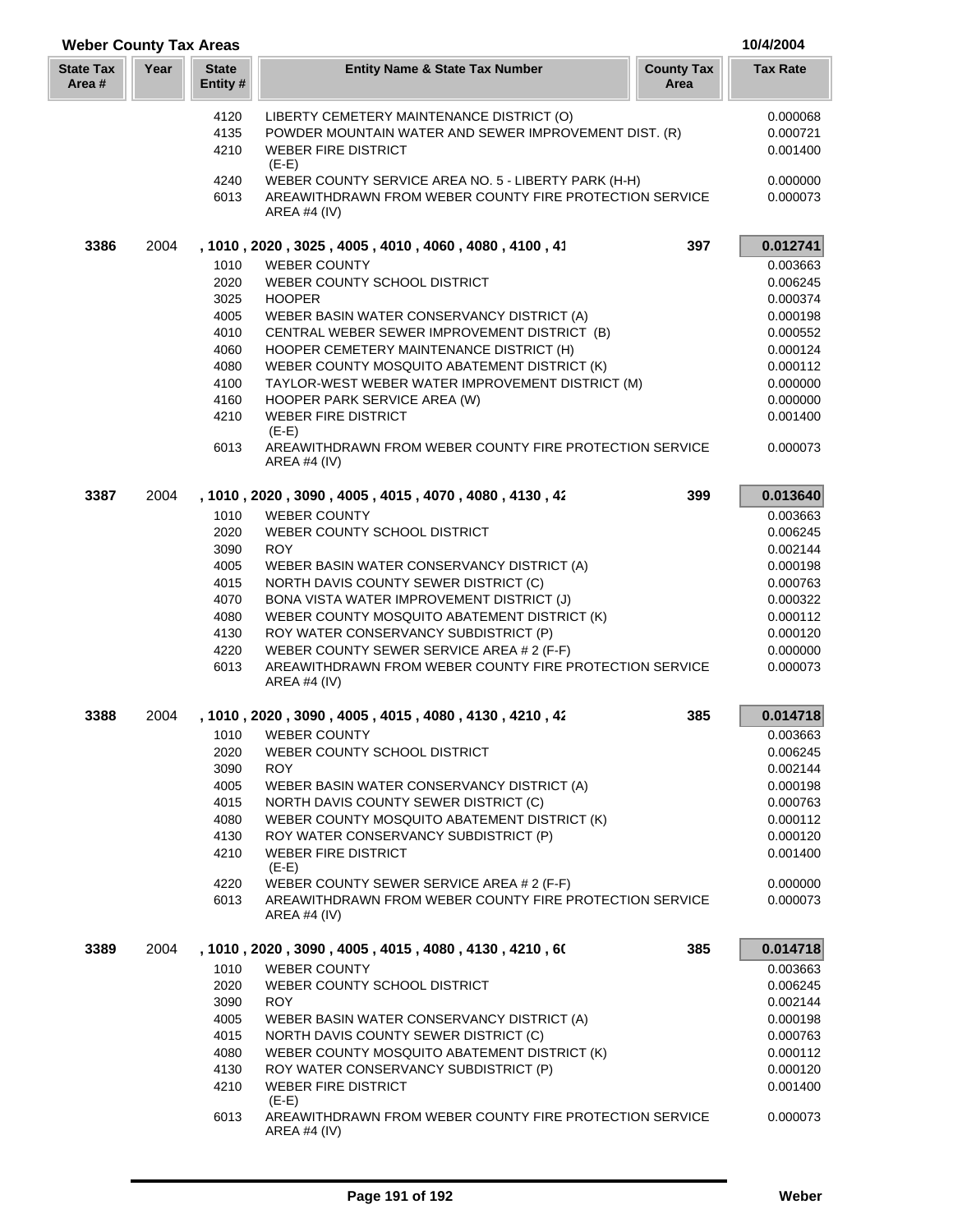| <b>Weber County Tax Areas</b> |      |                          |                                                                                          |                           | 10/4/2004            |
|-------------------------------|------|--------------------------|------------------------------------------------------------------------------------------|---------------------------|----------------------|
| <b>State Tax</b><br>Area #    | Year | <b>State</b><br>Entity # | <b>Entity Name &amp; State Tax Number</b>                                                | <b>County Tax</b><br>Area | <b>Tax Rate</b>      |
|                               |      | 4120                     | LIBERTY CEMETERY MAINTENANCE DISTRICT (O)                                                |                           | 0.000068             |
|                               |      | 4135                     | POWDER MOUNTAIN WATER AND SEWER IMPROVEMENT DIST. (R)                                    |                           | 0.000721             |
|                               |      | 4210                     | <b>WEBER FIRE DISTRICT</b><br>$(E-E)$                                                    |                           | 0.001400             |
|                               |      | 4240                     | WEBER COUNTY SERVICE AREA NO. 5 - LIBERTY PARK (H-H)                                     |                           | 0.000000             |
|                               |      | 6013                     | AREAWITHDRAWN FROM WEBER COUNTY FIRE PROTECTION SERVICE<br>AREA #4 $(IV)$                |                           | 0.000073             |
| 3386                          | 2004 |                          | , 1010, 2020, 3025, 4005, 4010, 4060, 4080, 4100, 41                                     | 397                       | 0.012741             |
|                               |      | 1010                     | <b>WEBER COUNTY</b>                                                                      |                           | 0.003663             |
|                               |      | 2020                     | WEBER COUNTY SCHOOL DISTRICT                                                             |                           | 0.006245             |
|                               |      | 3025                     | <b>HOOPER</b>                                                                            |                           | 0.000374             |
|                               |      | 4005                     | WEBER BASIN WATER CONSERVANCY DISTRICT (A)                                               |                           | 0.000198             |
|                               |      | 4010<br>4060             | CENTRAL WEBER SEWER IMPROVEMENT DISTRICT (B)                                             |                           | 0.000552<br>0.000124 |
|                               |      | 4080                     | HOOPER CEMETERY MAINTENANCE DISTRICT (H)<br>WEBER COUNTY MOSQUITO ABATEMENT DISTRICT (K) |                           | 0.000112             |
|                               |      | 4100                     | TAYLOR-WEST WEBER WATER IMPROVEMENT DISTRICT (M)                                         |                           | 0.000000             |
|                               |      | 4160                     | HOOPER PARK SERVICE AREA (W)                                                             |                           | 0.000000             |
|                               |      | 4210                     | <b>WEBER FIRE DISTRICT</b>                                                               |                           | 0.001400             |
|                               |      | 6013                     | $(E-E)$<br>AREAWITHDRAWN FROM WEBER COUNTY FIRE PROTECTION SERVICE<br>AREA #4 $(IV)$     |                           | 0.000073             |
| 3387                          | 2004 |                          | , 1010, 2020, 3090, 4005, 4015, 4070, 4080, 4130, 42                                     | 399                       | 0.013640             |
|                               |      | 1010                     | <b>WEBER COUNTY</b>                                                                      |                           | 0.003663             |
|                               |      | 2020                     | WEBER COUNTY SCHOOL DISTRICT                                                             |                           | 0.006245             |
|                               |      | 3090                     | <b>ROY</b>                                                                               |                           | 0.002144             |
|                               |      | 4005<br>4015             | WEBER BASIN WATER CONSERVANCY DISTRICT (A)<br>NORTH DAVIS COUNTY SEWER DISTRICT (C)      |                           | 0.000198<br>0.000763 |
|                               |      | 4070                     | BONA VISTA WATER IMPROVEMENT DISTRICT (J)                                                |                           | 0.000322             |
|                               |      | 4080                     | WEBER COUNTY MOSQUITO ABATEMENT DISTRICT (K)                                             |                           | 0.000112             |
|                               |      | 4130                     | ROY WATER CONSERVANCY SUBDISTRICT (P)                                                    |                           | 0.000120             |
|                               |      | 4220                     | WEBER COUNTY SEWER SERVICE AREA # 2 (F-F)                                                |                           | 0.000000             |
|                               |      | 6013                     | AREAWITHDRAWN FROM WEBER COUNTY FIRE PROTECTION SERVICE<br><b>AREA #4 (IV)</b>           |                           | 0.000073             |
| 3388                          | 2004 |                          | , 1010 , 2020 , 3090 , 4005 , 4015 , 4080 , 4130 , 4210 , 42                             | 385                       | 0.014718             |
|                               |      | 1010                     | <b>WEBER COUNTY</b>                                                                      |                           | 0.003663             |
|                               |      | 2020                     | WEBER COUNTY SCHOOL DISTRICT                                                             |                           | 0.006245             |
|                               |      | 3090                     | <b>ROY</b>                                                                               |                           | 0.002144             |
|                               |      | 4005                     | WEBER BASIN WATER CONSERVANCY DISTRICT (A)                                               |                           | 0.000198             |
|                               |      | 4015                     | NORTH DAVIS COUNTY SEWER DISTRICT (C)                                                    |                           | 0.000763             |
|                               |      | 4080<br>4130             | WEBER COUNTY MOSQUITO ABATEMENT DISTRICT (K)<br>ROY WATER CONSERVANCY SUBDISTRICT (P)    |                           | 0.000112<br>0.000120 |
|                               |      | 4210                     | <b>WEBER FIRE DISTRICT</b>                                                               |                           | 0.001400             |
|                               |      |                          | $(E-E)$                                                                                  |                           |                      |
|                               |      | 4220                     | WEBER COUNTY SEWER SERVICE AREA # 2 (F-F)                                                |                           | 0.000000             |
|                               |      | 6013                     | AREAWITHDRAWN FROM WEBER COUNTY FIRE PROTECTION SERVICE<br>AREA #4 $(IV)$                |                           | 0.000073             |
| 3389                          | 2004 |                          | , 1010 , 2020 , 3090 , 4005 , 4015 , 4080 , 4130 , 4210 , 60                             | 385                       | 0.014718             |
|                               |      | 1010                     | <b>WEBER COUNTY</b>                                                                      |                           | 0.003663             |
|                               |      | 2020                     | WEBER COUNTY SCHOOL DISTRICT                                                             |                           | 0.006245             |
|                               |      | 3090                     | <b>ROY</b>                                                                               |                           | 0.002144             |
|                               |      | 4005                     | WEBER BASIN WATER CONSERVANCY DISTRICT (A)                                               |                           | 0.000198             |
|                               |      | 4015<br>4080             | NORTH DAVIS COUNTY SEWER DISTRICT (C)<br>WEBER COUNTY MOSQUITO ABATEMENT DISTRICT (K)    |                           | 0.000763<br>0.000112 |
|                               |      | 4130                     | ROY WATER CONSERVANCY SUBDISTRICT (P)                                                    |                           | 0.000120             |
|                               |      | 4210                     | <b>WEBER FIRE DISTRICT</b>                                                               |                           | 0.001400             |
|                               |      |                          | $(E-E)$                                                                                  |                           |                      |
|                               |      | 6013                     | AREAWITHDRAWN FROM WEBER COUNTY FIRE PROTECTION SERVICE<br><b>AREA #4 (IV)</b>           |                           | 0.000073             |